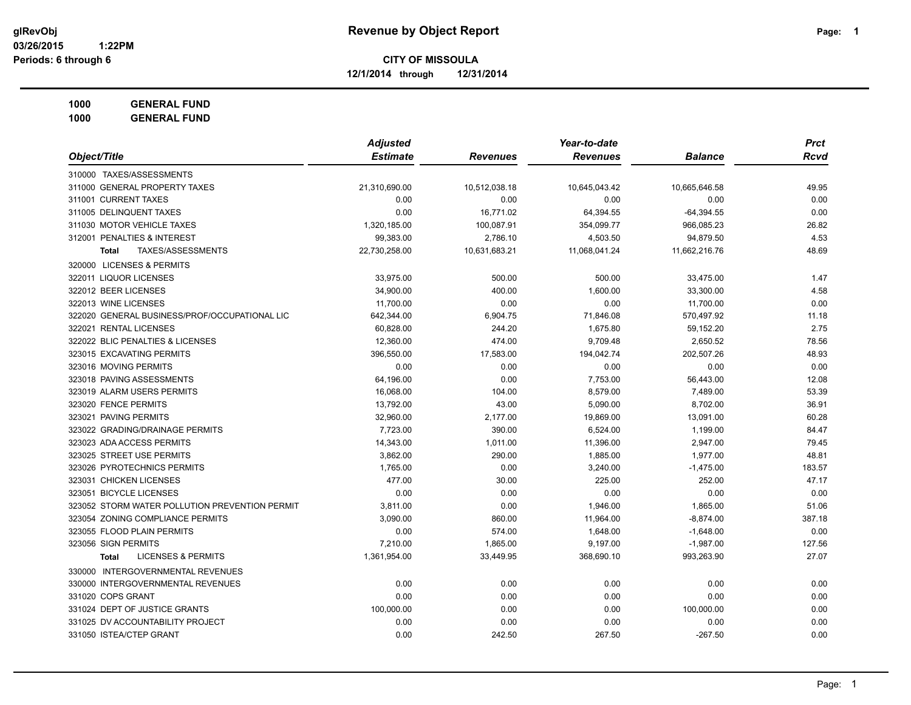**12/1/2014 through 12/31/2014**

**1000 GENERAL FUND**

|                                                | <b>Adjusted</b> |                 | Year-to-date    |                | <b>Prct</b> |
|------------------------------------------------|-----------------|-----------------|-----------------|----------------|-------------|
| Object/Title                                   | <b>Estimate</b> | <b>Revenues</b> | <b>Revenues</b> | <b>Balance</b> | <b>Rcvd</b> |
| 310000 TAXES/ASSESSMENTS                       |                 |                 |                 |                |             |
| 311000 GENERAL PROPERTY TAXES                  | 21,310,690.00   | 10,512,038.18   | 10,645,043.42   | 10,665,646.58  | 49.95       |
| 311001 CURRENT TAXES                           | 0.00            | 0.00            | 0.00            | 0.00           | 0.00        |
| 311005 DELINQUENT TAXES                        | 0.00            | 16,771.02       | 64,394.55       | $-64,394.55$   | 0.00        |
| 311030 MOTOR VEHICLE TAXES                     | 1,320,185.00    | 100,087.91      | 354,099.77      | 966,085.23     | 26.82       |
| 312001 PENALTIES & INTEREST                    | 99,383.00       | 2,786.10        | 4,503.50        | 94,879.50      | 4.53        |
| TAXES/ASSESSMENTS<br>Total                     | 22,730,258.00   | 10,631,683.21   | 11,068,041.24   | 11,662,216.76  | 48.69       |
| 320000 LICENSES & PERMITS                      |                 |                 |                 |                |             |
| 322011 LIQUOR LICENSES                         | 33,975.00       | 500.00          | 500.00          | 33,475.00      | 1.47        |
| 322012 BEER LICENSES                           | 34,900.00       | 400.00          | 1,600.00        | 33,300.00      | 4.58        |
| 322013 WINE LICENSES                           | 11,700.00       | 0.00            | 0.00            | 11,700.00      | 0.00        |
| 322020 GENERAL BUSINESS/PROF/OCCUPATIONAL LIC  | 642,344.00      | 6,904.75        | 71,846.08       | 570,497.92     | 11.18       |
| 322021 RENTAL LICENSES                         | 60,828.00       | 244.20          | 1,675.80        | 59,152.20      | 2.75        |
| 322022 BLIC PENALTIES & LICENSES               | 12,360.00       | 474.00          | 9,709.48        | 2,650.52       | 78.56       |
| 323015 EXCAVATING PERMITS                      | 396,550.00      | 17,583.00       | 194,042.74      | 202,507.26     | 48.93       |
| 323016 MOVING PERMITS                          | 0.00            | 0.00            | 0.00            | 0.00           | 0.00        |
| 323018 PAVING ASSESSMENTS                      | 64,196.00       | 0.00            | 7,753.00        | 56,443.00      | 12.08       |
| 323019 ALARM USERS PERMITS                     | 16,068.00       | 104.00          | 8,579.00        | 7,489.00       | 53.39       |
| 323020 FENCE PERMITS                           | 13,792.00       | 43.00           | 5,090.00        | 8,702.00       | 36.91       |
| 323021 PAVING PERMITS                          | 32,960.00       | 2,177.00        | 19,869.00       | 13,091.00      | 60.28       |
| 323022 GRADING/DRAINAGE PERMITS                | 7,723.00        | 390.00          | 6,524.00        | 1,199.00       | 84.47       |
| 323023 ADA ACCESS PERMITS                      | 14,343.00       | 1,011.00        | 11,396.00       | 2,947.00       | 79.45       |
| 323025 STREET USE PERMITS                      | 3,862.00        | 290.00          | 1,885.00        | 1,977.00       | 48.81       |
| 323026 PYROTECHNICS PERMITS                    | 1,765.00        | 0.00            | 3,240.00        | $-1,475.00$    | 183.57      |
| 323031 CHICKEN LICENSES                        | 477.00          | 30.00           | 225.00          | 252.00         | 47.17       |
| 323051 BICYCLE LICENSES                        | 0.00            | 0.00            | 0.00            | 0.00           | 0.00        |
| 323052 STORM WATER POLLUTION PREVENTION PERMIT | 3,811.00        | 0.00            | 1,946.00        | 1,865.00       | 51.06       |
| 323054 ZONING COMPLIANCE PERMITS               | 3,090.00        | 860.00          | 11,964.00       | $-8,874.00$    | 387.18      |
| 323055 FLOOD PLAIN PERMITS                     | 0.00            | 574.00          | 1,648.00        | $-1,648.00$    | 0.00        |
| 323056 SIGN PERMITS                            | 7,210.00        | 1,865.00        | 9,197.00        | $-1,987.00$    | 127.56      |
| <b>LICENSES &amp; PERMITS</b><br><b>Total</b>  | 1,361,954.00    | 33,449.95       | 368,690.10      | 993,263.90     | 27.07       |
| 330000 INTERGOVERNMENTAL REVENUES              |                 |                 |                 |                |             |
| 330000 INTERGOVERNMENTAL REVENUES              | 0.00            | 0.00            | 0.00            | 0.00           | 0.00        |
| 331020 COPS GRANT                              | 0.00            | 0.00            | 0.00            | 0.00           | 0.00        |
| 331024 DEPT OF JUSTICE GRANTS                  | 100,000.00      | 0.00            | 0.00            | 100,000.00     | 0.00        |
| 331025 DV ACCOUNTABILITY PROJECT               | 0.00            | 0.00            | 0.00            | 0.00           | 0.00        |
| 331050 ISTEA/CTEP GRANT                        | 0.00            | 242.50          | 267.50          | $-267.50$      | 0.00        |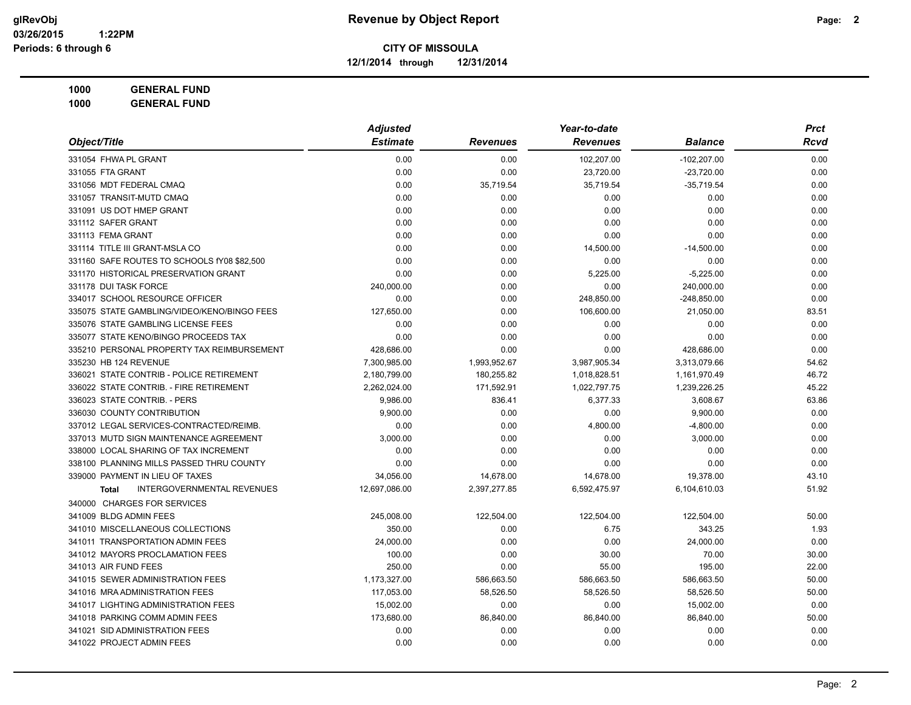**12/1/2014 through 12/31/2014**

**1000 GENERAL FUND 1000 GENERAL FUND**

|                                                   | <b>Adjusted</b> |                 | Year-to-date    |                | <b>Prct</b> |
|---------------------------------------------------|-----------------|-----------------|-----------------|----------------|-------------|
| Object/Title                                      | <b>Estimate</b> | <b>Revenues</b> | <b>Revenues</b> | <b>Balance</b> | Rcvd        |
| 331054 FHWA PL GRANT                              | 0.00            | 0.00            | 102,207.00      | $-102,207.00$  | 0.00        |
| 331055 FTA GRANT                                  | 0.00            | 0.00            | 23,720.00       | $-23,720.00$   | 0.00        |
| 331056 MDT FEDERAL CMAQ                           | 0.00            | 35,719.54       | 35,719.54       | $-35,719.54$   | 0.00        |
| 331057 TRANSIT-MUTD CMAQ                          | 0.00            | 0.00            | 0.00            | 0.00           | 0.00        |
| 331091 US DOT HMEP GRANT                          | 0.00            | 0.00            | 0.00            | 0.00           | 0.00        |
| 331112 SAFER GRANT                                | 0.00            | 0.00            | 0.00            | 0.00           | 0.00        |
| 331113 FEMA GRANT                                 | 0.00            | 0.00            | 0.00            | 0.00           | 0.00        |
| 331114 TITLE III GRANT-MSLA CO                    | 0.00            | 0.00            | 14,500.00       | $-14,500.00$   | 0.00        |
| 331160 SAFE ROUTES TO SCHOOLS fY08 \$82,500       | 0.00            | 0.00            | 0.00            | 0.00           | 0.00        |
| 331170 HISTORICAL PRESERVATION GRANT              | 0.00            | 0.00            | 5,225.00        | $-5,225.00$    | 0.00        |
| 331178 DUI TASK FORCE                             | 240,000.00      | 0.00            | 0.00            | 240,000.00     | 0.00        |
| 334017 SCHOOL RESOURCE OFFICER                    | 0.00            | 0.00            | 248,850.00      | $-248,850.00$  | 0.00        |
| 335075 STATE GAMBLING/VIDEO/KENO/BINGO FEES       | 127,650.00      | 0.00            | 106,600.00      | 21,050.00      | 83.51       |
| 335076 STATE GAMBLING LICENSE FEES                | 0.00            | 0.00            | 0.00            | 0.00           | 0.00        |
| 335077 STATE KENO/BINGO PROCEEDS TAX              | 0.00            | 0.00            | 0.00            | 0.00           | 0.00        |
| 335210 PERSONAL PROPERTY TAX REIMBURSEMENT        | 428,686.00      | 0.00            | 0.00            | 428,686.00     | 0.00        |
| 335230 HB 124 REVENUE                             | 7,300,985.00    | 1,993,952.67    | 3,987,905.34    | 3,313,079.66   | 54.62       |
| 336021 STATE CONTRIB - POLICE RETIREMENT          | 2,180,799.00    | 180,255.82      | 1,018,828.51    | 1,161,970.49   | 46.72       |
| 336022 STATE CONTRIB. - FIRE RETIREMENT           | 2,262,024.00    | 171,592.91      | 1,022,797.75    | 1,239,226.25   | 45.22       |
| 336023 STATE CONTRIB. - PERS                      | 9,986.00        | 836.41          | 6,377.33        | 3,608.67       | 63.86       |
| 336030 COUNTY CONTRIBUTION                        | 9,900.00        | 0.00            | 0.00            | 9,900.00       | 0.00        |
| 337012 LEGAL SERVICES-CONTRACTED/REIMB            | 0.00            | 0.00            | 4,800.00        | $-4,800.00$    | 0.00        |
| 337013 MUTD SIGN MAINTENANCE AGREEMENT            | 3,000.00        | 0.00            | 0.00            | 3,000.00       | 0.00        |
| 338000 LOCAL SHARING OF TAX INCREMENT             | 0.00            | 0.00            | 0.00            | 0.00           | 0.00        |
| 338100 PLANNING MILLS PASSED THRU COUNTY          | 0.00            | 0.00            | 0.00            | 0.00           | 0.00        |
| 339000 PAYMENT IN LIEU OF TAXES                   | 34,056.00       | 14,678.00       | 14,678.00       | 19,378.00      | 43.10       |
| <b>INTERGOVERNMENTAL REVENUES</b><br><b>Total</b> | 12,697,086.00   | 2,397,277.85    | 6,592,475.97    | 6,104,610.03   | 51.92       |
| 340000 CHARGES FOR SERVICES                       |                 |                 |                 |                |             |
| 341009 BLDG ADMIN FEES                            | 245,008.00      | 122,504.00      | 122,504.00      | 122,504.00     | 50.00       |
| 341010 MISCELLANEOUS COLLECTIONS                  | 350.00          | 0.00            | 6.75            | 343.25         | 1.93        |
| 341011 TRANSPORTATION ADMIN FEES                  | 24,000.00       | 0.00            | 0.00            | 24,000.00      | 0.00        |
| 341012 MAYORS PROCLAMATION FEES                   | 100.00          | 0.00            | 30.00           | 70.00          | 30.00       |
| 341013 AIR FUND FEES                              | 250.00          | 0.00            | 55.00           | 195.00         | 22.00       |
| 341015 SEWER ADMINISTRATION FEES                  | 1,173,327.00    | 586,663.50      | 586,663.50      | 586,663.50     | 50.00       |
| 341016 MRA ADMINISTRATION FEES                    | 117,053.00      | 58,526.50       | 58,526.50       | 58,526.50      | 50.00       |
| 341017 LIGHTING ADMINISTRATION FEES               | 15,002.00       | 0.00            | 0.00            | 15,002.00      | 0.00        |
| 341018 PARKING COMM ADMIN FEES                    | 173,680.00      | 86,840.00       | 86,840.00       | 86,840.00      | 50.00       |
| 341021 SID ADMINISTRATION FEES                    | 0.00            | 0.00            | 0.00            | 0.00           | 0.00        |
| 341022 PROJECT ADMIN FEES                         | 0.00            | 0.00            | 0.00            | 0.00           | 0.00        |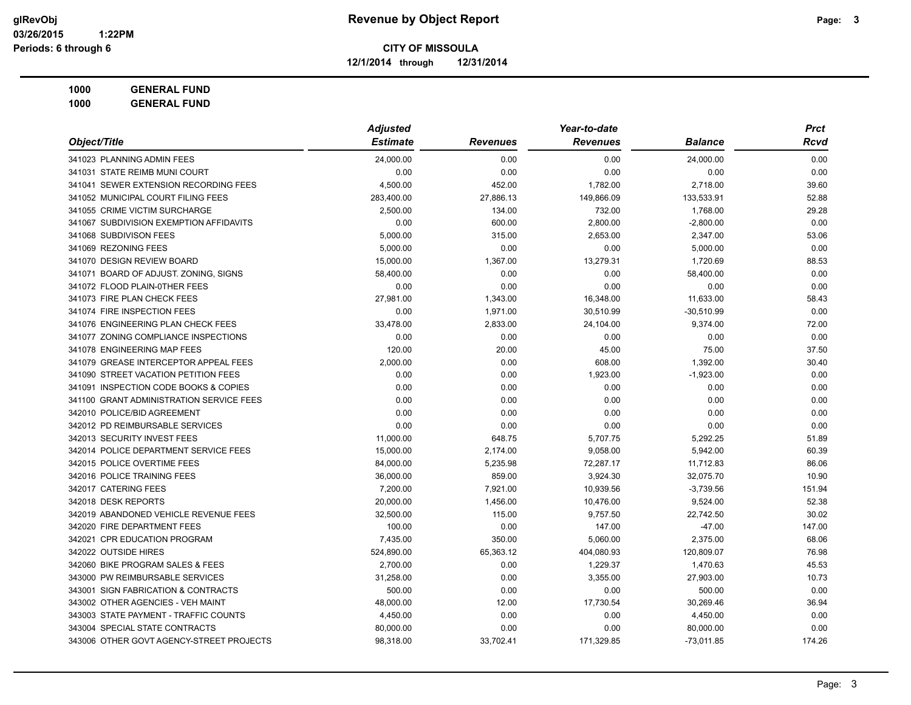**12/1/2014 through 12/31/2014**

**1000 GENERAL FUND 1000 GENERAL FUND**

|                                          | <b>Adjusted</b> |                 | Year-to-date    |                | <b>Prct</b> |
|------------------------------------------|-----------------|-----------------|-----------------|----------------|-------------|
| Object/Title                             | <b>Estimate</b> | <b>Revenues</b> | <b>Revenues</b> | <b>Balance</b> | Rcvd        |
| 341023 PLANNING ADMIN FEES               | 24,000.00       | 0.00            | 0.00            | 24,000.00      | 0.00        |
| 341031 STATE REIMB MUNI COURT            | 0.00            | 0.00            | 0.00            | 0.00           | 0.00        |
| 341041 SEWER EXTENSION RECORDING FEES    | 4,500.00        | 452.00          | 1,782.00        | 2,718.00       | 39.60       |
| 341052 MUNICIPAL COURT FILING FEES       | 283,400.00      | 27,886.13       | 149,866.09      | 133,533.91     | 52.88       |
| 341055 CRIME VICTIM SURCHARGE            | 2,500.00        | 134.00          | 732.00          | 1,768.00       | 29.28       |
| 341067 SUBDIVISION EXEMPTION AFFIDAVITS  | 0.00            | 600.00          | 2,800.00        | $-2,800.00$    | 0.00        |
| 341068 SUBDIVISON FEES                   | 5,000.00        | 315.00          | 2,653.00        | 2,347.00       | 53.06       |
| 341069 REZONING FEES                     | 5,000.00        | 0.00            | 0.00            | 5,000.00       | 0.00        |
| 341070 DESIGN REVIEW BOARD               | 15,000.00       | 1,367.00        | 13,279.31       | 1,720.69       | 88.53       |
| 341071 BOARD OF ADJUST. ZONING, SIGNS    | 58,400.00       | 0.00            | 0.00            | 58,400.00      | 0.00        |
| 341072 FLOOD PLAIN-0THER FEES            | 0.00            | 0.00            | 0.00            | 0.00           | 0.00        |
| 341073 FIRE PLAN CHECK FEES              | 27,981.00       | 1,343.00        | 16,348.00       | 11,633.00      | 58.43       |
| 341074 FIRE INSPECTION FEES              | 0.00            | 1,971.00        | 30,510.99       | $-30,510.99$   | 0.00        |
| 341076 ENGINEERING PLAN CHECK FEES       | 33.478.00       | 2,833.00        | 24,104.00       | 9,374.00       | 72.00       |
| 341077 ZONING COMPLIANCE INSPECTIONS     | 0.00            | 0.00            | 0.00            | 0.00           | 0.00        |
| 341078 ENGINEERING MAP FEES              | 120.00          | 20.00           | 45.00           | 75.00          | 37.50       |
| 341079 GREASE INTERCEPTOR APPEAL FEES    | 2,000.00        | 0.00            | 608.00          | 1,392.00       | 30.40       |
| 341090 STREET VACATION PETITION FEES     | 0.00            | 0.00            | 1,923.00        | $-1,923.00$    | 0.00        |
| 341091 INSPECTION CODE BOOKS & COPIES    | 0.00            | 0.00            | 0.00            | 0.00           | 0.00        |
| 341100 GRANT ADMINISTRATION SERVICE FEES | 0.00            | 0.00            | 0.00            | 0.00           | 0.00        |
| 342010 POLICE/BID AGREEMENT              | 0.00            | 0.00            | 0.00            | 0.00           | 0.00        |
| 342012 PD REIMBURSABLE SERVICES          | 0.00            | 0.00            | 0.00            | 0.00           | 0.00        |
| 342013 SECURITY INVEST FEES              | 11,000.00       | 648.75          | 5,707.75        | 5,292.25       | 51.89       |
| 342014 POLICE DEPARTMENT SERVICE FEES    | 15,000.00       | 2,174.00        | 9,058.00        | 5,942.00       | 60.39       |
| 342015 POLICE OVERTIME FEES              | 84,000.00       | 5,235.98        | 72,287.17       | 11,712.83      | 86.06       |
| 342016 POLICE TRAINING FEES              | 36,000.00       | 859.00          | 3,924.30        | 32,075.70      | 10.90       |
| 342017 CATERING FEES                     | 7,200.00        | 7,921.00        | 10,939.56       | $-3,739.56$    | 151.94      |
| 342018 DESK REPORTS                      | 20,000.00       | 1,456.00        | 10,476.00       | 9,524.00       | 52.38       |
| 342019 ABANDONED VEHICLE REVENUE FEES    | 32,500.00       | 115.00          | 9,757.50        | 22,742.50      | 30.02       |
| 342020 FIRE DEPARTMENT FEES              | 100.00          | 0.00            | 147.00          | $-47.00$       | 147.00      |
| 342021 CPR EDUCATION PROGRAM             | 7,435.00        | 350.00          | 5,060.00        | 2,375.00       | 68.06       |
| 342022 OUTSIDE HIRES                     | 524,890.00      | 65,363.12       | 404,080.93      | 120,809.07     | 76.98       |
| 342060 BIKE PROGRAM SALES & FEES         | 2,700.00        | 0.00            | 1,229.37        | 1,470.63       | 45.53       |
| 343000 PW REIMBURSABLE SERVICES          | 31,258.00       | 0.00            | 3,355.00        | 27,903.00      | 10.73       |
| 343001 SIGN FABRICATION & CONTRACTS      | 500.00          | 0.00            | 0.00            | 500.00         | 0.00        |
| 343002 OTHER AGENCIES - VEH MAINT        | 48,000.00       | 12.00           | 17,730.54       | 30,269.46      | 36.94       |
| 343003 STATE PAYMENT - TRAFFIC COUNTS    | 4,450.00        | 0.00            | 0.00            | 4,450.00       | 0.00        |
| 343004 SPECIAL STATE CONTRACTS           | 80,000.00       | 0.00            | 0.00            | 80,000.00      | 0.00        |
| 343006 OTHER GOVT AGENCY-STREET PROJECTS | 98,318.00       | 33,702.41       | 171,329.85      | $-73,011.85$   | 174.26      |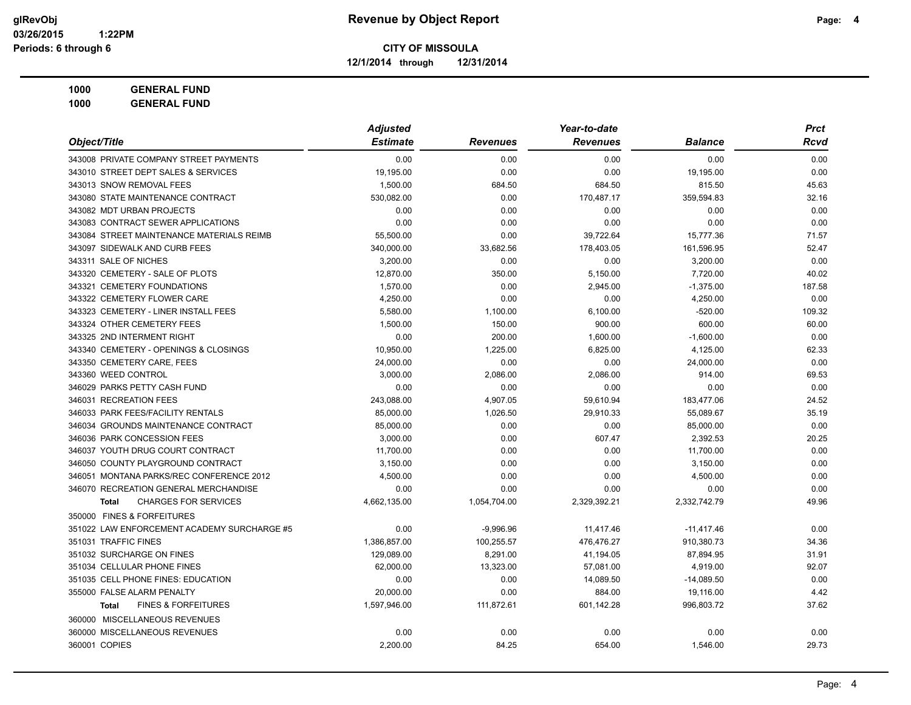**12/1/2014 through 12/31/2014**

**1000 GENERAL FUND**

|                                                | <b>Adjusted</b> |                 | Year-to-date    |                | <b>Prct</b> |
|------------------------------------------------|-----------------|-----------------|-----------------|----------------|-------------|
| Object/Title                                   | <b>Estimate</b> | <b>Revenues</b> | <b>Revenues</b> | <b>Balance</b> | <b>Rcvd</b> |
| 343008 PRIVATE COMPANY STREET PAYMENTS         | 0.00            | 0.00            | 0.00            | 0.00           | 0.00        |
| 343010 STREET DEPT SALES & SERVICES            | 19,195.00       | 0.00            | 0.00            | 19,195.00      | 0.00        |
| 343013 SNOW REMOVAL FEES                       | 1,500.00        | 684.50          | 684.50          | 815.50         | 45.63       |
| 343080 STATE MAINTENANCE CONTRACT              | 530,082.00      | 0.00            | 170,487.17      | 359,594.83     | 32.16       |
| 343082 MDT URBAN PROJECTS                      | 0.00            | 0.00            | 0.00            | 0.00           | 0.00        |
| 343083 CONTRACT SEWER APPLICATIONS             | 0.00            | 0.00            | 0.00            | 0.00           | 0.00        |
| 343084 STREET MAINTENANCE MATERIALS REIMB      | 55,500.00       | 0.00            | 39,722.64       | 15,777.36      | 71.57       |
| 343097 SIDEWALK AND CURB FEES                  | 340,000.00      | 33,682.56       | 178,403.05      | 161,596.95     | 52.47       |
| 343311 SALE OF NICHES                          | 3,200.00        | 0.00            | 0.00            | 3,200.00       | 0.00        |
| 343320 CEMETERY - SALE OF PLOTS                | 12,870.00       | 350.00          | 5,150.00        | 7,720.00       | 40.02       |
| 343321 CEMETERY FOUNDATIONS                    | 1,570.00        | 0.00            | 2,945.00        | $-1,375.00$    | 187.58      |
| 343322 CEMETERY FLOWER CARE                    | 4,250.00        | 0.00            | 0.00            | 4,250.00       | 0.00        |
| 343323 CEMETERY - LINER INSTALL FEES           | 5,580.00        | 1,100.00        | 6,100.00        | $-520.00$      | 109.32      |
| 343324 OTHER CEMETERY FEES                     | 1,500.00        | 150.00          | 900.00          | 600.00         | 60.00       |
| 343325 2ND INTERMENT RIGHT                     | 0.00            | 200.00          | 1,600.00        | $-1,600.00$    | 0.00        |
| 343340 CEMETERY - OPENINGS & CLOSINGS          | 10,950.00       | 1,225.00        | 6,825.00        | 4,125.00       | 62.33       |
| 343350 CEMETERY CARE, FEES                     | 24,000.00       | 0.00            | 0.00            | 24,000.00      | 0.00        |
| 343360 WEED CONTROL                            | 3,000.00        | 2,086.00        | 2,086.00        | 914.00         | 69.53       |
| 346029 PARKS PETTY CASH FUND                   | 0.00            | 0.00            | 0.00            | 0.00           | 0.00        |
| 346031 RECREATION FEES                         | 243,088.00      | 4,907.05        | 59,610.94       | 183,477.06     | 24.52       |
| 346033 PARK FEES/FACILITY RENTALS              | 85,000.00       | 1,026.50        | 29,910.33       | 55,089.67      | 35.19       |
| 346034 GROUNDS MAINTENANCE CONTRACT            | 85,000.00       | 0.00            | 0.00            | 85,000.00      | 0.00        |
| 346036 PARK CONCESSION FEES                    | 3,000.00        | 0.00            | 607.47          | 2,392.53       | 20.25       |
| 346037 YOUTH DRUG COURT CONTRACT               | 11,700.00       | 0.00            | 0.00            | 11,700.00      | 0.00        |
| 346050 COUNTY PLAYGROUND CONTRACT              | 3,150.00        | 0.00            | 0.00            | 3,150.00       | 0.00        |
| 346051 MONTANA PARKS/REC CONFERENCE 2012       | 4,500.00        | 0.00            | 0.00            | 4,500.00       | 0.00        |
| 346070 RECREATION GENERAL MERCHANDISE          | 0.00            | 0.00            | 0.00            | 0.00           | 0.00        |
| <b>CHARGES FOR SERVICES</b><br>Total           | 4,662,135.00    | 1,054,704.00    | 2,329,392.21    | 2,332,742.79   | 49.96       |
| 350000 FINES & FORFEITURES                     |                 |                 |                 |                |             |
| 351022 LAW ENFORCEMENT ACADEMY SURCHARGE #5    | 0.00            | $-9,996.96$     | 11,417.46       | $-11,417.46$   | 0.00        |
| 351031 TRAFFIC FINES                           | 1,386,857.00    | 100,255.57      | 476,476.27      | 910,380.73     | 34.36       |
| 351032 SURCHARGE ON FINES                      | 129,089.00      | 8,291.00        | 41,194.05       | 87,894.95      | 31.91       |
| 351034 CELLULAR PHONE FINES                    | 62,000.00       | 13,323.00       | 57,081.00       | 4,919.00       | 92.07       |
| 351035 CELL PHONE FINES: EDUCATION             | 0.00            | 0.00            | 14,089.50       | $-14,089.50$   | 0.00        |
| 355000 FALSE ALARM PENALTY                     | 20,000.00       | 0.00            | 884.00          | 19,116.00      | 4.42        |
| <b>FINES &amp; FORFEITURES</b><br><b>Total</b> | 1,597,946.00    | 111,872.61      | 601,142.28      | 996,803.72     | 37.62       |
| 360000 MISCELLANEOUS REVENUES                  |                 |                 |                 |                |             |
| 360000 MISCELLANEOUS REVENUES                  | 0.00            | 0.00            | 0.00            | 0.00           | 0.00        |
| 360001 COPIES                                  | 2,200.00        | 84.25           | 654.00          | 1,546.00       | 29.73       |
|                                                |                 |                 |                 |                |             |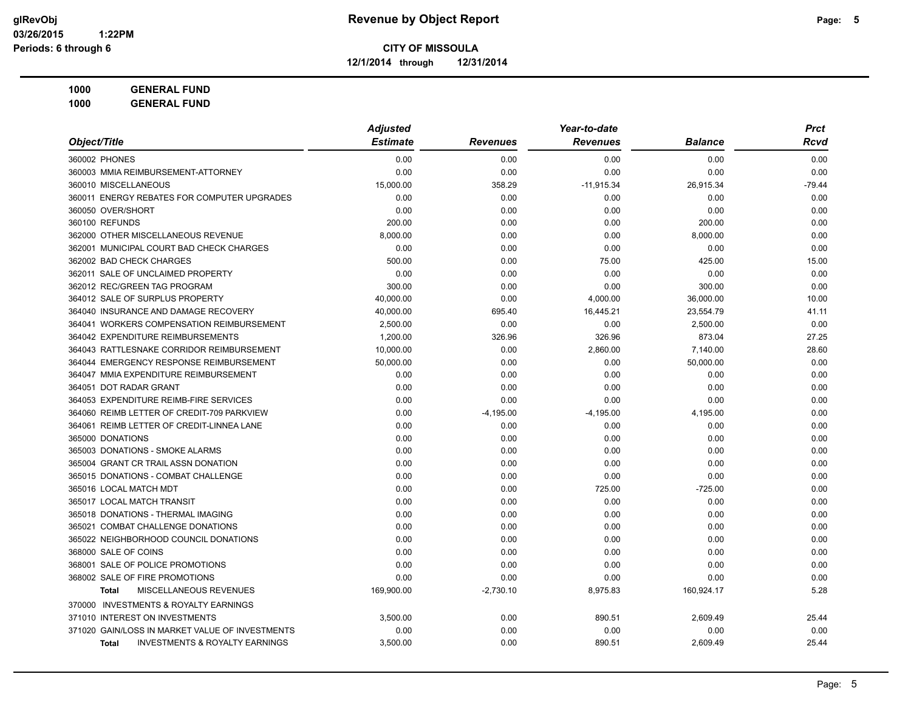**12/1/2014 through 12/31/2014**

| 1000 | <b>GENERAL FUND</b> |
|------|---------------------|
|------|---------------------|

|                                                           | <b>Adjusted</b> |                 | Year-to-date    |                | <b>Prct</b> |
|-----------------------------------------------------------|-----------------|-----------------|-----------------|----------------|-------------|
| Object/Title                                              | <b>Estimate</b> | <b>Revenues</b> | <b>Revenues</b> | <b>Balance</b> | Rcvd        |
| 360002 PHONES                                             | 0.00            | 0.00            | 0.00            | 0.00           | 0.00        |
| 360003 MMIA REIMBURSEMENT-ATTORNEY                        | 0.00            | 0.00            | 0.00            | 0.00           | 0.00        |
| 360010 MISCELLANEOUS                                      | 15,000.00       | 358.29          | $-11,915.34$    | 26,915.34      | $-79.44$    |
| 360011 ENERGY REBATES FOR COMPUTER UPGRADES               | 0.00            | 0.00            | 0.00            | 0.00           | 0.00        |
| 360050 OVER/SHORT                                         | 0.00            | 0.00            | 0.00            | 0.00           | 0.00        |
| 360100 REFUNDS                                            | 200.00          | 0.00            | 0.00            | 200.00         | 0.00        |
| 362000 OTHER MISCELLANEOUS REVENUE                        | 8.000.00        | 0.00            | 0.00            | 8,000.00       | 0.00        |
| 362001 MUNICIPAL COURT BAD CHECK CHARGES                  | 0.00            | 0.00            | 0.00            | 0.00           | 0.00        |
| 362002 BAD CHECK CHARGES                                  | 500.00          | 0.00            | 75.00           | 425.00         | 15.00       |
| 362011 SALE OF UNCLAIMED PROPERTY                         | 0.00            | 0.00            | 0.00            | 0.00           | 0.00        |
| 362012 REC/GREEN TAG PROGRAM                              | 300.00          | 0.00            | 0.00            | 300.00         | 0.00        |
| 364012 SALE OF SURPLUS PROPERTY                           | 40,000.00       | 0.00            | 4,000.00        | 36,000.00      | 10.00       |
| 364040 INSURANCE AND DAMAGE RECOVERY                      | 40.000.00       | 695.40          | 16,445.21       | 23,554.79      | 41.11       |
| 364041 WORKERS COMPENSATION REIMBURSEMENT                 | 2,500.00        | 0.00            | 0.00            | 2,500.00       | 0.00        |
| 364042 EXPENDITURE REIMBURSEMENTS                         | 1,200.00        | 326.96          | 326.96          | 873.04         | 27.25       |
| 364043 RATTLESNAKE CORRIDOR REIMBURSEMENT                 | 10,000.00       | 0.00            | 2,860.00        | 7,140.00       | 28.60       |
| 364044 EMERGENCY RESPONSE REIMBURSEMENT                   | 50,000.00       | 0.00            | 0.00            | 50,000.00      | 0.00        |
| 364047 MMIA EXPENDITURE REIMBURSEMENT                     | 0.00            | 0.00            | 0.00            | 0.00           | 0.00        |
| 364051 DOT RADAR GRANT                                    | 0.00            | 0.00            | 0.00            | 0.00           | 0.00        |
| 364053 EXPENDITURE REIMB-FIRE SERVICES                    | 0.00            | 0.00            | 0.00            | 0.00           | 0.00        |
| 364060 REIMB LETTER OF CREDIT-709 PARKVIEW                | 0.00            | $-4,195.00$     | $-4,195.00$     | 4,195.00       | 0.00        |
| 364061 REIMB LETTER OF CREDIT-LINNEA LANE                 | 0.00            | 0.00            | 0.00            | 0.00           | 0.00        |
| 365000 DONATIONS                                          | 0.00            | 0.00            | 0.00            | 0.00           | 0.00        |
| 365003 DONATIONS - SMOKE ALARMS                           | 0.00            | 0.00            | 0.00            | 0.00           | 0.00        |
| 365004 GRANT CR TRAIL ASSN DONATION                       | 0.00            | 0.00            | 0.00            | 0.00           | 0.00        |
| 365015 DONATIONS - COMBAT CHALLENGE                       | 0.00            | 0.00            | 0.00            | 0.00           | 0.00        |
| 365016 LOCAL MATCH MDT                                    | 0.00            | 0.00            | 725.00          | $-725.00$      | 0.00        |
| 365017 LOCAL MATCH TRANSIT                                | 0.00            | 0.00            | 0.00            | 0.00           | 0.00        |
| 365018 DONATIONS - THERMAL IMAGING                        | 0.00            | 0.00            | 0.00            | 0.00           | 0.00        |
| 365021 COMBAT CHALLENGE DONATIONS                         | 0.00            | 0.00            | 0.00            | 0.00           | 0.00        |
| 365022 NEIGHBORHOOD COUNCIL DONATIONS                     | 0.00            | 0.00            | 0.00            | 0.00           | 0.00        |
| 368000 SALE OF COINS                                      | 0.00            | 0.00            | 0.00            | 0.00           | 0.00        |
| 368001 SALE OF POLICE PROMOTIONS                          | 0.00            | 0.00            | 0.00            | 0.00           | 0.00        |
| 368002 SALE OF FIRE PROMOTIONS                            | 0.00            | 0.00            | 0.00            | 0.00           | 0.00        |
| <b>MISCELLANEOUS REVENUES</b><br><b>Total</b>             | 169,900.00      | $-2,730.10$     | 8,975.83        | 160,924.17     | 5.28        |
| 370000 INVESTMENTS & ROYALTY EARNINGS                     |                 |                 |                 |                |             |
| 371010 INTEREST ON INVESTMENTS                            | 3,500.00        | 0.00            | 890.51          | 2,609.49       | 25.44       |
| 371020 GAIN/LOSS IN MARKET VALUE OF INVESTMENTS           | 0.00            | 0.00            | 0.00            | 0.00           | 0.00        |
| <b>INVESTMENTS &amp; ROYALTY EARNINGS</b><br><b>Total</b> | 3.500.00        | 0.00            | 890.51          | 2,609.49       | 25.44       |
|                                                           |                 |                 |                 |                |             |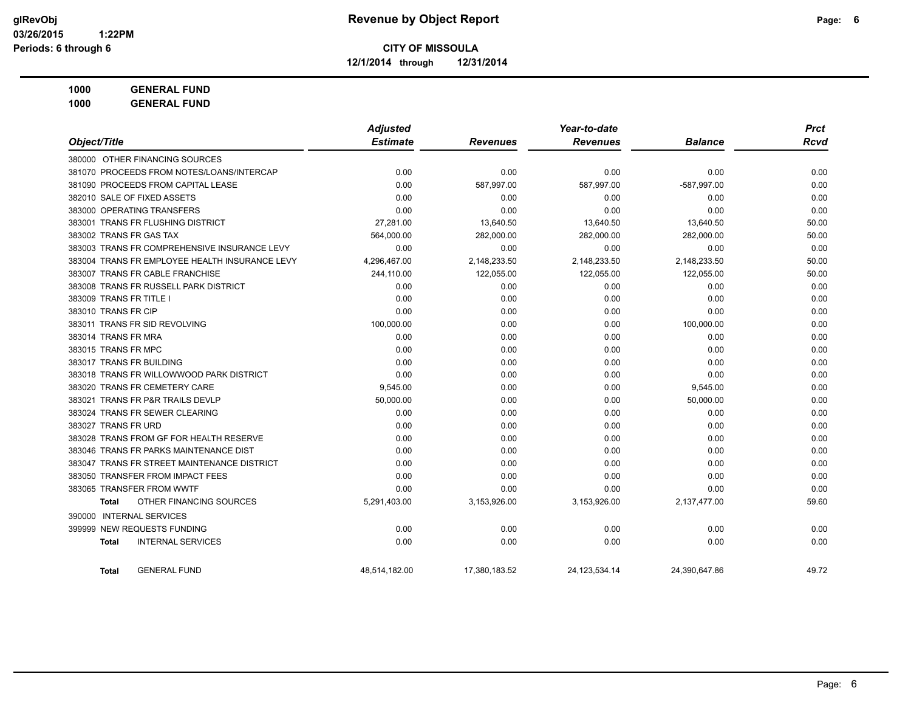**12/1/2014 through 12/31/2014**

**1000 GENERAL FUND 1000 GENERAL FUND**

|                                                | <b>Adjusted</b> |                 | Year-to-date    |                | <b>Prct</b> |
|------------------------------------------------|-----------------|-----------------|-----------------|----------------|-------------|
| Object/Title                                   | <b>Estimate</b> | <b>Revenues</b> | <b>Revenues</b> | <b>Balance</b> | <b>Rcvd</b> |
| 380000 OTHER FINANCING SOURCES                 |                 |                 |                 |                |             |
| 381070 PROCEEDS FROM NOTES/LOANS/INTERCAP      | 0.00            | 0.00            | 0.00            | 0.00           | 0.00        |
| 381090 PROCEEDS FROM CAPITAL LEASE             | 0.00            | 587,997.00      | 587,997.00      | -587,997.00    | 0.00        |
| 382010 SALE OF FIXED ASSETS                    | 0.00            | 0.00            | 0.00            | 0.00           | 0.00        |
| 383000 OPERATING TRANSFERS                     | 0.00            | 0.00            | 0.00            | 0.00           | 0.00        |
| 383001 TRANS FR FLUSHING DISTRICT              | 27,281.00       | 13.640.50       | 13,640.50       | 13.640.50      | 50.00       |
| 383002 TRANS FR GAS TAX                        | 564,000.00      | 282,000.00      | 282,000.00      | 282,000.00     | 50.00       |
| 383003 TRANS FR COMPREHENSIVE INSURANCE LEVY   | 0.00            | 0.00            | 0.00            | 0.00           | 0.00        |
| 383004 TRANS FR EMPLOYEE HEALTH INSURANCE LEVY | 4,296,467.00    | 2,148,233.50    | 2,148,233.50    | 2,148,233.50   | 50.00       |
| 383007 TRANS FR CABLE FRANCHISE                | 244,110.00      | 122,055.00      | 122,055.00      | 122,055.00     | 50.00       |
| 383008 TRANS FR RUSSELL PARK DISTRICT          | 0.00            | 0.00            | 0.00            | 0.00           | 0.00        |
| 383009 TRANS FR TITLE I                        | 0.00            | 0.00            | 0.00            | 0.00           | 0.00        |
| 383010 TRANS FR CIP                            | 0.00            | 0.00            | 0.00            | 0.00           | 0.00        |
| 383011 TRANS FR SID REVOLVING                  | 100,000.00      | 0.00            | 0.00            | 100,000.00     | 0.00        |
| 383014 TRANS FR MRA                            | 0.00            | 0.00            | 0.00            | 0.00           | 0.00        |
| 383015 TRANS FR MPC                            | 0.00            | 0.00            | 0.00            | 0.00           | 0.00        |
| 383017 TRANS FR BUILDING                       | 0.00            | 0.00            | 0.00            | 0.00           | 0.00        |
| 383018 TRANS FR WILLOWWOOD PARK DISTRICT       | 0.00            | 0.00            | 0.00            | 0.00           | 0.00        |
| 383020 TRANS FR CEMETERY CARE                  | 9,545.00        | 0.00            | 0.00            | 9,545.00       | 0.00        |
| 383021 TRANS FR P&R TRAILS DEVLP               | 50.000.00       | 0.00            | 0.00            | 50.000.00      | 0.00        |
| 383024 TRANS FR SEWER CLEARING                 | 0.00            | 0.00            | 0.00            | 0.00           | 0.00        |
| 383027 TRANS FR URD                            | 0.00            | 0.00            | 0.00            | 0.00           | 0.00        |
| 383028 TRANS FROM GF FOR HEALTH RESERVE        | 0.00            | 0.00            | 0.00            | 0.00           | 0.00        |
| 383046 TRANS FR PARKS MAINTENANCE DIST         | 0.00            | 0.00            | 0.00            | 0.00           | 0.00        |
| TRANS FR STREET MAINTENANCE DISTRICT<br>383047 | 0.00            | 0.00            | 0.00            | 0.00           | 0.00        |
| 383050 TRANSFER FROM IMPACT FEES               | 0.00            | 0.00            | 0.00            | 0.00           | 0.00        |
| 383065 TRANSFER FROM WWTF                      | 0.00            | 0.00            | 0.00            | 0.00           | 0.00        |
| OTHER FINANCING SOURCES<br><b>Total</b>        | 5,291,403.00    | 3,153,926.00    | 3,153,926.00    | 2,137,477.00   | 59.60       |
| 390000 INTERNAL SERVICES                       |                 |                 |                 |                |             |
| 399999 NEW REQUESTS FUNDING                    | 0.00            | 0.00            | 0.00            | 0.00           | 0.00        |
| <b>INTERNAL SERVICES</b><br><b>Total</b>       | 0.00            | 0.00            | 0.00            | 0.00           | 0.00        |

**Total** GENERAL FUND 48,514,182.00 17,380,183.52 24,123,534.14 24,390,647.86 49.72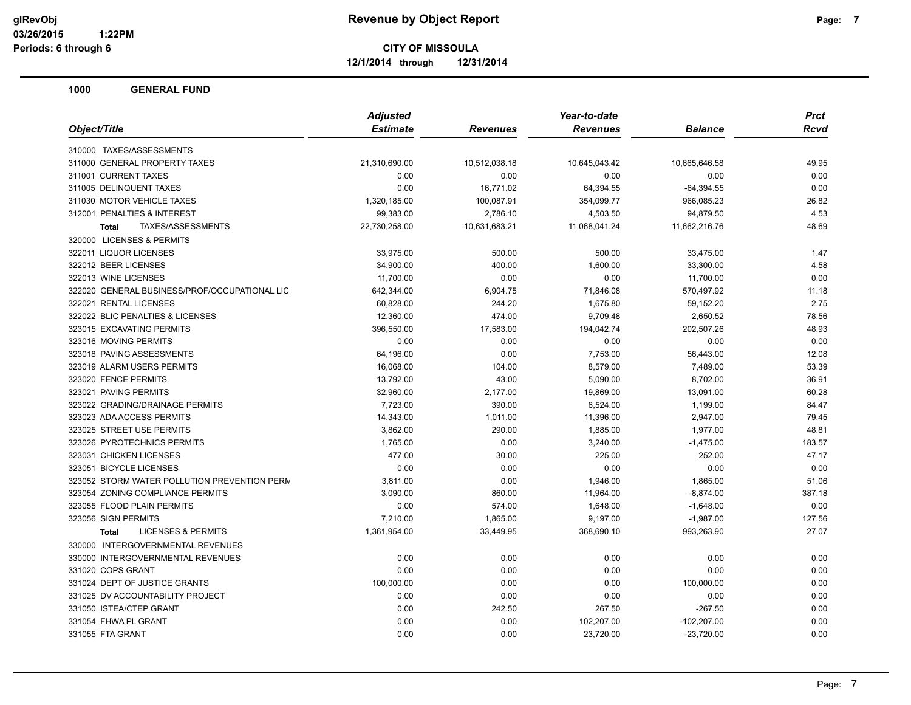**12/1/2014 through 12/31/2014**

|                                               | <b>Adjusted</b> |                 | Year-to-date    |                | <b>Prct</b> |
|-----------------------------------------------|-----------------|-----------------|-----------------|----------------|-------------|
| Object/Title                                  | <b>Estimate</b> | <b>Revenues</b> | <b>Revenues</b> | <b>Balance</b> | <b>Rcvd</b> |
| 310000 TAXES/ASSESSMENTS                      |                 |                 |                 |                |             |
| 311000 GENERAL PROPERTY TAXES                 | 21,310,690.00   | 10,512,038.18   | 10,645,043.42   | 10,665,646.58  | 49.95       |
| 311001 CURRENT TAXES                          | 0.00            | 0.00            | 0.00            | 0.00           | 0.00        |
| 311005 DELINQUENT TAXES                       | 0.00            | 16,771.02       | 64,394.55       | $-64,394.55$   | 0.00        |
| 311030 MOTOR VEHICLE TAXES                    | 1,320,185.00    | 100,087.91      | 354,099.77      | 966,085.23     | 26.82       |
| 312001 PENALTIES & INTEREST                   | 99,383.00       | 2,786.10        | 4,503.50        | 94,879.50      | 4.53        |
| TAXES/ASSESSMENTS<br><b>Total</b>             | 22,730,258.00   | 10,631,683.21   | 11,068,041.24   | 11,662,216.76  | 48.69       |
| 320000 LICENSES & PERMITS                     |                 |                 |                 |                |             |
| 322011 LIQUOR LICENSES                        | 33,975.00       | 500.00          | 500.00          | 33,475.00      | 1.47        |
| 322012 BEER LICENSES                          | 34,900.00       | 400.00          | 1,600.00        | 33,300.00      | 4.58        |
| 322013 WINE LICENSES                          | 11,700.00       | 0.00            | 0.00            | 11,700.00      | 0.00        |
| 322020 GENERAL BUSINESS/PROF/OCCUPATIONAL LIC | 642,344.00      | 6,904.75        | 71,846.08       | 570,497.92     | 11.18       |
| 322021 RENTAL LICENSES                        | 60,828.00       | 244.20          | 1,675.80        | 59,152.20      | 2.75        |
| 322022 BLIC PENALTIES & LICENSES              | 12,360.00       | 474.00          | 9,709.48        | 2,650.52       | 78.56       |
| 323015 EXCAVATING PERMITS                     | 396,550.00      | 17,583.00       | 194,042.74      | 202,507.26     | 48.93       |
| 323016 MOVING PERMITS                         | 0.00            | 0.00            | 0.00            | 0.00           | 0.00        |
| 323018 PAVING ASSESSMENTS                     | 64,196.00       | 0.00            | 7,753.00        | 56,443.00      | 12.08       |
| 323019 ALARM USERS PERMITS                    | 16,068.00       | 104.00          | 8,579.00        | 7,489.00       | 53.39       |
| 323020 FENCE PERMITS                          | 13,792.00       | 43.00           | 5,090.00        | 8,702.00       | 36.91       |
| 323021 PAVING PERMITS                         | 32,960.00       | 2,177.00        | 19,869.00       | 13,091.00      | 60.28       |
| 323022 GRADING/DRAINAGE PERMITS               | 7,723.00        | 390.00          | 6,524.00        | 1,199.00       | 84.47       |
| 323023 ADA ACCESS PERMITS                     | 14,343.00       | 1,011.00        | 11,396.00       | 2,947.00       | 79.45       |
| 323025 STREET USE PERMITS                     | 3,862.00        | 290.00          | 1,885.00        | 1,977.00       | 48.81       |
| 323026 PYROTECHNICS PERMITS                   | 1,765.00        | 0.00            | 3,240.00        | $-1,475.00$    | 183.57      |
| 323031 CHICKEN LICENSES                       | 477.00          | 30.00           | 225.00          | 252.00         | 47.17       |
| 323051 BICYCLE LICENSES                       | 0.00            | 0.00            | 0.00            | 0.00           | 0.00        |
| 323052 STORM WATER POLLUTION PREVENTION PERM  | 3,811.00        | 0.00            | 1,946.00        | 1,865.00       | 51.06       |
| 323054 ZONING COMPLIANCE PERMITS              | 3,090.00        | 860.00          | 11,964.00       | $-8,874.00$    | 387.18      |
| 323055 FLOOD PLAIN PERMITS                    | 0.00            | 574.00          | 1,648.00        | $-1,648.00$    | 0.00        |
| 323056 SIGN PERMITS                           | 7,210.00        | 1,865.00        | 9,197.00        | $-1,987.00$    | 127.56      |
| <b>LICENSES &amp; PERMITS</b><br><b>Total</b> | 1,361,954.00    | 33,449.95       | 368,690.10      | 993,263.90     | 27.07       |
| 330000 INTERGOVERNMENTAL REVENUES             |                 |                 |                 |                |             |
| 330000 INTERGOVERNMENTAL REVENUES             | 0.00            | 0.00            | 0.00            | 0.00           | 0.00        |
| 331020 COPS GRANT                             | 0.00            | 0.00            | 0.00            | 0.00           | 0.00        |
| 331024 DEPT OF JUSTICE GRANTS                 | 100,000.00      | 0.00            | 0.00            | 100,000.00     | 0.00        |
| 331025 DV ACCOUNTABILITY PROJECT              | 0.00            | 0.00            | 0.00            | 0.00           | 0.00        |
| 331050 ISTEA/CTEP GRANT                       | 0.00            | 242.50          | 267.50          | $-267.50$      | 0.00        |
| 331054 FHWA PL GRANT                          | 0.00            | 0.00            | 102,207.00      | $-102,207.00$  | 0.00        |
| 331055 FTA GRANT                              | 0.00            | 0.00            | 23,720.00       | $-23,720.00$   | 0.00        |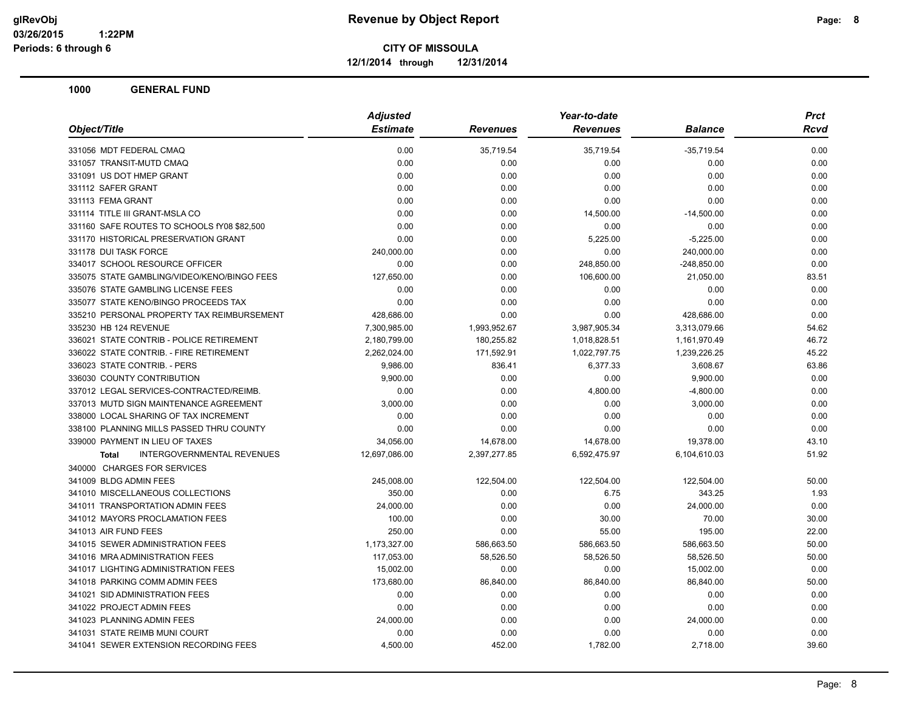**12/1/2014 through 12/31/2014**

|                                                   | <b>Adjusted</b> |                 | Year-to-date    |                | <b>Prct</b> |
|---------------------------------------------------|-----------------|-----------------|-----------------|----------------|-------------|
| Object/Title                                      | <b>Estimate</b> | <b>Revenues</b> | <b>Revenues</b> | <b>Balance</b> | Rcvd        |
| 331056 MDT FEDERAL CMAQ                           | 0.00            | 35,719.54       | 35,719.54       | $-35,719.54$   | 0.00        |
| 331057 TRANSIT-MUTD CMAQ                          | 0.00            | 0.00            | 0.00            | 0.00           | 0.00        |
| 331091 US DOT HMEP GRANT                          | 0.00            | 0.00            | 0.00            | 0.00           | 0.00        |
| 331112 SAFER GRANT                                | 0.00            | 0.00            | 0.00            | 0.00           | 0.00        |
| 331113 FEMA GRANT                                 | 0.00            | 0.00            | 0.00            | 0.00           | 0.00        |
| 331114 TITLE III GRANT-MSLA CO                    | 0.00            | 0.00            | 14,500.00       | $-14,500.00$   | 0.00        |
| 331160 SAFE ROUTES TO SCHOOLS fY08 \$82,500       | 0.00            | 0.00            | 0.00            | 0.00           | 0.00        |
| 331170 HISTORICAL PRESERVATION GRANT              | 0.00            | 0.00            | 5,225.00        | $-5,225.00$    | 0.00        |
| 331178 DUI TASK FORCE                             | 240,000.00      | 0.00            | 0.00            | 240,000.00     | 0.00        |
| 334017 SCHOOL RESOURCE OFFICER                    | 0.00            | 0.00            | 248,850.00      | $-248,850.00$  | 0.00        |
| 335075 STATE GAMBLING/VIDEO/KENO/BINGO FEES       | 127,650.00      | 0.00            | 106,600.00      | 21,050.00      | 83.51       |
| 335076 STATE GAMBLING LICENSE FEES                | 0.00            | 0.00            | 0.00            | 0.00           | 0.00        |
| 335077 STATE KENO/BINGO PROCEEDS TAX              | 0.00            | 0.00            | 0.00            | 0.00           | 0.00        |
| 335210 PERSONAL PROPERTY TAX REIMBURSEMENT        | 428,686.00      | 0.00            | 0.00            | 428,686.00     | 0.00        |
| 335230 HB 124 REVENUE                             | 7,300,985.00    | 1,993,952.67    | 3,987,905.34    | 3,313,079.66   | 54.62       |
| 336021 STATE CONTRIB - POLICE RETIREMENT          | 2,180,799.00    | 180,255.82      | 1,018,828.51    | 1,161,970.49   | 46.72       |
| 336022 STATE CONTRIB. - FIRE RETIREMENT           | 2,262,024.00    | 171,592.91      | 1,022,797.75    | 1,239,226.25   | 45.22       |
| 336023 STATE CONTRIB. - PERS                      | 9,986.00        | 836.41          | 6,377.33        | 3,608.67       | 63.86       |
| 336030 COUNTY CONTRIBUTION                        | 9,900.00        | 0.00            | 0.00            | 9,900.00       | 0.00        |
| 337012 LEGAL SERVICES-CONTRACTED/REIMB.           | 0.00            | 0.00            | 4,800.00        | $-4,800.00$    | 0.00        |
| 337013 MUTD SIGN MAINTENANCE AGREEMENT            | 3,000.00        | 0.00            | 0.00            | 3,000.00       | 0.00        |
| 338000 LOCAL SHARING OF TAX INCREMENT             | 0.00            | 0.00            | 0.00            | 0.00           | 0.00        |
| 338100 PLANNING MILLS PASSED THRU COUNTY          | 0.00            | 0.00            | 0.00            | 0.00           | 0.00        |
| 339000 PAYMENT IN LIEU OF TAXES                   | 34,056.00       | 14,678.00       | 14,678.00       | 19,378.00      | 43.10       |
| <b>INTERGOVERNMENTAL REVENUES</b><br><b>Total</b> | 12,697,086.00   | 2,397,277.85    | 6,592,475.97    | 6,104,610.03   | 51.92       |
| 340000 CHARGES FOR SERVICES                       |                 |                 |                 |                |             |
| 341009 BLDG ADMIN FEES                            | 245,008.00      | 122,504.00      | 122,504.00      | 122,504.00     | 50.00       |
| 341010 MISCELLANEOUS COLLECTIONS                  | 350.00          | 0.00            | 6.75            | 343.25         | 1.93        |
| 341011 TRANSPORTATION ADMIN FEES                  | 24,000.00       | 0.00            | 0.00            | 24,000.00      | 0.00        |
| 341012 MAYORS PROCLAMATION FEES                   | 100.00          | 0.00            | 30.00           | 70.00          | 30.00       |
| 341013 AIR FUND FEES                              | 250.00          | 0.00            | 55.00           | 195.00         | 22.00       |
| 341015 SEWER ADMINISTRATION FEES                  | 1,173,327.00    | 586,663.50      | 586,663.50      | 586,663.50     | 50.00       |
| 341016 MRA ADMINISTRATION FEES                    | 117,053.00      | 58,526.50       | 58,526.50       | 58,526.50      | 50.00       |
| 341017 LIGHTING ADMINISTRATION FEES               | 15,002.00       | 0.00            | 0.00            | 15,002.00      | 0.00        |
| 341018 PARKING COMM ADMIN FEES                    | 173,680.00      | 86,840.00       | 86,840.00       | 86,840.00      | 50.00       |
| 341021 SID ADMINISTRATION FEES                    | 0.00            | 0.00            | 0.00            | 0.00           | 0.00        |
| 341022 PROJECT ADMIN FEES                         | 0.00            | 0.00            | 0.00            | 0.00           | 0.00        |
| 341023 PLANNING ADMIN FEES                        | 24,000.00       | 0.00            | 0.00            | 24,000.00      | 0.00        |
| 341031 STATE REIMB MUNI COURT                     | 0.00            | 0.00            | 0.00            | 0.00           | 0.00        |
| 341041 SEWER EXTENSION RECORDING FEES             | 4,500.00        | 452.00          | 1,782.00        | 2,718.00       | 39.60       |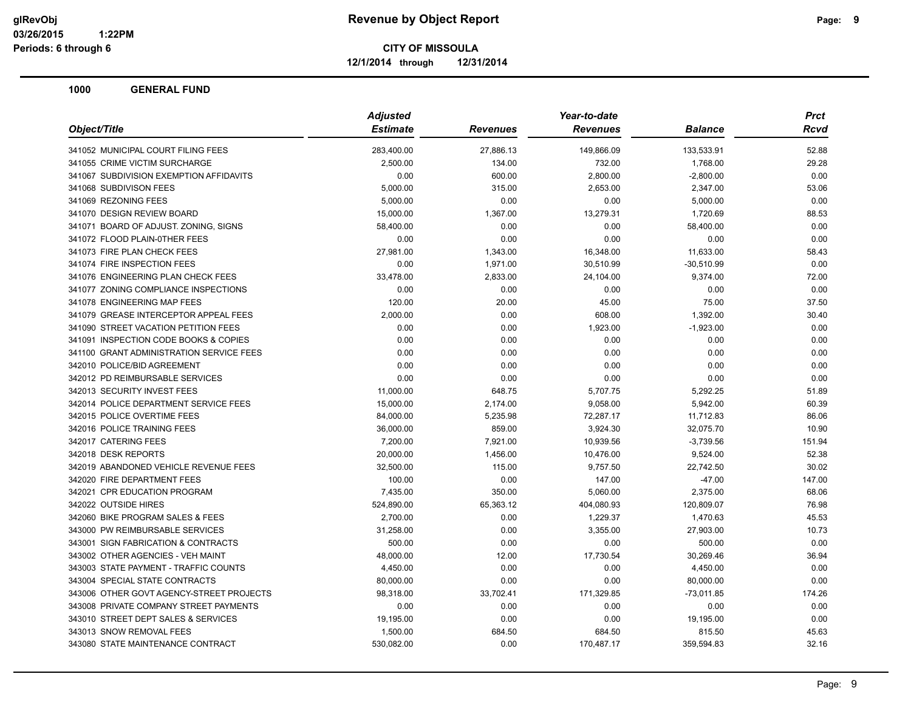**12/1/2014 through 12/31/2014**

| Object/Title<br><b>Estimate</b><br><b>Revenues</b><br><b>Balance</b><br><b>Revenues</b><br>Rcvd<br>283,400.00<br>27,886.13<br>149,866.09<br>133,533.91<br>52.88<br>2,500.00<br>732.00<br>1,768.00<br>29.28<br>134.00<br>0.00<br>2,800.00<br>0.00<br>600.00<br>$-2,800.00$<br>5,000.00<br>315.00<br>2,653.00<br>53.06<br>2,347.00<br>5,000.00<br>0.00<br>0.00<br>5,000.00<br>0.00<br>1,367.00<br>13,279.31<br>88.53<br>15,000.00<br>1,720.69<br>58,400.00<br>0.00<br>0.00<br>58,400.00<br>0.00<br>0.00<br>0.00<br>0.00<br>0.00<br>0.00<br>27,981.00<br>1,343.00<br>16,348.00<br>11,633.00<br>58.43<br>0.00<br>0.00<br>1,971.00<br>30,510.99<br>$-30,510.99$<br>9,374.00<br>72.00<br>33,478.00<br>2,833.00<br>24,104.00<br>0.00<br>0.00<br>0.00<br>0.00<br>0.00<br>120.00<br>20.00<br>45.00<br>75.00<br>37.50<br>2,000.00<br>1,392.00<br>0.00<br>608.00<br>30.40<br>0.00<br>1,923.00<br>$-1,923.00$<br>0.00<br>0.00<br>0.00<br>0.00<br>0.00<br>0.00<br>0.00<br>0.00<br>0.00<br>0.00<br>0.00<br>0.00<br>0.00<br>0.00<br>0.00<br>0.00<br>0.00<br>0.00<br>0.00<br>0.00<br>0.00<br>0.00<br>11,000.00<br>648.75<br>5,707.75<br>5,292.25<br>51.89<br>15,000.00<br>2,174.00<br>9,058.00<br>5,942.00<br>60.39<br>86.06<br>84,000.00<br>5,235.98<br>72,287.17<br>11,712.83<br>36,000.00<br>859.00<br>3,924.30<br>32,075.70<br>10.90<br>7,200.00<br>7,921.00<br>10,939.56<br>$-3,739.56$<br>151.94<br>20,000.00<br>1,456.00<br>10,476.00<br>9,524.00<br>52.38<br>30.02<br>32,500.00<br>115.00<br>9,757.50<br>22,742.50<br>100.00<br>0.00<br>147.00<br>$-47.00$<br>147.00<br>7,435.00<br>350.00<br>5,060.00<br>2,375.00<br>68.06<br>524,890.00<br>65,363.12<br>404,080.93<br>120,809.07<br>76.98<br>2,700.00<br>0.00<br>1,229.37<br>1,470.63<br>45.53<br>10.73<br>31,258.00<br>0.00<br>3,355.00<br>27,903.00<br>500.00<br>0.00<br>0.00<br>500.00<br>0.00<br>17,730.54<br>36.94<br>48,000.00<br>12.00<br>30,269.46<br>0.00<br>0.00<br>0.00<br>4,450.00<br>4,450.00<br>0.00<br>0.00<br>80,000.00<br>80,000.00<br>0.00<br>33,702.41<br>171,329.85<br>174.26<br>98,318.00<br>$-73,011.85$<br>0.00<br>0.00<br>0.00<br>0.00<br>0.00<br>0.00<br>0.00<br>19,195.00<br>0.00<br>19,195.00<br>1,500.00<br>684.50<br>815.50<br>45.63<br>684.50<br>0.00<br>32.16<br>530,082.00<br>170,487.17<br>359,594.83 |                                          | <b>Adjusted</b> | Year-to-date | <b>Prct</b> |
|----------------------------------------------------------------------------------------------------------------------------------------------------------------------------------------------------------------------------------------------------------------------------------------------------------------------------------------------------------------------------------------------------------------------------------------------------------------------------------------------------------------------------------------------------------------------------------------------------------------------------------------------------------------------------------------------------------------------------------------------------------------------------------------------------------------------------------------------------------------------------------------------------------------------------------------------------------------------------------------------------------------------------------------------------------------------------------------------------------------------------------------------------------------------------------------------------------------------------------------------------------------------------------------------------------------------------------------------------------------------------------------------------------------------------------------------------------------------------------------------------------------------------------------------------------------------------------------------------------------------------------------------------------------------------------------------------------------------------------------------------------------------------------------------------------------------------------------------------------------------------------------------------------------------------------------------------------------------------------------------------------------------------------------------------------------------------------------------------------------------------------------------------------------------------------------------------------------------------------------------------------------------------------|------------------------------------------|-----------------|--------------|-------------|
|                                                                                                                                                                                                                                                                                                                                                                                                                                                                                                                                                                                                                                                                                                                                                                                                                                                                                                                                                                                                                                                                                                                                                                                                                                                                                                                                                                                                                                                                                                                                                                                                                                                                                                                                                                                                                                                                                                                                                                                                                                                                                                                                                                                                                                                                                  |                                          |                 |              |             |
|                                                                                                                                                                                                                                                                                                                                                                                                                                                                                                                                                                                                                                                                                                                                                                                                                                                                                                                                                                                                                                                                                                                                                                                                                                                                                                                                                                                                                                                                                                                                                                                                                                                                                                                                                                                                                                                                                                                                                                                                                                                                                                                                                                                                                                                                                  | 341052 MUNICIPAL COURT FILING FEES       |                 |              |             |
|                                                                                                                                                                                                                                                                                                                                                                                                                                                                                                                                                                                                                                                                                                                                                                                                                                                                                                                                                                                                                                                                                                                                                                                                                                                                                                                                                                                                                                                                                                                                                                                                                                                                                                                                                                                                                                                                                                                                                                                                                                                                                                                                                                                                                                                                                  | 341055 CRIME VICTIM SURCHARGE            |                 |              |             |
|                                                                                                                                                                                                                                                                                                                                                                                                                                                                                                                                                                                                                                                                                                                                                                                                                                                                                                                                                                                                                                                                                                                                                                                                                                                                                                                                                                                                                                                                                                                                                                                                                                                                                                                                                                                                                                                                                                                                                                                                                                                                                                                                                                                                                                                                                  | 341067 SUBDIVISION EXEMPTION AFFIDAVITS  |                 |              |             |
|                                                                                                                                                                                                                                                                                                                                                                                                                                                                                                                                                                                                                                                                                                                                                                                                                                                                                                                                                                                                                                                                                                                                                                                                                                                                                                                                                                                                                                                                                                                                                                                                                                                                                                                                                                                                                                                                                                                                                                                                                                                                                                                                                                                                                                                                                  | 341068 SUBDIVISON FEES                   |                 |              |             |
|                                                                                                                                                                                                                                                                                                                                                                                                                                                                                                                                                                                                                                                                                                                                                                                                                                                                                                                                                                                                                                                                                                                                                                                                                                                                                                                                                                                                                                                                                                                                                                                                                                                                                                                                                                                                                                                                                                                                                                                                                                                                                                                                                                                                                                                                                  | 341069 REZONING FEES                     |                 |              |             |
|                                                                                                                                                                                                                                                                                                                                                                                                                                                                                                                                                                                                                                                                                                                                                                                                                                                                                                                                                                                                                                                                                                                                                                                                                                                                                                                                                                                                                                                                                                                                                                                                                                                                                                                                                                                                                                                                                                                                                                                                                                                                                                                                                                                                                                                                                  | 341070 DESIGN REVIEW BOARD               |                 |              |             |
|                                                                                                                                                                                                                                                                                                                                                                                                                                                                                                                                                                                                                                                                                                                                                                                                                                                                                                                                                                                                                                                                                                                                                                                                                                                                                                                                                                                                                                                                                                                                                                                                                                                                                                                                                                                                                                                                                                                                                                                                                                                                                                                                                                                                                                                                                  | 341071 BOARD OF ADJUST. ZONING, SIGNS    |                 |              |             |
|                                                                                                                                                                                                                                                                                                                                                                                                                                                                                                                                                                                                                                                                                                                                                                                                                                                                                                                                                                                                                                                                                                                                                                                                                                                                                                                                                                                                                                                                                                                                                                                                                                                                                                                                                                                                                                                                                                                                                                                                                                                                                                                                                                                                                                                                                  | 341072 FLOOD PLAIN-0THER FEES            |                 |              |             |
|                                                                                                                                                                                                                                                                                                                                                                                                                                                                                                                                                                                                                                                                                                                                                                                                                                                                                                                                                                                                                                                                                                                                                                                                                                                                                                                                                                                                                                                                                                                                                                                                                                                                                                                                                                                                                                                                                                                                                                                                                                                                                                                                                                                                                                                                                  | 341073 FIRE PLAN CHECK FEES              |                 |              |             |
|                                                                                                                                                                                                                                                                                                                                                                                                                                                                                                                                                                                                                                                                                                                                                                                                                                                                                                                                                                                                                                                                                                                                                                                                                                                                                                                                                                                                                                                                                                                                                                                                                                                                                                                                                                                                                                                                                                                                                                                                                                                                                                                                                                                                                                                                                  | 341074 FIRE INSPECTION FEES              |                 |              |             |
|                                                                                                                                                                                                                                                                                                                                                                                                                                                                                                                                                                                                                                                                                                                                                                                                                                                                                                                                                                                                                                                                                                                                                                                                                                                                                                                                                                                                                                                                                                                                                                                                                                                                                                                                                                                                                                                                                                                                                                                                                                                                                                                                                                                                                                                                                  | 341076 ENGINEERING PLAN CHECK FEES       |                 |              |             |
|                                                                                                                                                                                                                                                                                                                                                                                                                                                                                                                                                                                                                                                                                                                                                                                                                                                                                                                                                                                                                                                                                                                                                                                                                                                                                                                                                                                                                                                                                                                                                                                                                                                                                                                                                                                                                                                                                                                                                                                                                                                                                                                                                                                                                                                                                  | 341077 ZONING COMPLIANCE INSPECTIONS     |                 |              |             |
|                                                                                                                                                                                                                                                                                                                                                                                                                                                                                                                                                                                                                                                                                                                                                                                                                                                                                                                                                                                                                                                                                                                                                                                                                                                                                                                                                                                                                                                                                                                                                                                                                                                                                                                                                                                                                                                                                                                                                                                                                                                                                                                                                                                                                                                                                  | 341078 ENGINEERING MAP FEES              |                 |              |             |
|                                                                                                                                                                                                                                                                                                                                                                                                                                                                                                                                                                                                                                                                                                                                                                                                                                                                                                                                                                                                                                                                                                                                                                                                                                                                                                                                                                                                                                                                                                                                                                                                                                                                                                                                                                                                                                                                                                                                                                                                                                                                                                                                                                                                                                                                                  | 341079 GREASE INTERCEPTOR APPEAL FEES    |                 |              |             |
|                                                                                                                                                                                                                                                                                                                                                                                                                                                                                                                                                                                                                                                                                                                                                                                                                                                                                                                                                                                                                                                                                                                                                                                                                                                                                                                                                                                                                                                                                                                                                                                                                                                                                                                                                                                                                                                                                                                                                                                                                                                                                                                                                                                                                                                                                  | 341090 STREET VACATION PETITION FEES     |                 |              |             |
|                                                                                                                                                                                                                                                                                                                                                                                                                                                                                                                                                                                                                                                                                                                                                                                                                                                                                                                                                                                                                                                                                                                                                                                                                                                                                                                                                                                                                                                                                                                                                                                                                                                                                                                                                                                                                                                                                                                                                                                                                                                                                                                                                                                                                                                                                  | 341091 INSPECTION CODE BOOKS & COPIES    |                 |              |             |
|                                                                                                                                                                                                                                                                                                                                                                                                                                                                                                                                                                                                                                                                                                                                                                                                                                                                                                                                                                                                                                                                                                                                                                                                                                                                                                                                                                                                                                                                                                                                                                                                                                                                                                                                                                                                                                                                                                                                                                                                                                                                                                                                                                                                                                                                                  | 341100 GRANT ADMINISTRATION SERVICE FEES |                 |              |             |
|                                                                                                                                                                                                                                                                                                                                                                                                                                                                                                                                                                                                                                                                                                                                                                                                                                                                                                                                                                                                                                                                                                                                                                                                                                                                                                                                                                                                                                                                                                                                                                                                                                                                                                                                                                                                                                                                                                                                                                                                                                                                                                                                                                                                                                                                                  | 342010 POLICE/BID AGREEMENT              |                 |              |             |
|                                                                                                                                                                                                                                                                                                                                                                                                                                                                                                                                                                                                                                                                                                                                                                                                                                                                                                                                                                                                                                                                                                                                                                                                                                                                                                                                                                                                                                                                                                                                                                                                                                                                                                                                                                                                                                                                                                                                                                                                                                                                                                                                                                                                                                                                                  | 342012 PD REIMBURSABLE SERVICES          |                 |              |             |
|                                                                                                                                                                                                                                                                                                                                                                                                                                                                                                                                                                                                                                                                                                                                                                                                                                                                                                                                                                                                                                                                                                                                                                                                                                                                                                                                                                                                                                                                                                                                                                                                                                                                                                                                                                                                                                                                                                                                                                                                                                                                                                                                                                                                                                                                                  | 342013 SECURITY INVEST FEES              |                 |              |             |
|                                                                                                                                                                                                                                                                                                                                                                                                                                                                                                                                                                                                                                                                                                                                                                                                                                                                                                                                                                                                                                                                                                                                                                                                                                                                                                                                                                                                                                                                                                                                                                                                                                                                                                                                                                                                                                                                                                                                                                                                                                                                                                                                                                                                                                                                                  | 342014 POLICE DEPARTMENT SERVICE FEES    |                 |              |             |
|                                                                                                                                                                                                                                                                                                                                                                                                                                                                                                                                                                                                                                                                                                                                                                                                                                                                                                                                                                                                                                                                                                                                                                                                                                                                                                                                                                                                                                                                                                                                                                                                                                                                                                                                                                                                                                                                                                                                                                                                                                                                                                                                                                                                                                                                                  | 342015 POLICE OVERTIME FEES              |                 |              |             |
|                                                                                                                                                                                                                                                                                                                                                                                                                                                                                                                                                                                                                                                                                                                                                                                                                                                                                                                                                                                                                                                                                                                                                                                                                                                                                                                                                                                                                                                                                                                                                                                                                                                                                                                                                                                                                                                                                                                                                                                                                                                                                                                                                                                                                                                                                  | 342016 POLICE TRAINING FEES              |                 |              |             |
|                                                                                                                                                                                                                                                                                                                                                                                                                                                                                                                                                                                                                                                                                                                                                                                                                                                                                                                                                                                                                                                                                                                                                                                                                                                                                                                                                                                                                                                                                                                                                                                                                                                                                                                                                                                                                                                                                                                                                                                                                                                                                                                                                                                                                                                                                  | 342017 CATERING FEES                     |                 |              |             |
|                                                                                                                                                                                                                                                                                                                                                                                                                                                                                                                                                                                                                                                                                                                                                                                                                                                                                                                                                                                                                                                                                                                                                                                                                                                                                                                                                                                                                                                                                                                                                                                                                                                                                                                                                                                                                                                                                                                                                                                                                                                                                                                                                                                                                                                                                  | 342018 DESK REPORTS                      |                 |              |             |
|                                                                                                                                                                                                                                                                                                                                                                                                                                                                                                                                                                                                                                                                                                                                                                                                                                                                                                                                                                                                                                                                                                                                                                                                                                                                                                                                                                                                                                                                                                                                                                                                                                                                                                                                                                                                                                                                                                                                                                                                                                                                                                                                                                                                                                                                                  | 342019 ABANDONED VEHICLE REVENUE FEES    |                 |              |             |
|                                                                                                                                                                                                                                                                                                                                                                                                                                                                                                                                                                                                                                                                                                                                                                                                                                                                                                                                                                                                                                                                                                                                                                                                                                                                                                                                                                                                                                                                                                                                                                                                                                                                                                                                                                                                                                                                                                                                                                                                                                                                                                                                                                                                                                                                                  | 342020 FIRE DEPARTMENT FEES              |                 |              |             |
|                                                                                                                                                                                                                                                                                                                                                                                                                                                                                                                                                                                                                                                                                                                                                                                                                                                                                                                                                                                                                                                                                                                                                                                                                                                                                                                                                                                                                                                                                                                                                                                                                                                                                                                                                                                                                                                                                                                                                                                                                                                                                                                                                                                                                                                                                  | 342021 CPR EDUCATION PROGRAM             |                 |              |             |
|                                                                                                                                                                                                                                                                                                                                                                                                                                                                                                                                                                                                                                                                                                                                                                                                                                                                                                                                                                                                                                                                                                                                                                                                                                                                                                                                                                                                                                                                                                                                                                                                                                                                                                                                                                                                                                                                                                                                                                                                                                                                                                                                                                                                                                                                                  | 342022 OUTSIDE HIRES                     |                 |              |             |
|                                                                                                                                                                                                                                                                                                                                                                                                                                                                                                                                                                                                                                                                                                                                                                                                                                                                                                                                                                                                                                                                                                                                                                                                                                                                                                                                                                                                                                                                                                                                                                                                                                                                                                                                                                                                                                                                                                                                                                                                                                                                                                                                                                                                                                                                                  | 342060 BIKE PROGRAM SALES & FEES         |                 |              |             |
|                                                                                                                                                                                                                                                                                                                                                                                                                                                                                                                                                                                                                                                                                                                                                                                                                                                                                                                                                                                                                                                                                                                                                                                                                                                                                                                                                                                                                                                                                                                                                                                                                                                                                                                                                                                                                                                                                                                                                                                                                                                                                                                                                                                                                                                                                  | 343000 PW REIMBURSABLE SERVICES          |                 |              |             |
|                                                                                                                                                                                                                                                                                                                                                                                                                                                                                                                                                                                                                                                                                                                                                                                                                                                                                                                                                                                                                                                                                                                                                                                                                                                                                                                                                                                                                                                                                                                                                                                                                                                                                                                                                                                                                                                                                                                                                                                                                                                                                                                                                                                                                                                                                  | 343001 SIGN FABRICATION & CONTRACTS      |                 |              |             |
|                                                                                                                                                                                                                                                                                                                                                                                                                                                                                                                                                                                                                                                                                                                                                                                                                                                                                                                                                                                                                                                                                                                                                                                                                                                                                                                                                                                                                                                                                                                                                                                                                                                                                                                                                                                                                                                                                                                                                                                                                                                                                                                                                                                                                                                                                  | 343002 OTHER AGENCIES - VEH MAINT        |                 |              |             |
|                                                                                                                                                                                                                                                                                                                                                                                                                                                                                                                                                                                                                                                                                                                                                                                                                                                                                                                                                                                                                                                                                                                                                                                                                                                                                                                                                                                                                                                                                                                                                                                                                                                                                                                                                                                                                                                                                                                                                                                                                                                                                                                                                                                                                                                                                  | 343003 STATE PAYMENT - TRAFFIC COUNTS    |                 |              |             |
|                                                                                                                                                                                                                                                                                                                                                                                                                                                                                                                                                                                                                                                                                                                                                                                                                                                                                                                                                                                                                                                                                                                                                                                                                                                                                                                                                                                                                                                                                                                                                                                                                                                                                                                                                                                                                                                                                                                                                                                                                                                                                                                                                                                                                                                                                  | 343004 SPECIAL STATE CONTRACTS           |                 |              |             |
|                                                                                                                                                                                                                                                                                                                                                                                                                                                                                                                                                                                                                                                                                                                                                                                                                                                                                                                                                                                                                                                                                                                                                                                                                                                                                                                                                                                                                                                                                                                                                                                                                                                                                                                                                                                                                                                                                                                                                                                                                                                                                                                                                                                                                                                                                  | 343006 OTHER GOVT AGENCY-STREET PROJECTS |                 |              |             |
|                                                                                                                                                                                                                                                                                                                                                                                                                                                                                                                                                                                                                                                                                                                                                                                                                                                                                                                                                                                                                                                                                                                                                                                                                                                                                                                                                                                                                                                                                                                                                                                                                                                                                                                                                                                                                                                                                                                                                                                                                                                                                                                                                                                                                                                                                  | 343008 PRIVATE COMPANY STREET PAYMENTS   |                 |              |             |
|                                                                                                                                                                                                                                                                                                                                                                                                                                                                                                                                                                                                                                                                                                                                                                                                                                                                                                                                                                                                                                                                                                                                                                                                                                                                                                                                                                                                                                                                                                                                                                                                                                                                                                                                                                                                                                                                                                                                                                                                                                                                                                                                                                                                                                                                                  | 343010 STREET DEPT SALES & SERVICES      |                 |              |             |
|                                                                                                                                                                                                                                                                                                                                                                                                                                                                                                                                                                                                                                                                                                                                                                                                                                                                                                                                                                                                                                                                                                                                                                                                                                                                                                                                                                                                                                                                                                                                                                                                                                                                                                                                                                                                                                                                                                                                                                                                                                                                                                                                                                                                                                                                                  | 343013 SNOW REMOVAL FEES                 |                 |              |             |
|                                                                                                                                                                                                                                                                                                                                                                                                                                                                                                                                                                                                                                                                                                                                                                                                                                                                                                                                                                                                                                                                                                                                                                                                                                                                                                                                                                                                                                                                                                                                                                                                                                                                                                                                                                                                                                                                                                                                                                                                                                                                                                                                                                                                                                                                                  | 343080 STATE MAINTENANCE CONTRACT        |                 |              |             |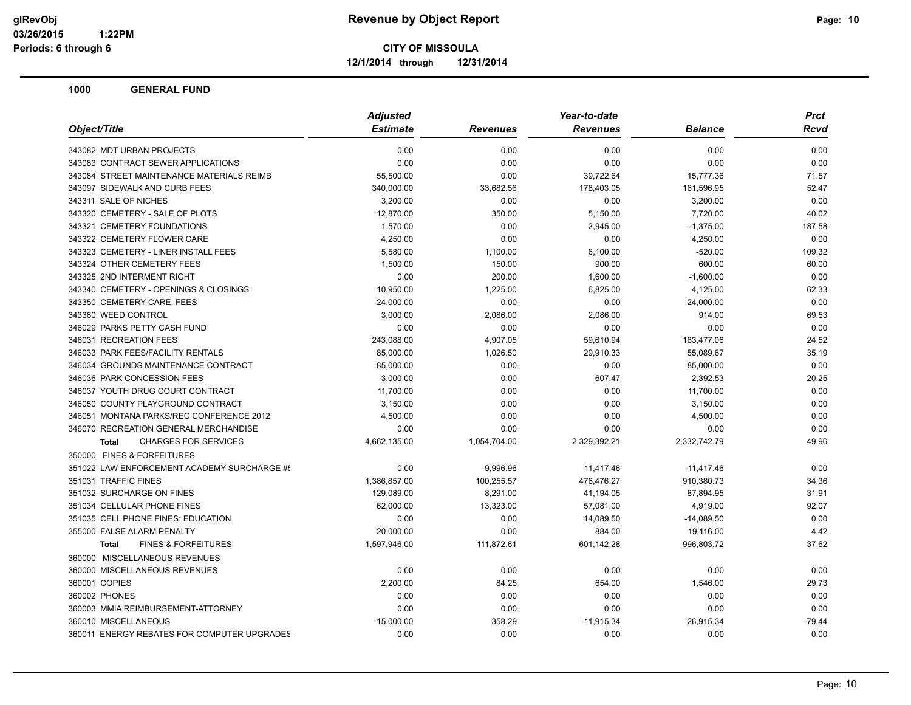**12/1/2014 through 12/31/2014**

|                                                | <b>Adjusted</b> |                 | Year-to-date    |                | <b>Prct</b> |
|------------------------------------------------|-----------------|-----------------|-----------------|----------------|-------------|
| Object/Title                                   | <b>Estimate</b> | <b>Revenues</b> | <b>Revenues</b> | <b>Balance</b> | <b>Rcvd</b> |
| 343082 MDT URBAN PROJECTS                      | 0.00            | 0.00            | 0.00            | 0.00           | 0.00        |
| 343083 CONTRACT SEWER APPLICATIONS             | 0.00            | 0.00            | 0.00            | 0.00           | 0.00        |
| 343084 STREET MAINTENANCE MATERIALS REIMB      | 55,500.00       | 0.00            | 39,722.64       | 15,777.36      | 71.57       |
| 343097 SIDEWALK AND CURB FEES                  | 340,000.00      | 33,682.56       | 178,403.05      | 161,596.95     | 52.47       |
| 343311 SALE OF NICHES                          | 3,200.00        | 0.00            | 0.00            | 3,200.00       | 0.00        |
| 343320 CEMETERY - SALE OF PLOTS                | 12,870.00       | 350.00          | 5,150.00        | 7,720.00       | 40.02       |
| 343321 CEMETERY FOUNDATIONS                    | 1,570.00        | 0.00            | 2,945.00        | $-1,375.00$    | 187.58      |
| 343322 CEMETERY FLOWER CARE                    | 4,250.00        | 0.00            | 0.00            | 4,250.00       | 0.00        |
| 343323 CEMETERY - LINER INSTALL FEES           | 5,580.00        | 1,100.00        | 6,100.00        | $-520.00$      | 109.32      |
| 343324 OTHER CEMETERY FEES                     | 1,500.00        | 150.00          | 900.00          | 600.00         | 60.00       |
| 343325 2ND INTERMENT RIGHT                     | 0.00            | 200.00          | 1,600.00        | $-1,600.00$    | 0.00        |
| 343340 CEMETERY - OPENINGS & CLOSINGS          | 10,950.00       | 1,225.00        | 6,825.00        | 4,125.00       | 62.33       |
| 343350 CEMETERY CARE, FEES                     | 24,000.00       | 0.00            | 0.00            | 24,000.00      | 0.00        |
| 343360 WEED CONTROL                            | 3,000.00        | 2,086.00        | 2,086.00        | 914.00         | 69.53       |
| 346029 PARKS PETTY CASH FUND                   | 0.00            | 0.00            | 0.00            | 0.00           | 0.00        |
| 346031 RECREATION FEES                         | 243,088.00      | 4,907.05        | 59,610.94       | 183,477.06     | 24.52       |
| 346033 PARK FEES/FACILITY RENTALS              | 85,000.00       | 1,026.50        | 29,910.33       | 55,089.67      | 35.19       |
| 346034 GROUNDS MAINTENANCE CONTRACT            | 85,000.00       | 0.00            | 0.00            | 85,000.00      | 0.00        |
| 346036 PARK CONCESSION FEES                    | 3,000.00        | 0.00            | 607.47          | 2,392.53       | 20.25       |
| 346037 YOUTH DRUG COURT CONTRACT               | 11,700.00       | 0.00            | 0.00            | 11,700.00      | 0.00        |
| 346050 COUNTY PLAYGROUND CONTRACT              | 3,150.00        | 0.00            | 0.00            | 3,150.00       | 0.00        |
| 346051 MONTANA PARKS/REC CONFERENCE 2012       | 4,500.00        | 0.00            | 0.00            | 4,500.00       | 0.00        |
| 346070 RECREATION GENERAL MERCHANDISE          | 0.00            | 0.00            | 0.00            | 0.00           | 0.00        |
| <b>CHARGES FOR SERVICES</b><br><b>Total</b>    | 4,662,135.00    | 1,054,704.00    | 2,329,392.21    | 2,332,742.79   | 49.96       |
| 350000 FINES & FORFEITURES                     |                 |                 |                 |                |             |
| 351022 LAW ENFORCEMENT ACADEMY SURCHARGE #!    | 0.00            | $-9,996.96$     | 11,417.46       | $-11,417.46$   | 0.00        |
| 351031 TRAFFIC FINES                           | 1,386,857.00    | 100,255.57      | 476,476.27      | 910,380.73     | 34.36       |
| 351032 SURCHARGE ON FINES                      | 129,089.00      | 8,291.00        | 41,194.05       | 87,894.95      | 31.91       |
| 351034 CELLULAR PHONE FINES                    | 62,000.00       | 13,323.00       | 57,081.00       | 4,919.00       | 92.07       |
| 351035 CELL PHONE FINES: EDUCATION             | 0.00            | 0.00            | 14,089.50       | $-14,089.50$   | 0.00        |
| 355000 FALSE ALARM PENALTY                     | 20,000.00       | 0.00            | 884.00          | 19,116.00      | 4.42        |
| <b>FINES &amp; FORFEITURES</b><br><b>Total</b> | 1,597,946.00    | 111,872.61      | 601,142.28      | 996,803.72     | 37.62       |
| 360000 MISCELLANEOUS REVENUES                  |                 |                 |                 |                |             |
| 360000 MISCELLANEOUS REVENUES                  | 0.00            | 0.00            | 0.00            | 0.00           | 0.00        |
| 360001 COPIES                                  | 2,200.00        | 84.25           | 654.00          | 1,546.00       | 29.73       |
| 360002 PHONES                                  | 0.00            | 0.00            | 0.00            | 0.00           | 0.00        |
| 360003 MMIA REIMBURSEMENT-ATTORNEY             | 0.00            | 0.00            | 0.00            | 0.00           | 0.00        |
| 360010 MISCELLANEOUS                           | 15,000.00       | 358.29          | $-11,915.34$    | 26,915.34      | $-79.44$    |
| 360011 ENERGY REBATES FOR COMPUTER UPGRADES    | 0.00            | 0.00            | 0.00            | 0.00           | 0.00        |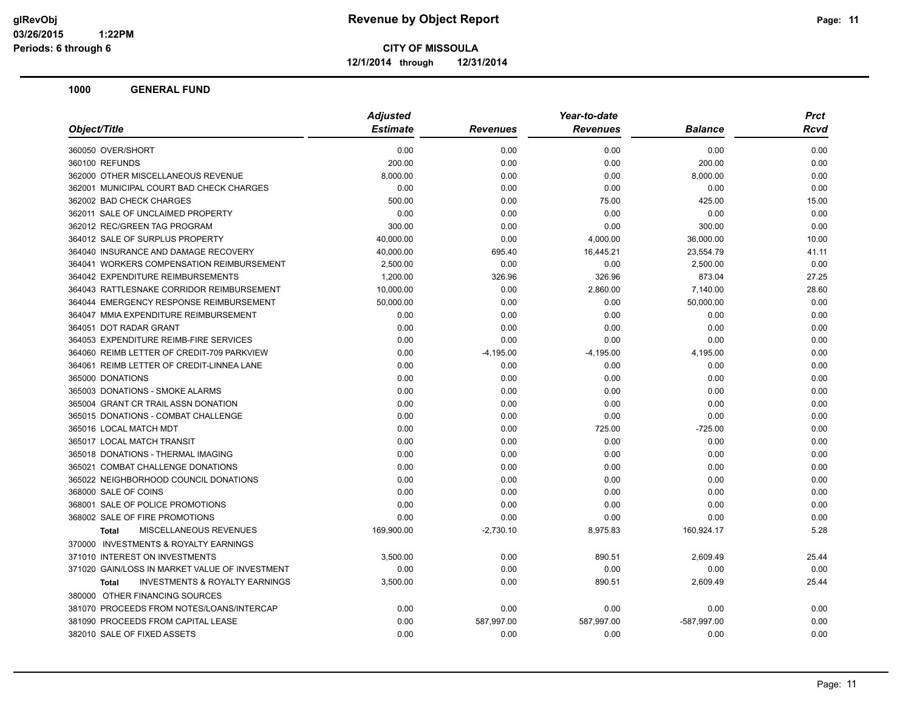**12/1/2014 through 12/31/2014**

| Object/Title                                              | <b>Adjusted</b> |                 | Year-to-date    |                | <b>Prct</b> |
|-----------------------------------------------------------|-----------------|-----------------|-----------------|----------------|-------------|
|                                                           | <b>Estimate</b> | <b>Revenues</b> | <b>Revenues</b> | <b>Balance</b> | Rcvd        |
| 360050 OVER/SHORT                                         | 0.00            | 0.00            | 0.00            | 0.00           | 0.00        |
| 360100 REFUNDS                                            | 200.00          | 0.00            | 0.00            | 200.00         | 0.00        |
| 362000 OTHER MISCELLANEOUS REVENUE                        | 8,000.00        | 0.00            | 0.00            | 8,000.00       | 0.00        |
| 362001 MUNICIPAL COURT BAD CHECK CHARGES                  | 0.00            | 0.00            | 0.00            | 0.00           | 0.00        |
| 362002 BAD CHECK CHARGES                                  | 500.00          | 0.00            | 75.00           | 425.00         | 15.00       |
| 362011 SALE OF UNCLAIMED PROPERTY                         | 0.00            | 0.00            | 0.00            | 0.00           | 0.00        |
| 362012 REC/GREEN TAG PROGRAM                              | 300.00          | 0.00            | 0.00            | 300.00         | 0.00        |
| 364012 SALE OF SURPLUS PROPERTY                           | 40,000.00       | 0.00            | 4,000.00        | 36,000.00      | 10.00       |
| 364040 INSURANCE AND DAMAGE RECOVERY                      | 40,000.00       | 695.40          | 16,445.21       | 23,554.79      | 41.11       |
| 364041 WORKERS COMPENSATION REIMBURSEMENT                 | 2,500.00        | 0.00            | 0.00            | 2,500.00       | 0.00        |
| 364042 EXPENDITURE REIMBURSEMENTS                         | 1.200.00        | 326.96          | 326.96          | 873.04         | 27.25       |
| 364043 RATTLESNAKE CORRIDOR REIMBURSEMENT                 | 10,000.00       | 0.00            | 2,860.00        | 7,140.00       | 28.60       |
| 364044 EMERGENCY RESPONSE REIMBURSEMENT                   | 50,000.00       | 0.00            | 0.00            | 50,000.00      | 0.00        |
| 364047 MMIA EXPENDITURE REIMBURSEMENT                     | 0.00            | 0.00            | 0.00            | 0.00           | 0.00        |
| 364051 DOT RADAR GRANT                                    | 0.00            | 0.00            | 0.00            | 0.00           | 0.00        |
| 364053 EXPENDITURE REIMB-FIRE SERVICES                    | 0.00            | 0.00            | 0.00            | 0.00           | 0.00        |
| 364060 REIMB LETTER OF CREDIT-709 PARKVIEW                | 0.00            | $-4,195.00$     | $-4,195.00$     | 4,195.00       | 0.00        |
| 364061 REIMB LETTER OF CREDIT-LINNEA LANE                 | 0.00            | 0.00            | 0.00            | 0.00           | 0.00        |
| 365000 DONATIONS                                          | 0.00            | 0.00            | 0.00            | 0.00           | 0.00        |
| 365003 DONATIONS - SMOKE ALARMS                           | 0.00            | 0.00            | 0.00            | 0.00           | 0.00        |
| 365004 GRANT CR TRAIL ASSN DONATION                       | 0.00            | 0.00            | 0.00            | 0.00           | 0.00        |
| 365015 DONATIONS - COMBAT CHALLENGE                       | 0.00            | 0.00            | 0.00            | 0.00           | 0.00        |
| 365016 LOCAL MATCH MDT                                    | 0.00            | 0.00            | 725.00          | $-725.00$      | 0.00        |
| 365017 LOCAL MATCH TRANSIT                                | 0.00            | 0.00            | 0.00            | 0.00           | 0.00        |
| 365018 DONATIONS - THERMAL IMAGING                        | 0.00            | 0.00            | 0.00            | 0.00           | 0.00        |
| 365021 COMBAT CHALLENGE DONATIONS                         | 0.00            | 0.00            | 0.00            | 0.00           | 0.00        |
| 365022 NEIGHBORHOOD COUNCIL DONATIONS                     | 0.00            | 0.00            | 0.00            | 0.00           | 0.00        |
| 368000 SALE OF COINS                                      | 0.00            | 0.00            | 0.00            | 0.00           | 0.00        |
| 368001 SALE OF POLICE PROMOTIONS                          | 0.00            | 0.00            | 0.00            | 0.00           | 0.00        |
| 368002 SALE OF FIRE PROMOTIONS                            | 0.00            | 0.00            | 0.00            | 0.00           | 0.00        |
| MISCELLANEOUS REVENUES<br><b>Total</b>                    | 169,900.00      | $-2,730.10$     | 8,975.83        | 160,924.17     | 5.28        |
| 370000 INVESTMENTS & ROYALTY EARNINGS                     |                 |                 |                 |                |             |
| 371010 INTEREST ON INVESTMENTS                            | 3,500.00        | 0.00            | 890.51          | 2,609.49       | 25.44       |
| 371020 GAIN/LOSS IN MARKET VALUE OF INVESTMENT            | 0.00            | 0.00            | 0.00            | 0.00           | 0.00        |
| <b>INVESTMENTS &amp; ROYALTY EARNINGS</b><br><b>Total</b> | 3,500.00        | 0.00            | 890.51          | 2,609.49       | 25.44       |
| 380000 OTHER FINANCING SOURCES                            |                 |                 |                 |                |             |
| 381070 PROCEEDS FROM NOTES/LOANS/INTERCAP                 | 0.00            | 0.00            | 0.00            | 0.00           | 0.00        |
| 381090 PROCEEDS FROM CAPITAL LEASE                        | 0.00            | 587,997.00      | 587,997.00      | -587,997.00    | 0.00        |
| 382010 SALE OF FIXED ASSETS                               | 0.00            | 0.00            | 0.00            | 0.00           | 0.00        |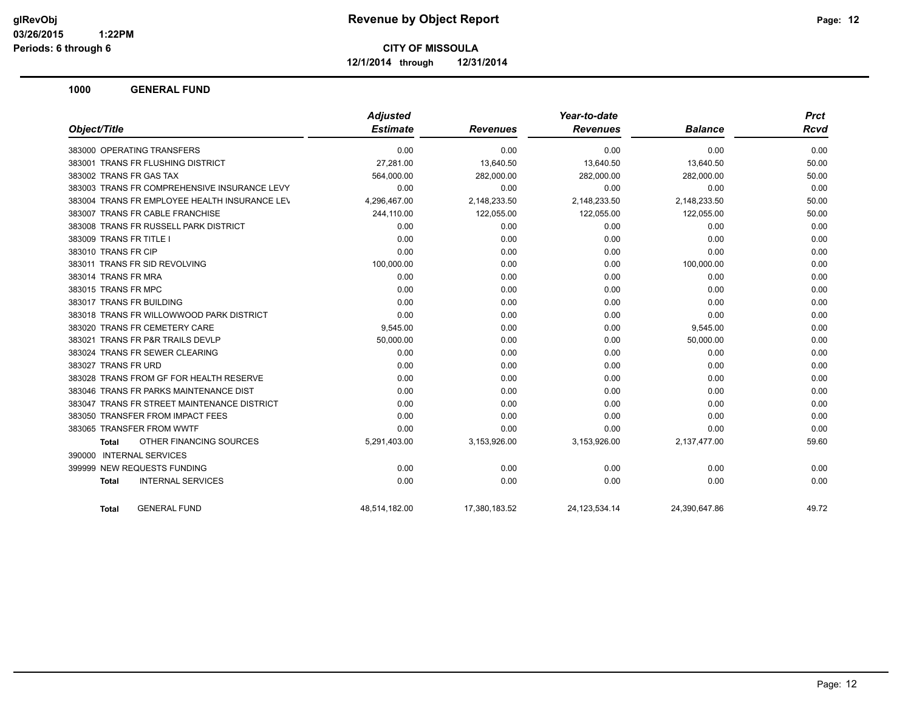**12/1/2014 through 12/31/2014**

|                                               | <b>Adjusted</b> |                 | Year-to-date     |                | <b>Prct</b> |
|-----------------------------------------------|-----------------|-----------------|------------------|----------------|-------------|
| Object/Title                                  | <b>Estimate</b> | <b>Revenues</b> | <b>Revenues</b>  | <b>Balance</b> | <b>Rcvd</b> |
| 383000 OPERATING TRANSFERS                    | 0.00            | 0.00            | 0.00             | 0.00           | 0.00        |
| 383001 TRANS FR FLUSHING DISTRICT             | 27,281.00       | 13,640.50       | 13,640.50        | 13,640.50      | 50.00       |
| 383002 TRANS FR GAS TAX                       | 564,000.00      | 282,000.00      | 282,000.00       | 282,000.00     | 50.00       |
| 383003 TRANS FR COMPREHENSIVE INSURANCE LEVY  | 0.00            | 0.00            | 0.00             | 0.00           | 0.00        |
| 383004 TRANS FR EMPLOYEE HEALTH INSURANCE LEV | 4,296,467.00    | 2,148,233.50    | 2,148,233.50     | 2,148,233.50   | 50.00       |
| 383007 TRANS FR CABLE FRANCHISE               | 244,110.00      | 122,055.00      | 122,055.00       | 122,055.00     | 50.00       |
| 383008 TRANS FR RUSSELL PARK DISTRICT         | 0.00            | 0.00            | 0.00             | 0.00           | 0.00        |
| 383009 TRANS FR TITLE I                       | 0.00            | 0.00            | 0.00             | 0.00           | 0.00        |
| 383010 TRANS FR CIP                           | 0.00            | 0.00            | 0.00             | 0.00           | 0.00        |
| 383011 TRANS FR SID REVOLVING                 | 100,000.00      | 0.00            | 0.00             | 100,000.00     | 0.00        |
| 383014 TRANS FR MRA                           | 0.00            | 0.00            | 0.00             | 0.00           | 0.00        |
| 383015 TRANS FR MPC                           | 0.00            | 0.00            | 0.00             | 0.00           | 0.00        |
| 383017 TRANS FR BUILDING                      | 0.00            | 0.00            | 0.00             | 0.00           | 0.00        |
| 383018 TRANS FR WILLOWWOOD PARK DISTRICT      | 0.00            | 0.00            | 0.00             | 0.00           | 0.00        |
| 383020 TRANS FR CEMETERY CARE                 | 9,545.00        | 0.00            | 0.00             | 9,545.00       | 0.00        |
| 383021 TRANS FR P&R TRAILS DEVLP              | 50,000.00       | 0.00            | 0.00             | 50,000.00      | 0.00        |
| 383024 TRANS FR SEWER CLEARING                | 0.00            | 0.00            | 0.00             | 0.00           | 0.00        |
| 383027 TRANS FR URD                           | 0.00            | 0.00            | 0.00             | 0.00           | 0.00        |
| 383028 TRANS FROM GF FOR HEALTH RESERVE       | 0.00            | 0.00            | 0.00             | 0.00           | 0.00        |
| 383046 TRANS FR PARKS MAINTENANCE DIST        | 0.00            | 0.00            | 0.00             | 0.00           | 0.00        |
| 383047 TRANS FR STREET MAINTENANCE DISTRICT   | 0.00            | 0.00            | 0.00             | 0.00           | 0.00        |
| 383050 TRANSFER FROM IMPACT FEES              | 0.00            | 0.00            | 0.00             | 0.00           | 0.00        |
| 383065 TRANSFER FROM WWTF                     | 0.00            | 0.00            | 0.00             | 0.00           | 0.00        |
| OTHER FINANCING SOURCES<br><b>Total</b>       | 5,291,403.00    | 3,153,926.00    | 3,153,926.00     | 2,137,477.00   | 59.60       |
| 390000 INTERNAL SERVICES                      |                 |                 |                  |                |             |
| 399999 NEW REQUESTS FUNDING                   | 0.00            | 0.00            | 0.00             | 0.00           | 0.00        |
| <b>INTERNAL SERVICES</b><br><b>Total</b>      | 0.00            | 0.00            | 0.00             | 0.00           | 0.00        |
| <b>GENERAL FUND</b><br><b>Total</b>           | 48,514,182.00   | 17,380,183.52   | 24, 123, 534. 14 | 24,390,647.86  | 49.72       |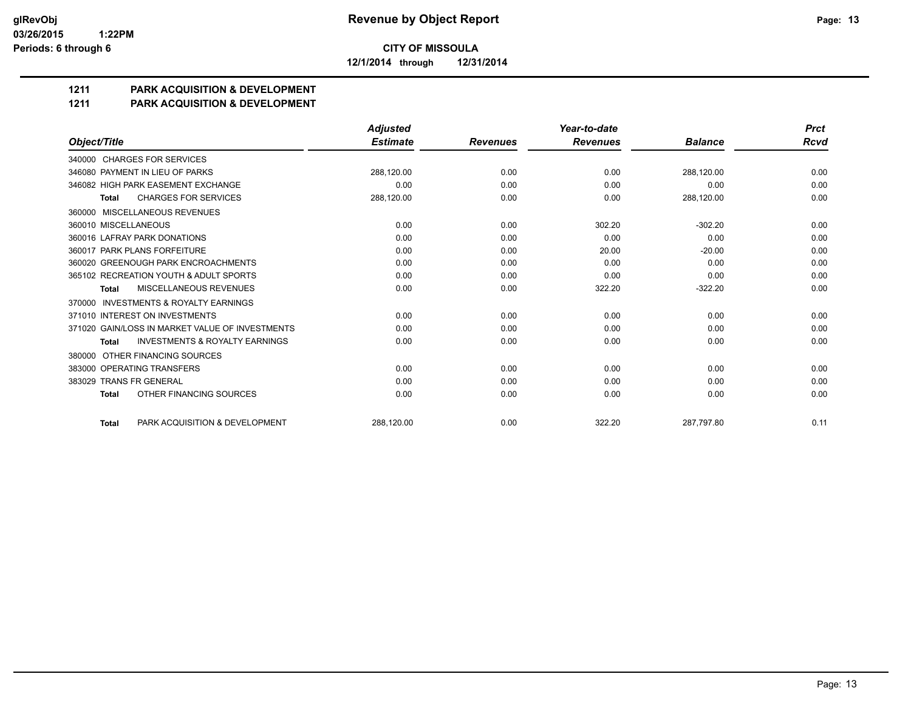**12/1/2014 through 12/31/2014**

## **1211 PARK ACQUISITION & DEVELOPMENT**

#### **1211 PARK ACQUISITION & DEVELOPMENT**

|                                                           | <b>Adjusted</b> |                 | Year-to-date    |                | <b>Prct</b> |
|-----------------------------------------------------------|-----------------|-----------------|-----------------|----------------|-------------|
| Object/Title                                              | <b>Estimate</b> | <b>Revenues</b> | <b>Revenues</b> | <b>Balance</b> | Rcvd        |
| 340000 CHARGES FOR SERVICES                               |                 |                 |                 |                |             |
| 346080 PAYMENT IN LIEU OF PARKS                           | 288,120.00      | 0.00            | 0.00            | 288,120.00     | 0.00        |
| 346082 HIGH PARK EASEMENT EXCHANGE                        | 0.00            | 0.00            | 0.00            | 0.00           | 0.00        |
| <b>CHARGES FOR SERVICES</b><br><b>Total</b>               | 288,120.00      | 0.00            | 0.00            | 288,120.00     | 0.00        |
| 360000 MISCELLANEOUS REVENUES                             |                 |                 |                 |                |             |
| 360010 MISCELLANEOUS                                      | 0.00            | 0.00            | 302.20          | $-302.20$      | 0.00        |
| 360016 LAFRAY PARK DONATIONS                              | 0.00            | 0.00            | 0.00            | 0.00           | 0.00        |
| 360017 PARK PLANS FORFEITURE                              | 0.00            | 0.00            | 20.00           | $-20.00$       | 0.00        |
| 360020 GREENOUGH PARK ENCROACHMENTS                       | 0.00            | 0.00            | 0.00            | 0.00           | 0.00        |
| 365102 RECREATION YOUTH & ADULT SPORTS                    | 0.00            | 0.00            | 0.00            | 0.00           | 0.00        |
| MISCELLANEOUS REVENUES<br><b>Total</b>                    | 0.00            | 0.00            | 322.20          | $-322.20$      | 0.00        |
| <b>INVESTMENTS &amp; ROYALTY EARNINGS</b><br>370000       |                 |                 |                 |                |             |
| 371010 INTEREST ON INVESTMENTS                            | 0.00            | 0.00            | 0.00            | 0.00           | 0.00        |
| 371020 GAIN/LOSS IN MARKET VALUE OF INVESTMENTS           | 0.00            | 0.00            | 0.00            | 0.00           | 0.00        |
| <b>INVESTMENTS &amp; ROYALTY EARNINGS</b><br><b>Total</b> | 0.00            | 0.00            | 0.00            | 0.00           | 0.00        |
| OTHER FINANCING SOURCES<br>380000                         |                 |                 |                 |                |             |
| 383000 OPERATING TRANSFERS                                | 0.00            | 0.00            | 0.00            | 0.00           | 0.00        |
| 383029 TRANS FR GENERAL                                   | 0.00            | 0.00            | 0.00            | 0.00           | 0.00        |
| OTHER FINANCING SOURCES<br><b>Total</b>                   | 0.00            | 0.00            | 0.00            | 0.00           | 0.00        |
| PARK ACQUISITION & DEVELOPMENT<br><b>Total</b>            | 288.120.00      | 0.00            | 322.20          | 287.797.80     | 0.11        |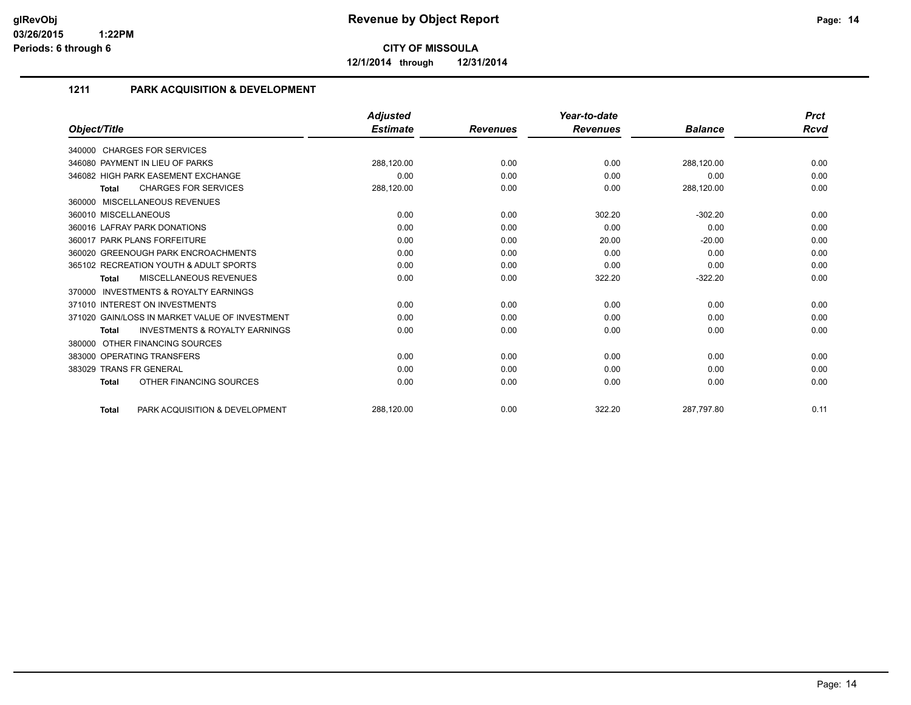**12/1/2014 through 12/31/2014**

## **1211 PARK ACQUISITION & DEVELOPMENT**

|                                                           | <b>Adjusted</b> |                 | Year-to-date    |                | <b>Prct</b> |
|-----------------------------------------------------------|-----------------|-----------------|-----------------|----------------|-------------|
| Object/Title                                              | <b>Estimate</b> | <b>Revenues</b> | <b>Revenues</b> | <b>Balance</b> | Rcvd        |
| 340000 CHARGES FOR SERVICES                               |                 |                 |                 |                |             |
| 346080 PAYMENT IN LIEU OF PARKS                           | 288,120.00      | 0.00            | 0.00            | 288,120.00     | 0.00        |
| 346082 HIGH PARK EASEMENT EXCHANGE                        | 0.00            | 0.00            | 0.00            | 0.00           | 0.00        |
| <b>CHARGES FOR SERVICES</b><br>Total                      | 288,120.00      | 0.00            | 0.00            | 288,120.00     | 0.00        |
| 360000 MISCELLANEOUS REVENUES                             |                 |                 |                 |                |             |
| 360010 MISCELLANEOUS                                      | 0.00            | 0.00            | 302.20          | $-302.20$      | 0.00        |
| 360016 LAFRAY PARK DONATIONS                              | 0.00            | 0.00            | 0.00            | 0.00           | 0.00        |
| 360017 PARK PLANS FORFEITURE                              | 0.00            | 0.00            | 20.00           | $-20.00$       | 0.00        |
| 360020 GREENOUGH PARK ENCROACHMENTS                       | 0.00            | 0.00            | 0.00            | 0.00           | 0.00        |
| 365102 RECREATION YOUTH & ADULT SPORTS                    | 0.00            | 0.00            | 0.00            | 0.00           | 0.00        |
| <b>MISCELLANEOUS REVENUES</b><br>Total                    | 0.00            | 0.00            | 322.20          | $-322.20$      | 0.00        |
| <b>INVESTMENTS &amp; ROYALTY EARNINGS</b><br>370000       |                 |                 |                 |                |             |
| 371010 INTEREST ON INVESTMENTS                            | 0.00            | 0.00            | 0.00            | 0.00           | 0.00        |
| 371020 GAIN/LOSS IN MARKET VALUE OF INVESTMENT            | 0.00            | 0.00            | 0.00            | 0.00           | 0.00        |
| <b>INVESTMENTS &amp; ROYALTY EARNINGS</b><br><b>Total</b> | 0.00            | 0.00            | 0.00            | 0.00           | 0.00        |
| 380000 OTHER FINANCING SOURCES                            |                 |                 |                 |                |             |
| 383000 OPERATING TRANSFERS                                | 0.00            | 0.00            | 0.00            | 0.00           | 0.00        |
| 383029 TRANS FR GENERAL                                   | 0.00            | 0.00            | 0.00            | 0.00           | 0.00        |
| OTHER FINANCING SOURCES<br><b>Total</b>                   | 0.00            | 0.00            | 0.00            | 0.00           | 0.00        |
| PARK ACQUISITION & DEVELOPMENT<br><b>Total</b>            | 288,120.00      | 0.00            | 322.20          | 287,797.80     | 0.11        |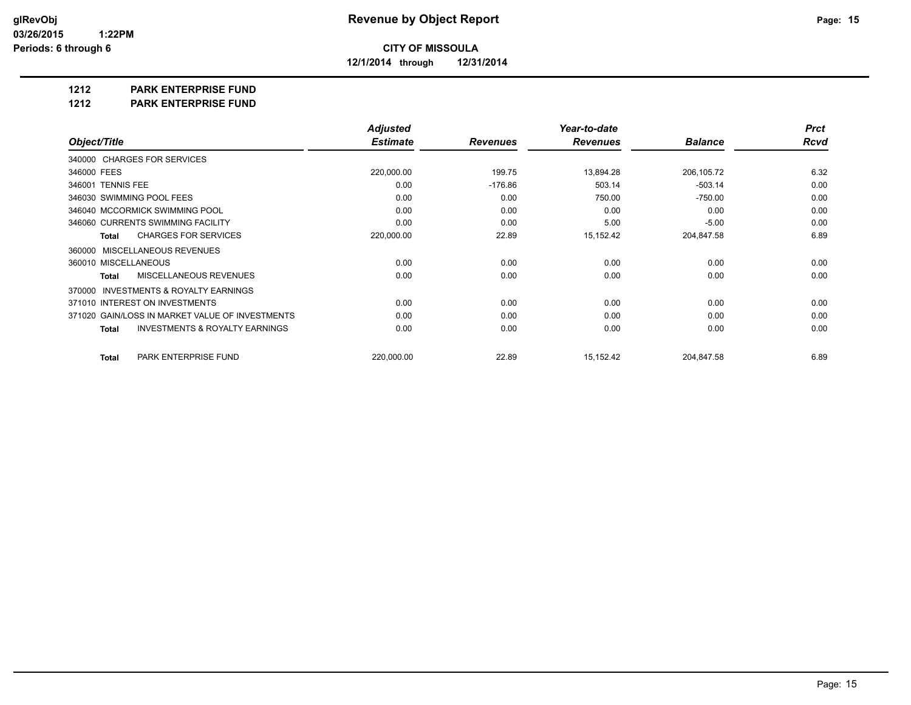**12/1/2014 through 12/31/2014**

## **1212 PARK ENTERPRISE FUND**

**1212 PARK ENTERPRISE FUND**

|                                                           | <b>Adjusted</b> |                 | Year-to-date    |                | <b>Prct</b> |
|-----------------------------------------------------------|-----------------|-----------------|-----------------|----------------|-------------|
| Object/Title                                              | <b>Estimate</b> | <b>Revenues</b> | <b>Revenues</b> | <b>Balance</b> | Rcvd        |
| 340000 CHARGES FOR SERVICES                               |                 |                 |                 |                |             |
| 346000 FEES                                               | 220,000.00      | 199.75          | 13,894.28       | 206,105.72     | 6.32        |
| 346001 TENNIS FEE                                         | 0.00            | $-176.86$       | 503.14          | $-503.14$      | 0.00        |
| 346030 SWIMMING POOL FEES                                 | 0.00            | 0.00            | 750.00          | $-750.00$      | 0.00        |
| 346040 MCCORMICK SWIMMING POOL                            | 0.00            | 0.00            | 0.00            | 0.00           | 0.00        |
| 346060 CURRENTS SWIMMING FACILITY                         | 0.00            | 0.00            | 5.00            | $-5.00$        | 0.00        |
| <b>CHARGES FOR SERVICES</b><br><b>Total</b>               | 220,000.00      | 22.89           | 15,152.42       | 204,847.58     | 6.89        |
| MISCELLANEOUS REVENUES<br>360000                          |                 |                 |                 |                |             |
| 360010 MISCELLANEOUS                                      | 0.00            | 0.00            | 0.00            | 0.00           | 0.00        |
| <b>MISCELLANEOUS REVENUES</b><br><b>Total</b>             | 0.00            | 0.00            | 0.00            | 0.00           | 0.00        |
| INVESTMENTS & ROYALTY EARNINGS<br>370000                  |                 |                 |                 |                |             |
| 371010 INTEREST ON INVESTMENTS                            | 0.00            | 0.00            | 0.00            | 0.00           | 0.00        |
| 371020 GAIN/LOSS IN MARKET VALUE OF INVESTMENTS           | 0.00            | 0.00            | 0.00            | 0.00           | 0.00        |
| <b>INVESTMENTS &amp; ROYALTY EARNINGS</b><br><b>Total</b> | 0.00            | 0.00            | 0.00            | 0.00           | 0.00        |
| PARK ENTERPRISE FUND<br><b>Total</b>                      | 220,000.00      | 22.89           | 15,152.42       | 204,847.58     | 6.89        |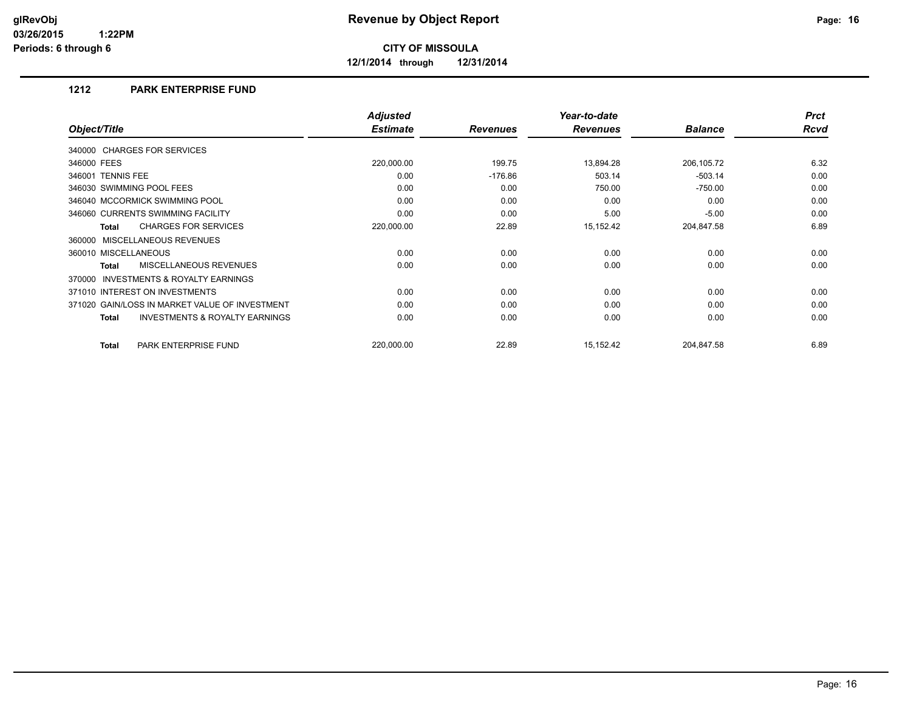**12/1/2014 through 12/31/2014**

## **1212 PARK ENTERPRISE FUND**

|                                                           | <b>Adjusted</b> |                 | Year-to-date    |                | <b>Prct</b> |
|-----------------------------------------------------------|-----------------|-----------------|-----------------|----------------|-------------|
| Object/Title                                              | <b>Estimate</b> | <b>Revenues</b> | <b>Revenues</b> | <b>Balance</b> | Rcvd        |
| 340000 CHARGES FOR SERVICES                               |                 |                 |                 |                |             |
| 346000 FEES                                               | 220,000.00      | 199.75          | 13,894.28       | 206,105.72     | 6.32        |
| 346001 TENNIS FEE                                         | 0.00            | $-176.86$       | 503.14          | $-503.14$      | 0.00        |
| 346030 SWIMMING POOL FEES                                 | 0.00            | 0.00            | 750.00          | $-750.00$      | 0.00        |
| 346040 MCCORMICK SWIMMING POOL                            | 0.00            | 0.00            | 0.00            | 0.00           | 0.00        |
| 346060 CURRENTS SWIMMING FACILITY                         | 0.00            | 0.00            | 5.00            | $-5.00$        | 0.00        |
| <b>CHARGES FOR SERVICES</b><br>Total                      | 220,000.00      | 22.89           | 15,152.42       | 204,847.58     | 6.89        |
| 360000 MISCELLANEOUS REVENUES                             |                 |                 |                 |                |             |
| 360010 MISCELLANEOUS                                      | 0.00            | 0.00            | 0.00            | 0.00           | 0.00        |
| MISCELLANEOUS REVENUES<br><b>Total</b>                    | 0.00            | 0.00            | 0.00            | 0.00           | 0.00        |
| INVESTMENTS & ROYALTY EARNINGS<br>370000                  |                 |                 |                 |                |             |
| 371010 INTEREST ON INVESTMENTS                            | 0.00            | 0.00            | 0.00            | 0.00           | 0.00        |
| 371020 GAIN/LOSS IN MARKET VALUE OF INVESTMENT            | 0.00            | 0.00            | 0.00            | 0.00           | 0.00        |
| <b>INVESTMENTS &amp; ROYALTY EARNINGS</b><br><b>Total</b> | 0.00            | 0.00            | 0.00            | 0.00           | 0.00        |
| PARK ENTERPRISE FUND<br><b>Total</b>                      | 220,000.00      | 22.89           | 15,152.42       | 204,847.58     | 6.89        |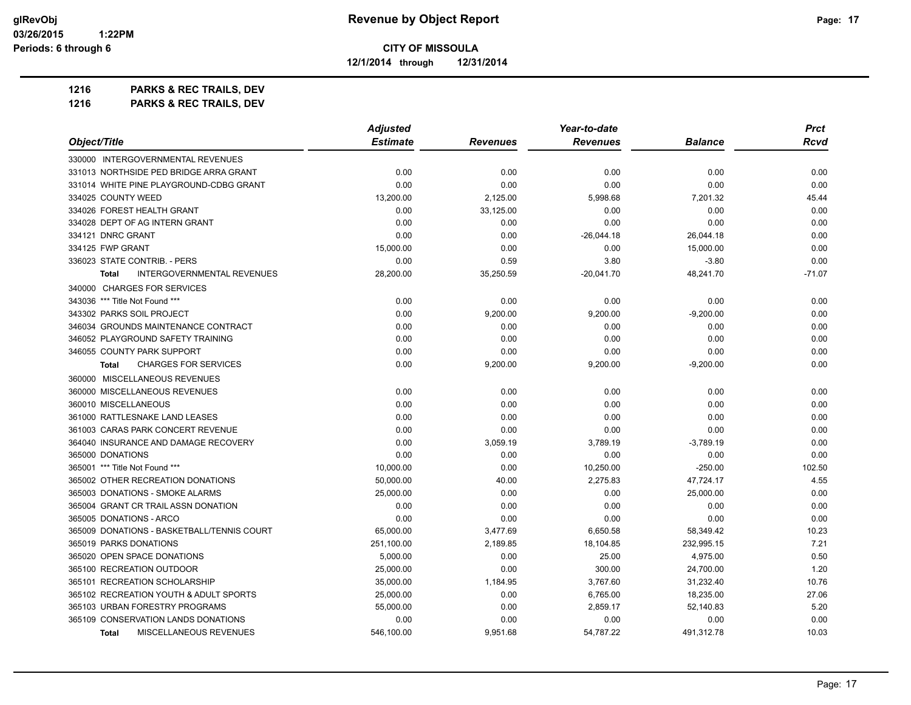**12/1/2014 through 12/31/2014**

**1216 PARKS & REC TRAILS, DEV**

|                                                   | <b>Adjusted</b> |                 | Year-to-date    |                |             |
|---------------------------------------------------|-----------------|-----------------|-----------------|----------------|-------------|
| Object/Title                                      | <b>Estimate</b> | <b>Revenues</b> | <b>Revenues</b> | <b>Balance</b> | <b>Rcvd</b> |
| 330000 INTERGOVERNMENTAL REVENUES                 |                 |                 |                 |                |             |
| 331013 NORTHSIDE PED BRIDGE ARRA GRANT            | 0.00            | 0.00            | 0.00            | 0.00           | 0.00        |
| 331014 WHITE PINE PLAYGROUND-CDBG GRANT           | 0.00            | 0.00            | 0.00            | 0.00           | 0.00        |
| 334025 COUNTY WEED                                | 13,200.00       | 2,125.00        | 5,998.68        | 7,201.32       | 45.44       |
| 334026 FOREST HEALTH GRANT                        | 0.00            | 33,125.00       | 0.00            | 0.00           | 0.00        |
| 334028 DEPT OF AG INTERN GRANT                    | 0.00            | 0.00            | 0.00            | 0.00           | 0.00        |
| 334121 DNRC GRANT                                 | 0.00            | 0.00            | $-26,044.18$    | 26,044.18      | 0.00        |
| 334125 FWP GRANT                                  | 15,000.00       | 0.00            | 0.00            | 15,000.00      | 0.00        |
| 336023 STATE CONTRIB. - PERS                      | 0.00            | 0.59            | 3.80            | $-3.80$        | 0.00        |
| <b>INTERGOVERNMENTAL REVENUES</b><br><b>Total</b> | 28,200.00       | 35,250.59       | $-20,041.70$    | 48,241.70      | $-71.07$    |
| 340000 CHARGES FOR SERVICES                       |                 |                 |                 |                |             |
| 343036 *** Title Not Found ***                    | 0.00            | 0.00            | 0.00            | 0.00           | 0.00        |
| 343302 PARKS SOIL PROJECT                         | 0.00            | 9,200.00        | 9,200.00        | $-9,200.00$    | 0.00        |
| 346034 GROUNDS MAINTENANCE CONTRACT               | 0.00            | 0.00            | 0.00            | 0.00           | 0.00        |
| 346052 PLAYGROUND SAFETY TRAINING                 | 0.00            | 0.00            | 0.00            | 0.00           | 0.00        |
| 346055 COUNTY PARK SUPPORT                        | 0.00            | 0.00            | 0.00            | 0.00           | 0.00        |
| <b>CHARGES FOR SERVICES</b><br><b>Total</b>       | 0.00            | 9,200.00        | 9,200.00        | $-9,200.00$    | 0.00        |
| 360000 MISCELLANEOUS REVENUES                     |                 |                 |                 |                |             |
| 360000 MISCELLANEOUS REVENUES                     | 0.00            | 0.00            | 0.00            | 0.00           | 0.00        |
| 360010 MISCELLANEOUS                              | 0.00            | 0.00            | 0.00            | 0.00           | 0.00        |
| 361000 RATTLESNAKE LAND LEASES                    | 0.00            | 0.00            | 0.00            | 0.00           | 0.00        |
| 361003 CARAS PARK CONCERT REVENUE                 | 0.00            | 0.00            | 0.00            | 0.00           | 0.00        |
| 364040 INSURANCE AND DAMAGE RECOVERY              | 0.00            | 3,059.19        | 3,789.19        | $-3,789.19$    | 0.00        |
| 365000 DONATIONS                                  | 0.00            | 0.00            | 0.00            | 0.00           | 0.00        |
| 365001 *** Title Not Found ***                    | 10,000.00       | 0.00            | 10,250.00       | $-250.00$      | 102.50      |
| 365002 OTHER RECREATION DONATIONS                 | 50,000.00       | 40.00           | 2,275.83        | 47,724.17      | 4.55        |
| 365003 DONATIONS - SMOKE ALARMS                   | 25,000.00       | 0.00            | 0.00            | 25,000.00      | 0.00        |
| 365004 GRANT CR TRAIL ASSN DONATION               | 0.00            | 0.00            | 0.00            | 0.00           | 0.00        |
| 365005 DONATIONS - ARCO                           | 0.00            | 0.00            | 0.00            | 0.00           | 0.00        |
| 365009 DONATIONS - BASKETBALL/TENNIS COURT        | 65,000.00       | 3,477.69        | 6,650.58        | 58,349.42      | 10.23       |
| 365019 PARKS DONATIONS                            | 251,100.00      | 2,189.85        | 18,104.85       | 232,995.15     | 7.21        |
| 365020 OPEN SPACE DONATIONS                       | 5,000.00        | 0.00            | 25.00           | 4,975.00       | 0.50        |
| 365100 RECREATION OUTDOOR                         | 25,000.00       | 0.00            | 300.00          | 24,700.00      | 1.20        |
| 365101 RECREATION SCHOLARSHIP                     | 35,000.00       | 1,184.95        | 3,767.60        | 31,232.40      | 10.76       |
| 365102 RECREATION YOUTH & ADULT SPORTS            | 25,000.00       | 0.00            | 6,765.00        | 18,235.00      | 27.06       |
| 365103 URBAN FORESTRY PROGRAMS                    | 55,000.00       | 0.00            | 2,859.17        | 52,140.83      | 5.20        |
| 365109 CONSERVATION LANDS DONATIONS               | 0.00            | 0.00            | 0.00            | 0.00           | 0.00        |
| MISCELLANEOUS REVENUES<br>Total                   | 546,100.00      | 9,951.68        | 54,787.22       | 491,312.78     | 10.03       |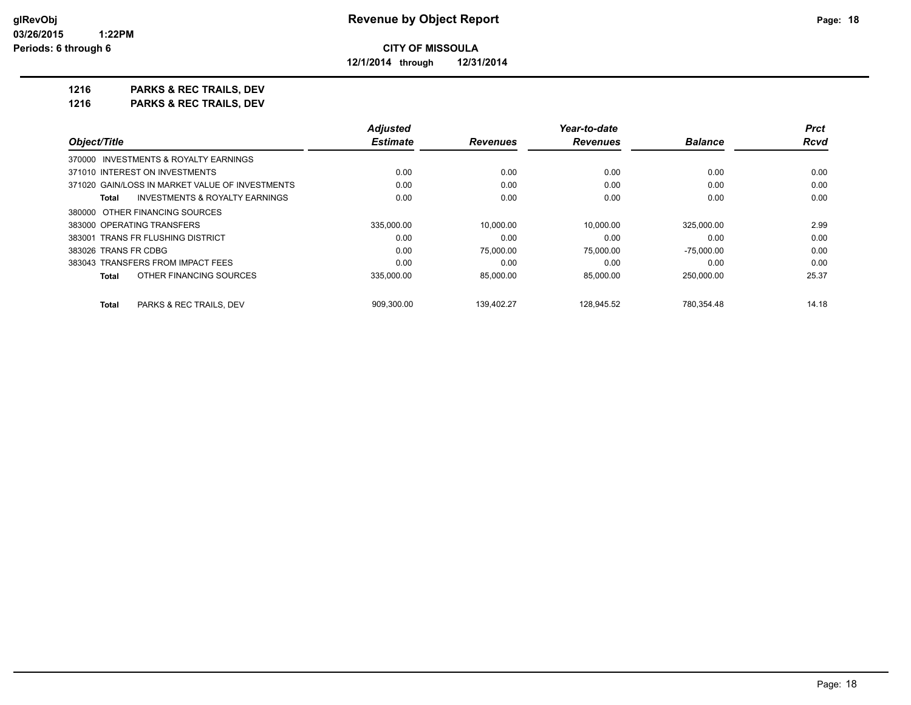**12/1/2014 through 12/31/2014**

**1216 PARKS & REC TRAILS, DEV**

|                                                    | <b>Adiusted</b> |                 | Year-to-date    |                | <b>Prct</b> |
|----------------------------------------------------|-----------------|-----------------|-----------------|----------------|-------------|
| Object/Title                                       | <b>Estimate</b> | <b>Revenues</b> | <b>Revenues</b> | <b>Balance</b> | <b>Rcvd</b> |
| 370000 INVESTMENTS & ROYALTY EARNINGS              |                 |                 |                 |                |             |
| 371010 INTEREST ON INVESTMENTS                     | 0.00            | 0.00            | 0.00            | 0.00           | 0.00        |
| 371020 GAIN/LOSS IN MARKET VALUE OF INVESTMENTS    | 0.00            | 0.00            | 0.00            | 0.00           | 0.00        |
| <b>INVESTMENTS &amp; ROYALTY EARNINGS</b><br>Total | 0.00            | 0.00            | 0.00            | 0.00           | 0.00        |
| 380000 OTHER FINANCING SOURCES                     |                 |                 |                 |                |             |
| 383000 OPERATING TRANSFERS                         | 335.000.00      | 10.000.00       | 10.000.00       | 325.000.00     | 2.99        |
| 383001 TRANS FR FLUSHING DISTRICT                  | 0.00            | 0.00            | 0.00            | 0.00           | 0.00        |
| 383026 TRANS FR CDBG                               | 0.00            | 75.000.00       | 75.000.00       | $-75.000.00$   | 0.00        |
| 383043 TRANSFERS FROM IMPACT FEES                  | 0.00            | 0.00            | 0.00            | 0.00           | 0.00        |
| OTHER FINANCING SOURCES<br>Total                   | 335,000.00      | 85,000.00       | 85,000.00       | 250,000.00     | 25.37       |
| PARKS & REC TRAILS, DEV<br>Total                   | 909.300.00      | 139.402.27      | 128.945.52      | 780.354.48     | 14.18       |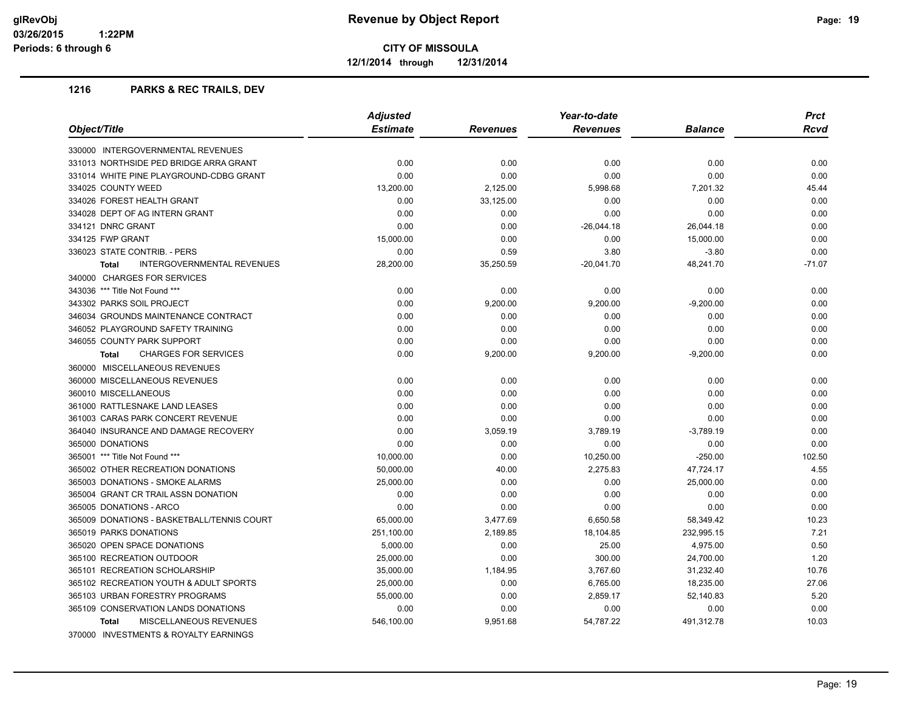**12/1/2014 through 12/31/2014**

| Object/Title                                | <b>Adjusted</b> |           | Year-to-date    |                |             |
|---------------------------------------------|-----------------|-----------|-----------------|----------------|-------------|
|                                             | <b>Estimate</b> | Revenues  | <b>Revenues</b> | <b>Balance</b> | <b>Rcvd</b> |
| 330000 INTERGOVERNMENTAL REVENUES           |                 |           |                 |                |             |
| 331013 NORTHSIDE PED BRIDGE ARRA GRANT      | 0.00            | 0.00      | 0.00            | 0.00           | 0.00        |
| 331014 WHITE PINE PLAYGROUND-CDBG GRANT     | 0.00            | 0.00      | 0.00            | 0.00           | 0.00        |
| 334025 COUNTY WEED                          | 13,200.00       | 2,125.00  | 5,998.68        | 7,201.32       | 45.44       |
| 334026 FOREST HEALTH GRANT                  | 0.00            | 33,125.00 | 0.00            | 0.00           | 0.00        |
| 334028 DEPT OF AG INTERN GRANT              | 0.00            | 0.00      | 0.00            | 0.00           | 0.00        |
| 334121 DNRC GRANT                           | 0.00            | 0.00      | $-26,044.18$    | 26,044.18      | 0.00        |
| 334125 FWP GRANT                            | 15,000.00       | 0.00      | 0.00            | 15,000.00      | 0.00        |
| 336023 STATE CONTRIB. - PERS                | 0.00            | 0.59      | 3.80            | $-3.80$        | 0.00        |
| <b>INTERGOVERNMENTAL REVENUES</b><br>Total  | 28,200.00       | 35,250.59 | $-20,041.70$    | 48,241.70      | $-71.07$    |
| 340000 CHARGES FOR SERVICES                 |                 |           |                 |                |             |
| 343036 *** Title Not Found ***              | 0.00            | 0.00      | 0.00            | 0.00           | 0.00        |
| 343302 PARKS SOIL PROJECT                   | 0.00            | 9,200.00  | 9,200.00        | $-9,200.00$    | 0.00        |
| 346034 GROUNDS MAINTENANCE CONTRACT         | 0.00            | 0.00      | 0.00            | 0.00           | 0.00        |
| 346052 PLAYGROUND SAFETY TRAINING           | 0.00            | 0.00      | 0.00            | 0.00           | 0.00        |
| 346055 COUNTY PARK SUPPORT                  | 0.00            | 0.00      | 0.00            | 0.00           | 0.00        |
| <b>CHARGES FOR SERVICES</b><br><b>Total</b> | 0.00            | 9,200.00  | 9,200.00        | $-9,200.00$    | 0.00        |
| 360000 MISCELLANEOUS REVENUES               |                 |           |                 |                |             |
| 360000 MISCELLANEOUS REVENUES               | 0.00            | 0.00      | 0.00            | 0.00           | 0.00        |
| 360010 MISCELLANEOUS                        | 0.00            | 0.00      | 0.00            | 0.00           | 0.00        |
| 361000 RATTLESNAKE LAND LEASES              | 0.00            | 0.00      | 0.00            | 0.00           | 0.00        |
| 361003 CARAS PARK CONCERT REVENUE           | 0.00            | 0.00      | 0.00            | 0.00           | 0.00        |
| 364040 INSURANCE AND DAMAGE RECOVERY        | 0.00            | 3,059.19  | 3,789.19        | $-3,789.19$    | 0.00        |
| 365000 DONATIONS                            | 0.00            | 0.00      | 0.00            | 0.00           | 0.00        |
| 365001 *** Title Not Found ***              | 10,000.00       | 0.00      | 10,250.00       | $-250.00$      | 102.50      |
| 365002 OTHER RECREATION DONATIONS           | 50,000.00       | 40.00     | 2,275.83        | 47,724.17      | 4.55        |
| 365003 DONATIONS - SMOKE ALARMS             | 25,000.00       | 0.00      | 0.00            | 25,000.00      | 0.00        |
| 365004 GRANT CR TRAIL ASSN DONATION         | 0.00            | 0.00      | 0.00            | 0.00           | 0.00        |
| 365005 DONATIONS - ARCO                     | 0.00            | 0.00      | 0.00            | 0.00           | 0.00        |
| 365009 DONATIONS - BASKETBALL/TENNIS COURT  | 65,000.00       | 3,477.69  | 6,650.58        | 58,349.42      | 10.23       |
| 365019 PARKS DONATIONS                      | 251,100.00      | 2,189.85  | 18,104.85       | 232,995.15     | 7.21        |
| 365020 OPEN SPACE DONATIONS                 | 5,000.00        | 0.00      | 25.00           | 4,975.00       | 0.50        |
| 365100 RECREATION OUTDOOR                   | 25,000.00       | 0.00      | 300.00          | 24,700.00      | 1.20        |
| 365101 RECREATION SCHOLARSHIP               | 35,000.00       | 1,184.95  | 3,767.60        | 31,232.40      | 10.76       |
| 365102 RECREATION YOUTH & ADULT SPORTS      | 25,000.00       | 0.00      | 6,765.00        | 18,235.00      | 27.06       |
| 365103 URBAN FORESTRY PROGRAMS              | 55,000.00       | 0.00      | 2,859.17        | 52,140.83      | 5.20        |
| 365109 CONSERVATION LANDS DONATIONS         | 0.00            | 0.00      | 0.00            | 0.00           | 0.00        |
| MISCELLANEOUS REVENUES<br><b>Total</b>      | 546,100.00      | 9,951.68  | 54,787.22       | 491,312.78     | 10.03       |
| 370000 INVESTMENTS & ROYALTY EARNINGS       |                 |           |                 |                |             |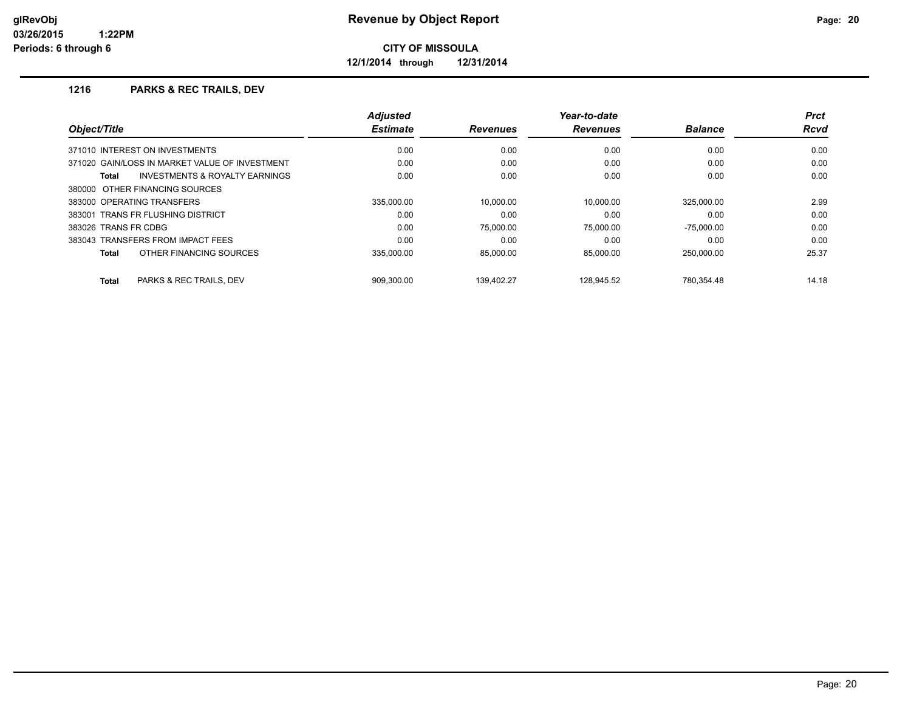**12/1/2014 through 12/31/2014**

|                                                | <b>Adjusted</b> |                 | Year-to-date    |                | <b>Prct</b> |
|------------------------------------------------|-----------------|-----------------|-----------------|----------------|-------------|
| Object/Title                                   | <b>Estimate</b> | <b>Revenues</b> | <b>Revenues</b> | <b>Balance</b> | <b>Rcvd</b> |
| 371010 INTEREST ON INVESTMENTS                 | 0.00            | 0.00            | 0.00            | 0.00           | 0.00        |
| 371020 GAIN/LOSS IN MARKET VALUE OF INVESTMENT | 0.00            | 0.00            | 0.00            | 0.00           | 0.00        |
| INVESTMENTS & ROYALTY EARNINGS<br>Total        | 0.00            | 0.00            | 0.00            | 0.00           | 0.00        |
| 380000 OTHER FINANCING SOURCES                 |                 |                 |                 |                |             |
| 383000 OPERATING TRANSFERS                     | 335.000.00      | 10.000.00       | 10.000.00       | 325,000.00     | 2.99        |
| 383001 TRANS FR FLUSHING DISTRICT              | 0.00            | 0.00            | 0.00            | 0.00           | 0.00        |
| 383026 TRANS FR CDBG                           | 0.00            | 75.000.00       | 75.000.00       | $-75.000.00$   | 0.00        |
| 383043 TRANSFERS FROM IMPACT FEES              | 0.00            | 0.00            | 0.00            | 0.00           | 0.00        |
| OTHER FINANCING SOURCES<br>Total               | 335.000.00      | 85,000.00       | 85.000.00       | 250.000.00     | 25.37       |
| PARKS & REC TRAILS, DEV<br><b>Total</b>        | 909.300.00      | 139.402.27      | 128.945.52      | 780.354.48     | 14.18       |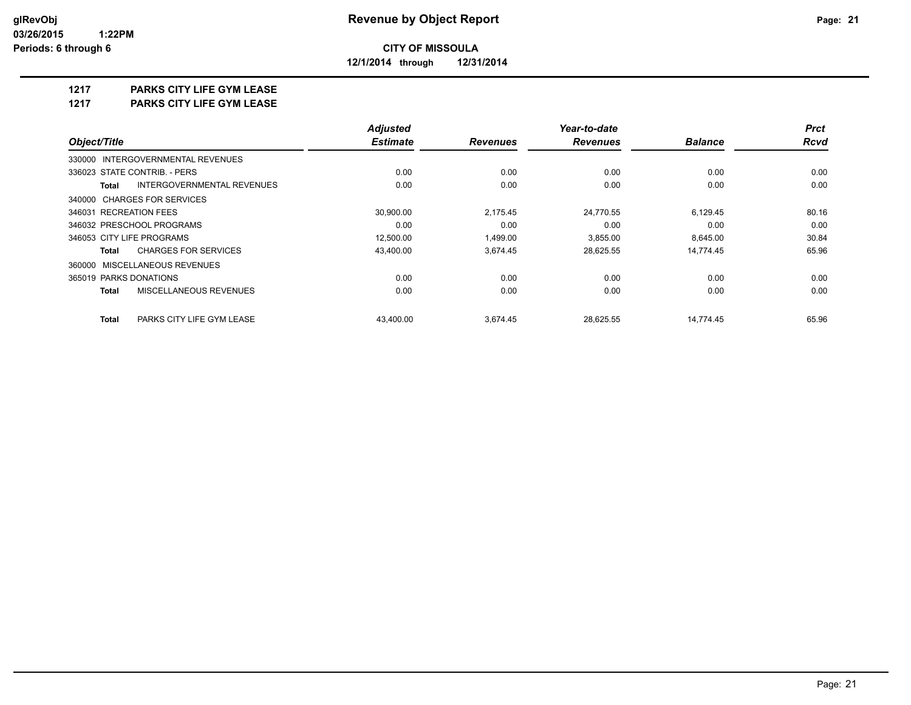**12/1/2014 through 12/31/2014**

## **1217 PARKS CITY LIFE GYM LEASE**

**1217 PARKS CITY LIFE GYM LEASE**

|                                             | <b>Adjusted</b> |                 | Year-to-date    | <b>Prct</b>    |             |
|---------------------------------------------|-----------------|-----------------|-----------------|----------------|-------------|
| Object/Title                                | <b>Estimate</b> | <b>Revenues</b> | <b>Revenues</b> | <b>Balance</b> | <b>Rcvd</b> |
| 330000 INTERGOVERNMENTAL REVENUES           |                 |                 |                 |                |             |
| 336023 STATE CONTRIB. - PERS                | 0.00            | 0.00            | 0.00            | 0.00           | 0.00        |
| INTERGOVERNMENTAL REVENUES<br><b>Total</b>  | 0.00            | 0.00            | 0.00            | 0.00           | 0.00        |
| 340000 CHARGES FOR SERVICES                 |                 |                 |                 |                |             |
| 346031 RECREATION FEES                      | 30,900.00       | 2,175.45        | 24,770.55       | 6,129.45       | 80.16       |
| 346032 PRESCHOOL PROGRAMS                   | 0.00            | 0.00            | 0.00            | 0.00           | 0.00        |
| 346053 CITY LIFE PROGRAMS                   | 12,500.00       | 1,499.00        | 3,855.00        | 8,645.00       | 30.84       |
| <b>CHARGES FOR SERVICES</b><br><b>Total</b> | 43,400.00       | 3,674.45        | 28,625.55       | 14,774.45      | 65.96       |
| 360000 MISCELLANEOUS REVENUES               |                 |                 |                 |                |             |
| 365019 PARKS DONATIONS                      | 0.00            | 0.00            | 0.00            | 0.00           | 0.00        |
| MISCELLANEOUS REVENUES<br><b>Total</b>      | 0.00            | 0.00            | 0.00            | 0.00           | 0.00        |
| <b>Total</b><br>PARKS CITY LIFE GYM LEASE   | 43.400.00       | 3.674.45        | 28.625.55       | 14.774.45      | 65.96       |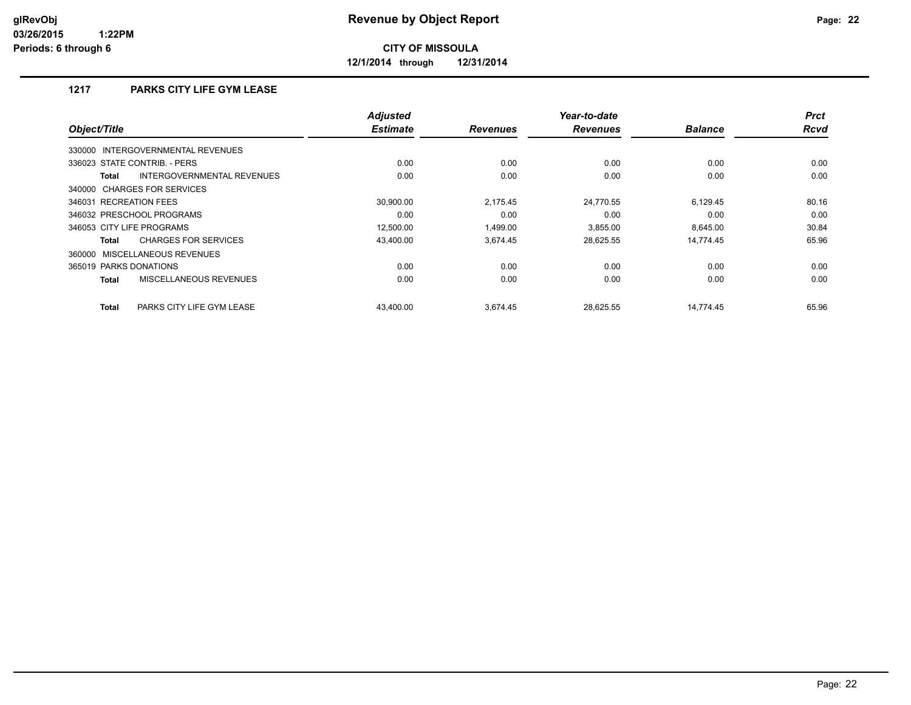**12/1/2014 through 12/31/2014**

## **1217 PARKS CITY LIFE GYM LEASE**

| Object/Title                                  | <b>Adjusted</b><br><b>Estimate</b> | <b>Revenues</b> | Year-to-date<br><b>Revenues</b> | <b>Balance</b> | <b>Prct</b><br><b>Rcvd</b> |
|-----------------------------------------------|------------------------------------|-----------------|---------------------------------|----------------|----------------------------|
| 330000 INTERGOVERNMENTAL REVENUES             |                                    |                 |                                 |                |                            |
| 336023 STATE CONTRIB. - PERS                  | 0.00                               | 0.00            | 0.00                            | 0.00           | 0.00                       |
| INTERGOVERNMENTAL REVENUES<br><b>Total</b>    | 0.00                               | 0.00            | 0.00                            | 0.00           | 0.00                       |
| 340000 CHARGES FOR SERVICES                   |                                    |                 |                                 |                |                            |
| 346031 RECREATION FEES                        | 30,900.00                          | 2.175.45        | 24.770.55                       | 6,129.45       | 80.16                      |
| 346032 PRESCHOOL PROGRAMS                     | 0.00                               | 0.00            | 0.00                            | 0.00           | 0.00                       |
| 346053 CITY LIFE PROGRAMS                     | 12,500.00                          | 1,499.00        | 3,855.00                        | 8,645.00       | 30.84                      |
| <b>CHARGES FOR SERVICES</b><br><b>Total</b>   | 43,400.00                          | 3,674.45        | 28,625.55                       | 14,774.45      | 65.96                      |
| 360000 MISCELLANEOUS REVENUES                 |                                    |                 |                                 |                |                            |
| 365019 PARKS DONATIONS                        | 0.00                               | 0.00            | 0.00                            | 0.00           | 0.00                       |
| <b>MISCELLANEOUS REVENUES</b><br><b>Total</b> | 0.00                               | 0.00            | 0.00                            | 0.00           | 0.00                       |
| PARKS CITY LIFE GYM LEASE<br><b>Total</b>     | 43,400.00                          | 3,674.45        | 28,625.55                       | 14,774.45      | 65.96                      |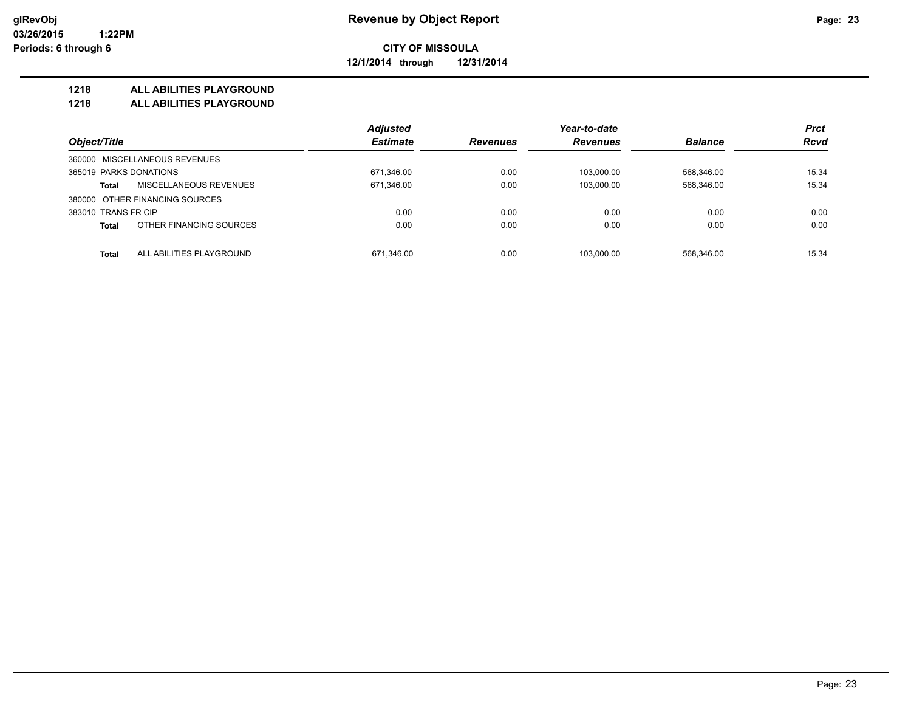**12/1/2014 through 12/31/2014**

## **1218 ALL ABILITIES PLAYGROUND**

**1218 ALL ABILITIES PLAYGROUND**

|                                          | <b>Adjusted</b> |                 | Year-to-date    |                | <b>Prct</b> |
|------------------------------------------|-----------------|-----------------|-----------------|----------------|-------------|
| Object/Title                             | <b>Estimate</b> | <b>Revenues</b> | <b>Revenues</b> | <b>Balance</b> | <b>Rcvd</b> |
| 360000 MISCELLANEOUS REVENUES            |                 |                 |                 |                |             |
| 365019 PARKS DONATIONS                   | 671,346.00      | 0.00            | 103.000.00      | 568,346.00     | 15.34       |
| MISCELLANEOUS REVENUES<br><b>Total</b>   | 671,346.00      | 0.00            | 103,000.00      | 568,346.00     | 15.34       |
| 380000 OTHER FINANCING SOURCES           |                 |                 |                 |                |             |
| 383010 TRANS FR CIP                      | 0.00            | 0.00            | 0.00            | 0.00           | 0.00        |
| OTHER FINANCING SOURCES<br><b>Total</b>  | 0.00            | 0.00            | 0.00            | 0.00           | 0.00        |
| ALL ABILITIES PLAYGROUND<br><b>Total</b> | 671.346.00      | 0.00            | 103.000.00      | 568.346.00     | 15.34       |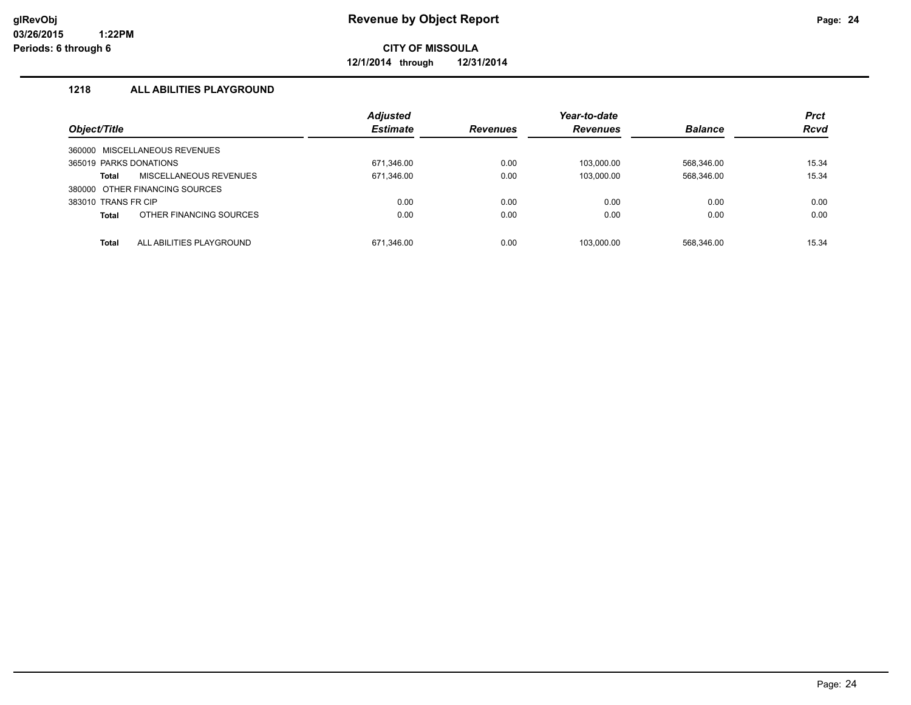**12/1/2014 through 12/31/2014**

## **1218 ALL ABILITIES PLAYGROUND**

| Object/Title           |                                | <b>Adjusted</b><br><b>Estimate</b> | <b>Revenues</b> | Year-to-date<br><b>Revenues</b> | <b>Balance</b> | <b>Prct</b><br><b>Rcvd</b> |
|------------------------|--------------------------------|------------------------------------|-----------------|---------------------------------|----------------|----------------------------|
|                        | 360000 MISCELLANEOUS REVENUES  |                                    |                 |                                 |                |                            |
| 365019 PARKS DONATIONS |                                | 671,346.00                         | 0.00            | 103.000.00                      | 568.346.00     | 15.34                      |
| Total                  | <b>MISCELLANEOUS REVENUES</b>  | 671,346.00                         | 0.00            | 103,000.00                      | 568,346.00     | 15.34                      |
|                        | 380000 OTHER FINANCING SOURCES |                                    |                 |                                 |                |                            |
| 383010 TRANS FR CIP    |                                | 0.00                               | 0.00            | 0.00                            | 0.00           | 0.00                       |
| <b>Total</b>           | OTHER FINANCING SOURCES        | 0.00                               | 0.00            | 0.00                            | 0.00           | 0.00                       |
| <b>Total</b>           | ALL ABILITIES PLAYGROUND       | 671.346.00                         | 0.00            | 103.000.00                      | 568.346.00     | 15.34                      |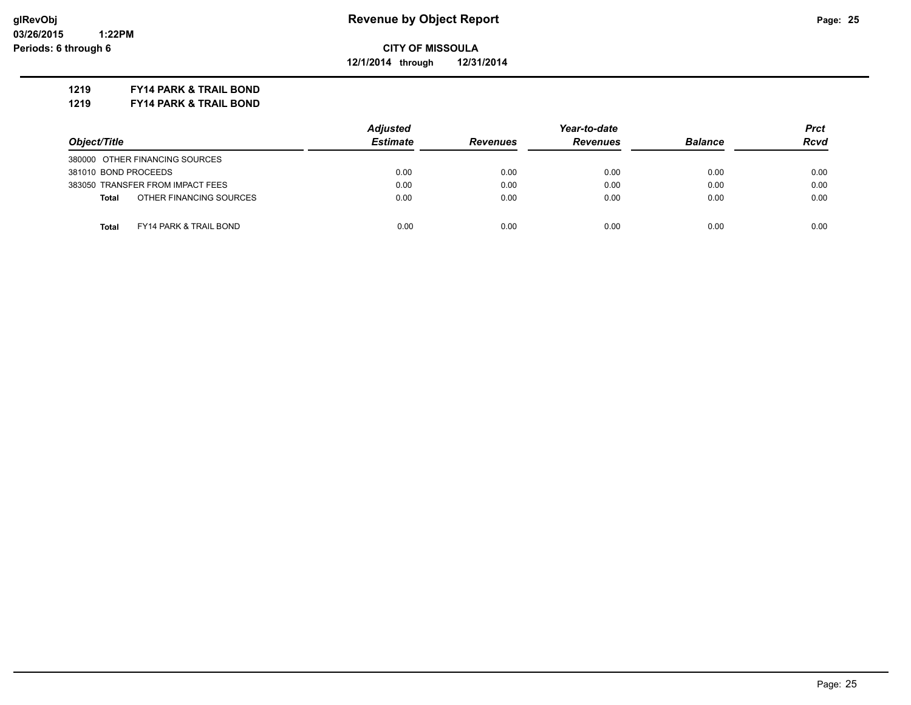**12/1/2014 through 12/31/2014**

**1219 FY14 PARK & TRAIL BOND**

**1219 FY14 PARK & TRAIL BOND**

|                                                   | <b>Adjusted</b> |                 | Year-to-date    |                | Prct        |
|---------------------------------------------------|-----------------|-----------------|-----------------|----------------|-------------|
| Object/Title                                      | <b>Estimate</b> | <b>Revenues</b> | <b>Revenues</b> | <b>Balance</b> | <b>Rcvd</b> |
| 380000 OTHER FINANCING SOURCES                    |                 |                 |                 |                |             |
| 381010 BOND PROCEEDS                              | 0.00            | 0.00            | 0.00            | 0.00           | 0.00        |
| 383050 TRANSFER FROM IMPACT FEES                  | 0.00            | 0.00            | 0.00            | 0.00           | 0.00        |
| OTHER FINANCING SOURCES<br><b>Total</b>           | 0.00            | 0.00            | 0.00            | 0.00           | 0.00        |
|                                                   |                 |                 |                 |                |             |
| <b>FY14 PARK &amp; TRAIL BOND</b><br><b>Total</b> | 0.00            | 0.00            | 0.00            | 0.00           | 0.00        |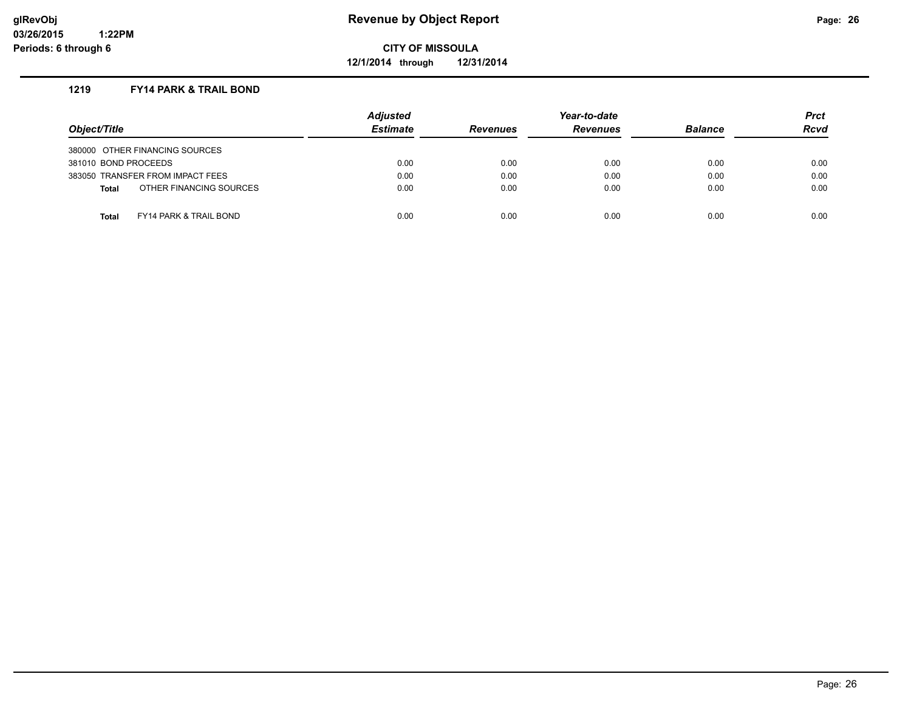**12/1/2014 through 12/31/2014**

## **1219 FY14 PARK & TRAIL BOND**

| Object/Title         |                                  | <b>Adjusted</b><br><b>Estimate</b> | <b>Revenues</b> | Year-to-date<br><b>Revenues</b> | <b>Balance</b> | <b>Prct</b><br><b>Rcvd</b> |
|----------------------|----------------------------------|------------------------------------|-----------------|---------------------------------|----------------|----------------------------|
|                      | 380000 OTHER FINANCING SOURCES   |                                    |                 |                                 |                |                            |
| 381010 BOND PROCEEDS |                                  | 0.00                               | 0.00            | 0.00                            | 0.00           | 0.00                       |
|                      | 383050 TRANSFER FROM IMPACT FEES | 0.00                               | 0.00            | 0.00                            | 0.00           | 0.00                       |
| <b>Total</b>         | OTHER FINANCING SOURCES          | 0.00                               | 0.00            | 0.00                            | 0.00           | 0.00                       |
|                      |                                  |                                    |                 |                                 |                |                            |
| <b>Total</b>         | FY14 PARK & TRAIL BOND           | 0.00                               | 0.00            | 0.00                            | 0.00           | 0.00                       |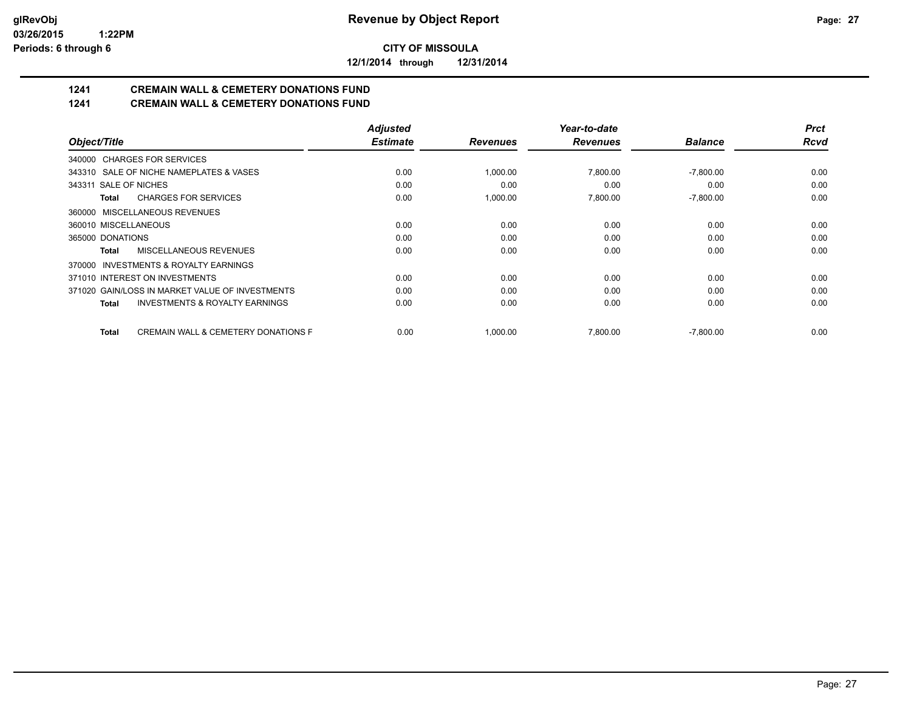**12/1/2014 through 12/31/2014**

# **1241 CREMAIN WALL & CEMETERY DONATIONS FUND**

**1241 CREMAIN WALL & CEMETERY DONATIONS FUND**

|                                                           | <b>Adjusted</b> |                 | Year-to-date    |                | <b>Prct</b> |
|-----------------------------------------------------------|-----------------|-----------------|-----------------|----------------|-------------|
| Object/Title                                              | <b>Estimate</b> | <b>Revenues</b> | <b>Revenues</b> | <b>Balance</b> | <b>Rcvd</b> |
| 340000 CHARGES FOR SERVICES                               |                 |                 |                 |                |             |
| 343310 SALE OF NICHE NAMEPLATES & VASES                   | 0.00            | 1,000.00        | 7,800.00        | $-7,800.00$    | 0.00        |
| 343311 SALE OF NICHES                                     | 0.00            | 0.00            | 0.00            | 0.00           | 0.00        |
| <b>CHARGES FOR SERVICES</b><br>Total                      | 0.00            | 1,000.00        | 7,800.00        | $-7,800.00$    | 0.00        |
| 360000 MISCELLANEOUS REVENUES                             |                 |                 |                 |                |             |
| 360010 MISCELLANEOUS                                      | 0.00            | 0.00            | 0.00            | 0.00           | 0.00        |
| 365000 DONATIONS                                          | 0.00            | 0.00            | 0.00            | 0.00           | 0.00        |
| <b>MISCELLANEOUS REVENUES</b><br>Total                    | 0.00            | 0.00            | 0.00            | 0.00           | 0.00        |
| 370000 INVESTMENTS & ROYALTY EARNINGS                     |                 |                 |                 |                |             |
| 371010 INTEREST ON INVESTMENTS                            | 0.00            | 0.00            | 0.00            | 0.00           | 0.00        |
| 371020 GAIN/LOSS IN MARKET VALUE OF INVESTMENTS           | 0.00            | 0.00            | 0.00            | 0.00           | 0.00        |
| <b>INVESTMENTS &amp; ROYALTY EARNINGS</b><br><b>Total</b> | 0.00            | 0.00            | 0.00            | 0.00           | 0.00        |
| CREMAIN WALL & CEMETERY DONATIONS F<br><b>Total</b>       | 0.00            | 1,000.00        | 7,800.00        | $-7,800.00$    | 0.00        |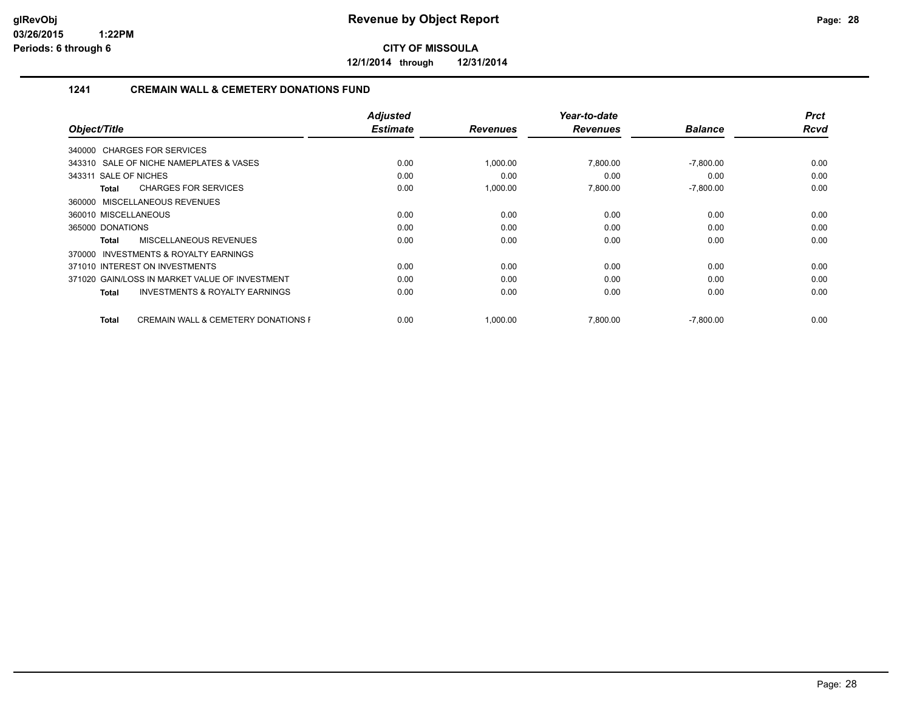**12/1/2014 through 12/31/2014**

## **1241 CREMAIN WALL & CEMETERY DONATIONS FUND**

|                                                                | <b>Adjusted</b> |                 | Year-to-date    |                | <b>Prct</b> |
|----------------------------------------------------------------|-----------------|-----------------|-----------------|----------------|-------------|
| Object/Title                                                   | <b>Estimate</b> | <b>Revenues</b> | <b>Revenues</b> | <b>Balance</b> | <b>Rcvd</b> |
| 340000 CHARGES FOR SERVICES                                    |                 |                 |                 |                |             |
| 343310 SALE OF NICHE NAMEPLATES & VASES                        | 0.00            | 1,000.00        | 7,800.00        | $-7,800.00$    | 0.00        |
| 343311 SALE OF NICHES                                          | 0.00            | 0.00            | 0.00            | 0.00           | 0.00        |
| <b>CHARGES FOR SERVICES</b><br>Total                           | 0.00            | 1,000.00        | 7,800.00        | $-7,800.00$    | 0.00        |
| 360000 MISCELLANEOUS REVENUES                                  |                 |                 |                 |                |             |
| 360010 MISCELLANEOUS                                           | 0.00            | 0.00            | 0.00            | 0.00           | 0.00        |
| 365000 DONATIONS                                               | 0.00            | 0.00            | 0.00            | 0.00           | 0.00        |
| MISCELLANEOUS REVENUES<br>Total                                | 0.00            | 0.00            | 0.00            | 0.00           | 0.00        |
| INVESTMENTS & ROYALTY EARNINGS<br>370000                       |                 |                 |                 |                |             |
| 371010 INTEREST ON INVESTMENTS                                 | 0.00            | 0.00            | 0.00            | 0.00           | 0.00        |
| 371020 GAIN/LOSS IN MARKET VALUE OF INVESTMENT                 | 0.00            | 0.00            | 0.00            | 0.00           | 0.00        |
| <b>INVESTMENTS &amp; ROYALTY EARNINGS</b><br>Total             | 0.00            | 0.00            | 0.00            | 0.00           | 0.00        |
| <b>CREMAIN WALL &amp; CEMETERY DONATIONS F</b><br><b>Total</b> | 0.00            | 1,000.00        | 7,800.00        | $-7,800.00$    | 0.00        |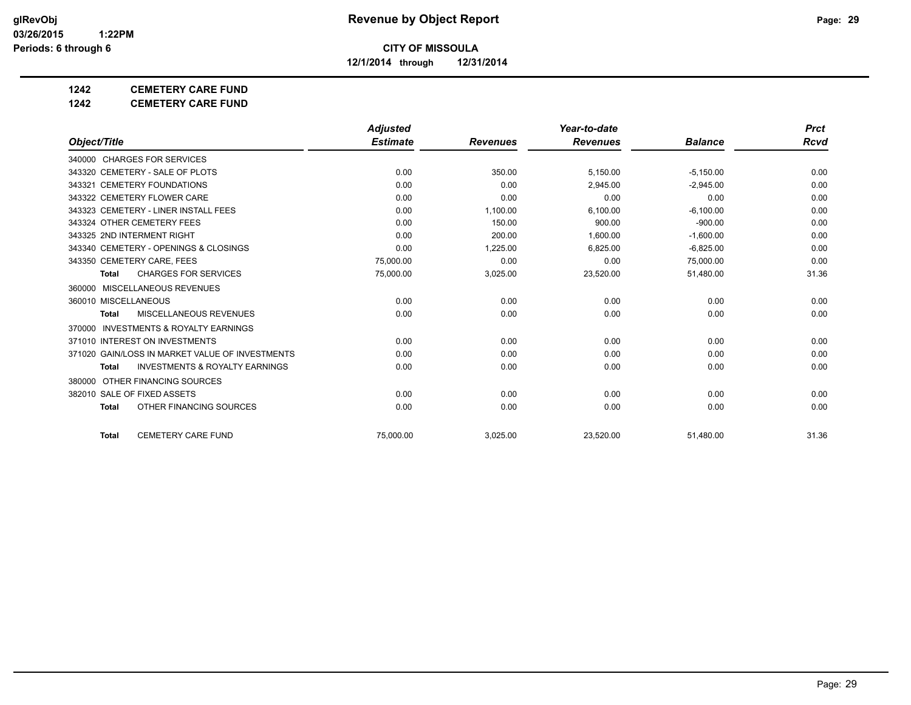**12/1/2014 through 12/31/2014**

## **1242 CEMETERY CARE FUND**

**1242 CEMETERY CARE FUND**

|                                                           | <b>Adjusted</b> |                 | Year-to-date    |                | <b>Prct</b> |
|-----------------------------------------------------------|-----------------|-----------------|-----------------|----------------|-------------|
| Object/Title                                              | <b>Estimate</b> | <b>Revenues</b> | <b>Revenues</b> | <b>Balance</b> | Rcvd        |
| 340000 CHARGES FOR SERVICES                               |                 |                 |                 |                |             |
| 343320 CEMETERY - SALE OF PLOTS                           | 0.00            | 350.00          | 5,150.00        | $-5,150.00$    | 0.00        |
| 343321 CEMETERY FOUNDATIONS                               | 0.00            | 0.00            | 2,945.00        | $-2,945.00$    | 0.00        |
| 343322 CEMETERY FLOWER CARE                               | 0.00            | 0.00            | 0.00            | 0.00           | 0.00        |
| 343323 CEMETERY - LINER INSTALL FEES                      | 0.00            | 1,100.00        | 6,100.00        | $-6,100.00$    | 0.00        |
| 343324 OTHER CEMETERY FEES                                | 0.00            | 150.00          | 900.00          | $-900.00$      | 0.00        |
| 343325 2ND INTERMENT RIGHT                                | 0.00            | 200.00          | 1,600.00        | $-1,600.00$    | 0.00        |
| 343340 CEMETERY - OPENINGS & CLOSINGS                     | 0.00            | 1,225.00        | 6,825.00        | $-6,825.00$    | 0.00        |
| 343350 CEMETERY CARE, FEES                                | 75,000.00       | 0.00            | 0.00            | 75,000.00      | 0.00        |
| <b>CHARGES FOR SERVICES</b><br><b>Total</b>               | 75,000.00       | 3,025.00        | 23,520.00       | 51,480.00      | 31.36       |
| 360000 MISCELLANEOUS REVENUES                             |                 |                 |                 |                |             |
| 360010 MISCELLANEOUS                                      | 0.00            | 0.00            | 0.00            | 0.00           | 0.00        |
| <b>MISCELLANEOUS REVENUES</b><br><b>Total</b>             | 0.00            | 0.00            | 0.00            | 0.00           | 0.00        |
| <b>INVESTMENTS &amp; ROYALTY EARNINGS</b><br>370000       |                 |                 |                 |                |             |
| 371010 INTEREST ON INVESTMENTS                            | 0.00            | 0.00            | 0.00            | 0.00           | 0.00        |
| 371020 GAIN/LOSS IN MARKET VALUE OF INVESTMENTS           | 0.00            | 0.00            | 0.00            | 0.00           | 0.00        |
| <b>INVESTMENTS &amp; ROYALTY EARNINGS</b><br><b>Total</b> | 0.00            | 0.00            | 0.00            | 0.00           | 0.00        |
| 380000 OTHER FINANCING SOURCES                            |                 |                 |                 |                |             |
| 382010 SALE OF FIXED ASSETS                               | 0.00            | 0.00            | 0.00            | 0.00           | 0.00        |
| OTHER FINANCING SOURCES<br><b>Total</b>                   | 0.00            | 0.00            | 0.00            | 0.00           | 0.00        |
| <b>CEMETERY CARE FUND</b><br><b>Total</b>                 | 75.000.00       | 3,025.00        | 23,520.00       | 51,480.00      | 31.36       |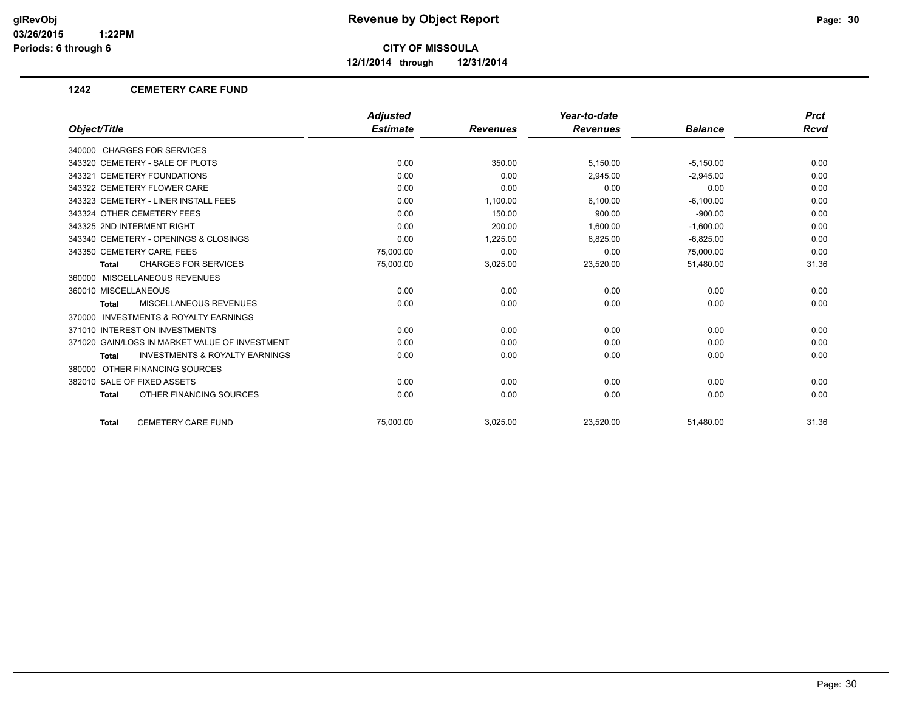**12/1/2014 through 12/31/2014**

## **1242 CEMETERY CARE FUND**

|                                                    | <b>Adjusted</b> |                 | Year-to-date    |                | <b>Prct</b> |
|----------------------------------------------------|-----------------|-----------------|-----------------|----------------|-------------|
| Object/Title                                       | <b>Estimate</b> | <b>Revenues</b> | <b>Revenues</b> | <b>Balance</b> | <b>Rcvd</b> |
| 340000 CHARGES FOR SERVICES                        |                 |                 |                 |                |             |
| 343320 CEMETERY - SALE OF PLOTS                    | 0.00            | 350.00          | 5,150.00        | $-5,150.00$    | 0.00        |
| 343321 CEMETERY FOUNDATIONS                        | 0.00            | 0.00            | 2,945.00        | $-2,945.00$    | 0.00        |
| 343322 CEMETERY FLOWER CARE                        | 0.00            | 0.00            | 0.00            | 0.00           | 0.00        |
| 343323 CEMETERY - LINER INSTALL FEES               | 0.00            | 1,100.00        | 6,100.00        | $-6,100.00$    | 0.00        |
| 343324 OTHER CEMETERY FEES                         | 0.00            | 150.00          | 900.00          | $-900.00$      | 0.00        |
| 343325 2ND INTERMENT RIGHT                         | 0.00            | 200.00          | 1,600.00        | $-1,600.00$    | 0.00        |
| 343340 CEMETERY - OPENINGS & CLOSINGS              | 0.00            | 1,225.00        | 6,825.00        | $-6,825.00$    | 0.00        |
| 343350 CEMETERY CARE, FEES                         | 75,000.00       | 0.00            | 0.00            | 75,000.00      | 0.00        |
| <b>CHARGES FOR SERVICES</b><br><b>Total</b>        | 75,000.00       | 3,025.00        | 23,520.00       | 51,480.00      | 31.36       |
| 360000 MISCELLANEOUS REVENUES                      |                 |                 |                 |                |             |
| 360010 MISCELLANEOUS                               | 0.00            | 0.00            | 0.00            | 0.00           | 0.00        |
| <b>MISCELLANEOUS REVENUES</b><br><b>Total</b>      | 0.00            | 0.00            | 0.00            | 0.00           | 0.00        |
| 370000 INVESTMENTS & ROYALTY EARNINGS              |                 |                 |                 |                |             |
| 371010 INTEREST ON INVESTMENTS                     | 0.00            | 0.00            | 0.00            | 0.00           | 0.00        |
| 371020 GAIN/LOSS IN MARKET VALUE OF INVESTMENT     | 0.00            | 0.00            | 0.00            | 0.00           | 0.00        |
| <b>INVESTMENTS &amp; ROYALTY EARNINGS</b><br>Total | 0.00            | 0.00            | 0.00            | 0.00           | 0.00        |
| 380000 OTHER FINANCING SOURCES                     |                 |                 |                 |                |             |
| 382010 SALE OF FIXED ASSETS                        | 0.00            | 0.00            | 0.00            | 0.00           | 0.00        |
| OTHER FINANCING SOURCES<br><b>Total</b>            | 0.00            | 0.00            | 0.00            | 0.00           | 0.00        |
| <b>CEMETERY CARE FUND</b><br><b>Total</b>          | 75.000.00       | 3,025.00        | 23,520.00       | 51,480.00      | 31.36       |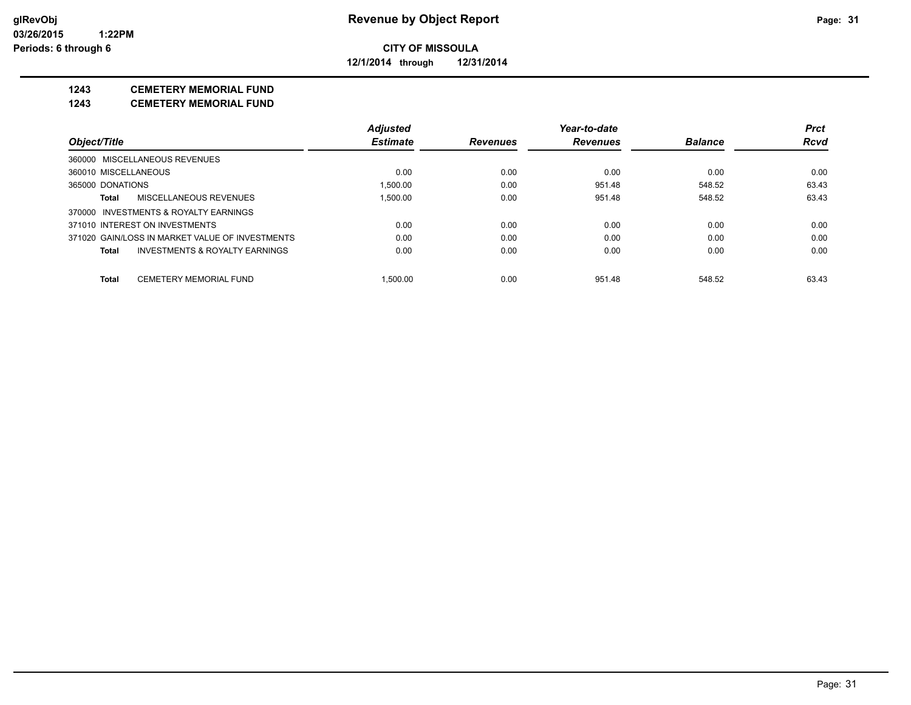**12/1/2014 through 12/31/2014**

## **1243 CEMETERY MEMORIAL FUND**

**1243 CEMETERY MEMORIAL FUND**

|                                |                                                 | <b>Adjusted</b> |                 | Year-to-date    |                | <b>Prct</b> |
|--------------------------------|-------------------------------------------------|-----------------|-----------------|-----------------|----------------|-------------|
| Object/Title                   |                                                 | <b>Estimate</b> | <b>Revenues</b> | <b>Revenues</b> | <b>Balance</b> | <b>Rcvd</b> |
| 360000 MISCELLANEOUS REVENUES  |                                                 |                 |                 |                 |                |             |
| 360010 MISCELLANEOUS           |                                                 | 0.00            | 0.00            | 0.00            | 0.00           | 0.00        |
| 365000 DONATIONS               |                                                 | 1.500.00        | 0.00            | 951.48          | 548.52         | 63.43       |
| Total                          | MISCELLANEOUS REVENUES                          | 1,500.00        | 0.00            | 951.48          | 548.52         | 63.43       |
|                                | 370000 INVESTMENTS & ROYALTY EARNINGS           |                 |                 |                 |                |             |
| 371010 INTEREST ON INVESTMENTS |                                                 | 0.00            | 0.00            | 0.00            | 0.00           | 0.00        |
|                                | 371020 GAIN/LOSS IN MARKET VALUE OF INVESTMENTS | 0.00            | 0.00            | 0.00            | 0.00           | 0.00        |
| Total                          | INVESTMENTS & ROYALTY EARNINGS                  | 0.00            | 0.00            | 0.00            | 0.00           | 0.00        |
| Total                          | <b>CEMETERY MEMORIAL FUND</b>                   | 1.500.00        | 0.00            | 951.48          | 548.52         | 63.43       |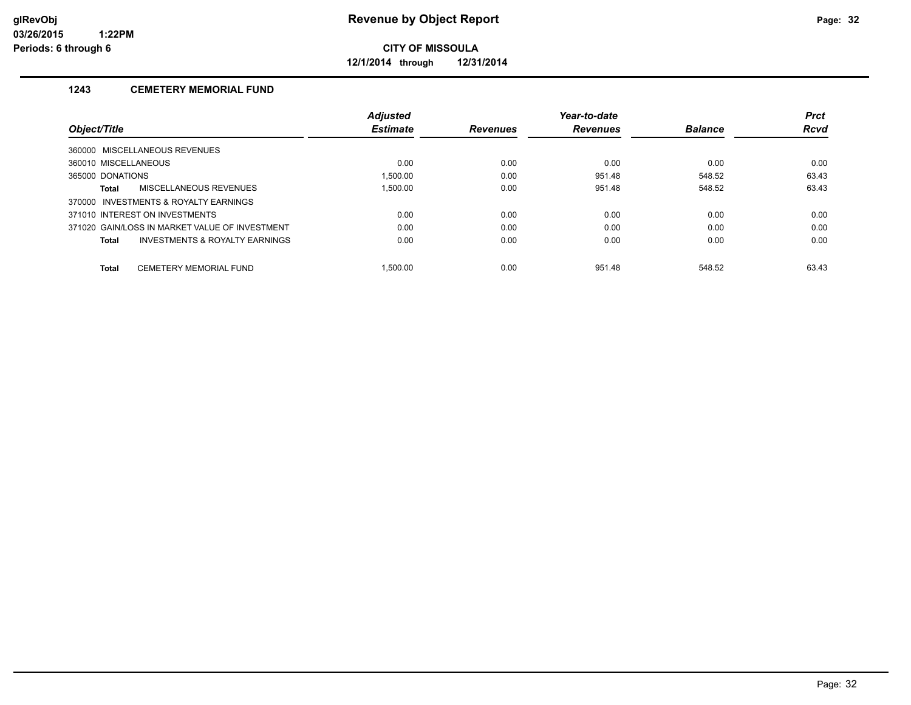**12/1/2014 through 12/31/2014**

## **1243 CEMETERY MEMORIAL FUND**

|                                                           | <b>Adjusted</b> |                 | Year-to-date    |                | <b>Prct</b> |
|-----------------------------------------------------------|-----------------|-----------------|-----------------|----------------|-------------|
| Object/Title                                              | <b>Estimate</b> | <b>Revenues</b> | <b>Revenues</b> | <b>Balance</b> | <b>Rcvd</b> |
| 360000 MISCELLANEOUS REVENUES                             |                 |                 |                 |                |             |
| 360010 MISCELLANEOUS                                      | 0.00            | 0.00            | 0.00            | 0.00           | 0.00        |
| 365000 DONATIONS                                          | 1.500.00        | 0.00            | 951.48          | 548.52         | 63.43       |
| MISCELLANEOUS REVENUES<br><b>Total</b>                    | 1.500.00        | 0.00            | 951.48          | 548.52         | 63.43       |
| 370000 INVESTMENTS & ROYALTY EARNINGS                     |                 |                 |                 |                |             |
| 371010 INTEREST ON INVESTMENTS                            | 0.00            | 0.00            | 0.00            | 0.00           | 0.00        |
| 371020 GAIN/LOSS IN MARKET VALUE OF INVESTMENT            | 0.00            | 0.00            | 0.00            | 0.00           | 0.00        |
| <b>INVESTMENTS &amp; ROYALTY EARNINGS</b><br><b>Total</b> | 0.00            | 0.00            | 0.00            | 0.00           | 0.00        |
| <b>CEMETERY MEMORIAL FUND</b><br><b>Total</b>             | 1.500.00        | 0.00            | 951.48          | 548.52         | 63.43       |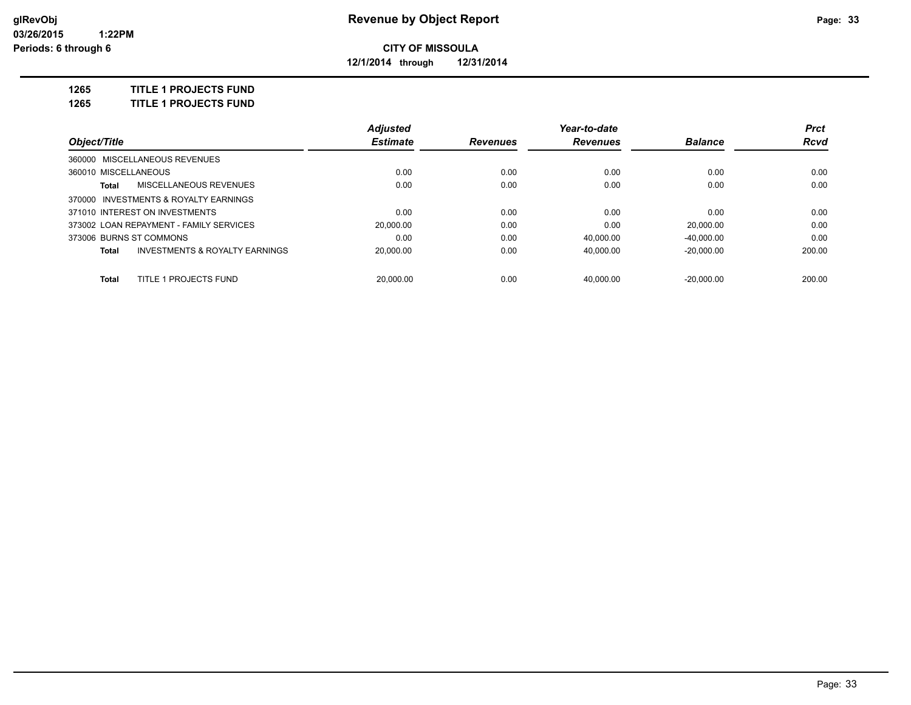**12/1/2014 through 12/31/2014**

## **1265 TITLE 1 PROJECTS FUND**

**1265 TITLE 1 PROJECTS FUND**

|                         |                                           | <b>Adjusted</b> |                 | Year-to-date   |              | <b>Prct</b> |
|-------------------------|-------------------------------------------|-----------------|-----------------|----------------|--------------|-------------|
| Object/Title            | <b>Estimate</b>                           | <b>Revenues</b> | <b>Revenues</b> | <b>Balance</b> | Rcvd         |             |
|                         | 360000 MISCELLANEOUS REVENUES             |                 |                 |                |              |             |
| 360010 MISCELLANEOUS    |                                           | 0.00            | 0.00            | 0.00           | 0.00         | 0.00        |
| Total                   | <b>MISCELLANEOUS REVENUES</b>             | 0.00            | 0.00            | 0.00           | 0.00         | 0.00        |
|                         | 370000 INVESTMENTS & ROYALTY EARNINGS     |                 |                 |                |              |             |
|                         | 371010 INTEREST ON INVESTMENTS            | 0.00            | 0.00            | 0.00           | 0.00         | 0.00        |
|                         | 373002 LOAN REPAYMENT - FAMILY SERVICES   | 20.000.00       | 0.00            | 0.00           | 20.000.00    | 0.00        |
| 373006 BURNS ST COMMONS |                                           | 0.00            | 0.00            | 40.000.00      | $-40.000.00$ | 0.00        |
| Total                   | <b>INVESTMENTS &amp; ROYALTY EARNINGS</b> | 20.000.00       | 0.00            | 40.000.00      | $-20.000.00$ | 200.00      |
| Total                   | TITLE 1 PROJECTS FUND                     | 20.000.00       | 0.00            | 40.000.00      | $-20.000.00$ | 200.00      |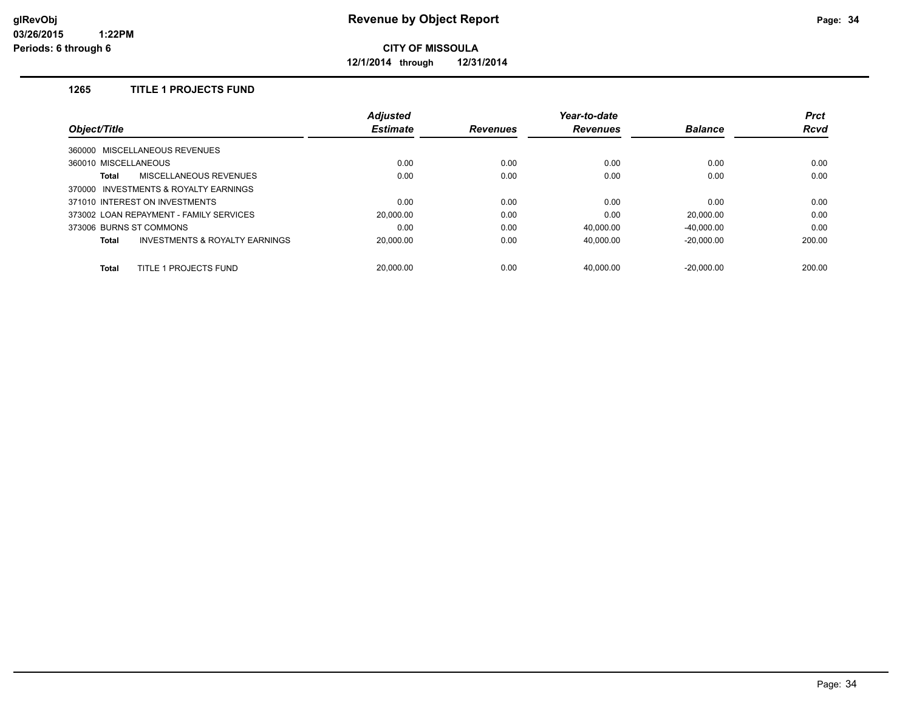**12/1/2014 through 12/31/2014**

## **1265 TITLE 1 PROJECTS FUND**

|                                                | <b>Adjusted</b> |                 | Year-to-date    |                | <b>Prct</b> |
|------------------------------------------------|-----------------|-----------------|-----------------|----------------|-------------|
| Object/Title                                   | <b>Estimate</b> | <b>Revenues</b> | <b>Revenues</b> | <b>Balance</b> | <b>Rcvd</b> |
| 360000 MISCELLANEOUS REVENUES                  |                 |                 |                 |                |             |
| 360010 MISCELLANEOUS                           | 0.00            | 0.00            | 0.00            | 0.00           | 0.00        |
| <b>MISCELLANEOUS REVENUES</b><br><b>Total</b>  | 0.00            | 0.00            | 0.00            | 0.00           | 0.00        |
| 370000 INVESTMENTS & ROYALTY EARNINGS          |                 |                 |                 |                |             |
| 371010 INTEREST ON INVESTMENTS                 | 0.00            | 0.00            | 0.00            | 0.00           | 0.00        |
| 373002 LOAN REPAYMENT - FAMILY SERVICES        | 20.000.00       | 0.00            | 0.00            | 20.000.00      | 0.00        |
| 373006 BURNS ST COMMONS                        | 0.00            | 0.00            | 40.000.00       | $-40.000.00$   | 0.00        |
| INVESTMENTS & ROYALTY EARNINGS<br><b>Total</b> | 20,000.00       | 0.00            | 40,000.00       | $-20,000.00$   | 200.00      |
| TITLE 1 PROJECTS FUND<br><b>Total</b>          | 20.000.00       | 0.00            | 40.000.00       | $-20.000.00$   | 200.00      |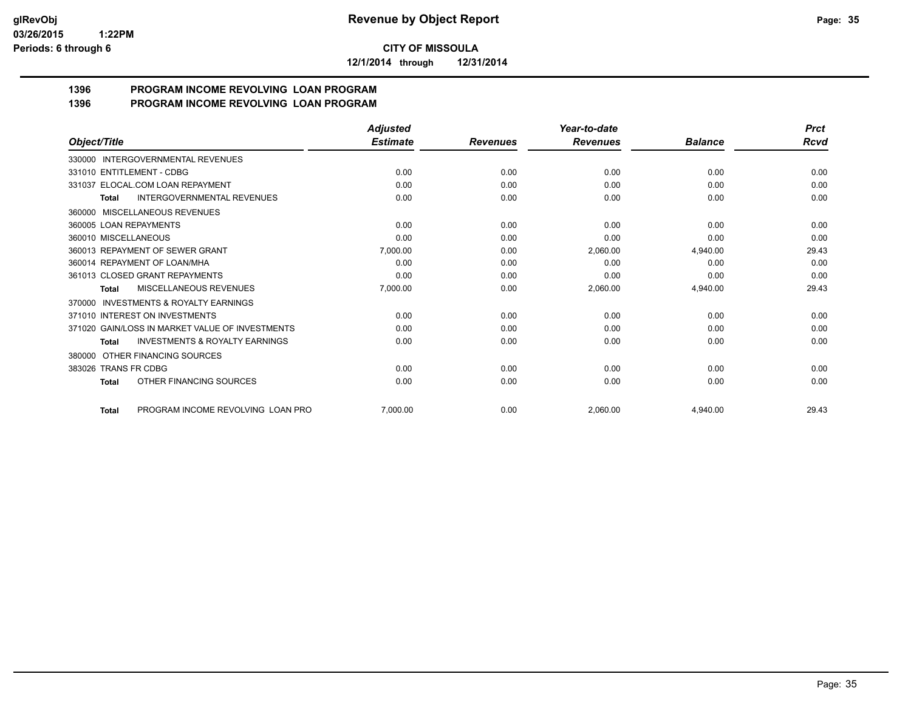**12/1/2014 through 12/31/2014**

#### **1396 PROGRAM INCOME REVOLVING LOAN PROGRAM 1396 PROGRAM INCOME REVOLVING LOAN PROGRAM**

|                                                           | <b>Adjusted</b> |                 | Year-to-date    |                | <b>Prct</b> |
|-----------------------------------------------------------|-----------------|-----------------|-----------------|----------------|-------------|
| Object/Title                                              | <b>Estimate</b> | <b>Revenues</b> | <b>Revenues</b> | <b>Balance</b> | Rcvd        |
| 330000 INTERGOVERNMENTAL REVENUES                         |                 |                 |                 |                |             |
| 331010 ENTITLEMENT - CDBG                                 | 0.00            | 0.00            | 0.00            | 0.00           | 0.00        |
| 331037 ELOCAL.COM LOAN REPAYMENT                          | 0.00            | 0.00            | 0.00            | 0.00           | 0.00        |
| <b>INTERGOVERNMENTAL REVENUES</b><br><b>Total</b>         | 0.00            | 0.00            | 0.00            | 0.00           | 0.00        |
| 360000 MISCELLANEOUS REVENUES                             |                 |                 |                 |                |             |
| 360005 LOAN REPAYMENTS                                    | 0.00            | 0.00            | 0.00            | 0.00           | 0.00        |
| 360010 MISCELLANEOUS                                      | 0.00            | 0.00            | 0.00            | 0.00           | 0.00        |
| 360013 REPAYMENT OF SEWER GRANT                           | 7.000.00        | 0.00            | 2,060.00        | 4,940.00       | 29.43       |
| 360014 REPAYMENT OF LOAN/MHA                              | 0.00            | 0.00            | 0.00            | 0.00           | 0.00        |
| 361013 CLOSED GRANT REPAYMENTS                            | 0.00            | 0.00            | 0.00            | 0.00           | 0.00        |
| <b>MISCELLANEOUS REVENUES</b><br>Total                    | 7,000.00        | 0.00            | 2,060.00        | 4,940.00       | 29.43       |
| 370000 INVESTMENTS & ROYALTY EARNINGS                     |                 |                 |                 |                |             |
| 371010 INTEREST ON INVESTMENTS                            | 0.00            | 0.00            | 0.00            | 0.00           | 0.00        |
| 371020 GAIN/LOSS IN MARKET VALUE OF INVESTMENTS           | 0.00            | 0.00            | 0.00            | 0.00           | 0.00        |
| <b>INVESTMENTS &amp; ROYALTY EARNINGS</b><br><b>Total</b> | 0.00            | 0.00            | 0.00            | 0.00           | 0.00        |
| 380000 OTHER FINANCING SOURCES                            |                 |                 |                 |                |             |
| 383026 TRANS FR CDBG                                      | 0.00            | 0.00            | 0.00            | 0.00           | 0.00        |
| OTHER FINANCING SOURCES<br>Total                          | 0.00            | 0.00            | 0.00            | 0.00           | 0.00        |
| PROGRAM INCOME REVOLVING LOAN PRO<br><b>Total</b>         | 7,000.00        | 0.00            | 2,060.00        | 4,940.00       | 29.43       |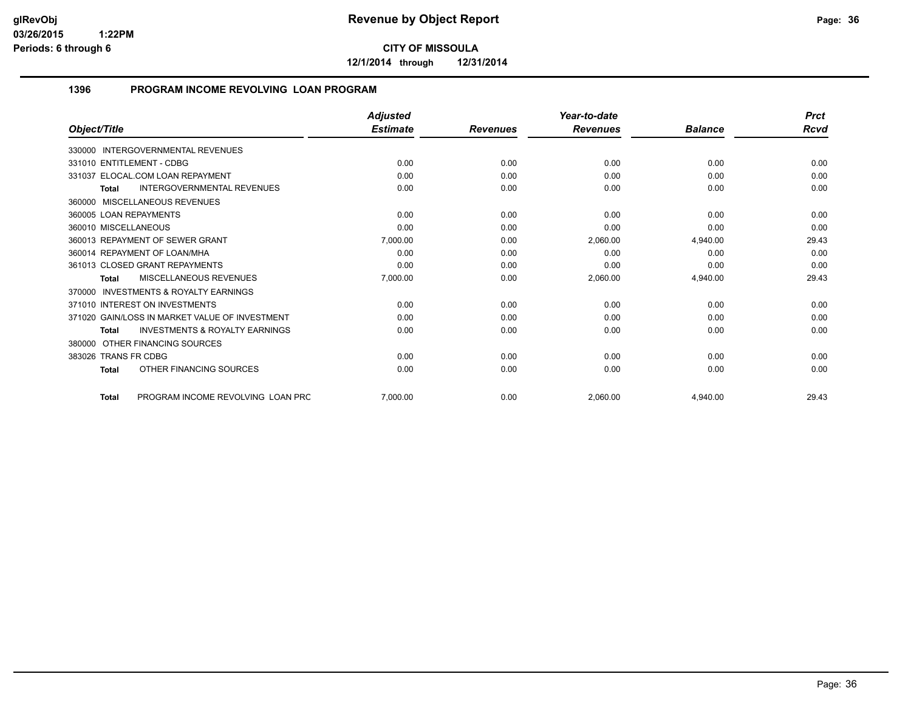**12/1/2014 through 12/31/2014**

## **1396 PROGRAM INCOME REVOLVING LOAN PROGRAM**

| Object/Title                                              | <b>Adjusted</b><br><b>Estimate</b> |                 | Year-to-date<br><b>Revenues</b> | <b>Balance</b> | <b>Prct</b><br>Rcvd |
|-----------------------------------------------------------|------------------------------------|-----------------|---------------------------------|----------------|---------------------|
|                                                           |                                    | <b>Revenues</b> |                                 |                |                     |
| <b>INTERGOVERNMENTAL REVENUES</b><br>330000               |                                    |                 |                                 |                |                     |
| 331010 ENTITLEMENT - CDBG                                 | 0.00                               | 0.00            | 0.00                            | 0.00           | 0.00                |
| 331037 ELOCAL.COM LOAN REPAYMENT                          | 0.00                               | 0.00            | 0.00                            | 0.00           | 0.00                |
| <b>INTERGOVERNMENTAL REVENUES</b><br>Total                | 0.00                               | 0.00            | 0.00                            | 0.00           | 0.00                |
| MISCELLANEOUS REVENUES<br>360000                          |                                    |                 |                                 |                |                     |
| 360005 LOAN REPAYMENTS                                    | 0.00                               | 0.00            | 0.00                            | 0.00           | 0.00                |
| 360010 MISCELLANEOUS                                      | 0.00                               | 0.00            | 0.00                            | 0.00           | 0.00                |
| 360013 REPAYMENT OF SEWER GRANT                           | 7,000.00                           | 0.00            | 2,060.00                        | 4,940.00       | 29.43               |
| 360014 REPAYMENT OF LOAN/MHA                              | 0.00                               | 0.00            | 0.00                            | 0.00           | 0.00                |
| 361013 CLOSED GRANT REPAYMENTS                            | 0.00                               | 0.00            | 0.00                            | 0.00           | 0.00                |
| MISCELLANEOUS REVENUES<br>Total                           | 7,000.00                           | 0.00            | 2,060.00                        | 4,940.00       | 29.43               |
| <b>INVESTMENTS &amp; ROYALTY EARNINGS</b><br>370000       |                                    |                 |                                 |                |                     |
| 371010 INTEREST ON INVESTMENTS                            | 0.00                               | 0.00            | 0.00                            | 0.00           | 0.00                |
| 371020 GAIN/LOSS IN MARKET VALUE OF INVESTMENT            | 0.00                               | 0.00            | 0.00                            | 0.00           | 0.00                |
| <b>INVESTMENTS &amp; ROYALTY EARNINGS</b><br><b>Total</b> | 0.00                               | 0.00            | 0.00                            | 0.00           | 0.00                |
| OTHER FINANCING SOURCES<br>380000                         |                                    |                 |                                 |                |                     |
| 383026 TRANS FR CDBG                                      | 0.00                               | 0.00            | 0.00                            | 0.00           | 0.00                |
| OTHER FINANCING SOURCES<br><b>Total</b>                   | 0.00                               | 0.00            | 0.00                            | 0.00           | 0.00                |
| PROGRAM INCOME REVOLVING LOAN PRC<br><b>Total</b>         | 7.000.00                           | 0.00            | 2.060.00                        | 4.940.00       | 29.43               |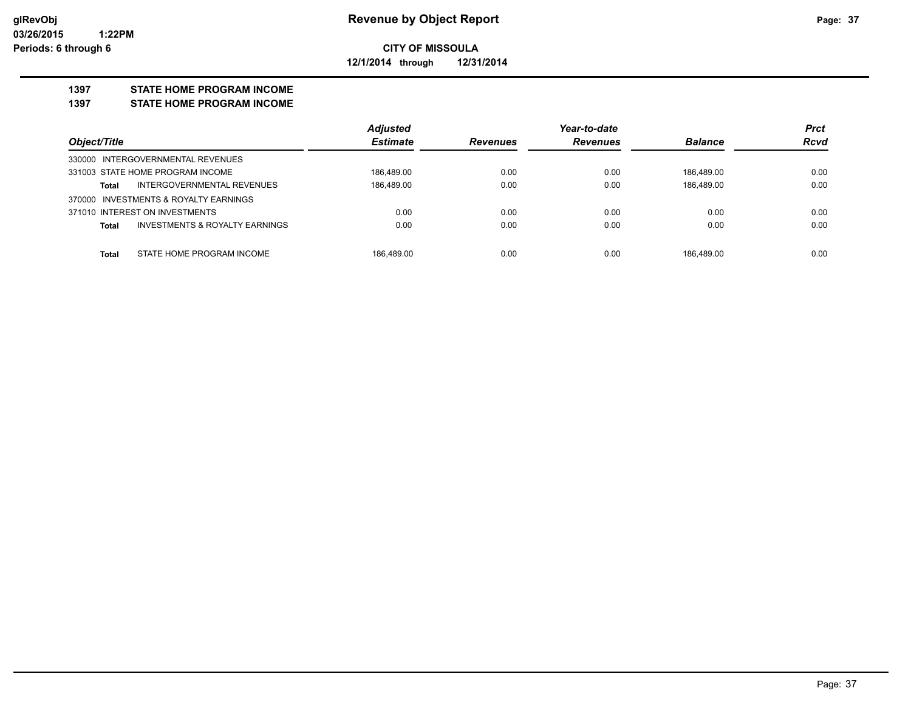**12/1/2014 through 12/31/2014**

### **1397 STATE HOME PROGRAM INCOME**

#### **1397 STATE HOME PROGRAM INCOME**

|                                                           | <b>Adiusted</b> |                 | Year-to-date    |                | <b>Prct</b> |
|-----------------------------------------------------------|-----------------|-----------------|-----------------|----------------|-------------|
| Object/Title                                              | <b>Estimate</b> | <b>Revenues</b> | <b>Revenues</b> | <b>Balance</b> | <b>Rcvd</b> |
| 330000 INTERGOVERNMENTAL REVENUES                         |                 |                 |                 |                |             |
| 331003 STATE HOME PROGRAM INCOME                          | 186.489.00      | 0.00            | 0.00            | 186.489.00     | 0.00        |
| INTERGOVERNMENTAL REVENUES<br><b>Total</b>                | 186,489.00      | 0.00            | 0.00            | 186,489.00     | 0.00        |
| 370000 INVESTMENTS & ROYALTY EARNINGS                     |                 |                 |                 |                |             |
| 371010 INTEREST ON INVESTMENTS                            | 0.00            | 0.00            | 0.00            | 0.00           | 0.00        |
| <b>INVESTMENTS &amp; ROYALTY EARNINGS</b><br><b>Total</b> | 0.00            | 0.00            | 0.00            | 0.00           | 0.00        |
| STATE HOME PROGRAM INCOME<br><b>Total</b>                 | 186.489.00      | 0.00            | 0.00            | 186.489.00     | 0.00        |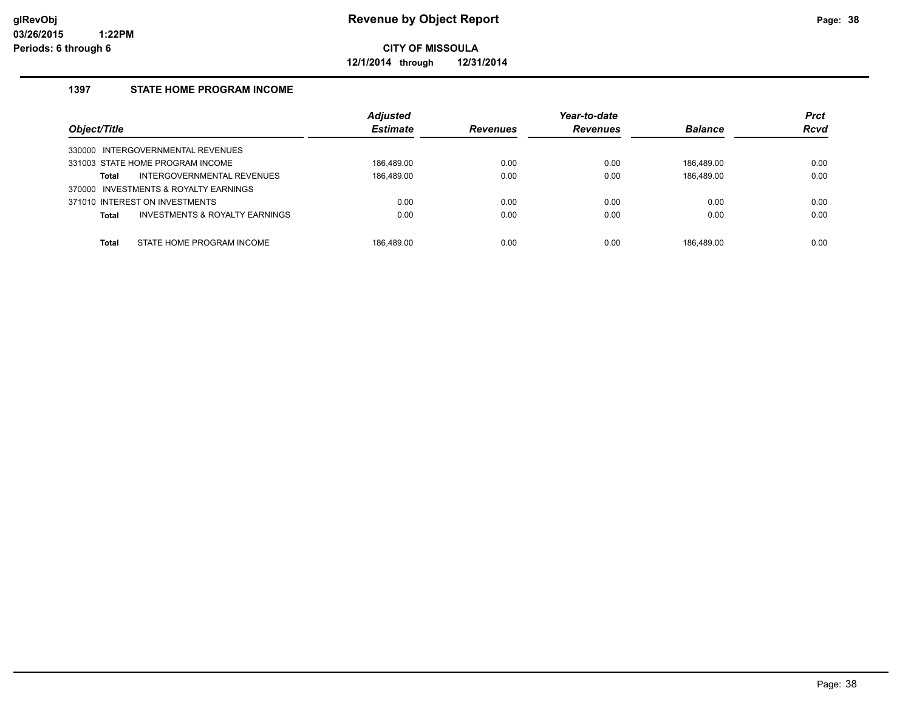**12/1/2014 through 12/31/2014**

## **1397 STATE HOME PROGRAM INCOME**

|              |                                       | <b>Adjusted</b> |                 | Year-to-date    |                | <b>Prct</b> |
|--------------|---------------------------------------|-----------------|-----------------|-----------------|----------------|-------------|
| Object/Title |                                       | <b>Estimate</b> | <b>Revenues</b> | <b>Revenues</b> | <b>Balance</b> | <b>Rcvd</b> |
|              | 330000 INTERGOVERNMENTAL REVENUES     |                 |                 |                 |                |             |
|              | 331003 STATE HOME PROGRAM INCOME      | 186.489.00      | 0.00            | 0.00            | 186.489.00     | 0.00        |
| Total        | INTERGOVERNMENTAL REVENUES            | 186,489.00      | 0.00            | 0.00            | 186,489.00     | 0.00        |
|              | 370000 INVESTMENTS & ROYALTY EARNINGS |                 |                 |                 |                |             |
|              | 371010 INTEREST ON INVESTMENTS        | 0.00            | 0.00            | 0.00            | 0.00           | 0.00        |
| <b>Total</b> | INVESTMENTS & ROYALTY EARNINGS        | 0.00            | 0.00            | 0.00            | 0.00           | 0.00        |
|              |                                       |                 |                 |                 |                |             |
| <b>Total</b> | STATE HOME PROGRAM INCOME             | 186.489.00      | 0.00            | 0.00            | 186.489.00     | 0.00        |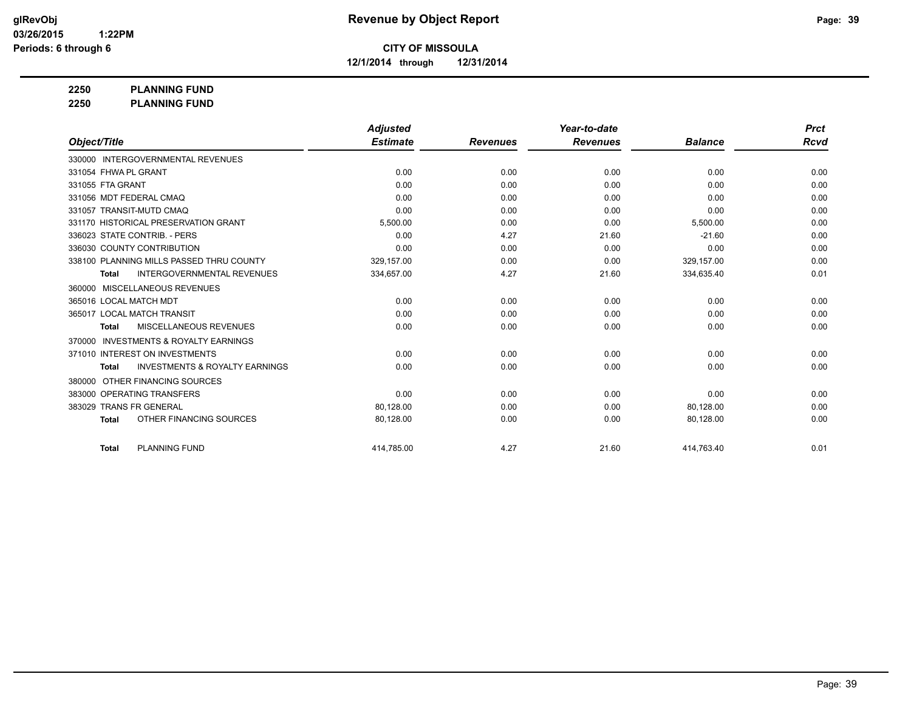**12/1/2014 through 12/31/2014**

**2250 PLANNING FUND**

**2250 PLANNING FUND**

|                                                           | <b>Adjusted</b> |                 | Year-to-date    |                | <b>Prct</b> |
|-----------------------------------------------------------|-----------------|-----------------|-----------------|----------------|-------------|
| Object/Title                                              | <b>Estimate</b> | <b>Revenues</b> | <b>Revenues</b> | <b>Balance</b> | Rcvd        |
| 330000 INTERGOVERNMENTAL REVENUES                         |                 |                 |                 |                |             |
| 331054 FHWA PL GRANT                                      | 0.00            | 0.00            | 0.00            | 0.00           | 0.00        |
| 331055 FTA GRANT                                          | 0.00            | 0.00            | 0.00            | 0.00           | 0.00        |
| 331056 MDT FEDERAL CMAO                                   | 0.00            | 0.00            | 0.00            | 0.00           | 0.00        |
| 331057 TRANSIT-MUTD CMAQ                                  | 0.00            | 0.00            | 0.00            | 0.00           | 0.00        |
| 331170 HISTORICAL PRESERVATION GRANT                      | 5,500.00        | 0.00            | 0.00            | 5,500.00       | 0.00        |
| 336023 STATE CONTRIB. - PERS                              | 0.00            | 4.27            | 21.60           | $-21.60$       | 0.00        |
| 336030 COUNTY CONTRIBUTION                                | 0.00            | 0.00            | 0.00            | 0.00           | 0.00        |
| 338100 PLANNING MILLS PASSED THRU COUNTY                  | 329,157.00      | 0.00            | 0.00            | 329,157.00     | 0.00        |
| <b>INTERGOVERNMENTAL REVENUES</b><br><b>Total</b>         | 334,657.00      | 4.27            | 21.60           | 334,635.40     | 0.01        |
| <b>MISCELLANEOUS REVENUES</b><br>360000                   |                 |                 |                 |                |             |
| 365016 LOCAL MATCH MDT                                    | 0.00            | 0.00            | 0.00            | 0.00           | 0.00        |
| 365017 LOCAL MATCH TRANSIT                                | 0.00            | 0.00            | 0.00            | 0.00           | 0.00        |
| <b>MISCELLANEOUS REVENUES</b><br><b>Total</b>             | 0.00            | 0.00            | 0.00            | 0.00           | 0.00        |
| <b>INVESTMENTS &amp; ROYALTY EARNINGS</b><br>370000       |                 |                 |                 |                |             |
| 371010 INTEREST ON INVESTMENTS                            | 0.00            | 0.00            | 0.00            | 0.00           | 0.00        |
| <b>INVESTMENTS &amp; ROYALTY EARNINGS</b><br><b>Total</b> | 0.00            | 0.00            | 0.00            | 0.00           | 0.00        |
| OTHER FINANCING SOURCES<br>380000                         |                 |                 |                 |                |             |
| 383000 OPERATING TRANSFERS                                | 0.00            | 0.00            | 0.00            | 0.00           | 0.00        |
| 383029 TRANS FR GENERAL                                   | 80.128.00       | 0.00            | 0.00            | 80,128.00      | 0.00        |
| OTHER FINANCING SOURCES<br><b>Total</b>                   | 80,128.00       | 0.00            | 0.00            | 80,128.00      | 0.00        |
| <b>PLANNING FUND</b><br><b>Total</b>                      | 414.785.00      | 4.27            | 21.60           | 414,763.40     | 0.01        |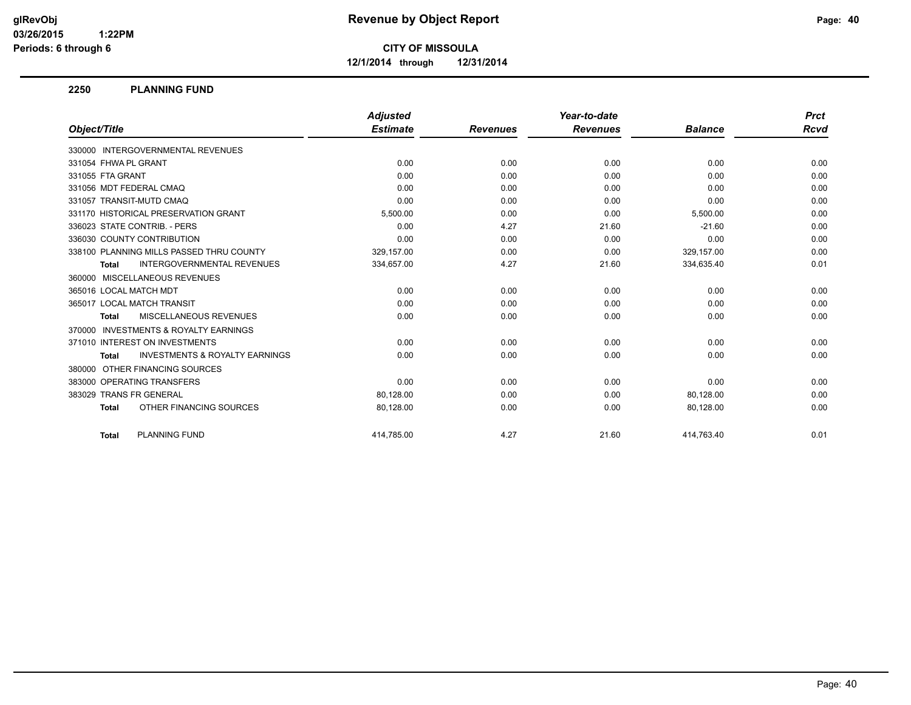**12/1/2014 through 12/31/2014**

#### **2250 PLANNING FUND**

|                                                           | <b>Adjusted</b> |                 | Year-to-date    |                | <b>Prct</b> |
|-----------------------------------------------------------|-----------------|-----------------|-----------------|----------------|-------------|
| Object/Title                                              | <b>Estimate</b> | <b>Revenues</b> | <b>Revenues</b> | <b>Balance</b> | Rcvd        |
| 330000 INTERGOVERNMENTAL REVENUES                         |                 |                 |                 |                |             |
| 331054 FHWA PL GRANT                                      | 0.00            | 0.00            | 0.00            | 0.00           | 0.00        |
| 331055 FTA GRANT                                          | 0.00            | 0.00            | 0.00            | 0.00           | 0.00        |
| 331056 MDT FEDERAL CMAQ                                   | 0.00            | 0.00            | 0.00            | 0.00           | 0.00        |
| 331057 TRANSIT-MUTD CMAQ                                  | 0.00            | 0.00            | 0.00            | 0.00           | 0.00        |
| 331170 HISTORICAL PRESERVATION GRANT                      | 5,500.00        | 0.00            | 0.00            | 5,500.00       | 0.00        |
| 336023 STATE CONTRIB. - PERS                              | 0.00            | 4.27            | 21.60           | $-21.60$       | 0.00        |
| 336030 COUNTY CONTRIBUTION                                | 0.00            | 0.00            | 0.00            | 0.00           | 0.00        |
| 338100 PLANNING MILLS PASSED THRU COUNTY                  | 329,157.00      | 0.00            | 0.00            | 329,157.00     | 0.00        |
| <b>INTERGOVERNMENTAL REVENUES</b><br><b>Total</b>         | 334,657.00      | 4.27            | 21.60           | 334,635.40     | 0.01        |
| 360000 MISCELLANEOUS REVENUES                             |                 |                 |                 |                |             |
| 365016 LOCAL MATCH MDT                                    | 0.00            | 0.00            | 0.00            | 0.00           | 0.00        |
| 365017 LOCAL MATCH TRANSIT                                | 0.00            | 0.00            | 0.00            | 0.00           | 0.00        |
| <b>MISCELLANEOUS REVENUES</b><br><b>Total</b>             | 0.00            | 0.00            | 0.00            | 0.00           | 0.00        |
| 370000 INVESTMENTS & ROYALTY EARNINGS                     |                 |                 |                 |                |             |
| 371010 INTEREST ON INVESTMENTS                            | 0.00            | 0.00            | 0.00            | 0.00           | 0.00        |
| <b>INVESTMENTS &amp; ROYALTY EARNINGS</b><br><b>Total</b> | 0.00            | 0.00            | 0.00            | 0.00           | 0.00        |
| 380000 OTHER FINANCING SOURCES                            |                 |                 |                 |                |             |
| 383000 OPERATING TRANSFERS                                | 0.00            | 0.00            | 0.00            | 0.00           | 0.00        |
| 383029 TRANS FR GENERAL                                   | 80,128.00       | 0.00            | 0.00            | 80,128.00      | 0.00        |
| OTHER FINANCING SOURCES<br><b>Total</b>                   | 80,128.00       | 0.00            | 0.00            | 80,128.00      | 0.00        |
| <b>PLANNING FUND</b><br><b>Total</b>                      | 414.785.00      | 4.27            | 21.60           | 414.763.40     | 0.01        |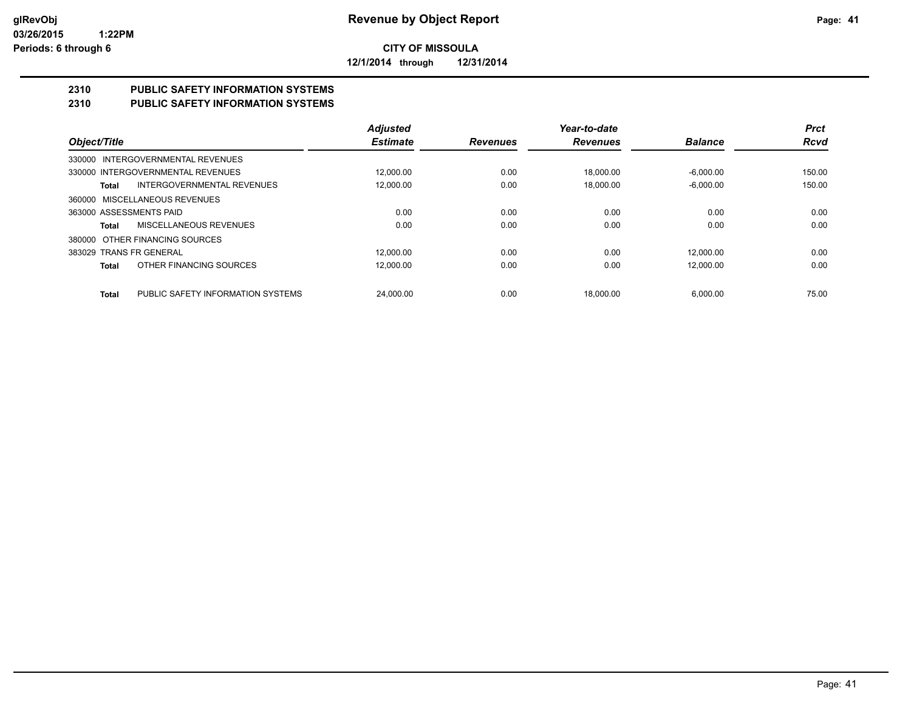**12/1/2014 through 12/31/2014**

#### **2310 PUBLIC SAFETY INFORMATION SYSTEMS 2310 PUBLIC SAFETY INFORMATION SYSTEMS**

|                                                   | Adjusted        |                 | Year-to-date    |                | <b>Prct</b> |
|---------------------------------------------------|-----------------|-----------------|-----------------|----------------|-------------|
| Object/Title                                      | <b>Estimate</b> | <b>Revenues</b> | <b>Revenues</b> | <b>Balance</b> | <b>Rcvd</b> |
| INTERGOVERNMENTAL REVENUES<br>330000              |                 |                 |                 |                |             |
| 330000 INTERGOVERNMENTAL REVENUES                 | 12.000.00       | 0.00            | 18.000.00       | $-6.000.00$    | 150.00      |
| <b>INTERGOVERNMENTAL REVENUES</b><br>Total        | 12,000.00       | 0.00            | 18.000.00       | $-6,000.00$    | 150.00      |
| MISCELLANEOUS REVENUES<br>360000                  |                 |                 |                 |                |             |
| 363000 ASSESSMENTS PAID                           | 0.00            | 0.00            | 0.00            | 0.00           | 0.00        |
| MISCELLANEOUS REVENUES<br>Total                   | 0.00            | 0.00            | 0.00            | 0.00           | 0.00        |
| OTHER FINANCING SOURCES<br>380000                 |                 |                 |                 |                |             |
| 383029 TRANS FR GENERAL                           | 12.000.00       | 0.00            | 0.00            | 12.000.00      | 0.00        |
| OTHER FINANCING SOURCES<br><b>Total</b>           | 12.000.00       | 0.00            | 0.00            | 12.000.00      | 0.00        |
|                                                   |                 |                 |                 |                |             |
| PUBLIC SAFETY INFORMATION SYSTEMS<br><b>Total</b> | 24.000.00       | 0.00            | 18.000.00       | 6.000.00       | 75.00       |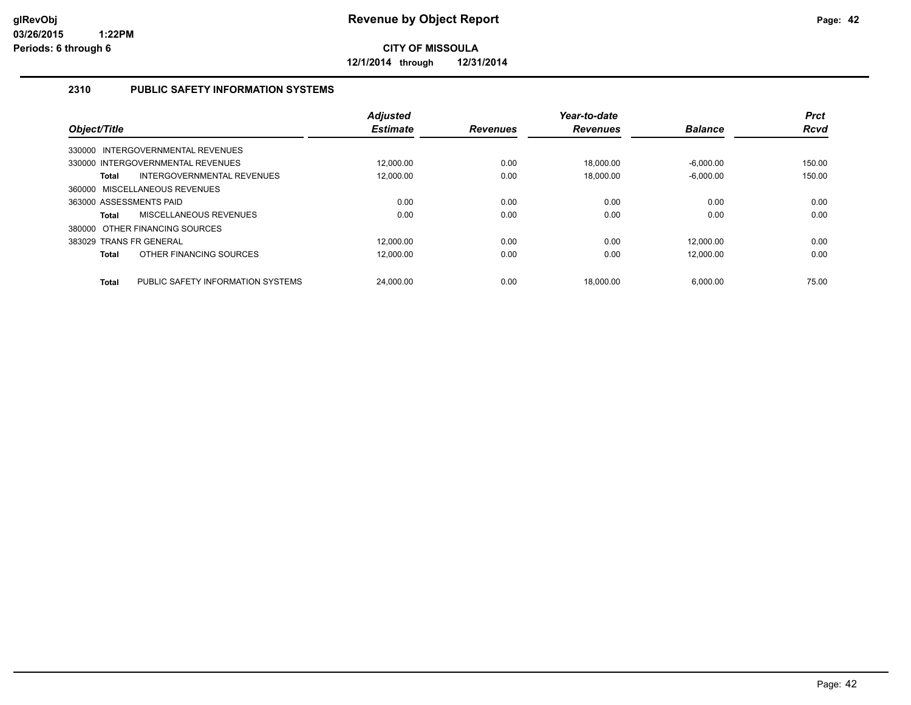**12/1/2014 through 12/31/2014**

## **2310 PUBLIC SAFETY INFORMATION SYSTEMS**

| Object/Title            |                                   | <b>Adjusted</b><br><b>Estimate</b> | <b>Revenues</b> | Year-to-date<br><b>Revenues</b> | <b>Balance</b> | <b>Prct</b><br><b>Rcvd</b> |
|-------------------------|-----------------------------------|------------------------------------|-----------------|---------------------------------|----------------|----------------------------|
|                         | 330000 INTERGOVERNMENTAL REVENUES |                                    |                 |                                 |                |                            |
|                         | 330000 INTERGOVERNMENTAL REVENUES | 12.000.00                          | 0.00            | 18.000.00                       | $-6.000.00$    | 150.00                     |
| Total                   | <b>INTERGOVERNMENTAL REVENUES</b> | 12.000.00                          | 0.00            | 18.000.00                       | $-6.000.00$    | 150.00                     |
|                         | 360000 MISCELLANEOUS REVENUES     |                                    |                 |                                 |                |                            |
| 363000 ASSESSMENTS PAID |                                   | 0.00                               | 0.00            | 0.00                            | 0.00           | 0.00                       |
| <b>Total</b>            | MISCELLANEOUS REVENUES            | 0.00                               | 0.00            | 0.00                            | 0.00           | 0.00                       |
|                         | 380000 OTHER FINANCING SOURCES    |                                    |                 |                                 |                |                            |
| 383029 TRANS FR GENERAL |                                   | 12.000.00                          | 0.00            | 0.00                            | 12.000.00      | 0.00                       |
| <b>Total</b>            | OTHER FINANCING SOURCES           | 12.000.00                          | 0.00            | 0.00                            | 12,000.00      | 0.00                       |
| <b>Total</b>            | PUBLIC SAFETY INFORMATION SYSTEMS | 24.000.00                          | 0.00            | 18.000.00                       | 6.000.00       | 75.00                      |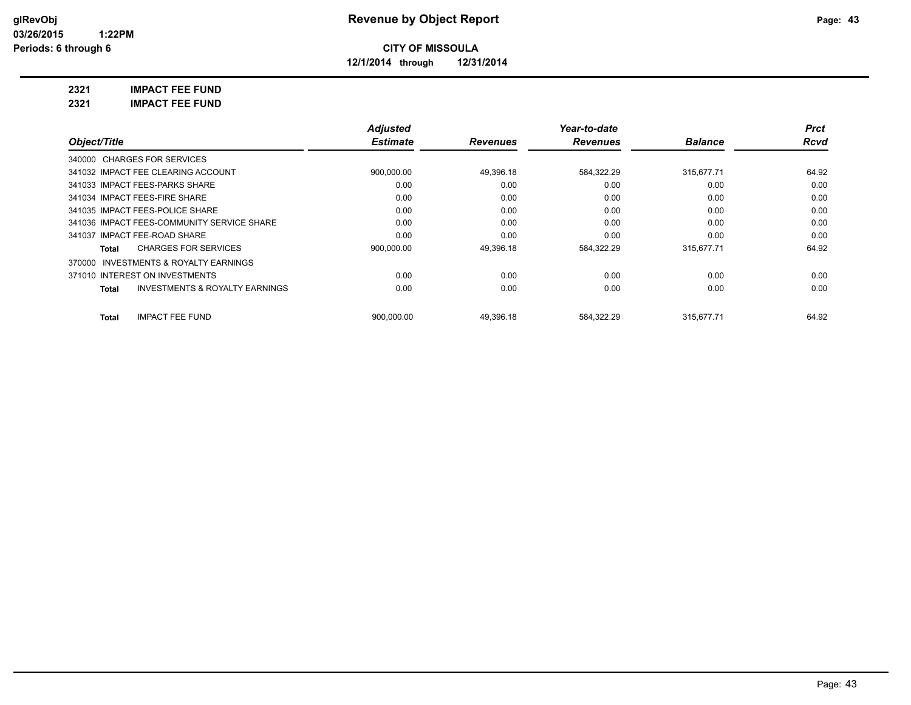**12/1/2014 through 12/31/2014**

**2321 IMPACT FEE FUND**

| 2321 | <b>IMPACT FEE FUND</b> |
|------|------------------------|
|      |                        |

|                                                           | <b>Adjusted</b> |                 | Year-to-date    |                | <b>Prct</b> |
|-----------------------------------------------------------|-----------------|-----------------|-----------------|----------------|-------------|
| Object/Title                                              | <b>Estimate</b> | <b>Revenues</b> | <b>Revenues</b> | <b>Balance</b> | Rcvd        |
| 340000 CHARGES FOR SERVICES                               |                 |                 |                 |                |             |
| 341032 IMPACT FEE CLEARING ACCOUNT                        | 900,000.00      | 49,396.18       | 584,322.29      | 315.677.71     | 64.92       |
| 341033 IMPACT FEES-PARKS SHARE                            | 0.00            | 0.00            | 0.00            | 0.00           | 0.00        |
| 341034 IMPACT FEES-FIRE SHARE                             | 0.00            | 0.00            | 0.00            | 0.00           | 0.00        |
| 341035 IMPACT FEES-POLICE SHARE                           | 0.00            | 0.00            | 0.00            | 0.00           | 0.00        |
| 341036 IMPACT FEES-COMMUNITY SERVICE SHARE                | 0.00            | 0.00            | 0.00            | 0.00           | 0.00        |
| 341037 IMPACT FEE-ROAD SHARE                              | 0.00            | 0.00            | 0.00            | 0.00           | 0.00        |
| <b>CHARGES FOR SERVICES</b><br>Total                      | 900,000.00      | 49,396.18       | 584,322.29      | 315,677.71     | 64.92       |
| 370000 INVESTMENTS & ROYALTY EARNINGS                     |                 |                 |                 |                |             |
| 371010 INTEREST ON INVESTMENTS                            | 0.00            | 0.00            | 0.00            | 0.00           | 0.00        |
| <b>INVESTMENTS &amp; ROYALTY EARNINGS</b><br><b>Total</b> | 0.00            | 0.00            | 0.00            | 0.00           | 0.00        |
| <b>IMPACT FEE FUND</b><br><b>Total</b>                    | 900.000.00      | 49.396.18       | 584.322.29      | 315.677.71     | 64.92       |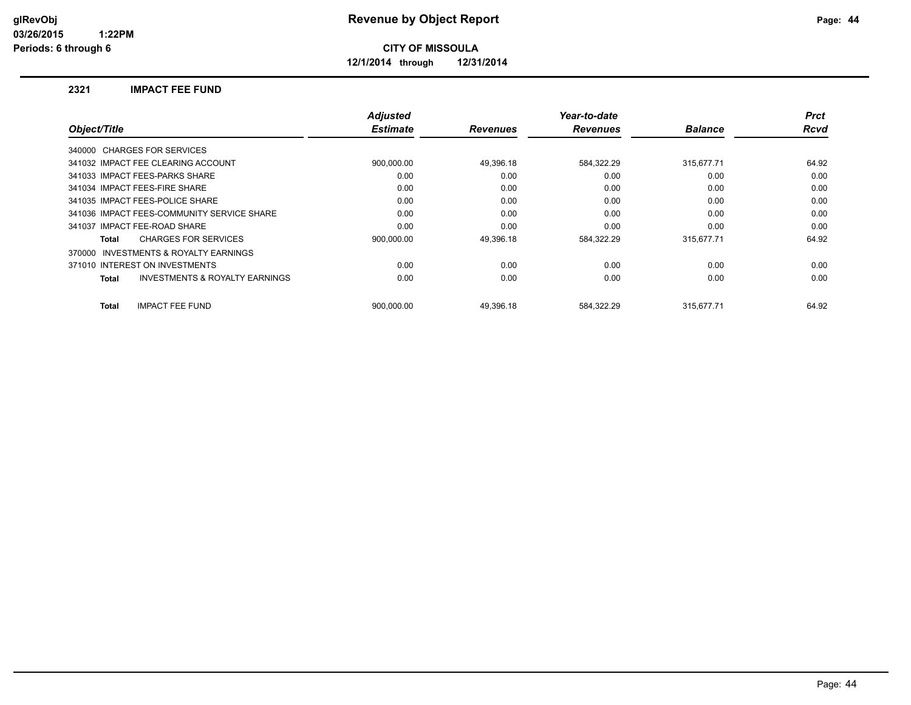**12/1/2014 through 12/31/2014**

#### **2321 IMPACT FEE FUND**

|                               |                                            | <b>Adjusted</b> |                 | Year-to-date    |                | <b>Prct</b> |
|-------------------------------|--------------------------------------------|-----------------|-----------------|-----------------|----------------|-------------|
| Object/Title                  |                                            | <b>Estimate</b> | <b>Revenues</b> | <b>Revenues</b> | <b>Balance</b> | <b>Rcvd</b> |
| 340000 CHARGES FOR SERVICES   |                                            |                 |                 |                 |                |             |
|                               | 341032 IMPACT FEE CLEARING ACCOUNT         | 900,000.00      | 49,396.18       | 584,322.29      | 315,677.71     | 64.92       |
|                               | 341033 IMPACT FEES-PARKS SHARE             | 0.00            | 0.00            | 0.00            | 0.00           | 0.00        |
| 341034 IMPACT FEES-FIRE SHARE |                                            | 0.00            | 0.00            | 0.00            | 0.00           | 0.00        |
|                               | 341035 IMPACT FEES-POLICE SHARE            | 0.00            | 0.00            | 0.00            | 0.00           | 0.00        |
|                               | 341036 IMPACT FEES-COMMUNITY SERVICE SHARE | 0.00            | 0.00            | 0.00            | 0.00           | 0.00        |
| 341037 IMPACT FEE-ROAD SHARE  |                                            | 0.00            | 0.00            | 0.00            | 0.00           | 0.00        |
| Total                         | <b>CHARGES FOR SERVICES</b>                | 900.000.00      | 49.396.18       | 584,322.29      | 315.677.71     | 64.92       |
| 370000                        | <b>INVESTMENTS &amp; ROYALTY EARNINGS</b>  |                 |                 |                 |                |             |
|                               | 371010 INTEREST ON INVESTMENTS             | 0.00            | 0.00            | 0.00            | 0.00           | 0.00        |
| Total                         | <b>INVESTMENTS &amp; ROYALTY EARNINGS</b>  | 0.00            | 0.00            | 0.00            | 0.00           | 0.00        |
| <b>Total</b>                  | <b>IMPACT FEE FUND</b>                     | 900.000.00      | 49.396.18       | 584.322.29      | 315.677.71     | 64.92       |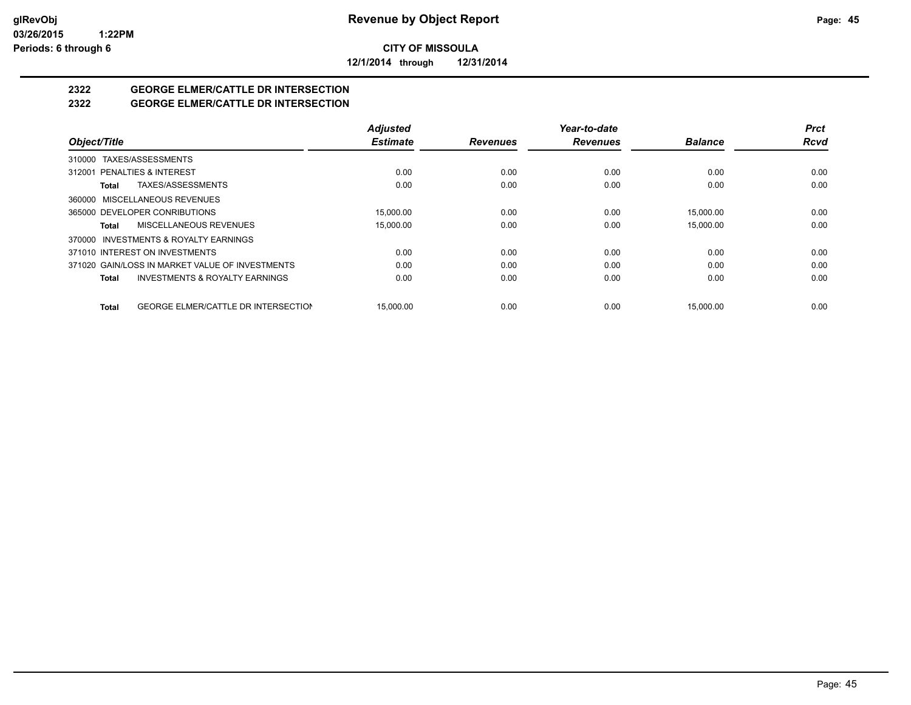**12/1/2014 through 12/31/2014**

# **2322 GEORGE ELMER/CATTLE DR INTERSECTION**

## **2322 GEORGE ELMER/CATTLE DR INTERSECTION**

|                                                           | <b>Adjusted</b> |                 | Year-to-date    |                | <b>Prct</b> |
|-----------------------------------------------------------|-----------------|-----------------|-----------------|----------------|-------------|
| Object/Title                                              | <b>Estimate</b> | <b>Revenues</b> | <b>Revenues</b> | <b>Balance</b> | <b>Rcvd</b> |
| 310000 TAXES/ASSESSMENTS                                  |                 |                 |                 |                |             |
| 312001 PENALTIES & INTEREST                               | 0.00            | 0.00            | 0.00            | 0.00           | 0.00        |
| TAXES/ASSESSMENTS<br><b>Total</b>                         | 0.00            | 0.00            | 0.00            | 0.00           | 0.00        |
| 360000 MISCELLANEOUS REVENUES                             |                 |                 |                 |                |             |
| 365000 DEVELOPER CONRIBUTIONS                             | 15.000.00       | 0.00            | 0.00            | 15.000.00      | 0.00        |
| MISCELLANEOUS REVENUES<br>Total                           | 15,000.00       | 0.00            | 0.00            | 15,000.00      | 0.00        |
| 370000 INVESTMENTS & ROYALTY EARNINGS                     |                 |                 |                 |                |             |
| 371010 INTEREST ON INVESTMENTS                            | 0.00            | 0.00            | 0.00            | 0.00           | 0.00        |
| 371020 GAIN/LOSS IN MARKET VALUE OF INVESTMENTS           | 0.00            | 0.00            | 0.00            | 0.00           | 0.00        |
| <b>INVESTMENTS &amp; ROYALTY EARNINGS</b><br><b>Total</b> | 0.00            | 0.00            | 0.00            | 0.00           | 0.00        |
| <b>GEORGE ELMER/CATTLE DR INTERSECTION</b><br>Total       | 15.000.00       | 0.00            | 0.00            | 15.000.00      | 0.00        |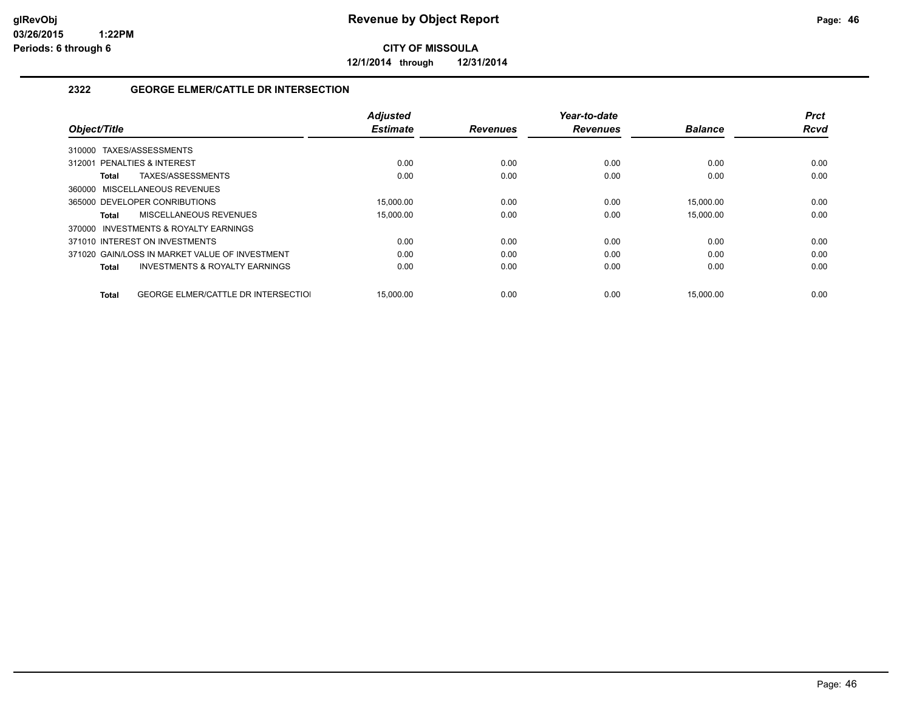**12/1/2014 through 12/31/2014**

## **2322 GEORGE ELMER/CATTLE DR INTERSECTION**

| Object/Title                |                                                | <b>Adjusted</b><br><b>Estimate</b> | <b>Revenues</b> | Year-to-date<br><b>Revenues</b> | <b>Balance</b> | <b>Prct</b><br><b>Rcvd</b> |
|-----------------------------|------------------------------------------------|------------------------------------|-----------------|---------------------------------|----------------|----------------------------|
|                             |                                                |                                    |                 |                                 |                |                            |
| 310000                      | TAXES/ASSESSMENTS                              |                                    |                 |                                 |                |                            |
| 312001 PENALTIES & INTEREST |                                                | 0.00                               | 0.00            | 0.00                            | 0.00           | 0.00                       |
| Total                       | TAXES/ASSESSMENTS                              | 0.00                               | 0.00            | 0.00                            | 0.00           | 0.00                       |
|                             | 360000 MISCELLANEOUS REVENUES                  |                                    |                 |                                 |                |                            |
|                             | 365000 DEVELOPER CONRIBUTIONS                  | 15,000.00                          | 0.00            | 0.00                            | 15.000.00      | 0.00                       |
| Total                       | MISCELLANEOUS REVENUES                         | 15,000.00                          | 0.00            | 0.00                            | 15,000.00      | 0.00                       |
|                             | 370000 INVESTMENTS & ROYALTY EARNINGS          |                                    |                 |                                 |                |                            |
|                             | 371010 INTEREST ON INVESTMENTS                 | 0.00                               | 0.00            | 0.00                            | 0.00           | 0.00                       |
|                             | 371020 GAIN/LOSS IN MARKET VALUE OF INVESTMENT | 0.00                               | 0.00            | 0.00                            | 0.00           | 0.00                       |
| Total                       | <b>INVESTMENTS &amp; ROYALTY EARNINGS</b>      | 0.00                               | 0.00            | 0.00                            | 0.00           | 0.00                       |
|                             |                                                |                                    |                 |                                 |                |                            |
| <b>Total</b>                | <b>GEORGE ELMER/CATTLE DR INTERSECTIOL</b>     | 15.000.00                          | 0.00            | 0.00                            | 15.000.00      | 0.00                       |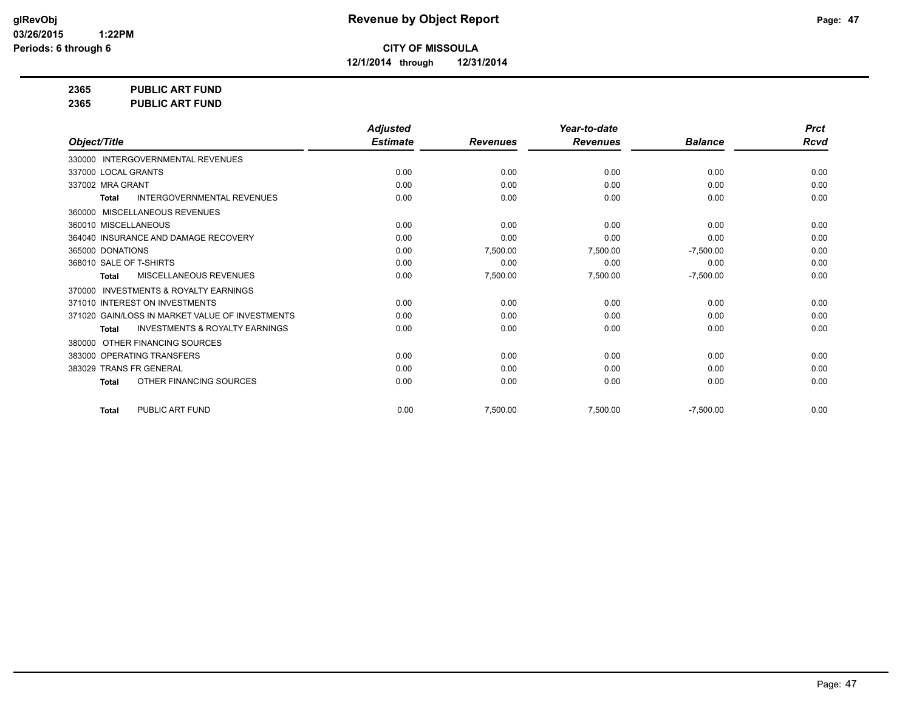**12/1/2014 through 12/31/2014**

**2365 PUBLIC ART FUND**

**2365 PUBLIC ART FUND**

|                                                           | <b>Adjusted</b> |                 | Year-to-date    |                | <b>Prct</b> |
|-----------------------------------------------------------|-----------------|-----------------|-----------------|----------------|-------------|
| Object/Title                                              | <b>Estimate</b> | <b>Revenues</b> | <b>Revenues</b> | <b>Balance</b> | Rcvd        |
| 330000 INTERGOVERNMENTAL REVENUES                         |                 |                 |                 |                |             |
| 337000 LOCAL GRANTS                                       | 0.00            | 0.00            | 0.00            | 0.00           | 0.00        |
| 337002 MRA GRANT                                          | 0.00            | 0.00            | 0.00            | 0.00           | 0.00        |
| <b>INTERGOVERNMENTAL REVENUES</b><br><b>Total</b>         | 0.00            | 0.00            | 0.00            | 0.00           | 0.00        |
| 360000 MISCELLANEOUS REVENUES                             |                 |                 |                 |                |             |
| 360010 MISCELLANEOUS                                      | 0.00            | 0.00            | 0.00            | 0.00           | 0.00        |
| 364040 INSURANCE AND DAMAGE RECOVERY                      | 0.00            | 0.00            | 0.00            | 0.00           | 0.00        |
| 365000 DONATIONS                                          | 0.00            | 7,500.00        | 7,500.00        | $-7,500.00$    | 0.00        |
| 368010 SALE OF T-SHIRTS                                   | 0.00            | 0.00            | 0.00            | 0.00           | 0.00        |
| MISCELLANEOUS REVENUES<br><b>Total</b>                    | 0.00            | 7,500.00        | 7,500.00        | $-7,500.00$    | 0.00        |
| INVESTMENTS & ROYALTY EARNINGS<br>370000                  |                 |                 |                 |                |             |
| 371010 INTEREST ON INVESTMENTS                            | 0.00            | 0.00            | 0.00            | 0.00           | 0.00        |
| 371020 GAIN/LOSS IN MARKET VALUE OF INVESTMENTS           | 0.00            | 0.00            | 0.00            | 0.00           | 0.00        |
| <b>INVESTMENTS &amp; ROYALTY EARNINGS</b><br><b>Total</b> | 0.00            | 0.00            | 0.00            | 0.00           | 0.00        |
| OTHER FINANCING SOURCES<br>380000                         |                 |                 |                 |                |             |
| 383000 OPERATING TRANSFERS                                | 0.00            | 0.00            | 0.00            | 0.00           | 0.00        |
| 383029 TRANS FR GENERAL                                   | 0.00            | 0.00            | 0.00            | 0.00           | 0.00        |
| OTHER FINANCING SOURCES<br><b>Total</b>                   | 0.00            | 0.00            | 0.00            | 0.00           | 0.00        |
| PUBLIC ART FUND<br><b>Total</b>                           | 0.00            | 7,500.00        | 7,500.00        | $-7,500.00$    | 0.00        |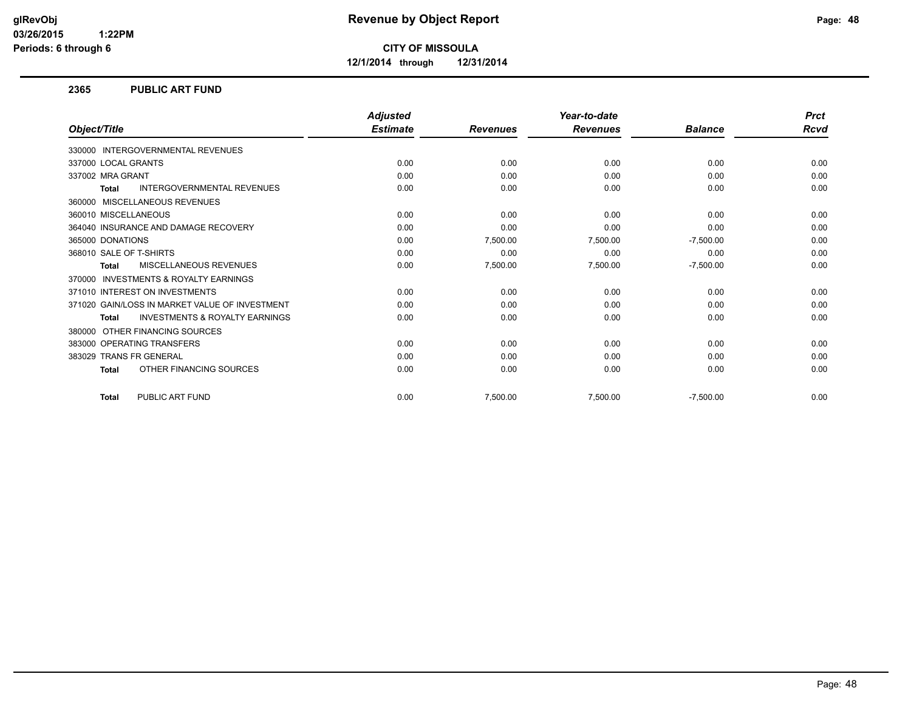**12/1/2014 through 12/31/2014**

#### **2365 PUBLIC ART FUND**

|                                                     | <b>Adjusted</b> |                 | Year-to-date    |                | <b>Prct</b> |
|-----------------------------------------------------|-----------------|-----------------|-----------------|----------------|-------------|
| Object/Title                                        | <b>Estimate</b> | <b>Revenues</b> | <b>Revenues</b> | <b>Balance</b> | <b>Rcvd</b> |
| 330000 INTERGOVERNMENTAL REVENUES                   |                 |                 |                 |                |             |
| 337000 LOCAL GRANTS                                 | 0.00            | 0.00            | 0.00            | 0.00           | 0.00        |
| 337002 MRA GRANT                                    | 0.00            | 0.00            | 0.00            | 0.00           | 0.00        |
| <b>INTERGOVERNMENTAL REVENUES</b><br><b>Total</b>   | 0.00            | 0.00            | 0.00            | 0.00           | 0.00        |
| MISCELLANEOUS REVENUES<br>360000                    |                 |                 |                 |                |             |
| 360010 MISCELLANEOUS                                | 0.00            | 0.00            | 0.00            | 0.00           | 0.00        |
| 364040 INSURANCE AND DAMAGE RECOVERY                | 0.00            | 0.00            | 0.00            | 0.00           | 0.00        |
| 365000 DONATIONS                                    | 0.00            | 7,500.00        | 7,500.00        | $-7,500.00$    | 0.00        |
| 368010 SALE OF T-SHIRTS                             | 0.00            | 0.00            | 0.00            | 0.00           | 0.00        |
| <b>MISCELLANEOUS REVENUES</b><br>Total              | 0.00            | 7,500.00        | 7,500.00        | $-7,500.00$    | 0.00        |
| <b>INVESTMENTS &amp; ROYALTY EARNINGS</b><br>370000 |                 |                 |                 |                |             |
| 371010 INTEREST ON INVESTMENTS                      | 0.00            | 0.00            | 0.00            | 0.00           | 0.00        |
| 371020 GAIN/LOSS IN MARKET VALUE OF INVESTMENT      | 0.00            | 0.00            | 0.00            | 0.00           | 0.00        |
| <b>INVESTMENTS &amp; ROYALTY EARNINGS</b><br>Total  | 0.00            | 0.00            | 0.00            | 0.00           | 0.00        |
| OTHER FINANCING SOURCES<br>380000                   |                 |                 |                 |                |             |
| 383000 OPERATING TRANSFERS                          | 0.00            | 0.00            | 0.00            | 0.00           | 0.00        |
| 383029 TRANS FR GENERAL                             | 0.00            | 0.00            | 0.00            | 0.00           | 0.00        |
| OTHER FINANCING SOURCES<br><b>Total</b>             | 0.00            | 0.00            | 0.00            | 0.00           | 0.00        |
| PUBLIC ART FUND<br><b>Total</b>                     | 0.00            | 7,500.00        | 7,500.00        | $-7,500.00$    | 0.00        |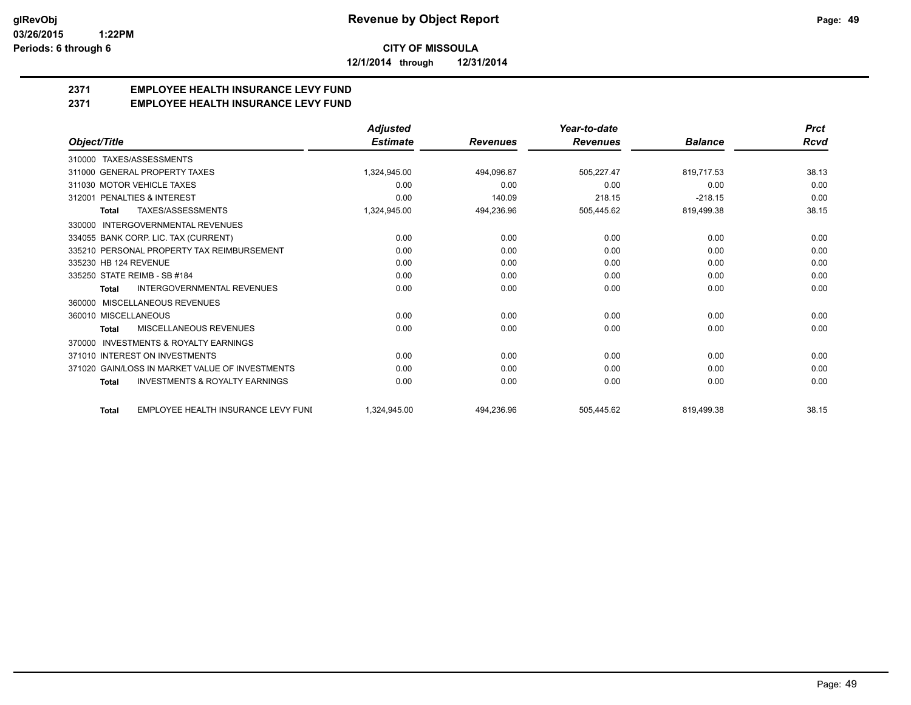**12/1/2014 through 12/31/2014**

# **2371 EMPLOYEE HEALTH INSURANCE LEVY FUND**

**2371 EMPLOYEE HEALTH INSURANCE LEVY FUND**

|                                                           | <b>Adjusted</b> |                 | Year-to-date    |                | <b>Prct</b> |
|-----------------------------------------------------------|-----------------|-----------------|-----------------|----------------|-------------|
| Object/Title                                              | <b>Estimate</b> | <b>Revenues</b> | <b>Revenues</b> | <b>Balance</b> | Rcvd        |
| 310000 TAXES/ASSESSMENTS                                  |                 |                 |                 |                |             |
| 311000 GENERAL PROPERTY TAXES                             | 1.324.945.00    | 494.096.87      | 505,227.47      | 819,717.53     | 38.13       |
| 311030 MOTOR VEHICLE TAXES                                | 0.00            | 0.00            | 0.00            | 0.00           | 0.00        |
| 312001 PENALTIES & INTEREST                               | 0.00            | 140.09          | 218.15          | $-218.15$      | 0.00        |
| <b>TAXES/ASSESSMENTS</b><br>Total                         | 1,324,945.00    | 494,236.96      | 505,445.62      | 819,499.38     | 38.15       |
| <b>INTERGOVERNMENTAL REVENUES</b><br>330000               |                 |                 |                 |                |             |
| 334055 BANK CORP. LIC. TAX (CURRENT)                      | 0.00            | 0.00            | 0.00            | 0.00           | 0.00        |
| 335210 PERSONAL PROPERTY TAX REIMBURSEMENT                | 0.00            | 0.00            | 0.00            | 0.00           | 0.00        |
| 335230 HB 124 REVENUE                                     | 0.00            | 0.00            | 0.00            | 0.00           | 0.00        |
| 335250 STATE REIMB - SB #184                              | 0.00            | 0.00            | 0.00            | 0.00           | 0.00        |
| <b>INTERGOVERNMENTAL REVENUES</b><br><b>Total</b>         | 0.00            | 0.00            | 0.00            | 0.00           | 0.00        |
| MISCELLANEOUS REVENUES<br>360000                          |                 |                 |                 |                |             |
| 360010 MISCELLANEOUS                                      | 0.00            | 0.00            | 0.00            | 0.00           | 0.00        |
| MISCELLANEOUS REVENUES<br><b>Total</b>                    | 0.00            | 0.00            | 0.00            | 0.00           | 0.00        |
| INVESTMENTS & ROYALTY EARNINGS<br>370000                  |                 |                 |                 |                |             |
| 371010 INTEREST ON INVESTMENTS                            | 0.00            | 0.00            | 0.00            | 0.00           | 0.00        |
| 371020 GAIN/LOSS IN MARKET VALUE OF INVESTMENTS           | 0.00            | 0.00            | 0.00            | 0.00           | 0.00        |
| <b>INVESTMENTS &amp; ROYALTY EARNINGS</b><br><b>Total</b> | 0.00            | 0.00            | 0.00            | 0.00           | 0.00        |
| EMPLOYEE HEALTH INSURANCE LEVY FUNI<br><b>Total</b>       | 1,324,945.00    | 494,236.96      | 505,445.62      | 819,499.38     | 38.15       |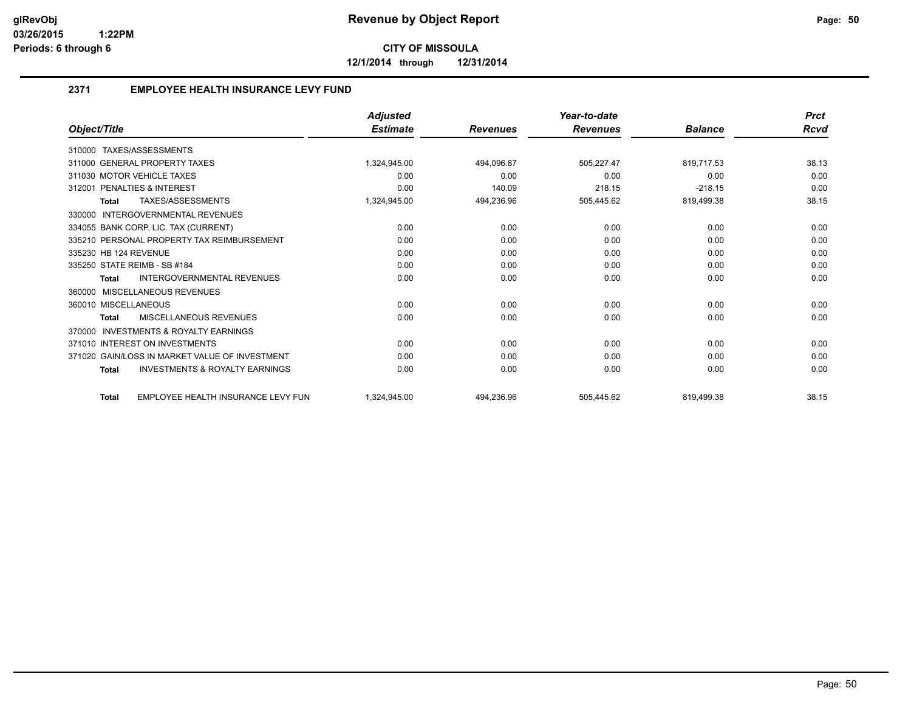**12/1/2014 through 12/31/2014**

## **2371 EMPLOYEE HEALTH INSURANCE LEVY FUND**

|                                                           | <b>Adjusted</b> |                 | Year-to-date    |                | <b>Prct</b> |
|-----------------------------------------------------------|-----------------|-----------------|-----------------|----------------|-------------|
| Object/Title                                              | <b>Estimate</b> | <b>Revenues</b> | <b>Revenues</b> | <b>Balance</b> | <b>Rcvd</b> |
| TAXES/ASSESSMENTS<br>310000                               |                 |                 |                 |                |             |
| 311000 GENERAL PROPERTY TAXES                             | 1,324,945.00    | 494,096.87      | 505,227.47      | 819,717.53     | 38.13       |
| 311030 MOTOR VEHICLE TAXES                                | 0.00            | 0.00            | 0.00            | 0.00           | 0.00        |
| <b>PENALTIES &amp; INTEREST</b><br>312001                 | 0.00            | 140.09          | 218.15          | $-218.15$      | 0.00        |
| TAXES/ASSESSMENTS<br><b>Total</b>                         | 1,324,945.00    | 494,236.96      | 505,445.62      | 819,499.38     | 38.15       |
| <b>INTERGOVERNMENTAL REVENUES</b><br>330000               |                 |                 |                 |                |             |
| 334055 BANK CORP. LIC. TAX (CURRENT)                      | 0.00            | 0.00            | 0.00            | 0.00           | 0.00        |
| 335210 PERSONAL PROPERTY TAX REIMBURSEMENT                | 0.00            | 0.00            | 0.00            | 0.00           | 0.00        |
| 335230 HB 124 REVENUE                                     | 0.00            | 0.00            | 0.00            | 0.00           | 0.00        |
| 335250 STATE REIMB - SB #184                              | 0.00            | 0.00            | 0.00            | 0.00           | 0.00        |
| <b>INTERGOVERNMENTAL REVENUES</b><br>Total                | 0.00            | 0.00            | 0.00            | 0.00           | 0.00        |
| MISCELLANEOUS REVENUES<br>360000                          |                 |                 |                 |                |             |
| 360010 MISCELLANEOUS                                      | 0.00            | 0.00            | 0.00            | 0.00           | 0.00        |
| MISCELLANEOUS REVENUES<br>Total                           | 0.00            | 0.00            | 0.00            | 0.00           | 0.00        |
| <b>INVESTMENTS &amp; ROYALTY EARNINGS</b><br>370000       |                 |                 |                 |                |             |
| 371010 INTEREST ON INVESTMENTS                            | 0.00            | 0.00            | 0.00            | 0.00           | 0.00        |
| 371020 GAIN/LOSS IN MARKET VALUE OF INVESTMENT            | 0.00            | 0.00            | 0.00            | 0.00           | 0.00        |
| <b>INVESTMENTS &amp; ROYALTY EARNINGS</b><br><b>Total</b> | 0.00            | 0.00            | 0.00            | 0.00           | 0.00        |
| EMPLOYEE HEALTH INSURANCE LEVY FUN<br><b>Total</b>        | 1,324,945.00    | 494,236.96      | 505.445.62      | 819,499.38     | 38.15       |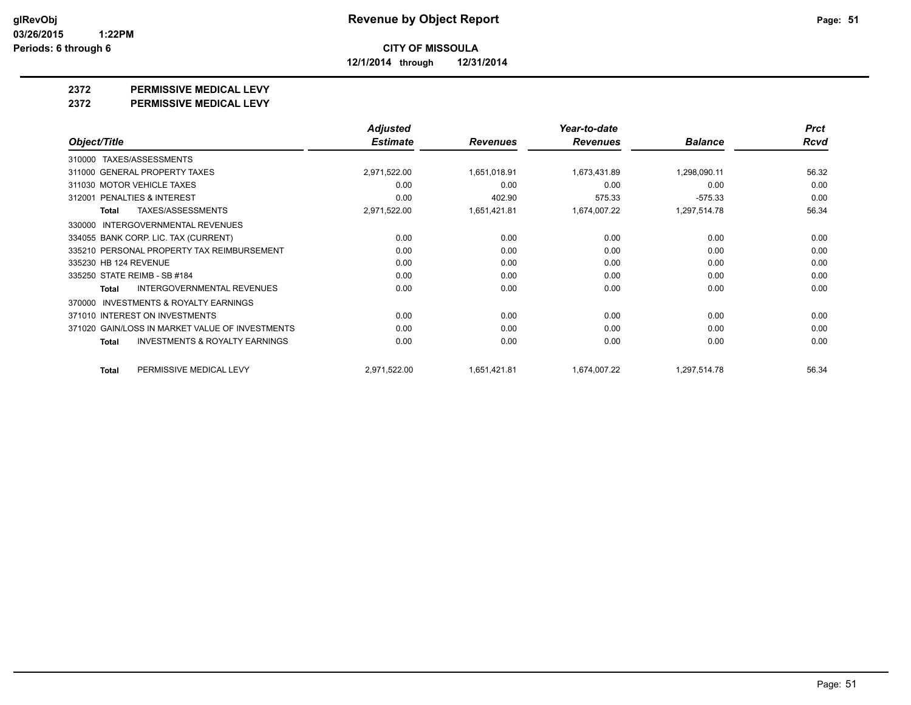**12/1/2014 through 12/31/2014**

#### **2372 PERMISSIVE MEDICAL LEVY**

**2372 PERMISSIVE MEDICAL LEVY**

|                                                     | <b>Adjusted</b> |                 | Year-to-date    |                | <b>Prct</b> |
|-----------------------------------------------------|-----------------|-----------------|-----------------|----------------|-------------|
| Object/Title                                        | <b>Estimate</b> | <b>Revenues</b> | <b>Revenues</b> | <b>Balance</b> | <b>Rcvd</b> |
| TAXES/ASSESSMENTS<br>310000                         |                 |                 |                 |                |             |
| 311000 GENERAL PROPERTY TAXES                       | 2,971,522.00    | 1,651,018.91    | 1,673,431.89    | 1,298,090.11   | 56.32       |
| 311030 MOTOR VEHICLE TAXES                          | 0.00            | 0.00            | 0.00            | 0.00           | 0.00        |
| <b>PENALTIES &amp; INTEREST</b><br>312001           | 0.00            | 402.90          | 575.33          | $-575.33$      | 0.00        |
| <b>TAXES/ASSESSMENTS</b><br>Total                   | 2,971,522.00    | 1,651,421.81    | 1,674,007.22    | 1,297,514.78   | 56.34       |
| <b>INTERGOVERNMENTAL REVENUES</b><br>330000         |                 |                 |                 |                |             |
| 334055 BANK CORP. LIC. TAX (CURRENT)                | 0.00            | 0.00            | 0.00            | 0.00           | 0.00        |
| 335210 PERSONAL PROPERTY TAX REIMBURSEMENT          | 0.00            | 0.00            | 0.00            | 0.00           | 0.00        |
| 335230 HB 124 REVENUE                               | 0.00            | 0.00            | 0.00            | 0.00           | 0.00        |
| 335250 STATE REIMB - SB #184                        | 0.00            | 0.00            | 0.00            | 0.00           | 0.00        |
| <b>INTERGOVERNMENTAL REVENUES</b><br>Total          | 0.00            | 0.00            | 0.00            | 0.00           | 0.00        |
| <b>INVESTMENTS &amp; ROYALTY EARNINGS</b><br>370000 |                 |                 |                 |                |             |
| 371010 INTEREST ON INVESTMENTS                      | 0.00            | 0.00            | 0.00            | 0.00           | 0.00        |
| 371020 GAIN/LOSS IN MARKET VALUE OF INVESTMENTS     | 0.00            | 0.00            | 0.00            | 0.00           | 0.00        |
| <b>INVESTMENTS &amp; ROYALTY EARNINGS</b><br>Total  | 0.00            | 0.00            | 0.00            | 0.00           | 0.00        |
| PERMISSIVE MEDICAL LEVY<br>Total                    | 2,971,522.00    | 1,651,421.81    | 1,674,007.22    | 1,297,514.78   | 56.34       |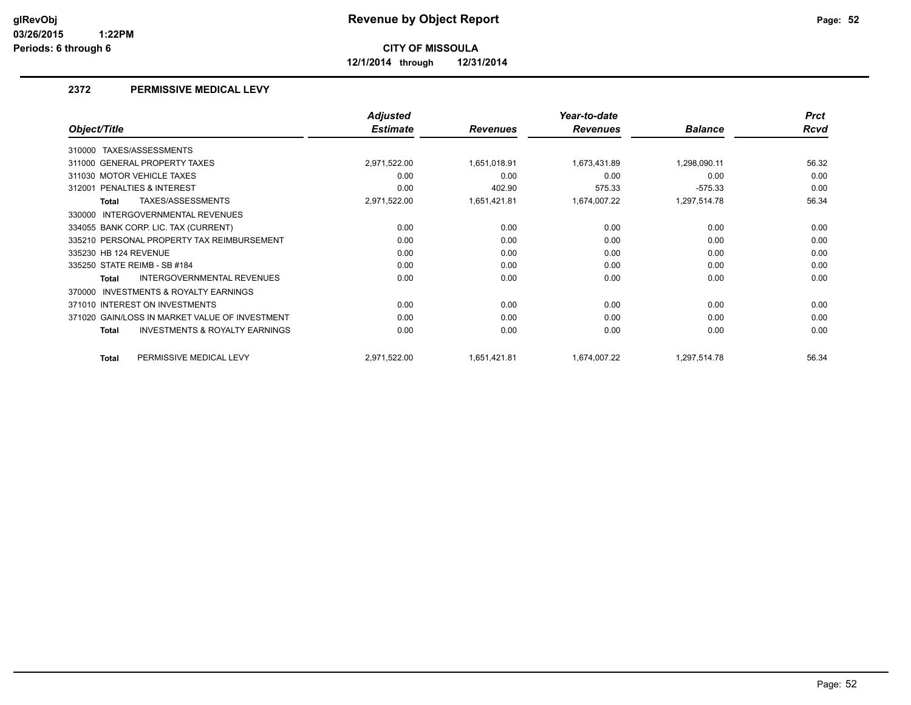**12/1/2014 through 12/31/2014**

## **2372 PERMISSIVE MEDICAL LEVY**

|                                                     | <b>Adjusted</b> |                 | Year-to-date    |                | <b>Prct</b> |
|-----------------------------------------------------|-----------------|-----------------|-----------------|----------------|-------------|
| Object/Title                                        | <b>Estimate</b> | <b>Revenues</b> | <b>Revenues</b> | <b>Balance</b> | <b>Rcvd</b> |
| TAXES/ASSESSMENTS<br>310000                         |                 |                 |                 |                |             |
| 311000 GENERAL PROPERTY TAXES                       | 2,971,522.00    | 1,651,018.91    | 1,673,431.89    | 1,298,090.11   | 56.32       |
| 311030 MOTOR VEHICLE TAXES                          | 0.00            | 0.00            | 0.00            | 0.00           | 0.00        |
| 312001 PENALTIES & INTEREST                         | 0.00            | 402.90          | 575.33          | $-575.33$      | 0.00        |
| TAXES/ASSESSMENTS<br><b>Total</b>                   | 2,971,522.00    | 1,651,421.81    | 1,674,007.22    | 1,297,514.78   | 56.34       |
| INTERGOVERNMENTAL REVENUES<br>330000                |                 |                 |                 |                |             |
| 334055 BANK CORP. LIC. TAX (CURRENT)                | 0.00            | 0.00            | 0.00            | 0.00           | 0.00        |
| 335210 PERSONAL PROPERTY TAX REIMBURSEMENT          | 0.00            | 0.00            | 0.00            | 0.00           | 0.00        |
| 335230 HB 124 REVENUE                               | 0.00            | 0.00            | 0.00            | 0.00           | 0.00        |
| 335250 STATE REIMB - SB #184                        | 0.00            | 0.00            | 0.00            | 0.00           | 0.00        |
| INTERGOVERNMENTAL REVENUES<br>Total                 | 0.00            | 0.00            | 0.00            | 0.00           | 0.00        |
| <b>INVESTMENTS &amp; ROYALTY EARNINGS</b><br>370000 |                 |                 |                 |                |             |
| 371010 INTEREST ON INVESTMENTS                      | 0.00            | 0.00            | 0.00            | 0.00           | 0.00        |
| 371020 GAIN/LOSS IN MARKET VALUE OF INVESTMENT      | 0.00            | 0.00            | 0.00            | 0.00           | 0.00        |
| <b>INVESTMENTS &amp; ROYALTY EARNINGS</b><br>Total  | 0.00            | 0.00            | 0.00            | 0.00           | 0.00        |
| PERMISSIVE MEDICAL LEVY<br><b>Total</b>             | 2,971,522.00    | 1,651,421.81    | 1,674,007.22    | 1,297,514.78   | 56.34       |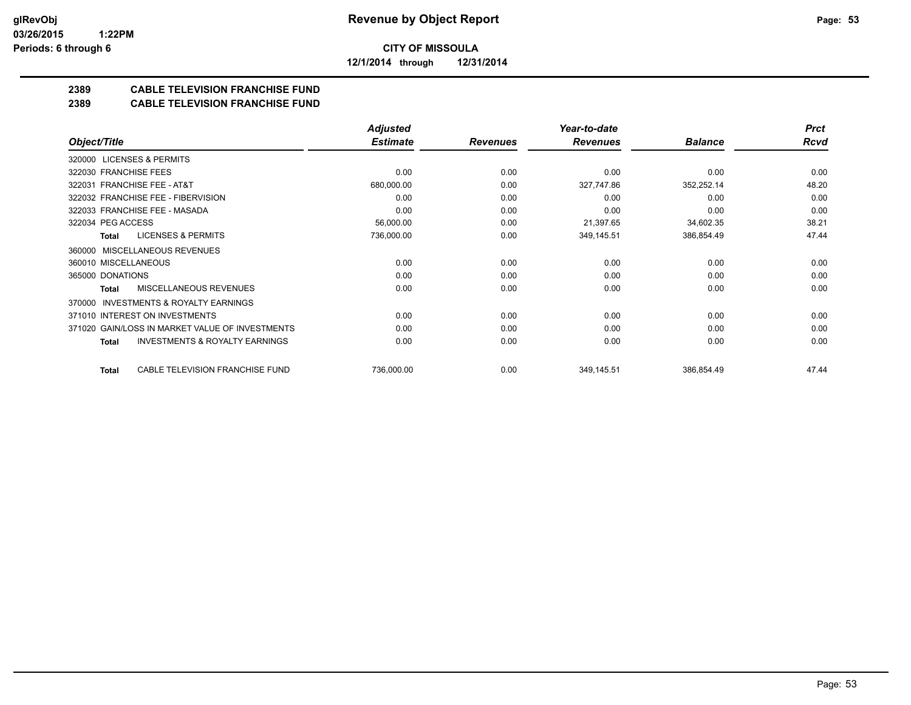**12/1/2014 through 12/31/2014**

## **2389 CABLE TELEVISION FRANCHISE FUND**

#### **2389 CABLE TELEVISION FRANCHISE FUND**

|                                                     | <b>Adjusted</b> |                 | Year-to-date    |                | <b>Prct</b> |
|-----------------------------------------------------|-----------------|-----------------|-----------------|----------------|-------------|
| Object/Title                                        | <b>Estimate</b> | <b>Revenues</b> | <b>Revenues</b> | <b>Balance</b> | <b>Rcvd</b> |
| 320000 LICENSES & PERMITS                           |                 |                 |                 |                |             |
| 322030 FRANCHISE FEES                               | 0.00            | 0.00            | 0.00            | 0.00           | 0.00        |
| <b>FRANCHISE FEE - AT&amp;T</b><br>322031           | 680,000.00      | 0.00            | 327,747.86      | 352,252.14     | 48.20       |
| 322032 FRANCHISE FEE - FIBERVISION                  | 0.00            | 0.00            | 0.00            | 0.00           | 0.00        |
| 322033 FRANCHISE FEE - MASADA                       | 0.00            | 0.00            | 0.00            | 0.00           | 0.00        |
| 322034 PEG ACCESS                                   | 56,000.00       | 0.00            | 21,397.65       | 34,602.35      | 38.21       |
| <b>LICENSES &amp; PERMITS</b><br>Total              | 736,000.00      | 0.00            | 349,145.51      | 386,854.49     | 47.44       |
| 360000 MISCELLANEOUS REVENUES                       |                 |                 |                 |                |             |
| 360010 MISCELLANEOUS                                | 0.00            | 0.00            | 0.00            | 0.00           | 0.00        |
| 365000 DONATIONS                                    | 0.00            | 0.00            | 0.00            | 0.00           | 0.00        |
| MISCELLANEOUS REVENUES<br><b>Total</b>              | 0.00            | 0.00            | 0.00            | 0.00           | 0.00        |
| <b>INVESTMENTS &amp; ROYALTY EARNINGS</b><br>370000 |                 |                 |                 |                |             |
| 371010 INTEREST ON INVESTMENTS                      | 0.00            | 0.00            | 0.00            | 0.00           | 0.00        |
| 371020 GAIN/LOSS IN MARKET VALUE OF INVESTMENTS     | 0.00            | 0.00            | 0.00            | 0.00           | 0.00        |
| <b>INVESTMENTS &amp; ROYALTY EARNINGS</b><br>Total  | 0.00            | 0.00            | 0.00            | 0.00           | 0.00        |
| CABLE TELEVISION FRANCHISE FUND<br>Total            | 736,000.00      | 0.00            | 349,145.51      | 386,854.49     | 47.44       |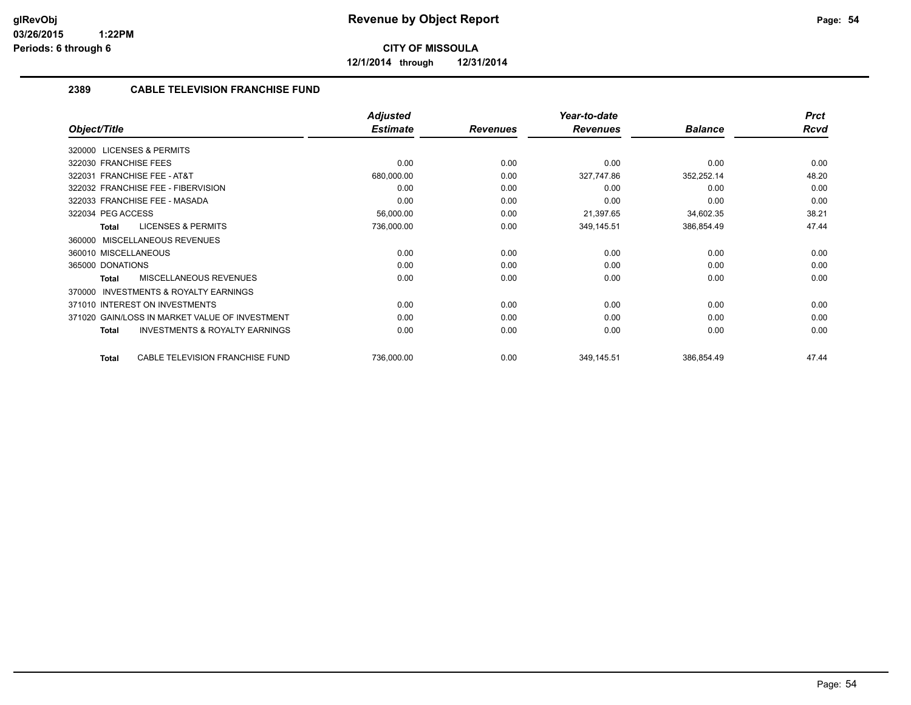**12/1/2014 through 12/31/2014**

## **2389 CABLE TELEVISION FRANCHISE FUND**

|                                                           | <b>Adjusted</b> |                 | Year-to-date    |                | <b>Prct</b> |
|-----------------------------------------------------------|-----------------|-----------------|-----------------|----------------|-------------|
| Object/Title                                              | <b>Estimate</b> | <b>Revenues</b> | <b>Revenues</b> | <b>Balance</b> | <b>Rcvd</b> |
| <b>LICENSES &amp; PERMITS</b><br>320000                   |                 |                 |                 |                |             |
| 322030 FRANCHISE FEES                                     | 0.00            | 0.00            | 0.00            | 0.00           | 0.00        |
| 322031 FRANCHISE FEE - AT&T                               | 680,000.00      | 0.00            | 327,747.86      | 352,252.14     | 48.20       |
| 322032 FRANCHISE FEE - FIBERVISION                        | 0.00            | 0.00            | 0.00            | 0.00           | 0.00        |
| 322033 FRANCHISE FEE - MASADA                             | 0.00            | 0.00            | 0.00            | 0.00           | 0.00        |
| 322034 PEG ACCESS                                         | 56,000.00       | 0.00            | 21,397.65       | 34,602.35      | 38.21       |
| <b>LICENSES &amp; PERMITS</b><br><b>Total</b>             | 736,000.00      | 0.00            | 349,145.51      | 386,854.49     | 47.44       |
| MISCELLANEOUS REVENUES<br>360000                          |                 |                 |                 |                |             |
| 360010 MISCELLANEOUS                                      | 0.00            | 0.00            | 0.00            | 0.00           | 0.00        |
| 365000 DONATIONS                                          | 0.00            | 0.00            | 0.00            | 0.00           | 0.00        |
| <b>MISCELLANEOUS REVENUES</b><br><b>Total</b>             | 0.00            | 0.00            | 0.00            | 0.00           | 0.00        |
| <b>INVESTMENTS &amp; ROYALTY EARNINGS</b><br>370000       |                 |                 |                 |                |             |
| 371010 INTEREST ON INVESTMENTS                            | 0.00            | 0.00            | 0.00            | 0.00           | 0.00        |
| 371020 GAIN/LOSS IN MARKET VALUE OF INVESTMENT            | 0.00            | 0.00            | 0.00            | 0.00           | 0.00        |
| <b>INVESTMENTS &amp; ROYALTY EARNINGS</b><br><b>Total</b> | 0.00            | 0.00            | 0.00            | 0.00           | 0.00        |
| CABLE TELEVISION FRANCHISE FUND<br><b>Total</b>           | 736,000.00      | 0.00            | 349,145.51      | 386,854.49     | 47.44       |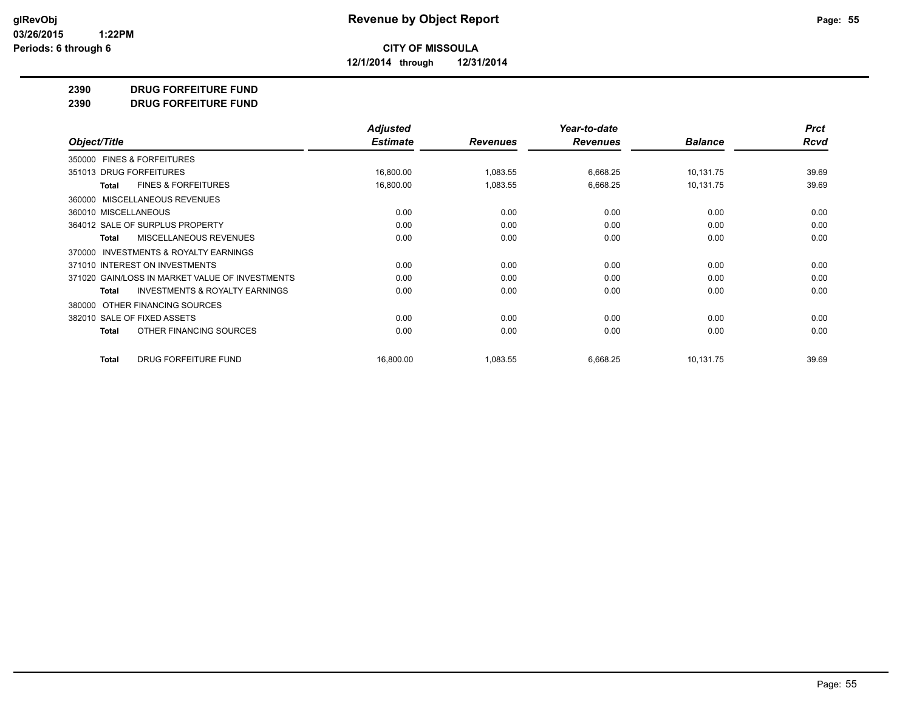**12/1/2014 through 12/31/2014**

#### **2390 DRUG FORFEITURE FUND**

#### **2390 DRUG FORFEITURE FUND**

|                                                     | <b>Adjusted</b> |                 | Year-to-date    |                | <b>Prct</b> |
|-----------------------------------------------------|-----------------|-----------------|-----------------|----------------|-------------|
| Object/Title                                        | <b>Estimate</b> | <b>Revenues</b> | <b>Revenues</b> | <b>Balance</b> | Rcvd        |
| 350000 FINES & FORFEITURES                          |                 |                 |                 |                |             |
| 351013 DRUG FORFEITURES                             | 16,800.00       | 1,083.55        | 6,668.25        | 10,131.75      | 39.69       |
| <b>FINES &amp; FORFEITURES</b><br>Total             | 16,800.00       | 1,083.55        | 6,668.25        | 10,131.75      | 39.69       |
| 360000 MISCELLANEOUS REVENUES                       |                 |                 |                 |                |             |
| 360010 MISCELLANEOUS                                | 0.00            | 0.00            | 0.00            | 0.00           | 0.00        |
| 364012 SALE OF SURPLUS PROPERTY                     | 0.00            | 0.00            | 0.00            | 0.00           | 0.00        |
| MISCELLANEOUS REVENUES<br>Total                     | 0.00            | 0.00            | 0.00            | 0.00           | 0.00        |
| <b>INVESTMENTS &amp; ROYALTY EARNINGS</b><br>370000 |                 |                 |                 |                |             |
| 371010 INTEREST ON INVESTMENTS                      | 0.00            | 0.00            | 0.00            | 0.00           | 0.00        |
| 371020 GAIN/LOSS IN MARKET VALUE OF INVESTMENTS     | 0.00            | 0.00            | 0.00            | 0.00           | 0.00        |
| <b>INVESTMENTS &amp; ROYALTY EARNINGS</b><br>Total  | 0.00            | 0.00            | 0.00            | 0.00           | 0.00        |
| 380000 OTHER FINANCING SOURCES                      |                 |                 |                 |                |             |
| 382010 SALE OF FIXED ASSETS                         | 0.00            | 0.00            | 0.00            | 0.00           | 0.00        |
| OTHER FINANCING SOURCES<br>Total                    | 0.00            | 0.00            | 0.00            | 0.00           | 0.00        |
| DRUG FORFEITURE FUND<br>Total                       | 16,800.00       | 1,083.55        | 6,668.25        | 10,131.75      | 39.69       |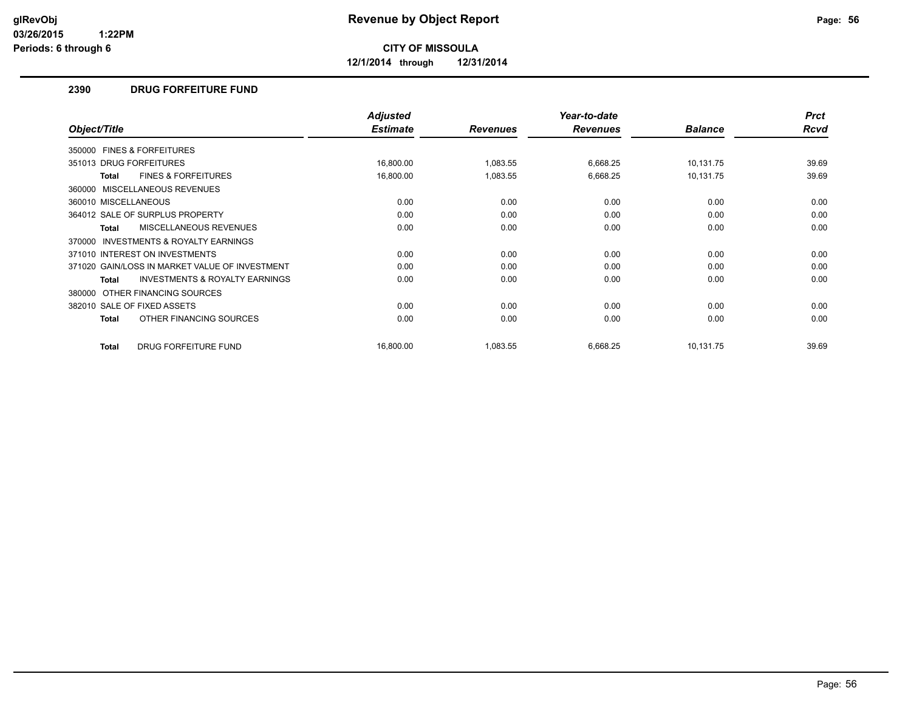**12/1/2014 through 12/31/2014**

## **2390 DRUG FORFEITURE FUND**

|                                                           | <b>Adjusted</b> |                 | Year-to-date    |                | <b>Prct</b> |
|-----------------------------------------------------------|-----------------|-----------------|-----------------|----------------|-------------|
| Object/Title                                              | <b>Estimate</b> | <b>Revenues</b> | <b>Revenues</b> | <b>Balance</b> | <b>Rcvd</b> |
| 350000 FINES & FORFEITURES                                |                 |                 |                 |                |             |
| 351013 DRUG FORFEITURES                                   | 16,800.00       | 1,083.55        | 6,668.25        | 10,131.75      | 39.69       |
| <b>FINES &amp; FORFEITURES</b><br><b>Total</b>            | 16,800.00       | 1,083.55        | 6,668.25        | 10,131.75      | 39.69       |
| 360000 MISCELLANEOUS REVENUES                             |                 |                 |                 |                |             |
| 360010 MISCELLANEOUS                                      | 0.00            | 0.00            | 0.00            | 0.00           | 0.00        |
| 364012 SALE OF SURPLUS PROPERTY                           | 0.00            | 0.00            | 0.00            | 0.00           | 0.00        |
| MISCELLANEOUS REVENUES<br>Total                           | 0.00            | 0.00            | 0.00            | 0.00           | 0.00        |
| <b>INVESTMENTS &amp; ROYALTY EARNINGS</b><br>370000       |                 |                 |                 |                |             |
| 371010 INTEREST ON INVESTMENTS                            | 0.00            | 0.00            | 0.00            | 0.00           | 0.00        |
| 371020 GAIN/LOSS IN MARKET VALUE OF INVESTMENT            | 0.00            | 0.00            | 0.00            | 0.00           | 0.00        |
| <b>INVESTMENTS &amp; ROYALTY EARNINGS</b><br><b>Total</b> | 0.00            | 0.00            | 0.00            | 0.00           | 0.00        |
| 380000 OTHER FINANCING SOURCES                            |                 |                 |                 |                |             |
| 382010 SALE OF FIXED ASSETS                               | 0.00            | 0.00            | 0.00            | 0.00           | 0.00        |
| OTHER FINANCING SOURCES<br><b>Total</b>                   | 0.00            | 0.00            | 0.00            | 0.00           | 0.00        |
| <b>DRUG FORFEITURE FUND</b><br>Total                      | 16,800.00       | 1,083.55        | 6,668.25        | 10,131.75      | 39.69       |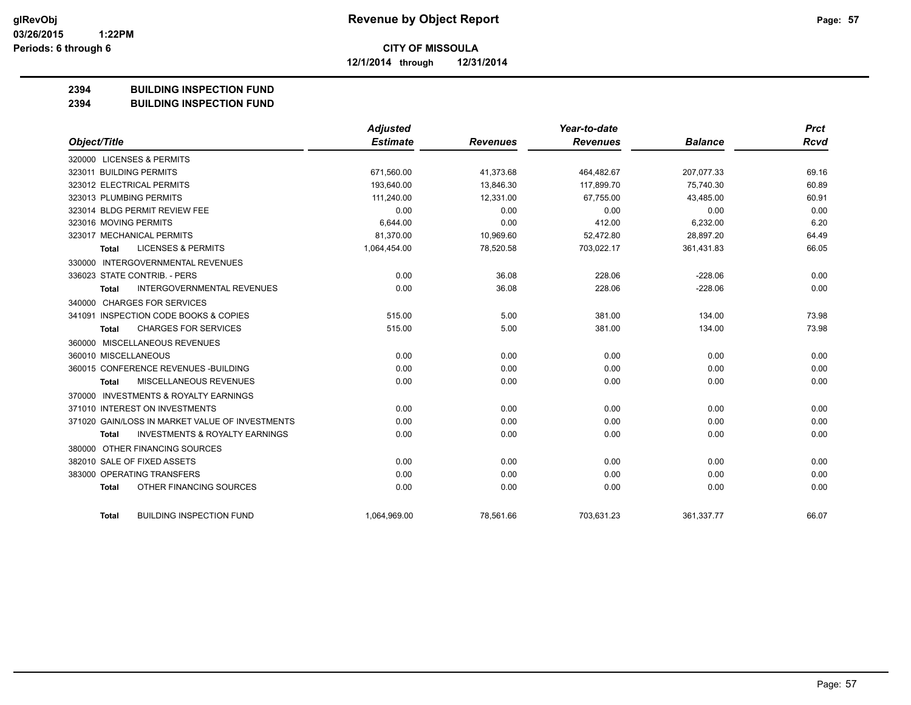**12/1/2014 through 12/31/2014**

## **2394 BUILDING INSPECTION FUND**

#### **2394 BUILDING INSPECTION FUND**

|                                                           | <b>Adjusted</b> |                 | Year-to-date    |                | <b>Prct</b> |
|-----------------------------------------------------------|-----------------|-----------------|-----------------|----------------|-------------|
| Object/Title                                              | <b>Estimate</b> | <b>Revenues</b> | <b>Revenues</b> | <b>Balance</b> | <b>Rcvd</b> |
| 320000 LICENSES & PERMITS                                 |                 |                 |                 |                |             |
| 323011 BUILDING PERMITS                                   | 671,560.00      | 41,373.68       | 464,482.67      | 207,077.33     | 69.16       |
| 323012 ELECTRICAL PERMITS                                 | 193.640.00      | 13.846.30       | 117.899.70      | 75.740.30      | 60.89       |
| 323013 PLUMBING PERMITS                                   | 111,240.00      | 12,331.00       | 67,755.00       | 43,485.00      | 60.91       |
| 323014 BLDG PERMIT REVIEW FEE                             | 0.00            | 0.00            | 0.00            | 0.00           | 0.00        |
| 323016 MOVING PERMITS                                     | 6,644.00        | 0.00            | 412.00          | 6,232.00       | 6.20        |
| 323017 MECHANICAL PERMITS                                 | 81,370.00       | 10,969.60       | 52,472.80       | 28,897.20      | 64.49       |
| <b>LICENSES &amp; PERMITS</b><br><b>Total</b>             | 1,064,454.00    | 78,520.58       | 703,022.17      | 361,431.83     | 66.05       |
| 330000 INTERGOVERNMENTAL REVENUES                         |                 |                 |                 |                |             |
| 336023 STATE CONTRIB. - PERS                              | 0.00            | 36.08           | 228.06          | $-228.06$      | 0.00        |
| <b>INTERGOVERNMENTAL REVENUES</b><br><b>Total</b>         | 0.00            | 36.08           | 228.06          | $-228.06$      | 0.00        |
| 340000 CHARGES FOR SERVICES                               |                 |                 |                 |                |             |
| 341091 INSPECTION CODE BOOKS & COPIES                     | 515.00          | 5.00            | 381.00          | 134.00         | 73.98       |
| <b>CHARGES FOR SERVICES</b><br><b>Total</b>               | 515.00          | 5.00            | 381.00          | 134.00         | 73.98       |
| 360000 MISCELLANEOUS REVENUES                             |                 |                 |                 |                |             |
| 360010 MISCELLANEOUS                                      | 0.00            | 0.00            | 0.00            | 0.00           | 0.00        |
| 360015 CONFERENCE REVENUES - BUILDING                     | 0.00            | 0.00            | 0.00            | 0.00           | 0.00        |
| MISCELLANEOUS REVENUES<br><b>Total</b>                    | 0.00            | 0.00            | 0.00            | 0.00           | 0.00        |
| 370000 INVESTMENTS & ROYALTY EARNINGS                     |                 |                 |                 |                |             |
| 371010 INTEREST ON INVESTMENTS                            | 0.00            | 0.00            | 0.00            | 0.00           | 0.00        |
| 371020 GAIN/LOSS IN MARKET VALUE OF INVESTMENTS           | 0.00            | 0.00            | 0.00            | 0.00           | 0.00        |
| <b>INVESTMENTS &amp; ROYALTY EARNINGS</b><br><b>Total</b> | 0.00            | 0.00            | 0.00            | 0.00           | 0.00        |
| 380000 OTHER FINANCING SOURCES                            |                 |                 |                 |                |             |
| 382010 SALE OF FIXED ASSETS                               | 0.00            | 0.00            | 0.00            | 0.00           | 0.00        |
| 383000 OPERATING TRANSFERS                                | 0.00            | 0.00            | 0.00            | 0.00           | 0.00        |
| OTHER FINANCING SOURCES<br><b>Total</b>                   | 0.00            | 0.00            | 0.00            | 0.00           | 0.00        |
| <b>BUILDING INSPECTION FUND</b><br><b>Total</b>           | 1,064,969.00    | 78,561.66       | 703,631.23      | 361,337.77     | 66.07       |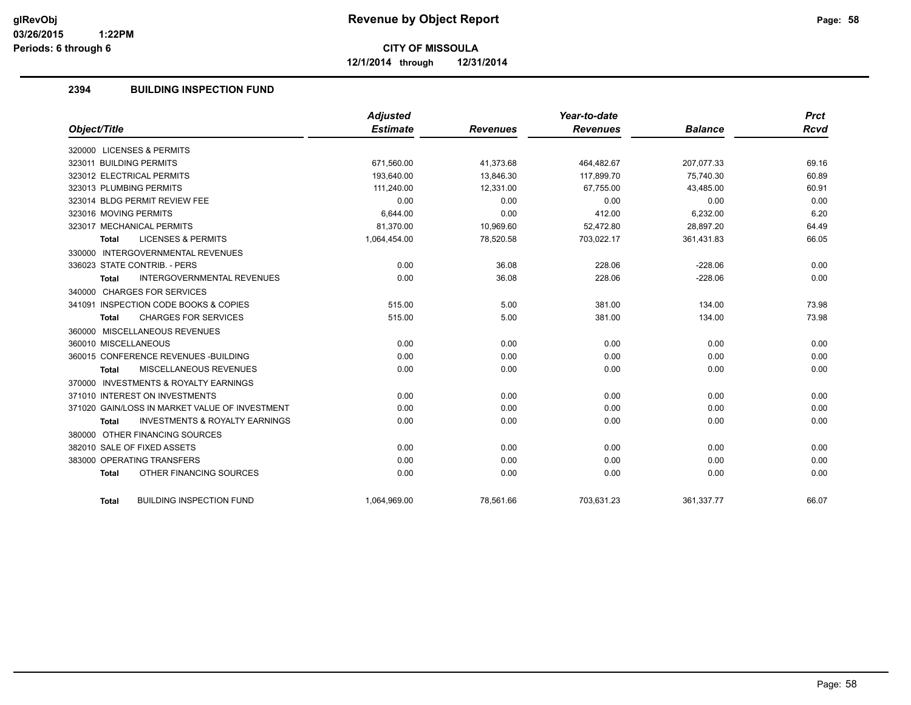**12/1/2014 through 12/31/2014**

## **2394 BUILDING INSPECTION FUND**

|                                                    | <b>Adjusted</b> |                 | Year-to-date    |                | <b>Prct</b> |
|----------------------------------------------------|-----------------|-----------------|-----------------|----------------|-------------|
| Object/Title                                       | <b>Estimate</b> | <b>Revenues</b> | <b>Revenues</b> | <b>Balance</b> | <b>Rcvd</b> |
| 320000 LICENSES & PERMITS                          |                 |                 |                 |                |             |
| 323011 BUILDING PERMITS                            | 671,560.00      | 41,373.68       | 464,482.67      | 207,077.33     | 69.16       |
| 323012 ELECTRICAL PERMITS                          | 193,640.00      | 13,846.30       | 117,899.70      | 75,740.30      | 60.89       |
| 323013 PLUMBING PERMITS                            | 111,240.00      | 12,331.00       | 67,755.00       | 43,485.00      | 60.91       |
| 323014 BLDG PERMIT REVIEW FEE                      | 0.00            | 0.00            | 0.00            | 0.00           | 0.00        |
| 323016 MOVING PERMITS                              | 6.644.00        | 0.00            | 412.00          | 6,232.00       | 6.20        |
| 323017 MECHANICAL PERMITS                          | 81,370.00       | 10,969.60       | 52,472.80       | 28,897.20      | 64.49       |
| <b>LICENSES &amp; PERMITS</b><br><b>Total</b>      | 1,064,454.00    | 78,520.58       | 703,022.17      | 361,431.83     | 66.05       |
| 330000 INTERGOVERNMENTAL REVENUES                  |                 |                 |                 |                |             |
| 336023 STATE CONTRIB. - PERS                       | 0.00            | 36.08           | 228.06          | $-228.06$      | 0.00        |
| <b>INTERGOVERNMENTAL REVENUES</b><br><b>Total</b>  | 0.00            | 36.08           | 228.06          | $-228.06$      | 0.00        |
| 340000 CHARGES FOR SERVICES                        |                 |                 |                 |                |             |
| 341091 INSPECTION CODE BOOKS & COPIES              | 515.00          | 5.00            | 381.00          | 134.00         | 73.98       |
| <b>CHARGES FOR SERVICES</b><br>Total               | 515.00          | 5.00            | 381.00          | 134.00         | 73.98       |
| 360000 MISCELLANEOUS REVENUES                      |                 |                 |                 |                |             |
| 360010 MISCELLANEOUS                               | 0.00            | 0.00            | 0.00            | 0.00           | 0.00        |
| 360015 CONFERENCE REVENUES - BUILDING              | 0.00            | 0.00            | 0.00            | 0.00           | 0.00        |
| MISCELLANEOUS REVENUES<br>Total                    | 0.00            | 0.00            | 0.00            | 0.00           | 0.00        |
| 370000 INVESTMENTS & ROYALTY EARNINGS              |                 |                 |                 |                |             |
| 371010 INTEREST ON INVESTMENTS                     | 0.00            | 0.00            | 0.00            | 0.00           | 0.00        |
| 371020 GAIN/LOSS IN MARKET VALUE OF INVESTMENT     | 0.00            | 0.00            | 0.00            | 0.00           | 0.00        |
| <b>INVESTMENTS &amp; ROYALTY EARNINGS</b><br>Total | 0.00            | 0.00            | 0.00            | 0.00           | 0.00        |
| 380000 OTHER FINANCING SOURCES                     |                 |                 |                 |                |             |
| 382010 SALE OF FIXED ASSETS                        | 0.00            | 0.00            | 0.00            | 0.00           | 0.00        |
| 383000 OPERATING TRANSFERS                         | 0.00            | 0.00            | 0.00            | 0.00           | 0.00        |
| OTHER FINANCING SOURCES<br><b>Total</b>            | 0.00            | 0.00            | 0.00            | 0.00           | 0.00        |
| <b>BUILDING INSPECTION FUND</b><br>Total           | 1,064,969.00    | 78,561.66       | 703,631.23      | 361,337.77     | 66.07       |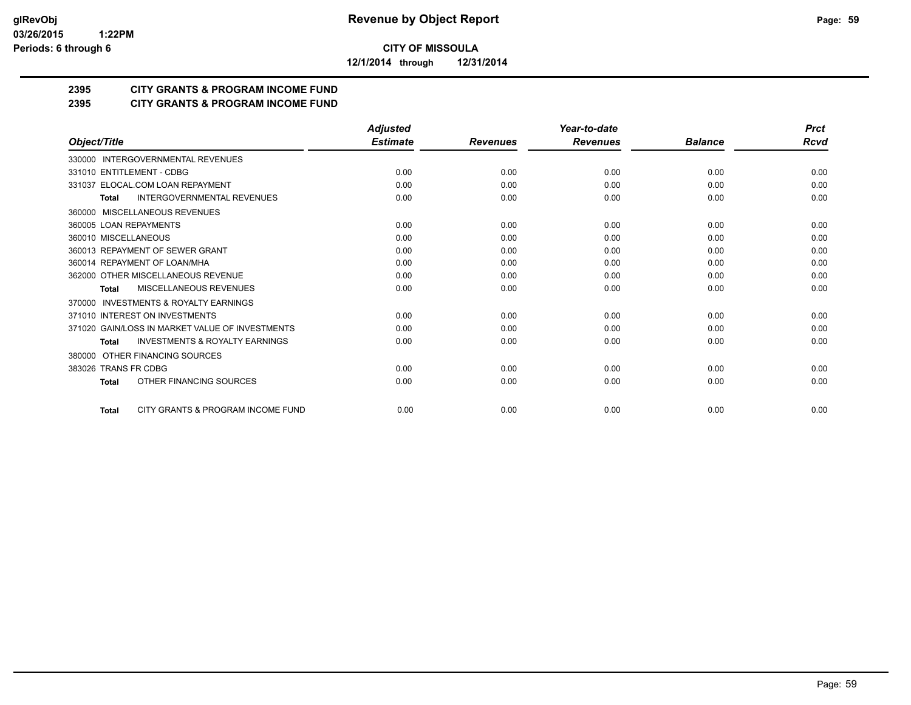**12/1/2014 through 12/31/2014**

# **2395 CITY GRANTS & PROGRAM INCOME FUND**

## **2395 CITY GRANTS & PROGRAM INCOME FUND**

|                                                           | <b>Adjusted</b> |                 | Year-to-date    |                | <b>Prct</b> |
|-----------------------------------------------------------|-----------------|-----------------|-----------------|----------------|-------------|
| Object/Title                                              | <b>Estimate</b> | <b>Revenues</b> | <b>Revenues</b> | <b>Balance</b> | Rcvd        |
| 330000 INTERGOVERNMENTAL REVENUES                         |                 |                 |                 |                |             |
| 331010 ENTITLEMENT - CDBG                                 | 0.00            | 0.00            | 0.00            | 0.00           | 0.00        |
| 331037 ELOCAL.COM LOAN REPAYMENT                          | 0.00            | 0.00            | 0.00            | 0.00           | 0.00        |
| <b>INTERGOVERNMENTAL REVENUES</b><br><b>Total</b>         | 0.00            | 0.00            | 0.00            | 0.00           | 0.00        |
| MISCELLANEOUS REVENUES<br>360000                          |                 |                 |                 |                |             |
| 360005 LOAN REPAYMENTS                                    | 0.00            | 0.00            | 0.00            | 0.00           | 0.00        |
| 360010 MISCELLANEOUS                                      | 0.00            | 0.00            | 0.00            | 0.00           | 0.00        |
| 360013 REPAYMENT OF SEWER GRANT                           | 0.00            | 0.00            | 0.00            | 0.00           | 0.00        |
| 360014 REPAYMENT OF LOAN/MHA                              | 0.00            | 0.00            | 0.00            | 0.00           | 0.00        |
| 362000 OTHER MISCELLANEOUS REVENUE                        | 0.00            | 0.00            | 0.00            | 0.00           | 0.00        |
| <b>MISCELLANEOUS REVENUES</b><br><b>Total</b>             | 0.00            | 0.00            | 0.00            | 0.00           | 0.00        |
| INVESTMENTS & ROYALTY EARNINGS<br>370000                  |                 |                 |                 |                |             |
| 371010 INTEREST ON INVESTMENTS                            | 0.00            | 0.00            | 0.00            | 0.00           | 0.00        |
| 371020 GAIN/LOSS IN MARKET VALUE OF INVESTMENTS           | 0.00            | 0.00            | 0.00            | 0.00           | 0.00        |
| <b>INVESTMENTS &amp; ROYALTY EARNINGS</b><br><b>Total</b> | 0.00            | 0.00            | 0.00            | 0.00           | 0.00        |
| OTHER FINANCING SOURCES<br>380000                         |                 |                 |                 |                |             |
| 383026 TRANS FR CDBG                                      | 0.00            | 0.00            | 0.00            | 0.00           | 0.00        |
| OTHER FINANCING SOURCES<br><b>Total</b>                   | 0.00            | 0.00            | 0.00            | 0.00           | 0.00        |
| CITY GRANTS & PROGRAM INCOME FUND<br><b>Total</b>         | 0.00            | 0.00            | 0.00            | 0.00           | 0.00        |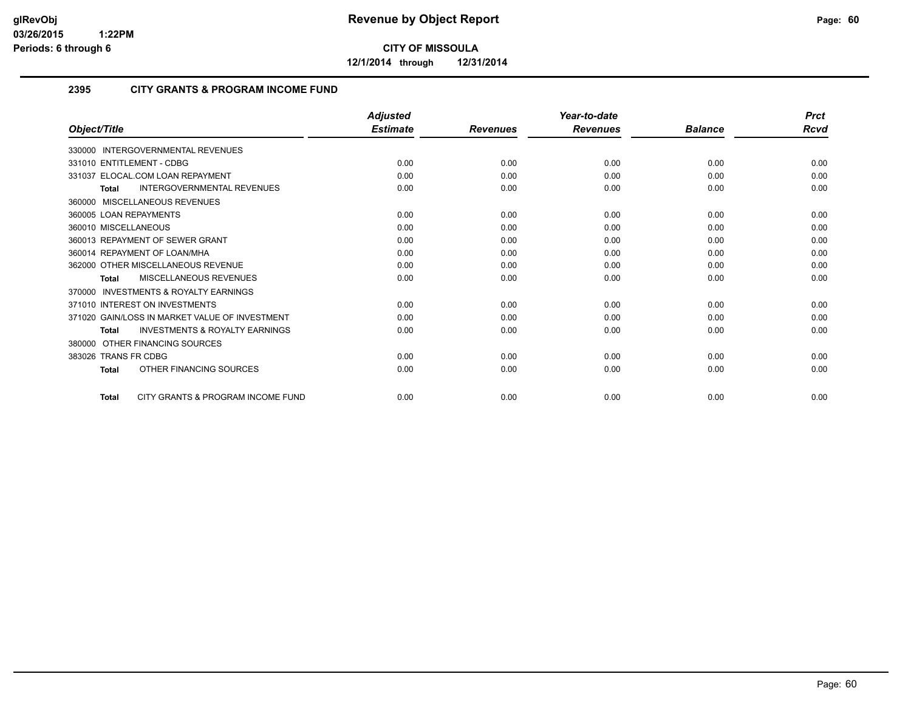**12/1/2014 through 12/31/2014**

## **2395 CITY GRANTS & PROGRAM INCOME FUND**

|                                                           | <b>Adjusted</b> |                 | Year-to-date    |                | <b>Prct</b> |
|-----------------------------------------------------------|-----------------|-----------------|-----------------|----------------|-------------|
| Object/Title                                              | <b>Estimate</b> | <b>Revenues</b> | <b>Revenues</b> | <b>Balance</b> | <b>Rcvd</b> |
| 330000 INTERGOVERNMENTAL REVENUES                         |                 |                 |                 |                |             |
| 331010 ENTITLEMENT - CDBG                                 | 0.00            | 0.00            | 0.00            | 0.00           | 0.00        |
| 331037 ELOCAL.COM LOAN REPAYMENT                          | 0.00            | 0.00            | 0.00            | 0.00           | 0.00        |
| <b>INTERGOVERNMENTAL REVENUES</b><br>Total                | 0.00            | 0.00            | 0.00            | 0.00           | 0.00        |
| 360000 MISCELLANEOUS REVENUES                             |                 |                 |                 |                |             |
| 360005 LOAN REPAYMENTS                                    | 0.00            | 0.00            | 0.00            | 0.00           | 0.00        |
| 360010 MISCELLANEOUS                                      | 0.00            | 0.00            | 0.00            | 0.00           | 0.00        |
| 360013 REPAYMENT OF SEWER GRANT                           | 0.00            | 0.00            | 0.00            | 0.00           | 0.00        |
| 360014 REPAYMENT OF LOAN/MHA                              | 0.00            | 0.00            | 0.00            | 0.00           | 0.00        |
| 362000 OTHER MISCELLANEOUS REVENUE                        | 0.00            | 0.00            | 0.00            | 0.00           | 0.00        |
| <b>MISCELLANEOUS REVENUES</b><br>Total                    | 0.00            | 0.00            | 0.00            | 0.00           | 0.00        |
| <b>INVESTMENTS &amp; ROYALTY EARNINGS</b><br>370000       |                 |                 |                 |                |             |
| 371010 INTEREST ON INVESTMENTS                            | 0.00            | 0.00            | 0.00            | 0.00           | 0.00        |
| 371020 GAIN/LOSS IN MARKET VALUE OF INVESTMENT            | 0.00            | 0.00            | 0.00            | 0.00           | 0.00        |
| <b>INVESTMENTS &amp; ROYALTY EARNINGS</b><br><b>Total</b> | 0.00            | 0.00            | 0.00            | 0.00           | 0.00        |
| OTHER FINANCING SOURCES<br>380000                         |                 |                 |                 |                |             |
| 383026 TRANS FR CDBG                                      | 0.00            | 0.00            | 0.00            | 0.00           | 0.00        |
| OTHER FINANCING SOURCES<br>Total                          | 0.00            | 0.00            | 0.00            | 0.00           | 0.00        |
|                                                           |                 |                 |                 |                |             |
| CITY GRANTS & PROGRAM INCOME FUND<br>Total                | 0.00            | 0.00            | 0.00            | 0.00           | 0.00        |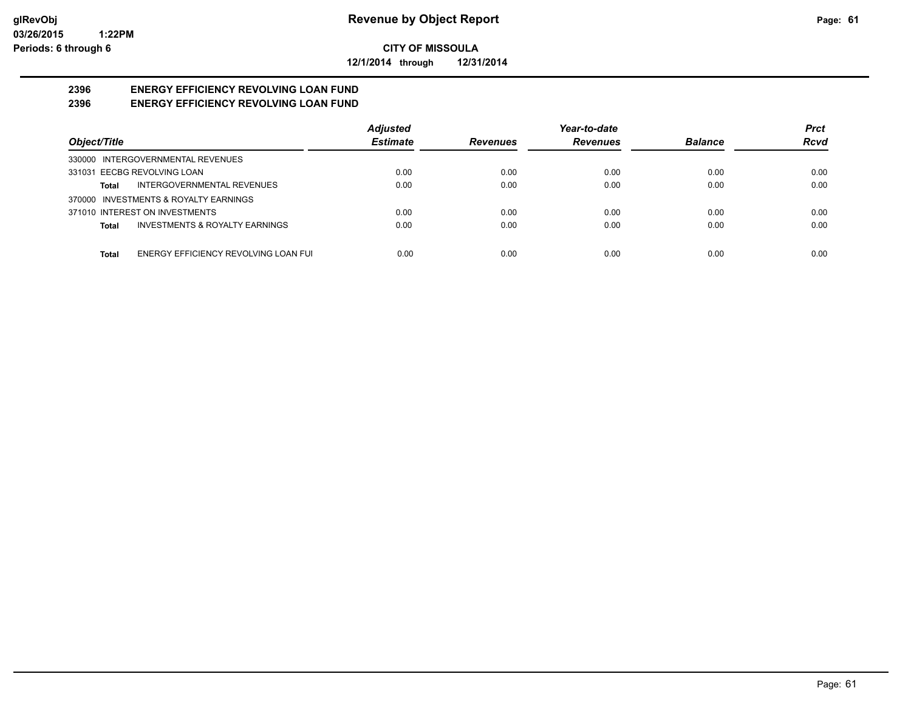**12/1/2014 through 12/31/2014**

#### **2396 ENERGY EFFICIENCY REVOLVING LOAN FUND 2396 ENERGY EFFICIENCY REVOLVING LOAN FUND**

|                                                    | <b>Adjusted</b> |                 | Year-to-date    |                | Prct        |
|----------------------------------------------------|-----------------|-----------------|-----------------|----------------|-------------|
| Object/Title                                       | <b>Estimate</b> | <b>Revenues</b> | <b>Revenues</b> | <b>Balance</b> | <b>Rcvd</b> |
| 330000 INTERGOVERNMENTAL REVENUES                  |                 |                 |                 |                |             |
| 331031 EECBG REVOLVING LOAN                        | 0.00            | 0.00            | 0.00            | 0.00           | 0.00        |
| INTERGOVERNMENTAL REVENUES<br>Total                | 0.00            | 0.00            | 0.00            | 0.00           | 0.00        |
| 370000 INVESTMENTS & ROYALTY EARNINGS              |                 |                 |                 |                |             |
| 371010 INTEREST ON INVESTMENTS                     | 0.00            | 0.00            | 0.00            | 0.00           | 0.00        |
| <b>INVESTMENTS &amp; ROYALTY EARNINGS</b><br>Total | 0.00            | 0.00            | 0.00            | 0.00           | 0.00        |
|                                                    |                 |                 |                 |                |             |
| ENERGY EFFICIENCY REVOLVING LOAN FUI<br>Total      | 0.00            | 0.00            | 0.00            | 0.00           | 0.00        |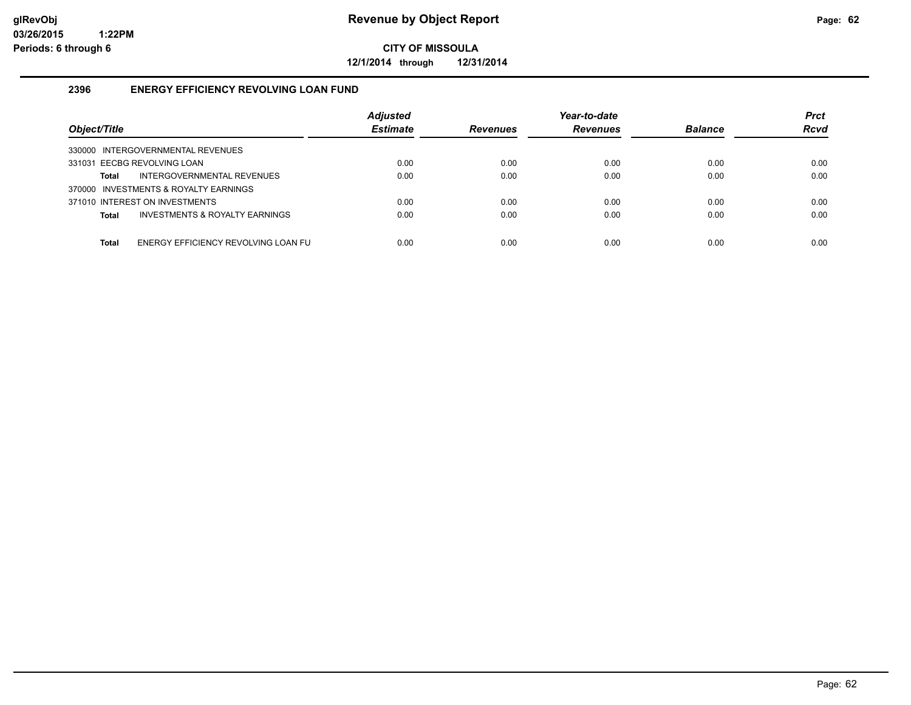**12/1/2014 through 12/31/2014**

## **2396 ENERGY EFFICIENCY REVOLVING LOAN FUND**

| Object/Title                                        | <b>Adjusted</b><br><b>Estimate</b> | <b>Revenues</b> | Year-to-date<br><b>Revenues</b> | <b>Balance</b> | <b>Prct</b><br><b>Rcvd</b> |
|-----------------------------------------------------|------------------------------------|-----------------|---------------------------------|----------------|----------------------------|
| 330000 INTERGOVERNMENTAL REVENUES                   |                                    |                 |                                 |                |                            |
| 331031 EECBG REVOLVING LOAN                         | 0.00                               | 0.00            | 0.00                            | 0.00           | 0.00                       |
| INTERGOVERNMENTAL REVENUES<br>Total                 | 0.00                               | 0.00            | 0.00                            | 0.00           | 0.00                       |
| 370000 INVESTMENTS & ROYALTY EARNINGS               |                                    |                 |                                 |                |                            |
| 371010 INTEREST ON INVESTMENTS                      | 0.00                               | 0.00            | 0.00                            | 0.00           | 0.00                       |
| INVESTMENTS & ROYALTY EARNINGS<br>Total             | 0.00                               | 0.00            | 0.00                            | 0.00           | 0.00                       |
|                                                     |                                    |                 |                                 |                |                            |
| ENERGY EFFICIENCY REVOLVING LOAN FU<br><b>Total</b> | 0.00                               | 0.00            | 0.00                            | 0.00           | 0.00                       |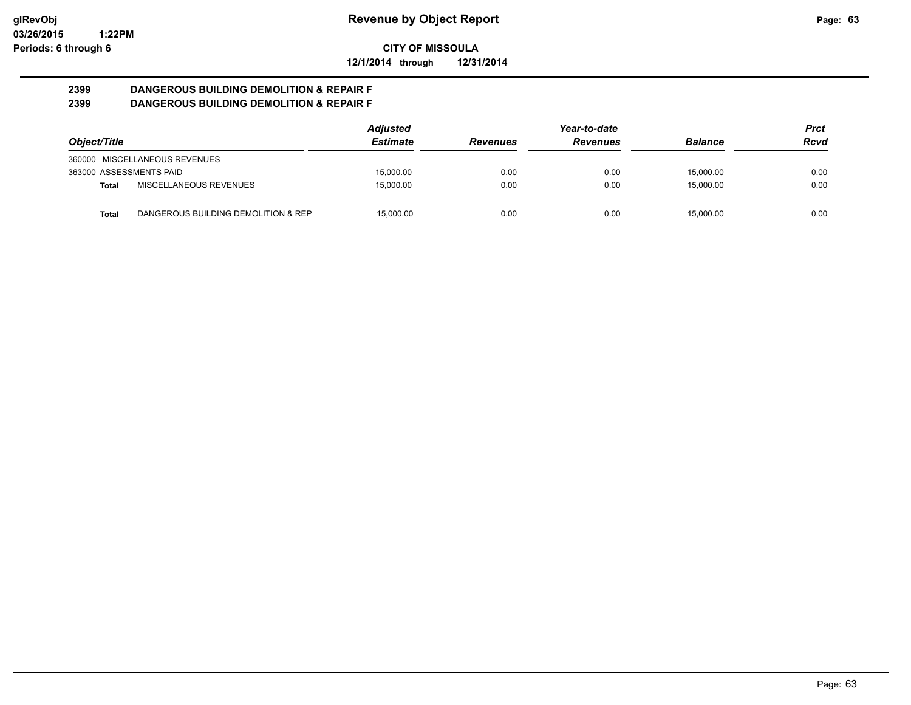**12/1/2014 through 12/31/2014**

#### **2399 DANGEROUS BUILDING DEMOLITION & REPAIR F 2399 DANGEROUS BUILDING DEMOLITION & REPAIR F**

| Object/Title            |                                      | <b>Adjusted</b> |                 | Year-to-date    |                | Prct |
|-------------------------|--------------------------------------|-----------------|-----------------|-----------------|----------------|------|
|                         |                                      | <b>Estimate</b> | <b>Revenues</b> | <b>Revenues</b> | <b>Balance</b> | Rcvd |
|                         | 360000 MISCELLANEOUS REVENUES        |                 |                 |                 |                |      |
| 363000 ASSESSMENTS PAID |                                      | 15.000.00       | 0.00            | 0.00            | 15.000.00      | 0.00 |
| Total                   | MISCELLANEOUS REVENUES               | 15.000.00       | 0.00            | 0.00            | 15.000.00      | 0.00 |
| <b>Total</b>            | DANGEROUS BUILDING DEMOLITION & REP. | 15.000.00       | 0.00            | 0.00            | 15.000.00      | 0.00 |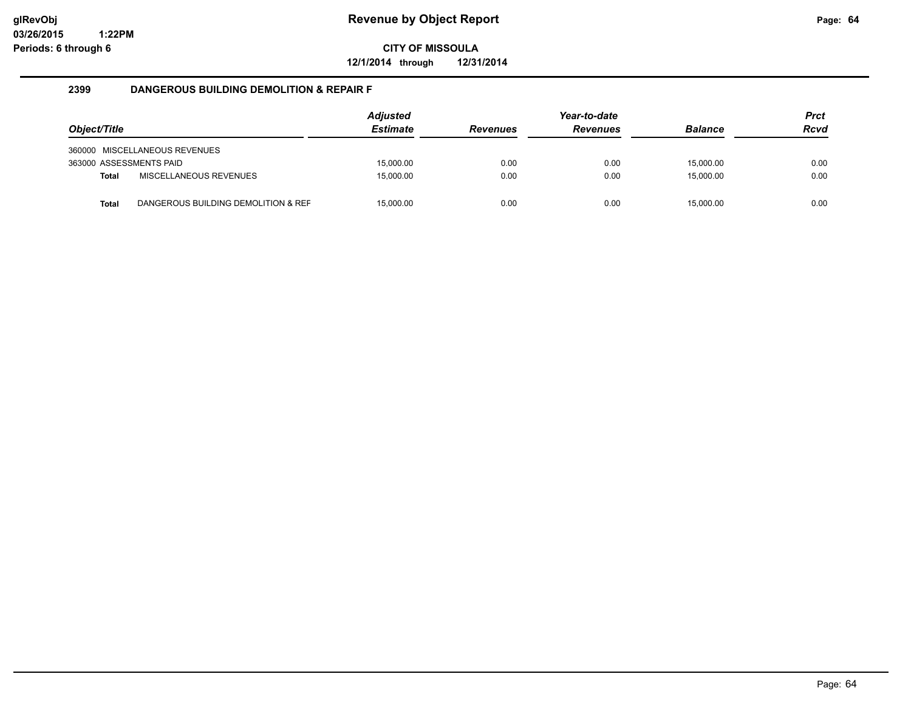**12/1/2014 through 12/31/2014**

### **2399 DANGEROUS BUILDING DEMOLITION & REPAIR F**

| Object/Title            |                                     | <b>Adjusted</b><br><b>Estimate</b> | <b>Revenues</b> | Year-to-date<br><b>Revenues</b> | <b>Balance</b> | <b>Prct</b><br><b>Rcvd</b> |
|-------------------------|-------------------------------------|------------------------------------|-----------------|---------------------------------|----------------|----------------------------|
|                         |                                     |                                    |                 |                                 |                |                            |
|                         | 360000 MISCELLANEOUS REVENUES       |                                    |                 |                                 |                |                            |
| 363000 ASSESSMENTS PAID |                                     | 15.000.00                          | 0.00            | 0.00                            | 15.000.00      | 0.00                       |
| <b>Total</b>            | MISCELLANEOUS REVENUES              | 15.000.00                          | 0.00            | 0.00                            | 15.000.00      | 0.00                       |
| Total                   | DANGEROUS BUILDING DEMOLITION & REF | 15.000.00                          | 0.00            | 0.00                            | 15.000.00      | 0.00                       |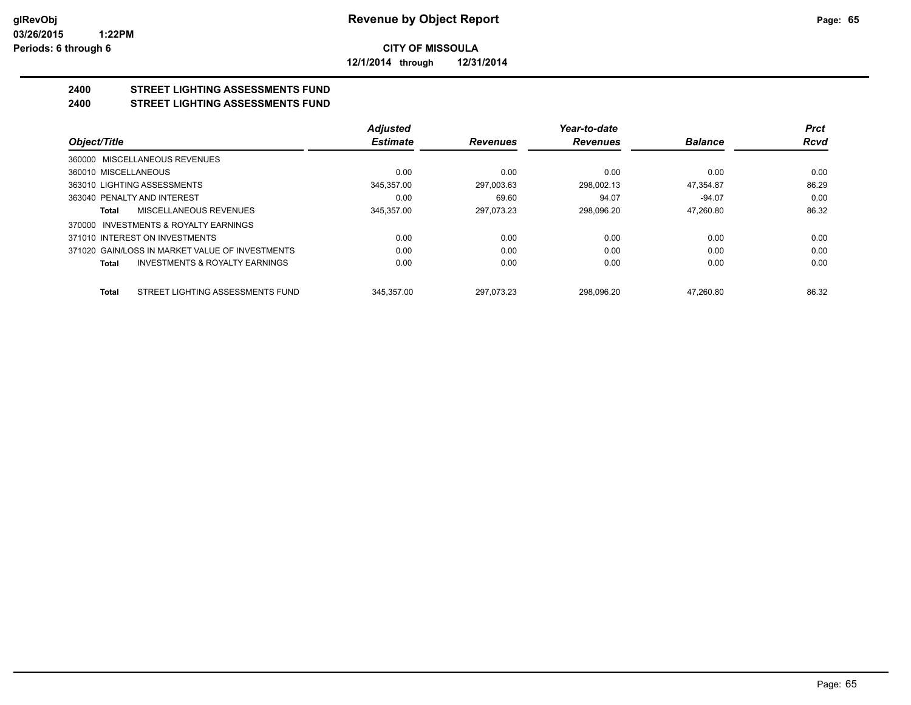**12/1/2014 through 12/31/2014**

#### **2400 STREET LIGHTING ASSESSMENTS FUND 2400 STREET LIGHTING ASSESSMENTS FUND**

|                                                    | <b>Adjusted</b> |                 | Year-to-date    |                | <b>Prct</b> |
|----------------------------------------------------|-----------------|-----------------|-----------------|----------------|-------------|
| Object/Title                                       | <b>Estimate</b> | <b>Revenues</b> | <b>Revenues</b> | <b>Balance</b> | <b>Rcvd</b> |
| 360000 MISCELLANEOUS REVENUES                      |                 |                 |                 |                |             |
| 360010 MISCELLANEOUS                               | 0.00            | 0.00            | 0.00            | 0.00           | 0.00        |
| 363010 LIGHTING ASSESSMENTS                        | 345.357.00      | 297.003.63      | 298.002.13      | 47.354.87      | 86.29       |
| 363040 PENALTY AND INTEREST                        | 0.00            | 69.60           | 94.07           | $-94.07$       | 0.00        |
| MISCELLANEOUS REVENUES<br>Total                    | 345,357.00      | 297,073.23      | 298,096.20      | 47,260.80      | 86.32       |
| INVESTMENTS & ROYALTY EARNINGS<br>370000           |                 |                 |                 |                |             |
| 371010 INTEREST ON INVESTMENTS                     | 0.00            | 0.00            | 0.00            | 0.00           | 0.00        |
| 371020 GAIN/LOSS IN MARKET VALUE OF INVESTMENTS    | 0.00            | 0.00            | 0.00            | 0.00           | 0.00        |
| <b>INVESTMENTS &amp; ROYALTY EARNINGS</b><br>Total | 0.00            | 0.00            | 0.00            | 0.00           | 0.00        |
| STREET LIGHTING ASSESSMENTS FUND<br><b>Total</b>   | 345.357.00      | 297.073.23      | 298.096.20      | 47.260.80      | 86.32       |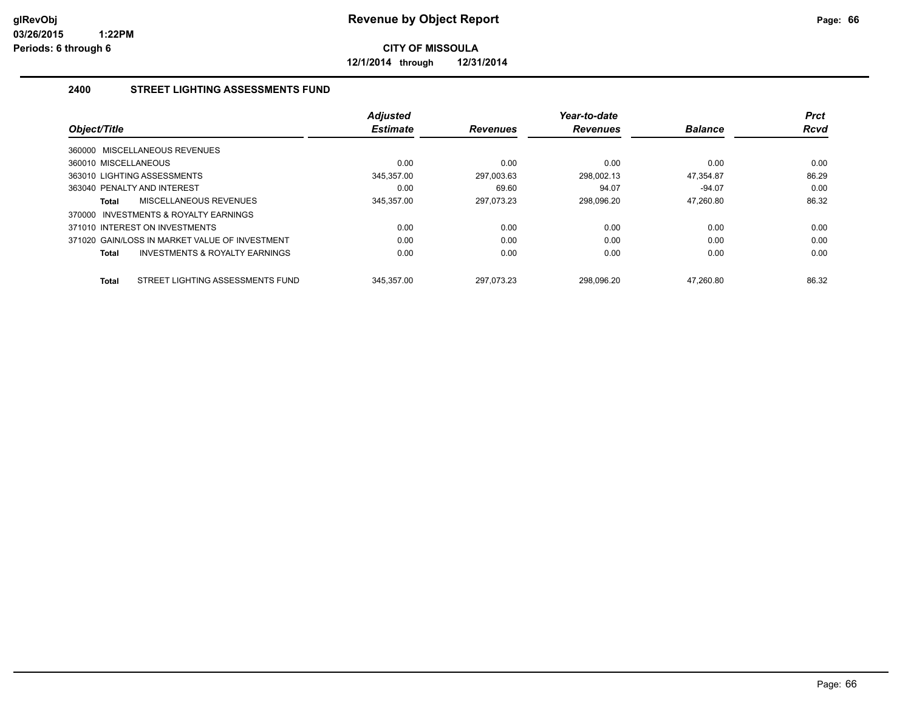**12/1/2014 through 12/31/2014**

## **2400 STREET LIGHTING ASSESSMENTS FUND**

| Object/Title                                     | <b>Adjusted</b><br><b>Estimate</b> | <b>Revenues</b> | Year-to-date<br><b>Revenues</b> | <b>Balance</b> | <b>Prct</b><br><b>Rcvd</b> |
|--------------------------------------------------|------------------------------------|-----------------|---------------------------------|----------------|----------------------------|
| 360000 MISCELLANEOUS REVENUES                    |                                    |                 |                                 |                |                            |
|                                                  |                                    |                 |                                 |                |                            |
| 360010 MISCELLANEOUS                             | 0.00                               | 0.00            | 0.00                            | 0.00           | 0.00                       |
| 363010 LIGHTING ASSESSMENTS                      | 345,357.00                         | 297,003.63      | 298.002.13                      | 47,354.87      | 86.29                      |
| 363040 PENALTY AND INTEREST                      | 0.00                               | 69.60           | 94.07                           | $-94.07$       | 0.00                       |
| MISCELLANEOUS REVENUES<br>Total                  | 345,357.00                         | 297,073.23      | 298,096.20                      | 47,260.80      | 86.32                      |
| 370000 INVESTMENTS & ROYALTY EARNINGS            |                                    |                 |                                 |                |                            |
| 371010 INTEREST ON INVESTMENTS                   | 0.00                               | 0.00            | 0.00                            | 0.00           | 0.00                       |
| 371020 GAIN/LOSS IN MARKET VALUE OF INVESTMENT   | 0.00                               | 0.00            | 0.00                            | 0.00           | 0.00                       |
| INVESTMENTS & ROYALTY EARNINGS<br>Total          | 0.00                               | 0.00            | 0.00                            | 0.00           | 0.00                       |
|                                                  |                                    |                 |                                 |                |                            |
| STREET LIGHTING ASSESSMENTS FUND<br><b>Total</b> | 345.357.00                         | 297.073.23      | 298.096.20                      | 47.260.80      | 86.32                      |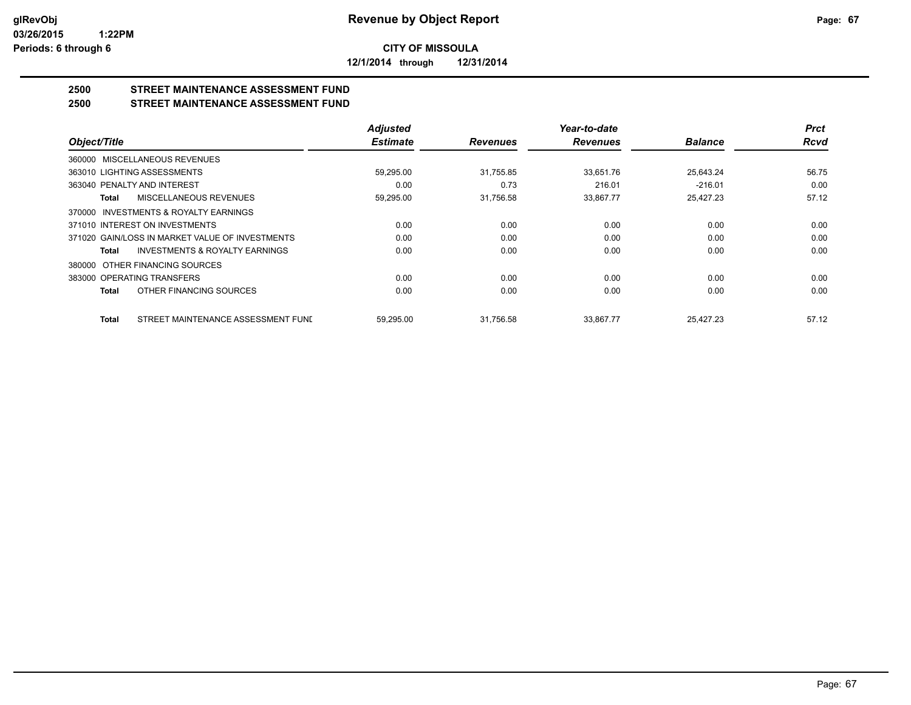**12/1/2014 through 12/31/2014**

# **2500 STREET MAINTENANCE ASSESSMENT FUND**

## **2500 STREET MAINTENANCE ASSESSMENT FUND**

|                                                    | <b>Adjusted</b> |                 | Year-to-date    |                | <b>Prct</b> |
|----------------------------------------------------|-----------------|-----------------|-----------------|----------------|-------------|
| Object/Title                                       | <b>Estimate</b> | <b>Revenues</b> | <b>Revenues</b> | <b>Balance</b> | <b>Rcvd</b> |
| 360000 MISCELLANEOUS REVENUES                      |                 |                 |                 |                |             |
| 363010 LIGHTING ASSESSMENTS                        | 59,295.00       | 31,755.85       | 33,651.76       | 25,643.24      | 56.75       |
| 363040 PENALTY AND INTEREST                        | 0.00            | 0.73            | 216.01          | $-216.01$      | 0.00        |
| MISCELLANEOUS REVENUES<br>Total                    | 59,295.00       | 31,756.58       | 33,867.77       | 25,427.23      | 57.12       |
| 370000 INVESTMENTS & ROYALTY EARNINGS              |                 |                 |                 |                |             |
| 371010 INTEREST ON INVESTMENTS                     | 0.00            | 0.00            | 0.00            | 0.00           | 0.00        |
| 371020 GAIN/LOSS IN MARKET VALUE OF INVESTMENTS    | 0.00            | 0.00            | 0.00            | 0.00           | 0.00        |
| <b>INVESTMENTS &amp; ROYALTY EARNINGS</b><br>Total | 0.00            | 0.00            | 0.00            | 0.00           | 0.00        |
| OTHER FINANCING SOURCES<br>380000                  |                 |                 |                 |                |             |
| 383000 OPERATING TRANSFERS                         | 0.00            | 0.00            | 0.00            | 0.00           | 0.00        |
| OTHER FINANCING SOURCES<br><b>Total</b>            | 0.00            | 0.00            | 0.00            | 0.00           | 0.00        |
| STREET MAINTENANCE ASSESSMENT FUNI<br><b>Total</b> | 59.295.00       | 31.756.58       | 33.867.77       | 25.427.23      | 57.12       |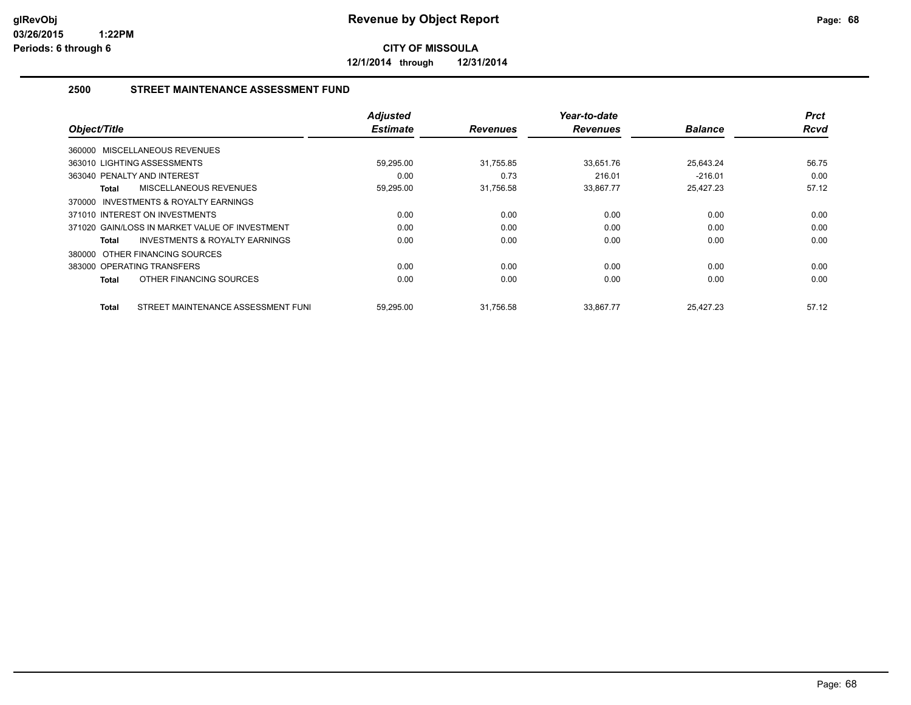**12/1/2014 through 12/31/2014**

## **2500 STREET MAINTENANCE ASSESSMENT FUND**

| Object/Title                                              | <b>Adjusted</b><br><b>Estimate</b> | <b>Revenues</b> | Year-to-date<br><b>Revenues</b> | <b>Balance</b> | <b>Prct</b><br><b>Rcvd</b> |
|-----------------------------------------------------------|------------------------------------|-----------------|---------------------------------|----------------|----------------------------|
| 360000 MISCELLANEOUS REVENUES                             |                                    |                 |                                 |                |                            |
| 363010 LIGHTING ASSESSMENTS                               | 59,295.00                          | 31,755.85       | 33,651.76                       | 25.643.24      | 56.75                      |
| 363040 PENALTY AND INTEREST                               | 0.00                               | 0.73            | 216.01                          | $-216.01$      | 0.00                       |
| MISCELLANEOUS REVENUES<br>Total                           | 59,295.00                          | 31,756.58       | 33,867.77                       | 25.427.23      | 57.12                      |
| 370000 INVESTMENTS & ROYALTY EARNINGS                     |                                    |                 |                                 |                |                            |
| 371010 INTEREST ON INVESTMENTS                            | 0.00                               | 0.00            | 0.00                            | 0.00           | 0.00                       |
| 371020 GAIN/LOSS IN MARKET VALUE OF INVESTMENT            | 0.00                               | 0.00            | 0.00                            | 0.00           | 0.00                       |
| <b>INVESTMENTS &amp; ROYALTY EARNINGS</b><br><b>Total</b> | 0.00                               | 0.00            | 0.00                            | 0.00           | 0.00                       |
| 380000 OTHER FINANCING SOURCES                            |                                    |                 |                                 |                |                            |
| 383000 OPERATING TRANSFERS                                | 0.00                               | 0.00            | 0.00                            | 0.00           | 0.00                       |
| OTHER FINANCING SOURCES<br><b>Total</b>                   | 0.00                               | 0.00            | 0.00                            | 0.00           | 0.00                       |
| STREET MAINTENANCE ASSESSMENT FUNI<br><b>Total</b>        | 59,295.00                          | 31,756.58       | 33,867.77                       | 25.427.23      | 57.12                      |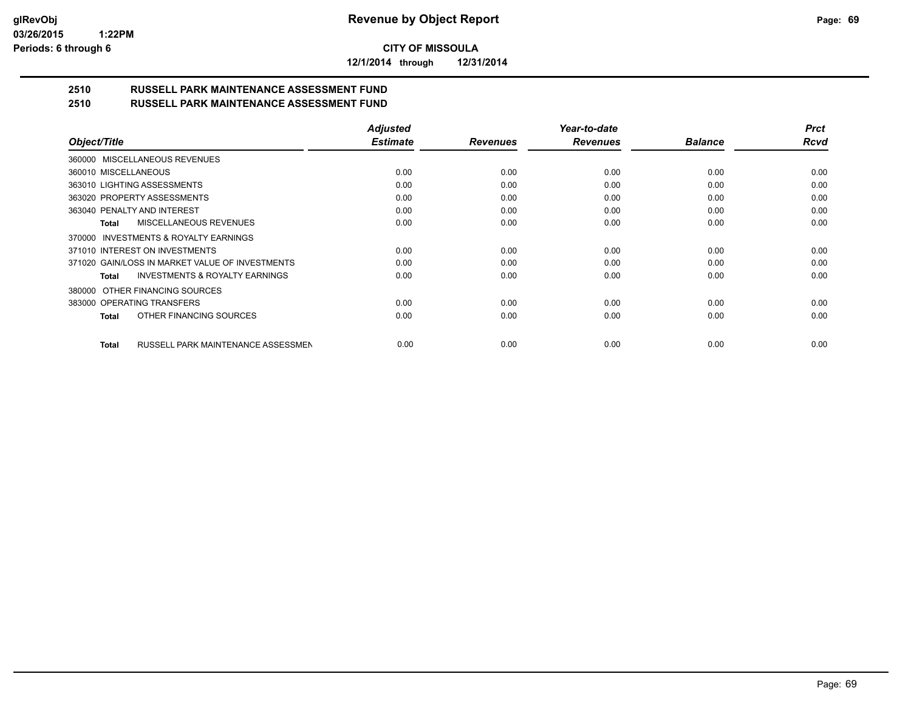*Prct Rcvd*

**CITY OF MISSOULA**

**12/1/2014 through 12/31/2014**

#### **2510 RUSSELL PARK MAINTENANCE ASSESSMENT FUND 2510 RUSSELL PARK MAINTENANCE ASSESSMENT FUND**

|                                                           | <b>Adjusted</b> |                 | Year-to-date    |                | <b>Prct</b> |
|-----------------------------------------------------------|-----------------|-----------------|-----------------|----------------|-------------|
| Object/Title                                              | <b>Estimate</b> | <b>Revenues</b> | <b>Revenues</b> | <b>Balance</b> | Rcva        |
| MISCELLANEOUS REVENUES<br>360000                          |                 |                 |                 |                |             |
| 360010 MISCELLANEOUS                                      | 0.00            | 0.00            | 0.00            | 0.00           | 0.00        |
| 363010 LIGHTING ASSESSMENTS                               | 0.00            | 0.00            | 0.00            | 0.00           | 0.00        |
| 363020 PROPERTY ASSESSMENTS                               | 0.00            | 0.00            | 0.00            | 0.00           | 0.00        |
| 363040 PENALTY AND INTEREST                               | 0.00            | 0.00            | 0.00            | 0.00           | 0.00        |
| MISCELLANEOUS REVENUES<br><b>Total</b>                    | 0.00            | 0.00            | 0.00            | 0.00           | 0.00        |
| <b>INVESTMENTS &amp; ROYALTY EARNINGS</b><br>370000       |                 |                 |                 |                |             |
| 371010 INTEREST ON INVESTMENTS                            | 0.00            | 0.00            | 0.00            | 0.00           | 0.00        |
| 371020 GAIN/LOSS IN MARKET VALUE OF INVESTMENTS           | 0.00            | 0.00            | 0.00            | 0.00           | 0.00        |
| <b>INVESTMENTS &amp; ROYALTY EARNINGS</b><br><b>Total</b> | 0.00            | 0.00            | 0.00            | 0.00           | 0.00        |
| OTHER FINANCING SOURCES<br>380000                         |                 |                 |                 |                |             |
| 383000 OPERATING TRANSFERS                                | 0.00            | 0.00            | 0.00            | 0.00           | 0.00        |
| OTHER FINANCING SOURCES<br><b>Total</b>                   | 0.00            | 0.00            | 0.00            | 0.00           | 0.00        |
| RUSSELL PARK MAINTENANCE ASSESSMEN<br><b>Total</b>        | 0.00            | 0.00            | 0.00            | 0.00           | 0.00        |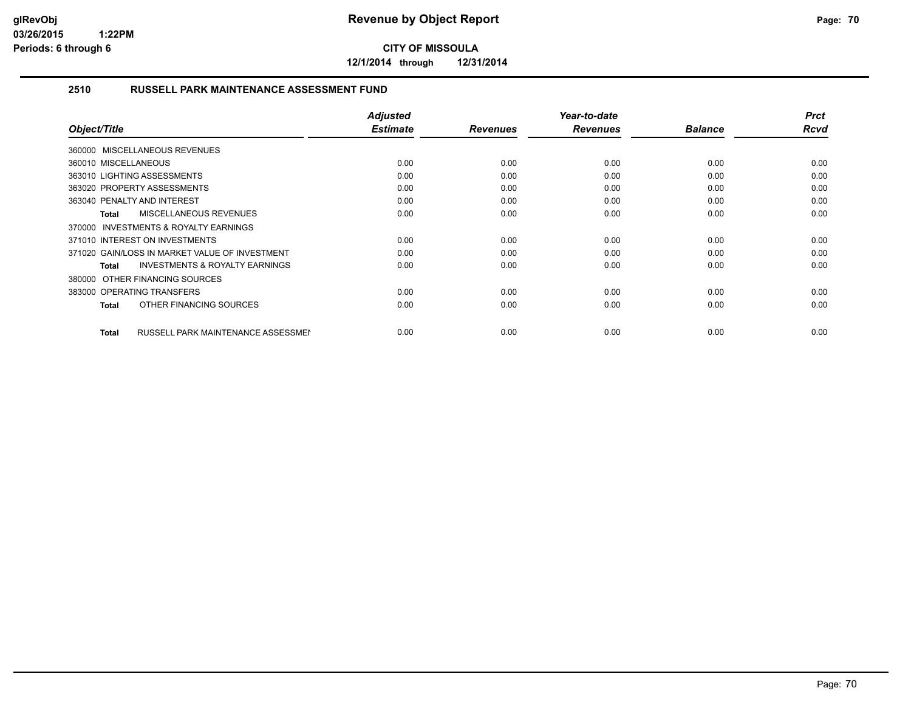**12/1/2014 through 12/31/2014**

## **2510 RUSSELL PARK MAINTENANCE ASSESSMENT FUND**

| Object/Title                                       | <b>Adjusted</b><br><b>Estimate</b> | <b>Revenues</b> | Year-to-date<br><b>Revenues</b> | <b>Balance</b> | <b>Prct</b><br><b>Rcvd</b> |
|----------------------------------------------------|------------------------------------|-----------------|---------------------------------|----------------|----------------------------|
| 360000 MISCELLANEOUS REVENUES                      |                                    |                 |                                 |                |                            |
| 360010 MISCELLANEOUS                               | 0.00                               | 0.00            | 0.00                            | 0.00           | 0.00                       |
| 363010 LIGHTING ASSESSMENTS                        | 0.00                               | 0.00            | 0.00                            | 0.00           | 0.00                       |
| 363020 PROPERTY ASSESSMENTS                        | 0.00                               | 0.00            | 0.00                            | 0.00           | 0.00                       |
| 363040 PENALTY AND INTEREST                        | 0.00                               | 0.00            | 0.00                            | 0.00           | 0.00                       |
| <b>MISCELLANEOUS REVENUES</b><br>Total             | 0.00                               | 0.00            | 0.00                            | 0.00           | 0.00                       |
| 370000 INVESTMENTS & ROYALTY EARNINGS              |                                    |                 |                                 |                |                            |
| 371010 INTEREST ON INVESTMENTS                     | 0.00                               | 0.00            | 0.00                            | 0.00           | 0.00                       |
| 371020 GAIN/LOSS IN MARKET VALUE OF INVESTMENT     | 0.00                               | 0.00            | 0.00                            | 0.00           | 0.00                       |
| <b>INVESTMENTS &amp; ROYALTY EARNINGS</b><br>Total | 0.00                               | 0.00            | 0.00                            | 0.00           | 0.00                       |
| 380000 OTHER FINANCING SOURCES                     |                                    |                 |                                 |                |                            |
| 383000 OPERATING TRANSFERS                         | 0.00                               | 0.00            | 0.00                            | 0.00           | 0.00                       |
| OTHER FINANCING SOURCES<br>Total                   | 0.00                               | 0.00            | 0.00                            | 0.00           | 0.00                       |
|                                                    |                                    |                 |                                 |                |                            |
| <b>RUSSELL PARK MAINTENANCE ASSESSMEN</b><br>Total | 0.00                               | 0.00            | 0.00                            | 0.00           | 0.00                       |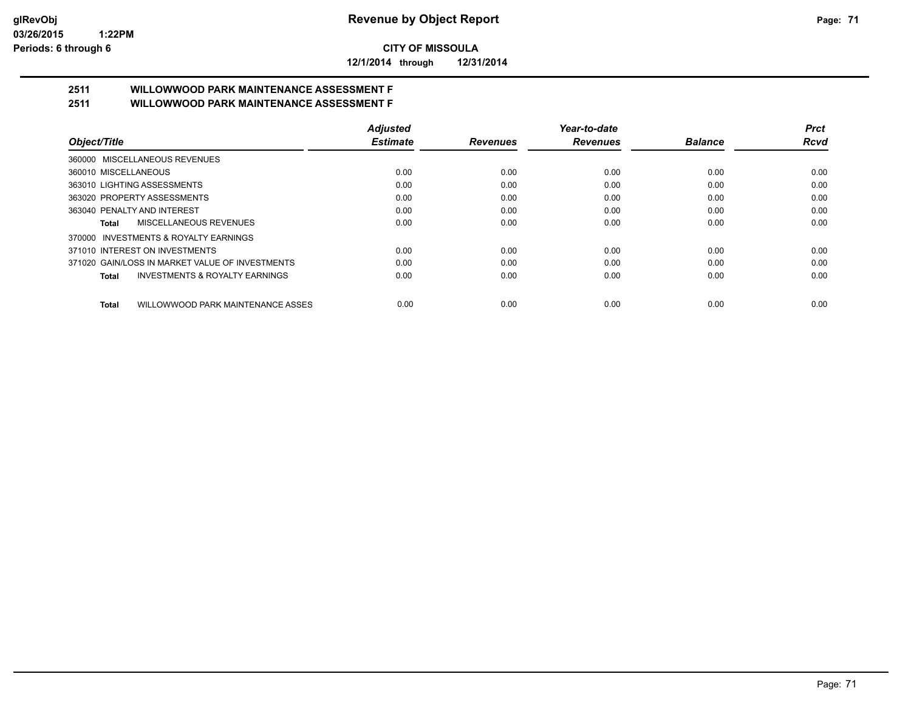**12/1/2014 through 12/31/2014**

# **2511 WILLOWWOOD PARK MAINTENANCE ASSESSMENT F**

| 2511 | <b>WILLOWWOOD PARK MAINTENANCE ASSESSMENT F</b> |  |
|------|-------------------------------------------------|--|
|      |                                                 |  |

|                                                    | <b>Adjusted</b> |                 | Year-to-date    |                | <b>Prct</b> |
|----------------------------------------------------|-----------------|-----------------|-----------------|----------------|-------------|
| Object/Title                                       | <b>Estimate</b> | <b>Revenues</b> | <b>Revenues</b> | <b>Balance</b> | <b>Rcvd</b> |
| 360000 MISCELLANEOUS REVENUES                      |                 |                 |                 |                |             |
| 360010 MISCELLANEOUS                               | 0.00            | 0.00            | 0.00            | 0.00           | 0.00        |
| 363010 LIGHTING ASSESSMENTS                        | 0.00            | 0.00            | 0.00            | 0.00           | 0.00        |
| 363020 PROPERTY ASSESSMENTS                        | 0.00            | 0.00            | 0.00            | 0.00           | 0.00        |
| 363040 PENALTY AND INTEREST                        | 0.00            | 0.00            | 0.00            | 0.00           | 0.00        |
| MISCELLANEOUS REVENUES<br>Total                    | 0.00            | 0.00            | 0.00            | 0.00           | 0.00        |
| 370000 INVESTMENTS & ROYALTY EARNINGS              |                 |                 |                 |                |             |
| 371010 INTEREST ON INVESTMENTS                     | 0.00            | 0.00            | 0.00            | 0.00           | 0.00        |
| 371020 GAIN/LOSS IN MARKET VALUE OF INVESTMENTS    | 0.00            | 0.00            | 0.00            | 0.00           | 0.00        |
| <b>INVESTMENTS &amp; ROYALTY EARNINGS</b><br>Total | 0.00            | 0.00            | 0.00            | 0.00           | 0.00        |
| WILLOWWOOD PARK MAINTENANCE ASSES<br>Total         | 0.00            | 0.00            | 0.00            | 0.00           | 0.00        |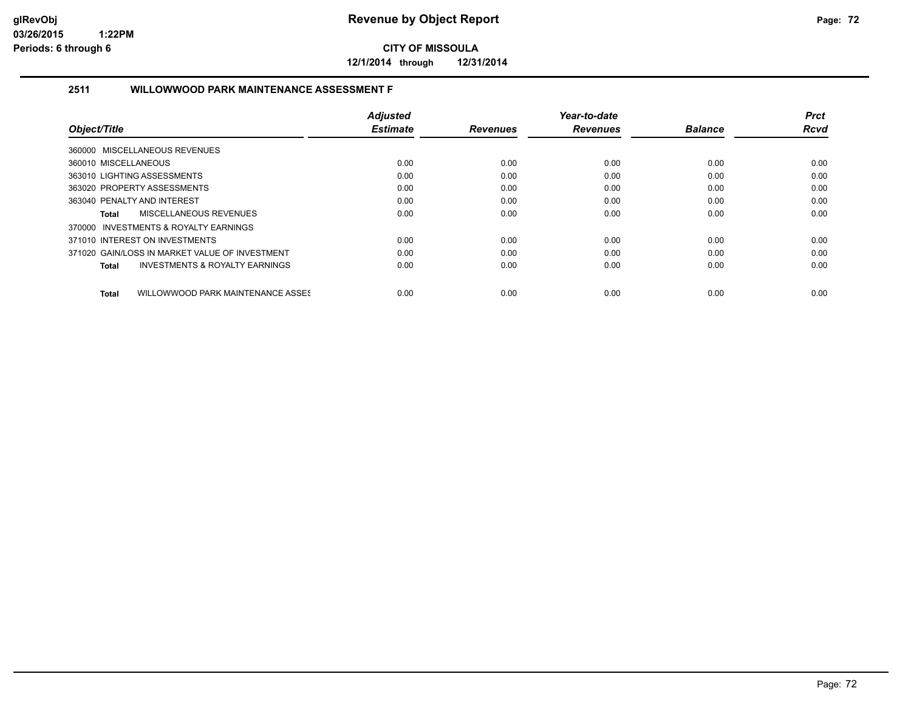**12/1/2014 through 12/31/2014**

## **2511 WILLOWWOOD PARK MAINTENANCE ASSESSMENT F**

|                                                    | <b>Adjusted</b> |                 | Year-to-date    |                | <b>Prct</b> |
|----------------------------------------------------|-----------------|-----------------|-----------------|----------------|-------------|
| Object/Title                                       | <b>Estimate</b> | <b>Revenues</b> | <b>Revenues</b> | <b>Balance</b> | <b>Rcvd</b> |
| 360000 MISCELLANEOUS REVENUES                      |                 |                 |                 |                |             |
| 360010 MISCELLANEOUS                               | 0.00            | 0.00            | 0.00            | 0.00           | 0.00        |
| 363010 LIGHTING ASSESSMENTS                        | 0.00            | 0.00            | 0.00            | 0.00           | 0.00        |
| 363020 PROPERTY ASSESSMENTS                        | 0.00            | 0.00            | 0.00            | 0.00           | 0.00        |
| 363040 PENALTY AND INTEREST                        | 0.00            | 0.00            | 0.00            | 0.00           | 0.00        |
| MISCELLANEOUS REVENUES<br>Total                    | 0.00            | 0.00            | 0.00            | 0.00           | 0.00        |
| 370000 INVESTMENTS & ROYALTY EARNINGS              |                 |                 |                 |                |             |
| 371010 INTEREST ON INVESTMENTS                     | 0.00            | 0.00            | 0.00            | 0.00           | 0.00        |
| 371020 GAIN/LOSS IN MARKET VALUE OF INVESTMENT     | 0.00            | 0.00            | 0.00            | 0.00           | 0.00        |
| <b>INVESTMENTS &amp; ROYALTY EARNINGS</b><br>Total | 0.00            | 0.00            | 0.00            | 0.00           | 0.00        |
| WILLOWWOOD PARK MAINTENANCE ASSES<br>Total         | 0.00            | 0.00            | 0.00            | 0.00           | 0.00        |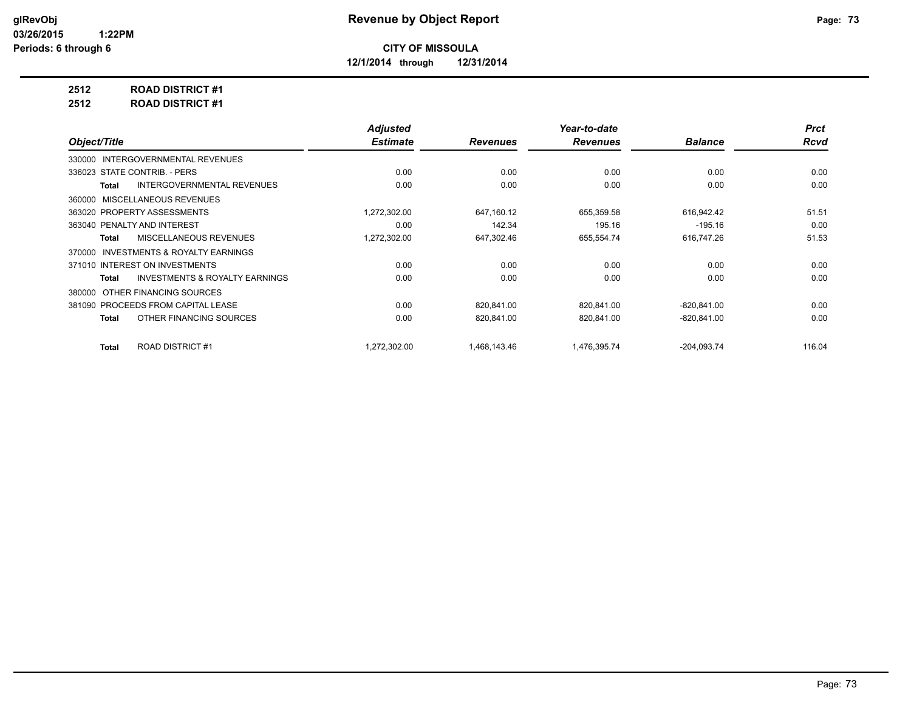**12/1/2014 through 12/31/2014**

## **2512 ROAD DISTRICT #1**

**2512 ROAD DISTRICT #1**

|                                                    | <b>Adjusted</b> |                 | Year-to-date    |                | <b>Prct</b> |
|----------------------------------------------------|-----------------|-----------------|-----------------|----------------|-------------|
| Object/Title                                       | <b>Estimate</b> | <b>Revenues</b> | <b>Revenues</b> | <b>Balance</b> | <b>Rcvd</b> |
| INTERGOVERNMENTAL REVENUES<br>330000               |                 |                 |                 |                |             |
| 336023 STATE CONTRIB. - PERS                       | 0.00            | 0.00            | 0.00            | 0.00           | 0.00        |
| <b>INTERGOVERNMENTAL REVENUES</b><br>Total         | 0.00            | 0.00            | 0.00            | 0.00           | 0.00        |
| 360000 MISCELLANEOUS REVENUES                      |                 |                 |                 |                |             |
| 363020 PROPERTY ASSESSMENTS                        | 1,272,302.00    | 647,160.12      | 655,359.58      | 616,942.42     | 51.51       |
| 363040 PENALTY AND INTEREST                        | 0.00            | 142.34          | 195.16          | $-195.16$      | 0.00        |
| MISCELLANEOUS REVENUES<br>Total                    | 1,272,302.00    | 647,302.46      | 655,554.74      | 616,747.26     | 51.53       |
| INVESTMENTS & ROYALTY EARNINGS<br>370000           |                 |                 |                 |                |             |
| 371010 INTEREST ON INVESTMENTS                     | 0.00            | 0.00            | 0.00            | 0.00           | 0.00        |
| <b>INVESTMENTS &amp; ROYALTY EARNINGS</b><br>Total | 0.00            | 0.00            | 0.00            | 0.00           | 0.00        |
| OTHER FINANCING SOURCES<br>380000                  |                 |                 |                 |                |             |
| 381090 PROCEEDS FROM CAPITAL LEASE                 | 0.00            | 820,841.00      | 820,841.00      | $-820, 841.00$ | 0.00        |
| OTHER FINANCING SOURCES<br>Total                   | 0.00            | 820,841.00      | 820,841.00      | $-820, 841.00$ | 0.00        |
| <b>ROAD DISTRICT #1</b><br><b>Total</b>            | 1,272,302.00    | 1,468,143.46    | 1,476,395.74    | $-204,093.74$  | 116.04      |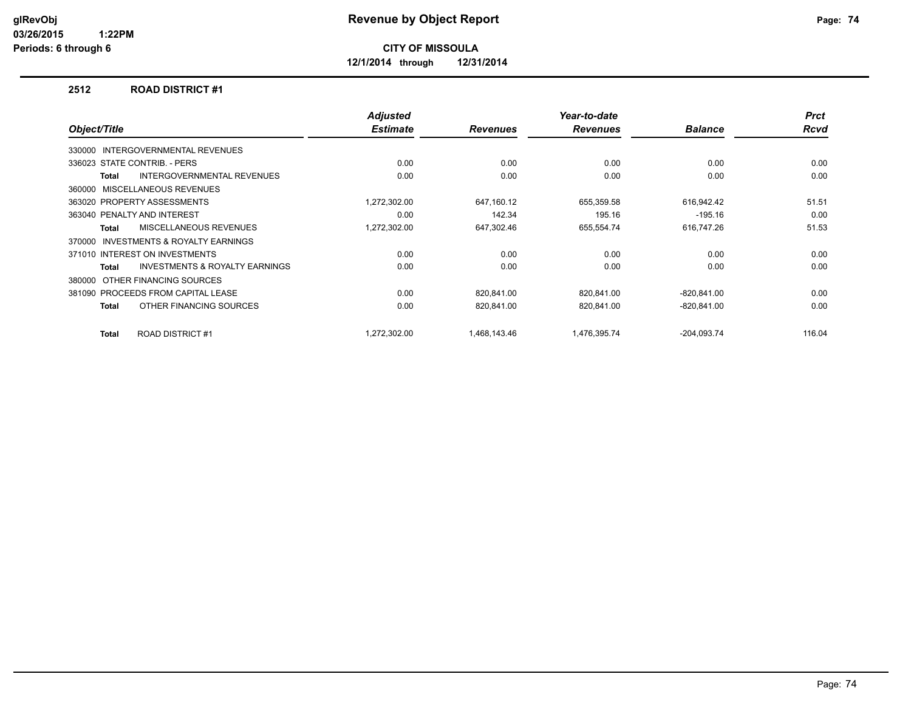**12/1/2014 through 12/31/2014**

### **2512 ROAD DISTRICT #1**

|              |                                           | <b>Adjusted</b> |                 | Year-to-date    |                | <b>Prct</b> |
|--------------|-------------------------------------------|-----------------|-----------------|-----------------|----------------|-------------|
| Object/Title |                                           | <b>Estimate</b> | <b>Revenues</b> | <b>Revenues</b> | <b>Balance</b> | <b>Rcvd</b> |
|              | 330000 INTERGOVERNMENTAL REVENUES         |                 |                 |                 |                |             |
|              | 336023 STATE CONTRIB. - PERS              | 0.00            | 0.00            | 0.00            | 0.00           | 0.00        |
| Total        | <b>INTERGOVERNMENTAL REVENUES</b>         | 0.00            | 0.00            | 0.00            | 0.00           | 0.00        |
|              | 360000 MISCELLANEOUS REVENUES             |                 |                 |                 |                |             |
|              | 363020 PROPERTY ASSESSMENTS               | 1,272,302.00    | 647,160.12      | 655,359.58      | 616,942.42     | 51.51       |
|              | 363040 PENALTY AND INTEREST               | 0.00            | 142.34          | 195.16          | $-195.16$      | 0.00        |
| Total        | MISCELLANEOUS REVENUES                    | 1,272,302.00    | 647,302.46      | 655,554.74      | 616,747.26     | 51.53       |
| 370000       | <b>INVESTMENTS &amp; ROYALTY EARNINGS</b> |                 |                 |                 |                |             |
|              | 371010 INTEREST ON INVESTMENTS            | 0.00            | 0.00            | 0.00            | 0.00           | 0.00        |
| Total        | <b>INVESTMENTS &amp; ROYALTY EARNINGS</b> | 0.00            | 0.00            | 0.00            | 0.00           | 0.00        |
|              | 380000 OTHER FINANCING SOURCES            |                 |                 |                 |                |             |
|              | 381090 PROCEEDS FROM CAPITAL LEASE        | 0.00            | 820,841.00      | 820,841.00      | $-820, 841.00$ | 0.00        |
| Total        | OTHER FINANCING SOURCES                   | 0.00            | 820,841.00      | 820,841.00      | $-820, 841.00$ | 0.00        |
| Total        | <b>ROAD DISTRICT #1</b>                   | 1.272.302.00    | 1.468.143.46    | 1.476.395.74    | $-204.093.74$  | 116.04      |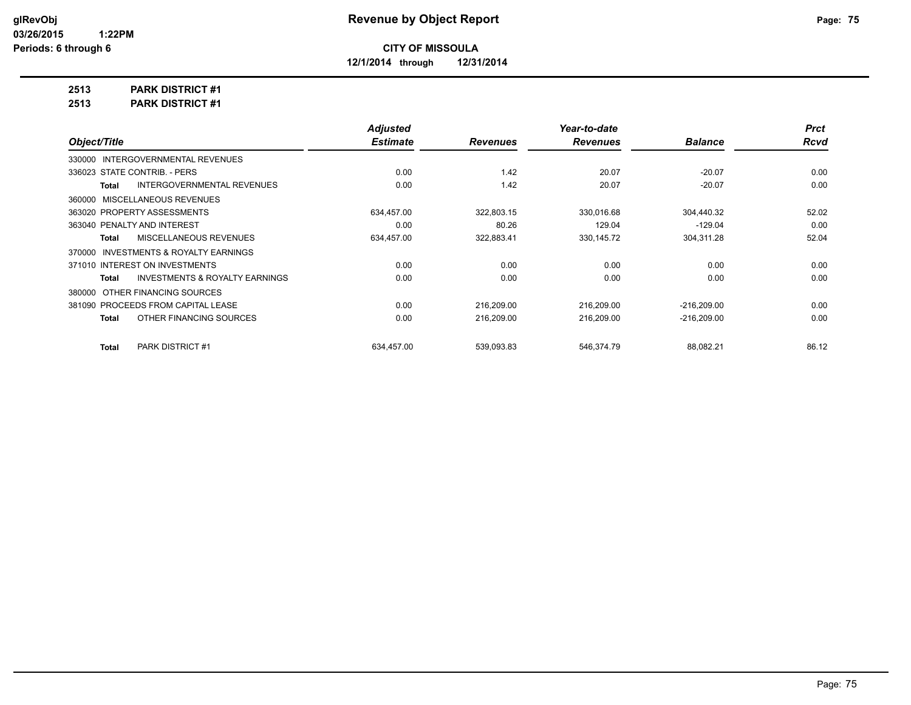**12/1/2014 through 12/31/2014**

**2513 PARK DISTRICT #1**

**2513 PARK DISTRICT #1**

|                                                           | <b>Adjusted</b> |                 | Year-to-date    |                | <b>Prct</b> |
|-----------------------------------------------------------|-----------------|-----------------|-----------------|----------------|-------------|
| Object/Title                                              | <b>Estimate</b> | <b>Revenues</b> | <b>Revenues</b> | <b>Balance</b> | <b>Rcvd</b> |
| 330000 INTERGOVERNMENTAL REVENUES                         |                 |                 |                 |                |             |
| 336023 STATE CONTRIB. - PERS                              | 0.00            | 1.42            | 20.07           | $-20.07$       | 0.00        |
| <b>INTERGOVERNMENTAL REVENUES</b><br><b>Total</b>         | 0.00            | 1.42            | 20.07           | $-20.07$       | 0.00        |
| 360000 MISCELLANEOUS REVENUES                             |                 |                 |                 |                |             |
| 363020 PROPERTY ASSESSMENTS                               | 634,457.00      | 322,803.15      | 330,016.68      | 304,440.32     | 52.02       |
| 363040 PENALTY AND INTEREST                               | 0.00            | 80.26           | 129.04          | $-129.04$      | 0.00        |
| MISCELLANEOUS REVENUES<br>Total                           | 634,457.00      | 322,883.41      | 330, 145.72     | 304,311.28     | 52.04       |
| INVESTMENTS & ROYALTY EARNINGS<br>370000                  |                 |                 |                 |                |             |
| 371010 INTEREST ON INVESTMENTS                            | 0.00            | 0.00            | 0.00            | 0.00           | 0.00        |
| <b>INVESTMENTS &amp; ROYALTY EARNINGS</b><br><b>Total</b> | 0.00            | 0.00            | 0.00            | 0.00           | 0.00        |
| OTHER FINANCING SOURCES<br>380000                         |                 |                 |                 |                |             |
| 381090 PROCEEDS FROM CAPITAL LEASE                        | 0.00            | 216,209.00      | 216,209.00      | $-216,209.00$  | 0.00        |
| OTHER FINANCING SOURCES<br><b>Total</b>                   | 0.00            | 216,209.00      | 216,209.00      | $-216,209.00$  | 0.00        |
|                                                           |                 |                 |                 |                |             |
| <b>PARK DISTRICT #1</b><br><b>Total</b>                   | 634.457.00      | 539.093.83      | 546,374.79      | 88,082.21      | 86.12       |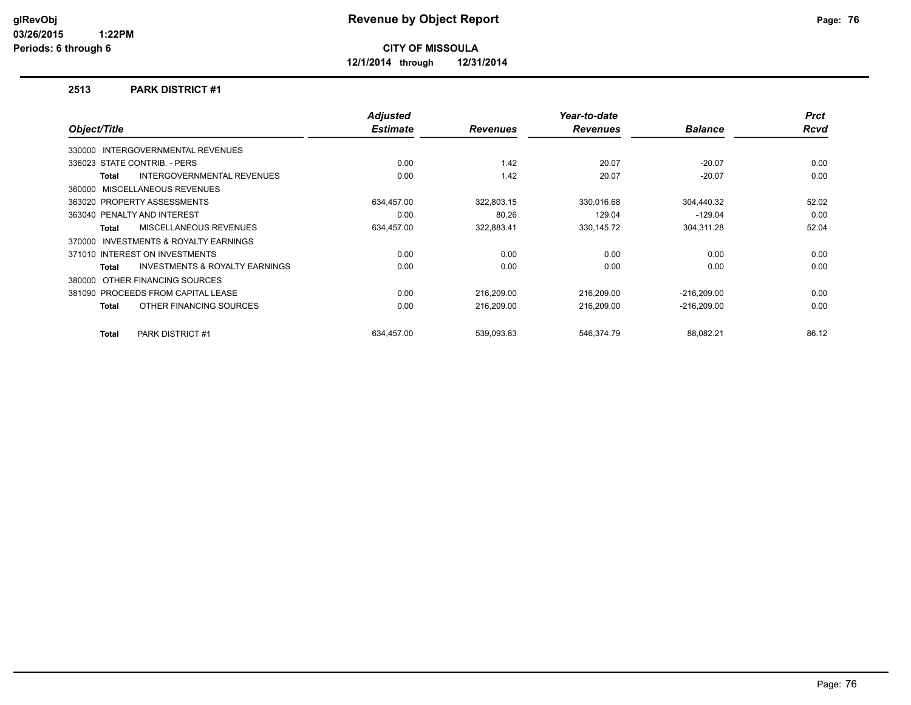**12/1/2014 through 12/31/2014**

### **2513 PARK DISTRICT #1**

|              |                                           | <b>Adjusted</b> |                 | Year-to-date    |                | <b>Prct</b> |
|--------------|-------------------------------------------|-----------------|-----------------|-----------------|----------------|-------------|
| Object/Title |                                           | <b>Estimate</b> | <b>Revenues</b> | <b>Revenues</b> | <b>Balance</b> | <b>Rcvd</b> |
| 330000       | INTERGOVERNMENTAL REVENUES                |                 |                 |                 |                |             |
|              | 336023 STATE CONTRIB. - PERS              | 0.00            | 1.42            | 20.07           | $-20.07$       | 0.00        |
| Total        | <b>INTERGOVERNMENTAL REVENUES</b>         | 0.00            | 1.42            | 20.07           | $-20.07$       | 0.00        |
|              | 360000 MISCELLANEOUS REVENUES             |                 |                 |                 |                |             |
|              | 363020 PROPERTY ASSESSMENTS               | 634,457.00      | 322,803.15      | 330,016.68      | 304,440.32     | 52.02       |
|              | 363040 PENALTY AND INTEREST               | 0.00            | 80.26           | 129.04          | $-129.04$      | 0.00        |
| <b>Total</b> | MISCELLANEOUS REVENUES                    | 634,457.00      | 322,883.41      | 330, 145.72     | 304,311.28     | 52.04       |
|              | 370000 INVESTMENTS & ROYALTY EARNINGS     |                 |                 |                 |                |             |
|              | 371010 INTEREST ON INVESTMENTS            | 0.00            | 0.00            | 0.00            | 0.00           | 0.00        |
| Total        | <b>INVESTMENTS &amp; ROYALTY EARNINGS</b> | 0.00            | 0.00            | 0.00            | 0.00           | 0.00        |
|              | 380000 OTHER FINANCING SOURCES            |                 |                 |                 |                |             |
|              | 381090 PROCEEDS FROM CAPITAL LEASE        | 0.00            | 216,209.00      | 216.209.00      | $-216.209.00$  | 0.00        |
| Total        | OTHER FINANCING SOURCES                   | 0.00            | 216,209.00      | 216,209.00      | $-216,209.00$  | 0.00        |
| <b>Total</b> | PARK DISTRICT #1                          | 634.457.00      | 539.093.83      | 546.374.79      | 88.082.21      | 86.12       |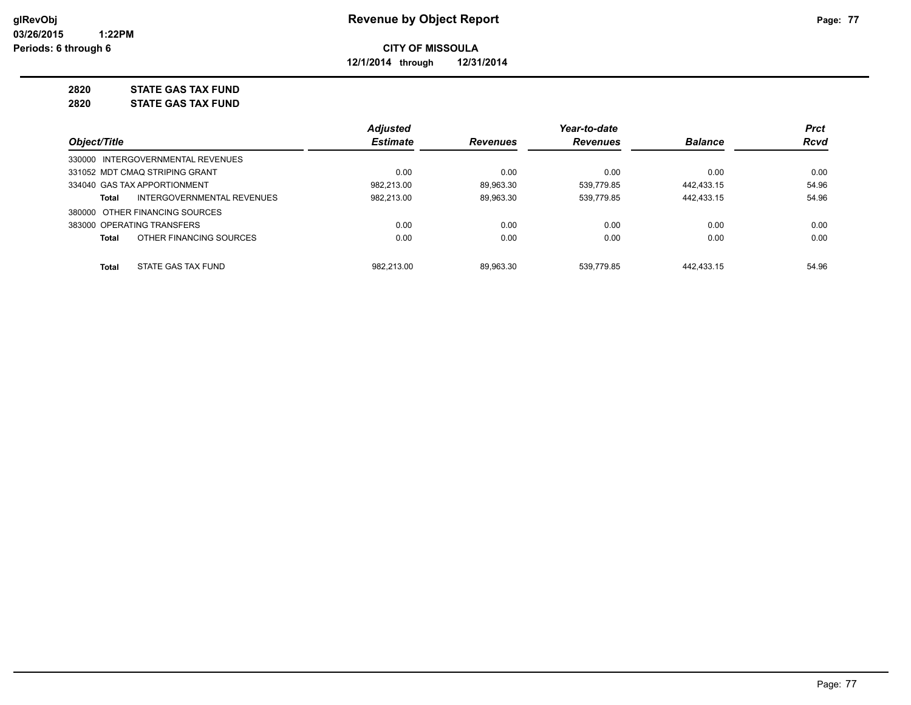**12/1/2014 through 12/31/2014**

## **2820 STATE GAS TAX FUND**

**2820 STATE GAS TAX FUND**

|                                                   | <b>Adjusted</b> |                 | Year-to-date    |                | <b>Prct</b> |
|---------------------------------------------------|-----------------|-----------------|-----------------|----------------|-------------|
| Object/Title                                      | <b>Estimate</b> | <b>Revenues</b> | <b>Revenues</b> | <b>Balance</b> | <b>Rcvd</b> |
| 330000 INTERGOVERNMENTAL REVENUES                 |                 |                 |                 |                |             |
| 331052 MDT CMAQ STRIPING GRANT                    | 0.00            | 0.00            | 0.00            | 0.00           | 0.00        |
| 334040 GAS TAX APPORTIONMENT                      | 982.213.00      | 89.963.30       | 539.779.85      | 442.433.15     | 54.96       |
| <b>INTERGOVERNMENTAL REVENUES</b><br><b>Total</b> | 982,213.00      | 89.963.30       | 539.779.85      | 442,433.15     | 54.96       |
| 380000 OTHER FINANCING SOURCES                    |                 |                 |                 |                |             |
| 383000 OPERATING TRANSFERS                        | 0.00            | 0.00            | 0.00            | 0.00           | 0.00        |
| OTHER FINANCING SOURCES<br><b>Total</b>           | 0.00            | 0.00            | 0.00            | 0.00           | 0.00        |
| STATE GAS TAX FUND<br><b>Total</b>                | 982.213.00      | 89.963.30       | 539.779.85      | 442.433.15     | 54.96       |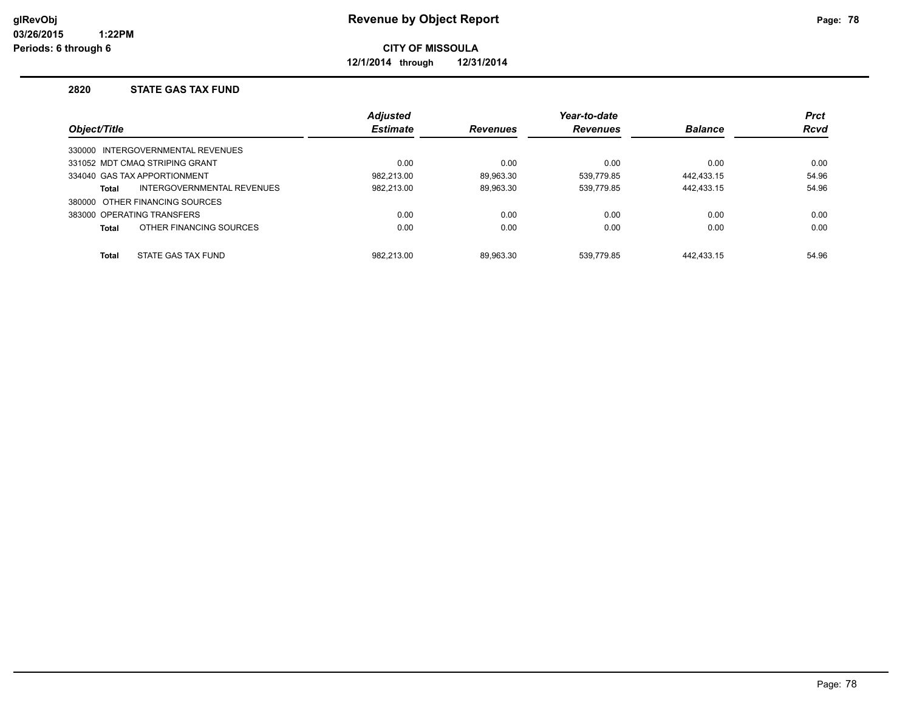**12/1/2014 through 12/31/2014**

### **2820 STATE GAS TAX FUND**

|              |                                   | <b>Adjusted</b> |                 | Year-to-date    |                | <b>Prct</b> |
|--------------|-----------------------------------|-----------------|-----------------|-----------------|----------------|-------------|
| Object/Title |                                   | <b>Estimate</b> | <b>Revenues</b> | <b>Revenues</b> | <b>Balance</b> | <b>Rcvd</b> |
|              | 330000 INTERGOVERNMENTAL REVENUES |                 |                 |                 |                |             |
|              | 331052 MDT CMAQ STRIPING GRANT    | 0.00            | 0.00            | 0.00            | 0.00           | 0.00        |
|              | 334040 GAS TAX APPORTIONMENT      | 982.213.00      | 89.963.30       | 539.779.85      | 442.433.15     | 54.96       |
| Total        | INTERGOVERNMENTAL REVENUES        | 982.213.00      | 89,963.30       | 539.779.85      | 442.433.15     | 54.96       |
|              | 380000 OTHER FINANCING SOURCES    |                 |                 |                 |                |             |
|              | 383000 OPERATING TRANSFERS        | 0.00            | 0.00            | 0.00            | 0.00           | 0.00        |
| <b>Total</b> | OTHER FINANCING SOURCES           | 0.00            | 0.00            | 0.00            | 0.00           | 0.00        |
| <b>Total</b> | STATE GAS TAX FUND                | 982.213.00      | 89.963.30       | 539.779.85      | 442.433.15     | 54.96       |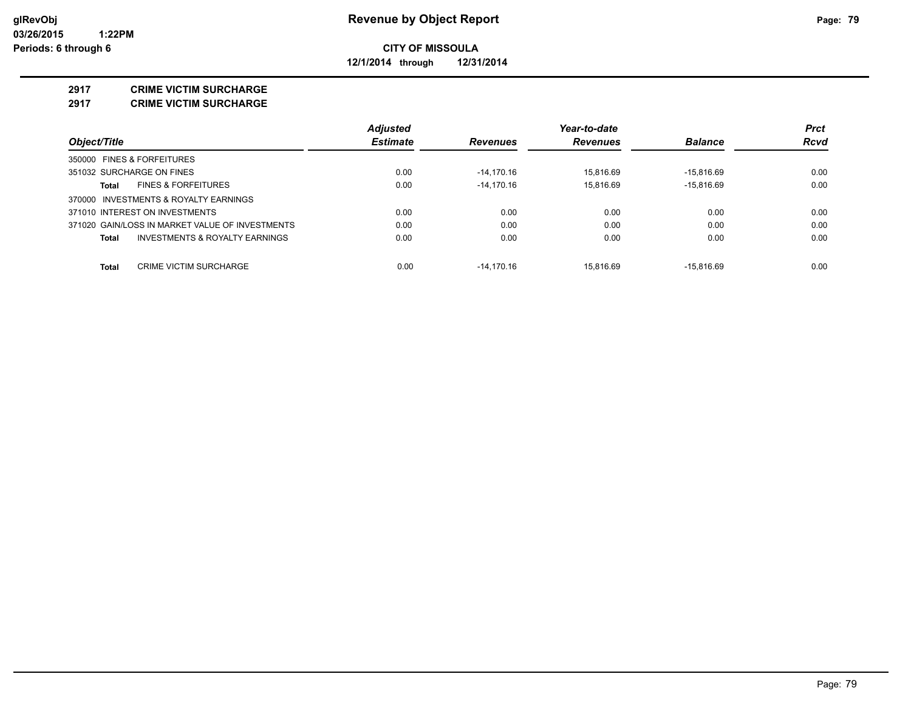**12/1/2014 through 12/31/2014**

### **2917 CRIME VICTIM SURCHARGE**

**2917 CRIME VICTIM SURCHARGE**

|                                                 | <b>Adjusted</b> |                 | Year-to-date    |                | <b>Prct</b> |
|-------------------------------------------------|-----------------|-----------------|-----------------|----------------|-------------|
| Object/Title                                    | <b>Estimate</b> | <b>Revenues</b> | <b>Revenues</b> | <b>Balance</b> | <b>Rcvd</b> |
| 350000 FINES & FORFEITURES                      |                 |                 |                 |                |             |
| 351032 SURCHARGE ON FINES                       | 0.00            | $-14.170.16$    | 15.816.69       | $-15.816.69$   | 0.00        |
| <b>FINES &amp; FORFEITURES</b><br>Total         | 0.00            | $-14.170.16$    | 15.816.69       | $-15.816.69$   | 0.00        |
| 370000 INVESTMENTS & ROYALTY EARNINGS           |                 |                 |                 |                |             |
| 371010 INTEREST ON INVESTMENTS                  | 0.00            | 0.00            | 0.00            | 0.00           | 0.00        |
| 371020 GAIN/LOSS IN MARKET VALUE OF INVESTMENTS | 0.00            | 0.00            | 0.00            | 0.00           | 0.00        |
| INVESTMENTS & ROYALTY EARNINGS<br>Total         | 0.00            | 0.00            | 0.00            | 0.00           | 0.00        |
| Total<br><b>CRIME VICTIM SURCHARGE</b>          | 0.00            | $-14.170.16$    | 15.816.69       | $-15.816.69$   | 0.00        |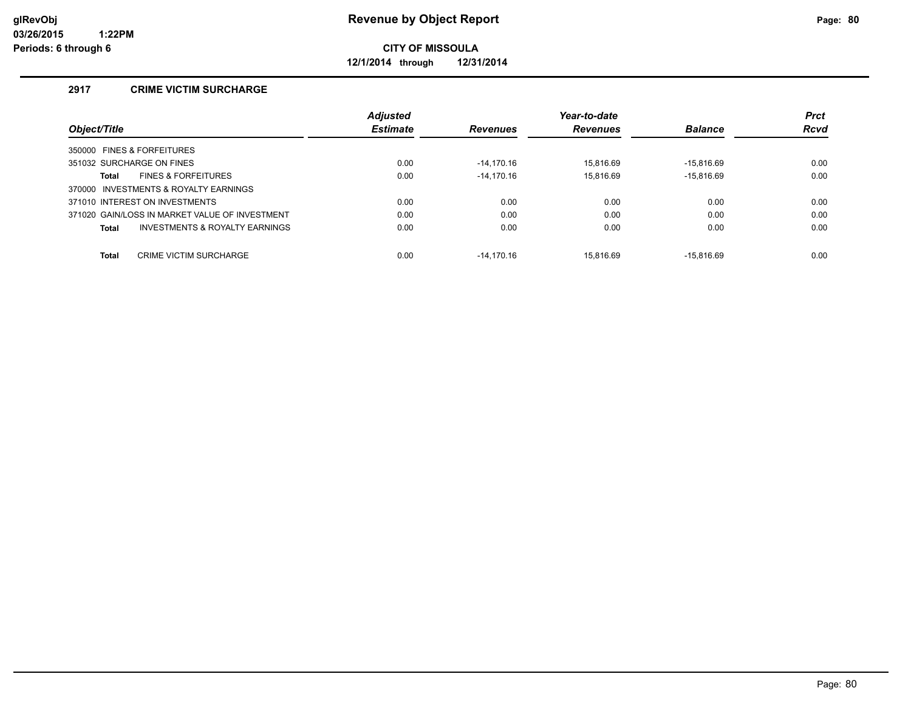**12/1/2014 through 12/31/2014**

### **2917 CRIME VICTIM SURCHARGE**

|                                                | <b>Adjusted</b> |                 | Year-to-date    |                | <b>Prct</b> |
|------------------------------------------------|-----------------|-----------------|-----------------|----------------|-------------|
| Object/Title                                   | <b>Estimate</b> | <b>Revenues</b> | <b>Revenues</b> | <b>Balance</b> | <b>Rcvd</b> |
| 350000 FINES & FORFEITURES                     |                 |                 |                 |                |             |
| 351032 SURCHARGE ON FINES                      | 0.00            | $-14.170.16$    | 15.816.69       | $-15.816.69$   | 0.00        |
| <b>FINES &amp; FORFEITURES</b><br><b>Total</b> | 0.00            | $-14.170.16$    | 15.816.69       | $-15,816.69$   | 0.00        |
| 370000 INVESTMENTS & ROYALTY EARNINGS          |                 |                 |                 |                |             |
| 371010 INTEREST ON INVESTMENTS                 | 0.00            | 0.00            | 0.00            | 0.00           | 0.00        |
| 371020 GAIN/LOSS IN MARKET VALUE OF INVESTMENT | 0.00            | 0.00            | 0.00            | 0.00           | 0.00        |
| INVESTMENTS & ROYALTY EARNINGS<br><b>Total</b> | 0.00            | 0.00            | 0.00            | 0.00           | 0.00        |
|                                                |                 |                 |                 |                |             |
| <b>CRIME VICTIM SURCHARGE</b><br><b>Total</b>  | 0.00            | $-14.170.16$    | 15.816.69       | $-15.816.69$   | 0.00        |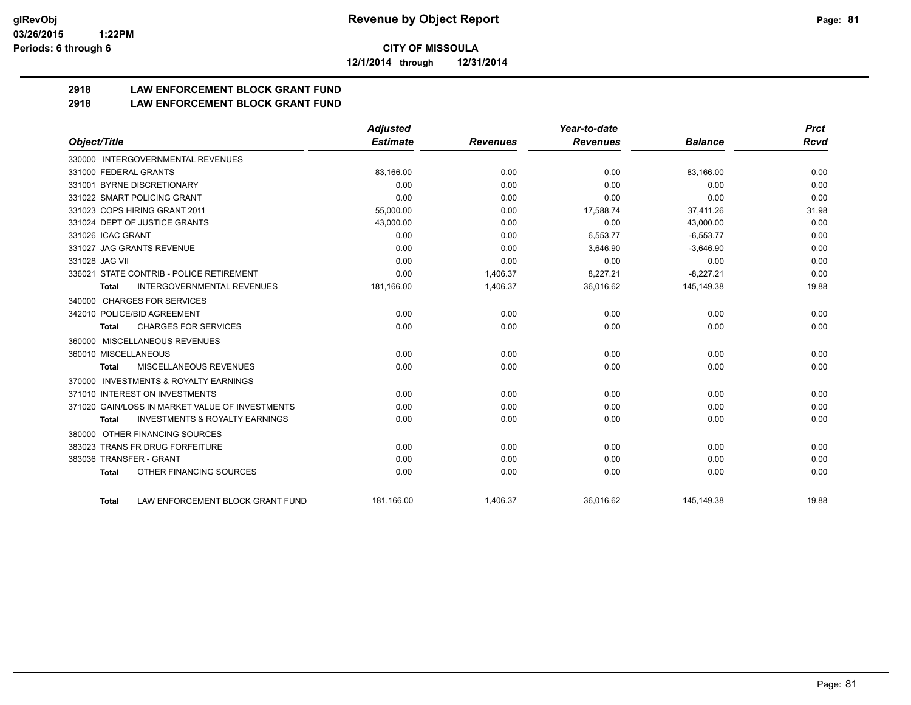**12/1/2014 through 12/31/2014**

# **2918 LAW ENFORCEMENT BLOCK GRANT FUND**

**2918 LAW ENFORCEMENT BLOCK GRANT FUND**

|                         |                                                 | <b>Adjusted</b> |                 | Year-to-date    |                | <b>Prct</b> |
|-------------------------|-------------------------------------------------|-----------------|-----------------|-----------------|----------------|-------------|
| Object/Title            |                                                 | <b>Estimate</b> | <b>Revenues</b> | <b>Revenues</b> | <b>Balance</b> | <b>Rcvd</b> |
|                         | 330000 INTERGOVERNMENTAL REVENUES               |                 |                 |                 |                |             |
| 331000 FEDERAL GRANTS   |                                                 | 83,166.00       | 0.00            | 0.00            | 83,166.00      | 0.00        |
|                         | 331001 BYRNE DISCRETIONARY                      | 0.00            | 0.00            | 0.00            | 0.00           | 0.00        |
|                         | 331022 SMART POLICING GRANT                     | 0.00            | 0.00            | 0.00            | 0.00           | 0.00        |
|                         | 331023 COPS HIRING GRANT 2011                   | 55,000.00       | 0.00            | 17,588.74       | 37,411.26      | 31.98       |
|                         | 331024 DEPT OF JUSTICE GRANTS                   | 43,000.00       | 0.00            | 0.00            | 43.000.00      | 0.00        |
| 331026 ICAC GRANT       |                                                 | 0.00            | 0.00            | 6,553.77        | $-6.553.77$    | 0.00        |
|                         | 331027 JAG GRANTS REVENUE                       | 0.00            | 0.00            | 3,646.90        | $-3,646.90$    | 0.00        |
| 331028 JAG VII          |                                                 | 0.00            | 0.00            | 0.00            | 0.00           | 0.00        |
|                         | 336021 STATE CONTRIB - POLICE RETIREMENT        | 0.00            | 1,406.37        | 8,227.21        | $-8,227.21$    | 0.00        |
| Total                   | <b>INTERGOVERNMENTAL REVENUES</b>               | 181,166.00      | 1,406.37        | 36,016.62       | 145,149.38     | 19.88       |
|                         | 340000 CHARGES FOR SERVICES                     |                 |                 |                 |                |             |
|                         | 342010 POLICE/BID AGREEMENT                     | 0.00            | 0.00            | 0.00            | 0.00           | 0.00        |
| <b>Total</b>            | <b>CHARGES FOR SERVICES</b>                     | 0.00            | 0.00            | 0.00            | 0.00           | 0.00        |
| 360000                  | MISCELLANEOUS REVENUES                          |                 |                 |                 |                |             |
| 360010 MISCELLANEOUS    |                                                 | 0.00            | 0.00            | 0.00            | 0.00           | 0.00        |
| <b>Total</b>            | <b>MISCELLANEOUS REVENUES</b>                   | 0.00            | 0.00            | 0.00            | 0.00           | 0.00        |
| 370000                  | <b>INVESTMENTS &amp; ROYALTY EARNINGS</b>       |                 |                 |                 |                |             |
|                         | 371010 INTEREST ON INVESTMENTS                  | 0.00            | 0.00            | 0.00            | 0.00           | 0.00        |
|                         | 371020 GAIN/LOSS IN MARKET VALUE OF INVESTMENTS | 0.00            | 0.00            | 0.00            | 0.00           | 0.00        |
| <b>Total</b>            | <b>INVESTMENTS &amp; ROYALTY EARNINGS</b>       | 0.00            | 0.00            | 0.00            | 0.00           | 0.00        |
| 380000                  | OTHER FINANCING SOURCES                         |                 |                 |                 |                |             |
|                         | 383023 TRANS FR DRUG FORFEITURE                 | 0.00            | 0.00            | 0.00            | 0.00           | 0.00        |
| 383036 TRANSFER - GRANT |                                                 | 0.00            | 0.00            | 0.00            | 0.00           | 0.00        |
| <b>Total</b>            | OTHER FINANCING SOURCES                         | 0.00            | 0.00            | 0.00            | 0.00           | 0.00        |
| <b>Total</b>            | LAW ENFORCEMENT BLOCK GRANT FUND                | 181,166.00      | 1,406.37        | 36.016.62       | 145,149.38     | 19.88       |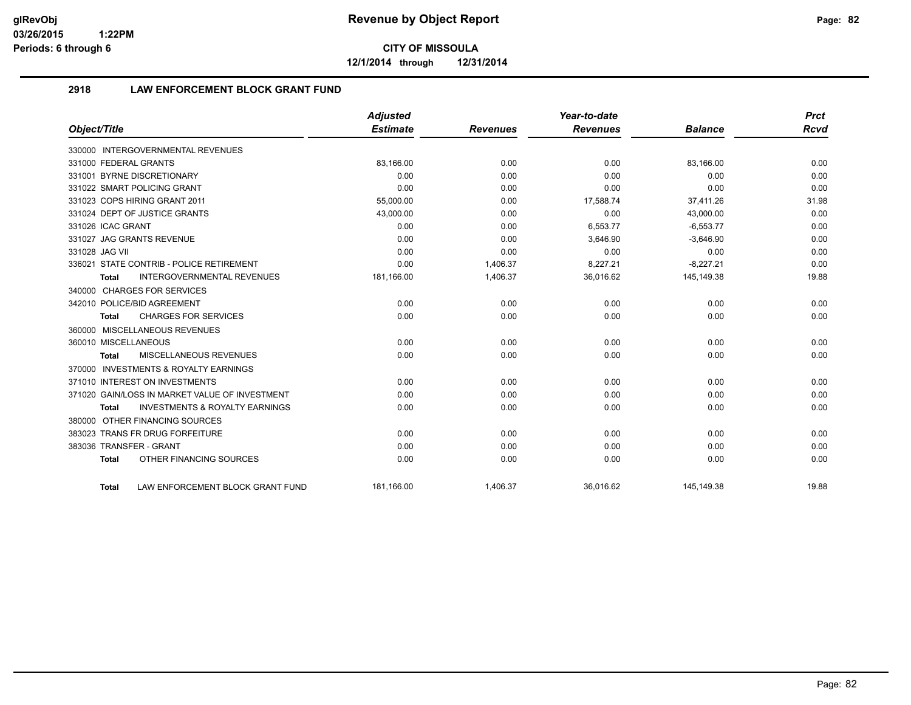**12/1/2014 through 12/31/2014**

## **2918 LAW ENFORCEMENT BLOCK GRANT FUND**

|                                                           | Adjusted        |                 | Year-to-date    |                | <b>Prct</b> |
|-----------------------------------------------------------|-----------------|-----------------|-----------------|----------------|-------------|
| Object/Title                                              | <b>Estimate</b> | <b>Revenues</b> | <b>Revenues</b> | <b>Balance</b> | <b>Rcvd</b> |
| 330000 INTERGOVERNMENTAL REVENUES                         |                 |                 |                 |                |             |
| 331000 FEDERAL GRANTS                                     | 83,166.00       | 0.00            | 0.00            | 83,166.00      | 0.00        |
| 331001 BYRNE DISCRETIONARY                                | 0.00            | 0.00            | 0.00            | 0.00           | 0.00        |
| 331022 SMART POLICING GRANT                               | 0.00            | 0.00            | 0.00            | 0.00           | 0.00        |
| 331023 COPS HIRING GRANT 2011                             | 55,000.00       | 0.00            | 17,588.74       | 37,411.26      | 31.98       |
| 331024 DEPT OF JUSTICE GRANTS                             | 43,000.00       | 0.00            | 0.00            | 43,000.00      | 0.00        |
| 331026 ICAC GRANT                                         | 0.00            | 0.00            | 6,553.77        | $-6,553.77$    | 0.00        |
| 331027 JAG GRANTS REVENUE                                 | 0.00            | 0.00            | 3.646.90        | $-3,646.90$    | 0.00        |
| 331028 JAG VII                                            | 0.00            | 0.00            | 0.00            | 0.00           | 0.00        |
| 336021 STATE CONTRIB - POLICE RETIREMENT                  | 0.00            | 1.406.37        | 8,227.21        | $-8.227.21$    | 0.00        |
| <b>INTERGOVERNMENTAL REVENUES</b><br>Total                | 181,166.00      | 1,406.37        | 36,016.62       | 145,149.38     | 19.88       |
| 340000 CHARGES FOR SERVICES                               |                 |                 |                 |                |             |
| 342010 POLICE/BID AGREEMENT                               | 0.00            | 0.00            | 0.00            | 0.00           | 0.00        |
| <b>CHARGES FOR SERVICES</b><br><b>Total</b>               | 0.00            | 0.00            | 0.00            | 0.00           | 0.00        |
| 360000 MISCELLANEOUS REVENUES                             |                 |                 |                 |                |             |
| 360010 MISCELLANEOUS                                      | 0.00            | 0.00            | 0.00            | 0.00           | 0.00        |
| MISCELLANEOUS REVENUES<br><b>Total</b>                    | 0.00            | 0.00            | 0.00            | 0.00           | 0.00        |
| 370000 INVESTMENTS & ROYALTY EARNINGS                     |                 |                 |                 |                |             |
| 371010 INTEREST ON INVESTMENTS                            | 0.00            | 0.00            | 0.00            | 0.00           | 0.00        |
| 371020 GAIN/LOSS IN MARKET VALUE OF INVESTMENT            | 0.00            | 0.00            | 0.00            | 0.00           | 0.00        |
| <b>INVESTMENTS &amp; ROYALTY EARNINGS</b><br><b>Total</b> | 0.00            | 0.00            | 0.00            | 0.00           | 0.00        |
| 380000 OTHER FINANCING SOURCES                            |                 |                 |                 |                |             |
| 383023 TRANS FR DRUG FORFEITURE                           | 0.00            | 0.00            | 0.00            | 0.00           | 0.00        |
| 383036 TRANSFER - GRANT                                   | 0.00            | 0.00            | 0.00            | 0.00           | 0.00        |
| OTHER FINANCING SOURCES<br><b>Total</b>                   | 0.00            | 0.00            | 0.00            | 0.00           | 0.00        |
| LAW ENFORCEMENT BLOCK GRANT FUND<br><b>Total</b>          | 181.166.00      | 1.406.37        | 36.016.62       | 145.149.38     | 19.88       |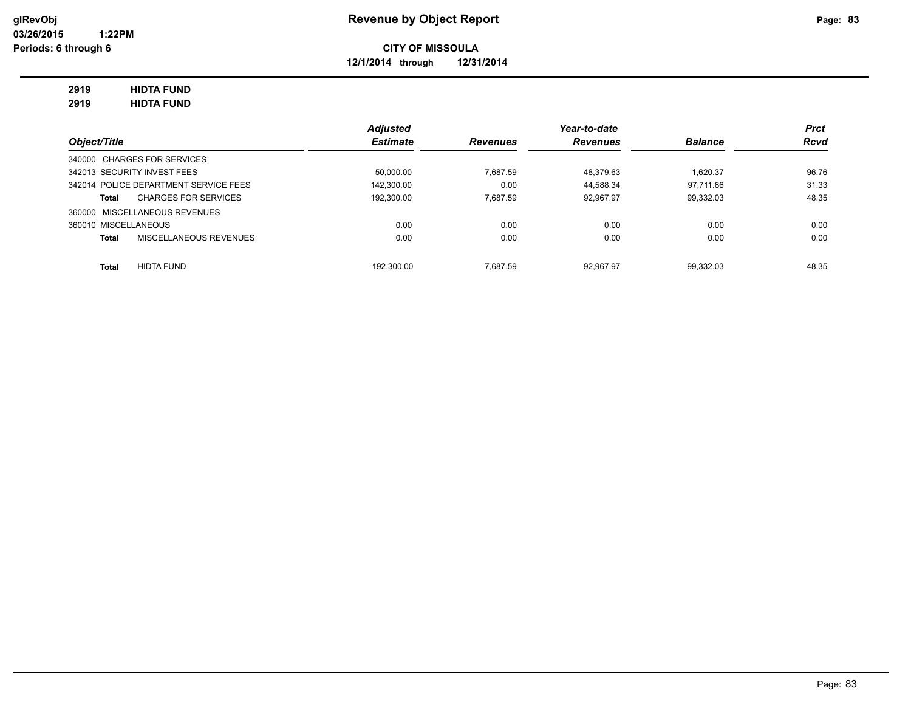**12/1/2014 through 12/31/2014**

## **2919 HIDTA FUND**

**2919 HIDTA FUND**

|                                       | <b>Adjusted</b> |                 | Year-to-date    |                | <b>Prct</b> |
|---------------------------------------|-----------------|-----------------|-----------------|----------------|-------------|
| Object/Title                          | <b>Estimate</b> | <b>Revenues</b> | <b>Revenues</b> | <b>Balance</b> | <b>Rcvd</b> |
| 340000 CHARGES FOR SERVICES           |                 |                 |                 |                |             |
| 342013 SECURITY INVEST FEES           | 50,000.00       | 7.687.59        | 48.379.63       | 1.620.37       | 96.76       |
| 342014 POLICE DEPARTMENT SERVICE FEES | 142.300.00      | 0.00            | 44.588.34       | 97.711.66      | 31.33       |
| <b>CHARGES FOR SERVICES</b><br>Total  | 192.300.00      | 7.687.59        | 92.967.97       | 99.332.03      | 48.35       |
| 360000 MISCELLANEOUS REVENUES         |                 |                 |                 |                |             |
| 360010 MISCELLANEOUS                  | 0.00            | 0.00            | 0.00            | 0.00           | 0.00        |
| MISCELLANEOUS REVENUES<br>Total       | 0.00            | 0.00            | 0.00            | 0.00           | 0.00        |
|                                       |                 |                 |                 |                |             |
| <b>HIDTA FUND</b><br>Total            | 192.300.00      | 7.687.59        | 92.967.97       | 99.332.03      | 48.35       |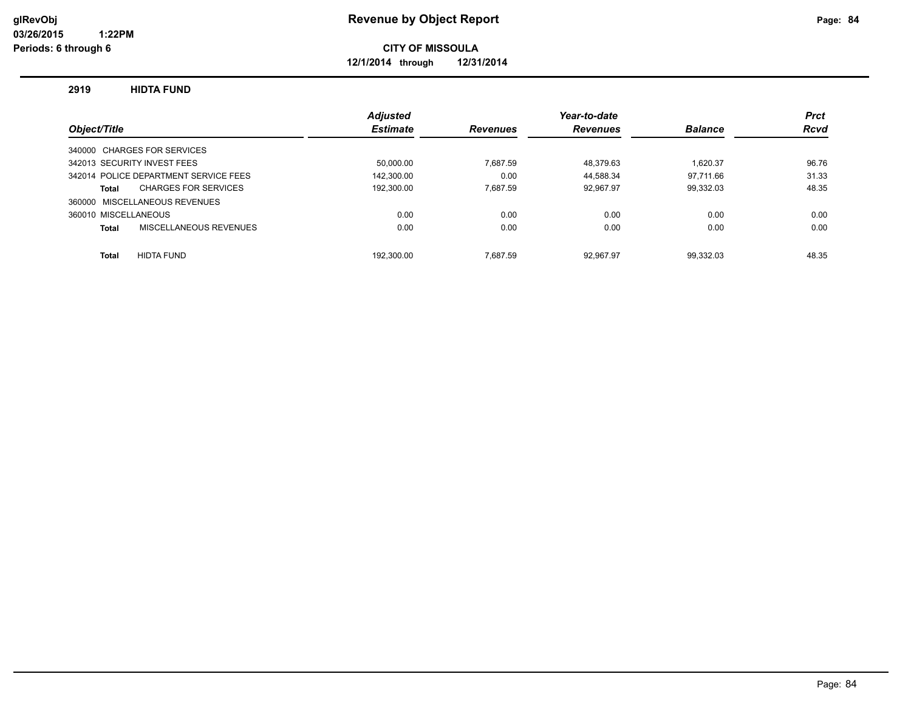**12/1/2014 through 12/31/2014**

### **2919 HIDTA FUND**

|                                       | <b>Adjusted</b> |                 | Year-to-date    |                | <b>Prct</b> |
|---------------------------------------|-----------------|-----------------|-----------------|----------------|-------------|
| Object/Title                          | <b>Estimate</b> | <b>Revenues</b> | <b>Revenues</b> | <b>Balance</b> | <b>Rcvd</b> |
| 340000 CHARGES FOR SERVICES           |                 |                 |                 |                |             |
| 342013 SECURITY INVEST FEES           | 50.000.00       | 7.687.59        | 48.379.63       | 1.620.37       | 96.76       |
| 342014 POLICE DEPARTMENT SERVICE FEES | 142.300.00      | 0.00            | 44.588.34       | 97.711.66      | 31.33       |
| <b>CHARGES FOR SERVICES</b><br>Total  | 192,300.00      | 7.687.59        | 92.967.97       | 99,332.03      | 48.35       |
| 360000 MISCELLANEOUS REVENUES         |                 |                 |                 |                |             |
| 360010 MISCELLANEOUS                  | 0.00            | 0.00            | 0.00            | 0.00           | 0.00        |
| MISCELLANEOUS REVENUES<br>Total       | 0.00            | 0.00            | 0.00            | 0.00           | 0.00        |
|                                       |                 |                 |                 |                |             |
| Total<br><b>HIDTA FUND</b>            | 192.300.00      | 7.687.59        | 92.967.97       | 99.332.03      | 48.35       |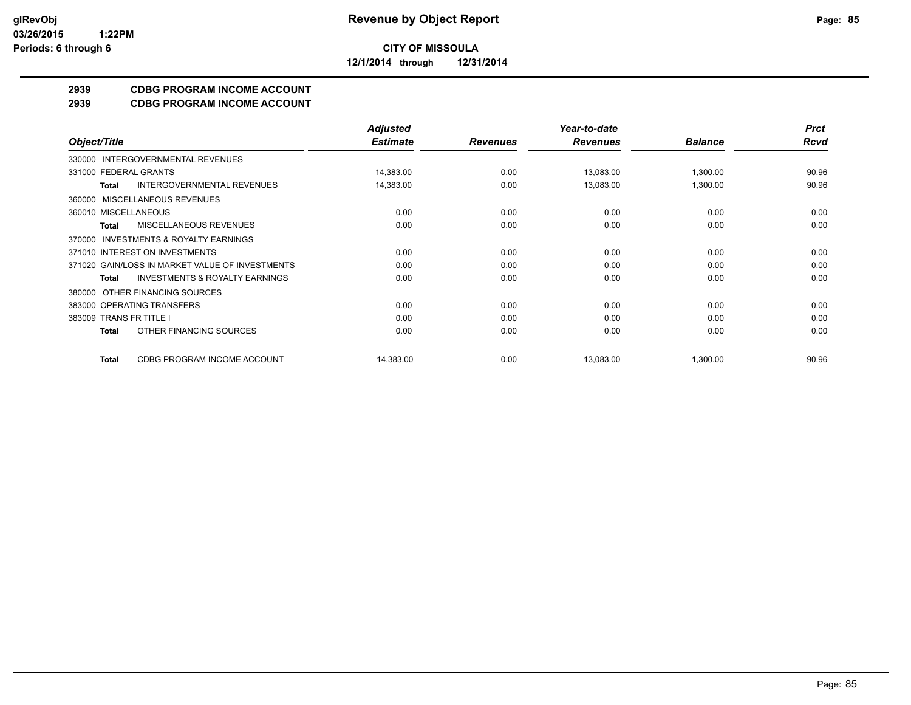**12/1/2014 through 12/31/2014**

## **2939 CDBG PROGRAM INCOME ACCOUNT**

**2939 CDBG PROGRAM INCOME ACCOUNT**

|                                                           | <b>Adjusted</b> |                 | Year-to-date    |                | <b>Prct</b> |
|-----------------------------------------------------------|-----------------|-----------------|-----------------|----------------|-------------|
| Object/Title                                              | <b>Estimate</b> | <b>Revenues</b> | <b>Revenues</b> | <b>Balance</b> | Rcvd        |
| 330000 INTERGOVERNMENTAL REVENUES                         |                 |                 |                 |                |             |
| 331000 FEDERAL GRANTS                                     | 14,383.00       | 0.00            | 13,083.00       | 1,300.00       | 90.96       |
| INTERGOVERNMENTAL REVENUES<br><b>Total</b>                | 14,383.00       | 0.00            | 13,083.00       | 1,300.00       | 90.96       |
| 360000 MISCELLANEOUS REVENUES                             |                 |                 |                 |                |             |
| 360010 MISCELLANEOUS                                      | 0.00            | 0.00            | 0.00            | 0.00           | 0.00        |
| MISCELLANEOUS REVENUES<br><b>Total</b>                    | 0.00            | 0.00            | 0.00            | 0.00           | 0.00        |
| 370000 INVESTMENTS & ROYALTY EARNINGS                     |                 |                 |                 |                |             |
| 371010 INTEREST ON INVESTMENTS                            | 0.00            | 0.00            | 0.00            | 0.00           | 0.00        |
| 371020 GAIN/LOSS IN MARKET VALUE OF INVESTMENTS           | 0.00            | 0.00            | 0.00            | 0.00           | 0.00        |
| <b>INVESTMENTS &amp; ROYALTY EARNINGS</b><br><b>Total</b> | 0.00            | 0.00            | 0.00            | 0.00           | 0.00        |
| 380000 OTHER FINANCING SOURCES                            |                 |                 |                 |                |             |
| 383000 OPERATING TRANSFERS                                | 0.00            | 0.00            | 0.00            | 0.00           | 0.00        |
| 383009 TRANS FR TITLE I                                   | 0.00            | 0.00            | 0.00            | 0.00           | 0.00        |
| OTHER FINANCING SOURCES<br>Total                          | 0.00            | 0.00            | 0.00            | 0.00           | 0.00        |
| CDBG PROGRAM INCOME ACCOUNT<br><b>Total</b>               | 14,383.00       | 0.00            | 13,083.00       | 1,300.00       | 90.96       |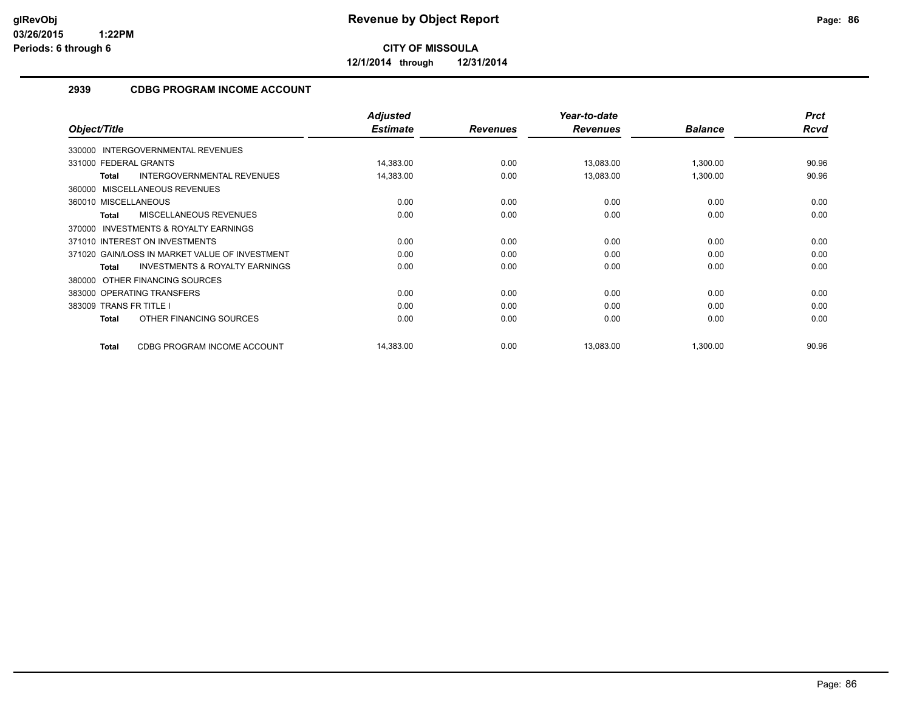**12/1/2014 through 12/31/2014**

## **2939 CDBG PROGRAM INCOME ACCOUNT**

|                                                           | <b>Adjusted</b> |                 | Year-to-date    |                | <b>Prct</b> |
|-----------------------------------------------------------|-----------------|-----------------|-----------------|----------------|-------------|
| Object/Title                                              | <b>Estimate</b> | <b>Revenues</b> | <b>Revenues</b> | <b>Balance</b> | Rcvd        |
| 330000 INTERGOVERNMENTAL REVENUES                         |                 |                 |                 |                |             |
| 331000 FEDERAL GRANTS                                     | 14,383.00       | 0.00            | 13,083.00       | 1,300.00       | 90.96       |
| <b>INTERGOVERNMENTAL REVENUES</b><br><b>Total</b>         | 14,383.00       | 0.00            | 13,083.00       | 1,300.00       | 90.96       |
| 360000 MISCELLANEOUS REVENUES                             |                 |                 |                 |                |             |
| 360010 MISCELLANEOUS                                      | 0.00            | 0.00            | 0.00            | 0.00           | 0.00        |
| MISCELLANEOUS REVENUES<br><b>Total</b>                    | 0.00            | 0.00            | 0.00            | 0.00           | 0.00        |
| 370000 INVESTMENTS & ROYALTY EARNINGS                     |                 |                 |                 |                |             |
| 371010 INTEREST ON INVESTMENTS                            | 0.00            | 0.00            | 0.00            | 0.00           | 0.00        |
| 371020 GAIN/LOSS IN MARKET VALUE OF INVESTMENT            | 0.00            | 0.00            | 0.00            | 0.00           | 0.00        |
| <b>INVESTMENTS &amp; ROYALTY EARNINGS</b><br><b>Total</b> | 0.00            | 0.00            | 0.00            | 0.00           | 0.00        |
| 380000 OTHER FINANCING SOURCES                            |                 |                 |                 |                |             |
| 383000 OPERATING TRANSFERS                                | 0.00            | 0.00            | 0.00            | 0.00           | 0.00        |
| 383009 TRANS FR TITLE I                                   | 0.00            | 0.00            | 0.00            | 0.00           | 0.00        |
| OTHER FINANCING SOURCES<br><b>Total</b>                   | 0.00            | 0.00            | 0.00            | 0.00           | 0.00        |
| CDBG PROGRAM INCOME ACCOUNT<br><b>Total</b>               | 14,383.00       | 0.00            | 13,083.00       | 1,300.00       | 90.96       |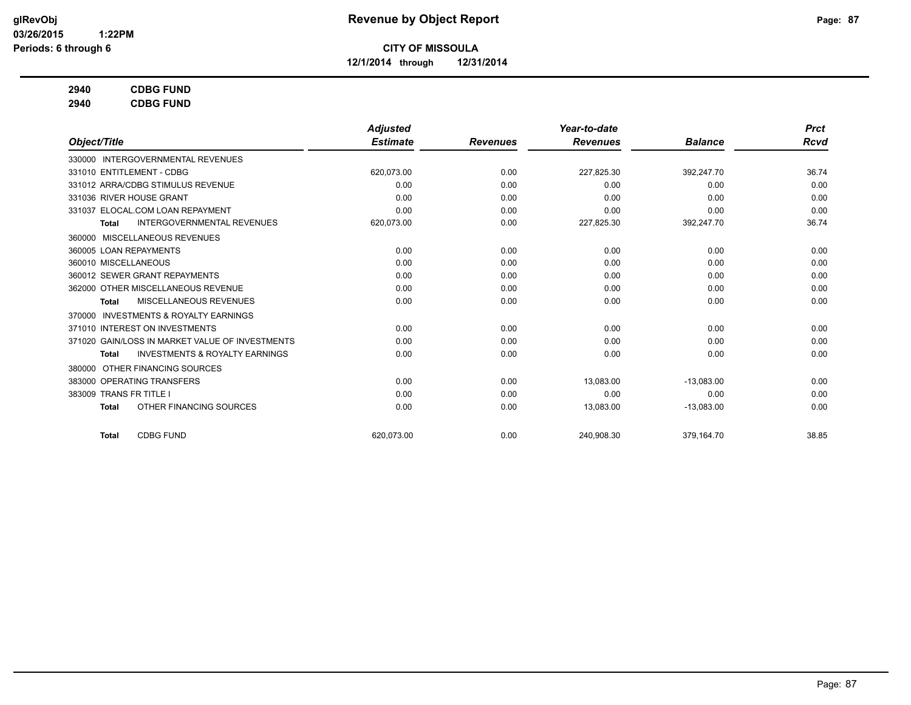**12/1/2014 through 12/31/2014**

## **2940 CDBG FUND**

**2940 CDBG FUND**

|                                                           | <b>Adjusted</b> |                 | Year-to-date    |                | <b>Prct</b> |
|-----------------------------------------------------------|-----------------|-----------------|-----------------|----------------|-------------|
| Object/Title                                              | <b>Estimate</b> | <b>Revenues</b> | <b>Revenues</b> | <b>Balance</b> | Rcvd        |
| 330000 INTERGOVERNMENTAL REVENUES                         |                 |                 |                 |                |             |
| 331010 ENTITLEMENT - CDBG                                 | 620,073.00      | 0.00            | 227,825.30      | 392,247.70     | 36.74       |
| 331012 ARRA/CDBG STIMULUS REVENUE                         | 0.00            | 0.00            | 0.00            | 0.00           | 0.00        |
| 331036 RIVER HOUSE GRANT                                  | 0.00            | 0.00            | 0.00            | 0.00           | 0.00        |
| 331037 ELOCAL.COM LOAN REPAYMENT                          | 0.00            | 0.00            | 0.00            | 0.00           | 0.00        |
| <b>INTERGOVERNMENTAL REVENUES</b><br><b>Total</b>         | 620,073.00      | 0.00            | 227,825.30      | 392,247.70     | 36.74       |
| MISCELLANEOUS REVENUES<br>360000                          |                 |                 |                 |                |             |
| 360005 LOAN REPAYMENTS                                    | 0.00            | 0.00            | 0.00            | 0.00           | 0.00        |
| 360010 MISCELLANEOUS                                      | 0.00            | 0.00            | 0.00            | 0.00           | 0.00        |
| 360012 SEWER GRANT REPAYMENTS                             | 0.00            | 0.00            | 0.00            | 0.00           | 0.00        |
| 362000 OTHER MISCELLANEOUS REVENUE                        | 0.00            | 0.00            | 0.00            | 0.00           | 0.00        |
| MISCELLANEOUS REVENUES<br><b>Total</b>                    | 0.00            | 0.00            | 0.00            | 0.00           | 0.00        |
| <b>INVESTMENTS &amp; ROYALTY EARNINGS</b><br>370000       |                 |                 |                 |                |             |
| 371010 INTEREST ON INVESTMENTS                            | 0.00            | 0.00            | 0.00            | 0.00           | 0.00        |
| 371020 GAIN/LOSS IN MARKET VALUE OF INVESTMENTS           | 0.00            | 0.00            | 0.00            | 0.00           | 0.00        |
| <b>INVESTMENTS &amp; ROYALTY EARNINGS</b><br><b>Total</b> | 0.00            | 0.00            | 0.00            | 0.00           | 0.00        |
| OTHER FINANCING SOURCES<br>380000                         |                 |                 |                 |                |             |
| 383000 OPERATING TRANSFERS                                | 0.00            | 0.00            | 13,083.00       | $-13,083.00$   | 0.00        |
| 383009 TRANS FR TITLE I                                   | 0.00            | 0.00            | 0.00            | 0.00           | 0.00        |
| OTHER FINANCING SOURCES<br><b>Total</b>                   | 0.00            | 0.00            | 13,083.00       | $-13,083.00$   | 0.00        |
| <b>CDBG FUND</b><br><b>Total</b>                          | 620.073.00      | 0.00            | 240.908.30      | 379.164.70     | 38.85       |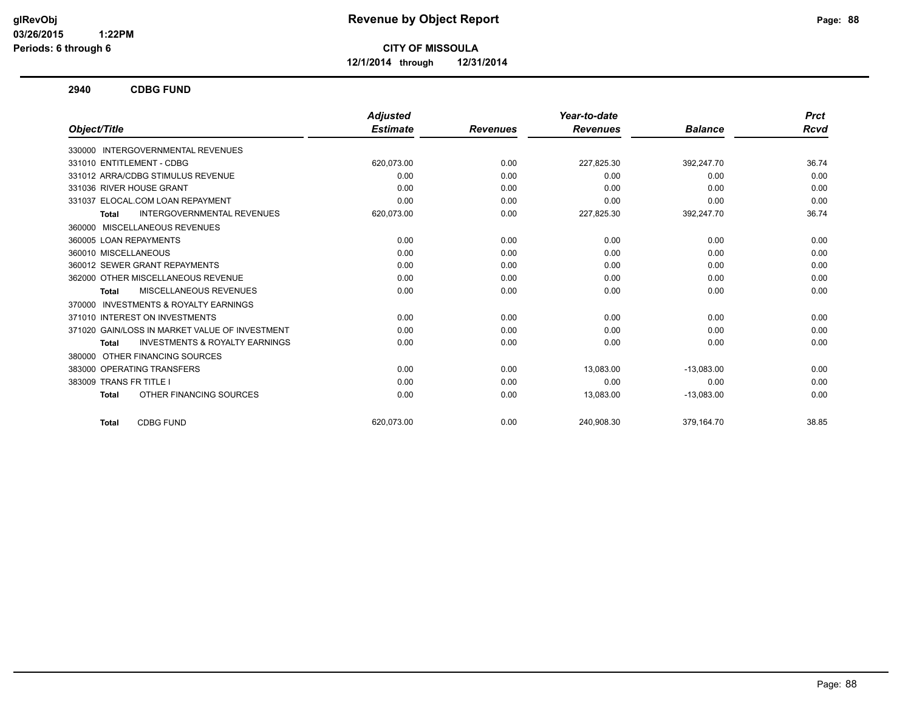**12/1/2014 through 12/31/2014**

**2940 CDBG FUND**

|                                                           | <b>Adjusted</b> |                 | Year-to-date    |                | <b>Prct</b> |
|-----------------------------------------------------------|-----------------|-----------------|-----------------|----------------|-------------|
| Object/Title                                              | <b>Estimate</b> | <b>Revenues</b> | <b>Revenues</b> | <b>Balance</b> | <b>Rcvd</b> |
| 330000 INTERGOVERNMENTAL REVENUES                         |                 |                 |                 |                |             |
| 331010 ENTITLEMENT - CDBG                                 | 620,073.00      | 0.00            | 227,825.30      | 392,247.70     | 36.74       |
| 331012 ARRA/CDBG STIMULUS REVENUE                         | 0.00            | 0.00            | 0.00            | 0.00           | 0.00        |
| 331036 RIVER HOUSE GRANT                                  | 0.00            | 0.00            | 0.00            | 0.00           | 0.00        |
| 331037 ELOCAL.COM LOAN REPAYMENT                          | 0.00            | 0.00            | 0.00            | 0.00           | 0.00        |
| <b>INTERGOVERNMENTAL REVENUES</b><br><b>Total</b>         | 620,073.00      | 0.00            | 227,825.30      | 392,247.70     | 36.74       |
| 360000 MISCELLANEOUS REVENUES                             |                 |                 |                 |                |             |
| 360005 LOAN REPAYMENTS                                    | 0.00            | 0.00            | 0.00            | 0.00           | 0.00        |
| 360010 MISCELLANEOUS                                      | 0.00            | 0.00            | 0.00            | 0.00           | 0.00        |
| 360012 SEWER GRANT REPAYMENTS                             | 0.00            | 0.00            | 0.00            | 0.00           | 0.00        |
| 362000 OTHER MISCELLANEOUS REVENUE                        | 0.00            | 0.00            | 0.00            | 0.00           | 0.00        |
| MISCELLANEOUS REVENUES<br><b>Total</b>                    | 0.00            | 0.00            | 0.00            | 0.00           | 0.00        |
| INVESTMENTS & ROYALTY EARNINGS<br>370000                  |                 |                 |                 |                |             |
| 371010 INTEREST ON INVESTMENTS                            | 0.00            | 0.00            | 0.00            | 0.00           | 0.00        |
| 371020 GAIN/LOSS IN MARKET VALUE OF INVESTMENT            | 0.00            | 0.00            | 0.00            | 0.00           | 0.00        |
| <b>INVESTMENTS &amp; ROYALTY EARNINGS</b><br><b>Total</b> | 0.00            | 0.00            | 0.00            | 0.00           | 0.00        |
| OTHER FINANCING SOURCES<br>380000                         |                 |                 |                 |                |             |
| 383000 OPERATING TRANSFERS                                | 0.00            | 0.00            | 13,083.00       | $-13,083.00$   | 0.00        |
| 383009 TRANS FR TITLE I                                   | 0.00            | 0.00            | 0.00            | 0.00           | 0.00        |
| OTHER FINANCING SOURCES<br><b>Total</b>                   | 0.00            | 0.00            | 13,083.00       | $-13,083.00$   | 0.00        |
| <b>CDBG FUND</b><br><b>Total</b>                          | 620.073.00      | 0.00            | 240,908.30      | 379,164.70     | 38.85       |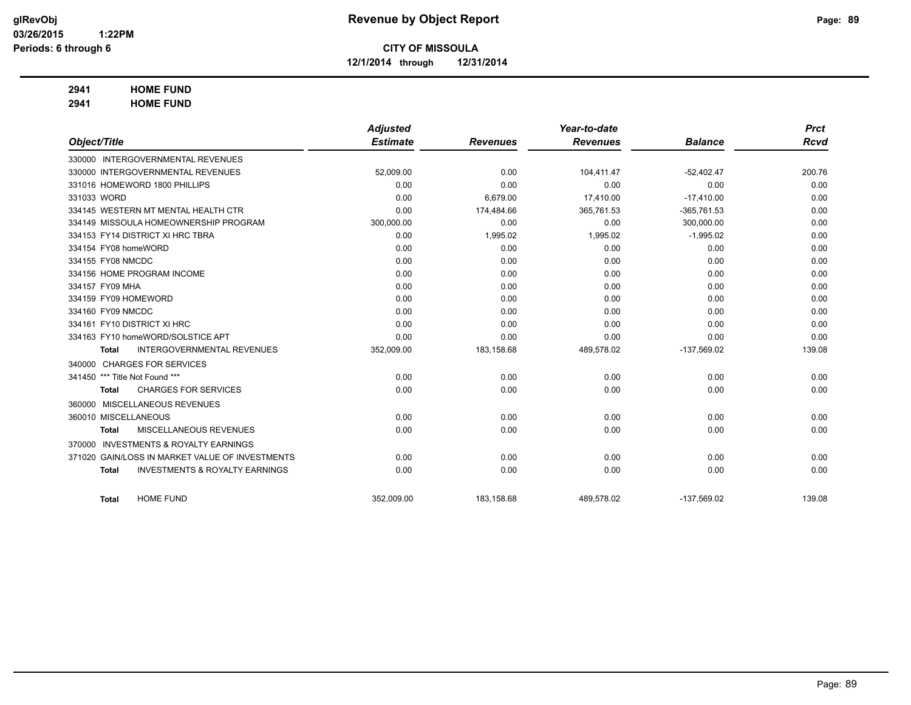**12/1/2014 through 12/31/2014**

### **2941 HOME FUND**

**2941 HOME FUND**

|                      |                                                 | <b>Adjusted</b> |                 | Year-to-date    |                | <b>Prct</b> |
|----------------------|-------------------------------------------------|-----------------|-----------------|-----------------|----------------|-------------|
| Object/Title         |                                                 | <b>Estimate</b> | <b>Revenues</b> | <b>Revenues</b> | <b>Balance</b> | <b>Rcvd</b> |
|                      | 330000 INTERGOVERNMENTAL REVENUES               |                 |                 |                 |                |             |
|                      | 330000 INTERGOVERNMENTAL REVENUES               | 52,009.00       | 0.00            | 104.411.47      | $-52,402.47$   | 200.76      |
|                      | 331016 HOMEWORD 1800 PHILLIPS                   | 0.00            | 0.00            | 0.00            | 0.00           | 0.00        |
| 331033 WORD          |                                                 | 0.00            | 6,679.00        | 17,410.00       | $-17,410.00$   | 0.00        |
|                      | 334145 WESTERN MT MENTAL HEALTH CTR             | 0.00            | 174,484.66      | 365,761.53      | $-365,761.53$  | 0.00        |
|                      | 334149 MISSOULA HOMEOWNERSHIP PROGRAM           | 300,000.00      | 0.00            | 0.00            | 300,000.00     | 0.00        |
|                      | 334153 FY14 DISTRICT XI HRC TBRA                | 0.00            | 1,995.02        | 1,995.02        | $-1,995.02$    | 0.00        |
| 334154 FY08 homeWORD |                                                 | 0.00            | 0.00            | 0.00            | 0.00           | 0.00        |
| 334155 FY08 NMCDC    |                                                 | 0.00            | 0.00            | 0.00            | 0.00           | 0.00        |
|                      | 334156 HOME PROGRAM INCOME                      | 0.00            | 0.00            | 0.00            | 0.00           | 0.00        |
| 334157 FY09 MHA      |                                                 | 0.00            | 0.00            | 0.00            | 0.00           | 0.00        |
| 334159 FY09 HOMEWORD |                                                 | 0.00            | 0.00            | 0.00            | 0.00           | 0.00        |
| 334160 FY09 NMCDC    |                                                 | 0.00            | 0.00            | 0.00            | 0.00           | 0.00        |
|                      | 334161 FY10 DISTRICT XI HRC                     | 0.00            | 0.00            | 0.00            | 0.00           | 0.00        |
|                      | 334163 FY10 homeWORD/SOLSTICE APT               | 0.00            | 0.00            | 0.00            | 0.00           | 0.00        |
| <b>Total</b>         | <b>INTERGOVERNMENTAL REVENUES</b>               | 352,009.00      | 183,158.68      | 489,578.02      | $-137,569.02$  | 139.08      |
|                      | 340000 CHARGES FOR SERVICES                     |                 |                 |                 |                |             |
| 341450               | *** Title Not Found ***                         | 0.00            | 0.00            | 0.00            | 0.00           | 0.00        |
| <b>Total</b>         | <b>CHARGES FOR SERVICES</b>                     | 0.00            | 0.00            | 0.00            | 0.00           | 0.00        |
|                      | 360000 MISCELLANEOUS REVENUES                   |                 |                 |                 |                |             |
| 360010 MISCELLANEOUS |                                                 | 0.00            | 0.00            | 0.00            | 0.00           | 0.00        |
| <b>Total</b>         | MISCELLANEOUS REVENUES                          | 0.00            | 0.00            | 0.00            | 0.00           | 0.00        |
| 370000               | <b>INVESTMENTS &amp; ROYALTY EARNINGS</b>       |                 |                 |                 |                |             |
|                      | 371020 GAIN/LOSS IN MARKET VALUE OF INVESTMENTS | 0.00            | 0.00            | 0.00            | 0.00           | 0.00        |
| <b>Total</b>         | <b>INVESTMENTS &amp; ROYALTY EARNINGS</b>       | 0.00            | 0.00            | 0.00            | 0.00           | 0.00        |
|                      |                                                 |                 |                 |                 |                |             |
| <b>Total</b>         | <b>HOME FUND</b>                                | 352,009.00      | 183,158.68      | 489,578.02      | $-137,569.02$  | 139.08      |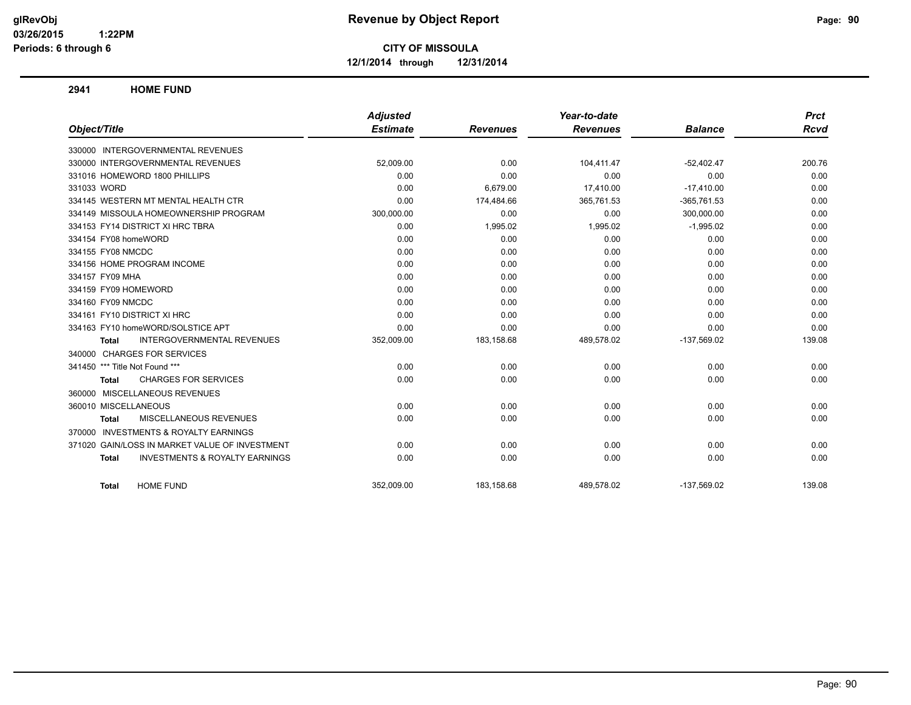**12/1/2014 through 12/31/2014**

**2941 HOME FUND**

|                                                           | <b>Adjusted</b> |                 | Year-to-date    |                | <b>Prct</b> |
|-----------------------------------------------------------|-----------------|-----------------|-----------------|----------------|-------------|
| Object/Title                                              | <b>Estimate</b> | <b>Revenues</b> | <b>Revenues</b> | <b>Balance</b> | <b>Rcvd</b> |
| 330000 INTERGOVERNMENTAL REVENUES                         |                 |                 |                 |                |             |
| 330000 INTERGOVERNMENTAL REVENUES                         | 52.009.00       | 0.00            | 104,411.47      | $-52,402.47$   | 200.76      |
| 331016 HOMEWORD 1800 PHILLIPS                             | 0.00            | 0.00            | 0.00            | 0.00           | 0.00        |
| 331033 WORD                                               | 0.00            | 6,679.00        | 17.410.00       | $-17,410.00$   | 0.00        |
| 334145 WESTERN MT MENTAL HEALTH CTR                       | 0.00            | 174,484.66      | 365,761.53      | $-365,761.53$  | 0.00        |
| 334149 MISSOULA HOMEOWNERSHIP PROGRAM                     | 300,000.00      | 0.00            | 0.00            | 300,000.00     | 0.00        |
| 334153 FY14 DISTRICT XI HRC TBRA                          | 0.00            | 1,995.02        | 1,995.02        | $-1,995.02$    | 0.00        |
| 334154 FY08 homeWORD                                      | 0.00            | 0.00            | 0.00            | 0.00           | 0.00        |
| 334155 FY08 NMCDC                                         | 0.00            | 0.00            | 0.00            | 0.00           | 0.00        |
| 334156 HOME PROGRAM INCOME                                | 0.00            | 0.00            | 0.00            | 0.00           | 0.00        |
| 334157 FY09 MHA                                           | 0.00            | 0.00            | 0.00            | 0.00           | 0.00        |
| 334159 FY09 HOMEWORD                                      | 0.00            | 0.00            | 0.00            | 0.00           | 0.00        |
| 334160 FY09 NMCDC                                         | 0.00            | 0.00            | 0.00            | 0.00           | 0.00        |
| 334161 FY10 DISTRICT XI HRC                               | 0.00            | 0.00            | 0.00            | 0.00           | 0.00        |
| 334163 FY10 homeWORD/SOLSTICE APT                         | 0.00            | 0.00            | 0.00            | 0.00           | 0.00        |
| <b>INTERGOVERNMENTAL REVENUES</b><br><b>Total</b>         | 352,009.00      | 183,158.68      | 489,578.02      | $-137,569.02$  | 139.08      |
| <b>CHARGES FOR SERVICES</b><br>340000                     |                 |                 |                 |                |             |
| 341450 *** Title Not Found ***                            | 0.00            | 0.00            | 0.00            | 0.00           | 0.00        |
| <b>CHARGES FOR SERVICES</b><br>Total                      | 0.00            | 0.00            | 0.00            | 0.00           | 0.00        |
| MISCELLANEOUS REVENUES<br>360000                          |                 |                 |                 |                |             |
| 360010 MISCELLANEOUS                                      | 0.00            | 0.00            | 0.00            | 0.00           | 0.00        |
| <b>MISCELLANEOUS REVENUES</b><br>Total                    | 0.00            | 0.00            | 0.00            | 0.00           | 0.00        |
| <b>INVESTMENTS &amp; ROYALTY EARNINGS</b><br>370000       |                 |                 |                 |                |             |
| <b>GAIN/LOSS IN MARKET VALUE OF INVESTMENT</b><br>371020  | 0.00            | 0.00            | 0.00            | 0.00           | 0.00        |
| <b>INVESTMENTS &amp; ROYALTY EARNINGS</b><br><b>Total</b> | 0.00            | 0.00            | 0.00            | 0.00           | 0.00        |
| <b>HOME FUND</b><br><b>Total</b>                          | 352,009.00      | 183,158.68      | 489,578.02      | $-137,569.02$  | 139.08      |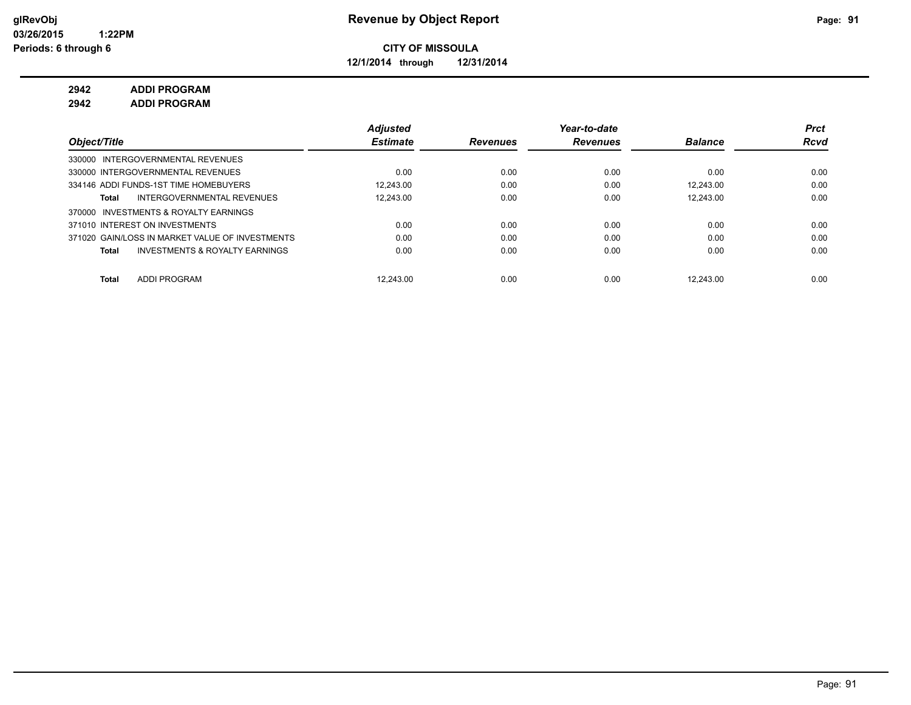**12/1/2014 through 12/31/2014**

## **2942 ADDI PROGRAM**

**2942 ADDI PROGRAM**

|                                                 | <b>Adjusted</b> |                 | Year-to-date    |                | <b>Prct</b> |
|-------------------------------------------------|-----------------|-----------------|-----------------|----------------|-------------|
| Object/Title                                    | <b>Estimate</b> | <b>Revenues</b> | <b>Revenues</b> | <b>Balance</b> | Rcvd        |
| 330000 INTERGOVERNMENTAL REVENUES               |                 |                 |                 |                |             |
| 330000 INTERGOVERNMENTAL REVENUES               | 0.00            | 0.00            | 0.00            | 0.00           | 0.00        |
| 334146 ADDI FUNDS-1ST TIME HOMEBUYERS           | 12.243.00       | 0.00            | 0.00            | 12.243.00      | 0.00        |
| INTERGOVERNMENTAL REVENUES<br>Total             | 12.243.00       | 0.00            | 0.00            | 12.243.00      | 0.00        |
| 370000 INVESTMENTS & ROYALTY EARNINGS           |                 |                 |                 |                |             |
| 371010 INTEREST ON INVESTMENTS                  | 0.00            | 0.00            | 0.00            | 0.00           | 0.00        |
| 371020 GAIN/LOSS IN MARKET VALUE OF INVESTMENTS | 0.00            | 0.00            | 0.00            | 0.00           | 0.00        |
| INVESTMENTS & ROYALTY EARNINGS<br>Total         | 0.00            | 0.00            | 0.00            | 0.00           | 0.00        |
|                                                 |                 |                 |                 |                |             |
| <b>ADDI PROGRAM</b><br>Total                    | 12.243.00       | 0.00            | 0.00            | 12.243.00      | 0.00        |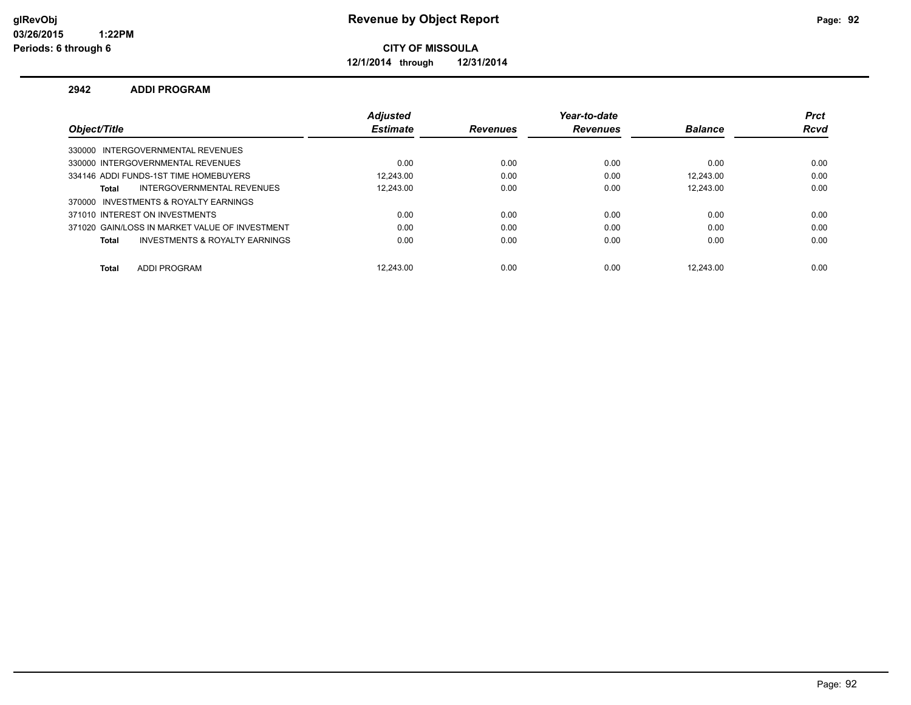**12/1/2014 through 12/31/2014**

### **2942 ADDI PROGRAM**

|                                                | <b>Adiusted</b> |                 | Year-to-date    |                | <b>Prct</b> |
|------------------------------------------------|-----------------|-----------------|-----------------|----------------|-------------|
| Object/Title                                   | <b>Estimate</b> | <b>Revenues</b> | <b>Revenues</b> | <b>Balance</b> | <b>Rcvd</b> |
| 330000 INTERGOVERNMENTAL REVENUES              |                 |                 |                 |                |             |
| 330000 INTERGOVERNMENTAL REVENUES              | 0.00            | 0.00            | 0.00            | 0.00           | 0.00        |
| 334146 ADDI FUNDS-1ST TIME HOMEBUYERS          | 12.243.00       | 0.00            | 0.00            | 12.243.00      | 0.00        |
| INTERGOVERNMENTAL REVENUES<br>Total            | 12.243.00       | 0.00            | 0.00            | 12.243.00      | 0.00        |
| 370000 INVESTMENTS & ROYALTY EARNINGS          |                 |                 |                 |                |             |
| 371010 INTEREST ON INVESTMENTS                 | 0.00            | 0.00            | 0.00            | 0.00           | 0.00        |
| 371020 GAIN/LOSS IN MARKET VALUE OF INVESTMENT | 0.00            | 0.00            | 0.00            | 0.00           | 0.00        |
| INVESTMENTS & ROYALTY EARNINGS<br>Total        | 0.00            | 0.00            | 0.00            | 0.00           | 0.00        |
|                                                |                 |                 |                 |                |             |
| <b>ADDI PROGRAM</b><br><b>Total</b>            | 12.243.00       | 0.00            | 0.00            | 12.243.00      | 0.00        |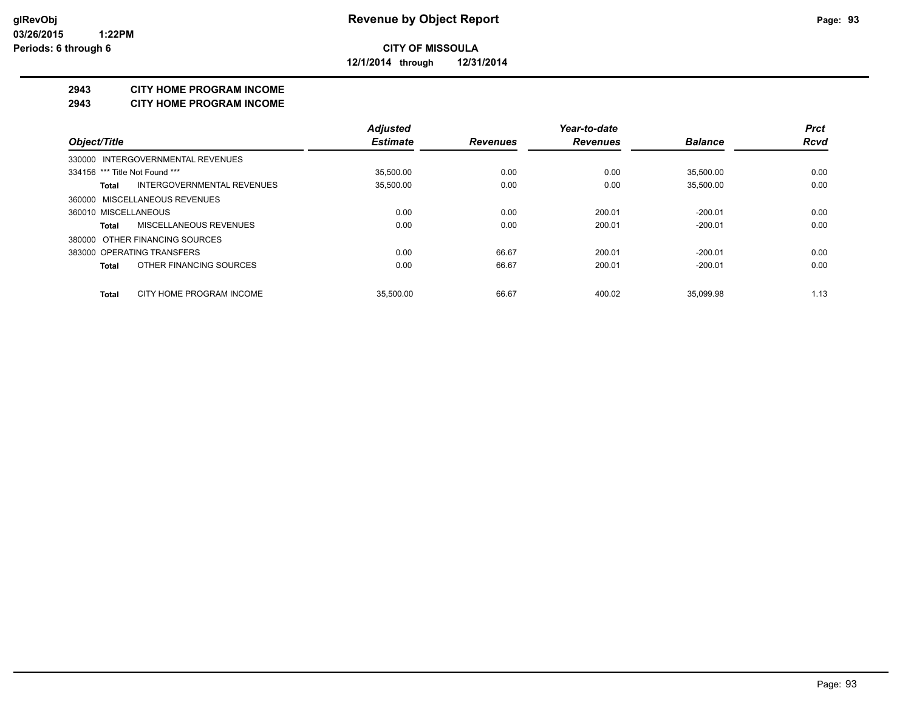**12/1/2014 through 12/31/2014**

### **2943 CITY HOME PROGRAM INCOME**

#### **2943 CITY HOME PROGRAM INCOME**

|                                     | <b>Adjusted</b> |                 | Year-to-date    |                | <b>Prct</b> |
|-------------------------------------|-----------------|-----------------|-----------------|----------------|-------------|
| Object/Title                        | <b>Estimate</b> | <b>Revenues</b> | <b>Revenues</b> | <b>Balance</b> | <b>Rcvd</b> |
| 330000 INTERGOVERNMENTAL REVENUES   |                 |                 |                 |                |             |
| 334156 *** Title Not Found ***      | 35,500.00       | 0.00            | 0.00            | 35,500.00      | 0.00        |
| INTERGOVERNMENTAL REVENUES<br>Total | 35,500.00       | 0.00            | 0.00            | 35,500.00      | 0.00        |
| 360000 MISCELLANEOUS REVENUES       |                 |                 |                 |                |             |
| 360010 MISCELLANEOUS                | 0.00            | 0.00            | 200.01          | $-200.01$      | 0.00        |
| MISCELLANEOUS REVENUES<br>Total     | 0.00            | 0.00            | 200.01          | $-200.01$      | 0.00        |
| 380000 OTHER FINANCING SOURCES      |                 |                 |                 |                |             |
| 383000 OPERATING TRANSFERS          | 0.00            | 66.67           | 200.01          | $-200.01$      | 0.00        |
| OTHER FINANCING SOURCES<br>Total    | 0.00            | 66.67           | 200.01          | $-200.01$      | 0.00        |
| CITY HOME PROGRAM INCOME<br>Total   | 35.500.00       | 66.67           | 400.02          | 35.099.98      | 1.13        |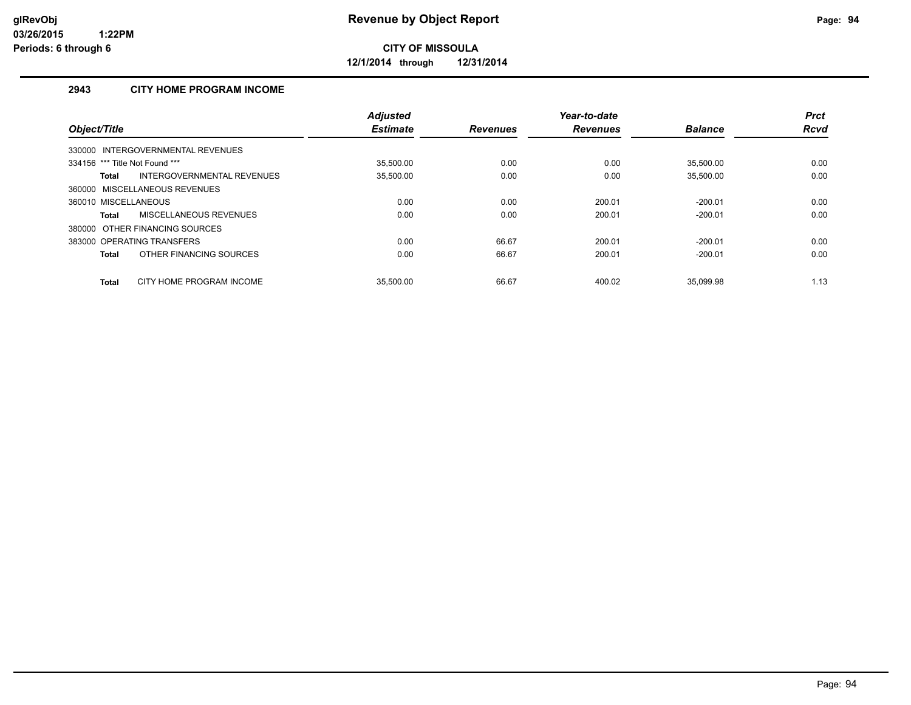**12/1/2014 through 12/31/2014**

## **2943 CITY HOME PROGRAM INCOME**

|                                            | <b>Adjusted</b> |                 | Year-to-date    |                | <b>Prct</b> |
|--------------------------------------------|-----------------|-----------------|-----------------|----------------|-------------|
| Object/Title                               | <b>Estimate</b> | <b>Revenues</b> | <b>Revenues</b> | <b>Balance</b> | <b>Rcvd</b> |
| 330000 INTERGOVERNMENTAL REVENUES          |                 |                 |                 |                |             |
| 334156 *** Title Not Found ***             | 35.500.00       | 0.00            | 0.00            | 35.500.00      | 0.00        |
| INTERGOVERNMENTAL REVENUES<br><b>Total</b> | 35,500.00       | 0.00            | 0.00            | 35,500.00      | 0.00        |
| MISCELLANEOUS REVENUES<br>360000           |                 |                 |                 |                |             |
| 360010 MISCELLANEOUS                       | 0.00            | 0.00            | 200.01          | $-200.01$      | 0.00        |
| MISCELLANEOUS REVENUES<br>Total            | 0.00            | 0.00            | 200.01          | $-200.01$      | 0.00        |
| 380000 OTHER FINANCING SOURCES             |                 |                 |                 |                |             |
| 383000 OPERATING TRANSFERS                 | 0.00            | 66.67           | 200.01          | $-200.01$      | 0.00        |
| OTHER FINANCING SOURCES<br><b>Total</b>    | 0.00            | 66.67           | 200.01          | $-200.01$      | 0.00        |
| CITY HOME PROGRAM INCOME<br><b>Total</b>   | 35.500.00       | 66.67           | 400.02          | 35.099.98      | 1.13        |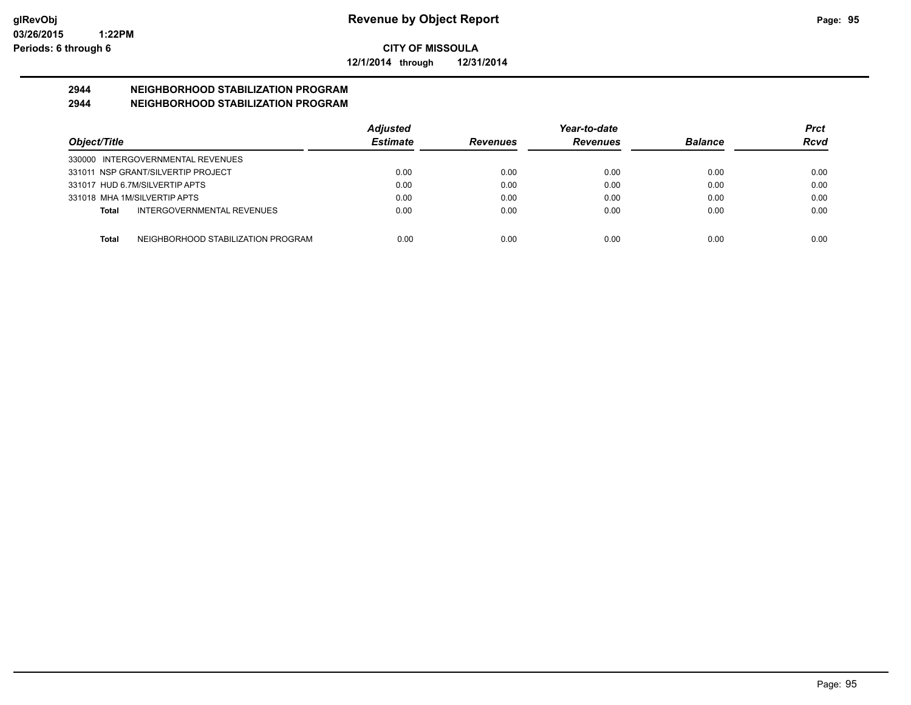**12/1/2014 through 12/31/2014**

# **2944 NEIGHBORHOOD STABILIZATION PROGRAM**

## **2944 NEIGHBORHOOD STABILIZATION PROGRAM**

|                                                    | <b>Adjusted</b> |                 | Year-to-date    |                | Prct |
|----------------------------------------------------|-----------------|-----------------|-----------------|----------------|------|
| Object/Title                                       | <b>Estimate</b> | <b>Revenues</b> | <b>Revenues</b> | <b>Balance</b> | Rcvd |
| 330000 INTERGOVERNMENTAL REVENUES                  |                 |                 |                 |                |      |
| 331011 NSP GRANT/SILVERTIP PROJECT                 | 0.00            | 0.00            | 0.00            | 0.00           | 0.00 |
| 331017 HUD 6.7M/SILVERTIP APTS                     | 0.00            | 0.00            | 0.00            | 0.00           | 0.00 |
| 331018 MHA 1M/SILVERTIP APTS                       | 0.00            | 0.00            | 0.00            | 0.00           | 0.00 |
| INTERGOVERNMENTAL REVENUES<br>Total                | 0.00            | 0.00            | 0.00            | 0.00           | 0.00 |
|                                                    |                 |                 |                 |                |      |
| NEIGHBORHOOD STABILIZATION PROGRAM<br><b>Total</b> | 0.00            | 0.00            | 0.00            | 0.00           | 0.00 |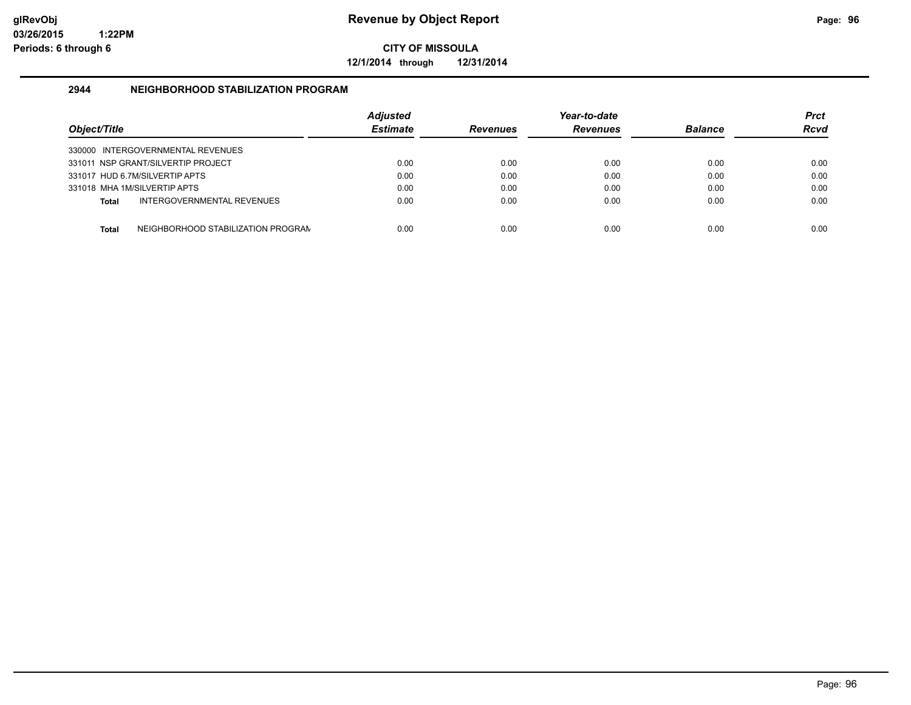**12/1/2014 through 12/31/2014**

### **2944 NEIGHBORHOOD STABILIZATION PROGRAM**

| Object/Title |                                    | <b>Adiusted</b><br><b>Estimate</b> | <b>Revenues</b> | Year-to-date<br><b>Revenues</b> | <b>Balance</b> | Prct<br><b>Rcvd</b> |
|--------------|------------------------------------|------------------------------------|-----------------|---------------------------------|----------------|---------------------|
|              | 330000 INTERGOVERNMENTAL REVENUES  |                                    |                 |                                 |                |                     |
|              | 331011 NSP GRANT/SILVERTIP PROJECT | 0.00                               | 0.00            | 0.00                            | 0.00           | 0.00                |
|              | 331017 HUD 6.7M/SILVERTIP APTS     | 0.00                               | 0.00            | 0.00                            | 0.00           | 0.00                |
|              | 331018 MHA 1M/SILVERTIP APTS       | 0.00                               | 0.00            | 0.00                            | 0.00           | 0.00                |
| Total        | INTERGOVERNMENTAL REVENUES         | 0.00                               | 0.00            | 0.00                            | 0.00           | 0.00                |
|              |                                    |                                    |                 |                                 |                |                     |
| Total        | NEIGHBORHOOD STABILIZATION PROGRAN | 0.00                               | 0.00            | 0.00                            | 0.00           | 0.00                |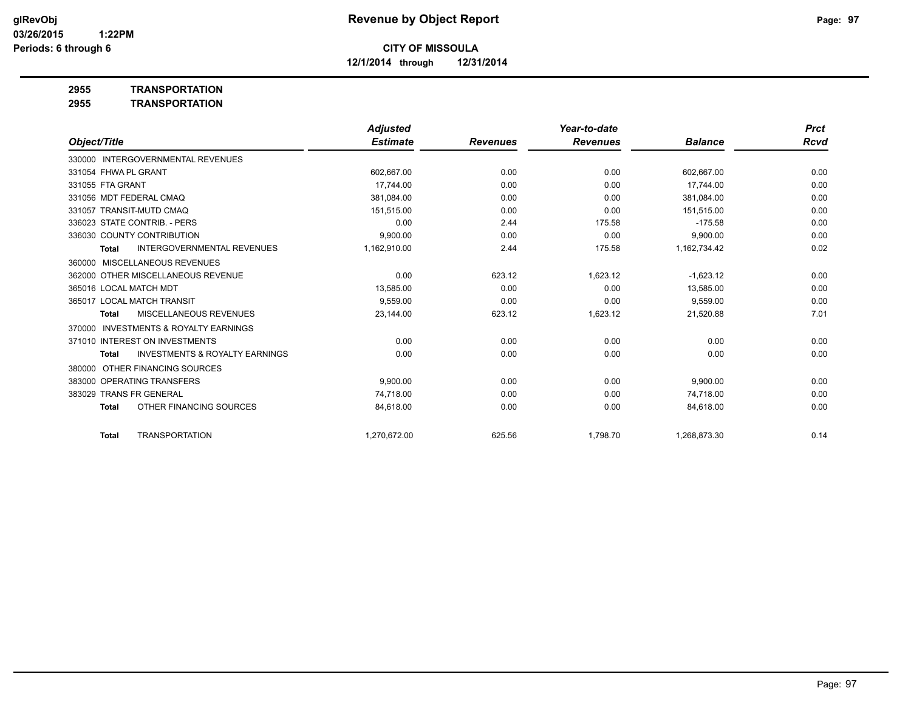**12/1/2014 through 12/31/2014**

### **2955 TRANSPORTATION**

**2955 TRANSPORTATION**

|                                |                                           | <b>Adjusted</b> |                 | Year-to-date    |                | <b>Prct</b> |
|--------------------------------|-------------------------------------------|-----------------|-----------------|-----------------|----------------|-------------|
| Object/Title                   |                                           | <b>Estimate</b> | <b>Revenues</b> | <b>Revenues</b> | <b>Balance</b> | Rcvd        |
|                                | 330000 INTERGOVERNMENTAL REVENUES         |                 |                 |                 |                |             |
| 331054 FHWA PL GRANT           |                                           | 602,667.00      | 0.00            | 0.00            | 602,667.00     | 0.00        |
| 331055 FTA GRANT               |                                           | 17.744.00       | 0.00            | 0.00            | 17.744.00      | 0.00        |
| 331056 MDT FEDERAL CMAQ        |                                           | 381,084.00      | 0.00            | 0.00            | 381,084.00     | 0.00        |
| 331057 TRANSIT-MUTD CMAQ       |                                           | 151,515.00      | 0.00            | 0.00            | 151,515.00     | 0.00        |
| 336023 STATE CONTRIB. - PERS   |                                           | 0.00            | 2.44            | 175.58          | $-175.58$      | 0.00        |
| 336030 COUNTY CONTRIBUTION     |                                           | 9,900.00        | 0.00            | 0.00            | 9,900.00       | 0.00        |
| <b>Total</b>                   | <b>INTERGOVERNMENTAL REVENUES</b>         | 1,162,910.00    | 2.44            | 175.58          | 1,162,734.42   | 0.02        |
| 360000                         | MISCELLANEOUS REVENUES                    |                 |                 |                 |                |             |
|                                | 362000 OTHER MISCELLANEOUS REVENUE        | 0.00            | 623.12          | 1.623.12        | $-1,623.12$    | 0.00        |
| 365016 LOCAL MATCH MDT         |                                           | 13,585.00       | 0.00            | 0.00            | 13,585.00      | 0.00        |
| 365017 LOCAL MATCH TRANSIT     |                                           | 9,559.00        | 0.00            | 0.00            | 9,559.00       | 0.00        |
| <b>Total</b>                   | <b>MISCELLANEOUS REVENUES</b>             | 23,144.00       | 623.12          | 1,623.12        | 21,520.88      | 7.01        |
| 370000                         | <b>INVESTMENTS &amp; ROYALTY EARNINGS</b> |                 |                 |                 |                |             |
| 371010 INTEREST ON INVESTMENTS |                                           | 0.00            | 0.00            | 0.00            | 0.00           | 0.00        |
| <b>Total</b>                   | <b>INVESTMENTS &amp; ROYALTY EARNINGS</b> | 0.00            | 0.00            | 0.00            | 0.00           | 0.00        |
| 380000                         | OTHER FINANCING SOURCES                   |                 |                 |                 |                |             |
| 383000 OPERATING TRANSFERS     |                                           | 9,900.00        | 0.00            | 0.00            | 9,900.00       | 0.00        |
| 383029 TRANS FR GENERAL        |                                           | 74.718.00       | 0.00            | 0.00            | 74.718.00      | 0.00        |
| <b>Total</b>                   | OTHER FINANCING SOURCES                   | 84,618.00       | 0.00            | 0.00            | 84,618.00      | 0.00        |
| <b>Total</b>                   | <b>TRANSPORTATION</b>                     | 1.270.672.00    | 625.56          | 1,798.70        | 1,268,873.30   | 0.14        |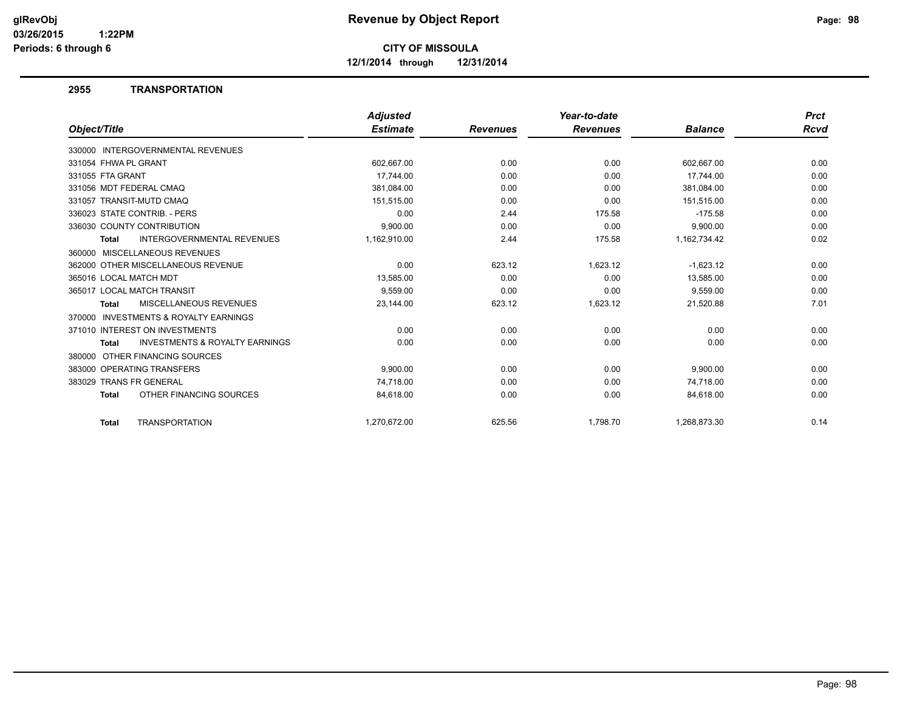**12/1/2014 through 12/31/2014**

### **2955 TRANSPORTATION**

|                         |                                           | <b>Adjusted</b> |                 | Year-to-date    |                | <b>Prct</b> |
|-------------------------|-------------------------------------------|-----------------|-----------------|-----------------|----------------|-------------|
| Object/Title            |                                           | <b>Estimate</b> | <b>Revenues</b> | <b>Revenues</b> | <b>Balance</b> | <b>Rcvd</b> |
|                         | 330000 INTERGOVERNMENTAL REVENUES         |                 |                 |                 |                |             |
| 331054 FHWA PL GRANT    |                                           | 602,667.00      | 0.00            | 0.00            | 602,667.00     | 0.00        |
| 331055 FTA GRANT        |                                           | 17.744.00       | 0.00            | 0.00            | 17.744.00      | 0.00        |
| 331056 MDT FEDERAL CMAQ |                                           | 381,084.00      | 0.00            | 0.00            | 381,084.00     | 0.00        |
|                         | 331057 TRANSIT-MUTD CMAQ                  | 151,515.00      | 0.00            | 0.00            | 151,515.00     | 0.00        |
|                         | 336023 STATE CONTRIB. - PERS              | 0.00            | 2.44            | 175.58          | $-175.58$      | 0.00        |
|                         | 336030 COUNTY CONTRIBUTION                | 9,900.00        | 0.00            | 0.00            | 9,900.00       | 0.00        |
| <b>Total</b>            | <b>INTERGOVERNMENTAL REVENUES</b>         | 1,162,910.00    | 2.44            | 175.58          | 1,162,734.42   | 0.02        |
|                         | 360000 MISCELLANEOUS REVENUES             |                 |                 |                 |                |             |
|                         | 362000 OTHER MISCELLANEOUS REVENUE        | 0.00            | 623.12          | 1.623.12        | $-1,623.12$    | 0.00        |
| 365016 LOCAL MATCH MDT  |                                           | 13,585.00       | 0.00            | 0.00            | 13,585.00      | 0.00        |
|                         | 365017 LOCAL MATCH TRANSIT                | 9,559.00        | 0.00            | 0.00            | 9,559.00       | 0.00        |
| Total                   | MISCELLANEOUS REVENUES                    | 23,144.00       | 623.12          | 1,623.12        | 21,520.88      | 7.01        |
|                         | 370000 INVESTMENTS & ROYALTY EARNINGS     |                 |                 |                 |                |             |
|                         | 371010 INTEREST ON INVESTMENTS            | 0.00            | 0.00            | 0.00            | 0.00           | 0.00        |
| Total                   | <b>INVESTMENTS &amp; ROYALTY EARNINGS</b> | 0.00            | 0.00            | 0.00            | 0.00           | 0.00        |
|                         | 380000 OTHER FINANCING SOURCES            |                 |                 |                 |                |             |
|                         | 383000 OPERATING TRANSFERS                | 9,900.00        | 0.00            | 0.00            | 9,900.00       | 0.00        |
| 383029 TRANS FR GENERAL |                                           | 74.718.00       | 0.00            | 0.00            | 74.718.00      | 0.00        |
| <b>Total</b>            | OTHER FINANCING SOURCES                   | 84,618.00       | 0.00            | 0.00            | 84,618.00      | 0.00        |
| <b>Total</b>            | <b>TRANSPORTATION</b>                     | 1.270.672.00    | 625.56          | 1,798.70        | 1,268,873.30   | 0.14        |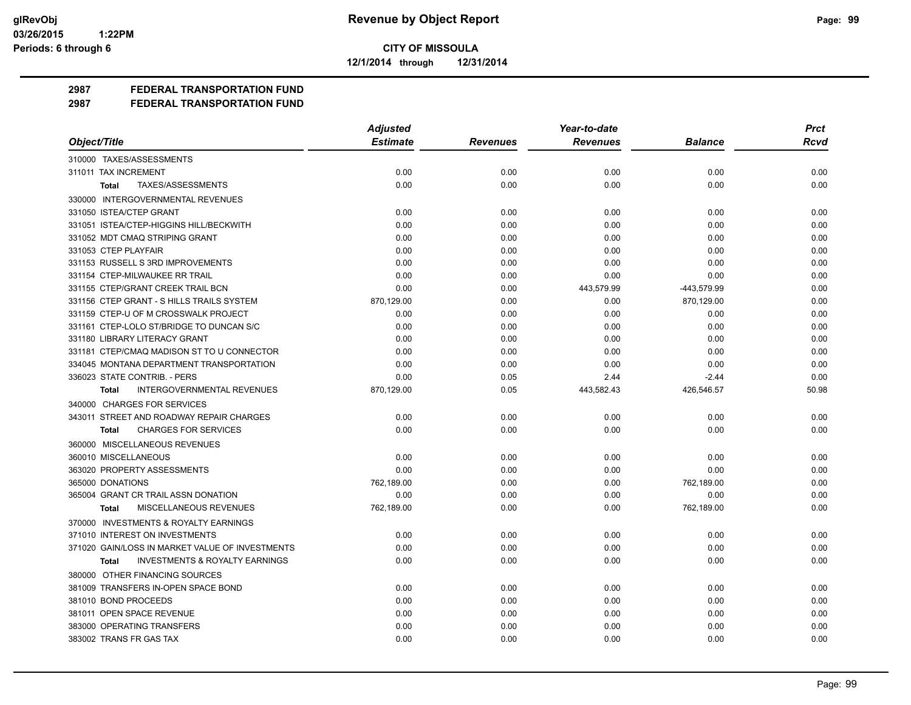**12/1/2014 through 12/31/2014**

## **2987 FEDERAL TRANSPORTATION FUND**

|                                                    | <b>Adjusted</b> |                 | Year-to-date    |                | <b>Prct</b> |
|----------------------------------------------------|-----------------|-----------------|-----------------|----------------|-------------|
| Object/Title                                       | <b>Estimate</b> | <b>Revenues</b> | <b>Revenues</b> | <b>Balance</b> | Rcvd        |
| 310000 TAXES/ASSESSMENTS                           |                 |                 |                 |                |             |
| 311011 TAX INCREMENT                               | 0.00            | 0.00            | 0.00            | 0.00           | 0.00        |
| TAXES/ASSESSMENTS<br>Total                         | 0.00            | 0.00            | 0.00            | 0.00           | 0.00        |
| 330000 INTERGOVERNMENTAL REVENUES                  |                 |                 |                 |                |             |
| 331050 ISTEA/CTEP GRANT                            | 0.00            | 0.00            | 0.00            | 0.00           | 0.00        |
| 331051 ISTEA/CTEP-HIGGINS HILL/BECKWITH            | 0.00            | 0.00            | 0.00            | 0.00           | 0.00        |
| 331052 MDT CMAQ STRIPING GRANT                     | 0.00            | 0.00            | 0.00            | 0.00           | 0.00        |
| 331053 CTEP PLAYFAIR                               | 0.00            | 0.00            | 0.00            | 0.00           | 0.00        |
| 331153 RUSSELL S 3RD IMPROVEMENTS                  | 0.00            | 0.00            | 0.00            | 0.00           | 0.00        |
| 331154 CTEP-MILWAUKEE RR TRAIL                     | 0.00            | 0.00            | 0.00            | 0.00           | 0.00        |
| 331155 CTEP/GRANT CREEK TRAIL BCN                  | 0.00            | 0.00            | 443,579.99      | -443,579.99    | 0.00        |
| 331156 CTEP GRANT - S HILLS TRAILS SYSTEM          | 870,129.00      | 0.00            | 0.00            | 870,129.00     | 0.00        |
| 331159 CTEP-U OF M CROSSWALK PROJECT               | 0.00            | 0.00            | 0.00            | 0.00           | 0.00        |
| 331161 CTEP-LOLO ST/BRIDGE TO DUNCAN S/C           | 0.00            | 0.00            | 0.00            | 0.00           | 0.00        |
| 331180 LIBRARY LITERACY GRANT                      | 0.00            | 0.00            | 0.00            | 0.00           | 0.00        |
| 331181 CTEP/CMAQ MADISON ST TO U CONNECTOR         | 0.00            | 0.00            | 0.00            | 0.00           | 0.00        |
| 334045 MONTANA DEPARTMENT TRANSPORTATION           | 0.00            | 0.00            | 0.00            | 0.00           | 0.00        |
| 336023 STATE CONTRIB. - PERS                       | 0.00            | 0.05            | 2.44            | $-2.44$        | 0.00        |
| <b>INTERGOVERNMENTAL REVENUES</b><br>Total         | 870,129.00      | 0.05            | 443,582.43      | 426,546.57     | 50.98       |
| 340000 CHARGES FOR SERVICES                        |                 |                 |                 |                |             |
| 343011 STREET AND ROADWAY REPAIR CHARGES           | 0.00            | 0.00            | 0.00            | 0.00           | 0.00        |
| <b>CHARGES FOR SERVICES</b><br><b>Total</b>        | 0.00            | 0.00            | 0.00            | 0.00           | 0.00        |
| 360000 MISCELLANEOUS REVENUES                      |                 |                 |                 |                |             |
| 360010 MISCELLANEOUS                               | 0.00            | 0.00            | 0.00            | 0.00           | 0.00        |
| 363020 PROPERTY ASSESSMENTS                        | 0.00            | 0.00            | 0.00            | 0.00           | 0.00        |
| 365000 DONATIONS                                   | 762,189.00      | 0.00            | 0.00            | 762,189.00     | 0.00        |
| 365004 GRANT CR TRAIL ASSN DONATION                | 0.00            | 0.00            | 0.00            | 0.00           | 0.00        |
| MISCELLANEOUS REVENUES<br>Total                    | 762,189.00      | 0.00            | 0.00            | 762,189.00     | 0.00        |
| 370000 INVESTMENTS & ROYALTY EARNINGS              |                 |                 |                 |                |             |
| 371010 INTEREST ON INVESTMENTS                     | 0.00            | 0.00            | 0.00            | 0.00           | 0.00        |
| 371020 GAIN/LOSS IN MARKET VALUE OF INVESTMENTS    | 0.00            | 0.00            | 0.00            | 0.00           | 0.00        |
| <b>INVESTMENTS &amp; ROYALTY EARNINGS</b><br>Total | 0.00            | 0.00            | 0.00            | 0.00           | 0.00        |
| 380000 OTHER FINANCING SOURCES                     |                 |                 |                 |                |             |
| 381009 TRANSFERS IN-OPEN SPACE BOND                | 0.00            | 0.00            | 0.00            | 0.00           | 0.00        |
| 381010 BOND PROCEEDS                               | 0.00            | 0.00            | 0.00            | 0.00           | 0.00        |
| 381011 OPEN SPACE REVENUE                          | 0.00            | 0.00            | 0.00            | 0.00           | 0.00        |
| 383000 OPERATING TRANSFERS                         | 0.00            | 0.00            | 0.00            | 0.00           | 0.00        |
| 383002 TRANS FR GAS TAX                            | 0.00            | 0.00            | 0.00            | 0.00           | 0.00        |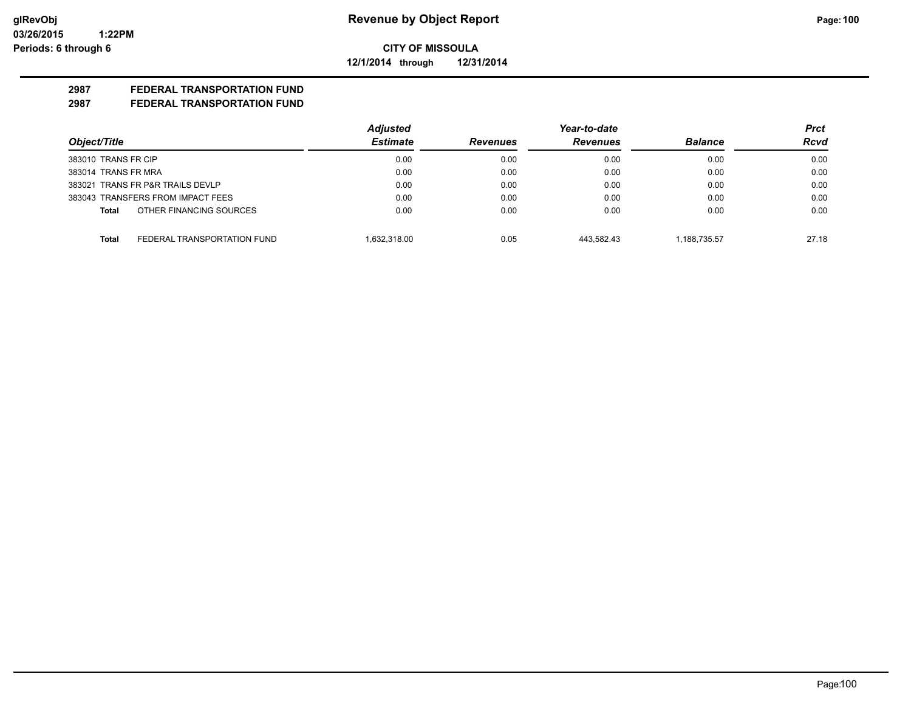**12/1/2014 through 12/31/2014**

## **2987 FEDERAL TRANSPORTATION FUND**

|                                      | <b>Adjusted</b> |                 | Year-to-date    |                | Prct        |
|--------------------------------------|-----------------|-----------------|-----------------|----------------|-------------|
| Object/Title                         | <b>Estimate</b> | <b>Revenues</b> | <b>Revenues</b> | <b>Balance</b> | <b>Rcvd</b> |
| 383010 TRANS FR CIP                  | 0.00            | 0.00            | 0.00            | 0.00           | 0.00        |
| 383014 TRANS FR MRA                  | 0.00            | 0.00            | 0.00            | 0.00           | 0.00        |
| 383021 TRANS FR P&R TRAILS DEVLP     | 0.00            | 0.00            | 0.00            | 0.00           | 0.00        |
| 383043 TRANSFERS FROM IMPACT FEES    | 0.00            | 0.00            | 0.00            | 0.00           | 0.00        |
| OTHER FINANCING SOURCES<br>Total     | 0.00            | 0.00            | 0.00            | 0.00           | 0.00        |
| FEDERAL TRANSPORTATION FUND<br>Total | 1.632.318.00    | 0.05            | 443.582.43      | 1.188.735.57   | 27.18       |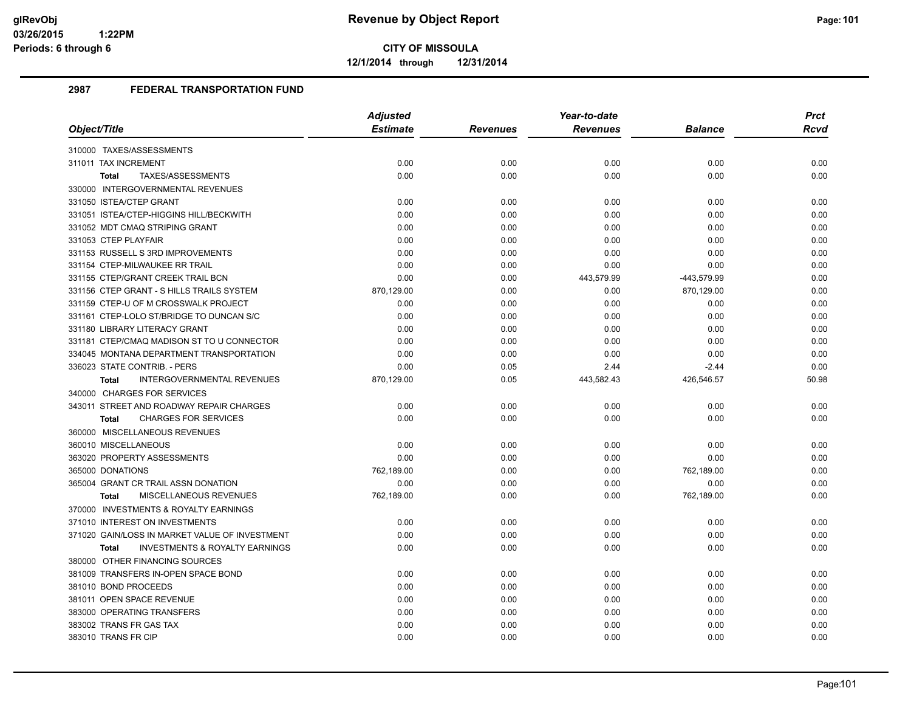**12/1/2014 through 12/31/2014**

|                                                           | <b>Adjusted</b> |                 | Year-to-date    |             | <b>Prct</b> |
|-----------------------------------------------------------|-----------------|-----------------|-----------------|-------------|-------------|
| Object/Title                                              | <b>Estimate</b> | <b>Revenues</b> | <b>Revenues</b> | Balance     | Rcvd        |
| 310000 TAXES/ASSESSMENTS                                  |                 |                 |                 |             |             |
| 311011 TAX INCREMENT                                      | 0.00            | 0.00            | 0.00            | 0.00        | 0.00        |
| TAXES/ASSESSMENTS<br><b>Total</b>                         | 0.00            | 0.00            | 0.00            | 0.00        | 0.00        |
| 330000 INTERGOVERNMENTAL REVENUES                         |                 |                 |                 |             |             |
| 331050 ISTEA/CTEP GRANT                                   | 0.00            | 0.00            | 0.00            | 0.00        | 0.00        |
| 331051 ISTEA/CTEP-HIGGINS HILL/BECKWITH                   | 0.00            | 0.00            | 0.00            | 0.00        | 0.00        |
| 331052 MDT CMAQ STRIPING GRANT                            | 0.00            | 0.00            | 0.00            | 0.00        | 0.00        |
| 331053 CTEP PLAYFAIR                                      | 0.00            | 0.00            | 0.00            | 0.00        | 0.00        |
| 331153 RUSSELL S 3RD IMPROVEMENTS                         | 0.00            | 0.00            | 0.00            | 0.00        | 0.00        |
| 331154 CTEP-MILWAUKEE RR TRAIL                            | 0.00            | 0.00            | 0.00            | 0.00        | 0.00        |
| 331155 CTEP/GRANT CREEK TRAIL BCN                         | 0.00            | 0.00            | 443,579.99      | -443,579.99 | 0.00        |
| 331156 CTEP GRANT - S HILLS TRAILS SYSTEM                 | 870,129.00      | 0.00            | 0.00            | 870,129.00  | 0.00        |
| 331159 CTEP-U OF M CROSSWALK PROJECT                      | 0.00            | 0.00            | 0.00            | 0.00        | 0.00        |
| 331161 CTEP-LOLO ST/BRIDGE TO DUNCAN S/C                  | 0.00            | 0.00            | 0.00            | 0.00        | 0.00        |
| 331180 LIBRARY LITERACY GRANT                             | 0.00            | 0.00            | 0.00            | 0.00        | 0.00        |
| 331181 CTEP/CMAQ MADISON ST TO U CONNECTOR                | 0.00            | 0.00            | 0.00            | 0.00        | 0.00        |
| 334045 MONTANA DEPARTMENT TRANSPORTATION                  | 0.00            | 0.00            | 0.00            | 0.00        | 0.00        |
| 336023 STATE CONTRIB. - PERS                              | 0.00            | 0.05            | 2.44            | $-2.44$     | 0.00        |
| <b>INTERGOVERNMENTAL REVENUES</b><br><b>Total</b>         | 870,129.00      | 0.05            | 443,582.43      | 426,546.57  | 50.98       |
| 340000 CHARGES FOR SERVICES                               |                 |                 |                 |             |             |
| 343011 STREET AND ROADWAY REPAIR CHARGES                  | 0.00            | 0.00            | 0.00            | 0.00        | 0.00        |
| <b>CHARGES FOR SERVICES</b><br><b>Total</b>               | 0.00            | 0.00            | 0.00            | 0.00        | 0.00        |
| 360000 MISCELLANEOUS REVENUES                             |                 |                 |                 |             |             |
| 360010 MISCELLANEOUS                                      | 0.00            | 0.00            | 0.00            | 0.00        | 0.00        |
| 363020 PROPERTY ASSESSMENTS                               | 0.00            | 0.00            | 0.00            | 0.00        | 0.00        |
| 365000 DONATIONS                                          | 762,189.00      | 0.00            | 0.00            | 762,189.00  | 0.00        |
| 365004 GRANT CR TRAIL ASSN DONATION                       | 0.00            | 0.00            | 0.00            | 0.00        | 0.00        |
| MISCELLANEOUS REVENUES<br><b>Total</b>                    | 762,189.00      | 0.00            | 0.00            | 762,189.00  | 0.00        |
| 370000 INVESTMENTS & ROYALTY EARNINGS                     |                 |                 |                 |             |             |
| 371010 INTEREST ON INVESTMENTS                            | 0.00            | 0.00            | 0.00            | 0.00        | 0.00        |
| 371020 GAIN/LOSS IN MARKET VALUE OF INVESTMENT            | 0.00            | 0.00            | 0.00            | 0.00        | 0.00        |
| <b>INVESTMENTS &amp; ROYALTY EARNINGS</b><br><b>Total</b> | 0.00            | 0.00            | 0.00            | 0.00        | 0.00        |
| 380000 OTHER FINANCING SOURCES                            |                 |                 |                 |             |             |
| 381009 TRANSFERS IN-OPEN SPACE BOND                       | 0.00            | 0.00            | 0.00            | 0.00        | 0.00        |
| 381010 BOND PROCEEDS                                      | 0.00            | 0.00            | 0.00            | 0.00        | 0.00        |
| 381011 OPEN SPACE REVENUE                                 | 0.00            | 0.00            | 0.00            | 0.00        | 0.00        |
| 383000 OPERATING TRANSFERS                                | 0.00            | 0.00            | 0.00            | 0.00        | 0.00        |
| 383002 TRANS FR GAS TAX                                   | 0.00            | 0.00            | 0.00            | 0.00        | 0.00        |
| 383010 TRANS FR CIP                                       | 0.00            | 0.00            | 0.00            | 0.00        | 0.00        |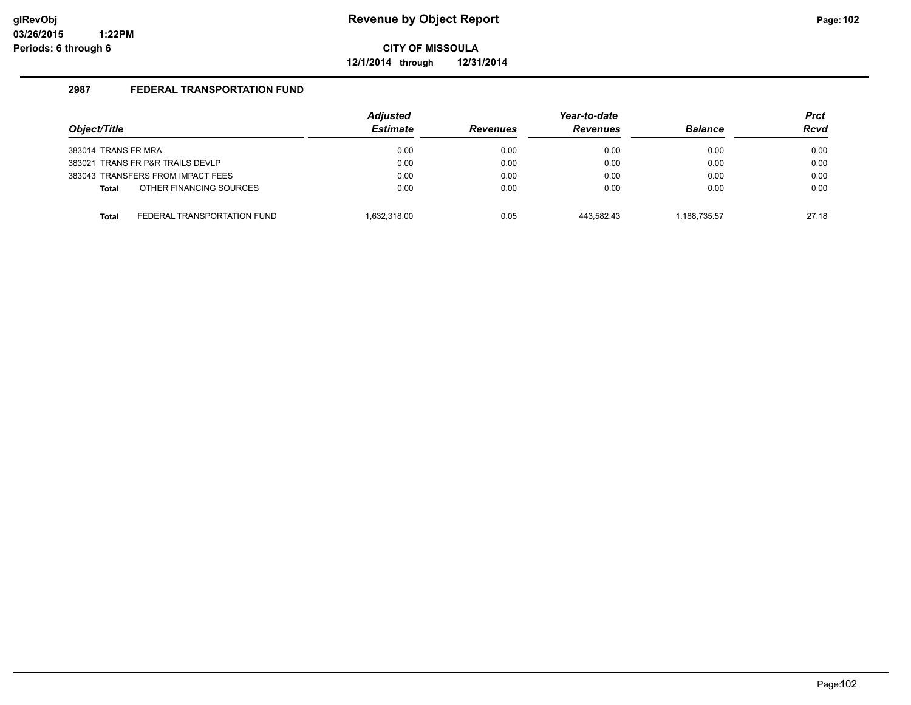**12/1/2014 through 12/31/2014**

| Object/Title                                | <b>Adjusted</b><br><b>Estimate</b> | <b>Revenues</b> | Year-to-date<br><b>Revenues</b> | <b>Balance</b> | <b>Prct</b><br><b>Rcvd</b> |
|---------------------------------------------|------------------------------------|-----------------|---------------------------------|----------------|----------------------------|
| 383014 TRANS FR MRA                         | 0.00                               | 0.00            | 0.00                            | 0.00           | 0.00                       |
| 383021 TRANS FR P&R TRAILS DEVLP            | 0.00                               | 0.00            | 0.00                            | 0.00           | 0.00                       |
| 383043 TRANSFERS FROM IMPACT FEES           | 0.00                               | 0.00            | 0.00                            | 0.00           | 0.00                       |
| OTHER FINANCING SOURCES<br><b>Total</b>     | 0.00                               | 0.00            | 0.00                            | 0.00           | 0.00                       |
| FEDERAL TRANSPORTATION FUND<br><b>Total</b> | 1.632.318.00                       | 0.05            | 443.582.43                      | 1.188.735.57   | 27.18                      |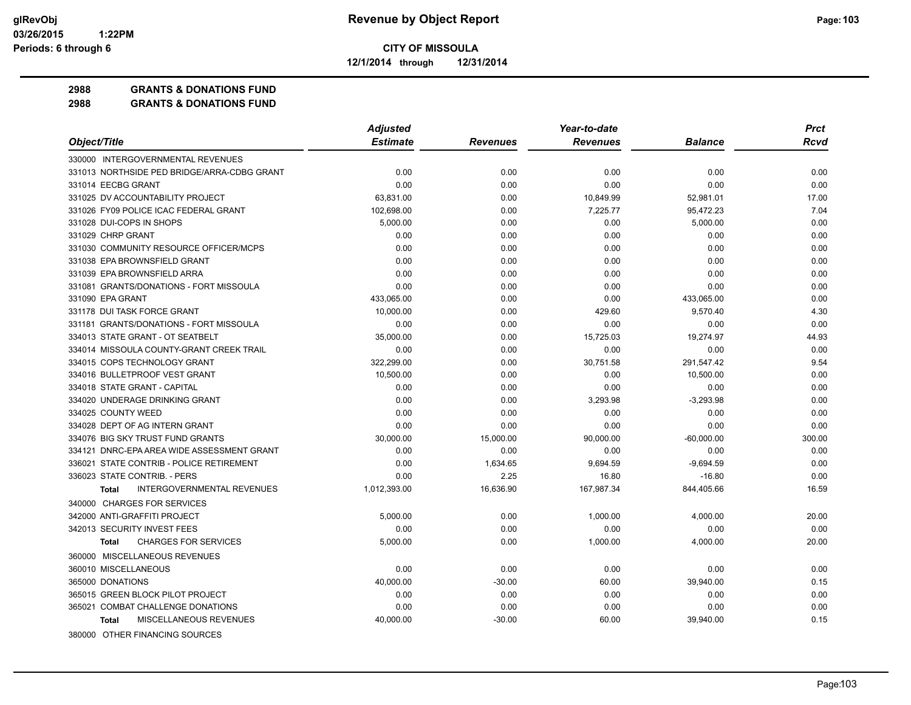**12/1/2014 through 12/31/2014**

### **2988 GRANTS & DONATIONS FUND**

|                                                   | <b>Adjusted</b> |                 | Year-to-date    |                | <b>Prct</b> |
|---------------------------------------------------|-----------------|-----------------|-----------------|----------------|-------------|
| Object/Title                                      | <b>Estimate</b> | <b>Revenues</b> | <b>Revenues</b> | <b>Balance</b> | Rcvd        |
| 330000 INTERGOVERNMENTAL REVENUES                 |                 |                 |                 |                |             |
| 331013 NORTHSIDE PED BRIDGE/ARRA-CDBG GRANT       | 0.00            | 0.00            | 0.00            | 0.00           | 0.00        |
| 331014 EECBG GRANT                                | 0.00            | 0.00            | 0.00            | 0.00           | 0.00        |
| 331025 DV ACCOUNTABILITY PROJECT                  | 63,831.00       | 0.00            | 10,849.99       | 52,981.01      | 17.00       |
| 331026 FY09 POLICE ICAC FEDERAL GRANT             | 102,698.00      | 0.00            | 7,225.77        | 95,472.23      | 7.04        |
| 331028 DUI-COPS IN SHOPS                          | 5,000.00        | 0.00            | 0.00            | 5,000.00       | 0.00        |
| 331029 CHRP GRANT                                 | 0.00            | 0.00            | 0.00            | 0.00           | 0.00        |
| 331030 COMMUNITY RESOURCE OFFICER/MCPS            | 0.00            | 0.00            | 0.00            | 0.00           | 0.00        |
| 331038 EPA BROWNSFIELD GRANT                      | 0.00            | 0.00            | 0.00            | 0.00           | 0.00        |
| 331039 EPA BROWNSFIELD ARRA                       | 0.00            | 0.00            | 0.00            | 0.00           | 0.00        |
| 331081 GRANTS/DONATIONS - FORT MISSOULA           | 0.00            | 0.00            | 0.00            | 0.00           | 0.00        |
| 331090 EPA GRANT                                  | 433,065.00      | 0.00            | 0.00            | 433,065.00     | 0.00        |
| 331178 DUI TASK FORCE GRANT                       | 10,000.00       | 0.00            | 429.60          | 9,570.40       | 4.30        |
| 331181 GRANTS/DONATIONS - FORT MISSOULA           | 0.00            | 0.00            | 0.00            | 0.00           | 0.00        |
| 334013 STATE GRANT - OT SEATBELT                  | 35,000.00       | 0.00            | 15,725.03       | 19,274.97      | 44.93       |
| 334014 MISSOULA COUNTY-GRANT CREEK TRAIL          | 0.00            | 0.00            | 0.00            | 0.00           | 0.00        |
| 334015 COPS TECHNOLOGY GRANT                      | 322,299.00      | 0.00            | 30,751.58       | 291,547.42     | 9.54        |
| 334016 BULLETPROOF VEST GRANT                     | 10,500.00       | 0.00            | 0.00            | 10,500.00      | 0.00        |
| 334018 STATE GRANT - CAPITAL                      | 0.00            | 0.00            | 0.00            | 0.00           | 0.00        |
| 334020 UNDERAGE DRINKING GRANT                    | 0.00            | 0.00            | 3,293.98        | $-3,293.98$    | 0.00        |
| 334025 COUNTY WEED                                | 0.00            | 0.00            | 0.00            | 0.00           | 0.00        |
| 334028 DEPT OF AG INTERN GRANT                    | 0.00            | 0.00            | 0.00            | 0.00           | 0.00        |
| 334076 BIG SKY TRUST FUND GRANTS                  | 30,000.00       | 15,000.00       | 90,000.00       | $-60,000.00$   | 300.00      |
| 334121 DNRC-EPA AREA WIDE ASSESSMENT GRANT        | 0.00            | 0.00            | 0.00            | 0.00           | 0.00        |
| 336021 STATE CONTRIB - POLICE RETIREMENT          | 0.00            | 1,634.65        | 9,694.59        | $-9,694.59$    | 0.00        |
| 336023 STATE CONTRIB. - PERS                      | 0.00            | 2.25            | 16.80           | $-16.80$       | 0.00        |
| <b>INTERGOVERNMENTAL REVENUES</b><br><b>Total</b> | 1,012,393.00    | 16,636.90       | 167,987.34      | 844,405.66     | 16.59       |
| 340000 CHARGES FOR SERVICES                       |                 |                 |                 |                |             |
| 342000 ANTI-GRAFFITI PROJECT                      | 5,000.00        | 0.00            | 1,000.00        | 4,000.00       | 20.00       |
| 342013 SECURITY INVEST FEES                       | 0.00            | 0.00            | 0.00            | 0.00           | 0.00        |
| <b>CHARGES FOR SERVICES</b><br><b>Total</b>       | 5,000.00        | 0.00            | 1,000.00        | 4,000.00       | 20.00       |
| 360000 MISCELLANEOUS REVENUES                     |                 |                 |                 |                |             |
| 360010 MISCELLANEOUS                              | 0.00            | 0.00            | 0.00            | 0.00           | 0.00        |
| 365000 DONATIONS                                  | 40,000.00       | $-30.00$        | 60.00           | 39,940.00      | 0.15        |
| 365015 GREEN BLOCK PILOT PROJECT                  | 0.00            | 0.00            | 0.00            | 0.00           | 0.00        |
| 365021 COMBAT CHALLENGE DONATIONS                 | 0.00            | 0.00            | 0.00            | 0.00           | 0.00        |
| MISCELLANEOUS REVENUES<br>Total                   | 40,000.00       | $-30.00$        | 60.00           | 39,940.00      | 0.15        |
| 380000 OTHER FINANCING SOURCES                    |                 |                 |                 |                |             |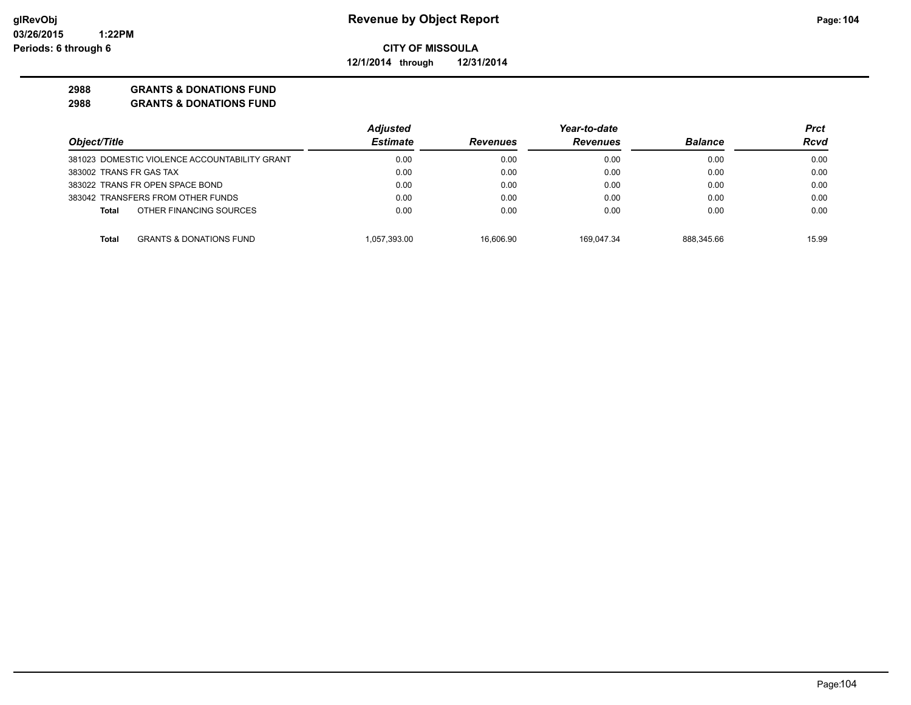**12/1/2014 through 12/31/2014**

### **2988 GRANTS & DONATIONS FUND**

|                                               | <b>Adjusted</b> |                 | Year-to-date    |                | Prct  |
|-----------------------------------------------|-----------------|-----------------|-----------------|----------------|-------|
| Object/Title                                  | <b>Estimate</b> | <b>Revenues</b> | <b>Revenues</b> | <b>Balance</b> | Rcvd  |
| 381023 DOMESTIC VIOLENCE ACCOUNTABILITY GRANT | 0.00            | 0.00            | 0.00            | 0.00           | 0.00  |
| 383002 TRANS FR GAS TAX                       | 0.00            | 0.00            | 0.00            | 0.00           | 0.00  |
| 383022 TRANS FR OPEN SPACE BOND               | 0.00            | 0.00            | 0.00            | 0.00           | 0.00  |
| 383042 TRANSFERS FROM OTHER FUNDS             | 0.00            | 0.00            | 0.00            | 0.00           | 0.00  |
| OTHER FINANCING SOURCES<br><b>Total</b>       | 0.00            | 0.00            | 0.00            | 0.00           | 0.00  |
| <b>GRANTS &amp; DONATIONS FUND</b><br>Total   | 1.057.393.00    | 16.606.90       | 169.047.34      | 888.345.66     | 15.99 |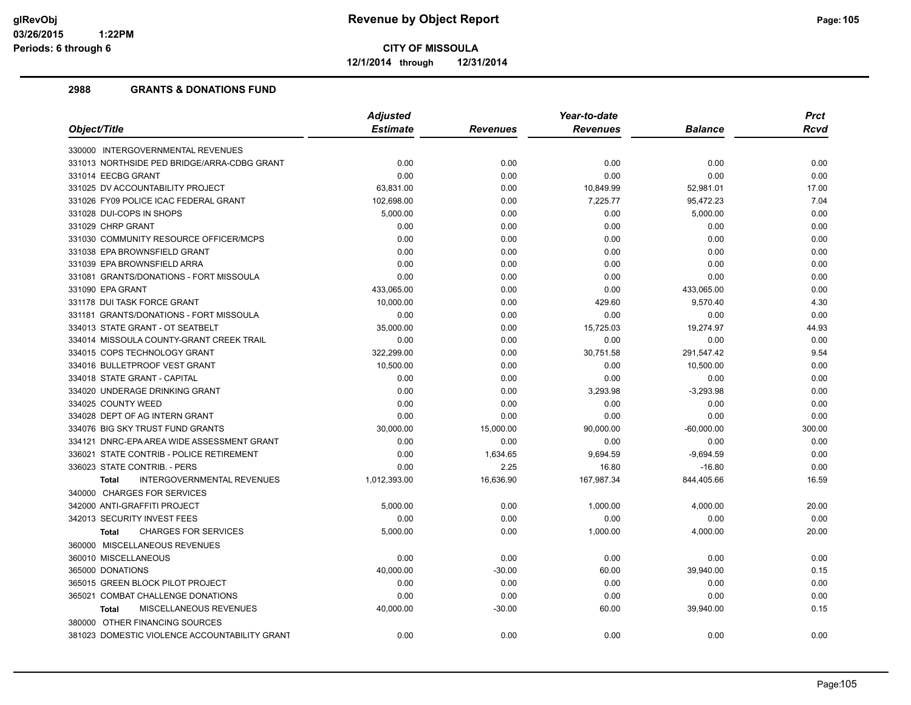**12/1/2014 through 12/31/2014**

| <b>Adjusted</b><br><b>Estimate</b><br>Object/Title<br><b>Revenues</b><br><b>Balance</b><br><b>Revenues</b><br>330000 INTERGOVERNMENTAL REVENUES<br>0.00<br>0.00<br>331013 NORTHSIDE PED BRIDGE/ARRA-CDBG GRANT<br>0.00<br>0.00<br>0.00<br>0.00<br>0.00<br>0.00<br>331014 EECBG GRANT<br>331025 DV ACCOUNTABILITY PROJECT<br>63,831.00<br>0.00<br>10,849.99<br>52,981.01<br>102,698.00<br>7,225.77<br>95,472.23<br>331026 FY09 POLICE ICAC FEDERAL GRANT<br>0.00<br>331028 DUI-COPS IN SHOPS<br>0.00<br>5,000.00<br>0.00<br>5,000.00<br>331029 CHRP GRANT<br>0.00<br>0.00<br>0.00<br>0.00<br>331030 COMMUNITY RESOURCE OFFICER/MCPS<br>0.00<br>0.00<br>0.00<br>0.00<br>331038 EPA BROWNSFIELD GRANT<br>0.00<br>0.00<br>0.00<br>0.00<br>331039 EPA BROWNSFIELD ARRA<br>0.00<br>0.00<br>0.00<br>0.00<br>331081 GRANTS/DONATIONS - FORT MISSOULA<br>0.00<br>0.00<br>0.00<br>0.00<br>331090 EPA GRANT<br>433,065.00<br>0.00<br>0.00<br>433,065.00<br>331178 DUI TASK FORCE GRANT<br>10,000.00<br>0.00<br>429.60<br>9,570.40<br>0.00<br>331181 GRANTS/DONATIONS - FORT MISSOULA<br>0.00<br>0.00<br>0.00<br>334013 STATE GRANT - OT SEATBELT<br>35,000.00<br>0.00<br>15,725.03<br>19,274.97<br>334014 MISSOULA COUNTY-GRANT CREEK TRAIL<br>0.00<br>0.00<br>0.00<br>0.00<br>334015 COPS TECHNOLOGY GRANT<br>322,299.00<br>0.00<br>30,751.58<br>291,547.42<br>334016 BULLETPROOF VEST GRANT<br>10,500.00<br>10,500.00<br>0.00<br>0.00<br>334018 STATE GRANT - CAPITAL<br>0.00<br>0.00<br>0.00<br>0.00<br>334020 UNDERAGE DRINKING GRANT<br>0.00<br>0.00<br>3,293.98<br>$-3,293.98$<br>334025 COUNTY WEED<br>0.00<br>0.00<br>0.00<br>0.00<br>334028 DEPT OF AG INTERN GRANT<br>0.00<br>0.00<br>0.00<br>0.00<br>334076 BIG SKY TRUST FUND GRANTS<br>30,000.00<br>15,000.00<br>90,000.00<br>$-60,000.00$<br>334121 DNRC-EPA AREA WIDE ASSESSMENT GRANT<br>0.00<br>0.00<br>0.00<br>0.00<br>336021 STATE CONTRIB - POLICE RETIREMENT<br>0.00<br>1,634.65<br>9,694.59<br>$-9,694.59$<br>336023 STATE CONTRIB. - PERS<br>2.25<br>0.00<br>16.80<br>$-16.80$ | <b>Prct</b> |
|--------------------------------------------------------------------------------------------------------------------------------------------------------------------------------------------------------------------------------------------------------------------------------------------------------------------------------------------------------------------------------------------------------------------------------------------------------------------------------------------------------------------------------------------------------------------------------------------------------------------------------------------------------------------------------------------------------------------------------------------------------------------------------------------------------------------------------------------------------------------------------------------------------------------------------------------------------------------------------------------------------------------------------------------------------------------------------------------------------------------------------------------------------------------------------------------------------------------------------------------------------------------------------------------------------------------------------------------------------------------------------------------------------------------------------------------------------------------------------------------------------------------------------------------------------------------------------------------------------------------------------------------------------------------------------------------------------------------------------------------------------------------------------------------------------------------------------------------------------------------------------------------------------------------------------------------------------------------------------------------------------------------------------------------|-------------|
|                                                                                                                                                                                                                                                                                                                                                                                                                                                                                                                                                                                                                                                                                                                                                                                                                                                                                                                                                                                                                                                                                                                                                                                                                                                                                                                                                                                                                                                                                                                                                                                                                                                                                                                                                                                                                                                                                                                                                                                                                                            | Rcvd        |
|                                                                                                                                                                                                                                                                                                                                                                                                                                                                                                                                                                                                                                                                                                                                                                                                                                                                                                                                                                                                                                                                                                                                                                                                                                                                                                                                                                                                                                                                                                                                                                                                                                                                                                                                                                                                                                                                                                                                                                                                                                            |             |
|                                                                                                                                                                                                                                                                                                                                                                                                                                                                                                                                                                                                                                                                                                                                                                                                                                                                                                                                                                                                                                                                                                                                                                                                                                                                                                                                                                                                                                                                                                                                                                                                                                                                                                                                                                                                                                                                                                                                                                                                                                            | 0.00        |
|                                                                                                                                                                                                                                                                                                                                                                                                                                                                                                                                                                                                                                                                                                                                                                                                                                                                                                                                                                                                                                                                                                                                                                                                                                                                                                                                                                                                                                                                                                                                                                                                                                                                                                                                                                                                                                                                                                                                                                                                                                            | 0.00        |
|                                                                                                                                                                                                                                                                                                                                                                                                                                                                                                                                                                                                                                                                                                                                                                                                                                                                                                                                                                                                                                                                                                                                                                                                                                                                                                                                                                                                                                                                                                                                                                                                                                                                                                                                                                                                                                                                                                                                                                                                                                            | 17.00       |
|                                                                                                                                                                                                                                                                                                                                                                                                                                                                                                                                                                                                                                                                                                                                                                                                                                                                                                                                                                                                                                                                                                                                                                                                                                                                                                                                                                                                                                                                                                                                                                                                                                                                                                                                                                                                                                                                                                                                                                                                                                            | 7.04        |
|                                                                                                                                                                                                                                                                                                                                                                                                                                                                                                                                                                                                                                                                                                                                                                                                                                                                                                                                                                                                                                                                                                                                                                                                                                                                                                                                                                                                                                                                                                                                                                                                                                                                                                                                                                                                                                                                                                                                                                                                                                            | 0.00        |
|                                                                                                                                                                                                                                                                                                                                                                                                                                                                                                                                                                                                                                                                                                                                                                                                                                                                                                                                                                                                                                                                                                                                                                                                                                                                                                                                                                                                                                                                                                                                                                                                                                                                                                                                                                                                                                                                                                                                                                                                                                            | 0.00        |
|                                                                                                                                                                                                                                                                                                                                                                                                                                                                                                                                                                                                                                                                                                                                                                                                                                                                                                                                                                                                                                                                                                                                                                                                                                                                                                                                                                                                                                                                                                                                                                                                                                                                                                                                                                                                                                                                                                                                                                                                                                            | 0.00        |
|                                                                                                                                                                                                                                                                                                                                                                                                                                                                                                                                                                                                                                                                                                                                                                                                                                                                                                                                                                                                                                                                                                                                                                                                                                                                                                                                                                                                                                                                                                                                                                                                                                                                                                                                                                                                                                                                                                                                                                                                                                            | 0.00        |
|                                                                                                                                                                                                                                                                                                                                                                                                                                                                                                                                                                                                                                                                                                                                                                                                                                                                                                                                                                                                                                                                                                                                                                                                                                                                                                                                                                                                                                                                                                                                                                                                                                                                                                                                                                                                                                                                                                                                                                                                                                            | 0.00        |
|                                                                                                                                                                                                                                                                                                                                                                                                                                                                                                                                                                                                                                                                                                                                                                                                                                                                                                                                                                                                                                                                                                                                                                                                                                                                                                                                                                                                                                                                                                                                                                                                                                                                                                                                                                                                                                                                                                                                                                                                                                            | 0.00        |
|                                                                                                                                                                                                                                                                                                                                                                                                                                                                                                                                                                                                                                                                                                                                                                                                                                                                                                                                                                                                                                                                                                                                                                                                                                                                                                                                                                                                                                                                                                                                                                                                                                                                                                                                                                                                                                                                                                                                                                                                                                            | 0.00        |
|                                                                                                                                                                                                                                                                                                                                                                                                                                                                                                                                                                                                                                                                                                                                                                                                                                                                                                                                                                                                                                                                                                                                                                                                                                                                                                                                                                                                                                                                                                                                                                                                                                                                                                                                                                                                                                                                                                                                                                                                                                            | 4.30        |
|                                                                                                                                                                                                                                                                                                                                                                                                                                                                                                                                                                                                                                                                                                                                                                                                                                                                                                                                                                                                                                                                                                                                                                                                                                                                                                                                                                                                                                                                                                                                                                                                                                                                                                                                                                                                                                                                                                                                                                                                                                            | 0.00        |
|                                                                                                                                                                                                                                                                                                                                                                                                                                                                                                                                                                                                                                                                                                                                                                                                                                                                                                                                                                                                                                                                                                                                                                                                                                                                                                                                                                                                                                                                                                                                                                                                                                                                                                                                                                                                                                                                                                                                                                                                                                            | 44.93       |
|                                                                                                                                                                                                                                                                                                                                                                                                                                                                                                                                                                                                                                                                                                                                                                                                                                                                                                                                                                                                                                                                                                                                                                                                                                                                                                                                                                                                                                                                                                                                                                                                                                                                                                                                                                                                                                                                                                                                                                                                                                            | 0.00        |
|                                                                                                                                                                                                                                                                                                                                                                                                                                                                                                                                                                                                                                                                                                                                                                                                                                                                                                                                                                                                                                                                                                                                                                                                                                                                                                                                                                                                                                                                                                                                                                                                                                                                                                                                                                                                                                                                                                                                                                                                                                            | 9.54        |
|                                                                                                                                                                                                                                                                                                                                                                                                                                                                                                                                                                                                                                                                                                                                                                                                                                                                                                                                                                                                                                                                                                                                                                                                                                                                                                                                                                                                                                                                                                                                                                                                                                                                                                                                                                                                                                                                                                                                                                                                                                            | 0.00        |
|                                                                                                                                                                                                                                                                                                                                                                                                                                                                                                                                                                                                                                                                                                                                                                                                                                                                                                                                                                                                                                                                                                                                                                                                                                                                                                                                                                                                                                                                                                                                                                                                                                                                                                                                                                                                                                                                                                                                                                                                                                            | 0.00        |
|                                                                                                                                                                                                                                                                                                                                                                                                                                                                                                                                                                                                                                                                                                                                                                                                                                                                                                                                                                                                                                                                                                                                                                                                                                                                                                                                                                                                                                                                                                                                                                                                                                                                                                                                                                                                                                                                                                                                                                                                                                            | 0.00        |
|                                                                                                                                                                                                                                                                                                                                                                                                                                                                                                                                                                                                                                                                                                                                                                                                                                                                                                                                                                                                                                                                                                                                                                                                                                                                                                                                                                                                                                                                                                                                                                                                                                                                                                                                                                                                                                                                                                                                                                                                                                            | 0.00        |
|                                                                                                                                                                                                                                                                                                                                                                                                                                                                                                                                                                                                                                                                                                                                                                                                                                                                                                                                                                                                                                                                                                                                                                                                                                                                                                                                                                                                                                                                                                                                                                                                                                                                                                                                                                                                                                                                                                                                                                                                                                            | 0.00        |
|                                                                                                                                                                                                                                                                                                                                                                                                                                                                                                                                                                                                                                                                                                                                                                                                                                                                                                                                                                                                                                                                                                                                                                                                                                                                                                                                                                                                                                                                                                                                                                                                                                                                                                                                                                                                                                                                                                                                                                                                                                            | 300.00      |
|                                                                                                                                                                                                                                                                                                                                                                                                                                                                                                                                                                                                                                                                                                                                                                                                                                                                                                                                                                                                                                                                                                                                                                                                                                                                                                                                                                                                                                                                                                                                                                                                                                                                                                                                                                                                                                                                                                                                                                                                                                            | 0.00        |
|                                                                                                                                                                                                                                                                                                                                                                                                                                                                                                                                                                                                                                                                                                                                                                                                                                                                                                                                                                                                                                                                                                                                                                                                                                                                                                                                                                                                                                                                                                                                                                                                                                                                                                                                                                                                                                                                                                                                                                                                                                            | 0.00        |
|                                                                                                                                                                                                                                                                                                                                                                                                                                                                                                                                                                                                                                                                                                                                                                                                                                                                                                                                                                                                                                                                                                                                                                                                                                                                                                                                                                                                                                                                                                                                                                                                                                                                                                                                                                                                                                                                                                                                                                                                                                            | 0.00        |
| <b>INTERGOVERNMENTAL REVENUES</b><br>1,012,393.00<br>16,636.90<br>167,987.34<br>844,405.66<br><b>Total</b>                                                                                                                                                                                                                                                                                                                                                                                                                                                                                                                                                                                                                                                                                                                                                                                                                                                                                                                                                                                                                                                                                                                                                                                                                                                                                                                                                                                                                                                                                                                                                                                                                                                                                                                                                                                                                                                                                                                                 | 16.59       |
| 340000 CHARGES FOR SERVICES                                                                                                                                                                                                                                                                                                                                                                                                                                                                                                                                                                                                                                                                                                                                                                                                                                                                                                                                                                                                                                                                                                                                                                                                                                                                                                                                                                                                                                                                                                                                                                                                                                                                                                                                                                                                                                                                                                                                                                                                                |             |
| 342000 ANTI-GRAFFITI PROJECT<br>0.00<br>5,000.00<br>1,000.00<br>4,000.00                                                                                                                                                                                                                                                                                                                                                                                                                                                                                                                                                                                                                                                                                                                                                                                                                                                                                                                                                                                                                                                                                                                                                                                                                                                                                                                                                                                                                                                                                                                                                                                                                                                                                                                                                                                                                                                                                                                                                                   | 20.00       |
| 342013 SECURITY INVEST FEES<br>0.00<br>0.00<br>0.00<br>0.00                                                                                                                                                                                                                                                                                                                                                                                                                                                                                                                                                                                                                                                                                                                                                                                                                                                                                                                                                                                                                                                                                                                                                                                                                                                                                                                                                                                                                                                                                                                                                                                                                                                                                                                                                                                                                                                                                                                                                                                | 0.00        |
| <b>CHARGES FOR SERVICES</b><br>5,000.00<br>0.00<br>1,000.00<br>4,000.00<br><b>Total</b>                                                                                                                                                                                                                                                                                                                                                                                                                                                                                                                                                                                                                                                                                                                                                                                                                                                                                                                                                                                                                                                                                                                                                                                                                                                                                                                                                                                                                                                                                                                                                                                                                                                                                                                                                                                                                                                                                                                                                    | 20.00       |
| 360000 MISCELLANEOUS REVENUES                                                                                                                                                                                                                                                                                                                                                                                                                                                                                                                                                                                                                                                                                                                                                                                                                                                                                                                                                                                                                                                                                                                                                                                                                                                                                                                                                                                                                                                                                                                                                                                                                                                                                                                                                                                                                                                                                                                                                                                                              |             |
| 360010 MISCELLANEOUS<br>0.00<br>0.00<br>0.00<br>0.00                                                                                                                                                                                                                                                                                                                                                                                                                                                                                                                                                                                                                                                                                                                                                                                                                                                                                                                                                                                                                                                                                                                                                                                                                                                                                                                                                                                                                                                                                                                                                                                                                                                                                                                                                                                                                                                                                                                                                                                       | 0.00        |
| 365000 DONATIONS<br>40,000.00<br>$-30.00$<br>60.00<br>39,940.00                                                                                                                                                                                                                                                                                                                                                                                                                                                                                                                                                                                                                                                                                                                                                                                                                                                                                                                                                                                                                                                                                                                                                                                                                                                                                                                                                                                                                                                                                                                                                                                                                                                                                                                                                                                                                                                                                                                                                                            | 0.15        |
| 365015 GREEN BLOCK PILOT PROJECT<br>0.00<br>0.00<br>0.00<br>0.00                                                                                                                                                                                                                                                                                                                                                                                                                                                                                                                                                                                                                                                                                                                                                                                                                                                                                                                                                                                                                                                                                                                                                                                                                                                                                                                                                                                                                                                                                                                                                                                                                                                                                                                                                                                                                                                                                                                                                                           | 0.00        |
| 0.00<br>0.00<br>0.00<br>0.00<br>365021 COMBAT CHALLENGE DONATIONS                                                                                                                                                                                                                                                                                                                                                                                                                                                                                                                                                                                                                                                                                                                                                                                                                                                                                                                                                                                                                                                                                                                                                                                                                                                                                                                                                                                                                                                                                                                                                                                                                                                                                                                                                                                                                                                                                                                                                                          | 0.00        |
| MISCELLANEOUS REVENUES<br>40,000.00<br>$-30.00$<br>60.00<br>39,940.00<br><b>Total</b>                                                                                                                                                                                                                                                                                                                                                                                                                                                                                                                                                                                                                                                                                                                                                                                                                                                                                                                                                                                                                                                                                                                                                                                                                                                                                                                                                                                                                                                                                                                                                                                                                                                                                                                                                                                                                                                                                                                                                      | 0.15        |
| 380000 OTHER FINANCING SOURCES                                                                                                                                                                                                                                                                                                                                                                                                                                                                                                                                                                                                                                                                                                                                                                                                                                                                                                                                                                                                                                                                                                                                                                                                                                                                                                                                                                                                                                                                                                                                                                                                                                                                                                                                                                                                                                                                                                                                                                                                             |             |
| 381023 DOMESTIC VIOLENCE ACCOUNTABILITY GRANT<br>0.00<br>0.00<br>0.00<br>0.00                                                                                                                                                                                                                                                                                                                                                                                                                                                                                                                                                                                                                                                                                                                                                                                                                                                                                                                                                                                                                                                                                                                                                                                                                                                                                                                                                                                                                                                                                                                                                                                                                                                                                                                                                                                                                                                                                                                                                              | 0.00        |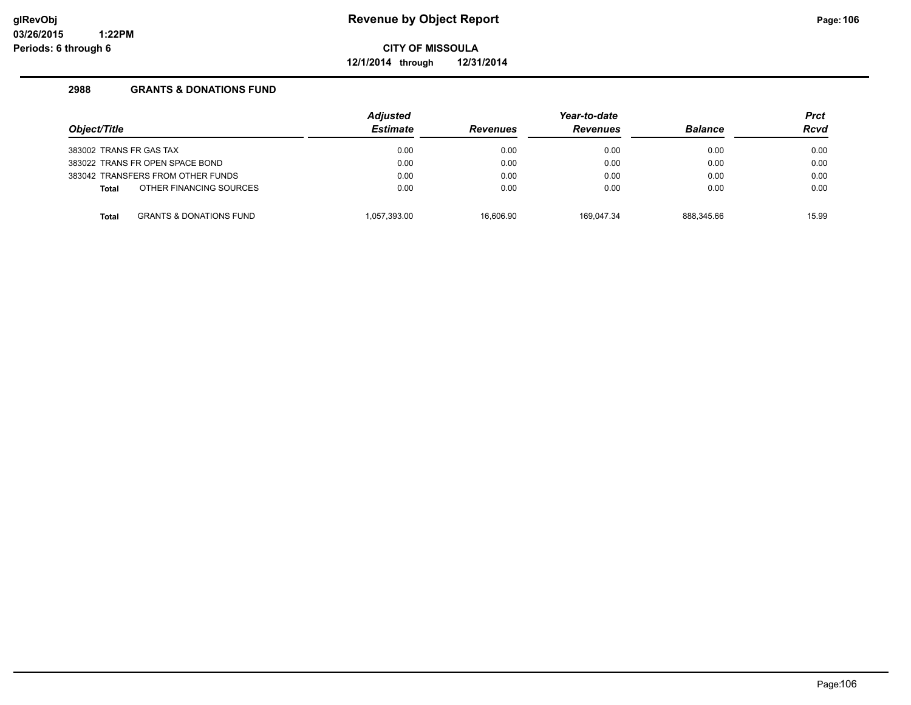**12/1/2014 through 12/31/2014**

| Object/Title                                       | <b>Adjusted</b><br><b>Estimate</b> | <b>Revenues</b> | Year-to-date<br><b>Revenues</b> | <b>Balance</b> | <b>Prct</b><br><b>Rcvd</b> |
|----------------------------------------------------|------------------------------------|-----------------|---------------------------------|----------------|----------------------------|
| 383002 TRANS FR GAS TAX                            |                                    | 0.00<br>0.00    | 0.00                            | 0.00           | 0.00                       |
| 383022 TRANS FR OPEN SPACE BOND                    |                                    | 0.00<br>0.00    | 0.00                            | 0.00           | 0.00                       |
| 383042 TRANSFERS FROM OTHER FUNDS                  |                                    | 0.00<br>0.00    | 0.00                            | 0.00           | 0.00                       |
| OTHER FINANCING SOURCES<br><b>Total</b>            |                                    | 0.00<br>0.00    | 0.00                            | 0.00           | 0.00                       |
| <b>GRANTS &amp; DONATIONS FUND</b><br><b>Total</b> | 1.057.393.00                       | 16.606.90       | 169.047.34                      | 888.345.66     | 15.99                      |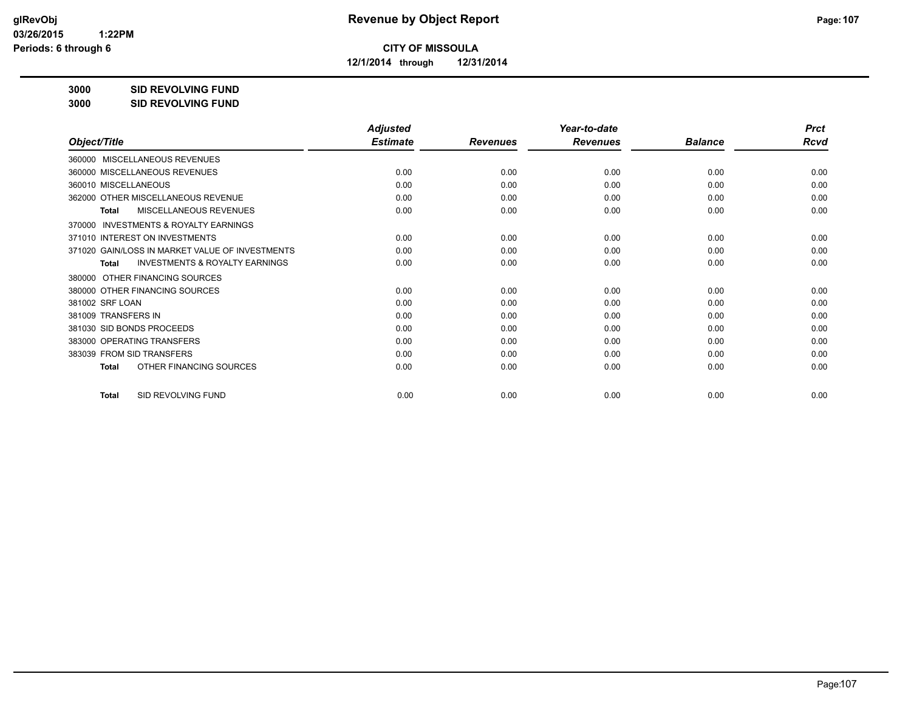**12/1/2014 through 12/31/2014**

**3000 SID REVOLVING FUND**

**3000 SID REVOLVING FUND**

|                                                           | <b>Adjusted</b> |                 | Year-to-date    |                | <b>Prct</b> |
|-----------------------------------------------------------|-----------------|-----------------|-----------------|----------------|-------------|
| Object/Title                                              | <b>Estimate</b> | <b>Revenues</b> | <b>Revenues</b> | <b>Balance</b> | <b>Rcvd</b> |
| 360000 MISCELLANEOUS REVENUES                             |                 |                 |                 |                |             |
| 360000 MISCELLANEOUS REVENUES                             | 0.00            | 0.00            | 0.00            | 0.00           | 0.00        |
| 360010 MISCELLANEOUS                                      | 0.00            | 0.00            | 0.00            | 0.00           | 0.00        |
| 362000 OTHER MISCELLANEOUS REVENUE                        | 0.00            | 0.00            | 0.00            | 0.00           | 0.00        |
| MISCELLANEOUS REVENUES<br>Total                           | 0.00            | 0.00            | 0.00            | 0.00           | 0.00        |
| <b>INVESTMENTS &amp; ROYALTY EARNINGS</b><br>370000       |                 |                 |                 |                |             |
| 371010 INTEREST ON INVESTMENTS                            | 0.00            | 0.00            | 0.00            | 0.00           | 0.00        |
| 371020 GAIN/LOSS IN MARKET VALUE OF INVESTMENTS           | 0.00            | 0.00            | 0.00            | 0.00           | 0.00        |
| <b>INVESTMENTS &amp; ROYALTY EARNINGS</b><br><b>Total</b> | 0.00            | 0.00            | 0.00            | 0.00           | 0.00        |
| OTHER FINANCING SOURCES<br>380000                         |                 |                 |                 |                |             |
| 380000 OTHER FINANCING SOURCES                            | 0.00            | 0.00            | 0.00            | 0.00           | 0.00        |
| 381002 SRF LOAN                                           | 0.00            | 0.00            | 0.00            | 0.00           | 0.00        |
| 381009 TRANSFERS IN                                       | 0.00            | 0.00            | 0.00            | 0.00           | 0.00        |
| 381030 SID BONDS PROCEEDS                                 | 0.00            | 0.00            | 0.00            | 0.00           | 0.00        |
| 383000 OPERATING TRANSFERS                                | 0.00            | 0.00            | 0.00            | 0.00           | 0.00        |
| 383039 FROM SID TRANSFERS                                 | 0.00            | 0.00            | 0.00            | 0.00           | 0.00        |
| OTHER FINANCING SOURCES<br>Total                          | 0.00            | 0.00            | 0.00            | 0.00           | 0.00        |
| SID REVOLVING FUND<br><b>Total</b>                        | 0.00            | 0.00            | 0.00            | 0.00           | 0.00        |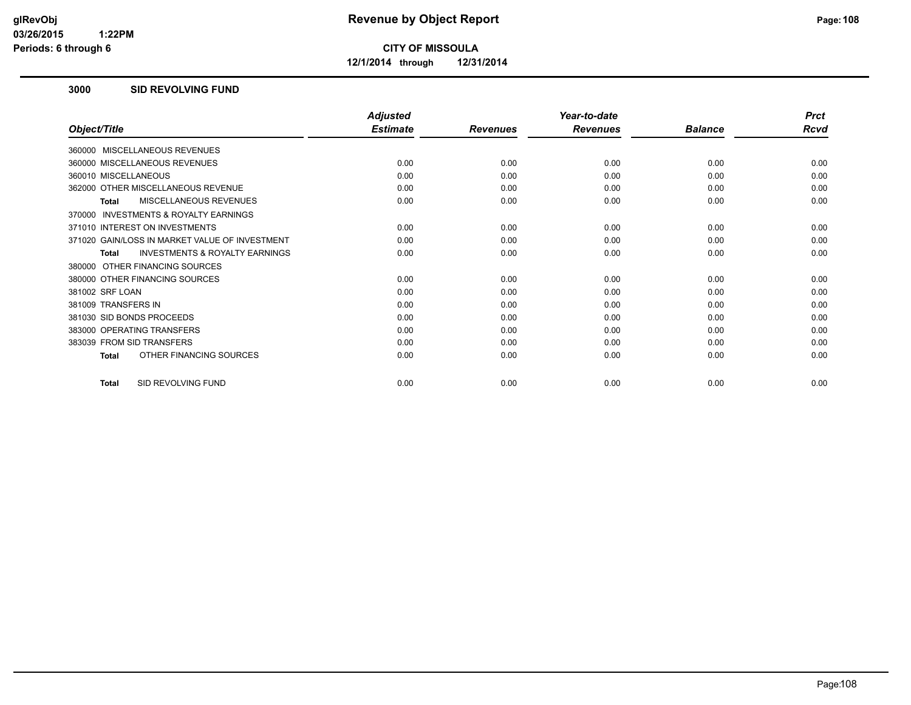**12/1/2014 through 12/31/2014**

### **3000 SID REVOLVING FUND**

|                                                           | <b>Adjusted</b> |                 | Year-to-date    |                | <b>Prct</b> |
|-----------------------------------------------------------|-----------------|-----------------|-----------------|----------------|-------------|
| Object/Title                                              | <b>Estimate</b> | <b>Revenues</b> | <b>Revenues</b> | <b>Balance</b> | Rcvd        |
| 360000 MISCELLANEOUS REVENUES                             |                 |                 |                 |                |             |
| 360000 MISCELLANEOUS REVENUES                             | 0.00            | 0.00            | 0.00            | 0.00           | 0.00        |
| 360010 MISCELLANEOUS                                      | 0.00            | 0.00            | 0.00            | 0.00           | 0.00        |
| 362000 OTHER MISCELLANEOUS REVENUE                        | 0.00            | 0.00            | 0.00            | 0.00           | 0.00        |
| <b>MISCELLANEOUS REVENUES</b><br><b>Total</b>             | 0.00            | 0.00            | 0.00            | 0.00           | 0.00        |
| <b>INVESTMENTS &amp; ROYALTY EARNINGS</b><br>370000       |                 |                 |                 |                |             |
| 371010 INTEREST ON INVESTMENTS                            | 0.00            | 0.00            | 0.00            | 0.00           | 0.00        |
| 371020 GAIN/LOSS IN MARKET VALUE OF INVESTMENT            | 0.00            | 0.00            | 0.00            | 0.00           | 0.00        |
| <b>INVESTMENTS &amp; ROYALTY EARNINGS</b><br><b>Total</b> | 0.00            | 0.00            | 0.00            | 0.00           | 0.00        |
| 380000 OTHER FINANCING SOURCES                            |                 |                 |                 |                |             |
| 380000 OTHER FINANCING SOURCES                            | 0.00            | 0.00            | 0.00            | 0.00           | 0.00        |
| 381002 SRF LOAN                                           | 0.00            | 0.00            | 0.00            | 0.00           | 0.00        |
| 381009 TRANSFERS IN                                       | 0.00            | 0.00            | 0.00            | 0.00           | 0.00        |
| 381030 SID BONDS PROCEEDS                                 | 0.00            | 0.00            | 0.00            | 0.00           | 0.00        |
| 383000 OPERATING TRANSFERS                                | 0.00            | 0.00            | 0.00            | 0.00           | 0.00        |
| 383039 FROM SID TRANSFERS                                 | 0.00            | 0.00            | 0.00            | 0.00           | 0.00        |
| OTHER FINANCING SOURCES<br><b>Total</b>                   | 0.00            | 0.00            | 0.00            | 0.00           | 0.00        |
| SID REVOLVING FUND<br><b>Total</b>                        | 0.00            | 0.00            | 0.00            | 0.00           | 0.00        |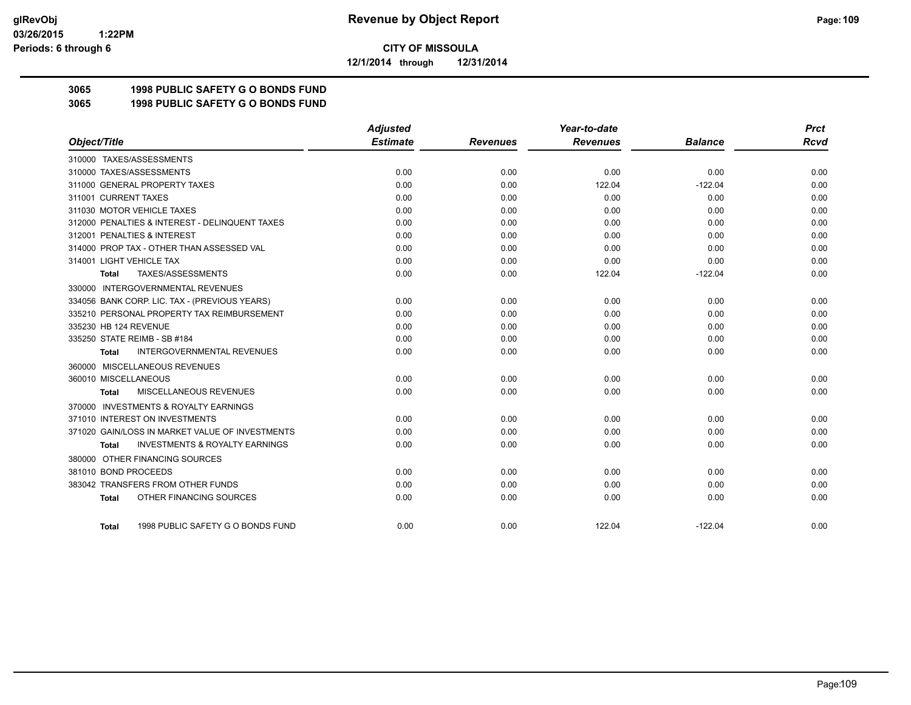**12/1/2014 through 12/31/2014**

## **3065 1998 PUBLIC SAFETY G O BONDS FUND**

**3065 1998 PUBLIC SAFETY G O BONDS FUND**

|                                                     | <b>Adjusted</b> |                 | Year-to-date    |                | <b>Prct</b> |
|-----------------------------------------------------|-----------------|-----------------|-----------------|----------------|-------------|
| Object/Title                                        | <b>Estimate</b> | <b>Revenues</b> | <b>Revenues</b> | <b>Balance</b> | Rcvd        |
| 310000 TAXES/ASSESSMENTS                            |                 |                 |                 |                |             |
| 310000 TAXES/ASSESSMENTS                            | 0.00            | 0.00            | 0.00            | 0.00           | 0.00        |
| 311000 GENERAL PROPERTY TAXES                       | 0.00            | 0.00            | 122.04          | $-122.04$      | 0.00        |
| 311001 CURRENT TAXES                                | 0.00            | 0.00            | 0.00            | 0.00           | 0.00        |
| 311030 MOTOR VEHICLE TAXES                          | 0.00            | 0.00            | 0.00            | 0.00           | 0.00        |
| 312000 PENALTIES & INTEREST - DELINQUENT TAXES      | 0.00            | 0.00            | 0.00            | 0.00           | 0.00        |
| 312001 PENALTIES & INTEREST                         | 0.00            | 0.00            | 0.00            | 0.00           | 0.00        |
| 314000 PROP TAX - OTHER THAN ASSESSED VAL           | 0.00            | 0.00            | 0.00            | 0.00           | 0.00        |
| 314001 LIGHT VEHICLE TAX                            | 0.00            | 0.00            | 0.00            | 0.00           | 0.00        |
| TAXES/ASSESSMENTS<br>Total                          | 0.00            | 0.00            | 122.04          | $-122.04$      | 0.00        |
| 330000 INTERGOVERNMENTAL REVENUES                   |                 |                 |                 |                |             |
| 334056 BANK CORP. LIC. TAX - (PREVIOUS YEARS)       | 0.00            | 0.00            | 0.00            | 0.00           | 0.00        |
| 335210 PERSONAL PROPERTY TAX REIMBURSEMENT          | 0.00            | 0.00            | 0.00            | 0.00           | 0.00        |
| 335230 HB 124 REVENUE                               | 0.00            | 0.00            | 0.00            | 0.00           | 0.00        |
| 335250 STATE REIMB - SB #184                        | 0.00            | 0.00            | 0.00            | 0.00           | 0.00        |
| <b>INTERGOVERNMENTAL REVENUES</b><br><b>Total</b>   | 0.00            | 0.00            | 0.00            | 0.00           | 0.00        |
| 360000 MISCELLANEOUS REVENUES                       |                 |                 |                 |                |             |
| 360010 MISCELLANEOUS                                | 0.00            | 0.00            | 0.00            | 0.00           | 0.00        |
| <b>MISCELLANEOUS REVENUES</b><br>Total              | 0.00            | 0.00            | 0.00            | 0.00           | 0.00        |
| <b>INVESTMENTS &amp; ROYALTY EARNINGS</b><br>370000 |                 |                 |                 |                |             |
| 371010 INTEREST ON INVESTMENTS                      | 0.00            | 0.00            | 0.00            | 0.00           | 0.00        |
| 371020 GAIN/LOSS IN MARKET VALUE OF INVESTMENTS     | 0.00            | 0.00            | 0.00            | 0.00           | 0.00        |
| <b>INVESTMENTS &amp; ROYALTY EARNINGS</b><br>Total  | 0.00            | 0.00            | 0.00            | 0.00           | 0.00        |
| 380000 OTHER FINANCING SOURCES                      |                 |                 |                 |                |             |
| 381010 BOND PROCEEDS                                | 0.00            | 0.00            | 0.00            | 0.00           | 0.00        |
| 383042 TRANSFERS FROM OTHER FUNDS                   | 0.00            | 0.00            | 0.00            | 0.00           | 0.00        |
| OTHER FINANCING SOURCES<br><b>Total</b>             | 0.00            | 0.00            | 0.00            | 0.00           | 0.00        |
| 1998 PUBLIC SAFETY G O BONDS FUND<br>Total          | 0.00            | 0.00            | 122.04          | $-122.04$      | 0.00        |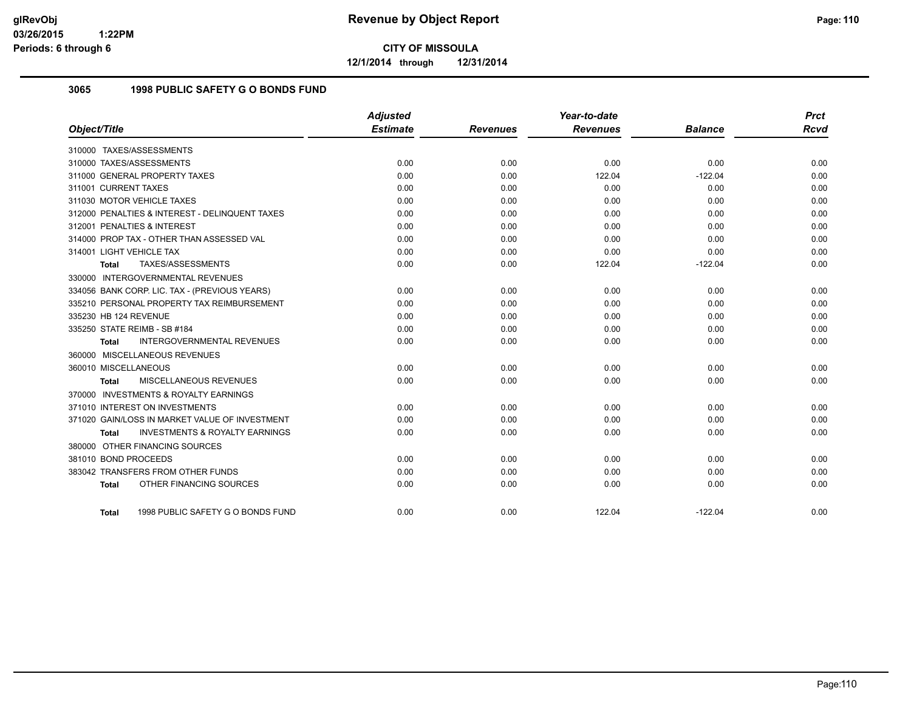**12/1/2014 through 12/31/2014**

## **3065 1998 PUBLIC SAFETY G O BONDS FUND**

|                                                    | <b>Adjusted</b> |                 | Year-to-date    |                | <b>Prct</b> |
|----------------------------------------------------|-----------------|-----------------|-----------------|----------------|-------------|
| Object/Title                                       | <b>Estimate</b> | <b>Revenues</b> | <b>Revenues</b> | <b>Balance</b> | <b>Rcvd</b> |
| 310000 TAXES/ASSESSMENTS                           |                 |                 |                 |                |             |
| 310000 TAXES/ASSESSMENTS                           | 0.00            | 0.00            | 0.00            | 0.00           | 0.00        |
| 311000 GENERAL PROPERTY TAXES                      | 0.00            | 0.00            | 122.04          | $-122.04$      | 0.00        |
| 311001 CURRENT TAXES                               | 0.00            | 0.00            | 0.00            | 0.00           | 0.00        |
| 311030 MOTOR VEHICLE TAXES                         | 0.00            | 0.00            | 0.00            | 0.00           | 0.00        |
| 312000 PENALTIES & INTEREST - DELINQUENT TAXES     | 0.00            | 0.00            | 0.00            | 0.00           | 0.00        |
| 312001 PENALTIES & INTEREST                        | 0.00            | 0.00            | 0.00            | 0.00           | 0.00        |
| 314000 PROP TAX - OTHER THAN ASSESSED VAL          | 0.00            | 0.00            | 0.00            | 0.00           | 0.00        |
| 314001 LIGHT VEHICLE TAX                           | 0.00            | 0.00            | 0.00            | 0.00           | 0.00        |
| TAXES/ASSESSMENTS<br>Total                         | 0.00            | 0.00            | 122.04          | $-122.04$      | 0.00        |
| 330000 INTERGOVERNMENTAL REVENUES                  |                 |                 |                 |                |             |
| 334056 BANK CORP. LIC. TAX - (PREVIOUS YEARS)      | 0.00            | 0.00            | 0.00            | 0.00           | 0.00        |
| 335210 PERSONAL PROPERTY TAX REIMBURSEMENT         | 0.00            | 0.00            | 0.00            | 0.00           | 0.00        |
| 335230 HB 124 REVENUE                              | 0.00            | 0.00            | 0.00            | 0.00           | 0.00        |
| 335250 STATE REIMB - SB #184                       | 0.00            | 0.00            | 0.00            | 0.00           | 0.00        |
| INTERGOVERNMENTAL REVENUES<br><b>Total</b>         | 0.00            | 0.00            | 0.00            | 0.00           | 0.00        |
| 360000 MISCELLANEOUS REVENUES                      |                 |                 |                 |                |             |
| 360010 MISCELLANEOUS                               | 0.00            | 0.00            | 0.00            | 0.00           | 0.00        |
| <b>MISCELLANEOUS REVENUES</b><br><b>Total</b>      | 0.00            | 0.00            | 0.00            | 0.00           | 0.00        |
| 370000 INVESTMENTS & ROYALTY EARNINGS              |                 |                 |                 |                |             |
| 371010 INTEREST ON INVESTMENTS                     | 0.00            | 0.00            | 0.00            | 0.00           | 0.00        |
| 371020 GAIN/LOSS IN MARKET VALUE OF INVESTMENT     | 0.00            | 0.00            | 0.00            | 0.00           | 0.00        |
| <b>INVESTMENTS &amp; ROYALTY EARNINGS</b><br>Total | 0.00            | 0.00            | 0.00            | 0.00           | 0.00        |
| 380000 OTHER FINANCING SOURCES                     |                 |                 |                 |                |             |
| 381010 BOND PROCEEDS                               | 0.00            | 0.00            | 0.00            | 0.00           | 0.00        |
| 383042 TRANSFERS FROM OTHER FUNDS                  | 0.00            | 0.00            | 0.00            | 0.00           | 0.00        |
| OTHER FINANCING SOURCES<br>Total                   | 0.00            | 0.00            | 0.00            | 0.00           | 0.00        |
| 1998 PUBLIC SAFETY G O BONDS FUND<br>Total         | 0.00            | 0.00            | 122.04          | $-122.04$      | 0.00        |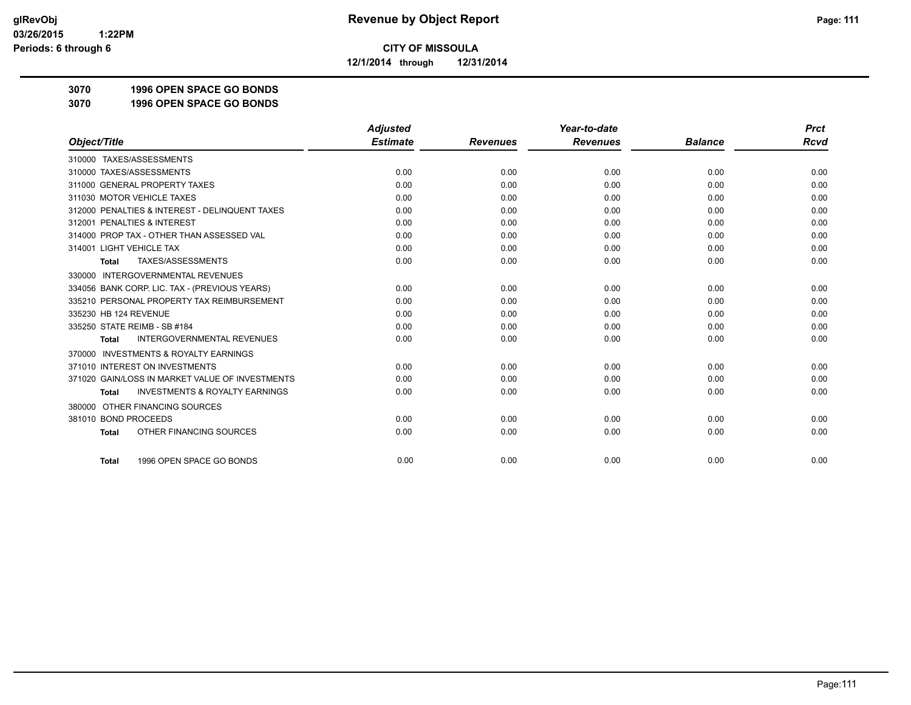**12/1/2014 through 12/31/2014**

**3070 1996 OPEN SPACE GO BONDS**

**3070 1996 OPEN SPACE GO BONDS**

|                                                           | <b>Adjusted</b> |                 | Year-to-date    |                | <b>Prct</b> |
|-----------------------------------------------------------|-----------------|-----------------|-----------------|----------------|-------------|
| Object/Title                                              | <b>Estimate</b> | <b>Revenues</b> | <b>Revenues</b> | <b>Balance</b> | <b>Rcvd</b> |
| 310000 TAXES/ASSESSMENTS                                  |                 |                 |                 |                |             |
| 310000 TAXES/ASSESSMENTS                                  | 0.00            | 0.00            | 0.00            | 0.00           | 0.00        |
| 311000 GENERAL PROPERTY TAXES                             | 0.00            | 0.00            | 0.00            | 0.00           | 0.00        |
| 311030 MOTOR VEHICLE TAXES                                | 0.00            | 0.00            | 0.00            | 0.00           | 0.00        |
| 312000 PENALTIES & INTEREST - DELINQUENT TAXES            | 0.00            | 0.00            | 0.00            | 0.00           | 0.00        |
| 312001 PENALTIES & INTEREST                               | 0.00            | 0.00            | 0.00            | 0.00           | 0.00        |
| 314000 PROP TAX - OTHER THAN ASSESSED VAL                 | 0.00            | 0.00            | 0.00            | 0.00           | 0.00        |
| 314001 LIGHT VEHICLE TAX                                  | 0.00            | 0.00            | 0.00            | 0.00           | 0.00        |
| TAXES/ASSESSMENTS<br><b>Total</b>                         | 0.00            | 0.00            | 0.00            | 0.00           | 0.00        |
| 330000 INTERGOVERNMENTAL REVENUES                         |                 |                 |                 |                |             |
| 334056 BANK CORP. LIC. TAX - (PREVIOUS YEARS)             | 0.00            | 0.00            | 0.00            | 0.00           | 0.00        |
| 335210 PERSONAL PROPERTY TAX REIMBURSEMENT                | 0.00            | 0.00            | 0.00            | 0.00           | 0.00        |
| 335230 HB 124 REVENUE                                     | 0.00            | 0.00            | 0.00            | 0.00           | 0.00        |
| 335250 STATE REIMB - SB #184                              | 0.00            | 0.00            | 0.00            | 0.00           | 0.00        |
| <b>INTERGOVERNMENTAL REVENUES</b><br><b>Total</b>         | 0.00            | 0.00            | 0.00            | 0.00           | 0.00        |
| <b>INVESTMENTS &amp; ROYALTY EARNINGS</b><br>370000       |                 |                 |                 |                |             |
| 371010 INTEREST ON INVESTMENTS                            | 0.00            | 0.00            | 0.00            | 0.00           | 0.00        |
| 371020 GAIN/LOSS IN MARKET VALUE OF INVESTMENTS           | 0.00            | 0.00            | 0.00            | 0.00           | 0.00        |
| <b>INVESTMENTS &amp; ROYALTY EARNINGS</b><br><b>Total</b> | 0.00            | 0.00            | 0.00            | 0.00           | 0.00        |
| OTHER FINANCING SOURCES<br>380000                         |                 |                 |                 |                |             |
| 381010 BOND PROCEEDS                                      | 0.00            | 0.00            | 0.00            | 0.00           | 0.00        |
| OTHER FINANCING SOURCES<br><b>Total</b>                   | 0.00            | 0.00            | 0.00            | 0.00           | 0.00        |
| 1996 OPEN SPACE GO BONDS<br><b>Total</b>                  | 0.00            | 0.00            | 0.00            | 0.00           | 0.00        |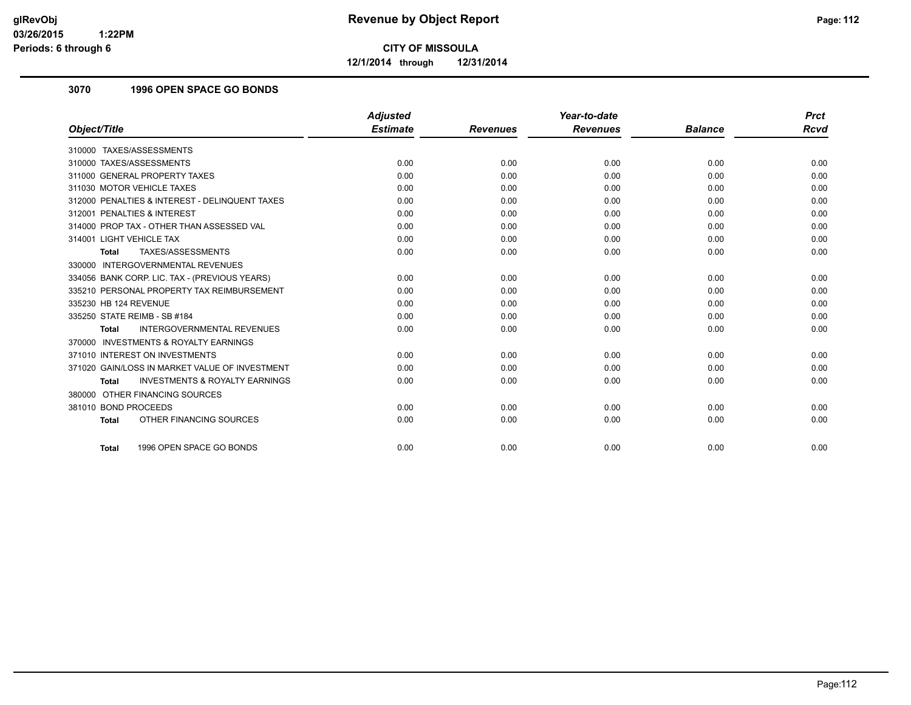**12/1/2014 through 12/31/2014**

### **3070 1996 OPEN SPACE GO BONDS**

|                                                           | <b>Adjusted</b> |                 | Year-to-date    |                | <b>Prct</b> |
|-----------------------------------------------------------|-----------------|-----------------|-----------------|----------------|-------------|
| Object/Title                                              | <b>Estimate</b> | <b>Revenues</b> | <b>Revenues</b> | <b>Balance</b> | Rcvd        |
| 310000 TAXES/ASSESSMENTS                                  |                 |                 |                 |                |             |
| 310000 TAXES/ASSESSMENTS                                  | 0.00            | 0.00            | 0.00            | 0.00           | 0.00        |
| 311000 GENERAL PROPERTY TAXES                             | 0.00            | 0.00            | 0.00            | 0.00           | 0.00        |
| 311030 MOTOR VEHICLE TAXES                                | 0.00            | 0.00            | 0.00            | 0.00           | 0.00        |
| 312000 PENALTIES & INTEREST - DELINQUENT TAXES            | 0.00            | 0.00            | 0.00            | 0.00           | 0.00        |
| 312001 PENALTIES & INTEREST                               | 0.00            | 0.00            | 0.00            | 0.00           | 0.00        |
| 314000 PROP TAX - OTHER THAN ASSESSED VAL                 | 0.00            | 0.00            | 0.00            | 0.00           | 0.00        |
| 314001 LIGHT VEHICLE TAX                                  | 0.00            | 0.00            | 0.00            | 0.00           | 0.00        |
| TAXES/ASSESSMENTS<br><b>Total</b>                         | 0.00            | 0.00            | 0.00            | 0.00           | 0.00        |
| 330000 INTERGOVERNMENTAL REVENUES                         |                 |                 |                 |                |             |
| 334056 BANK CORP. LIC. TAX - (PREVIOUS YEARS)             | 0.00            | 0.00            | 0.00            | 0.00           | 0.00        |
| 335210 PERSONAL PROPERTY TAX REIMBURSEMENT                | 0.00            | 0.00            | 0.00            | 0.00           | 0.00        |
| 335230 HB 124 REVENUE                                     | 0.00            | 0.00            | 0.00            | 0.00           | 0.00        |
| 335250 STATE REIMB - SB #184                              | 0.00            | 0.00            | 0.00            | 0.00           | 0.00        |
| <b>INTERGOVERNMENTAL REVENUES</b><br>Total                | 0.00            | 0.00            | 0.00            | 0.00           | 0.00        |
| 370000 INVESTMENTS & ROYALTY EARNINGS                     |                 |                 |                 |                |             |
| 371010 INTEREST ON INVESTMENTS                            | 0.00            | 0.00            | 0.00            | 0.00           | 0.00        |
| 371020 GAIN/LOSS IN MARKET VALUE OF INVESTMENT            | 0.00            | 0.00            | 0.00            | 0.00           | 0.00        |
| <b>INVESTMENTS &amp; ROYALTY EARNINGS</b><br><b>Total</b> | 0.00            | 0.00            | 0.00            | 0.00           | 0.00        |
| 380000 OTHER FINANCING SOURCES                            |                 |                 |                 |                |             |
| 381010 BOND PROCEEDS                                      | 0.00            | 0.00            | 0.00            | 0.00           | 0.00        |
| OTHER FINANCING SOURCES<br><b>Total</b>                   | 0.00            | 0.00            | 0.00            | 0.00           | 0.00        |
|                                                           |                 |                 |                 |                |             |
| 1996 OPEN SPACE GO BONDS<br><b>Total</b>                  | 0.00            | 0.00            | 0.00            | 0.00           | 0.00        |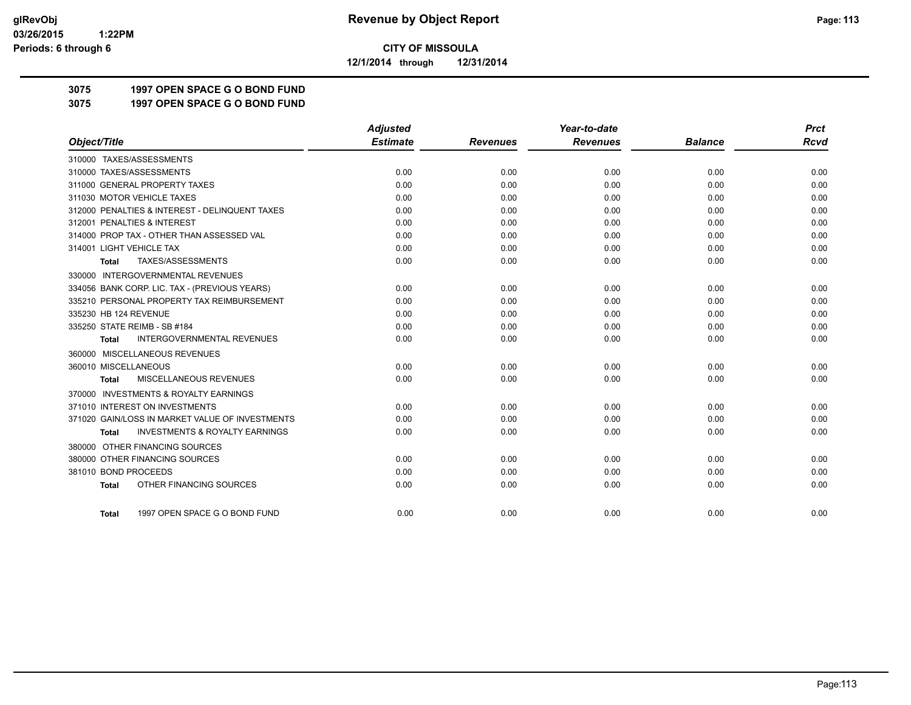**12/1/2014 through 12/31/2014**

## **3075 1997 OPEN SPACE G O BOND FUND**

**3075 1997 OPEN SPACE G O BOND FUND**

|                                                           | <b>Adjusted</b> |                 | Year-to-date    |                | <b>Prct</b> |
|-----------------------------------------------------------|-----------------|-----------------|-----------------|----------------|-------------|
| Object/Title                                              | <b>Estimate</b> | <b>Revenues</b> | <b>Revenues</b> | <b>Balance</b> | <b>Rcvd</b> |
| 310000 TAXES/ASSESSMENTS                                  |                 |                 |                 |                |             |
| 310000 TAXES/ASSESSMENTS                                  | 0.00            | 0.00            | 0.00            | 0.00           | 0.00        |
| 311000 GENERAL PROPERTY TAXES                             | 0.00            | 0.00            | 0.00            | 0.00           | 0.00        |
| 311030 MOTOR VEHICLE TAXES                                | 0.00            | 0.00            | 0.00            | 0.00           | 0.00        |
| 312000 PENALTIES & INTEREST - DELINQUENT TAXES            | 0.00            | 0.00            | 0.00            | 0.00           | 0.00        |
| 312001 PENALTIES & INTEREST                               | 0.00            | 0.00            | 0.00            | 0.00           | 0.00        |
| 314000 PROP TAX - OTHER THAN ASSESSED VAL                 | 0.00            | 0.00            | 0.00            | 0.00           | 0.00        |
| 314001 LIGHT VEHICLE TAX                                  | 0.00            | 0.00            | 0.00            | 0.00           | 0.00        |
| TAXES/ASSESSMENTS<br>Total                                | 0.00            | 0.00            | 0.00            | 0.00           | 0.00        |
| 330000 INTERGOVERNMENTAL REVENUES                         |                 |                 |                 |                |             |
| 334056 BANK CORP. LIC. TAX - (PREVIOUS YEARS)             | 0.00            | 0.00            | 0.00            | 0.00           | 0.00        |
| 335210 PERSONAL PROPERTY TAX REIMBURSEMENT                | 0.00            | 0.00            | 0.00            | 0.00           | 0.00        |
| 335230 HB 124 REVENUE                                     | 0.00            | 0.00            | 0.00            | 0.00           | 0.00        |
| 335250 STATE REIMB - SB #184                              | 0.00            | 0.00            | 0.00            | 0.00           | 0.00        |
| <b>INTERGOVERNMENTAL REVENUES</b><br><b>Total</b>         | 0.00            | 0.00            | 0.00            | 0.00           | 0.00        |
| 360000 MISCELLANEOUS REVENUES                             |                 |                 |                 |                |             |
| 360010 MISCELLANEOUS                                      | 0.00            | 0.00            | 0.00            | 0.00           | 0.00        |
| MISCELLANEOUS REVENUES<br><b>Total</b>                    | 0.00            | 0.00            | 0.00            | 0.00           | 0.00        |
| 370000 INVESTMENTS & ROYALTY EARNINGS                     |                 |                 |                 |                |             |
| 371010 INTEREST ON INVESTMENTS                            | 0.00            | 0.00            | 0.00            | 0.00           | 0.00        |
| 371020 GAIN/LOSS IN MARKET VALUE OF INVESTMENTS           | 0.00            | 0.00            | 0.00            | 0.00           | 0.00        |
| <b>INVESTMENTS &amp; ROYALTY EARNINGS</b><br><b>Total</b> | 0.00            | 0.00            | 0.00            | 0.00           | 0.00        |
| 380000 OTHER FINANCING SOURCES                            |                 |                 |                 |                |             |
| 380000 OTHER FINANCING SOURCES                            | 0.00            | 0.00            | 0.00            | 0.00           | 0.00        |
| 381010 BOND PROCEEDS                                      | 0.00            | 0.00            | 0.00            | 0.00           | 0.00        |
| OTHER FINANCING SOURCES<br><b>Total</b>                   | 0.00            | 0.00            | 0.00            | 0.00           | 0.00        |
|                                                           |                 |                 |                 |                |             |
| 1997 OPEN SPACE G O BOND FUND<br><b>Total</b>             | 0.00            | 0.00            | 0.00            | 0.00           | 0.00        |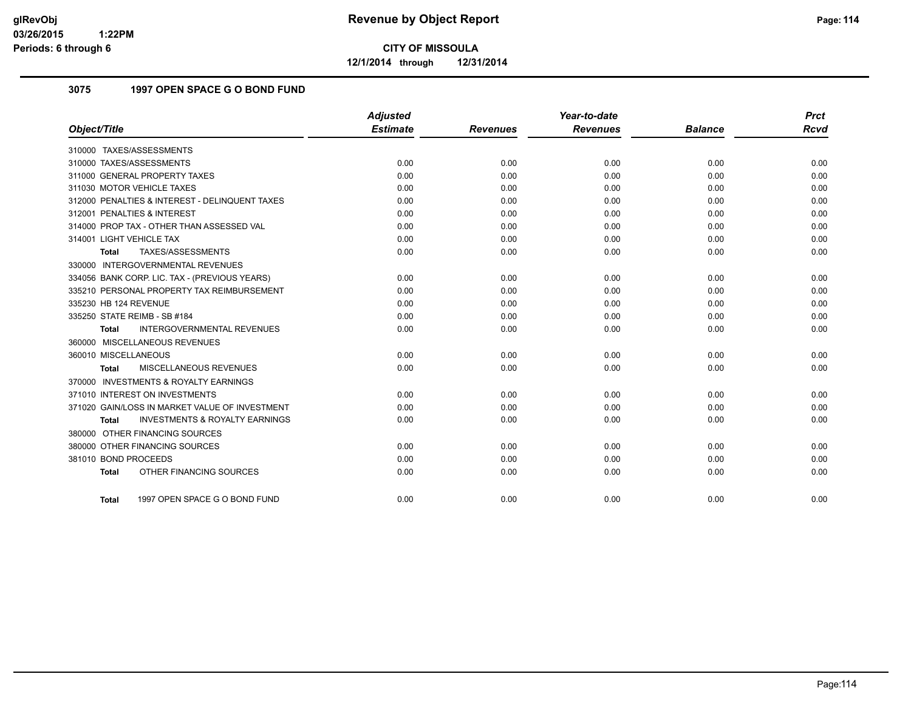**12/1/2014 through 12/31/2014**

## **3075 1997 OPEN SPACE G O BOND FUND**

|                                                    | <b>Adjusted</b> |                 | Year-to-date    |                | <b>Prct</b> |
|----------------------------------------------------|-----------------|-----------------|-----------------|----------------|-------------|
| Object/Title                                       | <b>Estimate</b> | <b>Revenues</b> | <b>Revenues</b> | <b>Balance</b> | <b>Rcvd</b> |
| 310000 TAXES/ASSESSMENTS                           |                 |                 |                 |                |             |
| 310000 TAXES/ASSESSMENTS                           | 0.00            | 0.00            | 0.00            | 0.00           | 0.00        |
| 311000 GENERAL PROPERTY TAXES                      | 0.00            | 0.00            | 0.00            | 0.00           | 0.00        |
| 311030 MOTOR VEHICLE TAXES                         | 0.00            | 0.00            | 0.00            | 0.00           | 0.00        |
| 312000 PENALTIES & INTEREST - DELINQUENT TAXES     | 0.00            | 0.00            | 0.00            | 0.00           | 0.00        |
| 312001 PENALTIES & INTEREST                        | 0.00            | 0.00            | 0.00            | 0.00           | 0.00        |
| 314000 PROP TAX - OTHER THAN ASSESSED VAL          | 0.00            | 0.00            | 0.00            | 0.00           | 0.00        |
| 314001 LIGHT VEHICLE TAX                           | 0.00            | 0.00            | 0.00            | 0.00           | 0.00        |
| TAXES/ASSESSMENTS<br><b>Total</b>                  | 0.00            | 0.00            | 0.00            | 0.00           | 0.00        |
| 330000 INTERGOVERNMENTAL REVENUES                  |                 |                 |                 |                |             |
| 334056 BANK CORP. LIC. TAX - (PREVIOUS YEARS)      | 0.00            | 0.00            | 0.00            | 0.00           | 0.00        |
| 335210 PERSONAL PROPERTY TAX REIMBURSEMENT         | 0.00            | 0.00            | 0.00            | 0.00           | 0.00        |
| 335230 HB 124 REVENUE                              | 0.00            | 0.00            | 0.00            | 0.00           | 0.00        |
| 335250 STATE REIMB - SB #184                       | 0.00            | 0.00            | 0.00            | 0.00           | 0.00        |
| <b>INTERGOVERNMENTAL REVENUES</b><br><b>Total</b>  | 0.00            | 0.00            | 0.00            | 0.00           | 0.00        |
| 360000 MISCELLANEOUS REVENUES                      |                 |                 |                 |                |             |
| 360010 MISCELLANEOUS                               | 0.00            | 0.00            | 0.00            | 0.00           | 0.00        |
| MISCELLANEOUS REVENUES<br>Total                    | 0.00            | 0.00            | 0.00            | 0.00           | 0.00        |
| 370000 INVESTMENTS & ROYALTY EARNINGS              |                 |                 |                 |                |             |
| 371010 INTEREST ON INVESTMENTS                     | 0.00            | 0.00            | 0.00            | 0.00           | 0.00        |
| 371020 GAIN/LOSS IN MARKET VALUE OF INVESTMENT     | 0.00            | 0.00            | 0.00            | 0.00           | 0.00        |
| <b>INVESTMENTS &amp; ROYALTY EARNINGS</b><br>Total | 0.00            | 0.00            | 0.00            | 0.00           | 0.00        |
| 380000 OTHER FINANCING SOURCES                     |                 |                 |                 |                |             |
| 380000 OTHER FINANCING SOURCES                     | 0.00            | 0.00            | 0.00            | 0.00           | 0.00        |
| 381010 BOND PROCEEDS                               | 0.00            | 0.00            | 0.00            | 0.00           | 0.00        |
| OTHER FINANCING SOURCES<br><b>Total</b>            | 0.00            | 0.00            | 0.00            | 0.00           | 0.00        |
| 1997 OPEN SPACE G O BOND FUND<br>Total             | 0.00            | 0.00            | 0.00            | 0.00           | 0.00        |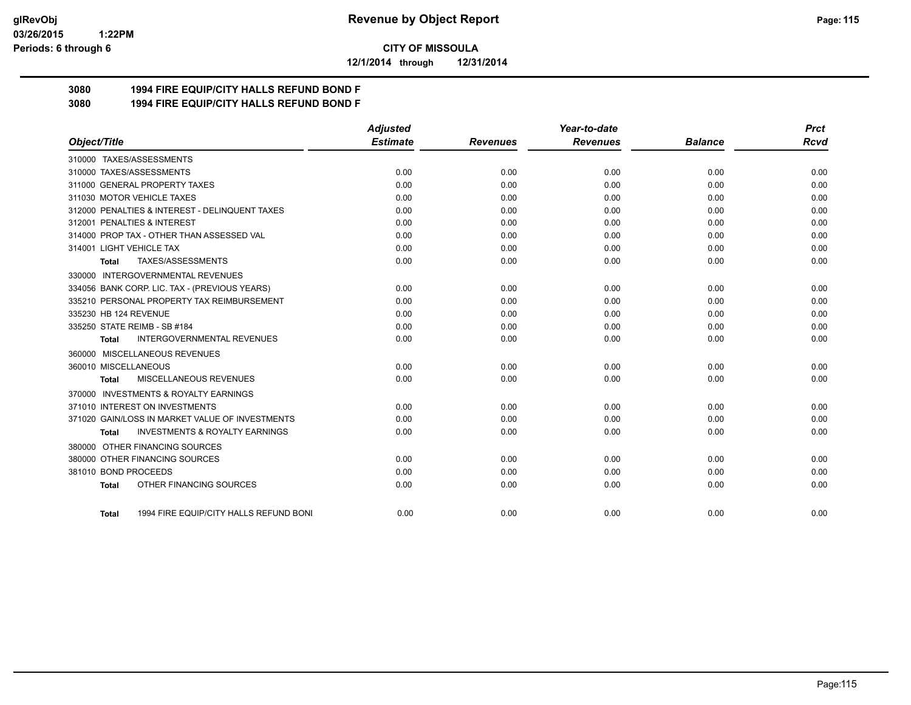**12/1/2014 through 12/31/2014**

## **3080 1994 FIRE EQUIP/CITY HALLS REFUND BOND F**

**3080 1994 FIRE EQUIP/CITY HALLS REFUND BOND F**

|                                                           | <b>Adjusted</b> |                 | Year-to-date    |                | <b>Prct</b> |
|-----------------------------------------------------------|-----------------|-----------------|-----------------|----------------|-------------|
| Object/Title                                              | <b>Estimate</b> | <b>Revenues</b> | <b>Revenues</b> | <b>Balance</b> | Rcvd        |
| 310000 TAXES/ASSESSMENTS                                  |                 |                 |                 |                |             |
| 310000 TAXES/ASSESSMENTS                                  | 0.00            | 0.00            | 0.00            | 0.00           | 0.00        |
| 311000 GENERAL PROPERTY TAXES                             | 0.00            | 0.00            | 0.00            | 0.00           | 0.00        |
| 311030 MOTOR VEHICLE TAXES                                | 0.00            | 0.00            | 0.00            | 0.00           | 0.00        |
| 312000 PENALTIES & INTEREST - DELINQUENT TAXES            | 0.00            | 0.00            | 0.00            | 0.00           | 0.00        |
| 312001 PENALTIES & INTEREST                               | 0.00            | 0.00            | 0.00            | 0.00           | 0.00        |
| 314000 PROP TAX - OTHER THAN ASSESSED VAL                 | 0.00            | 0.00            | 0.00            | 0.00           | 0.00        |
| 314001 LIGHT VEHICLE TAX                                  | 0.00            | 0.00            | 0.00            | 0.00           | 0.00        |
| TAXES/ASSESSMENTS<br><b>Total</b>                         | 0.00            | 0.00            | 0.00            | 0.00           | 0.00        |
| 330000 INTERGOVERNMENTAL REVENUES                         |                 |                 |                 |                |             |
| 334056 BANK CORP. LIC. TAX - (PREVIOUS YEARS)             | 0.00            | 0.00            | 0.00            | 0.00           | 0.00        |
| 335210 PERSONAL PROPERTY TAX REIMBURSEMENT                | 0.00            | 0.00            | 0.00            | 0.00           | 0.00        |
| 335230 HB 124 REVENUE                                     | 0.00            | 0.00            | 0.00            | 0.00           | 0.00        |
| 335250 STATE REIMB - SB #184                              | 0.00            | 0.00            | 0.00            | 0.00           | 0.00        |
| <b>INTERGOVERNMENTAL REVENUES</b><br>Total                | 0.00            | 0.00            | 0.00            | 0.00           | 0.00        |
| 360000 MISCELLANEOUS REVENUES                             |                 |                 |                 |                |             |
| 360010 MISCELLANEOUS                                      | 0.00            | 0.00            | 0.00            | 0.00           | 0.00        |
| MISCELLANEOUS REVENUES<br><b>Total</b>                    | 0.00            | 0.00            | 0.00            | 0.00           | 0.00        |
| 370000 INVESTMENTS & ROYALTY EARNINGS                     |                 |                 |                 |                |             |
| 371010 INTEREST ON INVESTMENTS                            | 0.00            | 0.00            | 0.00            | 0.00           | 0.00        |
| 371020 GAIN/LOSS IN MARKET VALUE OF INVESTMENTS           | 0.00            | 0.00            | 0.00            | 0.00           | 0.00        |
| <b>INVESTMENTS &amp; ROYALTY EARNINGS</b><br><b>Total</b> | 0.00            | 0.00            | 0.00            | 0.00           | 0.00        |
| 380000 OTHER FINANCING SOURCES                            |                 |                 |                 |                |             |
| 380000 OTHER FINANCING SOURCES                            | 0.00            | 0.00            | 0.00            | 0.00           | 0.00        |
| 381010 BOND PROCEEDS                                      | 0.00            | 0.00            | 0.00            | 0.00           | 0.00        |
| OTHER FINANCING SOURCES<br><b>Total</b>                   | 0.00            | 0.00            | 0.00            | 0.00           | 0.00        |
| 1994 FIRE EQUIP/CITY HALLS REFUND BONI<br>Total           | 0.00            | 0.00            | 0.00            | 0.00           | 0.00        |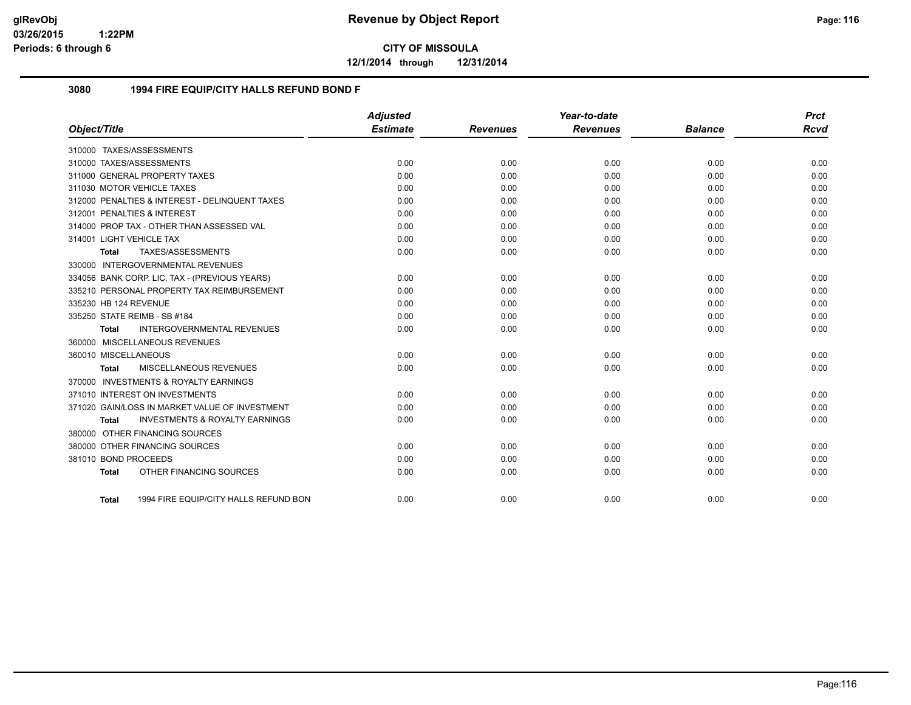**12/1/2014 through 12/31/2014**

#### **3080 1994 FIRE EQUIP/CITY HALLS REFUND BOND F**

|                          |                                                | <b>Adjusted</b> |                 | Year-to-date    |                | <b>Prct</b> |
|--------------------------|------------------------------------------------|-----------------|-----------------|-----------------|----------------|-------------|
| Object/Title             |                                                | <b>Estimate</b> | <b>Revenues</b> | <b>Revenues</b> | <b>Balance</b> | <b>Rcvd</b> |
|                          | 310000 TAXES/ASSESSMENTS                       |                 |                 |                 |                |             |
|                          | 310000 TAXES/ASSESSMENTS                       | 0.00            | 0.00            | 0.00            | 0.00           | 0.00        |
|                          | 311000 GENERAL PROPERTY TAXES                  | 0.00            | 0.00            | 0.00            | 0.00           | 0.00        |
|                          | 311030 MOTOR VEHICLE TAXES                     | 0.00            | 0.00            | 0.00            | 0.00           | 0.00        |
|                          | 312000 PENALTIES & INTEREST - DELINQUENT TAXES | 0.00            | 0.00            | 0.00            | 0.00           | 0.00        |
|                          | 312001 PENALTIES & INTEREST                    | 0.00            | 0.00            | 0.00            | 0.00           | 0.00        |
|                          | 314000 PROP TAX - OTHER THAN ASSESSED VAL      | 0.00            | 0.00            | 0.00            | 0.00           | 0.00        |
| 314001 LIGHT VEHICLE TAX |                                                | 0.00            | 0.00            | 0.00            | 0.00           | 0.00        |
| <b>Total</b>             | TAXES/ASSESSMENTS                              | 0.00            | 0.00            | 0.00            | 0.00           | 0.00        |
|                          | 330000 INTERGOVERNMENTAL REVENUES              |                 |                 |                 |                |             |
|                          | 334056 BANK CORP. LIC. TAX - (PREVIOUS YEARS)  | 0.00            | 0.00            | 0.00            | 0.00           | 0.00        |
|                          | 335210 PERSONAL PROPERTY TAX REIMBURSEMENT     | 0.00            | 0.00            | 0.00            | 0.00           | 0.00        |
| 335230 HB 124 REVENUE    |                                                | 0.00            | 0.00            | 0.00            | 0.00           | 0.00        |
|                          | 335250 STATE REIMB - SB #184                   | 0.00            | 0.00            | 0.00            | 0.00           | 0.00        |
| <b>Total</b>             | <b>INTERGOVERNMENTAL REVENUES</b>              | 0.00            | 0.00            | 0.00            | 0.00           | 0.00        |
|                          | 360000 MISCELLANEOUS REVENUES                  |                 |                 |                 |                |             |
| 360010 MISCELLANEOUS     |                                                | 0.00            | 0.00            | 0.00            | 0.00           | 0.00        |
| Total                    | MISCELLANEOUS REVENUES                         | 0.00            | 0.00            | 0.00            | 0.00           | 0.00        |
|                          | 370000 INVESTMENTS & ROYALTY EARNINGS          |                 |                 |                 |                |             |
|                          | 371010 INTEREST ON INVESTMENTS                 | 0.00            | 0.00            | 0.00            | 0.00           | 0.00        |
|                          | 371020 GAIN/LOSS IN MARKET VALUE OF INVESTMENT | 0.00            | 0.00            | 0.00            | 0.00           | 0.00        |
| Total                    | <b>INVESTMENTS &amp; ROYALTY EARNINGS</b>      | 0.00            | 0.00            | 0.00            | 0.00           | 0.00        |
|                          | 380000 OTHER FINANCING SOURCES                 |                 |                 |                 |                |             |
|                          | 380000 OTHER FINANCING SOURCES                 | 0.00            | 0.00            | 0.00            | 0.00           | 0.00        |
| 381010 BOND PROCEEDS     |                                                | 0.00            | 0.00            | 0.00            | 0.00           | 0.00        |
| <b>Total</b>             | OTHER FINANCING SOURCES                        | 0.00            | 0.00            | 0.00            | 0.00           | 0.00        |
|                          |                                                |                 |                 |                 |                |             |
| Total                    | 1994 FIRE EQUIP/CITY HALLS REFUND BON          | 0.00            | 0.00            | 0.00            | 0.00           | 0.00        |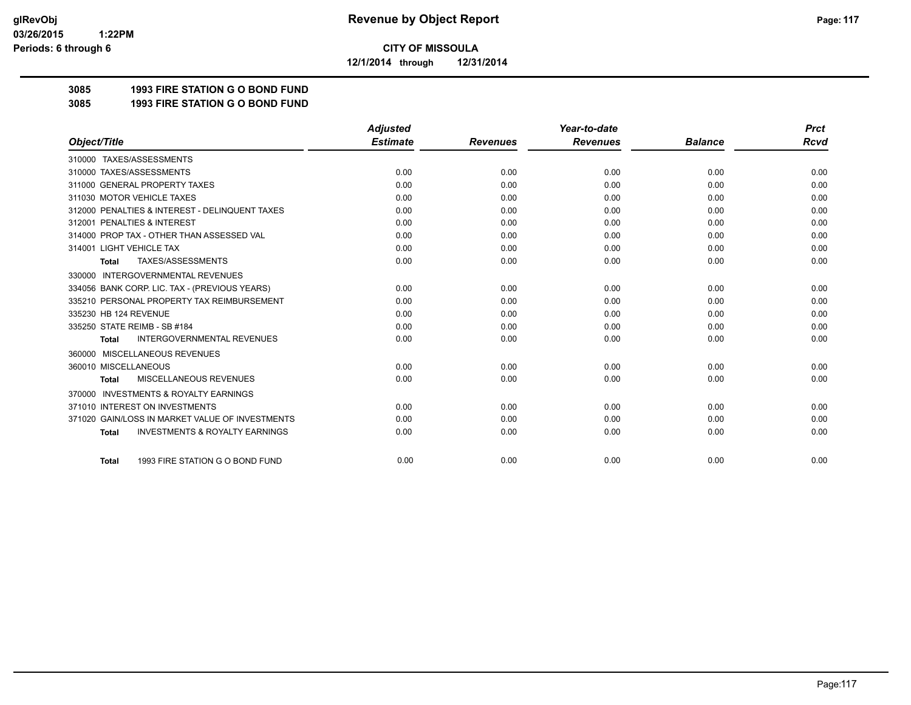**12/1/2014 through 12/31/2014**

## **3085 1993 FIRE STATION G O BOND FUND**

**3085 1993 FIRE STATION G O BOND FUND**

|                                                           | <b>Adjusted</b> |                 | Year-to-date    |                | <b>Prct</b> |
|-----------------------------------------------------------|-----------------|-----------------|-----------------|----------------|-------------|
| Object/Title                                              | <b>Estimate</b> | <b>Revenues</b> | <b>Revenues</b> | <b>Balance</b> | <b>Rcvd</b> |
| 310000 TAXES/ASSESSMENTS                                  |                 |                 |                 |                |             |
| 310000 TAXES/ASSESSMENTS                                  | 0.00            | 0.00            | 0.00            | 0.00           | 0.00        |
| 311000 GENERAL PROPERTY TAXES                             | 0.00            | 0.00            | 0.00            | 0.00           | 0.00        |
| 311030 MOTOR VEHICLE TAXES                                | 0.00            | 0.00            | 0.00            | 0.00           | 0.00        |
| 312000 PENALTIES & INTEREST - DELINQUENT TAXES            | 0.00            | 0.00            | 0.00            | 0.00           | 0.00        |
| 312001 PENALTIES & INTEREST                               | 0.00            | 0.00            | 0.00            | 0.00           | 0.00        |
| 314000 PROP TAX - OTHER THAN ASSESSED VAL                 | 0.00            | 0.00            | 0.00            | 0.00           | 0.00        |
| 314001 LIGHT VEHICLE TAX                                  | 0.00            | 0.00            | 0.00            | 0.00           | 0.00        |
| TAXES/ASSESSMENTS<br><b>Total</b>                         | 0.00            | 0.00            | 0.00            | 0.00           | 0.00        |
| <b>INTERGOVERNMENTAL REVENUES</b><br>330000               |                 |                 |                 |                |             |
| 334056 BANK CORP. LIC. TAX - (PREVIOUS YEARS)             | 0.00            | 0.00            | 0.00            | 0.00           | 0.00        |
| 335210 PERSONAL PROPERTY TAX REIMBURSEMENT                | 0.00            | 0.00            | 0.00            | 0.00           | 0.00        |
| 335230 HB 124 REVENUE                                     | 0.00            | 0.00            | 0.00            | 0.00           | 0.00        |
| 335250 STATE REIMB - SB #184                              | 0.00            | 0.00            | 0.00            | 0.00           | 0.00        |
| <b>INTERGOVERNMENTAL REVENUES</b><br><b>Total</b>         | 0.00            | 0.00            | 0.00            | 0.00           | 0.00        |
| MISCELLANEOUS REVENUES<br>360000                          |                 |                 |                 |                |             |
| 360010 MISCELLANEOUS                                      | 0.00            | 0.00            | 0.00            | 0.00           | 0.00        |
| MISCELLANEOUS REVENUES<br><b>Total</b>                    | 0.00            | 0.00            | 0.00            | 0.00           | 0.00        |
| <b>INVESTMENTS &amp; ROYALTY EARNINGS</b><br>370000       |                 |                 |                 |                |             |
| 371010 INTEREST ON INVESTMENTS                            | 0.00            | 0.00            | 0.00            | 0.00           | 0.00        |
| 371020 GAIN/LOSS IN MARKET VALUE OF INVESTMENTS           | 0.00            | 0.00            | 0.00            | 0.00           | 0.00        |
| <b>INVESTMENTS &amp; ROYALTY EARNINGS</b><br><b>Total</b> | 0.00            | 0.00            | 0.00            | 0.00           | 0.00        |
| 1993 FIRE STATION G O BOND FUND<br><b>Total</b>           | 0.00            | 0.00            | 0.00            | 0.00           | 0.00        |
|                                                           |                 |                 |                 |                |             |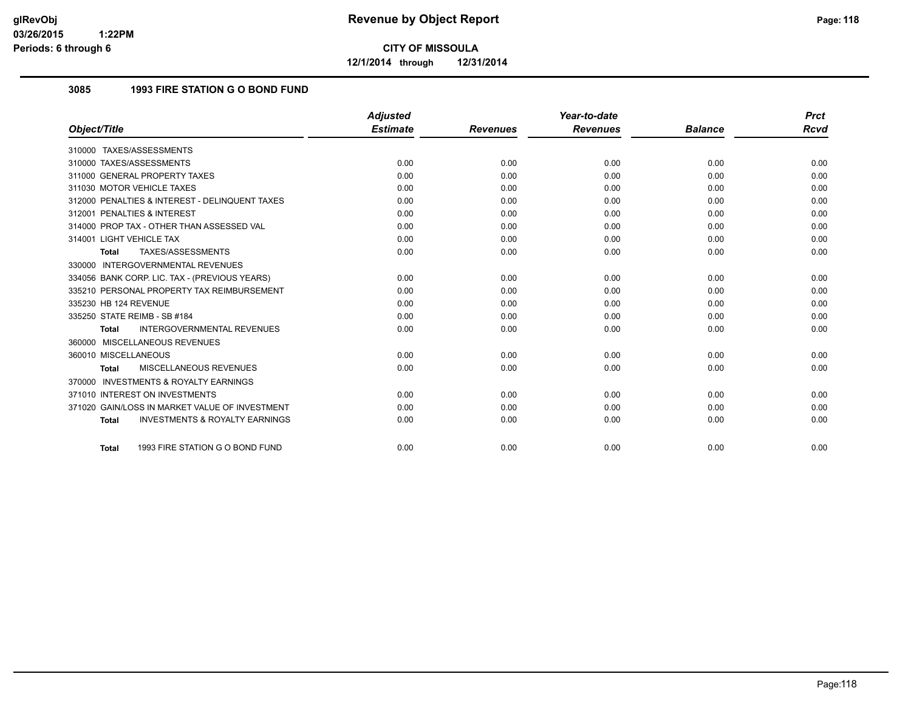**12/1/2014 through 12/31/2014**

## **3085 1993 FIRE STATION G O BOND FUND**

|                                                           | <b>Adjusted</b> |                 | Year-to-date    |                | <b>Prct</b> |
|-----------------------------------------------------------|-----------------|-----------------|-----------------|----------------|-------------|
| Object/Title                                              | <b>Estimate</b> | <b>Revenues</b> | <b>Revenues</b> | <b>Balance</b> | Rcvd        |
| 310000 TAXES/ASSESSMENTS                                  |                 |                 |                 |                |             |
| 310000 TAXES/ASSESSMENTS                                  | 0.00            | 0.00            | 0.00            | 0.00           | 0.00        |
| 311000 GENERAL PROPERTY TAXES                             | 0.00            | 0.00            | 0.00            | 0.00           | 0.00        |
| 311030 MOTOR VEHICLE TAXES                                | 0.00            | 0.00            | 0.00            | 0.00           | 0.00        |
| 312000 PENALTIES & INTEREST - DELINQUENT TAXES            | 0.00            | 0.00            | 0.00            | 0.00           | 0.00        |
| 312001 PENALTIES & INTEREST                               | 0.00            | 0.00            | 0.00            | 0.00           | 0.00        |
| 314000 PROP TAX - OTHER THAN ASSESSED VAL                 | 0.00            | 0.00            | 0.00            | 0.00           | 0.00        |
| 314001 LIGHT VEHICLE TAX                                  | 0.00            | 0.00            | 0.00            | 0.00           | 0.00        |
| TAXES/ASSESSMENTS<br><b>Total</b>                         | 0.00            | 0.00            | 0.00            | 0.00           | 0.00        |
| 330000 INTERGOVERNMENTAL REVENUES                         |                 |                 |                 |                |             |
| 334056 BANK CORP. LIC. TAX - (PREVIOUS YEARS)             | 0.00            | 0.00            | 0.00            | 0.00           | 0.00        |
| 335210 PERSONAL PROPERTY TAX REIMBURSEMENT                | 0.00            | 0.00            | 0.00            | 0.00           | 0.00        |
| 335230 HB 124 REVENUE                                     | 0.00            | 0.00            | 0.00            | 0.00           | 0.00        |
| 335250 STATE REIMB - SB #184                              | 0.00            | 0.00            | 0.00            | 0.00           | 0.00        |
| <b>INTERGOVERNMENTAL REVENUES</b><br><b>Total</b>         | 0.00            | 0.00            | 0.00            | 0.00           | 0.00        |
| 360000 MISCELLANEOUS REVENUES                             |                 |                 |                 |                |             |
| 360010 MISCELLANEOUS                                      | 0.00            | 0.00            | 0.00            | 0.00           | 0.00        |
| <b>MISCELLANEOUS REVENUES</b><br><b>Total</b>             | 0.00            | 0.00            | 0.00            | 0.00           | 0.00        |
| 370000 INVESTMENTS & ROYALTY EARNINGS                     |                 |                 |                 |                |             |
| 371010 INTEREST ON INVESTMENTS                            | 0.00            | 0.00            | 0.00            | 0.00           | 0.00        |
| 371020 GAIN/LOSS IN MARKET VALUE OF INVESTMENT            | 0.00            | 0.00            | 0.00            | 0.00           | 0.00        |
| <b>INVESTMENTS &amp; ROYALTY EARNINGS</b><br><b>Total</b> | 0.00            | 0.00            | 0.00            | 0.00           | 0.00        |
| 1993 FIRE STATION G O BOND FUND<br><b>Total</b>           | 0.00            | 0.00            | 0.00            | 0.00           | 0.00        |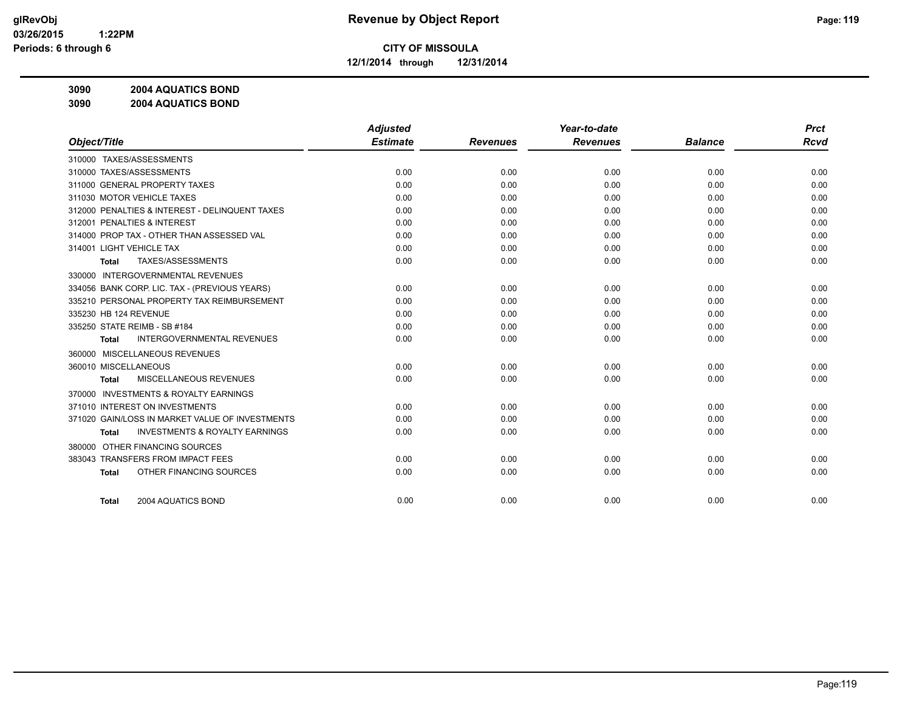**12/1/2014 through 12/31/2014**

**3090 2004 AQUATICS BOND**

**3090 2004 AQUATICS BOND**

|                                                     | <b>Adjusted</b> |                 | Year-to-date    |                | <b>Prct</b> |
|-----------------------------------------------------|-----------------|-----------------|-----------------|----------------|-------------|
| Object/Title                                        | <b>Estimate</b> | <b>Revenues</b> | <b>Revenues</b> | <b>Balance</b> | <b>Rcvd</b> |
| 310000 TAXES/ASSESSMENTS                            |                 |                 |                 |                |             |
| 310000 TAXES/ASSESSMENTS                            | 0.00            | 0.00            | 0.00            | 0.00           | 0.00        |
| 311000 GENERAL PROPERTY TAXES                       | 0.00            | 0.00            | 0.00            | 0.00           | 0.00        |
| 311030 MOTOR VEHICLE TAXES                          | 0.00            | 0.00            | 0.00            | 0.00           | 0.00        |
| 312000 PENALTIES & INTEREST - DELINQUENT TAXES      | 0.00            | 0.00            | 0.00            | 0.00           | 0.00        |
| 312001 PENALTIES & INTEREST                         | 0.00            | 0.00            | 0.00            | 0.00           | 0.00        |
| 314000 PROP TAX - OTHER THAN ASSESSED VAL           | 0.00            | 0.00            | 0.00            | 0.00           | 0.00        |
| 314001 LIGHT VEHICLE TAX                            | 0.00            | 0.00            | 0.00            | 0.00           | 0.00        |
| TAXES/ASSESSMENTS<br>Total                          | 0.00            | 0.00            | 0.00            | 0.00           | 0.00        |
| INTERGOVERNMENTAL REVENUES<br>330000                |                 |                 |                 |                |             |
| 334056 BANK CORP. LIC. TAX - (PREVIOUS YEARS)       | 0.00            | 0.00            | 0.00            | 0.00           | 0.00        |
| 335210 PERSONAL PROPERTY TAX REIMBURSEMENT          | 0.00            | 0.00            | 0.00            | 0.00           | 0.00        |
| 335230 HB 124 REVENUE                               | 0.00            | 0.00            | 0.00            | 0.00           | 0.00        |
| 335250 STATE REIMB - SB #184                        | 0.00            | 0.00            | 0.00            | 0.00           | 0.00        |
| <b>INTERGOVERNMENTAL REVENUES</b><br><b>Total</b>   | 0.00            | 0.00            | 0.00            | 0.00           | 0.00        |
| 360000 MISCELLANEOUS REVENUES                       |                 |                 |                 |                |             |
| 360010 MISCELLANEOUS                                | 0.00            | 0.00            | 0.00            | 0.00           | 0.00        |
| <b>MISCELLANEOUS REVENUES</b><br>Total              | 0.00            | 0.00            | 0.00            | 0.00           | 0.00        |
| <b>INVESTMENTS &amp; ROYALTY EARNINGS</b><br>370000 |                 |                 |                 |                |             |
| 371010 INTEREST ON INVESTMENTS                      | 0.00            | 0.00            | 0.00            | 0.00           | 0.00        |
| 371020 GAIN/LOSS IN MARKET VALUE OF INVESTMENTS     | 0.00            | 0.00            | 0.00            | 0.00           | 0.00        |
| <b>INVESTMENTS &amp; ROYALTY EARNINGS</b><br>Total  | 0.00            | 0.00            | 0.00            | 0.00           | 0.00        |
| OTHER FINANCING SOURCES<br>380000                   |                 |                 |                 |                |             |
| 383043 TRANSFERS FROM IMPACT FEES                   | 0.00            | 0.00            | 0.00            | 0.00           | 0.00        |
| OTHER FINANCING SOURCES<br>Total                    | 0.00            | 0.00            | 0.00            | 0.00           | 0.00        |
|                                                     |                 |                 |                 |                |             |
| 2004 AQUATICS BOND<br><b>Total</b>                  | 0.00            | 0.00            | 0.00            | 0.00           | 0.00        |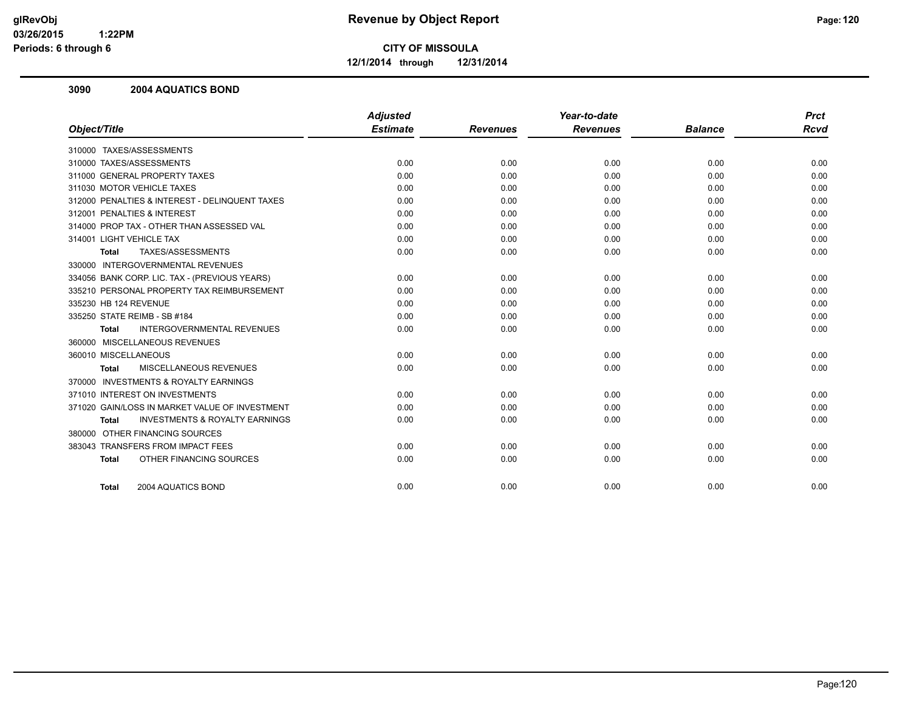**12/1/2014 through 12/31/2014**

#### **3090 2004 AQUATICS BOND**

|                                                    | <b>Adjusted</b> |                 | Year-to-date    |                | <b>Prct</b> |
|----------------------------------------------------|-----------------|-----------------|-----------------|----------------|-------------|
| Object/Title                                       | <b>Estimate</b> | <b>Revenues</b> | <b>Revenues</b> | <b>Balance</b> | <b>Rcvd</b> |
| 310000 TAXES/ASSESSMENTS                           |                 |                 |                 |                |             |
| 310000 TAXES/ASSESSMENTS                           | 0.00            | 0.00            | 0.00            | 0.00           | 0.00        |
| 311000 GENERAL PROPERTY TAXES                      | 0.00            | 0.00            | 0.00            | 0.00           | 0.00        |
| 311030 MOTOR VEHICLE TAXES                         | 0.00            | 0.00            | 0.00            | 0.00           | 0.00        |
| 312000 PENALTIES & INTEREST - DELINQUENT TAXES     | 0.00            | 0.00            | 0.00            | 0.00           | 0.00        |
| 312001 PENALTIES & INTEREST                        | 0.00            | 0.00            | 0.00            | 0.00           | 0.00        |
| 314000 PROP TAX - OTHER THAN ASSESSED VAL          | 0.00            | 0.00            | 0.00            | 0.00           | 0.00        |
| 314001 LIGHT VEHICLE TAX                           | 0.00            | 0.00            | 0.00            | 0.00           | 0.00        |
| TAXES/ASSESSMENTS<br><b>Total</b>                  | 0.00            | 0.00            | 0.00            | 0.00           | 0.00        |
| 330000 INTERGOVERNMENTAL REVENUES                  |                 |                 |                 |                |             |
| 334056 BANK CORP. LIC. TAX - (PREVIOUS YEARS)      | 0.00            | 0.00            | 0.00            | 0.00           | 0.00        |
| 335210 PERSONAL PROPERTY TAX REIMBURSEMENT         | 0.00            | 0.00            | 0.00            | 0.00           | 0.00        |
| 335230 HB 124 REVENUE                              | 0.00            | 0.00            | 0.00            | 0.00           | 0.00        |
| 335250 STATE REIMB - SB #184                       | 0.00            | 0.00            | 0.00            | 0.00           | 0.00        |
| <b>INTERGOVERNMENTAL REVENUES</b><br><b>Total</b>  | 0.00            | 0.00            | 0.00            | 0.00           | 0.00        |
| 360000 MISCELLANEOUS REVENUES                      |                 |                 |                 |                |             |
| 360010 MISCELLANEOUS                               | 0.00            | 0.00            | 0.00            | 0.00           | 0.00        |
| MISCELLANEOUS REVENUES<br>Total                    | 0.00            | 0.00            | 0.00            | 0.00           | 0.00        |
| 370000 INVESTMENTS & ROYALTY EARNINGS              |                 |                 |                 |                |             |
| 371010 INTEREST ON INVESTMENTS                     | 0.00            | 0.00            | 0.00            | 0.00           | 0.00        |
| 371020 GAIN/LOSS IN MARKET VALUE OF INVESTMENT     | 0.00            | 0.00            | 0.00            | 0.00           | 0.00        |
| <b>INVESTMENTS &amp; ROYALTY EARNINGS</b><br>Total | 0.00            | 0.00            | 0.00            | 0.00           | 0.00        |
| 380000 OTHER FINANCING SOURCES                     |                 |                 |                 |                |             |
| 383043 TRANSFERS FROM IMPACT FEES                  | 0.00            | 0.00            | 0.00            | 0.00           | 0.00        |
| OTHER FINANCING SOURCES<br><b>Total</b>            | 0.00            | 0.00            | 0.00            | 0.00           | 0.00        |
| 2004 AQUATICS BOND<br>Total                        | 0.00            | 0.00            | 0.00            | 0.00           | 0.00        |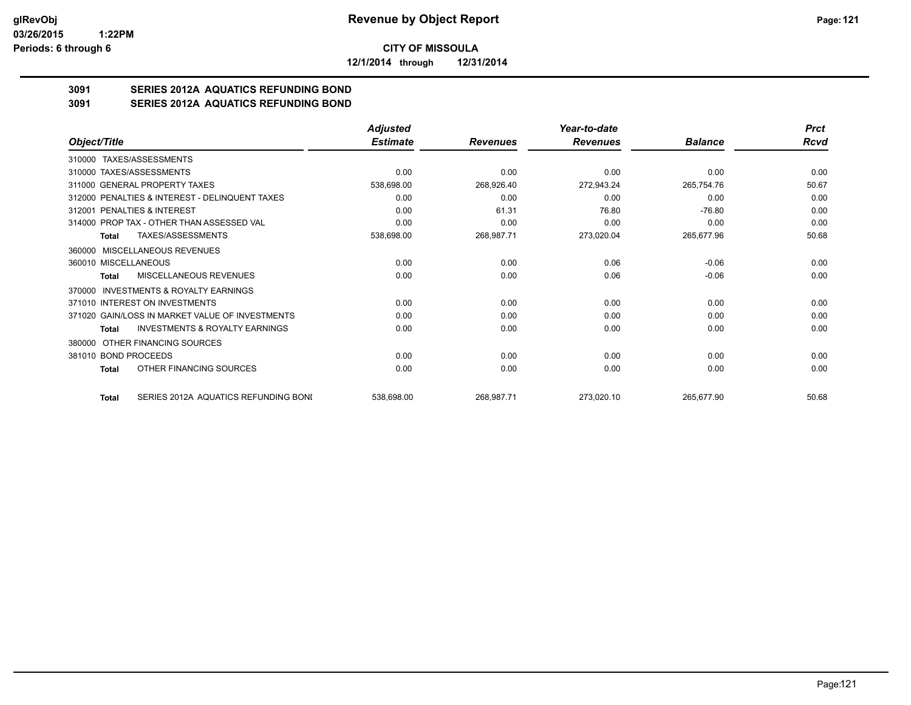**12/1/2014 through 12/31/2014**

# **3091 SERIES 2012A AQUATICS REFUNDING BOND**

**3091 SERIES 2012A AQUATICS REFUNDING BOND**

|                                                      | <b>Adjusted</b> |                 | Year-to-date    |                | <b>Prct</b> |
|------------------------------------------------------|-----------------|-----------------|-----------------|----------------|-------------|
| Object/Title                                         | <b>Estimate</b> | <b>Revenues</b> | <b>Revenues</b> | <b>Balance</b> | Rcvd        |
| 310000 TAXES/ASSESSMENTS                             |                 |                 |                 |                |             |
| 310000 TAXES/ASSESSMENTS                             | 0.00            | 0.00            | 0.00            | 0.00           | 0.00        |
| 311000 GENERAL PROPERTY TAXES                        | 538,698.00      | 268,926.40      | 272,943.24      | 265,754.76     | 50.67       |
| 312000 PENALTIES & INTEREST - DELINQUENT TAXES       | 0.00            | 0.00            | 0.00            | 0.00           | 0.00        |
| 312001 PENALTIES & INTEREST                          | 0.00            | 61.31           | 76.80           | $-76.80$       | 0.00        |
| 314000 PROP TAX - OTHER THAN ASSESSED VAL            | 0.00            | 0.00            | 0.00            | 0.00           | 0.00        |
| <b>TAXES/ASSESSMENTS</b><br>Total                    | 538,698.00      | 268,987.71      | 273,020.04      | 265,677.96     | 50.68       |
| 360000 MISCELLANEOUS REVENUES                        |                 |                 |                 |                |             |
| 360010 MISCELLANEOUS                                 | 0.00            | 0.00            | 0.06            | $-0.06$        | 0.00        |
| MISCELLANEOUS REVENUES<br>Total                      | 0.00            | 0.00            | 0.06            | $-0.06$        | 0.00        |
| <b>INVESTMENTS &amp; ROYALTY EARNINGS</b><br>370000  |                 |                 |                 |                |             |
| 371010 INTEREST ON INVESTMENTS                       | 0.00            | 0.00            | 0.00            | 0.00           | 0.00        |
| 371020 GAIN/LOSS IN MARKET VALUE OF INVESTMENTS      | 0.00            | 0.00            | 0.00            | 0.00           | 0.00        |
| <b>INVESTMENTS &amp; ROYALTY EARNINGS</b><br>Total   | 0.00            | 0.00            | 0.00            | 0.00           | 0.00        |
| OTHER FINANCING SOURCES<br>380000                    |                 |                 |                 |                |             |
| 381010 BOND PROCEEDS                                 | 0.00            | 0.00            | 0.00            | 0.00           | 0.00        |
| OTHER FINANCING SOURCES<br>Total                     | 0.00            | 0.00            | 0.00            | 0.00           | 0.00        |
| SERIES 2012A AQUATICS REFUNDING BONI<br><b>Total</b> | 538,698.00      | 268,987.71      | 273,020.10      | 265,677.90     | 50.68       |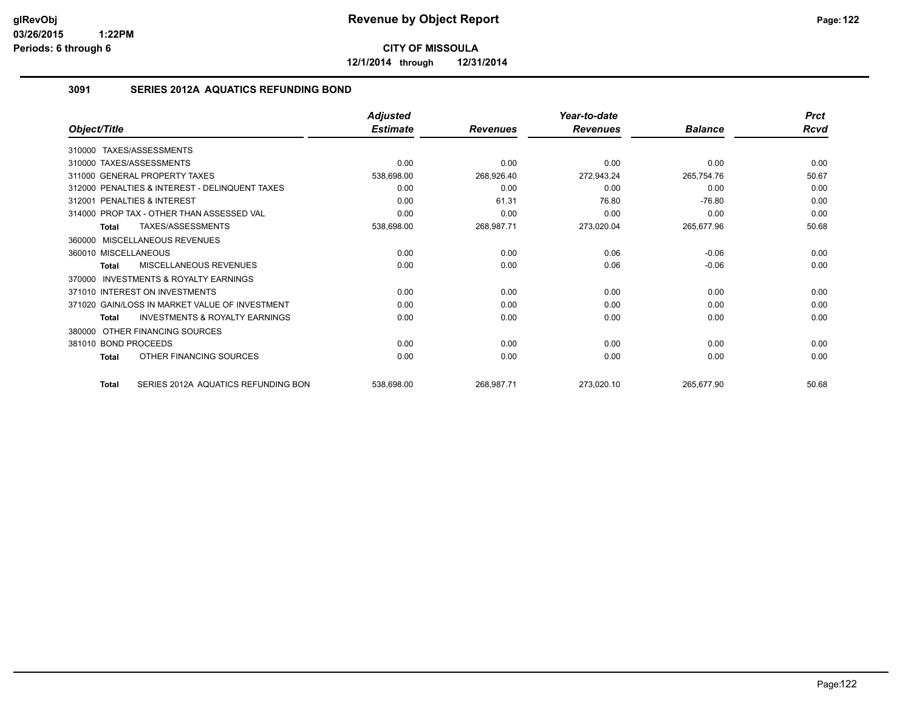**12/1/2014 through 12/31/2014**

### **3091 SERIES 2012A AQUATICS REFUNDING BOND**

|                                                           | <b>Adjusted</b> |                 | Year-to-date    |                | <b>Prct</b> |
|-----------------------------------------------------------|-----------------|-----------------|-----------------|----------------|-------------|
| Object/Title                                              | <b>Estimate</b> | <b>Revenues</b> | <b>Revenues</b> | <b>Balance</b> | Rcvd        |
| 310000 TAXES/ASSESSMENTS                                  |                 |                 |                 |                |             |
| 310000 TAXES/ASSESSMENTS                                  | 0.00            | 0.00            | 0.00            | 0.00           | 0.00        |
| 311000 GENERAL PROPERTY TAXES                             | 538,698.00      | 268,926.40      | 272,943.24      | 265,754.76     | 50.67       |
| 312000 PENALTIES & INTEREST - DELINQUENT TAXES            | 0.00            | 0.00            | 0.00            | 0.00           | 0.00        |
| 312001 PENALTIES & INTEREST                               | 0.00            | 61.31           | 76.80           | $-76.80$       | 0.00        |
| 314000 PROP TAX - OTHER THAN ASSESSED VAL                 | 0.00            | 0.00            | 0.00            | 0.00           | 0.00        |
| TAXES/ASSESSMENTS<br><b>Total</b>                         | 538,698.00      | 268,987.71      | 273,020.04      | 265,677.96     | 50.68       |
| MISCELLANEOUS REVENUES<br>360000                          |                 |                 |                 |                |             |
| 360010 MISCELLANEOUS                                      | 0.00            | 0.00            | 0.06            | $-0.06$        | 0.00        |
| <b>MISCELLANEOUS REVENUES</b><br><b>Total</b>             | 0.00            | 0.00            | 0.06            | $-0.06$        | 0.00        |
| <b>INVESTMENTS &amp; ROYALTY EARNINGS</b><br>370000       |                 |                 |                 |                |             |
| 371010 INTEREST ON INVESTMENTS                            | 0.00            | 0.00            | 0.00            | 0.00           | 0.00        |
| 371020 GAIN/LOSS IN MARKET VALUE OF INVESTMENT            | 0.00            | 0.00            | 0.00            | 0.00           | 0.00        |
| <b>INVESTMENTS &amp; ROYALTY EARNINGS</b><br><b>Total</b> | 0.00            | 0.00            | 0.00            | 0.00           | 0.00        |
| OTHER FINANCING SOURCES<br>380000                         |                 |                 |                 |                |             |
| 381010 BOND PROCEEDS                                      | 0.00            | 0.00            | 0.00            | 0.00           | 0.00        |
| OTHER FINANCING SOURCES<br><b>Total</b>                   | 0.00            | 0.00            | 0.00            | 0.00           | 0.00        |
| SERIES 2012A AQUATICS REFUNDING BON<br><b>Total</b>       | 538,698.00      | 268,987.71      | 273,020.10      | 265,677.90     | 50.68       |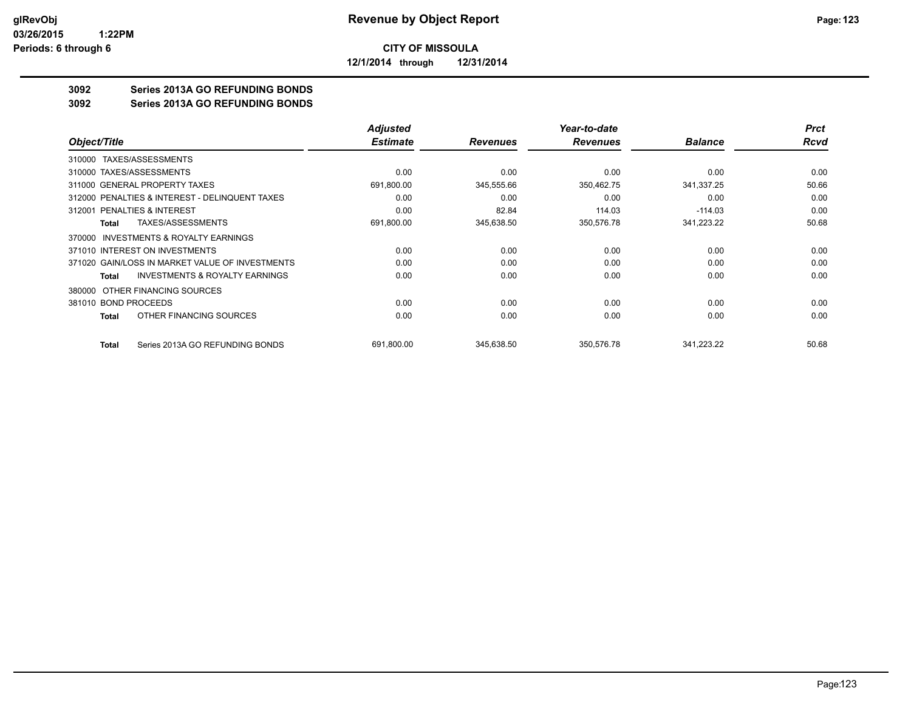**12/1/2014 through 12/31/2014**

## **3092 Series 2013A GO REFUNDING BONDS**

#### **3092 Series 2013A GO REFUNDING BONDS**

|                                                    | <b>Adjusted</b> |                 | Year-to-date    |                | <b>Prct</b> |
|----------------------------------------------------|-----------------|-----------------|-----------------|----------------|-------------|
| Object/Title                                       | <b>Estimate</b> | <b>Revenues</b> | <b>Revenues</b> | <b>Balance</b> | <b>Rcvd</b> |
| 310000 TAXES/ASSESSMENTS                           |                 |                 |                 |                |             |
| 310000 TAXES/ASSESSMENTS                           | 0.00            | 0.00            | 0.00            | 0.00           | 0.00        |
| 311000 GENERAL PROPERTY TAXES                      | 691,800.00      | 345,555.66      | 350,462.75      | 341,337.25     | 50.66       |
| 312000 PENALTIES & INTEREST - DELINQUENT TAXES     | 0.00            | 0.00            | 0.00            | 0.00           | 0.00        |
| <b>PENALTIES &amp; INTEREST</b><br>312001          | 0.00            | 82.84           | 114.03          | $-114.03$      | 0.00        |
| TAXES/ASSESSMENTS<br>Total                         | 691,800.00      | 345,638.50      | 350,576.78      | 341,223.22     | 50.68       |
| 370000 INVESTMENTS & ROYALTY EARNINGS              |                 |                 |                 |                |             |
| 371010 INTEREST ON INVESTMENTS                     | 0.00            | 0.00            | 0.00            | 0.00           | 0.00        |
| 371020 GAIN/LOSS IN MARKET VALUE OF INVESTMENTS    | 0.00            | 0.00            | 0.00            | 0.00           | 0.00        |
| <b>INVESTMENTS &amp; ROYALTY EARNINGS</b><br>Total | 0.00            | 0.00            | 0.00            | 0.00           | 0.00        |
| 380000 OTHER FINANCING SOURCES                     |                 |                 |                 |                |             |
| 381010 BOND PROCEEDS                               | 0.00            | 0.00            | 0.00            | 0.00           | 0.00        |
| OTHER FINANCING SOURCES<br>Total                   | 0.00            | 0.00            | 0.00            | 0.00           | 0.00        |
| Series 2013A GO REFUNDING BONDS<br>Total           | 691,800.00      | 345,638.50      | 350,576.78      | 341,223.22     | 50.68       |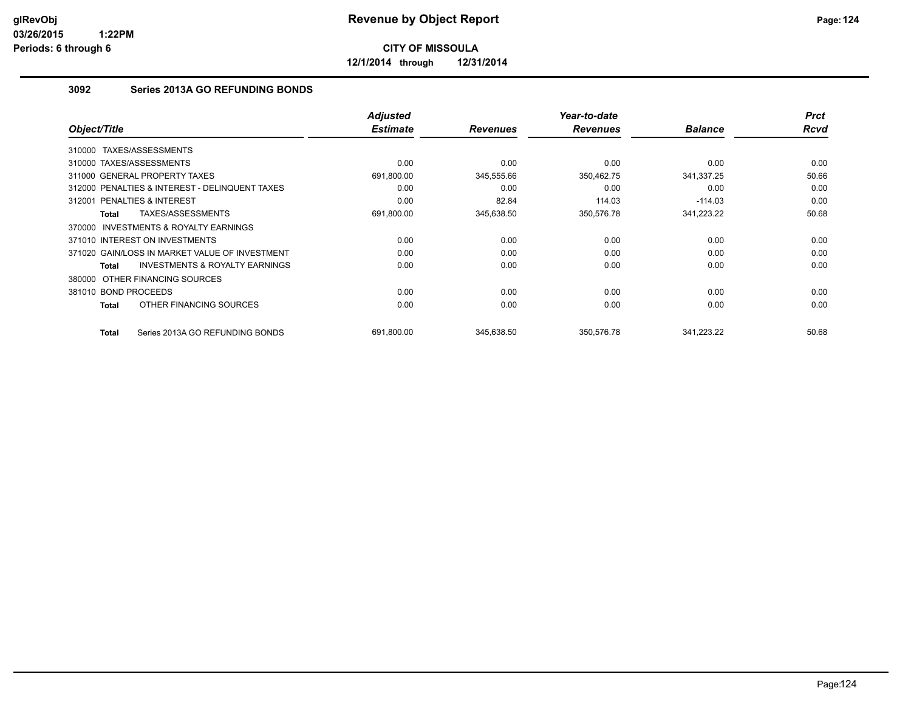**12/1/2014 through 12/31/2014**

## **3092 Series 2013A GO REFUNDING BONDS**

| Object/Title                                        | <b>Adjusted</b><br><b>Estimate</b> | <b>Revenues</b> | Year-to-date<br><b>Revenues</b> | <b>Balance</b> | <b>Prct</b><br><b>Rcvd</b> |
|-----------------------------------------------------|------------------------------------|-----------------|---------------------------------|----------------|----------------------------|
| TAXES/ASSESSMENTS<br>310000                         |                                    |                 |                                 |                |                            |
| 310000 TAXES/ASSESSMENTS                            | 0.00                               | 0.00            | 0.00                            | 0.00           | 0.00                       |
| 311000 GENERAL PROPERTY TAXES                       | 691,800.00                         | 345,555.66      | 350,462.75                      | 341,337.25     | 50.66                      |
| 312000 PENALTIES & INTEREST - DELINQUENT TAXES      | 0.00                               | 0.00            | 0.00                            | 0.00           | 0.00                       |
| PENALTIES & INTEREST<br>312001                      | 0.00                               | 82.84           | 114.03                          | $-114.03$      | 0.00                       |
| <b>TAXES/ASSESSMENTS</b><br>Total                   | 691,800.00                         | 345,638.50      | 350,576.78                      | 341,223.22     | 50.68                      |
| <b>INVESTMENTS &amp; ROYALTY EARNINGS</b><br>370000 |                                    |                 |                                 |                |                            |
| 371010 INTEREST ON INVESTMENTS                      | 0.00                               | 0.00            | 0.00                            | 0.00           | 0.00                       |
| 371020 GAIN/LOSS IN MARKET VALUE OF INVESTMENT      | 0.00                               | 0.00            | 0.00                            | 0.00           | 0.00                       |
| <b>INVESTMENTS &amp; ROYALTY EARNINGS</b><br>Total  | 0.00                               | 0.00            | 0.00                            | 0.00           | 0.00                       |
| 380000 OTHER FINANCING SOURCES                      |                                    |                 |                                 |                |                            |
| 381010 BOND PROCEEDS                                | 0.00                               | 0.00            | 0.00                            | 0.00           | 0.00                       |
| OTHER FINANCING SOURCES<br>Total                    | 0.00                               | 0.00            | 0.00                            | 0.00           | 0.00                       |
| Series 2013A GO REFUNDING BONDS<br>Total            | 691,800.00                         | 345.638.50      | 350,576.78                      | 341,223.22     | 50.68                      |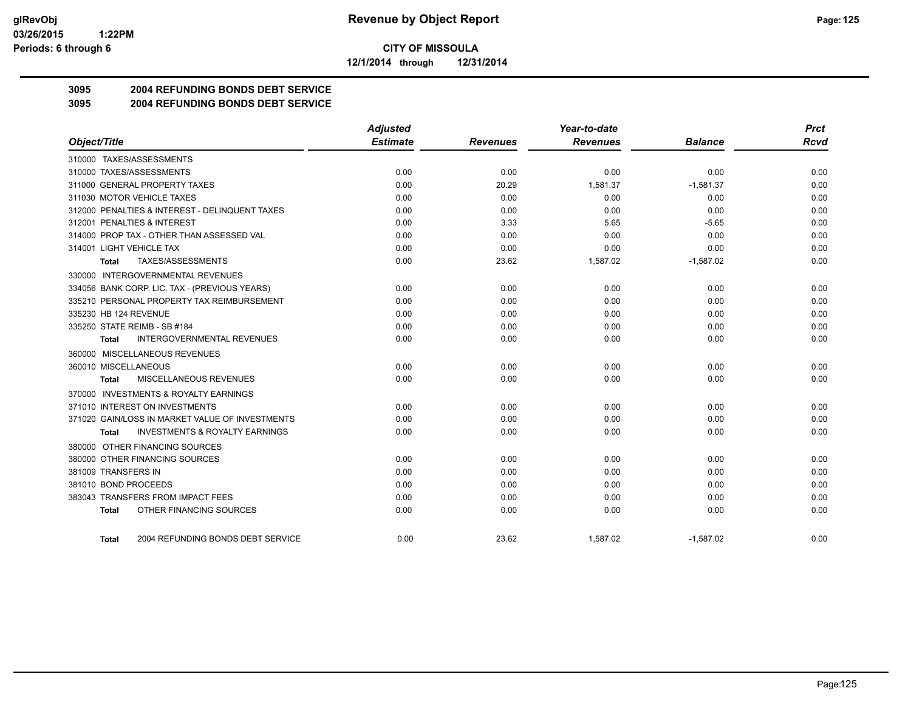**12/1/2014 through 12/31/2014**

# **3095 2004 REFUNDING BONDS DEBT SERVICE**

### **3095 2004 REFUNDING BONDS DEBT SERVICE**

|                                                     | <b>Adjusted</b> | Year-to-date    |                 |                | <b>Prct</b> |
|-----------------------------------------------------|-----------------|-----------------|-----------------|----------------|-------------|
| Object/Title                                        | <b>Estimate</b> | <b>Revenues</b> | <b>Revenues</b> | <b>Balance</b> | Rcvd        |
| 310000 TAXES/ASSESSMENTS                            |                 |                 |                 |                |             |
| 310000 TAXES/ASSESSMENTS                            | 0.00            | 0.00            | 0.00            | 0.00           | 0.00        |
| 311000 GENERAL PROPERTY TAXES                       | 0.00            | 20.29           | 1,581.37        | $-1,581.37$    | 0.00        |
| 311030 MOTOR VEHICLE TAXES                          | 0.00            | 0.00            | 0.00            | 0.00           | 0.00        |
| 312000 PENALTIES & INTEREST - DELINQUENT TAXES      | 0.00            | 0.00            | 0.00            | 0.00           | 0.00        |
| 312001 PENALTIES & INTEREST                         | 0.00            | 3.33            | 5.65            | $-5.65$        | 0.00        |
| 314000 PROP TAX - OTHER THAN ASSESSED VAL           | 0.00            | 0.00            | 0.00            | 0.00           | 0.00        |
| 314001 LIGHT VEHICLE TAX                            | 0.00            | 0.00            | 0.00            | 0.00           | 0.00        |
| TAXES/ASSESSMENTS<br>Total                          | 0.00            | 23.62           | 1,587.02        | $-1,587.02$    | 0.00        |
| 330000 INTERGOVERNMENTAL REVENUES                   |                 |                 |                 |                |             |
| 334056 BANK CORP. LIC. TAX - (PREVIOUS YEARS)       | 0.00            | 0.00            | 0.00            | 0.00           | 0.00        |
| 335210 PERSONAL PROPERTY TAX REIMBURSEMENT          | 0.00            | 0.00            | 0.00            | 0.00           | 0.00        |
| 335230 HB 124 REVENUE                               | 0.00            | 0.00            | 0.00            | 0.00           | 0.00        |
| 335250 STATE REIMB - SB #184                        | 0.00            | 0.00            | 0.00            | 0.00           | 0.00        |
| <b>INTERGOVERNMENTAL REVENUES</b><br>Total          | 0.00            | 0.00            | 0.00            | 0.00           | 0.00        |
| 360000 MISCELLANEOUS REVENUES                       |                 |                 |                 |                |             |
| 360010 MISCELLANEOUS                                | 0.00            | 0.00            | 0.00            | 0.00           | 0.00        |
| MISCELLANEOUS REVENUES<br><b>Total</b>              | 0.00            | 0.00            | 0.00            | 0.00           | 0.00        |
| <b>INVESTMENTS &amp; ROYALTY EARNINGS</b><br>370000 |                 |                 |                 |                |             |
| 371010 INTEREST ON INVESTMENTS                      | 0.00            | 0.00            | 0.00            | 0.00           | 0.00        |
| 371020 GAIN/LOSS IN MARKET VALUE OF INVESTMENTS     | 0.00            | 0.00            | 0.00            | 0.00           | 0.00        |
| <b>INVESTMENTS &amp; ROYALTY EARNINGS</b><br>Total  | 0.00            | 0.00            | 0.00            | 0.00           | 0.00        |
| 380000 OTHER FINANCING SOURCES                      |                 |                 |                 |                |             |
| 380000 OTHER FINANCING SOURCES                      | 0.00            | 0.00            | 0.00            | 0.00           | 0.00        |
| 381009 TRANSFERS IN                                 | 0.00            | 0.00            | 0.00            | 0.00           | 0.00        |
| 381010 BOND PROCEEDS                                | 0.00            | 0.00            | 0.00            | 0.00           | 0.00        |
| 383043 TRANSFERS FROM IMPACT FEES                   | 0.00            | 0.00            | 0.00            | 0.00           | 0.00        |
| OTHER FINANCING SOURCES<br>Total                    | 0.00            | 0.00            | 0.00            | 0.00           | 0.00        |
| 2004 REFUNDING BONDS DEBT SERVICE<br>Total          | 0.00            | 23.62           | 1,587.02        | $-1,587.02$    | 0.00        |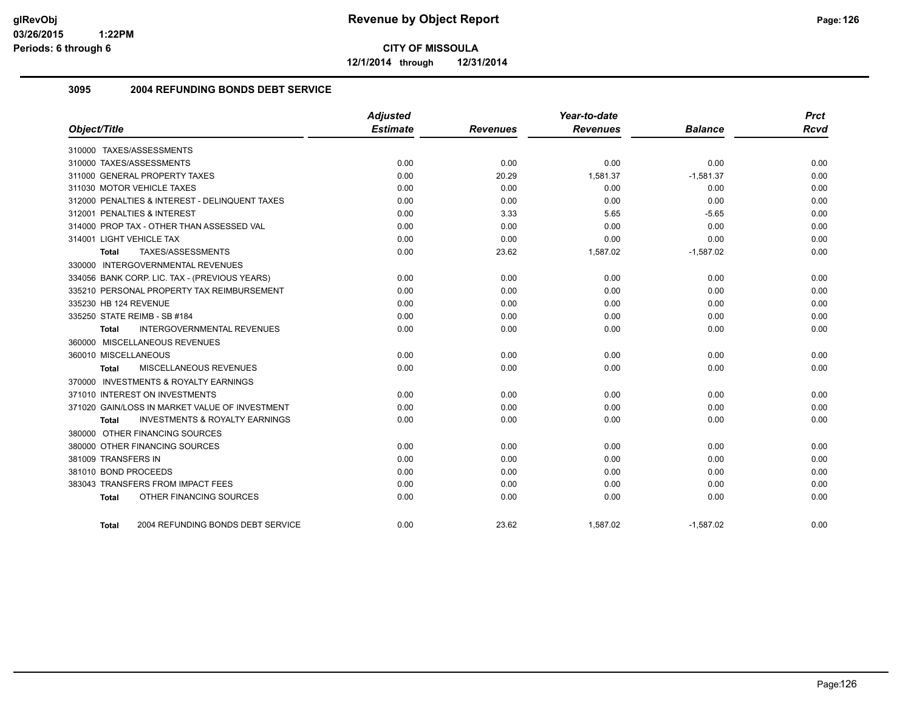**12/1/2014 through 12/31/2014**

#### **3095 2004 REFUNDING BONDS DEBT SERVICE**

|                                                    | <b>Adjusted</b> |                 | Year-to-date    |                | <b>Prct</b> |
|----------------------------------------------------|-----------------|-----------------|-----------------|----------------|-------------|
| Object/Title                                       | <b>Estimate</b> | <b>Revenues</b> | <b>Revenues</b> | <b>Balance</b> | <b>Rcvd</b> |
| 310000 TAXES/ASSESSMENTS                           |                 |                 |                 |                |             |
| 310000 TAXES/ASSESSMENTS                           | 0.00            | 0.00            | 0.00            | 0.00           | 0.00        |
| 311000 GENERAL PROPERTY TAXES                      | 0.00            | 20.29           | 1,581.37        | $-1,581.37$    | 0.00        |
| 311030 MOTOR VEHICLE TAXES                         | 0.00            | 0.00            | 0.00            | 0.00           | 0.00        |
| 312000 PENALTIES & INTEREST - DELINQUENT TAXES     | 0.00            | 0.00            | 0.00            | 0.00           | 0.00        |
| 312001 PENALTIES & INTEREST                        | 0.00            | 3.33            | 5.65            | $-5.65$        | 0.00        |
| 314000 PROP TAX - OTHER THAN ASSESSED VAL          | 0.00            | 0.00            | 0.00            | 0.00           | 0.00        |
| 314001 LIGHT VEHICLE TAX                           | 0.00            | 0.00            | 0.00            | 0.00           | 0.00        |
| TAXES/ASSESSMENTS<br><b>Total</b>                  | 0.00            | 23.62           | 1,587.02        | $-1,587.02$    | 0.00        |
| 330000 INTERGOVERNMENTAL REVENUES                  |                 |                 |                 |                |             |
| 334056 BANK CORP. LIC. TAX - (PREVIOUS YEARS)      | 0.00            | 0.00            | 0.00            | 0.00           | 0.00        |
| 335210 PERSONAL PROPERTY TAX REIMBURSEMENT         | 0.00            | 0.00            | 0.00            | 0.00           | 0.00        |
| 335230 HB 124 REVENUE                              | 0.00            | 0.00            | 0.00            | 0.00           | 0.00        |
| 335250 STATE REIMB - SB #184                       | 0.00            | 0.00            | 0.00            | 0.00           | 0.00        |
| <b>INTERGOVERNMENTAL REVENUES</b><br><b>Total</b>  | 0.00            | 0.00            | 0.00            | 0.00           | 0.00        |
| 360000 MISCELLANEOUS REVENUES                      |                 |                 |                 |                |             |
| 360010 MISCELLANEOUS                               | 0.00            | 0.00            | 0.00            | 0.00           | 0.00        |
| MISCELLANEOUS REVENUES<br><b>Total</b>             | 0.00            | 0.00            | 0.00            | 0.00           | 0.00        |
| 370000 INVESTMENTS & ROYALTY EARNINGS              |                 |                 |                 |                |             |
| 371010 INTEREST ON INVESTMENTS                     | 0.00            | 0.00            | 0.00            | 0.00           | 0.00        |
| 371020 GAIN/LOSS IN MARKET VALUE OF INVESTMENT     | 0.00            | 0.00            | 0.00            | 0.00           | 0.00        |
| <b>INVESTMENTS &amp; ROYALTY EARNINGS</b><br>Total | 0.00            | 0.00            | 0.00            | 0.00           | 0.00        |
| 380000 OTHER FINANCING SOURCES                     |                 |                 |                 |                |             |
| 380000 OTHER FINANCING SOURCES                     | 0.00            | 0.00            | 0.00            | 0.00           | 0.00        |
| 381009 TRANSFERS IN                                | 0.00            | 0.00            | 0.00            | 0.00           | 0.00        |
| 381010 BOND PROCEEDS                               | 0.00            | 0.00            | 0.00            | 0.00           | 0.00        |
| 383043 TRANSFERS FROM IMPACT FEES                  | 0.00            | 0.00            | 0.00            | 0.00           | 0.00        |
| OTHER FINANCING SOURCES<br><b>Total</b>            | 0.00            | 0.00            | 0.00            | 0.00           | 0.00        |
| 2004 REFUNDING BONDS DEBT SERVICE<br>Total         | 0.00            | 23.62           | 1,587.02        | $-1,587.02$    | 0.00        |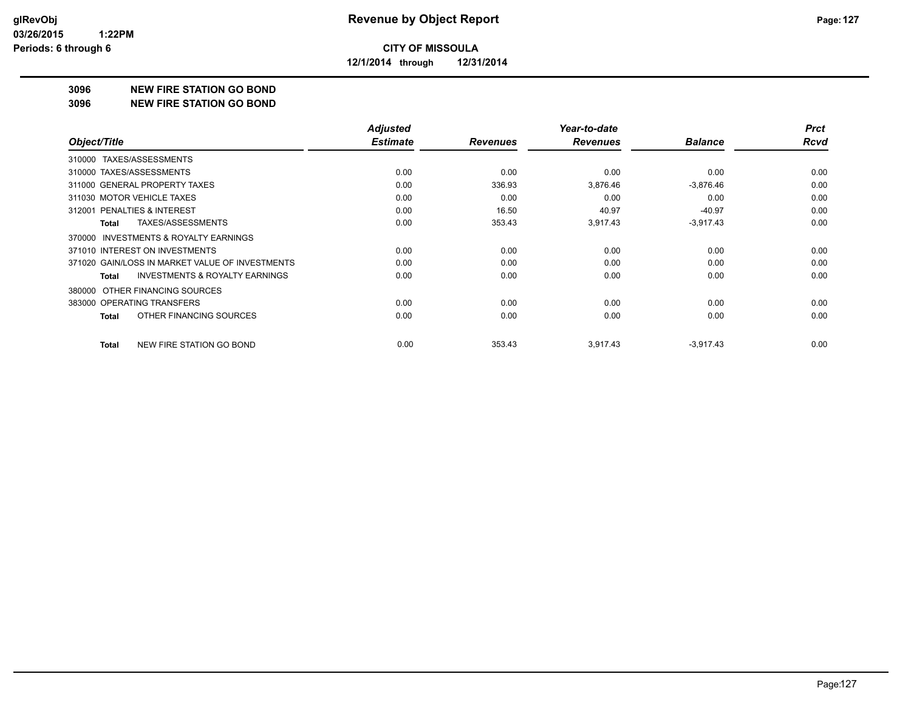**12/1/2014 through 12/31/2014**

#### **3096 NEW FIRE STATION GO BOND**

#### **3096 NEW FIRE STATION GO BOND**

|                                                    | <b>Adjusted</b> |                 | Year-to-date    |                | <b>Prct</b> |
|----------------------------------------------------|-----------------|-----------------|-----------------|----------------|-------------|
| Object/Title                                       | <b>Estimate</b> | <b>Revenues</b> | <b>Revenues</b> | <b>Balance</b> | <b>Rcvd</b> |
| 310000 TAXES/ASSESSMENTS                           |                 |                 |                 |                |             |
| 310000 TAXES/ASSESSMENTS                           | 0.00            | 0.00            | 0.00            | 0.00           | 0.00        |
| 311000 GENERAL PROPERTY TAXES                      | 0.00            | 336.93          | 3,876.46        | $-3,876.46$    | 0.00        |
| 311030 MOTOR VEHICLE TAXES                         | 0.00            | 0.00            | 0.00            | 0.00           | 0.00        |
| 312001 PENALTIES & INTEREST                        | 0.00            | 16.50           | 40.97           | $-40.97$       | 0.00        |
| TAXES/ASSESSMENTS<br>Total                         | 0.00            | 353.43          | 3,917.43        | $-3,917.43$    | 0.00        |
| 370000 INVESTMENTS & ROYALTY EARNINGS              |                 |                 |                 |                |             |
| 371010 INTEREST ON INVESTMENTS                     | 0.00            | 0.00            | 0.00            | 0.00           | 0.00        |
| 371020 GAIN/LOSS IN MARKET VALUE OF INVESTMENTS    | 0.00            | 0.00            | 0.00            | 0.00           | 0.00        |
| <b>INVESTMENTS &amp; ROYALTY EARNINGS</b><br>Total | 0.00            | 0.00            | 0.00            | 0.00           | 0.00        |
| OTHER FINANCING SOURCES<br>380000                  |                 |                 |                 |                |             |
| 383000 OPERATING TRANSFERS                         | 0.00            | 0.00            | 0.00            | 0.00           | 0.00        |
| OTHER FINANCING SOURCES<br>Total                   | 0.00            | 0.00            | 0.00            | 0.00           | 0.00        |
| NEW FIRE STATION GO BOND<br><b>Total</b>           | 0.00            | 353.43          | 3,917.43        | $-3,917.43$    | 0.00        |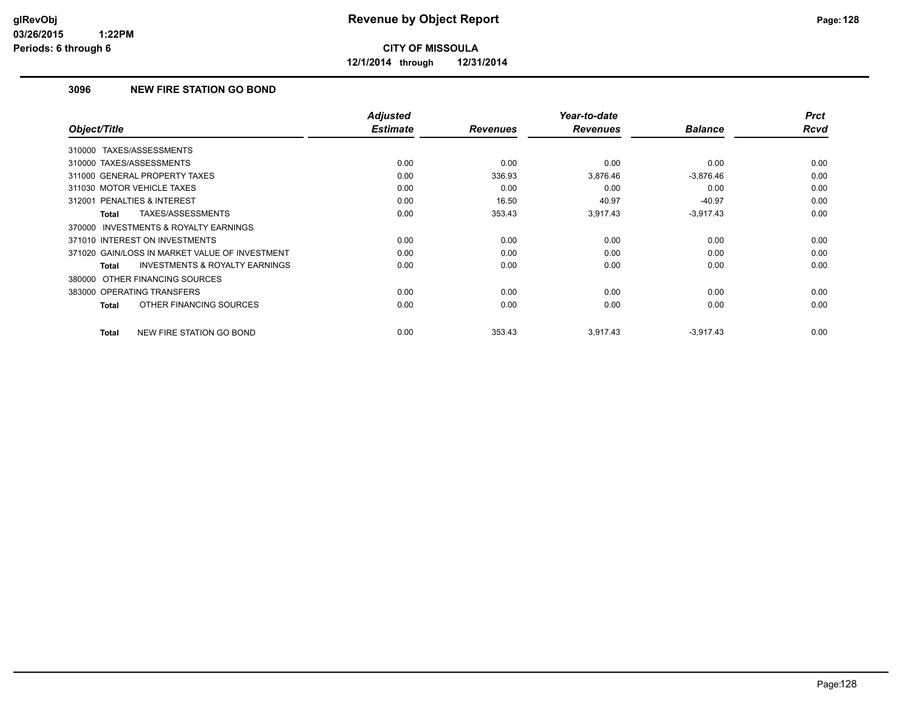**12/1/2014 through 12/31/2014**

### **3096 NEW FIRE STATION GO BOND**

| <b>Estimate</b> | <b>Revenues</b>         | Year-to-date<br><b>Revenues</b> | <b>Balance</b> | <b>Prct</b><br><b>Rcvd</b> |
|-----------------|-------------------------|---------------------------------|----------------|----------------------------|
|                 |                         |                                 |                |                            |
| 0.00            | 0.00                    | 0.00                            | 0.00           | 0.00                       |
| 0.00            | 336.93                  | 3.876.46                        | $-3,876.46$    | 0.00                       |
| 0.00            | 0.00                    | 0.00                            | 0.00           | 0.00                       |
| 0.00            | 16.50                   | 40.97                           | $-40.97$       | 0.00                       |
| 0.00            | 353.43                  | 3,917.43                        | $-3,917.43$    | 0.00                       |
|                 |                         |                                 |                |                            |
| 0.00            | 0.00                    | 0.00                            | 0.00           | 0.00                       |
| 0.00            | 0.00                    | 0.00                            | 0.00           | 0.00                       |
| 0.00            | 0.00                    | 0.00                            | 0.00           | 0.00                       |
|                 |                         |                                 |                |                            |
| 0.00            | 0.00                    | 0.00                            | 0.00           | 0.00                       |
| 0.00            | 0.00                    | 0.00                            | 0.00           | 0.00                       |
|                 |                         |                                 |                | 0.00                       |
|                 | <b>Adjusted</b><br>0.00 | 353.43                          | 3,917.43       | $-3,917.43$                |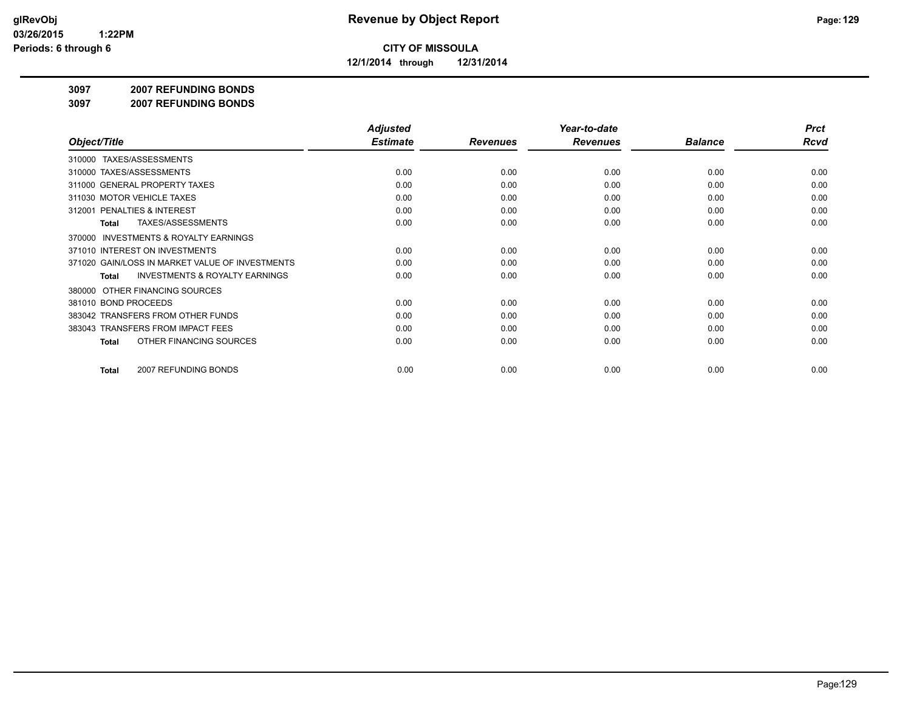**12/1/2014 through 12/31/2014**

#### **3097 2007 REFUNDING BONDS**

**3097 2007 REFUNDING BONDS**

|                                                           | <b>Adjusted</b> |                 | Year-to-date    |                | <b>Prct</b> |
|-----------------------------------------------------------|-----------------|-----------------|-----------------|----------------|-------------|
| Object/Title                                              | <b>Estimate</b> | <b>Revenues</b> | <b>Revenues</b> | <b>Balance</b> | <b>Rcvd</b> |
| TAXES/ASSESSMENTS<br>310000                               |                 |                 |                 |                |             |
| 310000 TAXES/ASSESSMENTS                                  | 0.00            | 0.00            | 0.00            | 0.00           | 0.00        |
| 311000 GENERAL PROPERTY TAXES                             | 0.00            | 0.00            | 0.00            | 0.00           | 0.00        |
| 311030 MOTOR VEHICLE TAXES                                | 0.00            | 0.00            | 0.00            | 0.00           | 0.00        |
| 312001 PENALTIES & INTEREST                               | 0.00            | 0.00            | 0.00            | 0.00           | 0.00        |
| <b>TAXES/ASSESSMENTS</b><br><b>Total</b>                  | 0.00            | 0.00            | 0.00            | 0.00           | 0.00        |
| <b>INVESTMENTS &amp; ROYALTY EARNINGS</b><br>370000       |                 |                 |                 |                |             |
| 371010 INTEREST ON INVESTMENTS                            | 0.00            | 0.00            | 0.00            | 0.00           | 0.00        |
| 371020 GAIN/LOSS IN MARKET VALUE OF INVESTMENTS           | 0.00            | 0.00            | 0.00            | 0.00           | 0.00        |
| <b>INVESTMENTS &amp; ROYALTY EARNINGS</b><br><b>Total</b> | 0.00            | 0.00            | 0.00            | 0.00           | 0.00        |
| OTHER FINANCING SOURCES<br>380000                         |                 |                 |                 |                |             |
| 381010 BOND PROCEEDS                                      | 0.00            | 0.00            | 0.00            | 0.00           | 0.00        |
| 383042 TRANSFERS FROM OTHER FUNDS                         | 0.00            | 0.00            | 0.00            | 0.00           | 0.00        |
| 383043 TRANSFERS FROM IMPACT FEES                         | 0.00            | 0.00            | 0.00            | 0.00           | 0.00        |
| OTHER FINANCING SOURCES<br>Total                          | 0.00            | 0.00            | 0.00            | 0.00           | 0.00        |
| 2007 REFUNDING BONDS<br>Total                             | 0.00            | 0.00            | 0.00            | 0.00           | 0.00        |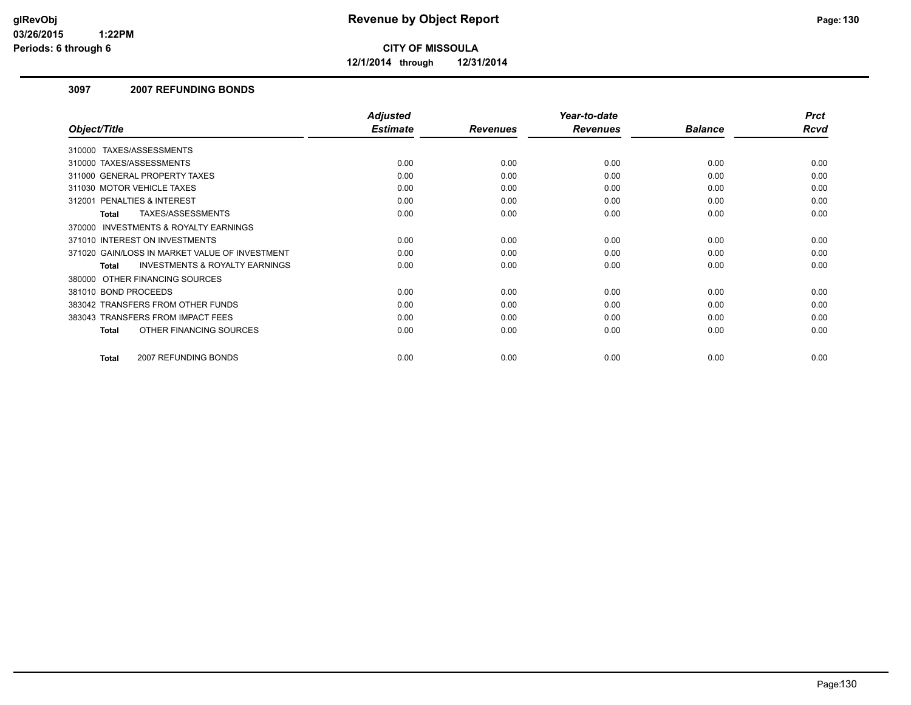**12/1/2014 through 12/31/2014**

#### **3097 2007 REFUNDING BONDS**

|                                                    | <b>Adjusted</b> |                 | Year-to-date    |                | <b>Prct</b> |
|----------------------------------------------------|-----------------|-----------------|-----------------|----------------|-------------|
| Object/Title                                       | <b>Estimate</b> | <b>Revenues</b> | <b>Revenues</b> | <b>Balance</b> | <b>Rcvd</b> |
| 310000 TAXES/ASSESSMENTS                           |                 |                 |                 |                |             |
| 310000 TAXES/ASSESSMENTS                           | 0.00            | 0.00            | 0.00            | 0.00           | 0.00        |
| 311000 GENERAL PROPERTY TAXES                      | 0.00            | 0.00            | 0.00            | 0.00           | 0.00        |
| 311030 MOTOR VEHICLE TAXES                         | 0.00            | 0.00            | 0.00            | 0.00           | 0.00        |
| PENALTIES & INTEREST<br>312001                     | 0.00            | 0.00            | 0.00            | 0.00           | 0.00        |
| TAXES/ASSESSMENTS<br><b>Total</b>                  | 0.00            | 0.00            | 0.00            | 0.00           | 0.00        |
| 370000 INVESTMENTS & ROYALTY EARNINGS              |                 |                 |                 |                |             |
| 371010 INTEREST ON INVESTMENTS                     | 0.00            | 0.00            | 0.00            | 0.00           | 0.00        |
| 371020 GAIN/LOSS IN MARKET VALUE OF INVESTMENT     | 0.00            | 0.00            | 0.00            | 0.00           | 0.00        |
| <b>INVESTMENTS &amp; ROYALTY EARNINGS</b><br>Total | 0.00            | 0.00            | 0.00            | 0.00           | 0.00        |
| 380000 OTHER FINANCING SOURCES                     |                 |                 |                 |                |             |
| 381010 BOND PROCEEDS                               | 0.00            | 0.00            | 0.00            | 0.00           | 0.00        |
| 383042 TRANSFERS FROM OTHER FUNDS                  | 0.00            | 0.00            | 0.00            | 0.00           | 0.00        |
| 383043 TRANSFERS FROM IMPACT FEES                  | 0.00            | 0.00            | 0.00            | 0.00           | 0.00        |
| OTHER FINANCING SOURCES<br><b>Total</b>            | 0.00            | 0.00            | 0.00            | 0.00           | 0.00        |
|                                                    |                 |                 |                 |                |             |
| 2007 REFUNDING BONDS<br><b>Total</b>               | 0.00            | 0.00            | 0.00            | 0.00           | 0.00        |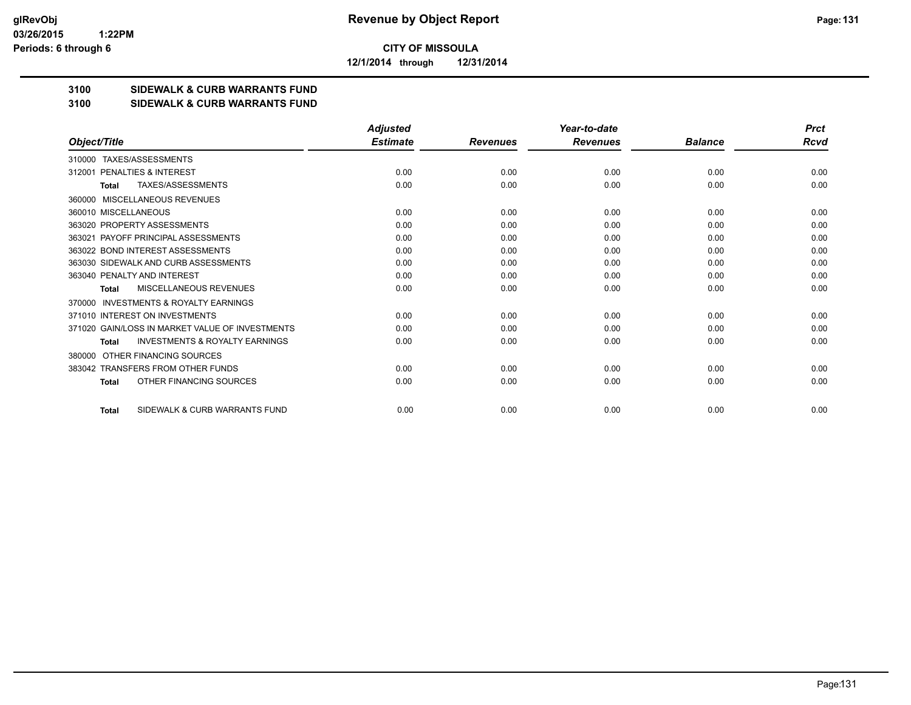**12/1/2014 through 12/31/2014**

## **3100 SIDEWALK & CURB WARRANTS FUND**

#### **3100 SIDEWALK & CURB WARRANTS FUND**

|                                                           | <b>Adjusted</b> |                 | Year-to-date    |                | <b>Prct</b> |
|-----------------------------------------------------------|-----------------|-----------------|-----------------|----------------|-------------|
| Object/Title                                              | <b>Estimate</b> | <b>Revenues</b> | <b>Revenues</b> | <b>Balance</b> | <b>Rcvd</b> |
| TAXES/ASSESSMENTS<br>310000                               |                 |                 |                 |                |             |
| PENALTIES & INTEREST<br>312001                            | 0.00            | 0.00            | 0.00            | 0.00           | 0.00        |
| TAXES/ASSESSMENTS<br><b>Total</b>                         | 0.00            | 0.00            | 0.00            | 0.00           | 0.00        |
| MISCELLANEOUS REVENUES<br>360000                          |                 |                 |                 |                |             |
| 360010 MISCELLANEOUS                                      | 0.00            | 0.00            | 0.00            | 0.00           | 0.00        |
| 363020 PROPERTY ASSESSMENTS                               | 0.00            | 0.00            | 0.00            | 0.00           | 0.00        |
| 363021 PAYOFF PRINCIPAL ASSESSMENTS                       | 0.00            | 0.00            | 0.00            | 0.00           | 0.00        |
| 363022 BOND INTEREST ASSESSMENTS                          | 0.00            | 0.00            | 0.00            | 0.00           | 0.00        |
| 363030 SIDEWALK AND CURB ASSESSMENTS                      | 0.00            | 0.00            | 0.00            | 0.00           | 0.00        |
| 363040 PENALTY AND INTEREST                               | 0.00            | 0.00            | 0.00            | 0.00           | 0.00        |
| MISCELLANEOUS REVENUES<br><b>Total</b>                    | 0.00            | 0.00            | 0.00            | 0.00           | 0.00        |
| <b>INVESTMENTS &amp; ROYALTY EARNINGS</b><br>370000       |                 |                 |                 |                |             |
| 371010 INTEREST ON INVESTMENTS                            | 0.00            | 0.00            | 0.00            | 0.00           | 0.00        |
| 371020 GAIN/LOSS IN MARKET VALUE OF INVESTMENTS           | 0.00            | 0.00            | 0.00            | 0.00           | 0.00        |
| <b>INVESTMENTS &amp; ROYALTY EARNINGS</b><br><b>Total</b> | 0.00            | 0.00            | 0.00            | 0.00           | 0.00        |
| OTHER FINANCING SOURCES<br>380000                         |                 |                 |                 |                |             |
| 383042 TRANSFERS FROM OTHER FUNDS                         | 0.00            | 0.00            | 0.00            | 0.00           | 0.00        |
| OTHER FINANCING SOURCES<br><b>Total</b>                   | 0.00            | 0.00            | 0.00            | 0.00           | 0.00        |
| SIDEWALK & CURB WARRANTS FUND<br><b>Total</b>             | 0.00            | 0.00            | 0.00            | 0.00           | 0.00        |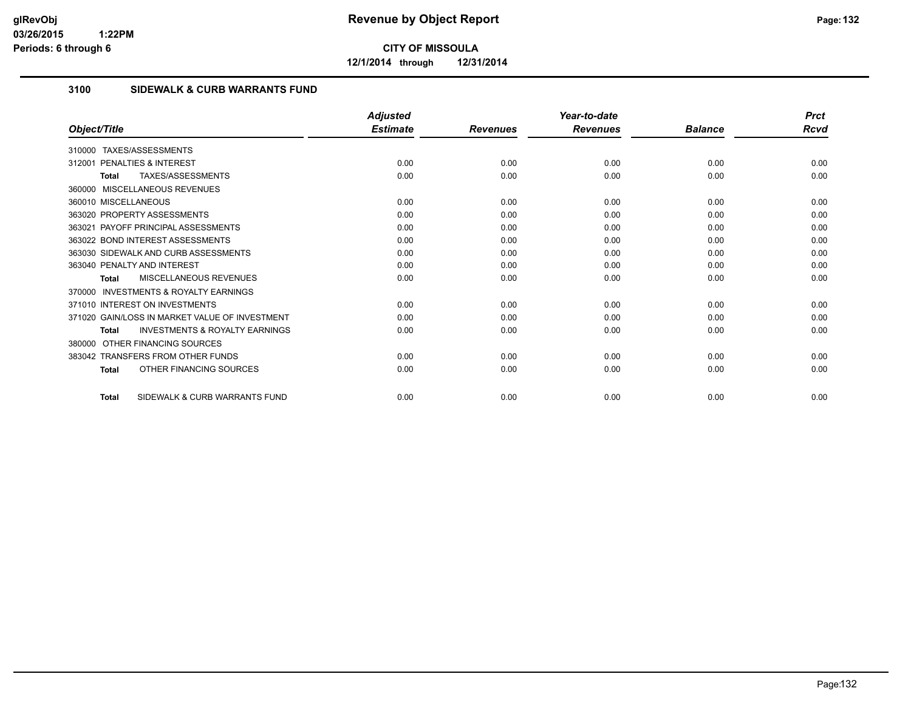**12/1/2014 through 12/31/2014**

## **3100 SIDEWALK & CURB WARRANTS FUND**

|                                                           | <b>Adjusted</b> |                 | Year-to-date    |                | <b>Prct</b> |
|-----------------------------------------------------------|-----------------|-----------------|-----------------|----------------|-------------|
| Object/Title                                              | <b>Estimate</b> | <b>Revenues</b> | <b>Revenues</b> | <b>Balance</b> | Rcvd        |
| TAXES/ASSESSMENTS<br>310000                               |                 |                 |                 |                |             |
| <b>PENALTIES &amp; INTEREST</b><br>312001                 | 0.00            | 0.00            | 0.00            | 0.00           | 0.00        |
| TAXES/ASSESSMENTS<br>Total                                | 0.00            | 0.00            | 0.00            | 0.00           | 0.00        |
| 360000 MISCELLANEOUS REVENUES                             |                 |                 |                 |                |             |
| 360010 MISCELLANEOUS                                      | 0.00            | 0.00            | 0.00            | 0.00           | 0.00        |
| 363020 PROPERTY ASSESSMENTS                               | 0.00            | 0.00            | 0.00            | 0.00           | 0.00        |
| 363021 PAYOFF PRINCIPAL ASSESSMENTS                       | 0.00            | 0.00            | 0.00            | 0.00           | 0.00        |
| 363022 BOND INTEREST ASSESSMENTS                          | 0.00            | 0.00            | 0.00            | 0.00           | 0.00        |
| 363030 SIDEWALK AND CURB ASSESSMENTS                      | 0.00            | 0.00            | 0.00            | 0.00           | 0.00        |
| 363040 PENALTY AND INTEREST                               | 0.00            | 0.00            | 0.00            | 0.00           | 0.00        |
| MISCELLANEOUS REVENUES<br>Total                           | 0.00            | 0.00            | 0.00            | 0.00           | 0.00        |
| <b>INVESTMENTS &amp; ROYALTY EARNINGS</b><br>370000       |                 |                 |                 |                |             |
| 371010 INTEREST ON INVESTMENTS                            | 0.00            | 0.00            | 0.00            | 0.00           | 0.00        |
| 371020 GAIN/LOSS IN MARKET VALUE OF INVESTMENT            | 0.00            | 0.00            | 0.00            | 0.00           | 0.00        |
| <b>INVESTMENTS &amp; ROYALTY EARNINGS</b><br><b>Total</b> | 0.00            | 0.00            | 0.00            | 0.00           | 0.00        |
| OTHER FINANCING SOURCES<br>380000                         |                 |                 |                 |                |             |
| 383042 TRANSFERS FROM OTHER FUNDS                         | 0.00            | 0.00            | 0.00            | 0.00           | 0.00        |
| OTHER FINANCING SOURCES<br><b>Total</b>                   | 0.00            | 0.00            | 0.00            | 0.00           | 0.00        |
| SIDEWALK & CURB WARRANTS FUND<br><b>Total</b>             | 0.00            | 0.00            | 0.00            | 0.00           | 0.00        |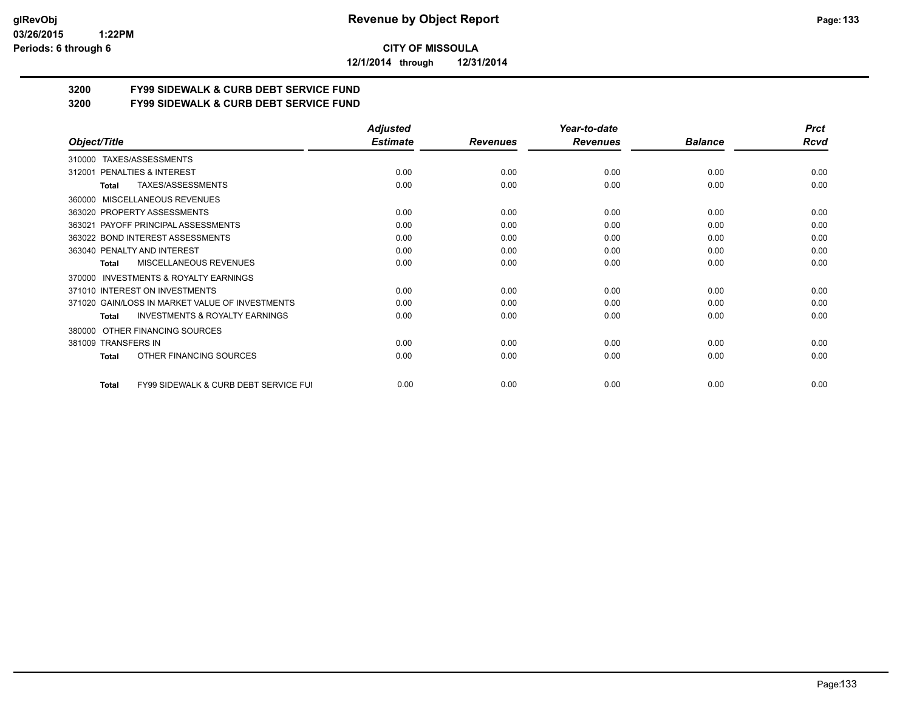**12/1/2014 through 12/31/2014**

# **3200 FY99 SIDEWALK & CURB DEBT SERVICE FUND**

**3200 FY99 SIDEWALK & CURB DEBT SERVICE FUND**

|                                                           | <b>Adjusted</b> |                 | Year-to-date    |                | <b>Prct</b> |
|-----------------------------------------------------------|-----------------|-----------------|-----------------|----------------|-------------|
| Object/Title                                              | <b>Estimate</b> | <b>Revenues</b> | <b>Revenues</b> | <b>Balance</b> | Rcvd        |
| TAXES/ASSESSMENTS<br>310000                               |                 |                 |                 |                |             |
| PENALTIES & INTEREST<br>312001                            | 0.00            | 0.00            | 0.00            | 0.00           | 0.00        |
| TAXES/ASSESSMENTS<br>Total                                | 0.00            | 0.00            | 0.00            | 0.00           | 0.00        |
| MISCELLANEOUS REVENUES<br>360000                          |                 |                 |                 |                |             |
| 363020 PROPERTY ASSESSMENTS                               | 0.00            | 0.00            | 0.00            | 0.00           | 0.00        |
| 363021 PAYOFF PRINCIPAL ASSESSMENTS                       | 0.00            | 0.00            | 0.00            | 0.00           | 0.00        |
| 363022 BOND INTEREST ASSESSMENTS                          | 0.00            | 0.00            | 0.00            | 0.00           | 0.00        |
| 363040 PENALTY AND INTEREST                               | 0.00            | 0.00            | 0.00            | 0.00           | 0.00        |
| MISCELLANEOUS REVENUES<br>Total                           | 0.00            | 0.00            | 0.00            | 0.00           | 0.00        |
| <b>INVESTMENTS &amp; ROYALTY EARNINGS</b><br>370000       |                 |                 |                 |                |             |
| 371010 INTEREST ON INVESTMENTS                            | 0.00            | 0.00            | 0.00            | 0.00           | 0.00        |
| 371020 GAIN/LOSS IN MARKET VALUE OF INVESTMENTS           | 0.00            | 0.00            | 0.00            | 0.00           | 0.00        |
| <b>INVESTMENTS &amp; ROYALTY EARNINGS</b><br><b>Total</b> | 0.00            | 0.00            | 0.00            | 0.00           | 0.00        |
| OTHER FINANCING SOURCES<br>380000                         |                 |                 |                 |                |             |
| 381009 TRANSFERS IN                                       | 0.00            | 0.00            | 0.00            | 0.00           | 0.00        |
| OTHER FINANCING SOURCES<br><b>Total</b>                   | 0.00            | 0.00            | 0.00            | 0.00           | 0.00        |
| FY99 SIDEWALK & CURB DEBT SERVICE FUI<br><b>Total</b>     | 0.00            | 0.00            | 0.00            | 0.00           | 0.00        |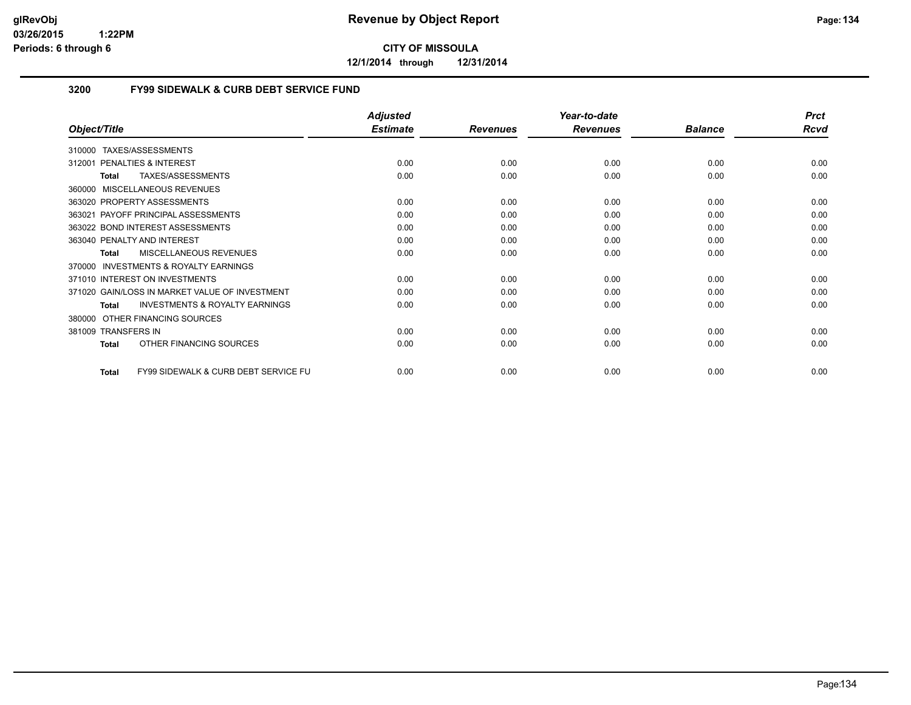**12/1/2014 through 12/31/2014**

### **3200 FY99 SIDEWALK & CURB DEBT SERVICE FUND**

|                                                                 | <b>Adjusted</b> |                 | Year-to-date    |                | <b>Prct</b> |
|-----------------------------------------------------------------|-----------------|-----------------|-----------------|----------------|-------------|
| Object/Title                                                    | <b>Estimate</b> | <b>Revenues</b> | <b>Revenues</b> | <b>Balance</b> | <b>Rcvd</b> |
| TAXES/ASSESSMENTS<br>310000                                     |                 |                 |                 |                |             |
| <b>PENALTIES &amp; INTEREST</b><br>312001                       | 0.00            | 0.00            | 0.00            | 0.00           | 0.00        |
| TAXES/ASSESSMENTS<br><b>Total</b>                               | 0.00            | 0.00            | 0.00            | 0.00           | 0.00        |
| MISCELLANEOUS REVENUES<br>360000                                |                 |                 |                 |                |             |
| 363020 PROPERTY ASSESSMENTS                                     | 0.00            | 0.00            | 0.00            | 0.00           | 0.00        |
| 363021 PAYOFF PRINCIPAL ASSESSMENTS                             | 0.00            | 0.00            | 0.00            | 0.00           | 0.00        |
| 363022 BOND INTEREST ASSESSMENTS                                | 0.00            | 0.00            | 0.00            | 0.00           | 0.00        |
| 363040 PENALTY AND INTEREST                                     | 0.00            | 0.00            | 0.00            | 0.00           | 0.00        |
| MISCELLANEOUS REVENUES<br>Total                                 | 0.00            | 0.00            | 0.00            | 0.00           | 0.00        |
| <b>INVESTMENTS &amp; ROYALTY EARNINGS</b><br>370000             |                 |                 |                 |                |             |
| 371010 INTEREST ON INVESTMENTS                                  | 0.00            | 0.00            | 0.00            | 0.00           | 0.00        |
| 371020 GAIN/LOSS IN MARKET VALUE OF INVESTMENT                  | 0.00            | 0.00            | 0.00            | 0.00           | 0.00        |
| <b>INVESTMENTS &amp; ROYALTY EARNINGS</b><br><b>Total</b>       | 0.00            | 0.00            | 0.00            | 0.00           | 0.00        |
| OTHER FINANCING SOURCES<br>380000                               |                 |                 |                 |                |             |
| 381009 TRANSFERS IN                                             | 0.00            | 0.00            | 0.00            | 0.00           | 0.00        |
| OTHER FINANCING SOURCES<br><b>Total</b>                         | 0.00            | 0.00            | 0.00            | 0.00           | 0.00        |
| <b>FY99 SIDEWALK &amp; CURB DEBT SERVICE FU</b><br><b>Total</b> | 0.00            | 0.00            | 0.00            | 0.00           | 0.00        |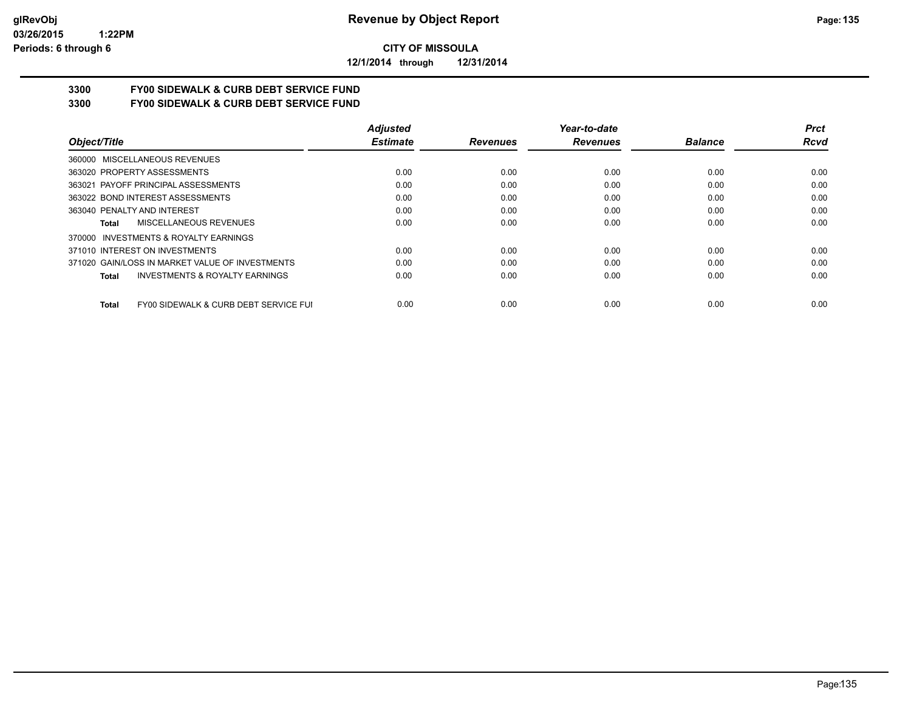**12/1/2014 through 12/31/2014**

# **3300 FY00 SIDEWALK & CURB DEBT SERVICE FUND**

**3300 FY00 SIDEWALK & CURB DEBT SERVICE FUND**

|                                                       | <b>Adjusted</b> |                 | Year-to-date    |                | <b>Prct</b> |
|-------------------------------------------------------|-----------------|-----------------|-----------------|----------------|-------------|
| Object/Title                                          | <b>Estimate</b> | <b>Revenues</b> | <b>Revenues</b> | <b>Balance</b> | <b>Rcvd</b> |
| 360000 MISCELLANEOUS REVENUES                         |                 |                 |                 |                |             |
| 363020 PROPERTY ASSESSMENTS                           | 0.00            | 0.00            | 0.00            | 0.00           | 0.00        |
| 363021 PAYOFF PRINCIPAL ASSESSMENTS                   | 0.00            | 0.00            | 0.00            | 0.00           | 0.00        |
| 363022 BOND INTEREST ASSESSMENTS                      | 0.00            | 0.00            | 0.00            | 0.00           | 0.00        |
| 363040 PENALTY AND INTEREST                           | 0.00            | 0.00            | 0.00            | 0.00           | 0.00        |
| MISCELLANEOUS REVENUES<br>Total                       | 0.00            | 0.00            | 0.00            | 0.00           | 0.00        |
| INVESTMENTS & ROYALTY EARNINGS<br>370000              |                 |                 |                 |                |             |
| 371010 INTEREST ON INVESTMENTS                        | 0.00            | 0.00            | 0.00            | 0.00           | 0.00        |
| 371020 GAIN/LOSS IN MARKET VALUE OF INVESTMENTS       | 0.00            | 0.00            | 0.00            | 0.00           | 0.00        |
| <b>INVESTMENTS &amp; ROYALTY EARNINGS</b><br>Total    | 0.00            | 0.00            | 0.00            | 0.00           | 0.00        |
| FY00 SIDEWALK & CURB DEBT SERVICE FUI<br><b>Total</b> | 0.00            | 0.00            | 0.00            | 0.00           | 0.00        |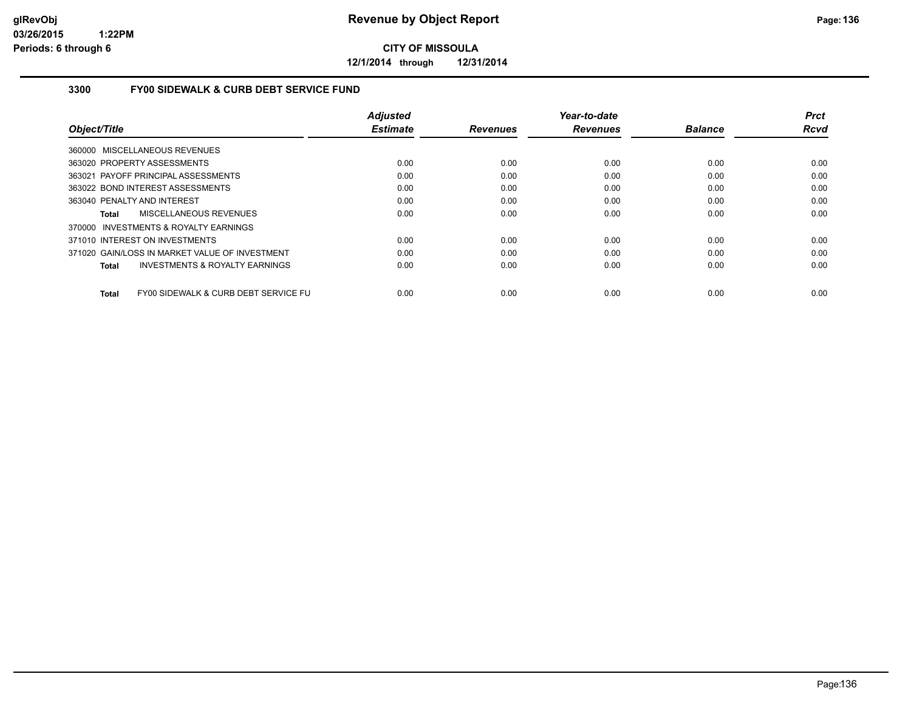**12/1/2014 through 12/31/2014**

### **3300 FY00 SIDEWALK & CURB DEBT SERVICE FUND**

|                                                      | <b>Adjusted</b> |                 | Year-to-date    |                | <b>Prct</b> |
|------------------------------------------------------|-----------------|-----------------|-----------------|----------------|-------------|
| Object/Title                                         | <b>Estimate</b> | <b>Revenues</b> | <b>Revenues</b> | <b>Balance</b> | Rcvd        |
| 360000 MISCELLANEOUS REVENUES                        |                 |                 |                 |                |             |
| 363020 PROPERTY ASSESSMENTS                          | 0.00            | 0.00            | 0.00            | 0.00           | 0.00        |
| 363021 PAYOFF PRINCIPAL ASSESSMENTS                  | 0.00            | 0.00            | 0.00            | 0.00           | 0.00        |
| 363022 BOND INTEREST ASSESSMENTS                     | 0.00            | 0.00            | 0.00            | 0.00           | 0.00        |
| 363040 PENALTY AND INTEREST                          | 0.00            | 0.00            | 0.00            | 0.00           | 0.00        |
| MISCELLANEOUS REVENUES<br>Total                      | 0.00            | 0.00            | 0.00            | 0.00           | 0.00        |
| 370000 INVESTMENTS & ROYALTY EARNINGS                |                 |                 |                 |                |             |
| 371010 INTEREST ON INVESTMENTS                       | 0.00            | 0.00            | 0.00            | 0.00           | 0.00        |
| 371020 GAIN/LOSS IN MARKET VALUE OF INVESTMENT       | 0.00            | 0.00            | 0.00            | 0.00           | 0.00        |
| <b>INVESTMENTS &amp; ROYALTY EARNINGS</b><br>Total   | 0.00            | 0.00            | 0.00            | 0.00           | 0.00        |
| FY00 SIDEWALK & CURB DEBT SERVICE FU<br><b>Total</b> | 0.00            | 0.00            | 0.00            | 0.00           | 0.00        |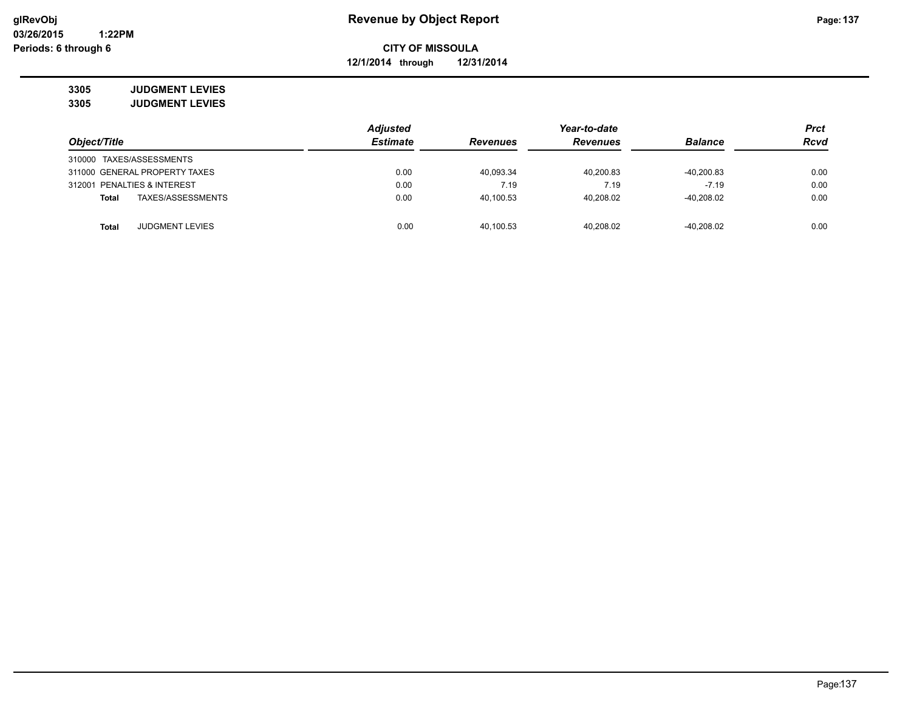**12/1/2014 through 12/31/2014**

**3305 JUDGMENT LEVIES 3305 JUDGMENT LEVIES**

| Object/Title                           | <b>Adjusted</b> |                 | Year-to-date    |                | Prct |
|----------------------------------------|-----------------|-----------------|-----------------|----------------|------|
|                                        | <b>Estimate</b> | <b>Revenues</b> | <b>Revenues</b> | <b>Balance</b> | Rcvd |
| 310000 TAXES/ASSESSMENTS               |                 |                 |                 |                |      |
| 311000 GENERAL PROPERTY TAXES          | 0.00            | 40.093.34       | 40.200.83       | $-40.200.83$   | 0.00 |
| 312001 PENALTIES & INTEREST            | 0.00            | 7.19            | 7.19            | $-7.19$        | 0.00 |
| TAXES/ASSESSMENTS<br>Total             | 0.00            | 40,100.53       | 40,208.02       | $-40.208.02$   | 0.00 |
| <b>JUDGMENT LEVIES</b><br><b>Total</b> | 0.00            | 40.100.53       | 40.208.02       | $-40.208.02$   | 0.00 |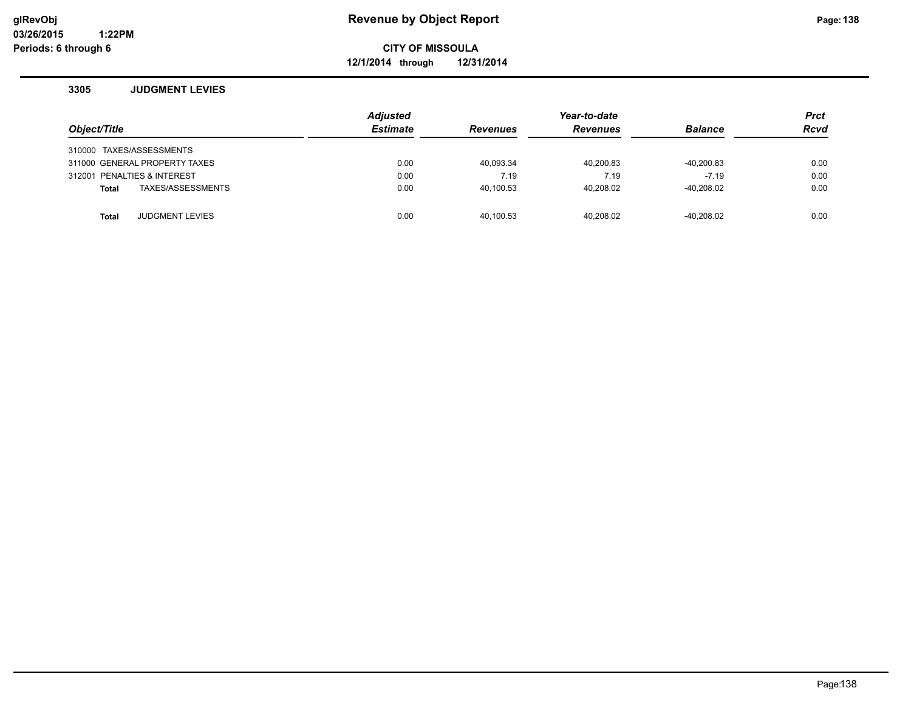**12/1/2014 through 12/31/2014**

#### **3305 JUDGMENT LEVIES**

| Object/Title                           | <b>Adjusted</b><br><b>Estimate</b> | <b>Revenues</b> | Year-to-date<br><b>Revenues</b> | <b>Balance</b> | <b>Prct</b><br><b>Rcvd</b> |
|----------------------------------------|------------------------------------|-----------------|---------------------------------|----------------|----------------------------|
| 310000 TAXES/ASSESSMENTS               |                                    |                 |                                 |                |                            |
| 311000 GENERAL PROPERTY TAXES          | 0.00                               | 40.093.34       | 40.200.83                       | $-40.200.83$   | 0.00                       |
| 312001 PENALTIES & INTEREST            | 0.00                               | 7.19            | 7.19                            | $-7.19$        | 0.00                       |
| TAXES/ASSESSMENTS<br>Total             | 0.00                               | 40.100.53       | 40,208.02                       | $-40.208.02$   | 0.00                       |
| <b>JUDGMENT LEVIES</b><br><b>Total</b> | 0.00                               | 40.100.53       | 40.208.02                       | $-40.208.02$   | 0.00                       |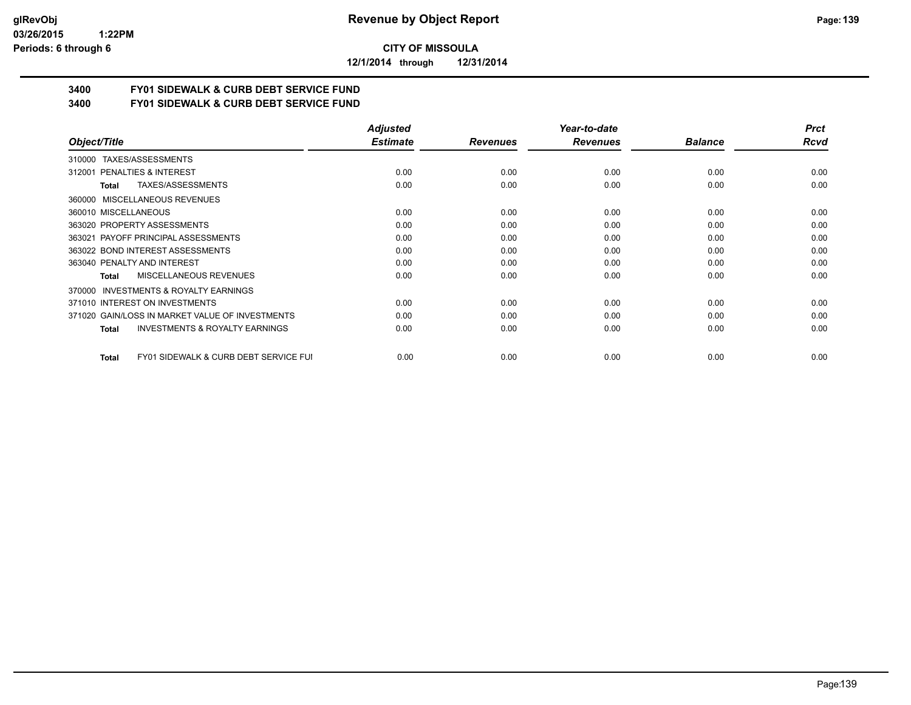#### **03/26/2015 1:22PM Periods: 6 through 6**

## **CITY OF MISSOULA**

**12/1/2014 through 12/31/2014**

# **3400 FY01 SIDEWALK & CURB DEBT SERVICE FUND**

**3400 FY01 SIDEWALK & CURB DEBT SERVICE FUND**

|                                                       | <b>Adjusted</b> |                 | Year-to-date    |                | <b>Prct</b> |
|-------------------------------------------------------|-----------------|-----------------|-----------------|----------------|-------------|
| Object/Title                                          | <b>Estimate</b> | <b>Revenues</b> | <b>Revenues</b> | <b>Balance</b> | Rcvd        |
| TAXES/ASSESSMENTS<br>310000                           |                 |                 |                 |                |             |
| <b>PENALTIES &amp; INTEREST</b><br>312001             | 0.00            | 0.00            | 0.00            | 0.00           | 0.00        |
| TAXES/ASSESSMENTS<br>Total                            | 0.00            | 0.00            | 0.00            | 0.00           | 0.00        |
| 360000 MISCELLANEOUS REVENUES                         |                 |                 |                 |                |             |
| 360010 MISCELLANEOUS                                  | 0.00            | 0.00            | 0.00            | 0.00           | 0.00        |
| 363020 PROPERTY ASSESSMENTS                           | 0.00            | 0.00            | 0.00            | 0.00           | 0.00        |
| 363021 PAYOFF PRINCIPAL ASSESSMENTS                   | 0.00            | 0.00            | 0.00            | 0.00           | 0.00        |
| 363022 BOND INTEREST ASSESSMENTS                      | 0.00            | 0.00            | 0.00            | 0.00           | 0.00        |
| 363040 PENALTY AND INTEREST                           | 0.00            | 0.00            | 0.00            | 0.00           | 0.00        |
| <b>MISCELLANEOUS REVENUES</b><br>Total                | 0.00            | 0.00            | 0.00            | 0.00           | 0.00        |
| <b>INVESTMENTS &amp; ROYALTY EARNINGS</b><br>370000   |                 |                 |                 |                |             |
| 371010 INTEREST ON INVESTMENTS                        | 0.00            | 0.00            | 0.00            | 0.00           | 0.00        |
| 371020 GAIN/LOSS IN MARKET VALUE OF INVESTMENTS       | 0.00            | 0.00            | 0.00            | 0.00           | 0.00        |
| <b>INVESTMENTS &amp; ROYALTY EARNINGS</b><br>Total    | 0.00            | 0.00            | 0.00            | 0.00           | 0.00        |
| FY01 SIDEWALK & CURB DEBT SERVICE FUI<br><b>Total</b> | 0.00            | 0.00            | 0.00            | 0.00           | 0.00        |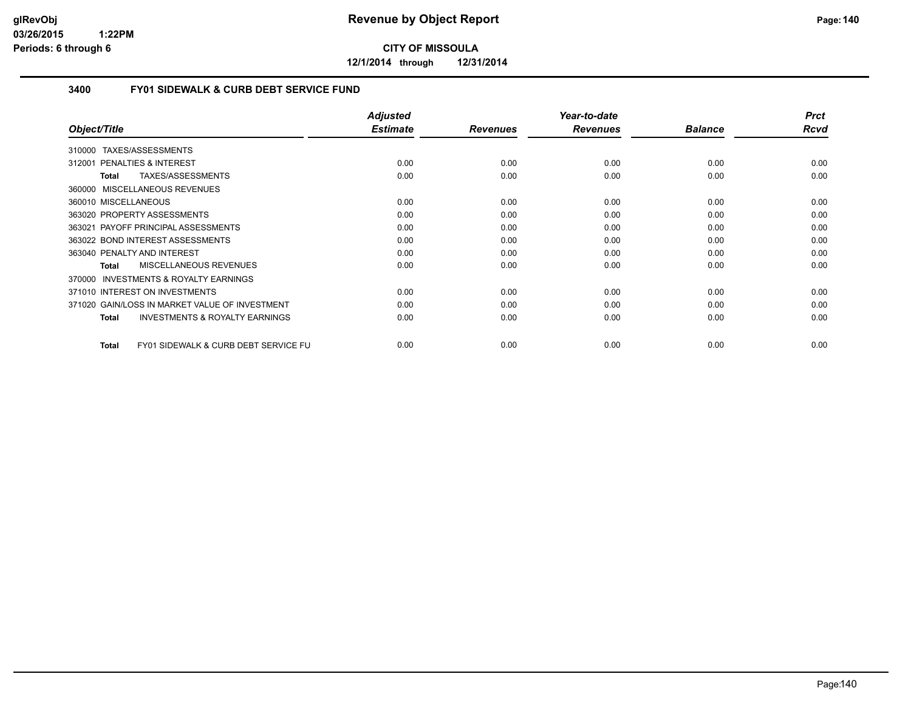**12/1/2014 through 12/31/2014**

### **3400 FY01 SIDEWALK & CURB DEBT SERVICE FUND**

|                                                                 | <b>Adjusted</b> |                 | Year-to-date    |                | <b>Prct</b> |
|-----------------------------------------------------------------|-----------------|-----------------|-----------------|----------------|-------------|
| Object/Title                                                    | <b>Estimate</b> | <b>Revenues</b> | <b>Revenues</b> | <b>Balance</b> | Rcvd        |
| TAXES/ASSESSMENTS<br>310000                                     |                 |                 |                 |                |             |
| 312001 PENALTIES & INTEREST                                     | 0.00            | 0.00            | 0.00            | 0.00           | 0.00        |
| TAXES/ASSESSMENTS<br>Total                                      | 0.00            | 0.00            | 0.00            | 0.00           | 0.00        |
| MISCELLANEOUS REVENUES<br>360000                                |                 |                 |                 |                |             |
| 360010 MISCELLANEOUS                                            | 0.00            | 0.00            | 0.00            | 0.00           | 0.00        |
| 363020 PROPERTY ASSESSMENTS                                     | 0.00            | 0.00            | 0.00            | 0.00           | 0.00        |
| 363021 PAYOFF PRINCIPAL ASSESSMENTS                             | 0.00            | 0.00            | 0.00            | 0.00           | 0.00        |
| 363022 BOND INTEREST ASSESSMENTS                                | 0.00            | 0.00            | 0.00            | 0.00           | 0.00        |
| 363040 PENALTY AND INTEREST                                     | 0.00            | 0.00            | 0.00            | 0.00           | 0.00        |
| MISCELLANEOUS REVENUES<br><b>Total</b>                          | 0.00            | 0.00            | 0.00            | 0.00           | 0.00        |
| INVESTMENTS & ROYALTY EARNINGS<br>370000                        |                 |                 |                 |                |             |
| 371010 INTEREST ON INVESTMENTS                                  | 0.00            | 0.00            | 0.00            | 0.00           | 0.00        |
| 371020 GAIN/LOSS IN MARKET VALUE OF INVESTMENT                  | 0.00            | 0.00            | 0.00            | 0.00           | 0.00        |
| <b>INVESTMENTS &amp; ROYALTY EARNINGS</b><br>Total              | 0.00            | 0.00            | 0.00            | 0.00           | 0.00        |
| <b>FY01 SIDEWALK &amp; CURB DEBT SERVICE FU</b><br><b>Total</b> | 0.00            | 0.00            | 0.00            | 0.00           | 0.00        |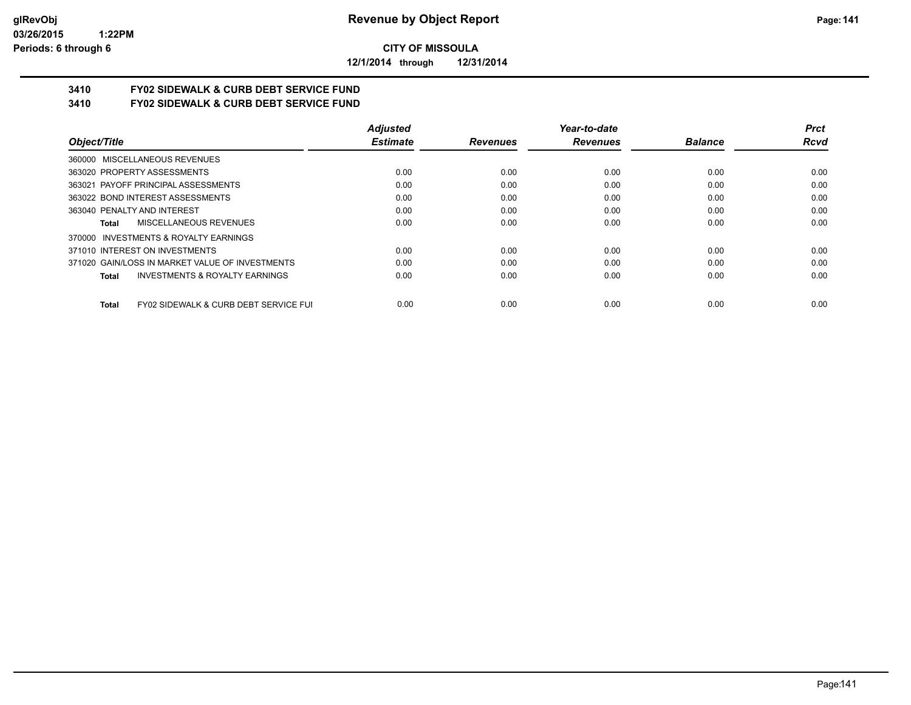**12/1/2014 through 12/31/2014**

# **3410 FY02 SIDEWALK & CURB DEBT SERVICE FUND**

**3410 FY02 SIDEWALK & CURB DEBT SERVICE FUND**

|                                                                  | <b>Adjusted</b> |                 | Year-to-date    |                | <b>Prct</b> |
|------------------------------------------------------------------|-----------------|-----------------|-----------------|----------------|-------------|
| Object/Title                                                     | <b>Estimate</b> | <b>Revenues</b> | <b>Revenues</b> | <b>Balance</b> | <b>Rcvd</b> |
| 360000 MISCELLANEOUS REVENUES                                    |                 |                 |                 |                |             |
| 363020 PROPERTY ASSESSMENTS                                      | 0.00            | 0.00            | 0.00            | 0.00           | 0.00        |
| 363021 PAYOFF PRINCIPAL ASSESSMENTS                              | 0.00            | 0.00            | 0.00            | 0.00           | 0.00        |
| 363022 BOND INTEREST ASSESSMENTS                                 | 0.00            | 0.00            | 0.00            | 0.00           | 0.00        |
| 363040 PENALTY AND INTEREST                                      | 0.00            | 0.00            | 0.00            | 0.00           | 0.00        |
| MISCELLANEOUS REVENUES<br>Total                                  | 0.00            | 0.00            | 0.00            | 0.00           | 0.00        |
| INVESTMENTS & ROYALTY EARNINGS<br>370000                         |                 |                 |                 |                |             |
| 371010 INTEREST ON INVESTMENTS                                   | 0.00            | 0.00            | 0.00            | 0.00           | 0.00        |
| 371020 GAIN/LOSS IN MARKET VALUE OF INVESTMENTS                  | 0.00            | 0.00            | 0.00            | 0.00           | 0.00        |
| <b>INVESTMENTS &amp; ROYALTY EARNINGS</b><br><b>Total</b>        | 0.00            | 0.00            | 0.00            | 0.00           | 0.00        |
| <b>FY02 SIDEWALK &amp; CURB DEBT SERVICE FUI</b><br><b>Total</b> | 0.00            | 0.00            | 0.00            | 0.00           | 0.00        |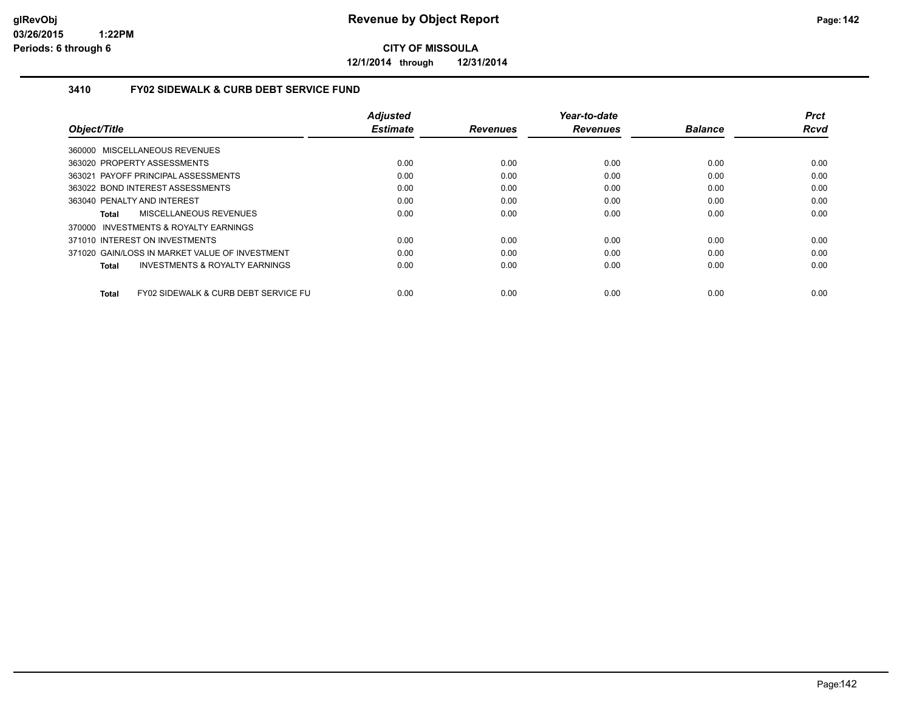**12/1/2014 through 12/31/2014**

## **3410 FY02 SIDEWALK & CURB DEBT SERVICE FUND**

|                                                                 | <b>Adjusted</b> |                 | Year-to-date    |                | <b>Prct</b> |
|-----------------------------------------------------------------|-----------------|-----------------|-----------------|----------------|-------------|
| Object/Title                                                    | <b>Estimate</b> | <b>Revenues</b> | <b>Revenues</b> | <b>Balance</b> | Rcvd        |
| 360000 MISCELLANEOUS REVENUES                                   |                 |                 |                 |                |             |
| 363020 PROPERTY ASSESSMENTS                                     | 0.00            | 0.00            | 0.00            | 0.00           | 0.00        |
| 363021 PAYOFF PRINCIPAL ASSESSMENTS                             | 0.00            | 0.00            | 0.00            | 0.00           | 0.00        |
| 363022 BOND INTEREST ASSESSMENTS                                | 0.00            | 0.00            | 0.00            | 0.00           | 0.00        |
| 363040 PENALTY AND INTEREST                                     | 0.00            | 0.00            | 0.00            | 0.00           | 0.00        |
| MISCELLANEOUS REVENUES<br>Total                                 | 0.00            | 0.00            | 0.00            | 0.00           | 0.00        |
| 370000 INVESTMENTS & ROYALTY EARNINGS                           |                 |                 |                 |                |             |
| 371010 INTEREST ON INVESTMENTS                                  | 0.00            | 0.00            | 0.00            | 0.00           | 0.00        |
| 371020 GAIN/LOSS IN MARKET VALUE OF INVESTMENT                  | 0.00            | 0.00            | 0.00            | 0.00           | 0.00        |
| <b>INVESTMENTS &amp; ROYALTY EARNINGS</b><br>Total              | 0.00            | 0.00            | 0.00            | 0.00           | 0.00        |
| <b>FY02 SIDEWALK &amp; CURB DEBT SERVICE FU</b><br><b>Total</b> | 0.00            | 0.00            | 0.00            | 0.00           | 0.00        |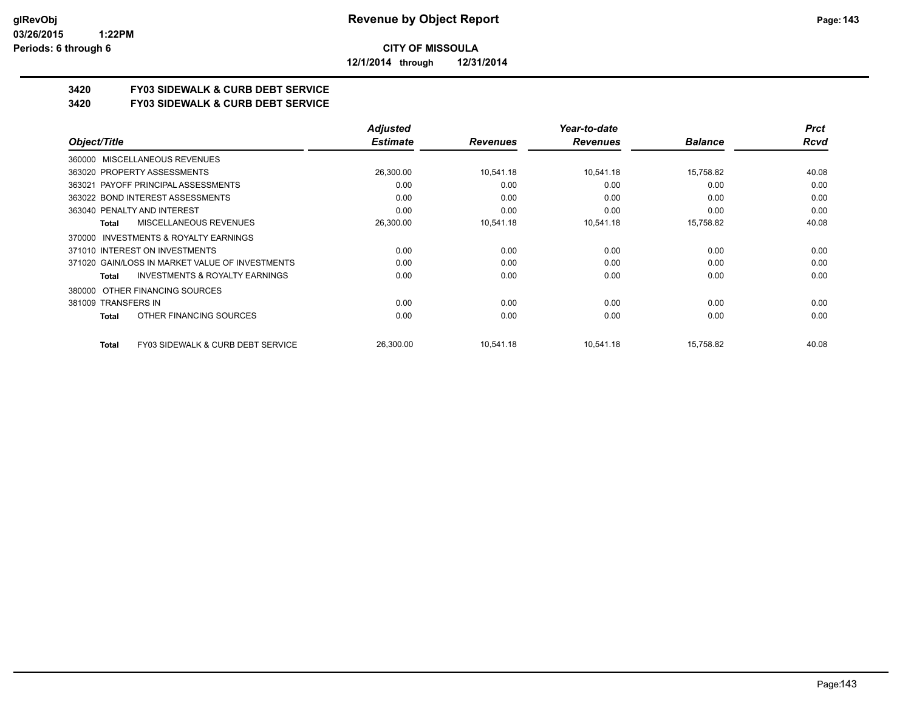**12/1/2014 through 12/31/2014**

# **3420 FY03 SIDEWALK & CURB DEBT SERVICE**

**3420 FY03 SIDEWALK & CURB DEBT SERVICE**

|                                                              | <b>Adjusted</b> |                 | Year-to-date    |                | <b>Prct</b> |
|--------------------------------------------------------------|-----------------|-----------------|-----------------|----------------|-------------|
| Object/Title                                                 | <b>Estimate</b> | <b>Revenues</b> | <b>Revenues</b> | <b>Balance</b> | Rcvd        |
| 360000 MISCELLANEOUS REVENUES                                |                 |                 |                 |                |             |
| 363020 PROPERTY ASSESSMENTS                                  | 26,300.00       | 10,541.18       | 10,541.18       | 15,758.82      | 40.08       |
| 363021 PAYOFF PRINCIPAL ASSESSMENTS                          | 0.00            | 0.00            | 0.00            | 0.00           | 0.00        |
| 363022 BOND INTEREST ASSESSMENTS                             | 0.00            | 0.00            | 0.00            | 0.00           | 0.00        |
| 363040 PENALTY AND INTEREST                                  | 0.00            | 0.00            | 0.00            | 0.00           | 0.00        |
| MISCELLANEOUS REVENUES<br>Total                              | 26,300.00       | 10,541.18       | 10,541.18       | 15,758.82      | 40.08       |
| INVESTMENTS & ROYALTY EARNINGS<br>370000                     |                 |                 |                 |                |             |
| 371010 INTEREST ON INVESTMENTS                               | 0.00            | 0.00            | 0.00            | 0.00           | 0.00        |
| 371020 GAIN/LOSS IN MARKET VALUE OF INVESTMENTS              | 0.00            | 0.00            | 0.00            | 0.00           | 0.00        |
| <b>INVESTMENTS &amp; ROYALTY EARNINGS</b><br>Total           | 0.00            | 0.00            | 0.00            | 0.00           | 0.00        |
| OTHER FINANCING SOURCES<br>380000                            |                 |                 |                 |                |             |
| 381009 TRANSFERS IN                                          | 0.00            | 0.00            | 0.00            | 0.00           | 0.00        |
| OTHER FINANCING SOURCES<br>Total                             | 0.00            | 0.00            | 0.00            | 0.00           | 0.00        |
| <b>FY03 SIDEWALK &amp; CURB DEBT SERVICE</b><br><b>Total</b> | 26,300.00       | 10,541.18       | 10,541.18       | 15,758.82      | 40.08       |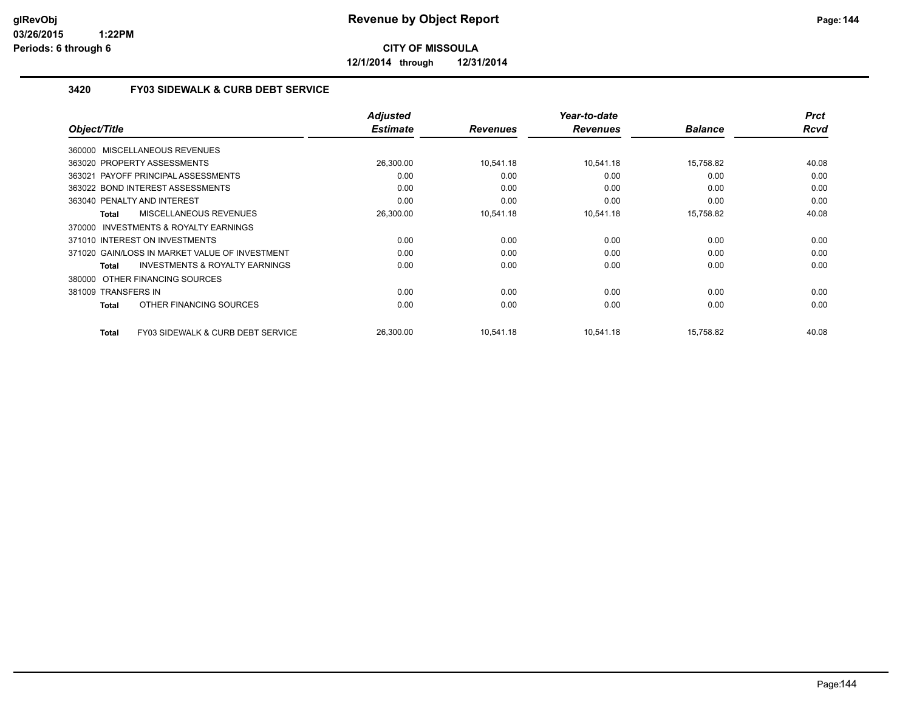**12/1/2014 through 12/31/2014**

### **3420 FY03 SIDEWALK & CURB DEBT SERVICE**

| Object/Title                                       | <b>Adjusted</b><br><b>Estimate</b> | <b>Revenues</b> | Year-to-date<br><b>Revenues</b> | <b>Balance</b> | <b>Prct</b><br><b>Rcvd</b> |
|----------------------------------------------------|------------------------------------|-----------------|---------------------------------|----------------|----------------------------|
|                                                    |                                    |                 |                                 |                |                            |
| 360000 MISCELLANEOUS REVENUES                      |                                    |                 |                                 |                |                            |
| 363020 PROPERTY ASSESSMENTS                        | 26,300.00                          | 10,541.18       | 10,541.18                       | 15,758.82      | 40.08                      |
| PAYOFF PRINCIPAL ASSESSMENTS<br>363021             | 0.00                               | 0.00            | 0.00                            | 0.00           | 0.00                       |
| 363022 BOND INTEREST ASSESSMENTS                   | 0.00                               | 0.00            | 0.00                            | 0.00           | 0.00                       |
| 363040 PENALTY AND INTEREST                        | 0.00                               | 0.00            | 0.00                            | 0.00           | 0.00                       |
| MISCELLANEOUS REVENUES<br><b>Total</b>             | 26,300.00                          | 10,541.18       | 10,541.18                       | 15,758.82      | 40.08                      |
| 370000 INVESTMENTS & ROYALTY EARNINGS              |                                    |                 |                                 |                |                            |
| 371010 INTEREST ON INVESTMENTS                     | 0.00                               | 0.00            | 0.00                            | 0.00           | 0.00                       |
| 371020 GAIN/LOSS IN MARKET VALUE OF INVESTMENT     | 0.00                               | 0.00            | 0.00                            | 0.00           | 0.00                       |
| <b>INVESTMENTS &amp; ROYALTY EARNINGS</b><br>Total | 0.00                               | 0.00            | 0.00                            | 0.00           | 0.00                       |
| OTHER FINANCING SOURCES<br>380000                  |                                    |                 |                                 |                |                            |
| 381009 TRANSFERS IN                                | 0.00                               | 0.00            | 0.00                            | 0.00           | 0.00                       |
| OTHER FINANCING SOURCES<br><b>Total</b>            | 0.00                               | 0.00            | 0.00                            | 0.00           | 0.00                       |
| FY03 SIDEWALK & CURB DEBT SERVICE<br>Total         | 26.300.00                          | 10.541.18       | 10,541.18                       | 15.758.82      | 40.08                      |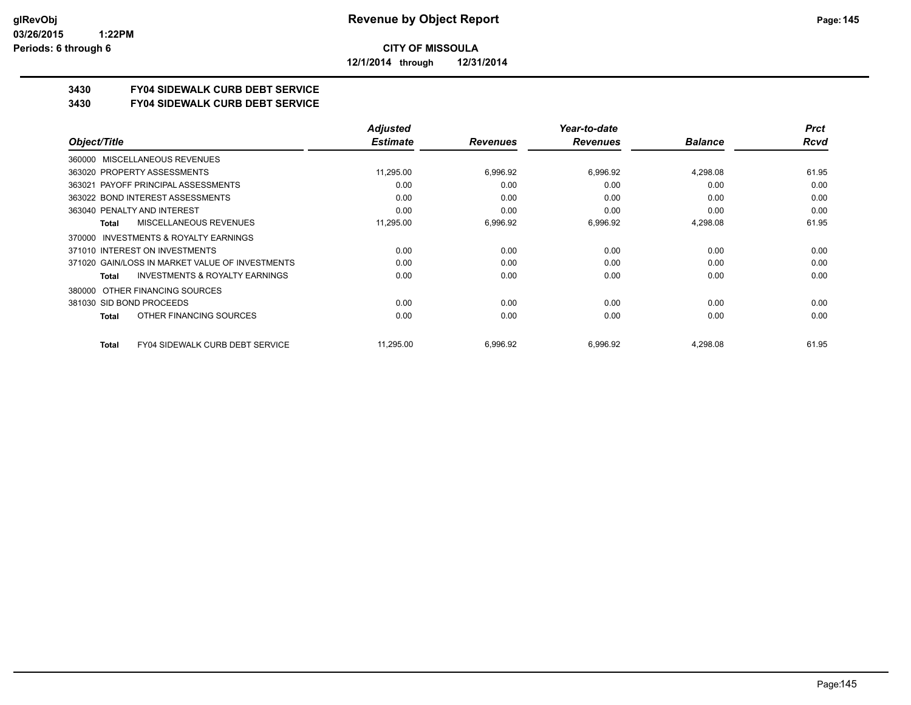**12/1/2014 through 12/31/2014**

## **3430 FY04 SIDEWALK CURB DEBT SERVICE**

**3430 FY04 SIDEWALK CURB DEBT SERVICE**

|                                                        | <b>Adjusted</b> |                 | Year-to-date    |                | <b>Prct</b> |
|--------------------------------------------------------|-----------------|-----------------|-----------------|----------------|-------------|
| Object/Title                                           | <b>Estimate</b> | <b>Revenues</b> | <b>Revenues</b> | <b>Balance</b> | Rcvd        |
| 360000 MISCELLANEOUS REVENUES                          |                 |                 |                 |                |             |
| 363020 PROPERTY ASSESSMENTS                            | 11,295.00       | 6,996.92        | 6,996.92        | 4,298.08       | 61.95       |
| 363021 PAYOFF PRINCIPAL ASSESSMENTS                    | 0.00            | 0.00            | 0.00            | 0.00           | 0.00        |
| 363022 BOND INTEREST ASSESSMENTS                       | 0.00            | 0.00            | 0.00            | 0.00           | 0.00        |
| 363040 PENALTY AND INTEREST                            | 0.00            | 0.00            | 0.00            | 0.00           | 0.00        |
| MISCELLANEOUS REVENUES<br>Total                        | 11,295.00       | 6,996.92        | 6,996.92        | 4,298.08       | 61.95       |
| INVESTMENTS & ROYALTY EARNINGS<br>370000               |                 |                 |                 |                |             |
| 371010 INTEREST ON INVESTMENTS                         | 0.00            | 0.00            | 0.00            | 0.00           | 0.00        |
| 371020 GAIN/LOSS IN MARKET VALUE OF INVESTMENTS        | 0.00            | 0.00            | 0.00            | 0.00           | 0.00        |
| <b>INVESTMENTS &amp; ROYALTY EARNINGS</b><br>Total     | 0.00            | 0.00            | 0.00            | 0.00           | 0.00        |
| 380000 OTHER FINANCING SOURCES                         |                 |                 |                 |                |             |
| 381030 SID BOND PROCEEDS                               | 0.00            | 0.00            | 0.00            | 0.00           | 0.00        |
| OTHER FINANCING SOURCES<br>Total                       | 0.00            | 0.00            | 0.00            | 0.00           | 0.00        |
| <b>FY04 SIDEWALK CURB DEBT SERVICE</b><br><b>Total</b> | 11,295.00       | 6,996.92        | 6,996.92        | 4,298.08       | 61.95       |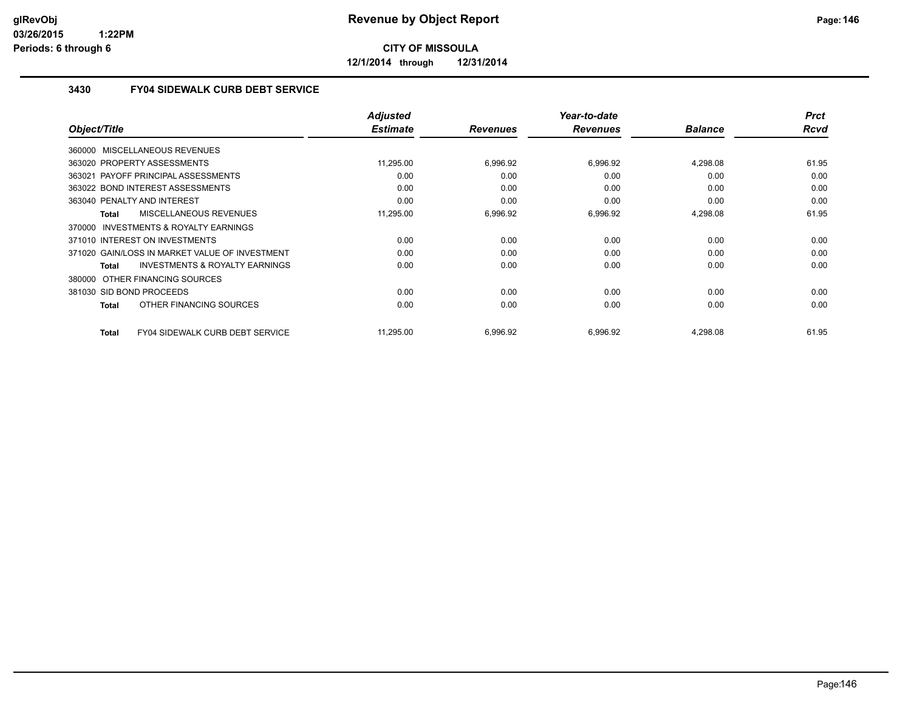**12/1/2014 through 12/31/2014**

### **3430 FY04 SIDEWALK CURB DEBT SERVICE**

|                                                    | <b>Adjusted</b> |                 | Year-to-date    |                | <b>Prct</b> |
|----------------------------------------------------|-----------------|-----------------|-----------------|----------------|-------------|
| Object/Title                                       | <b>Estimate</b> | <b>Revenues</b> | <b>Revenues</b> | <b>Balance</b> | <b>Rcvd</b> |
| 360000 MISCELLANEOUS REVENUES                      |                 |                 |                 |                |             |
| 363020 PROPERTY ASSESSMENTS                        | 11,295.00       | 6,996.92        | 6,996.92        | 4,298.08       | 61.95       |
| 363021 PAYOFF PRINCIPAL ASSESSMENTS                | 0.00            | 0.00            | 0.00            | 0.00           | 0.00        |
| 363022 BOND INTEREST ASSESSMENTS                   | 0.00            | 0.00            | 0.00            | 0.00           | 0.00        |
| 363040 PENALTY AND INTEREST                        | 0.00            | 0.00            | 0.00            | 0.00           | 0.00        |
| MISCELLANEOUS REVENUES<br>Total                    | 11,295.00       | 6,996.92        | 6,996.92        | 4,298.08       | 61.95       |
| 370000 INVESTMENTS & ROYALTY EARNINGS              |                 |                 |                 |                |             |
| 371010 INTEREST ON INVESTMENTS                     | 0.00            | 0.00            | 0.00            | 0.00           | 0.00        |
| 371020 GAIN/LOSS IN MARKET VALUE OF INVESTMENT     | 0.00            | 0.00            | 0.00            | 0.00           | 0.00        |
| <b>INVESTMENTS &amp; ROYALTY EARNINGS</b><br>Total | 0.00            | 0.00            | 0.00            | 0.00           | 0.00        |
| 380000 OTHER FINANCING SOURCES                     |                 |                 |                 |                |             |
| 381030 SID BOND PROCEEDS                           | 0.00            | 0.00            | 0.00            | 0.00           | 0.00        |
| OTHER FINANCING SOURCES<br>Total                   | 0.00            | 0.00            | 0.00            | 0.00           | 0.00        |
| FY04 SIDEWALK CURB DEBT SERVICE<br>Total           | 11.295.00       | 6,996.92        | 6,996.92        | 4,298.08       | 61.95       |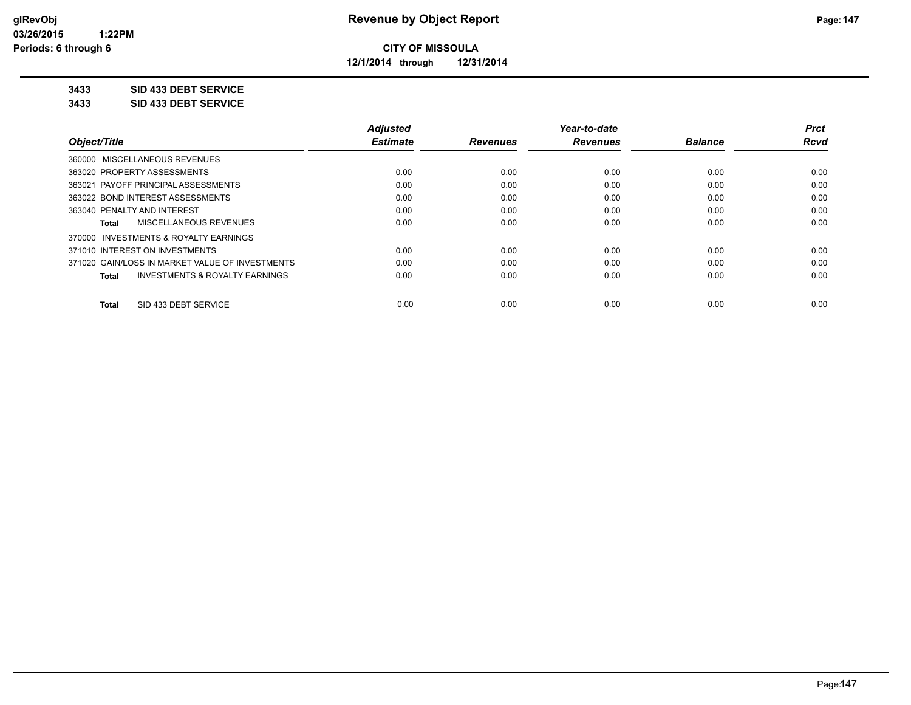**12/1/2014 through 12/31/2014**

**3433 SID 433 DEBT SERVICE**

**3433 SID 433 DEBT SERVICE**

|                                                    | <b>Adjusted</b> |                 | Year-to-date    |                | <b>Prct</b> |
|----------------------------------------------------|-----------------|-----------------|-----------------|----------------|-------------|
| Object/Title                                       | <b>Estimate</b> | <b>Revenues</b> | <b>Revenues</b> | <b>Balance</b> | <b>Rcvd</b> |
| 360000 MISCELLANEOUS REVENUES                      |                 |                 |                 |                |             |
| 363020 PROPERTY ASSESSMENTS                        | 0.00            | 0.00            | 0.00            | 0.00           | 0.00        |
| 363021 PAYOFF PRINCIPAL ASSESSMENTS                | 0.00            | 0.00            | 0.00            | 0.00           | 0.00        |
| 363022 BOND INTEREST ASSESSMENTS                   | 0.00            | 0.00            | 0.00            | 0.00           | 0.00        |
| 363040 PENALTY AND INTEREST                        | 0.00            | 0.00            | 0.00            | 0.00           | 0.00        |
| MISCELLANEOUS REVENUES<br>Total                    | 0.00            | 0.00            | 0.00            | 0.00           | 0.00        |
| INVESTMENTS & ROYALTY EARNINGS<br>370000           |                 |                 |                 |                |             |
| 371010 INTEREST ON INVESTMENTS                     | 0.00            | 0.00            | 0.00            | 0.00           | 0.00        |
| 371020 GAIN/LOSS IN MARKET VALUE OF INVESTMENTS    | 0.00            | 0.00            | 0.00            | 0.00           | 0.00        |
| <b>INVESTMENTS &amp; ROYALTY EARNINGS</b><br>Total | 0.00            | 0.00            | 0.00            | 0.00           | 0.00        |
| SID 433 DEBT SERVICE<br><b>Total</b>               | 0.00            | 0.00            | 0.00            | 0.00           | 0.00        |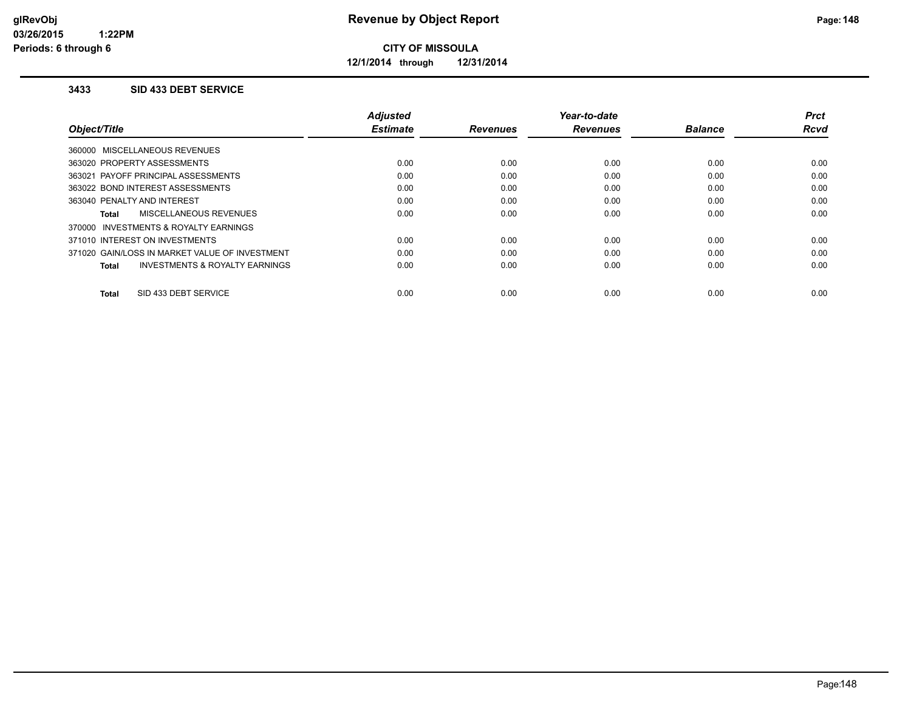**12/1/2014 through 12/31/2014**

### **3433 SID 433 DEBT SERVICE**

|                                                    | <b>Adjusted</b> |                 | Year-to-date    |                | <b>Prct</b> |
|----------------------------------------------------|-----------------|-----------------|-----------------|----------------|-------------|
| Object/Title                                       | <b>Estimate</b> | <b>Revenues</b> | <b>Revenues</b> | <b>Balance</b> | <b>Rcvd</b> |
| 360000 MISCELLANEOUS REVENUES                      |                 |                 |                 |                |             |
| 363020 PROPERTY ASSESSMENTS                        | 0.00            | 0.00            | 0.00            | 0.00           | 0.00        |
| 363021 PAYOFF PRINCIPAL ASSESSMENTS                | 0.00            | 0.00            | 0.00            | 0.00           | 0.00        |
| 363022 BOND INTEREST ASSESSMENTS                   | 0.00            | 0.00            | 0.00            | 0.00           | 0.00        |
| 363040 PENALTY AND INTEREST                        | 0.00            | 0.00            | 0.00            | 0.00           | 0.00        |
| MISCELLANEOUS REVENUES<br>Total                    | 0.00            | 0.00            | 0.00            | 0.00           | 0.00        |
| 370000 INVESTMENTS & ROYALTY EARNINGS              |                 |                 |                 |                |             |
| 371010 INTEREST ON INVESTMENTS                     | 0.00            | 0.00            | 0.00            | 0.00           | 0.00        |
| 371020 GAIN/LOSS IN MARKET VALUE OF INVESTMENT     | 0.00            | 0.00            | 0.00            | 0.00           | 0.00        |
| <b>INVESTMENTS &amp; ROYALTY EARNINGS</b><br>Total | 0.00            | 0.00            | 0.00            | 0.00           | 0.00        |
|                                                    |                 |                 |                 |                |             |
| SID 433 DEBT SERVICE<br><b>Total</b>               | 0.00            | 0.00            | 0.00            | 0.00           | 0.00        |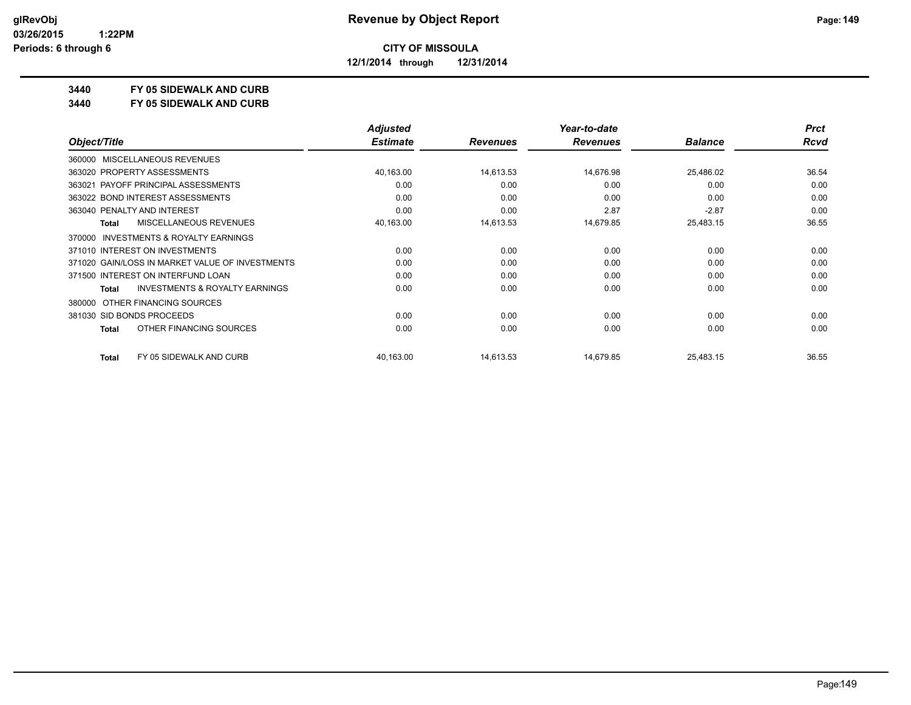**12/1/2014 through 12/31/2014**

## **3440 FY 05 SIDEWALK AND CURB**

**3440 FY 05 SIDEWALK AND CURB**

|              |                                                 | <b>Adjusted</b> |                 | Year-to-date    |                | <b>Prct</b> |
|--------------|-------------------------------------------------|-----------------|-----------------|-----------------|----------------|-------------|
| Object/Title |                                                 | <b>Estimate</b> | <b>Revenues</b> | <b>Revenues</b> | <b>Balance</b> | Rcvd        |
| 360000       | <b>MISCELLANEOUS REVENUES</b>                   |                 |                 |                 |                |             |
|              | 363020 PROPERTY ASSESSMENTS                     | 40,163.00       | 14,613.53       | 14,676.98       | 25,486.02      | 36.54       |
|              | 363021 PAYOFF PRINCIPAL ASSESSMENTS             | 0.00            | 0.00            | 0.00            | 0.00           | 0.00        |
|              | 363022 BOND INTEREST ASSESSMENTS                | 0.00            | 0.00            | 0.00            | 0.00           | 0.00        |
|              | 363040 PENALTY AND INTEREST                     | 0.00            | 0.00            | 2.87            | $-2.87$        | 0.00        |
| <b>Total</b> | MISCELLANEOUS REVENUES                          | 40,163.00       | 14,613.53       | 14,679.85       | 25,483.15      | 36.55       |
| 370000       | <b>INVESTMENTS &amp; ROYALTY EARNINGS</b>       |                 |                 |                 |                |             |
|              | 371010 INTEREST ON INVESTMENTS                  | 0.00            | 0.00            | 0.00            | 0.00           | 0.00        |
|              | 371020 GAIN/LOSS IN MARKET VALUE OF INVESTMENTS | 0.00            | 0.00            | 0.00            | 0.00           | 0.00        |
|              | 371500 INTEREST ON INTERFUND LOAN               | 0.00            | 0.00            | 0.00            | 0.00           | 0.00        |
| <b>Total</b> | <b>INVESTMENTS &amp; ROYALTY EARNINGS</b>       | 0.00            | 0.00            | 0.00            | 0.00           | 0.00        |
| 380000       | OTHER FINANCING SOURCES                         |                 |                 |                 |                |             |
|              | 381030 SID BONDS PROCEEDS                       | 0.00            | 0.00            | 0.00            | 0.00           | 0.00        |
| <b>Total</b> | OTHER FINANCING SOURCES                         | 0.00            | 0.00            | 0.00            | 0.00           | 0.00        |
| <b>Total</b> | FY 05 SIDEWALK AND CURB                         | 40,163.00       | 14,613.53       | 14,679.85       | 25,483.15      | 36.55       |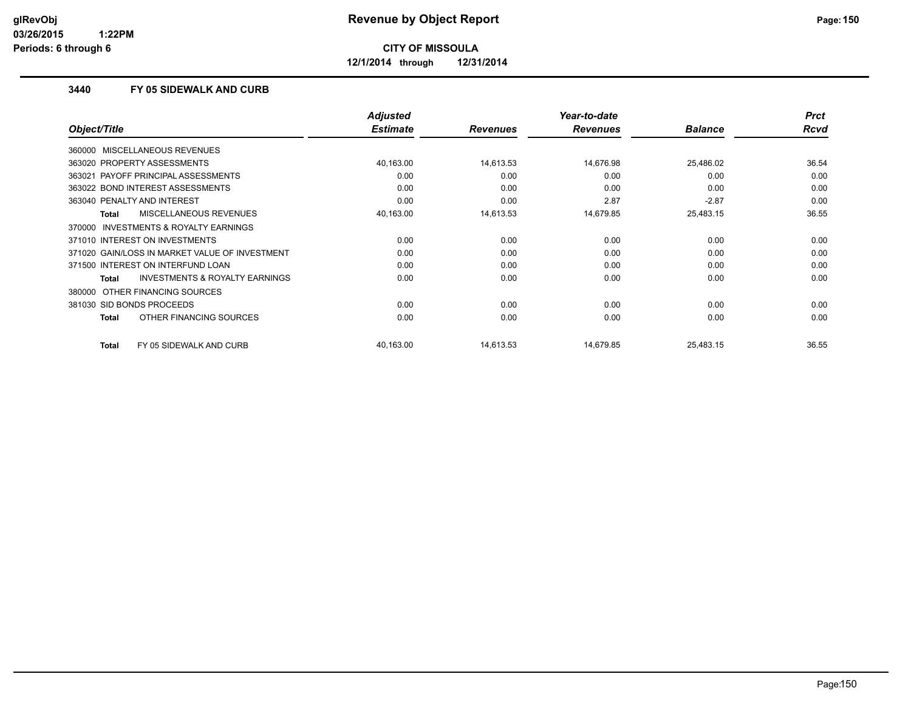**12/1/2014 through 12/31/2014**

### **3440 FY 05 SIDEWALK AND CURB**

|                                                           | <b>Adjusted</b> |                 | Year-to-date    |                | <b>Prct</b> |
|-----------------------------------------------------------|-----------------|-----------------|-----------------|----------------|-------------|
| Object/Title                                              | <b>Estimate</b> | <b>Revenues</b> | <b>Revenues</b> | <b>Balance</b> | <b>Rcvd</b> |
| 360000 MISCELLANEOUS REVENUES                             |                 |                 |                 |                |             |
| 363020 PROPERTY ASSESSMENTS                               | 40,163.00       | 14,613.53       | 14,676.98       | 25,486.02      | 36.54       |
| 363021 PAYOFF PRINCIPAL ASSESSMENTS                       | 0.00            | 0.00            | 0.00            | 0.00           | 0.00        |
| 363022 BOND INTEREST ASSESSMENTS                          | 0.00            | 0.00            | 0.00            | 0.00           | 0.00        |
| 363040 PENALTY AND INTEREST                               | 0.00            | 0.00            | 2.87            | $-2.87$        | 0.00        |
| <b>MISCELLANEOUS REVENUES</b><br><b>Total</b>             | 40,163.00       | 14,613.53       | 14,679.85       | 25,483.15      | 36.55       |
| <b>INVESTMENTS &amp; ROYALTY EARNINGS</b><br>370000       |                 |                 |                 |                |             |
| 371010 INTEREST ON INVESTMENTS                            | 0.00            | 0.00            | 0.00            | 0.00           | 0.00        |
| 371020 GAIN/LOSS IN MARKET VALUE OF INVESTMENT            | 0.00            | 0.00            | 0.00            | 0.00           | 0.00        |
| 371500 INTEREST ON INTERFUND LOAN                         | 0.00            | 0.00            | 0.00            | 0.00           | 0.00        |
| <b>INVESTMENTS &amp; ROYALTY EARNINGS</b><br><b>Total</b> | 0.00            | 0.00            | 0.00            | 0.00           | 0.00        |
| 380000 OTHER FINANCING SOURCES                            |                 |                 |                 |                |             |
| 381030 SID BONDS PROCEEDS                                 | 0.00            | 0.00            | 0.00            | 0.00           | 0.00        |
| OTHER FINANCING SOURCES<br><b>Total</b>                   | 0.00            | 0.00            | 0.00            | 0.00           | 0.00        |
| <b>Total</b><br>FY 05 SIDEWALK AND CURB                   | 40,163.00       | 14,613.53       | 14,679.85       | 25,483.15      | 36.55       |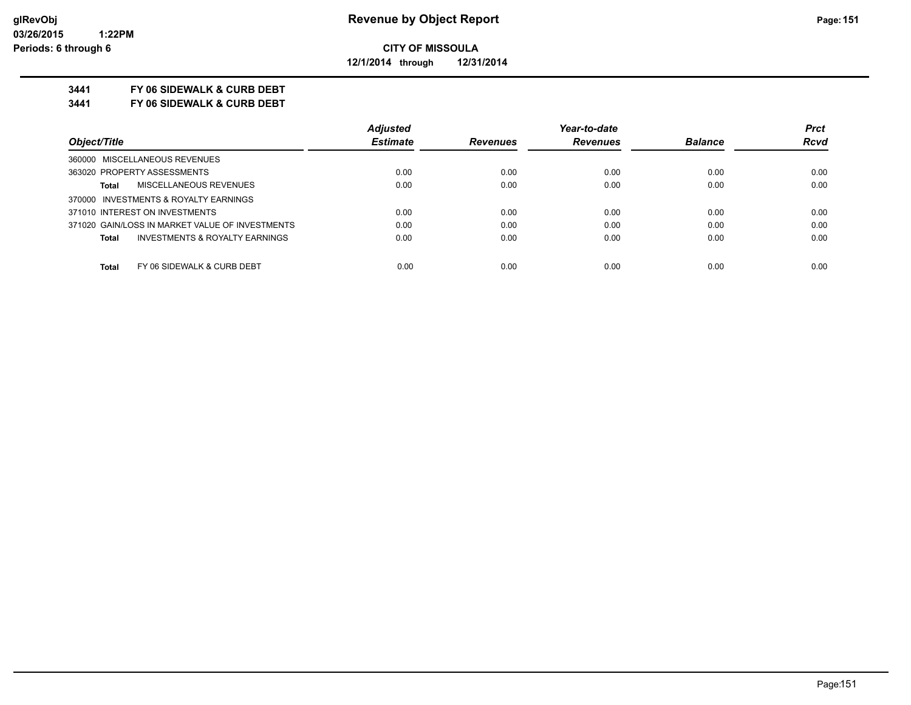**12/1/2014 through 12/31/2014**

### **3441 FY 06 SIDEWALK & CURB DEBT**

**3441 FY 06 SIDEWALK & CURB DEBT**

|                                                    | <b>Adjusted</b> |                 | Year-to-date    |                | <b>Prct</b> |
|----------------------------------------------------|-----------------|-----------------|-----------------|----------------|-------------|
| Object/Title                                       | <b>Estimate</b> | <b>Revenues</b> | <b>Revenues</b> | <b>Balance</b> | <b>Rcvd</b> |
| 360000 MISCELLANEOUS REVENUES                      |                 |                 |                 |                |             |
| 363020 PROPERTY ASSESSMENTS                        | 0.00            | 0.00            | 0.00            | 0.00           | 0.00        |
| MISCELLANEOUS REVENUES<br><b>Total</b>             | 0.00            | 0.00            | 0.00            | 0.00           | 0.00        |
| 370000 INVESTMENTS & ROYALTY EARNINGS              |                 |                 |                 |                |             |
| 371010 INTEREST ON INVESTMENTS                     | 0.00            | 0.00            | 0.00            | 0.00           | 0.00        |
| 371020 GAIN/LOSS IN MARKET VALUE OF INVESTMENTS    | 0.00            | 0.00            | 0.00            | 0.00           | 0.00        |
| <b>INVESTMENTS &amp; ROYALTY EARNINGS</b><br>Total | 0.00            | 0.00            | 0.00            | 0.00           | 0.00        |
| FY 06 SIDEWALK & CURB DEBT<br><b>Total</b>         | 0.00            | 0.00            | 0.00            | 0.00           | 0.00        |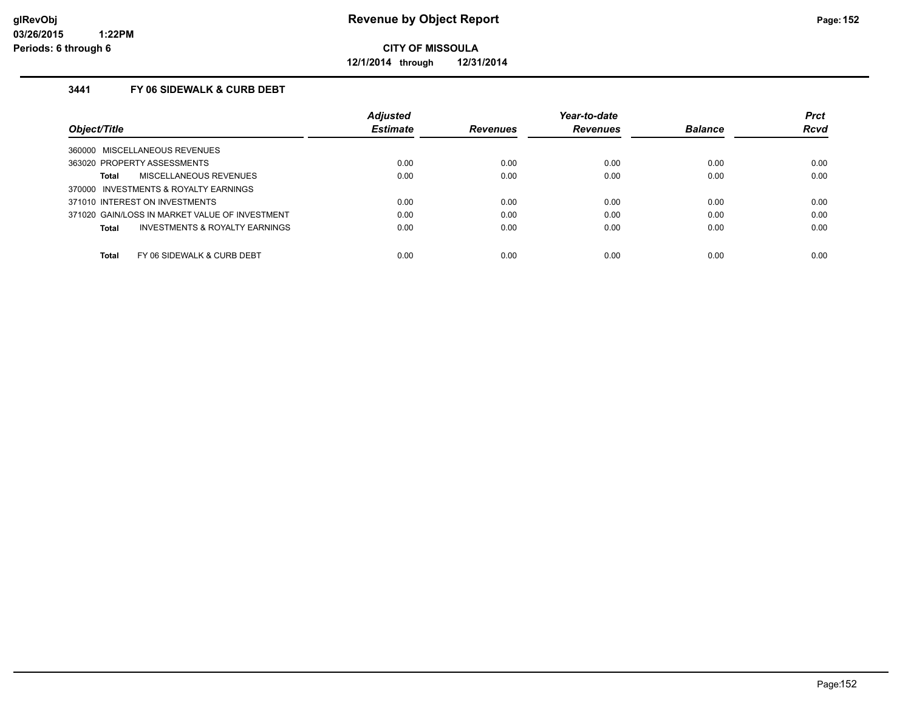**12/1/2014 through 12/31/2014**

## **3441 FY 06 SIDEWALK & CURB DEBT**

|                                                    | <b>Adjusted</b> |                 | Year-to-date    |                | <b>Prct</b> |
|----------------------------------------------------|-----------------|-----------------|-----------------|----------------|-------------|
| Object/Title                                       | <b>Estimate</b> | <b>Revenues</b> | <b>Revenues</b> | <b>Balance</b> | <b>Rcvd</b> |
| 360000 MISCELLANEOUS REVENUES                      |                 |                 |                 |                |             |
| 363020 PROPERTY ASSESSMENTS                        | 0.00            | 0.00            | 0.00            | 0.00           | 0.00        |
| <b>MISCELLANEOUS REVENUES</b><br>Total             | 0.00            | 0.00            | 0.00            | 0.00           | 0.00        |
| 370000 INVESTMENTS & ROYALTY EARNINGS              |                 |                 |                 |                |             |
| 371010 INTEREST ON INVESTMENTS                     | 0.00            | 0.00            | 0.00            | 0.00           | 0.00        |
| 371020 GAIN/LOSS IN MARKET VALUE OF INVESTMENT     | 0.00            | 0.00            | 0.00            | 0.00           | 0.00        |
| <b>INVESTMENTS &amp; ROYALTY EARNINGS</b><br>Total | 0.00            | 0.00            | 0.00            | 0.00           | 0.00        |
|                                                    |                 |                 |                 |                |             |
| Total<br>FY 06 SIDEWALK & CURB DEBT                | 0.00            | 0.00            | 0.00            | 0.00           | 0.00        |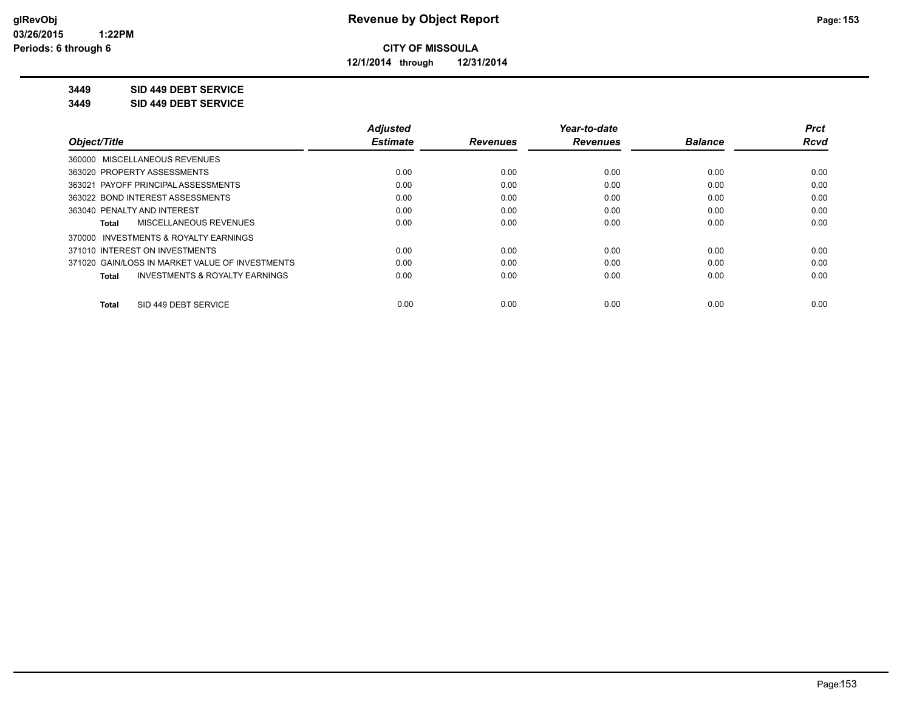**12/1/2014 through 12/31/2014**

**3449 SID 449 DEBT SERVICE**

**3449 SID 449 DEBT SERVICE**

|                                                    | <b>Adjusted</b> |                 | Year-to-date    |                | <b>Prct</b> |
|----------------------------------------------------|-----------------|-----------------|-----------------|----------------|-------------|
| Object/Title                                       | <b>Estimate</b> | <b>Revenues</b> | <b>Revenues</b> | <b>Balance</b> | <b>Rcvd</b> |
| 360000 MISCELLANEOUS REVENUES                      |                 |                 |                 |                |             |
| 363020 PROPERTY ASSESSMENTS                        | 0.00            | 0.00            | 0.00            | 0.00           | 0.00        |
| 363021 PAYOFF PRINCIPAL ASSESSMENTS                | 0.00            | 0.00            | 0.00            | 0.00           | 0.00        |
| 363022 BOND INTEREST ASSESSMENTS                   | 0.00            | 0.00            | 0.00            | 0.00           | 0.00        |
| 363040 PENALTY AND INTEREST                        | 0.00            | 0.00            | 0.00            | 0.00           | 0.00        |
| MISCELLANEOUS REVENUES<br>Total                    | 0.00            | 0.00            | 0.00            | 0.00           | 0.00        |
| INVESTMENTS & ROYALTY EARNINGS<br>370000           |                 |                 |                 |                |             |
| 371010 INTEREST ON INVESTMENTS                     | 0.00            | 0.00            | 0.00            | 0.00           | 0.00        |
| 371020 GAIN/LOSS IN MARKET VALUE OF INVESTMENTS    | 0.00            | 0.00            | 0.00            | 0.00           | 0.00        |
| <b>INVESTMENTS &amp; ROYALTY EARNINGS</b><br>Total | 0.00            | 0.00            | 0.00            | 0.00           | 0.00        |
| SID 449 DEBT SERVICE<br><b>Total</b>               | 0.00            | 0.00            | 0.00            | 0.00           | 0.00        |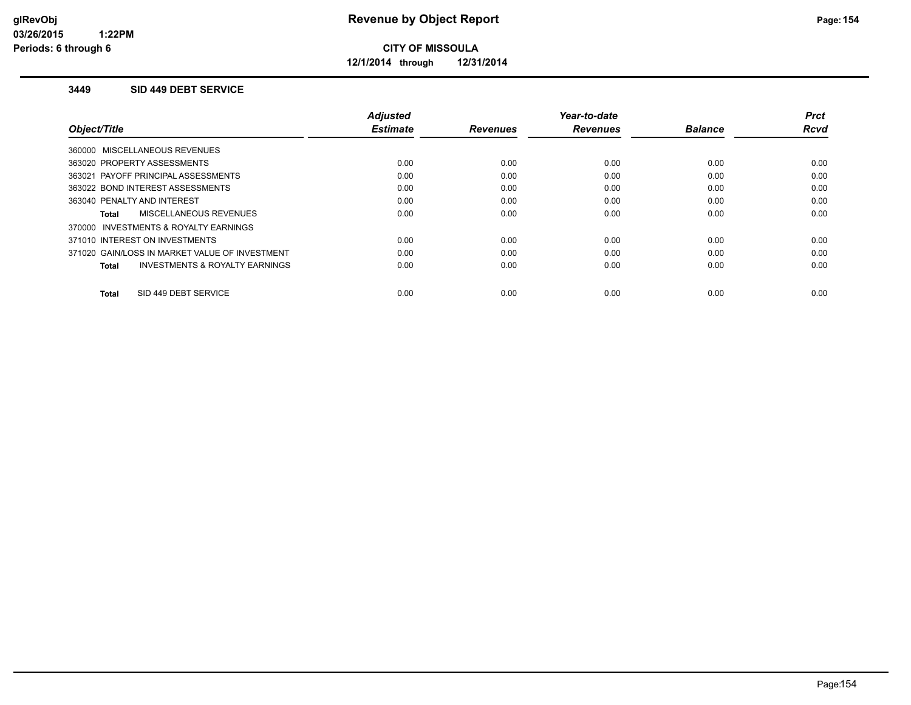**12/1/2014 through 12/31/2014**

### **3449 SID 449 DEBT SERVICE**

|                                                    | <b>Adjusted</b> |                 | Year-to-date    |                | <b>Prct</b> |
|----------------------------------------------------|-----------------|-----------------|-----------------|----------------|-------------|
| Object/Title                                       | <b>Estimate</b> | <b>Revenues</b> | <b>Revenues</b> | <b>Balance</b> | <b>Rcvd</b> |
| 360000 MISCELLANEOUS REVENUES                      |                 |                 |                 |                |             |
| 363020 PROPERTY ASSESSMENTS                        | 0.00            | 0.00            | 0.00            | 0.00           | 0.00        |
| 363021 PAYOFF PRINCIPAL ASSESSMENTS                | 0.00            | 0.00            | 0.00            | 0.00           | 0.00        |
| 363022 BOND INTEREST ASSESSMENTS                   | 0.00            | 0.00            | 0.00            | 0.00           | 0.00        |
| 363040 PENALTY AND INTEREST                        | 0.00            | 0.00            | 0.00            | 0.00           | 0.00        |
| MISCELLANEOUS REVENUES<br>Total                    | 0.00            | 0.00            | 0.00            | 0.00           | 0.00        |
| 370000 INVESTMENTS & ROYALTY EARNINGS              |                 |                 |                 |                |             |
| 371010 INTEREST ON INVESTMENTS                     | 0.00            | 0.00            | 0.00            | 0.00           | 0.00        |
| 371020 GAIN/LOSS IN MARKET VALUE OF INVESTMENT     | 0.00            | 0.00            | 0.00            | 0.00           | 0.00        |
| <b>INVESTMENTS &amp; ROYALTY EARNINGS</b><br>Total | 0.00            | 0.00            | 0.00            | 0.00           | 0.00        |
|                                                    |                 |                 |                 |                |             |
| SID 449 DEBT SERVICE<br><b>Total</b>               | 0.00            | 0.00            | 0.00            | 0.00           | 0.00        |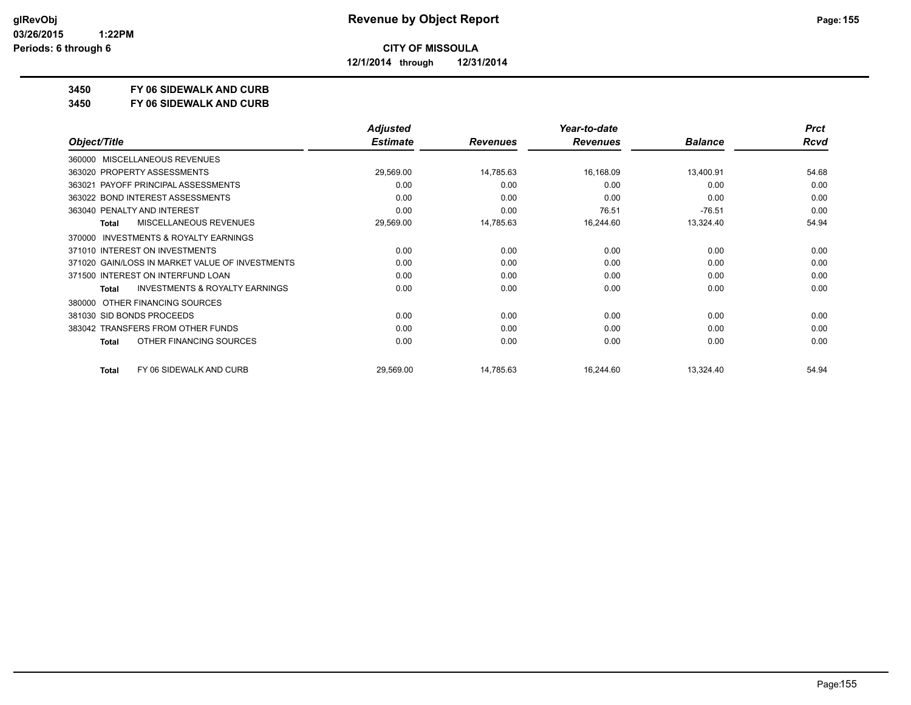**12/1/2014 through 12/31/2014**

#### **3450 FY 06 SIDEWALK AND CURB**

**3450 FY 06 SIDEWALK AND CURB**

|                                                     | <b>Adjusted</b> |                 | Year-to-date    |                | <b>Prct</b> |
|-----------------------------------------------------|-----------------|-----------------|-----------------|----------------|-------------|
| Object/Title                                        | <b>Estimate</b> | <b>Revenues</b> | <b>Revenues</b> | <b>Balance</b> | Rcvd        |
| <b>MISCELLANEOUS REVENUES</b><br>360000             |                 |                 |                 |                |             |
| 363020 PROPERTY ASSESSMENTS                         | 29,569.00       | 14,785.63       | 16,168.09       | 13,400.91      | 54.68       |
| 363021 PAYOFF PRINCIPAL ASSESSMENTS                 | 0.00            | 0.00            | 0.00            | 0.00           | 0.00        |
| 363022 BOND INTEREST ASSESSMENTS                    | 0.00            | 0.00            | 0.00            | 0.00           | 0.00        |
| 363040 PENALTY AND INTEREST                         | 0.00            | 0.00            | 76.51           | $-76.51$       | 0.00        |
| MISCELLANEOUS REVENUES<br>Total                     | 29,569.00       | 14,785.63       | 16,244.60       | 13,324.40      | 54.94       |
| <b>INVESTMENTS &amp; ROYALTY EARNINGS</b><br>370000 |                 |                 |                 |                |             |
| 371010 INTEREST ON INVESTMENTS                      | 0.00            | 0.00            | 0.00            | 0.00           | 0.00        |
| 371020 GAIN/LOSS IN MARKET VALUE OF INVESTMENTS     | 0.00            | 0.00            | 0.00            | 0.00           | 0.00        |
| 371500 INTEREST ON INTERFUND LOAN                   | 0.00            | 0.00            | 0.00            | 0.00           | 0.00        |
| <b>INVESTMENTS &amp; ROYALTY EARNINGS</b><br>Total  | 0.00            | 0.00            | 0.00            | 0.00           | 0.00        |
| OTHER FINANCING SOURCES<br>380000                   |                 |                 |                 |                |             |
| 381030 SID BONDS PROCEEDS                           | 0.00            | 0.00            | 0.00            | 0.00           | 0.00        |
| 383042 TRANSFERS FROM OTHER FUNDS                   | 0.00            | 0.00            | 0.00            | 0.00           | 0.00        |
| OTHER FINANCING SOURCES<br>Total                    | 0.00            | 0.00            | 0.00            | 0.00           | 0.00        |
| FY 06 SIDEWALK AND CURB<br>Total                    | 29,569.00       | 14,785.63       | 16,244.60       | 13,324.40      | 54.94       |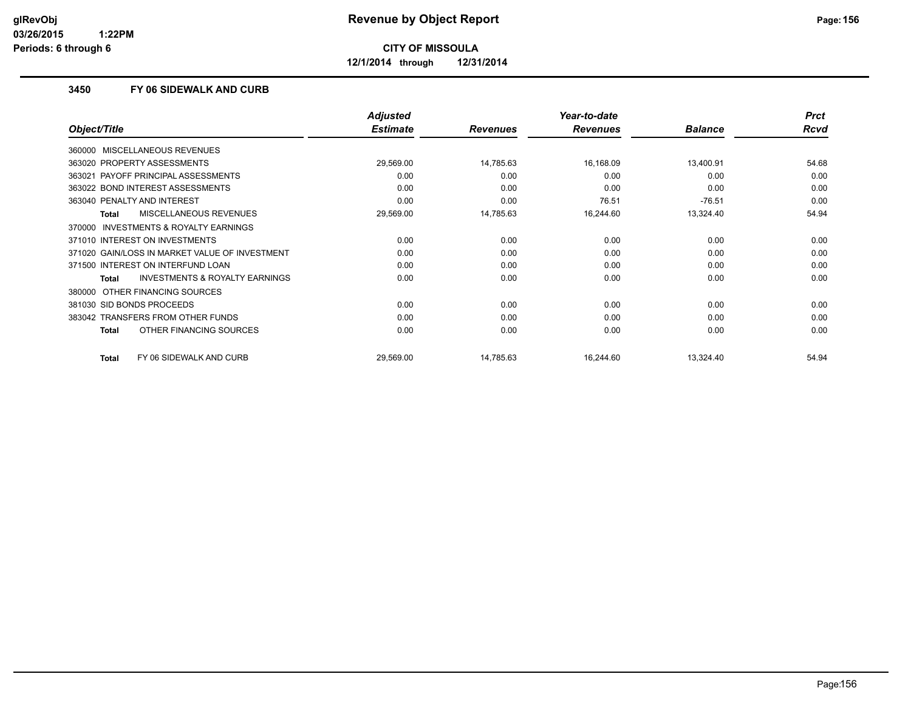**12/1/2014 through 12/31/2014**

### **3450 FY 06 SIDEWALK AND CURB**

|                                                           | <b>Adjusted</b> |                 | Year-to-date    |                | <b>Prct</b> |
|-----------------------------------------------------------|-----------------|-----------------|-----------------|----------------|-------------|
| Object/Title                                              | <b>Estimate</b> | <b>Revenues</b> | <b>Revenues</b> | <b>Balance</b> | Rcvd        |
| MISCELLANEOUS REVENUES<br>360000                          |                 |                 |                 |                |             |
| 363020 PROPERTY ASSESSMENTS                               | 29,569.00       | 14,785.63       | 16,168.09       | 13,400.91      | 54.68       |
| 363021 PAYOFF PRINCIPAL ASSESSMENTS                       | 0.00            | 0.00            | 0.00            | 0.00           | 0.00        |
| 363022 BOND INTEREST ASSESSMENTS                          | 0.00            | 0.00            | 0.00            | 0.00           | 0.00        |
| 363040 PENALTY AND INTEREST                               | 0.00            | 0.00            | 76.51           | $-76.51$       | 0.00        |
| MISCELLANEOUS REVENUES<br><b>Total</b>                    | 29,569.00       | 14,785.63       | 16,244.60       | 13,324.40      | 54.94       |
| <b>INVESTMENTS &amp; ROYALTY EARNINGS</b><br>370000       |                 |                 |                 |                |             |
| 371010 INTEREST ON INVESTMENTS                            | 0.00            | 0.00            | 0.00            | 0.00           | 0.00        |
| 371020 GAIN/LOSS IN MARKET VALUE OF INVESTMENT            | 0.00            | 0.00            | 0.00            | 0.00           | 0.00        |
| 371500 INTEREST ON INTERFUND LOAN                         | 0.00            | 0.00            | 0.00            | 0.00           | 0.00        |
| <b>INVESTMENTS &amp; ROYALTY EARNINGS</b><br><b>Total</b> | 0.00            | 0.00            | 0.00            | 0.00           | 0.00        |
| OTHER FINANCING SOURCES<br>380000                         |                 |                 |                 |                |             |
| 381030 SID BONDS PROCEEDS                                 | 0.00            | 0.00            | 0.00            | 0.00           | 0.00        |
| 383042 TRANSFERS FROM OTHER FUNDS                         | 0.00            | 0.00            | 0.00            | 0.00           | 0.00        |
| OTHER FINANCING SOURCES<br><b>Total</b>                   | 0.00            | 0.00            | 0.00            | 0.00           | 0.00        |
| FY 06 SIDEWALK AND CURB<br><b>Total</b>                   | 29,569.00       | 14,785.63       | 16,244.60       | 13,324.40      | 54.94       |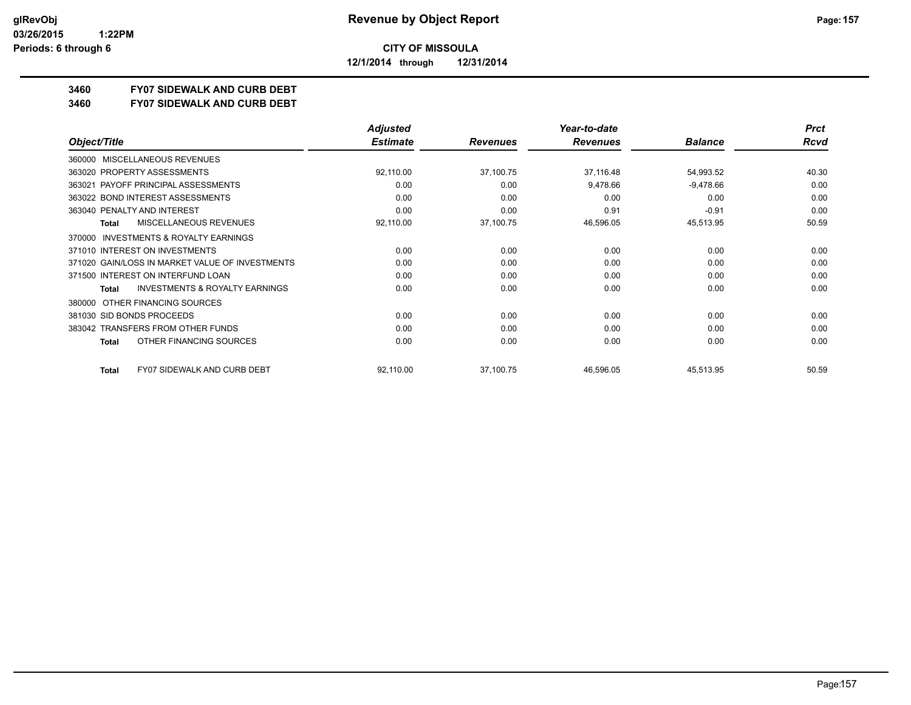**12/1/2014 through 12/31/2014**

# **3460 FY07 SIDEWALK AND CURB DEBT**

#### **3460 FY07 SIDEWALK AND CURB DEBT**

|                                                           | <b>Adjusted</b> |                 | Year-to-date    |                | <b>Prct</b> |
|-----------------------------------------------------------|-----------------|-----------------|-----------------|----------------|-------------|
| Object/Title                                              | <b>Estimate</b> | <b>Revenues</b> | <b>Revenues</b> | <b>Balance</b> | Rcvd        |
| MISCELLANEOUS REVENUES<br>360000                          |                 |                 |                 |                |             |
| 363020 PROPERTY ASSESSMENTS                               | 92,110.00       | 37,100.75       | 37,116.48       | 54,993.52      | 40.30       |
| 363021 PAYOFF PRINCIPAL ASSESSMENTS                       | 0.00            | 0.00            | 9,478.66        | $-9,478.66$    | 0.00        |
| 363022 BOND INTEREST ASSESSMENTS                          | 0.00            | 0.00            | 0.00            | 0.00           | 0.00        |
| 363040 PENALTY AND INTEREST                               | 0.00            | 0.00            | 0.91            | $-0.91$        | 0.00        |
| <b>MISCELLANEOUS REVENUES</b><br><b>Total</b>             | 92,110.00       | 37,100.75       | 46,596.05       | 45,513.95      | 50.59       |
| <b>INVESTMENTS &amp; ROYALTY EARNINGS</b><br>370000       |                 |                 |                 |                |             |
| 371010 INTEREST ON INVESTMENTS                            | 0.00            | 0.00            | 0.00            | 0.00           | 0.00        |
| 371020 GAIN/LOSS IN MARKET VALUE OF INVESTMENTS           | 0.00            | 0.00            | 0.00            | 0.00           | 0.00        |
| 371500 INTEREST ON INTERFUND LOAN                         | 0.00            | 0.00            | 0.00            | 0.00           | 0.00        |
| <b>INVESTMENTS &amp; ROYALTY EARNINGS</b><br><b>Total</b> | 0.00            | 0.00            | 0.00            | 0.00           | 0.00        |
| OTHER FINANCING SOURCES<br>380000                         |                 |                 |                 |                |             |
| 381030 SID BONDS PROCEEDS                                 | 0.00            | 0.00            | 0.00            | 0.00           | 0.00        |
| 383042 TRANSFERS FROM OTHER FUNDS                         | 0.00            | 0.00            | 0.00            | 0.00           | 0.00        |
| OTHER FINANCING SOURCES<br><b>Total</b>                   | 0.00            | 0.00            | 0.00            | 0.00           | 0.00        |
| <b>FY07 SIDEWALK AND CURB DEBT</b><br><b>Total</b>        | 92,110.00       | 37,100.75       | 46,596.05       | 45,513.95      | 50.59       |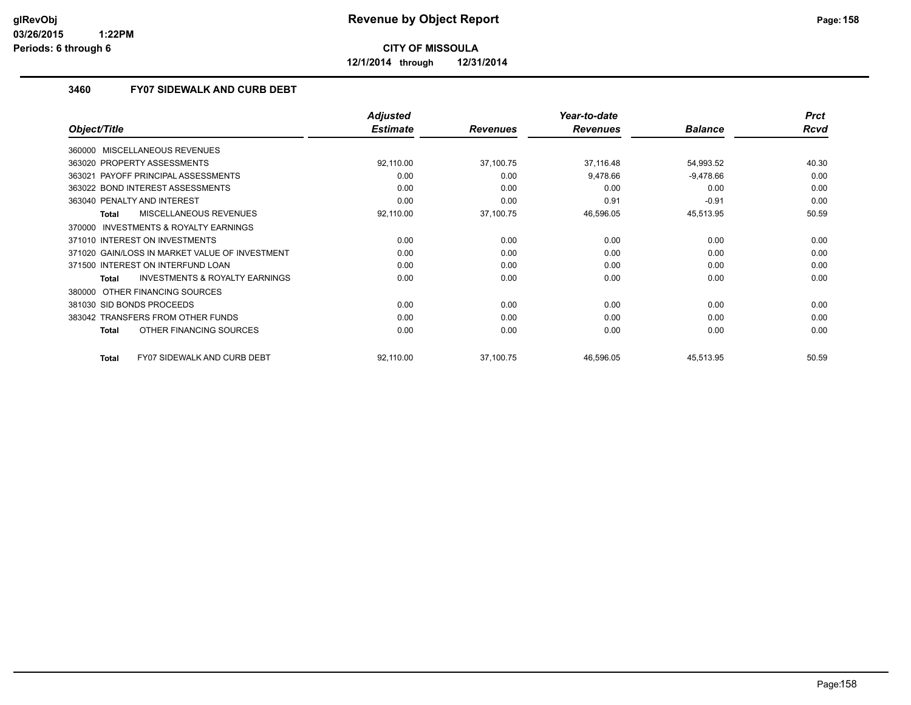**12/1/2014 through 12/31/2014**

### **3460 FY07 SIDEWALK AND CURB DEBT**

|                                                           | <b>Adjusted</b> |                 | Year-to-date    |                | <b>Prct</b> |
|-----------------------------------------------------------|-----------------|-----------------|-----------------|----------------|-------------|
| Object/Title                                              | <b>Estimate</b> | <b>Revenues</b> | <b>Revenues</b> | <b>Balance</b> | <b>Rcvd</b> |
| 360000 MISCELLANEOUS REVENUES                             |                 |                 |                 |                |             |
| 363020 PROPERTY ASSESSMENTS                               | 92,110.00       | 37,100.75       | 37,116.48       | 54,993.52      | 40.30       |
| 363021 PAYOFF PRINCIPAL ASSESSMENTS                       | 0.00            | 0.00            | 9,478.66        | $-9,478.66$    | 0.00        |
| 363022 BOND INTEREST ASSESSMENTS                          | 0.00            | 0.00            | 0.00            | 0.00           | 0.00        |
| 363040 PENALTY AND INTEREST                               | 0.00            | 0.00            | 0.91            | $-0.91$        | 0.00        |
| MISCELLANEOUS REVENUES<br><b>Total</b>                    | 92,110.00       | 37,100.75       | 46,596.05       | 45,513.95      | 50.59       |
| <b>INVESTMENTS &amp; ROYALTY EARNINGS</b><br>370000       |                 |                 |                 |                |             |
| 371010 INTEREST ON INVESTMENTS                            | 0.00            | 0.00            | 0.00            | 0.00           | 0.00        |
| 371020 GAIN/LOSS IN MARKET VALUE OF INVESTMENT            | 0.00            | 0.00            | 0.00            | 0.00           | 0.00        |
| 371500 INTEREST ON INTERFUND LOAN                         | 0.00            | 0.00            | 0.00            | 0.00           | 0.00        |
| <b>INVESTMENTS &amp; ROYALTY EARNINGS</b><br><b>Total</b> | 0.00            | 0.00            | 0.00            | 0.00           | 0.00        |
| 380000 OTHER FINANCING SOURCES                            |                 |                 |                 |                |             |
| 381030 SID BONDS PROCEEDS                                 | 0.00            | 0.00            | 0.00            | 0.00           | 0.00        |
| 383042 TRANSFERS FROM OTHER FUNDS                         | 0.00            | 0.00            | 0.00            | 0.00           | 0.00        |
| OTHER FINANCING SOURCES<br><b>Total</b>                   | 0.00            | 0.00            | 0.00            | 0.00           | 0.00        |
| <b>FY07 SIDEWALK AND CURB DEBT</b><br><b>Total</b>        | 92,110.00       | 37,100.75       | 46,596.05       | 45,513.95      | 50.59       |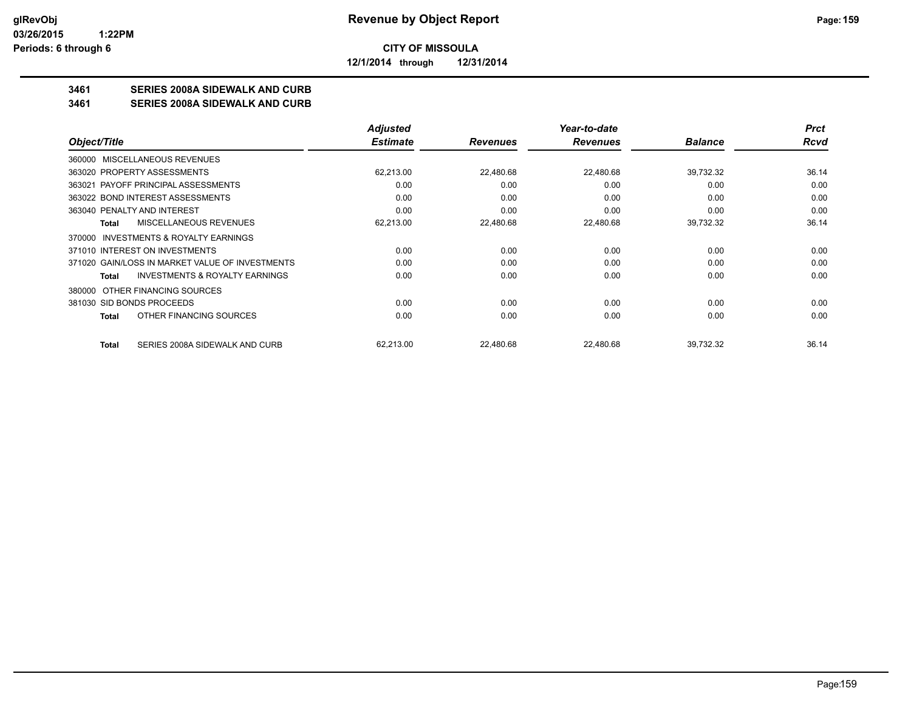**12/1/2014 through 12/31/2014**

## **3461 SERIES 2008A SIDEWALK AND CURB**

#### **3461 SERIES 2008A SIDEWALK AND CURB**

|                                                    | <b>Adjusted</b> |                 | Year-to-date    |                | <b>Prct</b> |
|----------------------------------------------------|-----------------|-----------------|-----------------|----------------|-------------|
| Object/Title                                       | <b>Estimate</b> | <b>Revenues</b> | <b>Revenues</b> | <b>Balance</b> | <b>Rcvd</b> |
| MISCELLANEOUS REVENUES<br>360000                   |                 |                 |                 |                |             |
| 363020 PROPERTY ASSESSMENTS                        | 62,213.00       | 22,480.68       | 22,480.68       | 39,732.32      | 36.14       |
| 363021 PAYOFF PRINCIPAL ASSESSMENTS                | 0.00            | 0.00            | 0.00            | 0.00           | 0.00        |
| 363022 BOND INTEREST ASSESSMENTS                   | 0.00            | 0.00            | 0.00            | 0.00           | 0.00        |
| 363040 PENALTY AND INTEREST                        | 0.00            | 0.00            | 0.00            | 0.00           | 0.00        |
| MISCELLANEOUS REVENUES<br>Total                    | 62,213.00       | 22,480.68       | 22,480.68       | 39,732.32      | 36.14       |
| INVESTMENTS & ROYALTY EARNINGS<br>370000           |                 |                 |                 |                |             |
| 371010 INTEREST ON INVESTMENTS                     | 0.00            | 0.00            | 0.00            | 0.00           | 0.00        |
| 371020 GAIN/LOSS IN MARKET VALUE OF INVESTMENTS    | 0.00            | 0.00            | 0.00            | 0.00           | 0.00        |
| <b>INVESTMENTS &amp; ROYALTY EARNINGS</b><br>Total | 0.00            | 0.00            | 0.00            | 0.00           | 0.00        |
| OTHER FINANCING SOURCES<br>380000                  |                 |                 |                 |                |             |
| 381030 SID BONDS PROCEEDS                          | 0.00            | 0.00            | 0.00            | 0.00           | 0.00        |
| OTHER FINANCING SOURCES<br>Total                   | 0.00            | 0.00            | 0.00            | 0.00           | 0.00        |
| SERIES 2008A SIDEWALK AND CURB<br><b>Total</b>     | 62,213.00       | 22,480.68       | 22,480.68       | 39,732.32      | 36.14       |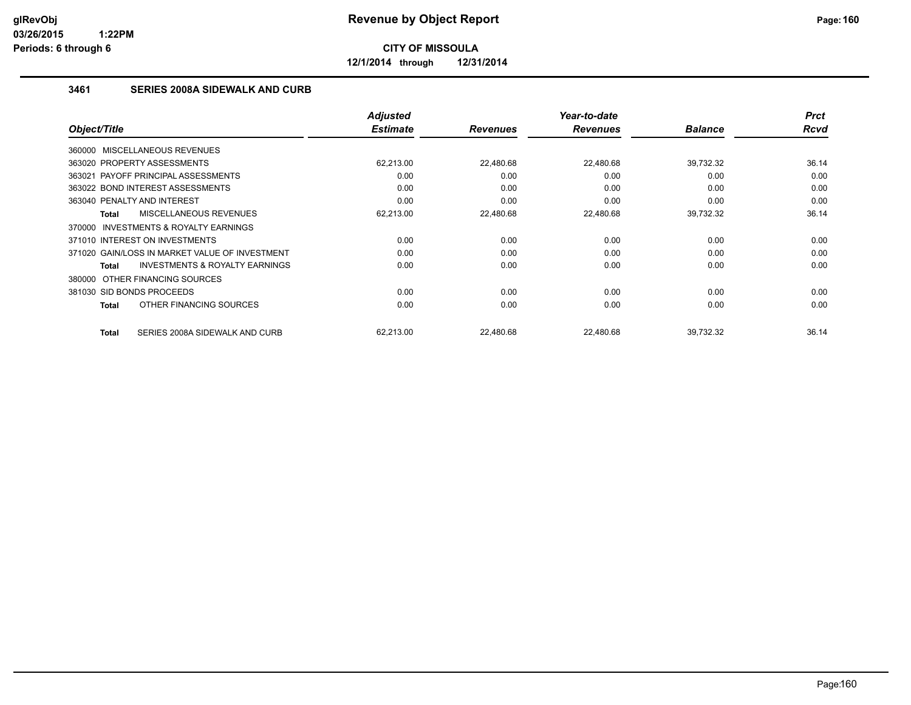**12/1/2014 through 12/31/2014**

### **3461 SERIES 2008A SIDEWALK AND CURB**

| Object/Title                                        | <b>Adjusted</b><br><b>Estimate</b> | <b>Revenues</b> | Year-to-date<br><b>Revenues</b> | <b>Balance</b> | <b>Prct</b><br><b>Rcvd</b> |
|-----------------------------------------------------|------------------------------------|-----------------|---------------------------------|----------------|----------------------------|
|                                                     |                                    |                 |                                 |                |                            |
| 360000 MISCELLANEOUS REVENUES                       |                                    |                 |                                 |                |                            |
| 363020 PROPERTY ASSESSMENTS                         | 62,213.00                          | 22,480.68       | 22,480.68                       | 39,732.32      | 36.14                      |
| 363021 PAYOFF PRINCIPAL ASSESSMENTS                 | 0.00                               | 0.00            | 0.00                            | 0.00           | 0.00                       |
| 363022 BOND INTEREST ASSESSMENTS                    | 0.00                               | 0.00            | 0.00                            | 0.00           | 0.00                       |
| 363040 PENALTY AND INTEREST                         | 0.00                               | 0.00            | 0.00                            | 0.00           | 0.00                       |
| <b>MISCELLANEOUS REVENUES</b><br>Total              | 62,213.00                          | 22,480.68       | 22,480.68                       | 39,732.32      | 36.14                      |
| <b>INVESTMENTS &amp; ROYALTY EARNINGS</b><br>370000 |                                    |                 |                                 |                |                            |
| 371010 INTEREST ON INVESTMENTS                      | 0.00                               | 0.00            | 0.00                            | 0.00           | 0.00                       |
| 371020 GAIN/LOSS IN MARKET VALUE OF INVESTMENT      | 0.00                               | 0.00            | 0.00                            | 0.00           | 0.00                       |
| <b>INVESTMENTS &amp; ROYALTY EARNINGS</b><br>Total  | 0.00                               | 0.00            | 0.00                            | 0.00           | 0.00                       |
| 380000 OTHER FINANCING SOURCES                      |                                    |                 |                                 |                |                            |
| 381030 SID BONDS PROCEEDS                           | 0.00                               | 0.00            | 0.00                            | 0.00           | 0.00                       |
| OTHER FINANCING SOURCES<br>Total                    | 0.00                               | 0.00            | 0.00                            | 0.00           | 0.00                       |
| SERIES 2008A SIDEWALK AND CURB<br>Total             | 62.213.00                          | 22.480.68       | 22.480.68                       | 39.732.32      | 36.14                      |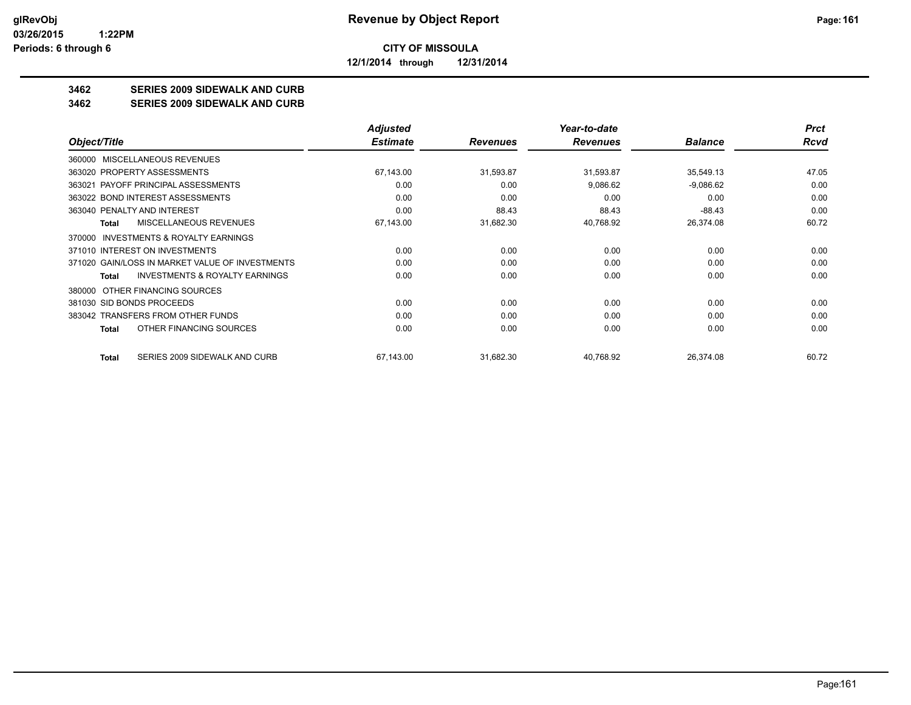**12/1/2014 through 12/31/2014**

## **3462 SERIES 2009 SIDEWALK AND CURB**

#### **3462 SERIES 2009 SIDEWALK AND CURB**

|                                                           | <b>Adjusted</b> |                 | Year-to-date    |                | <b>Prct</b> |
|-----------------------------------------------------------|-----------------|-----------------|-----------------|----------------|-------------|
| Object/Title                                              | <b>Estimate</b> | <b>Revenues</b> | <b>Revenues</b> | <b>Balance</b> | Rcvd        |
| MISCELLANEOUS REVENUES<br>360000                          |                 |                 |                 |                |             |
| 363020 PROPERTY ASSESSMENTS                               | 67,143.00       | 31,593.87       | 31,593.87       | 35,549.13      | 47.05       |
| 363021 PAYOFF PRINCIPAL ASSESSMENTS                       | 0.00            | 0.00            | 9,086.62        | $-9,086.62$    | 0.00        |
| 363022 BOND INTEREST ASSESSMENTS                          | 0.00            | 0.00            | 0.00            | 0.00           | 0.00        |
| 363040 PENALTY AND INTEREST                               | 0.00            | 88.43           | 88.43           | $-88.43$       | 0.00        |
| MISCELLANEOUS REVENUES<br><b>Total</b>                    | 67,143.00       | 31,682.30       | 40,768.92       | 26,374.08      | 60.72       |
| <b>INVESTMENTS &amp; ROYALTY EARNINGS</b><br>370000       |                 |                 |                 |                |             |
| 371010 INTEREST ON INVESTMENTS                            | 0.00            | 0.00            | 0.00            | 0.00           | 0.00        |
| 371020 GAIN/LOSS IN MARKET VALUE OF INVESTMENTS           | 0.00            | 0.00            | 0.00            | 0.00           | 0.00        |
| <b>INVESTMENTS &amp; ROYALTY EARNINGS</b><br><b>Total</b> | 0.00            | 0.00            | 0.00            | 0.00           | 0.00        |
| OTHER FINANCING SOURCES<br>380000                         |                 |                 |                 |                |             |
| 381030 SID BONDS PROCEEDS                                 | 0.00            | 0.00            | 0.00            | 0.00           | 0.00        |
| 383042 TRANSFERS FROM OTHER FUNDS                         | 0.00            | 0.00            | 0.00            | 0.00           | 0.00        |
| OTHER FINANCING SOURCES<br>Total                          | 0.00            | 0.00            | 0.00            | 0.00           | 0.00        |
| SERIES 2009 SIDEWALK AND CURB<br>Total                    | 67,143.00       | 31,682.30       | 40,768.92       | 26,374.08      | 60.72       |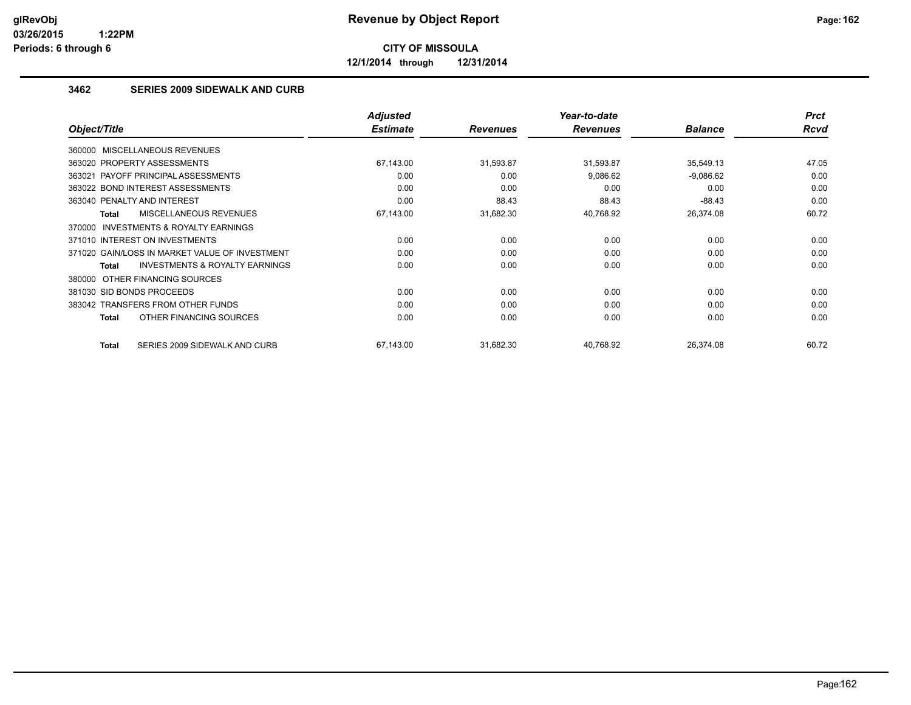**12/1/2014 through 12/31/2014**

### **3462 SERIES 2009 SIDEWALK AND CURB**

|                                                     | <b>Adjusted</b> |                 | Year-to-date    |                | <b>Prct</b> |
|-----------------------------------------------------|-----------------|-----------------|-----------------|----------------|-------------|
| Object/Title                                        | <b>Estimate</b> | <b>Revenues</b> | <b>Revenues</b> | <b>Balance</b> | Rcvd        |
| 360000 MISCELLANEOUS REVENUES                       |                 |                 |                 |                |             |
| 363020 PROPERTY ASSESSMENTS                         | 67,143.00       | 31,593.87       | 31,593.87       | 35,549.13      | 47.05       |
| 363021 PAYOFF PRINCIPAL ASSESSMENTS                 | 0.00            | 0.00            | 9,086.62        | $-9,086.62$    | 0.00        |
| 363022 BOND INTEREST ASSESSMENTS                    | 0.00            | 0.00            | 0.00            | 0.00           | 0.00        |
| 363040 PENALTY AND INTEREST                         | 0.00            | 88.43           | 88.43           | $-88.43$       | 0.00        |
| MISCELLANEOUS REVENUES<br>Total                     | 67,143.00       | 31,682.30       | 40,768.92       | 26,374.08      | 60.72       |
| <b>INVESTMENTS &amp; ROYALTY EARNINGS</b><br>370000 |                 |                 |                 |                |             |
| 371010 INTEREST ON INVESTMENTS                      | 0.00            | 0.00            | 0.00            | 0.00           | 0.00        |
| 371020 GAIN/LOSS IN MARKET VALUE OF INVESTMENT      | 0.00            | 0.00            | 0.00            | 0.00           | 0.00        |
| <b>INVESTMENTS &amp; ROYALTY EARNINGS</b><br>Total  | 0.00            | 0.00            | 0.00            | 0.00           | 0.00        |
| 380000 OTHER FINANCING SOURCES                      |                 |                 |                 |                |             |
| 381030 SID BONDS PROCEEDS                           | 0.00            | 0.00            | 0.00            | 0.00           | 0.00        |
| 383042 TRANSFERS FROM OTHER FUNDS                   | 0.00            | 0.00            | 0.00            | 0.00           | 0.00        |
| OTHER FINANCING SOURCES<br>Total                    | 0.00            | 0.00            | 0.00            | 0.00           | 0.00        |
|                                                     |                 |                 |                 |                |             |
| SERIES 2009 SIDEWALK AND CURB<br>Total              | 67.143.00       | 31,682.30       | 40,768.92       | 26,374.08      | 60.72       |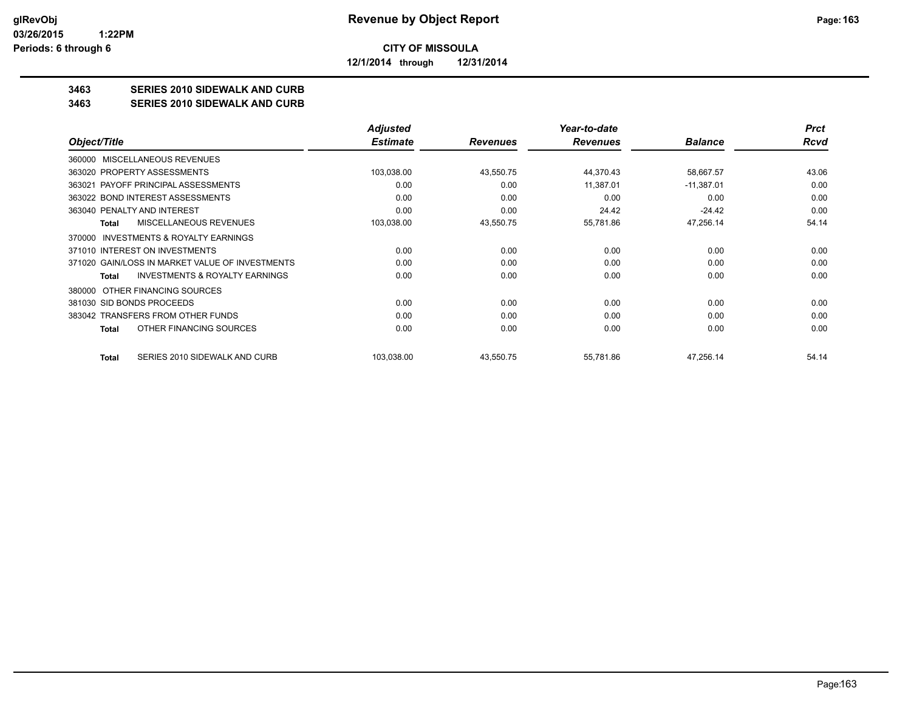**12/1/2014 through 12/31/2014**

## **3463 SERIES 2010 SIDEWALK AND CURB**

#### **3463 SERIES 2010 SIDEWALK AND CURB**

|                                                     | <b>Adjusted</b> |                 | Year-to-date    |                | <b>Prct</b> |
|-----------------------------------------------------|-----------------|-----------------|-----------------|----------------|-------------|
| Object/Title                                        | <b>Estimate</b> | <b>Revenues</b> | <b>Revenues</b> | <b>Balance</b> | <b>Rcvd</b> |
| <b>MISCELLANEOUS REVENUES</b><br>360000             |                 |                 |                 |                |             |
| 363020 PROPERTY ASSESSMENTS                         | 103,038.00      | 43,550.75       | 44,370.43       | 58,667.57      | 43.06       |
| PAYOFF PRINCIPAL ASSESSMENTS<br>363021              | 0.00            | 0.00            | 11,387.01       | $-11,387.01$   | 0.00        |
| 363022 BOND INTEREST ASSESSMENTS                    | 0.00            | 0.00            | 0.00            | 0.00           | 0.00        |
| 363040 PENALTY AND INTEREST                         | 0.00            | 0.00            | 24.42           | $-24.42$       | 0.00        |
| MISCELLANEOUS REVENUES<br>Total                     | 103,038.00      | 43,550.75       | 55,781.86       | 47,256.14      | 54.14       |
| <b>INVESTMENTS &amp; ROYALTY EARNINGS</b><br>370000 |                 |                 |                 |                |             |
| 371010 INTEREST ON INVESTMENTS                      | 0.00            | 0.00            | 0.00            | 0.00           | 0.00        |
| 371020 GAIN/LOSS IN MARKET VALUE OF INVESTMENTS     | 0.00            | 0.00            | 0.00            | 0.00           | 0.00        |
| <b>INVESTMENTS &amp; ROYALTY EARNINGS</b><br>Total  | 0.00            | 0.00            | 0.00            | 0.00           | 0.00        |
| 380000 OTHER FINANCING SOURCES                      |                 |                 |                 |                |             |
| 381030 SID BONDS PROCEEDS                           | 0.00            | 0.00            | 0.00            | 0.00           | 0.00        |
| 383042 TRANSFERS FROM OTHER FUNDS                   | 0.00            | 0.00            | 0.00            | 0.00           | 0.00        |
| OTHER FINANCING SOURCES<br>Total                    | 0.00            | 0.00            | 0.00            | 0.00           | 0.00        |
| SERIES 2010 SIDEWALK AND CURB<br>Total              | 103,038.00      | 43,550.75       | 55,781.86       | 47,256.14      | 54.14       |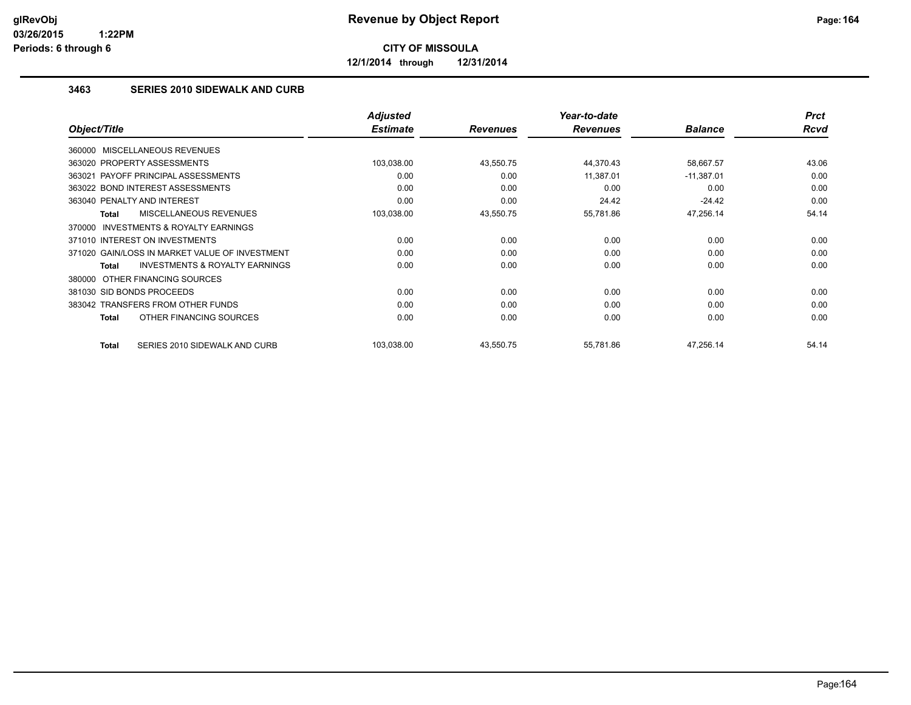**12/1/2014 through 12/31/2014**

### **3463 SERIES 2010 SIDEWALK AND CURB**

|                                                           | <b>Adjusted</b> |                 | Year-to-date    |                | <b>Prct</b> |
|-----------------------------------------------------------|-----------------|-----------------|-----------------|----------------|-------------|
| Object/Title                                              | <b>Estimate</b> | <b>Revenues</b> | <b>Revenues</b> | <b>Balance</b> | <b>Rcvd</b> |
| 360000 MISCELLANEOUS REVENUES                             |                 |                 |                 |                |             |
| 363020 PROPERTY ASSESSMENTS                               | 103,038.00      | 43,550.75       | 44,370.43       | 58,667.57      | 43.06       |
| 363021 PAYOFF PRINCIPAL ASSESSMENTS                       | 0.00            | 0.00            | 11,387.01       | $-11,387.01$   | 0.00        |
| 363022 BOND INTEREST ASSESSMENTS                          | 0.00            | 0.00            | 0.00            | 0.00           | 0.00        |
| 363040 PENALTY AND INTEREST                               | 0.00            | 0.00            | 24.42           | $-24.42$       | 0.00        |
| MISCELLANEOUS REVENUES<br><b>Total</b>                    | 103,038.00      | 43,550.75       | 55,781.86       | 47,256.14      | 54.14       |
| INVESTMENTS & ROYALTY EARNINGS<br>370000                  |                 |                 |                 |                |             |
| 371010 INTEREST ON INVESTMENTS                            | 0.00            | 0.00            | 0.00            | 0.00           | 0.00        |
| 371020 GAIN/LOSS IN MARKET VALUE OF INVESTMENT            | 0.00            | 0.00            | 0.00            | 0.00           | 0.00        |
| <b>INVESTMENTS &amp; ROYALTY EARNINGS</b><br><b>Total</b> | 0.00            | 0.00            | 0.00            | 0.00           | 0.00        |
| 380000 OTHER FINANCING SOURCES                            |                 |                 |                 |                |             |
| 381030 SID BONDS PROCEEDS                                 | 0.00            | 0.00            | 0.00            | 0.00           | 0.00        |
| 383042 TRANSFERS FROM OTHER FUNDS                         | 0.00            | 0.00            | 0.00            | 0.00           | 0.00        |
| OTHER FINANCING SOURCES<br><b>Total</b>                   | 0.00            | 0.00            | 0.00            | 0.00           | 0.00        |
| <b>Total</b><br>SERIES 2010 SIDEWALK AND CURB             | 103,038.00      | 43,550.75       | 55,781.86       | 47,256.14      | 54.14       |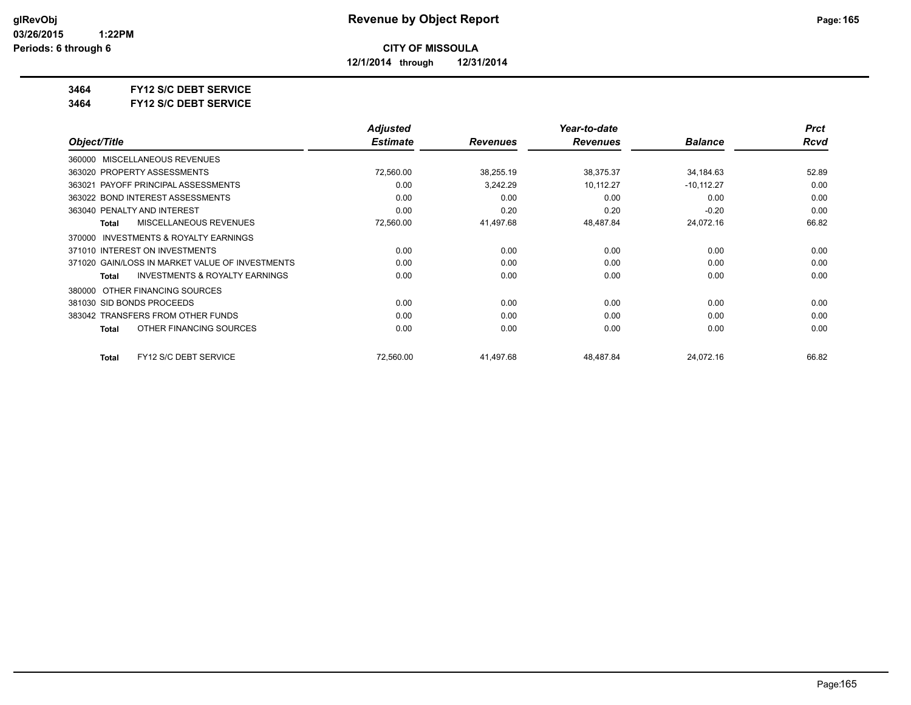**12/1/2014 through 12/31/2014**

**3464 FY12 S/C DEBT SERVICE**

**3464 FY12 S/C DEBT SERVICE**

|                                                    | <b>Adjusted</b> |                 | Year-to-date    |                | <b>Prct</b> |
|----------------------------------------------------|-----------------|-----------------|-----------------|----------------|-------------|
| Object/Title                                       | <b>Estimate</b> | <b>Revenues</b> | <b>Revenues</b> | <b>Balance</b> | <b>Rcvd</b> |
| MISCELLANEOUS REVENUES<br>360000                   |                 |                 |                 |                |             |
| 363020 PROPERTY ASSESSMENTS                        | 72,560.00       | 38,255.19       | 38,375.37       | 34,184.63      | 52.89       |
| 363021 PAYOFF PRINCIPAL ASSESSMENTS                | 0.00            | 3,242.29        | 10,112.27       | $-10, 112.27$  | 0.00        |
| 363022 BOND INTEREST ASSESSMENTS                   | 0.00            | 0.00            | 0.00            | 0.00           | 0.00        |
| 363040 PENALTY AND INTEREST                        | 0.00            | 0.20            | 0.20            | $-0.20$        | 0.00        |
| MISCELLANEOUS REVENUES<br>Total                    | 72,560.00       | 41,497.68       | 48,487.84       | 24,072.16      | 66.82       |
| INVESTMENTS & ROYALTY EARNINGS<br>370000           |                 |                 |                 |                |             |
| 371010 INTEREST ON INVESTMENTS                     | 0.00            | 0.00            | 0.00            | 0.00           | 0.00        |
| 371020 GAIN/LOSS IN MARKET VALUE OF INVESTMENTS    | 0.00            | 0.00            | 0.00            | 0.00           | 0.00        |
| <b>INVESTMENTS &amp; ROYALTY EARNINGS</b><br>Total | 0.00            | 0.00            | 0.00            | 0.00           | 0.00        |
| OTHER FINANCING SOURCES<br>380000                  |                 |                 |                 |                |             |
| 381030 SID BONDS PROCEEDS                          | 0.00            | 0.00            | 0.00            | 0.00           | 0.00        |
| 383042 TRANSFERS FROM OTHER FUNDS                  | 0.00            | 0.00            | 0.00            | 0.00           | 0.00        |
| OTHER FINANCING SOURCES<br>Total                   | 0.00            | 0.00            | 0.00            | 0.00           | 0.00        |
| FY12 S/C DEBT SERVICE<br><b>Total</b>              | 72,560.00       | 41,497.68       | 48,487.84       | 24,072.16      | 66.82       |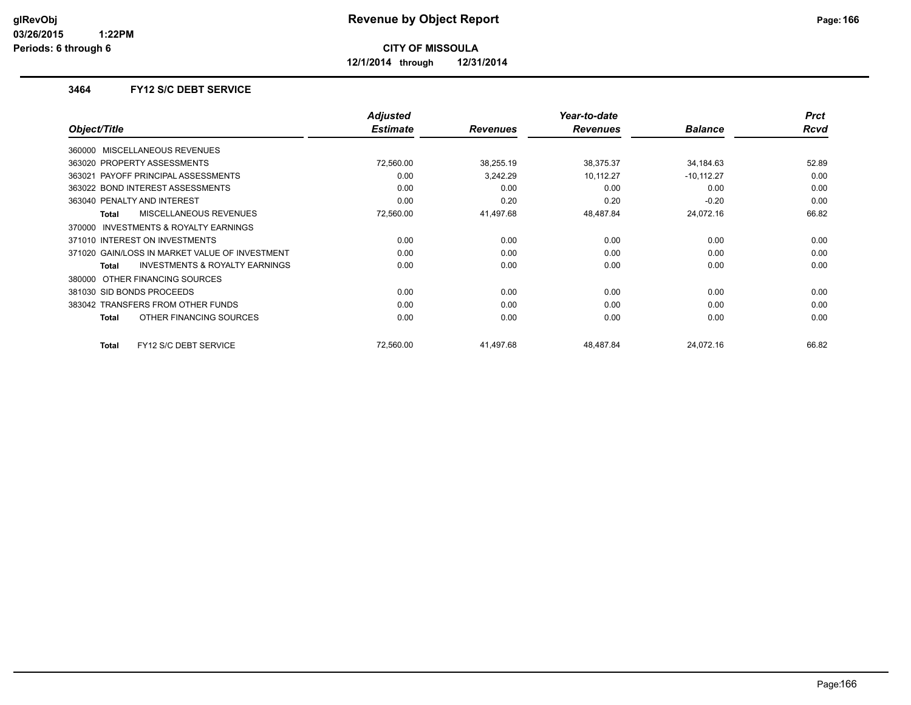**12/1/2014 through 12/31/2014**

### **3464 FY12 S/C DEBT SERVICE**

|                                                           | <b>Adjusted</b> |                 | Year-to-date    |                | <b>Prct</b> |
|-----------------------------------------------------------|-----------------|-----------------|-----------------|----------------|-------------|
| Object/Title                                              | <b>Estimate</b> | <b>Revenues</b> | <b>Revenues</b> | <b>Balance</b> | Rcvd        |
| 360000 MISCELLANEOUS REVENUES                             |                 |                 |                 |                |             |
| 363020 PROPERTY ASSESSMENTS                               | 72,560.00       | 38,255.19       | 38,375.37       | 34,184.63      | 52.89       |
| 363021 PAYOFF PRINCIPAL ASSESSMENTS                       | 0.00            | 3,242.29        | 10,112.27       | $-10,112.27$   | 0.00        |
| 363022 BOND INTEREST ASSESSMENTS                          | 0.00            | 0.00            | 0.00            | 0.00           | 0.00        |
| 363040 PENALTY AND INTEREST                               | 0.00            | 0.20            | 0.20            | $-0.20$        | 0.00        |
| MISCELLANEOUS REVENUES<br><b>Total</b>                    | 72,560.00       | 41,497.68       | 48,487.84       | 24,072.16      | 66.82       |
| 370000 INVESTMENTS & ROYALTY EARNINGS                     |                 |                 |                 |                |             |
| 371010 INTEREST ON INVESTMENTS                            | 0.00            | 0.00            | 0.00            | 0.00           | 0.00        |
| 371020 GAIN/LOSS IN MARKET VALUE OF INVESTMENT            | 0.00            | 0.00            | 0.00            | 0.00           | 0.00        |
| <b>INVESTMENTS &amp; ROYALTY EARNINGS</b><br><b>Total</b> | 0.00            | 0.00            | 0.00            | 0.00           | 0.00        |
| OTHER FINANCING SOURCES<br>380000                         |                 |                 |                 |                |             |
| 381030 SID BONDS PROCEEDS                                 | 0.00            | 0.00            | 0.00            | 0.00           | 0.00        |
| 383042 TRANSFERS FROM OTHER FUNDS                         | 0.00            | 0.00            | 0.00            | 0.00           | 0.00        |
| OTHER FINANCING SOURCES<br><b>Total</b>                   | 0.00            | 0.00            | 0.00            | 0.00           | 0.00        |
| FY12 S/C DEBT SERVICE<br><b>Total</b>                     | 72,560.00       | 41,497.68       | 48,487.84       | 24,072.16      | 66.82       |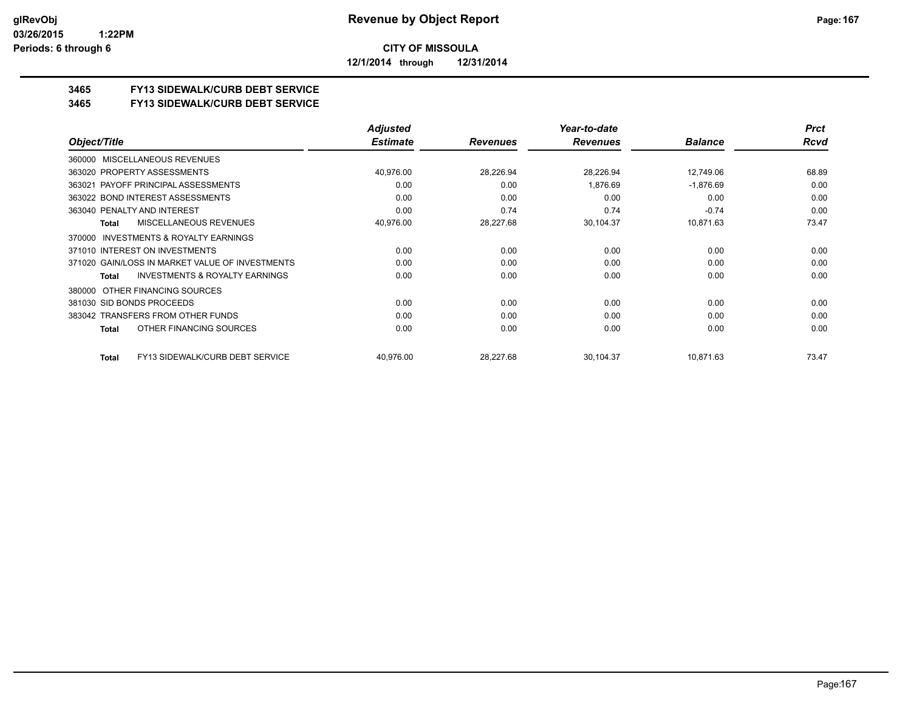**12/1/2014 through 12/31/2014**

### **3465 FY13 SIDEWALK/CURB DEBT SERVICE**

#### **3465 FY13 SIDEWALK/CURB DEBT SERVICE**

|                                                     | <b>Adjusted</b> |                 | Year-to-date    |                | <b>Prct</b> |
|-----------------------------------------------------|-----------------|-----------------|-----------------|----------------|-------------|
| Object/Title                                        | <b>Estimate</b> | <b>Revenues</b> | <b>Revenues</b> | <b>Balance</b> | Rcvd        |
| <b>MISCELLANEOUS REVENUES</b><br>360000             |                 |                 |                 |                |             |
| 363020 PROPERTY ASSESSMENTS                         | 40,976.00       | 28,226.94       | 28,226.94       | 12,749.06      | 68.89       |
| 363021 PAYOFF PRINCIPAL ASSESSMENTS                 | 0.00            | 0.00            | 1.876.69        | $-1,876.69$    | 0.00        |
| 363022 BOND INTEREST ASSESSMENTS                    | 0.00            | 0.00            | 0.00            | 0.00           | 0.00        |
| 363040 PENALTY AND INTEREST                         | 0.00            | 0.74            | 0.74            | $-0.74$        | 0.00        |
| MISCELLANEOUS REVENUES<br>Total                     | 40,976.00       | 28,227.68       | 30,104.37       | 10,871.63      | 73.47       |
| <b>INVESTMENTS &amp; ROYALTY EARNINGS</b><br>370000 |                 |                 |                 |                |             |
| 371010 INTEREST ON INVESTMENTS                      | 0.00            | 0.00            | 0.00            | 0.00           | 0.00        |
| 371020 GAIN/LOSS IN MARKET VALUE OF INVESTMENTS     | 0.00            | 0.00            | 0.00            | 0.00           | 0.00        |
| <b>INVESTMENTS &amp; ROYALTY EARNINGS</b><br>Total  | 0.00            | 0.00            | 0.00            | 0.00           | 0.00        |
| 380000 OTHER FINANCING SOURCES                      |                 |                 |                 |                |             |
| 381030 SID BONDS PROCEEDS                           | 0.00            | 0.00            | 0.00            | 0.00           | 0.00        |
| 383042 TRANSFERS FROM OTHER FUNDS                   | 0.00            | 0.00            | 0.00            | 0.00           | 0.00        |
| OTHER FINANCING SOURCES<br>Total                    | 0.00            | 0.00            | 0.00            | 0.00           | 0.00        |
| FY13 SIDEWALK/CURB DEBT SERVICE<br><b>Total</b>     | 40,976.00       | 28,227.68       | 30,104.37       | 10,871.63      | 73.47       |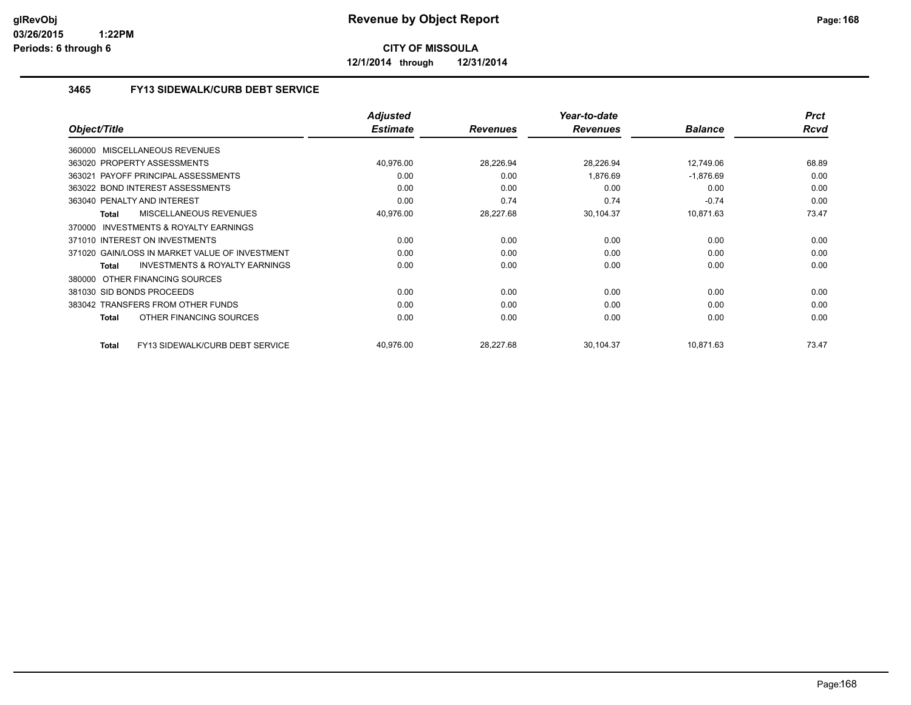**12/1/2014 through 12/31/2014**

### **3465 FY13 SIDEWALK/CURB DEBT SERVICE**

|                                                           | <b>Adjusted</b> |                 | Year-to-date    |                | <b>Prct</b> |
|-----------------------------------------------------------|-----------------|-----------------|-----------------|----------------|-------------|
| Object/Title                                              | <b>Estimate</b> | <b>Revenues</b> | <b>Revenues</b> | <b>Balance</b> | <b>Rcvd</b> |
| 360000 MISCELLANEOUS REVENUES                             |                 |                 |                 |                |             |
| 363020 PROPERTY ASSESSMENTS                               | 40,976.00       | 28,226.94       | 28,226.94       | 12,749.06      | 68.89       |
| PAYOFF PRINCIPAL ASSESSMENTS<br>363021                    | 0.00            | 0.00            | 1,876.69        | $-1,876.69$    | 0.00        |
| 363022 BOND INTEREST ASSESSMENTS                          | 0.00            | 0.00            | 0.00            | 0.00           | 0.00        |
| 363040 PENALTY AND INTEREST                               | 0.00            | 0.74            | 0.74            | $-0.74$        | 0.00        |
| <b>MISCELLANEOUS REVENUES</b><br><b>Total</b>             | 40,976.00       | 28,227.68       | 30,104.37       | 10,871.63      | 73.47       |
| 370000 INVESTMENTS & ROYALTY EARNINGS                     |                 |                 |                 |                |             |
| 371010 INTEREST ON INVESTMENTS                            | 0.00            | 0.00            | 0.00            | 0.00           | 0.00        |
| 371020 GAIN/LOSS IN MARKET VALUE OF INVESTMENT            | 0.00            | 0.00            | 0.00            | 0.00           | 0.00        |
| <b>INVESTMENTS &amp; ROYALTY EARNINGS</b><br><b>Total</b> | 0.00            | 0.00            | 0.00            | 0.00           | 0.00        |
| OTHER FINANCING SOURCES<br>380000                         |                 |                 |                 |                |             |
| 381030 SID BONDS PROCEEDS                                 | 0.00            | 0.00            | 0.00            | 0.00           | 0.00        |
| 383042 TRANSFERS FROM OTHER FUNDS                         | 0.00            | 0.00            | 0.00            | 0.00           | 0.00        |
| OTHER FINANCING SOURCES<br><b>Total</b>                   | 0.00            | 0.00            | 0.00            | 0.00           | 0.00        |
| FY13 SIDEWALK/CURB DEBT SERVICE<br><b>Total</b>           | 40,976.00       | 28,227.68       | 30,104.37       | 10,871.63      | 73.47       |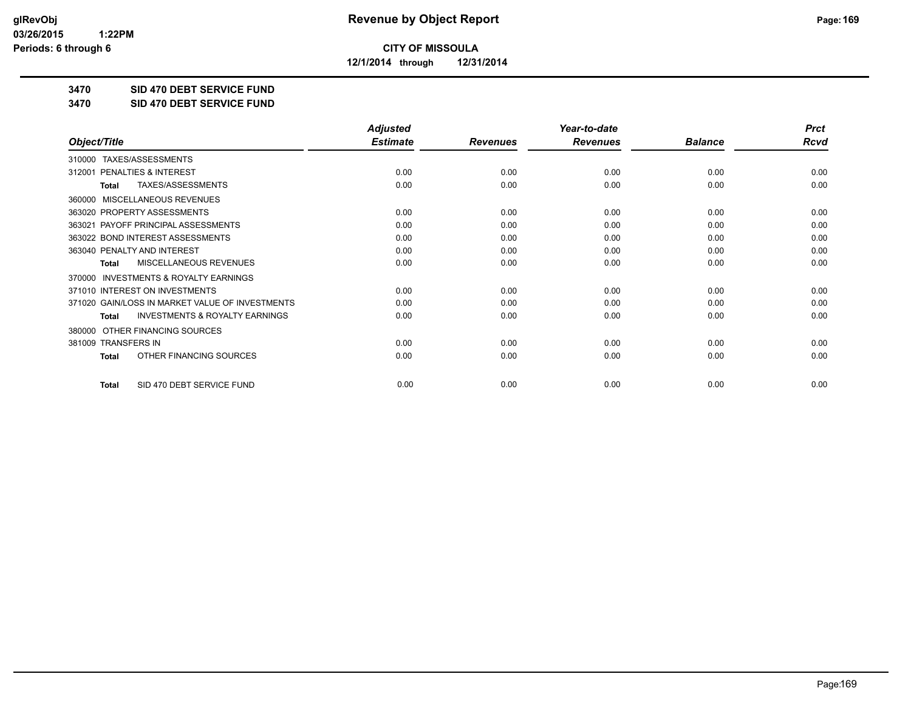**12/1/2014 through 12/31/2014**

**3470 SID 470 DEBT SERVICE FUND**

**3470 SID 470 DEBT SERVICE FUND**

|                                                           | <b>Adjusted</b> |                 | Year-to-date    |                | <b>Prct</b> |
|-----------------------------------------------------------|-----------------|-----------------|-----------------|----------------|-------------|
| Object/Title                                              | <b>Estimate</b> | <b>Revenues</b> | <b>Revenues</b> | <b>Balance</b> | Rcvd        |
| TAXES/ASSESSMENTS<br>310000                               |                 |                 |                 |                |             |
| PENALTIES & INTEREST<br>312001                            | 0.00            | 0.00            | 0.00            | 0.00           | 0.00        |
| TAXES/ASSESSMENTS<br>Total                                | 0.00            | 0.00            | 0.00            | 0.00           | 0.00        |
| MISCELLANEOUS REVENUES<br>360000                          |                 |                 |                 |                |             |
| 363020 PROPERTY ASSESSMENTS                               | 0.00            | 0.00            | 0.00            | 0.00           | 0.00        |
| PAYOFF PRINCIPAL ASSESSMENTS<br>363021                    | 0.00            | 0.00            | 0.00            | 0.00           | 0.00        |
| 363022 BOND INTEREST ASSESSMENTS                          | 0.00            | 0.00            | 0.00            | 0.00           | 0.00        |
| 363040 PENALTY AND INTEREST                               | 0.00            | 0.00            | 0.00            | 0.00           | 0.00        |
| MISCELLANEOUS REVENUES<br><b>Total</b>                    | 0.00            | 0.00            | 0.00            | 0.00           | 0.00        |
| <b>INVESTMENTS &amp; ROYALTY EARNINGS</b><br>370000       |                 |                 |                 |                |             |
| 371010 INTEREST ON INVESTMENTS                            | 0.00            | 0.00            | 0.00            | 0.00           | 0.00        |
| 371020 GAIN/LOSS IN MARKET VALUE OF INVESTMENTS           | 0.00            | 0.00            | 0.00            | 0.00           | 0.00        |
| <b>INVESTMENTS &amp; ROYALTY EARNINGS</b><br><b>Total</b> | 0.00            | 0.00            | 0.00            | 0.00           | 0.00        |
| OTHER FINANCING SOURCES<br>380000                         |                 |                 |                 |                |             |
| 381009 TRANSFERS IN                                       | 0.00            | 0.00            | 0.00            | 0.00           | 0.00        |
| OTHER FINANCING SOURCES<br><b>Total</b>                   | 0.00            | 0.00            | 0.00            | 0.00           | 0.00        |
| SID 470 DEBT SERVICE FUND<br><b>Total</b>                 | 0.00            | 0.00            | 0.00            | 0.00           | 0.00        |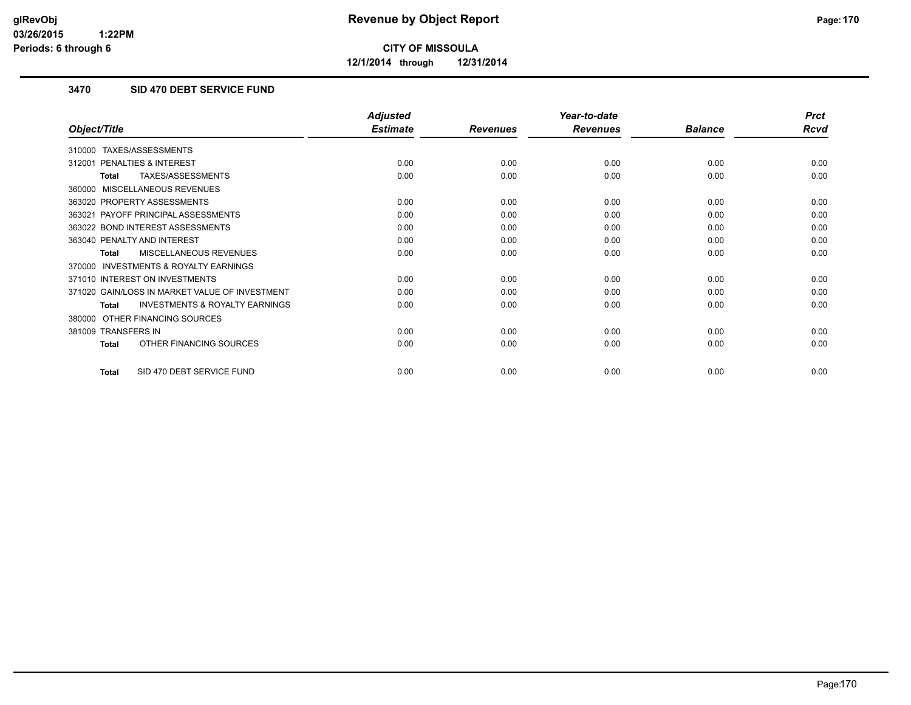**12/1/2014 through 12/31/2014**

### **3470 SID 470 DEBT SERVICE FUND**

|                                                           | <b>Adjusted</b> |                 | Year-to-date    |                | <b>Prct</b> |
|-----------------------------------------------------------|-----------------|-----------------|-----------------|----------------|-------------|
| Object/Title                                              | <b>Estimate</b> | <b>Revenues</b> | <b>Revenues</b> | <b>Balance</b> | <b>Rcvd</b> |
| TAXES/ASSESSMENTS<br>310000                               |                 |                 |                 |                |             |
| 312001 PENALTIES & INTEREST                               | 0.00            | 0.00            | 0.00            | 0.00           | 0.00        |
| TAXES/ASSESSMENTS<br><b>Total</b>                         | 0.00            | 0.00            | 0.00            | 0.00           | 0.00        |
| 360000 MISCELLANEOUS REVENUES                             |                 |                 |                 |                |             |
| 363020 PROPERTY ASSESSMENTS                               | 0.00            | 0.00            | 0.00            | 0.00           | 0.00        |
| 363021 PAYOFF PRINCIPAL ASSESSMENTS                       | 0.00            | 0.00            | 0.00            | 0.00           | 0.00        |
| 363022 BOND INTEREST ASSESSMENTS                          | 0.00            | 0.00            | 0.00            | 0.00           | 0.00        |
| 363040 PENALTY AND INTEREST                               | 0.00            | 0.00            | 0.00            | 0.00           | 0.00        |
| MISCELLANEOUS REVENUES<br><b>Total</b>                    | 0.00            | 0.00            | 0.00            | 0.00           | 0.00        |
| <b>INVESTMENTS &amp; ROYALTY EARNINGS</b><br>370000       |                 |                 |                 |                |             |
| 371010 INTEREST ON INVESTMENTS                            | 0.00            | 0.00            | 0.00            | 0.00           | 0.00        |
| 371020 GAIN/LOSS IN MARKET VALUE OF INVESTMENT            | 0.00            | 0.00            | 0.00            | 0.00           | 0.00        |
| <b>INVESTMENTS &amp; ROYALTY EARNINGS</b><br><b>Total</b> | 0.00            | 0.00            | 0.00            | 0.00           | 0.00        |
| OTHER FINANCING SOURCES<br>380000                         |                 |                 |                 |                |             |
| 381009 TRANSFERS IN                                       | 0.00            | 0.00            | 0.00            | 0.00           | 0.00        |
| OTHER FINANCING SOURCES<br><b>Total</b>                   | 0.00            | 0.00            | 0.00            | 0.00           | 0.00        |
| SID 470 DEBT SERVICE FUND<br><b>Total</b>                 | 0.00            | 0.00            | 0.00            | 0.00           | 0.00        |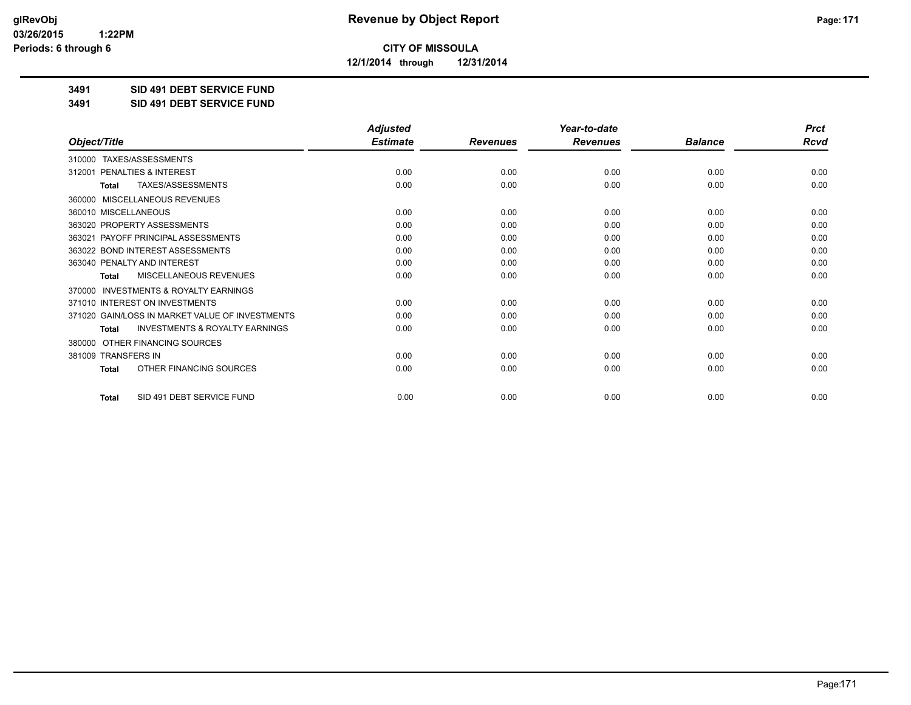**12/1/2014 through 12/31/2014**

**3491 SID 491 DEBT SERVICE FUND**

**3491 SID 491 DEBT SERVICE FUND**

|                                                     | <b>Adjusted</b> |                 | Year-to-date    |                | <b>Prct</b> |
|-----------------------------------------------------|-----------------|-----------------|-----------------|----------------|-------------|
| Object/Title                                        | <b>Estimate</b> | <b>Revenues</b> | <b>Revenues</b> | <b>Balance</b> | <b>Rcvd</b> |
| 310000 TAXES/ASSESSMENTS                            |                 |                 |                 |                |             |
| <b>PENALTIES &amp; INTEREST</b><br>312001           | 0.00            | 0.00            | 0.00            | 0.00           | 0.00        |
| TAXES/ASSESSMENTS<br><b>Total</b>                   | 0.00            | 0.00            | 0.00            | 0.00           | 0.00        |
| MISCELLANEOUS REVENUES<br>360000                    |                 |                 |                 |                |             |
| 360010 MISCELLANEOUS                                | 0.00            | 0.00            | 0.00            | 0.00           | 0.00        |
| 363020 PROPERTY ASSESSMENTS                         | 0.00            | 0.00            | 0.00            | 0.00           | 0.00        |
| 363021 PAYOFF PRINCIPAL ASSESSMENTS                 | 0.00            | 0.00            | 0.00            | 0.00           | 0.00        |
| 363022 BOND INTEREST ASSESSMENTS                    | 0.00            | 0.00            | 0.00            | 0.00           | 0.00        |
| 363040 PENALTY AND INTEREST                         | 0.00            | 0.00            | 0.00            | 0.00           | 0.00        |
| MISCELLANEOUS REVENUES<br><b>Total</b>              | 0.00            | 0.00            | 0.00            | 0.00           | 0.00        |
| <b>INVESTMENTS &amp; ROYALTY EARNINGS</b><br>370000 |                 |                 |                 |                |             |
| 371010 INTEREST ON INVESTMENTS                      | 0.00            | 0.00            | 0.00            | 0.00           | 0.00        |
| 371020 GAIN/LOSS IN MARKET VALUE OF INVESTMENTS     | 0.00            | 0.00            | 0.00            | 0.00           | 0.00        |
| <b>INVESTMENTS &amp; ROYALTY EARNINGS</b><br>Total  | 0.00            | 0.00            | 0.00            | 0.00           | 0.00        |
| OTHER FINANCING SOURCES<br>380000                   |                 |                 |                 |                |             |
| 381009 TRANSFERS IN                                 | 0.00            | 0.00            | 0.00            | 0.00           | 0.00        |
| OTHER FINANCING SOURCES<br>Total                    | 0.00            | 0.00            | 0.00            | 0.00           | 0.00        |
| SID 491 DEBT SERVICE FUND<br><b>Total</b>           | 0.00            | 0.00            | 0.00            | 0.00           | 0.00        |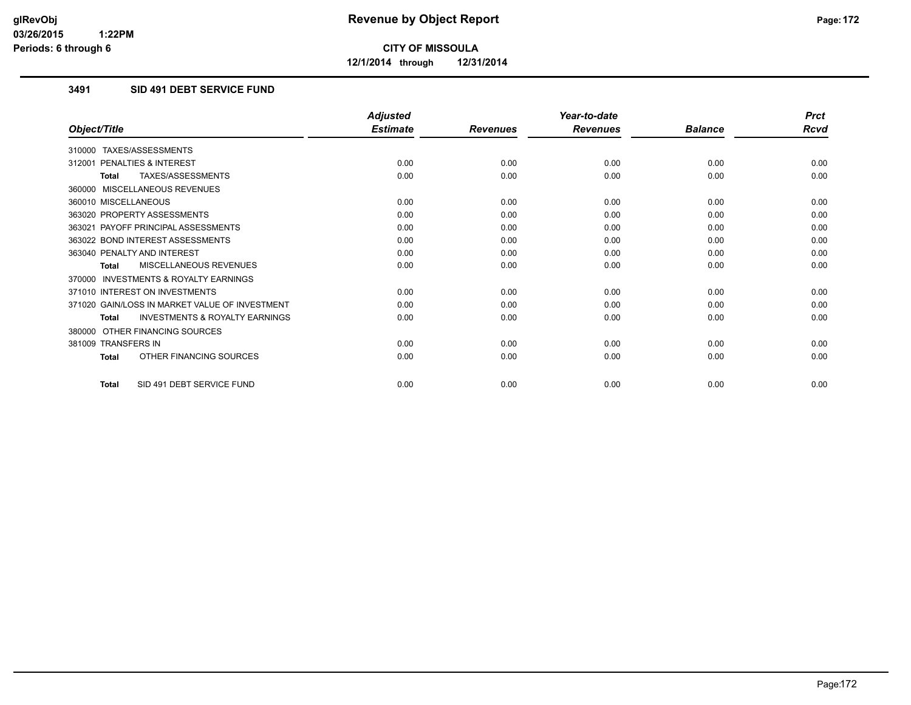**12/1/2014 through 12/31/2014**

### **3491 SID 491 DEBT SERVICE FUND**

|                                                           | <b>Adjusted</b> |                 | Year-to-date    |                | <b>Prct</b> |
|-----------------------------------------------------------|-----------------|-----------------|-----------------|----------------|-------------|
| Object/Title                                              | <b>Estimate</b> | <b>Revenues</b> | <b>Revenues</b> | <b>Balance</b> | <b>Rcvd</b> |
| 310000 TAXES/ASSESSMENTS                                  |                 |                 |                 |                |             |
| PENALTIES & INTEREST<br>312001                            | 0.00            | 0.00            | 0.00            | 0.00           | 0.00        |
| TAXES/ASSESSMENTS<br><b>Total</b>                         | 0.00            | 0.00            | 0.00            | 0.00           | 0.00        |
| 360000 MISCELLANEOUS REVENUES                             |                 |                 |                 |                |             |
| 360010 MISCELLANEOUS                                      | 0.00            | 0.00            | 0.00            | 0.00           | 0.00        |
| 363020 PROPERTY ASSESSMENTS                               | 0.00            | 0.00            | 0.00            | 0.00           | 0.00        |
| 363021 PAYOFF PRINCIPAL ASSESSMENTS                       | 0.00            | 0.00            | 0.00            | 0.00           | 0.00        |
| 363022 BOND INTEREST ASSESSMENTS                          | 0.00            | 0.00            | 0.00            | 0.00           | 0.00        |
| 363040 PENALTY AND INTEREST                               | 0.00            | 0.00            | 0.00            | 0.00           | 0.00        |
| <b>MISCELLANEOUS REVENUES</b><br><b>Total</b>             | 0.00            | 0.00            | 0.00            | 0.00           | 0.00        |
| <b>INVESTMENTS &amp; ROYALTY EARNINGS</b><br>370000       |                 |                 |                 |                |             |
| 371010 INTEREST ON INVESTMENTS                            | 0.00            | 0.00            | 0.00            | 0.00           | 0.00        |
| 371020 GAIN/LOSS IN MARKET VALUE OF INVESTMENT            | 0.00            | 0.00            | 0.00            | 0.00           | 0.00        |
| <b>INVESTMENTS &amp; ROYALTY EARNINGS</b><br><b>Total</b> | 0.00            | 0.00            | 0.00            | 0.00           | 0.00        |
| OTHER FINANCING SOURCES<br>380000                         |                 |                 |                 |                |             |
| 381009 TRANSFERS IN                                       | 0.00            | 0.00            | 0.00            | 0.00           | 0.00        |
| OTHER FINANCING SOURCES<br><b>Total</b>                   | 0.00            | 0.00            | 0.00            | 0.00           | 0.00        |
| SID 491 DEBT SERVICE FUND<br><b>Total</b>                 | 0.00            | 0.00            | 0.00            | 0.00           | 0.00        |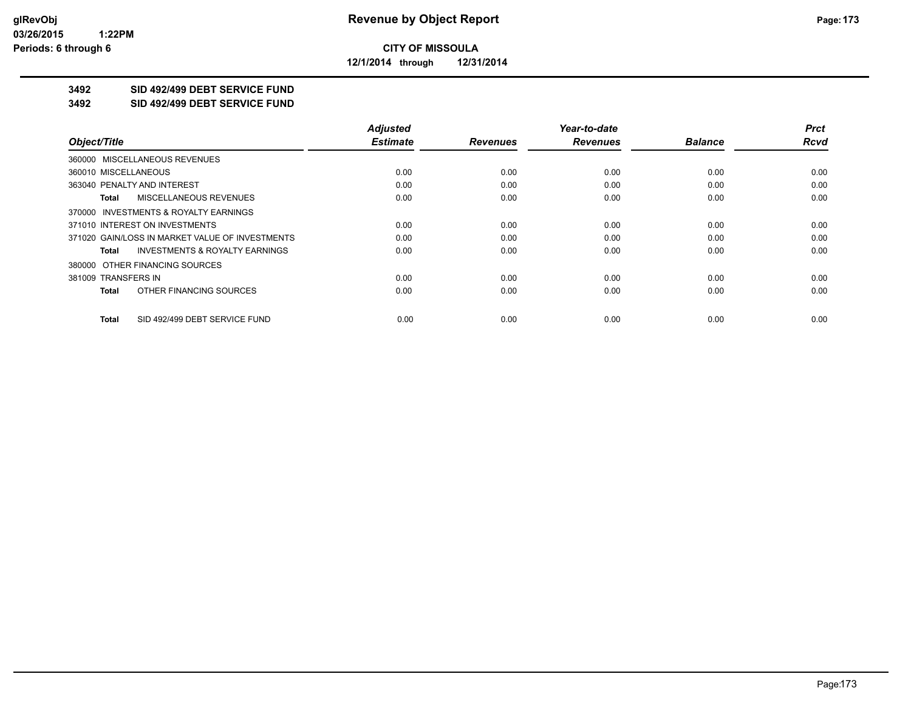**12/1/2014 through 12/31/2014**

## **3492 SID 492/499 DEBT SERVICE FUND**

**3492 SID 492/499 DEBT SERVICE FUND**

|                                                    | <b>Adjusted</b> |                 | Year-to-date    |                | <b>Prct</b> |
|----------------------------------------------------|-----------------|-----------------|-----------------|----------------|-------------|
| Object/Title                                       | <b>Estimate</b> | <b>Revenues</b> | <b>Revenues</b> | <b>Balance</b> | <b>Rcvd</b> |
| 360000 MISCELLANEOUS REVENUES                      |                 |                 |                 |                |             |
| 360010 MISCELLANEOUS                               | 0.00            | 0.00            | 0.00            | 0.00           | 0.00        |
| 363040 PENALTY AND INTEREST                        | 0.00            | 0.00            | 0.00            | 0.00           | 0.00        |
| <b>MISCELLANEOUS REVENUES</b><br>Total             | 0.00            | 0.00            | 0.00            | 0.00           | 0.00        |
| 370000 INVESTMENTS & ROYALTY EARNINGS              |                 |                 |                 |                |             |
| 371010 INTEREST ON INVESTMENTS                     | 0.00            | 0.00            | 0.00            | 0.00           | 0.00        |
| 371020 GAIN/LOSS IN MARKET VALUE OF INVESTMENTS    | 0.00            | 0.00            | 0.00            | 0.00           | 0.00        |
| <b>INVESTMENTS &amp; ROYALTY EARNINGS</b><br>Total | 0.00            | 0.00            | 0.00            | 0.00           | 0.00        |
| 380000 OTHER FINANCING SOURCES                     |                 |                 |                 |                |             |
| 381009 TRANSFERS IN                                | 0.00            | 0.00            | 0.00            | 0.00           | 0.00        |
| OTHER FINANCING SOURCES<br>Total                   | 0.00            | 0.00            | 0.00            | 0.00           | 0.00        |
| SID 492/499 DEBT SERVICE FUND<br>Total             | 0.00            | 0.00            | 0.00            | 0.00           | 0.00        |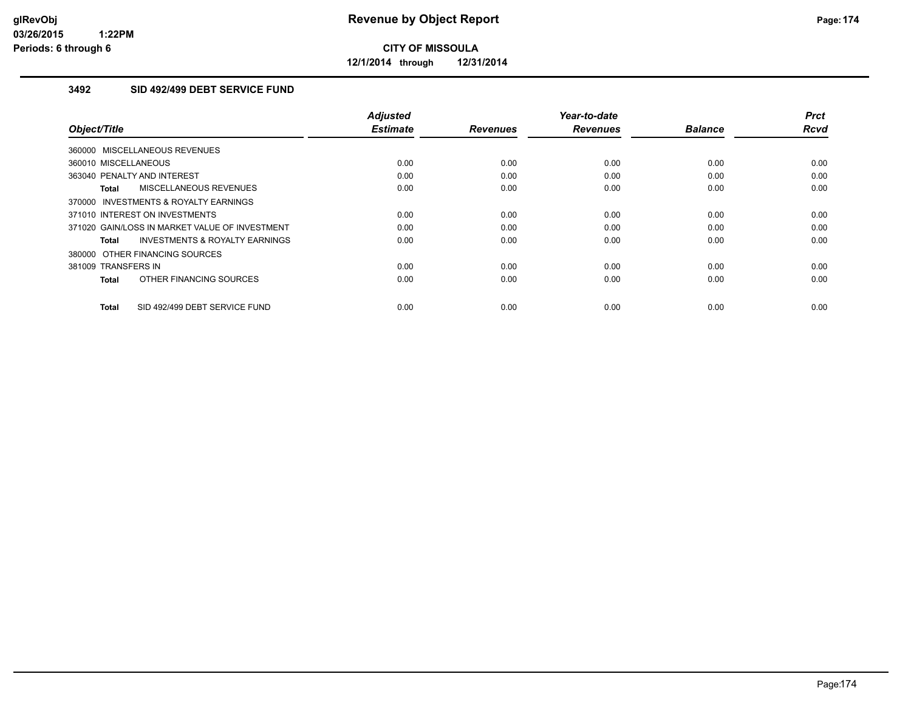**12/1/2014 through 12/31/2014**

### **3492 SID 492/499 DEBT SERVICE FUND**

| Object/Title                                              | <b>Adjusted</b><br><b>Estimate</b> | <b>Revenues</b> | Year-to-date<br><b>Revenues</b> | <b>Balance</b> | <b>Prct</b><br><b>Rcvd</b> |
|-----------------------------------------------------------|------------------------------------|-----------------|---------------------------------|----------------|----------------------------|
| 360000 MISCELLANEOUS REVENUES                             |                                    |                 |                                 |                |                            |
| 360010 MISCELLANEOUS                                      | 0.00                               | 0.00            | 0.00                            | 0.00           | 0.00                       |
| 363040 PENALTY AND INTEREST                               | 0.00                               | 0.00            | 0.00                            | 0.00           | 0.00                       |
| MISCELLANEOUS REVENUES<br>Total                           | 0.00                               | 0.00            | 0.00                            | 0.00           | 0.00                       |
| 370000 INVESTMENTS & ROYALTY EARNINGS                     |                                    |                 |                                 |                |                            |
| 371010 INTEREST ON INVESTMENTS                            | 0.00                               | 0.00            | 0.00                            | 0.00           | 0.00                       |
| 371020 GAIN/LOSS IN MARKET VALUE OF INVESTMENT            | 0.00                               | 0.00            | 0.00                            | 0.00           | 0.00                       |
| <b>INVESTMENTS &amp; ROYALTY EARNINGS</b><br><b>Total</b> | 0.00                               | 0.00            | 0.00                            | 0.00           | 0.00                       |
| 380000 OTHER FINANCING SOURCES                            |                                    |                 |                                 |                |                            |
| 381009 TRANSFERS IN                                       | 0.00                               | 0.00            | 0.00                            | 0.00           | 0.00                       |
| OTHER FINANCING SOURCES<br><b>Total</b>                   | 0.00                               | 0.00            | 0.00                            | 0.00           | 0.00                       |
| SID 492/499 DEBT SERVICE FUND<br><b>Total</b>             | 0.00                               | 0.00            | 0.00                            | 0.00           | 0.00                       |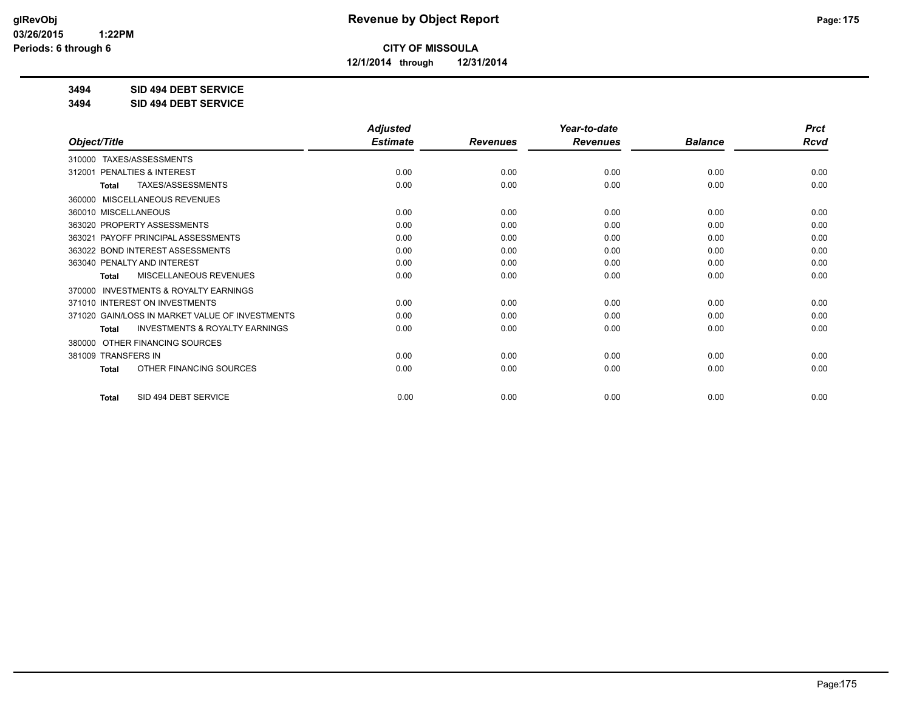**12/1/2014 through 12/31/2014**

## **3494 SID 494 DEBT SERVICE**

**3494 SID 494 DEBT SERVICE**

|                                                           | <b>Adjusted</b> |                 | Year-to-date    |                | <b>Prct</b> |
|-----------------------------------------------------------|-----------------|-----------------|-----------------|----------------|-------------|
| Object/Title                                              | <b>Estimate</b> | <b>Revenues</b> | <b>Revenues</b> | <b>Balance</b> | <b>Rcvd</b> |
| 310000 TAXES/ASSESSMENTS                                  |                 |                 |                 |                |             |
| PENALTIES & INTEREST<br>312001                            | 0.00            | 0.00            | 0.00            | 0.00           | 0.00        |
| <b>TAXES/ASSESSMENTS</b><br><b>Total</b>                  | 0.00            | 0.00            | 0.00            | 0.00           | 0.00        |
| MISCELLANEOUS REVENUES<br>360000                          |                 |                 |                 |                |             |
| 360010 MISCELLANEOUS                                      | 0.00            | 0.00            | 0.00            | 0.00           | 0.00        |
| 363020 PROPERTY ASSESSMENTS                               | 0.00            | 0.00            | 0.00            | 0.00           | 0.00        |
| 363021 PAYOFF PRINCIPAL ASSESSMENTS                       | 0.00            | 0.00            | 0.00            | 0.00           | 0.00        |
| 363022 BOND INTEREST ASSESSMENTS                          | 0.00            | 0.00            | 0.00            | 0.00           | 0.00        |
| 363040 PENALTY AND INTEREST                               | 0.00            | 0.00            | 0.00            | 0.00           | 0.00        |
| MISCELLANEOUS REVENUES<br>Total                           | 0.00            | 0.00            | 0.00            | 0.00           | 0.00        |
| <b>INVESTMENTS &amp; ROYALTY EARNINGS</b><br>370000       |                 |                 |                 |                |             |
| 371010 INTEREST ON INVESTMENTS                            | 0.00            | 0.00            | 0.00            | 0.00           | 0.00        |
| 371020 GAIN/LOSS IN MARKET VALUE OF INVESTMENTS           | 0.00            | 0.00            | 0.00            | 0.00           | 0.00        |
| <b>INVESTMENTS &amp; ROYALTY EARNINGS</b><br><b>Total</b> | 0.00            | 0.00            | 0.00            | 0.00           | 0.00        |
| OTHER FINANCING SOURCES<br>380000                         |                 |                 |                 |                |             |
| 381009 TRANSFERS IN                                       | 0.00            | 0.00            | 0.00            | 0.00           | 0.00        |
| OTHER FINANCING SOURCES<br><b>Total</b>                   | 0.00            | 0.00            | 0.00            | 0.00           | 0.00        |
| SID 494 DEBT SERVICE<br><b>Total</b>                      | 0.00            | 0.00            | 0.00            | 0.00           | 0.00        |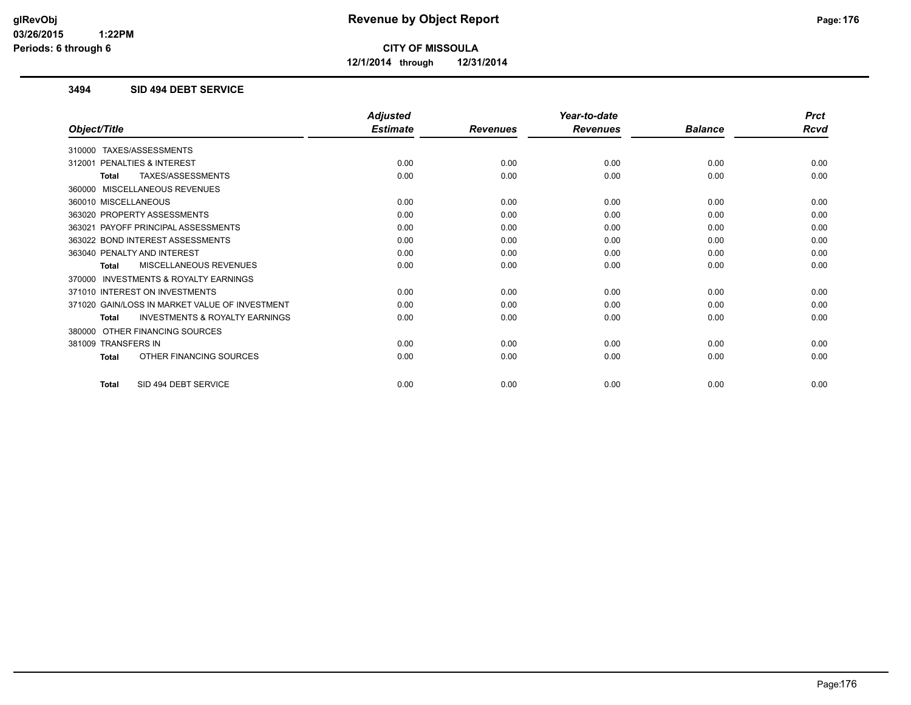**12/1/2014 through 12/31/2014**

### **3494 SID 494 DEBT SERVICE**

|                                                           | <b>Adjusted</b> |                 | Year-to-date    |                | <b>Prct</b> |
|-----------------------------------------------------------|-----------------|-----------------|-----------------|----------------|-------------|
| Object/Title                                              | <b>Estimate</b> | <b>Revenues</b> | <b>Revenues</b> | <b>Balance</b> | <b>Rcvd</b> |
| 310000 TAXES/ASSESSMENTS                                  |                 |                 |                 |                |             |
| PENALTIES & INTEREST<br>312001                            | 0.00            | 0.00            | 0.00            | 0.00           | 0.00        |
| TAXES/ASSESSMENTS<br>Total                                | 0.00            | 0.00            | 0.00            | 0.00           | 0.00        |
| 360000 MISCELLANEOUS REVENUES                             |                 |                 |                 |                |             |
| 360010 MISCELLANEOUS                                      | 0.00            | 0.00            | 0.00            | 0.00           | 0.00        |
| 363020 PROPERTY ASSESSMENTS                               | 0.00            | 0.00            | 0.00            | 0.00           | 0.00        |
| 363021 PAYOFF PRINCIPAL ASSESSMENTS                       | 0.00            | 0.00            | 0.00            | 0.00           | 0.00        |
| 363022 BOND INTEREST ASSESSMENTS                          | 0.00            | 0.00            | 0.00            | 0.00           | 0.00        |
| 363040 PENALTY AND INTEREST                               | 0.00            | 0.00            | 0.00            | 0.00           | 0.00        |
| <b>MISCELLANEOUS REVENUES</b><br>Total                    | 0.00            | 0.00            | 0.00            | 0.00           | 0.00        |
| 370000 INVESTMENTS & ROYALTY EARNINGS                     |                 |                 |                 |                |             |
| 371010 INTEREST ON INVESTMENTS                            | 0.00            | 0.00            | 0.00            | 0.00           | 0.00        |
| 371020 GAIN/LOSS IN MARKET VALUE OF INVESTMENT            | 0.00            | 0.00            | 0.00            | 0.00           | 0.00        |
| <b>INVESTMENTS &amp; ROYALTY EARNINGS</b><br><b>Total</b> | 0.00            | 0.00            | 0.00            | 0.00           | 0.00        |
| 380000 OTHER FINANCING SOURCES                            |                 |                 |                 |                |             |
| 381009 TRANSFERS IN                                       | 0.00            | 0.00            | 0.00            | 0.00           | 0.00        |
| OTHER FINANCING SOURCES<br><b>Total</b>                   | 0.00            | 0.00            | 0.00            | 0.00           | 0.00        |
|                                                           |                 |                 |                 |                |             |
| SID 494 DEBT SERVICE<br><b>Total</b>                      | 0.00            | 0.00            | 0.00            | 0.00           | 0.00        |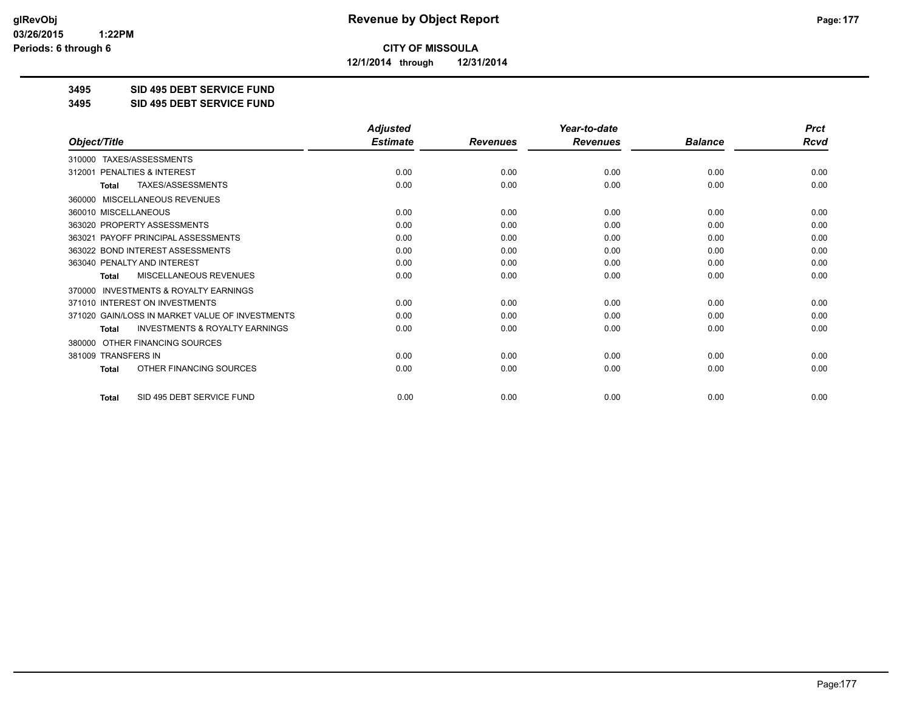**12/1/2014 through 12/31/2014**

**3495 SID 495 DEBT SERVICE FUND**

**3495 SID 495 DEBT SERVICE FUND**

|                                                           | <b>Adjusted</b> |                 | Year-to-date    |                | <b>Prct</b> |
|-----------------------------------------------------------|-----------------|-----------------|-----------------|----------------|-------------|
| Object/Title                                              | <b>Estimate</b> | <b>Revenues</b> | <b>Revenues</b> | <b>Balance</b> | <b>Rcvd</b> |
| 310000 TAXES/ASSESSMENTS                                  |                 |                 |                 |                |             |
| PENALTIES & INTEREST<br>312001                            | 0.00            | 0.00            | 0.00            | 0.00           | 0.00        |
| <b>TAXES/ASSESSMENTS</b><br><b>Total</b>                  | 0.00            | 0.00            | 0.00            | 0.00           | 0.00        |
| MISCELLANEOUS REVENUES<br>360000                          |                 |                 |                 |                |             |
| 360010 MISCELLANEOUS                                      | 0.00            | 0.00            | 0.00            | 0.00           | 0.00        |
| 363020 PROPERTY ASSESSMENTS                               | 0.00            | 0.00            | 0.00            | 0.00           | 0.00        |
| 363021 PAYOFF PRINCIPAL ASSESSMENTS                       | 0.00            | 0.00            | 0.00            | 0.00           | 0.00        |
| 363022 BOND INTEREST ASSESSMENTS                          | 0.00            | 0.00            | 0.00            | 0.00           | 0.00        |
| 363040 PENALTY AND INTEREST                               | 0.00            | 0.00            | 0.00            | 0.00           | 0.00        |
| MISCELLANEOUS REVENUES<br>Total                           | 0.00            | 0.00            | 0.00            | 0.00           | 0.00        |
| INVESTMENTS & ROYALTY EARNINGS<br>370000                  |                 |                 |                 |                |             |
| 371010 INTEREST ON INVESTMENTS                            | 0.00            | 0.00            | 0.00            | 0.00           | 0.00        |
| 371020 GAIN/LOSS IN MARKET VALUE OF INVESTMENTS           | 0.00            | 0.00            | 0.00            | 0.00           | 0.00        |
| <b>INVESTMENTS &amp; ROYALTY EARNINGS</b><br><b>Total</b> | 0.00            | 0.00            | 0.00            | 0.00           | 0.00        |
| OTHER FINANCING SOURCES<br>380000                         |                 |                 |                 |                |             |
| 381009 TRANSFERS IN                                       | 0.00            | 0.00            | 0.00            | 0.00           | 0.00        |
| OTHER FINANCING SOURCES<br><b>Total</b>                   | 0.00            | 0.00            | 0.00            | 0.00           | 0.00        |
| SID 495 DEBT SERVICE FUND<br><b>Total</b>                 | 0.00            | 0.00            | 0.00            | 0.00           | 0.00        |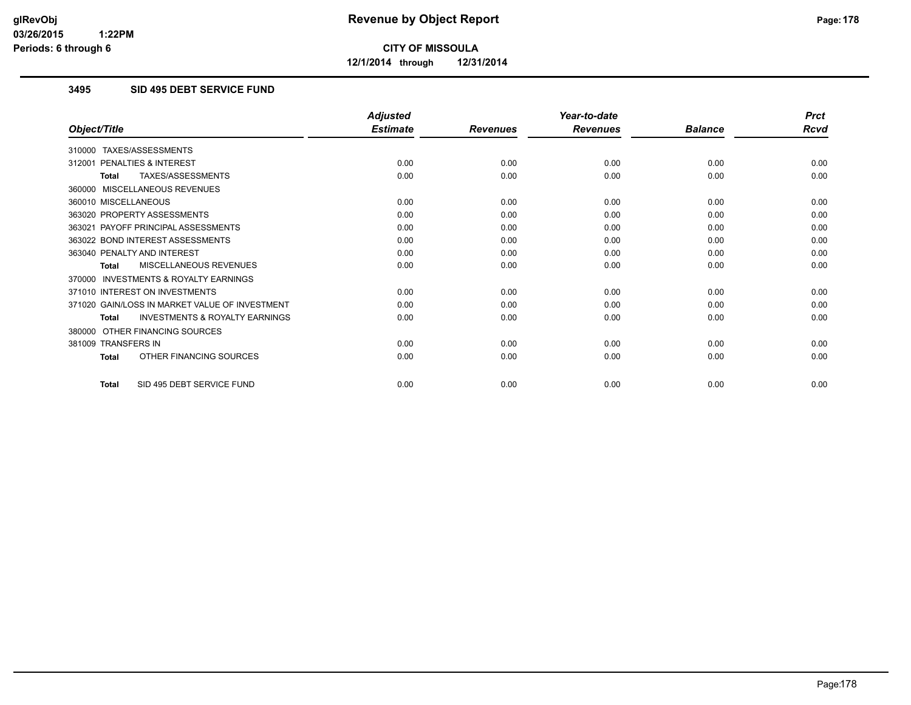**12/1/2014 through 12/31/2014**

### **3495 SID 495 DEBT SERVICE FUND**

|                                                           | <b>Adjusted</b> |                 | Year-to-date    |                | <b>Prct</b> |
|-----------------------------------------------------------|-----------------|-----------------|-----------------|----------------|-------------|
| Object/Title                                              | <b>Estimate</b> | <b>Revenues</b> | <b>Revenues</b> | <b>Balance</b> | Rcvd        |
| 310000 TAXES/ASSESSMENTS                                  |                 |                 |                 |                |             |
| PENALTIES & INTEREST<br>312001                            | 0.00            | 0.00            | 0.00            | 0.00           | 0.00        |
| TAXES/ASSESSMENTS<br>Total                                | 0.00            | 0.00            | 0.00            | 0.00           | 0.00        |
| 360000 MISCELLANEOUS REVENUES                             |                 |                 |                 |                |             |
| 360010 MISCELLANEOUS                                      | 0.00            | 0.00            | 0.00            | 0.00           | 0.00        |
| 363020 PROPERTY ASSESSMENTS                               | 0.00            | 0.00            | 0.00            | 0.00           | 0.00        |
| 363021 PAYOFF PRINCIPAL ASSESSMENTS                       | 0.00            | 0.00            | 0.00            | 0.00           | 0.00        |
| 363022 BOND INTEREST ASSESSMENTS                          | 0.00            | 0.00            | 0.00            | 0.00           | 0.00        |
| 363040 PENALTY AND INTEREST                               | 0.00            | 0.00            | 0.00            | 0.00           | 0.00        |
| MISCELLANEOUS REVENUES<br>Total                           | 0.00            | 0.00            | 0.00            | 0.00           | 0.00        |
| 370000 INVESTMENTS & ROYALTY EARNINGS                     |                 |                 |                 |                |             |
| 371010 INTEREST ON INVESTMENTS                            | 0.00            | 0.00            | 0.00            | 0.00           | 0.00        |
| 371020 GAIN/LOSS IN MARKET VALUE OF INVESTMENT            | 0.00            | 0.00            | 0.00            | 0.00           | 0.00        |
| <b>INVESTMENTS &amp; ROYALTY EARNINGS</b><br><b>Total</b> | 0.00            | 0.00            | 0.00            | 0.00           | 0.00        |
| 380000 OTHER FINANCING SOURCES                            |                 |                 |                 |                |             |
| 381009 TRANSFERS IN                                       | 0.00            | 0.00            | 0.00            | 0.00           | 0.00        |
| OTHER FINANCING SOURCES<br>Total                          | 0.00            | 0.00            | 0.00            | 0.00           | 0.00        |
|                                                           |                 |                 |                 |                |             |
| SID 495 DEBT SERVICE FUND<br><b>Total</b>                 | 0.00            | 0.00            | 0.00            | 0.00           | 0.00        |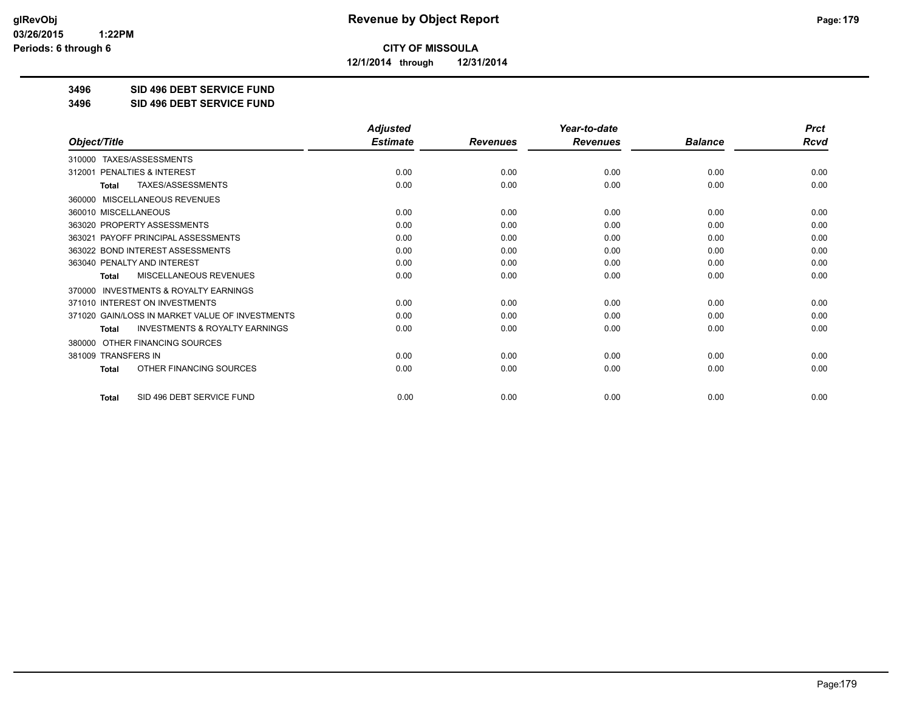**12/1/2014 through 12/31/2014**

**3496 SID 496 DEBT SERVICE FUND**

**3496 SID 496 DEBT SERVICE FUND**

|                                                           | <b>Adjusted</b> |                 | Year-to-date    |                | <b>Prct</b> |
|-----------------------------------------------------------|-----------------|-----------------|-----------------|----------------|-------------|
| Object/Title                                              | <b>Estimate</b> | <b>Revenues</b> | <b>Revenues</b> | <b>Balance</b> | <b>Rcvd</b> |
| 310000 TAXES/ASSESSMENTS                                  |                 |                 |                 |                |             |
| PENALTIES & INTEREST<br>312001                            | 0.00            | 0.00            | 0.00            | 0.00           | 0.00        |
| <b>TAXES/ASSESSMENTS</b><br><b>Total</b>                  | 0.00            | 0.00            | 0.00            | 0.00           | 0.00        |
| MISCELLANEOUS REVENUES<br>360000                          |                 |                 |                 |                |             |
| 360010 MISCELLANEOUS                                      | 0.00            | 0.00            | 0.00            | 0.00           | 0.00        |
| 363020 PROPERTY ASSESSMENTS                               | 0.00            | 0.00            | 0.00            | 0.00           | 0.00        |
| 363021 PAYOFF PRINCIPAL ASSESSMENTS                       | 0.00            | 0.00            | 0.00            | 0.00           | 0.00        |
| 363022 BOND INTEREST ASSESSMENTS                          | 0.00            | 0.00            | 0.00            | 0.00           | 0.00        |
| 363040 PENALTY AND INTEREST                               | 0.00            | 0.00            | 0.00            | 0.00           | 0.00        |
| MISCELLANEOUS REVENUES<br>Total                           | 0.00            | 0.00            | 0.00            | 0.00           | 0.00        |
| INVESTMENTS & ROYALTY EARNINGS<br>370000                  |                 |                 |                 |                |             |
| 371010 INTEREST ON INVESTMENTS                            | 0.00            | 0.00            | 0.00            | 0.00           | 0.00        |
| 371020 GAIN/LOSS IN MARKET VALUE OF INVESTMENTS           | 0.00            | 0.00            | 0.00            | 0.00           | 0.00        |
| <b>INVESTMENTS &amp; ROYALTY EARNINGS</b><br><b>Total</b> | 0.00            | 0.00            | 0.00            | 0.00           | 0.00        |
| OTHER FINANCING SOURCES<br>380000                         |                 |                 |                 |                |             |
| 381009 TRANSFERS IN                                       | 0.00            | 0.00            | 0.00            | 0.00           | 0.00        |
| OTHER FINANCING SOURCES<br><b>Total</b>                   | 0.00            | 0.00            | 0.00            | 0.00           | 0.00        |
| SID 496 DEBT SERVICE FUND<br><b>Total</b>                 | 0.00            | 0.00            | 0.00            | 0.00           | 0.00        |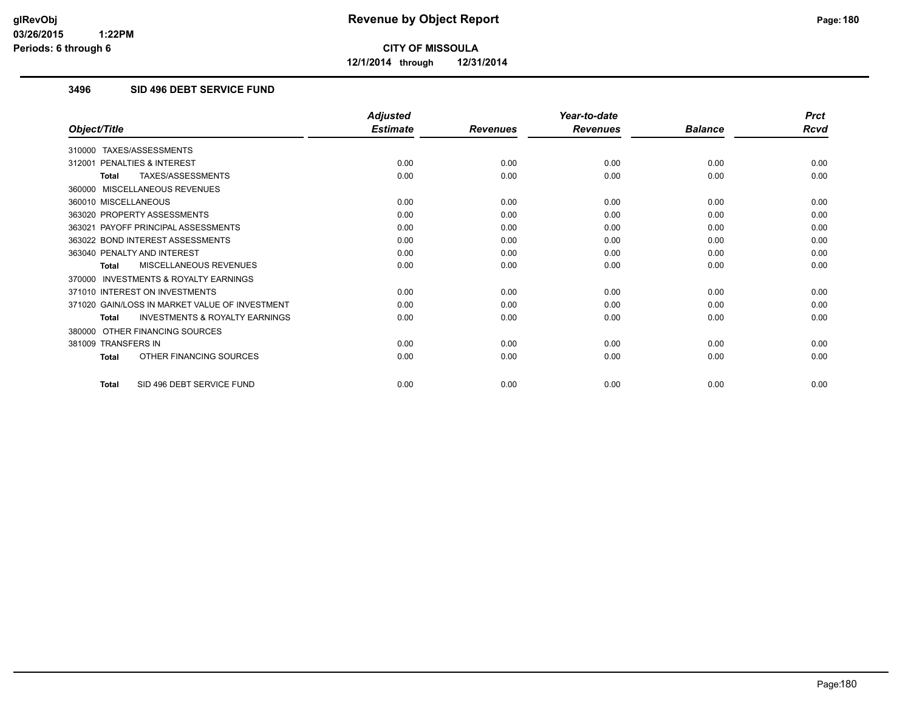**12/1/2014 through 12/31/2014**

### **3496 SID 496 DEBT SERVICE FUND**

|                                                           | <b>Adjusted</b> |                 | Year-to-date    |                | <b>Prct</b> |
|-----------------------------------------------------------|-----------------|-----------------|-----------------|----------------|-------------|
| Object/Title                                              | <b>Estimate</b> | <b>Revenues</b> | <b>Revenues</b> | <b>Balance</b> | <b>Rcvd</b> |
| 310000 TAXES/ASSESSMENTS                                  |                 |                 |                 |                |             |
| PENALTIES & INTEREST<br>312001                            | 0.00            | 0.00            | 0.00            | 0.00           | 0.00        |
| TAXES/ASSESSMENTS<br><b>Total</b>                         | 0.00            | 0.00            | 0.00            | 0.00           | 0.00        |
| 360000 MISCELLANEOUS REVENUES                             |                 |                 |                 |                |             |
| 360010 MISCELLANEOUS                                      | 0.00            | 0.00            | 0.00            | 0.00           | 0.00        |
| 363020 PROPERTY ASSESSMENTS                               | 0.00            | 0.00            | 0.00            | 0.00           | 0.00        |
| 363021 PAYOFF PRINCIPAL ASSESSMENTS                       | 0.00            | 0.00            | 0.00            | 0.00           | 0.00        |
| 363022 BOND INTEREST ASSESSMENTS                          | 0.00            | 0.00            | 0.00            | 0.00           | 0.00        |
| 363040 PENALTY AND INTEREST                               | 0.00            | 0.00            | 0.00            | 0.00           | 0.00        |
| <b>MISCELLANEOUS REVENUES</b><br><b>Total</b>             | 0.00            | 0.00            | 0.00            | 0.00           | 0.00        |
| <b>INVESTMENTS &amp; ROYALTY EARNINGS</b><br>370000       |                 |                 |                 |                |             |
| 371010 INTEREST ON INVESTMENTS                            | 0.00            | 0.00            | 0.00            | 0.00           | 0.00        |
| 371020 GAIN/LOSS IN MARKET VALUE OF INVESTMENT            | 0.00            | 0.00            | 0.00            | 0.00           | 0.00        |
| <b>INVESTMENTS &amp; ROYALTY EARNINGS</b><br><b>Total</b> | 0.00            | 0.00            | 0.00            | 0.00           | 0.00        |
| OTHER FINANCING SOURCES<br>380000                         |                 |                 |                 |                |             |
| 381009 TRANSFERS IN                                       | 0.00            | 0.00            | 0.00            | 0.00           | 0.00        |
| OTHER FINANCING SOURCES<br><b>Total</b>                   | 0.00            | 0.00            | 0.00            | 0.00           | 0.00        |
| SID 496 DEBT SERVICE FUND<br><b>Total</b>                 | 0.00            | 0.00            | 0.00            | 0.00           | 0.00        |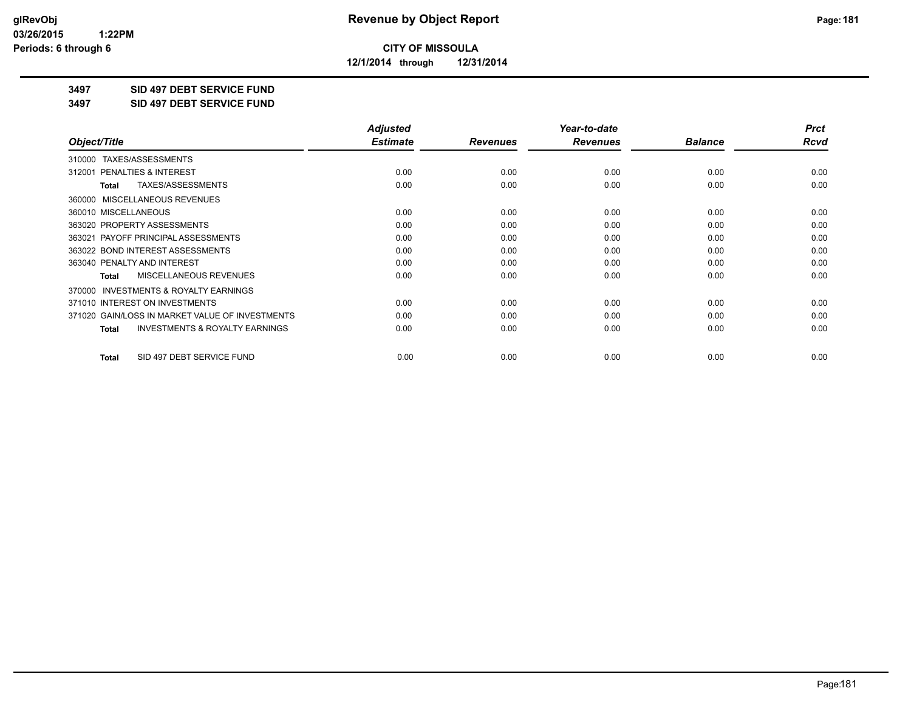**12/1/2014 through 12/31/2014**

**3497 SID 497 DEBT SERVICE FUND**

**3497 SID 497 DEBT SERVICE FUND**

|                                                           | <b>Adjusted</b> |                 | Year-to-date    |                | <b>Prct</b> |
|-----------------------------------------------------------|-----------------|-----------------|-----------------|----------------|-------------|
| Object/Title                                              | <b>Estimate</b> | <b>Revenues</b> | <b>Revenues</b> | <b>Balance</b> | Rcvd        |
| 310000 TAXES/ASSESSMENTS                                  |                 |                 |                 |                |             |
| <b>PENALTIES &amp; INTEREST</b><br>312001                 | 0.00            | 0.00            | 0.00            | 0.00           | 0.00        |
| TAXES/ASSESSMENTS<br>Total                                | 0.00            | 0.00            | 0.00            | 0.00           | 0.00        |
| 360000 MISCELLANEOUS REVENUES                             |                 |                 |                 |                |             |
| 360010 MISCELLANEOUS                                      | 0.00            | 0.00            | 0.00            | 0.00           | 0.00        |
| 363020 PROPERTY ASSESSMENTS                               | 0.00            | 0.00            | 0.00            | 0.00           | 0.00        |
| 363021 PAYOFF PRINCIPAL ASSESSMENTS                       | 0.00            | 0.00            | 0.00            | 0.00           | 0.00        |
| 363022 BOND INTEREST ASSESSMENTS                          | 0.00            | 0.00            | 0.00            | 0.00           | 0.00        |
| 363040 PENALTY AND INTEREST                               | 0.00            | 0.00            | 0.00            | 0.00           | 0.00        |
| <b>MISCELLANEOUS REVENUES</b><br>Total                    | 0.00            | 0.00            | 0.00            | 0.00           | 0.00        |
| <b>INVESTMENTS &amp; ROYALTY EARNINGS</b><br>370000       |                 |                 |                 |                |             |
| 371010 INTEREST ON INVESTMENTS                            | 0.00            | 0.00            | 0.00            | 0.00           | 0.00        |
| 371020 GAIN/LOSS IN MARKET VALUE OF INVESTMENTS           | 0.00            | 0.00            | 0.00            | 0.00           | 0.00        |
| <b>INVESTMENTS &amp; ROYALTY EARNINGS</b><br><b>Total</b> | 0.00            | 0.00            | 0.00            | 0.00           | 0.00        |
|                                                           |                 |                 |                 |                |             |
| SID 497 DEBT SERVICE FUND<br><b>Total</b>                 | 0.00            | 0.00            | 0.00            | 0.00           | 0.00        |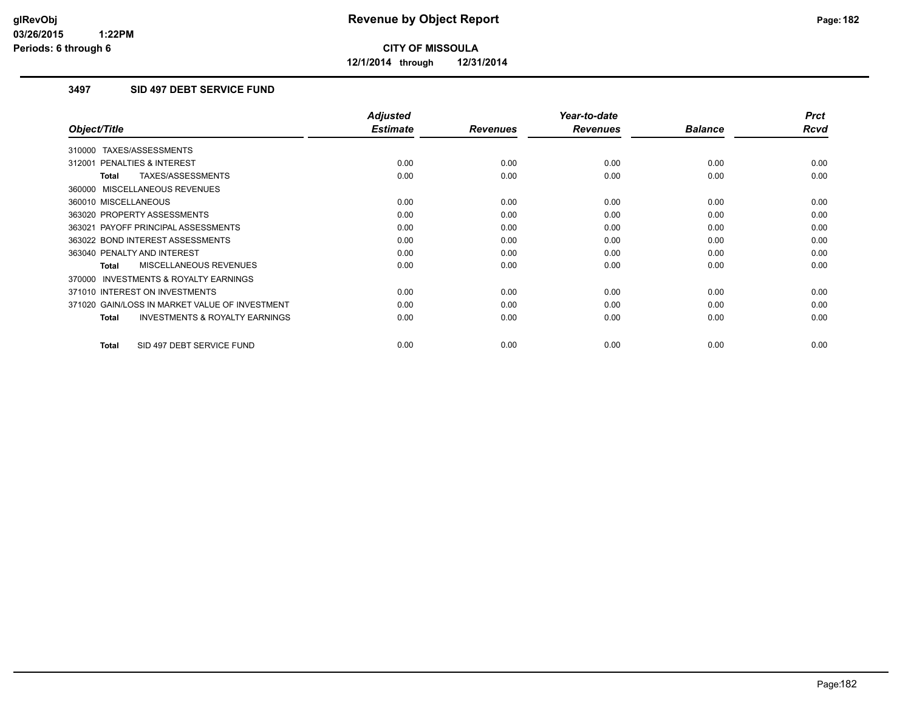**12/1/2014 through 12/31/2014**

### **3497 SID 497 DEBT SERVICE FUND**

|                                                     | <b>Adjusted</b> |                 | Year-to-date    |                | <b>Prct</b> |
|-----------------------------------------------------|-----------------|-----------------|-----------------|----------------|-------------|
| Object/Title                                        | <b>Estimate</b> | <b>Revenues</b> | <b>Revenues</b> | <b>Balance</b> | <b>Rcvd</b> |
| 310000 TAXES/ASSESSMENTS                            |                 |                 |                 |                |             |
| 312001 PENALTIES & INTEREST                         | 0.00            | 0.00            | 0.00            | 0.00           | 0.00        |
| TAXES/ASSESSMENTS<br><b>Total</b>                   | 0.00            | 0.00            | 0.00            | 0.00           | 0.00        |
| 360000 MISCELLANEOUS REVENUES                       |                 |                 |                 |                |             |
| 360010 MISCELLANEOUS                                | 0.00            | 0.00            | 0.00            | 0.00           | 0.00        |
| 363020 PROPERTY ASSESSMENTS                         | 0.00            | 0.00            | 0.00            | 0.00           | 0.00        |
| 363021 PAYOFF PRINCIPAL ASSESSMENTS                 | 0.00            | 0.00            | 0.00            | 0.00           | 0.00        |
| 363022 BOND INTEREST ASSESSMENTS                    | 0.00            | 0.00            | 0.00            | 0.00           | 0.00        |
| 363040 PENALTY AND INTEREST                         | 0.00            | 0.00            | 0.00            | 0.00           | 0.00        |
| <b>MISCELLANEOUS REVENUES</b><br>Total              | 0.00            | 0.00            | 0.00            | 0.00           | 0.00        |
| <b>INVESTMENTS &amp; ROYALTY EARNINGS</b><br>370000 |                 |                 |                 |                |             |
| 371010 INTEREST ON INVESTMENTS                      | 0.00            | 0.00            | 0.00            | 0.00           | 0.00        |
| 371020 GAIN/LOSS IN MARKET VALUE OF INVESTMENT      | 0.00            | 0.00            | 0.00            | 0.00           | 0.00        |
| <b>INVESTMENTS &amp; ROYALTY EARNINGS</b><br>Total  | 0.00            | 0.00            | 0.00            | 0.00           | 0.00        |
| SID 497 DEBT SERVICE FUND<br><b>Total</b>           | 0.00            | 0.00            | 0.00            | 0.00           | 0.00        |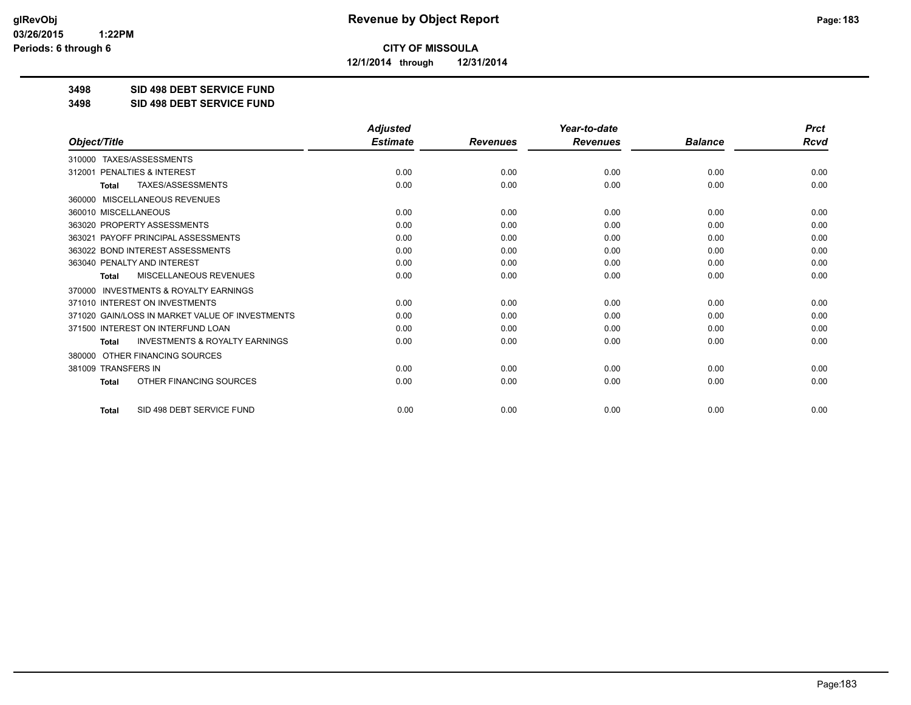**12/1/2014 through 12/31/2014**

**3498 SID 498 DEBT SERVICE FUND**

**3498 SID 498 DEBT SERVICE FUND**

|                                                           | <b>Adjusted</b> |                 | Year-to-date    |                | <b>Prct</b> |
|-----------------------------------------------------------|-----------------|-----------------|-----------------|----------------|-------------|
| Object/Title                                              | <b>Estimate</b> | <b>Revenues</b> | <b>Revenues</b> | <b>Balance</b> | <b>Rcvd</b> |
| TAXES/ASSESSMENTS<br>310000                               |                 |                 |                 |                |             |
| PENALTIES & INTEREST<br>312001                            | 0.00            | 0.00            | 0.00            | 0.00           | 0.00        |
| TAXES/ASSESSMENTS<br><b>Total</b>                         | 0.00            | 0.00            | 0.00            | 0.00           | 0.00        |
| 360000 MISCELLANEOUS REVENUES                             |                 |                 |                 |                |             |
| 360010 MISCELLANEOUS                                      | 0.00            | 0.00            | 0.00            | 0.00           | 0.00        |
| 363020 PROPERTY ASSESSMENTS                               | 0.00            | 0.00            | 0.00            | 0.00           | 0.00        |
| PAYOFF PRINCIPAL ASSESSMENTS<br>363021                    | 0.00            | 0.00            | 0.00            | 0.00           | 0.00        |
| 363022 BOND INTEREST ASSESSMENTS                          | 0.00            | 0.00            | 0.00            | 0.00           | 0.00        |
| 363040 PENALTY AND INTEREST                               | 0.00            | 0.00            | 0.00            | 0.00           | 0.00        |
| MISCELLANEOUS REVENUES<br><b>Total</b>                    | 0.00            | 0.00            | 0.00            | 0.00           | 0.00        |
| 370000 INVESTMENTS & ROYALTY EARNINGS                     |                 |                 |                 |                |             |
| 371010 INTEREST ON INVESTMENTS                            | 0.00            | 0.00            | 0.00            | 0.00           | 0.00        |
| 371020 GAIN/LOSS IN MARKET VALUE OF INVESTMENTS           | 0.00            | 0.00            | 0.00            | 0.00           | 0.00        |
| 371500 INTEREST ON INTERFUND LOAN                         | 0.00            | 0.00            | 0.00            | 0.00           | 0.00        |
| <b>INVESTMENTS &amp; ROYALTY EARNINGS</b><br><b>Total</b> | 0.00            | 0.00            | 0.00            | 0.00           | 0.00        |
| OTHER FINANCING SOURCES<br>380000                         |                 |                 |                 |                |             |
| 381009 TRANSFERS IN                                       | 0.00            | 0.00            | 0.00            | 0.00           | 0.00        |
| OTHER FINANCING SOURCES<br><b>Total</b>                   | 0.00            | 0.00            | 0.00            | 0.00           | 0.00        |
| SID 498 DEBT SERVICE FUND<br>Total                        | 0.00            | 0.00            | 0.00            | 0.00           | 0.00        |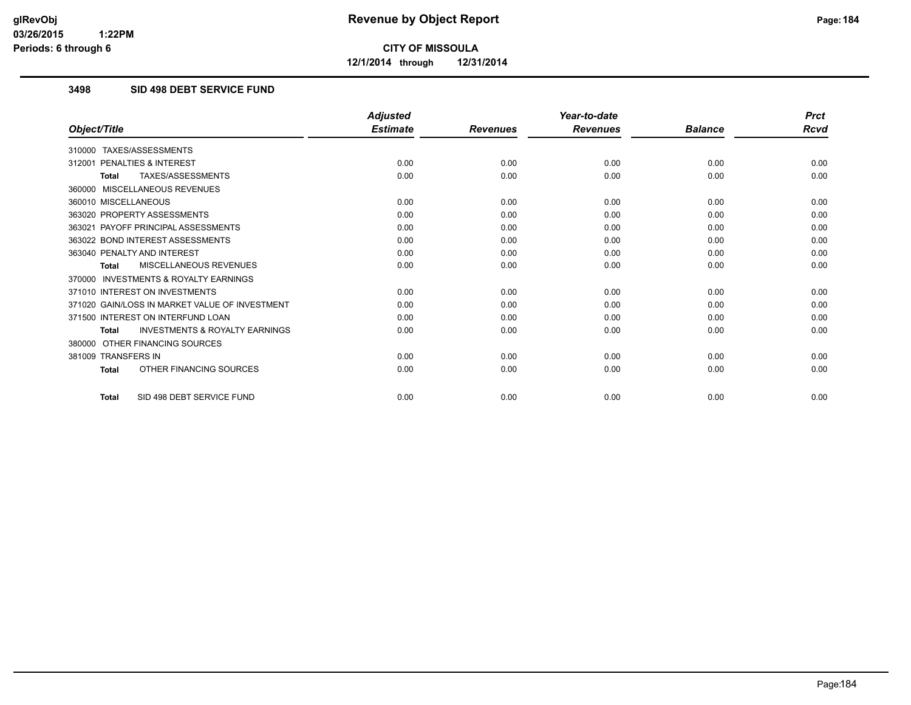**12/1/2014 through 12/31/2014**

### **3498 SID 498 DEBT SERVICE FUND**

|                                                           | <b>Adjusted</b> |                 | Year-to-date    |                | <b>Prct</b> |
|-----------------------------------------------------------|-----------------|-----------------|-----------------|----------------|-------------|
| Object/Title                                              | <b>Estimate</b> | <b>Revenues</b> | <b>Revenues</b> | <b>Balance</b> | Rcvd        |
| TAXES/ASSESSMENTS<br>310000                               |                 |                 |                 |                |             |
| <b>PENALTIES &amp; INTEREST</b><br>312001                 | 0.00            | 0.00            | 0.00            | 0.00           | 0.00        |
| <b>TAXES/ASSESSMENTS</b><br><b>Total</b>                  | 0.00            | 0.00            | 0.00            | 0.00           | 0.00        |
| 360000 MISCELLANEOUS REVENUES                             |                 |                 |                 |                |             |
| 360010 MISCELLANEOUS                                      | 0.00            | 0.00            | 0.00            | 0.00           | 0.00        |
| 363020 PROPERTY ASSESSMENTS                               | 0.00            | 0.00            | 0.00            | 0.00           | 0.00        |
| 363021 PAYOFF PRINCIPAL ASSESSMENTS                       | 0.00            | 0.00            | 0.00            | 0.00           | 0.00        |
| 363022 BOND INTEREST ASSESSMENTS                          | 0.00            | 0.00            | 0.00            | 0.00           | 0.00        |
| 363040 PENALTY AND INTEREST                               | 0.00            | 0.00            | 0.00            | 0.00           | 0.00        |
| MISCELLANEOUS REVENUES<br><b>Total</b>                    | 0.00            | 0.00            | 0.00            | 0.00           | 0.00        |
| <b>INVESTMENTS &amp; ROYALTY EARNINGS</b><br>370000       |                 |                 |                 |                |             |
| 371010 INTEREST ON INVESTMENTS                            | 0.00            | 0.00            | 0.00            | 0.00           | 0.00        |
| 371020 GAIN/LOSS IN MARKET VALUE OF INVESTMENT            | 0.00            | 0.00            | 0.00            | 0.00           | 0.00        |
| 371500 INTEREST ON INTERFUND LOAN                         | 0.00            | 0.00            | 0.00            | 0.00           | 0.00        |
| <b>INVESTMENTS &amp; ROYALTY EARNINGS</b><br><b>Total</b> | 0.00            | 0.00            | 0.00            | 0.00           | 0.00        |
| OTHER FINANCING SOURCES<br>380000                         |                 |                 |                 |                |             |
| 381009 TRANSFERS IN                                       | 0.00            | 0.00            | 0.00            | 0.00           | 0.00        |
| OTHER FINANCING SOURCES<br><b>Total</b>                   | 0.00            | 0.00            | 0.00            | 0.00           | 0.00        |
| SID 498 DEBT SERVICE FUND<br><b>Total</b>                 | 0.00            | 0.00            | 0.00            | 0.00           | 0.00        |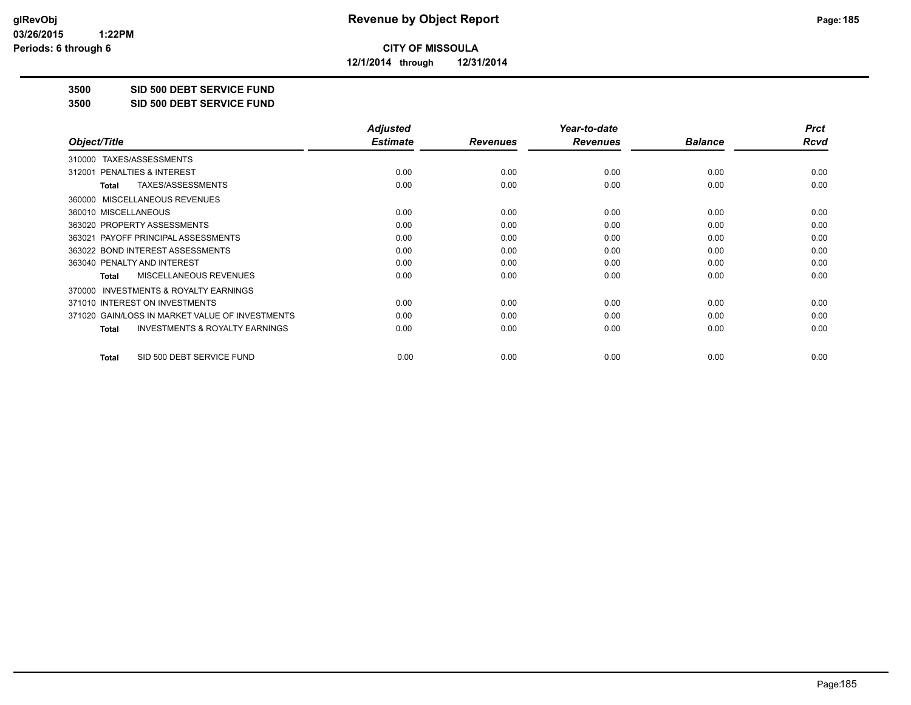**12/1/2014 through 12/31/2014**

**3500 SID 500 DEBT SERVICE FUND**

**3500 SID 500 DEBT SERVICE FUND**

|                                                           | <b>Adjusted</b> |                 | Year-to-date    |                | <b>Prct</b> |
|-----------------------------------------------------------|-----------------|-----------------|-----------------|----------------|-------------|
| Object/Title                                              | <b>Estimate</b> | <b>Revenues</b> | <b>Revenues</b> | <b>Balance</b> | Rcvd        |
| TAXES/ASSESSMENTS<br>310000                               |                 |                 |                 |                |             |
| 312001 PENALTIES & INTEREST                               | 0.00            | 0.00            | 0.00            | 0.00           | 0.00        |
| TAXES/ASSESSMENTS<br><b>Total</b>                         | 0.00            | 0.00            | 0.00            | 0.00           | 0.00        |
| MISCELLANEOUS REVENUES<br>360000                          |                 |                 |                 |                |             |
| 360010 MISCELLANEOUS                                      | 0.00            | 0.00            | 0.00            | 0.00           | 0.00        |
| 363020 PROPERTY ASSESSMENTS                               | 0.00            | 0.00            | 0.00            | 0.00           | 0.00        |
| 363021 PAYOFF PRINCIPAL ASSESSMENTS                       | 0.00            | 0.00            | 0.00            | 0.00           | 0.00        |
| 363022 BOND INTEREST ASSESSMENTS                          | 0.00            | 0.00            | 0.00            | 0.00           | 0.00        |
| 363040 PENALTY AND INTEREST                               | 0.00            | 0.00            | 0.00            | 0.00           | 0.00        |
| MISCELLANEOUS REVENUES<br><b>Total</b>                    | 0.00            | 0.00            | 0.00            | 0.00           | 0.00        |
| <b>INVESTMENTS &amp; ROYALTY EARNINGS</b><br>370000       |                 |                 |                 |                |             |
| 371010 INTEREST ON INVESTMENTS                            | 0.00            | 0.00            | 0.00            | 0.00           | 0.00        |
| 371020 GAIN/LOSS IN MARKET VALUE OF INVESTMENTS           | 0.00            | 0.00            | 0.00            | 0.00           | 0.00        |
| <b>INVESTMENTS &amp; ROYALTY EARNINGS</b><br><b>Total</b> | 0.00            | 0.00            | 0.00            | 0.00           | 0.00        |
| SID 500 DEBT SERVICE FUND<br><b>Total</b>                 | 0.00            | 0.00            | 0.00            | 0.00           | 0.00        |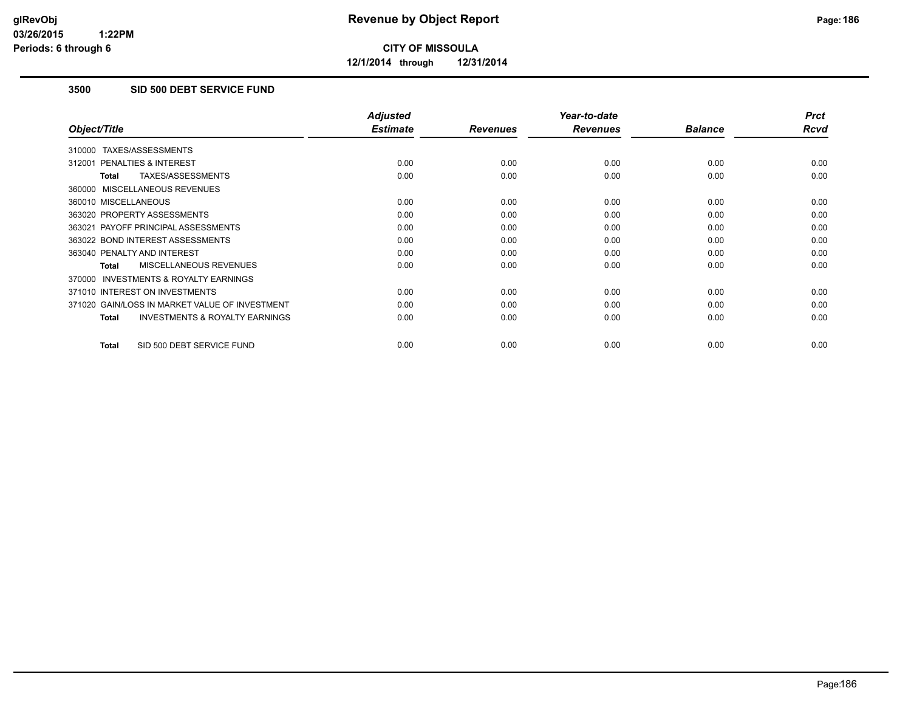**12/1/2014 through 12/31/2014**

### **3500 SID 500 DEBT SERVICE FUND**

|                                                     | <b>Adjusted</b> |                 | Year-to-date    |                | <b>Prct</b> |
|-----------------------------------------------------|-----------------|-----------------|-----------------|----------------|-------------|
| Object/Title                                        | <b>Estimate</b> | <b>Revenues</b> | <b>Revenues</b> | <b>Balance</b> | <b>Rcvd</b> |
| 310000 TAXES/ASSESSMENTS                            |                 |                 |                 |                |             |
| 312001 PENALTIES & INTEREST                         | 0.00            | 0.00            | 0.00            | 0.00           | 0.00        |
| TAXES/ASSESSMENTS<br><b>Total</b>                   | 0.00            | 0.00            | 0.00            | 0.00           | 0.00        |
| 360000 MISCELLANEOUS REVENUES                       |                 |                 |                 |                |             |
| 360010 MISCELLANEOUS                                | 0.00            | 0.00            | 0.00            | 0.00           | 0.00        |
| 363020 PROPERTY ASSESSMENTS                         | 0.00            | 0.00            | 0.00            | 0.00           | 0.00        |
| 363021 PAYOFF PRINCIPAL ASSESSMENTS                 | 0.00            | 0.00            | 0.00            | 0.00           | 0.00        |
| 363022 BOND INTEREST ASSESSMENTS                    | 0.00            | 0.00            | 0.00            | 0.00           | 0.00        |
| 363040 PENALTY AND INTEREST                         | 0.00            | 0.00            | 0.00            | 0.00           | 0.00        |
| <b>MISCELLANEOUS REVENUES</b><br>Total              | 0.00            | 0.00            | 0.00            | 0.00           | 0.00        |
| <b>INVESTMENTS &amp; ROYALTY EARNINGS</b><br>370000 |                 |                 |                 |                |             |
| 371010 INTEREST ON INVESTMENTS                      | 0.00            | 0.00            | 0.00            | 0.00           | 0.00        |
| 371020 GAIN/LOSS IN MARKET VALUE OF INVESTMENT      | 0.00            | 0.00            | 0.00            | 0.00           | 0.00        |
| <b>INVESTMENTS &amp; ROYALTY EARNINGS</b><br>Total  | 0.00            | 0.00            | 0.00            | 0.00           | 0.00        |
| SID 500 DEBT SERVICE FUND<br><b>Total</b>           | 0.00            | 0.00            | 0.00            | 0.00           | 0.00        |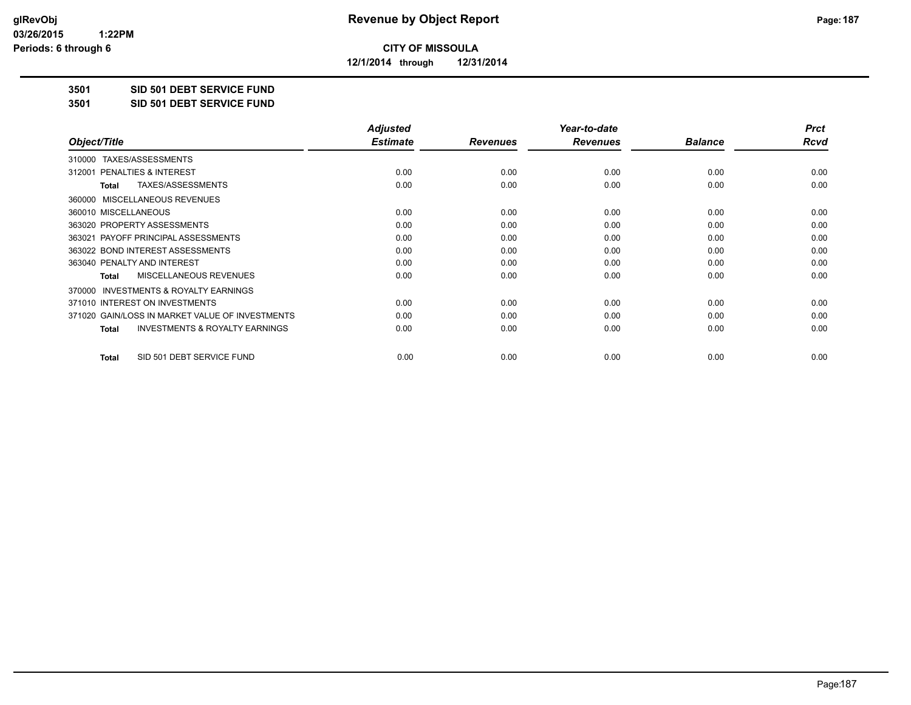**12/1/2014 through 12/31/2014**

**3501 SID 501 DEBT SERVICE FUND**

**3501 SID 501 DEBT SERVICE FUND**

|                                                           | <b>Adjusted</b> |                 | Year-to-date    |                | <b>Prct</b> |
|-----------------------------------------------------------|-----------------|-----------------|-----------------|----------------|-------------|
| Object/Title                                              | <b>Estimate</b> | <b>Revenues</b> | <b>Revenues</b> | <b>Balance</b> | Rcvd        |
| TAXES/ASSESSMENTS<br>310000                               |                 |                 |                 |                |             |
| 312001 PENALTIES & INTEREST                               | 0.00            | 0.00            | 0.00            | 0.00           | 0.00        |
| TAXES/ASSESSMENTS<br>Total                                | 0.00            | 0.00            | 0.00            | 0.00           | 0.00        |
| MISCELLANEOUS REVENUES<br>360000                          |                 |                 |                 |                |             |
| 360010 MISCELLANEOUS                                      | 0.00            | 0.00            | 0.00            | 0.00           | 0.00        |
| 363020 PROPERTY ASSESSMENTS                               | 0.00            | 0.00            | 0.00            | 0.00           | 0.00        |
| 363021 PAYOFF PRINCIPAL ASSESSMENTS                       | 0.00            | 0.00            | 0.00            | 0.00           | 0.00        |
| 363022 BOND INTEREST ASSESSMENTS                          | 0.00            | 0.00            | 0.00            | 0.00           | 0.00        |
| 363040 PENALTY AND INTEREST                               | 0.00            | 0.00            | 0.00            | 0.00           | 0.00        |
| MISCELLANEOUS REVENUES<br><b>Total</b>                    | 0.00            | 0.00            | 0.00            | 0.00           | 0.00        |
| <b>INVESTMENTS &amp; ROYALTY EARNINGS</b><br>370000       |                 |                 |                 |                |             |
| 371010 INTEREST ON INVESTMENTS                            | 0.00            | 0.00            | 0.00            | 0.00           | 0.00        |
| 371020 GAIN/LOSS IN MARKET VALUE OF INVESTMENTS           | 0.00            | 0.00            | 0.00            | 0.00           | 0.00        |
| <b>INVESTMENTS &amp; ROYALTY EARNINGS</b><br><b>Total</b> | 0.00            | 0.00            | 0.00            | 0.00           | 0.00        |
| SID 501 DEBT SERVICE FUND<br><b>Total</b>                 | 0.00            | 0.00            | 0.00            | 0.00           | 0.00        |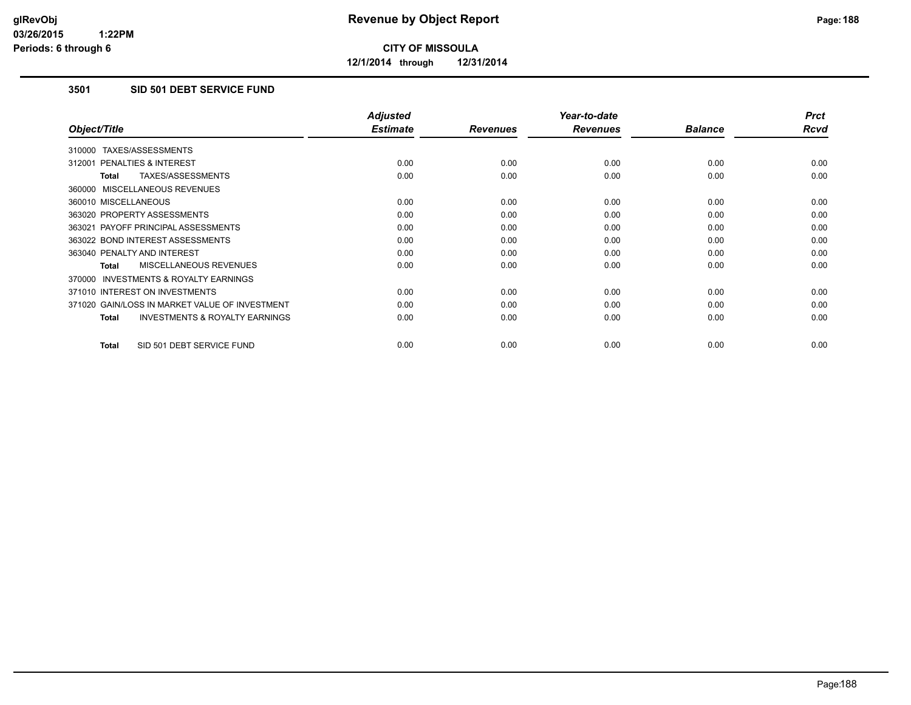**12/1/2014 through 12/31/2014**

### **3501 SID 501 DEBT SERVICE FUND**

|                                                           | <b>Adjusted</b> |                 | Year-to-date    |                | <b>Prct</b> |
|-----------------------------------------------------------|-----------------|-----------------|-----------------|----------------|-------------|
| Object/Title                                              | <b>Estimate</b> | <b>Revenues</b> | <b>Revenues</b> | <b>Balance</b> | <b>Rcvd</b> |
| 310000 TAXES/ASSESSMENTS                                  |                 |                 |                 |                |             |
| 312001 PENALTIES & INTEREST                               | 0.00            | 0.00            | 0.00            | 0.00           | 0.00        |
| TAXES/ASSESSMENTS<br><b>Total</b>                         | 0.00            | 0.00            | 0.00            | 0.00           | 0.00        |
| 360000 MISCELLANEOUS REVENUES                             |                 |                 |                 |                |             |
| 360010 MISCELLANEOUS                                      | 0.00            | 0.00            | 0.00            | 0.00           | 0.00        |
| 363020 PROPERTY ASSESSMENTS                               | 0.00            | 0.00            | 0.00            | 0.00           | 0.00        |
| 363021 PAYOFF PRINCIPAL ASSESSMENTS                       | 0.00            | 0.00            | 0.00            | 0.00           | 0.00        |
| 363022 BOND INTEREST ASSESSMENTS                          | 0.00            | 0.00            | 0.00            | 0.00           | 0.00        |
| 363040 PENALTY AND INTEREST                               | 0.00            | 0.00            | 0.00            | 0.00           | 0.00        |
| <b>MISCELLANEOUS REVENUES</b><br><b>Total</b>             | 0.00            | 0.00            | 0.00            | 0.00           | 0.00        |
| <b>INVESTMENTS &amp; ROYALTY EARNINGS</b><br>370000       |                 |                 |                 |                |             |
| 371010 INTEREST ON INVESTMENTS                            | 0.00            | 0.00            | 0.00            | 0.00           | 0.00        |
| 371020 GAIN/LOSS IN MARKET VALUE OF INVESTMENT            | 0.00            | 0.00            | 0.00            | 0.00           | 0.00        |
| <b>INVESTMENTS &amp; ROYALTY EARNINGS</b><br><b>Total</b> | 0.00            | 0.00            | 0.00            | 0.00           | 0.00        |
| SID 501 DEBT SERVICE FUND<br><b>Total</b>                 | 0.00            | 0.00            | 0.00            | 0.00           | 0.00        |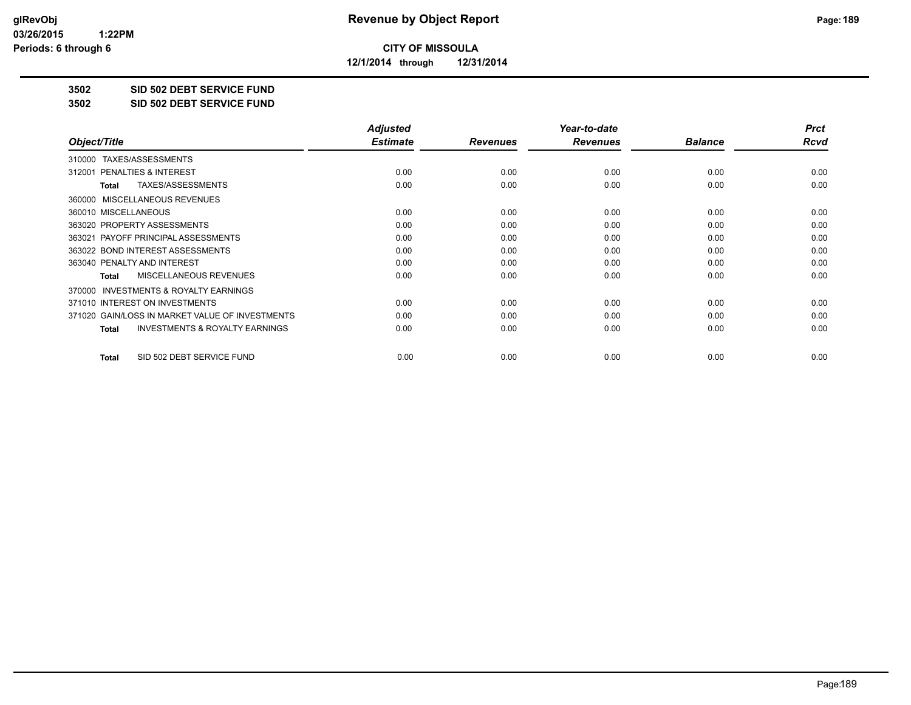**12/1/2014 through 12/31/2014**

### **3502 SID 502 DEBT SERVICE FUND**

**3502 SID 502 DEBT SERVICE FUND**

|                                                           | <b>Adjusted</b> |                 | Year-to-date    |                | <b>Prct</b> |
|-----------------------------------------------------------|-----------------|-----------------|-----------------|----------------|-------------|
| Object/Title                                              | <b>Estimate</b> | <b>Revenues</b> | <b>Revenues</b> | <b>Balance</b> | Rcvd        |
| TAXES/ASSESSMENTS<br>310000                               |                 |                 |                 |                |             |
| 312001 PENALTIES & INTEREST                               | 0.00            | 0.00            | 0.00            | 0.00           | 0.00        |
| TAXES/ASSESSMENTS<br><b>Total</b>                         | 0.00            | 0.00            | 0.00            | 0.00           | 0.00        |
| MISCELLANEOUS REVENUES<br>360000                          |                 |                 |                 |                |             |
| 360010 MISCELLANEOUS                                      | 0.00            | 0.00            | 0.00            | 0.00           | 0.00        |
| 363020 PROPERTY ASSESSMENTS                               | 0.00            | 0.00            | 0.00            | 0.00           | 0.00        |
| 363021 PAYOFF PRINCIPAL ASSESSMENTS                       | 0.00            | 0.00            | 0.00            | 0.00           | 0.00        |
| 363022 BOND INTEREST ASSESSMENTS                          | 0.00            | 0.00            | 0.00            | 0.00           | 0.00        |
| 363040 PENALTY AND INTEREST                               | 0.00            | 0.00            | 0.00            | 0.00           | 0.00        |
| MISCELLANEOUS REVENUES<br><b>Total</b>                    | 0.00            | 0.00            | 0.00            | 0.00           | 0.00        |
| <b>INVESTMENTS &amp; ROYALTY EARNINGS</b><br>370000       |                 |                 |                 |                |             |
| 371010 INTEREST ON INVESTMENTS                            | 0.00            | 0.00            | 0.00            | 0.00           | 0.00        |
| 371020 GAIN/LOSS IN MARKET VALUE OF INVESTMENTS           | 0.00            | 0.00            | 0.00            | 0.00           | 0.00        |
| <b>INVESTMENTS &amp; ROYALTY EARNINGS</b><br><b>Total</b> | 0.00            | 0.00            | 0.00            | 0.00           | 0.00        |
| SID 502 DEBT SERVICE FUND<br><b>Total</b>                 | 0.00            | 0.00            | 0.00            | 0.00           | 0.00        |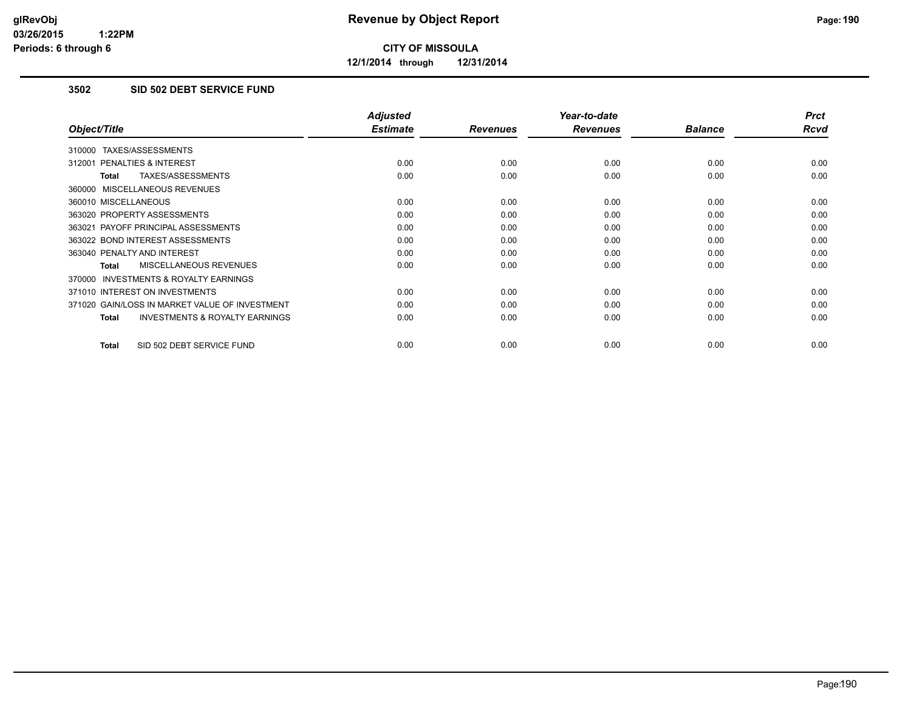**12/1/2014 through 12/31/2014**

### **3502 SID 502 DEBT SERVICE FUND**

|                                                           | <b>Adjusted</b> |                 | Year-to-date    |                | <b>Prct</b> |
|-----------------------------------------------------------|-----------------|-----------------|-----------------|----------------|-------------|
| Object/Title                                              | <b>Estimate</b> | <b>Revenues</b> | <b>Revenues</b> | <b>Balance</b> | <b>Rcvd</b> |
| 310000 TAXES/ASSESSMENTS                                  |                 |                 |                 |                |             |
| 312001 PENALTIES & INTEREST                               | 0.00            | 0.00            | 0.00            | 0.00           | 0.00        |
| TAXES/ASSESSMENTS<br><b>Total</b>                         | 0.00            | 0.00            | 0.00            | 0.00           | 0.00        |
| 360000 MISCELLANEOUS REVENUES                             |                 |                 |                 |                |             |
| 360010 MISCELLANEOUS                                      | 0.00            | 0.00            | 0.00            | 0.00           | 0.00        |
| 363020 PROPERTY ASSESSMENTS                               | 0.00            | 0.00            | 0.00            | 0.00           | 0.00        |
| 363021 PAYOFF PRINCIPAL ASSESSMENTS                       | 0.00            | 0.00            | 0.00            | 0.00           | 0.00        |
| 363022 BOND INTEREST ASSESSMENTS                          | 0.00            | 0.00            | 0.00            | 0.00           | 0.00        |
| 363040 PENALTY AND INTEREST                               | 0.00            | 0.00            | 0.00            | 0.00           | 0.00        |
| <b>MISCELLANEOUS REVENUES</b><br><b>Total</b>             | 0.00            | 0.00            | 0.00            | 0.00           | 0.00        |
| <b>INVESTMENTS &amp; ROYALTY EARNINGS</b><br>370000       |                 |                 |                 |                |             |
| 371010 INTEREST ON INVESTMENTS                            | 0.00            | 0.00            | 0.00            | 0.00           | 0.00        |
| 371020 GAIN/LOSS IN MARKET VALUE OF INVESTMENT            | 0.00            | 0.00            | 0.00            | 0.00           | 0.00        |
| <b>INVESTMENTS &amp; ROYALTY EARNINGS</b><br><b>Total</b> | 0.00            | 0.00            | 0.00            | 0.00           | 0.00        |
| SID 502 DEBT SERVICE FUND<br><b>Total</b>                 | 0.00            | 0.00            | 0.00            | 0.00           | 0.00        |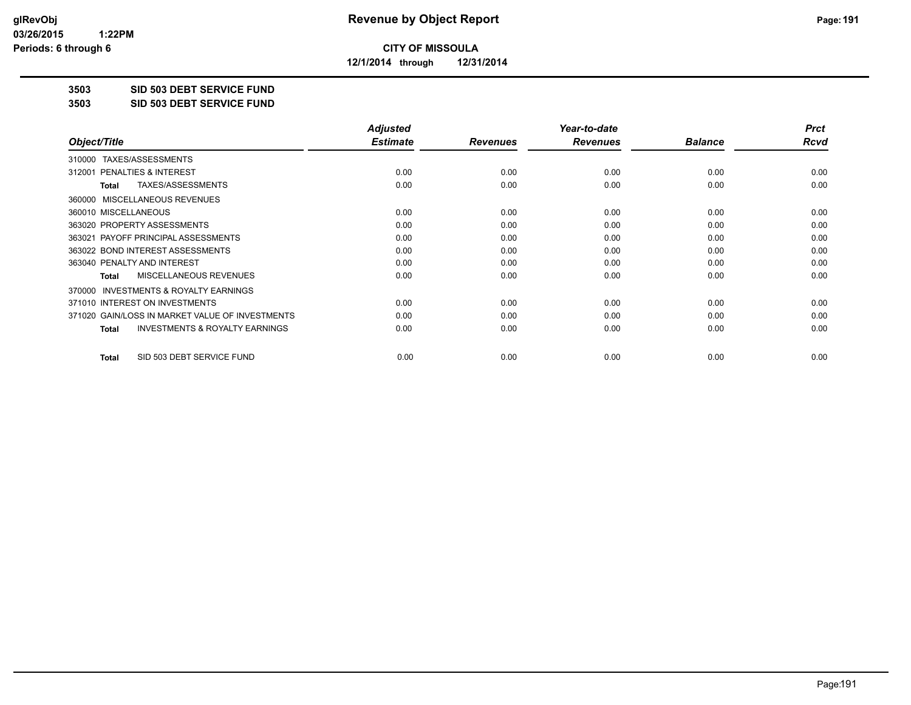**12/1/2014 through 12/31/2014**

**3503 SID 503 DEBT SERVICE FUND**

**3503 SID 503 DEBT SERVICE FUND**

|                                                           | <b>Adjusted</b> |                 | Year-to-date    |                | <b>Prct</b> |
|-----------------------------------------------------------|-----------------|-----------------|-----------------|----------------|-------------|
| Object/Title                                              | <b>Estimate</b> | <b>Revenues</b> | <b>Revenues</b> | <b>Balance</b> | Rcvd        |
| TAXES/ASSESSMENTS<br>310000                               |                 |                 |                 |                |             |
| 312001 PENALTIES & INTEREST                               | 0.00            | 0.00            | 0.00            | 0.00           | 0.00        |
| TAXES/ASSESSMENTS<br>Total                                | 0.00            | 0.00            | 0.00            | 0.00           | 0.00        |
| MISCELLANEOUS REVENUES<br>360000                          |                 |                 |                 |                |             |
| 360010 MISCELLANEOUS                                      | 0.00            | 0.00            | 0.00            | 0.00           | 0.00        |
| 363020 PROPERTY ASSESSMENTS                               | 0.00            | 0.00            | 0.00            | 0.00           | 0.00        |
| 363021 PAYOFF PRINCIPAL ASSESSMENTS                       | 0.00            | 0.00            | 0.00            | 0.00           | 0.00        |
| 363022 BOND INTEREST ASSESSMENTS                          | 0.00            | 0.00            | 0.00            | 0.00           | 0.00        |
| 363040 PENALTY AND INTEREST                               | 0.00            | 0.00            | 0.00            | 0.00           | 0.00        |
| MISCELLANEOUS REVENUES<br><b>Total</b>                    | 0.00            | 0.00            | 0.00            | 0.00           | 0.00        |
| <b>INVESTMENTS &amp; ROYALTY EARNINGS</b><br>370000       |                 |                 |                 |                |             |
| 371010 INTEREST ON INVESTMENTS                            | 0.00            | 0.00            | 0.00            | 0.00           | 0.00        |
| 371020 GAIN/LOSS IN MARKET VALUE OF INVESTMENTS           | 0.00            | 0.00            | 0.00            | 0.00           | 0.00        |
| <b>INVESTMENTS &amp; ROYALTY EARNINGS</b><br><b>Total</b> | 0.00            | 0.00            | 0.00            | 0.00           | 0.00        |
| SID 503 DEBT SERVICE FUND<br><b>Total</b>                 | 0.00            | 0.00            | 0.00            | 0.00           | 0.00        |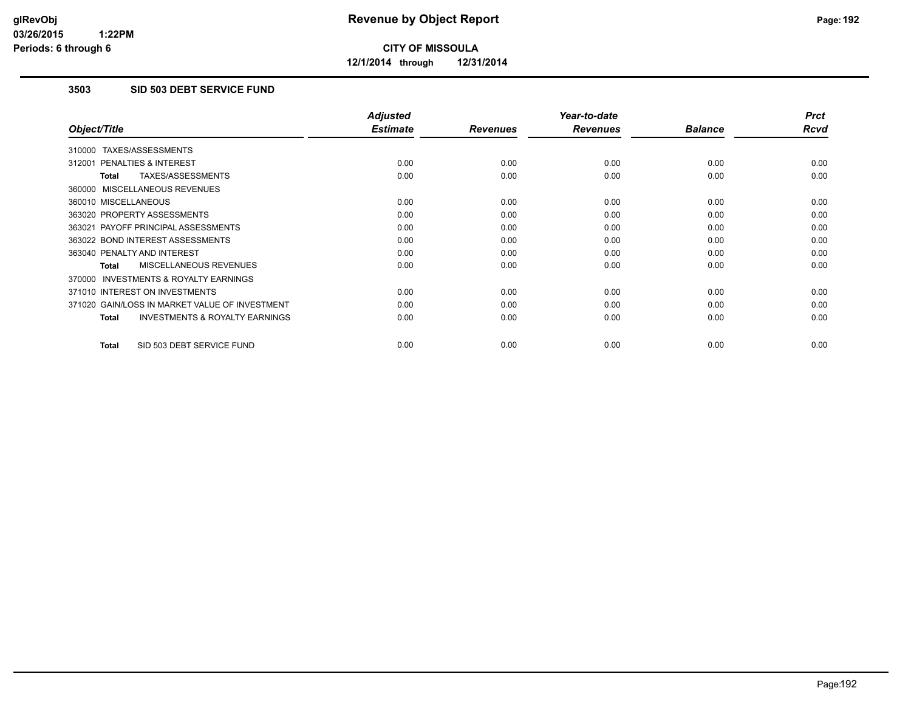**12/1/2014 through 12/31/2014**

### **3503 SID 503 DEBT SERVICE FUND**

|                                                           | <b>Adjusted</b> |                 | Year-to-date    |                | <b>Prct</b> |
|-----------------------------------------------------------|-----------------|-----------------|-----------------|----------------|-------------|
| Object/Title                                              | <b>Estimate</b> | <b>Revenues</b> | <b>Revenues</b> | <b>Balance</b> | <b>Rcvd</b> |
| 310000 TAXES/ASSESSMENTS                                  |                 |                 |                 |                |             |
| 312001 PENALTIES & INTEREST                               | 0.00            | 0.00            | 0.00            | 0.00           | 0.00        |
| TAXES/ASSESSMENTS<br><b>Total</b>                         | 0.00            | 0.00            | 0.00            | 0.00           | 0.00        |
| 360000 MISCELLANEOUS REVENUES                             |                 |                 |                 |                |             |
| 360010 MISCELLANEOUS                                      | 0.00            | 0.00            | 0.00            | 0.00           | 0.00        |
| 363020 PROPERTY ASSESSMENTS                               | 0.00            | 0.00            | 0.00            | 0.00           | 0.00        |
| 363021 PAYOFF PRINCIPAL ASSESSMENTS                       | 0.00            | 0.00            | 0.00            | 0.00           | 0.00        |
| 363022 BOND INTEREST ASSESSMENTS                          | 0.00            | 0.00            | 0.00            | 0.00           | 0.00        |
| 363040 PENALTY AND INTEREST                               | 0.00            | 0.00            | 0.00            | 0.00           | 0.00        |
| <b>MISCELLANEOUS REVENUES</b><br><b>Total</b>             | 0.00            | 0.00            | 0.00            | 0.00           | 0.00        |
| <b>INVESTMENTS &amp; ROYALTY EARNINGS</b><br>370000       |                 |                 |                 |                |             |
| 371010 INTEREST ON INVESTMENTS                            | 0.00            | 0.00            | 0.00            | 0.00           | 0.00        |
| 371020 GAIN/LOSS IN MARKET VALUE OF INVESTMENT            | 0.00            | 0.00            | 0.00            | 0.00           | 0.00        |
| <b>INVESTMENTS &amp; ROYALTY EARNINGS</b><br><b>Total</b> | 0.00            | 0.00            | 0.00            | 0.00           | 0.00        |
| SID 503 DEBT SERVICE FUND<br><b>Total</b>                 | 0.00            | 0.00            | 0.00            | 0.00           | 0.00        |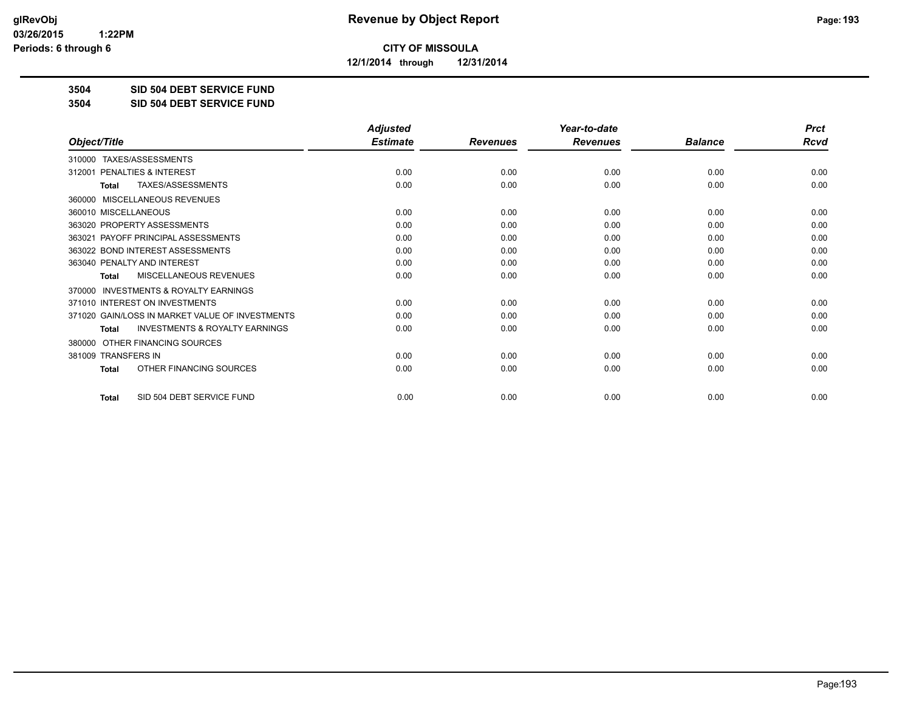**12/1/2014 through 12/31/2014**

**3504 SID 504 DEBT SERVICE FUND**

**3504 SID 504 DEBT SERVICE FUND**

|                                                           | <b>Adjusted</b> |                 | Year-to-date    |                | <b>Prct</b> |
|-----------------------------------------------------------|-----------------|-----------------|-----------------|----------------|-------------|
| Object/Title                                              | <b>Estimate</b> | <b>Revenues</b> | <b>Revenues</b> | <b>Balance</b> | <b>Rcvd</b> |
| TAXES/ASSESSMENTS<br>310000                               |                 |                 |                 |                |             |
| 312001 PENALTIES & INTEREST                               | 0.00            | 0.00            | 0.00            | 0.00           | 0.00        |
| TAXES/ASSESSMENTS<br><b>Total</b>                         | 0.00            | 0.00            | 0.00            | 0.00           | 0.00        |
| MISCELLANEOUS REVENUES<br>360000                          |                 |                 |                 |                |             |
| 360010 MISCELLANEOUS                                      | 0.00            | 0.00            | 0.00            | 0.00           | 0.00        |
| 363020 PROPERTY ASSESSMENTS                               | 0.00            | 0.00            | 0.00            | 0.00           | 0.00        |
| 363021 PAYOFF PRINCIPAL ASSESSMENTS                       | 0.00            | 0.00            | 0.00            | 0.00           | 0.00        |
| 363022 BOND INTEREST ASSESSMENTS                          | 0.00            | 0.00            | 0.00            | 0.00           | 0.00        |
| 363040 PENALTY AND INTEREST                               | 0.00            | 0.00            | 0.00            | 0.00           | 0.00        |
| <b>MISCELLANEOUS REVENUES</b><br><b>Total</b>             | 0.00            | 0.00            | 0.00            | 0.00           | 0.00        |
| <b>INVESTMENTS &amp; ROYALTY EARNINGS</b><br>370000       |                 |                 |                 |                |             |
| 371010 INTEREST ON INVESTMENTS                            | 0.00            | 0.00            | 0.00            | 0.00           | 0.00        |
| 371020 GAIN/LOSS IN MARKET VALUE OF INVESTMENTS           | 0.00            | 0.00            | 0.00            | 0.00           | 0.00        |
| <b>INVESTMENTS &amp; ROYALTY EARNINGS</b><br><b>Total</b> | 0.00            | 0.00            | 0.00            | 0.00           | 0.00        |
| OTHER FINANCING SOURCES<br>380000                         |                 |                 |                 |                |             |
| 381009 TRANSFERS IN                                       | 0.00            | 0.00            | 0.00            | 0.00           | 0.00        |
| OTHER FINANCING SOURCES<br><b>Total</b>                   | 0.00            | 0.00            | 0.00            | 0.00           | 0.00        |
| SID 504 DEBT SERVICE FUND<br><b>Total</b>                 | 0.00            | 0.00            | 0.00            | 0.00           | 0.00        |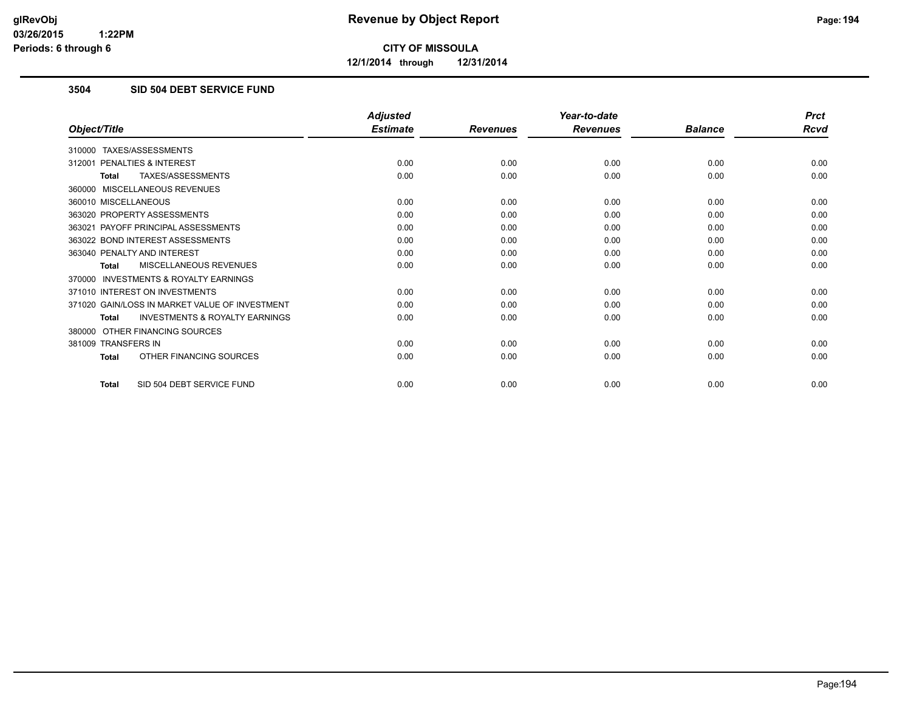**12/1/2014 through 12/31/2014**

### **3504 SID 504 DEBT SERVICE FUND**

|                                                           | <b>Adjusted</b> |                 | Year-to-date    |                | <b>Prct</b> |
|-----------------------------------------------------------|-----------------|-----------------|-----------------|----------------|-------------|
| Object/Title                                              | <b>Estimate</b> | <b>Revenues</b> | <b>Revenues</b> | <b>Balance</b> | <b>Rcvd</b> |
| 310000 TAXES/ASSESSMENTS                                  |                 |                 |                 |                |             |
| PENALTIES & INTEREST<br>312001                            | 0.00            | 0.00            | 0.00            | 0.00           | 0.00        |
| TAXES/ASSESSMENTS<br><b>Total</b>                         | 0.00            | 0.00            | 0.00            | 0.00           | 0.00        |
| 360000 MISCELLANEOUS REVENUES                             |                 |                 |                 |                |             |
| 360010 MISCELLANEOUS                                      | 0.00            | 0.00            | 0.00            | 0.00           | 0.00        |
| 363020 PROPERTY ASSESSMENTS                               | 0.00            | 0.00            | 0.00            | 0.00           | 0.00        |
| 363021 PAYOFF PRINCIPAL ASSESSMENTS                       | 0.00            | 0.00            | 0.00            | 0.00           | 0.00        |
| 363022 BOND INTEREST ASSESSMENTS                          | 0.00            | 0.00            | 0.00            | 0.00           | 0.00        |
| 363040 PENALTY AND INTEREST                               | 0.00            | 0.00            | 0.00            | 0.00           | 0.00        |
| MISCELLANEOUS REVENUES<br><b>Total</b>                    | 0.00            | 0.00            | 0.00            | 0.00           | 0.00        |
| <b>INVESTMENTS &amp; ROYALTY EARNINGS</b><br>370000       |                 |                 |                 |                |             |
| 371010 INTEREST ON INVESTMENTS                            | 0.00            | 0.00            | 0.00            | 0.00           | 0.00        |
| 371020 GAIN/LOSS IN MARKET VALUE OF INVESTMENT            | 0.00            | 0.00            | 0.00            | 0.00           | 0.00        |
| <b>INVESTMENTS &amp; ROYALTY EARNINGS</b><br><b>Total</b> | 0.00            | 0.00            | 0.00            | 0.00           | 0.00        |
| OTHER FINANCING SOURCES<br>380000                         |                 |                 |                 |                |             |
| 381009 TRANSFERS IN                                       | 0.00            | 0.00            | 0.00            | 0.00           | 0.00        |
| OTHER FINANCING SOURCES<br><b>Total</b>                   | 0.00            | 0.00            | 0.00            | 0.00           | 0.00        |
| SID 504 DEBT SERVICE FUND<br><b>Total</b>                 | 0.00            | 0.00            | 0.00            | 0.00           | 0.00        |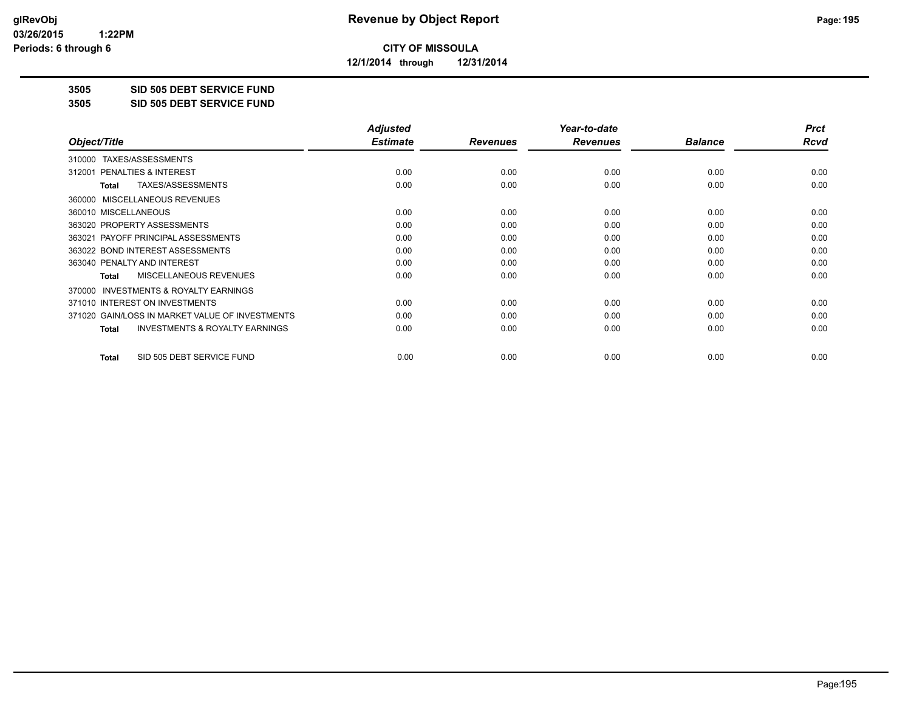**12/1/2014 through 12/31/2014**

**3505 SID 505 DEBT SERVICE FUND**

**3505 SID 505 DEBT SERVICE FUND**

|                                                           | <b>Adjusted</b> |                 | Year-to-date    |                | <b>Prct</b> |
|-----------------------------------------------------------|-----------------|-----------------|-----------------|----------------|-------------|
| Object/Title                                              | <b>Estimate</b> | <b>Revenues</b> | <b>Revenues</b> | <b>Balance</b> | Rcvd        |
| TAXES/ASSESSMENTS<br>310000                               |                 |                 |                 |                |             |
| 312001 PENALTIES & INTEREST                               | 0.00            | 0.00            | 0.00            | 0.00           | 0.00        |
| TAXES/ASSESSMENTS<br><b>Total</b>                         | 0.00            | 0.00            | 0.00            | 0.00           | 0.00        |
| MISCELLANEOUS REVENUES<br>360000                          |                 |                 |                 |                |             |
| 360010 MISCELLANEOUS                                      | 0.00            | 0.00            | 0.00            | 0.00           | 0.00        |
| 363020 PROPERTY ASSESSMENTS                               | 0.00            | 0.00            | 0.00            | 0.00           | 0.00        |
| 363021 PAYOFF PRINCIPAL ASSESSMENTS                       | 0.00            | 0.00            | 0.00            | 0.00           | 0.00        |
| 363022 BOND INTEREST ASSESSMENTS                          | 0.00            | 0.00            | 0.00            | 0.00           | 0.00        |
| 363040 PENALTY AND INTEREST                               | 0.00            | 0.00            | 0.00            | 0.00           | 0.00        |
| MISCELLANEOUS REVENUES<br><b>Total</b>                    | 0.00            | 0.00            | 0.00            | 0.00           | 0.00        |
| <b>INVESTMENTS &amp; ROYALTY EARNINGS</b><br>370000       |                 |                 |                 |                |             |
| 371010 INTEREST ON INVESTMENTS                            | 0.00            | 0.00            | 0.00            | 0.00           | 0.00        |
| 371020 GAIN/LOSS IN MARKET VALUE OF INVESTMENTS           | 0.00            | 0.00            | 0.00            | 0.00           | 0.00        |
| <b>INVESTMENTS &amp; ROYALTY EARNINGS</b><br><b>Total</b> | 0.00            | 0.00            | 0.00            | 0.00           | 0.00        |
| SID 505 DEBT SERVICE FUND<br><b>Total</b>                 | 0.00            | 0.00            | 0.00            | 0.00           | 0.00        |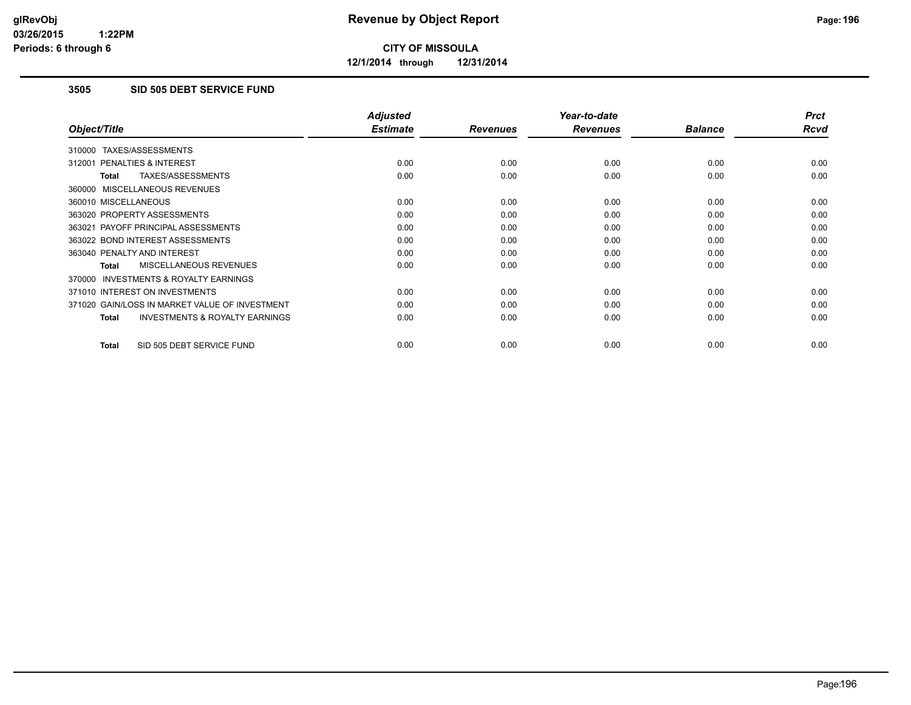**12/1/2014 through 12/31/2014**

### **3505 SID 505 DEBT SERVICE FUND**

|                                                     | <b>Adjusted</b> |                 | Year-to-date    |                | <b>Prct</b> |
|-----------------------------------------------------|-----------------|-----------------|-----------------|----------------|-------------|
| Object/Title                                        | <b>Estimate</b> | <b>Revenues</b> | <b>Revenues</b> | <b>Balance</b> | <b>Rcvd</b> |
| 310000 TAXES/ASSESSMENTS                            |                 |                 |                 |                |             |
| 312001 PENALTIES & INTEREST                         | 0.00            | 0.00            | 0.00            | 0.00           | 0.00        |
| TAXES/ASSESSMENTS<br><b>Total</b>                   | 0.00            | 0.00            | 0.00            | 0.00           | 0.00        |
| 360000 MISCELLANEOUS REVENUES                       |                 |                 |                 |                |             |
| 360010 MISCELLANEOUS                                | 0.00            | 0.00            | 0.00            | 0.00           | 0.00        |
| 363020 PROPERTY ASSESSMENTS                         | 0.00            | 0.00            | 0.00            | 0.00           | 0.00        |
| 363021 PAYOFF PRINCIPAL ASSESSMENTS                 | 0.00            | 0.00            | 0.00            | 0.00           | 0.00        |
| 363022 BOND INTEREST ASSESSMENTS                    | 0.00            | 0.00            | 0.00            | 0.00           | 0.00        |
| 363040 PENALTY AND INTEREST                         | 0.00            | 0.00            | 0.00            | 0.00           | 0.00        |
| <b>MISCELLANEOUS REVENUES</b><br>Total              | 0.00            | 0.00            | 0.00            | 0.00           | 0.00        |
| <b>INVESTMENTS &amp; ROYALTY EARNINGS</b><br>370000 |                 |                 |                 |                |             |
| 371010 INTEREST ON INVESTMENTS                      | 0.00            | 0.00            | 0.00            | 0.00           | 0.00        |
| 371020 GAIN/LOSS IN MARKET VALUE OF INVESTMENT      | 0.00            | 0.00            | 0.00            | 0.00           | 0.00        |
| <b>INVESTMENTS &amp; ROYALTY EARNINGS</b><br>Total  | 0.00            | 0.00            | 0.00            | 0.00           | 0.00        |
| SID 505 DEBT SERVICE FUND<br><b>Total</b>           | 0.00            | 0.00            | 0.00            | 0.00           | 0.00        |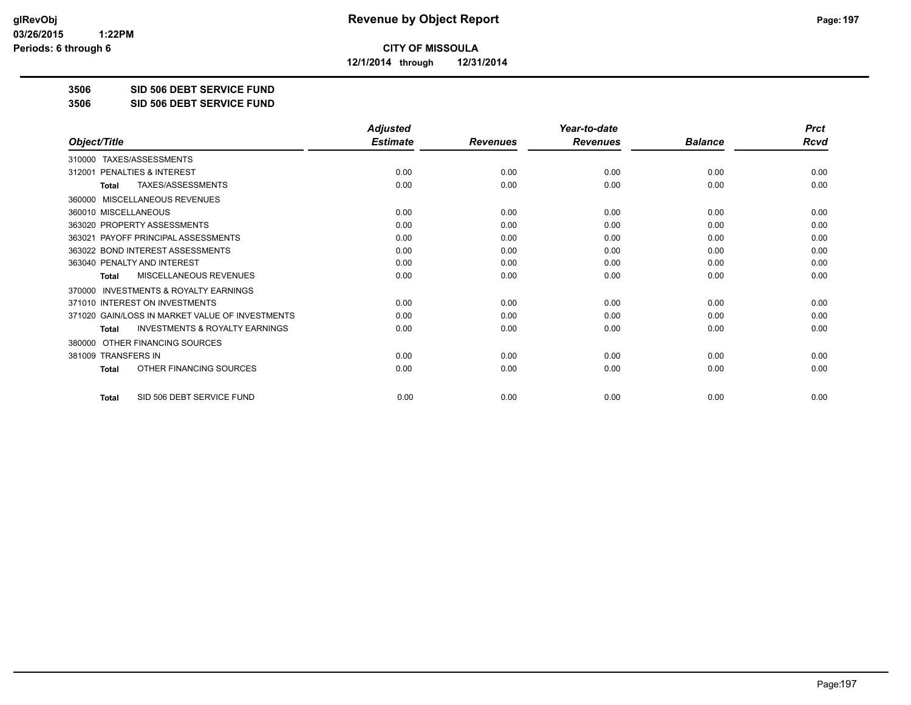**12/1/2014 through 12/31/2014**

**3506 SID 506 DEBT SERVICE FUND**

**3506 SID 506 DEBT SERVICE FUND**

|                                                           | <b>Adjusted</b> |                 | Year-to-date    |                | <b>Prct</b> |
|-----------------------------------------------------------|-----------------|-----------------|-----------------|----------------|-------------|
| Object/Title                                              | <b>Estimate</b> | <b>Revenues</b> | <b>Revenues</b> | <b>Balance</b> | <b>Rcvd</b> |
| TAXES/ASSESSMENTS<br>310000                               |                 |                 |                 |                |             |
| 312001 PENALTIES & INTEREST                               | 0.00            | 0.00            | 0.00            | 0.00           | 0.00        |
| TAXES/ASSESSMENTS<br><b>Total</b>                         | 0.00            | 0.00            | 0.00            | 0.00           | 0.00        |
| MISCELLANEOUS REVENUES<br>360000                          |                 |                 |                 |                |             |
| 360010 MISCELLANEOUS                                      | 0.00            | 0.00            | 0.00            | 0.00           | 0.00        |
| 363020 PROPERTY ASSESSMENTS                               | 0.00            | 0.00            | 0.00            | 0.00           | 0.00        |
| 363021 PAYOFF PRINCIPAL ASSESSMENTS                       | 0.00            | 0.00            | 0.00            | 0.00           | 0.00        |
| 363022 BOND INTEREST ASSESSMENTS                          | 0.00            | 0.00            | 0.00            | 0.00           | 0.00        |
| 363040 PENALTY AND INTEREST                               | 0.00            | 0.00            | 0.00            | 0.00           | 0.00        |
| <b>MISCELLANEOUS REVENUES</b><br><b>Total</b>             | 0.00            | 0.00            | 0.00            | 0.00           | 0.00        |
| <b>INVESTMENTS &amp; ROYALTY EARNINGS</b><br>370000       |                 |                 |                 |                |             |
| 371010 INTEREST ON INVESTMENTS                            | 0.00            | 0.00            | 0.00            | 0.00           | 0.00        |
| 371020 GAIN/LOSS IN MARKET VALUE OF INVESTMENTS           | 0.00            | 0.00            | 0.00            | 0.00           | 0.00        |
| <b>INVESTMENTS &amp; ROYALTY EARNINGS</b><br><b>Total</b> | 0.00            | 0.00            | 0.00            | 0.00           | 0.00        |
| OTHER FINANCING SOURCES<br>380000                         |                 |                 |                 |                |             |
| 381009 TRANSFERS IN                                       | 0.00            | 0.00            | 0.00            | 0.00           | 0.00        |
| OTHER FINANCING SOURCES<br>Total                          | 0.00            | 0.00            | 0.00            | 0.00           | 0.00        |
| SID 506 DEBT SERVICE FUND<br><b>Total</b>                 | 0.00            | 0.00            | 0.00            | 0.00           | 0.00        |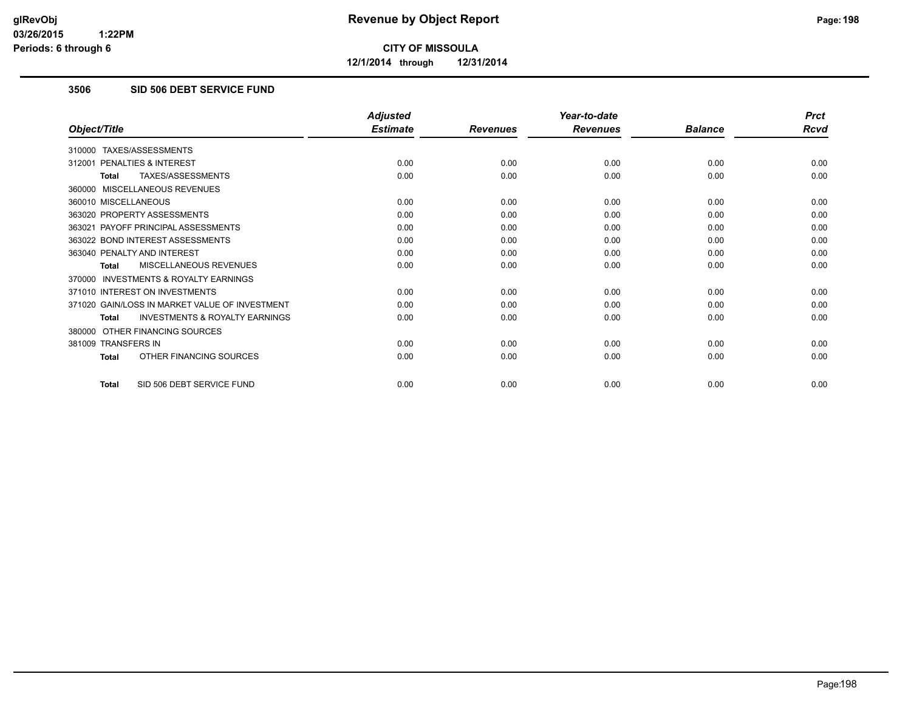**12/1/2014 through 12/31/2014**

### **3506 SID 506 DEBT SERVICE FUND**

|                                                           | <b>Adjusted</b> |                 | Year-to-date    |                | <b>Prct</b> |
|-----------------------------------------------------------|-----------------|-----------------|-----------------|----------------|-------------|
| Object/Title                                              | <b>Estimate</b> | <b>Revenues</b> | <b>Revenues</b> | <b>Balance</b> | <b>Rcvd</b> |
| 310000 TAXES/ASSESSMENTS                                  |                 |                 |                 |                |             |
| PENALTIES & INTEREST<br>312001                            | 0.00            | 0.00            | 0.00            | 0.00           | 0.00        |
| TAXES/ASSESSMENTS<br><b>Total</b>                         | 0.00            | 0.00            | 0.00            | 0.00           | 0.00        |
| 360000 MISCELLANEOUS REVENUES                             |                 |                 |                 |                |             |
| 360010 MISCELLANEOUS                                      | 0.00            | 0.00            | 0.00            | 0.00           | 0.00        |
| 363020 PROPERTY ASSESSMENTS                               | 0.00            | 0.00            | 0.00            | 0.00           | 0.00        |
| 363021 PAYOFF PRINCIPAL ASSESSMENTS                       | 0.00            | 0.00            | 0.00            | 0.00           | 0.00        |
| 363022 BOND INTEREST ASSESSMENTS                          | 0.00            | 0.00            | 0.00            | 0.00           | 0.00        |
| 363040 PENALTY AND INTEREST                               | 0.00            | 0.00            | 0.00            | 0.00           | 0.00        |
| MISCELLANEOUS REVENUES<br><b>Total</b>                    | 0.00            | 0.00            | 0.00            | 0.00           | 0.00        |
| <b>INVESTMENTS &amp; ROYALTY EARNINGS</b><br>370000       |                 |                 |                 |                |             |
| 371010 INTEREST ON INVESTMENTS                            | 0.00            | 0.00            | 0.00            | 0.00           | 0.00        |
| 371020 GAIN/LOSS IN MARKET VALUE OF INVESTMENT            | 0.00            | 0.00            | 0.00            | 0.00           | 0.00        |
| <b>INVESTMENTS &amp; ROYALTY EARNINGS</b><br><b>Total</b> | 0.00            | 0.00            | 0.00            | 0.00           | 0.00        |
| 380000 OTHER FINANCING SOURCES                            |                 |                 |                 |                |             |
| 381009 TRANSFERS IN                                       | 0.00            | 0.00            | 0.00            | 0.00           | 0.00        |
| OTHER FINANCING SOURCES<br><b>Total</b>                   | 0.00            | 0.00            | 0.00            | 0.00           | 0.00        |
| SID 506 DEBT SERVICE FUND<br><b>Total</b>                 | 0.00            | 0.00            | 0.00            | 0.00           | 0.00        |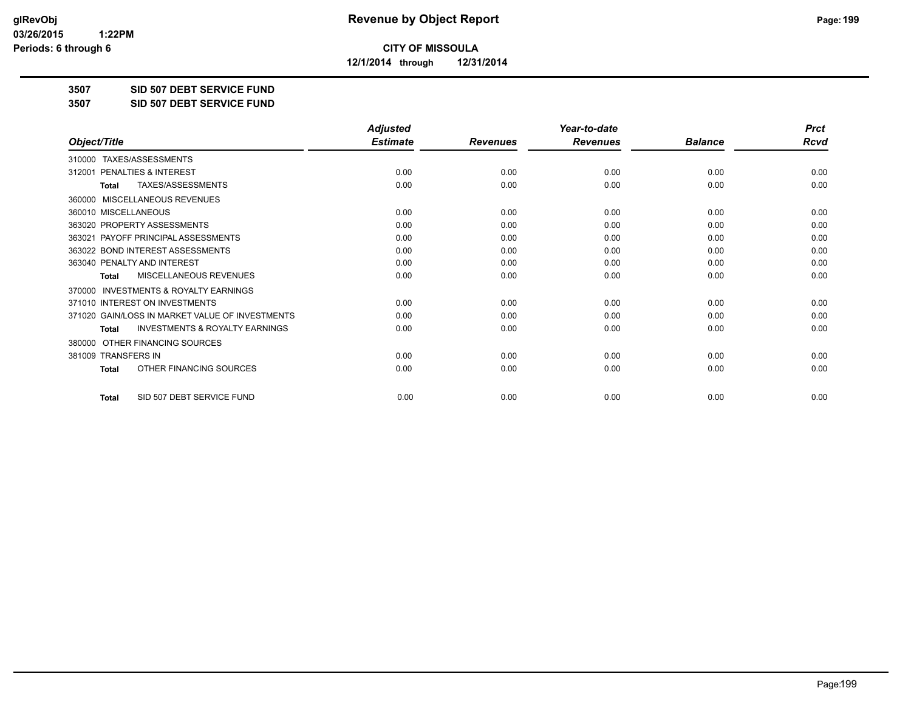**12/1/2014 through 12/31/2014**

**3507 SID 507 DEBT SERVICE FUND**

**3507 SID 507 DEBT SERVICE FUND**

|                                                           | <b>Adjusted</b> |                 | Year-to-date    |                | <b>Prct</b> |
|-----------------------------------------------------------|-----------------|-----------------|-----------------|----------------|-------------|
| Object/Title                                              | <b>Estimate</b> | <b>Revenues</b> | <b>Revenues</b> | <b>Balance</b> | <b>Rcvd</b> |
| TAXES/ASSESSMENTS<br>310000                               |                 |                 |                 |                |             |
| 312001 PENALTIES & INTEREST                               | 0.00            | 0.00            | 0.00            | 0.00           | 0.00        |
| TAXES/ASSESSMENTS<br><b>Total</b>                         | 0.00            | 0.00            | 0.00            | 0.00           | 0.00        |
| MISCELLANEOUS REVENUES<br>360000                          |                 |                 |                 |                |             |
| 360010 MISCELLANEOUS                                      | 0.00            | 0.00            | 0.00            | 0.00           | 0.00        |
| 363020 PROPERTY ASSESSMENTS                               | 0.00            | 0.00            | 0.00            | 0.00           | 0.00        |
| 363021 PAYOFF PRINCIPAL ASSESSMENTS                       | 0.00            | 0.00            | 0.00            | 0.00           | 0.00        |
| 363022 BOND INTEREST ASSESSMENTS                          | 0.00            | 0.00            | 0.00            | 0.00           | 0.00        |
| 363040 PENALTY AND INTEREST                               | 0.00            | 0.00            | 0.00            | 0.00           | 0.00        |
| <b>MISCELLANEOUS REVENUES</b><br><b>Total</b>             | 0.00            | 0.00            | 0.00            | 0.00           | 0.00        |
| <b>INVESTMENTS &amp; ROYALTY EARNINGS</b><br>370000       |                 |                 |                 |                |             |
| 371010 INTEREST ON INVESTMENTS                            | 0.00            | 0.00            | 0.00            | 0.00           | 0.00        |
| 371020 GAIN/LOSS IN MARKET VALUE OF INVESTMENTS           | 0.00            | 0.00            | 0.00            | 0.00           | 0.00        |
| <b>INVESTMENTS &amp; ROYALTY EARNINGS</b><br><b>Total</b> | 0.00            | 0.00            | 0.00            | 0.00           | 0.00        |
| OTHER FINANCING SOURCES<br>380000                         |                 |                 |                 |                |             |
| 381009 TRANSFERS IN                                       | 0.00            | 0.00            | 0.00            | 0.00           | 0.00        |
| OTHER FINANCING SOURCES<br><b>Total</b>                   | 0.00            | 0.00            | 0.00            | 0.00           | 0.00        |
| SID 507 DEBT SERVICE FUND<br><b>Total</b>                 | 0.00            | 0.00            | 0.00            | 0.00           | 0.00        |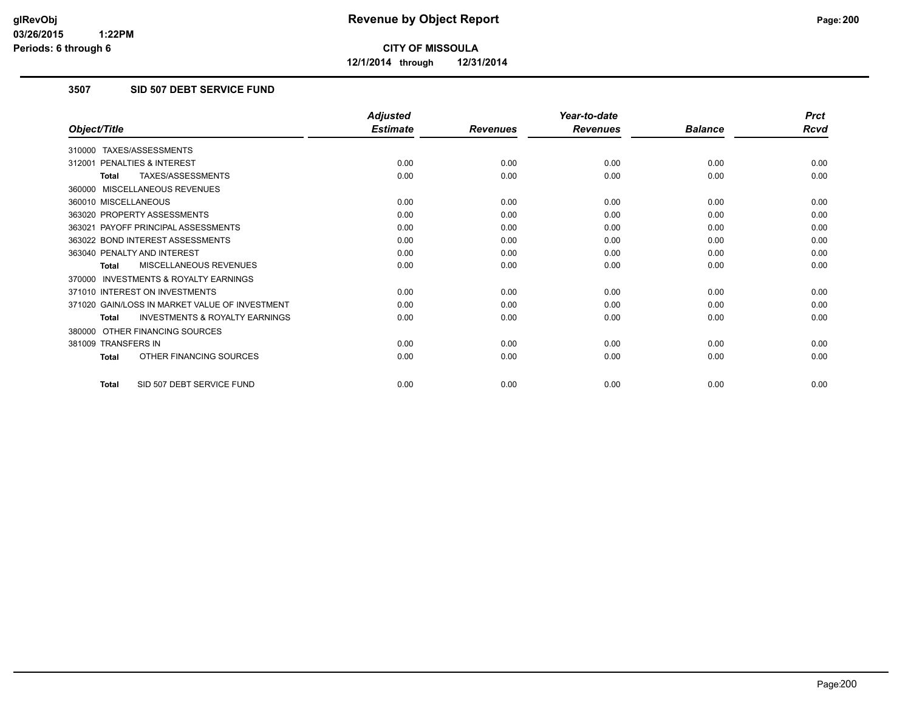**12/1/2014 through 12/31/2014**

### **3507 SID 507 DEBT SERVICE FUND**

|                                                           | <b>Adjusted</b> |                 | Year-to-date    |                | <b>Prct</b> |
|-----------------------------------------------------------|-----------------|-----------------|-----------------|----------------|-------------|
| Object/Title                                              | <b>Estimate</b> | <b>Revenues</b> | <b>Revenues</b> | <b>Balance</b> | <b>Rcvd</b> |
| 310000 TAXES/ASSESSMENTS                                  |                 |                 |                 |                |             |
| PENALTIES & INTEREST<br>312001                            | 0.00            | 0.00            | 0.00            | 0.00           | 0.00        |
| TAXES/ASSESSMENTS<br><b>Total</b>                         | 0.00            | 0.00            | 0.00            | 0.00           | 0.00        |
| 360000 MISCELLANEOUS REVENUES                             |                 |                 |                 |                |             |
| 360010 MISCELLANEOUS                                      | 0.00            | 0.00            | 0.00            | 0.00           | 0.00        |
| 363020 PROPERTY ASSESSMENTS                               | 0.00            | 0.00            | 0.00            | 0.00           | 0.00        |
| 363021 PAYOFF PRINCIPAL ASSESSMENTS                       | 0.00            | 0.00            | 0.00            | 0.00           | 0.00        |
| 363022 BOND INTEREST ASSESSMENTS                          | 0.00            | 0.00            | 0.00            | 0.00           | 0.00        |
| 363040 PENALTY AND INTEREST                               | 0.00            | 0.00            | 0.00            | 0.00           | 0.00        |
| MISCELLANEOUS REVENUES<br><b>Total</b>                    | 0.00            | 0.00            | 0.00            | 0.00           | 0.00        |
| <b>INVESTMENTS &amp; ROYALTY EARNINGS</b><br>370000       |                 |                 |                 |                |             |
| 371010 INTEREST ON INVESTMENTS                            | 0.00            | 0.00            | 0.00            | 0.00           | 0.00        |
| 371020 GAIN/LOSS IN MARKET VALUE OF INVESTMENT            | 0.00            | 0.00            | 0.00            | 0.00           | 0.00        |
| <b>INVESTMENTS &amp; ROYALTY EARNINGS</b><br><b>Total</b> | 0.00            | 0.00            | 0.00            | 0.00           | 0.00        |
| 380000 OTHER FINANCING SOURCES                            |                 |                 |                 |                |             |
| 381009 TRANSFERS IN                                       | 0.00            | 0.00            | 0.00            | 0.00           | 0.00        |
| OTHER FINANCING SOURCES<br><b>Total</b>                   | 0.00            | 0.00            | 0.00            | 0.00           | 0.00        |
| SID 507 DEBT SERVICE FUND<br><b>Total</b>                 | 0.00            | 0.00            | 0.00            | 0.00           | 0.00        |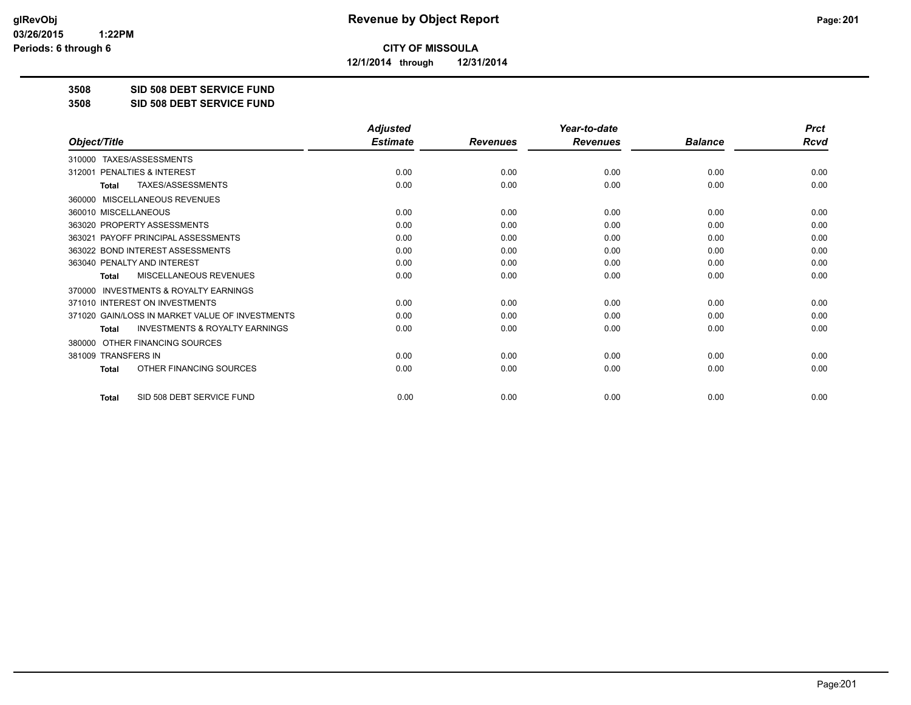**12/1/2014 through 12/31/2014**

**3508 SID 508 DEBT SERVICE FUND**

**3508 SID 508 DEBT SERVICE FUND**

|                                                           | <b>Adjusted</b> |                 | Year-to-date    |                | <b>Prct</b> |
|-----------------------------------------------------------|-----------------|-----------------|-----------------|----------------|-------------|
| Object/Title                                              | <b>Estimate</b> | <b>Revenues</b> | <b>Revenues</b> | <b>Balance</b> | <b>Rcvd</b> |
| TAXES/ASSESSMENTS<br>310000                               |                 |                 |                 |                |             |
| 312001 PENALTIES & INTEREST                               | 0.00            | 0.00            | 0.00            | 0.00           | 0.00        |
| TAXES/ASSESSMENTS<br><b>Total</b>                         | 0.00            | 0.00            | 0.00            | 0.00           | 0.00        |
| MISCELLANEOUS REVENUES<br>360000                          |                 |                 |                 |                |             |
| 360010 MISCELLANEOUS                                      | 0.00            | 0.00            | 0.00            | 0.00           | 0.00        |
| 363020 PROPERTY ASSESSMENTS                               | 0.00            | 0.00            | 0.00            | 0.00           | 0.00        |
| 363021 PAYOFF PRINCIPAL ASSESSMENTS                       | 0.00            | 0.00            | 0.00            | 0.00           | 0.00        |
| 363022 BOND INTEREST ASSESSMENTS                          | 0.00            | 0.00            | 0.00            | 0.00           | 0.00        |
| 363040 PENALTY AND INTEREST                               | 0.00            | 0.00            | 0.00            | 0.00           | 0.00        |
| <b>MISCELLANEOUS REVENUES</b><br><b>Total</b>             | 0.00            | 0.00            | 0.00            | 0.00           | 0.00        |
| <b>INVESTMENTS &amp; ROYALTY EARNINGS</b><br>370000       |                 |                 |                 |                |             |
| 371010 INTEREST ON INVESTMENTS                            | 0.00            | 0.00            | 0.00            | 0.00           | 0.00        |
| 371020 GAIN/LOSS IN MARKET VALUE OF INVESTMENTS           | 0.00            | 0.00            | 0.00            | 0.00           | 0.00        |
| <b>INVESTMENTS &amp; ROYALTY EARNINGS</b><br><b>Total</b> | 0.00            | 0.00            | 0.00            | 0.00           | 0.00        |
| OTHER FINANCING SOURCES<br>380000                         |                 |                 |                 |                |             |
| 381009 TRANSFERS IN                                       | 0.00            | 0.00            | 0.00            | 0.00           | 0.00        |
| OTHER FINANCING SOURCES<br>Total                          | 0.00            | 0.00            | 0.00            | 0.00           | 0.00        |
| SID 508 DEBT SERVICE FUND<br><b>Total</b>                 | 0.00            | 0.00            | 0.00            | 0.00           | 0.00        |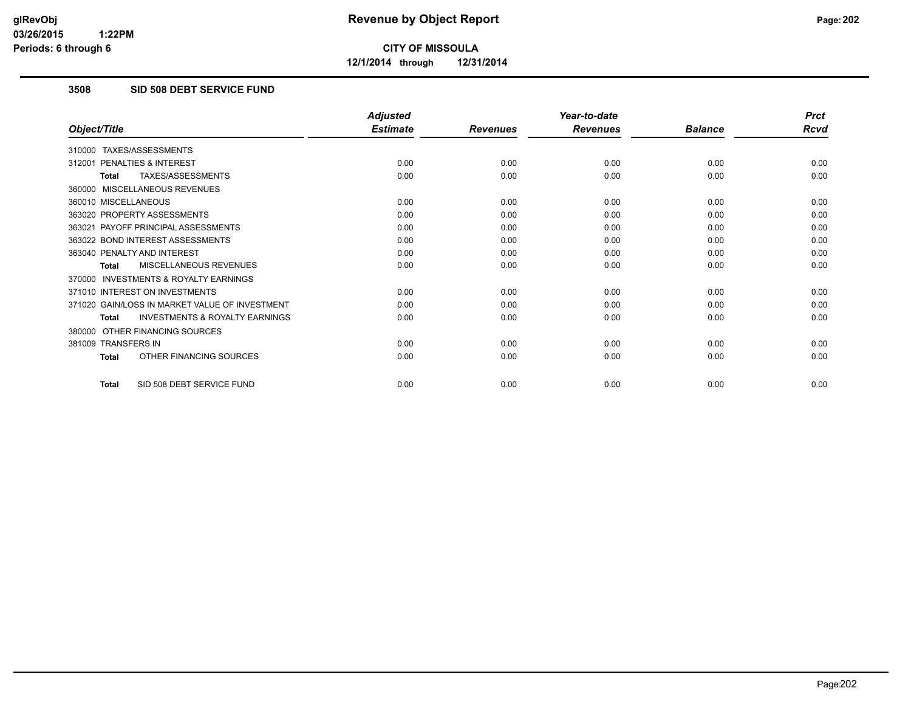**12/1/2014 through 12/31/2014**

### **3508 SID 508 DEBT SERVICE FUND**

|                                                           | <b>Adjusted</b> |                 | Year-to-date    |                | <b>Prct</b> |
|-----------------------------------------------------------|-----------------|-----------------|-----------------|----------------|-------------|
| Object/Title                                              | <b>Estimate</b> | <b>Revenues</b> | <b>Revenues</b> | <b>Balance</b> | <b>Rcvd</b> |
| 310000 TAXES/ASSESSMENTS                                  |                 |                 |                 |                |             |
| PENALTIES & INTEREST<br>312001                            | 0.00            | 0.00            | 0.00            | 0.00           | 0.00        |
| TAXES/ASSESSMENTS<br><b>Total</b>                         | 0.00            | 0.00            | 0.00            | 0.00           | 0.00        |
| 360000 MISCELLANEOUS REVENUES                             |                 |                 |                 |                |             |
| 360010 MISCELLANEOUS                                      | 0.00            | 0.00            | 0.00            | 0.00           | 0.00        |
| 363020 PROPERTY ASSESSMENTS                               | 0.00            | 0.00            | 0.00            | 0.00           | 0.00        |
| 363021 PAYOFF PRINCIPAL ASSESSMENTS                       | 0.00            | 0.00            | 0.00            | 0.00           | 0.00        |
| 363022 BOND INTEREST ASSESSMENTS                          | 0.00            | 0.00            | 0.00            | 0.00           | 0.00        |
| 363040 PENALTY AND INTEREST                               | 0.00            | 0.00            | 0.00            | 0.00           | 0.00        |
| MISCELLANEOUS REVENUES<br><b>Total</b>                    | 0.00            | 0.00            | 0.00            | 0.00           | 0.00        |
| <b>INVESTMENTS &amp; ROYALTY EARNINGS</b><br>370000       |                 |                 |                 |                |             |
| 371010 INTEREST ON INVESTMENTS                            | 0.00            | 0.00            | 0.00            | 0.00           | 0.00        |
| 371020 GAIN/LOSS IN MARKET VALUE OF INVESTMENT            | 0.00            | 0.00            | 0.00            | 0.00           | 0.00        |
| <b>INVESTMENTS &amp; ROYALTY EARNINGS</b><br><b>Total</b> | 0.00            | 0.00            | 0.00            | 0.00           | 0.00        |
| OTHER FINANCING SOURCES<br>380000                         |                 |                 |                 |                |             |
| 381009 TRANSFERS IN                                       | 0.00            | 0.00            | 0.00            | 0.00           | 0.00        |
| OTHER FINANCING SOURCES<br><b>Total</b>                   | 0.00            | 0.00            | 0.00            | 0.00           | 0.00        |
| SID 508 DEBT SERVICE FUND<br><b>Total</b>                 | 0.00            | 0.00            | 0.00            | 0.00           | 0.00        |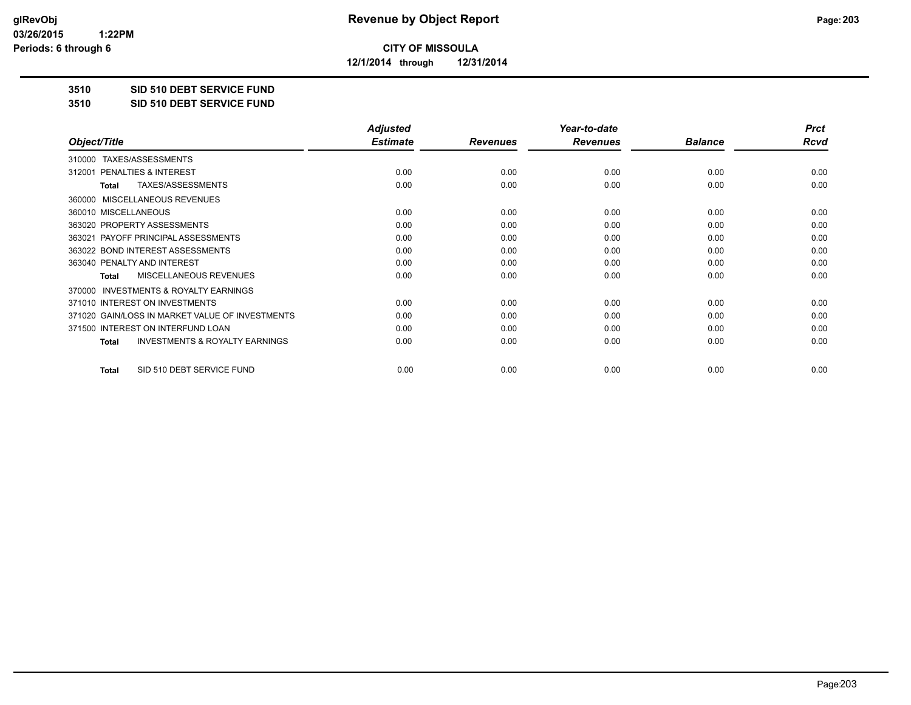**12/1/2014 through 12/31/2014**

**3510 SID 510 DEBT SERVICE FUND**

**3510 SID 510 DEBT SERVICE FUND**

|                                                           | <b>Adjusted</b> |                 | Year-to-date    |                | <b>Prct</b> |
|-----------------------------------------------------------|-----------------|-----------------|-----------------|----------------|-------------|
| Object/Title                                              | <b>Estimate</b> | <b>Revenues</b> | <b>Revenues</b> | <b>Balance</b> | <b>Rcvd</b> |
| TAXES/ASSESSMENTS<br>310000                               |                 |                 |                 |                |             |
| 312001 PENALTIES & INTEREST                               | 0.00            | 0.00            | 0.00            | 0.00           | 0.00        |
| TAXES/ASSESSMENTS<br>Total                                | 0.00            | 0.00            | 0.00            | 0.00           | 0.00        |
| MISCELLANEOUS REVENUES<br>360000                          |                 |                 |                 |                |             |
| 360010 MISCELLANEOUS                                      | 0.00            | 0.00            | 0.00            | 0.00           | 0.00        |
| 363020 PROPERTY ASSESSMENTS                               | 0.00            | 0.00            | 0.00            | 0.00           | 0.00        |
| 363021 PAYOFF PRINCIPAL ASSESSMENTS                       | 0.00            | 0.00            | 0.00            | 0.00           | 0.00        |
| 363022 BOND INTEREST ASSESSMENTS                          | 0.00            | 0.00            | 0.00            | 0.00           | 0.00        |
| 363040 PENALTY AND INTEREST                               | 0.00            | 0.00            | 0.00            | 0.00           | 0.00        |
| MISCELLANEOUS REVENUES<br>Total                           | 0.00            | 0.00            | 0.00            | 0.00           | 0.00        |
| <b>INVESTMENTS &amp; ROYALTY EARNINGS</b><br>370000       |                 |                 |                 |                |             |
| 371010 INTEREST ON INVESTMENTS                            | 0.00            | 0.00            | 0.00            | 0.00           | 0.00        |
| 371020 GAIN/LOSS IN MARKET VALUE OF INVESTMENTS           | 0.00            | 0.00            | 0.00            | 0.00           | 0.00        |
| 371500 INTEREST ON INTERFUND LOAN                         | 0.00            | 0.00            | 0.00            | 0.00           | 0.00        |
| <b>INVESTMENTS &amp; ROYALTY EARNINGS</b><br><b>Total</b> | 0.00            | 0.00            | 0.00            | 0.00           | 0.00        |
| SID 510 DEBT SERVICE FUND<br>Total                        | 0.00            | 0.00            | 0.00            | 0.00           | 0.00        |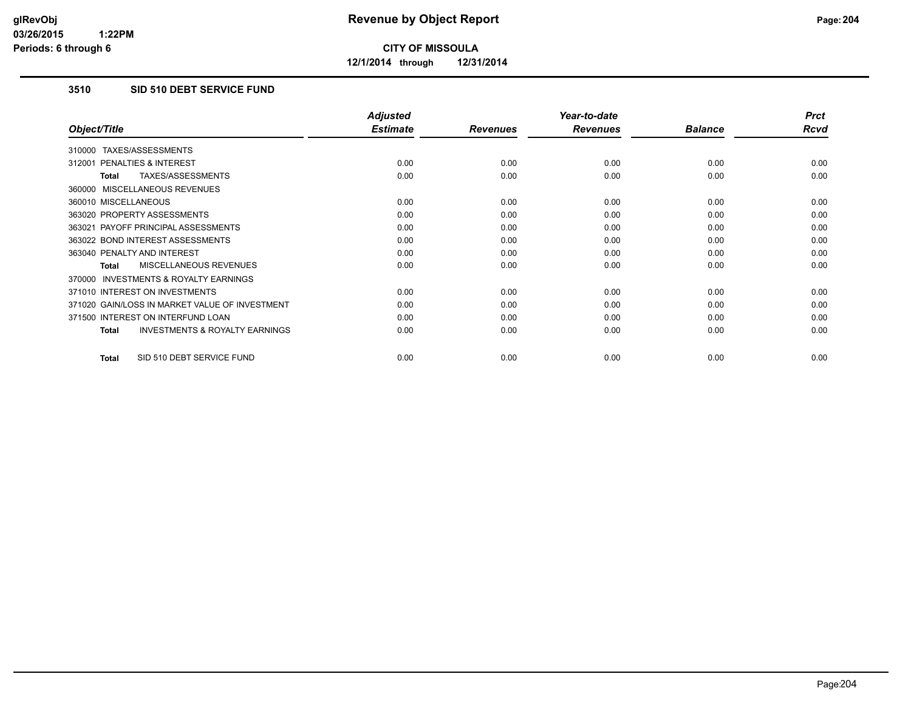**12/1/2014 through 12/31/2014**

### **3510 SID 510 DEBT SERVICE FUND**

|                                                    | <b>Adjusted</b> |                 | Year-to-date    |                | <b>Prct</b> |
|----------------------------------------------------|-----------------|-----------------|-----------------|----------------|-------------|
| Object/Title                                       | <b>Estimate</b> | <b>Revenues</b> | <b>Revenues</b> | <b>Balance</b> | Rcvd        |
| TAXES/ASSESSMENTS<br>310000                        |                 |                 |                 |                |             |
| 312001 PENALTIES & INTEREST                        | 0.00            | 0.00            | 0.00            | 0.00           | 0.00        |
| TAXES/ASSESSMENTS<br>Total                         | 0.00            | 0.00            | 0.00            | 0.00           | 0.00        |
| 360000 MISCELLANEOUS REVENUES                      |                 |                 |                 |                |             |
| 360010 MISCELLANEOUS                               | 0.00            | 0.00            | 0.00            | 0.00           | 0.00        |
| 363020 PROPERTY ASSESSMENTS                        | 0.00            | 0.00            | 0.00            | 0.00           | 0.00        |
| 363021 PAYOFF PRINCIPAL ASSESSMENTS                | 0.00            | 0.00            | 0.00            | 0.00           | 0.00        |
| 363022 BOND INTEREST ASSESSMENTS                   | 0.00            | 0.00            | 0.00            | 0.00           | 0.00        |
| 363040 PENALTY AND INTEREST                        | 0.00            | 0.00            | 0.00            | 0.00           | 0.00        |
| MISCELLANEOUS REVENUES<br>Total                    | 0.00            | 0.00            | 0.00            | 0.00           | 0.00        |
| 370000 INVESTMENTS & ROYALTY EARNINGS              |                 |                 |                 |                |             |
| 371010 INTEREST ON INVESTMENTS                     | 0.00            | 0.00            | 0.00            | 0.00           | 0.00        |
| 371020 GAIN/LOSS IN MARKET VALUE OF INVESTMENT     | 0.00            | 0.00            | 0.00            | 0.00           | 0.00        |
| 371500 INTEREST ON INTERFUND LOAN                  | 0.00            | 0.00            | 0.00            | 0.00           | 0.00        |
| <b>INVESTMENTS &amp; ROYALTY EARNINGS</b><br>Total | 0.00            | 0.00            | 0.00            | 0.00           | 0.00        |
| SID 510 DEBT SERVICE FUND<br>Total                 | 0.00            | 0.00            | 0.00            | 0.00           | 0.00        |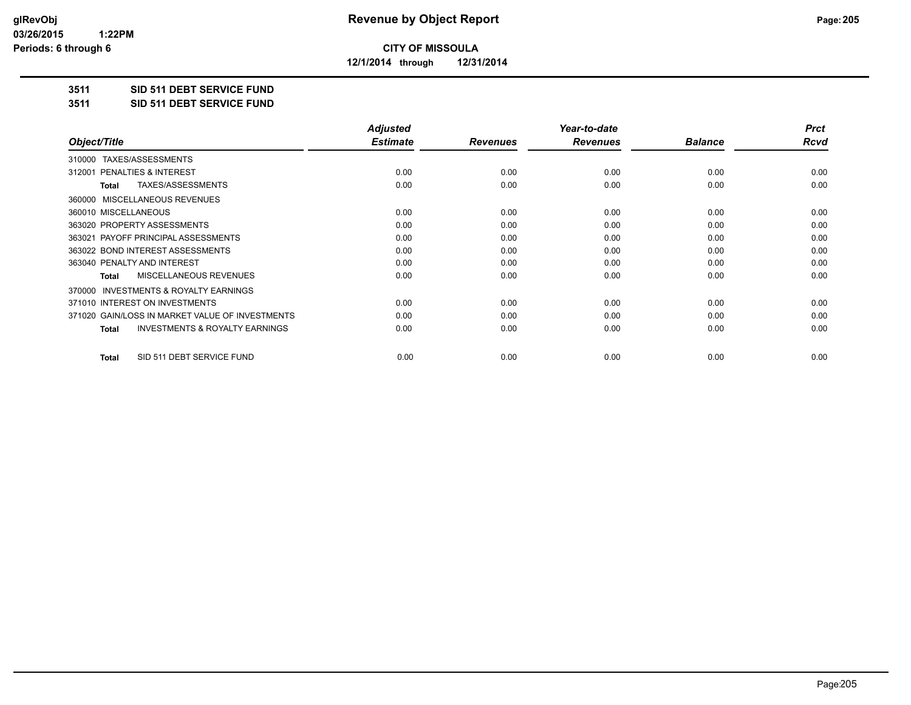**12/1/2014 through 12/31/2014**

**3511 SID 511 DEBT SERVICE FUND**

**3511 SID 511 DEBT SERVICE FUND**

|                                                           | <b>Adjusted</b> |                 | Year-to-date    |                | <b>Prct</b> |
|-----------------------------------------------------------|-----------------|-----------------|-----------------|----------------|-------------|
| Object/Title                                              | <b>Estimate</b> | <b>Revenues</b> | <b>Revenues</b> | <b>Balance</b> | Rcvd        |
| TAXES/ASSESSMENTS<br>310000                               |                 |                 |                 |                |             |
| 312001 PENALTIES & INTEREST                               | 0.00            | 0.00            | 0.00            | 0.00           | 0.00        |
| TAXES/ASSESSMENTS<br><b>Total</b>                         | 0.00            | 0.00            | 0.00            | 0.00           | 0.00        |
| MISCELLANEOUS REVENUES<br>360000                          |                 |                 |                 |                |             |
| 360010 MISCELLANEOUS                                      | 0.00            | 0.00            | 0.00            | 0.00           | 0.00        |
| 363020 PROPERTY ASSESSMENTS                               | 0.00            | 0.00            | 0.00            | 0.00           | 0.00        |
| 363021 PAYOFF PRINCIPAL ASSESSMENTS                       | 0.00            | 0.00            | 0.00            | 0.00           | 0.00        |
| 363022 BOND INTEREST ASSESSMENTS                          | 0.00            | 0.00            | 0.00            | 0.00           | 0.00        |
| 363040 PENALTY AND INTEREST                               | 0.00            | 0.00            | 0.00            | 0.00           | 0.00        |
| MISCELLANEOUS REVENUES<br><b>Total</b>                    | 0.00            | 0.00            | 0.00            | 0.00           | 0.00        |
| <b>INVESTMENTS &amp; ROYALTY EARNINGS</b><br>370000       |                 |                 |                 |                |             |
| 371010 INTEREST ON INVESTMENTS                            | 0.00            | 0.00            | 0.00            | 0.00           | 0.00        |
| 371020 GAIN/LOSS IN MARKET VALUE OF INVESTMENTS           | 0.00            | 0.00            | 0.00            | 0.00           | 0.00        |
| <b>INVESTMENTS &amp; ROYALTY EARNINGS</b><br><b>Total</b> | 0.00            | 0.00            | 0.00            | 0.00           | 0.00        |
| SID 511 DEBT SERVICE FUND<br><b>Total</b>                 | 0.00            | 0.00            | 0.00            | 0.00           | 0.00        |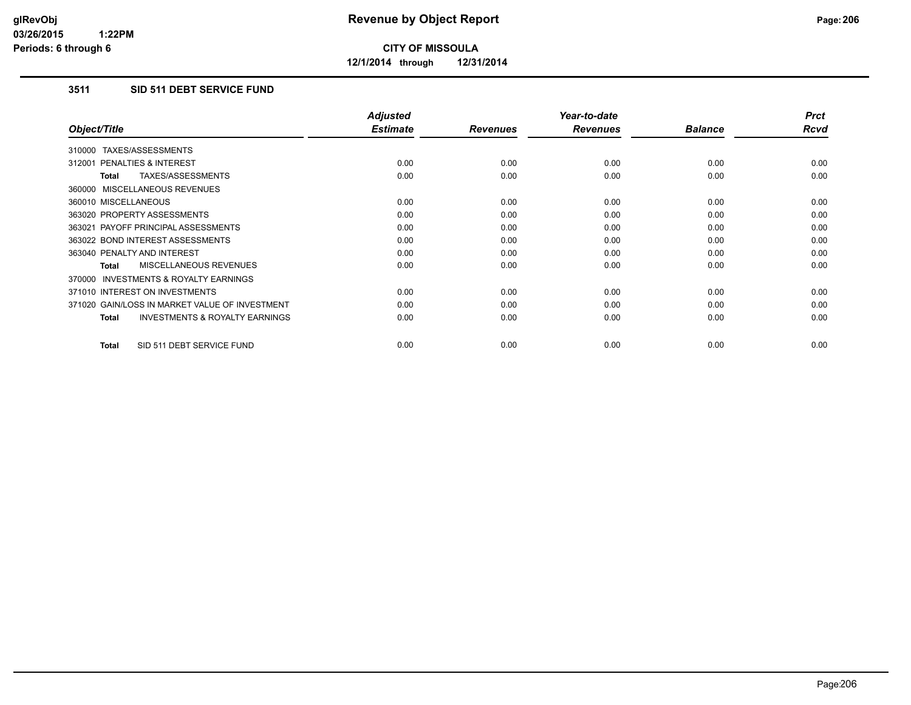**12/1/2014 through 12/31/2014**

### **3511 SID 511 DEBT SERVICE FUND**

|                                                           | <b>Adjusted</b> |                 | Year-to-date    |                | <b>Prct</b> |
|-----------------------------------------------------------|-----------------|-----------------|-----------------|----------------|-------------|
| Object/Title                                              | <b>Estimate</b> | <b>Revenues</b> | <b>Revenues</b> | <b>Balance</b> | <b>Rcvd</b> |
| 310000 TAXES/ASSESSMENTS                                  |                 |                 |                 |                |             |
| 312001 PENALTIES & INTEREST                               | 0.00            | 0.00            | 0.00            | 0.00           | 0.00        |
| <b>TAXES/ASSESSMENTS</b><br><b>Total</b>                  | 0.00            | 0.00            | 0.00            | 0.00           | 0.00        |
| 360000 MISCELLANEOUS REVENUES                             |                 |                 |                 |                |             |
| 360010 MISCELLANEOUS                                      | 0.00            | 0.00            | 0.00            | 0.00           | 0.00        |
| 363020 PROPERTY ASSESSMENTS                               | 0.00            | 0.00            | 0.00            | 0.00           | 0.00        |
| 363021 PAYOFF PRINCIPAL ASSESSMENTS                       | 0.00            | 0.00            | 0.00            | 0.00           | 0.00        |
| 363022 BOND INTEREST ASSESSMENTS                          | 0.00            | 0.00            | 0.00            | 0.00           | 0.00        |
| 363040 PENALTY AND INTEREST                               | 0.00            | 0.00            | 0.00            | 0.00           | 0.00        |
| MISCELLANEOUS REVENUES<br><b>Total</b>                    | 0.00            | 0.00            | 0.00            | 0.00           | 0.00        |
| <b>INVESTMENTS &amp; ROYALTY EARNINGS</b><br>370000       |                 |                 |                 |                |             |
| 371010 INTEREST ON INVESTMENTS                            | 0.00            | 0.00            | 0.00            | 0.00           | 0.00        |
| 371020 GAIN/LOSS IN MARKET VALUE OF INVESTMENT            | 0.00            | 0.00            | 0.00            | 0.00           | 0.00        |
| <b>INVESTMENTS &amp; ROYALTY EARNINGS</b><br><b>Total</b> | 0.00            | 0.00            | 0.00            | 0.00           | 0.00        |
| SID 511 DEBT SERVICE FUND<br><b>Total</b>                 | 0.00            | 0.00            | 0.00            | 0.00           | 0.00        |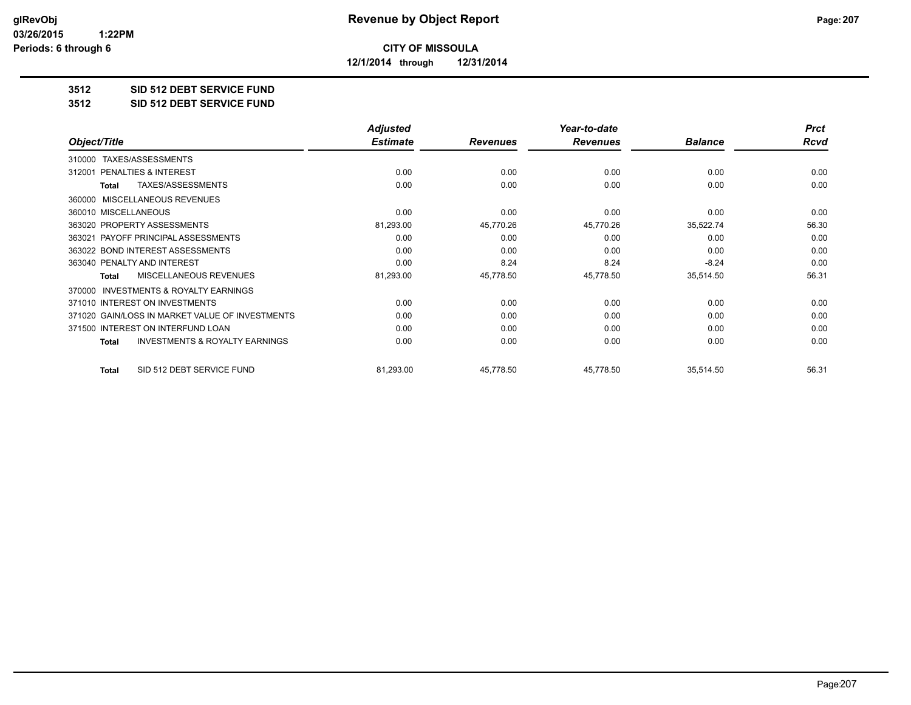**12/1/2014 through 12/31/2014**

#### **3512 SID 512 DEBT SERVICE FUND**

**3512 SID 512 DEBT SERVICE FUND**

|                                                           | <b>Adjusted</b> |                 | Year-to-date    |                | <b>Prct</b> |
|-----------------------------------------------------------|-----------------|-----------------|-----------------|----------------|-------------|
| Object/Title                                              | <b>Estimate</b> | <b>Revenues</b> | <b>Revenues</b> | <b>Balance</b> | Rcvd        |
| TAXES/ASSESSMENTS<br>310000                               |                 |                 |                 |                |             |
| <b>PENALTIES &amp; INTEREST</b><br>312001                 | 0.00            | 0.00            | 0.00            | 0.00           | 0.00        |
| TAXES/ASSESSMENTS<br><b>Total</b>                         | 0.00            | 0.00            | 0.00            | 0.00           | 0.00        |
| MISCELLANEOUS REVENUES<br>360000                          |                 |                 |                 |                |             |
| 360010 MISCELLANEOUS                                      | 0.00            | 0.00            | 0.00            | 0.00           | 0.00        |
| 363020 PROPERTY ASSESSMENTS                               | 81,293.00       | 45,770.26       | 45,770.26       | 35,522.74      | 56.30       |
| 363021 PAYOFF PRINCIPAL ASSESSMENTS                       | 0.00            | 0.00            | 0.00            | 0.00           | 0.00        |
| 363022 BOND INTEREST ASSESSMENTS                          | 0.00            | 0.00            | 0.00            | 0.00           | 0.00        |
| 363040 PENALTY AND INTEREST                               | 0.00            | 8.24            | 8.24            | $-8.24$        | 0.00        |
| <b>MISCELLANEOUS REVENUES</b><br><b>Total</b>             | 81,293.00       | 45,778.50       | 45,778.50       | 35,514.50      | 56.31       |
| <b>INVESTMENTS &amp; ROYALTY EARNINGS</b><br>370000       |                 |                 |                 |                |             |
| 371010 INTEREST ON INVESTMENTS                            | 0.00            | 0.00            | 0.00            | 0.00           | 0.00        |
| 371020 GAIN/LOSS IN MARKET VALUE OF INVESTMENTS           | 0.00            | 0.00            | 0.00            | 0.00           | 0.00        |
| 371500 INTEREST ON INTERFUND LOAN                         | 0.00            | 0.00            | 0.00            | 0.00           | 0.00        |
| <b>INVESTMENTS &amp; ROYALTY EARNINGS</b><br><b>Total</b> | 0.00            | 0.00            | 0.00            | 0.00           | 0.00        |
| SID 512 DEBT SERVICE FUND<br><b>Total</b>                 | 81,293.00       | 45,778.50       | 45,778.50       | 35,514.50      | 56.31       |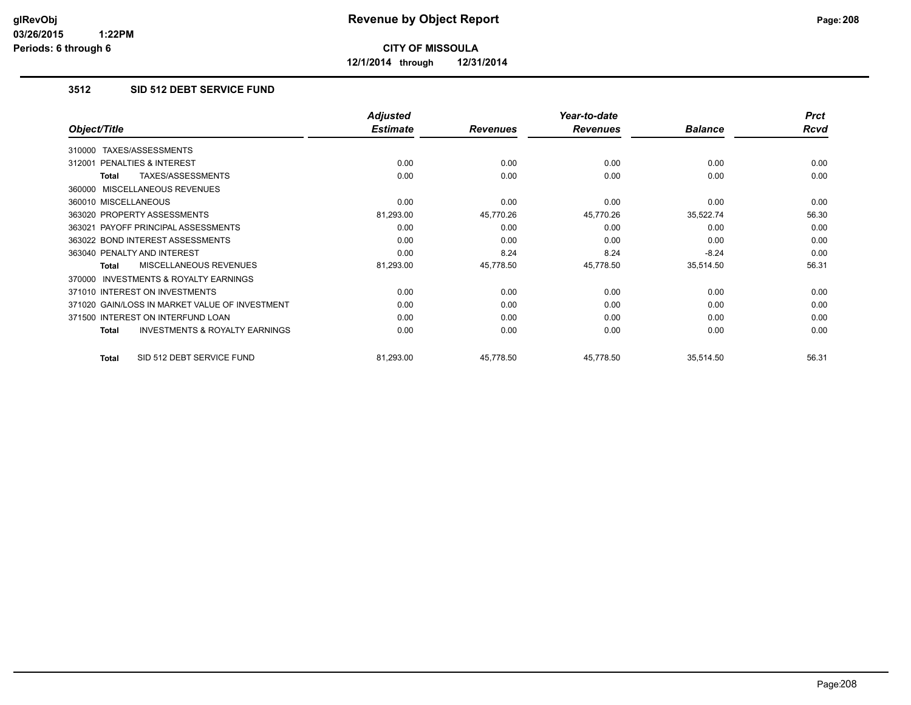**12/1/2014 through 12/31/2014**

### **3512 SID 512 DEBT SERVICE FUND**

|                                                    | <b>Adjusted</b> |                 | Year-to-date    |                | <b>Prct</b> |
|----------------------------------------------------|-----------------|-----------------|-----------------|----------------|-------------|
| Object/Title                                       | <b>Estimate</b> | <b>Revenues</b> | <b>Revenues</b> | <b>Balance</b> | Rcvd        |
| TAXES/ASSESSMENTS<br>310000                        |                 |                 |                 |                |             |
| PENALTIES & INTEREST<br>312001                     | 0.00            | 0.00            | 0.00            | 0.00           | 0.00        |
| TAXES/ASSESSMENTS<br><b>Total</b>                  | 0.00            | 0.00            | 0.00            | 0.00           | 0.00        |
| 360000 MISCELLANEOUS REVENUES                      |                 |                 |                 |                |             |
| 360010 MISCELLANEOUS                               | 0.00            | 0.00            | 0.00            | 0.00           | 0.00        |
| 363020 PROPERTY ASSESSMENTS                        | 81,293.00       | 45,770.26       | 45,770.26       | 35,522.74      | 56.30       |
| 363021 PAYOFF PRINCIPAL ASSESSMENTS                | 0.00            | 0.00            | 0.00            | 0.00           | 0.00        |
| 363022 BOND INTEREST ASSESSMENTS                   | 0.00            | 0.00            | 0.00            | 0.00           | 0.00        |
| 363040 PENALTY AND INTEREST                        | 0.00            | 8.24            | 8.24            | $-8.24$        | 0.00        |
| <b>MISCELLANEOUS REVENUES</b><br><b>Total</b>      | 81,293.00       | 45,778.50       | 45,778.50       | 35,514.50      | 56.31       |
| 370000 INVESTMENTS & ROYALTY EARNINGS              |                 |                 |                 |                |             |
| 371010 INTEREST ON INVESTMENTS                     | 0.00            | 0.00            | 0.00            | 0.00           | 0.00        |
| 371020 GAIN/LOSS IN MARKET VALUE OF INVESTMENT     | 0.00            | 0.00            | 0.00            | 0.00           | 0.00        |
| 371500 INTEREST ON INTERFUND LOAN                  | 0.00            | 0.00            | 0.00            | 0.00           | 0.00        |
| <b>INVESTMENTS &amp; ROYALTY EARNINGS</b><br>Total | 0.00            | 0.00            | 0.00            | 0.00           | 0.00        |
| SID 512 DEBT SERVICE FUND<br>Total                 | 81,293.00       | 45,778.50       | 45,778.50       | 35,514.50      | 56.31       |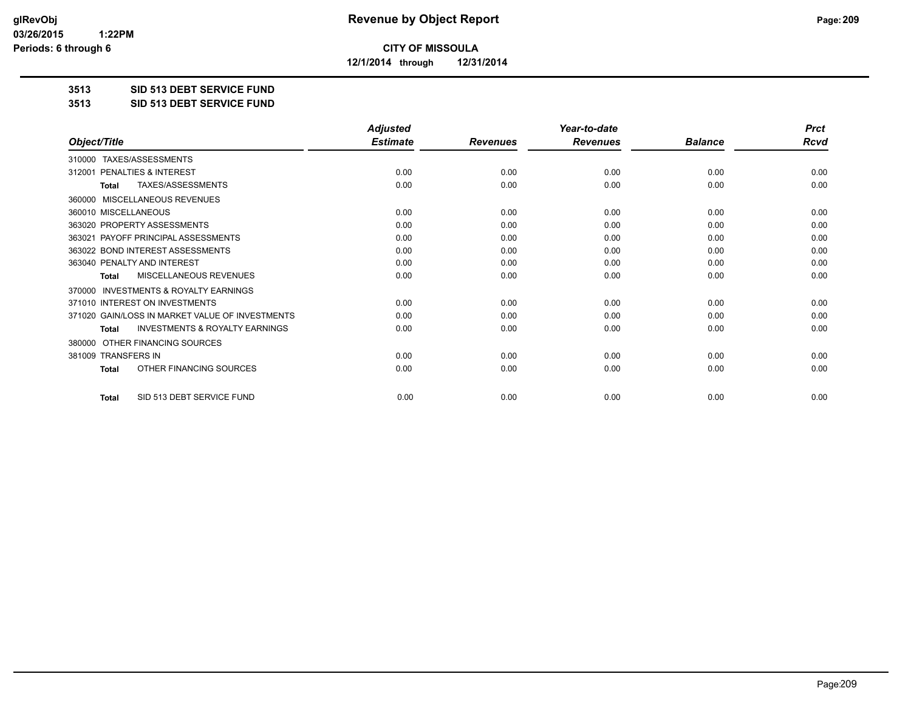**12/1/2014 through 12/31/2014**

**3513 SID 513 DEBT SERVICE FUND**

**3513 SID 513 DEBT SERVICE FUND**

|                                                     | <b>Adjusted</b> |                 | Year-to-date    |                | <b>Prct</b> |
|-----------------------------------------------------|-----------------|-----------------|-----------------|----------------|-------------|
| Object/Title                                        | <b>Estimate</b> | <b>Revenues</b> | <b>Revenues</b> | <b>Balance</b> | <b>Rcvd</b> |
| 310000 TAXES/ASSESSMENTS                            |                 |                 |                 |                |             |
| <b>PENALTIES &amp; INTEREST</b><br>312001           | 0.00            | 0.00            | 0.00            | 0.00           | 0.00        |
| TAXES/ASSESSMENTS<br><b>Total</b>                   | 0.00            | 0.00            | 0.00            | 0.00           | 0.00        |
| MISCELLANEOUS REVENUES<br>360000                    |                 |                 |                 |                |             |
| 360010 MISCELLANEOUS                                | 0.00            | 0.00            | 0.00            | 0.00           | 0.00        |
| 363020 PROPERTY ASSESSMENTS                         | 0.00            | 0.00            | 0.00            | 0.00           | 0.00        |
| 363021 PAYOFF PRINCIPAL ASSESSMENTS                 | 0.00            | 0.00            | 0.00            | 0.00           | 0.00        |
| 363022 BOND INTEREST ASSESSMENTS                    | 0.00            | 0.00            | 0.00            | 0.00           | 0.00        |
| 363040 PENALTY AND INTEREST                         | 0.00            | 0.00            | 0.00            | 0.00           | 0.00        |
| MISCELLANEOUS REVENUES<br><b>Total</b>              | 0.00            | 0.00            | 0.00            | 0.00           | 0.00        |
| <b>INVESTMENTS &amp; ROYALTY EARNINGS</b><br>370000 |                 |                 |                 |                |             |
| 371010 INTEREST ON INVESTMENTS                      | 0.00            | 0.00            | 0.00            | 0.00           | 0.00        |
| 371020 GAIN/LOSS IN MARKET VALUE OF INVESTMENTS     | 0.00            | 0.00            | 0.00            | 0.00           | 0.00        |
| <b>INVESTMENTS &amp; ROYALTY EARNINGS</b><br>Total  | 0.00            | 0.00            | 0.00            | 0.00           | 0.00        |
| OTHER FINANCING SOURCES<br>380000                   |                 |                 |                 |                |             |
| 381009 TRANSFERS IN                                 | 0.00            | 0.00            | 0.00            | 0.00           | 0.00        |
| OTHER FINANCING SOURCES<br>Total                    | 0.00            | 0.00            | 0.00            | 0.00           | 0.00        |
| SID 513 DEBT SERVICE FUND<br><b>Total</b>           | 0.00            | 0.00            | 0.00            | 0.00           | 0.00        |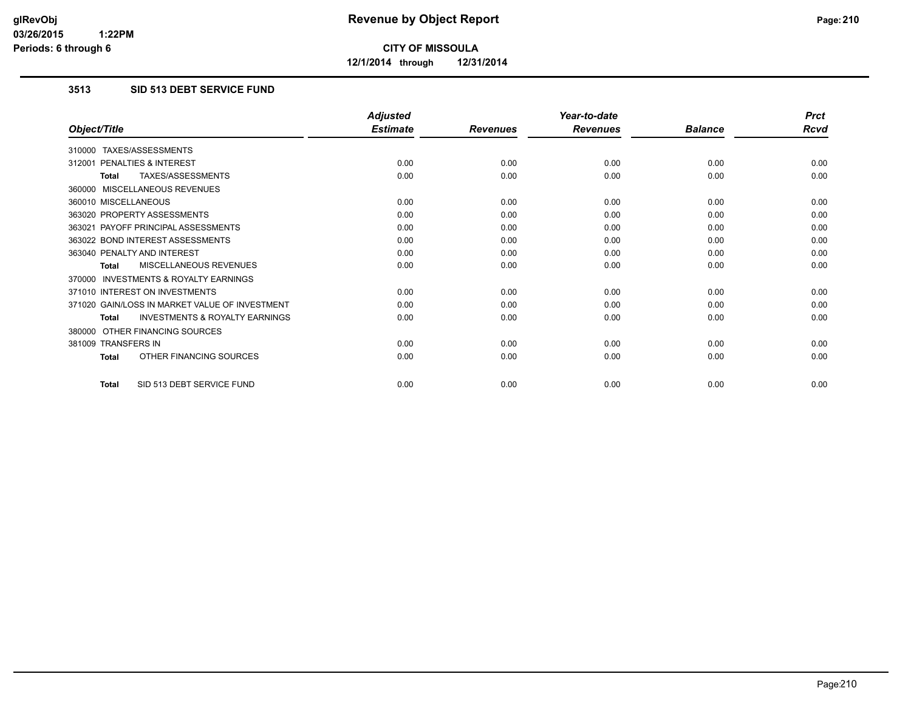**12/1/2014 through 12/31/2014**

### **3513 SID 513 DEBT SERVICE FUND**

|                                                           | <b>Adjusted</b> |                 | Year-to-date    |                | <b>Prct</b> |
|-----------------------------------------------------------|-----------------|-----------------|-----------------|----------------|-------------|
| Object/Title                                              | <b>Estimate</b> | <b>Revenues</b> | <b>Revenues</b> | <b>Balance</b> | <b>Rcvd</b> |
| 310000 TAXES/ASSESSMENTS                                  |                 |                 |                 |                |             |
| PENALTIES & INTEREST<br>312001                            | 0.00            | 0.00            | 0.00            | 0.00           | 0.00        |
| TAXES/ASSESSMENTS<br><b>Total</b>                         | 0.00            | 0.00            | 0.00            | 0.00           | 0.00        |
| 360000 MISCELLANEOUS REVENUES                             |                 |                 |                 |                |             |
| 360010 MISCELLANEOUS                                      | 0.00            | 0.00            | 0.00            | 0.00           | 0.00        |
| 363020 PROPERTY ASSESSMENTS                               | 0.00            | 0.00            | 0.00            | 0.00           | 0.00        |
| 363021 PAYOFF PRINCIPAL ASSESSMENTS                       | 0.00            | 0.00            | 0.00            | 0.00           | 0.00        |
| 363022 BOND INTEREST ASSESSMENTS                          | 0.00            | 0.00            | 0.00            | 0.00           | 0.00        |
| 363040 PENALTY AND INTEREST                               | 0.00            | 0.00            | 0.00            | 0.00           | 0.00        |
| MISCELLANEOUS REVENUES<br><b>Total</b>                    | 0.00            | 0.00            | 0.00            | 0.00           | 0.00        |
| <b>INVESTMENTS &amp; ROYALTY EARNINGS</b><br>370000       |                 |                 |                 |                |             |
| 371010 INTEREST ON INVESTMENTS                            | 0.00            | 0.00            | 0.00            | 0.00           | 0.00        |
| 371020 GAIN/LOSS IN MARKET VALUE OF INVESTMENT            | 0.00            | 0.00            | 0.00            | 0.00           | 0.00        |
| <b>INVESTMENTS &amp; ROYALTY EARNINGS</b><br><b>Total</b> | 0.00            | 0.00            | 0.00            | 0.00           | 0.00        |
| OTHER FINANCING SOURCES<br>380000                         |                 |                 |                 |                |             |
| 381009 TRANSFERS IN                                       | 0.00            | 0.00            | 0.00            | 0.00           | 0.00        |
| OTHER FINANCING SOURCES<br><b>Total</b>                   | 0.00            | 0.00            | 0.00            | 0.00           | 0.00        |
| SID 513 DEBT SERVICE FUND<br><b>Total</b>                 | 0.00            | 0.00            | 0.00            | 0.00           | 0.00        |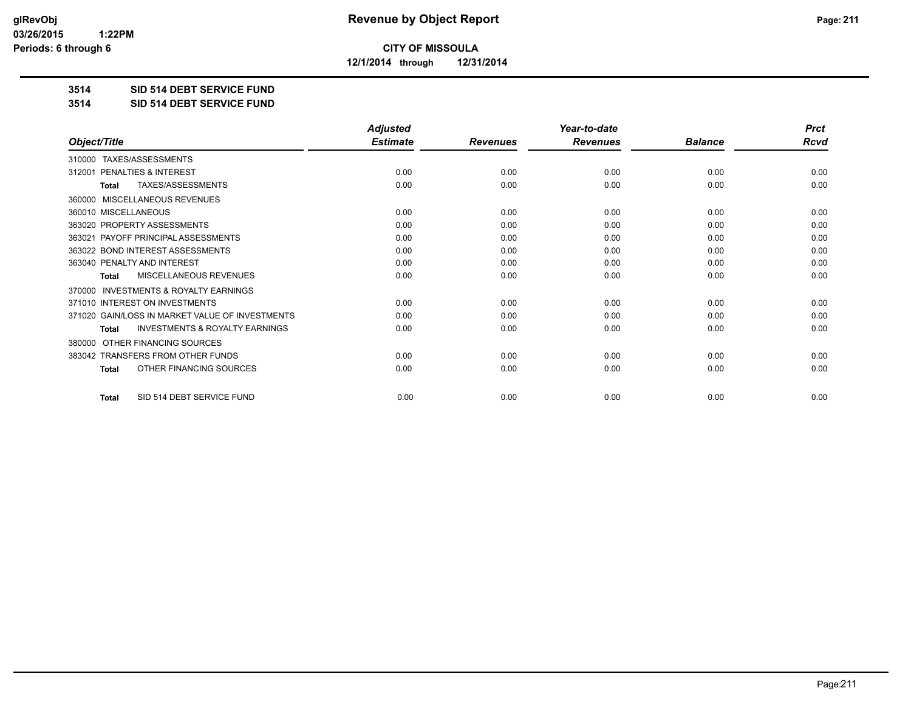**12/1/2014 through 12/31/2014**

#### **3514 SID 514 DEBT SERVICE FUND**

**3514 SID 514 DEBT SERVICE FUND**

|                                                           | <b>Adjusted</b> |                 | Year-to-date    |                | <b>Prct</b> |
|-----------------------------------------------------------|-----------------|-----------------|-----------------|----------------|-------------|
| Object/Title                                              | <b>Estimate</b> | <b>Revenues</b> | <b>Revenues</b> | <b>Balance</b> | <b>Rcvd</b> |
| 310000 TAXES/ASSESSMENTS                                  |                 |                 |                 |                |             |
| PENALTIES & INTEREST<br>312001                            | 0.00            | 0.00            | 0.00            | 0.00           | 0.00        |
| <b>TAXES/ASSESSMENTS</b><br><b>Total</b>                  | 0.00            | 0.00            | 0.00            | 0.00           | 0.00        |
| MISCELLANEOUS REVENUES<br>360000                          |                 |                 |                 |                |             |
| 360010 MISCELLANEOUS                                      | 0.00            | 0.00            | 0.00            | 0.00           | 0.00        |
| 363020 PROPERTY ASSESSMENTS                               | 0.00            | 0.00            | 0.00            | 0.00           | 0.00        |
| 363021 PAYOFF PRINCIPAL ASSESSMENTS                       | 0.00            | 0.00            | 0.00            | 0.00           | 0.00        |
| 363022 BOND INTEREST ASSESSMENTS                          | 0.00            | 0.00            | 0.00            | 0.00           | 0.00        |
| 363040 PENALTY AND INTEREST                               | 0.00            | 0.00            | 0.00            | 0.00           | 0.00        |
| MISCELLANEOUS REVENUES<br>Total                           | 0.00            | 0.00            | 0.00            | 0.00           | 0.00        |
| INVESTMENTS & ROYALTY EARNINGS<br>370000                  |                 |                 |                 |                |             |
| 371010 INTEREST ON INVESTMENTS                            | 0.00            | 0.00            | 0.00            | 0.00           | 0.00        |
| 371020 GAIN/LOSS IN MARKET VALUE OF INVESTMENTS           | 0.00            | 0.00            | 0.00            | 0.00           | 0.00        |
| <b>INVESTMENTS &amp; ROYALTY EARNINGS</b><br><b>Total</b> | 0.00            | 0.00            | 0.00            | 0.00           | 0.00        |
| OTHER FINANCING SOURCES<br>380000                         |                 |                 |                 |                |             |
| 383042 TRANSFERS FROM OTHER FUNDS                         | 0.00            | 0.00            | 0.00            | 0.00           | 0.00        |
| OTHER FINANCING SOURCES<br><b>Total</b>                   | 0.00            | 0.00            | 0.00            | 0.00           | 0.00        |
| SID 514 DEBT SERVICE FUND<br><b>Total</b>                 | 0.00            | 0.00            | 0.00            | 0.00           | 0.00        |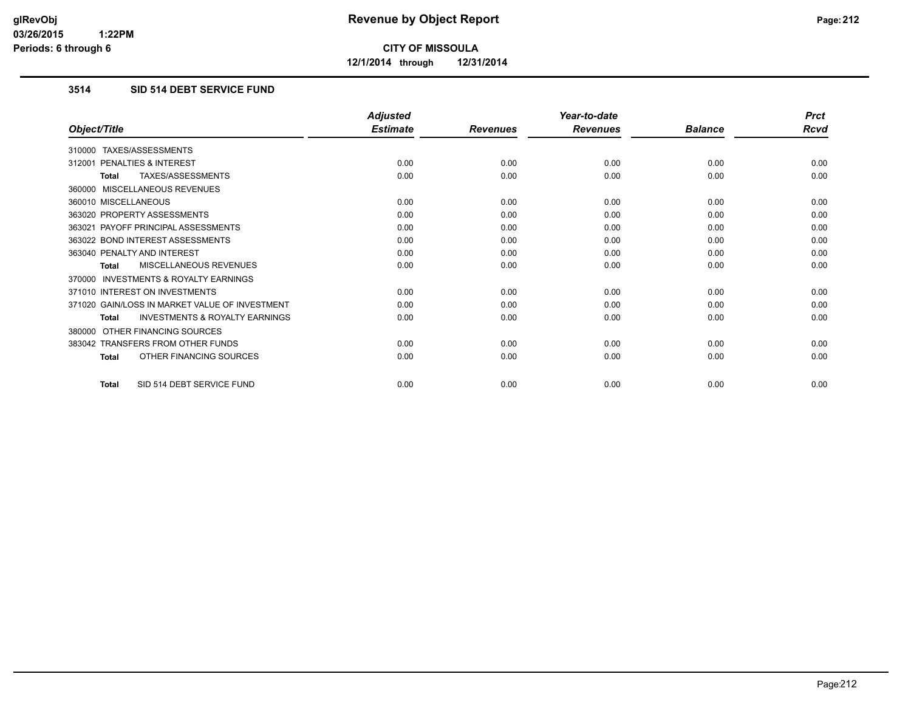**12/1/2014 through 12/31/2014**

### **3514 SID 514 DEBT SERVICE FUND**

|                                                           | <b>Adjusted</b> |                 | Year-to-date    |                | <b>Prct</b> |
|-----------------------------------------------------------|-----------------|-----------------|-----------------|----------------|-------------|
| Object/Title                                              | <b>Estimate</b> | <b>Revenues</b> | <b>Revenues</b> | <b>Balance</b> | Rcvd        |
| 310000 TAXES/ASSESSMENTS                                  |                 |                 |                 |                |             |
| PENALTIES & INTEREST<br>312001                            | 0.00            | 0.00            | 0.00            | 0.00           | 0.00        |
| TAXES/ASSESSMENTS<br><b>Total</b>                         | 0.00            | 0.00            | 0.00            | 0.00           | 0.00        |
| 360000 MISCELLANEOUS REVENUES                             |                 |                 |                 |                |             |
| 360010 MISCELLANEOUS                                      | 0.00            | 0.00            | 0.00            | 0.00           | 0.00        |
| 363020 PROPERTY ASSESSMENTS                               | 0.00            | 0.00            | 0.00            | 0.00           | 0.00        |
| 363021 PAYOFF PRINCIPAL ASSESSMENTS                       | 0.00            | 0.00            | 0.00            | 0.00           | 0.00        |
| 363022 BOND INTEREST ASSESSMENTS                          | 0.00            | 0.00            | 0.00            | 0.00           | 0.00        |
| 363040 PENALTY AND INTEREST                               | 0.00            | 0.00            | 0.00            | 0.00           | 0.00        |
| MISCELLANEOUS REVENUES<br><b>Total</b>                    | 0.00            | 0.00            | 0.00            | 0.00           | 0.00        |
| <b>INVESTMENTS &amp; ROYALTY EARNINGS</b><br>370000       |                 |                 |                 |                |             |
| 371010 INTEREST ON INVESTMENTS                            | 0.00            | 0.00            | 0.00            | 0.00           | 0.00        |
| 371020 GAIN/LOSS IN MARKET VALUE OF INVESTMENT            | 0.00            | 0.00            | 0.00            | 0.00           | 0.00        |
| <b>INVESTMENTS &amp; ROYALTY EARNINGS</b><br><b>Total</b> | 0.00            | 0.00            | 0.00            | 0.00           | 0.00        |
| OTHER FINANCING SOURCES<br>380000                         |                 |                 |                 |                |             |
| 383042 TRANSFERS FROM OTHER FUNDS                         | 0.00            | 0.00            | 0.00            | 0.00           | 0.00        |
| OTHER FINANCING SOURCES<br><b>Total</b>                   | 0.00            | 0.00            | 0.00            | 0.00           | 0.00        |
| SID 514 DEBT SERVICE FUND<br><b>Total</b>                 | 0.00            | 0.00            | 0.00            | 0.00           | 0.00        |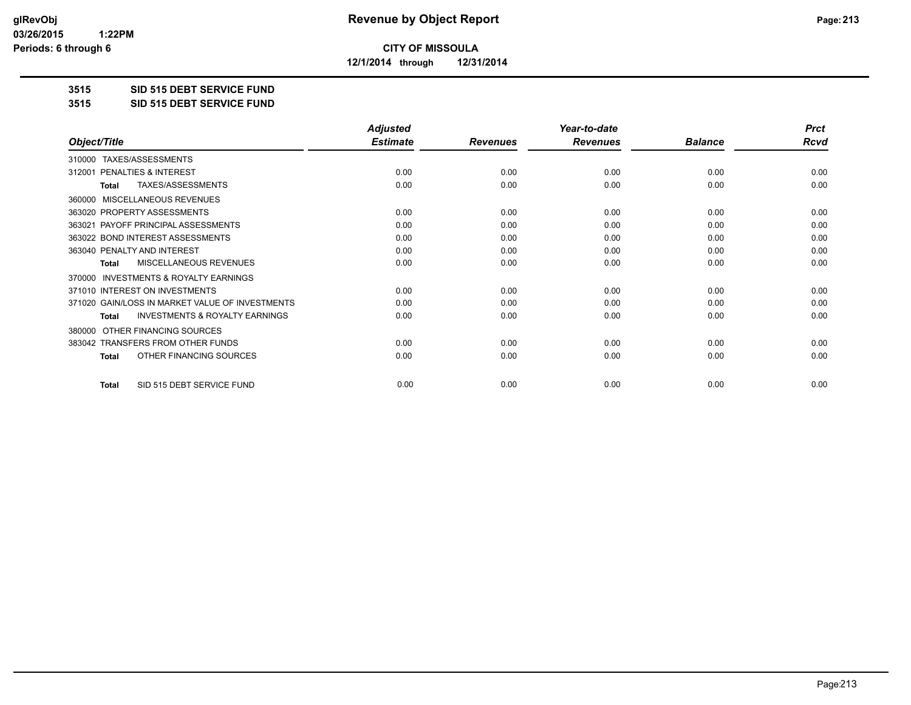**12/1/2014 through 12/31/2014**

#### **3515 SID 515 DEBT SERVICE FUND**

**3515 SID 515 DEBT SERVICE FUND**

|                                                           | <b>Adjusted</b> |                 | Year-to-date    |                | <b>Prct</b> |
|-----------------------------------------------------------|-----------------|-----------------|-----------------|----------------|-------------|
| Object/Title                                              | <b>Estimate</b> | <b>Revenues</b> | <b>Revenues</b> | <b>Balance</b> | <b>Rcvd</b> |
| TAXES/ASSESSMENTS<br>310000                               |                 |                 |                 |                |             |
| PENALTIES & INTEREST<br>312001                            | 0.00            | 0.00            | 0.00            | 0.00           | 0.00        |
| TAXES/ASSESSMENTS<br>Total                                | 0.00            | 0.00            | 0.00            | 0.00           | 0.00        |
| MISCELLANEOUS REVENUES<br>360000                          |                 |                 |                 |                |             |
| 363020 PROPERTY ASSESSMENTS                               | 0.00            | 0.00            | 0.00            | 0.00           | 0.00        |
| 363021 PAYOFF PRINCIPAL ASSESSMENTS                       | 0.00            | 0.00            | 0.00            | 0.00           | 0.00        |
| 363022 BOND INTEREST ASSESSMENTS                          | 0.00            | 0.00            | 0.00            | 0.00           | 0.00        |
| 363040 PENALTY AND INTEREST                               | 0.00            | 0.00            | 0.00            | 0.00           | 0.00        |
| MISCELLANEOUS REVENUES<br><b>Total</b>                    | 0.00            | 0.00            | 0.00            | 0.00           | 0.00        |
| <b>INVESTMENTS &amp; ROYALTY EARNINGS</b><br>370000       |                 |                 |                 |                |             |
| 371010 INTEREST ON INVESTMENTS                            | 0.00            | 0.00            | 0.00            | 0.00           | 0.00        |
| 371020 GAIN/LOSS IN MARKET VALUE OF INVESTMENTS           | 0.00            | 0.00            | 0.00            | 0.00           | 0.00        |
| <b>INVESTMENTS &amp; ROYALTY EARNINGS</b><br><b>Total</b> | 0.00            | 0.00            | 0.00            | 0.00           | 0.00        |
| OTHER FINANCING SOURCES<br>380000                         |                 |                 |                 |                |             |
| 383042 TRANSFERS FROM OTHER FUNDS                         | 0.00            | 0.00            | 0.00            | 0.00           | 0.00        |
| OTHER FINANCING SOURCES<br><b>Total</b>                   | 0.00            | 0.00            | 0.00            | 0.00           | 0.00        |
|                                                           |                 |                 |                 |                |             |
| SID 515 DEBT SERVICE FUND<br><b>Total</b>                 | 0.00            | 0.00            | 0.00            | 0.00           | 0.00        |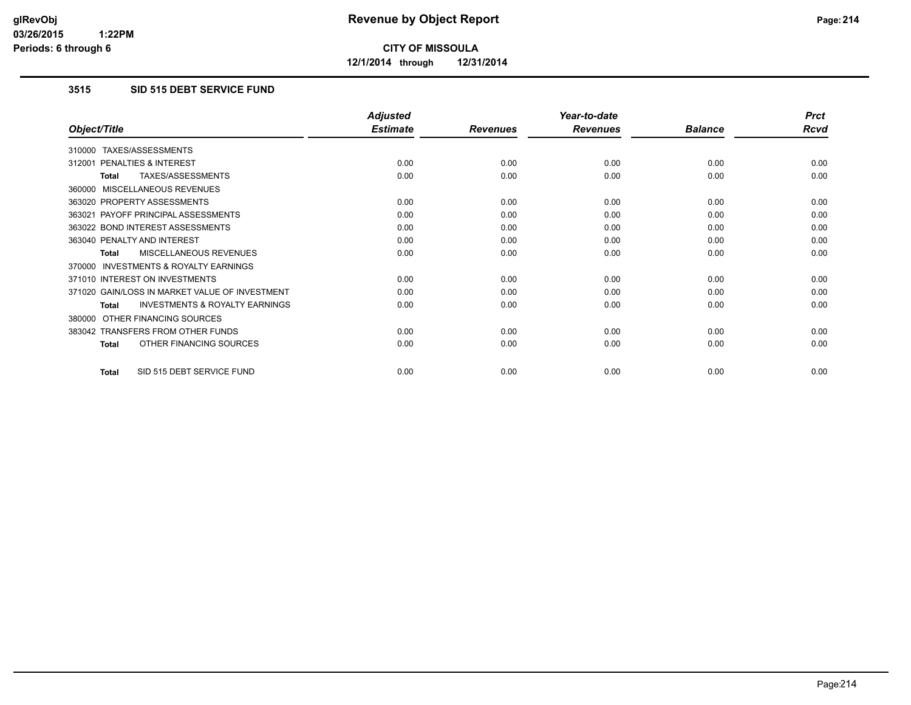**12/1/2014 through 12/31/2014**

### **3515 SID 515 DEBT SERVICE FUND**

|                                                           | <b>Adjusted</b> |                 | Year-to-date    |                | <b>Prct</b> |
|-----------------------------------------------------------|-----------------|-----------------|-----------------|----------------|-------------|
| Object/Title                                              | <b>Estimate</b> | <b>Revenues</b> | <b>Revenues</b> | <b>Balance</b> | <b>Rcvd</b> |
| TAXES/ASSESSMENTS<br>310000                               |                 |                 |                 |                |             |
| <b>PENALTIES &amp; INTEREST</b><br>312001                 | 0.00            | 0.00            | 0.00            | 0.00           | 0.00        |
| <b>TAXES/ASSESSMENTS</b><br><b>Total</b>                  | 0.00            | 0.00            | 0.00            | 0.00           | 0.00        |
| MISCELLANEOUS REVENUES<br>360000                          |                 |                 |                 |                |             |
| 363020 PROPERTY ASSESSMENTS                               | 0.00            | 0.00            | 0.00            | 0.00           | 0.00        |
| 363021 PAYOFF PRINCIPAL ASSESSMENTS                       | 0.00            | 0.00            | 0.00            | 0.00           | 0.00        |
| 363022 BOND INTEREST ASSESSMENTS                          | 0.00            | 0.00            | 0.00            | 0.00           | 0.00        |
| 363040 PENALTY AND INTEREST                               | 0.00            | 0.00            | 0.00            | 0.00           | 0.00        |
| <b>MISCELLANEOUS REVENUES</b><br><b>Total</b>             | 0.00            | 0.00            | 0.00            | 0.00           | 0.00        |
| <b>INVESTMENTS &amp; ROYALTY EARNINGS</b><br>370000       |                 |                 |                 |                |             |
| 371010 INTEREST ON INVESTMENTS                            | 0.00            | 0.00            | 0.00            | 0.00           | 0.00        |
| 371020 GAIN/LOSS IN MARKET VALUE OF INVESTMENT            | 0.00            | 0.00            | 0.00            | 0.00           | 0.00        |
| <b>INVESTMENTS &amp; ROYALTY EARNINGS</b><br><b>Total</b> | 0.00            | 0.00            | 0.00            | 0.00           | 0.00        |
| OTHER FINANCING SOURCES<br>380000                         |                 |                 |                 |                |             |
| 383042 TRANSFERS FROM OTHER FUNDS                         | 0.00            | 0.00            | 0.00            | 0.00           | 0.00        |
| OTHER FINANCING SOURCES<br><b>Total</b>                   | 0.00            | 0.00            | 0.00            | 0.00           | 0.00        |
| SID 515 DEBT SERVICE FUND<br>Total                        | 0.00            | 0.00            | 0.00            | 0.00           | 0.00        |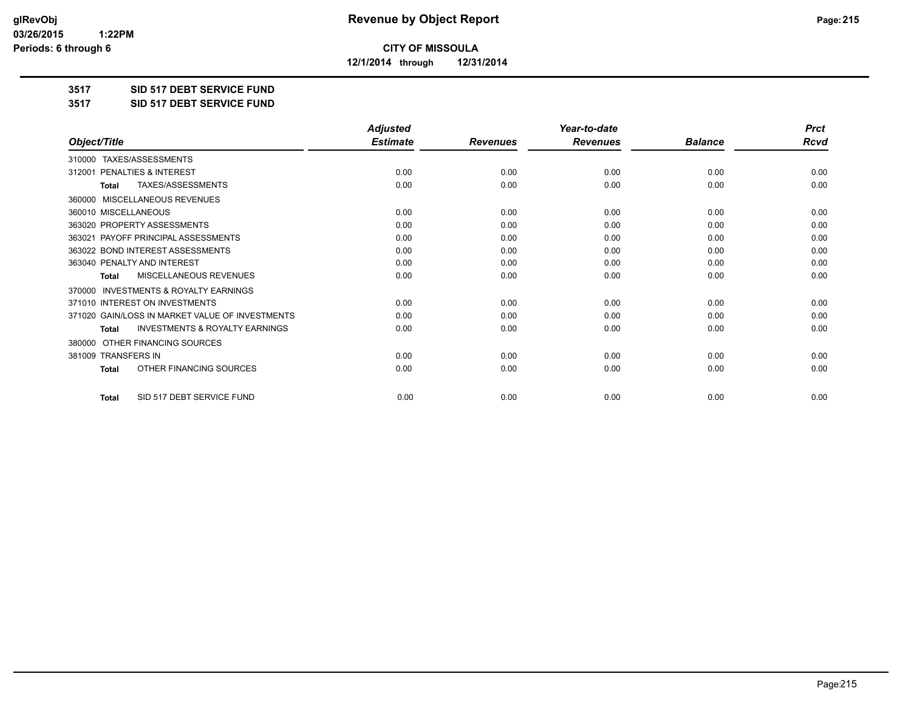**12/1/2014 through 12/31/2014**

**3517 SID 517 DEBT SERVICE FUND**

**3517 SID 517 DEBT SERVICE FUND**

|                                                     | <b>Adjusted</b> |                 | Year-to-date    |                | <b>Prct</b> |
|-----------------------------------------------------|-----------------|-----------------|-----------------|----------------|-------------|
| Object/Title                                        | <b>Estimate</b> | <b>Revenues</b> | <b>Revenues</b> | <b>Balance</b> | <b>Rcvd</b> |
| TAXES/ASSESSMENTS<br>310000                         |                 |                 |                 |                |             |
| <b>PENALTIES &amp; INTEREST</b><br>312001           | 0.00            | 0.00            | 0.00            | 0.00           | 0.00        |
| TAXES/ASSESSMENTS<br><b>Total</b>                   | 0.00            | 0.00            | 0.00            | 0.00           | 0.00        |
| MISCELLANEOUS REVENUES<br>360000                    |                 |                 |                 |                |             |
| 360010 MISCELLANEOUS                                | 0.00            | 0.00            | 0.00            | 0.00           | 0.00        |
| 363020 PROPERTY ASSESSMENTS                         | 0.00            | 0.00            | 0.00            | 0.00           | 0.00        |
| PAYOFF PRINCIPAL ASSESSMENTS<br>363021              | 0.00            | 0.00            | 0.00            | 0.00           | 0.00        |
| 363022 BOND INTEREST ASSESSMENTS                    | 0.00            | 0.00            | 0.00            | 0.00           | 0.00        |
| 363040 PENALTY AND INTEREST                         | 0.00            | 0.00            | 0.00            | 0.00           | 0.00        |
| MISCELLANEOUS REVENUES<br><b>Total</b>              | 0.00            | 0.00            | 0.00            | 0.00           | 0.00        |
| <b>INVESTMENTS &amp; ROYALTY EARNINGS</b><br>370000 |                 |                 |                 |                |             |
| 371010 INTEREST ON INVESTMENTS                      | 0.00            | 0.00            | 0.00            | 0.00           | 0.00        |
| 371020 GAIN/LOSS IN MARKET VALUE OF INVESTMENTS     | 0.00            | 0.00            | 0.00            | 0.00           | 0.00        |
| <b>INVESTMENTS &amp; ROYALTY EARNINGS</b><br>Total  | 0.00            | 0.00            | 0.00            | 0.00           | 0.00        |
| OTHER FINANCING SOURCES<br>380000                   |                 |                 |                 |                |             |
| 381009 TRANSFERS IN                                 | 0.00            | 0.00            | 0.00            | 0.00           | 0.00        |
| OTHER FINANCING SOURCES<br><b>Total</b>             | 0.00            | 0.00            | 0.00            | 0.00           | 0.00        |
| SID 517 DEBT SERVICE FUND<br><b>Total</b>           | 0.00            | 0.00            | 0.00            | 0.00           | 0.00        |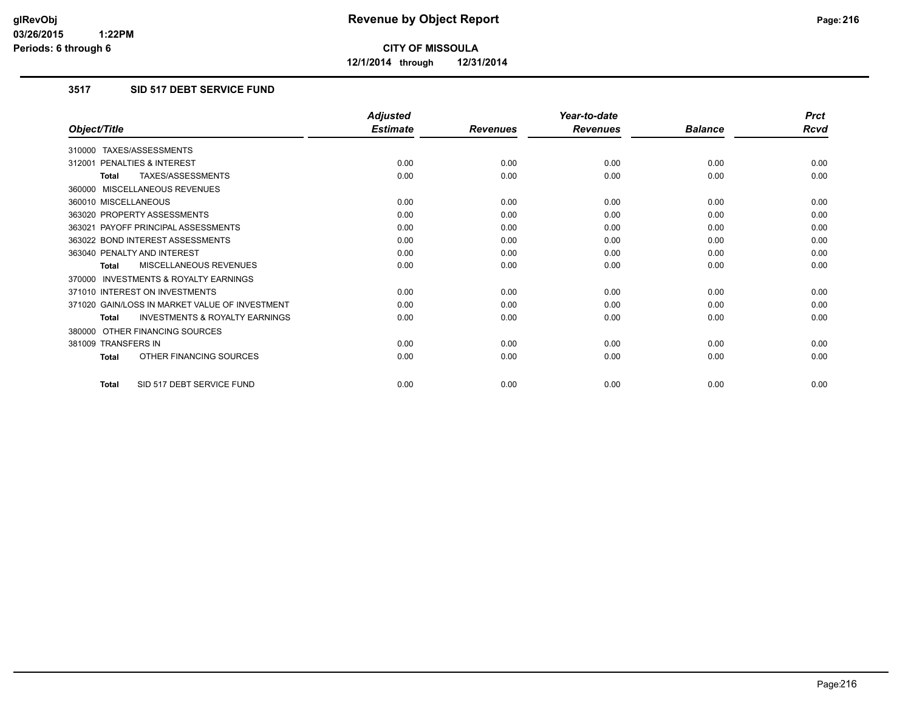**12/1/2014 through 12/31/2014**

### **3517 SID 517 DEBT SERVICE FUND**

|                                                           | <b>Adjusted</b> |                 | Year-to-date    |                | <b>Prct</b> |
|-----------------------------------------------------------|-----------------|-----------------|-----------------|----------------|-------------|
| Object/Title                                              | <b>Estimate</b> | <b>Revenues</b> | <b>Revenues</b> | <b>Balance</b> | <b>Rcvd</b> |
| 310000 TAXES/ASSESSMENTS                                  |                 |                 |                 |                |             |
| PENALTIES & INTEREST<br>312001                            | 0.00            | 0.00            | 0.00            | 0.00           | 0.00        |
| TAXES/ASSESSMENTS<br><b>Total</b>                         | 0.00            | 0.00            | 0.00            | 0.00           | 0.00        |
| 360000 MISCELLANEOUS REVENUES                             |                 |                 |                 |                |             |
| 360010 MISCELLANEOUS                                      | 0.00            | 0.00            | 0.00            | 0.00           | 0.00        |
| 363020 PROPERTY ASSESSMENTS                               | 0.00            | 0.00            | 0.00            | 0.00           | 0.00        |
| 363021 PAYOFF PRINCIPAL ASSESSMENTS                       | 0.00            | 0.00            | 0.00            | 0.00           | 0.00        |
| 363022 BOND INTEREST ASSESSMENTS                          | 0.00            | 0.00            | 0.00            | 0.00           | 0.00        |
| 363040 PENALTY AND INTEREST                               | 0.00            | 0.00            | 0.00            | 0.00           | 0.00        |
| MISCELLANEOUS REVENUES<br><b>Total</b>                    | 0.00            | 0.00            | 0.00            | 0.00           | 0.00        |
| <b>INVESTMENTS &amp; ROYALTY EARNINGS</b><br>370000       |                 |                 |                 |                |             |
| 371010 INTEREST ON INVESTMENTS                            | 0.00            | 0.00            | 0.00            | 0.00           | 0.00        |
| 371020 GAIN/LOSS IN MARKET VALUE OF INVESTMENT            | 0.00            | 0.00            | 0.00            | 0.00           | 0.00        |
| <b>INVESTMENTS &amp; ROYALTY EARNINGS</b><br><b>Total</b> | 0.00            | 0.00            | 0.00            | 0.00           | 0.00        |
| OTHER FINANCING SOURCES<br>380000                         |                 |                 |                 |                |             |
| 381009 TRANSFERS IN                                       | 0.00            | 0.00            | 0.00            | 0.00           | 0.00        |
| OTHER FINANCING SOURCES<br><b>Total</b>                   | 0.00            | 0.00            | 0.00            | 0.00           | 0.00        |
| SID 517 DEBT SERVICE FUND<br><b>Total</b>                 | 0.00            | 0.00            | 0.00            | 0.00           | 0.00        |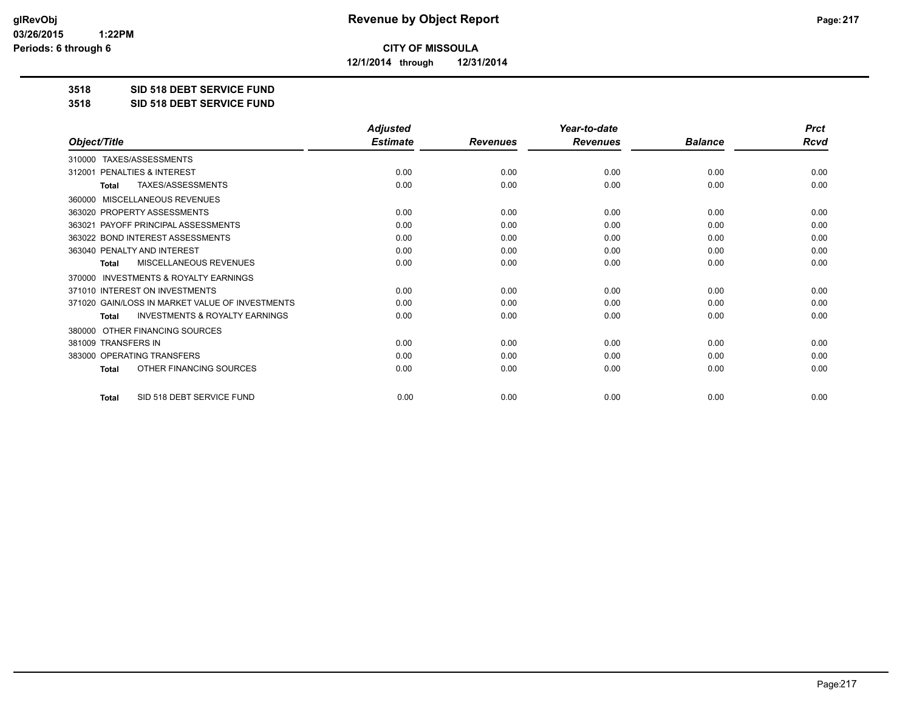**12/1/2014 through 12/31/2014**

**3518 SID 518 DEBT SERVICE FUND**

**3518 SID 518 DEBT SERVICE FUND**

|                                                           | <b>Adjusted</b> |                 | Year-to-date    |                | <b>Prct</b> |
|-----------------------------------------------------------|-----------------|-----------------|-----------------|----------------|-------------|
| Object/Title                                              | <b>Estimate</b> | <b>Revenues</b> | <b>Revenues</b> | <b>Balance</b> | <b>Rcvd</b> |
| 310000 TAXES/ASSESSMENTS                                  |                 |                 |                 |                |             |
| PENALTIES & INTEREST<br>312001                            | 0.00            | 0.00            | 0.00            | 0.00           | 0.00        |
| <b>TAXES/ASSESSMENTS</b><br><b>Total</b>                  | 0.00            | 0.00            | 0.00            | 0.00           | 0.00        |
| <b>MISCELLANEOUS REVENUES</b><br>360000                   |                 |                 |                 |                |             |
| 363020 PROPERTY ASSESSMENTS                               | 0.00            | 0.00            | 0.00            | 0.00           | 0.00        |
| 363021 PAYOFF PRINCIPAL ASSESSMENTS                       | 0.00            | 0.00            | 0.00            | 0.00           | 0.00        |
| 363022 BOND INTEREST ASSESSMENTS                          | 0.00            | 0.00            | 0.00            | 0.00           | 0.00        |
| 363040 PENALTY AND INTEREST                               | 0.00            | 0.00            | 0.00            | 0.00           | 0.00        |
| <b>MISCELLANEOUS REVENUES</b><br><b>Total</b>             | 0.00            | 0.00            | 0.00            | 0.00           | 0.00        |
| <b>INVESTMENTS &amp; ROYALTY EARNINGS</b><br>370000       |                 |                 |                 |                |             |
| 371010 INTEREST ON INVESTMENTS                            | 0.00            | 0.00            | 0.00            | 0.00           | 0.00        |
| 371020 GAIN/LOSS IN MARKET VALUE OF INVESTMENTS           | 0.00            | 0.00            | 0.00            | 0.00           | 0.00        |
| <b>INVESTMENTS &amp; ROYALTY EARNINGS</b><br><b>Total</b> | 0.00            | 0.00            | 0.00            | 0.00           | 0.00        |
| OTHER FINANCING SOURCES<br>380000                         |                 |                 |                 |                |             |
| 381009 TRANSFERS IN                                       | 0.00            | 0.00            | 0.00            | 0.00           | 0.00        |
| 383000 OPERATING TRANSFERS                                | 0.00            | 0.00            | 0.00            | 0.00           | 0.00        |
| OTHER FINANCING SOURCES<br><b>Total</b>                   | 0.00            | 0.00            | 0.00            | 0.00           | 0.00        |
| SID 518 DEBT SERVICE FUND<br><b>Total</b>                 | 0.00            | 0.00            | 0.00            | 0.00           | 0.00        |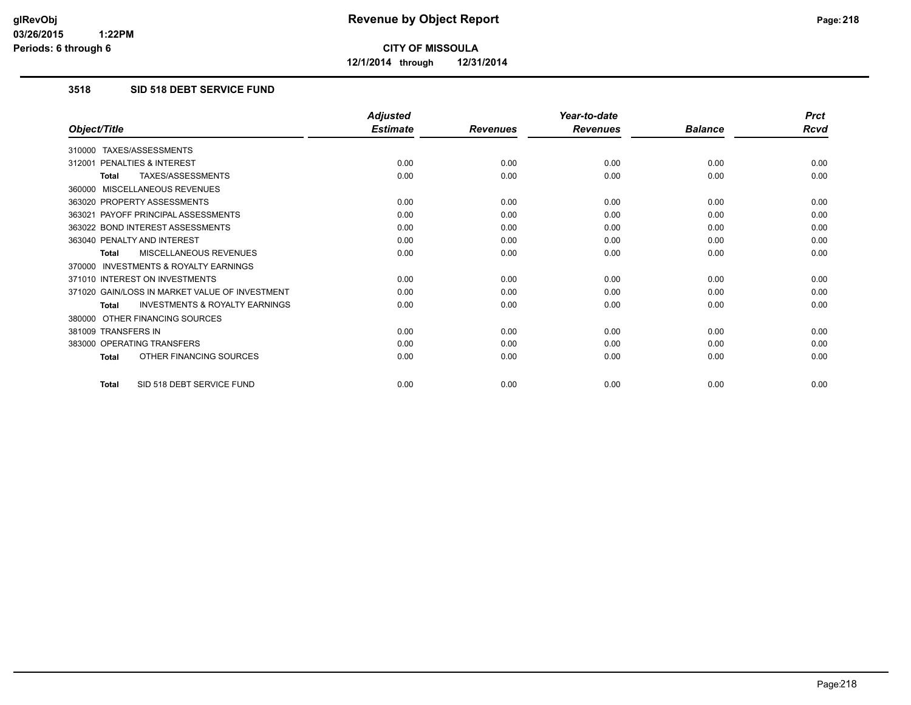**12/1/2014 through 12/31/2014**

#### **3518 SID 518 DEBT SERVICE FUND**

|                                                           | <b>Adjusted</b> |                 | Year-to-date    |                | <b>Prct</b> |
|-----------------------------------------------------------|-----------------|-----------------|-----------------|----------------|-------------|
| Object/Title                                              | <b>Estimate</b> | <b>Revenues</b> | <b>Revenues</b> | <b>Balance</b> | <b>Rcvd</b> |
| 310000 TAXES/ASSESSMENTS                                  |                 |                 |                 |                |             |
| PENALTIES & INTEREST<br>312001                            | 0.00            | 0.00            | 0.00            | 0.00           | 0.00        |
| TAXES/ASSESSMENTS<br><b>Total</b>                         | 0.00            | 0.00            | 0.00            | 0.00           | 0.00        |
| 360000 MISCELLANEOUS REVENUES                             |                 |                 |                 |                |             |
| 363020 PROPERTY ASSESSMENTS                               | 0.00            | 0.00            | 0.00            | 0.00           | 0.00        |
| 363021 PAYOFF PRINCIPAL ASSESSMENTS                       | 0.00            | 0.00            | 0.00            | 0.00           | 0.00        |
| 363022 BOND INTEREST ASSESSMENTS                          | 0.00            | 0.00            | 0.00            | 0.00           | 0.00        |
| 363040 PENALTY AND INTEREST                               | 0.00            | 0.00            | 0.00            | 0.00           | 0.00        |
| MISCELLANEOUS REVENUES<br><b>Total</b>                    | 0.00            | 0.00            | 0.00            | 0.00           | 0.00        |
| <b>INVESTMENTS &amp; ROYALTY EARNINGS</b><br>370000       |                 |                 |                 |                |             |
| 371010 INTEREST ON INVESTMENTS                            | 0.00            | 0.00            | 0.00            | 0.00           | 0.00        |
| 371020 GAIN/LOSS IN MARKET VALUE OF INVESTMENT            | 0.00            | 0.00            | 0.00            | 0.00           | 0.00        |
| <b>INVESTMENTS &amp; ROYALTY EARNINGS</b><br><b>Total</b> | 0.00            | 0.00            | 0.00            | 0.00           | 0.00        |
| 380000 OTHER FINANCING SOURCES                            |                 |                 |                 |                |             |
| 381009 TRANSFERS IN                                       | 0.00            | 0.00            | 0.00            | 0.00           | 0.00        |
| 383000 OPERATING TRANSFERS                                | 0.00            | 0.00            | 0.00            | 0.00           | 0.00        |
| OTHER FINANCING SOURCES<br><b>Total</b>                   | 0.00            | 0.00            | 0.00            | 0.00           | 0.00        |
| SID 518 DEBT SERVICE FUND<br><b>Total</b>                 | 0.00            | 0.00            | 0.00            | 0.00           | 0.00        |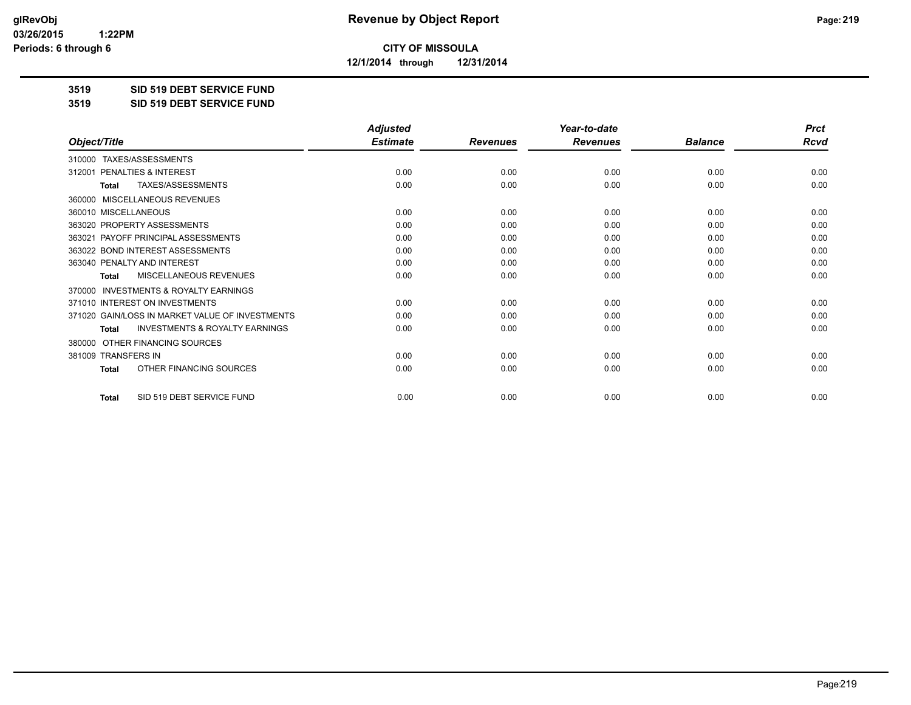**12/1/2014 through 12/31/2014**

#### **3519 SID 519 DEBT SERVICE FUND**

**3519 SID 519 DEBT SERVICE FUND**

|                                                           | <b>Adjusted</b> |                 | Year-to-date    |                | <b>Prct</b> |
|-----------------------------------------------------------|-----------------|-----------------|-----------------|----------------|-------------|
| Object/Title                                              | <b>Estimate</b> | <b>Revenues</b> | <b>Revenues</b> | <b>Balance</b> | <b>Rcvd</b> |
| TAXES/ASSESSMENTS<br>310000                               |                 |                 |                 |                |             |
| 312001 PENALTIES & INTEREST                               | 0.00            | 0.00            | 0.00            | 0.00           | 0.00        |
| TAXES/ASSESSMENTS<br><b>Total</b>                         | 0.00            | 0.00            | 0.00            | 0.00           | 0.00        |
| MISCELLANEOUS REVENUES<br>360000                          |                 |                 |                 |                |             |
| 360010 MISCELLANEOUS                                      | 0.00            | 0.00            | 0.00            | 0.00           | 0.00        |
| 363020 PROPERTY ASSESSMENTS                               | 0.00            | 0.00            | 0.00            | 0.00           | 0.00        |
| 363021 PAYOFF PRINCIPAL ASSESSMENTS                       | 0.00            | 0.00            | 0.00            | 0.00           | 0.00        |
| 363022 BOND INTEREST ASSESSMENTS                          | 0.00            | 0.00            | 0.00            | 0.00           | 0.00        |
| 363040 PENALTY AND INTEREST                               | 0.00            | 0.00            | 0.00            | 0.00           | 0.00        |
| <b>MISCELLANEOUS REVENUES</b><br><b>Total</b>             | 0.00            | 0.00            | 0.00            | 0.00           | 0.00        |
| <b>INVESTMENTS &amp; ROYALTY EARNINGS</b><br>370000       |                 |                 |                 |                |             |
| 371010 INTEREST ON INVESTMENTS                            | 0.00            | 0.00            | 0.00            | 0.00           | 0.00        |
| 371020 GAIN/LOSS IN MARKET VALUE OF INVESTMENTS           | 0.00            | 0.00            | 0.00            | 0.00           | 0.00        |
| <b>INVESTMENTS &amp; ROYALTY EARNINGS</b><br><b>Total</b> | 0.00            | 0.00            | 0.00            | 0.00           | 0.00        |
| OTHER FINANCING SOURCES<br>380000                         |                 |                 |                 |                |             |
| 381009 TRANSFERS IN                                       | 0.00            | 0.00            | 0.00            | 0.00           | 0.00        |
| OTHER FINANCING SOURCES<br>Total                          | 0.00            | 0.00            | 0.00            | 0.00           | 0.00        |
| SID 519 DEBT SERVICE FUND<br><b>Total</b>                 | 0.00            | 0.00            | 0.00            | 0.00           | 0.00        |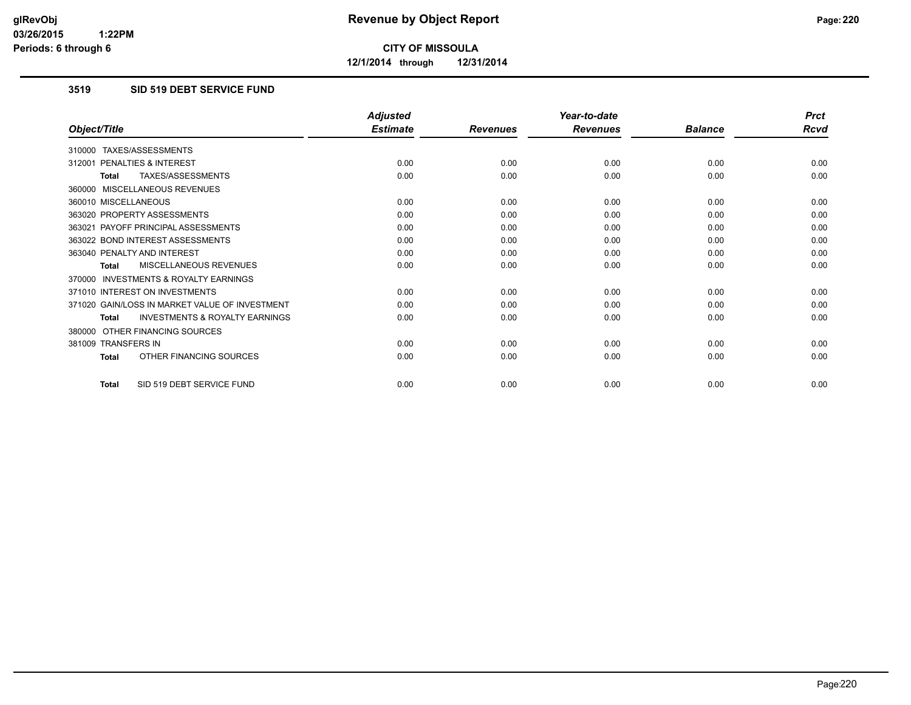**12/1/2014 through 12/31/2014**

## **3519 SID 519 DEBT SERVICE FUND**

|                                                           | <b>Adjusted</b> |                 | Year-to-date    |                | <b>Prct</b> |
|-----------------------------------------------------------|-----------------|-----------------|-----------------|----------------|-------------|
| Object/Title                                              | <b>Estimate</b> | <b>Revenues</b> | <b>Revenues</b> | <b>Balance</b> | <b>Rcvd</b> |
| 310000 TAXES/ASSESSMENTS                                  |                 |                 |                 |                |             |
| PENALTIES & INTEREST<br>312001                            | 0.00            | 0.00            | 0.00            | 0.00           | 0.00        |
| TAXES/ASSESSMENTS<br><b>Total</b>                         | 0.00            | 0.00            | 0.00            | 0.00           | 0.00        |
| 360000 MISCELLANEOUS REVENUES                             |                 |                 |                 |                |             |
| 360010 MISCELLANEOUS                                      | 0.00            | 0.00            | 0.00            | 0.00           | 0.00        |
| 363020 PROPERTY ASSESSMENTS                               | 0.00            | 0.00            | 0.00            | 0.00           | 0.00        |
| 363021 PAYOFF PRINCIPAL ASSESSMENTS                       | 0.00            | 0.00            | 0.00            | 0.00           | 0.00        |
| 363022 BOND INTEREST ASSESSMENTS                          | 0.00            | 0.00            | 0.00            | 0.00           | 0.00        |
| 363040 PENALTY AND INTEREST                               | 0.00            | 0.00            | 0.00            | 0.00           | 0.00        |
| MISCELLANEOUS REVENUES<br><b>Total</b>                    | 0.00            | 0.00            | 0.00            | 0.00           | 0.00        |
| <b>INVESTMENTS &amp; ROYALTY EARNINGS</b><br>370000       |                 |                 |                 |                |             |
| 371010 INTEREST ON INVESTMENTS                            | 0.00            | 0.00            | 0.00            | 0.00           | 0.00        |
| 371020 GAIN/LOSS IN MARKET VALUE OF INVESTMENT            | 0.00            | 0.00            | 0.00            | 0.00           | 0.00        |
| <b>INVESTMENTS &amp; ROYALTY EARNINGS</b><br><b>Total</b> | 0.00            | 0.00            | 0.00            | 0.00           | 0.00        |
| OTHER FINANCING SOURCES<br>380000                         |                 |                 |                 |                |             |
| 381009 TRANSFERS IN                                       | 0.00            | 0.00            | 0.00            | 0.00           | 0.00        |
| OTHER FINANCING SOURCES<br><b>Total</b>                   | 0.00            | 0.00            | 0.00            | 0.00           | 0.00        |
| SID 519 DEBT SERVICE FUND<br><b>Total</b>                 | 0.00            | 0.00            | 0.00            | 0.00           | 0.00        |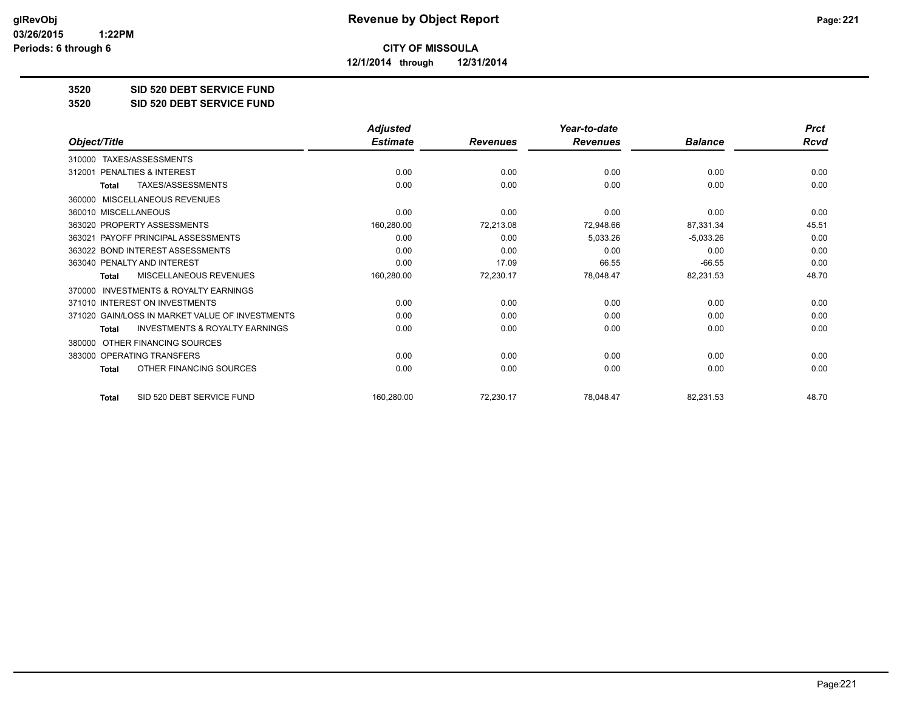**12/1/2014 through 12/31/2014**

#### **3520 SID 520 DEBT SERVICE FUND**

**3520 SID 520 DEBT SERVICE FUND**

|                                                    | <b>Adjusted</b> |                 | Year-to-date    |                | <b>Prct</b> |
|----------------------------------------------------|-----------------|-----------------|-----------------|----------------|-------------|
| Object/Title                                       | <b>Estimate</b> | <b>Revenues</b> | <b>Revenues</b> | <b>Balance</b> | <b>Rcvd</b> |
| TAXES/ASSESSMENTS<br>310000                        |                 |                 |                 |                |             |
| 312001 PENALTIES & INTEREST                        | 0.00            | 0.00            | 0.00            | 0.00           | 0.00        |
| <b>TAXES/ASSESSMENTS</b><br><b>Total</b>           | 0.00            | 0.00            | 0.00            | 0.00           | 0.00        |
| MISCELLANEOUS REVENUES<br>360000                   |                 |                 |                 |                |             |
| 360010 MISCELLANEOUS                               | 0.00            | 0.00            | 0.00            | 0.00           | 0.00        |
| 363020 PROPERTY ASSESSMENTS                        | 160,280.00      | 72,213.08       | 72,948.66       | 87,331.34      | 45.51       |
| 363021 PAYOFF PRINCIPAL ASSESSMENTS                | 0.00            | 0.00            | 5,033.26        | $-5,033.26$    | 0.00        |
| 363022 BOND INTEREST ASSESSMENTS                   | 0.00            | 0.00            | 0.00            | 0.00           | 0.00        |
| 363040 PENALTY AND INTEREST                        | 0.00            | 17.09           | 66.55           | $-66.55$       | 0.00        |
| <b>MISCELLANEOUS REVENUES</b><br>Total             | 160,280.00      | 72,230.17       | 78,048.47       | 82,231.53      | 48.70       |
| INVESTMENTS & ROYALTY EARNINGS<br>370000           |                 |                 |                 |                |             |
| 371010 INTEREST ON INVESTMENTS                     | 0.00            | 0.00            | 0.00            | 0.00           | 0.00        |
| 371020 GAIN/LOSS IN MARKET VALUE OF INVESTMENTS    | 0.00            | 0.00            | 0.00            | 0.00           | 0.00        |
| <b>INVESTMENTS &amp; ROYALTY EARNINGS</b><br>Total | 0.00            | 0.00            | 0.00            | 0.00           | 0.00        |
| OTHER FINANCING SOURCES<br>380000                  |                 |                 |                 |                |             |
| 383000 OPERATING TRANSFERS                         | 0.00            | 0.00            | 0.00            | 0.00           | 0.00        |
| OTHER FINANCING SOURCES<br><b>Total</b>            | 0.00            | 0.00            | 0.00            | 0.00           | 0.00        |
| SID 520 DEBT SERVICE FUND<br><b>Total</b>          | 160,280.00      | 72,230.17       | 78,048.47       | 82,231.53      | 48.70       |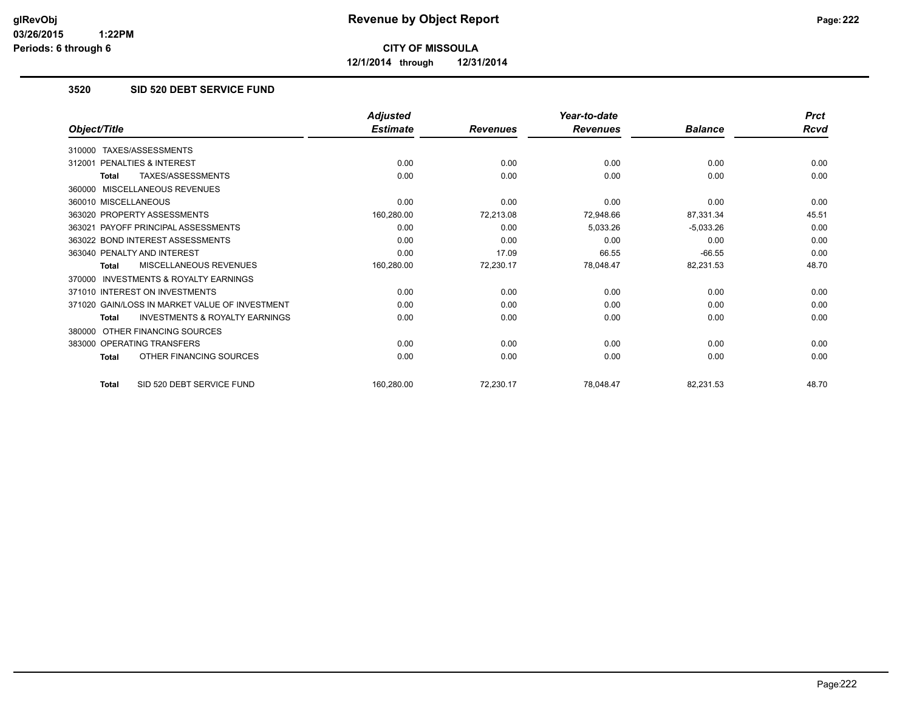**12/1/2014 through 12/31/2014**

## **3520 SID 520 DEBT SERVICE FUND**

|                                                     | <b>Adjusted</b> |                 | Year-to-date    |                | <b>Prct</b> |
|-----------------------------------------------------|-----------------|-----------------|-----------------|----------------|-------------|
| Object/Title                                        | <b>Estimate</b> | <b>Revenues</b> | <b>Revenues</b> | <b>Balance</b> | Rcvd        |
| 310000 TAXES/ASSESSMENTS                            |                 |                 |                 |                |             |
| PENALTIES & INTEREST<br>312001                      | 0.00            | 0.00            | 0.00            | 0.00           | 0.00        |
| <b>TAXES/ASSESSMENTS</b><br><b>Total</b>            | 0.00            | 0.00            | 0.00            | 0.00           | 0.00        |
| 360000 MISCELLANEOUS REVENUES                       |                 |                 |                 |                |             |
| 360010 MISCELLANEOUS                                | 0.00            | 0.00            | 0.00            | 0.00           | 0.00        |
| 363020 PROPERTY ASSESSMENTS                         | 160,280.00      | 72,213.08       | 72,948.66       | 87,331.34      | 45.51       |
| 363021 PAYOFF PRINCIPAL ASSESSMENTS                 | 0.00            | 0.00            | 5,033.26        | $-5,033.26$    | 0.00        |
| 363022 BOND INTEREST ASSESSMENTS                    | 0.00            | 0.00            | 0.00            | 0.00           | 0.00        |
| 363040 PENALTY AND INTEREST                         | 0.00            | 17.09           | 66.55           | $-66.55$       | 0.00        |
| MISCELLANEOUS REVENUES<br><b>Total</b>              | 160,280.00      | 72,230.17       | 78,048.47       | 82,231.53      | 48.70       |
| <b>INVESTMENTS &amp; ROYALTY EARNINGS</b><br>370000 |                 |                 |                 |                |             |
| 371010 INTEREST ON INVESTMENTS                      | 0.00            | 0.00            | 0.00            | 0.00           | 0.00        |
| 371020 GAIN/LOSS IN MARKET VALUE OF INVESTMENT      | 0.00            | 0.00            | 0.00            | 0.00           | 0.00        |
| <b>INVESTMENTS &amp; ROYALTY EARNINGS</b><br>Total  | 0.00            | 0.00            | 0.00            | 0.00           | 0.00        |
| 380000 OTHER FINANCING SOURCES                      |                 |                 |                 |                |             |
| 383000 OPERATING TRANSFERS                          | 0.00            | 0.00            | 0.00            | 0.00           | 0.00        |
| OTHER FINANCING SOURCES<br>Total                    | 0.00            | 0.00            | 0.00            | 0.00           | 0.00        |
| SID 520 DEBT SERVICE FUND<br><b>Total</b>           | 160,280.00      | 72,230.17       | 78,048.47       | 82,231.53      | 48.70       |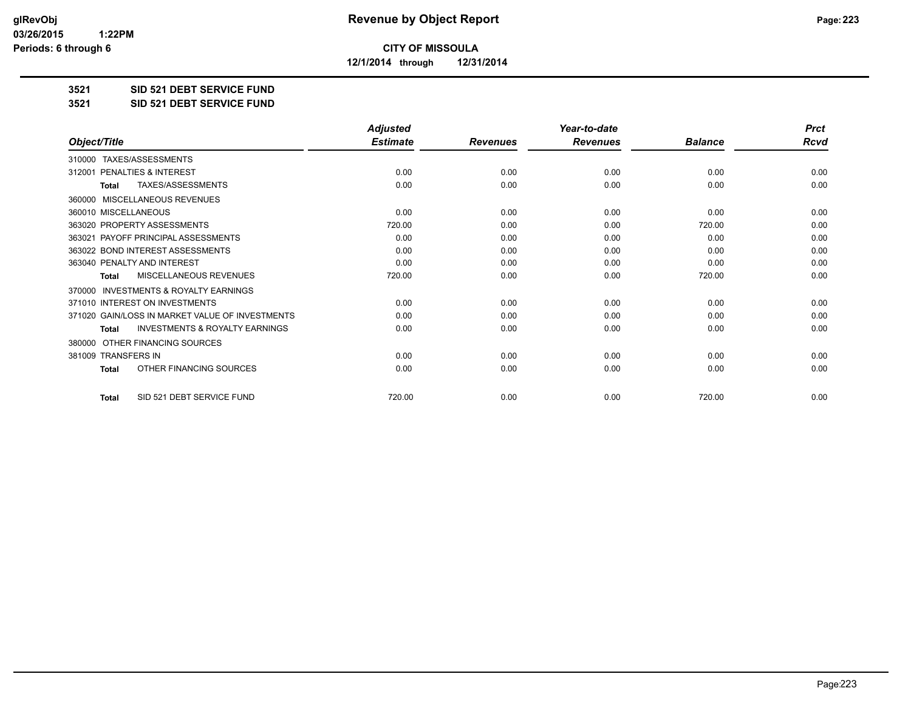**12/1/2014 through 12/31/2014**

**3521 SID 521 DEBT SERVICE FUND**

**3521 SID 521 DEBT SERVICE FUND**

|                                                           | <b>Adjusted</b> |                 | Year-to-date    |                | <b>Prct</b> |
|-----------------------------------------------------------|-----------------|-----------------|-----------------|----------------|-------------|
| Object/Title                                              | <b>Estimate</b> | <b>Revenues</b> | <b>Revenues</b> | <b>Balance</b> | <b>Rcvd</b> |
| TAXES/ASSESSMENTS<br>310000                               |                 |                 |                 |                |             |
| 312001 PENALTIES & INTEREST                               | 0.00            | 0.00            | 0.00            | 0.00           | 0.00        |
| TAXES/ASSESSMENTS<br><b>Total</b>                         | 0.00            | 0.00            | 0.00            | 0.00           | 0.00        |
| MISCELLANEOUS REVENUES<br>360000                          |                 |                 |                 |                |             |
| 360010 MISCELLANEOUS                                      | 0.00            | 0.00            | 0.00            | 0.00           | 0.00        |
| 363020 PROPERTY ASSESSMENTS                               | 720.00          | 0.00            | 0.00            | 720.00         | 0.00        |
| 363021 PAYOFF PRINCIPAL ASSESSMENTS                       | 0.00            | 0.00            | 0.00            | 0.00           | 0.00        |
| 363022 BOND INTEREST ASSESSMENTS                          | 0.00            | 0.00            | 0.00            | 0.00           | 0.00        |
| 363040 PENALTY AND INTEREST                               | 0.00            | 0.00            | 0.00            | 0.00           | 0.00        |
| <b>MISCELLANEOUS REVENUES</b><br><b>Total</b>             | 720.00          | 0.00            | 0.00            | 720.00         | 0.00        |
| <b>INVESTMENTS &amp; ROYALTY EARNINGS</b><br>370000       |                 |                 |                 |                |             |
| 371010 INTEREST ON INVESTMENTS                            | 0.00            | 0.00            | 0.00            | 0.00           | 0.00        |
| 371020 GAIN/LOSS IN MARKET VALUE OF INVESTMENTS           | 0.00            | 0.00            | 0.00            | 0.00           | 0.00        |
| <b>INVESTMENTS &amp; ROYALTY EARNINGS</b><br><b>Total</b> | 0.00            | 0.00            | 0.00            | 0.00           | 0.00        |
| OTHER FINANCING SOURCES<br>380000                         |                 |                 |                 |                |             |
| 381009 TRANSFERS IN                                       | 0.00            | 0.00            | 0.00            | 0.00           | 0.00        |
| OTHER FINANCING SOURCES<br><b>Total</b>                   | 0.00            | 0.00            | 0.00            | 0.00           | 0.00        |
| SID 521 DEBT SERVICE FUND<br><b>Total</b>                 | 720.00          | 0.00            | 0.00            | 720.00         | 0.00        |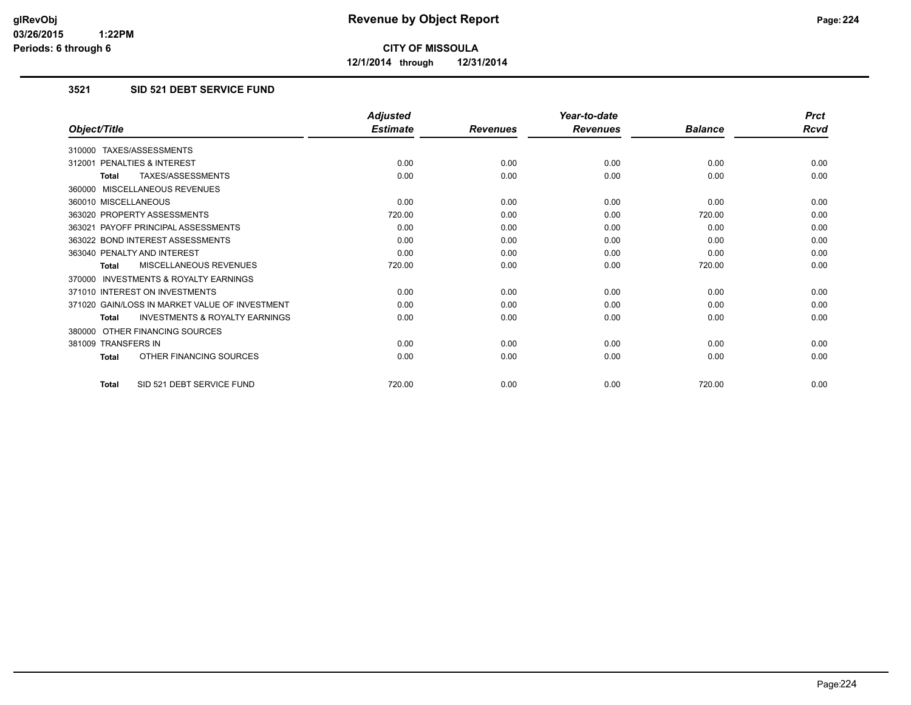**12/1/2014 through 12/31/2014**

## **3521 SID 521 DEBT SERVICE FUND**

|                                                           | <b>Adjusted</b> |                 | Year-to-date    |                | <b>Prct</b> |
|-----------------------------------------------------------|-----------------|-----------------|-----------------|----------------|-------------|
| Object/Title                                              | <b>Estimate</b> | <b>Revenues</b> | <b>Revenues</b> | <b>Balance</b> | Rcvd        |
| 310000 TAXES/ASSESSMENTS                                  |                 |                 |                 |                |             |
| PENALTIES & INTEREST<br>312001                            | 0.00            | 0.00            | 0.00            | 0.00           | 0.00        |
| TAXES/ASSESSMENTS<br><b>Total</b>                         | 0.00            | 0.00            | 0.00            | 0.00           | 0.00        |
| 360000 MISCELLANEOUS REVENUES                             |                 |                 |                 |                |             |
| 360010 MISCELLANEOUS                                      | 0.00            | 0.00            | 0.00            | 0.00           | 0.00        |
| 363020 PROPERTY ASSESSMENTS                               | 720.00          | 0.00            | 0.00            | 720.00         | 0.00        |
| 363021 PAYOFF PRINCIPAL ASSESSMENTS                       | 0.00            | 0.00            | 0.00            | 0.00           | 0.00        |
| 363022 BOND INTEREST ASSESSMENTS                          | 0.00            | 0.00            | 0.00            | 0.00           | 0.00        |
| 363040 PENALTY AND INTEREST                               | 0.00            | 0.00            | 0.00            | 0.00           | 0.00        |
| MISCELLANEOUS REVENUES<br><b>Total</b>                    | 720.00          | 0.00            | 0.00            | 720.00         | 0.00        |
| <b>INVESTMENTS &amp; ROYALTY EARNINGS</b><br>370000       |                 |                 |                 |                |             |
| 371010 INTEREST ON INVESTMENTS                            | 0.00            | 0.00            | 0.00            | 0.00           | 0.00        |
| 371020 GAIN/LOSS IN MARKET VALUE OF INVESTMENT            | 0.00            | 0.00            | 0.00            | 0.00           | 0.00        |
| <b>INVESTMENTS &amp; ROYALTY EARNINGS</b><br><b>Total</b> | 0.00            | 0.00            | 0.00            | 0.00           | 0.00        |
| OTHER FINANCING SOURCES<br>380000                         |                 |                 |                 |                |             |
| 381009 TRANSFERS IN                                       | 0.00            | 0.00            | 0.00            | 0.00           | 0.00        |
| OTHER FINANCING SOURCES<br><b>Total</b>                   | 0.00            | 0.00            | 0.00            | 0.00           | 0.00        |
| SID 521 DEBT SERVICE FUND<br><b>Total</b>                 | 720.00          | 0.00            | 0.00            | 720.00         | 0.00        |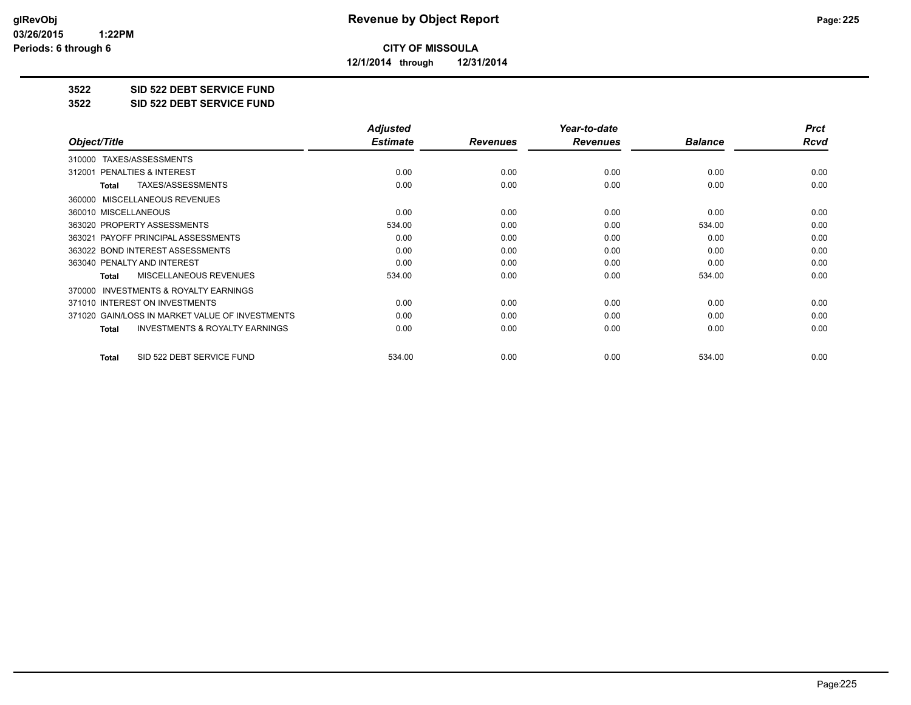**12/1/2014 through 12/31/2014**

## **3522 SID 522 DEBT SERVICE FUND**

**3522 SID 522 DEBT SERVICE FUND**

|                                                           | <b>Adjusted</b> |                 | Year-to-date    |                | <b>Prct</b> |
|-----------------------------------------------------------|-----------------|-----------------|-----------------|----------------|-------------|
| Object/Title                                              | <b>Estimate</b> | <b>Revenues</b> | <b>Revenues</b> | <b>Balance</b> | Rcvd        |
| TAXES/ASSESSMENTS<br>310000                               |                 |                 |                 |                |             |
| 312001 PENALTIES & INTEREST                               | 0.00            | 0.00            | 0.00            | 0.00           | 0.00        |
| TAXES/ASSESSMENTS<br><b>Total</b>                         | 0.00            | 0.00            | 0.00            | 0.00           | 0.00        |
| MISCELLANEOUS REVENUES<br>360000                          |                 |                 |                 |                |             |
| 360010 MISCELLANEOUS                                      | 0.00            | 0.00            | 0.00            | 0.00           | 0.00        |
| 363020 PROPERTY ASSESSMENTS                               | 534.00          | 0.00            | 0.00            | 534.00         | 0.00        |
| 363021 PAYOFF PRINCIPAL ASSESSMENTS                       | 0.00            | 0.00            | 0.00            | 0.00           | 0.00        |
| 363022 BOND INTEREST ASSESSMENTS                          | 0.00            | 0.00            | 0.00            | 0.00           | 0.00        |
| 363040 PENALTY AND INTEREST                               | 0.00            | 0.00            | 0.00            | 0.00           | 0.00        |
| MISCELLANEOUS REVENUES<br><b>Total</b>                    | 534.00          | 0.00            | 0.00            | 534.00         | 0.00        |
| INVESTMENTS & ROYALTY EARNINGS<br>370000                  |                 |                 |                 |                |             |
| 371010 INTEREST ON INVESTMENTS                            | 0.00            | 0.00            | 0.00            | 0.00           | 0.00        |
| 371020 GAIN/LOSS IN MARKET VALUE OF INVESTMENTS           | 0.00            | 0.00            | 0.00            | 0.00           | 0.00        |
| <b>INVESTMENTS &amp; ROYALTY EARNINGS</b><br><b>Total</b> | 0.00            | 0.00            | 0.00            | 0.00           | 0.00        |
| SID 522 DEBT SERVICE FUND<br><b>Total</b>                 | 534.00          | 0.00            | 0.00            | 534.00         | 0.00        |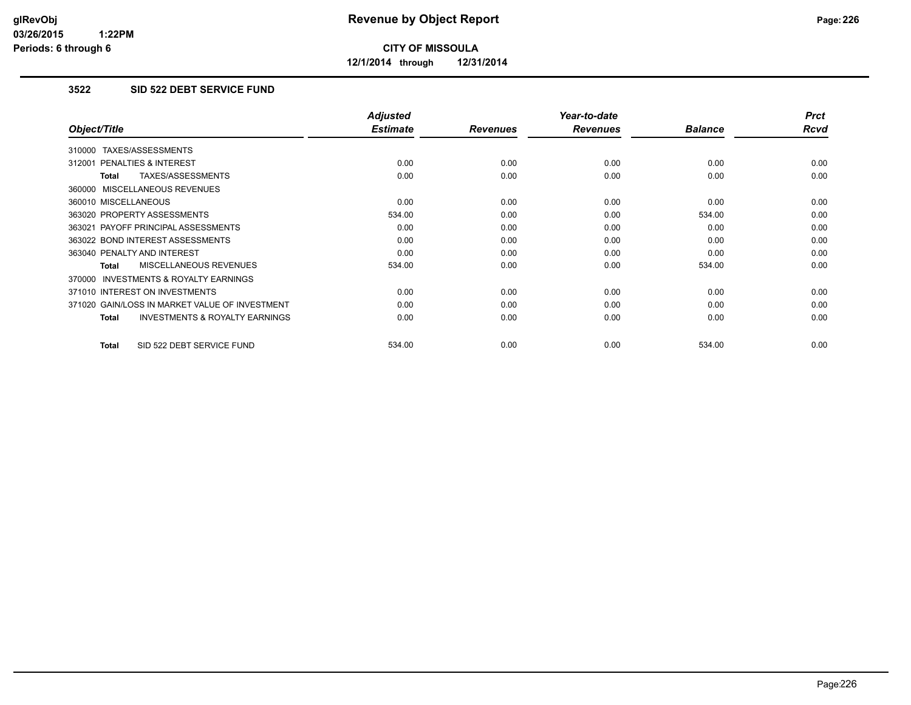**12/1/2014 through 12/31/2014**

#### **3522 SID 522 DEBT SERVICE FUND**

|                                                           | <b>Adjusted</b> |                 | Year-to-date    |                | <b>Prct</b> |
|-----------------------------------------------------------|-----------------|-----------------|-----------------|----------------|-------------|
| Object/Title                                              | <b>Estimate</b> | <b>Revenues</b> | <b>Revenues</b> | <b>Balance</b> | <b>Rcvd</b> |
| 310000 TAXES/ASSESSMENTS                                  |                 |                 |                 |                |             |
| 312001 PENALTIES & INTEREST                               | 0.00            | 0.00            | 0.00            | 0.00           | 0.00        |
| TAXES/ASSESSMENTS<br>Total                                | 0.00            | 0.00            | 0.00            | 0.00           | 0.00        |
| 360000 MISCELLANEOUS REVENUES                             |                 |                 |                 |                |             |
| 360010 MISCELLANEOUS                                      | 0.00            | 0.00            | 0.00            | 0.00           | 0.00        |
| 363020 PROPERTY ASSESSMENTS                               | 534.00          | 0.00            | 0.00            | 534.00         | 0.00        |
| 363021 PAYOFF PRINCIPAL ASSESSMENTS                       | 0.00            | 0.00            | 0.00            | 0.00           | 0.00        |
| 363022 BOND INTEREST ASSESSMENTS                          | 0.00            | 0.00            | 0.00            | 0.00           | 0.00        |
| 363040 PENALTY AND INTEREST                               | 0.00            | 0.00            | 0.00            | 0.00           | 0.00        |
| MISCELLANEOUS REVENUES<br>Total                           | 534.00          | 0.00            | 0.00            | 534.00         | 0.00        |
| <b>INVESTMENTS &amp; ROYALTY EARNINGS</b><br>370000       |                 |                 |                 |                |             |
| 371010 INTEREST ON INVESTMENTS                            | 0.00            | 0.00            | 0.00            | 0.00           | 0.00        |
| 371020 GAIN/LOSS IN MARKET VALUE OF INVESTMENT            | 0.00            | 0.00            | 0.00            | 0.00           | 0.00        |
| <b>INVESTMENTS &amp; ROYALTY EARNINGS</b><br><b>Total</b> | 0.00            | 0.00            | 0.00            | 0.00           | 0.00        |
| SID 522 DEBT SERVICE FUND<br><b>Total</b>                 | 534.00          | 0.00            | 0.00            | 534.00         | 0.00        |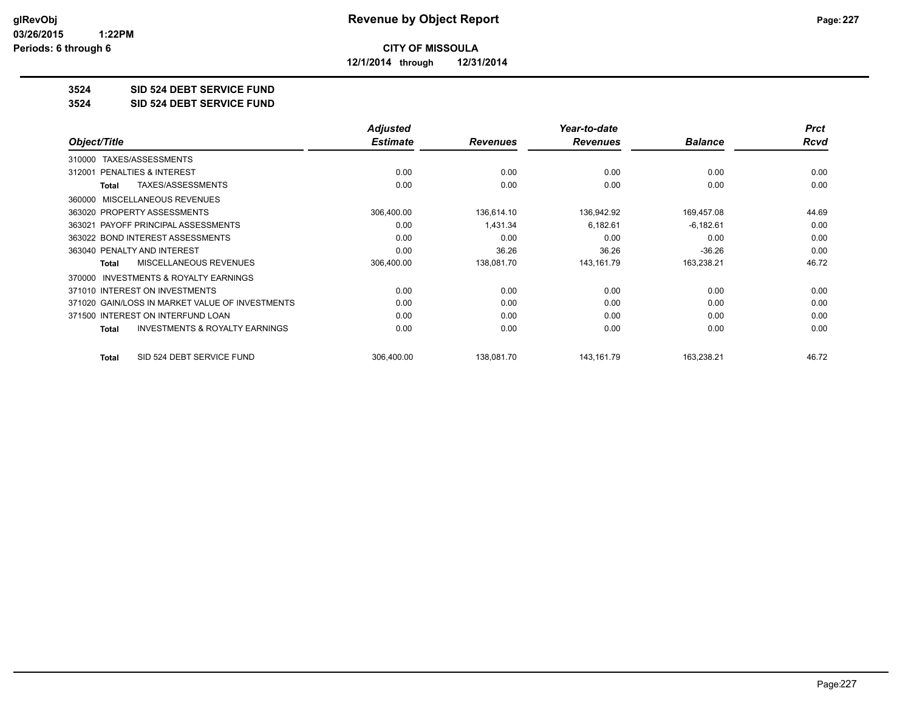**12/1/2014 through 12/31/2014**

#### **3524 SID 524 DEBT SERVICE FUND**

**3524 SID 524 DEBT SERVICE FUND**

|                                                           | <b>Adjusted</b> |                 | Year-to-date    |                | <b>Prct</b> |
|-----------------------------------------------------------|-----------------|-----------------|-----------------|----------------|-------------|
| Object/Title                                              | <b>Estimate</b> | <b>Revenues</b> | <b>Revenues</b> | <b>Balance</b> | Rcvd        |
| TAXES/ASSESSMENTS<br>310000                               |                 |                 |                 |                |             |
| 312001 PENALTIES & INTEREST                               | 0.00            | 0.00            | 0.00            | 0.00           | 0.00        |
| TAXES/ASSESSMENTS<br>Total                                | 0.00            | 0.00            | 0.00            | 0.00           | 0.00        |
| MISCELLANEOUS REVENUES<br>360000                          |                 |                 |                 |                |             |
| 363020 PROPERTY ASSESSMENTS                               | 306,400.00      | 136,614.10      | 136,942.92      | 169,457.08     | 44.69       |
| 363021 PAYOFF PRINCIPAL ASSESSMENTS                       | 0.00            | 1,431.34        | 6,182.61        | $-6,182.61$    | 0.00        |
| 363022 BOND INTEREST ASSESSMENTS                          | 0.00            | 0.00            | 0.00            | 0.00           | 0.00        |
| 363040 PENALTY AND INTEREST                               | 0.00            | 36.26           | 36.26           | $-36.26$       | 0.00        |
| MISCELLANEOUS REVENUES<br>Total                           | 306,400.00      | 138,081.70      | 143,161.79      | 163,238.21     | 46.72       |
| <b>INVESTMENTS &amp; ROYALTY EARNINGS</b><br>370000       |                 |                 |                 |                |             |
| 371010 INTEREST ON INVESTMENTS                            | 0.00            | 0.00            | 0.00            | 0.00           | 0.00        |
| 371020 GAIN/LOSS IN MARKET VALUE OF INVESTMENTS           | 0.00            | 0.00            | 0.00            | 0.00           | 0.00        |
| 371500 INTEREST ON INTERFUND LOAN                         | 0.00            | 0.00            | 0.00            | 0.00           | 0.00        |
| <b>INVESTMENTS &amp; ROYALTY EARNINGS</b><br><b>Total</b> | 0.00            | 0.00            | 0.00            | 0.00           | 0.00        |
| SID 524 DEBT SERVICE FUND<br><b>Total</b>                 | 306,400.00      | 138,081.70      | 143,161.79      | 163,238.21     | 46.72       |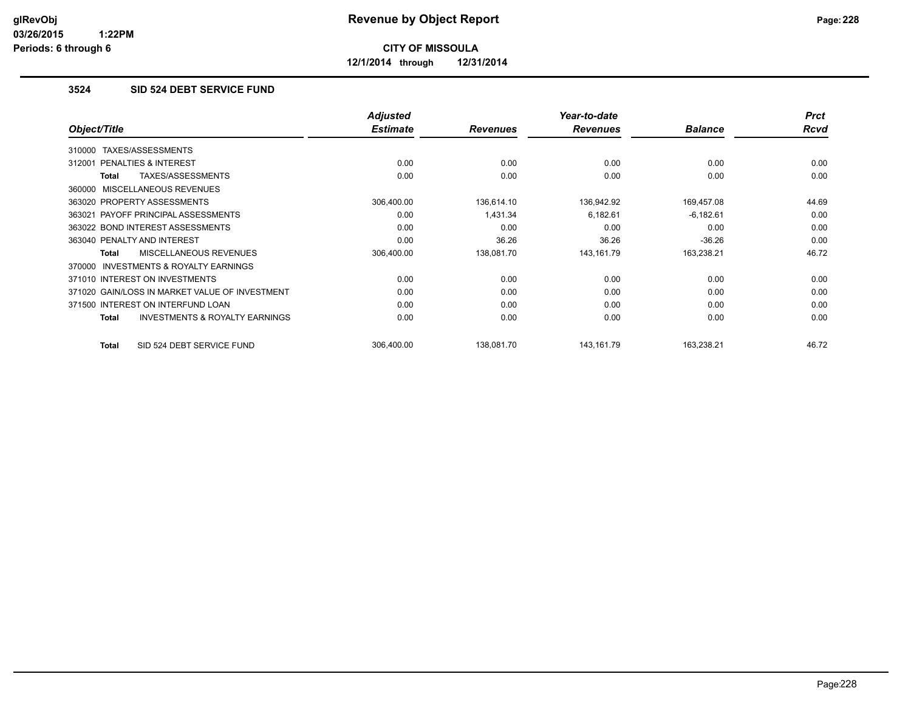**12/1/2014 through 12/31/2014**

#### **3524 SID 524 DEBT SERVICE FUND**

|                                                           | Adjusted        |                 | Year-to-date    |                | <b>Prct</b> |
|-----------------------------------------------------------|-----------------|-----------------|-----------------|----------------|-------------|
| Object/Title                                              | <b>Estimate</b> | <b>Revenues</b> | <b>Revenues</b> | <b>Balance</b> | Rcvd        |
| 310000 TAXES/ASSESSMENTS                                  |                 |                 |                 |                |             |
| 312001 PENALTIES & INTEREST                               | 0.00            | 0.00            | 0.00            | 0.00           | 0.00        |
| TAXES/ASSESSMENTS<br><b>Total</b>                         | 0.00            | 0.00            | 0.00            | 0.00           | 0.00        |
| 360000 MISCELLANEOUS REVENUES                             |                 |                 |                 |                |             |
| 363020 PROPERTY ASSESSMENTS                               | 306,400.00      | 136,614.10      | 136,942.92      | 169,457.08     | 44.69       |
| 363021 PAYOFF PRINCIPAL ASSESSMENTS                       | 0.00            | 1,431.34        | 6,182.61        | $-6,182.61$    | 0.00        |
| 363022 BOND INTEREST ASSESSMENTS                          | 0.00            | 0.00            | 0.00            | 0.00           | 0.00        |
| 363040 PENALTY AND INTEREST                               | 0.00            | 36.26           | 36.26           | $-36.26$       | 0.00        |
| MISCELLANEOUS REVENUES<br><b>Total</b>                    | 306,400.00      | 138,081.70      | 143,161.79      | 163,238.21     | 46.72       |
| INVESTMENTS & ROYALTY EARNINGS<br>370000                  |                 |                 |                 |                |             |
| 371010 INTEREST ON INVESTMENTS                            | 0.00            | 0.00            | 0.00            | 0.00           | 0.00        |
| 371020 GAIN/LOSS IN MARKET VALUE OF INVESTMENT            | 0.00            | 0.00            | 0.00            | 0.00           | 0.00        |
| 371500 INTEREST ON INTERFUND LOAN                         | 0.00            | 0.00            | 0.00            | 0.00           | 0.00        |
| <b>INVESTMENTS &amp; ROYALTY EARNINGS</b><br><b>Total</b> | 0.00            | 0.00            | 0.00            | 0.00           | 0.00        |
| SID 524 DEBT SERVICE FUND<br><b>Total</b>                 | 306.400.00      | 138.081.70      | 143.161.79      | 163,238.21     | 46.72       |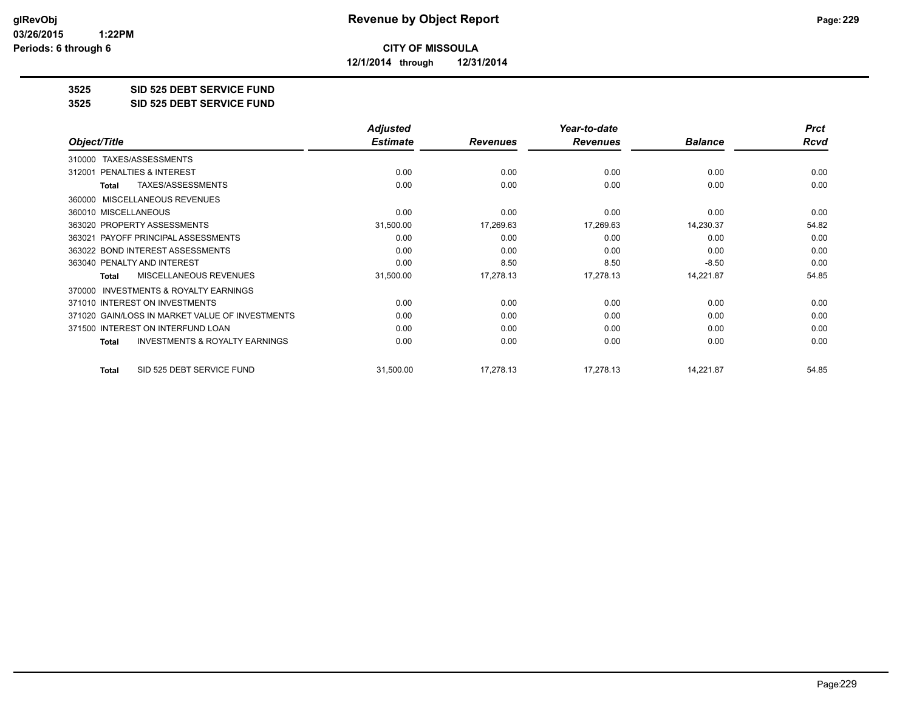**12/1/2014 through 12/31/2014**

#### **3525 SID 525 DEBT SERVICE FUND**

**3525 SID 525 DEBT SERVICE FUND**

|                                                           | <b>Adjusted</b> |                 | Year-to-date    |                | <b>Prct</b> |
|-----------------------------------------------------------|-----------------|-----------------|-----------------|----------------|-------------|
| Object/Title                                              | <b>Estimate</b> | <b>Revenues</b> | <b>Revenues</b> | <b>Balance</b> | Rcvd        |
| TAXES/ASSESSMENTS<br>310000                               |                 |                 |                 |                |             |
| <b>PENALTIES &amp; INTEREST</b><br>312001                 | 0.00            | 0.00            | 0.00            | 0.00           | 0.00        |
| TAXES/ASSESSMENTS<br><b>Total</b>                         | 0.00            | 0.00            | 0.00            | 0.00           | 0.00        |
| MISCELLANEOUS REVENUES<br>360000                          |                 |                 |                 |                |             |
| 360010 MISCELLANEOUS                                      | 0.00            | 0.00            | 0.00            | 0.00           | 0.00        |
| 363020 PROPERTY ASSESSMENTS                               | 31,500.00       | 17,269.63       | 17,269.63       | 14,230.37      | 54.82       |
| 363021 PAYOFF PRINCIPAL ASSESSMENTS                       | 0.00            | 0.00            | 0.00            | 0.00           | 0.00        |
| 363022 BOND INTEREST ASSESSMENTS                          | 0.00            | 0.00            | 0.00            | 0.00           | 0.00        |
| 363040 PENALTY AND INTEREST                               | 0.00            | 8.50            | 8.50            | $-8.50$        | 0.00        |
| <b>MISCELLANEOUS REVENUES</b><br><b>Total</b>             | 31,500.00       | 17,278.13       | 17,278.13       | 14,221.87      | 54.85       |
| <b>INVESTMENTS &amp; ROYALTY EARNINGS</b><br>370000       |                 |                 |                 |                |             |
| 371010 INTEREST ON INVESTMENTS                            | 0.00            | 0.00            | 0.00            | 0.00           | 0.00        |
| 371020 GAIN/LOSS IN MARKET VALUE OF INVESTMENTS           | 0.00            | 0.00            | 0.00            | 0.00           | 0.00        |
| 371500 INTEREST ON INTERFUND LOAN                         | 0.00            | 0.00            | 0.00            | 0.00           | 0.00        |
| <b>INVESTMENTS &amp; ROYALTY EARNINGS</b><br><b>Total</b> | 0.00            | 0.00            | 0.00            | 0.00           | 0.00        |
| SID 525 DEBT SERVICE FUND<br><b>Total</b>                 | 31,500.00       | 17,278.13       | 17,278.13       | 14,221.87      | 54.85       |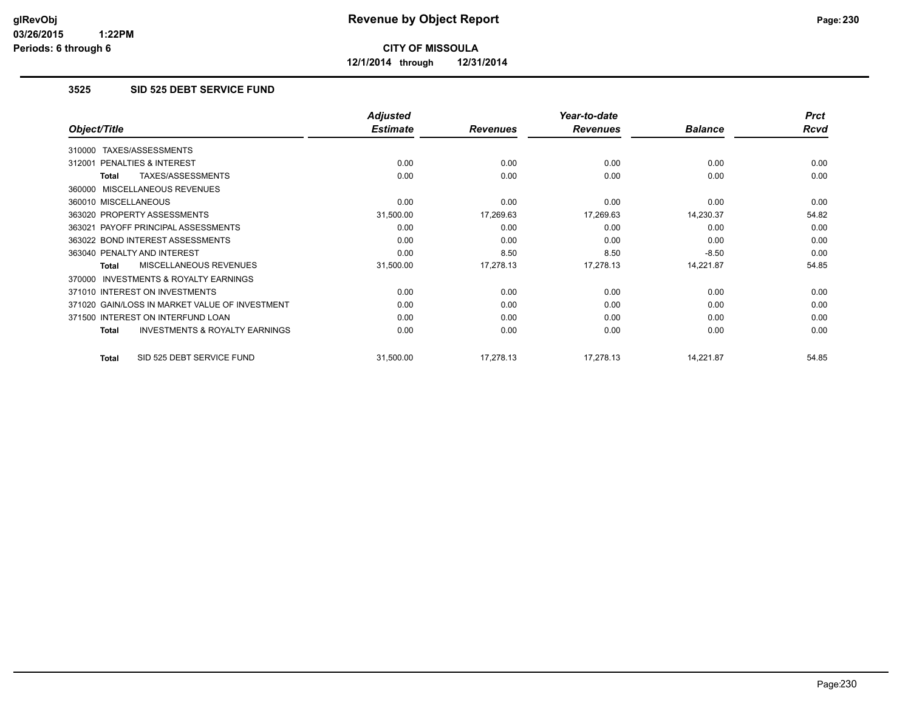**12/1/2014 through 12/31/2014**

#### **3525 SID 525 DEBT SERVICE FUND**

|                                                           | <b>Adjusted</b> |                 | Year-to-date    |                | <b>Prct</b> |
|-----------------------------------------------------------|-----------------|-----------------|-----------------|----------------|-------------|
| Object/Title                                              | <b>Estimate</b> | <b>Revenues</b> | <b>Revenues</b> | <b>Balance</b> | <b>Rcvd</b> |
| TAXES/ASSESSMENTS<br>310000                               |                 |                 |                 |                |             |
| PENALTIES & INTEREST<br>312001                            | 0.00            | 0.00            | 0.00            | 0.00           | 0.00        |
| TAXES/ASSESSMENTS<br>Total                                | 0.00            | 0.00            | 0.00            | 0.00           | 0.00        |
| 360000 MISCELLANEOUS REVENUES                             |                 |                 |                 |                |             |
| 360010 MISCELLANEOUS                                      | 0.00            | 0.00            | 0.00            | 0.00           | 0.00        |
| 363020 PROPERTY ASSESSMENTS                               | 31,500.00       | 17,269.63       | 17,269.63       | 14,230.37      | 54.82       |
| PAYOFF PRINCIPAL ASSESSMENTS<br>363021                    | 0.00            | 0.00            | 0.00            | 0.00           | 0.00        |
| 363022 BOND INTEREST ASSESSMENTS                          | 0.00            | 0.00            | 0.00            | 0.00           | 0.00        |
| 363040 PENALTY AND INTEREST                               | 0.00            | 8.50            | 8.50            | $-8.50$        | 0.00        |
| MISCELLANEOUS REVENUES<br>Total                           | 31,500.00       | 17,278.13       | 17,278.13       | 14,221.87      | 54.85       |
| 370000 INVESTMENTS & ROYALTY EARNINGS                     |                 |                 |                 |                |             |
| 371010 INTEREST ON INVESTMENTS                            | 0.00            | 0.00            | 0.00            | 0.00           | 0.00        |
| 371020 GAIN/LOSS IN MARKET VALUE OF INVESTMENT            | 0.00            | 0.00            | 0.00            | 0.00           | 0.00        |
| 371500 INTEREST ON INTERFUND LOAN                         | 0.00            | 0.00            | 0.00            | 0.00           | 0.00        |
| <b>INVESTMENTS &amp; ROYALTY EARNINGS</b><br><b>Total</b> | 0.00            | 0.00            | 0.00            | 0.00           | 0.00        |
| SID 525 DEBT SERVICE FUND<br><b>Total</b>                 | 31,500.00       | 17,278.13       | 17,278.13       | 14,221.87      | 54.85       |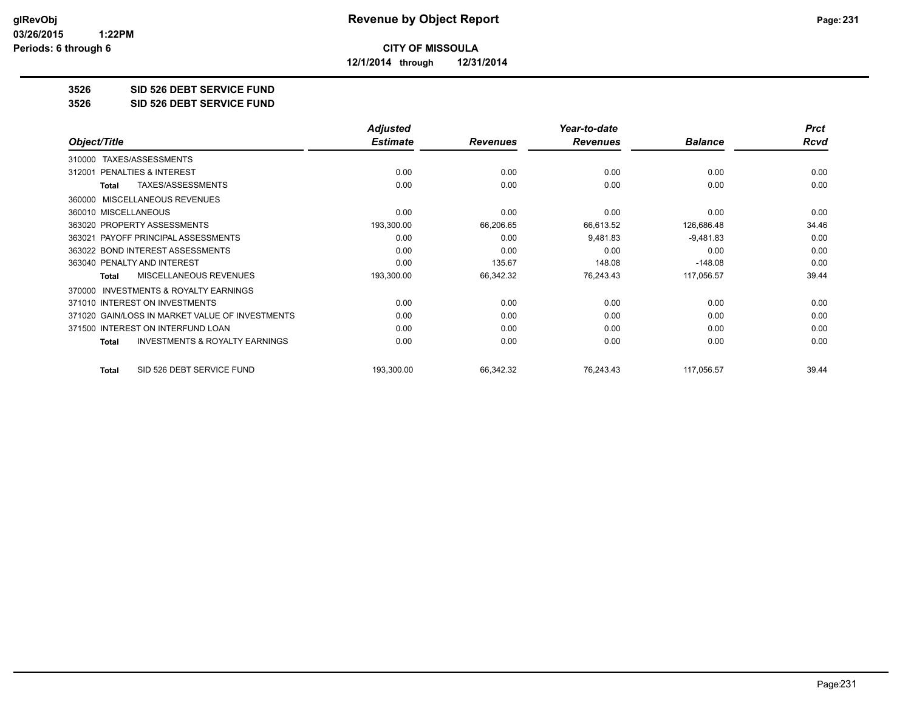**12/1/2014 through 12/31/2014**

#### **3526 SID 526 DEBT SERVICE FUND**

**3526 SID 526 DEBT SERVICE FUND**

|                                                     | <b>Adjusted</b> |                 | Year-to-date    |                | <b>Prct</b> |
|-----------------------------------------------------|-----------------|-----------------|-----------------|----------------|-------------|
| Object/Title                                        | <b>Estimate</b> | <b>Revenues</b> | <b>Revenues</b> | <b>Balance</b> | <b>Rcvd</b> |
| TAXES/ASSESSMENTS<br>310000                         |                 |                 |                 |                |             |
| PENALTIES & INTEREST<br>312001                      | 0.00            | 0.00            | 0.00            | 0.00           | 0.00        |
| TAXES/ASSESSMENTS<br><b>Total</b>                   | 0.00            | 0.00            | 0.00            | 0.00           | 0.00        |
| MISCELLANEOUS REVENUES<br>360000                    |                 |                 |                 |                |             |
| 360010 MISCELLANEOUS                                | 0.00            | 0.00            | 0.00            | 0.00           | 0.00        |
| 363020 PROPERTY ASSESSMENTS                         | 193,300.00      | 66,206.65       | 66,613.52       | 126,686.48     | 34.46       |
| 363021 PAYOFF PRINCIPAL ASSESSMENTS                 | 0.00            | 0.00            | 9,481.83        | $-9,481.83$    | 0.00        |
| 363022 BOND INTEREST ASSESSMENTS                    | 0.00            | 0.00            | 0.00            | 0.00           | 0.00        |
| 363040 PENALTY AND INTEREST                         | 0.00            | 135.67          | 148.08          | $-148.08$      | 0.00        |
| <b>MISCELLANEOUS REVENUES</b><br>Total              | 193,300.00      | 66,342.32       | 76,243.43       | 117,056.57     | 39.44       |
| <b>INVESTMENTS &amp; ROYALTY EARNINGS</b><br>370000 |                 |                 |                 |                |             |
| 371010 INTEREST ON INVESTMENTS                      | 0.00            | 0.00            | 0.00            | 0.00           | 0.00        |
| 371020 GAIN/LOSS IN MARKET VALUE OF INVESTMENTS     | 0.00            | 0.00            | 0.00            | 0.00           | 0.00        |
| 371500 INTEREST ON INTERFUND LOAN                   | 0.00            | 0.00            | 0.00            | 0.00           | 0.00        |
| <b>INVESTMENTS &amp; ROYALTY EARNINGS</b><br>Total  | 0.00            | 0.00            | 0.00            | 0.00           | 0.00        |
| SID 526 DEBT SERVICE FUND<br><b>Total</b>           | 193,300.00      | 66,342.32       | 76,243.43       | 117,056.57     | 39.44       |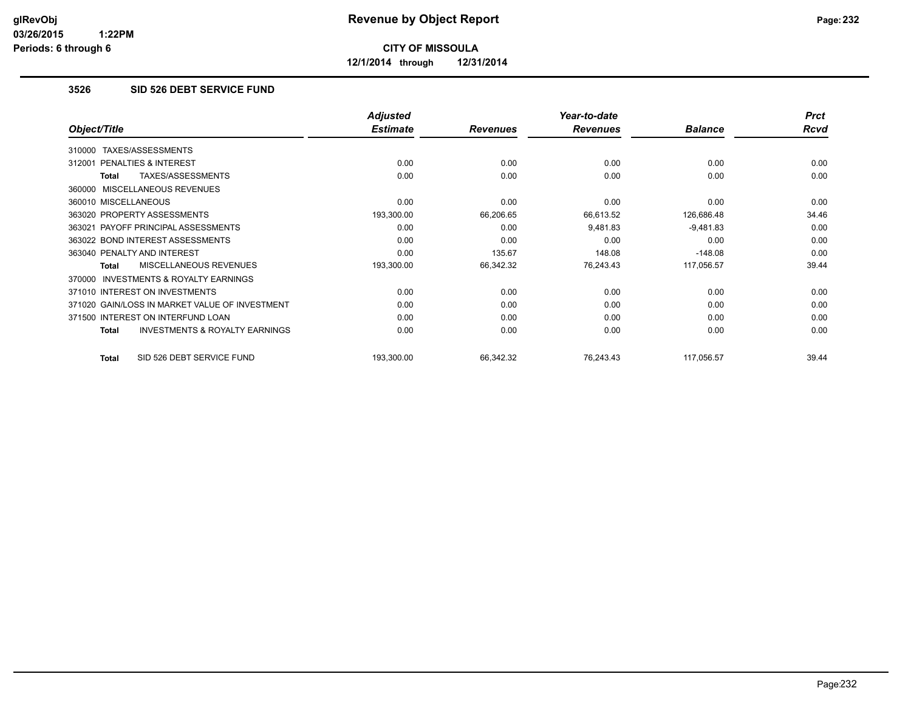**12/1/2014 through 12/31/2014**

#### **3526 SID 526 DEBT SERVICE FUND**

|                                                           | <b>Adjusted</b> |                 | Year-to-date    |                | <b>Prct</b> |
|-----------------------------------------------------------|-----------------|-----------------|-----------------|----------------|-------------|
| Object/Title                                              | <b>Estimate</b> | <b>Revenues</b> | <b>Revenues</b> | <b>Balance</b> | <b>Rcvd</b> |
| TAXES/ASSESSMENTS<br>310000                               |                 |                 |                 |                |             |
| PENALTIES & INTEREST<br>312001                            | 0.00            | 0.00            | 0.00            | 0.00           | 0.00        |
| TAXES/ASSESSMENTS<br><b>Total</b>                         | 0.00            | 0.00            | 0.00            | 0.00           | 0.00        |
| 360000 MISCELLANEOUS REVENUES                             |                 |                 |                 |                |             |
| 360010 MISCELLANEOUS                                      | 0.00            | 0.00            | 0.00            | 0.00           | 0.00        |
| 363020 PROPERTY ASSESSMENTS                               | 193,300.00      | 66,206.65       | 66,613.52       | 126,686.48     | 34.46       |
| 363021 PAYOFF PRINCIPAL ASSESSMENTS                       | 0.00            | 0.00            | 9,481.83        | $-9,481.83$    | 0.00        |
| 363022 BOND INTEREST ASSESSMENTS                          | 0.00            | 0.00            | 0.00            | 0.00           | 0.00        |
| 363040 PENALTY AND INTEREST                               | 0.00            | 135.67          | 148.08          | $-148.08$      | 0.00        |
| <b>MISCELLANEOUS REVENUES</b><br>Total                    | 193,300.00      | 66,342.32       | 76,243.43       | 117,056.57     | 39.44       |
| INVESTMENTS & ROYALTY EARNINGS<br>370000                  |                 |                 |                 |                |             |
| 371010 INTEREST ON INVESTMENTS                            | 0.00            | 0.00            | 0.00            | 0.00           | 0.00        |
| 371020 GAIN/LOSS IN MARKET VALUE OF INVESTMENT            | 0.00            | 0.00            | 0.00            | 0.00           | 0.00        |
| 371500 INTEREST ON INTERFUND LOAN                         | 0.00            | 0.00            | 0.00            | 0.00           | 0.00        |
| <b>INVESTMENTS &amp; ROYALTY EARNINGS</b><br><b>Total</b> | 0.00            | 0.00            | 0.00            | 0.00           | 0.00        |
| SID 526 DEBT SERVICE FUND<br><b>Total</b>                 | 193,300.00      | 66,342.32       | 76,243.43       | 117,056.57     | 39.44       |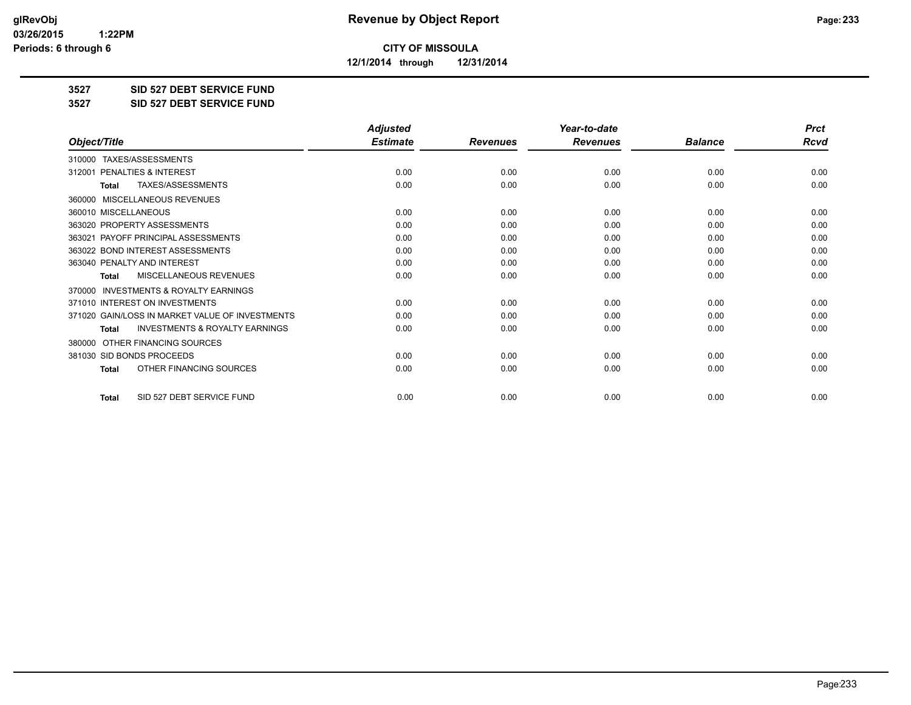**12/1/2014 through 12/31/2014**

**3527 SID 527 DEBT SERVICE FUND**

**3527 SID 527 DEBT SERVICE FUND**

|                                                           | <b>Adjusted</b> |                 | Year-to-date    |                | <b>Prct</b> |
|-----------------------------------------------------------|-----------------|-----------------|-----------------|----------------|-------------|
| Object/Title                                              | <b>Estimate</b> | <b>Revenues</b> | <b>Revenues</b> | <b>Balance</b> | <b>Rcvd</b> |
| TAXES/ASSESSMENTS<br>310000                               |                 |                 |                 |                |             |
| 312001 PENALTIES & INTEREST                               | 0.00            | 0.00            | 0.00            | 0.00           | 0.00        |
| TAXES/ASSESSMENTS<br><b>Total</b>                         | 0.00            | 0.00            | 0.00            | 0.00           | 0.00        |
| MISCELLANEOUS REVENUES<br>360000                          |                 |                 |                 |                |             |
| 360010 MISCELLANEOUS                                      | 0.00            | 0.00            | 0.00            | 0.00           | 0.00        |
| 363020 PROPERTY ASSESSMENTS                               | 0.00            | 0.00            | 0.00            | 0.00           | 0.00        |
| 363021 PAYOFF PRINCIPAL ASSESSMENTS                       | 0.00            | 0.00            | 0.00            | 0.00           | 0.00        |
| 363022 BOND INTEREST ASSESSMENTS                          | 0.00            | 0.00            | 0.00            | 0.00           | 0.00        |
| 363040 PENALTY AND INTEREST                               | 0.00            | 0.00            | 0.00            | 0.00           | 0.00        |
| MISCELLANEOUS REVENUES<br><b>Total</b>                    | 0.00            | 0.00            | 0.00            | 0.00           | 0.00        |
| <b>INVESTMENTS &amp; ROYALTY EARNINGS</b><br>370000       |                 |                 |                 |                |             |
| 371010 INTEREST ON INVESTMENTS                            | 0.00            | 0.00            | 0.00            | 0.00           | 0.00        |
| 371020 GAIN/LOSS IN MARKET VALUE OF INVESTMENTS           | 0.00            | 0.00            | 0.00            | 0.00           | 0.00        |
| <b>INVESTMENTS &amp; ROYALTY EARNINGS</b><br><b>Total</b> | 0.00            | 0.00            | 0.00            | 0.00           | 0.00        |
| OTHER FINANCING SOURCES<br>380000                         |                 |                 |                 |                |             |
| 381030 SID BONDS PROCEEDS                                 | 0.00            | 0.00            | 0.00            | 0.00           | 0.00        |
| OTHER FINANCING SOURCES<br><b>Total</b>                   | 0.00            | 0.00            | 0.00            | 0.00           | 0.00        |
| SID 527 DEBT SERVICE FUND<br><b>Total</b>                 | 0.00            | 0.00            | 0.00            | 0.00           | 0.00        |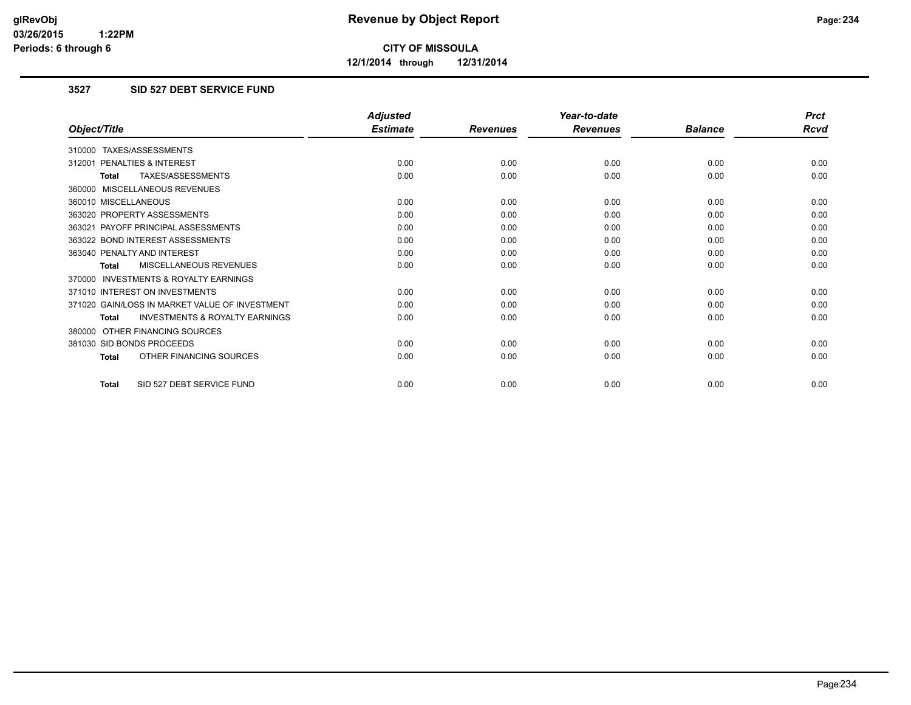**12/1/2014 through 12/31/2014**

## **3527 SID 527 DEBT SERVICE FUND**

|                                                           | <b>Adjusted</b> |                 | Year-to-date    |                | <b>Prct</b> |
|-----------------------------------------------------------|-----------------|-----------------|-----------------|----------------|-------------|
| Object/Title                                              | <b>Estimate</b> | <b>Revenues</b> | <b>Revenues</b> | <b>Balance</b> | <b>Rcvd</b> |
| 310000 TAXES/ASSESSMENTS                                  |                 |                 |                 |                |             |
| PENALTIES & INTEREST<br>312001                            | 0.00            | 0.00            | 0.00            | 0.00           | 0.00        |
| TAXES/ASSESSMENTS<br><b>Total</b>                         | 0.00            | 0.00            | 0.00            | 0.00           | 0.00        |
| 360000 MISCELLANEOUS REVENUES                             |                 |                 |                 |                |             |
| 360010 MISCELLANEOUS                                      | 0.00            | 0.00            | 0.00            | 0.00           | 0.00        |
| 363020 PROPERTY ASSESSMENTS                               | 0.00            | 0.00            | 0.00            | 0.00           | 0.00        |
| 363021 PAYOFF PRINCIPAL ASSESSMENTS                       | 0.00            | 0.00            | 0.00            | 0.00           | 0.00        |
| 363022 BOND INTEREST ASSESSMENTS                          | 0.00            | 0.00            | 0.00            | 0.00           | 0.00        |
| 363040 PENALTY AND INTEREST                               | 0.00            | 0.00            | 0.00            | 0.00           | 0.00        |
| MISCELLANEOUS REVENUES<br><b>Total</b>                    | 0.00            | 0.00            | 0.00            | 0.00           | 0.00        |
| <b>INVESTMENTS &amp; ROYALTY EARNINGS</b><br>370000       |                 |                 |                 |                |             |
| 371010 INTEREST ON INVESTMENTS                            | 0.00            | 0.00            | 0.00            | 0.00           | 0.00        |
| 371020 GAIN/LOSS IN MARKET VALUE OF INVESTMENT            | 0.00            | 0.00            | 0.00            | 0.00           | 0.00        |
| <b>INVESTMENTS &amp; ROYALTY EARNINGS</b><br><b>Total</b> | 0.00            | 0.00            | 0.00            | 0.00           | 0.00        |
| OTHER FINANCING SOURCES<br>380000                         |                 |                 |                 |                |             |
| 381030 SID BONDS PROCEEDS                                 | 0.00            | 0.00            | 0.00            | 0.00           | 0.00        |
| OTHER FINANCING SOURCES<br><b>Total</b>                   | 0.00            | 0.00            | 0.00            | 0.00           | 0.00        |
| SID 527 DEBT SERVICE FUND<br><b>Total</b>                 | 0.00            | 0.00            | 0.00            | 0.00           | 0.00        |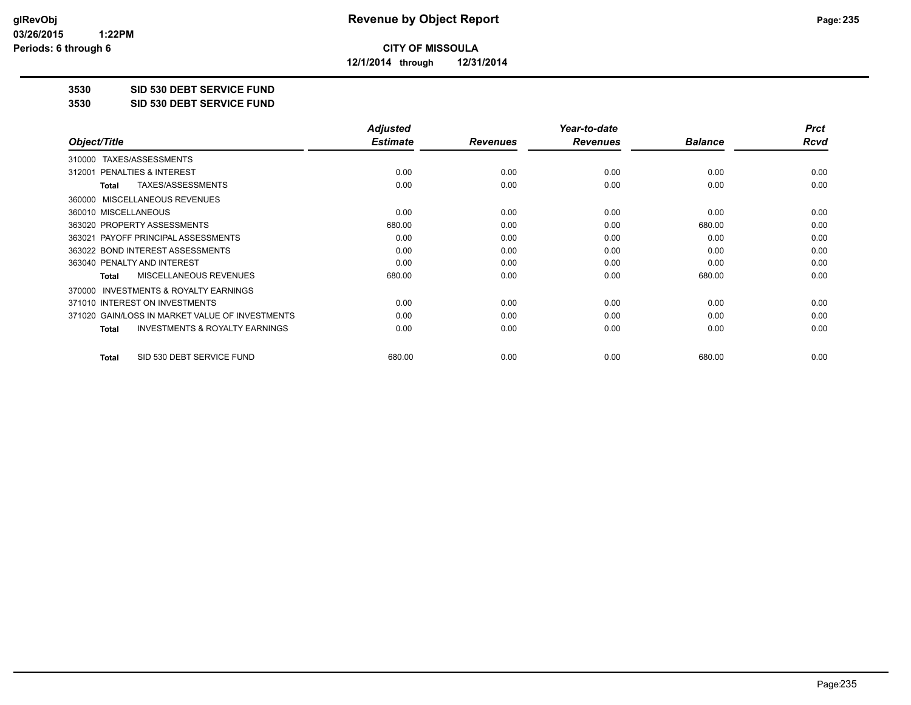**12/1/2014 through 12/31/2014**

## **3530 SID 530 DEBT SERVICE FUND**

**3530 SID 530 DEBT SERVICE FUND**

|                                                           | <b>Adjusted</b> |                 | Year-to-date    |                | <b>Prct</b> |
|-----------------------------------------------------------|-----------------|-----------------|-----------------|----------------|-------------|
| Object/Title                                              | <b>Estimate</b> | <b>Revenues</b> | <b>Revenues</b> | <b>Balance</b> | Rcvd        |
| TAXES/ASSESSMENTS<br>310000                               |                 |                 |                 |                |             |
| 312001 PENALTIES & INTEREST                               | 0.00            | 0.00            | 0.00            | 0.00           | 0.00        |
| TAXES/ASSESSMENTS<br><b>Total</b>                         | 0.00            | 0.00            | 0.00            | 0.00           | 0.00        |
| MISCELLANEOUS REVENUES<br>360000                          |                 |                 |                 |                |             |
| 360010 MISCELLANEOUS                                      | 0.00            | 0.00            | 0.00            | 0.00           | 0.00        |
| 363020 PROPERTY ASSESSMENTS                               | 680.00          | 0.00            | 0.00            | 680.00         | 0.00        |
| 363021 PAYOFF PRINCIPAL ASSESSMENTS                       | 0.00            | 0.00            | 0.00            | 0.00           | 0.00        |
| 363022 BOND INTEREST ASSESSMENTS                          | 0.00            | 0.00            | 0.00            | 0.00           | 0.00        |
| 363040 PENALTY AND INTEREST                               | 0.00            | 0.00            | 0.00            | 0.00           | 0.00        |
| MISCELLANEOUS REVENUES<br><b>Total</b>                    | 680.00          | 0.00            | 0.00            | 680.00         | 0.00        |
| INVESTMENTS & ROYALTY EARNINGS<br>370000                  |                 |                 |                 |                |             |
| 371010 INTEREST ON INVESTMENTS                            | 0.00            | 0.00            | 0.00            | 0.00           | 0.00        |
| 371020 GAIN/LOSS IN MARKET VALUE OF INVESTMENTS           | 0.00            | 0.00            | 0.00            | 0.00           | 0.00        |
| <b>INVESTMENTS &amp; ROYALTY EARNINGS</b><br><b>Total</b> | 0.00            | 0.00            | 0.00            | 0.00           | 0.00        |
| SID 530 DEBT SERVICE FUND<br><b>Total</b>                 | 680.00          | 0.00            | 0.00            | 680.00         | 0.00        |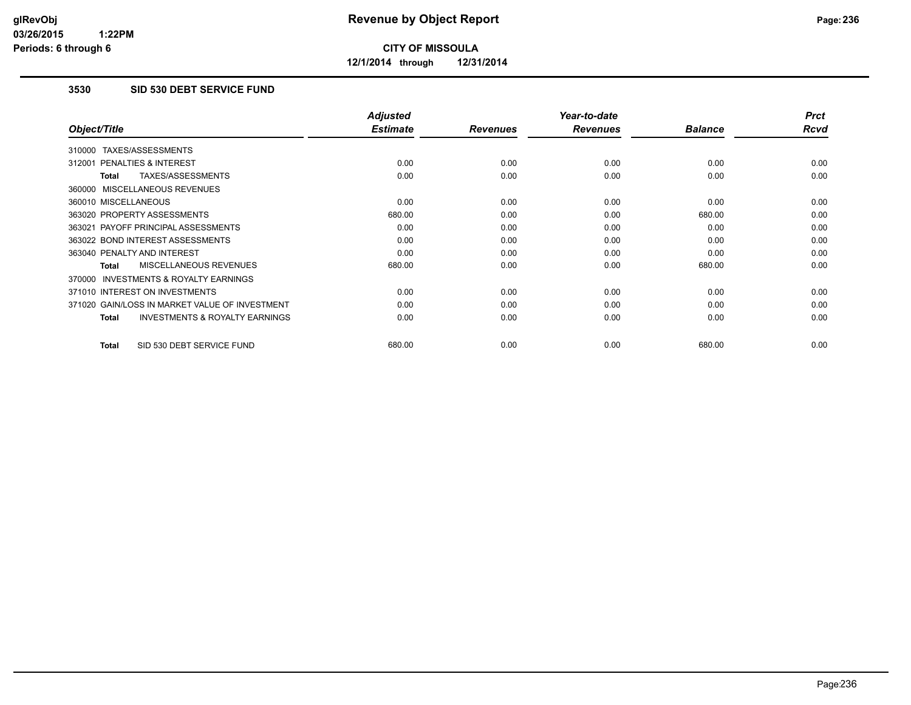**12/1/2014 through 12/31/2014**

## **3530 SID 530 DEBT SERVICE FUND**

|                                                           | <b>Adjusted</b> |                 | Year-to-date    |                | <b>Prct</b> |
|-----------------------------------------------------------|-----------------|-----------------|-----------------|----------------|-------------|
| Object/Title                                              | <b>Estimate</b> | <b>Revenues</b> | <b>Revenues</b> | <b>Balance</b> | <b>Rcvd</b> |
| 310000 TAXES/ASSESSMENTS                                  |                 |                 |                 |                |             |
| 312001 PENALTIES & INTEREST                               | 0.00            | 0.00            | 0.00            | 0.00           | 0.00        |
| TAXES/ASSESSMENTS<br><b>Total</b>                         | 0.00            | 0.00            | 0.00            | 0.00           | 0.00        |
| 360000 MISCELLANEOUS REVENUES                             |                 |                 |                 |                |             |
| 360010 MISCELLANEOUS                                      | 0.00            | 0.00            | 0.00            | 0.00           | 0.00        |
| 363020 PROPERTY ASSESSMENTS                               | 680.00          | 0.00            | 0.00            | 680.00         | 0.00        |
| 363021 PAYOFF PRINCIPAL ASSESSMENTS                       | 0.00            | 0.00            | 0.00            | 0.00           | 0.00        |
| 363022 BOND INTEREST ASSESSMENTS                          | 0.00            | 0.00            | 0.00            | 0.00           | 0.00        |
| 363040 PENALTY AND INTEREST                               | 0.00            | 0.00            | 0.00            | 0.00           | 0.00        |
| <b>MISCELLANEOUS REVENUES</b><br><b>Total</b>             | 680.00          | 0.00            | 0.00            | 680.00         | 0.00        |
| <b>INVESTMENTS &amp; ROYALTY EARNINGS</b><br>370000       |                 |                 |                 |                |             |
| 371010 INTEREST ON INVESTMENTS                            | 0.00            | 0.00            | 0.00            | 0.00           | 0.00        |
| 371020 GAIN/LOSS IN MARKET VALUE OF INVESTMENT            | 0.00            | 0.00            | 0.00            | 0.00           | 0.00        |
| <b>INVESTMENTS &amp; ROYALTY EARNINGS</b><br><b>Total</b> | 0.00            | 0.00            | 0.00            | 0.00           | 0.00        |
| SID 530 DEBT SERVICE FUND<br><b>Total</b>                 | 680.00          | 0.00            | 0.00            | 680.00         | 0.00        |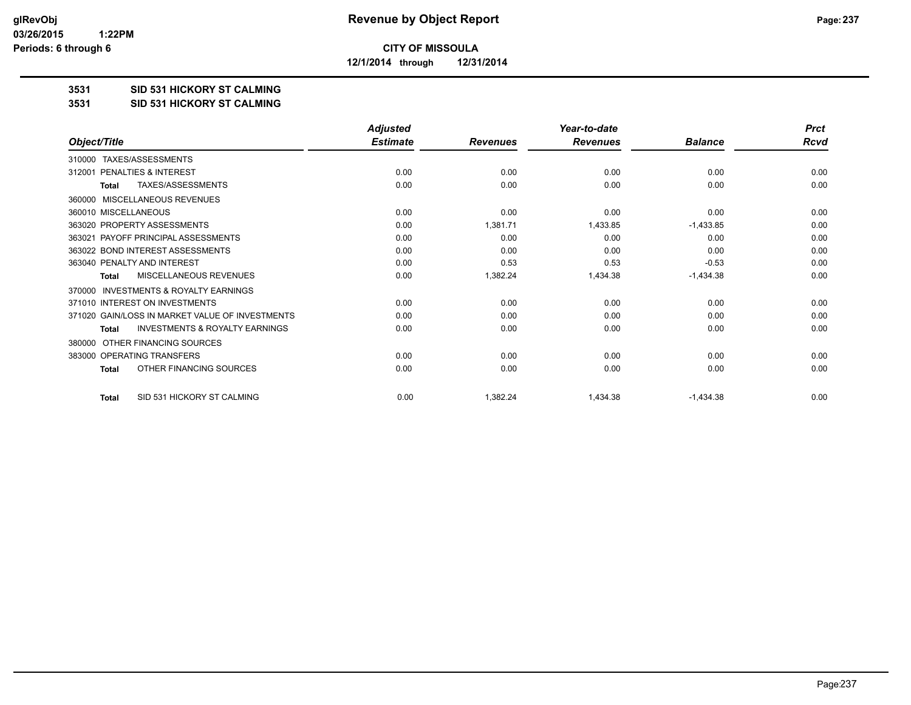**12/1/2014 through 12/31/2014**

#### **3531 SID 531 HICKORY ST CALMING**

#### **3531 SID 531 HICKORY ST CALMING**

|                                                           | <b>Adjusted</b> |                 | Year-to-date    |                | <b>Prct</b> |
|-----------------------------------------------------------|-----------------|-----------------|-----------------|----------------|-------------|
| Object/Title                                              | <b>Estimate</b> | <b>Revenues</b> | <b>Revenues</b> | <b>Balance</b> | Rcvd        |
| TAXES/ASSESSMENTS<br>310000                               |                 |                 |                 |                |             |
| PENALTIES & INTEREST<br>312001                            | 0.00            | 0.00            | 0.00            | 0.00           | 0.00        |
| <b>TAXES/ASSESSMENTS</b><br><b>Total</b>                  | 0.00            | 0.00            | 0.00            | 0.00           | 0.00        |
| <b>MISCELLANEOUS REVENUES</b><br>360000                   |                 |                 |                 |                |             |
| 360010 MISCELLANEOUS                                      | 0.00            | 0.00            | 0.00            | 0.00           | 0.00        |
| 363020 PROPERTY ASSESSMENTS                               | 0.00            | 1,381.71        | 1,433.85        | $-1,433.85$    | 0.00        |
| PAYOFF PRINCIPAL ASSESSMENTS<br>363021                    | 0.00            | 0.00            | 0.00            | 0.00           | 0.00        |
| 363022 BOND INTEREST ASSESSMENTS                          | 0.00            | 0.00            | 0.00            | 0.00           | 0.00        |
| 363040 PENALTY AND INTEREST                               | 0.00            | 0.53            | 0.53            | $-0.53$        | 0.00        |
| MISCELLANEOUS REVENUES<br>Total                           | 0.00            | 1,382.24        | 1,434.38        | $-1,434.38$    | 0.00        |
| INVESTMENTS & ROYALTY EARNINGS<br>370000                  |                 |                 |                 |                |             |
| 371010 INTEREST ON INVESTMENTS                            | 0.00            | 0.00            | 0.00            | 0.00           | 0.00        |
| 371020 GAIN/LOSS IN MARKET VALUE OF INVESTMENTS           | 0.00            | 0.00            | 0.00            | 0.00           | 0.00        |
| <b>INVESTMENTS &amp; ROYALTY EARNINGS</b><br><b>Total</b> | 0.00            | 0.00            | 0.00            | 0.00           | 0.00        |
| OTHER FINANCING SOURCES<br>380000                         |                 |                 |                 |                |             |
| 383000 OPERATING TRANSFERS                                | 0.00            | 0.00            | 0.00            | 0.00           | 0.00        |
| OTHER FINANCING SOURCES<br><b>Total</b>                   | 0.00            | 0.00            | 0.00            | 0.00           | 0.00        |
| SID 531 HICKORY ST CALMING<br><b>Total</b>                | 0.00            | 1,382.24        | 1,434.38        | $-1,434.38$    | 0.00        |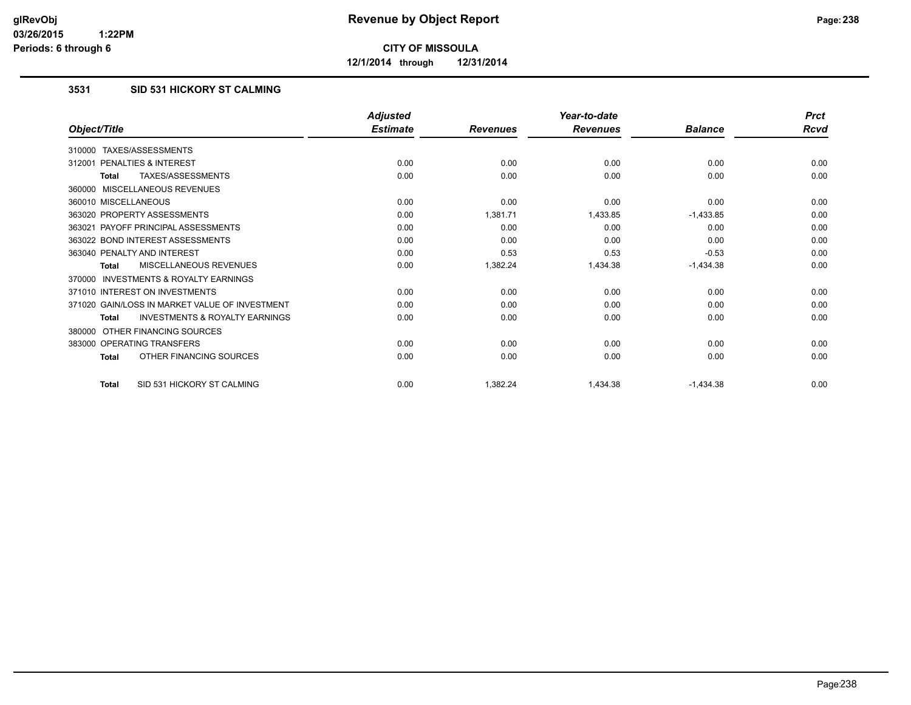**12/1/2014 through 12/31/2014**

## **3531 SID 531 HICKORY ST CALMING**

|                                                           | <b>Adjusted</b> |                 | Year-to-date    |                | <b>Prct</b> |
|-----------------------------------------------------------|-----------------|-----------------|-----------------|----------------|-------------|
| Object/Title                                              | <b>Estimate</b> | <b>Revenues</b> | <b>Revenues</b> | <b>Balance</b> | <b>Rcvd</b> |
| 310000 TAXES/ASSESSMENTS                                  |                 |                 |                 |                |             |
| PENALTIES & INTEREST<br>312001                            | 0.00            | 0.00            | 0.00            | 0.00           | 0.00        |
| TAXES/ASSESSMENTS<br>Total                                | 0.00            | 0.00            | 0.00            | 0.00           | 0.00        |
| 360000 MISCELLANEOUS REVENUES                             |                 |                 |                 |                |             |
| 360010 MISCELLANEOUS                                      | 0.00            | 0.00            | 0.00            | 0.00           | 0.00        |
| 363020 PROPERTY ASSESSMENTS                               | 0.00            | 1,381.71        | 1,433.85        | $-1,433.85$    | 0.00        |
| 363021 PAYOFF PRINCIPAL ASSESSMENTS                       | 0.00            | 0.00            | 0.00            | 0.00           | 0.00        |
| 363022 BOND INTEREST ASSESSMENTS                          | 0.00            | 0.00            | 0.00            | 0.00           | 0.00        |
| 363040 PENALTY AND INTEREST                               | 0.00            | 0.53            | 0.53            | $-0.53$        | 0.00        |
| MISCELLANEOUS REVENUES<br>Total                           | 0.00            | 1,382.24        | 1,434.38        | $-1,434.38$    | 0.00        |
| 370000 INVESTMENTS & ROYALTY EARNINGS                     |                 |                 |                 |                |             |
| 371010 INTEREST ON INVESTMENTS                            | 0.00            | 0.00            | 0.00            | 0.00           | 0.00        |
| 371020 GAIN/LOSS IN MARKET VALUE OF INVESTMENT            | 0.00            | 0.00            | 0.00            | 0.00           | 0.00        |
| <b>INVESTMENTS &amp; ROYALTY EARNINGS</b><br><b>Total</b> | 0.00            | 0.00            | 0.00            | 0.00           | 0.00        |
| OTHER FINANCING SOURCES<br>380000                         |                 |                 |                 |                |             |
| 383000 OPERATING TRANSFERS                                | 0.00            | 0.00            | 0.00            | 0.00           | 0.00        |
| OTHER FINANCING SOURCES<br>Total                          | 0.00            | 0.00            | 0.00            | 0.00           | 0.00        |
| SID 531 HICKORY ST CALMING<br><b>Total</b>                | 0.00            | 1,382.24        | 1,434.38        | $-1,434.38$    | 0.00        |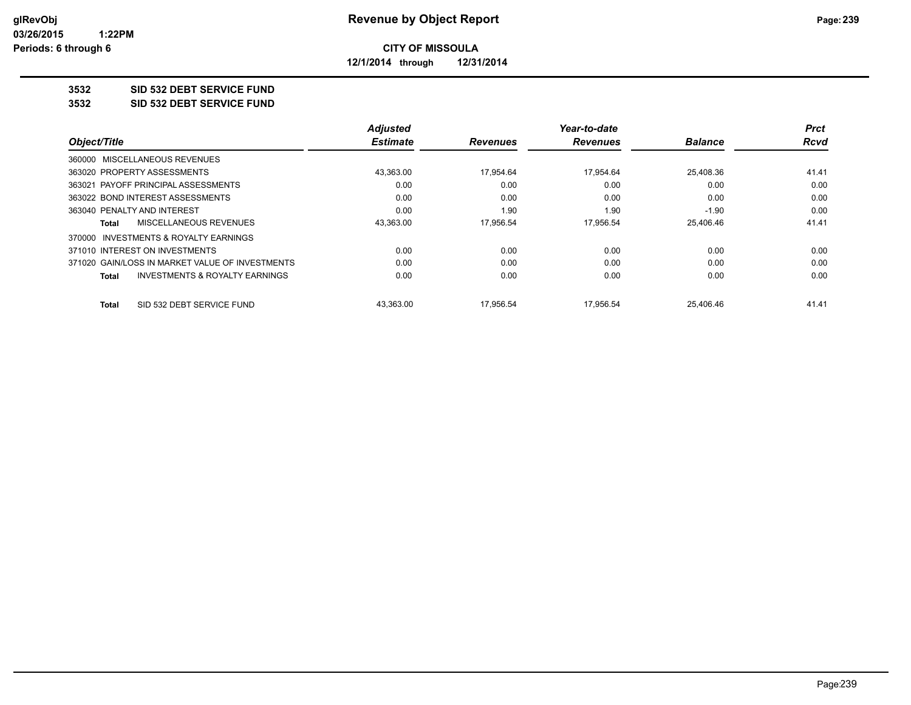**12/1/2014 through 12/31/2014**

## **3532 SID 532 DEBT SERVICE FUND**

**3532 SID 532 DEBT SERVICE FUND**

|                                                           | <b>Adjusted</b> |                 | Year-to-date    |                | <b>Prct</b> |
|-----------------------------------------------------------|-----------------|-----------------|-----------------|----------------|-------------|
| Object/Title                                              | <b>Estimate</b> | <b>Revenues</b> | <b>Revenues</b> | <b>Balance</b> | <b>Rcvd</b> |
| 360000 MISCELLANEOUS REVENUES                             |                 |                 |                 |                |             |
| 363020 PROPERTY ASSESSMENTS                               | 43,363.00       | 17,954.64       | 17,954.64       | 25,408.36      | 41.41       |
| 363021 PAYOFF PRINCIPAL ASSESSMENTS                       | 0.00            | 0.00            | 0.00            | 0.00           | 0.00        |
| 363022 BOND INTEREST ASSESSMENTS                          | 0.00            | 0.00            | 0.00            | 0.00           | 0.00        |
| 363040 PENALTY AND INTEREST                               | 0.00            | 1.90            | 1.90            | $-1.90$        | 0.00        |
| MISCELLANEOUS REVENUES<br>Total                           | 43,363.00       | 17.956.54       | 17.956.54       | 25.406.46      | 41.41       |
| 370000 INVESTMENTS & ROYALTY EARNINGS                     |                 |                 |                 |                |             |
| 371010 INTEREST ON INVESTMENTS                            | 0.00            | 0.00            | 0.00            | 0.00           | 0.00        |
| 371020 GAIN/LOSS IN MARKET VALUE OF INVESTMENTS           | 0.00            | 0.00            | 0.00            | 0.00           | 0.00        |
| <b>INVESTMENTS &amp; ROYALTY EARNINGS</b><br><b>Total</b> | 0.00            | 0.00            | 0.00            | 0.00           | 0.00        |
| SID 532 DEBT SERVICE FUND<br>Total                        | 43,363.00       | 17.956.54       | 17.956.54       | 25,406.46      | 41.41       |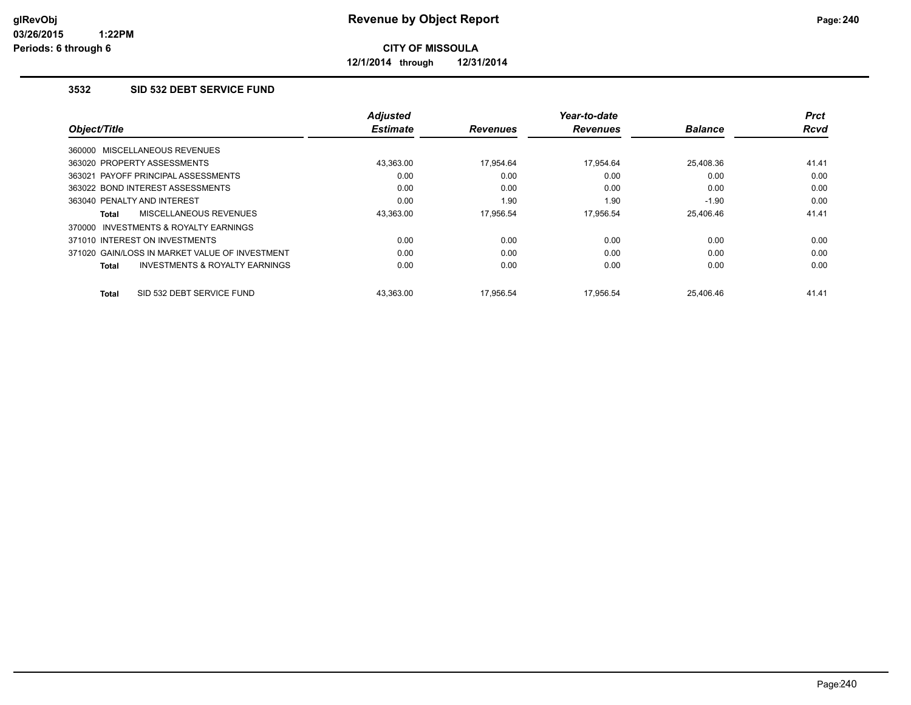**12/1/2014 through 12/31/2014**

#### **3532 SID 532 DEBT SERVICE FUND**

|                                                     | <b>Adjusted</b> |                 | Year-to-date    |                | Prct        |
|-----------------------------------------------------|-----------------|-----------------|-----------------|----------------|-------------|
| Object/Title                                        | <b>Estimate</b> | <b>Revenues</b> | <b>Revenues</b> | <b>Balance</b> | <b>Rcvd</b> |
| 360000 MISCELLANEOUS REVENUES                       |                 |                 |                 |                |             |
| 363020 PROPERTY ASSESSMENTS                         | 43.363.00       | 17.954.64       | 17.954.64       | 25.408.36      | 41.41       |
| 363021 PAYOFF PRINCIPAL ASSESSMENTS                 | 0.00            | 0.00            | 0.00            | 0.00           | 0.00        |
| 363022 BOND INTEREST ASSESSMENTS                    | 0.00            | 0.00            | 0.00            | 0.00           | 0.00        |
| 363040 PENALTY AND INTEREST                         | 0.00            | 1.90            | 1.90            | $-1.90$        | 0.00        |
| MISCELLANEOUS REVENUES<br>Total                     | 43,363.00       | 17,956.54       | 17,956.54       | 25,406.46      | 41.41       |
| <b>INVESTMENTS &amp; ROYALTY EARNINGS</b><br>370000 |                 |                 |                 |                |             |
| 371010 INTEREST ON INVESTMENTS                      | 0.00            | 0.00            | 0.00            | 0.00           | 0.00        |
| 371020 GAIN/LOSS IN MARKET VALUE OF INVESTMENT      | 0.00            | 0.00            | 0.00            | 0.00           | 0.00        |
| <b>INVESTMENTS &amp; ROYALTY EARNINGS</b><br>Total  | 0.00            | 0.00            | 0.00            | 0.00           | 0.00        |
| SID 532 DEBT SERVICE FUND<br><b>Total</b>           | 43.363.00       | 17.956.54       | 17.956.54       | 25.406.46      | 41.41       |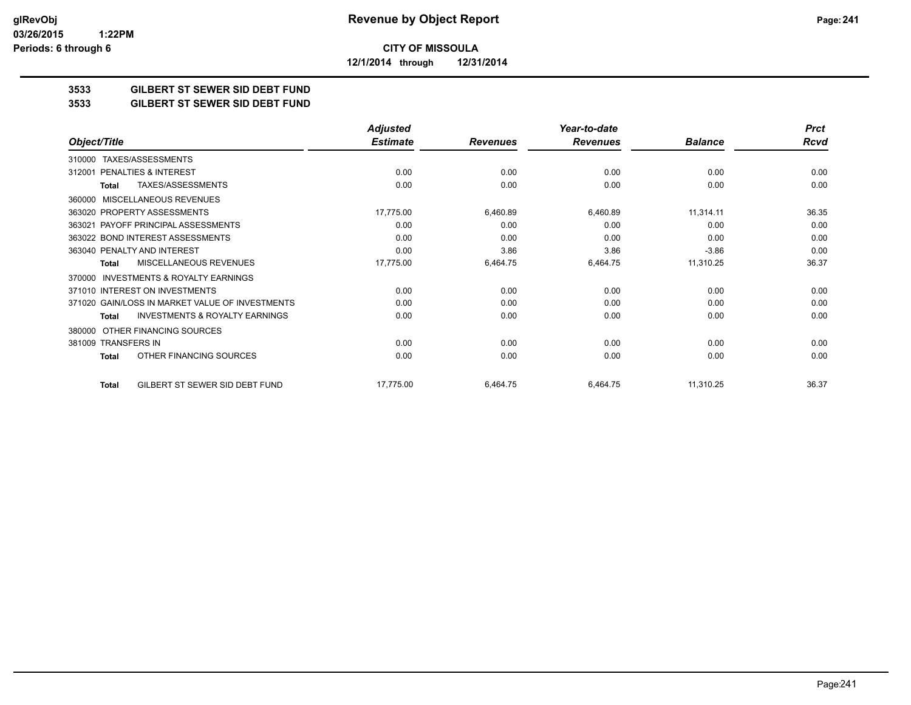**12/1/2014 through 12/31/2014**

#### **3533 GILBERT ST SEWER SID DEBT FUND**

#### **3533 GILBERT ST SEWER SID DEBT FUND**

|                                                           | <b>Adjusted</b> |                 | Year-to-date    |                | <b>Prct</b> |
|-----------------------------------------------------------|-----------------|-----------------|-----------------|----------------|-------------|
| Object/Title                                              | <b>Estimate</b> | <b>Revenues</b> | <b>Revenues</b> | <b>Balance</b> | <b>Rcvd</b> |
| TAXES/ASSESSMENTS<br>310000                               |                 |                 |                 |                |             |
| <b>PENALTIES &amp; INTEREST</b><br>312001                 | 0.00            | 0.00            | 0.00            | 0.00           | 0.00        |
| <b>TAXES/ASSESSMENTS</b><br>Total                         | 0.00            | 0.00            | 0.00            | 0.00           | 0.00        |
| <b>MISCELLANEOUS REVENUES</b><br>360000                   |                 |                 |                 |                |             |
| 363020 PROPERTY ASSESSMENTS                               | 17,775.00       | 6,460.89        | 6,460.89        | 11,314.11      | 36.35       |
| PAYOFF PRINCIPAL ASSESSMENTS<br>363021                    | 0.00            | 0.00            | 0.00            | 0.00           | 0.00        |
| 363022 BOND INTEREST ASSESSMENTS                          | 0.00            | 0.00            | 0.00            | 0.00           | 0.00        |
| 363040 PENALTY AND INTEREST                               | 0.00            | 3.86            | 3.86            | $-3.86$        | 0.00        |
| MISCELLANEOUS REVENUES<br><b>Total</b>                    | 17,775.00       | 6,464.75        | 6,464.75        | 11,310.25      | 36.37       |
| <b>INVESTMENTS &amp; ROYALTY EARNINGS</b><br>370000       |                 |                 |                 |                |             |
| 371010 INTEREST ON INVESTMENTS                            | 0.00            | 0.00            | 0.00            | 0.00           | 0.00        |
| 371020 GAIN/LOSS IN MARKET VALUE OF INVESTMENTS           | 0.00            | 0.00            | 0.00            | 0.00           | 0.00        |
| <b>INVESTMENTS &amp; ROYALTY EARNINGS</b><br><b>Total</b> | 0.00            | 0.00            | 0.00            | 0.00           | 0.00        |
| OTHER FINANCING SOURCES<br>380000                         |                 |                 |                 |                |             |
| 381009 TRANSFERS IN                                       | 0.00            | 0.00            | 0.00            | 0.00           | 0.00        |
| OTHER FINANCING SOURCES<br><b>Total</b>                   | 0.00            | 0.00            | 0.00            | 0.00           | 0.00        |
| GILBERT ST SEWER SID DEBT FUND<br><b>Total</b>            | 17,775.00       | 6,464.75        | 6,464.75        | 11,310.25      | 36.37       |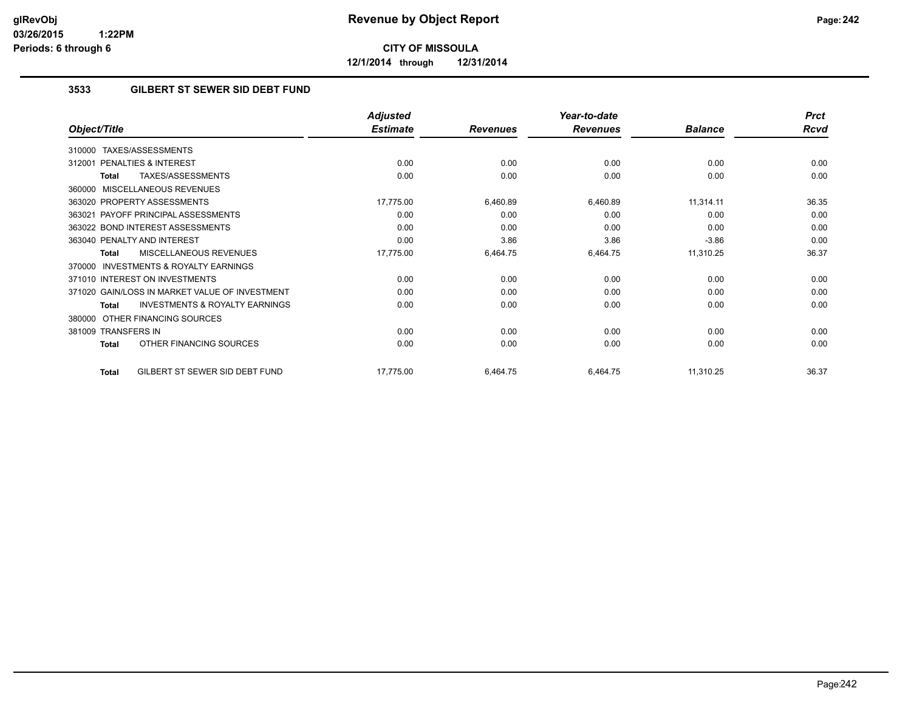**12/1/2014 through 12/31/2014**

## **3533 GILBERT ST SEWER SID DEBT FUND**

|                                                           | <b>Adjusted</b> |                 | Year-to-date    |                | <b>Prct</b> |
|-----------------------------------------------------------|-----------------|-----------------|-----------------|----------------|-------------|
| Object/Title                                              | <b>Estimate</b> | <b>Revenues</b> | <b>Revenues</b> | <b>Balance</b> | <b>Rcvd</b> |
| <b>TAXES/ASSESSMENTS</b><br>310000                        |                 |                 |                 |                |             |
| 312001 PENALTIES & INTEREST                               | 0.00            | 0.00            | 0.00            | 0.00           | 0.00        |
| TAXES/ASSESSMENTS<br><b>Total</b>                         | 0.00            | 0.00            | 0.00            | 0.00           | 0.00        |
| 360000 MISCELLANEOUS REVENUES                             |                 |                 |                 |                |             |
| 363020 PROPERTY ASSESSMENTS                               | 17,775.00       | 6,460.89        | 6,460.89        | 11,314.11      | 36.35       |
| 363021 PAYOFF PRINCIPAL ASSESSMENTS                       | 0.00            | 0.00            | 0.00            | 0.00           | 0.00        |
| 363022 BOND INTEREST ASSESSMENTS                          | 0.00            | 0.00            | 0.00            | 0.00           | 0.00        |
| 363040 PENALTY AND INTEREST                               | 0.00            | 3.86            | 3.86            | $-3.86$        | 0.00        |
| <b>MISCELLANEOUS REVENUES</b><br><b>Total</b>             | 17,775.00       | 6,464.75        | 6,464.75        | 11,310.25      | 36.37       |
| 370000 INVESTMENTS & ROYALTY EARNINGS                     |                 |                 |                 |                |             |
| 371010 INTEREST ON INVESTMENTS                            | 0.00            | 0.00            | 0.00            | 0.00           | 0.00        |
| 371020 GAIN/LOSS IN MARKET VALUE OF INVESTMENT            | 0.00            | 0.00            | 0.00            | 0.00           | 0.00        |
| <b>INVESTMENTS &amp; ROYALTY EARNINGS</b><br><b>Total</b> | 0.00            | 0.00            | 0.00            | 0.00           | 0.00        |
| OTHER FINANCING SOURCES<br>380000                         |                 |                 |                 |                |             |
| 381009 TRANSFERS IN                                       | 0.00            | 0.00            | 0.00            | 0.00           | 0.00        |
| OTHER FINANCING SOURCES<br><b>Total</b>                   | 0.00            | 0.00            | 0.00            | 0.00           | 0.00        |
| GILBERT ST SEWER SID DEBT FUND<br><b>Total</b>            | 17,775.00       | 6,464.75        | 6,464.75        | 11,310.25      | 36.37       |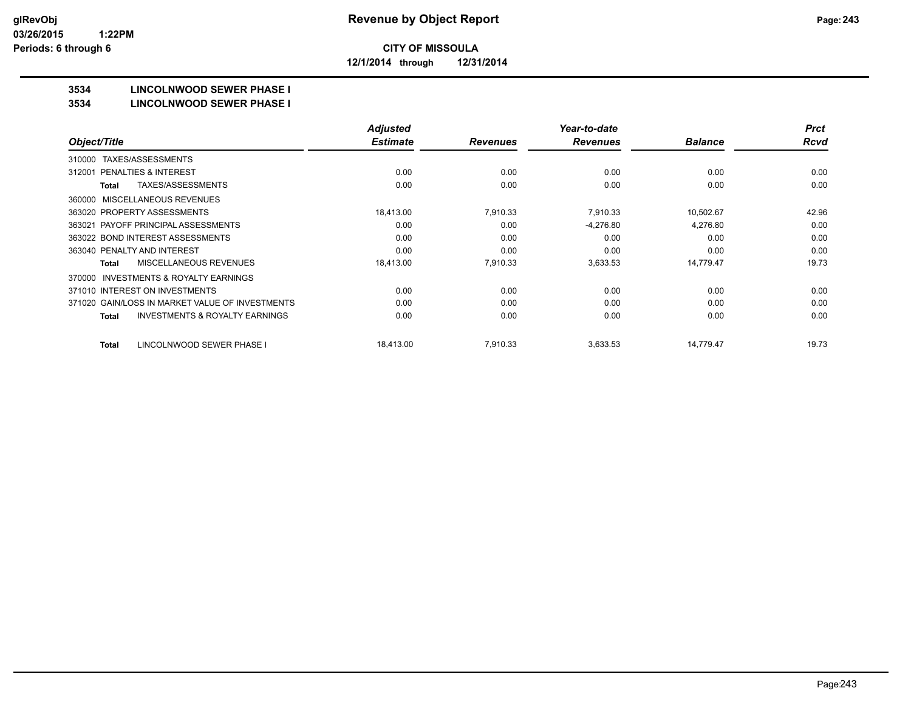**12/1/2014 through 12/31/2014**

## **3534 LINCOLNWOOD SEWER PHASE I**

#### **3534 LINCOLNWOOD SEWER PHASE I**

|                                                    | <b>Adjusted</b> |                 | Year-to-date    |                | <b>Prct</b> |
|----------------------------------------------------|-----------------|-----------------|-----------------|----------------|-------------|
| Object/Title                                       | <b>Estimate</b> | <b>Revenues</b> | <b>Revenues</b> | <b>Balance</b> | <b>Rcvd</b> |
| TAXES/ASSESSMENTS<br>310000                        |                 |                 |                 |                |             |
| PENALTIES & INTEREST<br>312001                     | 0.00            | 0.00            | 0.00            | 0.00           | 0.00        |
| TAXES/ASSESSMENTS<br>Total                         | 0.00            | 0.00            | 0.00            | 0.00           | 0.00        |
| MISCELLANEOUS REVENUES<br>360000                   |                 |                 |                 |                |             |
| 363020 PROPERTY ASSESSMENTS                        | 18,413.00       | 7,910.33        | 7,910.33        | 10,502.67      | 42.96       |
| 363021 PAYOFF PRINCIPAL ASSESSMENTS                | 0.00            | 0.00            | $-4,276.80$     | 4,276.80       | 0.00        |
| 363022 BOND INTEREST ASSESSMENTS                   | 0.00            | 0.00            | 0.00            | 0.00           | 0.00        |
| 363040 PENALTY AND INTEREST                        | 0.00            | 0.00            | 0.00            | 0.00           | 0.00        |
| MISCELLANEOUS REVENUES<br>Total                    | 18,413.00       | 7.910.33        | 3,633.53        | 14.779.47      | 19.73       |
| INVESTMENTS & ROYALTY EARNINGS<br>370000           |                 |                 |                 |                |             |
| 371010 INTEREST ON INVESTMENTS                     | 0.00            | 0.00            | 0.00            | 0.00           | 0.00        |
| 371020 GAIN/LOSS IN MARKET VALUE OF INVESTMENTS    | 0.00            | 0.00            | 0.00            | 0.00           | 0.00        |
| <b>INVESTMENTS &amp; ROYALTY EARNINGS</b><br>Total | 0.00            | 0.00            | 0.00            | 0.00           | 0.00        |
|                                                    |                 |                 |                 |                |             |
| LINCOLNWOOD SEWER PHASE I<br>Total                 | 18,413.00       | 7.910.33        | 3,633.53        | 14,779.47      | 19.73       |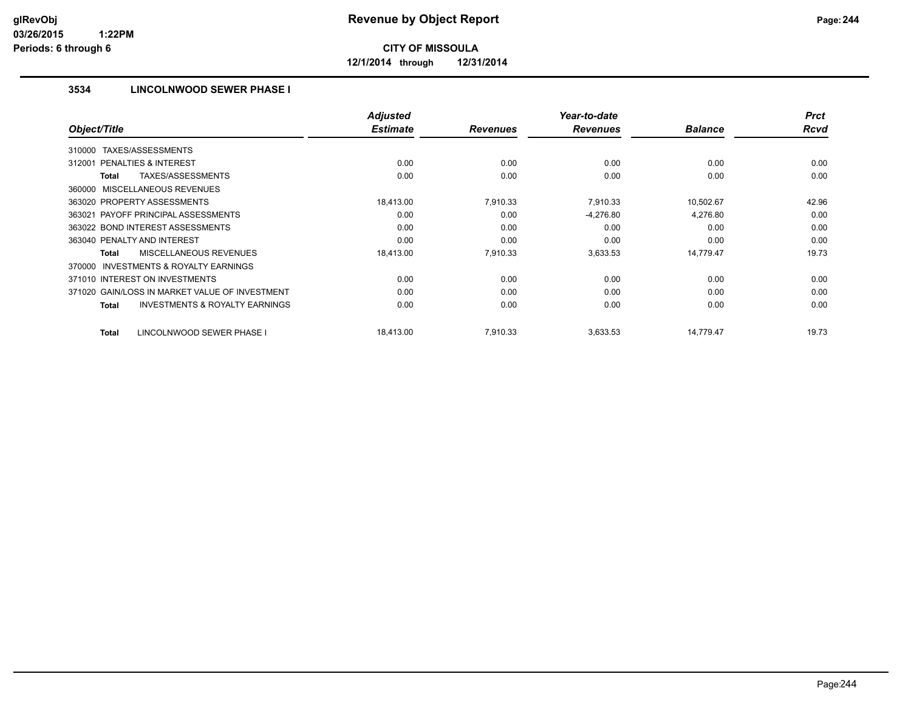**12/1/2014 through 12/31/2014**

## **3534 LINCOLNWOOD SEWER PHASE I**

|                                                    | <b>Adjusted</b> |                 | Year-to-date    |                | <b>Prct</b> |
|----------------------------------------------------|-----------------|-----------------|-----------------|----------------|-------------|
| Object/Title                                       | <b>Estimate</b> | <b>Revenues</b> | <b>Revenues</b> | <b>Balance</b> | <b>Rcvd</b> |
| TAXES/ASSESSMENTS<br>310000                        |                 |                 |                 |                |             |
| 312001 PENALTIES & INTEREST                        | 0.00            | 0.00            | 0.00            | 0.00           | 0.00        |
| TAXES/ASSESSMENTS<br>Total                         | 0.00            | 0.00            | 0.00            | 0.00           | 0.00        |
| 360000 MISCELLANEOUS REVENUES                      |                 |                 |                 |                |             |
| 363020 PROPERTY ASSESSMENTS                        | 18,413.00       | 7,910.33        | 7,910.33        | 10,502.67      | 42.96       |
| 363021 PAYOFF PRINCIPAL ASSESSMENTS                | 0.00            | 0.00            | $-4,276.80$     | 4,276.80       | 0.00        |
| 363022 BOND INTEREST ASSESSMENTS                   | 0.00            | 0.00            | 0.00            | 0.00           | 0.00        |
| 363040 PENALTY AND INTEREST                        | 0.00            | 0.00            | 0.00            | 0.00           | 0.00        |
| MISCELLANEOUS REVENUES<br>Total                    | 18,413.00       | 7,910.33        | 3,633.53        | 14,779.47      | 19.73       |
| 370000 INVESTMENTS & ROYALTY EARNINGS              |                 |                 |                 |                |             |
| 371010 INTEREST ON INVESTMENTS                     | 0.00            | 0.00            | 0.00            | 0.00           | 0.00        |
| 371020 GAIN/LOSS IN MARKET VALUE OF INVESTMENT     | 0.00            | 0.00            | 0.00            | 0.00           | 0.00        |
| <b>INVESTMENTS &amp; ROYALTY EARNINGS</b><br>Total | 0.00            | 0.00            | 0.00            | 0.00           | 0.00        |
| LINCOLNWOOD SEWER PHASE I<br>Total                 | 18,413.00       | 7,910.33        | 3,633.53        | 14,779.47      | 19.73       |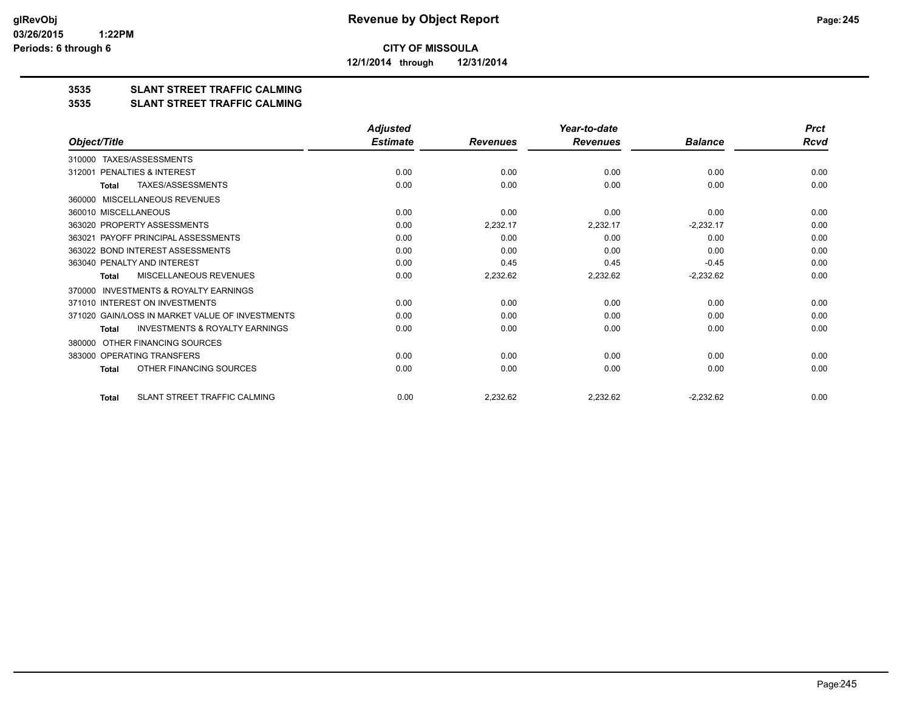**12/1/2014 through 12/31/2014**

## **3535 SLANT STREET TRAFFIC CALMING**

#### **3535 SLANT STREET TRAFFIC CALMING**

|                                                           | <b>Adjusted</b> |                 | Year-to-date    |                | <b>Prct</b> |
|-----------------------------------------------------------|-----------------|-----------------|-----------------|----------------|-------------|
| Object/Title                                              | <b>Estimate</b> | <b>Revenues</b> | <b>Revenues</b> | <b>Balance</b> | <b>Rcvd</b> |
| TAXES/ASSESSMENTS<br>310000                               |                 |                 |                 |                |             |
| <b>PENALTIES &amp; INTEREST</b><br>312001                 | 0.00            | 0.00            | 0.00            | 0.00           | 0.00        |
| <b>TAXES/ASSESSMENTS</b><br><b>Total</b>                  | 0.00            | 0.00            | 0.00            | 0.00           | 0.00        |
| MISCELLANEOUS REVENUES<br>360000                          |                 |                 |                 |                |             |
| 360010 MISCELLANEOUS                                      | 0.00            | 0.00            | 0.00            | 0.00           | 0.00        |
| 363020 PROPERTY ASSESSMENTS                               | 0.00            | 2,232.17        | 2,232.17        | $-2,232.17$    | 0.00        |
| PAYOFF PRINCIPAL ASSESSMENTS<br>363021                    | 0.00            | 0.00            | 0.00            | 0.00           | 0.00        |
| 363022 BOND INTEREST ASSESSMENTS                          | 0.00            | 0.00            | 0.00            | 0.00           | 0.00        |
| 363040 PENALTY AND INTEREST                               | 0.00            | 0.45            | 0.45            | $-0.45$        | 0.00        |
| <b>MISCELLANEOUS REVENUES</b><br>Total                    | 0.00            | 2,232.62        | 2,232.62        | $-2,232.62$    | 0.00        |
| INVESTMENTS & ROYALTY EARNINGS<br>370000                  |                 |                 |                 |                |             |
| 371010 INTEREST ON INVESTMENTS                            | 0.00            | 0.00            | 0.00            | 0.00           | 0.00        |
| 371020 GAIN/LOSS IN MARKET VALUE OF INVESTMENTS           | 0.00            | 0.00            | 0.00            | 0.00           | 0.00        |
| <b>INVESTMENTS &amp; ROYALTY EARNINGS</b><br><b>Total</b> | 0.00            | 0.00            | 0.00            | 0.00           | 0.00        |
| OTHER FINANCING SOURCES<br>380000                         |                 |                 |                 |                |             |
| 383000 OPERATING TRANSFERS                                | 0.00            | 0.00            | 0.00            | 0.00           | 0.00        |
| OTHER FINANCING SOURCES<br><b>Total</b>                   | 0.00            | 0.00            | 0.00            | 0.00           | 0.00        |
| <b>SLANT STREET TRAFFIC CALMING</b><br><b>Total</b>       | 0.00            | 2,232.62        | 2,232.62        | $-2,232.62$    | 0.00        |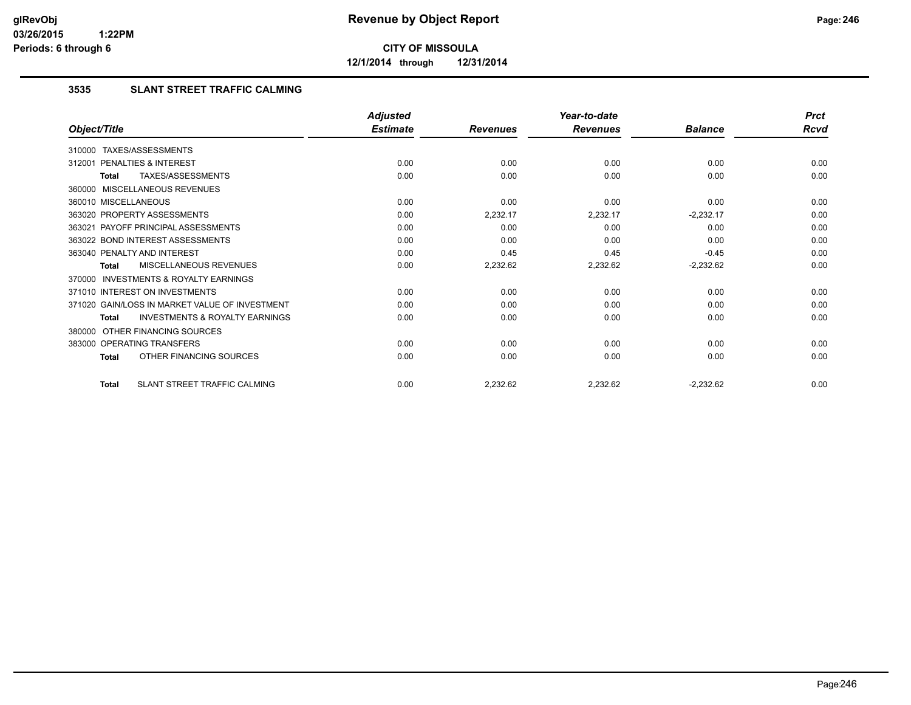**12/1/2014 through 12/31/2014**

## **3535 SLANT STREET TRAFFIC CALMING**

|                                                           | <b>Adjusted</b> |                 | Year-to-date    |                | <b>Prct</b> |
|-----------------------------------------------------------|-----------------|-----------------|-----------------|----------------|-------------|
| Object/Title                                              | <b>Estimate</b> | <b>Revenues</b> | <b>Revenues</b> | <b>Balance</b> | <b>Rcvd</b> |
| 310000 TAXES/ASSESSMENTS                                  |                 |                 |                 |                |             |
| <b>PENALTIES &amp; INTEREST</b><br>312001                 | 0.00            | 0.00            | 0.00            | 0.00           | 0.00        |
| TAXES/ASSESSMENTS<br><b>Total</b>                         | 0.00            | 0.00            | 0.00            | 0.00           | 0.00        |
| 360000 MISCELLANEOUS REVENUES                             |                 |                 |                 |                |             |
| 360010 MISCELLANEOUS                                      | 0.00            | 0.00            | 0.00            | 0.00           | 0.00        |
| 363020 PROPERTY ASSESSMENTS                               | 0.00            | 2,232.17        | 2,232.17        | $-2,232.17$    | 0.00        |
| 363021 PAYOFF PRINCIPAL ASSESSMENTS                       | 0.00            | 0.00            | 0.00            | 0.00           | 0.00        |
| 363022 BOND INTEREST ASSESSMENTS                          | 0.00            | 0.00            | 0.00            | 0.00           | 0.00        |
| 363040 PENALTY AND INTEREST                               | 0.00            | 0.45            | 0.45            | $-0.45$        | 0.00        |
| MISCELLANEOUS REVENUES<br><b>Total</b>                    | 0.00            | 2,232.62        | 2,232.62        | $-2,232.62$    | 0.00        |
| 370000 INVESTMENTS & ROYALTY EARNINGS                     |                 |                 |                 |                |             |
| 371010 INTEREST ON INVESTMENTS                            | 0.00            | 0.00            | 0.00            | 0.00           | 0.00        |
| 371020 GAIN/LOSS IN MARKET VALUE OF INVESTMENT            | 0.00            | 0.00            | 0.00            | 0.00           | 0.00        |
| <b>INVESTMENTS &amp; ROYALTY EARNINGS</b><br><b>Total</b> | 0.00            | 0.00            | 0.00            | 0.00           | 0.00        |
| OTHER FINANCING SOURCES<br>380000                         |                 |                 |                 |                |             |
| 383000 OPERATING TRANSFERS                                | 0.00            | 0.00            | 0.00            | 0.00           | 0.00        |
| OTHER FINANCING SOURCES<br><b>Total</b>                   | 0.00            | 0.00            | 0.00            | 0.00           | 0.00        |
| SLANT STREET TRAFFIC CALMING<br><b>Total</b>              | 0.00            | 2,232.62        | 2,232.62        | $-2,232.62$    | 0.00        |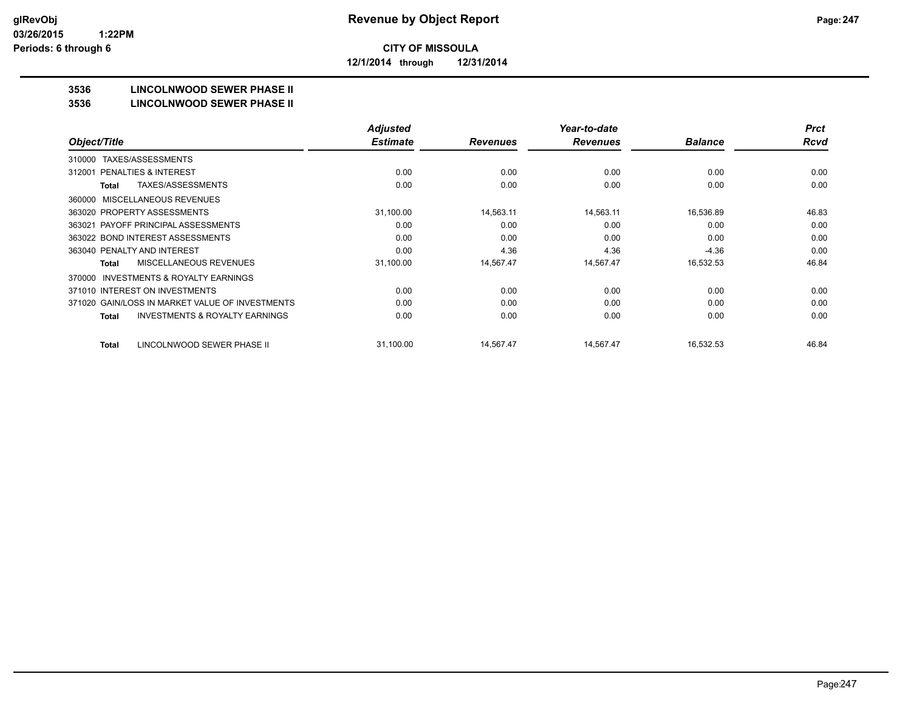**12/1/2014 through 12/31/2014**

## **3536 LINCOLNWOOD SEWER PHASE II**

#### **3536 LINCOLNWOOD SEWER PHASE II**

|                                                    | <b>Adjusted</b> |                 | Year-to-date    |                | <b>Prct</b> |
|----------------------------------------------------|-----------------|-----------------|-----------------|----------------|-------------|
| Object/Title                                       | <b>Estimate</b> | <b>Revenues</b> | <b>Revenues</b> | <b>Balance</b> | <b>Rcvd</b> |
| TAXES/ASSESSMENTS<br>310000                        |                 |                 |                 |                |             |
| PENALTIES & INTEREST<br>312001                     | 0.00            | 0.00            | 0.00            | 0.00           | 0.00        |
| TAXES/ASSESSMENTS<br>Total                         | 0.00            | 0.00            | 0.00            | 0.00           | 0.00        |
| MISCELLANEOUS REVENUES<br>360000                   |                 |                 |                 |                |             |
| 363020 PROPERTY ASSESSMENTS                        | 31,100.00       | 14,563.11       | 14,563.11       | 16,536.89      | 46.83       |
| 363021 PAYOFF PRINCIPAL ASSESSMENTS                | 0.00            | 0.00            | 0.00            | 0.00           | 0.00        |
| 363022 BOND INTEREST ASSESSMENTS                   | 0.00            | 0.00            | 0.00            | 0.00           | 0.00        |
| 363040 PENALTY AND INTEREST                        | 0.00            | 4.36            | 4.36            | $-4.36$        | 0.00        |
| MISCELLANEOUS REVENUES<br>Total                    | 31,100.00       | 14,567.47       | 14,567.47       | 16,532.53      | 46.84       |
| INVESTMENTS & ROYALTY EARNINGS<br>370000           |                 |                 |                 |                |             |
| 371010 INTEREST ON INVESTMENTS                     | 0.00            | 0.00            | 0.00            | 0.00           | 0.00        |
| 371020 GAIN/LOSS IN MARKET VALUE OF INVESTMENTS    | 0.00            | 0.00            | 0.00            | 0.00           | 0.00        |
| <b>INVESTMENTS &amp; ROYALTY EARNINGS</b><br>Total | 0.00            | 0.00            | 0.00            | 0.00           | 0.00        |
|                                                    |                 |                 |                 |                |             |
| LINCOLNWOOD SEWER PHASE II<br>Total                | 31,100.00       | 14,567.47       | 14,567.47       | 16,532.53      | 46.84       |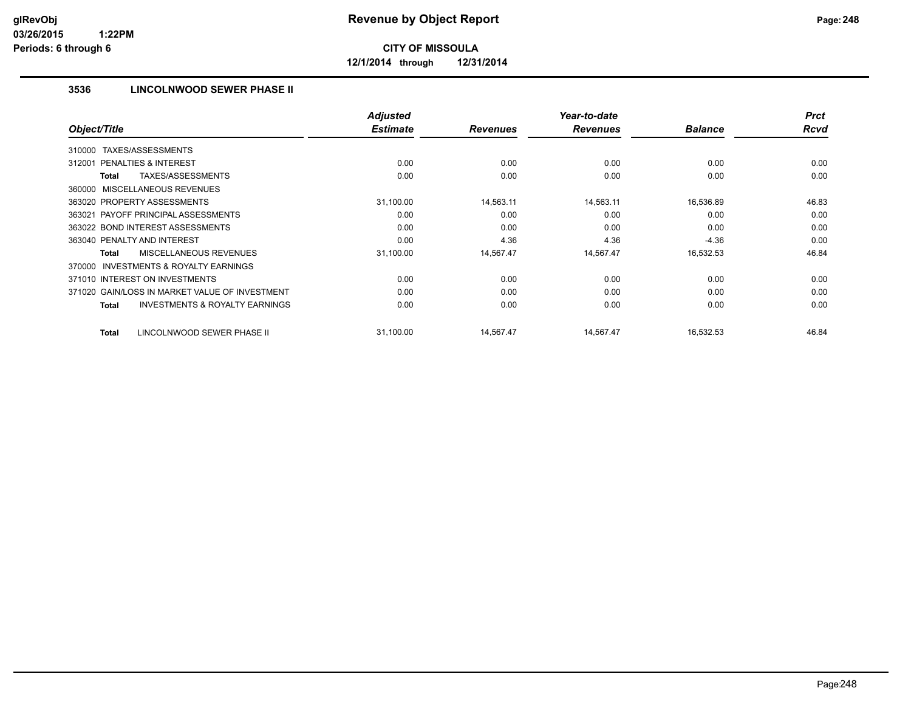**12/1/2014 through 12/31/2014**

## **3536 LINCOLNWOOD SEWER PHASE II**

|                                                    | <b>Adjusted</b> |                 | Year-to-date    |                | <b>Prct</b> |
|----------------------------------------------------|-----------------|-----------------|-----------------|----------------|-------------|
| Object/Title                                       | <b>Estimate</b> | <b>Revenues</b> | <b>Revenues</b> | <b>Balance</b> | <b>Rcvd</b> |
| TAXES/ASSESSMENTS<br>310000                        |                 |                 |                 |                |             |
| PENALTIES & INTEREST<br>312001                     | 0.00            | 0.00            | 0.00            | 0.00           | 0.00        |
| TAXES/ASSESSMENTS<br>Total                         | 0.00            | 0.00            | 0.00            | 0.00           | 0.00        |
| 360000 MISCELLANEOUS REVENUES                      |                 |                 |                 |                |             |
| 363020 PROPERTY ASSESSMENTS                        | 31,100.00       | 14,563.11       | 14,563.11       | 16,536.89      | 46.83       |
| 363021 PAYOFF PRINCIPAL ASSESSMENTS                | 0.00            | 0.00            | 0.00            | 0.00           | 0.00        |
| 363022 BOND INTEREST ASSESSMENTS                   | 0.00            | 0.00            | 0.00            | 0.00           | 0.00        |
| 363040 PENALTY AND INTEREST                        | 0.00            | 4.36            | 4.36            | $-4.36$        | 0.00        |
| MISCELLANEOUS REVENUES<br>Total                    | 31,100.00       | 14,567.47       | 14,567.47       | 16,532.53      | 46.84       |
| 370000 INVESTMENTS & ROYALTY EARNINGS              |                 |                 |                 |                |             |
| 371010 INTEREST ON INVESTMENTS                     | 0.00            | 0.00            | 0.00            | 0.00           | 0.00        |
| 371020 GAIN/LOSS IN MARKET VALUE OF INVESTMENT     | 0.00            | 0.00            | 0.00            | 0.00           | 0.00        |
| <b>INVESTMENTS &amp; ROYALTY EARNINGS</b><br>Total | 0.00            | 0.00            | 0.00            | 0.00           | 0.00        |
| LINCOLNWOOD SEWER PHASE II<br>Total                | 31,100.00       | 14,567.47       | 14,567.47       | 16,532.53      | 46.84       |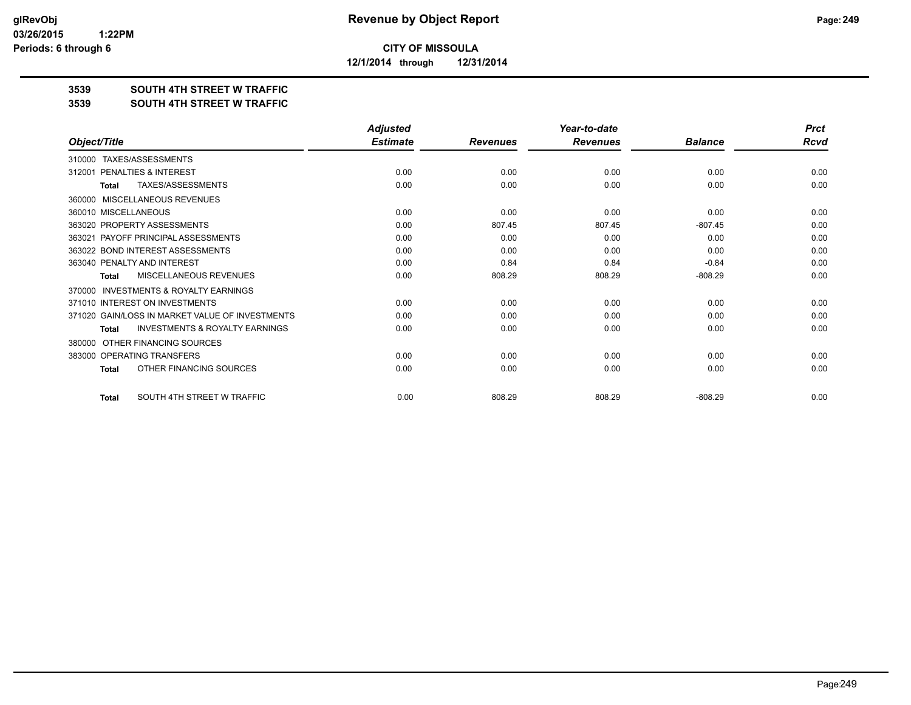**12/1/2014 through 12/31/2014**

#### **3539 SOUTH 4TH STREET W TRAFFIC**

#### **3539 SOUTH 4TH STREET W TRAFFIC**

|                                                           | <b>Adjusted</b> |                 | Year-to-date    |                | <b>Prct</b> |
|-----------------------------------------------------------|-----------------|-----------------|-----------------|----------------|-------------|
| Object/Title                                              | <b>Estimate</b> | <b>Revenues</b> | <b>Revenues</b> | <b>Balance</b> | <b>Rcvd</b> |
| TAXES/ASSESSMENTS<br>310000                               |                 |                 |                 |                |             |
| PENALTIES & INTEREST<br>312001                            | 0.00            | 0.00            | 0.00            | 0.00           | 0.00        |
| TAXES/ASSESSMENTS<br><b>Total</b>                         | 0.00            | 0.00            | 0.00            | 0.00           | 0.00        |
| <b>MISCELLANEOUS REVENUES</b><br>360000                   |                 |                 |                 |                |             |
| 360010 MISCELLANEOUS                                      | 0.00            | 0.00            | 0.00            | 0.00           | 0.00        |
| 363020 PROPERTY ASSESSMENTS                               | 0.00            | 807.45          | 807.45          | $-807.45$      | 0.00        |
| 363021 PAYOFF PRINCIPAL ASSESSMENTS                       | 0.00            | 0.00            | 0.00            | 0.00           | 0.00        |
| 363022 BOND INTEREST ASSESSMENTS                          | 0.00            | 0.00            | 0.00            | 0.00           | 0.00        |
| 363040 PENALTY AND INTEREST                               | 0.00            | 0.84            | 0.84            | $-0.84$        | 0.00        |
| MISCELLANEOUS REVENUES<br>Total                           | 0.00            | 808.29          | 808.29          | $-808.29$      | 0.00        |
| <b>INVESTMENTS &amp; ROYALTY EARNINGS</b><br>370000       |                 |                 |                 |                |             |
| 371010 INTEREST ON INVESTMENTS                            | 0.00            | 0.00            | 0.00            | 0.00           | 0.00        |
| 371020 GAIN/LOSS IN MARKET VALUE OF INVESTMENTS           | 0.00            | 0.00            | 0.00            | 0.00           | 0.00        |
| <b>INVESTMENTS &amp; ROYALTY EARNINGS</b><br><b>Total</b> | 0.00            | 0.00            | 0.00            | 0.00           | 0.00        |
| OTHER FINANCING SOURCES<br>380000                         |                 |                 |                 |                |             |
| 383000 OPERATING TRANSFERS                                | 0.00            | 0.00            | 0.00            | 0.00           | 0.00        |
| OTHER FINANCING SOURCES<br>Total                          | 0.00            | 0.00            | 0.00            | 0.00           | 0.00        |
| SOUTH 4TH STREET W TRAFFIC<br><b>Total</b>                | 0.00            | 808.29          | 808.29          | $-808.29$      | 0.00        |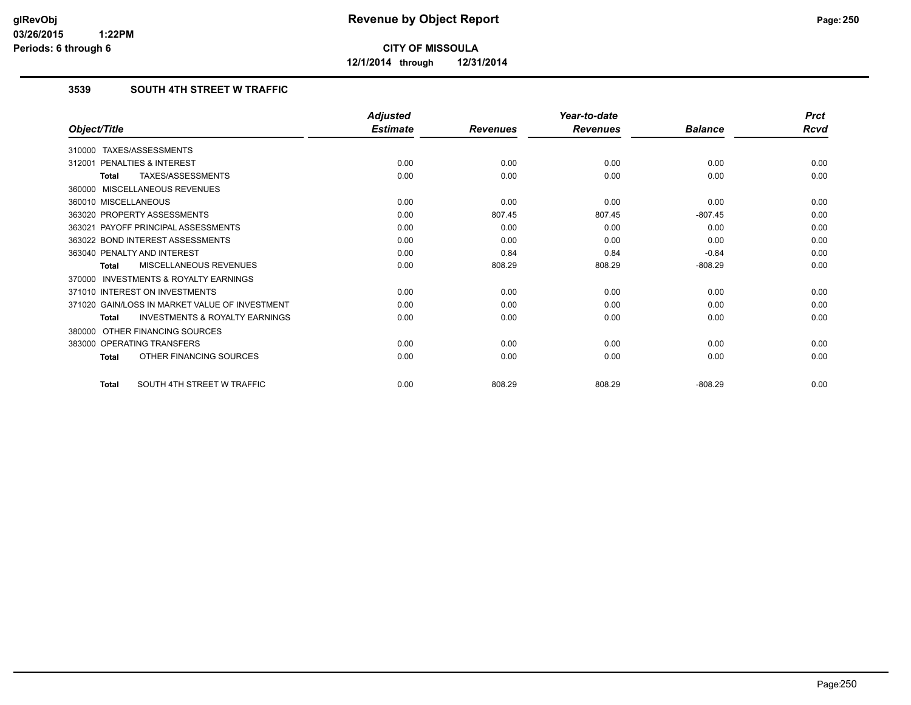**12/1/2014 through 12/31/2014**

## **3539 SOUTH 4TH STREET W TRAFFIC**

|                                                    | <b>Adjusted</b> |                 | Year-to-date    |                | <b>Prct</b> |
|----------------------------------------------------|-----------------|-----------------|-----------------|----------------|-------------|
| Object/Title                                       | <b>Estimate</b> | <b>Revenues</b> | <b>Revenues</b> | <b>Balance</b> | Rcvd        |
| 310000 TAXES/ASSESSMENTS                           |                 |                 |                 |                |             |
| PENALTIES & INTEREST<br>312001                     | 0.00            | 0.00            | 0.00            | 0.00           | 0.00        |
| TAXES/ASSESSMENTS<br><b>Total</b>                  | 0.00            | 0.00            | 0.00            | 0.00           | 0.00        |
| 360000 MISCELLANEOUS REVENUES                      |                 |                 |                 |                |             |
| 360010 MISCELLANEOUS                               | 0.00            | 0.00            | 0.00            | 0.00           | 0.00        |
| 363020 PROPERTY ASSESSMENTS                        | 0.00            | 807.45          | 807.45          | $-807.45$      | 0.00        |
| 363021 PAYOFF PRINCIPAL ASSESSMENTS                | 0.00            | 0.00            | 0.00            | 0.00           | 0.00        |
| 363022 BOND INTEREST ASSESSMENTS                   | 0.00            | 0.00            | 0.00            | 0.00           | 0.00        |
| 363040 PENALTY AND INTEREST                        | 0.00            | 0.84            | 0.84            | $-0.84$        | 0.00        |
| MISCELLANEOUS REVENUES<br>Total                    | 0.00            | 808.29          | 808.29          | $-808.29$      | 0.00        |
| 370000 INVESTMENTS & ROYALTY EARNINGS              |                 |                 |                 |                |             |
| 371010 INTEREST ON INVESTMENTS                     | 0.00            | 0.00            | 0.00            | 0.00           | 0.00        |
| 371020 GAIN/LOSS IN MARKET VALUE OF INVESTMENT     | 0.00            | 0.00            | 0.00            | 0.00           | 0.00        |
| <b>INVESTMENTS &amp; ROYALTY EARNINGS</b><br>Total | 0.00            | 0.00            | 0.00            | 0.00           | 0.00        |
| OTHER FINANCING SOURCES<br>380000                  |                 |                 |                 |                |             |
| 383000 OPERATING TRANSFERS                         | 0.00            | 0.00            | 0.00            | 0.00           | 0.00        |
| OTHER FINANCING SOURCES<br>Total                   | 0.00            | 0.00            | 0.00            | 0.00           | 0.00        |
| SOUTH 4TH STREET W TRAFFIC<br><b>Total</b>         | 0.00            | 808.29          | 808.29          | $-808.29$      | 0.00        |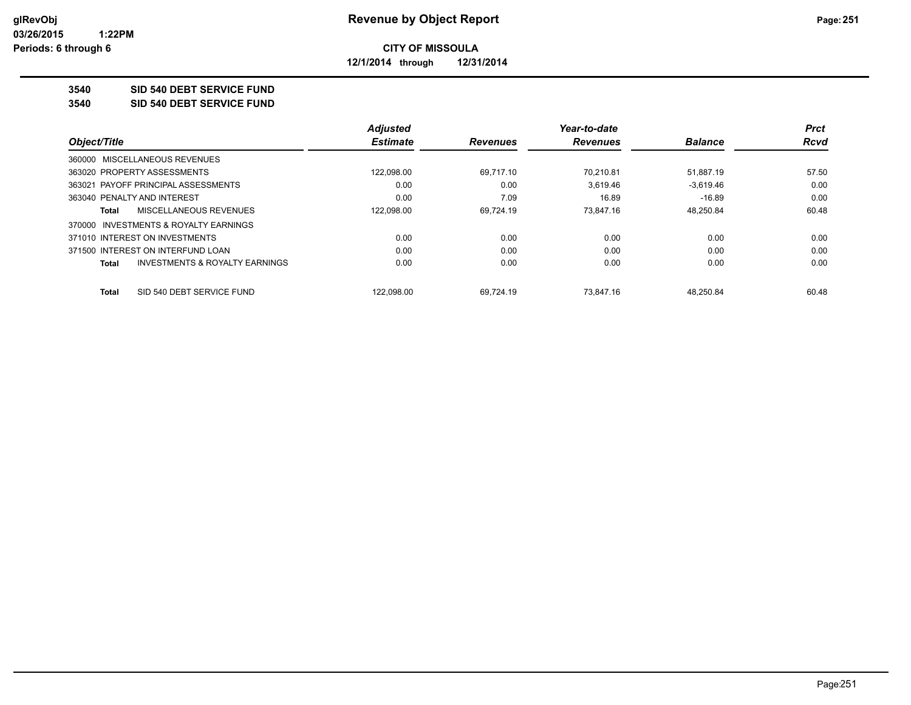**12/1/2014 through 12/31/2014**

#### **3540 SID 540 DEBT SERVICE FUND**

**3540 SID 540 DEBT SERVICE FUND**

|                                       |                                | <b>Adjusted</b> |                 | Year-to-date    |                | <b>Prct</b> |
|---------------------------------------|--------------------------------|-----------------|-----------------|-----------------|----------------|-------------|
| Object/Title                          |                                | <b>Estimate</b> | <b>Revenues</b> | <b>Revenues</b> | <b>Balance</b> | <b>Rcvd</b> |
| 360000 MISCELLANEOUS REVENUES         |                                |                 |                 |                 |                |             |
| 363020 PROPERTY ASSESSMENTS           |                                | 122,098.00      | 69.717.10       | 70.210.81       | 51.887.19      | 57.50       |
| 363021 PAYOFF PRINCIPAL ASSESSMENTS   |                                | 0.00            | 0.00            | 3,619.46        | $-3,619.46$    | 0.00        |
| 363040 PENALTY AND INTEREST           |                                | 0.00            | 7.09            | 16.89           | $-16.89$       | 0.00        |
| Total                                 | MISCELLANEOUS REVENUES         | 122,098.00      | 69.724.19       | 73,847.16       | 48,250.84      | 60.48       |
| 370000 INVESTMENTS & ROYALTY EARNINGS |                                |                 |                 |                 |                |             |
| 371010 INTEREST ON INVESTMENTS        |                                | 0.00            | 0.00            | 0.00            | 0.00           | 0.00        |
| 371500 INTEREST ON INTERFUND LOAN     |                                | 0.00            | 0.00            | 0.00            | 0.00           | 0.00        |
| Total                                 | INVESTMENTS & ROYALTY EARNINGS | 0.00            | 0.00            | 0.00            | 0.00           | 0.00        |
| Total                                 | SID 540 DEBT SERVICE FUND      | 122.098.00      | 69.724.19       | 73.847.16       | 48.250.84      | 60.48       |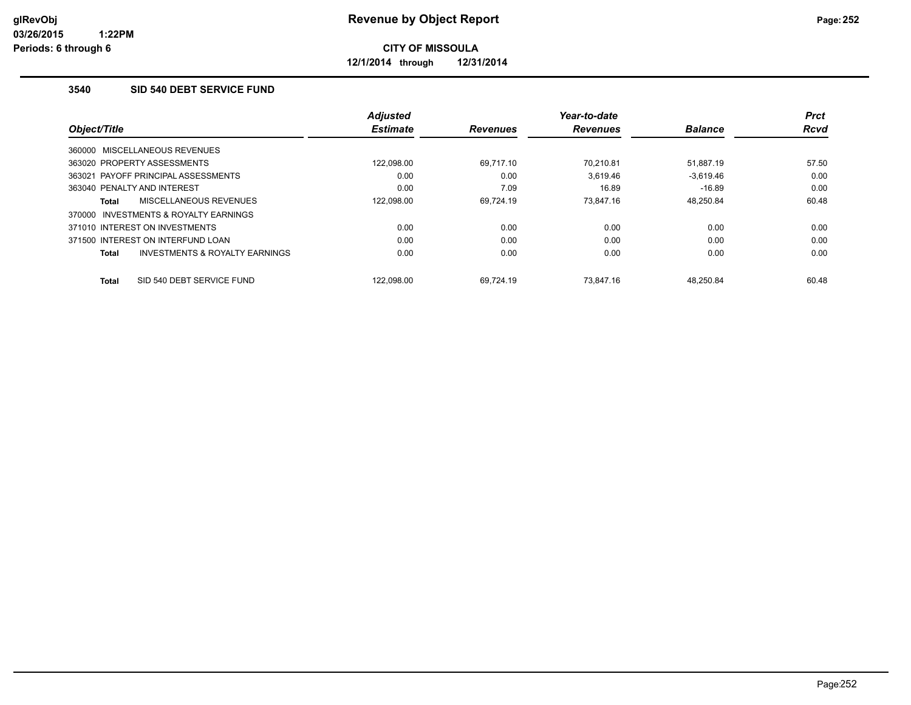**12/1/2014 through 12/31/2014**

#### **3540 SID 540 DEBT SERVICE FUND**

| Object/Title                                        | <b>Adjusted</b><br><b>Estimate</b> | <b>Revenues</b> | Year-to-date<br><b>Revenues</b> | <b>Balance</b> | <b>Prct</b><br><b>Rcvd</b> |
|-----------------------------------------------------|------------------------------------|-----------------|---------------------------------|----------------|----------------------------|
| 360000 MISCELLANEOUS REVENUES                       |                                    |                 |                                 |                |                            |
| 363020 PROPERTY ASSESSMENTS                         | 122.098.00                         | 69.717.10       | 70.210.81                       | 51.887.19      | 57.50                      |
| 363021 PAYOFF PRINCIPAL ASSESSMENTS                 | 0.00                               | 0.00            | 3.619.46                        | $-3.619.46$    | 0.00                       |
| 363040 PENALTY AND INTEREST                         | 0.00                               | 7.09            | 16.89                           | $-16.89$       | 0.00                       |
| MISCELLANEOUS REVENUES<br>Total                     | 122,098.00                         | 69.724.19       | 73.847.16                       | 48.250.84      | 60.48                      |
| <b>INVESTMENTS &amp; ROYALTY EARNINGS</b><br>370000 |                                    |                 |                                 |                |                            |
| 371010 INTEREST ON INVESTMENTS                      | 0.00                               | 0.00            | 0.00                            | 0.00           | 0.00                       |
| 371500 INTEREST ON INTERFUND LOAN                   | 0.00                               | 0.00            | 0.00                            | 0.00           | 0.00                       |
| INVESTMENTS & ROYALTY EARNINGS<br><b>Total</b>      | 0.00                               | 0.00            | 0.00                            | 0.00           | 0.00                       |
| SID 540 DEBT SERVICE FUND<br>Total                  | 122.098.00                         | 69.724.19       | 73.847.16                       | 48.250.84      | 60.48                      |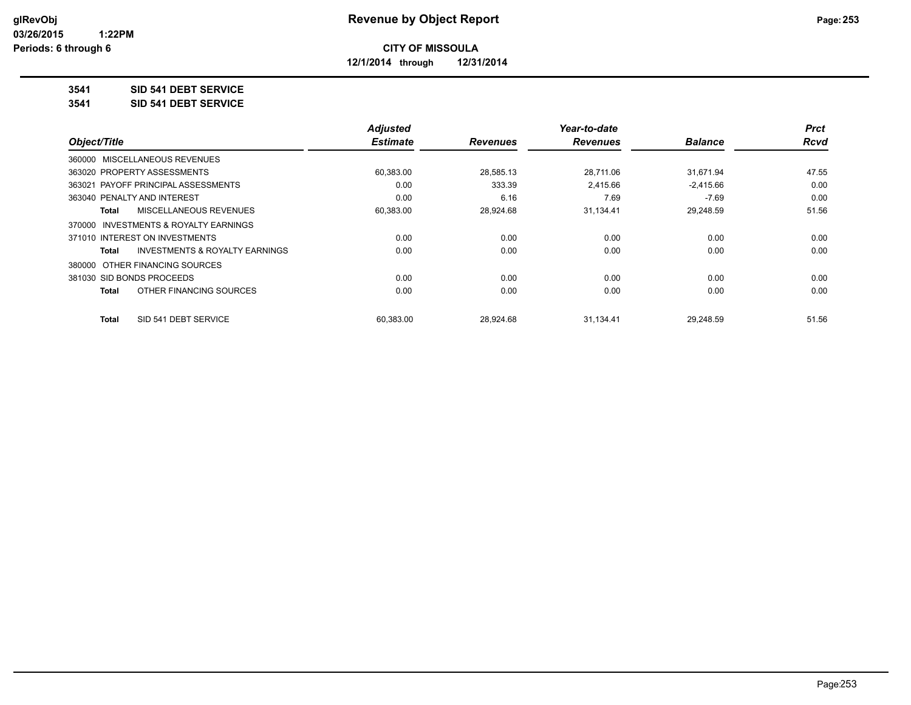**12/1/2014 through 12/31/2014**

## **3541 SID 541 DEBT SERVICE**

**3541 SID 541 DEBT SERVICE**

|                                         | <b>Adjusted</b> |                 | Year-to-date    |                | <b>Prct</b> |
|-----------------------------------------|-----------------|-----------------|-----------------|----------------|-------------|
| Object/Title                            | <b>Estimate</b> | <b>Revenues</b> | <b>Revenues</b> | <b>Balance</b> | <b>Rcvd</b> |
| 360000 MISCELLANEOUS REVENUES           |                 |                 |                 |                |             |
| 363020 PROPERTY ASSESSMENTS             | 60,383.00       | 28,585.13       | 28,711.06       | 31,671.94      | 47.55       |
| 363021 PAYOFF PRINCIPAL ASSESSMENTS     | 0.00            | 333.39          | 2,415.66        | $-2,415.66$    | 0.00        |
| 363040 PENALTY AND INTEREST             | 0.00            | 6.16            | 7.69            | $-7.69$        | 0.00        |
| MISCELLANEOUS REVENUES<br>Total         | 60,383.00       | 28,924.68       | 31,134.41       | 29,248.59      | 51.56       |
| 370000 INVESTMENTS & ROYALTY EARNINGS   |                 |                 |                 |                |             |
| 371010 INTEREST ON INVESTMENTS          | 0.00            | 0.00            | 0.00            | 0.00           | 0.00        |
| INVESTMENTS & ROYALTY EARNINGS<br>Total | 0.00            | 0.00            | 0.00            | 0.00           | 0.00        |
| 380000 OTHER FINANCING SOURCES          |                 |                 |                 |                |             |
| 381030 SID BONDS PROCEEDS               | 0.00            | 0.00            | 0.00            | 0.00           | 0.00        |
| OTHER FINANCING SOURCES<br>Total        | 0.00            | 0.00            | 0.00            | 0.00           | 0.00        |
| SID 541 DEBT SERVICE<br>Total           | 60.383.00       | 28.924.68       | 31.134.41       | 29.248.59      | 51.56       |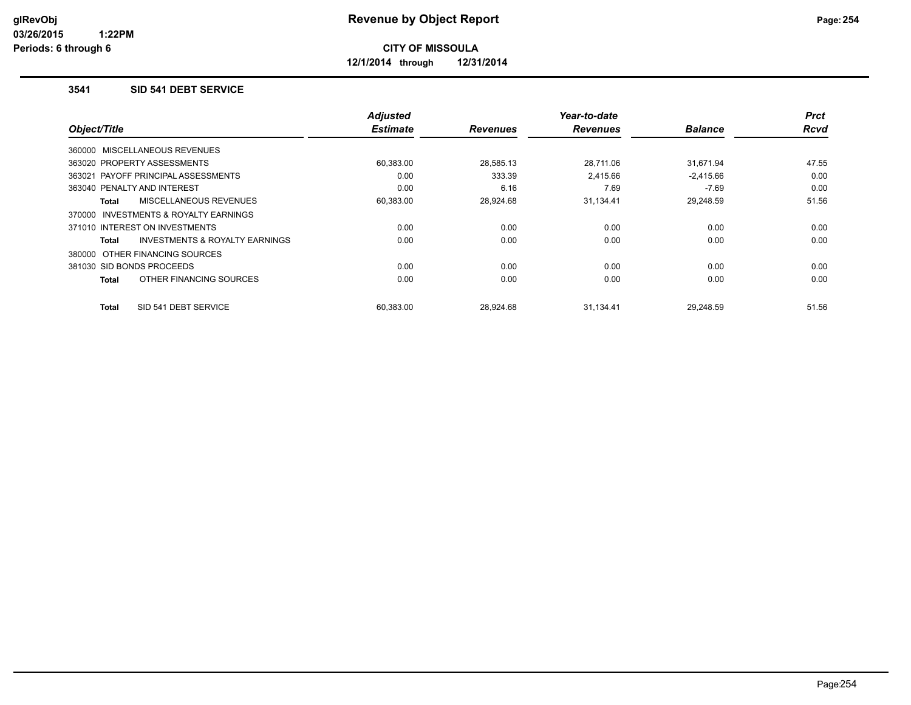**12/1/2014 through 12/31/2014**

### **3541 SID 541 DEBT SERVICE**

| Object/Title                                        | <b>Adjusted</b><br><b>Estimate</b> | <b>Revenues</b> | Year-to-date<br><b>Revenues</b> | <b>Balance</b> | <b>Prct</b><br>Rcvd |
|-----------------------------------------------------|------------------------------------|-----------------|---------------------------------|----------------|---------------------|
| 360000 MISCELLANEOUS REVENUES                       |                                    |                 |                                 |                |                     |
|                                                     |                                    |                 |                                 |                |                     |
| 363020 PROPERTY ASSESSMENTS                         | 60,383.00                          | 28,585.13       | 28,711.06                       | 31,671.94      | 47.55               |
| 363021 PAYOFF PRINCIPAL ASSESSMENTS                 | 0.00                               | 333.39          | 2.415.66                        | $-2.415.66$    | 0.00                |
| 363040 PENALTY AND INTEREST                         | 0.00                               | 6.16            | 7.69                            | $-7.69$        | 0.00                |
| MISCELLANEOUS REVENUES<br>Total                     | 60,383.00                          | 28,924.68       | 31,134.41                       | 29,248.59      | 51.56               |
| <b>INVESTMENTS &amp; ROYALTY EARNINGS</b><br>370000 |                                    |                 |                                 |                |                     |
| 371010 INTEREST ON INVESTMENTS                      | 0.00                               | 0.00            | 0.00                            | 0.00           | 0.00                |
| <b>INVESTMENTS &amp; ROYALTY EARNINGS</b><br>Total  | 0.00                               | 0.00            | 0.00                            | 0.00           | 0.00                |
| 380000 OTHER FINANCING SOURCES                      |                                    |                 |                                 |                |                     |
| 381030 SID BONDS PROCEEDS                           | 0.00                               | 0.00            | 0.00                            | 0.00           | 0.00                |
| OTHER FINANCING SOURCES<br>Total                    | 0.00                               | 0.00            | 0.00                            | 0.00           | 0.00                |
| SID 541 DEBT SERVICE<br>Total                       | 60,383.00                          | 28,924.68       | 31,134.41                       | 29,248.59      | 51.56               |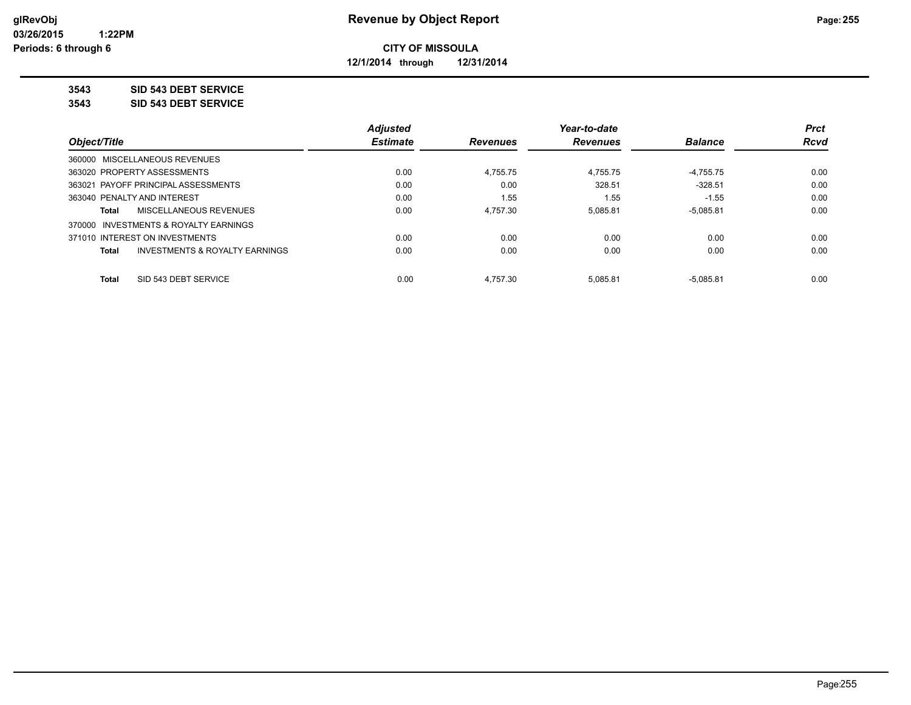**12/1/2014 through 12/31/2014**

### **3543 SID 543 DEBT SERVICE**

**3543 SID 543 DEBT SERVICE**

|                                         | <b>Adjusted</b> |                 | Year-to-date    |                | <b>Prct</b> |
|-----------------------------------------|-----------------|-----------------|-----------------|----------------|-------------|
| Object/Title                            | <b>Estimate</b> | <b>Revenues</b> | <b>Revenues</b> | <b>Balance</b> | <b>Rcvd</b> |
| 360000 MISCELLANEOUS REVENUES           |                 |                 |                 |                |             |
| 363020 PROPERTY ASSESSMENTS             | 0.00            | 4.755.75        | 4.755.75        | $-4.755.75$    | 0.00        |
| 363021 PAYOFF PRINCIPAL ASSESSMENTS     | 0.00            | 0.00            | 328.51          | $-328.51$      | 0.00        |
| 363040 PENALTY AND INTEREST             | 0.00            | 1.55            | 1.55            | $-1.55$        | 0.00        |
| <b>MISCELLANEOUS REVENUES</b><br>Total  | 0.00            | 4.757.30        | 5,085.81        | $-5,085.81$    | 0.00        |
| 370000 INVESTMENTS & ROYALTY EARNINGS   |                 |                 |                 |                |             |
| 371010 INTEREST ON INVESTMENTS          | 0.00            | 0.00            | 0.00            | 0.00           | 0.00        |
| INVESTMENTS & ROYALTY EARNINGS<br>Total | 0.00            | 0.00            | 0.00            | 0.00           | 0.00        |
|                                         |                 |                 |                 |                |             |
| SID 543 DEBT SERVICE<br><b>Total</b>    | 0.00            | 4.757.30        | 5.085.81        | $-5.085.81$    | 0.00        |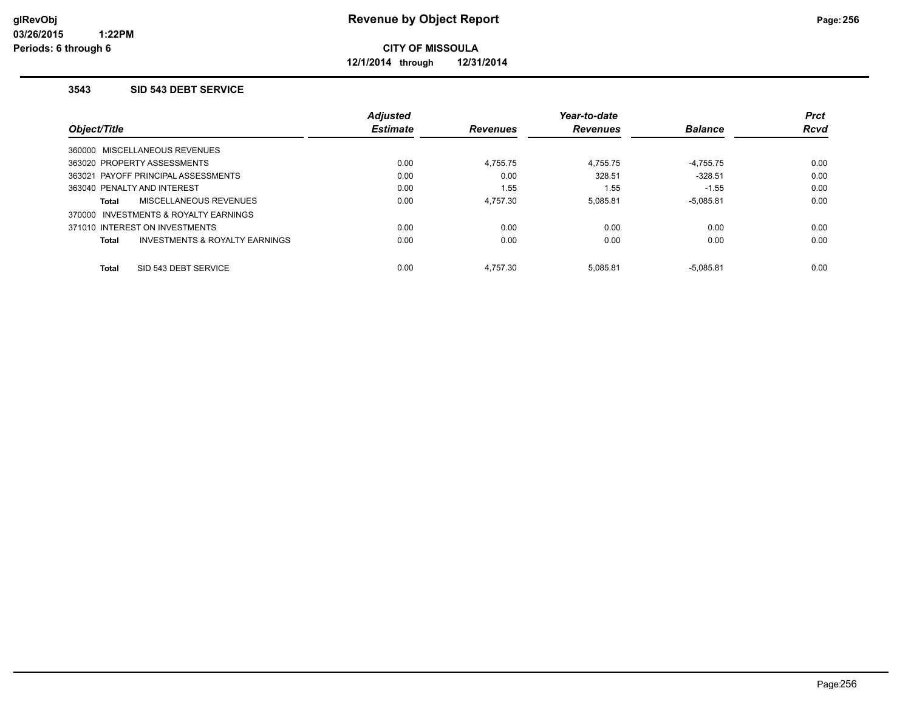**12/1/2014 through 12/31/2014**

### **3543 SID 543 DEBT SERVICE**

|                                                           | <b>Adjusted</b> |                 | Year-to-date    |                | <b>Prct</b> |
|-----------------------------------------------------------|-----------------|-----------------|-----------------|----------------|-------------|
| Object/Title                                              | <b>Estimate</b> | <b>Revenues</b> | <b>Revenues</b> | <b>Balance</b> | <b>Rcvd</b> |
| 360000 MISCELLANEOUS REVENUES                             |                 |                 |                 |                |             |
| 363020 PROPERTY ASSESSMENTS                               | 0.00            | 4,755.75        | 4.755.75        | $-4,755.75$    | 0.00        |
| 363021 PAYOFF PRINCIPAL ASSESSMENTS                       | 0.00            | 0.00            | 328.51          | $-328.51$      | 0.00        |
| 363040 PENALTY AND INTEREST                               | 0.00            | 1.55            | 1.55            | $-1.55$        | 0.00        |
| MISCELLANEOUS REVENUES<br>Total                           | 0.00            | 4.757.30        | 5.085.81        | $-5.085.81$    | 0.00        |
| 370000 INVESTMENTS & ROYALTY EARNINGS                     |                 |                 |                 |                |             |
| 371010 INTEREST ON INVESTMENTS                            | 0.00            | 0.00            | 0.00            | 0.00           | 0.00        |
| <b>INVESTMENTS &amp; ROYALTY EARNINGS</b><br><b>Total</b> | 0.00            | 0.00            | 0.00            | 0.00           | 0.00        |
| SID 543 DEBT SERVICE<br><b>Total</b>                      | 0.00            | 4.757.30        | 5.085.81        | $-5.085.81$    | 0.00        |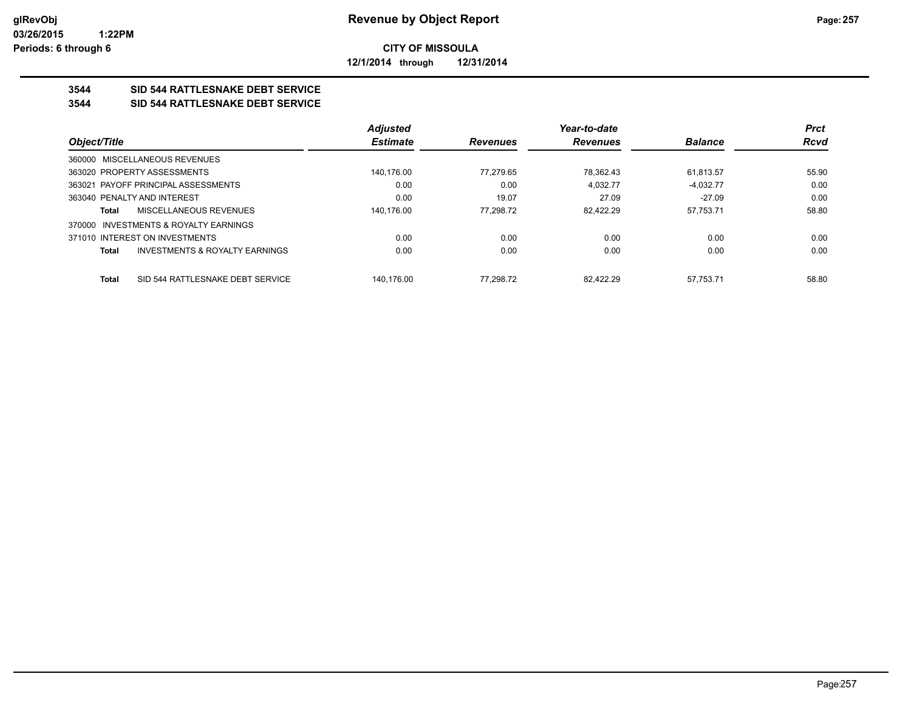**12/1/2014 through 12/31/2014**

# **3544 SID 544 RATTLESNAKE DEBT SERVICE**

## **3544 SID 544 RATTLESNAKE DEBT SERVICE**

|                                                    | <b>Adjusted</b> |                 | Year-to-date    |                | <b>Prct</b> |
|----------------------------------------------------|-----------------|-----------------|-----------------|----------------|-------------|
| Object/Title                                       | <b>Estimate</b> | <b>Revenues</b> | <b>Revenues</b> | <b>Balance</b> | <b>Rcvd</b> |
| 360000 MISCELLANEOUS REVENUES                      |                 |                 |                 |                |             |
| 363020 PROPERTY ASSESSMENTS                        | 140.176.00      | 77.279.65       | 78.362.43       | 61.813.57      | 55.90       |
| 363021 PAYOFF PRINCIPAL ASSESSMENTS                | 0.00            | 0.00            | 4.032.77        | $-4,032.77$    | 0.00        |
| 363040 PENALTY AND INTEREST                        | 0.00            | 19.07           | 27.09           | $-27.09$       | 0.00        |
| MISCELLANEOUS REVENUES<br>Total                    | 140.176.00      | 77.298.72       | 82.422.29       | 57.753.71      | 58.80       |
| 370000 INVESTMENTS & ROYALTY EARNINGS              |                 |                 |                 |                |             |
| 371010 INTEREST ON INVESTMENTS                     | 0.00            | 0.00            | 0.00            | 0.00           | 0.00        |
| <b>INVESTMENTS &amp; ROYALTY EARNINGS</b><br>Total | 0.00            | 0.00            | 0.00            | 0.00           | 0.00        |
|                                                    |                 |                 |                 |                |             |
| SID 544 RATTLESNAKE DEBT SERVICE<br><b>Total</b>   | 140.176.00      | 77.298.72       | 82.422.29       | 57.753.71      | 58.80       |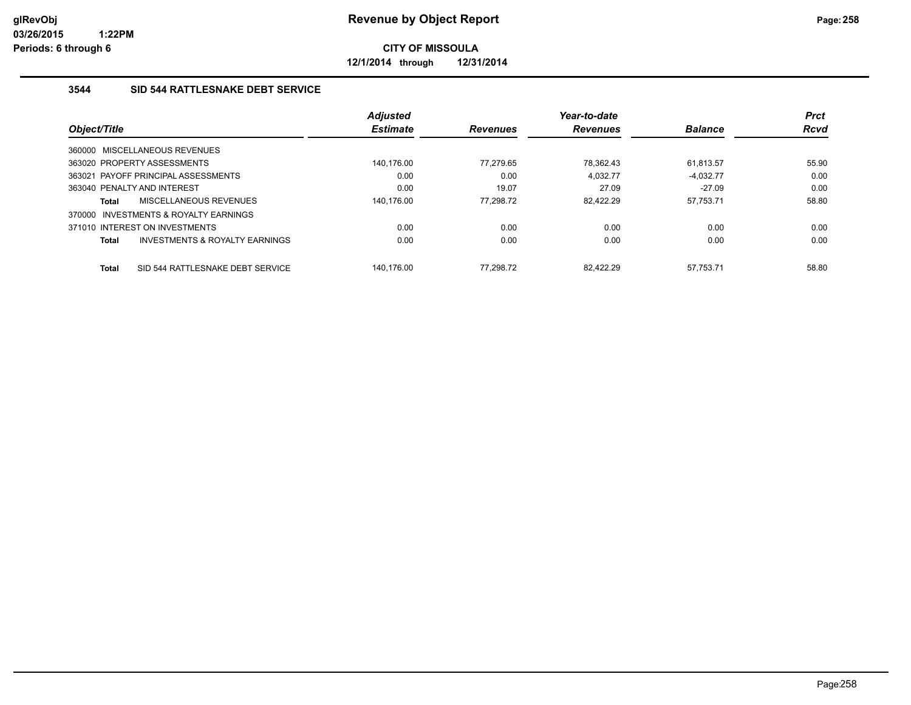**12/1/2014 through 12/31/2014**

## **3544 SID 544 RATTLESNAKE DEBT SERVICE**

|                             |                                     | <b>Adjusted</b> |                 | Year-to-date    |                | <b>Prct</b> |
|-----------------------------|-------------------------------------|-----------------|-----------------|-----------------|----------------|-------------|
| Object/Title                |                                     | <b>Estimate</b> | <b>Revenues</b> | <b>Revenues</b> | <b>Balance</b> | <b>Rcvd</b> |
|                             | 360000 MISCELLANEOUS REVENUES       |                 |                 |                 |                |             |
| 363020 PROPERTY ASSESSMENTS |                                     | 140.176.00      | 77.279.65       | 78.362.43       | 61.813.57      | 55.90       |
|                             | 363021 PAYOFF PRINCIPAL ASSESSMENTS | 0.00            | 0.00            | 4.032.77        | $-4.032.77$    | 0.00        |
| 363040 PENALTY AND INTEREST |                                     | 0.00            | 19.07           | 27.09           | $-27.09$       | 0.00        |
| Total                       | <b>MISCELLANEOUS REVENUES</b>       | 140.176.00      | 77.298.72       | 82.422.29       | 57.753.71      | 58.80       |
| 370000                      | INVESTMENTS & ROYALTY EARNINGS      |                 |                 |                 |                |             |
|                             | 371010 INTEREST ON INVESTMENTS      | 0.00            | 0.00            | 0.00            | 0.00           | 0.00        |
| Total                       | INVESTMENTS & ROYALTY EARNINGS      | 0.00            | 0.00            | 0.00            | 0.00           | 0.00        |
| Total                       | SID 544 RATTLESNAKE DEBT SERVICE    | 140.176.00      | 77.298.72       | 82.422.29       | 57.753.71      | 58.80       |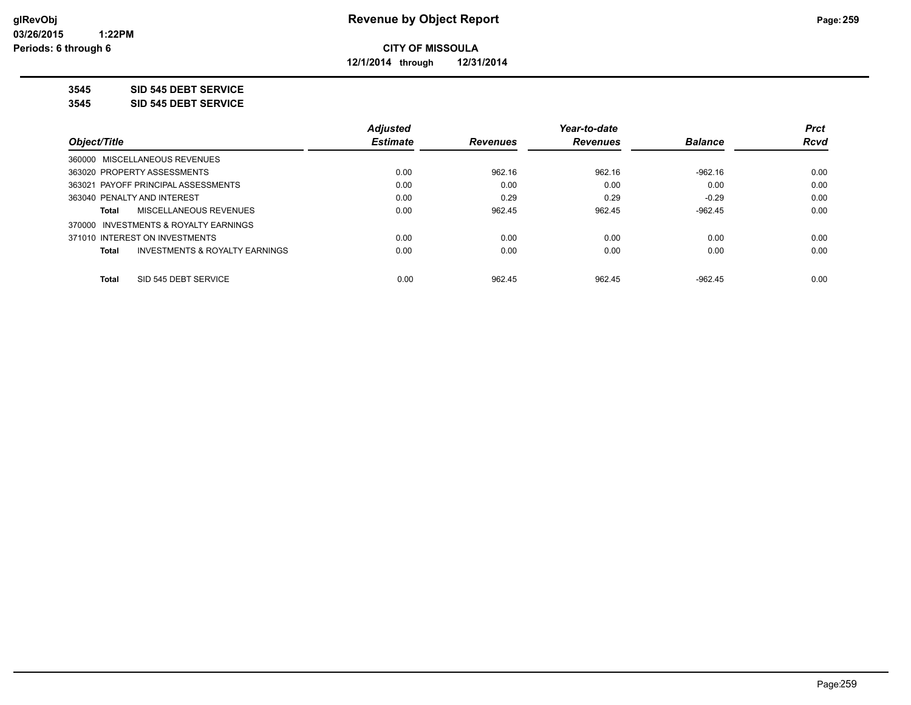**12/1/2014 through 12/31/2014**

**3545 SID 545 DEBT SERVICE**

**3545 SID 545 DEBT SERVICE**

|                                                    | <b>Adjusted</b> |                 | Year-to-date    |                | <b>Prct</b> |
|----------------------------------------------------|-----------------|-----------------|-----------------|----------------|-------------|
| Obiect/Title                                       | <b>Estimate</b> | <b>Revenues</b> | <b>Revenues</b> | <b>Balance</b> | <b>Rcvd</b> |
| 360000 MISCELLANEOUS REVENUES                      |                 |                 |                 |                |             |
| 363020 PROPERTY ASSESSMENTS                        | 0.00            | 962.16          | 962.16          | $-962.16$      | 0.00        |
| 363021 PAYOFF PRINCIPAL ASSESSMENTS                | 0.00            | 0.00            | 0.00            | 0.00           | 0.00        |
| 363040 PENALTY AND INTEREST                        | 0.00            | 0.29            | 0.29            | $-0.29$        | 0.00        |
| <b>MISCELLANEOUS REVENUES</b><br>Total             | 0.00            | 962.45          | 962.45          | $-962.45$      | 0.00        |
| INVESTMENTS & ROYALTY EARNINGS<br>370000           |                 |                 |                 |                |             |
| 371010 INTEREST ON INVESTMENTS                     | 0.00            | 0.00            | 0.00            | 0.00           | 0.00        |
| <b>INVESTMENTS &amp; ROYALTY EARNINGS</b><br>Total | 0.00            | 0.00            | 0.00            | 0.00           | 0.00        |
| SID 545 DEBT SERVICE<br><b>Total</b>               | 0.00            | 962.45          | 962.45          | $-962.45$      | 0.00        |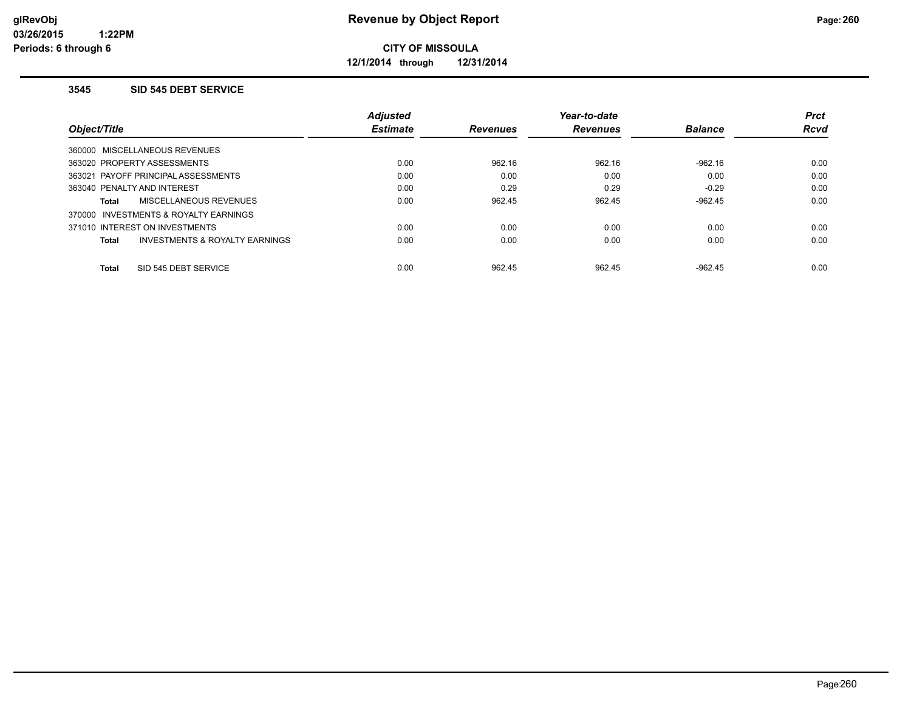**12/1/2014 through 12/31/2014**

### **3545 SID 545 DEBT SERVICE**

|                                                    | <b>Adjusted</b> |                 | Year-to-date    |                | <b>Prct</b> |
|----------------------------------------------------|-----------------|-----------------|-----------------|----------------|-------------|
| Object/Title                                       | <b>Estimate</b> | <b>Revenues</b> | <b>Revenues</b> | <b>Balance</b> | <b>Rcvd</b> |
| 360000 MISCELLANEOUS REVENUES                      |                 |                 |                 |                |             |
| 363020 PROPERTY ASSESSMENTS                        | 0.00            | 962.16          | 962.16          | $-962.16$      | 0.00        |
| 363021 PAYOFF PRINCIPAL ASSESSMENTS                | 0.00            | 0.00            | 0.00            | 0.00           | 0.00        |
| 363040 PENALTY AND INTEREST                        | 0.00            | 0.29            | 0.29            | $-0.29$        | 0.00        |
| <b>MISCELLANEOUS REVENUES</b><br>Total             | 0.00            | 962.45          | 962.45          | $-962.45$      | 0.00        |
| 370000 INVESTMENTS & ROYALTY EARNINGS              |                 |                 |                 |                |             |
| 371010 INTEREST ON INVESTMENTS                     | 0.00            | 0.00            | 0.00            | 0.00           | 0.00        |
| <b>INVESTMENTS &amp; ROYALTY EARNINGS</b><br>Total | 0.00            | 0.00            | 0.00            | 0.00           | 0.00        |
| SID 545 DEBT SERVICE<br><b>Total</b>               | 0.00            | 962.45          | 962.45          | $-962.45$      | 0.00        |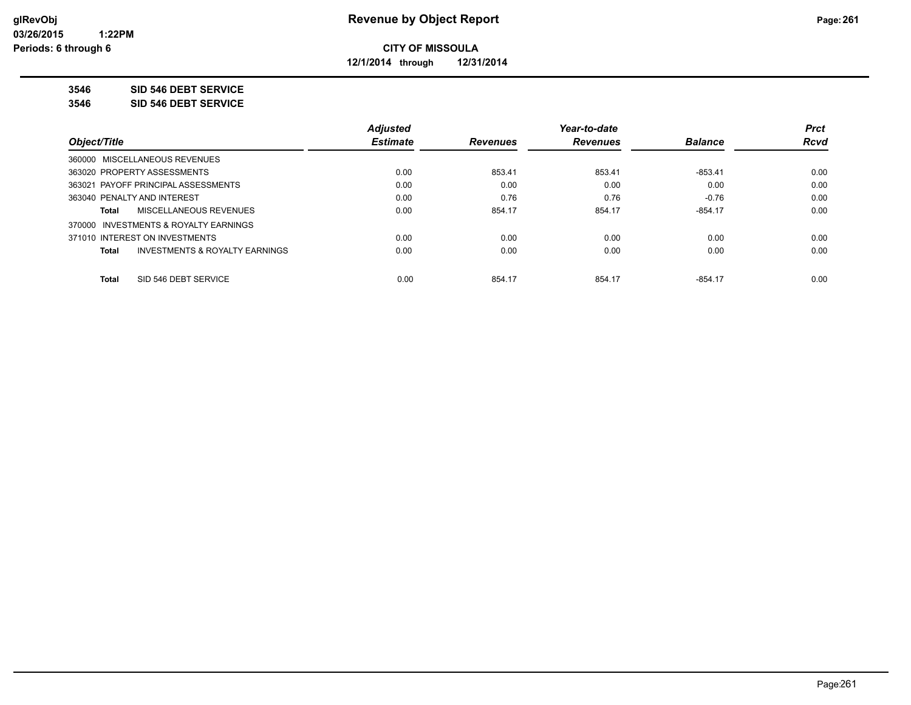**12/1/2014 through 12/31/2014**

**3546 SID 546 DEBT SERVICE**

**3546 SID 546 DEBT SERVICE**

|                                                    | <b>Adjusted</b> |                 | Year-to-date    |                | <b>Prct</b> |
|----------------------------------------------------|-----------------|-----------------|-----------------|----------------|-------------|
| Obiect/Title                                       | <b>Estimate</b> | <b>Revenues</b> | <b>Revenues</b> | <b>Balance</b> | <b>Rcvd</b> |
| 360000 MISCELLANEOUS REVENUES                      |                 |                 |                 |                |             |
| 363020 PROPERTY ASSESSMENTS                        | 0.00            | 853.41          | 853.41          | $-853.41$      | 0.00        |
| 363021 PAYOFF PRINCIPAL ASSESSMENTS                | 0.00            | 0.00            | 0.00            | 0.00           | 0.00        |
| 363040 PENALTY AND INTEREST                        | 0.00            | 0.76            | 0.76            | $-0.76$        | 0.00        |
| <b>MISCELLANEOUS REVENUES</b><br>Total             | 0.00            | 854.17          | 854.17          | $-854.17$      | 0.00        |
| 370000 INVESTMENTS & ROYALTY EARNINGS              |                 |                 |                 |                |             |
| 371010 INTEREST ON INVESTMENTS                     | 0.00            | 0.00            | 0.00            | 0.00           | 0.00        |
| <b>INVESTMENTS &amp; ROYALTY EARNINGS</b><br>Total | 0.00            | 0.00            | 0.00            | 0.00           | 0.00        |
|                                                    |                 |                 |                 |                |             |
| SID 546 DEBT SERVICE<br><b>Total</b>               | 0.00            | 854.17          | 854.17          | $-854.17$      | 0.00        |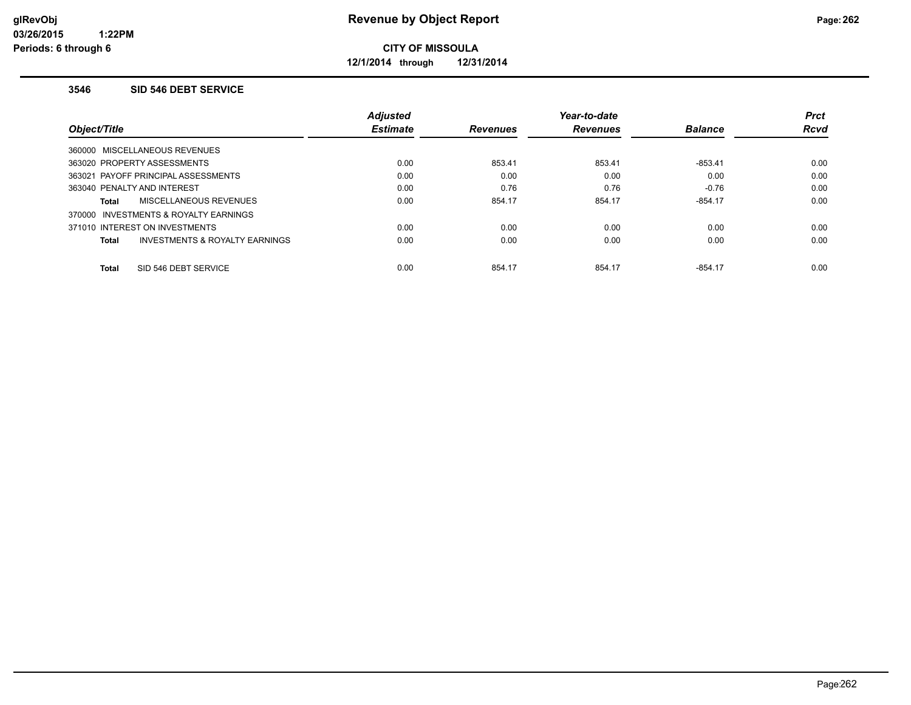**12/1/2014 through 12/31/2014**

### **3546 SID 546 DEBT SERVICE**

|                                                    | <b>Adjusted</b> |                 | Year-to-date    |                | <b>Prct</b> |
|----------------------------------------------------|-----------------|-----------------|-----------------|----------------|-------------|
| Object/Title                                       | <b>Estimate</b> | <b>Revenues</b> | <b>Revenues</b> | <b>Balance</b> | <b>Rcvd</b> |
| 360000 MISCELLANEOUS REVENUES                      |                 |                 |                 |                |             |
| 363020 PROPERTY ASSESSMENTS                        | 0.00            | 853.41          | 853.41          | $-853.41$      | 0.00        |
| 363021 PAYOFF PRINCIPAL ASSESSMENTS                | 0.00            | 0.00            | 0.00            | 0.00           | 0.00        |
| 363040 PENALTY AND INTEREST                        | 0.00            | 0.76            | 0.76            | $-0.76$        | 0.00        |
| <b>MISCELLANEOUS REVENUES</b><br>Total             | 0.00            | 854.17          | 854.17          | $-854.17$      | 0.00        |
| 370000 INVESTMENTS & ROYALTY EARNINGS              |                 |                 |                 |                |             |
| 371010 INTEREST ON INVESTMENTS                     | 0.00            | 0.00            | 0.00            | 0.00           | 0.00        |
| <b>INVESTMENTS &amp; ROYALTY EARNINGS</b><br>Total | 0.00            | 0.00            | 0.00            | 0.00           | 0.00        |
| SID 546 DEBT SERVICE<br><b>Total</b>               | 0.00            | 854.17          | 854.17          | $-854.17$      | 0.00        |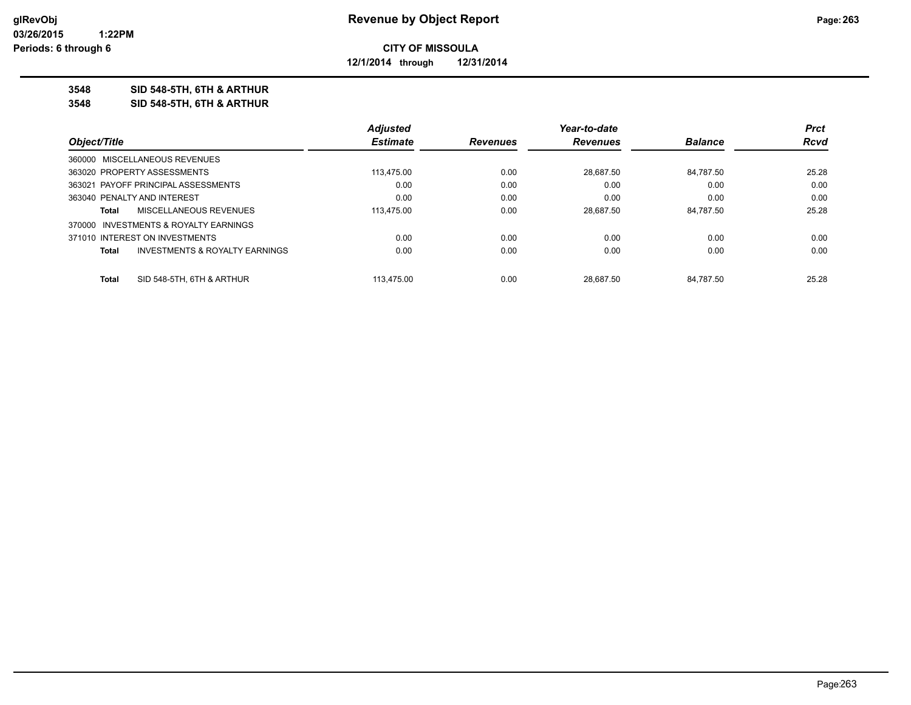**12/1/2014 through 12/31/2014**

### **3548 SID 548-5TH, 6TH & ARTHUR**

**3548 SID 548-5TH, 6TH & ARTHUR**

|                                                    | <b>Adjusted</b> |                 | Year-to-date    |                | <b>Prct</b> |
|----------------------------------------------------|-----------------|-----------------|-----------------|----------------|-------------|
| Object/Title                                       | <b>Estimate</b> | <b>Revenues</b> | <b>Revenues</b> | <b>Balance</b> | <b>Rcvd</b> |
| 360000 MISCELLANEOUS REVENUES                      |                 |                 |                 |                |             |
| 363020 PROPERTY ASSESSMENTS                        | 113.475.00      | 0.00            | 28.687.50       | 84.787.50      | 25.28       |
| 363021 PAYOFF PRINCIPAL ASSESSMENTS                | 0.00            | 0.00            | 0.00            | 0.00           | 0.00        |
| 363040 PENALTY AND INTEREST                        | 0.00            | 0.00            | 0.00            | 0.00           | 0.00        |
| MISCELLANEOUS REVENUES<br>Total                    | 113.475.00      | 0.00            | 28.687.50       | 84.787.50      | 25.28       |
| 370000 INVESTMENTS & ROYALTY EARNINGS              |                 |                 |                 |                |             |
| 371010 INTEREST ON INVESTMENTS                     | 0.00            | 0.00            | 0.00            | 0.00           | 0.00        |
| <b>INVESTMENTS &amp; ROYALTY EARNINGS</b><br>Total | 0.00            | 0.00            | 0.00            | 0.00           | 0.00        |
|                                                    |                 |                 |                 |                |             |
| SID 548-5TH, 6TH & ARTHUR<br><b>Total</b>          | 113.475.00      | 0.00            | 28.687.50       | 84.787.50      | 25.28       |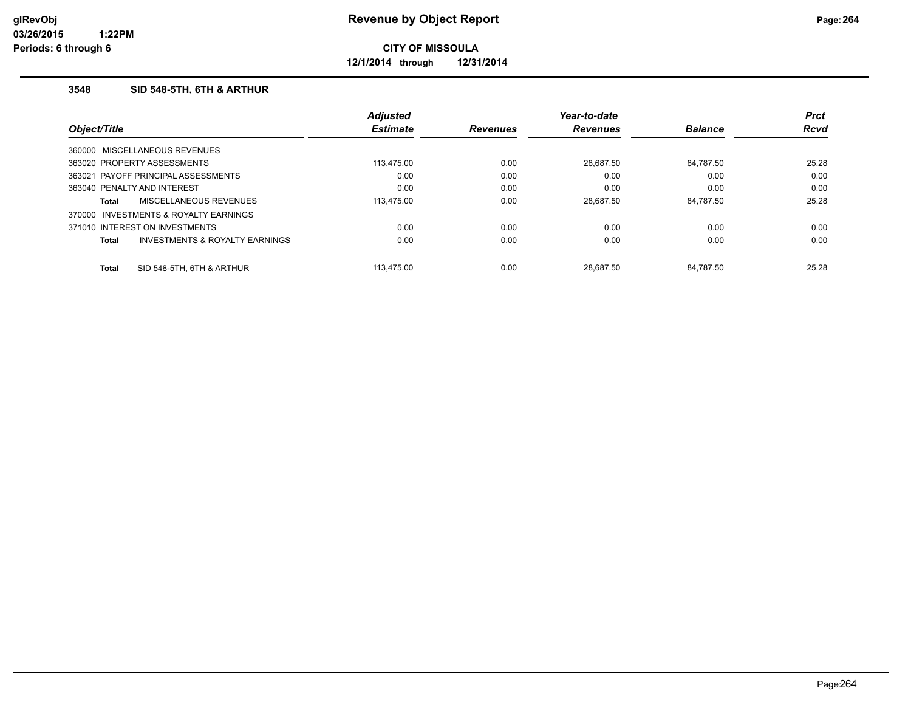**12/1/2014 through 12/31/2014**

## **3548 SID 548-5TH, 6TH & ARTHUR**

|              |                                           | <b>Adjusted</b> |                 | Year-to-date    |                | <b>Prct</b> |
|--------------|-------------------------------------------|-----------------|-----------------|-----------------|----------------|-------------|
| Object/Title |                                           | <b>Estimate</b> | <b>Revenues</b> | <b>Revenues</b> | <b>Balance</b> | <b>Rcvd</b> |
|              | 360000 MISCELLANEOUS REVENUES             |                 |                 |                 |                |             |
|              | 363020 PROPERTY ASSESSMENTS               | 113.475.00      | 0.00            | 28.687.50       | 84.787.50      | 25.28       |
|              | 363021 PAYOFF PRINCIPAL ASSESSMENTS       | 0.00            | 0.00            | 0.00            | 0.00           | 0.00        |
|              | 363040 PENALTY AND INTEREST               | 0.00            | 0.00            | 0.00            | 0.00           | 0.00        |
| Total        | MISCELLANEOUS REVENUES                    | 113.475.00      | 0.00            | 28.687.50       | 84.787.50      | 25.28       |
| 370000       | INVESTMENTS & ROYALTY EARNINGS            |                 |                 |                 |                |             |
|              | 371010 INTEREST ON INVESTMENTS            | 0.00            | 0.00            | 0.00            | 0.00           | 0.00        |
| Total        | <b>INVESTMENTS &amp; ROYALTY EARNINGS</b> | 0.00            | 0.00            | 0.00            | 0.00           | 0.00        |
| <b>Total</b> | SID 548-5TH, 6TH & ARTHUR                 | 113.475.00      | 0.00            | 28.687.50       | 84.787.50      | 25.28       |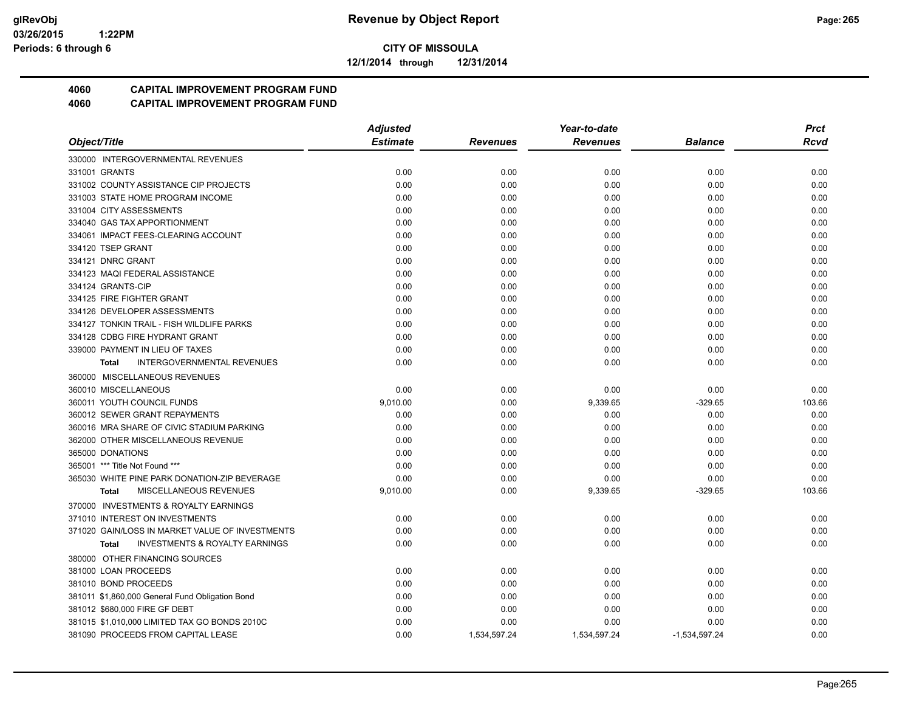**12/1/2014 through 12/31/2014**

# **4060 CAPITAL IMPROVEMENT PROGRAM FUND**

|                                                           | <b>Adjusted</b> |                 | Year-to-date    |                 | <b>Prct</b> |
|-----------------------------------------------------------|-----------------|-----------------|-----------------|-----------------|-------------|
| Object/Title                                              | <b>Estimate</b> | <b>Revenues</b> | <b>Revenues</b> | Balance         | Rcvd        |
| 330000 INTERGOVERNMENTAL REVENUES                         |                 |                 |                 |                 |             |
| 331001 GRANTS                                             | 0.00            | 0.00            | 0.00            | 0.00            | 0.00        |
| 331002 COUNTY ASSISTANCE CIP PROJECTS                     | 0.00            | 0.00            | 0.00            | 0.00            | 0.00        |
| 331003 STATE HOME PROGRAM INCOME                          | 0.00            | 0.00            | 0.00            | 0.00            | 0.00        |
| 331004 CITY ASSESSMENTS                                   | 0.00            | 0.00            | 0.00            | 0.00            | 0.00        |
| 334040 GAS TAX APPORTIONMENT                              | 0.00            | 0.00            | 0.00            | 0.00            | 0.00        |
| 334061 IMPACT FEES-CLEARING ACCOUNT                       | 0.00            | 0.00            | 0.00            | 0.00            | 0.00        |
| 334120 TSEP GRANT                                         | 0.00            | 0.00            | 0.00            | 0.00            | 0.00        |
| 334121 DNRC GRANT                                         | 0.00            | 0.00            | 0.00            | 0.00            | 0.00        |
| 334123 MAQI FEDERAL ASSISTANCE                            | 0.00            | 0.00            | 0.00            | 0.00            | 0.00        |
| 334124 GRANTS-CIP                                         | 0.00            | 0.00            | 0.00            | 0.00            | 0.00        |
| 334125 FIRE FIGHTER GRANT                                 | 0.00            | 0.00            | 0.00            | 0.00            | 0.00        |
| 334126 DEVELOPER ASSESSMENTS                              | 0.00            | 0.00            | 0.00            | 0.00            | 0.00        |
| 334127 TONKIN TRAIL - FISH WILDLIFE PARKS                 | 0.00            | 0.00            | 0.00            | 0.00            | 0.00        |
| 334128 CDBG FIRE HYDRANT GRANT                            | 0.00            | 0.00            | 0.00            | 0.00            | 0.00        |
| 339000 PAYMENT IN LIEU OF TAXES                           | 0.00            | 0.00            | 0.00            | 0.00            | 0.00        |
| <b>INTERGOVERNMENTAL REVENUES</b><br><b>Total</b>         | 0.00            | 0.00            | 0.00            | 0.00            | 0.00        |
| 360000 MISCELLANEOUS REVENUES                             |                 |                 |                 |                 |             |
| 360010 MISCELLANEOUS                                      | 0.00            | 0.00            | 0.00            | 0.00            | 0.00        |
| 360011 YOUTH COUNCIL FUNDS                                | 9,010.00        | 0.00            | 9,339.65        | $-329.65$       | 103.66      |
| 360012 SEWER GRANT REPAYMENTS                             | 0.00            | 0.00            | 0.00            | 0.00            | 0.00        |
| 360016 MRA SHARE OF CIVIC STADIUM PARKING                 | 0.00            | 0.00            | 0.00            | 0.00            | 0.00        |
| 362000 OTHER MISCELLANEOUS REVENUE                        | 0.00            | 0.00            | 0.00            | 0.00            | 0.00        |
| 365000 DONATIONS                                          | 0.00            | 0.00            | 0.00            | 0.00            | 0.00        |
| 365001 *** Title Not Found ***                            | 0.00            | 0.00            | 0.00            | 0.00            | 0.00        |
| 365030 WHITE PINE PARK DONATION-ZIP BEVERAGE              | 0.00            | 0.00            | 0.00            | 0.00            | 0.00        |
| MISCELLANEOUS REVENUES<br><b>Total</b>                    | 9,010.00        | 0.00            | 9,339.65        | $-329.65$       | 103.66      |
| 370000 INVESTMENTS & ROYALTY EARNINGS                     |                 |                 |                 |                 |             |
| 371010 INTEREST ON INVESTMENTS                            | 0.00            | 0.00            | 0.00            | 0.00            | 0.00        |
| 371020 GAIN/LOSS IN MARKET VALUE OF INVESTMENTS           | 0.00            | 0.00            | 0.00            | 0.00            | 0.00        |
| <b>INVESTMENTS &amp; ROYALTY EARNINGS</b><br><b>Total</b> | 0.00            | 0.00            | 0.00            | 0.00            | 0.00        |
| 380000 OTHER FINANCING SOURCES                            |                 |                 |                 |                 |             |
| 381000 LOAN PROCEEDS                                      | 0.00            | 0.00            | 0.00            | 0.00            | 0.00        |
| 381010 BOND PROCEEDS                                      | 0.00            | 0.00            | 0.00            | 0.00            | 0.00        |
| 381011 \$1,860,000 General Fund Obligation Bond           | 0.00            | 0.00            | 0.00            | 0.00            | 0.00        |
| 381012 \$680,000 FIRE GF DEBT                             | 0.00            | 0.00            | 0.00            | 0.00            | 0.00        |
| 381015 \$1,010,000 LIMITED TAX GO BONDS 2010C             | 0.00            | 0.00            | 0.00            | 0.00            | 0.00        |
| 381090 PROCEEDS FROM CAPITAL LEASE                        | 0.00            | 1,534,597.24    | 1,534,597.24    | $-1,534,597.24$ | 0.00        |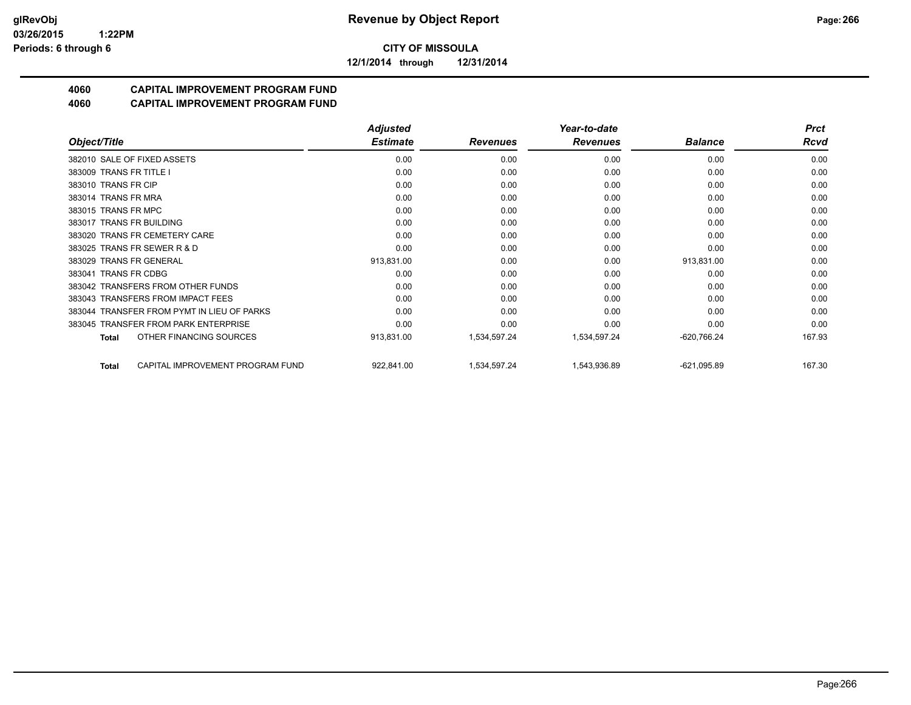**12/1/2014 through 12/31/2014**

# **4060 CAPITAL IMPROVEMENT PROGRAM FUND**

|                                            | <b>Adjusted</b> |                 | Year-to-date    |                | <b>Prct</b> |
|--------------------------------------------|-----------------|-----------------|-----------------|----------------|-------------|
| Object/Title                               | <b>Estimate</b> | <b>Revenues</b> | <b>Revenues</b> | <b>Balance</b> | <b>Rcvd</b> |
| 382010 SALE OF FIXED ASSETS                | 0.00            | 0.00            | 0.00            | 0.00           | 0.00        |
| 383009 TRANS FR TITLE I                    | 0.00            | 0.00            | 0.00            | 0.00           | 0.00        |
| 383010 TRANS FR CIP                        | 0.00            | 0.00            | 0.00            | 0.00           | 0.00        |
| 383014 TRANS FR MRA                        | 0.00            | 0.00            | 0.00            | 0.00           | 0.00        |
| 383015 TRANS FR MPC                        | 0.00            | 0.00            | 0.00            | 0.00           | 0.00        |
| 383017 TRANS FR BUILDING                   | 0.00            | 0.00            | 0.00            | 0.00           | 0.00        |
| 383020 TRANS FR CEMETERY CARE              | 0.00            | 0.00            | 0.00            | 0.00           | 0.00        |
| 383025 TRANS FR SEWER R & D                | 0.00            | 0.00            | 0.00            | 0.00           | 0.00        |
| 383029 TRANS FR GENERAL                    | 913,831.00      | 0.00            | 0.00            | 913,831.00     | 0.00        |
| 383041 TRANS FR CDBG                       | 0.00            | 0.00            | 0.00            | 0.00           | 0.00        |
| 383042 TRANSFERS FROM OTHER FUNDS          | 0.00            | 0.00            | 0.00            | 0.00           | 0.00        |
| 383043 TRANSFERS FROM IMPACT FEES          | 0.00            | 0.00            | 0.00            | 0.00           | 0.00        |
| 383044 TRANSFER FROM PYMT IN LIEU OF PARKS | 0.00            | 0.00            | 0.00            | 0.00           | 0.00        |
| 383045 TRANSFER FROM PARK ENTERPRISE       | 0.00            | 0.00            | 0.00            | 0.00           | 0.00        |
| OTHER FINANCING SOURCES<br>Total           | 913,831.00      | 1,534,597.24    | 1,534,597.24    | $-620,766.24$  | 167.93      |
| CAPITAL IMPROVEMENT PROGRAM FUND<br>Total  | 922,841.00      | 1,534,597.24    | 1,543,936.89    | $-621,095.89$  | 167.30      |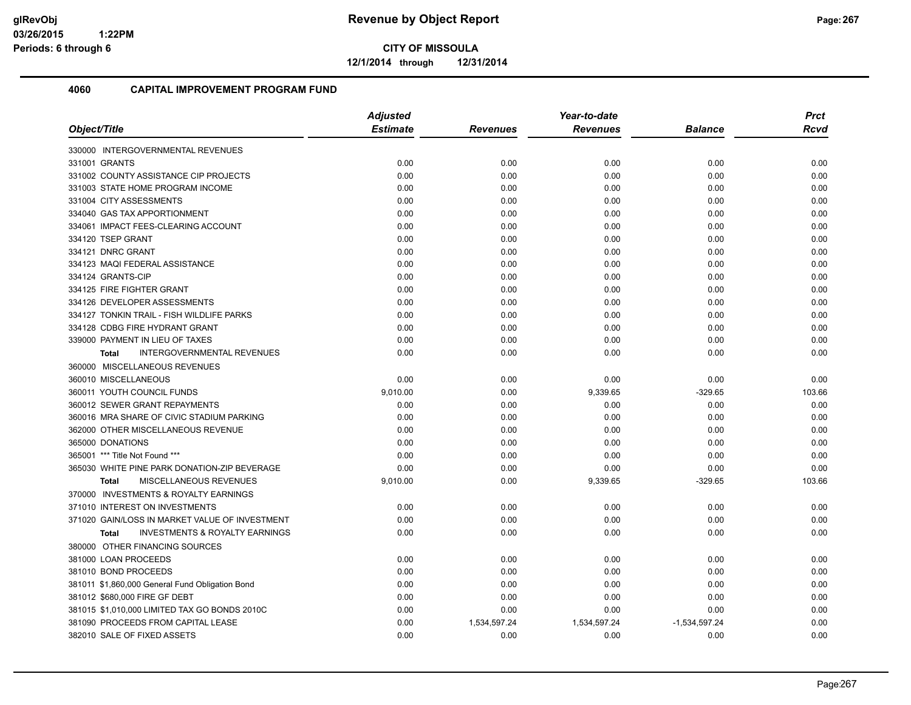**12/1/2014 through 12/31/2014**

|                                                           | <b>Adjusted</b> |                 | Year-to-date    |                 | <b>Prct</b> |
|-----------------------------------------------------------|-----------------|-----------------|-----------------|-----------------|-------------|
| Object/Title                                              | <b>Estimate</b> | <b>Revenues</b> | <b>Revenues</b> | <b>Balance</b>  | <b>Rcvd</b> |
| 330000 INTERGOVERNMENTAL REVENUES                         |                 |                 |                 |                 |             |
| 331001 GRANTS                                             | 0.00            | 0.00            | 0.00            | 0.00            | 0.00        |
| 331002 COUNTY ASSISTANCE CIP PROJECTS                     | 0.00            | 0.00            | 0.00            | 0.00            | 0.00        |
| 331003 STATE HOME PROGRAM INCOME                          | 0.00            | 0.00            | 0.00            | 0.00            | 0.00        |
| 331004 CITY ASSESSMENTS                                   | 0.00            | 0.00            | 0.00            | 0.00            | 0.00        |
| 334040 GAS TAX APPORTIONMENT                              | 0.00            | 0.00            | 0.00            | 0.00            | 0.00        |
| 334061 IMPACT FEES-CLEARING ACCOUNT                       | 0.00            | 0.00            | 0.00            | 0.00            | 0.00        |
| 334120 TSEP GRANT                                         | 0.00            | 0.00            | 0.00            | 0.00            | 0.00        |
| 334121 DNRC GRANT                                         | 0.00            | 0.00            | 0.00            | 0.00            | 0.00        |
| 334123 MAQI FEDERAL ASSISTANCE                            | 0.00            | 0.00            | 0.00            | 0.00            | 0.00        |
| 334124 GRANTS-CIP                                         | 0.00            | 0.00            | 0.00            | 0.00            | 0.00        |
| 334125 FIRE FIGHTER GRANT                                 | 0.00            | 0.00            | 0.00            | 0.00            | 0.00        |
| 334126 DEVELOPER ASSESSMENTS                              | 0.00            | 0.00            | 0.00            | 0.00            | 0.00        |
| 334127 TONKIN TRAIL - FISH WILDLIFE PARKS                 | 0.00            | 0.00            | 0.00            | 0.00            | 0.00        |
| 334128 CDBG FIRE HYDRANT GRANT                            | 0.00            | 0.00            | 0.00            | 0.00            | 0.00        |
| 339000 PAYMENT IN LIEU OF TAXES                           | 0.00            | 0.00            | 0.00            | 0.00            | 0.00        |
| <b>INTERGOVERNMENTAL REVENUES</b><br><b>Total</b>         | 0.00            | 0.00            | 0.00            | 0.00            | 0.00        |
| 360000 MISCELLANEOUS REVENUES                             |                 |                 |                 |                 |             |
| 360010 MISCELLANEOUS                                      | 0.00            | 0.00            | 0.00            | 0.00            | 0.00        |
| 360011 YOUTH COUNCIL FUNDS                                | 9,010.00        | 0.00            | 9,339.65        | $-329.65$       | 103.66      |
| 360012 SEWER GRANT REPAYMENTS                             | 0.00            | 0.00            | 0.00            | 0.00            | 0.00        |
| 360016 MRA SHARE OF CIVIC STADIUM PARKING                 | 0.00            | 0.00            | 0.00            | 0.00            | 0.00        |
| 362000 OTHER MISCELLANEOUS REVENUE                        | 0.00            | 0.00            | 0.00            | 0.00            | 0.00        |
| 365000 DONATIONS                                          | 0.00            | 0.00            | 0.00            | 0.00            | 0.00        |
| 365001 *** Title Not Found ***                            | 0.00            | 0.00            | 0.00            | 0.00            | 0.00        |
| 365030 WHITE PINE PARK DONATION-ZIP BEVERAGE              | 0.00            | 0.00            | 0.00            | 0.00            | 0.00        |
| MISCELLANEOUS REVENUES<br><b>Total</b>                    | 9,010.00        | 0.00            | 9,339.65        | $-329.65$       | 103.66      |
| 370000 INVESTMENTS & ROYALTY EARNINGS                     |                 |                 |                 |                 |             |
| 371010 INTEREST ON INVESTMENTS                            | 0.00            | 0.00            | 0.00            | 0.00            | 0.00        |
| 371020 GAIN/LOSS IN MARKET VALUE OF INVESTMENT            | 0.00            | 0.00            | 0.00            | 0.00            | 0.00        |
| <b>INVESTMENTS &amp; ROYALTY EARNINGS</b><br><b>Total</b> | 0.00            | 0.00            | 0.00            | 0.00            | 0.00        |
| 380000 OTHER FINANCING SOURCES                            |                 |                 |                 |                 |             |
| 381000 LOAN PROCEEDS                                      | 0.00            | 0.00            | 0.00            | 0.00            | 0.00        |
| 381010 BOND PROCEEDS                                      | 0.00            | 0.00            | 0.00            | 0.00            | 0.00        |
| 381011 \$1,860,000 General Fund Obligation Bond           | 0.00            | 0.00            | 0.00            | 0.00            | 0.00        |
| 381012 \$680,000 FIRE GF DEBT                             | 0.00            | 0.00            | 0.00            | 0.00            | 0.00        |
| 381015 \$1,010,000 LIMITED TAX GO BONDS 2010C             | 0.00            | 0.00            | 0.00            | 0.00            | 0.00        |
| 381090 PROCEEDS FROM CAPITAL LEASE                        | 0.00            | 1,534,597.24    | 1,534,597.24    | $-1,534,597.24$ | 0.00        |
| 382010 SALE OF FIXED ASSETS                               | 0.00            | 0.00            | 0.00            | 0.00            | 0.00        |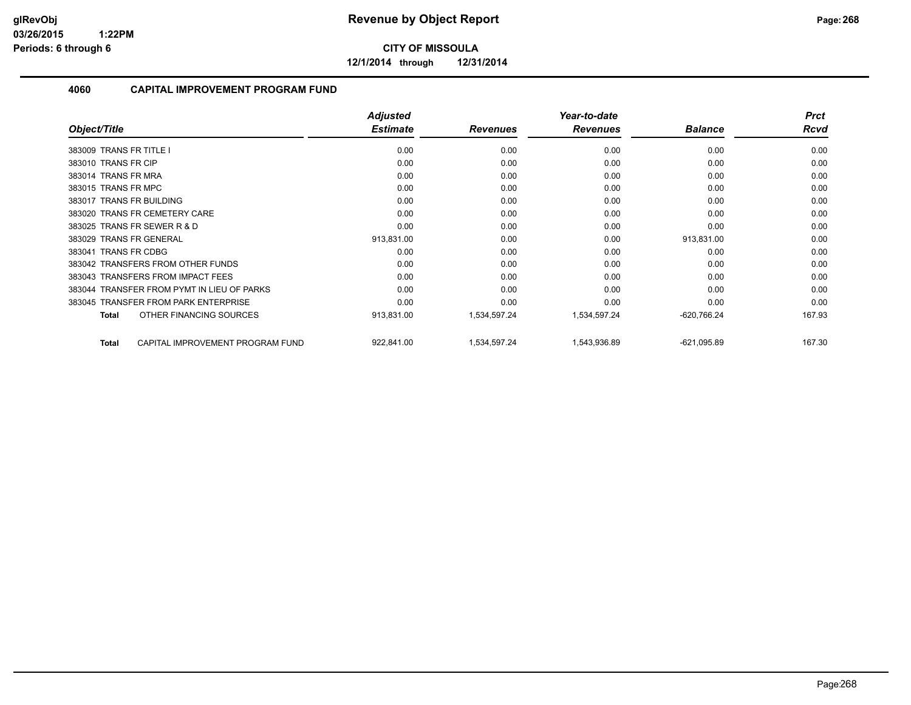**12/1/2014 through 12/31/2014**

| Object/Title                                     | <b>Adjusted</b><br><b>Estimate</b> | <b>Revenues</b> | Year-to-date<br><b>Revenues</b> | <b>Balance</b> | <b>Prct</b><br><b>Rcvd</b> |
|--------------------------------------------------|------------------------------------|-----------------|---------------------------------|----------------|----------------------------|
| 383009 TRANS FR TITLE I                          | 0.00                               | 0.00            | 0.00                            | 0.00           | 0.00                       |
| 383010 TRANS FR CIP                              | 0.00                               | 0.00            | 0.00                            | 0.00           | 0.00                       |
| 383014 TRANS FR MRA                              | 0.00                               | 0.00            | 0.00                            | 0.00           | 0.00                       |
| 383015 TRANS FR MPC                              | 0.00                               | 0.00            | 0.00                            | 0.00           | 0.00                       |
| 383017 TRANS FR BUILDING                         | 0.00                               | 0.00            | 0.00                            | 0.00           | 0.00                       |
| 383020 TRANS FR CEMETERY CARE                    | 0.00                               | 0.00            | 0.00                            | 0.00           | 0.00                       |
| 383025 TRANS FR SEWER R & D                      | 0.00                               | 0.00            | 0.00                            | 0.00           | 0.00                       |
| 383029 TRANS FR GENERAL                          | 913,831.00                         | 0.00            | 0.00                            | 913,831.00     | 0.00                       |
| <b>TRANS FR CDBG</b><br>383041                   | 0.00                               | 0.00            | 0.00                            | 0.00           | 0.00                       |
| 383042 TRANSFERS FROM OTHER FUNDS                | 0.00                               | 0.00            | 0.00                            | 0.00           | 0.00                       |
| 383043 TRANSFERS FROM IMPACT FEES                | 0.00                               | 0.00            | 0.00                            | 0.00           | 0.00                       |
| 383044 TRANSFER FROM PYMT IN LIEU OF PARKS       | 0.00                               | 0.00            | 0.00                            | 0.00           | 0.00                       |
| 383045 TRANSFER FROM PARK ENTERPRISE             | 0.00                               | 0.00            | 0.00                            | 0.00           | 0.00                       |
| OTHER FINANCING SOURCES<br><b>Total</b>          | 913,831.00                         | 1,534,597.24    | 1,534,597.24                    | $-620,766.24$  | 167.93                     |
| CAPITAL IMPROVEMENT PROGRAM FUND<br><b>Total</b> | 922,841.00                         | 1,534,597.24    | 1,543,936.89                    | $-621,095.89$  | 167.30                     |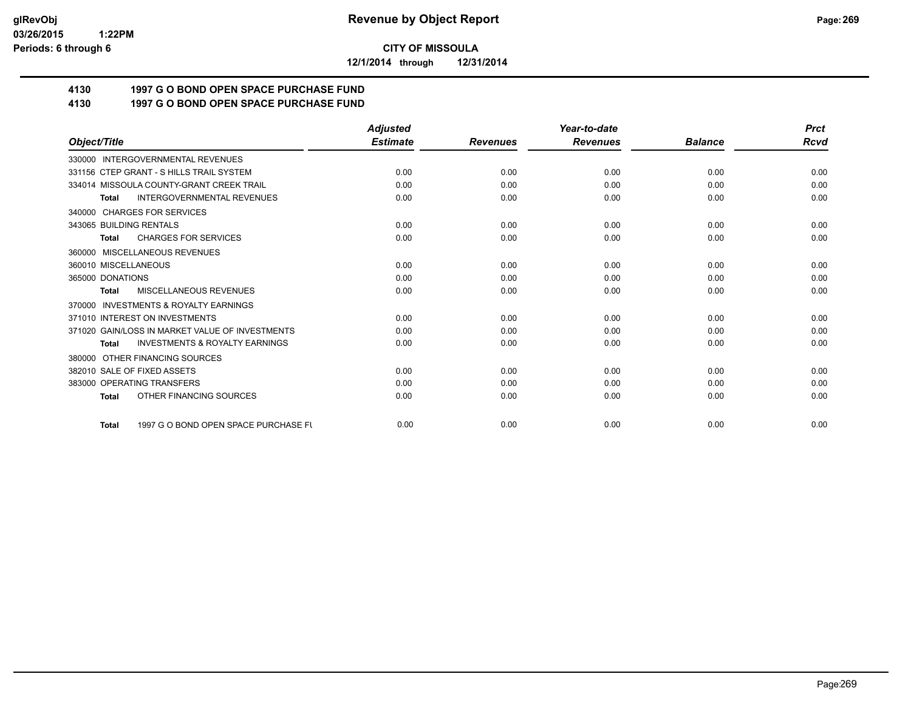**12/1/2014 through 12/31/2014**

# **4130 1997 G O BOND OPEN SPACE PURCHASE FUND**

## **4130 1997 G O BOND OPEN SPACE PURCHASE FUND**

|                                                           | <b>Adjusted</b> |                 | Year-to-date    |                | <b>Prct</b> |
|-----------------------------------------------------------|-----------------|-----------------|-----------------|----------------|-------------|
| Object/Title                                              | <b>Estimate</b> | <b>Revenues</b> | <b>Revenues</b> | <b>Balance</b> | <b>Rcvd</b> |
| 330000 INTERGOVERNMENTAL REVENUES                         |                 |                 |                 |                |             |
| 331156 CTEP GRANT - S HILLS TRAIL SYSTEM                  | 0.00            | 0.00            | 0.00            | 0.00           | 0.00        |
| 334014 MISSOULA COUNTY-GRANT CREEK TRAIL                  | 0.00            | 0.00            | 0.00            | 0.00           | 0.00        |
| <b>INTERGOVERNMENTAL REVENUES</b><br><b>Total</b>         | 0.00            | 0.00            | 0.00            | 0.00           | 0.00        |
| 340000 CHARGES FOR SERVICES                               |                 |                 |                 |                |             |
| 343065 BUILDING RENTALS                                   | 0.00            | 0.00            | 0.00            | 0.00           | 0.00        |
| <b>CHARGES FOR SERVICES</b><br><b>Total</b>               | 0.00            | 0.00            | 0.00            | 0.00           | 0.00        |
| 360000 MISCELLANEOUS REVENUES                             |                 |                 |                 |                |             |
| 360010 MISCELLANEOUS                                      | 0.00            | 0.00            | 0.00            | 0.00           | 0.00        |
| 365000 DONATIONS                                          | 0.00            | 0.00            | 0.00            | 0.00           | 0.00        |
| MISCELLANEOUS REVENUES<br><b>Total</b>                    | 0.00            | 0.00            | 0.00            | 0.00           | 0.00        |
| 370000 INVESTMENTS & ROYALTY EARNINGS                     |                 |                 |                 |                |             |
| 371010 INTEREST ON INVESTMENTS                            | 0.00            | 0.00            | 0.00            | 0.00           | 0.00        |
| 371020 GAIN/LOSS IN MARKET VALUE OF INVESTMENTS           | 0.00            | 0.00            | 0.00            | 0.00           | 0.00        |
| <b>INVESTMENTS &amp; ROYALTY EARNINGS</b><br><b>Total</b> | 0.00            | 0.00            | 0.00            | 0.00           | 0.00        |
| 380000 OTHER FINANCING SOURCES                            |                 |                 |                 |                |             |
| 382010 SALE OF FIXED ASSETS                               | 0.00            | 0.00            | 0.00            | 0.00           | 0.00        |
| 383000 OPERATING TRANSFERS                                | 0.00            | 0.00            | 0.00            | 0.00           | 0.00        |
| OTHER FINANCING SOURCES<br><b>Total</b>                   | 0.00            | 0.00            | 0.00            | 0.00           | 0.00        |
| 1997 G O BOND OPEN SPACE PURCHASE FU<br>Total             | 0.00            | 0.00            | 0.00            | 0.00           | 0.00        |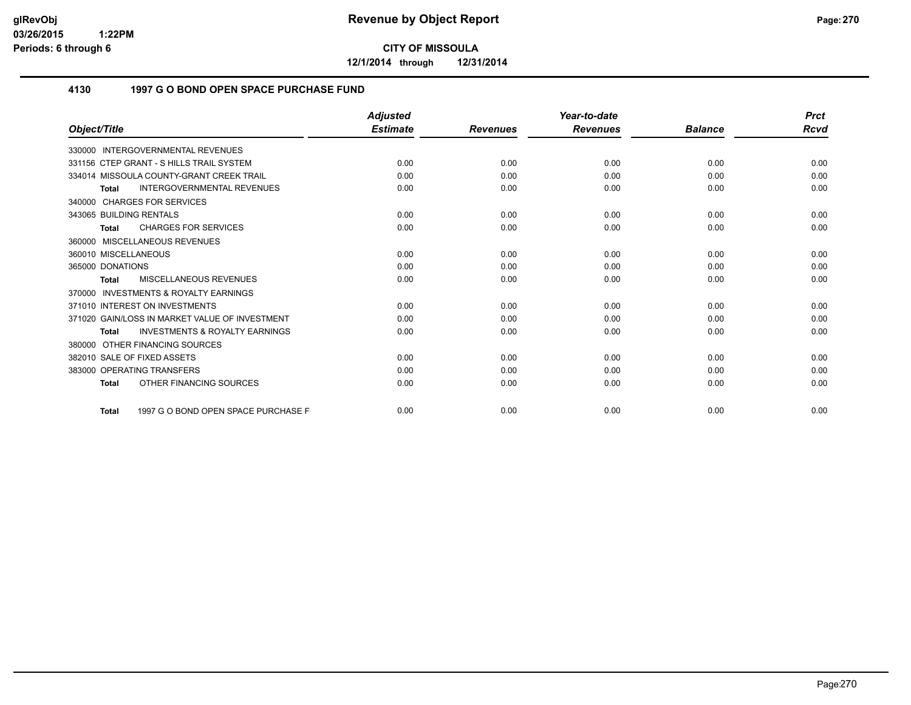**12/1/2014 through 12/31/2014**

### **4130 1997 G O BOND OPEN SPACE PURCHASE FUND**

|                                                           | <b>Adjusted</b> |                 | Year-to-date    |                | <b>Prct</b> |
|-----------------------------------------------------------|-----------------|-----------------|-----------------|----------------|-------------|
| Object/Title                                              | <b>Estimate</b> | <b>Revenues</b> | <b>Revenues</b> | <b>Balance</b> | <b>Rcvd</b> |
| 330000 INTERGOVERNMENTAL REVENUES                         |                 |                 |                 |                |             |
| 331156 CTEP GRANT - S HILLS TRAIL SYSTEM                  | 0.00            | 0.00            | 0.00            | 0.00           | 0.00        |
| 334014 MISSOULA COUNTY-GRANT CREEK TRAIL                  | 0.00            | 0.00            | 0.00            | 0.00           | 0.00        |
| <b>INTERGOVERNMENTAL REVENUES</b><br><b>Total</b>         | 0.00            | 0.00            | 0.00            | 0.00           | 0.00        |
| 340000 CHARGES FOR SERVICES                               |                 |                 |                 |                |             |
| 343065 BUILDING RENTALS                                   | 0.00            | 0.00            | 0.00            | 0.00           | 0.00        |
| <b>CHARGES FOR SERVICES</b><br><b>Total</b>               | 0.00            | 0.00            | 0.00            | 0.00           | 0.00        |
| 360000 MISCELLANEOUS REVENUES                             |                 |                 |                 |                |             |
| 360010 MISCELLANEOUS                                      | 0.00            | 0.00            | 0.00            | 0.00           | 0.00        |
| 365000 DONATIONS                                          | 0.00            | 0.00            | 0.00            | 0.00           | 0.00        |
| <b>MISCELLANEOUS REVENUES</b><br><b>Total</b>             | 0.00            | 0.00            | 0.00            | 0.00           | 0.00        |
| INVESTMENTS & ROYALTY EARNINGS<br>370000                  |                 |                 |                 |                |             |
| 371010 INTEREST ON INVESTMENTS                            | 0.00            | 0.00            | 0.00            | 0.00           | 0.00        |
| 371020 GAIN/LOSS IN MARKET VALUE OF INVESTMENT            | 0.00            | 0.00            | 0.00            | 0.00           | 0.00        |
| <b>INVESTMENTS &amp; ROYALTY EARNINGS</b><br><b>Total</b> | 0.00            | 0.00            | 0.00            | 0.00           | 0.00        |
| 380000 OTHER FINANCING SOURCES                            |                 |                 |                 |                |             |
| 382010 SALE OF FIXED ASSETS                               | 0.00            | 0.00            | 0.00            | 0.00           | 0.00        |
| 383000 OPERATING TRANSFERS                                | 0.00            | 0.00            | 0.00            | 0.00           | 0.00        |
| OTHER FINANCING SOURCES<br><b>Total</b>                   | 0.00            | 0.00            | 0.00            | 0.00           | 0.00        |
| 1997 G O BOND OPEN SPACE PURCHASE F<br><b>Total</b>       | 0.00            | 0.00            | 0.00            | 0.00           | 0.00        |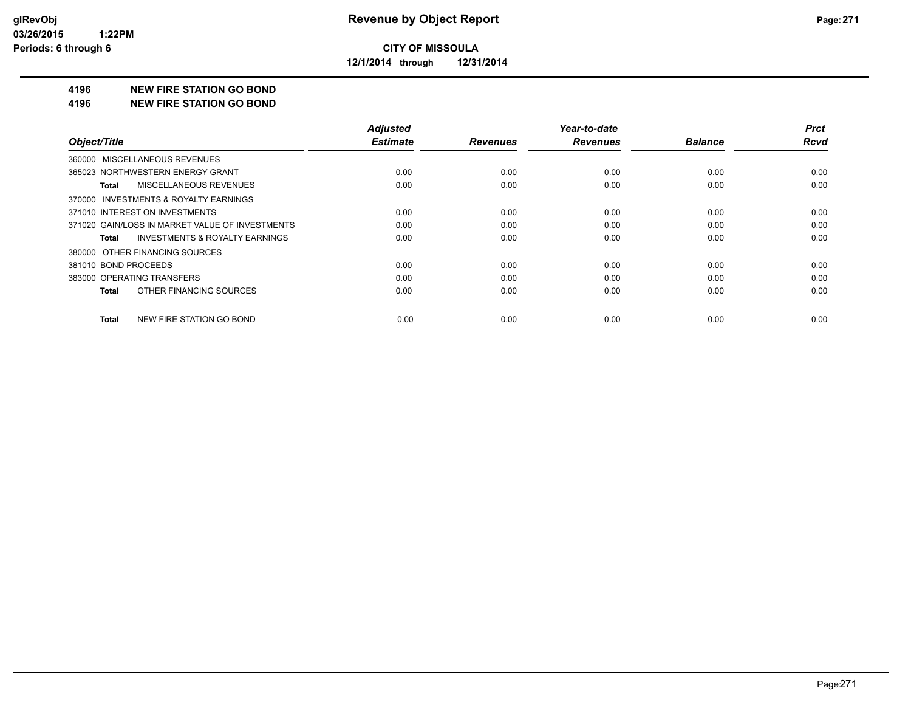**12/1/2014 through 12/31/2014**

### **4196 NEW FIRE STATION GO BOND**

#### **4196 NEW FIRE STATION GO BOND**

| Object/Title                                       | <b>Adjusted</b><br><b>Estimate</b> | <b>Revenues</b> | Year-to-date<br><b>Revenues</b> | <b>Balance</b> | <b>Prct</b><br><b>Rcvd</b> |
|----------------------------------------------------|------------------------------------|-----------------|---------------------------------|----------------|----------------------------|
|                                                    |                                    |                 |                                 |                |                            |
| 360000 MISCELLANEOUS REVENUES                      |                                    |                 |                                 |                |                            |
| 365023 NORTHWESTERN ENERGY GRANT                   | 0.00                               | 0.00            | 0.00                            | 0.00           | 0.00                       |
| <b>MISCELLANEOUS REVENUES</b><br>Total             | 0.00                               | 0.00            | 0.00                            | 0.00           | 0.00                       |
| 370000 INVESTMENTS & ROYALTY EARNINGS              |                                    |                 |                                 |                |                            |
| 371010 INTEREST ON INVESTMENTS                     | 0.00                               | 0.00            | 0.00                            | 0.00           | 0.00                       |
| 371020 GAIN/LOSS IN MARKET VALUE OF INVESTMENTS    | 0.00                               | 0.00            | 0.00                            | 0.00           | 0.00                       |
| <b>INVESTMENTS &amp; ROYALTY EARNINGS</b><br>Total | 0.00                               | 0.00            | 0.00                            | 0.00           | 0.00                       |
| 380000 OTHER FINANCING SOURCES                     |                                    |                 |                                 |                |                            |
| 381010 BOND PROCEEDS                               | 0.00                               | 0.00            | 0.00                            | 0.00           | 0.00                       |
| 383000 OPERATING TRANSFERS                         | 0.00                               | 0.00            | 0.00                            | 0.00           | 0.00                       |
| OTHER FINANCING SOURCES<br>Total                   | 0.00                               | 0.00            | 0.00                            | 0.00           | 0.00                       |
| NEW FIRE STATION GO BOND<br>Total                  | 0.00                               | 0.00            | 0.00                            | 0.00           | 0.00                       |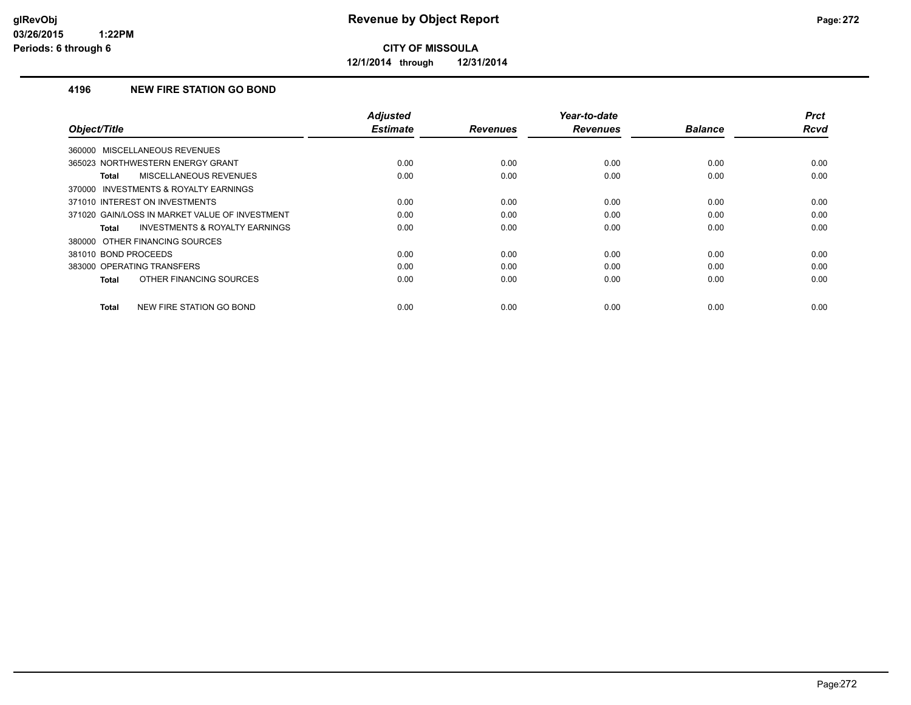**12/1/2014 through 12/31/2014**

### **4196 NEW FIRE STATION GO BOND**

| Object/Title                                              | <b>Adjusted</b><br><b>Estimate</b> | <b>Revenues</b> | Year-to-date<br><b>Revenues</b> | <b>Balance</b> | <b>Prct</b><br>Rcvd |
|-----------------------------------------------------------|------------------------------------|-----------------|---------------------------------|----------------|---------------------|
|                                                           |                                    |                 |                                 |                |                     |
| 360000 MISCELLANEOUS REVENUES                             |                                    |                 |                                 |                |                     |
| 365023 NORTHWESTERN ENERGY GRANT                          | 0.00                               | 0.00            | 0.00                            | 0.00           | 0.00                |
| MISCELLANEOUS REVENUES<br><b>Total</b>                    | 0.00                               | 0.00            | 0.00                            | 0.00           | 0.00                |
| 370000 INVESTMENTS & ROYALTY EARNINGS                     |                                    |                 |                                 |                |                     |
| 371010 INTEREST ON INVESTMENTS                            | 0.00                               | 0.00            | 0.00                            | 0.00           | 0.00                |
| 371020 GAIN/LOSS IN MARKET VALUE OF INVESTMENT            | 0.00                               | 0.00            | 0.00                            | 0.00           | 0.00                |
| <b>INVESTMENTS &amp; ROYALTY EARNINGS</b><br><b>Total</b> | 0.00                               | 0.00            | 0.00                            | 0.00           | 0.00                |
| 380000 OTHER FINANCING SOURCES                            |                                    |                 |                                 |                |                     |
| 381010 BOND PROCEEDS                                      | 0.00                               | 0.00            | 0.00                            | 0.00           | 0.00                |
| 383000 OPERATING TRANSFERS                                | 0.00                               | 0.00            | 0.00                            | 0.00           | 0.00                |
| OTHER FINANCING SOURCES<br><b>Total</b>                   | 0.00                               | 0.00            | 0.00                            | 0.00           | 0.00                |
| NEW FIRE STATION GO BOND<br><b>Total</b>                  | 0.00                               | 0.00            | 0.00                            | 0.00           | 0.00                |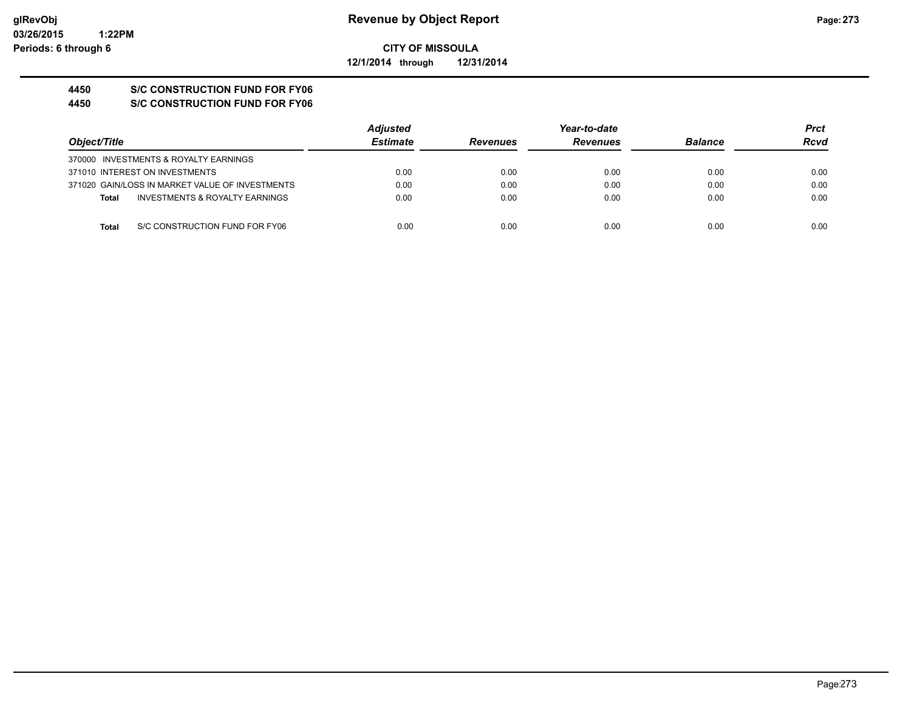**12/1/2014 through 12/31/2014**

# **4450 S/C CONSTRUCTION FUND FOR FY06**

**4450 S/C CONSTRUCTION FUND FOR FY06**

|              |                                                 | <b>Adjusted</b> |                 | Year-to-date    |                |      |
|--------------|-------------------------------------------------|-----------------|-----------------|-----------------|----------------|------|
| Object/Title |                                                 | <b>Estimate</b> | <b>Revenues</b> | <b>Revenues</b> | <b>Balance</b> | Rcvd |
|              | 370000 INVESTMENTS & ROYALTY EARNINGS           |                 |                 |                 |                |      |
|              | 371010 INTEREST ON INVESTMENTS                  | 0.00            | 0.00            | 0.00            | 0.00           | 0.00 |
|              | 371020 GAIN/LOSS IN MARKET VALUE OF INVESTMENTS | 0.00            | 0.00            | 0.00            | 0.00           | 0.00 |
| <b>Total</b> | INVESTMENTS & ROYALTY EARNINGS                  | 0.00            | 0.00            | 0.00            | 0.00           | 0.00 |
| Total        | S/C CONSTRUCTION FUND FOR FY06                  | 0.00            | 0.00            | 0.00            | 0.00           | 0.00 |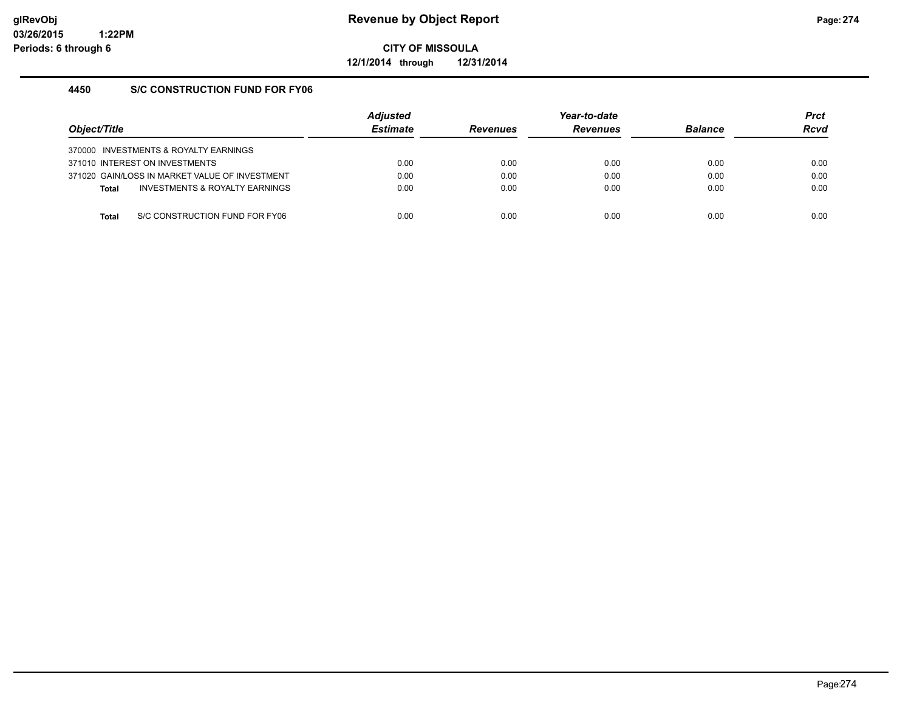**12/1/2014 through 12/31/2014**

## **4450 S/C CONSTRUCTION FUND FOR FY06**

| Object/Title |                                                | <b>Adjusted</b><br><b>Estimate</b> | <b>Revenues</b> | Year-to-date<br><b>Revenues</b> | <b>Balance</b> | <b>Prct</b><br>Rcvd |
|--------------|------------------------------------------------|------------------------------------|-----------------|---------------------------------|----------------|---------------------|
|              | 370000 INVESTMENTS & ROYALTY EARNINGS          |                                    |                 |                                 |                |                     |
|              | 371010 INTEREST ON INVESTMENTS                 | 0.00                               | 0.00            | 0.00                            | 0.00           | 0.00                |
|              | 371020 GAIN/LOSS IN MARKET VALUE OF INVESTMENT | 0.00                               | 0.00            | 0.00                            | 0.00           | 0.00                |
| <b>Total</b> | INVESTMENTS & ROYALTY EARNINGS                 | 0.00                               | 0.00            | 0.00                            | 0.00           | 0.00                |
|              |                                                |                                    |                 |                                 |                |                     |
| Total        | S/C CONSTRUCTION FUND FOR FY06                 | 0.00                               | 0.00            | 0.00                            | 0.00           | 0.00                |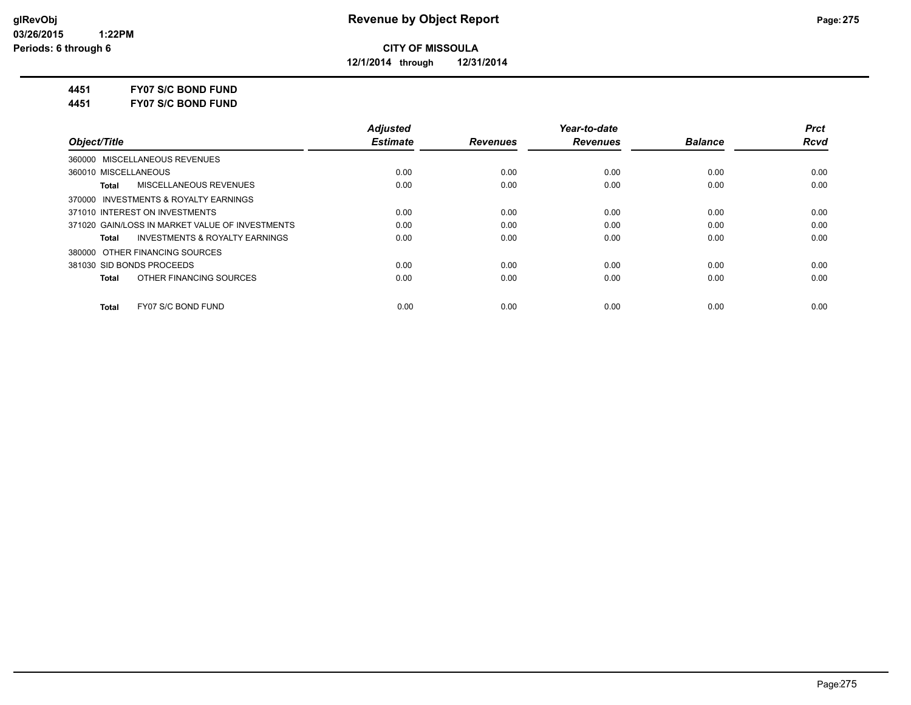**12/1/2014 through 12/31/2014**

**4451 FY07 S/C BOND FUND**

**4451 FY07 S/C BOND FUND**

|                                                    | <b>Adjusted</b> |                 | Year-to-date    |                | <b>Prct</b> |
|----------------------------------------------------|-----------------|-----------------|-----------------|----------------|-------------|
| Object/Title                                       | <b>Estimate</b> | <b>Revenues</b> | <b>Revenues</b> | <b>Balance</b> | <b>Rcvd</b> |
| 360000 MISCELLANEOUS REVENUES                      |                 |                 |                 |                |             |
| 360010 MISCELLANEOUS                               | 0.00            | 0.00            | 0.00            | 0.00           | 0.00        |
| MISCELLANEOUS REVENUES<br>Total                    | 0.00            | 0.00            | 0.00            | 0.00           | 0.00        |
| 370000 INVESTMENTS & ROYALTY EARNINGS              |                 |                 |                 |                |             |
| 371010 INTEREST ON INVESTMENTS                     | 0.00            | 0.00            | 0.00            | 0.00           | 0.00        |
| 371020 GAIN/LOSS IN MARKET VALUE OF INVESTMENTS    | 0.00            | 0.00            | 0.00            | 0.00           | 0.00        |
| <b>INVESTMENTS &amp; ROYALTY EARNINGS</b><br>Total | 0.00            | 0.00            | 0.00            | 0.00           | 0.00        |
| 380000 OTHER FINANCING SOURCES                     |                 |                 |                 |                |             |
| 381030 SID BONDS PROCEEDS                          | 0.00            | 0.00            | 0.00            | 0.00           | 0.00        |
| OTHER FINANCING SOURCES<br><b>Total</b>            | 0.00            | 0.00            | 0.00            | 0.00           | 0.00        |
| FY07 S/C BOND FUND<br><b>Total</b>                 | 0.00            | 0.00            | 0.00            | 0.00           | 0.00        |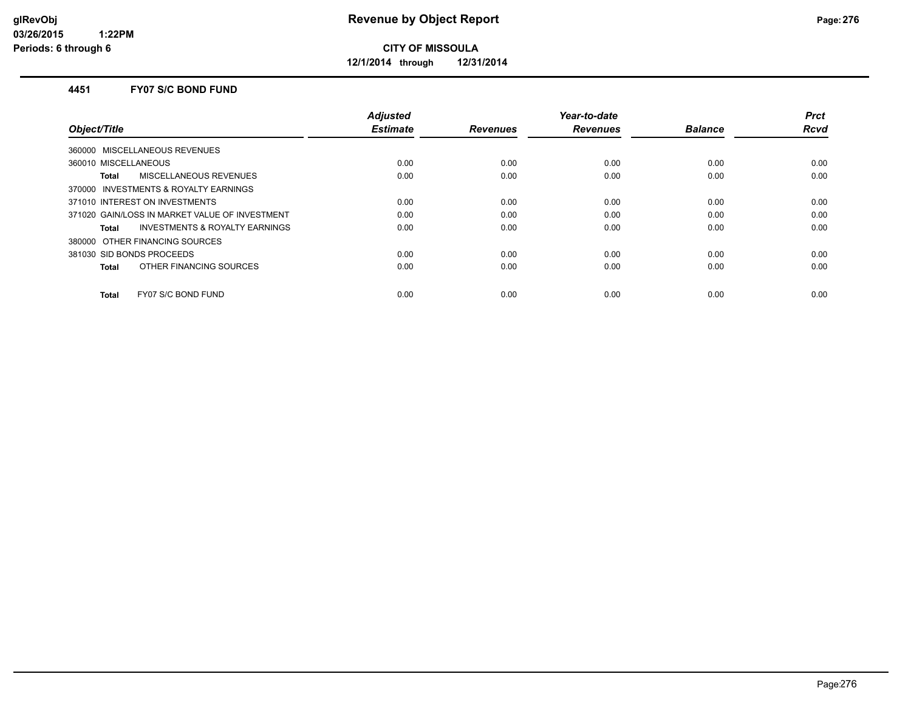**12/1/2014 through 12/31/2014**

### **4451 FY07 S/C BOND FUND**

|                                                | <b>Adjusted</b> |                 | Year-to-date    |                | <b>Prct</b> |
|------------------------------------------------|-----------------|-----------------|-----------------|----------------|-------------|
| Object/Title                                   | <b>Estimate</b> | <b>Revenues</b> | <b>Revenues</b> | <b>Balance</b> | <b>Rcvd</b> |
| 360000 MISCELLANEOUS REVENUES                  |                 |                 |                 |                |             |
| 360010 MISCELLANEOUS                           | 0.00            | 0.00            | 0.00            | 0.00           | 0.00        |
| MISCELLANEOUS REVENUES<br><b>Total</b>         | 0.00            | 0.00            | 0.00            | 0.00           | 0.00        |
| 370000 INVESTMENTS & ROYALTY EARNINGS          |                 |                 |                 |                |             |
| 371010 INTEREST ON INVESTMENTS                 | 0.00            | 0.00            | 0.00            | 0.00           | 0.00        |
| 371020 GAIN/LOSS IN MARKET VALUE OF INVESTMENT | 0.00            | 0.00            | 0.00            | 0.00           | 0.00        |
| INVESTMENTS & ROYALTY EARNINGS<br>Total        | 0.00            | 0.00            | 0.00            | 0.00           | 0.00        |
| 380000 OTHER FINANCING SOURCES                 |                 |                 |                 |                |             |
| 381030 SID BONDS PROCEEDS                      | 0.00            | 0.00            | 0.00            | 0.00           | 0.00        |
| OTHER FINANCING SOURCES<br>Total               | 0.00            | 0.00            | 0.00            | 0.00           | 0.00        |
|                                                |                 |                 |                 |                |             |
| FY07 S/C BOND FUND<br><b>Total</b>             | 0.00            | 0.00            | 0.00            | 0.00           | 0.00        |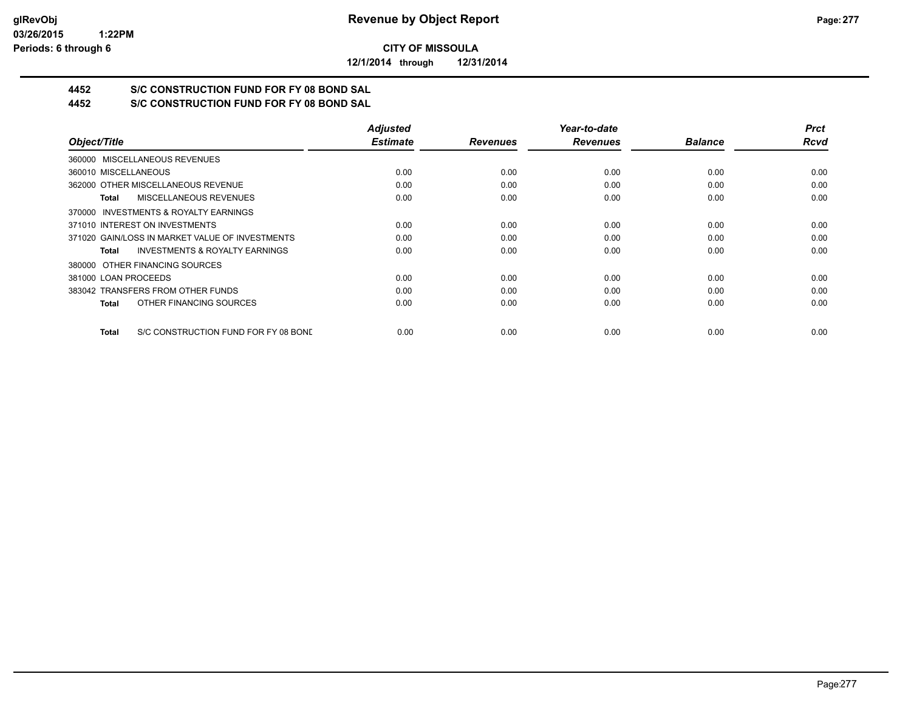**12/1/2014 through 12/31/2014**

# **4452 S/C CONSTRUCTION FUND FOR FY 08 BOND SAL**

**4452 S/C CONSTRUCTION FUND FOR FY 08 BOND SAL**

|                                                           | <b>Adjusted</b> |                 | Year-to-date    |                | <b>Prct</b> |
|-----------------------------------------------------------|-----------------|-----------------|-----------------|----------------|-------------|
| Object/Title                                              | <b>Estimate</b> | <b>Revenues</b> | <b>Revenues</b> | <b>Balance</b> | <b>Rcvd</b> |
| 360000 MISCELLANEOUS REVENUES                             |                 |                 |                 |                |             |
| 360010 MISCELLANEOUS                                      | 0.00            | 0.00            | 0.00            | 0.00           | 0.00        |
| 362000 OTHER MISCELLANEOUS REVENUE                        | 0.00            | 0.00            | 0.00            | 0.00           | 0.00        |
| MISCELLANEOUS REVENUES<br>Total                           | 0.00            | 0.00            | 0.00            | 0.00           | 0.00        |
| INVESTMENTS & ROYALTY EARNINGS<br>370000                  |                 |                 |                 |                |             |
| 371010 INTEREST ON INVESTMENTS                            | 0.00            | 0.00            | 0.00            | 0.00           | 0.00        |
| 371020 GAIN/LOSS IN MARKET VALUE OF INVESTMENTS           | 0.00            | 0.00            | 0.00            | 0.00           | 0.00        |
| <b>INVESTMENTS &amp; ROYALTY EARNINGS</b><br><b>Total</b> | 0.00            | 0.00            | 0.00            | 0.00           | 0.00        |
| OTHER FINANCING SOURCES<br>380000                         |                 |                 |                 |                |             |
| 381000 LOAN PROCEEDS                                      | 0.00            | 0.00            | 0.00            | 0.00           | 0.00        |
| 383042 TRANSFERS FROM OTHER FUNDS                         | 0.00            | 0.00            | 0.00            | 0.00           | 0.00        |
| OTHER FINANCING SOURCES<br><b>Total</b>                   | 0.00            | 0.00            | 0.00            | 0.00           | 0.00        |
| S/C CONSTRUCTION FUND FOR FY 08 BOND<br><b>Total</b>      | 0.00            | 0.00            | 0.00            | 0.00           | 0.00        |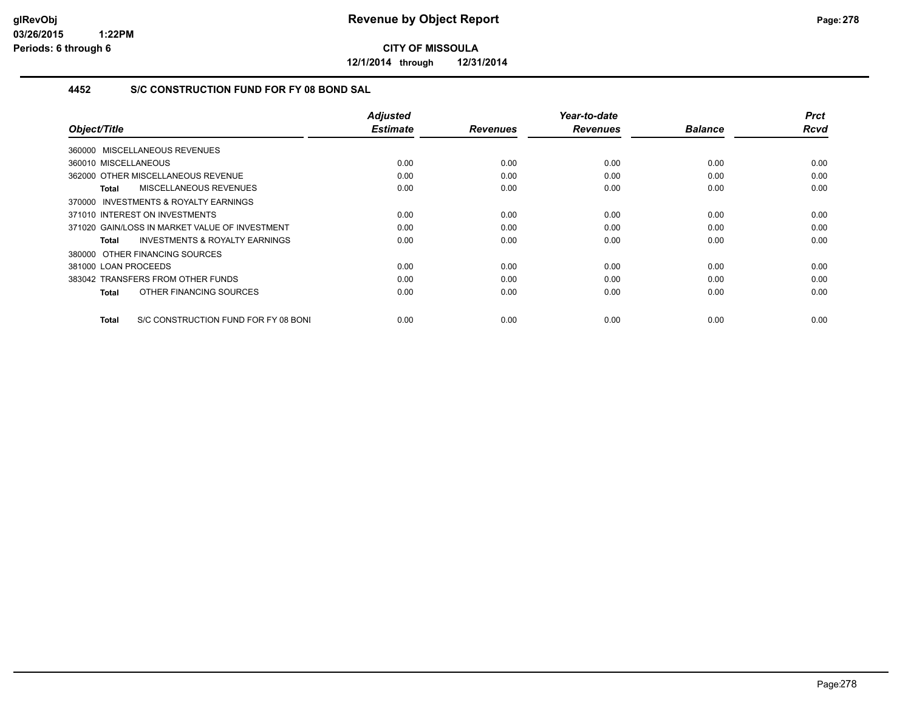**12/1/2014 through 12/31/2014**

## **4452 S/C CONSTRUCTION FUND FOR FY 08 BOND SAL**

| Object/Title                                         | <b>Adjusted</b><br><b>Estimate</b> | <b>Revenues</b> | Year-to-date<br><b>Revenues</b> | <b>Balance</b> | <b>Prct</b><br><b>Rcvd</b> |
|------------------------------------------------------|------------------------------------|-----------------|---------------------------------|----------------|----------------------------|
|                                                      |                                    |                 |                                 |                |                            |
| 360000 MISCELLANEOUS REVENUES                        |                                    |                 |                                 |                |                            |
| 360010 MISCELLANEOUS                                 | 0.00                               | 0.00            | 0.00                            | 0.00           | 0.00                       |
| 362000 OTHER MISCELLANEOUS REVENUE                   | 0.00                               | 0.00            | 0.00                            | 0.00           | 0.00                       |
| MISCELLANEOUS REVENUES<br>Total                      | 0.00                               | 0.00            | 0.00                            | 0.00           | 0.00                       |
| 370000 INVESTMENTS & ROYALTY EARNINGS                |                                    |                 |                                 |                |                            |
| 371010 INTEREST ON INVESTMENTS                       | 0.00                               | 0.00            | 0.00                            | 0.00           | 0.00                       |
| 371020 GAIN/LOSS IN MARKET VALUE OF INVESTMENT       | 0.00                               | 0.00            | 0.00                            | 0.00           | 0.00                       |
| <b>INVESTMENTS &amp; ROYALTY EARNINGS</b><br>Total   | 0.00                               | 0.00            | 0.00                            | 0.00           | 0.00                       |
| 380000 OTHER FINANCING SOURCES                       |                                    |                 |                                 |                |                            |
| 381000 LOAN PROCEEDS                                 | 0.00                               | 0.00            | 0.00                            | 0.00           | 0.00                       |
| 383042 TRANSFERS FROM OTHER FUNDS                    | 0.00                               | 0.00            | 0.00                            | 0.00           | 0.00                       |
| OTHER FINANCING SOURCES<br>Total                     | 0.00                               | 0.00            | 0.00                            | 0.00           | 0.00                       |
|                                                      |                                    |                 |                                 |                |                            |
| S/C CONSTRUCTION FUND FOR FY 08 BONI<br><b>Total</b> | 0.00                               | 0.00            | 0.00                            | 0.00           | 0.00                       |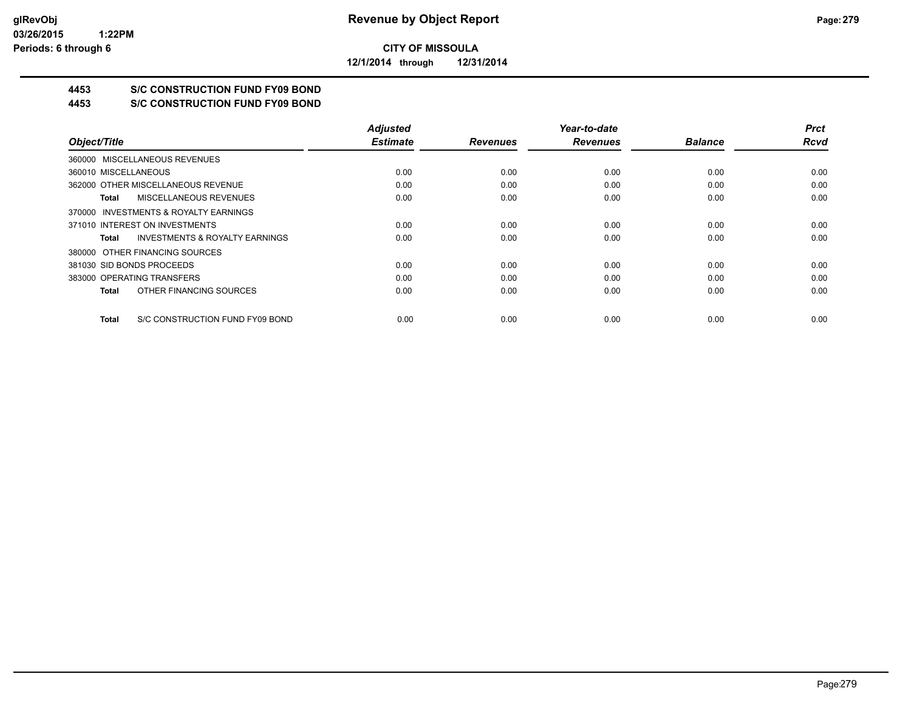**12/1/2014 through 12/31/2014**

# **4453 S/C CONSTRUCTION FUND FY09 BOND**

**4453 S/C CONSTRUCTION FUND FY09 BOND**

|                                                    | <b>Adjusted</b> |                 | Year-to-date    |                | <b>Prct</b> |
|----------------------------------------------------|-----------------|-----------------|-----------------|----------------|-------------|
| Object/Title                                       | <b>Estimate</b> | <b>Revenues</b> | <b>Revenues</b> | <b>Balance</b> | <b>Rcvd</b> |
| 360000 MISCELLANEOUS REVENUES                      |                 |                 |                 |                |             |
| 360010 MISCELLANEOUS                               | 0.00            | 0.00            | 0.00            | 0.00           | 0.00        |
| 362000 OTHER MISCELLANEOUS REVENUE                 | 0.00            | 0.00            | 0.00            | 0.00           | 0.00        |
| MISCELLANEOUS REVENUES<br>Total                    | 0.00            | 0.00            | 0.00            | 0.00           | 0.00        |
| 370000 INVESTMENTS & ROYALTY EARNINGS              |                 |                 |                 |                |             |
| 371010 INTEREST ON INVESTMENTS                     | 0.00            | 0.00            | 0.00            | 0.00           | 0.00        |
| <b>INVESTMENTS &amp; ROYALTY EARNINGS</b><br>Total | 0.00            | 0.00            | 0.00            | 0.00           | 0.00        |
| 380000 OTHER FINANCING SOURCES                     |                 |                 |                 |                |             |
| 381030 SID BONDS PROCEEDS                          | 0.00            | 0.00            | 0.00            | 0.00           | 0.00        |
| 383000 OPERATING TRANSFERS                         | 0.00            | 0.00            | 0.00            | 0.00           | 0.00        |
| OTHER FINANCING SOURCES<br>Total                   | 0.00            | 0.00            | 0.00            | 0.00           | 0.00        |
| S/C CONSTRUCTION FUND FY09 BOND<br>Total           | 0.00            | 0.00            | 0.00            | 0.00           | 0.00        |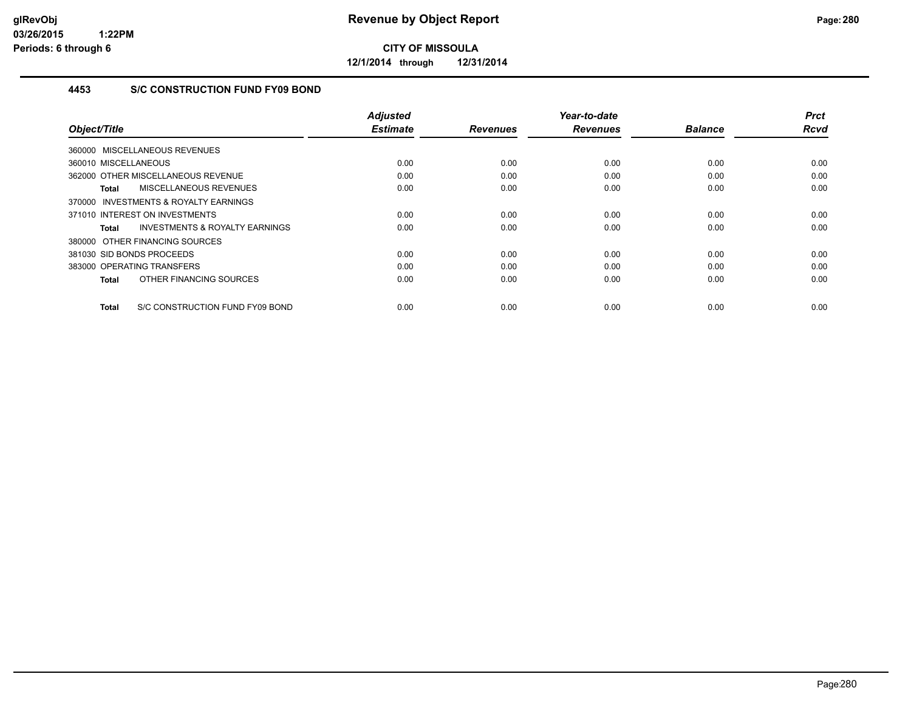**12/1/2014 through 12/31/2014**

## **4453 S/C CONSTRUCTION FUND FY09 BOND**

| Object/Title                                       | <b>Adjusted</b><br><b>Estimate</b> | <b>Revenues</b> | Year-to-date<br><b>Revenues</b> | <b>Balance</b> | <b>Prct</b><br>Rcvd |
|----------------------------------------------------|------------------------------------|-----------------|---------------------------------|----------------|---------------------|
|                                                    |                                    |                 |                                 |                |                     |
| 360000 MISCELLANEOUS REVENUES                      |                                    |                 |                                 |                |                     |
| 360010 MISCELLANEOUS                               | 0.00                               | 0.00            | 0.00                            | 0.00           | 0.00                |
| 362000 OTHER MISCELLANEOUS REVENUE                 | 0.00                               | 0.00            | 0.00                            | 0.00           | 0.00                |
| MISCELLANEOUS REVENUES<br>Total                    | 0.00                               | 0.00            | 0.00                            | 0.00           | 0.00                |
| 370000 INVESTMENTS & ROYALTY EARNINGS              |                                    |                 |                                 |                |                     |
| 371010 INTEREST ON INVESTMENTS                     | 0.00                               | 0.00            | 0.00                            | 0.00           | 0.00                |
| <b>INVESTMENTS &amp; ROYALTY EARNINGS</b><br>Total | 0.00                               | 0.00            | 0.00                            | 0.00           | 0.00                |
| 380000 OTHER FINANCING SOURCES                     |                                    |                 |                                 |                |                     |
| 381030 SID BONDS PROCEEDS                          | 0.00                               | 0.00            | 0.00                            | 0.00           | 0.00                |
| 383000 OPERATING TRANSFERS                         | 0.00                               | 0.00            | 0.00                            | 0.00           | 0.00                |
| OTHER FINANCING SOURCES<br>Total                   | 0.00                               | 0.00            | 0.00                            | 0.00           | 0.00                |
| S/C CONSTRUCTION FUND FY09 BOND<br>Total           | 0.00                               | 0.00            | 0.00                            | 0.00           | 0.00                |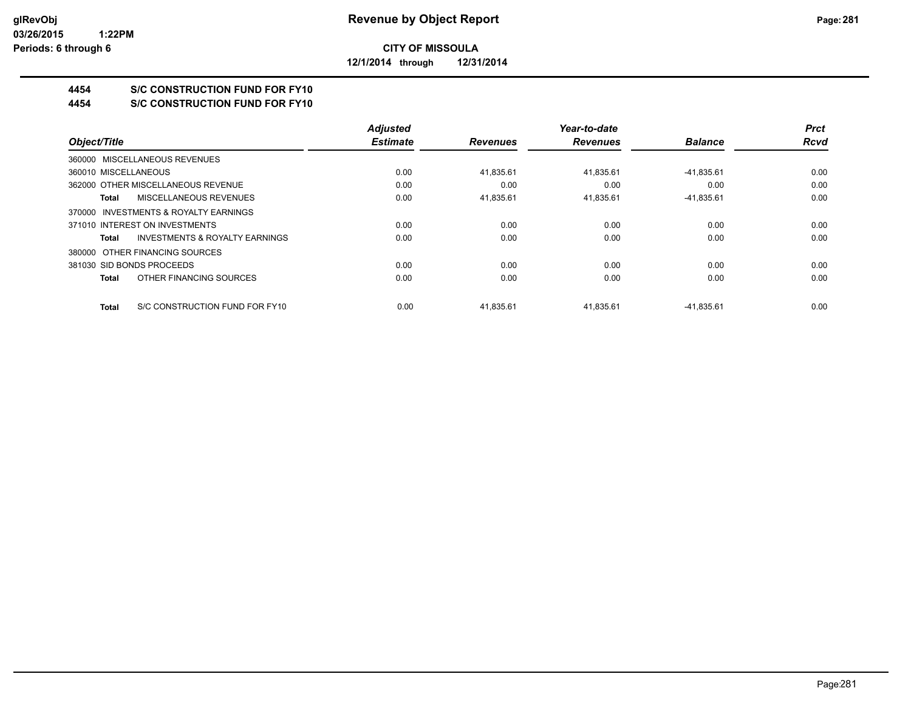**12/1/2014 through 12/31/2014**

# **4454 S/C CONSTRUCTION FUND FOR FY10**

**4454 S/C CONSTRUCTION FUND FOR FY10**

|                                         | <b>Adjusted</b> |                 | Year-to-date    |                | <b>Prct</b> |
|-----------------------------------------|-----------------|-----------------|-----------------|----------------|-------------|
| Object/Title                            | <b>Estimate</b> | <b>Revenues</b> | <b>Revenues</b> | <b>Balance</b> | Rcvd        |
| 360000 MISCELLANEOUS REVENUES           |                 |                 |                 |                |             |
| 360010 MISCELLANEOUS                    | 0.00            | 41,835.61       | 41,835.61       | $-41,835.61$   | 0.00        |
| 362000 OTHER MISCELLANEOUS REVENUE      | 0.00            | 0.00            | 0.00            | 0.00           | 0.00        |
| MISCELLANEOUS REVENUES<br>Total         | 0.00            | 41,835.61       | 41.835.61       | $-41,835.61$   | 0.00        |
| 370000 INVESTMENTS & ROYALTY EARNINGS   |                 |                 |                 |                |             |
| 371010 INTEREST ON INVESTMENTS          | 0.00            | 0.00            | 0.00            | 0.00           | 0.00        |
| INVESTMENTS & ROYALTY EARNINGS<br>Total | 0.00            | 0.00            | 0.00            | 0.00           | 0.00        |
| 380000 OTHER FINANCING SOURCES          |                 |                 |                 |                |             |
| 381030 SID BONDS PROCEEDS               | 0.00            | 0.00            | 0.00            | 0.00           | 0.00        |
| OTHER FINANCING SOURCES<br>Total        | 0.00            | 0.00            | 0.00            | 0.00           | 0.00        |
| S/C CONSTRUCTION FUND FOR FY10<br>Total | 0.00            | 41.835.61       | 41,835.61       | $-41,835.61$   | 0.00        |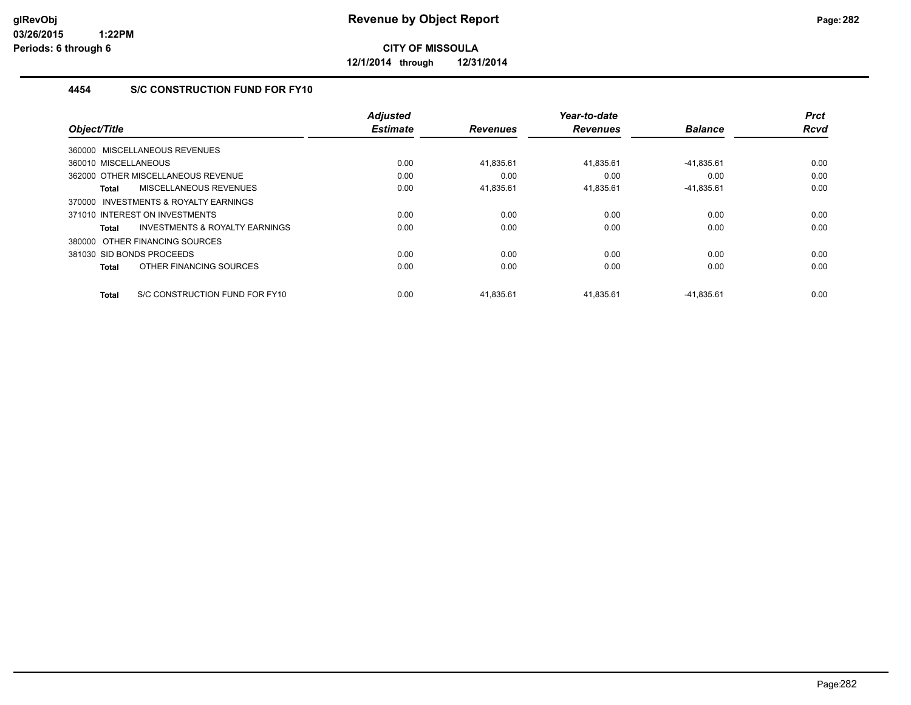**12/1/2014 through 12/31/2014**

## **4454 S/C CONSTRUCTION FUND FOR FY10**

|                                                     | <b>Adjusted</b> |                 | Year-to-date    |                | <b>Prct</b> |
|-----------------------------------------------------|-----------------|-----------------|-----------------|----------------|-------------|
| Object/Title                                        | <b>Estimate</b> | <b>Revenues</b> | <b>Revenues</b> | <b>Balance</b> | Rcvd        |
| 360000 MISCELLANEOUS REVENUES                       |                 |                 |                 |                |             |
| 360010 MISCELLANEOUS                                | 0.00            | 41,835.61       | 41,835.61       | $-41,835.61$   | 0.00        |
| 362000 OTHER MISCELLANEOUS REVENUE                  | 0.00            | 0.00            | 0.00            | 0.00           | 0.00        |
| MISCELLANEOUS REVENUES<br><b>Total</b>              | 0.00            | 41,835.61       | 41,835.61       | $-41,835.61$   | 0.00        |
| <b>INVESTMENTS &amp; ROYALTY EARNINGS</b><br>370000 |                 |                 |                 |                |             |
| 371010 INTEREST ON INVESTMENTS                      | 0.00            | 0.00            | 0.00            | 0.00           | 0.00        |
| INVESTMENTS & ROYALTY EARNINGS<br><b>Total</b>      | 0.00            | 0.00            | 0.00            | 0.00           | 0.00        |
| 380000 OTHER FINANCING SOURCES                      |                 |                 |                 |                |             |
| 381030 SID BONDS PROCEEDS                           | 0.00            | 0.00            | 0.00            | 0.00           | 0.00        |
| OTHER FINANCING SOURCES<br><b>Total</b>             | 0.00            | 0.00            | 0.00            | 0.00           | 0.00        |
| S/C CONSTRUCTION FUND FOR FY10<br><b>Total</b>      | 0.00            | 41.835.61       | 41.835.61       | $-41.835.61$   | 0.00        |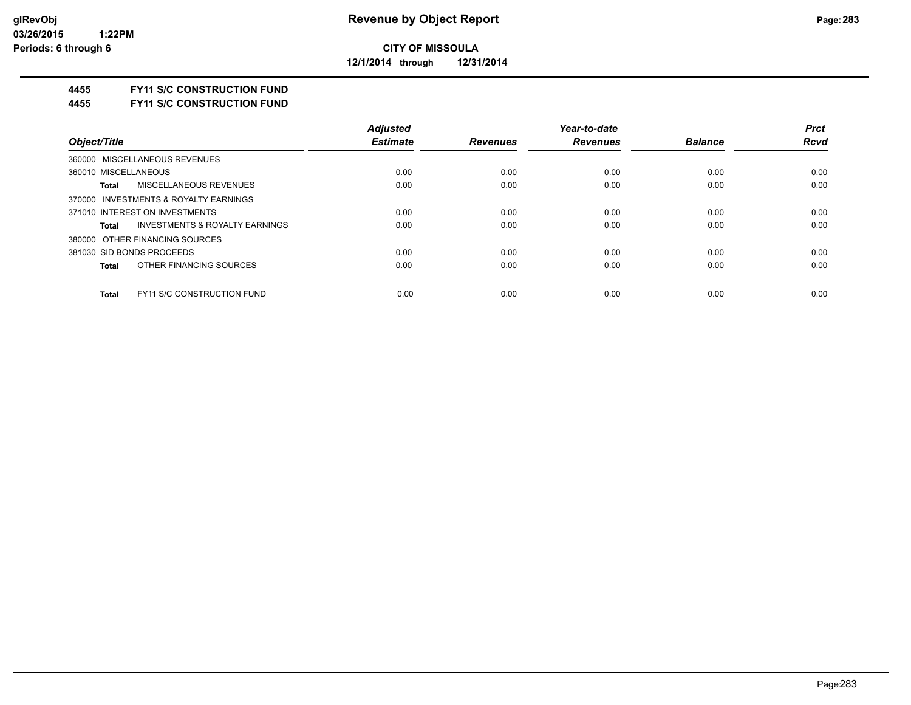**12/1/2014 through 12/31/2014**

### **4455 FY11 S/C CONSTRUCTION FUND**

**4455 FY11 S/C CONSTRUCTION FUND**

|                                                    | <b>Adjusted</b> |                 | Year-to-date    |                | <b>Prct</b> |
|----------------------------------------------------|-----------------|-----------------|-----------------|----------------|-------------|
| Object/Title                                       | <b>Estimate</b> | <b>Revenues</b> | <b>Revenues</b> | <b>Balance</b> | <b>Rcvd</b> |
| 360000 MISCELLANEOUS REVENUES                      |                 |                 |                 |                |             |
| 360010 MISCELLANEOUS                               | 0.00            | 0.00            | 0.00            | 0.00           | 0.00        |
| MISCELLANEOUS REVENUES<br>Total                    | 0.00            | 0.00            | 0.00            | 0.00           | 0.00        |
| 370000 INVESTMENTS & ROYALTY EARNINGS              |                 |                 |                 |                |             |
| 371010 INTEREST ON INVESTMENTS                     | 0.00            | 0.00            | 0.00            | 0.00           | 0.00        |
| <b>INVESTMENTS &amp; ROYALTY EARNINGS</b><br>Total | 0.00            | 0.00            | 0.00            | 0.00           | 0.00        |
| 380000 OTHER FINANCING SOURCES                     |                 |                 |                 |                |             |
| 381030 SID BONDS PROCEEDS                          | 0.00            | 0.00            | 0.00            | 0.00           | 0.00        |
| OTHER FINANCING SOURCES<br>Total                   | 0.00            | 0.00            | 0.00            | 0.00           | 0.00        |
| <b>FY11 S/C CONSTRUCTION FUND</b><br><b>Total</b>  | 0.00            | 0.00            | 0.00            | 0.00           | 0.00        |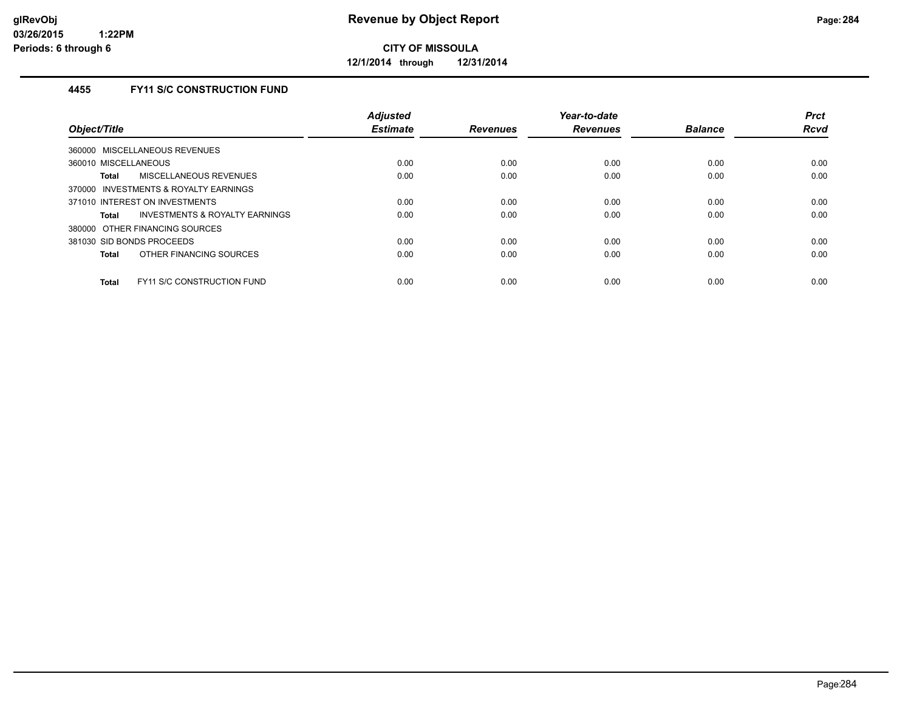**12/1/2014 through 12/31/2014**

## **4455 FY11 S/C CONSTRUCTION FUND**

| Object/Title                                      | <b>Adjusted</b><br><b>Estimate</b> | <b>Revenues</b> | Year-to-date<br><b>Revenues</b> | <b>Balance</b> | <b>Prct</b><br><b>Rcvd</b> |
|---------------------------------------------------|------------------------------------|-----------------|---------------------------------|----------------|----------------------------|
| 360000 MISCELLANEOUS REVENUES                     |                                    |                 |                                 |                |                            |
| 360010 MISCELLANEOUS                              | 0.00                               | 0.00            | 0.00                            | 0.00           | 0.00                       |
| MISCELLANEOUS REVENUES<br><b>Total</b>            | 0.00                               | 0.00            | 0.00                            | 0.00           | 0.00                       |
| 370000 INVESTMENTS & ROYALTY EARNINGS             |                                    |                 |                                 |                |                            |
| 371010 INTEREST ON INVESTMENTS                    | 0.00                               | 0.00            | 0.00                            | 0.00           | 0.00                       |
| INVESTMENTS & ROYALTY EARNINGS<br><b>Total</b>    | 0.00                               | 0.00            | 0.00                            | 0.00           | 0.00                       |
| 380000 OTHER FINANCING SOURCES                    |                                    |                 |                                 |                |                            |
| 381030 SID BONDS PROCEEDS                         | 0.00                               | 0.00            | 0.00                            | 0.00           | 0.00                       |
| OTHER FINANCING SOURCES<br><b>Total</b>           | 0.00                               | 0.00            | 0.00                            | 0.00           | 0.00                       |
| <b>FY11 S/C CONSTRUCTION FUND</b><br><b>Total</b> | 0.00                               | 0.00            | 0.00                            | 0.00           | 0.00                       |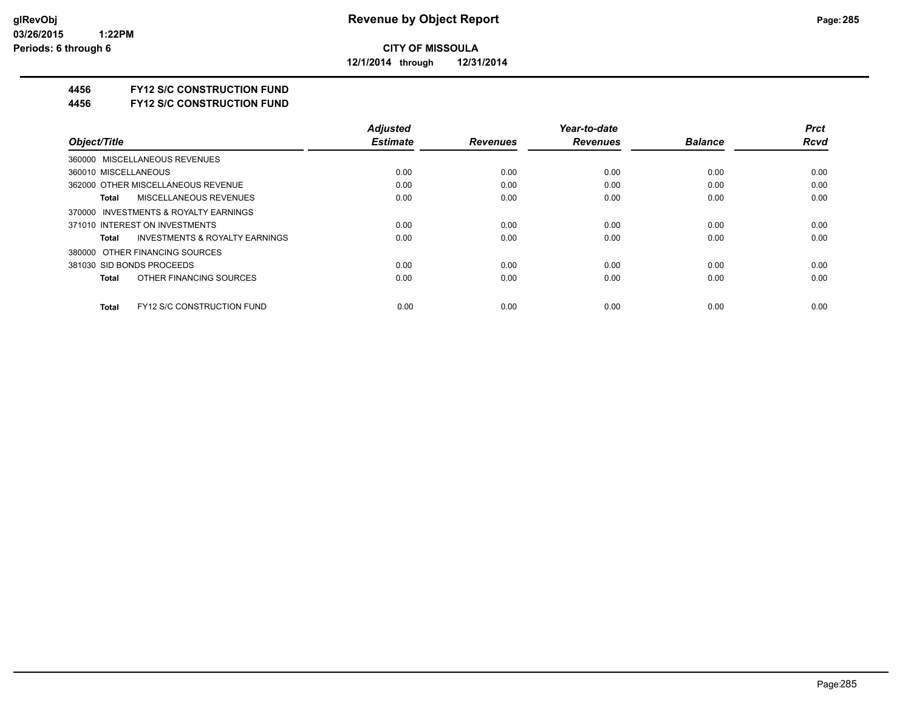**12/1/2014 through 12/31/2014**

### **4456 FY12 S/C CONSTRUCTION FUND**

**4456 FY12 S/C CONSTRUCTION FUND**

|                                                    | <b>Adjusted</b> |                 | Year-to-date    |                | <b>Prct</b> |
|----------------------------------------------------|-----------------|-----------------|-----------------|----------------|-------------|
| Object/Title                                       | <b>Estimate</b> | <b>Revenues</b> | <b>Revenues</b> | <b>Balance</b> | <b>Rcvd</b> |
| 360000 MISCELLANEOUS REVENUES                      |                 |                 |                 |                |             |
| 360010 MISCELLANEOUS                               | 0.00            | 0.00            | 0.00            | 0.00           | 0.00        |
| 362000 OTHER MISCELLANEOUS REVENUE                 | 0.00            | 0.00            | 0.00            | 0.00           | 0.00        |
| MISCELLANEOUS REVENUES<br>Total                    | 0.00            | 0.00            | 0.00            | 0.00           | 0.00        |
| 370000 INVESTMENTS & ROYALTY EARNINGS              |                 |                 |                 |                |             |
| 371010 INTEREST ON INVESTMENTS                     | 0.00            | 0.00            | 0.00            | 0.00           | 0.00        |
| <b>INVESTMENTS &amp; ROYALTY EARNINGS</b><br>Total | 0.00            | 0.00            | 0.00            | 0.00           | 0.00        |
| 380000 OTHER FINANCING SOURCES                     |                 |                 |                 |                |             |
| 381030 SID BONDS PROCEEDS                          | 0.00            | 0.00            | 0.00            | 0.00           | 0.00        |
| OTHER FINANCING SOURCES<br>Total                   | 0.00            | 0.00            | 0.00            | 0.00           | 0.00        |
| <b>FY12 S/C CONSTRUCTION FUND</b><br><b>Total</b>  | 0.00            | 0.00            | 0.00            | 0.00           | 0.00        |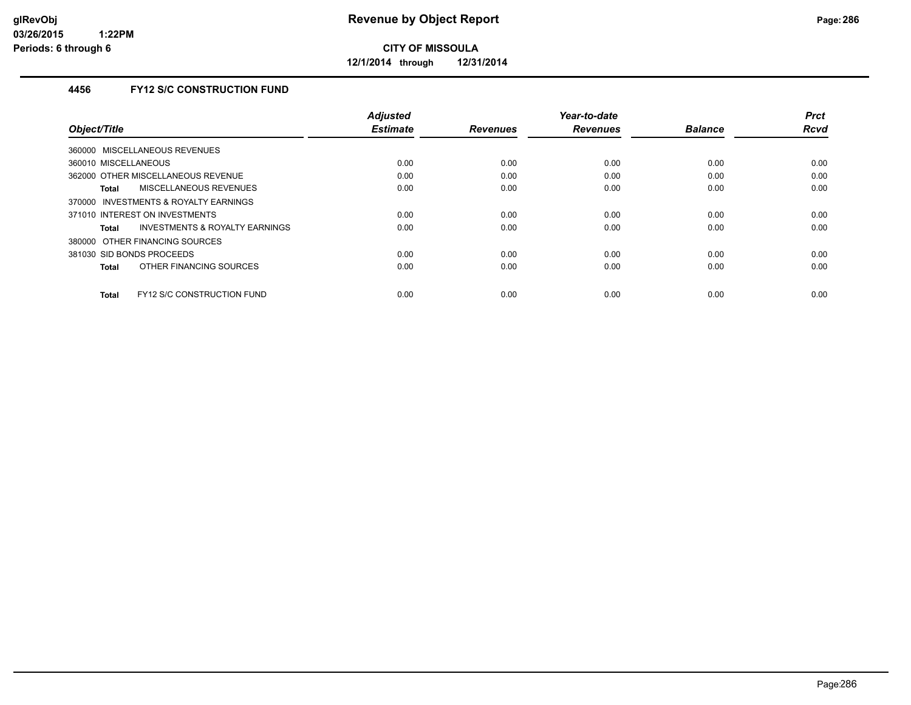**12/1/2014 through 12/31/2014**

## **4456 FY12 S/C CONSTRUCTION FUND**

| Object/Title                                   | <b>Adjusted</b><br><b>Estimate</b> | <b>Revenues</b> | Year-to-date<br><b>Revenues</b> | <b>Balance</b> | <b>Prct</b><br><b>Rcvd</b> |
|------------------------------------------------|------------------------------------|-----------------|---------------------------------|----------------|----------------------------|
|                                                |                                    |                 |                                 |                |                            |
| 360000 MISCELLANEOUS REVENUES                  |                                    |                 |                                 |                |                            |
| 360010 MISCELLANEOUS                           | 0.00                               | 0.00            | 0.00                            | 0.00           | 0.00                       |
| 362000 OTHER MISCELLANEOUS REVENUE             | 0.00                               | 0.00            | 0.00                            | 0.00           | 0.00                       |
| <b>MISCELLANEOUS REVENUES</b><br><b>Total</b>  | 0.00                               | 0.00            | 0.00                            | 0.00           | 0.00                       |
| 370000 INVESTMENTS & ROYALTY EARNINGS          |                                    |                 |                                 |                |                            |
| 371010 INTEREST ON INVESTMENTS                 | 0.00                               | 0.00            | 0.00                            | 0.00           | 0.00                       |
| INVESTMENTS & ROYALTY EARNINGS<br><b>Total</b> | 0.00                               | 0.00            | 0.00                            | 0.00           | 0.00                       |
| 380000 OTHER FINANCING SOURCES                 |                                    |                 |                                 |                |                            |
| 381030 SID BONDS PROCEEDS                      | 0.00                               | 0.00            | 0.00                            | 0.00           | 0.00                       |
| OTHER FINANCING SOURCES<br><b>Total</b>        | 0.00                               | 0.00            | 0.00                            | 0.00           | 0.00                       |
|                                                |                                    |                 |                                 |                |                            |
| FY12 S/C CONSTRUCTION FUND<br><b>Total</b>     | 0.00                               | 0.00            | 0.00                            | 0.00           | 0.00                       |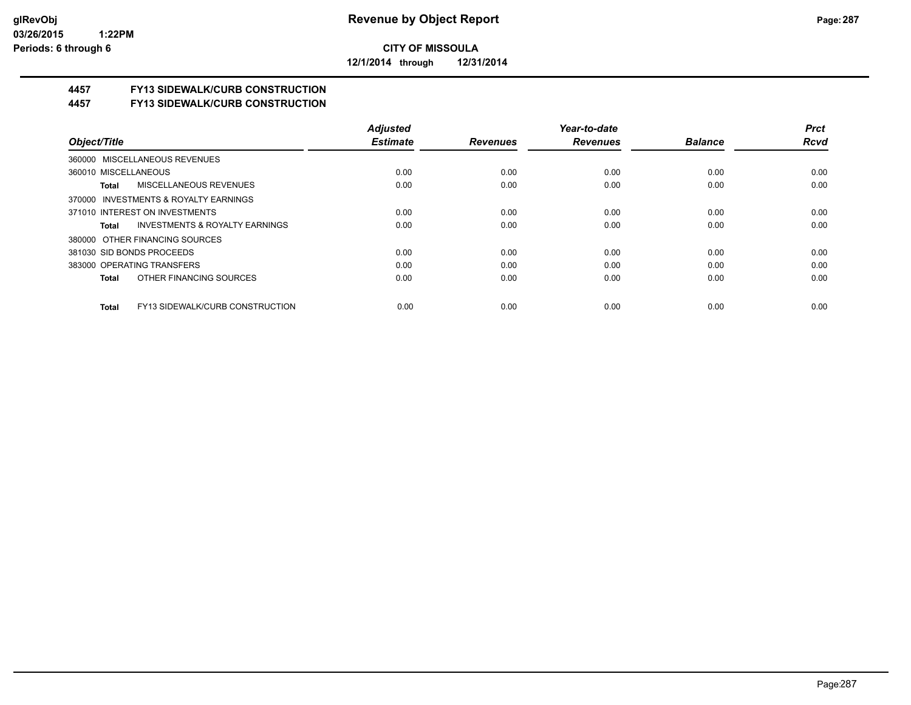**12/1/2014 through 12/31/2014**

## **4457 FY13 SIDEWALK/CURB CONSTRUCTION**

**4457 FY13 SIDEWALK/CURB CONSTRUCTION**

|                                                    | <b>Adjusted</b> |                 | Year-to-date    |                | <b>Prct</b> |
|----------------------------------------------------|-----------------|-----------------|-----------------|----------------|-------------|
| Object/Title                                       | <b>Estimate</b> | <b>Revenues</b> | <b>Revenues</b> | <b>Balance</b> | <b>Rcvd</b> |
| 360000 MISCELLANEOUS REVENUES                      |                 |                 |                 |                |             |
| 360010 MISCELLANEOUS                               | 0.00            | 0.00            | 0.00            | 0.00           | 0.00        |
| <b>MISCELLANEOUS REVENUES</b><br>Total             | 0.00            | 0.00            | 0.00            | 0.00           | 0.00        |
| 370000 INVESTMENTS & ROYALTY EARNINGS              |                 |                 |                 |                |             |
| 371010 INTEREST ON INVESTMENTS                     | 0.00            | 0.00            | 0.00            | 0.00           | 0.00        |
| <b>INVESTMENTS &amp; ROYALTY EARNINGS</b><br>Total | 0.00            | 0.00            | 0.00            | 0.00           | 0.00        |
| 380000 OTHER FINANCING SOURCES                     |                 |                 |                 |                |             |
| 381030 SID BONDS PROCEEDS                          | 0.00            | 0.00            | 0.00            | 0.00           | 0.00        |
| 383000 OPERATING TRANSFERS                         | 0.00            | 0.00            | 0.00            | 0.00           | 0.00        |
| OTHER FINANCING SOURCES<br>Total                   | 0.00            | 0.00            | 0.00            | 0.00           | 0.00        |
| FY13 SIDEWALK/CURB CONSTRUCTION<br><b>Total</b>    | 0.00            | 0.00            | 0.00            | 0.00           | 0.00        |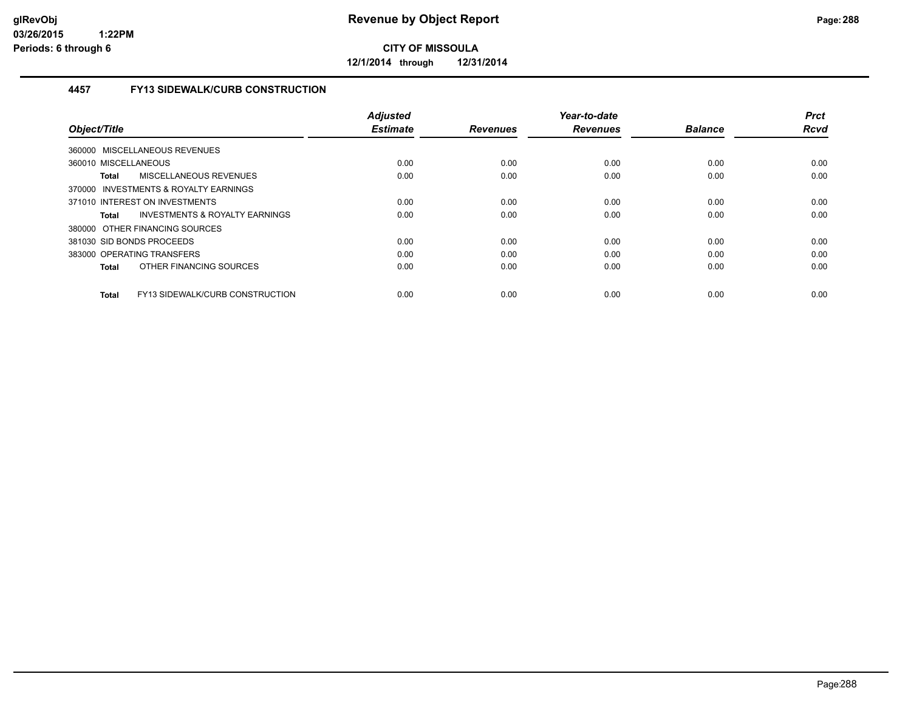**12/1/2014 through 12/31/2014**

## **4457 FY13 SIDEWALK/CURB CONSTRUCTION**

|                                                 | <b>Adjusted</b> |                 | Year-to-date    |                | <b>Prct</b> |
|-------------------------------------------------|-----------------|-----------------|-----------------|----------------|-------------|
| Object/Title                                    | <b>Estimate</b> | <b>Revenues</b> | <b>Revenues</b> | <b>Balance</b> | <b>Rcvd</b> |
| 360000 MISCELLANEOUS REVENUES                   |                 |                 |                 |                |             |
| 360010 MISCELLANEOUS                            | 0.00            | 0.00            | 0.00            | 0.00           | 0.00        |
| MISCELLANEOUS REVENUES<br><b>Total</b>          | 0.00            | 0.00            | 0.00            | 0.00           | 0.00        |
| 370000 INVESTMENTS & ROYALTY EARNINGS           |                 |                 |                 |                |             |
| 371010 INTEREST ON INVESTMENTS                  | 0.00            | 0.00            | 0.00            | 0.00           | 0.00        |
| INVESTMENTS & ROYALTY EARNINGS<br>Total         | 0.00            | 0.00            | 0.00            | 0.00           | 0.00        |
| 380000 OTHER FINANCING SOURCES                  |                 |                 |                 |                |             |
| 381030 SID BONDS PROCEEDS                       | 0.00            | 0.00            | 0.00            | 0.00           | 0.00        |
| 383000 OPERATING TRANSFERS                      | 0.00            | 0.00            | 0.00            | 0.00           | 0.00        |
| OTHER FINANCING SOURCES<br>Total                | 0.00            | 0.00            | 0.00            | 0.00           | 0.00        |
| FY13 SIDEWALK/CURB CONSTRUCTION<br><b>Total</b> | 0.00            | 0.00            | 0.00            | 0.00           | 0.00        |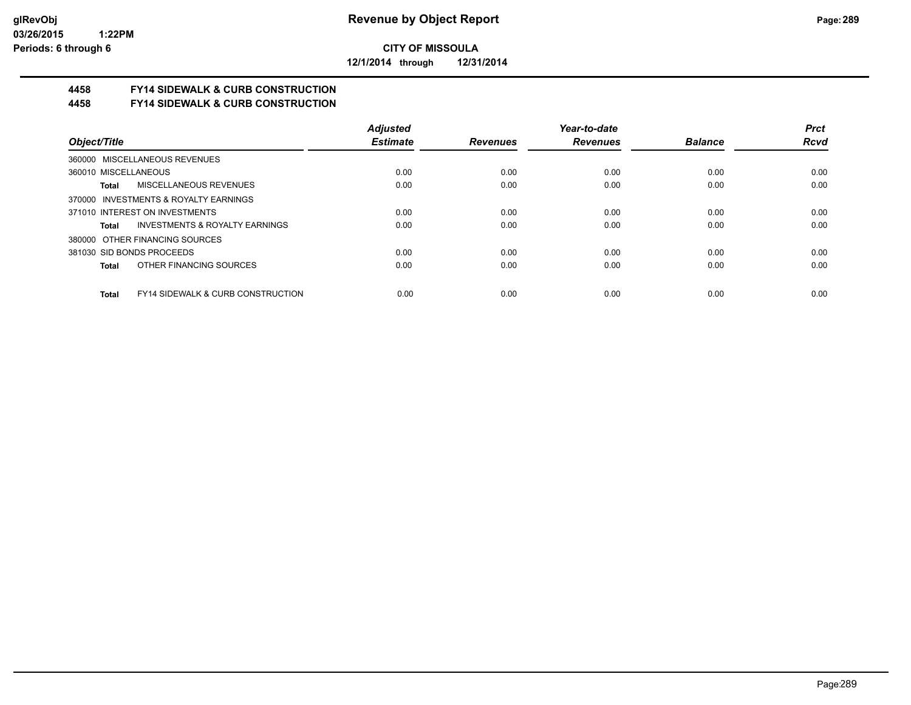**12/1/2014 through 12/31/2014**

# **4458 FY14 SIDEWALK & CURB CONSTRUCTION**

**4458 FY14 SIDEWALK & CURB CONSTRUCTION**

|                                                       | <b>Adjusted</b> |                 | Year-to-date    |                | <b>Prct</b> |
|-------------------------------------------------------|-----------------|-----------------|-----------------|----------------|-------------|
| Object/Title                                          | <b>Estimate</b> | <b>Revenues</b> | <b>Revenues</b> | <b>Balance</b> | <b>Rcvd</b> |
| 360000 MISCELLANEOUS REVENUES                         |                 |                 |                 |                |             |
| 360010 MISCELLANEOUS                                  | 0.00            | 0.00            | 0.00            | 0.00           | 0.00        |
| MISCELLANEOUS REVENUES<br>Total                       | 0.00            | 0.00            | 0.00            | 0.00           | 0.00        |
| 370000 INVESTMENTS & ROYALTY EARNINGS                 |                 |                 |                 |                |             |
| 371010 INTEREST ON INVESTMENTS                        | 0.00            | 0.00            | 0.00            | 0.00           | 0.00        |
| <b>INVESTMENTS &amp; ROYALTY EARNINGS</b><br>Total    | 0.00            | 0.00            | 0.00            | 0.00           | 0.00        |
| 380000 OTHER FINANCING SOURCES                        |                 |                 |                 |                |             |
| 381030 SID BONDS PROCEEDS                             | 0.00            | 0.00            | 0.00            | 0.00           | 0.00        |
| OTHER FINANCING SOURCES<br>Total                      | 0.00            | 0.00            | 0.00            | 0.00           | 0.00        |
| <b>FY14 SIDEWALK &amp; CURB CONSTRUCTION</b><br>Total | 0.00            | 0.00            | 0.00            | 0.00           | 0.00        |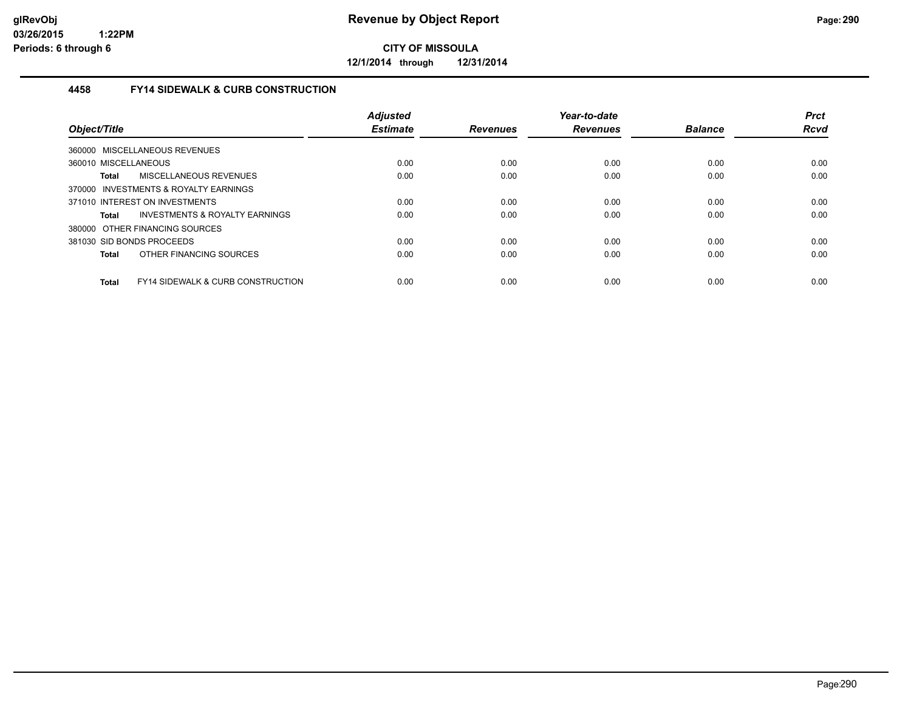**12/1/2014 through 12/31/2014**

### **4458 FY14 SIDEWALK & CURB CONSTRUCTION**

| Object/Title                                                 | <b>Adjusted</b><br><b>Estimate</b> | <b>Revenues</b> | Year-to-date<br><b>Revenues</b> | <b>Balance</b> | <b>Prct</b><br><b>Rcvd</b> |
|--------------------------------------------------------------|------------------------------------|-----------------|---------------------------------|----------------|----------------------------|
| 360000 MISCELLANEOUS REVENUES                                |                                    |                 |                                 |                |                            |
| 360010 MISCELLANEOUS                                         | 0.00                               | 0.00            | 0.00                            | 0.00           | 0.00                       |
| MISCELLANEOUS REVENUES<br><b>Total</b>                       | 0.00                               | 0.00            | 0.00                            | 0.00           | 0.00                       |
| 370000 INVESTMENTS & ROYALTY EARNINGS                        |                                    |                 |                                 |                |                            |
| 371010 INTEREST ON INVESTMENTS                               | 0.00                               | 0.00            | 0.00                            | 0.00           | 0.00                       |
| INVESTMENTS & ROYALTY EARNINGS<br><b>Total</b>               | 0.00                               | 0.00            | 0.00                            | 0.00           | 0.00                       |
| 380000 OTHER FINANCING SOURCES                               |                                    |                 |                                 |                |                            |
| 381030 SID BONDS PROCEEDS                                    | 0.00                               | 0.00            | 0.00                            | 0.00           | 0.00                       |
| OTHER FINANCING SOURCES<br><b>Total</b>                      | 0.00                               | 0.00            | 0.00                            | 0.00           | 0.00                       |
| <b>FY14 SIDEWALK &amp; CURB CONSTRUCTION</b><br><b>Total</b> | 0.00                               | 0.00            | 0.00                            | 0.00           | 0.00                       |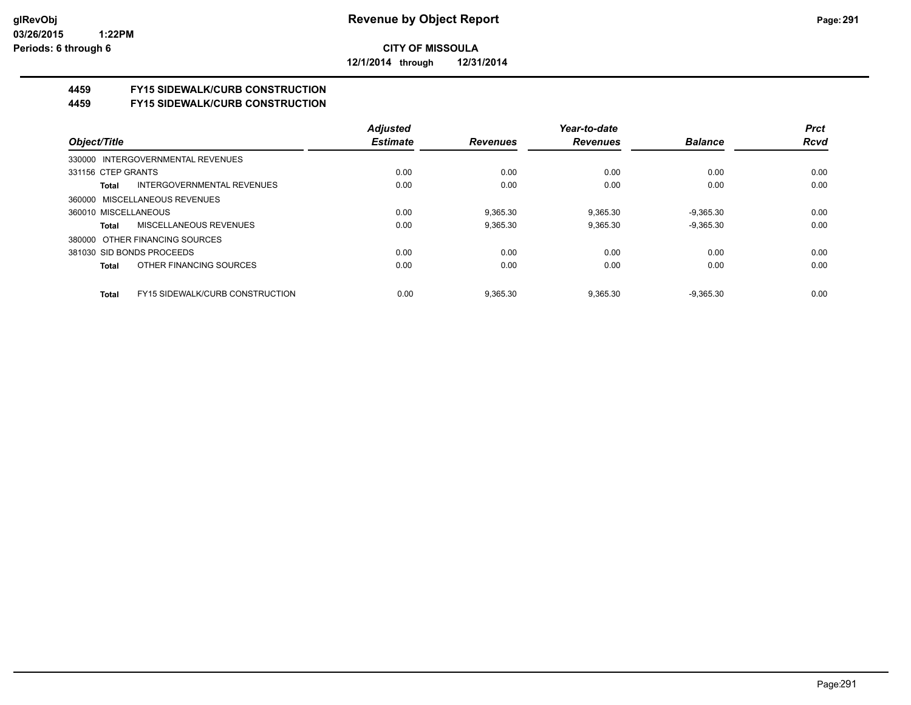**12/1/2014 through 12/31/2014**

# **4459 FY15 SIDEWALK/CURB CONSTRUCTION**

**4459 FY15 SIDEWALK/CURB CONSTRUCTION**

|  |                                                                                                                                                                                                                                          |                         | Year-to-date    |                | <b>Prct</b> |
|--|------------------------------------------------------------------------------------------------------------------------------------------------------------------------------------------------------------------------------------------|-------------------------|-----------------|----------------|-------------|
|  | <b>Estimate</b>                                                                                                                                                                                                                          | <b>Revenues</b>         | <b>Revenues</b> | <b>Balance</b> | <b>Rcvd</b> |
|  |                                                                                                                                                                                                                                          |                         |                 |                |             |
|  | 0.00                                                                                                                                                                                                                                     | 0.00                    | 0.00            | 0.00           | 0.00        |
|  | 0.00                                                                                                                                                                                                                                     | 0.00                    | 0.00            | 0.00           | 0.00        |
|  |                                                                                                                                                                                                                                          |                         |                 |                |             |
|  | 0.00                                                                                                                                                                                                                                     | 9,365.30                | 9.365.30        | $-9.365.30$    | 0.00        |
|  | 0.00                                                                                                                                                                                                                                     | 9,365.30                | 9,365.30        | $-9,365.30$    | 0.00        |
|  |                                                                                                                                                                                                                                          |                         |                 |                |             |
|  | 0.00                                                                                                                                                                                                                                     | 0.00                    | 0.00            | 0.00           | 0.00        |
|  | 0.00                                                                                                                                                                                                                                     | 0.00                    | 0.00            | 0.00           | 0.00        |
|  |                                                                                                                                                                                                                                          |                         |                 |                | 0.00        |
|  | 330000 INTERGOVERNMENTAL REVENUES<br><b>INTERGOVERNMENTAL REVENUES</b><br>360000 MISCELLANEOUS REVENUES<br>MISCELLANEOUS REVENUES<br>380000 OTHER FINANCING SOURCES<br>OTHER FINANCING SOURCES<br><b>FY15 SIDEWALK/CURB CONSTRUCTION</b> | <b>Adjusted</b><br>0.00 | 9.365.30        | 9.365.30       | $-9.365.30$ |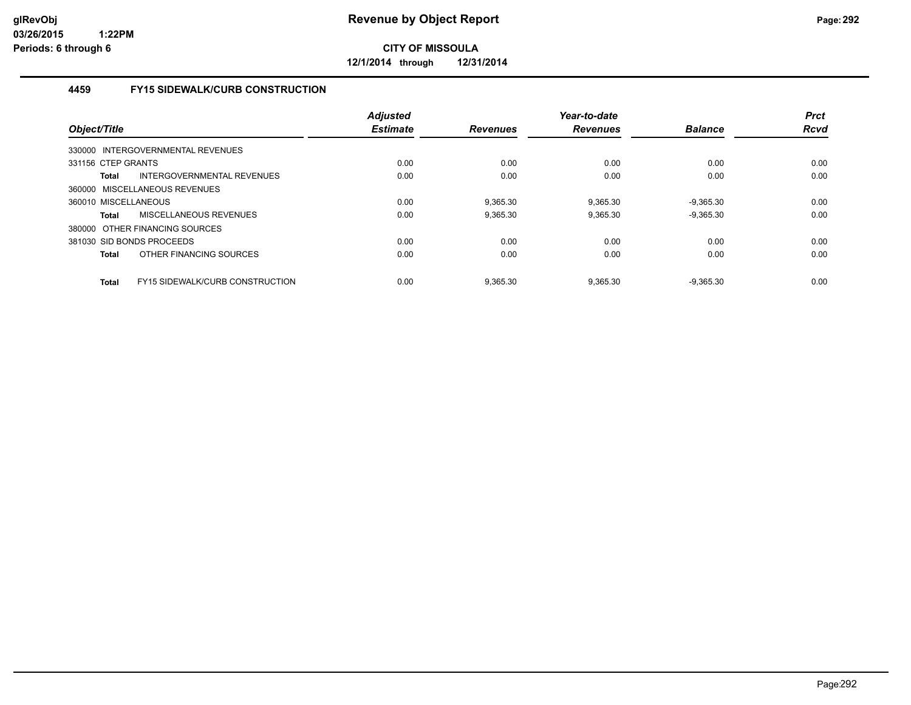**12/1/2014 through 12/31/2014**

### **4459 FY15 SIDEWALK/CURB CONSTRUCTION**

| Object/Title                                    | <b>Adjusted</b><br><b>Estimate</b> | <b>Revenues</b> | Year-to-date<br><b>Revenues</b> | <b>Balance</b> | <b>Prct</b><br><b>Rcvd</b> |
|-------------------------------------------------|------------------------------------|-----------------|---------------------------------|----------------|----------------------------|
| INTERGOVERNMENTAL REVENUES<br>330000            |                                    |                 |                                 |                |                            |
| 331156 CTEP GRANTS                              | 0.00                               | 0.00            | 0.00                            | 0.00           | 0.00                       |
| INTERGOVERNMENTAL REVENUES<br><b>Total</b>      | 0.00                               | 0.00            | 0.00                            | 0.00           | 0.00                       |
| 360000 MISCELLANEOUS REVENUES                   |                                    |                 |                                 |                |                            |
| 360010 MISCELLANEOUS                            | 0.00                               | 9.365.30        | 9.365.30                        | $-9.365.30$    | 0.00                       |
| MISCELLANEOUS REVENUES<br><b>Total</b>          | 0.00                               | 9,365.30        | 9,365.30                        | $-9,365.30$    | 0.00                       |
| 380000 OTHER FINANCING SOURCES                  |                                    |                 |                                 |                |                            |
| 381030 SID BONDS PROCEEDS                       | 0.00                               | 0.00            | 0.00                            | 0.00           | 0.00                       |
| OTHER FINANCING SOURCES<br><b>Total</b>         | 0.00                               | 0.00            | 0.00                            | 0.00           | 0.00                       |
| FY15 SIDEWALK/CURB CONSTRUCTION<br><b>Total</b> | 0.00                               | 9.365.30        | 9.365.30                        | $-9.365.30$    | 0.00                       |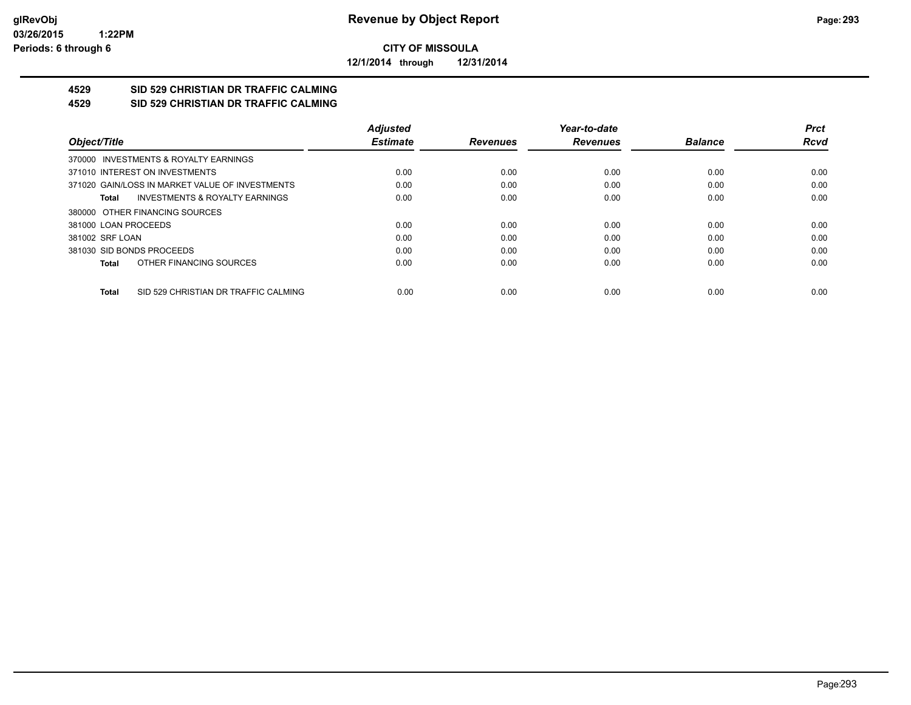**12/1/2014 through 12/31/2014**

#### **4529 SID 529 CHRISTIAN DR TRAFFIC CALMING 4529 SID 529 CHRISTIAN DR TRAFFIC CALMING**

|                      |                                                 | <b>Adjusted</b> |                 | Year-to-date    |                | <b>Prct</b> |
|----------------------|-------------------------------------------------|-----------------|-----------------|-----------------|----------------|-------------|
| Object/Title         |                                                 | <b>Estimate</b> | <b>Revenues</b> | <b>Revenues</b> | <b>Balance</b> | <b>Rcvd</b> |
|                      | 370000 INVESTMENTS & ROYALTY EARNINGS           |                 |                 |                 |                |             |
|                      | 371010 INTEREST ON INVESTMENTS                  | 0.00            | 0.00            | 0.00            | 0.00           | 0.00        |
|                      | 371020 GAIN/LOSS IN MARKET VALUE OF INVESTMENTS | 0.00            | 0.00            | 0.00            | 0.00           | 0.00        |
| Total                | <b>INVESTMENTS &amp; ROYALTY EARNINGS</b>       | 0.00            | 0.00            | 0.00            | 0.00           | 0.00        |
|                      | 380000 OTHER FINANCING SOURCES                  |                 |                 |                 |                |             |
| 381000 LOAN PROCEEDS |                                                 | 0.00            | 0.00            | 0.00            | 0.00           | 0.00        |
| 381002 SRF LOAN      |                                                 | 0.00            | 0.00            | 0.00            | 0.00           | 0.00        |
|                      | 381030 SID BONDS PROCEEDS                       | 0.00            | 0.00            | 0.00            | 0.00           | 0.00        |
| Total                | OTHER FINANCING SOURCES                         | 0.00            | 0.00            | 0.00            | 0.00           | 0.00        |
| <b>Total</b>         | SID 529 CHRISTIAN DR TRAFFIC CALMING            | 0.00            | 0.00            | 0.00            | 0.00           | 0.00        |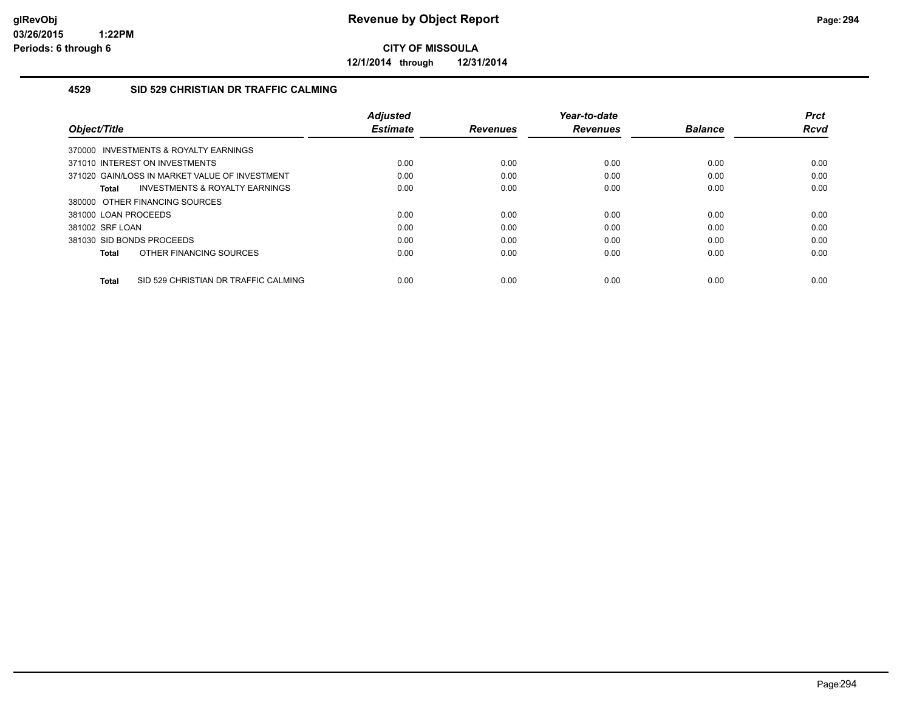**12/1/2014 through 12/31/2014**

### **4529 SID 529 CHRISTIAN DR TRAFFIC CALMING**

| Object/Title                                         | <b>Adjusted</b><br><b>Estimate</b> | <b>Revenues</b> | Year-to-date<br><b>Revenues</b> | <b>Balance</b> | <b>Prct</b><br>Rcvd |
|------------------------------------------------------|------------------------------------|-----------------|---------------------------------|----------------|---------------------|
| 370000 INVESTMENTS & ROYALTY EARNINGS                |                                    |                 |                                 |                |                     |
| 371010 INTEREST ON INVESTMENTS                       | 0.00                               | 0.00            | 0.00                            | 0.00           | 0.00                |
| 371020 GAIN/LOSS IN MARKET VALUE OF INVESTMENT       | 0.00                               | 0.00            | 0.00                            | 0.00           | 0.00                |
| <b>INVESTMENTS &amp; ROYALTY EARNINGS</b><br>Total   | 0.00                               | 0.00            | 0.00                            | 0.00           | 0.00                |
| 380000 OTHER FINANCING SOURCES                       |                                    |                 |                                 |                |                     |
| 381000 LOAN PROCEEDS                                 | 0.00                               | 0.00            | 0.00                            | 0.00           | 0.00                |
| 381002 SRF LOAN                                      | 0.00                               | 0.00            | 0.00                            | 0.00           | 0.00                |
| 381030 SID BONDS PROCEEDS                            | 0.00                               | 0.00            | 0.00                            | 0.00           | 0.00                |
| OTHER FINANCING SOURCES<br>Total                     | 0.00                               | 0.00            | 0.00                            | 0.00           | 0.00                |
| SID 529 CHRISTIAN DR TRAFFIC CALMING<br><b>Total</b> | 0.00                               | 0.00            | 0.00                            | 0.00           | 0.00                |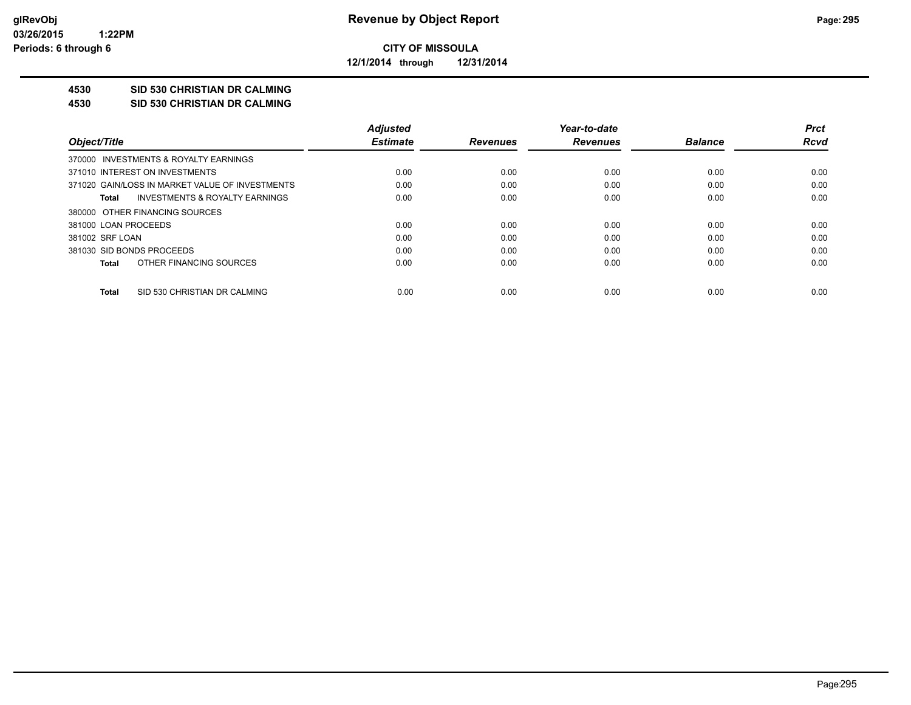**12/1/2014 through 12/31/2014**

## **4530 SID 530 CHRISTIAN DR CALMING**

**4530 SID 530 CHRISTIAN DR CALMING**

|                                                 | <b>Adiusted</b> |                 | Year-to-date    |                | Prct        |
|-------------------------------------------------|-----------------|-----------------|-----------------|----------------|-------------|
| Object/Title                                    | <b>Estimate</b> | <b>Revenues</b> | <b>Revenues</b> | <b>Balance</b> | <b>Rcvd</b> |
| 370000 INVESTMENTS & ROYALTY EARNINGS           |                 |                 |                 |                |             |
| 371010 INTEREST ON INVESTMENTS                  | 0.00            | 0.00            | 0.00            | 0.00           | 0.00        |
| 371020 GAIN/LOSS IN MARKET VALUE OF INVESTMENTS | 0.00            | 0.00            | 0.00            | 0.00           | 0.00        |
| INVESTMENTS & ROYALTY EARNINGS<br>Total         | 0.00            | 0.00            | 0.00            | 0.00           | 0.00        |
| 380000 OTHER FINANCING SOURCES                  |                 |                 |                 |                |             |
| 381000 LOAN PROCEEDS                            | 0.00            | 0.00            | 0.00            | 0.00           | 0.00        |
| 381002 SRF LOAN                                 | 0.00            | 0.00            | 0.00            | 0.00           | 0.00        |
| 381030 SID BONDS PROCEEDS                       | 0.00            | 0.00            | 0.00            | 0.00           | 0.00        |
| OTHER FINANCING SOURCES<br>Total                | 0.00            | 0.00            | 0.00            | 0.00           | 0.00        |
|                                                 |                 |                 |                 |                |             |
| SID 530 CHRISTIAN DR CALMING<br>Total           | 0.00            | 0.00            | 0.00            | 0.00           | 0.00        |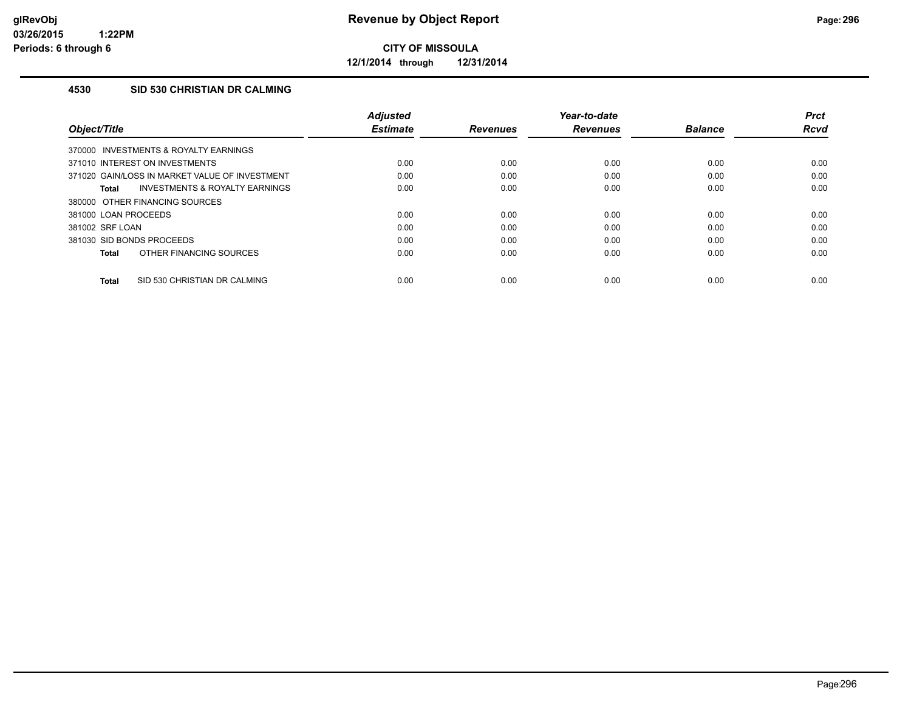**12/1/2014 through 12/31/2014**

### **4530 SID 530 CHRISTIAN DR CALMING**

| Object/Title                                   | <b>Adiusted</b><br><b>Estimate</b> | <b>Revenues</b> | Year-to-date<br><b>Revenues</b> | <b>Balance</b> | <b>Prct</b><br><b>Rcvd</b> |
|------------------------------------------------|------------------------------------|-----------------|---------------------------------|----------------|----------------------------|
| 370000 INVESTMENTS & ROYALTY EARNINGS          |                                    |                 |                                 |                |                            |
| 371010 INTEREST ON INVESTMENTS                 | 0.00                               | 0.00            | 0.00                            | 0.00           | 0.00                       |
| 371020 GAIN/LOSS IN MARKET VALUE OF INVESTMENT | 0.00                               | 0.00            | 0.00                            | 0.00           | 0.00                       |
| INVESTMENTS & ROYALTY EARNINGS<br>Total        | 0.00                               | 0.00            | 0.00                            | 0.00           | 0.00                       |
| 380000 OTHER FINANCING SOURCES                 |                                    |                 |                                 |                |                            |
| 381000 LOAN PROCEEDS                           | 0.00                               | 0.00            | 0.00                            | 0.00           | 0.00                       |
| 381002 SRF LOAN                                | 0.00                               | 0.00            | 0.00                            | 0.00           | 0.00                       |
| 381030 SID BONDS PROCEEDS                      | 0.00                               | 0.00            | 0.00                            | 0.00           | 0.00                       |
| OTHER FINANCING SOURCES<br><b>Total</b>        | 0.00                               | 0.00            | 0.00                            | 0.00           | 0.00                       |
| SID 530 CHRISTIAN DR CALMING<br><b>Total</b>   | 0.00                               | 0.00            | 0.00                            | 0.00           | 0.00                       |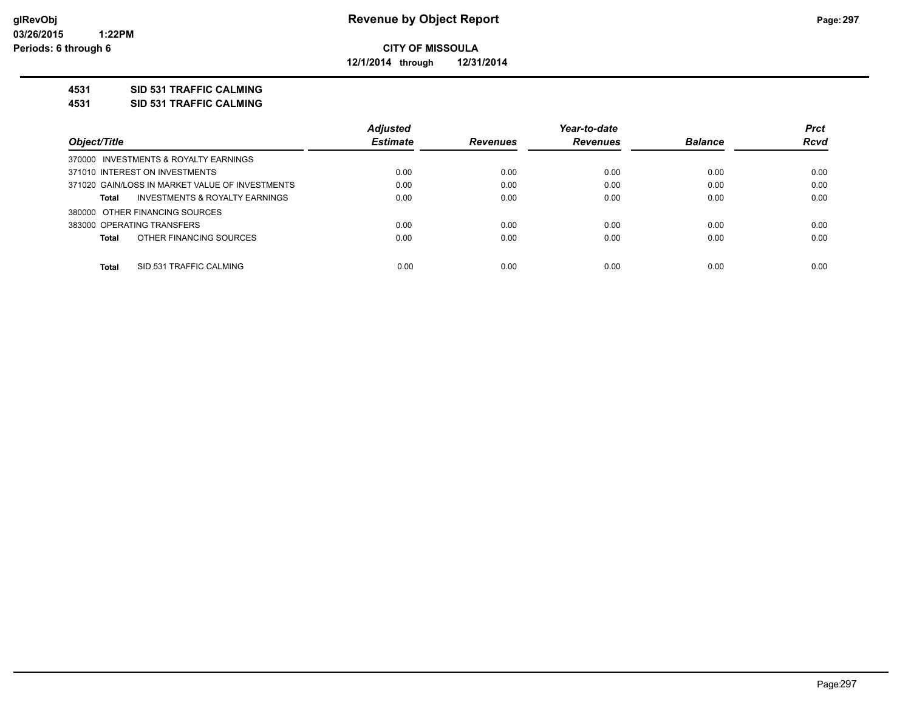**12/1/2014 through 12/31/2014**

### **4531 SID 531 TRAFFIC CALMING**

**4531 SID 531 TRAFFIC CALMING**

|                                                 | <b>Adjusted</b> |                 | Year-to-date    |                | <b>Prct</b> |
|-------------------------------------------------|-----------------|-----------------|-----------------|----------------|-------------|
| Object/Title                                    | <b>Estimate</b> | <b>Revenues</b> | <b>Revenues</b> | <b>Balance</b> | <b>Rcvd</b> |
| 370000 INVESTMENTS & ROYALTY EARNINGS           |                 |                 |                 |                |             |
| 371010 INTEREST ON INVESTMENTS                  | 0.00            | 0.00            | 0.00            | 0.00           | 0.00        |
| 371020 GAIN/LOSS IN MARKET VALUE OF INVESTMENTS | 0.00            | 0.00            | 0.00            | 0.00           | 0.00        |
| INVESTMENTS & ROYALTY EARNINGS<br>Total         | 0.00            | 0.00            | 0.00            | 0.00           | 0.00        |
| 380000 OTHER FINANCING SOURCES                  |                 |                 |                 |                |             |
| 383000 OPERATING TRANSFERS                      | 0.00            | 0.00            | 0.00            | 0.00           | 0.00        |
| OTHER FINANCING SOURCES<br>Total                | 0.00            | 0.00            | 0.00            | 0.00           | 0.00        |
|                                                 |                 |                 |                 |                |             |
| Total<br>SID 531 TRAFFIC CALMING                | 0.00            | 0.00            | 0.00            | 0.00           | 0.00        |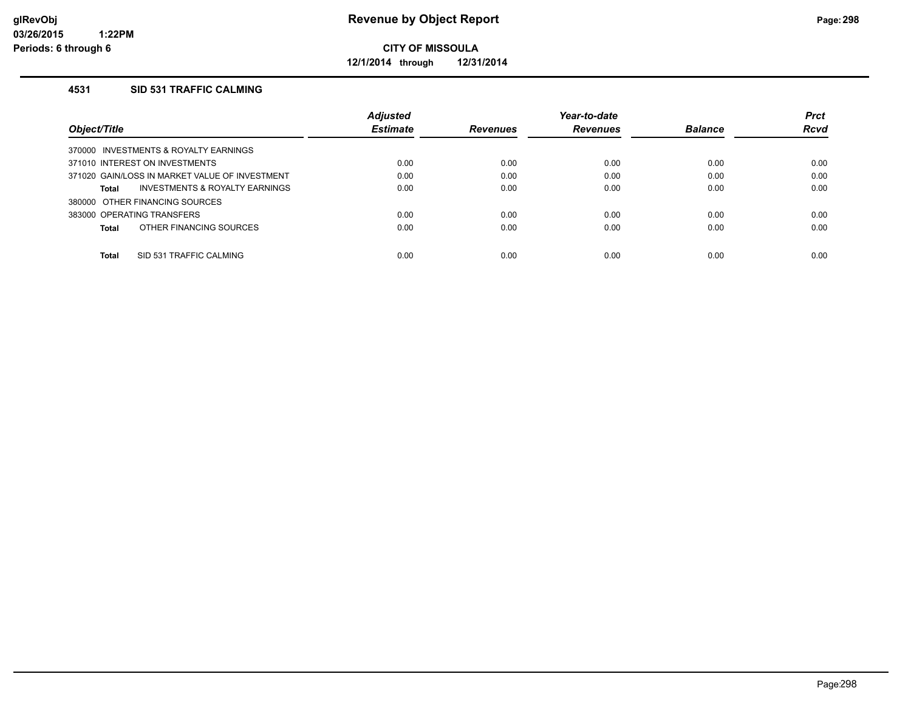**12/1/2014 through 12/31/2014**

### **4531 SID 531 TRAFFIC CALMING**

|                                                    | <b>Adjusted</b> |                 | Year-to-date    |                | <b>Prct</b> |
|----------------------------------------------------|-----------------|-----------------|-----------------|----------------|-------------|
| Object/Title                                       | <b>Estimate</b> | <b>Revenues</b> | <b>Revenues</b> | <b>Balance</b> | Rcvd        |
| 370000 INVESTMENTS & ROYALTY EARNINGS              |                 |                 |                 |                |             |
| 371010 INTEREST ON INVESTMENTS                     | 0.00            | 0.00            | 0.00            | 0.00           | 0.00        |
| 371020 GAIN/LOSS IN MARKET VALUE OF INVESTMENT     | 0.00            | 0.00            | 0.00            | 0.00           | 0.00        |
| <b>INVESTMENTS &amp; ROYALTY EARNINGS</b><br>Total | 0.00            | 0.00            | 0.00            | 0.00           | 0.00        |
| 380000 OTHER FINANCING SOURCES                     |                 |                 |                 |                |             |
| 383000 OPERATING TRANSFERS                         | 0.00            | 0.00            | 0.00            | 0.00           | 0.00        |
| OTHER FINANCING SOURCES<br>Total                   | 0.00            | 0.00            | 0.00            | 0.00           | 0.00        |
|                                                    |                 |                 |                 |                |             |
| Total<br>SID 531 TRAFFIC CALMING                   | 0.00            | 0.00            | 0.00            | 0.00           | 0.00        |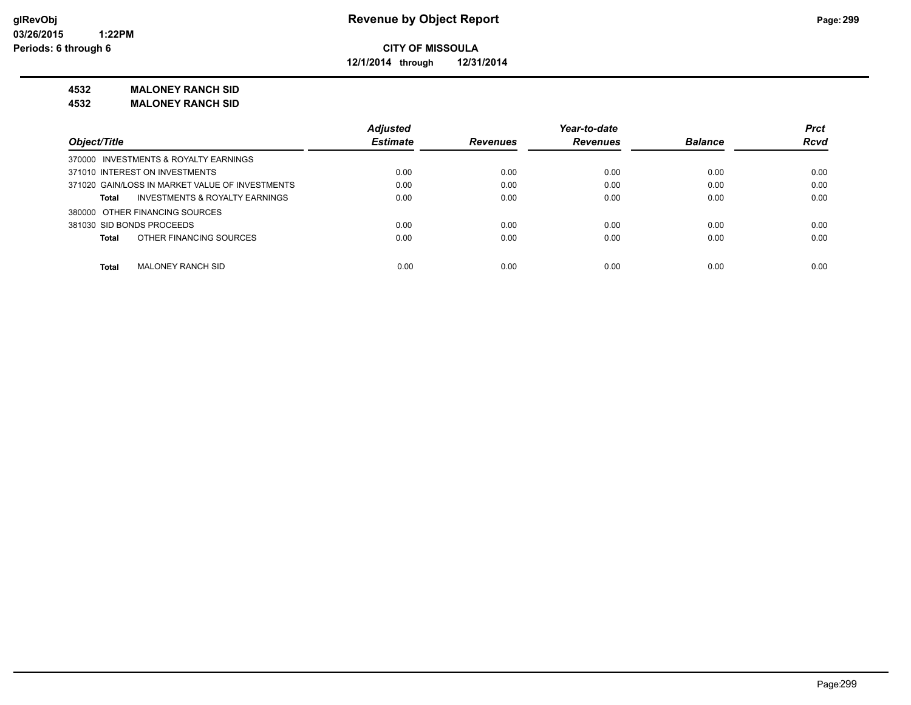**12/1/2014 through 12/31/2014**

### **4532 MALONEY RANCH SID**

**4532 MALONEY RANCH SID**

|                                                 | <b>Adjusted</b> |                 | Year-to-date    |                | <b>Prct</b> |
|-------------------------------------------------|-----------------|-----------------|-----------------|----------------|-------------|
| Object/Title                                    | <b>Estimate</b> | <b>Revenues</b> | <b>Revenues</b> | <b>Balance</b> | <b>Rcvd</b> |
| 370000 INVESTMENTS & ROYALTY EARNINGS           |                 |                 |                 |                |             |
| 371010 INTEREST ON INVESTMENTS                  | 0.00            | 0.00            | 0.00            | 0.00           | 0.00        |
| 371020 GAIN/LOSS IN MARKET VALUE OF INVESTMENTS | 0.00            | 0.00            | 0.00            | 0.00           | 0.00        |
| INVESTMENTS & ROYALTY EARNINGS<br>Total         | 0.00            | 0.00            | 0.00            | 0.00           | 0.00        |
| 380000 OTHER FINANCING SOURCES                  |                 |                 |                 |                |             |
| 381030 SID BONDS PROCEEDS                       | 0.00            | 0.00            | 0.00            | 0.00           | 0.00        |
| OTHER FINANCING SOURCES<br>Total                | 0.00            | 0.00            | 0.00            | 0.00           | 0.00        |
|                                                 |                 |                 |                 |                |             |
| <b>Total</b><br>MALONEY RANCH SID               | 0.00            | 0.00            | 0.00            | 0.00           | 0.00        |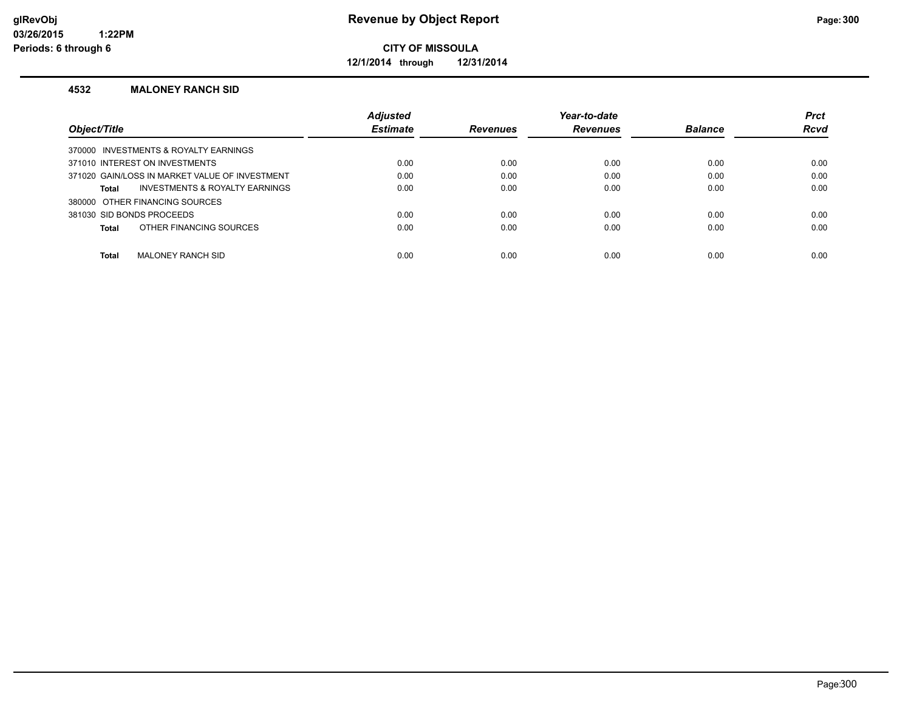**12/1/2014 through 12/31/2014**

#### **4532 MALONEY RANCH SID**

|                                                | <b>Adjusted</b> |                 | Year-to-date    |                | <b>Prct</b> |
|------------------------------------------------|-----------------|-----------------|-----------------|----------------|-------------|
| Object/Title                                   | <b>Estimate</b> | <b>Revenues</b> | <b>Revenues</b> | <b>Balance</b> | <b>Rcvd</b> |
| 370000 INVESTMENTS & ROYALTY EARNINGS          |                 |                 |                 |                |             |
| 371010 INTEREST ON INVESTMENTS                 | 0.00            | 0.00            | 0.00            | 0.00           | 0.00        |
| 371020 GAIN/LOSS IN MARKET VALUE OF INVESTMENT | 0.00            | 0.00            | 0.00            | 0.00           | 0.00        |
| INVESTMENTS & ROYALTY EARNINGS<br>Total        | 0.00            | 0.00            | 0.00            | 0.00           | 0.00        |
| 380000 OTHER FINANCING SOURCES                 |                 |                 |                 |                |             |
| 381030 SID BONDS PROCEEDS                      | 0.00            | 0.00            | 0.00            | 0.00           | 0.00        |
| OTHER FINANCING SOURCES<br>Total               | 0.00            | 0.00            | 0.00            | 0.00           | 0.00        |
|                                                |                 |                 |                 |                |             |
| <b>Total</b><br>MALONEY RANCH SID              | 0.00            | 0.00            | 0.00            | 0.00           | 0.00        |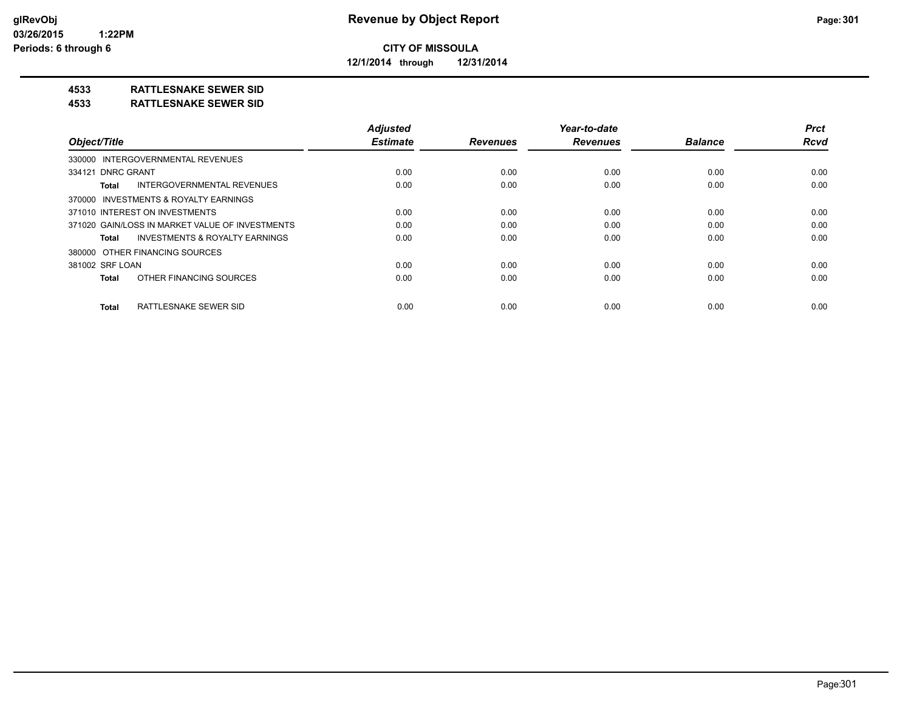**12/1/2014 through 12/31/2014**

### **4533 RATTLESNAKE SEWER SID**

#### **4533 RATTLESNAKE SEWER SID**

|                                                    | <b>Adjusted</b> |                 | Year-to-date    |                | <b>Prct</b> |
|----------------------------------------------------|-----------------|-----------------|-----------------|----------------|-------------|
| Object/Title                                       | <b>Estimate</b> | <b>Revenues</b> | <b>Revenues</b> | <b>Balance</b> | <b>Rcvd</b> |
| 330000 INTERGOVERNMENTAL REVENUES                  |                 |                 |                 |                |             |
| 334121 DNRC GRANT                                  | 0.00            | 0.00            | 0.00            | 0.00           | 0.00        |
| INTERGOVERNMENTAL REVENUES<br>Total                | 0.00            | 0.00            | 0.00            | 0.00           | 0.00        |
| 370000 INVESTMENTS & ROYALTY EARNINGS              |                 |                 |                 |                |             |
| 371010 INTEREST ON INVESTMENTS                     | 0.00            | 0.00            | 0.00            | 0.00           | 0.00        |
| 371020 GAIN/LOSS IN MARKET VALUE OF INVESTMENTS    | 0.00            | 0.00            | 0.00            | 0.00           | 0.00        |
| <b>INVESTMENTS &amp; ROYALTY EARNINGS</b><br>Total | 0.00            | 0.00            | 0.00            | 0.00           | 0.00        |
| 380000 OTHER FINANCING SOURCES                     |                 |                 |                 |                |             |
| 381002 SRF LOAN                                    | 0.00            | 0.00            | 0.00            | 0.00           | 0.00        |
| OTHER FINANCING SOURCES<br>Total                   | 0.00            | 0.00            | 0.00            | 0.00           | 0.00        |
| RATTLESNAKE SEWER SID<br>Total                     | 0.00            | 0.00            | 0.00            | 0.00           | 0.00        |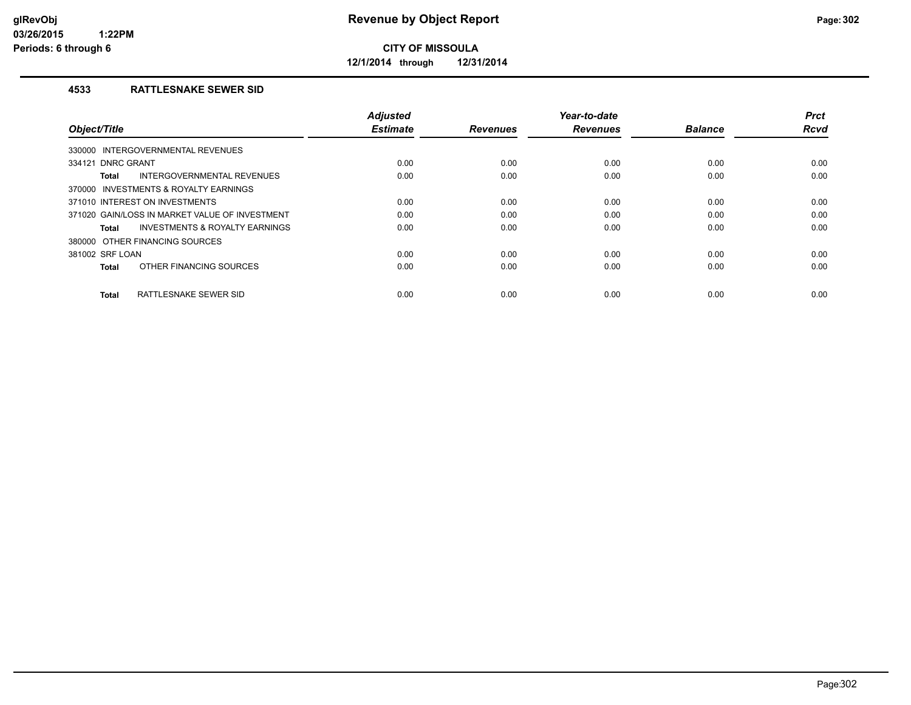**12/1/2014 through 12/31/2014**

### **4533 RATTLESNAKE SEWER SID**

| Object/Title                                   | <b>Adjusted</b><br><b>Estimate</b> | <b>Revenues</b> | Year-to-date<br><b>Revenues</b> | <b>Balance</b> | <b>Prct</b><br><b>Rcvd</b> |
|------------------------------------------------|------------------------------------|-----------------|---------------------------------|----------------|----------------------------|
|                                                |                                    |                 |                                 |                |                            |
| 330000 INTERGOVERNMENTAL REVENUES              |                                    |                 |                                 |                |                            |
| 334121 DNRC GRANT                              | 0.00                               | 0.00            | 0.00                            | 0.00           | 0.00                       |
| INTERGOVERNMENTAL REVENUES<br><b>Total</b>     | 0.00                               | 0.00            | 0.00                            | 0.00           | 0.00                       |
| 370000 INVESTMENTS & ROYALTY EARNINGS          |                                    |                 |                                 |                |                            |
| 371010 INTEREST ON INVESTMENTS                 | 0.00                               | 0.00            | 0.00                            | 0.00           | 0.00                       |
| 371020 GAIN/LOSS IN MARKET VALUE OF INVESTMENT | 0.00                               | 0.00            | 0.00                            | 0.00           | 0.00                       |
| INVESTMENTS & ROYALTY EARNINGS<br><b>Total</b> | 0.00                               | 0.00            | 0.00                            | 0.00           | 0.00                       |
| 380000 OTHER FINANCING SOURCES                 |                                    |                 |                                 |                |                            |
| 381002 SRF LOAN                                | 0.00                               | 0.00            | 0.00                            | 0.00           | 0.00                       |
| OTHER FINANCING SOURCES<br><b>Total</b>        | 0.00                               | 0.00            | 0.00                            | 0.00           | 0.00                       |
| RATTLESNAKE SEWER SID<br><b>Total</b>          | 0.00                               | 0.00            | 0.00                            | 0.00           | 0.00                       |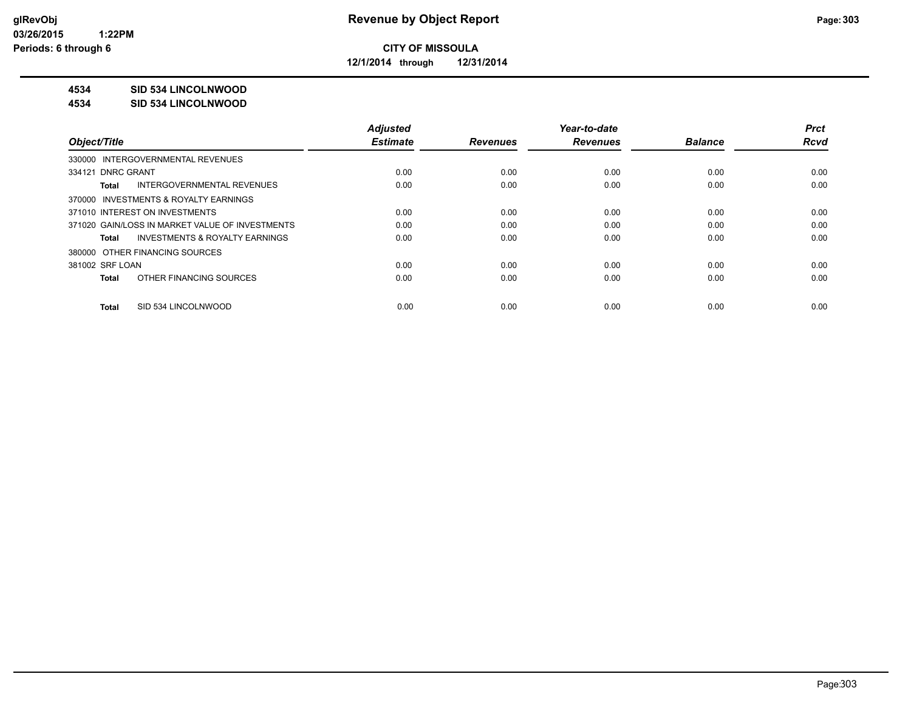**12/1/2014 through 12/31/2014**

### **4534 SID 534 LINCOLNWOOD**

#### **4534 SID 534 LINCOLNWOOD**

|                                                    | <b>Adjusted</b> |                 | Year-to-date    |                | <b>Prct</b> |
|----------------------------------------------------|-----------------|-----------------|-----------------|----------------|-------------|
| Object/Title                                       | <b>Estimate</b> | <b>Revenues</b> | <b>Revenues</b> | <b>Balance</b> | <b>Rcvd</b> |
| 330000 INTERGOVERNMENTAL REVENUES                  |                 |                 |                 |                |             |
| 334121 DNRC GRANT                                  | 0.00            | 0.00            | 0.00            | 0.00           | 0.00        |
| INTERGOVERNMENTAL REVENUES<br>Total                | 0.00            | 0.00            | 0.00            | 0.00           | 0.00        |
| 370000 INVESTMENTS & ROYALTY EARNINGS              |                 |                 |                 |                |             |
| 371010 INTEREST ON INVESTMENTS                     | 0.00            | 0.00            | 0.00            | 0.00           | 0.00        |
| 371020 GAIN/LOSS IN MARKET VALUE OF INVESTMENTS    | 0.00            | 0.00            | 0.00            | 0.00           | 0.00        |
| <b>INVESTMENTS &amp; ROYALTY EARNINGS</b><br>Total | 0.00            | 0.00            | 0.00            | 0.00           | 0.00        |
| 380000 OTHER FINANCING SOURCES                     |                 |                 |                 |                |             |
| 381002 SRF LOAN                                    | 0.00            | 0.00            | 0.00            | 0.00           | 0.00        |
| OTHER FINANCING SOURCES<br>Total                   | 0.00            | 0.00            | 0.00            | 0.00           | 0.00        |
|                                                    |                 |                 |                 |                |             |
| SID 534 LINCOLNWOOD<br><b>Total</b>                | 0.00            | 0.00            | 0.00            | 0.00           | 0.00        |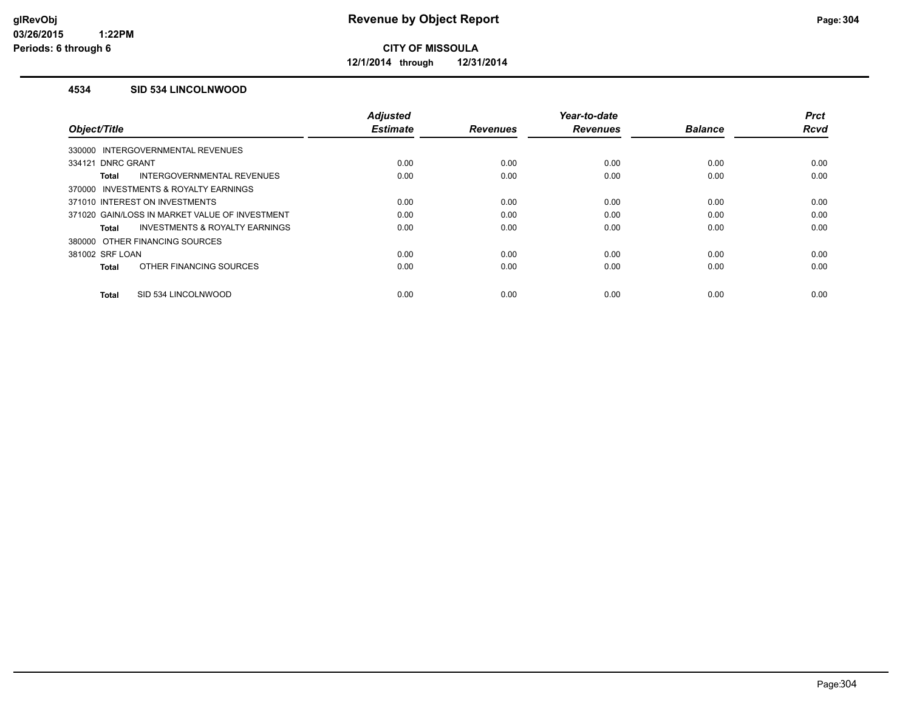**12/1/2014 through 12/31/2014**

### **4534 SID 534 LINCOLNWOOD**

|                                                    | <b>Adjusted</b> |                 | Year-to-date    |                | <b>Prct</b> |
|----------------------------------------------------|-----------------|-----------------|-----------------|----------------|-------------|
| Object/Title                                       | <b>Estimate</b> | <b>Revenues</b> | <b>Revenues</b> | <b>Balance</b> | Rcvd        |
| 330000 INTERGOVERNMENTAL REVENUES                  |                 |                 |                 |                |             |
| 334121 DNRC GRANT                                  | 0.00            | 0.00            | 0.00            | 0.00           | 0.00        |
| INTERGOVERNMENTAL REVENUES<br>Total                | 0.00            | 0.00            | 0.00            | 0.00           | 0.00        |
| 370000 INVESTMENTS & ROYALTY EARNINGS              |                 |                 |                 |                |             |
| 371010 INTEREST ON INVESTMENTS                     | 0.00            | 0.00            | 0.00            | 0.00           | 0.00        |
| 371020 GAIN/LOSS IN MARKET VALUE OF INVESTMENT     | 0.00            | 0.00            | 0.00            | 0.00           | 0.00        |
| <b>INVESTMENTS &amp; ROYALTY EARNINGS</b><br>Total | 0.00            | 0.00            | 0.00            | 0.00           | 0.00        |
| 380000 OTHER FINANCING SOURCES                     |                 |                 |                 |                |             |
| 381002 SRF LOAN                                    | 0.00            | 0.00            | 0.00            | 0.00           | 0.00        |
| OTHER FINANCING SOURCES<br><b>Total</b>            | 0.00            | 0.00            | 0.00            | 0.00           | 0.00        |
| SID 534 LINCOLNWOOD<br><b>Total</b>                | 0.00            | 0.00            | 0.00            | 0.00           | 0.00        |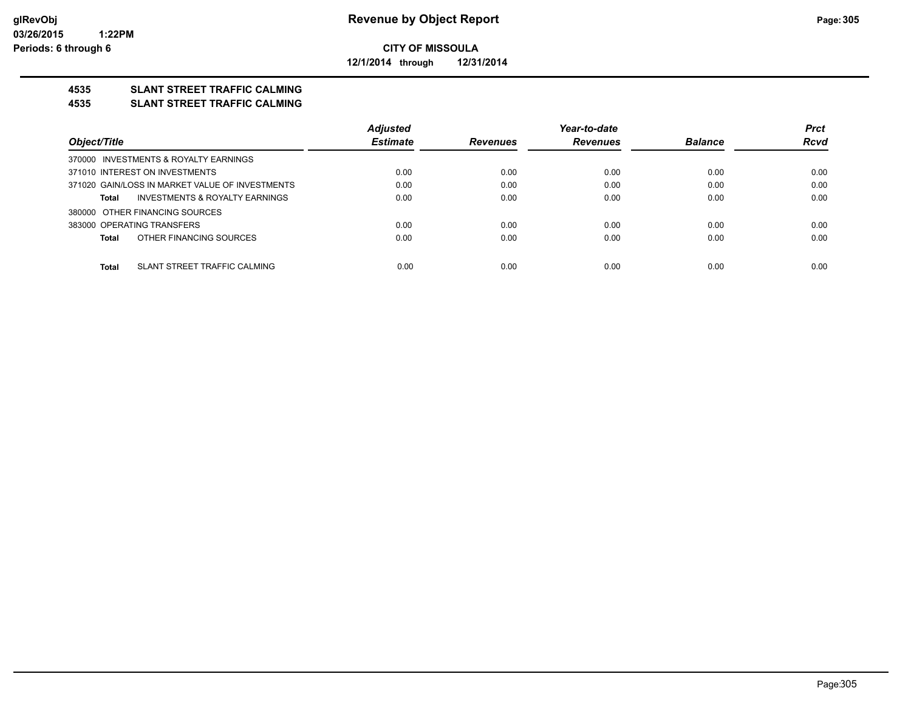**12/1/2014 through 12/31/2014**

## **4535 SLANT STREET TRAFFIC CALMING**

#### **4535 SLANT STREET TRAFFIC CALMING**

|                                                 | <b>Adjusted</b> |                 | Year-to-date    |                | <b>Prct</b> |
|-------------------------------------------------|-----------------|-----------------|-----------------|----------------|-------------|
| Object/Title                                    | <b>Estimate</b> | <b>Revenues</b> | <b>Revenues</b> | <b>Balance</b> | <b>Rcvd</b> |
| 370000 INVESTMENTS & ROYALTY EARNINGS           |                 |                 |                 |                |             |
| 371010 INTEREST ON INVESTMENTS                  | 0.00            | 0.00            | 0.00            | 0.00           | 0.00        |
| 371020 GAIN/LOSS IN MARKET VALUE OF INVESTMENTS | 0.00            | 0.00            | 0.00            | 0.00           | 0.00        |
| INVESTMENTS & ROYALTY EARNINGS<br>Total         | 0.00            | 0.00            | 0.00            | 0.00           | 0.00        |
| 380000 OTHER FINANCING SOURCES                  |                 |                 |                 |                |             |
| 383000 OPERATING TRANSFERS                      | 0.00            | 0.00            | 0.00            | 0.00           | 0.00        |
| OTHER FINANCING SOURCES<br>Total                | 0.00            | 0.00            | 0.00            | 0.00           | 0.00        |
|                                                 |                 |                 |                 |                |             |
| SLANT STREET TRAFFIC CALMING<br>Total           | 0.00            | 0.00            | 0.00            | 0.00           | 0.00        |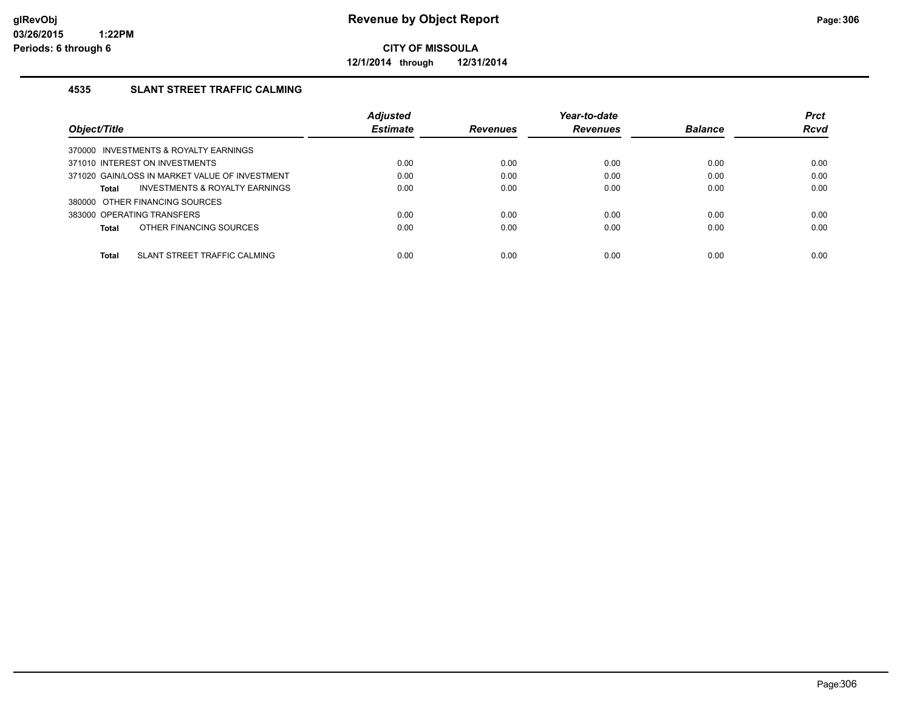**12/1/2014 through 12/31/2014**

### **4535 SLANT STREET TRAFFIC CALMING**

|                                                | <b>Adjusted</b> |                 | Year-to-date    |                | <b>Prct</b> |
|------------------------------------------------|-----------------|-----------------|-----------------|----------------|-------------|
| Object/Title                                   | <b>Estimate</b> | <b>Revenues</b> | <b>Revenues</b> | <b>Balance</b> | <b>Rcvd</b> |
| 370000 INVESTMENTS & ROYALTY EARNINGS          |                 |                 |                 |                |             |
| 371010 INTEREST ON INVESTMENTS                 | 0.00            | 0.00            | 0.00            | 0.00           | 0.00        |
| 371020 GAIN/LOSS IN MARKET VALUE OF INVESTMENT | 0.00            | 0.00            | 0.00            | 0.00           | 0.00        |
| INVESTMENTS & ROYALTY EARNINGS<br><b>Total</b> | 0.00            | 0.00            | 0.00            | 0.00           | 0.00        |
| 380000 OTHER FINANCING SOURCES                 |                 |                 |                 |                |             |
| 383000 OPERATING TRANSFERS                     | 0.00            | 0.00            | 0.00            | 0.00           | 0.00        |
| OTHER FINANCING SOURCES<br><b>Total</b>        | 0.00            | 0.00            | 0.00            | 0.00           | 0.00        |
|                                                |                 |                 |                 |                |             |
| SLANT STREET TRAFFIC CALMING<br><b>Total</b>   | 0.00            | 0.00            | 0.00            | 0.00           | 0.00        |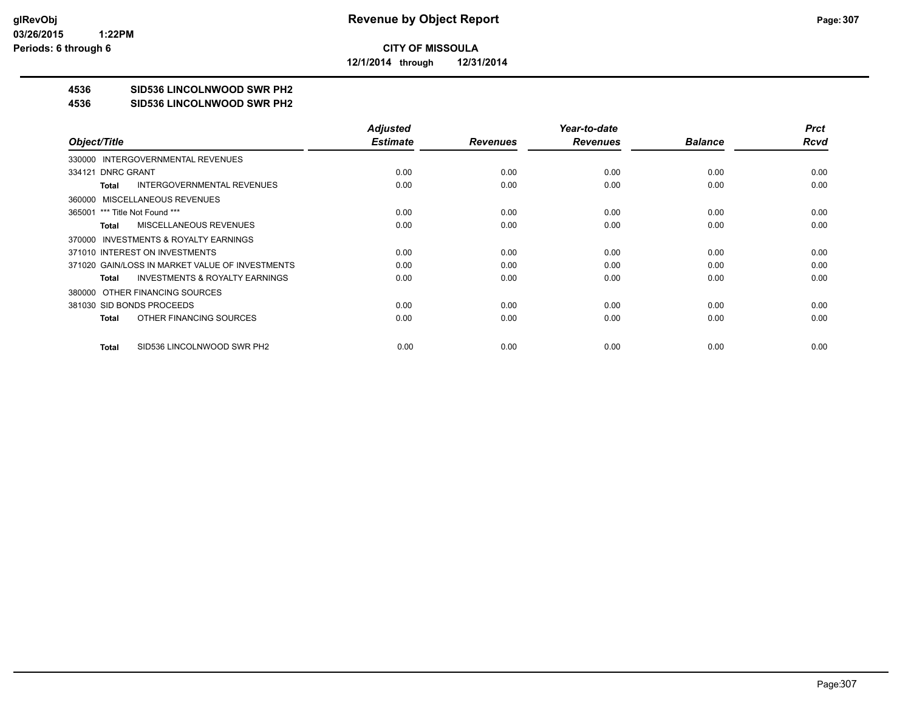**12/1/2014 through 12/31/2014**

## **4536 SID536 LINCOLNWOOD SWR PH2**

#### **4536 SID536 LINCOLNWOOD SWR PH2**

|                                                    | <b>Adjusted</b> |                 | Year-to-date    |                | <b>Prct</b> |
|----------------------------------------------------|-----------------|-----------------|-----------------|----------------|-------------|
| Object/Title                                       | <b>Estimate</b> | <b>Revenues</b> | <b>Revenues</b> | <b>Balance</b> | Rcvd        |
| 330000 INTERGOVERNMENTAL REVENUES                  |                 |                 |                 |                |             |
| 334121 DNRC GRANT                                  | 0.00            | 0.00            | 0.00            | 0.00           | 0.00        |
| <b>INTERGOVERNMENTAL REVENUES</b><br>Total         | 0.00            | 0.00            | 0.00            | 0.00           | 0.00        |
| 360000 MISCELLANEOUS REVENUES                      |                 |                 |                 |                |             |
| 365001 *** Title Not Found ***                     | 0.00            | 0.00            | 0.00            | 0.00           | 0.00        |
| <b>MISCELLANEOUS REVENUES</b><br>Total             | 0.00            | 0.00            | 0.00            | 0.00           | 0.00        |
| 370000 INVESTMENTS & ROYALTY EARNINGS              |                 |                 |                 |                |             |
| 371010 INTEREST ON INVESTMENTS                     | 0.00            | 0.00            | 0.00            | 0.00           | 0.00        |
| 371020 GAIN/LOSS IN MARKET VALUE OF INVESTMENTS    | 0.00            | 0.00            | 0.00            | 0.00           | 0.00        |
| <b>INVESTMENTS &amp; ROYALTY EARNINGS</b><br>Total | 0.00            | 0.00            | 0.00            | 0.00           | 0.00        |
| 380000 OTHER FINANCING SOURCES                     |                 |                 |                 |                |             |
| 381030 SID BONDS PROCEEDS                          | 0.00            | 0.00            | 0.00            | 0.00           | 0.00        |
| OTHER FINANCING SOURCES<br>Total                   | 0.00            | 0.00            | 0.00            | 0.00           | 0.00        |
|                                                    |                 |                 |                 |                |             |
| SID536 LINCOLNWOOD SWR PH2<br>Total                | 0.00            | 0.00            | 0.00            | 0.00           | 0.00        |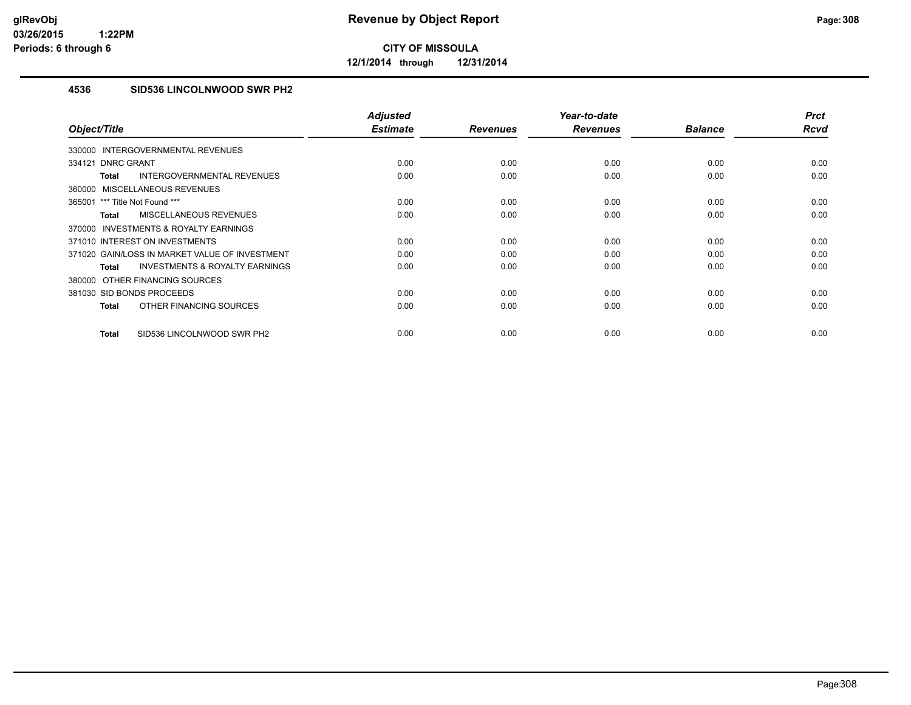**12/1/2014 through 12/31/2014**

### **4536 SID536 LINCOLNWOOD SWR PH2**

| Object/Title                                              | <b>Adjusted</b><br><b>Estimate</b> | <b>Revenues</b> | Year-to-date<br><b>Revenues</b> | <b>Balance</b> | <b>Prct</b><br><b>Rcvd</b> |
|-----------------------------------------------------------|------------------------------------|-----------------|---------------------------------|----------------|----------------------------|
| 330000 INTERGOVERNMENTAL REVENUES                         |                                    |                 |                                 |                |                            |
| 334121 DNRC GRANT                                         | 0.00                               | 0.00            | 0.00                            | 0.00           | 0.00                       |
| INTERGOVERNMENTAL REVENUES<br><b>Total</b>                | 0.00                               | 0.00            | 0.00                            | 0.00           | 0.00                       |
| 360000 MISCELLANEOUS REVENUES                             |                                    |                 |                                 |                |                            |
| 365001 *** Title Not Found ***                            | 0.00                               | 0.00            | 0.00                            | 0.00           | 0.00                       |
| <b>MISCELLANEOUS REVENUES</b><br><b>Total</b>             | 0.00                               | 0.00            | 0.00                            | 0.00           | 0.00                       |
| 370000 INVESTMENTS & ROYALTY EARNINGS                     |                                    |                 |                                 |                |                            |
| 371010 INTEREST ON INVESTMENTS                            | 0.00                               | 0.00            | 0.00                            | 0.00           | 0.00                       |
| 371020 GAIN/LOSS IN MARKET VALUE OF INVESTMENT            | 0.00                               | 0.00            | 0.00                            | 0.00           | 0.00                       |
| <b>INVESTMENTS &amp; ROYALTY EARNINGS</b><br><b>Total</b> | 0.00                               | 0.00            | 0.00                            | 0.00           | 0.00                       |
| 380000 OTHER FINANCING SOURCES                            |                                    |                 |                                 |                |                            |
| 381030 SID BONDS PROCEEDS                                 | 0.00                               | 0.00            | 0.00                            | 0.00           | 0.00                       |
| OTHER FINANCING SOURCES<br><b>Total</b>                   | 0.00                               | 0.00            | 0.00                            | 0.00           | 0.00                       |
| SID536 LINCOLNWOOD SWR PH2<br><b>Total</b>                | 0.00                               | 0.00            | 0.00                            | 0.00           | 0.00                       |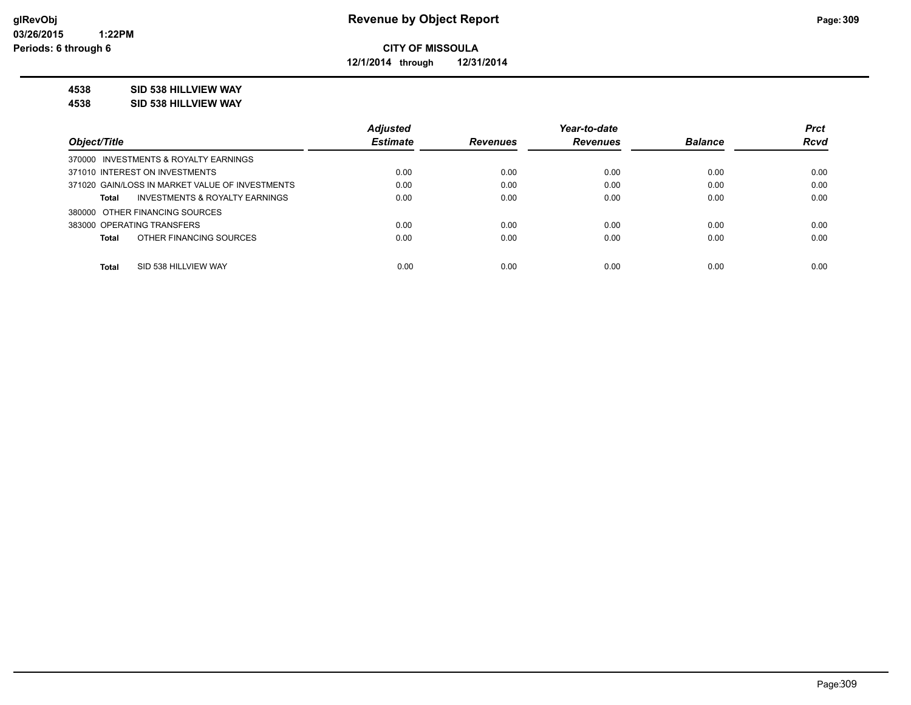**12/1/2014 through 12/31/2014**

### **4538 SID 538 HILLVIEW WAY**

**4538 SID 538 HILLVIEW WAY**

|                                                    | <b>Adjusted</b> |                 | Year-to-date    |                | <b>Prct</b> |
|----------------------------------------------------|-----------------|-----------------|-----------------|----------------|-------------|
| Object/Title                                       | <b>Estimate</b> | <b>Revenues</b> | <b>Revenues</b> | <b>Balance</b> | <b>Rcvd</b> |
| 370000 INVESTMENTS & ROYALTY EARNINGS              |                 |                 |                 |                |             |
| 371010 INTEREST ON INVESTMENTS                     | 0.00            | 0.00            | 0.00            | 0.00           | 0.00        |
| 371020 GAIN/LOSS IN MARKET VALUE OF INVESTMENTS    | 0.00            | 0.00            | 0.00            | 0.00           | 0.00        |
| <b>INVESTMENTS &amp; ROYALTY EARNINGS</b><br>Total | 0.00            | 0.00            | 0.00            | 0.00           | 0.00        |
| 380000 OTHER FINANCING SOURCES                     |                 |                 |                 |                |             |
| 383000 OPERATING TRANSFERS                         | 0.00            | 0.00            | 0.00            | 0.00           | 0.00        |
| OTHER FINANCING SOURCES<br>Total                   | 0.00            | 0.00            | 0.00            | 0.00           | 0.00        |
|                                                    |                 |                 |                 |                |             |
| Total<br>SID 538 HILLVIEW WAY                      | 0.00            | 0.00            | 0.00            | 0.00           | 0.00        |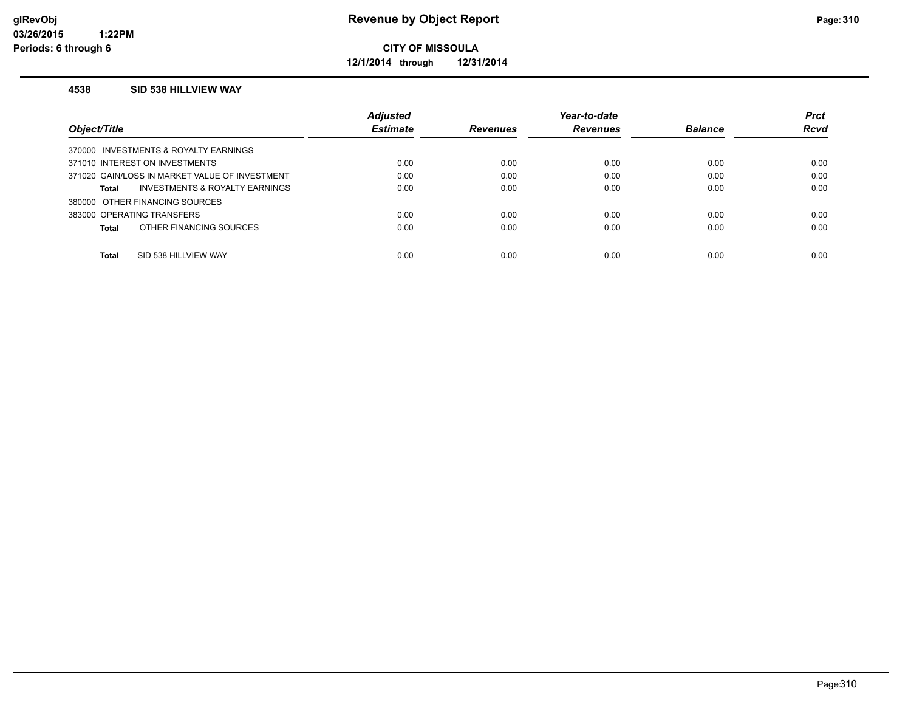**12/1/2014 through 12/31/2014**

### **4538 SID 538 HILLVIEW WAY**

|              |                                                | <b>Adjusted</b> |                 | Year-to-date    |                | <b>Prct</b> |
|--------------|------------------------------------------------|-----------------|-----------------|-----------------|----------------|-------------|
| Object/Title |                                                | <b>Estimate</b> | <b>Revenues</b> | <b>Revenues</b> | <b>Balance</b> | <b>Rcvd</b> |
|              | 370000 INVESTMENTS & ROYALTY EARNINGS          |                 |                 |                 |                |             |
|              | 371010 INTEREST ON INVESTMENTS                 | 0.00            | 0.00            | 0.00            | 0.00           | 0.00        |
|              | 371020 GAIN/LOSS IN MARKET VALUE OF INVESTMENT | 0.00            | 0.00            | 0.00            | 0.00           | 0.00        |
| Total        | INVESTMENTS & ROYALTY EARNINGS                 | 0.00            | 0.00            | 0.00            | 0.00           | 0.00        |
|              | 380000 OTHER FINANCING SOURCES                 |                 |                 |                 |                |             |
|              | 383000 OPERATING TRANSFERS                     | 0.00            | 0.00            | 0.00            | 0.00           | 0.00        |
| Total        | OTHER FINANCING SOURCES                        | 0.00            | 0.00            | 0.00            | 0.00           | 0.00        |
| <b>Total</b> | SID 538 HILLVIEW WAY                           | 0.00            | 0.00            | 0.00            | 0.00           | 0.00        |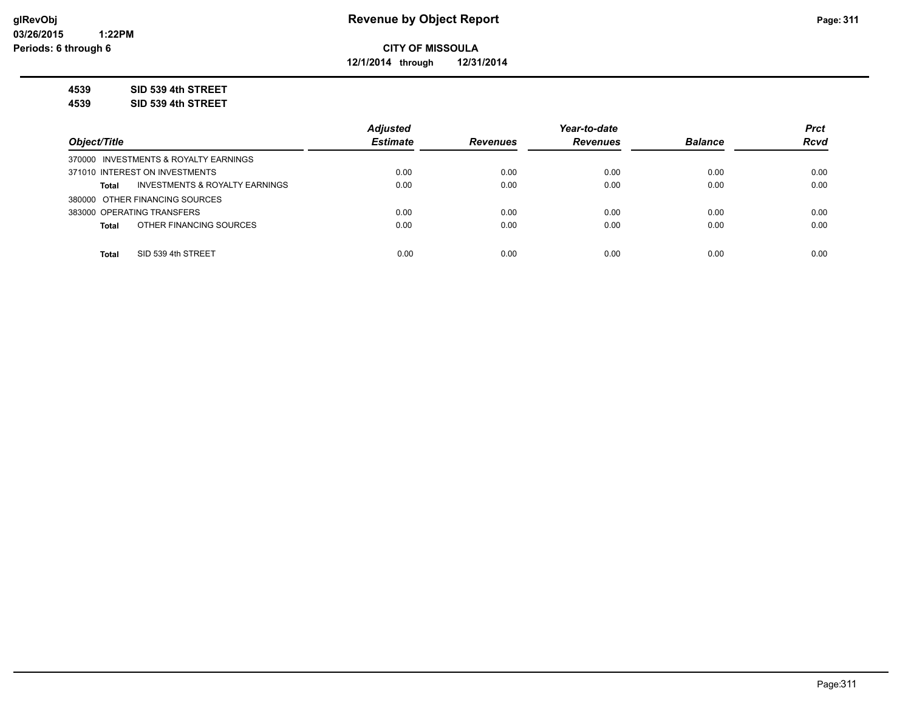**12/1/2014 through 12/31/2014**

**4539 SID 539 4th STREET**

**4539 SID 539 4th STREET**

|                                                           | <b>Adiusted</b> |                 | Year-to-date    |                | <b>Prct</b> |
|-----------------------------------------------------------|-----------------|-----------------|-----------------|----------------|-------------|
| Object/Title                                              | <b>Estimate</b> | <b>Revenues</b> | <b>Revenues</b> | <b>Balance</b> | <b>Rcvd</b> |
| 370000 INVESTMENTS & ROYALTY EARNINGS                     |                 |                 |                 |                |             |
| 371010 INTEREST ON INVESTMENTS                            | 0.00            | 0.00            | 0.00            | 0.00           | 0.00        |
| <b>INVESTMENTS &amp; ROYALTY EARNINGS</b><br><b>Total</b> | 0.00            | 0.00            | 0.00            | 0.00           | 0.00        |
| 380000 OTHER FINANCING SOURCES                            |                 |                 |                 |                |             |
| 383000 OPERATING TRANSFERS                                | 0.00            | 0.00            | 0.00            | 0.00           | 0.00        |
| OTHER FINANCING SOURCES<br><b>Total</b>                   | 0.00            | 0.00            | 0.00            | 0.00           | 0.00        |
|                                                           |                 |                 |                 |                |             |
| SID 539 4th STREET<br><b>Total</b>                        | 0.00            | 0.00            | 0.00            | 0.00           | 0.00        |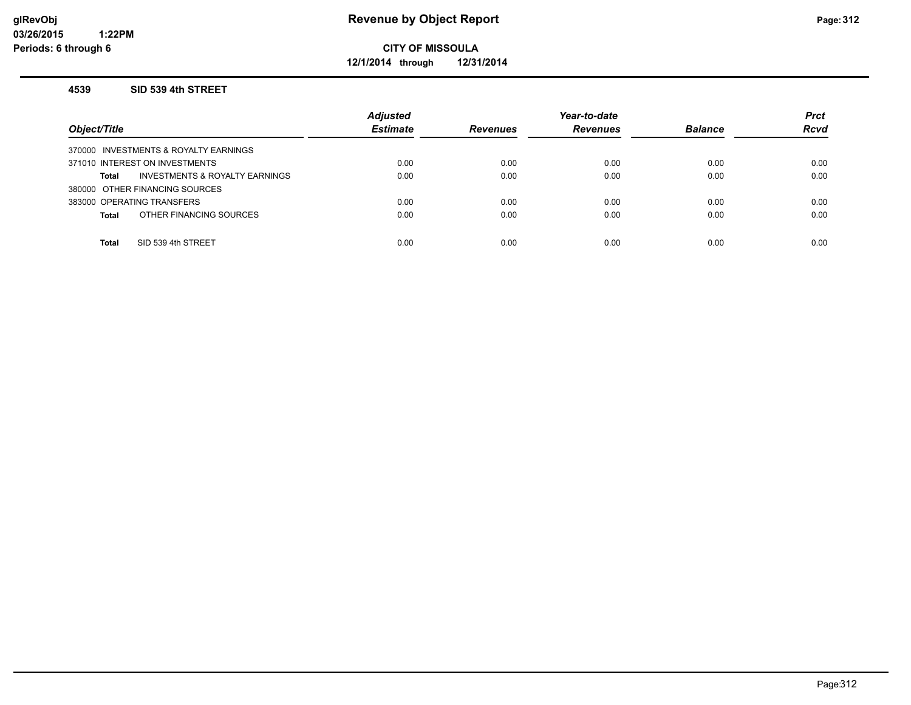**12/1/2014 through 12/31/2014**

#### **4539 SID 539 4th STREET**

| Object/Title                                   | <b>Adjusted</b><br><b>Estimate</b> | <b>Revenues</b> | Year-to-date<br><b>Revenues</b> | <b>Balance</b> | <b>Prct</b><br><b>Rcvd</b> |
|------------------------------------------------|------------------------------------|-----------------|---------------------------------|----------------|----------------------------|
| 370000 INVESTMENTS & ROYALTY EARNINGS          |                                    |                 |                                 |                |                            |
| 371010 INTEREST ON INVESTMENTS                 | 0.00                               | 0.00            | 0.00                            | 0.00           | 0.00                       |
| INVESTMENTS & ROYALTY EARNINGS<br><b>Total</b> | 0.00                               | 0.00            | 0.00                            | 0.00           | 0.00                       |
| 380000 OTHER FINANCING SOURCES                 |                                    |                 |                                 |                |                            |
| 383000 OPERATING TRANSFERS                     | 0.00                               | 0.00            | 0.00                            | 0.00           | 0.00                       |
| OTHER FINANCING SOURCES<br><b>Total</b>        | 0.00                               | 0.00            | 0.00                            | 0.00           | 0.00                       |
|                                                |                                    |                 |                                 |                |                            |
| SID 539 4th STREET<br><b>Total</b>             | 0.00                               | 0.00            | 0.00                            | 0.00           | 0.00                       |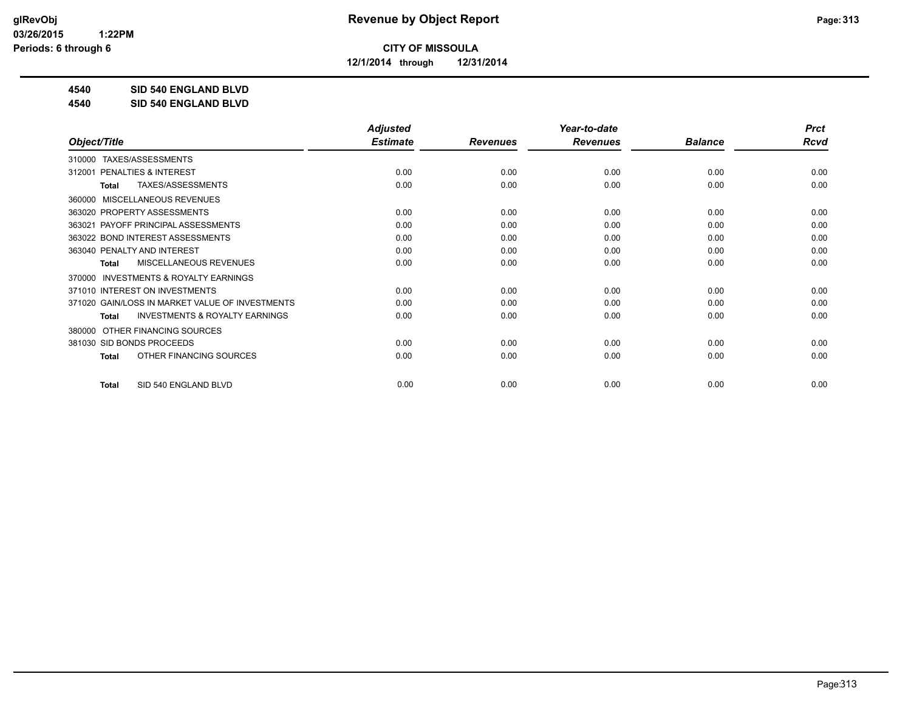**12/1/2014 through 12/31/2014**

**4540 SID 540 ENGLAND BLVD**

**4540 SID 540 ENGLAND BLVD**

|                                                           | <b>Adjusted</b> |                 | Year-to-date    |                | <b>Prct</b> |
|-----------------------------------------------------------|-----------------|-----------------|-----------------|----------------|-------------|
| Object/Title                                              | <b>Estimate</b> | <b>Revenues</b> | <b>Revenues</b> | <b>Balance</b> | Rcvd        |
| TAXES/ASSESSMENTS<br>310000                               |                 |                 |                 |                |             |
| <b>PENALTIES &amp; INTEREST</b><br>312001                 | 0.00            | 0.00            | 0.00            | 0.00           | 0.00        |
| TAXES/ASSESSMENTS<br><b>Total</b>                         | 0.00            | 0.00            | 0.00            | 0.00           | 0.00        |
| MISCELLANEOUS REVENUES<br>360000                          |                 |                 |                 |                |             |
| 363020 PROPERTY ASSESSMENTS                               | 0.00            | 0.00            | 0.00            | 0.00           | 0.00        |
| 363021 PAYOFF PRINCIPAL ASSESSMENTS                       | 0.00            | 0.00            | 0.00            | 0.00           | 0.00        |
| 363022 BOND INTEREST ASSESSMENTS                          | 0.00            | 0.00            | 0.00            | 0.00           | 0.00        |
| 363040 PENALTY AND INTEREST                               | 0.00            | 0.00            | 0.00            | 0.00           | 0.00        |
| <b>MISCELLANEOUS REVENUES</b><br><b>Total</b>             | 0.00            | 0.00            | 0.00            | 0.00           | 0.00        |
| <b>INVESTMENTS &amp; ROYALTY EARNINGS</b><br>370000       |                 |                 |                 |                |             |
| 371010 INTEREST ON INVESTMENTS                            | 0.00            | 0.00            | 0.00            | 0.00           | 0.00        |
| 371020 GAIN/LOSS IN MARKET VALUE OF INVESTMENTS           | 0.00            | 0.00            | 0.00            | 0.00           | 0.00        |
| <b>INVESTMENTS &amp; ROYALTY EARNINGS</b><br><b>Total</b> | 0.00            | 0.00            | 0.00            | 0.00           | 0.00        |
| OTHER FINANCING SOURCES<br>380000                         |                 |                 |                 |                |             |
| 381030 SID BONDS PROCEEDS                                 | 0.00            | 0.00            | 0.00            | 0.00           | 0.00        |
| OTHER FINANCING SOURCES<br><b>Total</b>                   | 0.00            | 0.00            | 0.00            | 0.00           | 0.00        |
|                                                           |                 |                 |                 |                |             |
| SID 540 ENGLAND BLVD<br><b>Total</b>                      | 0.00            | 0.00            | 0.00            | 0.00           | 0.00        |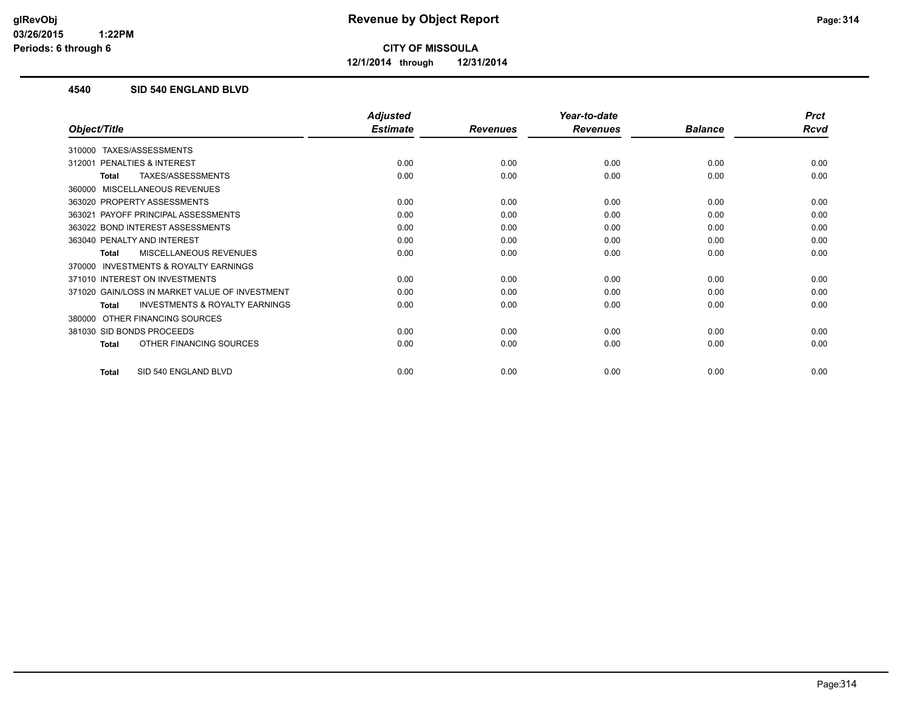**12/1/2014 through 12/31/2014**

### **4540 SID 540 ENGLAND BLVD**

|                                                           | <b>Adjusted</b> |                 | Year-to-date    |                | <b>Prct</b> |
|-----------------------------------------------------------|-----------------|-----------------|-----------------|----------------|-------------|
| Object/Title                                              | <b>Estimate</b> | <b>Revenues</b> | <b>Revenues</b> | <b>Balance</b> | <b>Rcvd</b> |
| TAXES/ASSESSMENTS<br>310000                               |                 |                 |                 |                |             |
| <b>PENALTIES &amp; INTEREST</b><br>312001                 | 0.00            | 0.00            | 0.00            | 0.00           | 0.00        |
| TAXES/ASSESSMENTS<br>Total                                | 0.00            | 0.00            | 0.00            | 0.00           | 0.00        |
| MISCELLANEOUS REVENUES<br>360000                          |                 |                 |                 |                |             |
| 363020 PROPERTY ASSESSMENTS                               | 0.00            | 0.00            | 0.00            | 0.00           | 0.00        |
| PAYOFF PRINCIPAL ASSESSMENTS<br>363021                    | 0.00            | 0.00            | 0.00            | 0.00           | 0.00        |
| 363022 BOND INTEREST ASSESSMENTS                          | 0.00            | 0.00            | 0.00            | 0.00           | 0.00        |
| 363040 PENALTY AND INTEREST                               | 0.00            | 0.00            | 0.00            | 0.00           | 0.00        |
| <b>MISCELLANEOUS REVENUES</b><br>Total                    | 0.00            | 0.00            | 0.00            | 0.00           | 0.00        |
| INVESTMENTS & ROYALTY EARNINGS<br>370000                  |                 |                 |                 |                |             |
| 371010 INTEREST ON INVESTMENTS                            | 0.00            | 0.00            | 0.00            | 0.00           | 0.00        |
| 371020 GAIN/LOSS IN MARKET VALUE OF INVESTMENT            | 0.00            | 0.00            | 0.00            | 0.00           | 0.00        |
| <b>INVESTMENTS &amp; ROYALTY EARNINGS</b><br><b>Total</b> | 0.00            | 0.00            | 0.00            | 0.00           | 0.00        |
| OTHER FINANCING SOURCES<br>380000                         |                 |                 |                 |                |             |
| 381030 SID BONDS PROCEEDS                                 | 0.00            | 0.00            | 0.00            | 0.00           | 0.00        |
| OTHER FINANCING SOURCES<br>Total                          | 0.00            | 0.00            | 0.00            | 0.00           | 0.00        |
| SID 540 ENGLAND BLVD<br><b>Total</b>                      | 0.00            | 0.00            | 0.00            | 0.00           | 0.00        |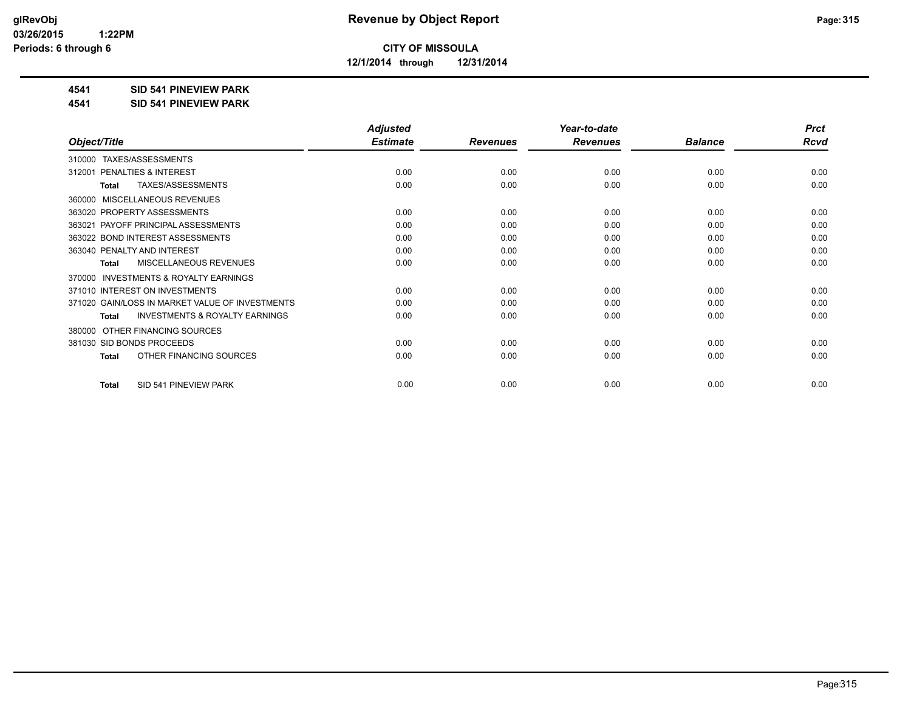**12/1/2014 through 12/31/2014**

### **4541 SID 541 PINEVIEW PARK**

**4541 SID 541 PINEVIEW PARK**

|                                                           | <b>Adjusted</b> |                 | Year-to-date    |                | <b>Prct</b> |
|-----------------------------------------------------------|-----------------|-----------------|-----------------|----------------|-------------|
| Object/Title                                              | <b>Estimate</b> | <b>Revenues</b> | <b>Revenues</b> | <b>Balance</b> | Rcvd        |
| TAXES/ASSESSMENTS<br>310000                               |                 |                 |                 |                |             |
| <b>PENALTIES &amp; INTEREST</b><br>312001                 | 0.00            | 0.00            | 0.00            | 0.00           | 0.00        |
| TAXES/ASSESSMENTS<br><b>Total</b>                         | 0.00            | 0.00            | 0.00            | 0.00           | 0.00        |
| MISCELLANEOUS REVENUES<br>360000                          |                 |                 |                 |                |             |
| 363020 PROPERTY ASSESSMENTS                               | 0.00            | 0.00            | 0.00            | 0.00           | 0.00        |
| 363021 PAYOFF PRINCIPAL ASSESSMENTS                       | 0.00            | 0.00            | 0.00            | 0.00           | 0.00        |
| 363022 BOND INTEREST ASSESSMENTS                          | 0.00            | 0.00            | 0.00            | 0.00           | 0.00        |
| 363040 PENALTY AND INTEREST                               | 0.00            | 0.00            | 0.00            | 0.00           | 0.00        |
| <b>MISCELLANEOUS REVENUES</b><br><b>Total</b>             | 0.00            | 0.00            | 0.00            | 0.00           | 0.00        |
| <b>INVESTMENTS &amp; ROYALTY EARNINGS</b><br>370000       |                 |                 |                 |                |             |
| 371010 INTEREST ON INVESTMENTS                            | 0.00            | 0.00            | 0.00            | 0.00           | 0.00        |
| 371020 GAIN/LOSS IN MARKET VALUE OF INVESTMENTS           | 0.00            | 0.00            | 0.00            | 0.00           | 0.00        |
| <b>INVESTMENTS &amp; ROYALTY EARNINGS</b><br><b>Total</b> | 0.00            | 0.00            | 0.00            | 0.00           | 0.00        |
| OTHER FINANCING SOURCES<br>380000                         |                 |                 |                 |                |             |
| 381030 SID BONDS PROCEEDS                                 | 0.00            | 0.00            | 0.00            | 0.00           | 0.00        |
| OTHER FINANCING SOURCES<br><b>Total</b>                   | 0.00            | 0.00            | 0.00            | 0.00           | 0.00        |
|                                                           |                 |                 |                 |                |             |
| SID 541 PINEVIEW PARK<br><b>Total</b>                     | 0.00            | 0.00            | 0.00            | 0.00           | 0.00        |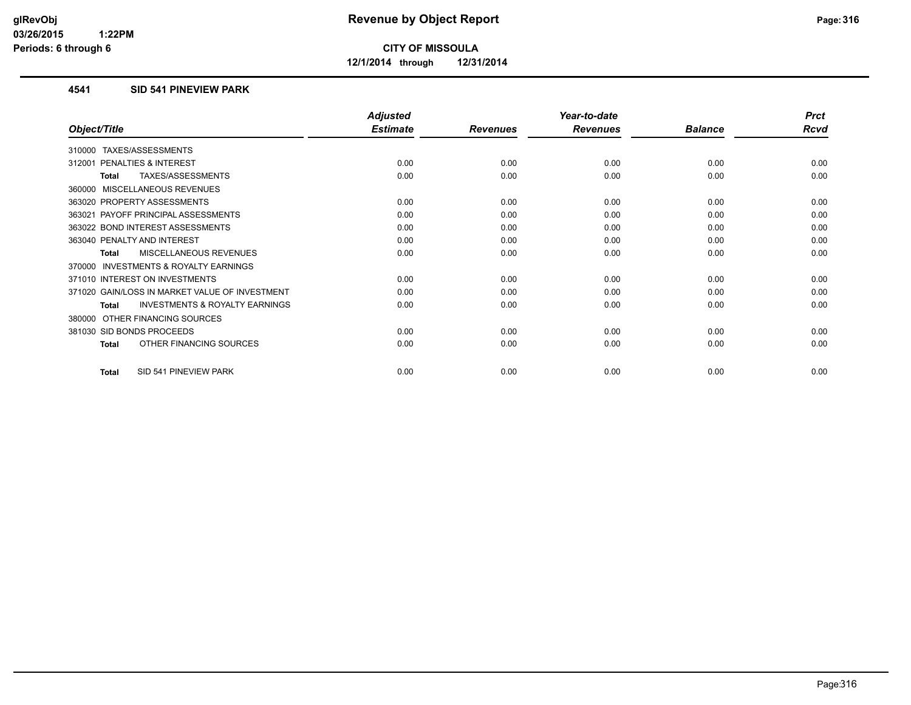**12/1/2014 through 12/31/2014**

### **4541 SID 541 PINEVIEW PARK**

|                                                           | <b>Adjusted</b> |                 | Year-to-date    |                | <b>Prct</b> |
|-----------------------------------------------------------|-----------------|-----------------|-----------------|----------------|-------------|
| Object/Title                                              | <b>Estimate</b> | <b>Revenues</b> | <b>Revenues</b> | <b>Balance</b> | <b>Rcvd</b> |
| TAXES/ASSESSMENTS<br>310000                               |                 |                 |                 |                |             |
| 312001 PENALTIES & INTEREST                               | 0.00            | 0.00            | 0.00            | 0.00           | 0.00        |
| TAXES/ASSESSMENTS<br><b>Total</b>                         | 0.00            | 0.00            | 0.00            | 0.00           | 0.00        |
| <b>MISCELLANEOUS REVENUES</b><br>360000                   |                 |                 |                 |                |             |
| 363020 PROPERTY ASSESSMENTS                               | 0.00            | 0.00            | 0.00            | 0.00           | 0.00        |
| 363021 PAYOFF PRINCIPAL ASSESSMENTS                       | 0.00            | 0.00            | 0.00            | 0.00           | 0.00        |
| 363022 BOND INTEREST ASSESSMENTS                          | 0.00            | 0.00            | 0.00            | 0.00           | 0.00        |
| 363040 PENALTY AND INTEREST                               | 0.00            | 0.00            | 0.00            | 0.00           | 0.00        |
| <b>MISCELLANEOUS REVENUES</b><br><b>Total</b>             | 0.00            | 0.00            | 0.00            | 0.00           | 0.00        |
| <b>INVESTMENTS &amp; ROYALTY EARNINGS</b><br>370000       |                 |                 |                 |                |             |
| 371010 INTEREST ON INVESTMENTS                            | 0.00            | 0.00            | 0.00            | 0.00           | 0.00        |
| 371020 GAIN/LOSS IN MARKET VALUE OF INVESTMENT            | 0.00            | 0.00            | 0.00            | 0.00           | 0.00        |
| <b>INVESTMENTS &amp; ROYALTY EARNINGS</b><br><b>Total</b> | 0.00            | 0.00            | 0.00            | 0.00           | 0.00        |
| OTHER FINANCING SOURCES<br>380000                         |                 |                 |                 |                |             |
| 381030 SID BONDS PROCEEDS                                 | 0.00            | 0.00            | 0.00            | 0.00           | 0.00        |
| OTHER FINANCING SOURCES<br><b>Total</b>                   | 0.00            | 0.00            | 0.00            | 0.00           | 0.00        |
| SID 541 PINEVIEW PARK<br><b>Total</b>                     | 0.00            | 0.00            | 0.00            | 0.00           | 0.00        |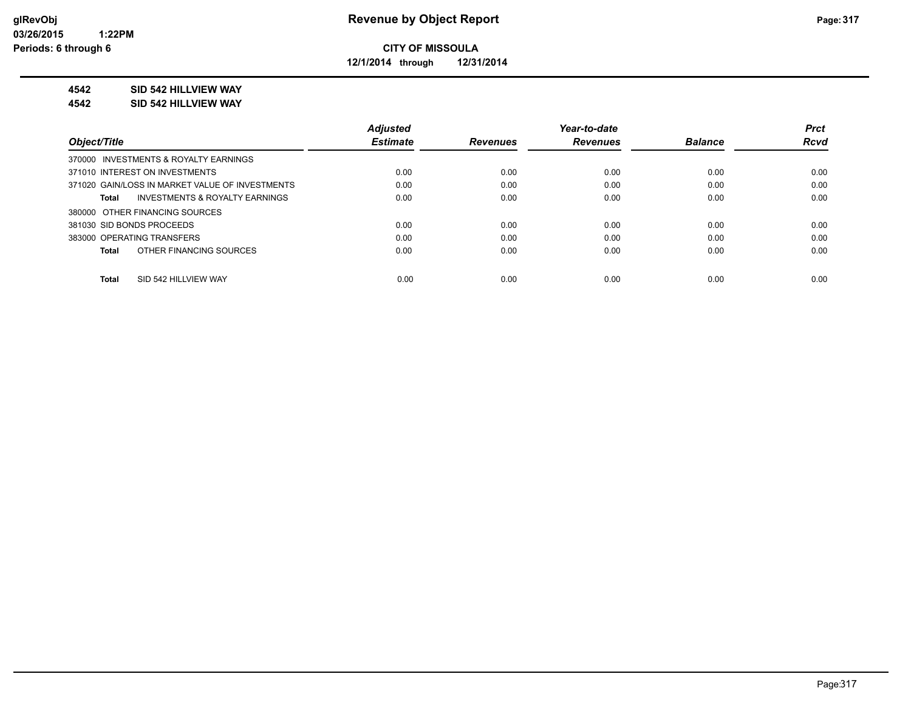**12/1/2014 through 12/31/2014**

### **4542 SID 542 HILLVIEW WAY**

**4542 SID 542 HILLVIEW WAY**

|                                                    | <b>Adjusted</b> |                 | Year-to-date    |                | <b>Prct</b> |
|----------------------------------------------------|-----------------|-----------------|-----------------|----------------|-------------|
| Object/Title                                       | <b>Estimate</b> | <b>Revenues</b> | <b>Revenues</b> | <b>Balance</b> | <b>Rcvd</b> |
| 370000 INVESTMENTS & ROYALTY EARNINGS              |                 |                 |                 |                |             |
| 371010 INTEREST ON INVESTMENTS                     | 0.00            | 0.00            | 0.00            | 0.00           | 0.00        |
| 371020 GAIN/LOSS IN MARKET VALUE OF INVESTMENTS    | 0.00            | 0.00            | 0.00            | 0.00           | 0.00        |
| <b>INVESTMENTS &amp; ROYALTY EARNINGS</b><br>Total | 0.00            | 0.00            | 0.00            | 0.00           | 0.00        |
| 380000 OTHER FINANCING SOURCES                     |                 |                 |                 |                |             |
| 381030 SID BONDS PROCEEDS                          | 0.00            | 0.00            | 0.00            | 0.00           | 0.00        |
| 383000 OPERATING TRANSFERS                         | 0.00            | 0.00            | 0.00            | 0.00           | 0.00        |
| OTHER FINANCING SOURCES<br>Total                   | 0.00            | 0.00            | 0.00            | 0.00           | 0.00        |
|                                                    |                 |                 |                 |                |             |
| SID 542 HILLVIEW WAY<br>Total                      | 0.00            | 0.00            | 0.00            | 0.00           | 0.00        |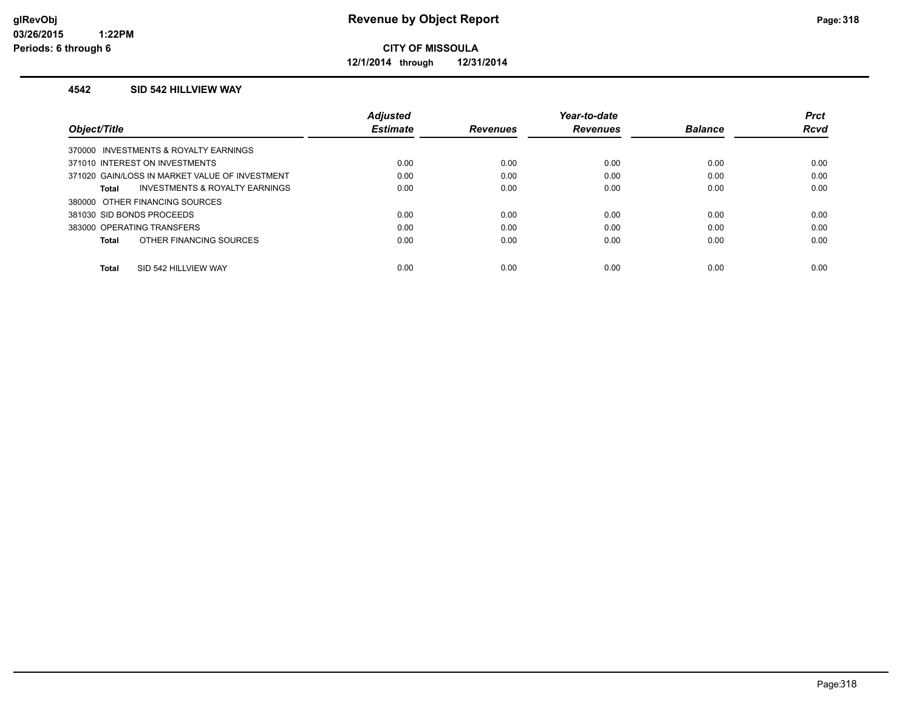**12/1/2014 through 12/31/2014**

### **4542 SID 542 HILLVIEW WAY**

|                                                           | <b>Adjusted</b> |                 | Year-to-date    |                | <b>Prct</b> |
|-----------------------------------------------------------|-----------------|-----------------|-----------------|----------------|-------------|
| Object/Title                                              | <b>Estimate</b> | <b>Revenues</b> | <b>Revenues</b> | <b>Balance</b> | <b>Rcvd</b> |
| 370000 INVESTMENTS & ROYALTY EARNINGS                     |                 |                 |                 |                |             |
| 371010 INTEREST ON INVESTMENTS                            | 0.00            | 0.00            | 0.00            | 0.00           | 0.00        |
| 371020 GAIN/LOSS IN MARKET VALUE OF INVESTMENT            | 0.00            | 0.00            | 0.00            | 0.00           | 0.00        |
| <b>INVESTMENTS &amp; ROYALTY EARNINGS</b><br><b>Total</b> | 0.00            | 0.00            | 0.00            | 0.00           | 0.00        |
| 380000 OTHER FINANCING SOURCES                            |                 |                 |                 |                |             |
| 381030 SID BONDS PROCEEDS                                 | 0.00            | 0.00            | 0.00            | 0.00           | 0.00        |
| 383000 OPERATING TRANSFERS                                | 0.00            | 0.00            | 0.00            | 0.00           | 0.00        |
| OTHER FINANCING SOURCES<br><b>Total</b>                   | 0.00            | 0.00            | 0.00            | 0.00           | 0.00        |
|                                                           |                 |                 |                 |                |             |
| SID 542 HILLVIEW WAY<br><b>Total</b>                      | 0.00            | 0.00            | 0.00            | 0.00           | 0.00        |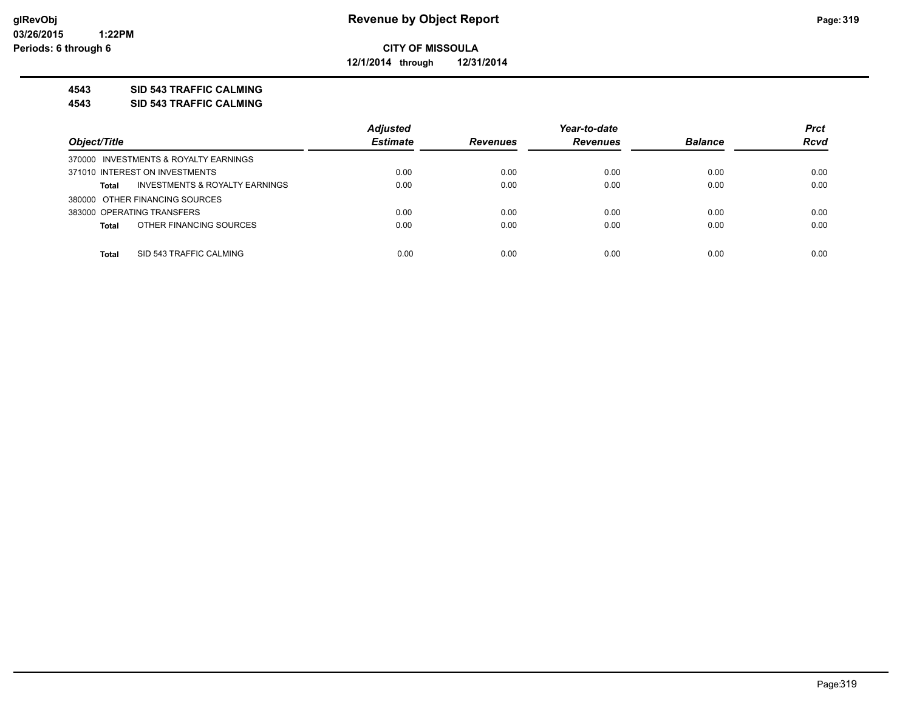**12/1/2014 through 12/31/2014**

### **4543 SID 543 TRAFFIC CALMING**

**4543 SID 543 TRAFFIC CALMING**

|                                                | <b>Adjusted</b> |                 | Year-to-date    |                | <b>Prct</b> |
|------------------------------------------------|-----------------|-----------------|-----------------|----------------|-------------|
| Object/Title                                   | <b>Estimate</b> | <b>Revenues</b> | <b>Revenues</b> | <b>Balance</b> | <b>Rcvd</b> |
| 370000 INVESTMENTS & ROYALTY EARNINGS          |                 |                 |                 |                |             |
| 371010 INTEREST ON INVESTMENTS                 | 0.00            | 0.00            | 0.00            | 0.00           | 0.00        |
| INVESTMENTS & ROYALTY EARNINGS<br><b>Total</b> | 0.00            | 0.00            | 0.00            | 0.00           | 0.00        |
| 380000 OTHER FINANCING SOURCES                 |                 |                 |                 |                |             |
| 383000 OPERATING TRANSFERS                     | 0.00            | 0.00            | 0.00            | 0.00           | 0.00        |
| OTHER FINANCING SOURCES<br><b>Total</b>        | 0.00            | 0.00            | 0.00            | 0.00           | 0.00        |
|                                                |                 |                 |                 |                |             |
| SID 543 TRAFFIC CALMING<br><b>Total</b>        | 0.00            | 0.00            | 0.00            | 0.00           | 0.00        |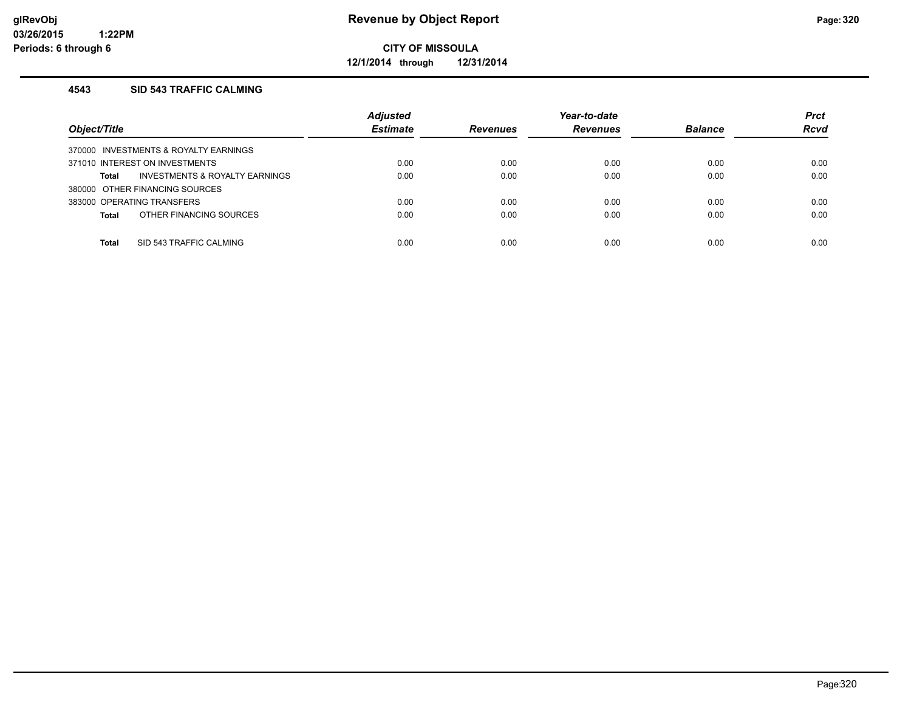**12/1/2014 through 12/31/2014**

### **4543 SID 543 TRAFFIC CALMING**

| Object/Title                            | <b>Adjusted</b><br><b>Estimate</b> | <b>Revenues</b> | Year-to-date<br><b>Revenues</b> | <b>Balance</b> | <b>Prct</b><br><b>Rcvd</b> |
|-----------------------------------------|------------------------------------|-----------------|---------------------------------|----------------|----------------------------|
| 370000 INVESTMENTS & ROYALTY EARNINGS   |                                    |                 |                                 |                |                            |
| 371010 INTEREST ON INVESTMENTS          | 0.00                               | 0.00            | 0.00                            | 0.00           | 0.00                       |
| INVESTMENTS & ROYALTY EARNINGS<br>Total | 0.00                               | 0.00            | 0.00                            | 0.00           | 0.00                       |
| 380000 OTHER FINANCING SOURCES          |                                    |                 |                                 |                |                            |
| 383000 OPERATING TRANSFERS              | 0.00                               | 0.00            | 0.00                            | 0.00           | 0.00                       |
| OTHER FINANCING SOURCES<br><b>Total</b> | 0.00                               | 0.00            | 0.00                            | 0.00           | 0.00                       |
|                                         |                                    |                 |                                 |                |                            |
| SID 543 TRAFFIC CALMING<br><b>Total</b> | 0.00                               | 0.00            | 0.00                            | 0.00           | 0.00                       |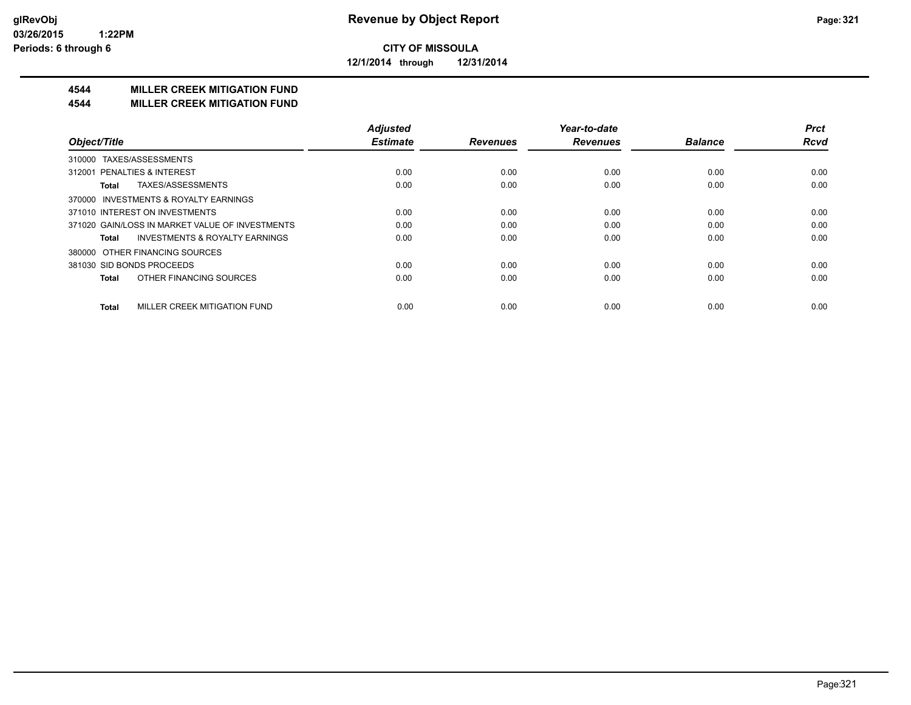**12/1/2014 through 12/31/2014**

## **4544 MILLER CREEK MITIGATION FUND**

#### **4544 MILLER CREEK MITIGATION FUND**

|                                                    | <b>Adjusted</b> |                 | Year-to-date    |                | <b>Prct</b> |
|----------------------------------------------------|-----------------|-----------------|-----------------|----------------|-------------|
| Object/Title                                       | <b>Estimate</b> | <b>Revenues</b> | <b>Revenues</b> | <b>Balance</b> | <b>Rcvd</b> |
| TAXES/ASSESSMENTS<br>310000                        |                 |                 |                 |                |             |
| 312001 PENALTIES & INTEREST                        | 0.00            | 0.00            | 0.00            | 0.00           | 0.00        |
| TAXES/ASSESSMENTS<br>Total                         | 0.00            | 0.00            | 0.00            | 0.00           | 0.00        |
| 370000 INVESTMENTS & ROYALTY EARNINGS              |                 |                 |                 |                |             |
| 371010 INTEREST ON INVESTMENTS                     | 0.00            | 0.00            | 0.00            | 0.00           | 0.00        |
| 371020 GAIN/LOSS IN MARKET VALUE OF INVESTMENTS    | 0.00            | 0.00            | 0.00            | 0.00           | 0.00        |
| <b>INVESTMENTS &amp; ROYALTY EARNINGS</b><br>Total | 0.00            | 0.00            | 0.00            | 0.00           | 0.00        |
| OTHER FINANCING SOURCES<br>380000                  |                 |                 |                 |                |             |
| 381030 SID BONDS PROCEEDS                          | 0.00            | 0.00            | 0.00            | 0.00           | 0.00        |
| OTHER FINANCING SOURCES<br><b>Total</b>            | 0.00            | 0.00            | 0.00            | 0.00           | 0.00        |
| MILLER CREEK MITIGATION FUND<br><b>Total</b>       | 0.00            | 0.00            | 0.00            | 0.00           | 0.00        |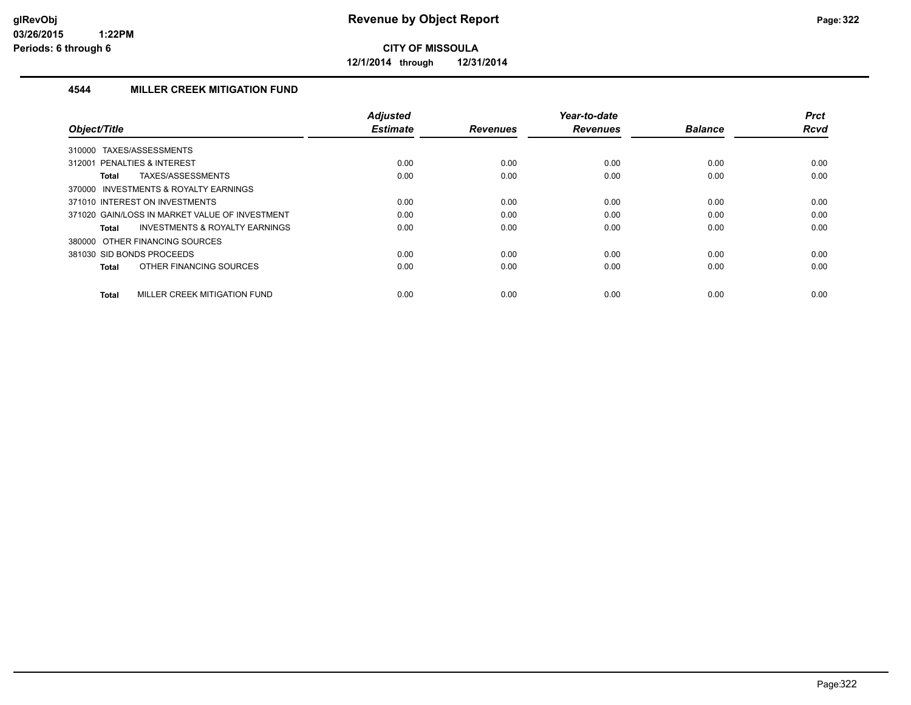**12/1/2014 through 12/31/2014**

### **4544 MILLER CREEK MITIGATION FUND**

|                                                    | <b>Adjusted</b> |                 | Year-to-date    |                | <b>Prct</b> |
|----------------------------------------------------|-----------------|-----------------|-----------------|----------------|-------------|
| Object/Title                                       | <b>Estimate</b> | <b>Revenues</b> | <b>Revenues</b> | <b>Balance</b> | <b>Rcvd</b> |
| TAXES/ASSESSMENTS<br>310000                        |                 |                 |                 |                |             |
| 312001 PENALTIES & INTEREST                        | 0.00            | 0.00            | 0.00            | 0.00           | 0.00        |
| TAXES/ASSESSMENTS<br><b>Total</b>                  | 0.00            | 0.00            | 0.00            | 0.00           | 0.00        |
| 370000 INVESTMENTS & ROYALTY EARNINGS              |                 |                 |                 |                |             |
| 371010 INTEREST ON INVESTMENTS                     | 0.00            | 0.00            | 0.00            | 0.00           | 0.00        |
| 371020 GAIN/LOSS IN MARKET VALUE OF INVESTMENT     | 0.00            | 0.00            | 0.00            | 0.00           | 0.00        |
| <b>INVESTMENTS &amp; ROYALTY EARNINGS</b><br>Total | 0.00            | 0.00            | 0.00            | 0.00           | 0.00        |
| 380000 OTHER FINANCING SOURCES                     |                 |                 |                 |                |             |
| 381030 SID BONDS PROCEEDS                          | 0.00            | 0.00            | 0.00            | 0.00           | 0.00        |
| OTHER FINANCING SOURCES<br><b>Total</b>            | 0.00            | 0.00            | 0.00            | 0.00           | 0.00        |
|                                                    |                 |                 |                 |                |             |
| MILLER CREEK MITIGATION FUND<br><b>Total</b>       | 0.00            | 0.00            | 0.00            | 0.00           | 0.00        |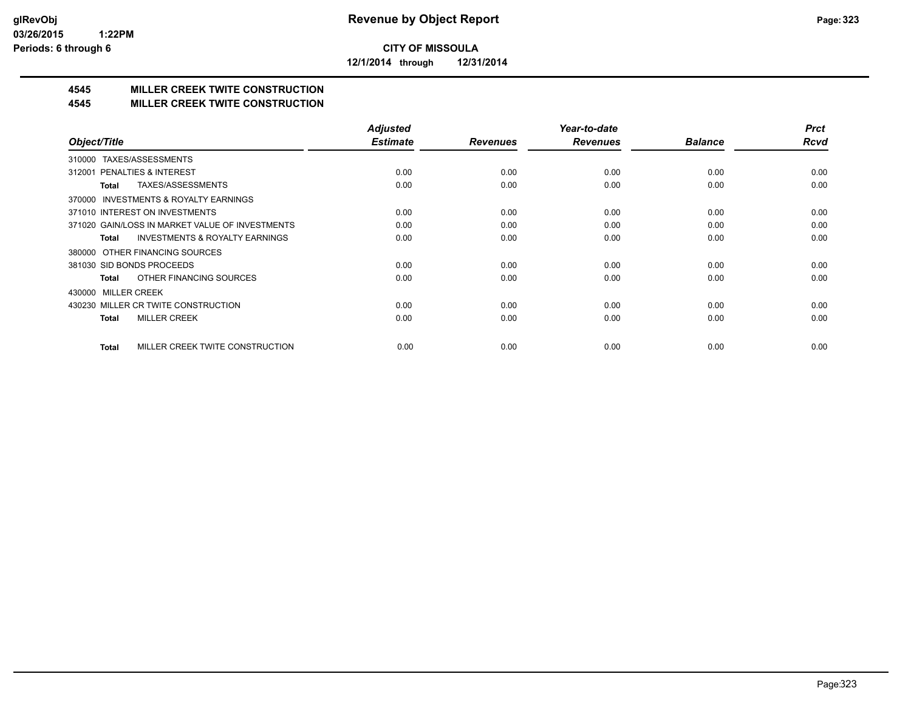**12/1/2014 through 12/31/2014**

# **4545 MILLER CREEK TWITE CONSTRUCTION**

### **4545 MILLER CREEK TWITE CONSTRUCTION**

|                                                     | <b>Adjusted</b> |                 | Year-to-date    |                | <b>Prct</b> |
|-----------------------------------------------------|-----------------|-----------------|-----------------|----------------|-------------|
| Object/Title                                        | <b>Estimate</b> | <b>Revenues</b> | <b>Revenues</b> | <b>Balance</b> | <b>Rcvd</b> |
| TAXES/ASSESSMENTS<br>310000                         |                 |                 |                 |                |             |
| 312001 PENALTIES & INTEREST                         | 0.00            | 0.00            | 0.00            | 0.00           | 0.00        |
| TAXES/ASSESSMENTS<br>Total                          | 0.00            | 0.00            | 0.00            | 0.00           | 0.00        |
| <b>INVESTMENTS &amp; ROYALTY EARNINGS</b><br>370000 |                 |                 |                 |                |             |
| 371010 INTEREST ON INVESTMENTS                      | 0.00            | 0.00            | 0.00            | 0.00           | 0.00        |
| 371020 GAIN/LOSS IN MARKET VALUE OF INVESTMENTS     | 0.00            | 0.00            | 0.00            | 0.00           | 0.00        |
| <b>INVESTMENTS &amp; ROYALTY EARNINGS</b><br>Total  | 0.00            | 0.00            | 0.00            | 0.00           | 0.00        |
| 380000 OTHER FINANCING SOURCES                      |                 |                 |                 |                |             |
| 381030 SID BONDS PROCEEDS                           | 0.00            | 0.00            | 0.00            | 0.00           | 0.00        |
| OTHER FINANCING SOURCES<br>Total                    | 0.00            | 0.00            | 0.00            | 0.00           | 0.00        |
| <b>MILLER CREEK</b><br>430000                       |                 |                 |                 |                |             |
| 430230 MILLER CR TWITE CONSTRUCTION                 | 0.00            | 0.00            | 0.00            | 0.00           | 0.00        |
| <b>MILLER CREEK</b><br>Total                        | 0.00            | 0.00            | 0.00            | 0.00           | 0.00        |
|                                                     |                 |                 |                 |                |             |
| MILLER CREEK TWITE CONSTRUCTION<br><b>Total</b>     | 0.00            | 0.00            | 0.00            | 0.00           | 0.00        |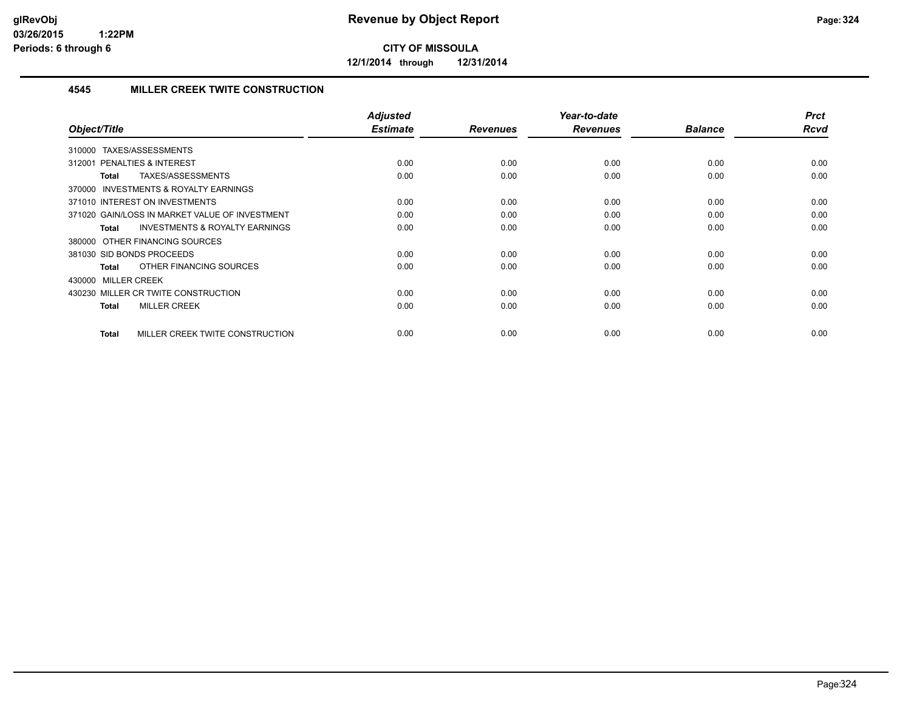**12/1/2014 through 12/31/2014**

### **4545 MILLER CREEK TWITE CONSTRUCTION**

| Object/Title                                              | Adjusted<br><b>Estimate</b> | <b>Revenues</b> | Year-to-date<br><b>Revenues</b> | <b>Balance</b> | <b>Prct</b><br>Rcvd |
|-----------------------------------------------------------|-----------------------------|-----------------|---------------------------------|----------------|---------------------|
|                                                           |                             |                 |                                 |                |                     |
| TAXES/ASSESSMENTS<br>310000                               |                             |                 |                                 |                |                     |
| PENALTIES & INTEREST<br>312001                            | 0.00                        | 0.00            | 0.00                            | 0.00           | 0.00                |
| TAXES/ASSESSMENTS<br>Total                                | 0.00                        | 0.00            | 0.00                            | 0.00           | 0.00                |
| 370000 INVESTMENTS & ROYALTY EARNINGS                     |                             |                 |                                 |                |                     |
| 371010 INTEREST ON INVESTMENTS                            | 0.00                        | 0.00            | 0.00                            | 0.00           | 0.00                |
| 371020 GAIN/LOSS IN MARKET VALUE OF INVESTMENT            | 0.00                        | 0.00            | 0.00                            | 0.00           | 0.00                |
| <b>INVESTMENTS &amp; ROYALTY EARNINGS</b><br><b>Total</b> | 0.00                        | 0.00            | 0.00                            | 0.00           | 0.00                |
| 380000 OTHER FINANCING SOURCES                            |                             |                 |                                 |                |                     |
| 381030 SID BONDS PROCEEDS                                 | 0.00                        | 0.00            | 0.00                            | 0.00           | 0.00                |
| OTHER FINANCING SOURCES<br><b>Total</b>                   | 0.00                        | 0.00            | 0.00                            | 0.00           | 0.00                |
| 430000 MILLER CREEK                                       |                             |                 |                                 |                |                     |
| 430230 MILLER CR TWITE CONSTRUCTION                       | 0.00                        | 0.00            | 0.00                            | 0.00           | 0.00                |
| <b>MILLER CREEK</b><br><b>Total</b>                       | 0.00                        | 0.00            | 0.00                            | 0.00           | 0.00                |
|                                                           |                             |                 |                                 |                |                     |
| MILLER CREEK TWITE CONSTRUCTION<br><b>Total</b>           | 0.00                        | 0.00            | 0.00                            | 0.00           | 0.00                |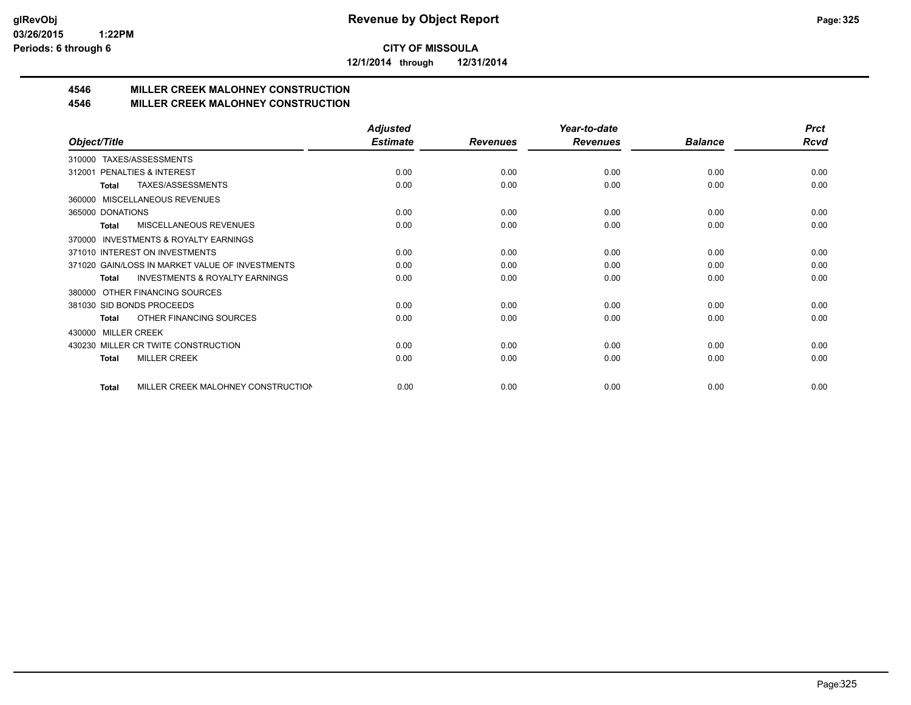**12/1/2014 through 12/31/2014**

# **4546 MILLER CREEK MALOHNEY CONSTRUCTION**

## **4546 MILLER CREEK MALOHNEY CONSTRUCTION**

|                                                           | <b>Adjusted</b> |                 | Year-to-date    |                | <b>Prct</b> |
|-----------------------------------------------------------|-----------------|-----------------|-----------------|----------------|-------------|
| Object/Title                                              | <b>Estimate</b> | <b>Revenues</b> | <b>Revenues</b> | <b>Balance</b> | Rcvd        |
| TAXES/ASSESSMENTS<br>310000                               |                 |                 |                 |                |             |
| PENALTIES & INTEREST<br>312001                            | 0.00            | 0.00            | 0.00            | 0.00           | 0.00        |
| TAXES/ASSESSMENTS<br>Total                                | 0.00            | 0.00            | 0.00            | 0.00           | 0.00        |
| MISCELLANEOUS REVENUES<br>360000                          |                 |                 |                 |                |             |
| 365000 DONATIONS                                          | 0.00            | 0.00            | 0.00            | 0.00           | 0.00        |
| <b>MISCELLANEOUS REVENUES</b><br><b>Total</b>             | 0.00            | 0.00            | 0.00            | 0.00           | 0.00        |
| <b>INVESTMENTS &amp; ROYALTY EARNINGS</b><br>370000       |                 |                 |                 |                |             |
| 371010 INTEREST ON INVESTMENTS                            | 0.00            | 0.00            | 0.00            | 0.00           | 0.00        |
| 371020 GAIN/LOSS IN MARKET VALUE OF INVESTMENTS           | 0.00            | 0.00            | 0.00            | 0.00           | 0.00        |
| <b>INVESTMENTS &amp; ROYALTY EARNINGS</b><br><b>Total</b> | 0.00            | 0.00            | 0.00            | 0.00           | 0.00        |
| OTHER FINANCING SOURCES<br>380000                         |                 |                 |                 |                |             |
| 381030 SID BONDS PROCEEDS                                 | 0.00            | 0.00            | 0.00            | 0.00           | 0.00        |
| OTHER FINANCING SOURCES<br>Total                          | 0.00            | 0.00            | 0.00            | 0.00           | 0.00        |
| <b>MILLER CREEK</b><br>430000                             |                 |                 |                 |                |             |
| 430230 MILLER CR TWITE CONSTRUCTION                       | 0.00            | 0.00            | 0.00            | 0.00           | 0.00        |
| <b>MILLER CREEK</b><br><b>Total</b>                       | 0.00            | 0.00            | 0.00            | 0.00           | 0.00        |
|                                                           |                 |                 |                 |                |             |
| MILLER CREEK MALOHNEY CONSTRUCTION<br>Total               | 0.00            | 0.00            | 0.00            | 0.00           | 0.00        |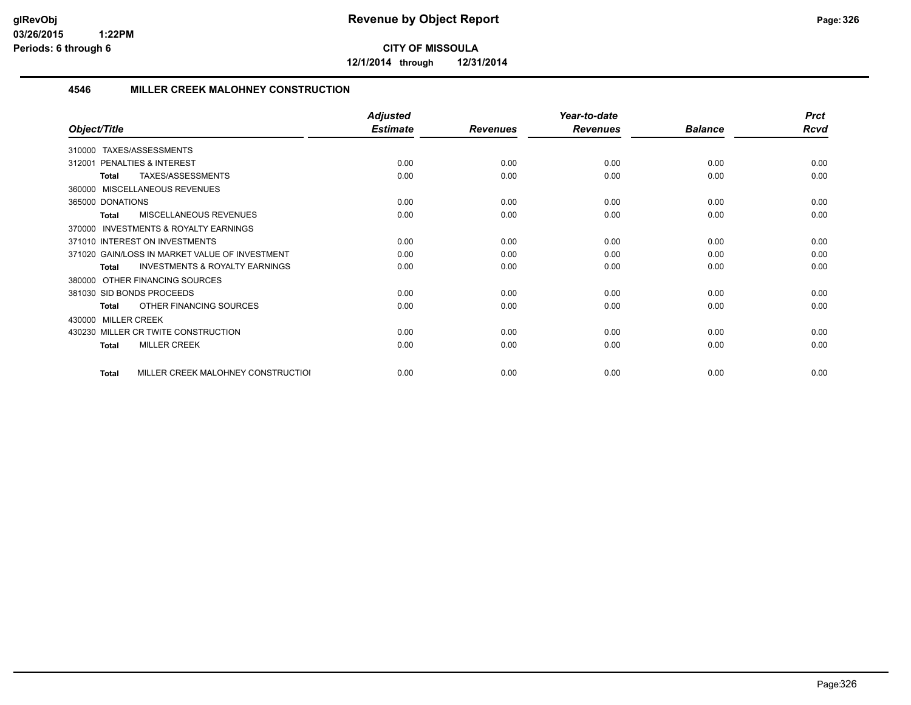**12/1/2014 through 12/31/2014**

#### **4546 MILLER CREEK MALOHNEY CONSTRUCTION**

|                                                           | <b>Adjusted</b> |                 | Year-to-date    |                | <b>Prct</b> |
|-----------------------------------------------------------|-----------------|-----------------|-----------------|----------------|-------------|
| Object/Title                                              | <b>Estimate</b> | <b>Revenues</b> | <b>Revenues</b> | <b>Balance</b> | <b>Rcvd</b> |
| TAXES/ASSESSMENTS<br>310000                               |                 |                 |                 |                |             |
| <b>PENALTIES &amp; INTEREST</b><br>312001                 | 0.00            | 0.00            | 0.00            | 0.00           | 0.00        |
| TAXES/ASSESSMENTS<br>Total                                | 0.00            | 0.00            | 0.00            | 0.00           | 0.00        |
| MISCELLANEOUS REVENUES<br>360000                          |                 |                 |                 |                |             |
| 365000 DONATIONS                                          | 0.00            | 0.00            | 0.00            | 0.00           | 0.00        |
| MISCELLANEOUS REVENUES<br><b>Total</b>                    | 0.00            | 0.00            | 0.00            | 0.00           | 0.00        |
| INVESTMENTS & ROYALTY EARNINGS<br>370000                  |                 |                 |                 |                |             |
| 371010 INTEREST ON INVESTMENTS                            | 0.00            | 0.00            | 0.00            | 0.00           | 0.00        |
| 371020 GAIN/LOSS IN MARKET VALUE OF INVESTMENT            | 0.00            | 0.00            | 0.00            | 0.00           | 0.00        |
| <b>INVESTMENTS &amp; ROYALTY EARNINGS</b><br><b>Total</b> | 0.00            | 0.00            | 0.00            | 0.00           | 0.00        |
| OTHER FINANCING SOURCES<br>380000                         |                 |                 |                 |                |             |
| 381030 SID BONDS PROCEEDS                                 | 0.00            | 0.00            | 0.00            | 0.00           | 0.00        |
| OTHER FINANCING SOURCES<br><b>Total</b>                   | 0.00            | 0.00            | 0.00            | 0.00           | 0.00        |
| <b>MILLER CREEK</b><br>430000                             |                 |                 |                 |                |             |
| MILLER CR TWITE CONSTRUCTION<br>430230                    | 0.00            | 0.00            | 0.00            | 0.00           | 0.00        |
| <b>MILLER CREEK</b><br>Total                              | 0.00            | 0.00            | 0.00            | 0.00           | 0.00        |
| MILLER CREEK MALOHNEY CONSTRUCTIOI<br><b>Total</b>        | 0.00            | 0.00            | 0.00            | 0.00           | 0.00        |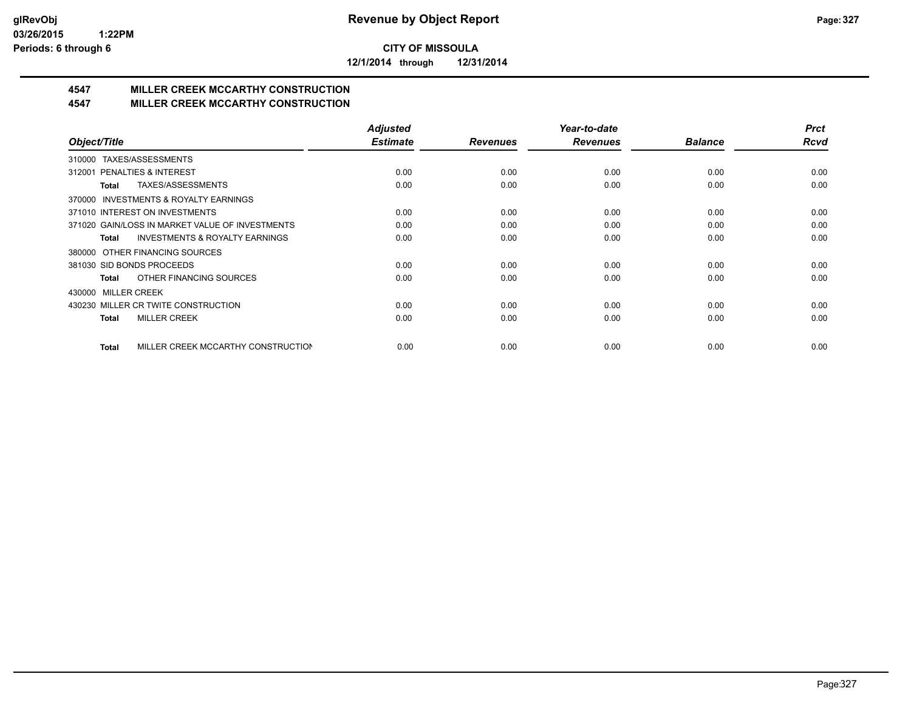**12/1/2014 through 12/31/2014**

# **4547 MILLER CREEK MCCARTHY CONSTRUCTION**

## **4547 MILLER CREEK MCCARTHY CONSTRUCTION**

|                                                     | <b>Adjusted</b> |                 | Year-to-date    |                | <b>Prct</b> |
|-----------------------------------------------------|-----------------|-----------------|-----------------|----------------|-------------|
| Object/Title                                        | <b>Estimate</b> | <b>Revenues</b> | <b>Revenues</b> | <b>Balance</b> | <b>Rcvd</b> |
| TAXES/ASSESSMENTS<br>310000                         |                 |                 |                 |                |             |
| PENALTIES & INTEREST<br>312001                      | 0.00            | 0.00            | 0.00            | 0.00           | 0.00        |
| <b>TAXES/ASSESSMENTS</b><br><b>Total</b>            | 0.00            | 0.00            | 0.00            | 0.00           | 0.00        |
| <b>INVESTMENTS &amp; ROYALTY EARNINGS</b><br>370000 |                 |                 |                 |                |             |
| 371010 INTEREST ON INVESTMENTS                      | 0.00            | 0.00            | 0.00            | 0.00           | 0.00        |
| 371020 GAIN/LOSS IN MARKET VALUE OF INVESTMENTS     | 0.00            | 0.00            | 0.00            | 0.00           | 0.00        |
| <b>INVESTMENTS &amp; ROYALTY EARNINGS</b><br>Total  | 0.00            | 0.00            | 0.00            | 0.00           | 0.00        |
| OTHER FINANCING SOURCES<br>380000                   |                 |                 |                 |                |             |
| 381030 SID BONDS PROCEEDS                           | 0.00            | 0.00            | 0.00            | 0.00           | 0.00        |
| OTHER FINANCING SOURCES<br><b>Total</b>             | 0.00            | 0.00            | 0.00            | 0.00           | 0.00        |
| <b>MILLER CREEK</b><br>430000                       |                 |                 |                 |                |             |
| 430230 MILLER CR TWITE CONSTRUCTION                 | 0.00            | 0.00            | 0.00            | 0.00           | 0.00        |
| <b>MILLER CREEK</b><br>Total                        | 0.00            | 0.00            | 0.00            | 0.00           | 0.00        |
|                                                     |                 |                 |                 |                |             |
| MILLER CREEK MCCARTHY CONSTRUCTION<br><b>Total</b>  | 0.00            | 0.00            | 0.00            | 0.00           | 0.00        |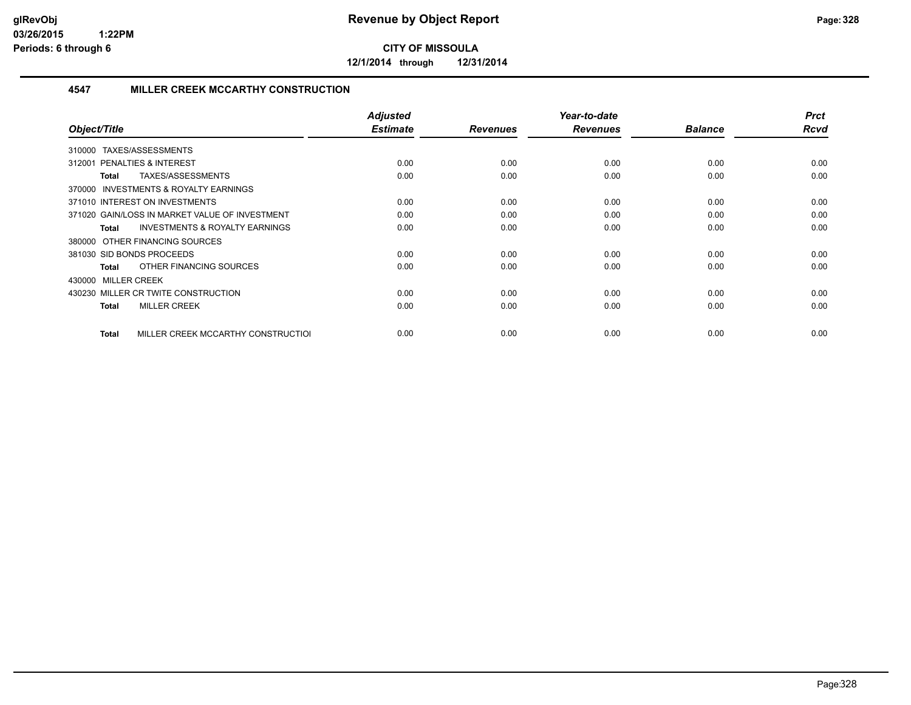**12/1/2014 through 12/31/2014**

#### **4547 MILLER CREEK MCCARTHY CONSTRUCTION**

| Object/Title                                              | <b>Adjusted</b><br><b>Estimate</b> | <b>Revenues</b> | Year-to-date<br><b>Revenues</b> | <b>Balance</b> | <b>Prct</b><br>Rcvd |
|-----------------------------------------------------------|------------------------------------|-----------------|---------------------------------|----------------|---------------------|
| TAXES/ASSESSMENTS<br>310000                               |                                    |                 |                                 |                |                     |
| <b>PENALTIES &amp; INTEREST</b><br>312001                 | 0.00                               | 0.00            | 0.00                            | 0.00           | 0.00                |
| TAXES/ASSESSMENTS<br>Total                                | 0.00                               | 0.00            | 0.00                            | 0.00           | 0.00                |
| <b>INVESTMENTS &amp; ROYALTY EARNINGS</b><br>370000       |                                    |                 |                                 |                |                     |
| 371010 INTEREST ON INVESTMENTS                            | 0.00                               | 0.00            | 0.00                            | 0.00           | 0.00                |
| 371020 GAIN/LOSS IN MARKET VALUE OF INVESTMENT            | 0.00                               | 0.00            | 0.00                            | 0.00           | 0.00                |
| <b>INVESTMENTS &amp; ROYALTY EARNINGS</b><br><b>Total</b> | 0.00                               | 0.00            | 0.00                            | 0.00           | 0.00                |
| 380000 OTHER FINANCING SOURCES                            |                                    |                 |                                 |                |                     |
| 381030 SID BONDS PROCEEDS                                 | 0.00                               | 0.00            | 0.00                            | 0.00           | 0.00                |
| OTHER FINANCING SOURCES<br>Total                          | 0.00                               | 0.00            | 0.00                            | 0.00           | 0.00                |
| 430000 MILLER CREEK                                       |                                    |                 |                                 |                |                     |
| 430230 MILLER CR TWITE CONSTRUCTION                       | 0.00                               | 0.00            | 0.00                            | 0.00           | 0.00                |
| <b>MILLER CREEK</b><br><b>Total</b>                       | 0.00                               | 0.00            | 0.00                            | 0.00           | 0.00                |
| MILLER CREEK MCCARTHY CONSTRUCTIOL<br>Total               | 0.00                               | 0.00            | 0.00                            | 0.00           | 0.00                |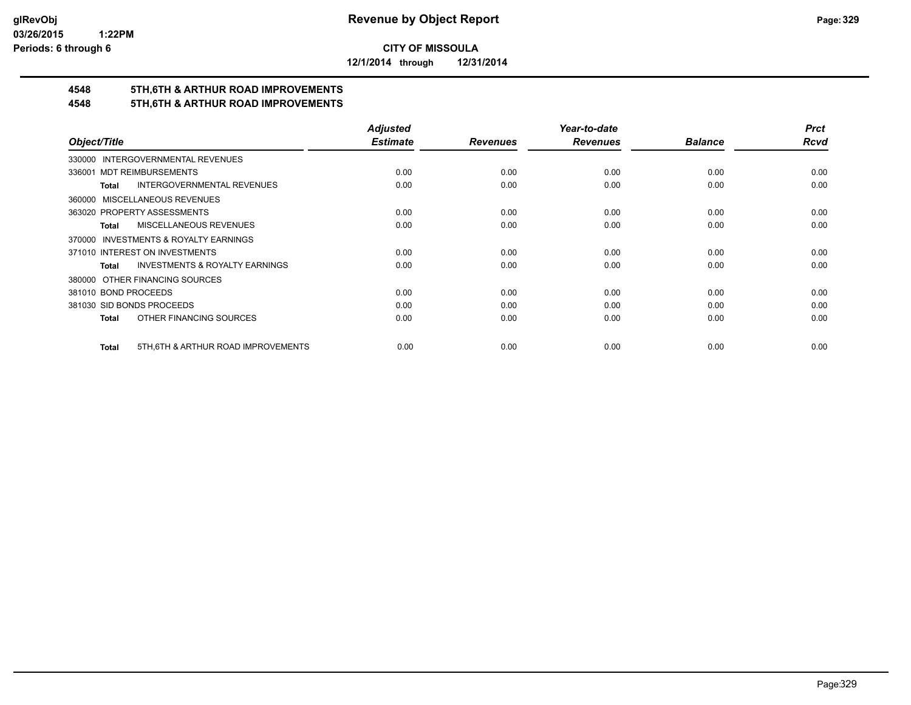**12/1/2014 through 12/31/2014**

# **4548 5TH,6TH & ARTHUR ROAD IMPROVEMENTS**

# **4548 5TH,6TH & ARTHUR ROAD IMPROVEMENTS**

|                                                           | <b>Adjusted</b> |                 | Year-to-date    |                | <b>Prct</b> |
|-----------------------------------------------------------|-----------------|-----------------|-----------------|----------------|-------------|
| Object/Title                                              | <b>Estimate</b> | <b>Revenues</b> | <b>Revenues</b> | <b>Balance</b> | <b>Rcvd</b> |
| 330000 INTERGOVERNMENTAL REVENUES                         |                 |                 |                 |                |             |
| <b>MDT REIMBURSEMENTS</b><br>336001                       | 0.00            | 0.00            | 0.00            | 0.00           | 0.00        |
| INTERGOVERNMENTAL REVENUES<br>Total                       | 0.00            | 0.00            | 0.00            | 0.00           | 0.00        |
| 360000 MISCELLANEOUS REVENUES                             |                 |                 |                 |                |             |
| 363020 PROPERTY ASSESSMENTS                               | 0.00            | 0.00            | 0.00            | 0.00           | 0.00        |
| <b>MISCELLANEOUS REVENUES</b><br>Total                    | 0.00            | 0.00            | 0.00            | 0.00           | 0.00        |
| 370000 INVESTMENTS & ROYALTY EARNINGS                     |                 |                 |                 |                |             |
| 371010 INTEREST ON INVESTMENTS                            | 0.00            | 0.00            | 0.00            | 0.00           | 0.00        |
| <b>INVESTMENTS &amp; ROYALTY EARNINGS</b><br><b>Total</b> | 0.00            | 0.00            | 0.00            | 0.00           | 0.00        |
| 380000 OTHER FINANCING SOURCES                            |                 |                 |                 |                |             |
| 381010 BOND PROCEEDS                                      | 0.00            | 0.00            | 0.00            | 0.00           | 0.00        |
| 381030 SID BONDS PROCEEDS                                 | 0.00            | 0.00            | 0.00            | 0.00           | 0.00        |
| OTHER FINANCING SOURCES<br>Total                          | 0.00            | 0.00            | 0.00            | 0.00           | 0.00        |
| 5TH, 6TH & ARTHUR ROAD IMPROVEMENTS<br><b>Total</b>       | 0.00            | 0.00            | 0.00            | 0.00           | 0.00        |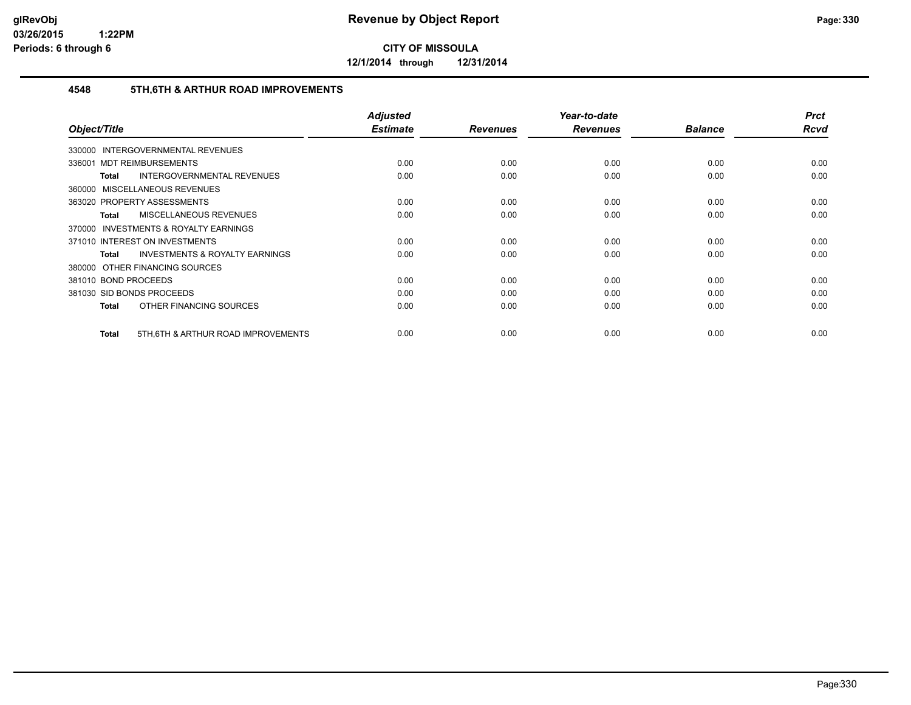**12/1/2014 through 12/31/2014**

### **4548 5TH,6TH & ARTHUR ROAD IMPROVEMENTS**

|                                                           | <b>Adjusted</b> |                 | Year-to-date    |                | <b>Prct</b> |
|-----------------------------------------------------------|-----------------|-----------------|-----------------|----------------|-------------|
| Object/Title                                              | <b>Estimate</b> | <b>Revenues</b> | <b>Revenues</b> | <b>Balance</b> | Rcvd        |
| 330000 INTERGOVERNMENTAL REVENUES                         |                 |                 |                 |                |             |
| 336001 MDT REIMBURSEMENTS                                 | 0.00            | 0.00            | 0.00            | 0.00           | 0.00        |
| INTERGOVERNMENTAL REVENUES<br>Total                       | 0.00            | 0.00            | 0.00            | 0.00           | 0.00        |
| 360000 MISCELLANEOUS REVENUES                             |                 |                 |                 |                |             |
| 363020 PROPERTY ASSESSMENTS                               | 0.00            | 0.00            | 0.00            | 0.00           | 0.00        |
| MISCELLANEOUS REVENUES<br>Total                           | 0.00            | 0.00            | 0.00            | 0.00           | 0.00        |
| 370000 INVESTMENTS & ROYALTY EARNINGS                     |                 |                 |                 |                |             |
| 371010 INTEREST ON INVESTMENTS                            | 0.00            | 0.00            | 0.00            | 0.00           | 0.00        |
| <b>INVESTMENTS &amp; ROYALTY EARNINGS</b><br><b>Total</b> | 0.00            | 0.00            | 0.00            | 0.00           | 0.00        |
| 380000 OTHER FINANCING SOURCES                            |                 |                 |                 |                |             |
| 381010 BOND PROCEEDS                                      | 0.00            | 0.00            | 0.00            | 0.00           | 0.00        |
| 381030 SID BONDS PROCEEDS                                 | 0.00            | 0.00            | 0.00            | 0.00           | 0.00        |
| OTHER FINANCING SOURCES<br>Total                          | 0.00            | 0.00            | 0.00            | 0.00           | 0.00        |
| 5TH, 6TH & ARTHUR ROAD IMPROVEMENTS<br>Total              | 0.00            | 0.00            | 0.00            | 0.00           | 0.00        |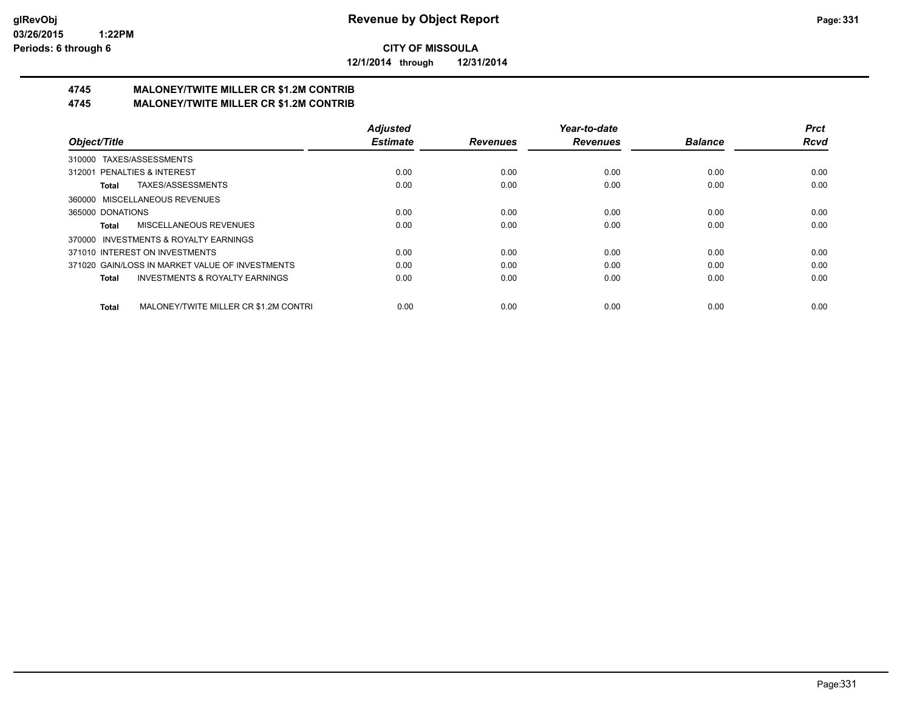*Prct Rcvd*

# **CITY OF MISSOULA**

**12/1/2014 through 12/31/2014**

#### **4745 MALONEY/TWITE MILLER CR \$1.2M CONTRIB 4745 MALONEY/TWITE MILLER CR \$1.2M CONTRIB**

|                                |                                                 | <b>Adjusted</b> |                 | Year-to-date    |                | <b>Prct</b> |
|--------------------------------|-------------------------------------------------|-----------------|-----------------|-----------------|----------------|-------------|
| Object/Title                   |                                                 | <b>Estimate</b> | <b>Revenues</b> | <b>Revenues</b> | <b>Balance</b> | Rcva        |
| TAXES/ASSESSMENTS<br>310000    |                                                 |                 |                 |                 |                |             |
| 312001 PENALTIES & INTEREST    |                                                 | 0.00            | 0.00            | 0.00            | 0.00           | 0.00        |
| <b>Total</b>                   | TAXES/ASSESSMENTS                               | 0.00            | 0.00            | 0.00            | 0.00           | 0.00        |
| 360000 MISCELLANEOUS REVENUES  |                                                 |                 |                 |                 |                |             |
| 365000 DONATIONS               |                                                 | 0.00            | 0.00            | 0.00            | 0.00           | 0.00        |
| Total                          | MISCELLANEOUS REVENUES                          | 0.00            | 0.00            | 0.00            | 0.00           | 0.00        |
|                                | 370000 INVESTMENTS & ROYALTY EARNINGS           |                 |                 |                 |                |             |
| 371010 INTEREST ON INVESTMENTS |                                                 | 0.00            | 0.00            | 0.00            | 0.00           | 0.00        |
|                                | 371020 GAIN/LOSS IN MARKET VALUE OF INVESTMENTS | 0.00            | 0.00            | 0.00            | 0.00           | 0.00        |
| <b>Total</b>                   | <b>INVESTMENTS &amp; ROYALTY EARNINGS</b>       | 0.00            | 0.00            | 0.00            | 0.00           | 0.00        |
| Total                          | MALONEY/TWITE MILLER CR \$1.2M CONTRI           | 0.00            | 0.00            | 0.00            | 0.00           | 0.00        |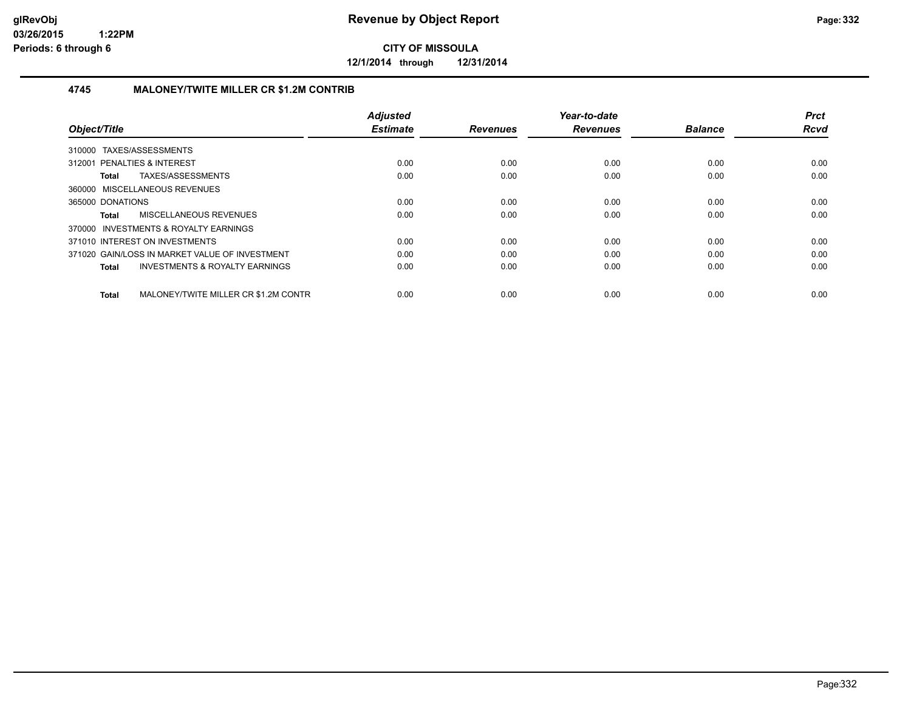**12/1/2014 through 12/31/2014**

#### **4745 MALONEY/TWITE MILLER CR \$1.2M CONTRIB**

| Object/Title                                         | <b>Adjusted</b><br><b>Estimate</b> | <b>Revenues</b> | Year-to-date<br><b>Revenues</b> | <b>Balance</b> | <b>Prct</b><br><b>Rcvd</b> |
|------------------------------------------------------|------------------------------------|-----------------|---------------------------------|----------------|----------------------------|
|                                                      |                                    |                 |                                 |                |                            |
| TAXES/ASSESSMENTS<br>310000                          |                                    |                 |                                 |                |                            |
| 312001 PENALTIES & INTEREST                          | 0.00                               | 0.00            | 0.00                            | 0.00           | 0.00                       |
| TAXES/ASSESSMENTS<br>Total                           | 0.00                               | 0.00            | 0.00                            | 0.00           | 0.00                       |
| 360000 MISCELLANEOUS REVENUES                        |                                    |                 |                                 |                |                            |
| 365000 DONATIONS                                     | 0.00                               | 0.00            | 0.00                            | 0.00           | 0.00                       |
| MISCELLANEOUS REVENUES<br>Total                      | 0.00                               | 0.00            | 0.00                            | 0.00           | 0.00                       |
| 370000 INVESTMENTS & ROYALTY EARNINGS                |                                    |                 |                                 |                |                            |
| 371010 INTEREST ON INVESTMENTS                       | 0.00                               | 0.00            | 0.00                            | 0.00           | 0.00                       |
| 371020 GAIN/LOSS IN MARKET VALUE OF INVESTMENT       | 0.00                               | 0.00            | 0.00                            | 0.00           | 0.00                       |
| <b>INVESTMENTS &amp; ROYALTY EARNINGS</b><br>Total   | 0.00                               | 0.00            | 0.00                            | 0.00           | 0.00                       |
|                                                      |                                    |                 |                                 |                |                            |
| MALONEY/TWITE MILLER CR \$1.2M CONTR<br><b>Total</b> | 0.00                               | 0.00            | 0.00                            | 0.00           | 0.00                       |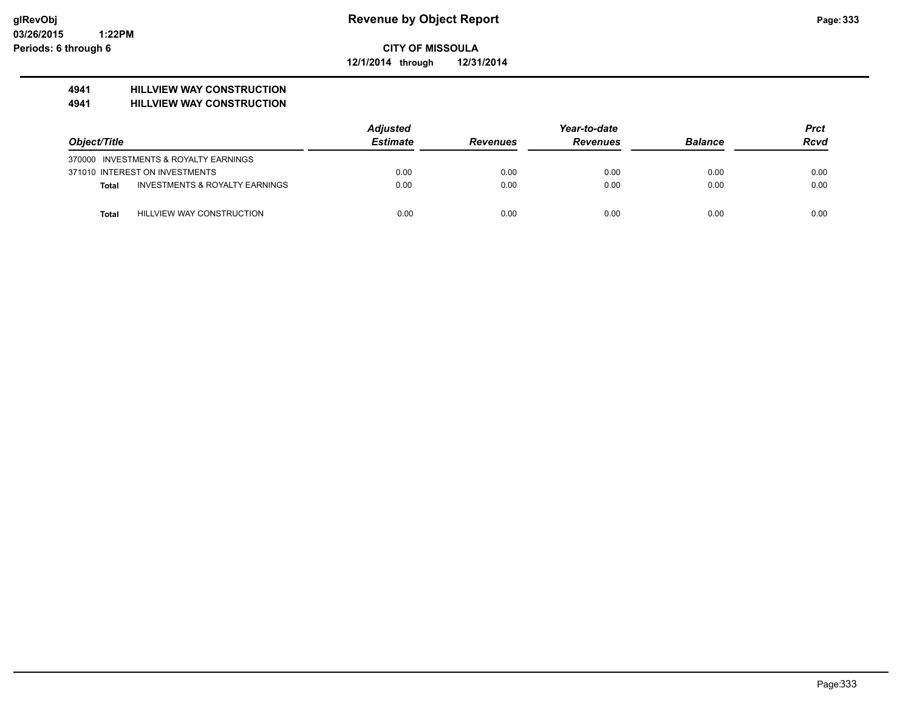**12/1/2014 through 12/31/2014**

# **4941 HILLVIEW WAY CONSTRUCTION**

#### **4941 HILLVIEW WAY CONSTRUCTION**

|              |                                           | <b>Adjusted</b> |                 | Year-to-date    |                | <b>Prct</b> |
|--------------|-------------------------------------------|-----------------|-----------------|-----------------|----------------|-------------|
| Object/Title |                                           | <b>Estimate</b> | <b>Revenues</b> | <b>Revenues</b> | <b>Balance</b> | <b>Rcvd</b> |
|              | 370000 INVESTMENTS & ROYALTY EARNINGS     |                 |                 |                 |                |             |
|              | 371010 INTEREST ON INVESTMENTS            | 0.00            | 0.00            | 0.00            | 0.00           | 0.00        |
| Total        | <b>INVESTMENTS &amp; ROYALTY EARNINGS</b> | 0.00            | 0.00            | 0.00            | 0.00           | 0.00        |
| Total        | HILLVIEW WAY CONSTRUCTION                 | 0.00            | 0.00            | 0.00            | 0.00           | 0.00        |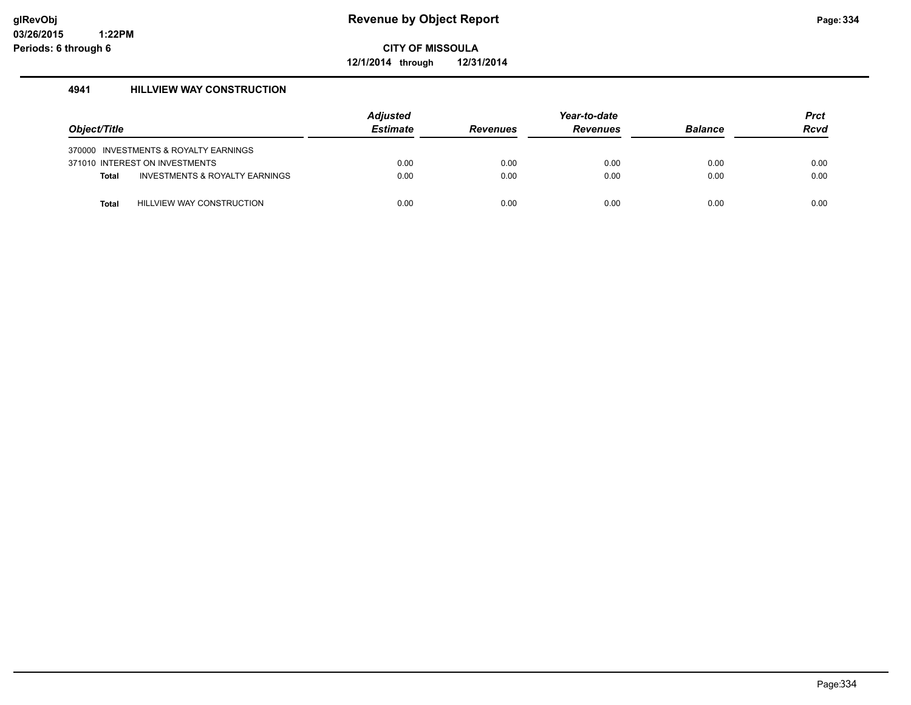**12/1/2014 through 12/31/2014**

### **4941 HILLVIEW WAY CONSTRUCTION**

|              |                                       | <b>Adjusted</b> |                 | Year-to-date    |                | <b>Prct</b> |
|--------------|---------------------------------------|-----------------|-----------------|-----------------|----------------|-------------|
| Object/Title |                                       | <b>Estimate</b> | <b>Revenues</b> | <b>Revenues</b> | <b>Balance</b> | <b>Rcvd</b> |
|              | 370000 INVESTMENTS & ROYALTY EARNINGS |                 |                 |                 |                |             |
|              | 371010 INTEREST ON INVESTMENTS        | 0.00            | 0.00            | 0.00            | 0.00           | 0.00        |
| <b>Total</b> | INVESTMENTS & ROYALTY EARNINGS        | 0.00            | 0.00            | 0.00            | 0.00           | 0.00        |
|              |                                       |                 |                 |                 |                |             |
| Total        | HILLVIEW WAY CONSTRUCTION             | 0.00            | 0.00            | 0.00            | 0.00           | 0.00        |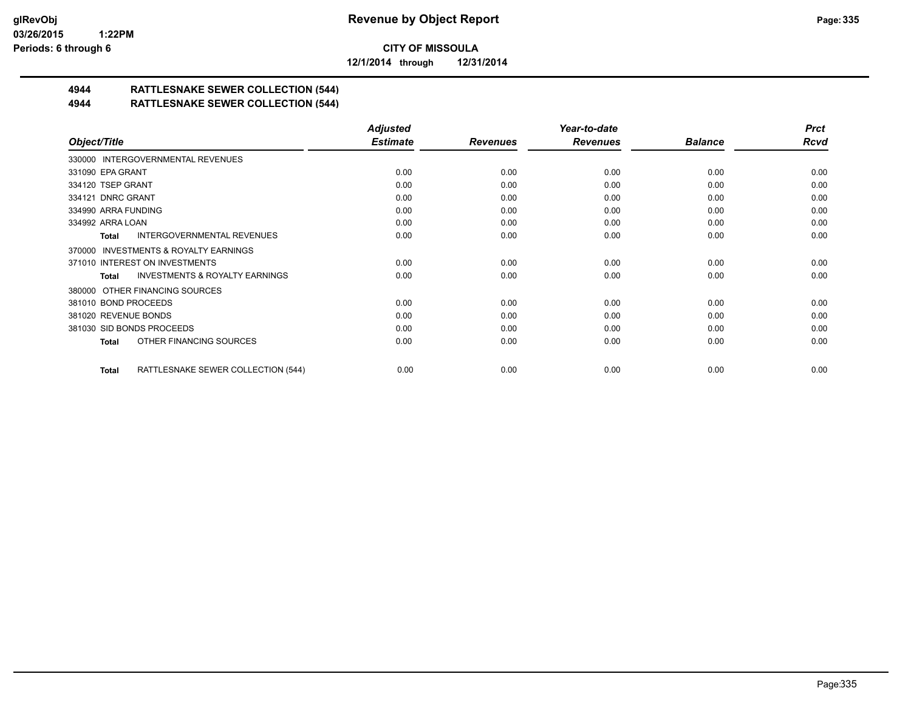**12/1/2014 through 12/31/2014**

# **4944 RATTLESNAKE SEWER COLLECTION (544)**

# **4944 RATTLESNAKE SEWER COLLECTION (544)**

|                                                    | <b>Adjusted</b> |                 | Year-to-date    |                | <b>Prct</b> |
|----------------------------------------------------|-----------------|-----------------|-----------------|----------------|-------------|
| Object/Title                                       | <b>Estimate</b> | <b>Revenues</b> | <b>Revenues</b> | <b>Balance</b> | <b>Rcvd</b> |
| 330000 INTERGOVERNMENTAL REVENUES                  |                 |                 |                 |                |             |
| 331090 EPA GRANT                                   | 0.00            | 0.00            | 0.00            | 0.00           | 0.00        |
| 334120 TSEP GRANT                                  | 0.00            | 0.00            | 0.00            | 0.00           | 0.00        |
| 334121 DNRC GRANT                                  | 0.00            | 0.00            | 0.00            | 0.00           | 0.00        |
| 334990 ARRA FUNDING                                | 0.00            | 0.00            | 0.00            | 0.00           | 0.00        |
| 334992 ARRA LOAN                                   | 0.00            | 0.00            | 0.00            | 0.00           | 0.00        |
| <b>INTERGOVERNMENTAL REVENUES</b><br>Total         | 0.00            | 0.00            | 0.00            | 0.00           | 0.00        |
| 370000 INVESTMENTS & ROYALTY EARNINGS              |                 |                 |                 |                |             |
| 371010 INTEREST ON INVESTMENTS                     | 0.00            | 0.00            | 0.00            | 0.00           | 0.00        |
| <b>INVESTMENTS &amp; ROYALTY EARNINGS</b><br>Total | 0.00            | 0.00            | 0.00            | 0.00           | 0.00        |
| 380000 OTHER FINANCING SOURCES                     |                 |                 |                 |                |             |
| 381010 BOND PROCEEDS                               | 0.00            | 0.00            | 0.00            | 0.00           | 0.00        |
| 381020 REVENUE BONDS                               | 0.00            | 0.00            | 0.00            | 0.00           | 0.00        |
| 381030 SID BONDS PROCEEDS                          | 0.00            | 0.00            | 0.00            | 0.00           | 0.00        |
| OTHER FINANCING SOURCES<br>Total                   | 0.00            | 0.00            | 0.00            | 0.00           | 0.00        |
| RATTLESNAKE SEWER COLLECTION (544)<br>Total        | 0.00            | 0.00            | 0.00            | 0.00           | 0.00        |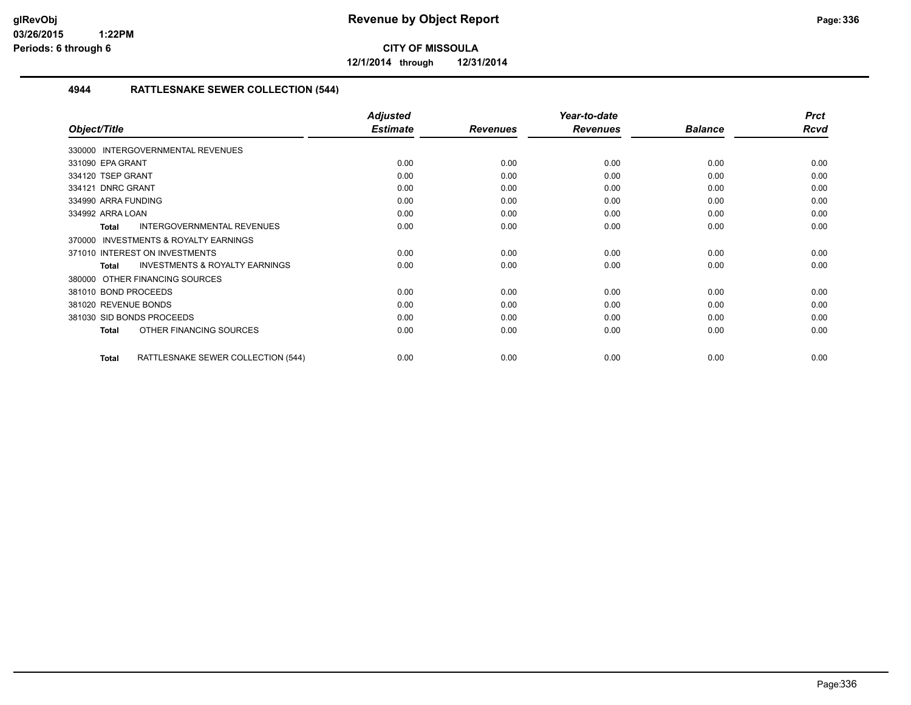**12/1/2014 through 12/31/2014**

### **4944 RATTLESNAKE SEWER COLLECTION (544)**

|                                                           | <b>Adjusted</b> |                 | Year-to-date    |                | <b>Prct</b> |
|-----------------------------------------------------------|-----------------|-----------------|-----------------|----------------|-------------|
| Object/Title                                              | <b>Estimate</b> | <b>Revenues</b> | <b>Revenues</b> | <b>Balance</b> | <b>Rcvd</b> |
| 330000 INTERGOVERNMENTAL REVENUES                         |                 |                 |                 |                |             |
| 331090 EPA GRANT                                          | 0.00            | 0.00            | 0.00            | 0.00           | 0.00        |
| 334120 TSEP GRANT                                         | 0.00            | 0.00            | 0.00            | 0.00           | 0.00        |
| 334121 DNRC GRANT                                         | 0.00            | 0.00            | 0.00            | 0.00           | 0.00        |
| 334990 ARRA FUNDING                                       | 0.00            | 0.00            | 0.00            | 0.00           | 0.00        |
| 334992 ARRA LOAN                                          | 0.00            | 0.00            | 0.00            | 0.00           | 0.00        |
| INTERGOVERNMENTAL REVENUES<br><b>Total</b>                | 0.00            | 0.00            | 0.00            | 0.00           | 0.00        |
| INVESTMENTS & ROYALTY EARNINGS<br>370000                  |                 |                 |                 |                |             |
| 371010 INTEREST ON INVESTMENTS                            | 0.00            | 0.00            | 0.00            | 0.00           | 0.00        |
| <b>INVESTMENTS &amp; ROYALTY EARNINGS</b><br><b>Total</b> | 0.00            | 0.00            | 0.00            | 0.00           | 0.00        |
| OTHER FINANCING SOURCES<br>380000                         |                 |                 |                 |                |             |
| 381010 BOND PROCEEDS                                      | 0.00            | 0.00            | 0.00            | 0.00           | 0.00        |
| 381020 REVENUE BONDS                                      | 0.00            | 0.00            | 0.00            | 0.00           | 0.00        |
| 381030 SID BONDS PROCEEDS                                 | 0.00            | 0.00            | 0.00            | 0.00           | 0.00        |
| OTHER FINANCING SOURCES<br><b>Total</b>                   | 0.00            | 0.00            | 0.00            | 0.00           | 0.00        |
| RATTLESNAKE SEWER COLLECTION (544)<br><b>Total</b>        | 0.00            | 0.00            | 0.00            | 0.00           | 0.00        |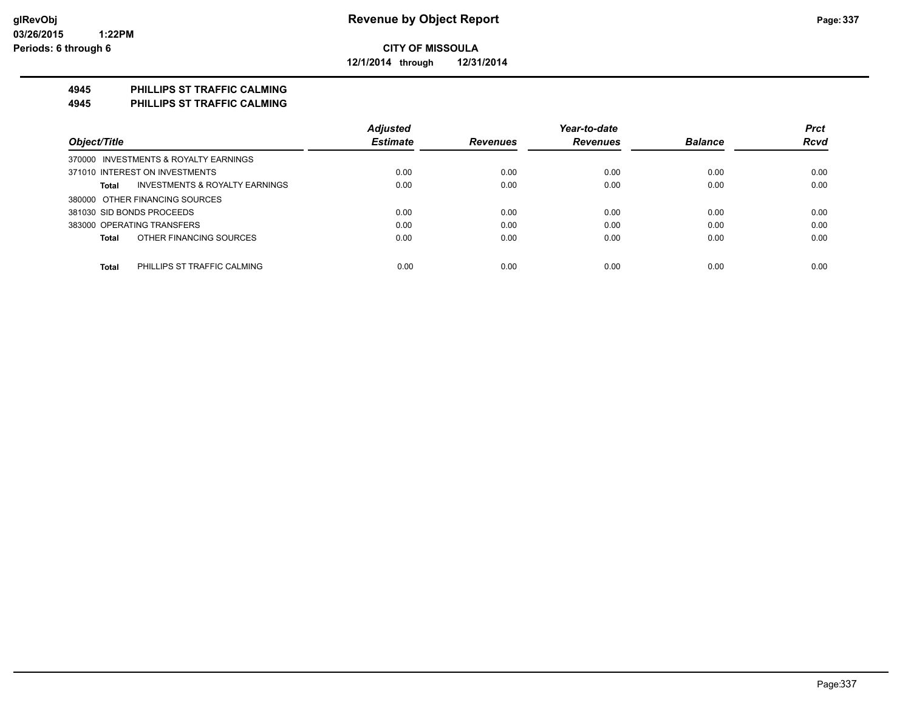**12/1/2014 through 12/31/2014**

### **4945 PHILLIPS ST TRAFFIC CALMING**

**4945 PHILLIPS ST TRAFFIC CALMING**

|                                                    | <b>Adjusted</b> |                 | Year-to-date    |                | <b>Prct</b> |
|----------------------------------------------------|-----------------|-----------------|-----------------|----------------|-------------|
| Object/Title                                       | <b>Estimate</b> | <b>Revenues</b> | <b>Revenues</b> | <b>Balance</b> | <b>Rcvd</b> |
| 370000 INVESTMENTS & ROYALTY EARNINGS              |                 |                 |                 |                |             |
| 371010 INTEREST ON INVESTMENTS                     | 0.00            | 0.00            | 0.00            | 0.00           | 0.00        |
| <b>INVESTMENTS &amp; ROYALTY EARNINGS</b><br>Total | 0.00            | 0.00            | 0.00            | 0.00           | 0.00        |
| 380000 OTHER FINANCING SOURCES                     |                 |                 |                 |                |             |
| 381030 SID BONDS PROCEEDS                          | 0.00            | 0.00            | 0.00            | 0.00           | 0.00        |
| 383000 OPERATING TRANSFERS                         | 0.00            | 0.00            | 0.00            | 0.00           | 0.00        |
| OTHER FINANCING SOURCES<br><b>Total</b>            | 0.00            | 0.00            | 0.00            | 0.00           | 0.00        |
|                                                    |                 |                 |                 |                |             |
| <b>Total</b><br>PHILLIPS ST TRAFFIC CALMING        | 0.00            | 0.00            | 0.00            | 0.00           | 0.00        |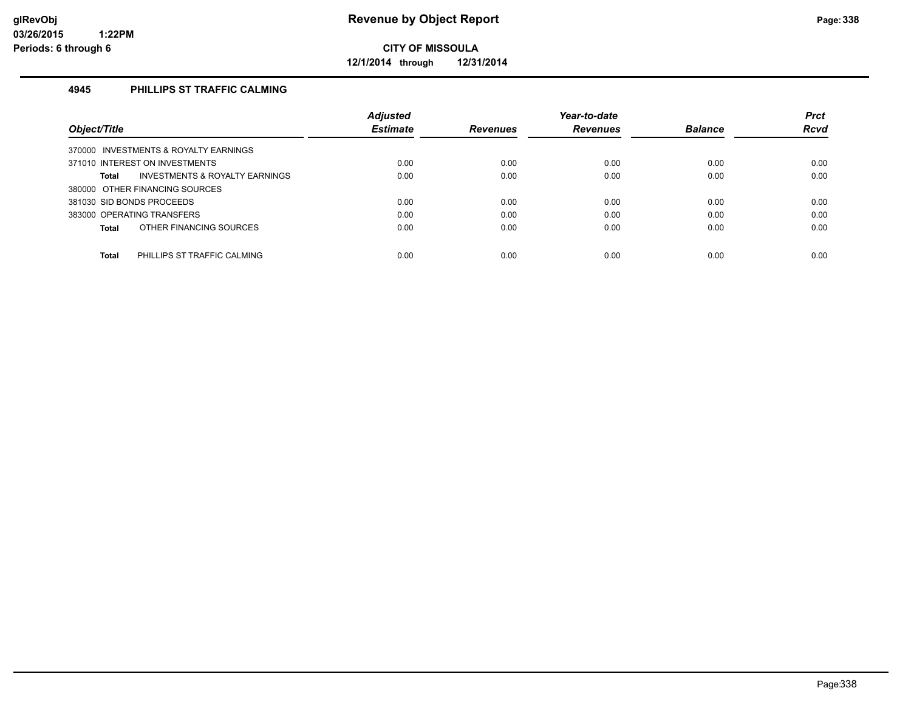**12/1/2014 through 12/31/2014**

### **4945 PHILLIPS ST TRAFFIC CALMING**

|                                                    | <b>Adjusted</b> |                 | Year-to-date    |                | <b>Prct</b> |
|----------------------------------------------------|-----------------|-----------------|-----------------|----------------|-------------|
| <b>Object/Title</b>                                | <b>Estimate</b> | <b>Revenues</b> | <b>Revenues</b> | <b>Balance</b> | <b>Rcvd</b> |
| 370000 INVESTMENTS & ROYALTY EARNINGS              |                 |                 |                 |                |             |
| 371010 INTEREST ON INVESTMENTS                     | 0.00            | 0.00            | 0.00            | 0.00           | 0.00        |
| <b>INVESTMENTS &amp; ROYALTY EARNINGS</b><br>Total | 0.00            | 0.00            | 0.00            | 0.00           | 0.00        |
| 380000 OTHER FINANCING SOURCES                     |                 |                 |                 |                |             |
| 381030 SID BONDS PROCEEDS                          | 0.00            | 0.00            | 0.00            | 0.00           | 0.00        |
| 383000 OPERATING TRANSFERS                         | 0.00            | 0.00            | 0.00            | 0.00           | 0.00        |
| OTHER FINANCING SOURCES<br>Total                   | 0.00            | 0.00            | 0.00            | 0.00           | 0.00        |
|                                                    |                 |                 |                 |                |             |
| <b>Total</b><br>PHILLIPS ST TRAFFIC CALMING        | 0.00            | 0.00            | 0.00            | 0.00           | 0.00        |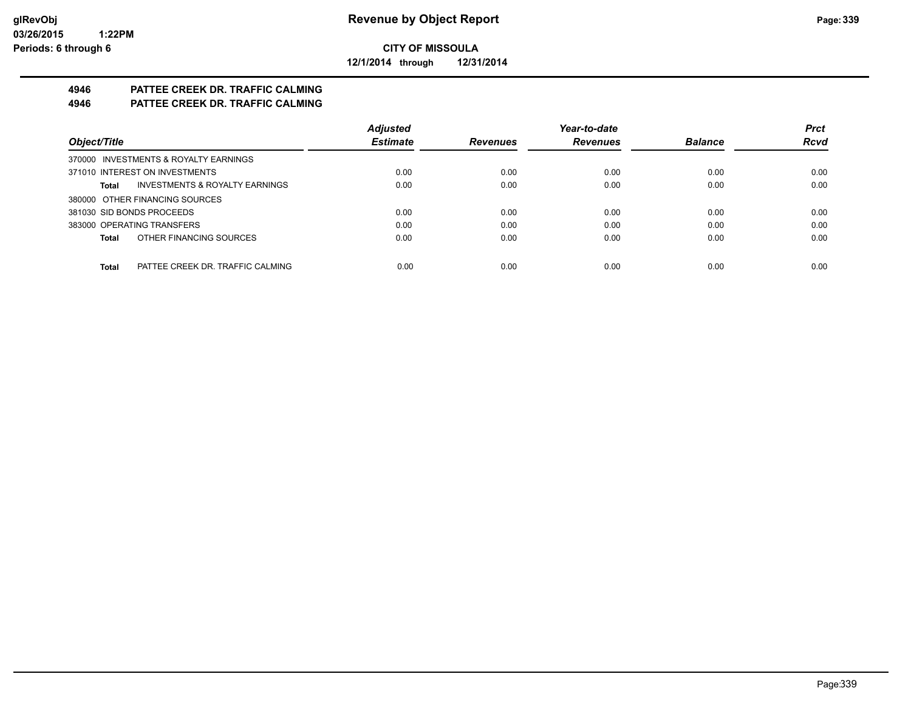**12/1/2014 through 12/31/2014**

# **4946 PATTEE CREEK DR. TRAFFIC CALMING**

# **4946 PATTEE CREEK DR. TRAFFIC CALMING**

|                                                    | <b>Adjusted</b> |                 | Year-to-date    |                | <b>Prct</b> |
|----------------------------------------------------|-----------------|-----------------|-----------------|----------------|-------------|
| Object/Title                                       | <b>Estimate</b> | <b>Revenues</b> | <b>Revenues</b> | <b>Balance</b> | <b>Rcvd</b> |
| 370000 INVESTMENTS & ROYALTY EARNINGS              |                 |                 |                 |                |             |
| 371010 INTEREST ON INVESTMENTS                     | 0.00            | 0.00            | 0.00            | 0.00           | 0.00        |
| <b>INVESTMENTS &amp; ROYALTY EARNINGS</b><br>Total | 0.00            | 0.00            | 0.00            | 0.00           | 0.00        |
| 380000 OTHER FINANCING SOURCES                     |                 |                 |                 |                |             |
| 381030 SID BONDS PROCEEDS                          | 0.00            | 0.00            | 0.00            | 0.00           | 0.00        |
| 383000 OPERATING TRANSFERS                         | 0.00            | 0.00            | 0.00            | 0.00           | 0.00        |
| OTHER FINANCING SOURCES<br>Total                   | 0.00            | 0.00            | 0.00            | 0.00           | 0.00        |
|                                                    |                 |                 |                 |                |             |
| Total<br>PATTEE CREEK DR. TRAFFIC CALMING          | 0.00            | 0.00            | 0.00            | 0.00           | 0.00        |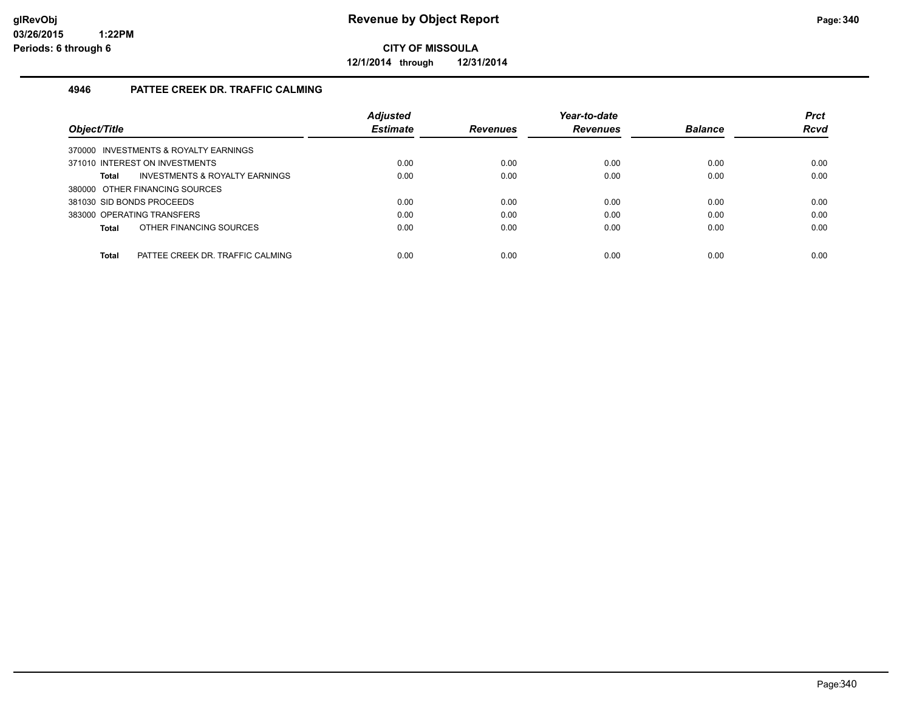**12/1/2014 through 12/31/2014**

### **4946 PATTEE CREEK DR. TRAFFIC CALMING**

| Object/Title                                     | <b>Adjusted</b><br><b>Estimate</b> | <b>Revenues</b> | Year-to-date<br><b>Revenues</b> | <b>Balance</b> | <b>Prct</b><br><b>Rcvd</b> |
|--------------------------------------------------|------------------------------------|-----------------|---------------------------------|----------------|----------------------------|
| 370000 INVESTMENTS & ROYALTY EARNINGS            |                                    |                 |                                 |                |                            |
| 371010 INTEREST ON INVESTMENTS                   | 0.00                               | 0.00            | 0.00                            | 0.00           | 0.00                       |
| INVESTMENTS & ROYALTY EARNINGS<br>Total          | 0.00                               | 0.00            | 0.00                            | 0.00           | 0.00                       |
| 380000 OTHER FINANCING SOURCES                   |                                    |                 |                                 |                |                            |
| 381030 SID BONDS PROCEEDS                        | 0.00                               | 0.00            | 0.00                            | 0.00           | 0.00                       |
| 383000 OPERATING TRANSFERS                       | 0.00                               | 0.00            | 0.00                            | 0.00           | 0.00                       |
| OTHER FINANCING SOURCES<br>Total                 | 0.00                               | 0.00            | 0.00                            | 0.00           | 0.00                       |
|                                                  |                                    |                 |                                 |                |                            |
| <b>Total</b><br>PATTEE CREEK DR. TRAFFIC CALMING | 0.00                               | 0.00            | 0.00                            | 0.00           | 0.00                       |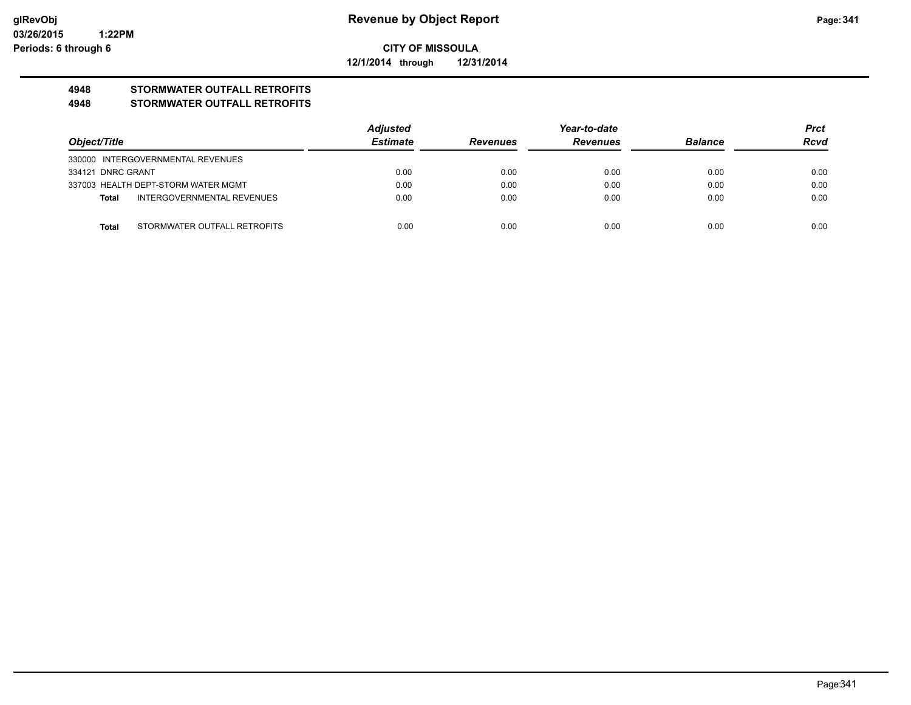**12/1/2014 through 12/31/2014**

# **4948 STORMWATER OUTFALL RETROFITS**

#### **4948 STORMWATER OUTFALL RETROFITS**

|                   |                                     | Adjusted        |                 | <b>Prct</b>     |                |             |
|-------------------|-------------------------------------|-----------------|-----------------|-----------------|----------------|-------------|
| Object/Title      |                                     | <b>Estimate</b> | <b>Revenues</b> | <b>Revenues</b> | <b>Balance</b> | <b>Rcvd</b> |
|                   | 330000 INTERGOVERNMENTAL REVENUES   |                 |                 |                 |                |             |
| 334121 DNRC GRANT |                                     | 0.00            | 0.00            | 0.00            | 0.00           | 0.00        |
|                   | 337003 HEALTH DEPT-STORM WATER MGMT | 0.00            | 0.00            | 0.00            | 0.00           | 0.00        |
| Total             | INTERGOVERNMENTAL REVENUES          | 0.00            | 0.00            | 0.00            | 0.00           | 0.00        |
|                   |                                     |                 |                 |                 |                |             |
| Total             | STORMWATER OUTFALL RETROFITS        | 0.00            | 0.00            | 0.00            | 0.00           | 0.00        |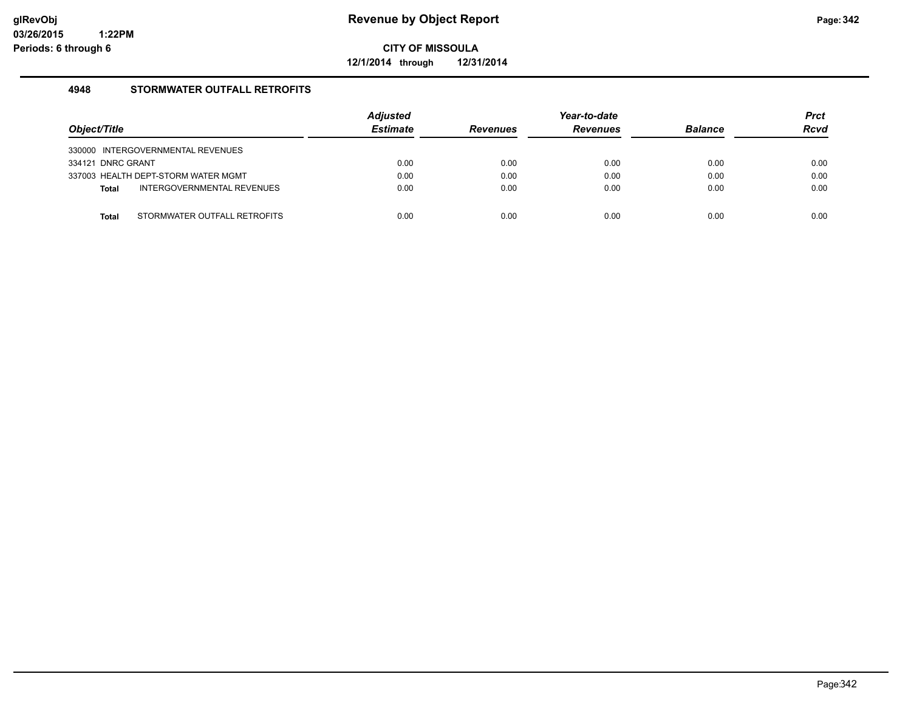**12/1/2014 through 12/31/2014**

### **4948 STORMWATER OUTFALL RETROFITS**

|                                              | Adjusted        |                 | Year-to-date    |                | <b>Prct</b> |
|----------------------------------------------|-----------------|-----------------|-----------------|----------------|-------------|
| Object/Title                                 | <b>Estimate</b> | <b>Revenues</b> | <b>Revenues</b> | <b>Balance</b> | <b>Rcvd</b> |
| 330000 INTERGOVERNMENTAL REVENUES            |                 |                 |                 |                |             |
| 334121 DNRC GRANT                            | 0.00            | 0.00            | 0.00            | 0.00           | 0.00        |
| 337003 HEALTH DEPT-STORM WATER MGMT          | 0.00            | 0.00            | 0.00            | 0.00           | 0.00        |
| INTERGOVERNMENTAL REVENUES<br><b>Total</b>   | 0.00            | 0.00            | 0.00            | 0.00           | 0.00        |
|                                              |                 |                 |                 |                |             |
| STORMWATER OUTFALL RETROFITS<br><b>Total</b> | 0.00            | 0.00            | 0.00            | 0.00           | 0.00        |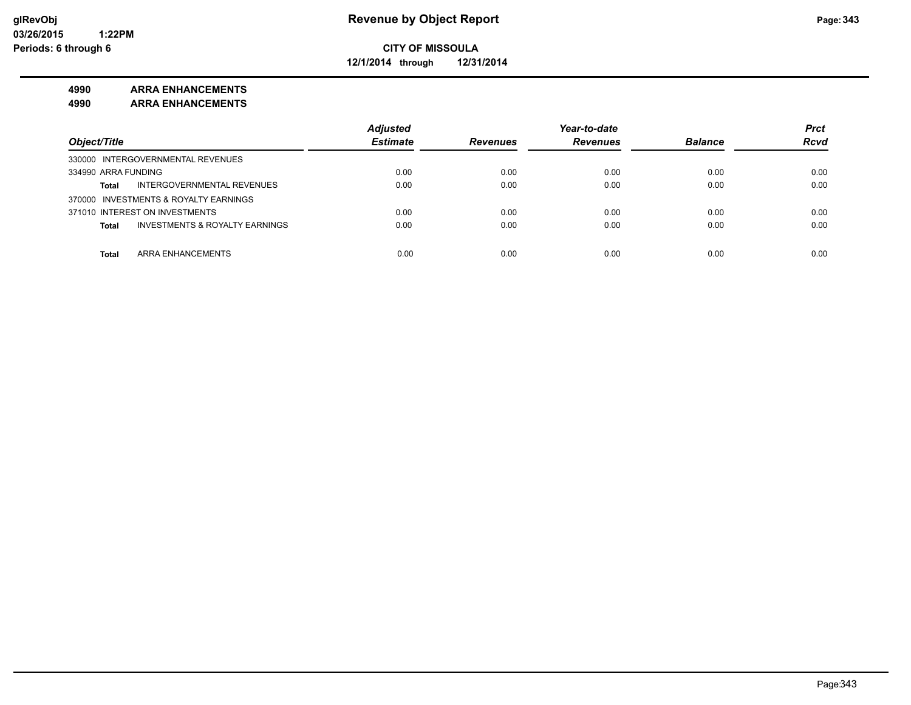**12/1/2014 through 12/31/2014**

#### **4990 ARRA ENHANCEMENTS**

**4990 ARRA ENHANCEMENTS**

|                                                           | <b>Adjusted</b> |                 | Year-to-date    |                | <b>Prct</b> |
|-----------------------------------------------------------|-----------------|-----------------|-----------------|----------------|-------------|
| Object/Title                                              | <b>Estimate</b> | <b>Revenues</b> | <b>Revenues</b> | <b>Balance</b> | <b>Rcvd</b> |
| 330000 INTERGOVERNMENTAL REVENUES                         |                 |                 |                 |                |             |
| 334990 ARRA FUNDING                                       | 0.00            | 0.00            | 0.00            | 0.00           | 0.00        |
| INTERGOVERNMENTAL REVENUES<br><b>Total</b>                | 0.00            | 0.00            | 0.00            | 0.00           | 0.00        |
| 370000 INVESTMENTS & ROYALTY EARNINGS                     |                 |                 |                 |                |             |
| 371010 INTEREST ON INVESTMENTS                            | 0.00            | 0.00            | 0.00            | 0.00           | 0.00        |
| <b>INVESTMENTS &amp; ROYALTY EARNINGS</b><br><b>Total</b> | 0.00            | 0.00            | 0.00            | 0.00           | 0.00        |
|                                                           |                 |                 |                 |                |             |
| ARRA ENHANCEMENTS<br><b>Total</b>                         | 0.00            | 0.00            | 0.00            | 0.00           | 0.00        |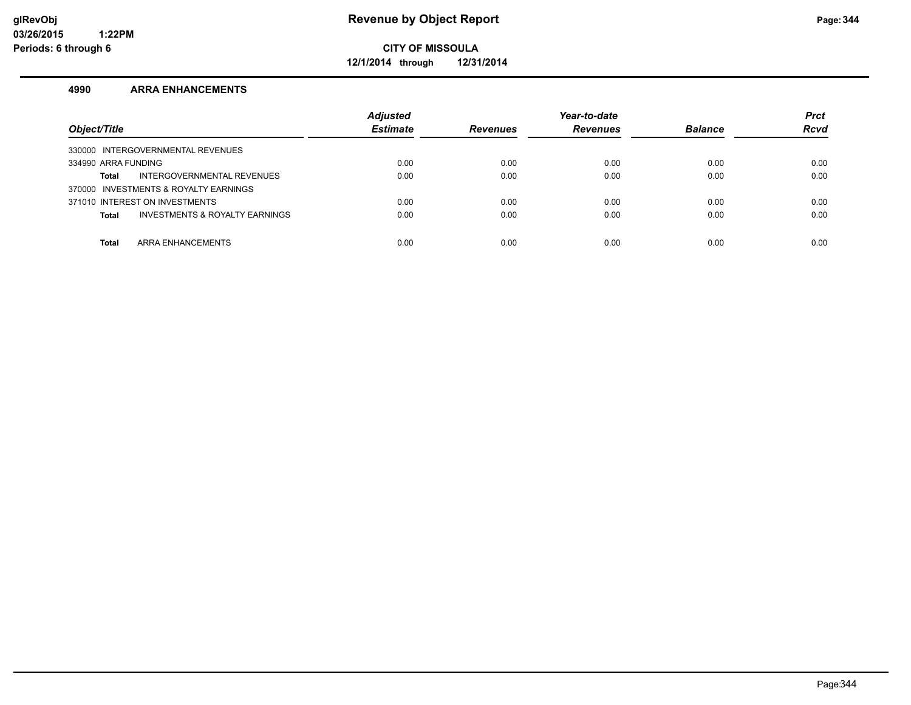**12/1/2014 through 12/31/2014**

#### **4990 ARRA ENHANCEMENTS**

| Object/Title                                   | <b>Adjusted</b><br><b>Estimate</b> | <b>Revenues</b> | Year-to-date<br><b>Revenues</b> | <b>Balance</b> | <b>Prct</b><br><b>Rcvd</b> |
|------------------------------------------------|------------------------------------|-----------------|---------------------------------|----------------|----------------------------|
| 330000 INTERGOVERNMENTAL REVENUES              |                                    |                 |                                 |                |                            |
| 334990 ARRA FUNDING                            | 0.00                               | 0.00            | 0.00                            | 0.00           | 0.00                       |
| INTERGOVERNMENTAL REVENUES<br>Total            | 0.00                               | 0.00            | 0.00                            | 0.00           | 0.00                       |
| 370000 INVESTMENTS & ROYALTY EARNINGS          |                                    |                 |                                 |                |                            |
| 371010 INTEREST ON INVESTMENTS                 | 0.00                               | 0.00            | 0.00                            | 0.00           | 0.00                       |
| INVESTMENTS & ROYALTY EARNINGS<br><b>Total</b> | 0.00                               | 0.00            | 0.00                            | 0.00           | 0.00                       |
|                                                |                                    |                 |                                 |                |                            |
| ARRA ENHANCEMENTS<br>Total                     | 0.00                               | 0.00            | 0.00                            | 0.00           | 0.00                       |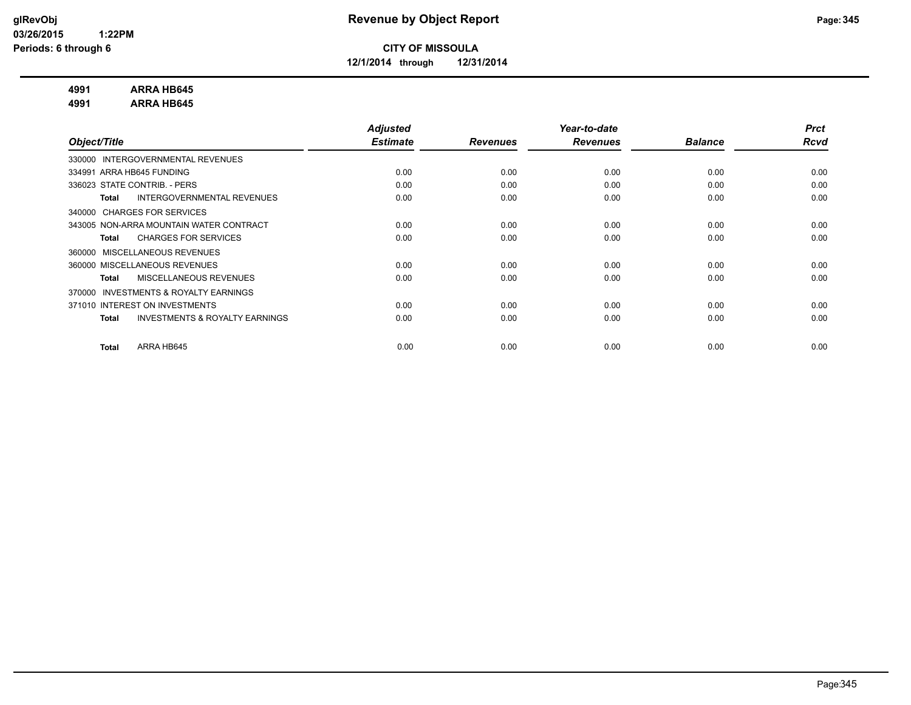**12/1/2014 through 12/31/2014**

#### **4991 ARRA HB645**

**4991 ARRA HB645**

|                                                           | <b>Adjusted</b> |                 | Year-to-date    |                | <b>Prct</b> |
|-----------------------------------------------------------|-----------------|-----------------|-----------------|----------------|-------------|
| Object/Title                                              | <b>Estimate</b> | <b>Revenues</b> | <b>Revenues</b> | <b>Balance</b> | <b>Rcvd</b> |
| INTERGOVERNMENTAL REVENUES<br>330000                      |                 |                 |                 |                |             |
| 334991 ARRA HB645 FUNDING                                 | 0.00            | 0.00            | 0.00            | 0.00           | 0.00        |
| 336023 STATE CONTRIB. - PERS                              | 0.00            | 0.00            | 0.00            | 0.00           | 0.00        |
| <b>INTERGOVERNMENTAL REVENUES</b><br><b>Total</b>         | 0.00            | 0.00            | 0.00            | 0.00           | 0.00        |
| <b>CHARGES FOR SERVICES</b><br>340000                     |                 |                 |                 |                |             |
| 343005 NON-ARRA MOUNTAIN WATER CONTRACT                   | 0.00            | 0.00            | 0.00            | 0.00           | 0.00        |
| <b>CHARGES FOR SERVICES</b><br>Total                      | 0.00            | 0.00            | 0.00            | 0.00           | 0.00        |
| MISCELLANEOUS REVENUES<br>360000                          |                 |                 |                 |                |             |
| 360000 MISCELLANEOUS REVENUES                             | 0.00            | 0.00            | 0.00            | 0.00           | 0.00        |
| MISCELLANEOUS REVENUES<br><b>Total</b>                    | 0.00            | 0.00            | 0.00            | 0.00           | 0.00        |
| <b>INVESTMENTS &amp; ROYALTY EARNINGS</b><br>370000       |                 |                 |                 |                |             |
| 371010 INTEREST ON INVESTMENTS                            | 0.00            | 0.00            | 0.00            | 0.00           | 0.00        |
| <b>INVESTMENTS &amp; ROYALTY EARNINGS</b><br><b>Total</b> | 0.00            | 0.00            | 0.00            | 0.00           | 0.00        |
|                                                           |                 |                 |                 |                |             |
| ARRA HB645<br><b>Total</b>                                | 0.00            | 0.00            | 0.00            | 0.00           | 0.00        |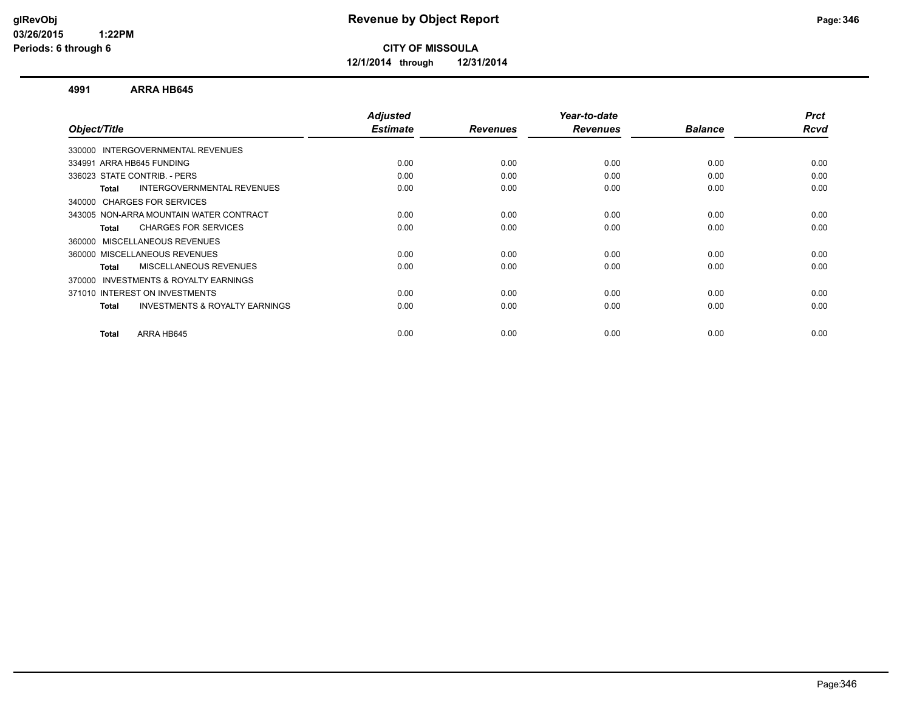**12/1/2014 through 12/31/2014**

#### **4991 ARRA HB645**

| Object/Title                                        | <b>Adjusted</b><br><b>Estimate</b> | <b>Revenues</b> | Year-to-date<br><b>Revenues</b> | <b>Balance</b> | <b>Prct</b><br>Rcvd |
|-----------------------------------------------------|------------------------------------|-----------------|---------------------------------|----------------|---------------------|
|                                                     |                                    |                 |                                 |                |                     |
| 330000 INTERGOVERNMENTAL REVENUES                   |                                    |                 |                                 |                |                     |
| 334991 ARRA HB645 FUNDING                           | 0.00                               | 0.00            | 0.00                            | 0.00           | 0.00                |
| 336023 STATE CONTRIB. - PERS                        | 0.00                               | 0.00            | 0.00                            | 0.00           | 0.00                |
| INTERGOVERNMENTAL REVENUES<br>Total                 | 0.00                               | 0.00            | 0.00                            | 0.00           | 0.00                |
| 340000 CHARGES FOR SERVICES                         |                                    |                 |                                 |                |                     |
| 343005 NON-ARRA MOUNTAIN WATER CONTRACT             | 0.00                               | 0.00            | 0.00                            | 0.00           | 0.00                |
| <b>CHARGES FOR SERVICES</b><br>Total                | 0.00                               | 0.00            | 0.00                            | 0.00           | 0.00                |
| 360000 MISCELLANEOUS REVENUES                       |                                    |                 |                                 |                |                     |
| 360000 MISCELLANEOUS REVENUES                       | 0.00                               | 0.00            | 0.00                            | 0.00           | 0.00                |
| <b>MISCELLANEOUS REVENUES</b><br>Total              | 0.00                               | 0.00            | 0.00                            | 0.00           | 0.00                |
| <b>INVESTMENTS &amp; ROYALTY EARNINGS</b><br>370000 |                                    |                 |                                 |                |                     |
| 371010 INTEREST ON INVESTMENTS                      | 0.00                               | 0.00            | 0.00                            | 0.00           | 0.00                |
| <b>INVESTMENTS &amp; ROYALTY EARNINGS</b><br>Total  | 0.00                               | 0.00            | 0.00                            | 0.00           | 0.00                |
|                                                     |                                    |                 |                                 |                |                     |
| ARRA HB645<br>Total                                 | 0.00                               | 0.00            | 0.00                            | 0.00           | 0.00                |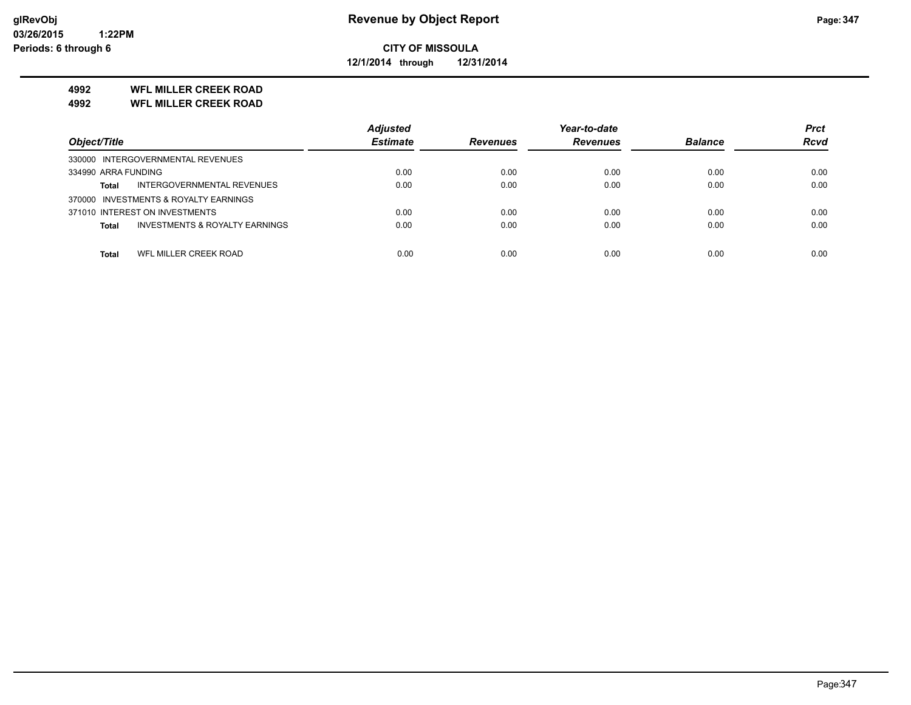**12/1/2014 through 12/31/2014**

# **4992 WFL MILLER CREEK ROAD**

**4992 WFL MILLER CREEK ROAD**

|                                                           | <b>Adjusted</b> |                 | Year-to-date    |                | <b>Prct</b> |
|-----------------------------------------------------------|-----------------|-----------------|-----------------|----------------|-------------|
| Object/Title                                              | <b>Estimate</b> | <b>Revenues</b> | <b>Revenues</b> | <b>Balance</b> | <b>Rcvd</b> |
| 330000 INTERGOVERNMENTAL REVENUES                         |                 |                 |                 |                |             |
| 334990 ARRA FUNDING                                       | 0.00            | 0.00            | 0.00            | 0.00           | 0.00        |
| INTERGOVERNMENTAL REVENUES<br><b>Total</b>                | 0.00            | 0.00            | 0.00            | 0.00           | 0.00        |
| 370000 INVESTMENTS & ROYALTY EARNINGS                     |                 |                 |                 |                |             |
| 371010 INTEREST ON INVESTMENTS                            | 0.00            | 0.00            | 0.00            | 0.00           | 0.00        |
| <b>INVESTMENTS &amp; ROYALTY EARNINGS</b><br><b>Total</b> | 0.00            | 0.00            | 0.00            | 0.00           | 0.00        |
|                                                           |                 |                 |                 |                |             |
| WFL MILLER CREEK ROAD<br><b>Total</b>                     | 0.00            | 0.00            | 0.00            | 0.00           | 0.00        |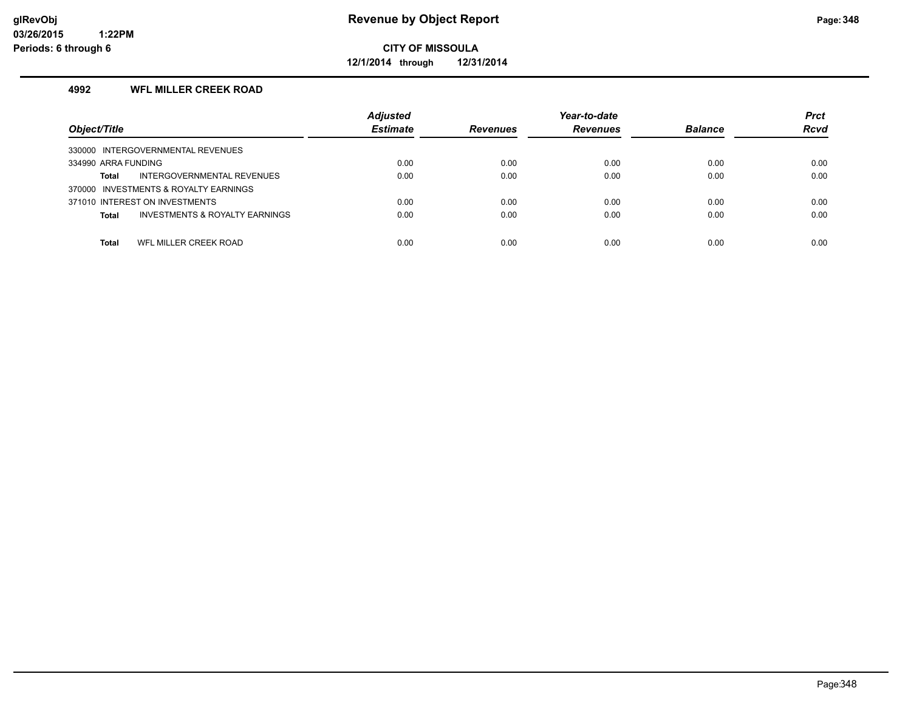**12/1/2014 through 12/31/2014**

#### **4992 WFL MILLER CREEK ROAD**

| Object/Title                                   | <b>Adjusted</b><br><b>Estimate</b> | <b>Revenues</b> | Year-to-date<br><b>Revenues</b> | <b>Balance</b> | <b>Prct</b><br><b>Rcvd</b> |
|------------------------------------------------|------------------------------------|-----------------|---------------------------------|----------------|----------------------------|
| 330000 INTERGOVERNMENTAL REVENUES              |                                    |                 |                                 |                |                            |
| 334990 ARRA FUNDING                            | 0.00                               | 0.00            | 0.00                            | 0.00           | 0.00                       |
| INTERGOVERNMENTAL REVENUES<br>Total            | 0.00                               | 0.00            | 0.00                            | 0.00           | 0.00                       |
| 370000 INVESTMENTS & ROYALTY EARNINGS          |                                    |                 |                                 |                |                            |
| 371010 INTEREST ON INVESTMENTS                 | 0.00                               | 0.00            | 0.00                            | 0.00           | 0.00                       |
| INVESTMENTS & ROYALTY EARNINGS<br><b>Total</b> | 0.00                               | 0.00            | 0.00                            | 0.00           | 0.00                       |
|                                                |                                    |                 |                                 |                |                            |
| WFL MILLER CREEK ROAD<br>Total                 | 0.00                               | 0.00            | 0.00                            | 0.00           | 0.00                       |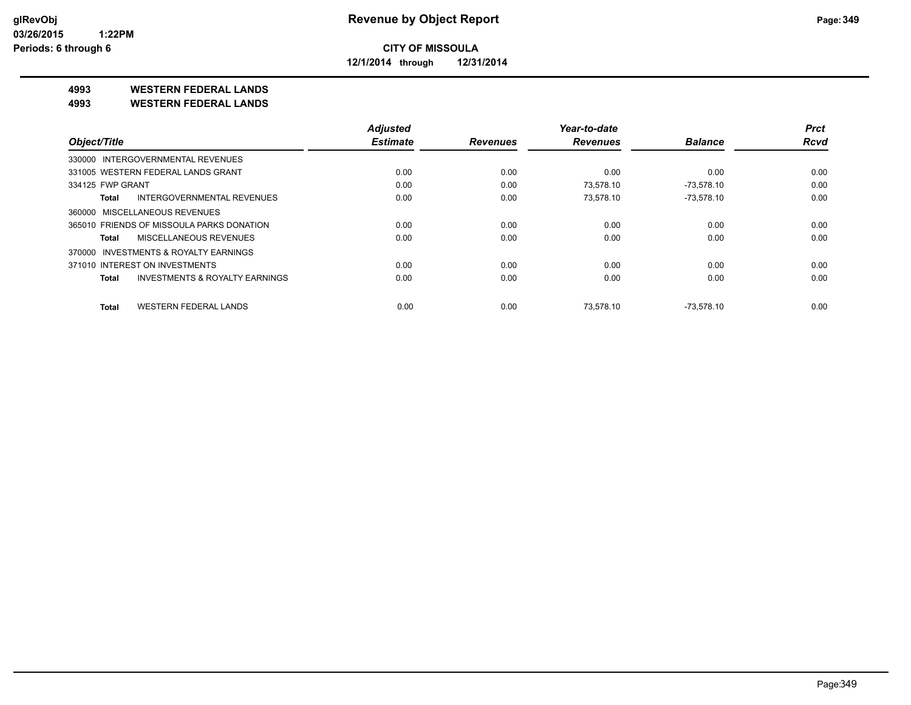**12/1/2014 through 12/31/2014**

# **4993 WESTERN FEDERAL LANDS**

**4993 WESTERN FEDERAL LANDS**

|                                              | <b>Adjusted</b> |                 | Year-to-date    |                | <b>Prct</b> |
|----------------------------------------------|-----------------|-----------------|-----------------|----------------|-------------|
| Object/Title                                 | <b>Estimate</b> | <b>Revenues</b> | <b>Revenues</b> | <b>Balance</b> | <b>Rcvd</b> |
| 330000 INTERGOVERNMENTAL REVENUES            |                 |                 |                 |                |             |
| 331005 WESTERN FEDERAL LANDS GRANT           | 0.00            | 0.00            | 0.00            | 0.00           | 0.00        |
| 334125 FWP GRANT                             | 0.00            | 0.00            | 73.578.10       | $-73.578.10$   | 0.00        |
| <b>INTERGOVERNMENTAL REVENUES</b><br>Total   | 0.00            | 0.00            | 73,578.10       | $-73,578.10$   | 0.00        |
| 360000 MISCELLANEOUS REVENUES                |                 |                 |                 |                |             |
| 365010 FRIENDS OF MISSOULA PARKS DONATION    | 0.00            | 0.00            | 0.00            | 0.00           | 0.00        |
| MISCELLANEOUS REVENUES<br>Total              | 0.00            | 0.00            | 0.00            | 0.00           | 0.00        |
| INVESTMENTS & ROYALTY EARNINGS<br>370000     |                 |                 |                 |                |             |
| 371010 INTEREST ON INVESTMENTS               | 0.00            | 0.00            | 0.00            | 0.00           | 0.00        |
| INVESTMENTS & ROYALTY EARNINGS<br>Total      | 0.00            | 0.00            | 0.00            | 0.00           | 0.00        |
| <b>WESTERN FEDERAL LANDS</b><br><b>Total</b> | 0.00            | 0.00            | 73.578.10       | $-73.578.10$   | 0.00        |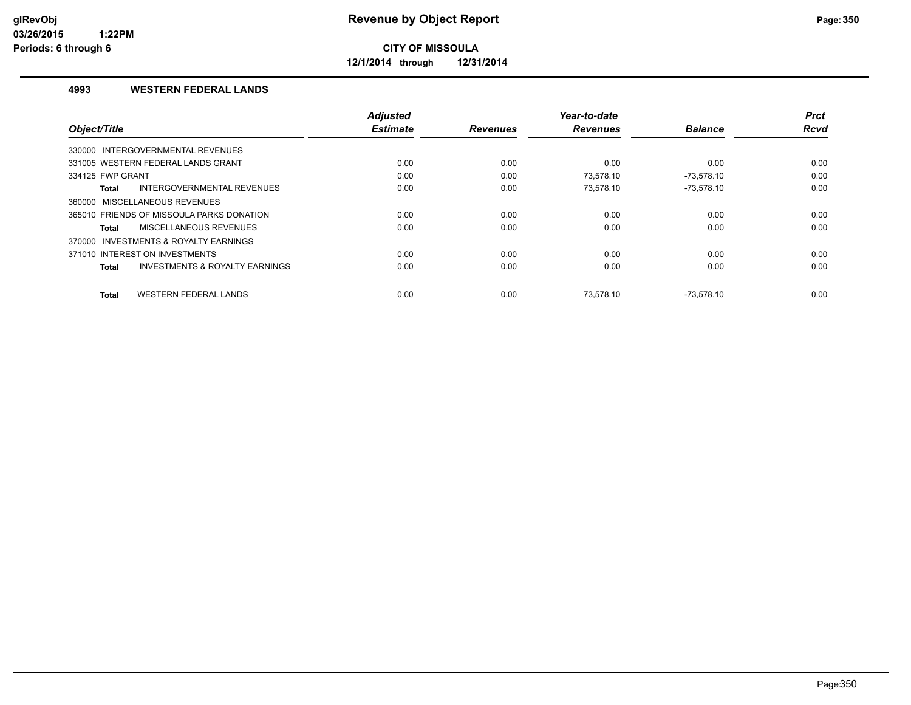**12/1/2014 through 12/31/2014**

#### **4993 WESTERN FEDERAL LANDS**

|                                                    | <b>Adjusted</b> |                 | Year-to-date    |                | <b>Prct</b> |
|----------------------------------------------------|-----------------|-----------------|-----------------|----------------|-------------|
| Object/Title                                       | <b>Estimate</b> | <b>Revenues</b> | <b>Revenues</b> | <b>Balance</b> | <b>Rcvd</b> |
| 330000 INTERGOVERNMENTAL REVENUES                  |                 |                 |                 |                |             |
| 331005 WESTERN FEDERAL LANDS GRANT                 | 0.00            | 0.00            | 0.00            | 0.00           | 0.00        |
| 334125 FWP GRANT                                   | 0.00            | 0.00            | 73.578.10       | $-73,578.10$   | 0.00        |
| INTERGOVERNMENTAL REVENUES<br>Total                | 0.00            | 0.00            | 73,578.10       | $-73,578.10$   | 0.00        |
| 360000 MISCELLANEOUS REVENUES                      |                 |                 |                 |                |             |
| 365010 FRIENDS OF MISSOULA PARKS DONATION          | 0.00            | 0.00            | 0.00            | 0.00           | 0.00        |
| MISCELLANEOUS REVENUES<br>Total                    | 0.00            | 0.00            | 0.00            | 0.00           | 0.00        |
| INVESTMENTS & ROYALTY EARNINGS<br>370000           |                 |                 |                 |                |             |
| 371010 INTEREST ON INVESTMENTS                     | 0.00            | 0.00            | 0.00            | 0.00           | 0.00        |
| <b>INVESTMENTS &amp; ROYALTY EARNINGS</b><br>Total | 0.00            | 0.00            | 0.00            | 0.00           | 0.00        |
|                                                    |                 |                 |                 |                |             |
| <b>WESTERN FEDERAL LANDS</b><br><b>Total</b>       | 0.00            | 0.00            | 73.578.10       | $-73.578.10$   | 0.00        |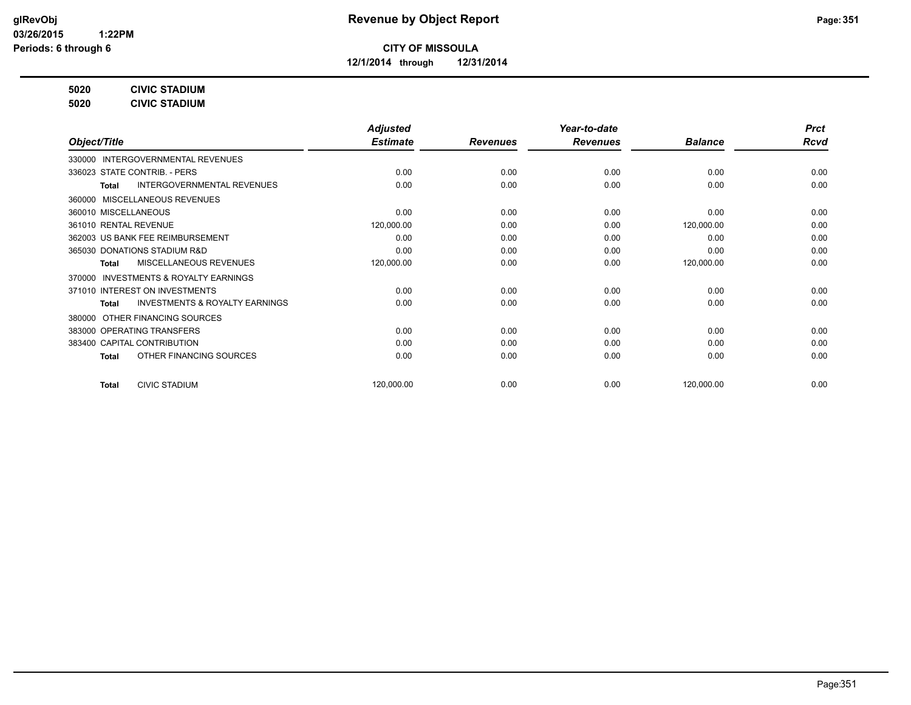**12/1/2014 through 12/31/2014**

**5020 CIVIC STADIUM**

**5020 CIVIC STADIUM**

|                                                           | <b>Adjusted</b> |                 | Year-to-date    |                | <b>Prct</b> |
|-----------------------------------------------------------|-----------------|-----------------|-----------------|----------------|-------------|
| Object/Title                                              | <b>Estimate</b> | <b>Revenues</b> | <b>Revenues</b> | <b>Balance</b> | Rcvd        |
| 330000 INTERGOVERNMENTAL REVENUES                         |                 |                 |                 |                |             |
| 336023 STATE CONTRIB. - PERS                              | 0.00            | 0.00            | 0.00            | 0.00           | 0.00        |
| <b>INTERGOVERNMENTAL REVENUES</b><br><b>Total</b>         | 0.00            | 0.00            | 0.00            | 0.00           | 0.00        |
| 360000 MISCELLANEOUS REVENUES                             |                 |                 |                 |                |             |
| 360010 MISCELLANEOUS                                      | 0.00            | 0.00            | 0.00            | 0.00           | 0.00        |
| 361010 RENTAL REVENUE                                     | 120,000.00      | 0.00            | 0.00            | 120,000.00     | 0.00        |
| 362003 US BANK FEE REIMBURSEMENT                          | 0.00            | 0.00            | 0.00            | 0.00           | 0.00        |
| 365030 DONATIONS STADIUM R&D                              | 0.00            | 0.00            | 0.00            | 0.00           | 0.00        |
| <b>MISCELLANEOUS REVENUES</b><br><b>Total</b>             | 120,000.00      | 0.00            | 0.00            | 120,000.00     | 0.00        |
| 370000 INVESTMENTS & ROYALTY EARNINGS                     |                 |                 |                 |                |             |
| 371010 INTEREST ON INVESTMENTS                            | 0.00            | 0.00            | 0.00            | 0.00           | 0.00        |
| <b>INVESTMENTS &amp; ROYALTY EARNINGS</b><br><b>Total</b> | 0.00            | 0.00            | 0.00            | 0.00           | 0.00        |
| OTHER FINANCING SOURCES<br>380000                         |                 |                 |                 |                |             |
| 383000 OPERATING TRANSFERS                                | 0.00            | 0.00            | 0.00            | 0.00           | 0.00        |
| 383400 CAPITAL CONTRIBUTION                               | 0.00            | 0.00            | 0.00            | 0.00           | 0.00        |
| OTHER FINANCING SOURCES<br><b>Total</b>                   | 0.00            | 0.00            | 0.00            | 0.00           | 0.00        |
| <b>CIVIC STADIUM</b>                                      |                 |                 |                 |                | 0.00        |
| <b>Total</b>                                              | 120,000.00      | 0.00            | 0.00            | 120,000.00     |             |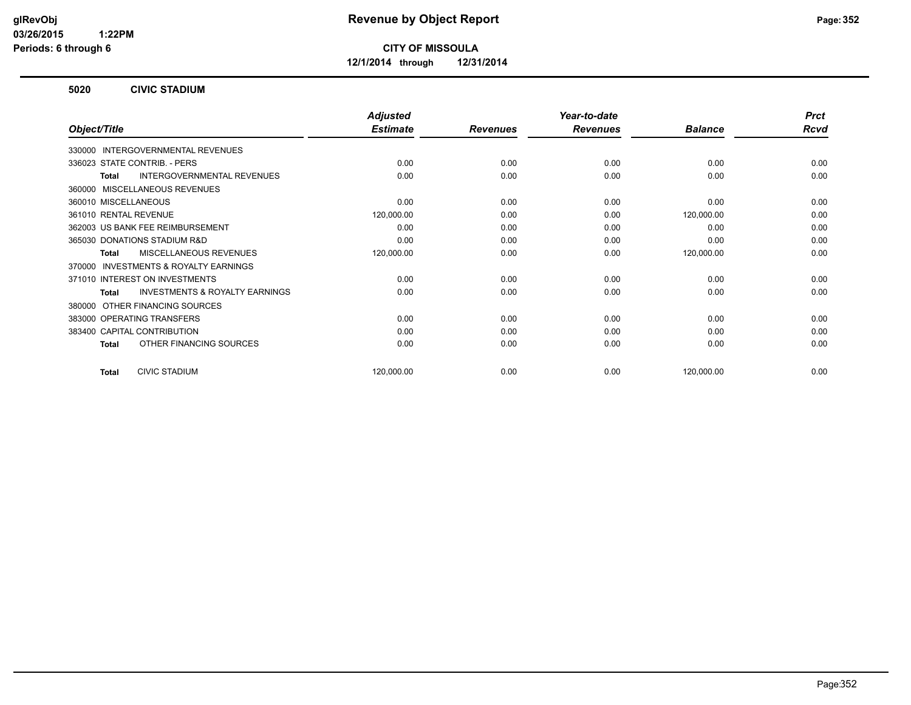**12/1/2014 through 12/31/2014**

#### **5020 CIVIC STADIUM**

|                                                           | <b>Adjusted</b> |                 | Year-to-date    |                | <b>Prct</b> |
|-----------------------------------------------------------|-----------------|-----------------|-----------------|----------------|-------------|
| Object/Title                                              | <b>Estimate</b> | <b>Revenues</b> | <b>Revenues</b> | <b>Balance</b> | <b>Rcvd</b> |
| 330000 INTERGOVERNMENTAL REVENUES                         |                 |                 |                 |                |             |
| 336023 STATE CONTRIB. - PERS                              | 0.00            | 0.00            | 0.00            | 0.00           | 0.00        |
| <b>INTERGOVERNMENTAL REVENUES</b><br>Total                | 0.00            | 0.00            | 0.00            | 0.00           | 0.00        |
| 360000 MISCELLANEOUS REVENUES                             |                 |                 |                 |                |             |
| 360010 MISCELLANEOUS                                      | 0.00            | 0.00            | 0.00            | 0.00           | 0.00        |
| 361010 RENTAL REVENUE                                     | 120,000.00      | 0.00            | 0.00            | 120,000.00     | 0.00        |
| 362003 US BANK FEE REIMBURSEMENT                          | 0.00            | 0.00            | 0.00            | 0.00           | 0.00        |
| 365030 DONATIONS STADIUM R&D                              | 0.00            | 0.00            | 0.00            | 0.00           | 0.00        |
| <b>MISCELLANEOUS REVENUES</b><br><b>Total</b>             | 120,000.00      | 0.00            | 0.00            | 120,000.00     | 0.00        |
| INVESTMENTS & ROYALTY EARNINGS<br>370000                  |                 |                 |                 |                |             |
| 371010 INTEREST ON INVESTMENTS                            | 0.00            | 0.00            | 0.00            | 0.00           | 0.00        |
| <b>INVESTMENTS &amp; ROYALTY EARNINGS</b><br><b>Total</b> | 0.00            | 0.00            | 0.00            | 0.00           | 0.00        |
| OTHER FINANCING SOURCES<br>380000                         |                 |                 |                 |                |             |
| 383000 OPERATING TRANSFERS                                | 0.00            | 0.00            | 0.00            | 0.00           | 0.00        |
| 383400 CAPITAL CONTRIBUTION                               | 0.00            | 0.00            | 0.00            | 0.00           | 0.00        |
| OTHER FINANCING SOURCES<br>Total                          | 0.00            | 0.00            | 0.00            | 0.00           | 0.00        |
| <b>CIVIC STADIUM</b><br><b>Total</b>                      | 120,000.00      | 0.00            | 0.00            | 120,000.00     | 0.00        |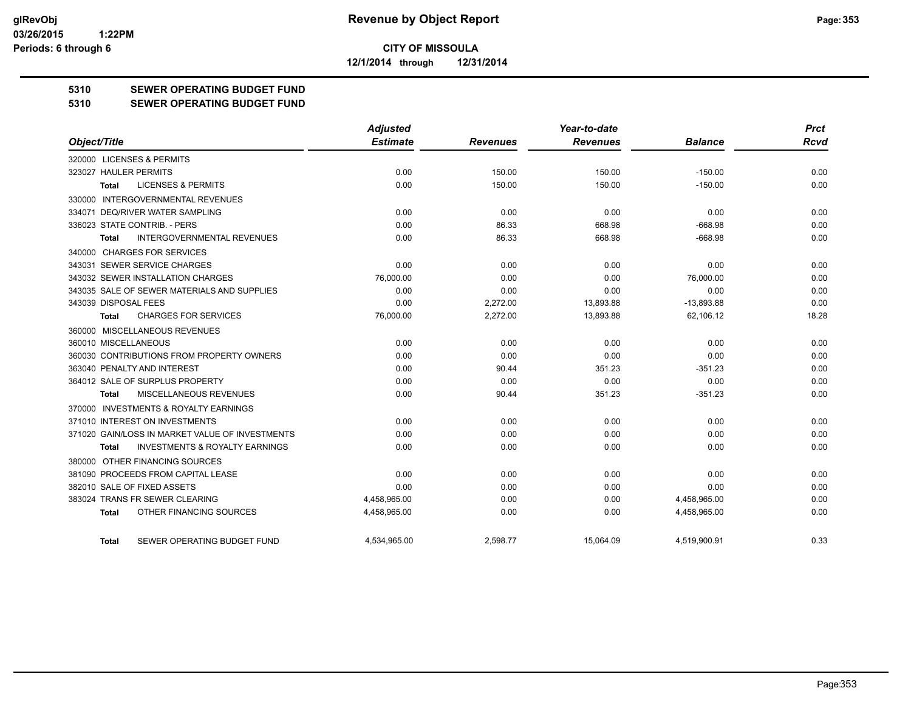**12/1/2014 through 12/31/2014**

# **5310 SEWER OPERATING BUDGET FUND**

#### **5310 SEWER OPERATING BUDGET FUND**

|                                                    | <b>Adjusted</b> |                 | Year-to-date    |                | <b>Prct</b> |
|----------------------------------------------------|-----------------|-----------------|-----------------|----------------|-------------|
| Object/Title                                       | <b>Estimate</b> | <b>Revenues</b> | <b>Revenues</b> | <b>Balance</b> | <b>Rcvd</b> |
| 320000 LICENSES & PERMITS                          |                 |                 |                 |                |             |
| 323027 HAULER PERMITS                              | 0.00            | 150.00          | 150.00          | $-150.00$      | 0.00        |
| <b>LICENSES &amp; PERMITS</b><br>Total             | 0.00            | 150.00          | 150.00          | $-150.00$      | 0.00        |
| 330000 INTERGOVERNMENTAL REVENUES                  |                 |                 |                 |                |             |
| 334071 DEQ/RIVER WATER SAMPLING                    | 0.00            | 0.00            | 0.00            | 0.00           | 0.00        |
| 336023 STATE CONTRIB. - PERS                       | 0.00            | 86.33           | 668.98          | $-668.98$      | 0.00        |
| <b>INTERGOVERNMENTAL REVENUES</b><br>Total         | 0.00            | 86.33           | 668.98          | $-668.98$      | 0.00        |
| 340000 CHARGES FOR SERVICES                        |                 |                 |                 |                |             |
| 343031 SEWER SERVICE CHARGES                       | 0.00            | 0.00            | 0.00            | 0.00           | 0.00        |
| 343032 SEWER INSTALLATION CHARGES                  | 76.000.00       | 0.00            | 0.00            | 76.000.00      | 0.00        |
| 343035 SALE OF SEWER MATERIALS AND SUPPLIES        | 0.00            | 0.00            | 0.00            | 0.00           | 0.00        |
| 343039 DISPOSAL FEES                               | 0.00            | 2,272.00        | 13,893.88       | $-13,893.88$   | 0.00        |
| <b>CHARGES FOR SERVICES</b><br>Total               | 76,000.00       | 2,272.00        | 13,893.88       | 62,106.12      | 18.28       |
| 360000 MISCELLANEOUS REVENUES                      |                 |                 |                 |                |             |
| 360010 MISCELLANEOUS                               | 0.00            | 0.00            | 0.00            | 0.00           | 0.00        |
| 360030 CONTRIBUTIONS FROM PROPERTY OWNERS          | 0.00            | 0.00            | 0.00            | 0.00           | 0.00        |
| 363040 PENALTY AND INTEREST                        | 0.00            | 90.44           | 351.23          | $-351.23$      | 0.00        |
| 364012 SALE OF SURPLUS PROPERTY                    | 0.00            | 0.00            | 0.00            | 0.00           | 0.00        |
| <b>MISCELLANEOUS REVENUES</b><br>Total             | 0.00            | 90.44           | 351.23          | $-351.23$      | 0.00        |
| 370000 INVESTMENTS & ROYALTY EARNINGS              |                 |                 |                 |                |             |
| 371010 INTEREST ON INVESTMENTS                     | 0.00            | 0.00            | 0.00            | 0.00           | 0.00        |
| 371020 GAIN/LOSS IN MARKET VALUE OF INVESTMENTS    | 0.00            | 0.00            | 0.00            | 0.00           | 0.00        |
| <b>INVESTMENTS &amp; ROYALTY EARNINGS</b><br>Total | 0.00            | 0.00            | 0.00            | 0.00           | 0.00        |
| 380000 OTHER FINANCING SOURCES                     |                 |                 |                 |                |             |
| 381090 PROCEEDS FROM CAPITAL LEASE                 | 0.00            | 0.00            | 0.00            | 0.00           | 0.00        |
| 382010 SALE OF FIXED ASSETS                        | 0.00            | 0.00            | 0.00            | 0.00           | 0.00        |
| 383024 TRANS FR SEWER CLEARING                     | 4,458,965.00    | 0.00            | 0.00            | 4,458,965.00   | 0.00        |
| OTHER FINANCING SOURCES<br>Total                   | 4,458,965.00    | 0.00            | 0.00            | 4,458,965.00   | 0.00        |
| SEWER OPERATING BUDGET FUND<br><b>Total</b>        | 4.534.965.00    | 2.598.77        | 15.064.09       | 4.519.900.91   | 0.33        |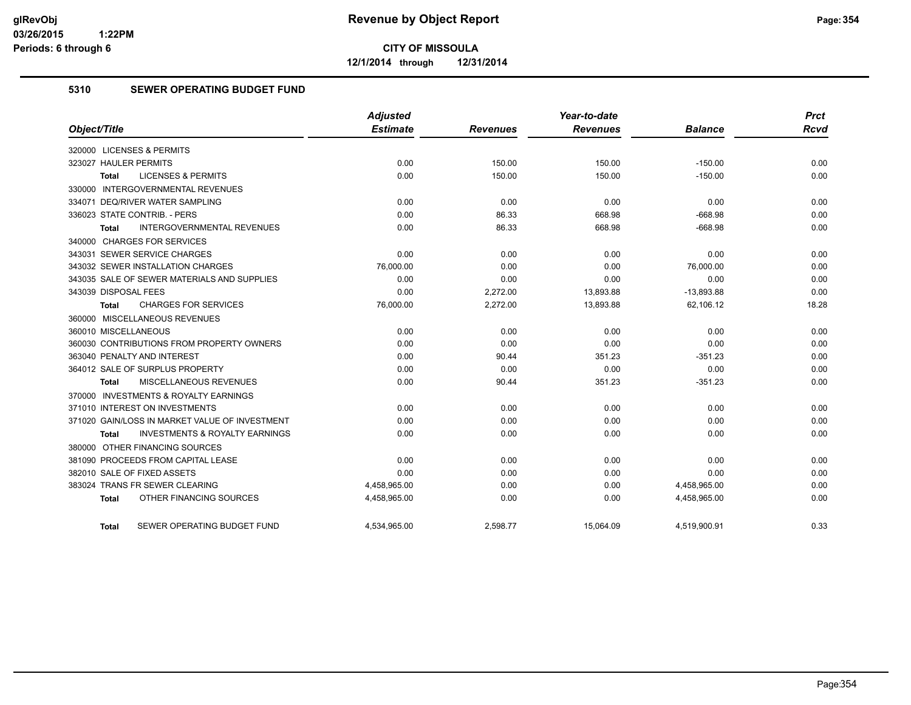**12/1/2014 through 12/31/2014**

## **5310 SEWER OPERATING BUDGET FUND**

| Object/Title                                              | <b>Adjusted</b><br><b>Estimate</b> | <b>Revenues</b> | Year-to-date<br><b>Revenues</b> | <b>Balance</b> | <b>Prct</b><br><b>Rcvd</b> |
|-----------------------------------------------------------|------------------------------------|-----------------|---------------------------------|----------------|----------------------------|
|                                                           |                                    |                 |                                 |                |                            |
| 320000 LICENSES & PERMITS                                 |                                    |                 |                                 |                |                            |
| 323027 HAULER PERMITS                                     | 0.00                               | 150.00          | 150.00                          | $-150.00$      | 0.00                       |
| <b>LICENSES &amp; PERMITS</b><br><b>Total</b>             | 0.00                               | 150.00          | 150.00                          | $-150.00$      | 0.00                       |
| 330000 INTERGOVERNMENTAL REVENUES                         |                                    |                 |                                 |                |                            |
| 334071 DEQ/RIVER WATER SAMPLING                           | 0.00                               | 0.00            | 0.00                            | 0.00           | 0.00                       |
| 336023 STATE CONTRIB. - PERS                              | 0.00                               | 86.33           | 668.98                          | $-668.98$      | 0.00                       |
| INTERGOVERNMENTAL REVENUES<br>Total                       | 0.00                               | 86.33           | 668.98                          | $-668.98$      | 0.00                       |
| 340000 CHARGES FOR SERVICES                               |                                    |                 |                                 |                |                            |
| 343031 SEWER SERVICE CHARGES                              | 0.00                               | 0.00            | 0.00                            | 0.00           | 0.00                       |
| 343032 SEWER INSTALLATION CHARGES                         | 76,000.00                          | 0.00            | 0.00                            | 76,000.00      | 0.00                       |
| 343035 SALE OF SEWER MATERIALS AND SUPPLIES               | 0.00                               | 0.00            | 0.00                            | 0.00           | 0.00                       |
| 343039 DISPOSAL FEES                                      | 0.00                               | 2,272.00        | 13,893.88                       | $-13,893.88$   | 0.00                       |
| <b>CHARGES FOR SERVICES</b><br><b>Total</b>               | 76,000.00                          | 2,272.00        | 13,893.88                       | 62,106.12      | 18.28                      |
| 360000 MISCELLANEOUS REVENUES                             |                                    |                 |                                 |                |                            |
| 360010 MISCELLANEOUS                                      | 0.00                               | 0.00            | 0.00                            | 0.00           | 0.00                       |
| 360030 CONTRIBUTIONS FROM PROPERTY OWNERS                 | 0.00                               | 0.00            | 0.00                            | 0.00           | 0.00                       |
| 363040 PENALTY AND INTEREST                               | 0.00                               | 90.44           | 351.23                          | $-351.23$      | 0.00                       |
| 364012 SALE OF SURPLUS PROPERTY                           | 0.00                               | 0.00            | 0.00                            | 0.00           | 0.00                       |
| MISCELLANEOUS REVENUES<br>Total                           | 0.00                               | 90.44           | 351.23                          | $-351.23$      | 0.00                       |
| 370000 INVESTMENTS & ROYALTY EARNINGS                     |                                    |                 |                                 |                |                            |
| 371010 INTEREST ON INVESTMENTS                            | 0.00                               | 0.00            | 0.00                            | 0.00           | 0.00                       |
| 371020 GAIN/LOSS IN MARKET VALUE OF INVESTMENT            | 0.00                               | 0.00            | 0.00                            | 0.00           | 0.00                       |
| <b>INVESTMENTS &amp; ROYALTY EARNINGS</b><br><b>Total</b> | 0.00                               | 0.00            | 0.00                            | 0.00           | 0.00                       |
| 380000 OTHER FINANCING SOURCES                            |                                    |                 |                                 |                |                            |
| 381090 PROCEEDS FROM CAPITAL LEASE                        | 0.00                               | 0.00            | 0.00                            | 0.00           | 0.00                       |
| 382010 SALE OF FIXED ASSETS                               | 0.00                               | 0.00            | 0.00                            | 0.00           | 0.00                       |
| 383024 TRANS FR SEWER CLEARING                            | 4,458,965.00                       | 0.00            | 0.00                            | 4,458,965.00   | 0.00                       |
| OTHER FINANCING SOURCES<br><b>Total</b>                   | 4,458,965.00                       | 0.00            | 0.00                            | 4,458,965.00   | 0.00                       |
|                                                           |                                    |                 |                                 |                |                            |
| SEWER OPERATING BUDGET FUND<br>Total                      | 4,534,965.00                       | 2.598.77        | 15,064.09                       | 4,519,900.91   | 0.33                       |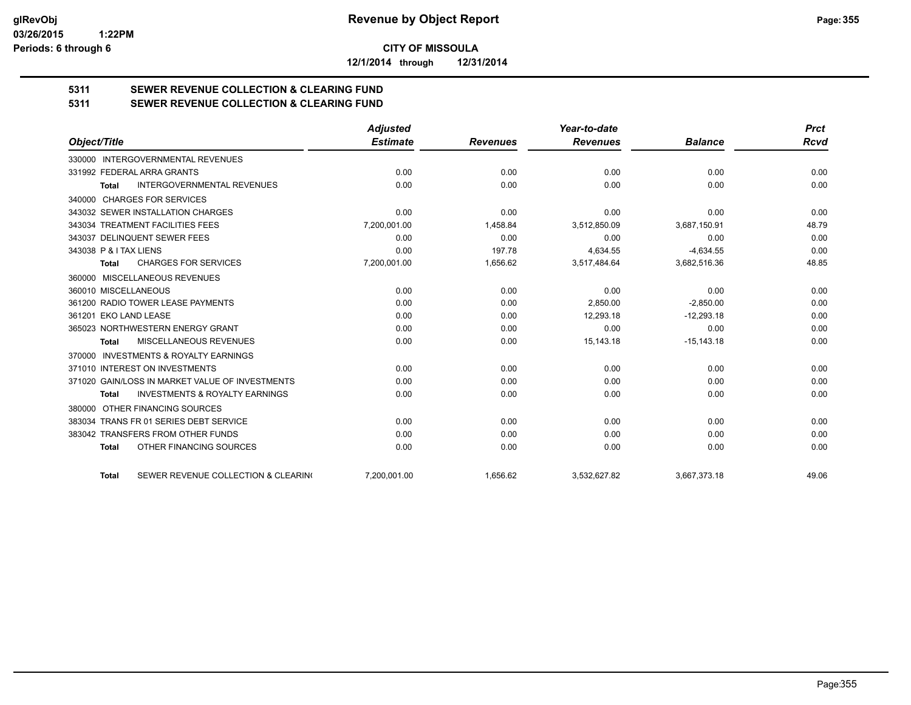**12/1/2014 through 12/31/2014**

# **5311 SEWER REVENUE COLLECTION & CLEARING FUND**

**5311 SEWER REVENUE COLLECTION & CLEARING FUND**

|                                                           | <b>Adjusted</b> |                 | Year-to-date    |                | <b>Prct</b> |
|-----------------------------------------------------------|-----------------|-----------------|-----------------|----------------|-------------|
| Object/Title                                              | <b>Estimate</b> | <b>Revenues</b> | <b>Revenues</b> | <b>Balance</b> | <b>Rcvd</b> |
| 330000 INTERGOVERNMENTAL REVENUES                         |                 |                 |                 |                |             |
| 331992 FEDERAL ARRA GRANTS                                | 0.00            | 0.00            | 0.00            | 0.00           | 0.00        |
| <b>INTERGOVERNMENTAL REVENUES</b><br><b>Total</b>         | 0.00            | 0.00            | 0.00            | 0.00           | 0.00        |
| 340000 CHARGES FOR SERVICES                               |                 |                 |                 |                |             |
| 343032 SEWER INSTALLATION CHARGES                         | 0.00            | 0.00            | 0.00            | 0.00           | 0.00        |
| 343034 TREATMENT FACILITIES FEES                          | 7,200,001.00    | 1,458.84        | 3,512,850.09    | 3,687,150.91   | 48.79       |
| 343037 DELINQUENT SEWER FEES                              | 0.00            | 0.00            | 0.00            | 0.00           | 0.00        |
| 343038 P & I TAX LIENS                                    | 0.00            | 197.78          | 4,634.55        | $-4,634.55$    | 0.00        |
| <b>CHARGES FOR SERVICES</b><br>Total                      | 7,200,001.00    | 1,656.62        | 3,517,484.64    | 3,682,516.36   | 48.85       |
| 360000 MISCELLANEOUS REVENUES                             |                 |                 |                 |                |             |
| 360010 MISCELLANEOUS                                      | 0.00            | 0.00            | 0.00            | 0.00           | 0.00        |
| 361200 RADIO TOWER LEASE PAYMENTS                         | 0.00            | 0.00            | 2,850.00        | $-2,850.00$    | 0.00        |
| 361201 EKO LAND LEASE                                     | 0.00            | 0.00            | 12,293.18       | $-12,293.18$   | 0.00        |
| 365023 NORTHWESTERN ENERGY GRANT                          | 0.00            | 0.00            | 0.00            | 0.00           | 0.00        |
| MISCELLANEOUS REVENUES<br><b>Total</b>                    | 0.00            | 0.00            | 15,143.18       | $-15, 143.18$  | 0.00        |
| <b>INVESTMENTS &amp; ROYALTY EARNINGS</b><br>370000       |                 |                 |                 |                |             |
| 371010 INTEREST ON INVESTMENTS                            | 0.00            | 0.00            | 0.00            | 0.00           | 0.00        |
| 371020 GAIN/LOSS IN MARKET VALUE OF INVESTMENTS           | 0.00            | 0.00            | 0.00            | 0.00           | 0.00        |
| <b>INVESTMENTS &amp; ROYALTY EARNINGS</b><br><b>Total</b> | 0.00            | 0.00            | 0.00            | 0.00           | 0.00        |
| 380000 OTHER FINANCING SOURCES                            |                 |                 |                 |                |             |
| 383034 TRANS FR 01 SERIES DEBT SERVICE                    | 0.00            | 0.00            | 0.00            | 0.00           | 0.00        |
| 383042 TRANSFERS FROM OTHER FUNDS                         | 0.00            | 0.00            | 0.00            | 0.00           | 0.00        |
| OTHER FINANCING SOURCES<br><b>Total</b>                   | 0.00            | 0.00            | 0.00            | 0.00           | 0.00        |
| SEWER REVENUE COLLECTION & CLEARING<br><b>Total</b>       | 7,200,001.00    | 1,656.62        | 3,532,627.82    | 3,667,373.18   | 49.06       |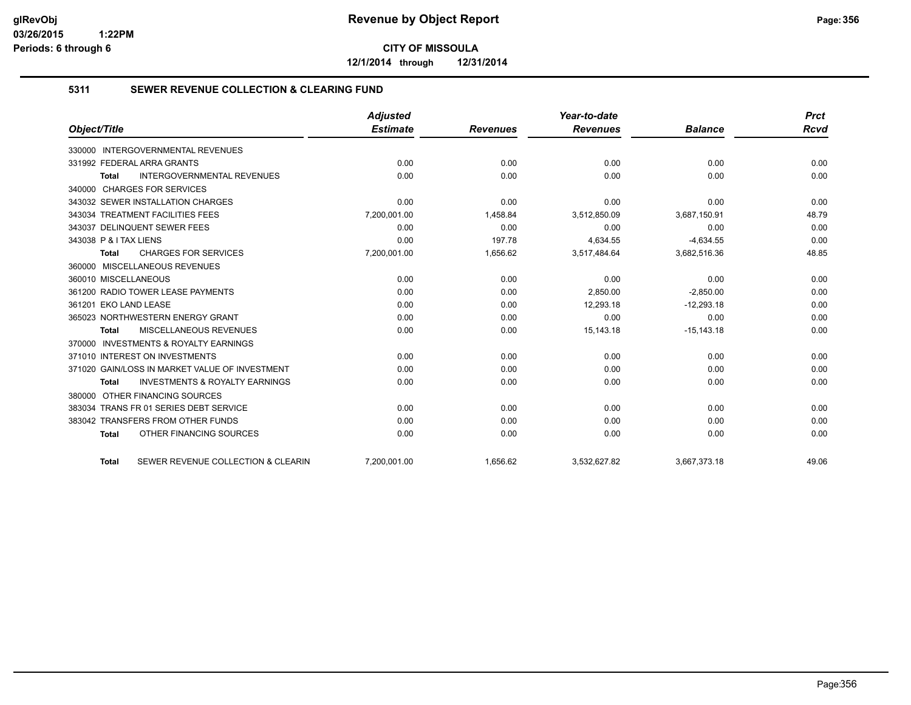**12/1/2014 through 12/31/2014**

### **5311 SEWER REVENUE COLLECTION & CLEARING FUND**

|                                                           | <b>Adjusted</b> |                 | Year-to-date    |                | <b>Prct</b> |
|-----------------------------------------------------------|-----------------|-----------------|-----------------|----------------|-------------|
| Object/Title                                              | <b>Estimate</b> | <b>Revenues</b> | <b>Revenues</b> | <b>Balance</b> | <b>Rcvd</b> |
| 330000 INTERGOVERNMENTAL REVENUES                         |                 |                 |                 |                |             |
| 331992 FEDERAL ARRA GRANTS                                | 0.00            | 0.00            | 0.00            | 0.00           | 0.00        |
| <b>INTERGOVERNMENTAL REVENUES</b><br><b>Total</b>         | 0.00            | 0.00            | 0.00            | 0.00           | 0.00        |
| 340000 CHARGES FOR SERVICES                               |                 |                 |                 |                |             |
| 343032 SEWER INSTALLATION CHARGES                         | 0.00            | 0.00            | 0.00            | 0.00           | 0.00        |
| 343034 TREATMENT FACILITIES FEES                          | 7,200,001.00    | 1,458.84        | 3,512,850.09    | 3,687,150.91   | 48.79       |
| 343037 DELINQUENT SEWER FEES                              | 0.00            | 0.00            | 0.00            | 0.00           | 0.00        |
| 343038 P & I TAX LIENS                                    | 0.00            | 197.78          | 4,634.55        | $-4,634.55$    | 0.00        |
| <b>CHARGES FOR SERVICES</b><br>Total                      | 7,200,001.00    | 1,656.62        | 3,517,484.64    | 3,682,516.36   | 48.85       |
| 360000 MISCELLANEOUS REVENUES                             |                 |                 |                 |                |             |
| 360010 MISCELLANEOUS                                      | 0.00            | 0.00            | 0.00            | 0.00           | 0.00        |
| 361200 RADIO TOWER LEASE PAYMENTS                         | 0.00            | 0.00            | 2,850.00        | $-2,850.00$    | 0.00        |
| 361201 EKO LAND LEASE                                     | 0.00            | 0.00            | 12.293.18       | $-12,293.18$   | 0.00        |
| 365023 NORTHWESTERN ENERGY GRANT                          | 0.00            | 0.00            | 0.00            | 0.00           | 0.00        |
| MISCELLANEOUS REVENUES<br><b>Total</b>                    | 0.00            | 0.00            | 15,143.18       | $-15, 143.18$  | 0.00        |
| 370000 INVESTMENTS & ROYALTY EARNINGS                     |                 |                 |                 |                |             |
| 371010 INTEREST ON INVESTMENTS                            | 0.00            | 0.00            | 0.00            | 0.00           | 0.00        |
| 371020 GAIN/LOSS IN MARKET VALUE OF INVESTMENT            | 0.00            | 0.00            | 0.00            | 0.00           | 0.00        |
| <b>INVESTMENTS &amp; ROYALTY EARNINGS</b><br><b>Total</b> | 0.00            | 0.00            | 0.00            | 0.00           | 0.00        |
| OTHER FINANCING SOURCES<br>380000                         |                 |                 |                 |                |             |
| 383034 TRANS FR 01 SERIES DEBT SERVICE                    | 0.00            | 0.00            | 0.00            | 0.00           | 0.00        |
| 383042 TRANSFERS FROM OTHER FUNDS                         | 0.00            | 0.00            | 0.00            | 0.00           | 0.00        |
| OTHER FINANCING SOURCES<br><b>Total</b>                   | 0.00            | 0.00            | 0.00            | 0.00           | 0.00        |
| SEWER REVENUE COLLECTION & CLEARIN<br><b>Total</b>        | 7,200,001.00    | 1,656.62        | 3,532,627.82    | 3,667,373.18   | 49.06       |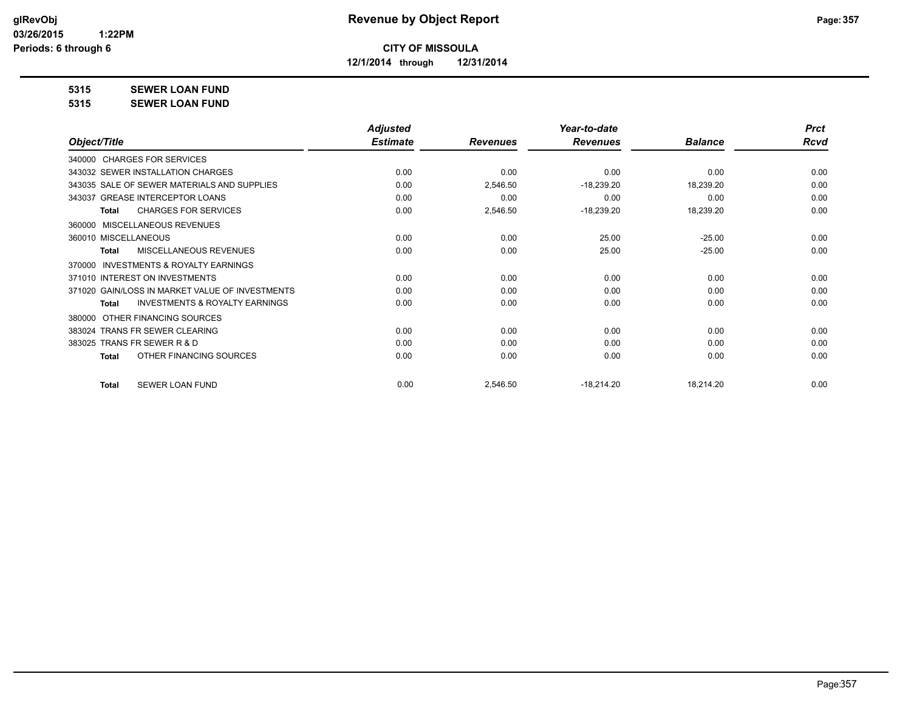**12/1/2014 through 12/31/2014**

**5315 SEWER LOAN FUND**

**5315 SEWER LOAN FUND**

|                                                     | <b>Adjusted</b> |                 | Year-to-date    |                | <b>Prct</b> |
|-----------------------------------------------------|-----------------|-----------------|-----------------|----------------|-------------|
| Object/Title                                        | <b>Estimate</b> | <b>Revenues</b> | <b>Revenues</b> | <b>Balance</b> | <b>Rcvd</b> |
| 340000 CHARGES FOR SERVICES                         |                 |                 |                 |                |             |
| 343032 SEWER INSTALLATION CHARGES                   | 0.00            | 0.00            | 0.00            | 0.00           | 0.00        |
| 343035 SALE OF SEWER MATERIALS AND SUPPLIES         | 0.00            | 2,546.50        | $-18,239.20$    | 18,239.20      | 0.00        |
| 343037 GREASE INTERCEPTOR LOANS                     | 0.00            | 0.00            | 0.00            | 0.00           | 0.00        |
| <b>CHARGES FOR SERVICES</b><br><b>Total</b>         | 0.00            | 2,546.50        | $-18,239.20$    | 18,239.20      | 0.00        |
| <b>MISCELLANEOUS REVENUES</b><br>360000             |                 |                 |                 |                |             |
| 360010 MISCELLANEOUS                                | 0.00            | 0.00            | 25.00           | $-25.00$       | 0.00        |
| <b>MISCELLANEOUS REVENUES</b><br>Total              | 0.00            | 0.00            | 25.00           | $-25.00$       | 0.00        |
| <b>INVESTMENTS &amp; ROYALTY EARNINGS</b><br>370000 |                 |                 |                 |                |             |
| 371010 INTEREST ON INVESTMENTS                      | 0.00            | 0.00            | 0.00            | 0.00           | 0.00        |
| 371020 GAIN/LOSS IN MARKET VALUE OF INVESTMENTS     | 0.00            | 0.00            | 0.00            | 0.00           | 0.00        |
| <b>INVESTMENTS &amp; ROYALTY EARNINGS</b><br>Total  | 0.00            | 0.00            | 0.00            | 0.00           | 0.00        |
| OTHER FINANCING SOURCES<br>380000                   |                 |                 |                 |                |             |
| 383024 TRANS FR SEWER CLEARING                      | 0.00            | 0.00            | 0.00            | 0.00           | 0.00        |
| 383025 TRANS FR SEWER R & D                         | 0.00            | 0.00            | 0.00            | 0.00           | 0.00        |
| OTHER FINANCING SOURCES<br><b>Total</b>             | 0.00            | 0.00            | 0.00            | 0.00           | 0.00        |
|                                                     |                 |                 |                 |                |             |
| <b>SEWER LOAN FUND</b><br><b>Total</b>              | 0.00            | 2,546.50        | $-18,214.20$    | 18,214.20      | 0.00        |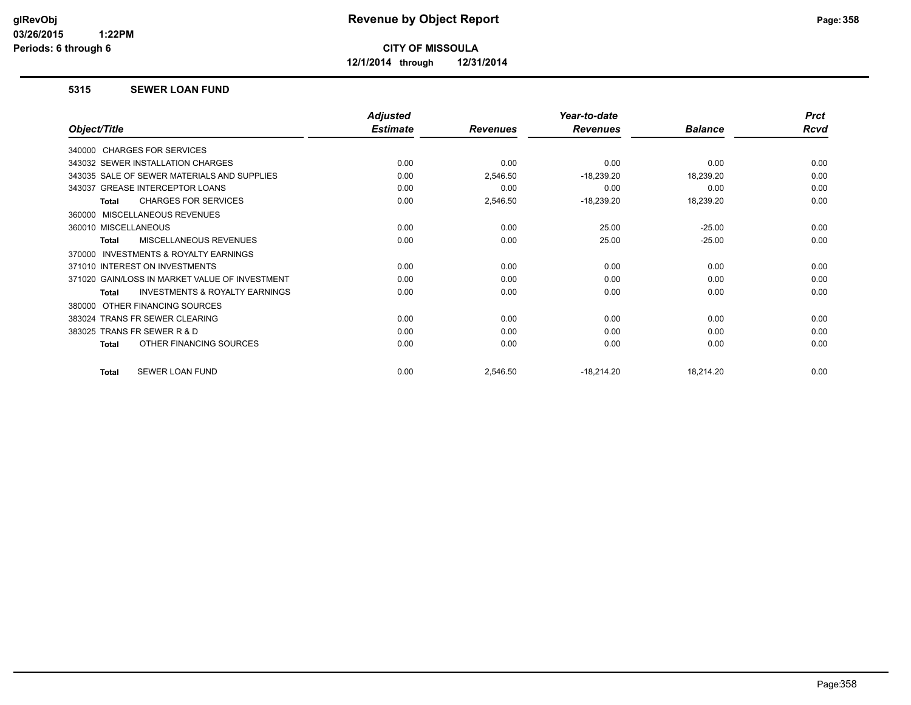**12/1/2014 through 12/31/2014**

#### **5315 SEWER LOAN FUND**

|                                                           | <b>Adjusted</b> |                 | Year-to-date    |                | <b>Prct</b> |
|-----------------------------------------------------------|-----------------|-----------------|-----------------|----------------|-------------|
| Object/Title                                              | <b>Estimate</b> | <b>Revenues</b> | <b>Revenues</b> | <b>Balance</b> | <b>Rcvd</b> |
| 340000 CHARGES FOR SERVICES                               |                 |                 |                 |                |             |
| 343032 SEWER INSTALLATION CHARGES                         | 0.00            | 0.00            | 0.00            | 0.00           | 0.00        |
| 343035 SALE OF SEWER MATERIALS AND SUPPLIES               | 0.00            | 2,546.50        | $-18,239.20$    | 18,239.20      | 0.00        |
| 343037 GREASE INTERCEPTOR LOANS                           | 0.00            | 0.00            | 0.00            | 0.00           | 0.00        |
| <b>CHARGES FOR SERVICES</b><br><b>Total</b>               | 0.00            | 2,546.50        | $-18,239.20$    | 18,239.20      | 0.00        |
| MISCELLANEOUS REVENUES<br>360000                          |                 |                 |                 |                |             |
| 360010 MISCELLANEOUS                                      | 0.00            | 0.00            | 25.00           | $-25.00$       | 0.00        |
| MISCELLANEOUS REVENUES<br><b>Total</b>                    | 0.00            | 0.00            | 25.00           | $-25.00$       | 0.00        |
| INVESTMENTS & ROYALTY EARNINGS<br>370000                  |                 |                 |                 |                |             |
| 371010 INTEREST ON INVESTMENTS                            | 0.00            | 0.00            | 0.00            | 0.00           | 0.00        |
| 371020 GAIN/LOSS IN MARKET VALUE OF INVESTMENT            | 0.00            | 0.00            | 0.00            | 0.00           | 0.00        |
| <b>INVESTMENTS &amp; ROYALTY EARNINGS</b><br><b>Total</b> | 0.00            | 0.00            | 0.00            | 0.00           | 0.00        |
| OTHER FINANCING SOURCES<br>380000                         |                 |                 |                 |                |             |
| 383024 TRANS FR SEWER CLEARING                            | 0.00            | 0.00            | 0.00            | 0.00           | 0.00        |
| 383025 TRANS FR SEWER R & D                               | 0.00            | 0.00            | 0.00            | 0.00           | 0.00        |
| OTHER FINANCING SOURCES<br><b>Total</b>                   | 0.00            | 0.00            | 0.00            | 0.00           | 0.00        |
| SEWER LOAN FUND<br><b>Total</b>                           | 0.00            | 2,546.50        | $-18,214.20$    | 18,214.20      | 0.00        |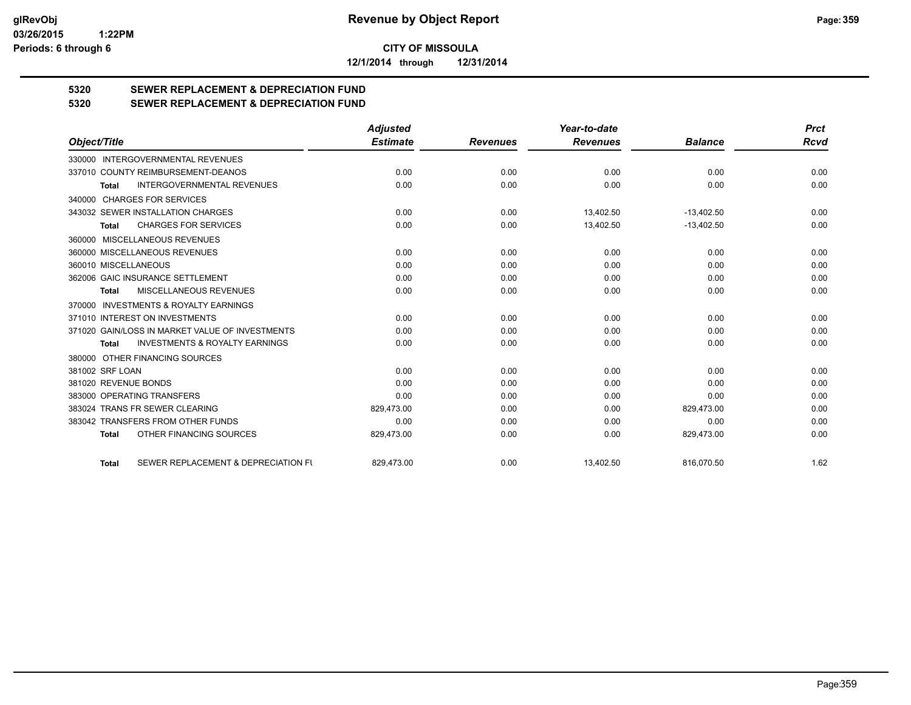**12/1/2014 through 12/31/2014**

# **5320 SEWER REPLACEMENT & DEPRECIATION FUND**

# **5320 SEWER REPLACEMENT & DEPRECIATION FUND**

|                                                           | <b>Adjusted</b> |                 | Year-to-date    |                | <b>Prct</b> |
|-----------------------------------------------------------|-----------------|-----------------|-----------------|----------------|-------------|
| Object/Title                                              | <b>Estimate</b> | <b>Revenues</b> | <b>Revenues</b> | <b>Balance</b> | <b>Rcvd</b> |
| 330000 INTERGOVERNMENTAL REVENUES                         |                 |                 |                 |                |             |
| 337010 COUNTY REIMBURSEMENT-DEANOS                        | 0.00            | 0.00            | 0.00            | 0.00           | 0.00        |
| <b>INTERGOVERNMENTAL REVENUES</b><br><b>Total</b>         | 0.00            | 0.00            | 0.00            | 0.00           | 0.00        |
| 340000 CHARGES FOR SERVICES                               |                 |                 |                 |                |             |
| 343032 SEWER INSTALLATION CHARGES                         | 0.00            | 0.00            | 13,402.50       | $-13,402.50$   | 0.00        |
| <b>CHARGES FOR SERVICES</b><br><b>Total</b>               | 0.00            | 0.00            | 13,402.50       | $-13,402.50$   | 0.00        |
| 360000 MISCELLANEOUS REVENUES                             |                 |                 |                 |                |             |
| 360000 MISCELLANEOUS REVENUES                             | 0.00            | 0.00            | 0.00            | 0.00           | 0.00        |
| 360010 MISCELLANEOUS                                      | 0.00            | 0.00            | 0.00            | 0.00           | 0.00        |
| 362006 GAIC INSURANCE SETTLEMENT                          | 0.00            | 0.00            | 0.00            | 0.00           | 0.00        |
| MISCELLANEOUS REVENUES<br><b>Total</b>                    | 0.00            | 0.00            | 0.00            | 0.00           | 0.00        |
| 370000 INVESTMENTS & ROYALTY EARNINGS                     |                 |                 |                 |                |             |
| 371010 INTEREST ON INVESTMENTS                            | 0.00            | 0.00            | 0.00            | 0.00           | 0.00        |
| 371020 GAIN/LOSS IN MARKET VALUE OF INVESTMENTS           | 0.00            | 0.00            | 0.00            | 0.00           | 0.00        |
| <b>INVESTMENTS &amp; ROYALTY EARNINGS</b><br><b>Total</b> | 0.00            | 0.00            | 0.00            | 0.00           | 0.00        |
| 380000 OTHER FINANCING SOURCES                            |                 |                 |                 |                |             |
| 381002 SRF LOAN                                           | 0.00            | 0.00            | 0.00            | 0.00           | 0.00        |
| 381020 REVENUE BONDS                                      | 0.00            | 0.00            | 0.00            | 0.00           | 0.00        |
| 383000 OPERATING TRANSFERS                                | 0.00            | 0.00            | 0.00            | 0.00           | 0.00        |
| 383024 TRANS FR SEWER CLEARING                            | 829,473.00      | 0.00            | 0.00            | 829,473.00     | 0.00        |
| 383042 TRANSFERS FROM OTHER FUNDS                         | 0.00            | 0.00            | 0.00            | 0.00           | 0.00        |
| OTHER FINANCING SOURCES<br><b>Total</b>                   | 829,473.00      | 0.00            | 0.00            | 829,473.00     | 0.00        |
| SEWER REPLACEMENT & DEPRECIATION FI<br><b>Total</b>       | 829,473.00      | 0.00            | 13,402.50       | 816,070.50     | 1.62        |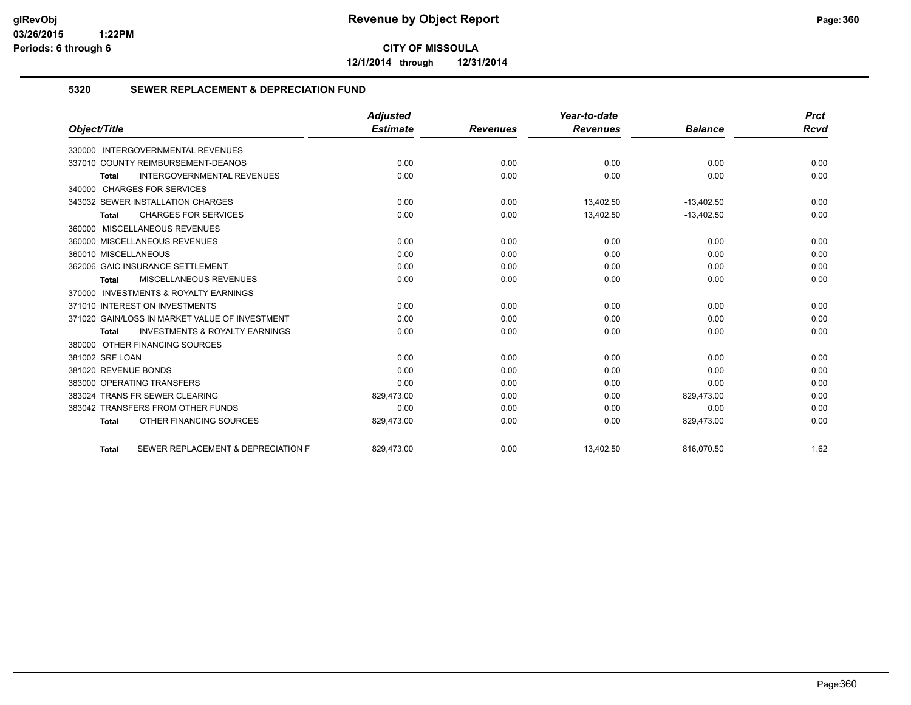**12/1/2014 through 12/31/2014**

### **5320 SEWER REPLACEMENT & DEPRECIATION FUND**

|                                                           | <b>Adjusted</b> |                 | Year-to-date    |                | <b>Prct</b> |
|-----------------------------------------------------------|-----------------|-----------------|-----------------|----------------|-------------|
| Object/Title                                              | <b>Estimate</b> | <b>Revenues</b> | <b>Revenues</b> | <b>Balance</b> | Rcvd        |
| 330000 INTERGOVERNMENTAL REVENUES                         |                 |                 |                 |                |             |
| 337010 COUNTY REIMBURSEMENT-DEANOS                        | 0.00            | 0.00            | 0.00            | 0.00           | 0.00        |
| <b>INTERGOVERNMENTAL REVENUES</b><br><b>Total</b>         | 0.00            | 0.00            | 0.00            | 0.00           | 0.00        |
| 340000 CHARGES FOR SERVICES                               |                 |                 |                 |                |             |
| 343032 SEWER INSTALLATION CHARGES                         | 0.00            | 0.00            | 13,402.50       | $-13,402.50$   | 0.00        |
| <b>CHARGES FOR SERVICES</b><br><b>Total</b>               | 0.00            | 0.00            | 13,402.50       | $-13,402.50$   | 0.00        |
| 360000 MISCELLANEOUS REVENUES                             |                 |                 |                 |                |             |
| 360000 MISCELLANEOUS REVENUES                             | 0.00            | 0.00            | 0.00            | 0.00           | 0.00        |
| 360010 MISCELLANEOUS                                      | 0.00            | 0.00            | 0.00            | 0.00           | 0.00        |
| 362006 GAIC INSURANCE SETTLEMENT                          | 0.00            | 0.00            | 0.00            | 0.00           | 0.00        |
| <b>MISCELLANEOUS REVENUES</b><br><b>Total</b>             | 0.00            | 0.00            | 0.00            | 0.00           | 0.00        |
| 370000 INVESTMENTS & ROYALTY EARNINGS                     |                 |                 |                 |                |             |
| 371010 INTEREST ON INVESTMENTS                            | 0.00            | 0.00            | 0.00            | 0.00           | 0.00        |
| 371020 GAIN/LOSS IN MARKET VALUE OF INVESTMENT            | 0.00            | 0.00            | 0.00            | 0.00           | 0.00        |
| <b>INVESTMENTS &amp; ROYALTY EARNINGS</b><br><b>Total</b> | 0.00            | 0.00            | 0.00            | 0.00           | 0.00        |
| 380000 OTHER FINANCING SOURCES                            |                 |                 |                 |                |             |
| 381002 SRF LOAN                                           | 0.00            | 0.00            | 0.00            | 0.00           | 0.00        |
| 381020 REVENUE BONDS                                      | 0.00            | 0.00            | 0.00            | 0.00           | 0.00        |
| 383000 OPERATING TRANSFERS                                | 0.00            | 0.00            | 0.00            | 0.00           | 0.00        |
| 383024 TRANS FR SEWER CLEARING                            | 829,473.00      | 0.00            | 0.00            | 829,473.00     | 0.00        |
| 383042 TRANSFERS FROM OTHER FUNDS                         | 0.00            | 0.00            | 0.00            | 0.00           | 0.00        |
| OTHER FINANCING SOURCES<br><b>Total</b>                   | 829,473.00      | 0.00            | 0.00            | 829,473.00     | 0.00        |
| SEWER REPLACEMENT & DEPRECIATION F<br><b>Total</b>        | 829.473.00      | 0.00            | 13.402.50       | 816.070.50     | 1.62        |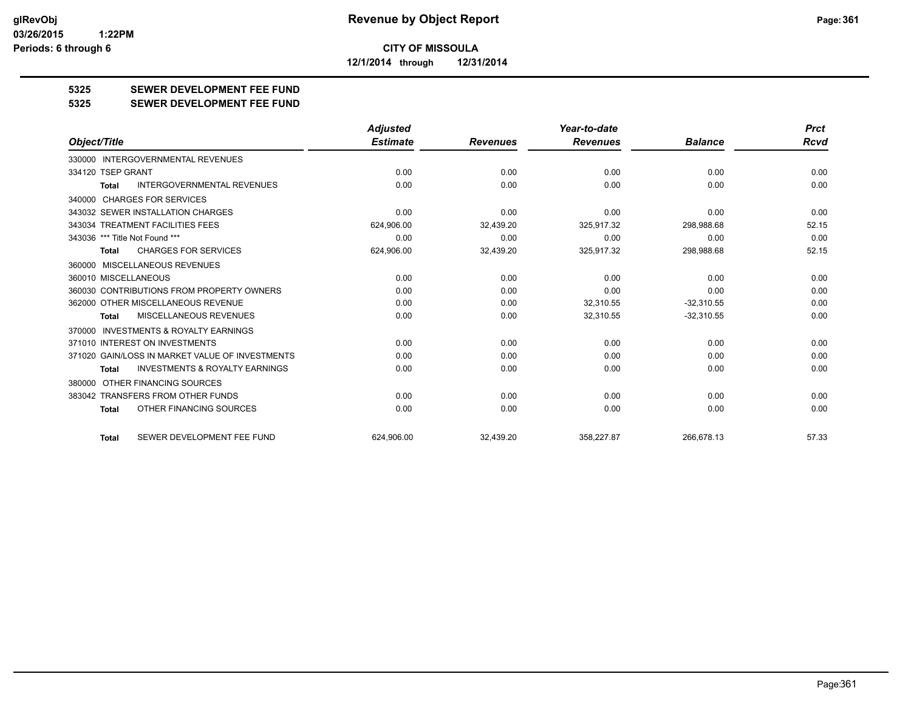**12/1/2014 through 12/31/2014**

### **5325 SEWER DEVELOPMENT FEE FUND**

### **5325 SEWER DEVELOPMENT FEE FUND**

|                                                           | <b>Adjusted</b> |                 | Year-to-date    |                | <b>Prct</b> |
|-----------------------------------------------------------|-----------------|-----------------|-----------------|----------------|-------------|
| Object/Title                                              | <b>Estimate</b> | <b>Revenues</b> | <b>Revenues</b> | <b>Balance</b> | <b>Rcvd</b> |
| 330000 INTERGOVERNMENTAL REVENUES                         |                 |                 |                 |                |             |
| 334120 TSEP GRANT                                         | 0.00            | 0.00            | 0.00            | 0.00           | 0.00        |
| <b>INTERGOVERNMENTAL REVENUES</b><br>Total                | 0.00            | 0.00            | 0.00            | 0.00           | 0.00        |
| 340000 CHARGES FOR SERVICES                               |                 |                 |                 |                |             |
| 343032 SEWER INSTALLATION CHARGES                         | 0.00            | 0.00            | 0.00            | 0.00           | 0.00        |
| 343034 TREATMENT FACILITIES FEES                          | 624,906.00      | 32,439.20       | 325.917.32      | 298,988.68     | 52.15       |
| 343036 *** Title Not Found ***                            | 0.00            | 0.00            | 0.00            | 0.00           | 0.00        |
| <b>CHARGES FOR SERVICES</b><br>Total                      | 624,906.00      | 32,439.20       | 325,917.32      | 298,988.68     | 52.15       |
| 360000 MISCELLANEOUS REVENUES                             |                 |                 |                 |                |             |
| 360010 MISCELLANEOUS                                      | 0.00            | 0.00            | 0.00            | 0.00           | 0.00        |
| 360030 CONTRIBUTIONS FROM PROPERTY OWNERS                 | 0.00            | 0.00            | 0.00            | 0.00           | 0.00        |
| 362000 OTHER MISCELLANEOUS REVENUE                        | 0.00            | 0.00            | 32,310.55       | $-32,310.55$   | 0.00        |
| <b>MISCELLANEOUS REVENUES</b><br><b>Total</b>             | 0.00            | 0.00            | 32,310.55       | $-32,310.55$   | 0.00        |
| INVESTMENTS & ROYALTY EARNINGS<br>370000                  |                 |                 |                 |                |             |
| 371010 INTEREST ON INVESTMENTS                            | 0.00            | 0.00            | 0.00            | 0.00           | 0.00        |
| 371020 GAIN/LOSS IN MARKET VALUE OF INVESTMENTS           | 0.00            | 0.00            | 0.00            | 0.00           | 0.00        |
| <b>INVESTMENTS &amp; ROYALTY EARNINGS</b><br><b>Total</b> | 0.00            | 0.00            | 0.00            | 0.00           | 0.00        |
| 380000 OTHER FINANCING SOURCES                            |                 |                 |                 |                |             |
| 383042 TRANSFERS FROM OTHER FUNDS                         | 0.00            | 0.00            | 0.00            | 0.00           | 0.00        |
| OTHER FINANCING SOURCES<br>Total                          | 0.00            | 0.00            | 0.00            | 0.00           | 0.00        |
| SEWER DEVELOPMENT FEE FUND<br><b>Total</b>                | 624.906.00      | 32,439.20       | 358,227.87      | 266.678.13     | 57.33       |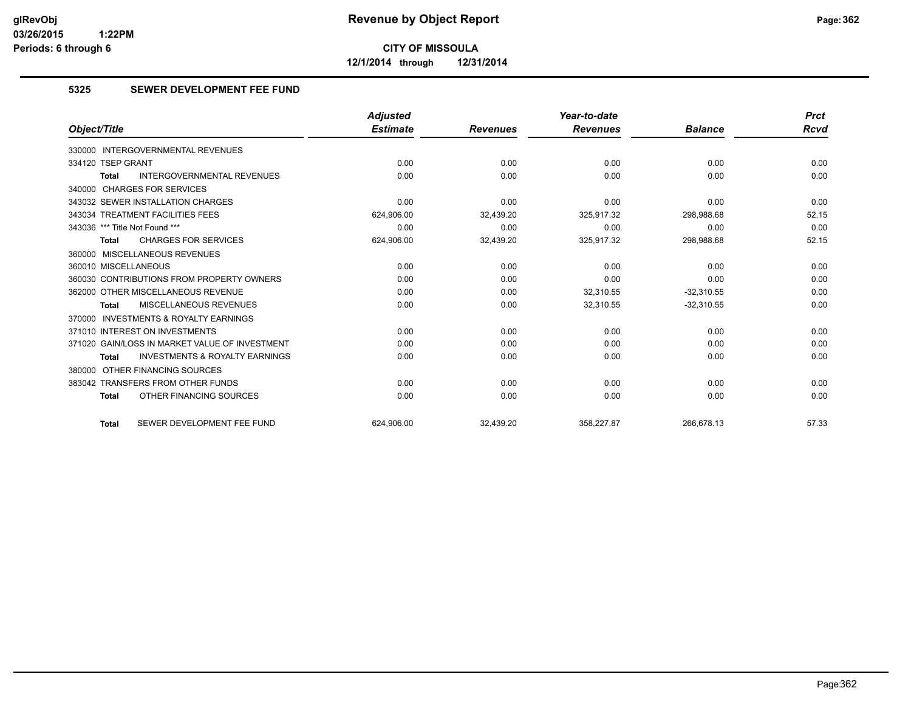**12/1/2014 through 12/31/2014**

### **5325 SEWER DEVELOPMENT FEE FUND**

|                                                    | <b>Adjusted</b> |                 | Year-to-date    |                | <b>Prct</b> |
|----------------------------------------------------|-----------------|-----------------|-----------------|----------------|-------------|
| Object/Title                                       | <b>Estimate</b> | <b>Revenues</b> | <b>Revenues</b> | <b>Balance</b> | Rcvd        |
| 330000 INTERGOVERNMENTAL REVENUES                  |                 |                 |                 |                |             |
| 334120 TSEP GRANT                                  | 0.00            | 0.00            | 0.00            | 0.00           | 0.00        |
| <b>INTERGOVERNMENTAL REVENUES</b><br><b>Total</b>  | 0.00            | 0.00            | 0.00            | 0.00           | 0.00        |
| 340000 CHARGES FOR SERVICES                        |                 |                 |                 |                |             |
| 343032 SEWER INSTALLATION CHARGES                  | 0.00            | 0.00            | 0.00            | 0.00           | 0.00        |
| 343034 TREATMENT FACILITIES FEES                   | 624,906.00      | 32,439.20       | 325.917.32      | 298,988.68     | 52.15       |
| 343036 *** Title Not Found ***                     | 0.00            | 0.00            | 0.00            | 0.00           | 0.00        |
| <b>CHARGES FOR SERVICES</b><br><b>Total</b>        | 624,906.00      | 32,439.20       | 325,917.32      | 298,988.68     | 52.15       |
| 360000 MISCELLANEOUS REVENUES                      |                 |                 |                 |                |             |
| 360010 MISCELLANEOUS                               | 0.00            | 0.00            | 0.00            | 0.00           | 0.00        |
| 360030 CONTRIBUTIONS FROM PROPERTY OWNERS          | 0.00            | 0.00            | 0.00            | 0.00           | 0.00        |
| 362000 OTHER MISCELLANEOUS REVENUE                 | 0.00            | 0.00            | 32,310.55       | $-32,310.55$   | 0.00        |
| MISCELLANEOUS REVENUES<br><b>Total</b>             | 0.00            | 0.00            | 32,310.55       | $-32,310.55$   | 0.00        |
| 370000 INVESTMENTS & ROYALTY EARNINGS              |                 |                 |                 |                |             |
| 371010 INTEREST ON INVESTMENTS                     | 0.00            | 0.00            | 0.00            | 0.00           | 0.00        |
| 371020 GAIN/LOSS IN MARKET VALUE OF INVESTMENT     | 0.00            | 0.00            | 0.00            | 0.00           | 0.00        |
| <b>INVESTMENTS &amp; ROYALTY EARNINGS</b><br>Total | 0.00            | 0.00            | 0.00            | 0.00           | 0.00        |
| 380000 OTHER FINANCING SOURCES                     |                 |                 |                 |                |             |
| 383042 TRANSFERS FROM OTHER FUNDS                  | 0.00            | 0.00            | 0.00            | 0.00           | 0.00        |
| OTHER FINANCING SOURCES<br><b>Total</b>            | 0.00            | 0.00            | 0.00            | 0.00           | 0.00        |
| SEWER DEVELOPMENT FEE FUND<br><b>Total</b>         | 624.906.00      | 32,439.20       | 358,227.87      | 266.678.13     | 57.33       |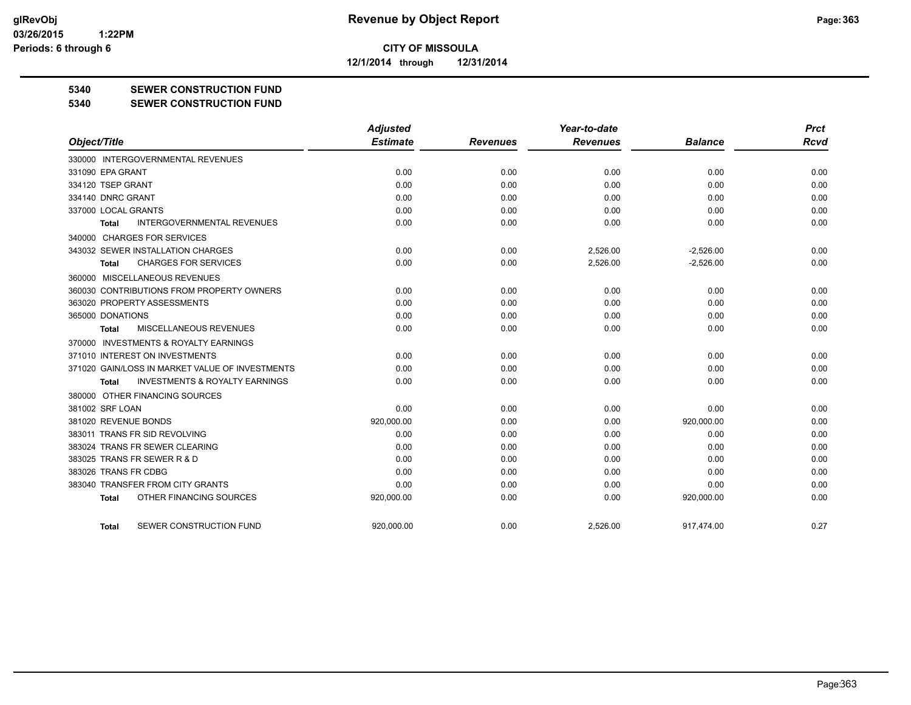**12/1/2014 through 12/31/2014**

### **5340 SEWER CONSTRUCTION FUND**

#### **5340 SEWER CONSTRUCTION FUND**

|                                                     | <b>Adjusted</b> |                 | Year-to-date    |                | <b>Prct</b> |
|-----------------------------------------------------|-----------------|-----------------|-----------------|----------------|-------------|
| Object/Title                                        | <b>Estimate</b> | <b>Revenues</b> | <b>Revenues</b> | <b>Balance</b> | <b>Rcvd</b> |
| 330000 INTERGOVERNMENTAL REVENUES                   |                 |                 |                 |                |             |
| 331090 EPA GRANT                                    | 0.00            | 0.00            | 0.00            | 0.00           | 0.00        |
| 334120 TSEP GRANT                                   | 0.00            | 0.00            | 0.00            | 0.00           | 0.00        |
| 334140 DNRC GRANT                                   | 0.00            | 0.00            | 0.00            | 0.00           | 0.00        |
| 337000 LOCAL GRANTS                                 | 0.00            | 0.00            | 0.00            | 0.00           | 0.00        |
| <b>INTERGOVERNMENTAL REVENUES</b><br>Total          | 0.00            | 0.00            | 0.00            | 0.00           | 0.00        |
| 340000 CHARGES FOR SERVICES                         |                 |                 |                 |                |             |
| 343032 SEWER INSTALLATION CHARGES                   | 0.00            | 0.00            | 2,526.00        | $-2,526.00$    | 0.00        |
| <b>CHARGES FOR SERVICES</b><br><b>Total</b>         | 0.00            | 0.00            | 2,526.00        | $-2,526.00$    | 0.00        |
| 360000 MISCELLANEOUS REVENUES                       |                 |                 |                 |                |             |
| 360030 CONTRIBUTIONS FROM PROPERTY OWNERS           | 0.00            | 0.00            | 0.00            | 0.00           | 0.00        |
| 363020 PROPERTY ASSESSMENTS                         | 0.00            | 0.00            | 0.00            | 0.00           | 0.00        |
| 365000 DONATIONS                                    | 0.00            | 0.00            | 0.00            | 0.00           | 0.00        |
| <b>MISCELLANEOUS REVENUES</b><br><b>Total</b>       | 0.00            | 0.00            | 0.00            | 0.00           | 0.00        |
| <b>INVESTMENTS &amp; ROYALTY EARNINGS</b><br>370000 |                 |                 |                 |                |             |
| 371010 INTEREST ON INVESTMENTS                      | 0.00            | 0.00            | 0.00            | 0.00           | 0.00        |
| 371020 GAIN/LOSS IN MARKET VALUE OF INVESTMENTS     | 0.00            | 0.00            | 0.00            | 0.00           | 0.00        |
| <b>INVESTMENTS &amp; ROYALTY EARNINGS</b><br>Total  | 0.00            | 0.00            | 0.00            | 0.00           | 0.00        |
| 380000 OTHER FINANCING SOURCES                      |                 |                 |                 |                |             |
| 381002 SRF LOAN                                     | 0.00            | 0.00            | 0.00            | 0.00           | 0.00        |
| 381020 REVENUE BONDS                                | 920,000.00      | 0.00            | 0.00            | 920,000.00     | 0.00        |
| 383011 TRANS FR SID REVOLVING                       | 0.00            | 0.00            | 0.00            | 0.00           | 0.00        |
| 383024 TRANS FR SEWER CLEARING                      | 0.00            | 0.00            | 0.00            | 0.00           | 0.00        |
| 383025 TRANS FR SEWER R & D                         | 0.00            | 0.00            | 0.00            | 0.00           | 0.00        |
| 383026 TRANS FR CDBG                                | 0.00            | 0.00            | 0.00            | 0.00           | 0.00        |
| 383040 TRANSFER FROM CITY GRANTS                    | 0.00            | 0.00            | 0.00            | 0.00           | 0.00        |
| OTHER FINANCING SOURCES<br><b>Total</b>             | 920,000.00      | 0.00            | 0.00            | 920,000.00     | 0.00        |
| SEWER CONSTRUCTION FUND<br>Total                    | 920.000.00      | 0.00            | 2,526.00        | 917.474.00     | 0.27        |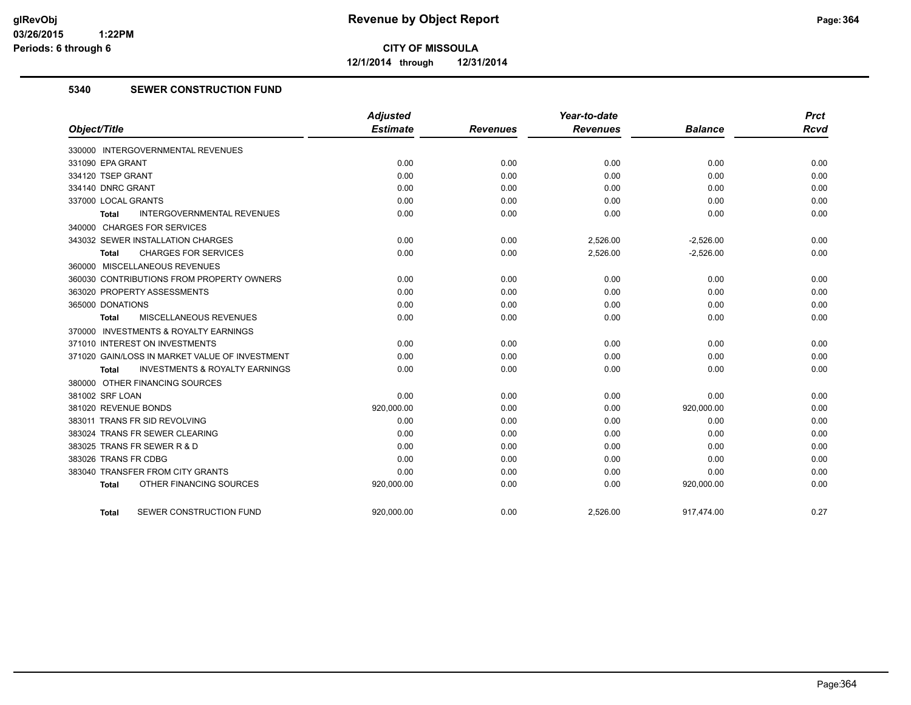**12/1/2014 through 12/31/2014**

### **5340 SEWER CONSTRUCTION FUND**

|                                                           | <b>Adjusted</b> |                 | Year-to-date    |                | <b>Prct</b> |
|-----------------------------------------------------------|-----------------|-----------------|-----------------|----------------|-------------|
| Object/Title                                              | <b>Estimate</b> | <b>Revenues</b> | <b>Revenues</b> | <b>Balance</b> | <b>Rcvd</b> |
| 330000 INTERGOVERNMENTAL REVENUES                         |                 |                 |                 |                |             |
| 331090 EPA GRANT                                          | 0.00            | 0.00            | 0.00            | 0.00           | 0.00        |
| 334120 TSEP GRANT                                         | 0.00            | 0.00            | 0.00            | 0.00           | 0.00        |
| 334140 DNRC GRANT                                         | 0.00            | 0.00            | 0.00            | 0.00           | 0.00        |
| 337000 LOCAL GRANTS                                       | 0.00            | 0.00            | 0.00            | 0.00           | 0.00        |
| <b>INTERGOVERNMENTAL REVENUES</b><br>Total                | 0.00            | 0.00            | 0.00            | 0.00           | 0.00        |
| 340000 CHARGES FOR SERVICES                               |                 |                 |                 |                |             |
| 343032 SEWER INSTALLATION CHARGES                         | 0.00            | 0.00            | 2,526.00        | $-2,526.00$    | 0.00        |
| <b>CHARGES FOR SERVICES</b><br>Total                      | 0.00            | 0.00            | 2,526.00        | $-2,526.00$    | 0.00        |
| 360000 MISCELLANEOUS REVENUES                             |                 |                 |                 |                |             |
| 360030 CONTRIBUTIONS FROM PROPERTY OWNERS                 | 0.00            | 0.00            | 0.00            | 0.00           | 0.00        |
| 363020 PROPERTY ASSESSMENTS                               | 0.00            | 0.00            | 0.00            | 0.00           | 0.00        |
| 365000 DONATIONS                                          | 0.00            | 0.00            | 0.00            | 0.00           | 0.00        |
| MISCELLANEOUS REVENUES<br>Total                           | 0.00            | 0.00            | 0.00            | 0.00           | 0.00        |
| 370000 INVESTMENTS & ROYALTY EARNINGS                     |                 |                 |                 |                |             |
| 371010 INTEREST ON INVESTMENTS                            | 0.00            | 0.00            | 0.00            | 0.00           | 0.00        |
| 371020 GAIN/LOSS IN MARKET VALUE OF INVESTMENT            | 0.00            | 0.00            | 0.00            | 0.00           | 0.00        |
| <b>INVESTMENTS &amp; ROYALTY EARNINGS</b><br><b>Total</b> | 0.00            | 0.00            | 0.00            | 0.00           | 0.00        |
| 380000 OTHER FINANCING SOURCES                            |                 |                 |                 |                |             |
| 381002 SRF LOAN                                           | 0.00            | 0.00            | 0.00            | 0.00           | 0.00        |
| 381020 REVENUE BONDS                                      | 920,000.00      | 0.00            | 0.00            | 920,000.00     | 0.00        |
| 383011 TRANS FR SID REVOLVING                             | 0.00            | 0.00            | 0.00            | 0.00           | 0.00        |
| 383024 TRANS FR SEWER CLEARING                            | 0.00            | 0.00            | 0.00            | 0.00           | 0.00        |
| 383025 TRANS FR SEWER R & D                               | 0.00            | 0.00            | 0.00            | 0.00           | 0.00        |
| 383026 TRANS FR CDBG                                      | 0.00            | 0.00            | 0.00            | 0.00           | 0.00        |
| 383040 TRANSFER FROM CITY GRANTS                          | 0.00            | 0.00            | 0.00            | 0.00           | 0.00        |
| OTHER FINANCING SOURCES<br><b>Total</b>                   | 920,000.00      | 0.00            | 0.00            | 920,000.00     | 0.00        |
| SEWER CONSTRUCTION FUND<br><b>Total</b>                   | 920,000.00      | 0.00            | 2,526.00        | 917,474.00     | 0.27        |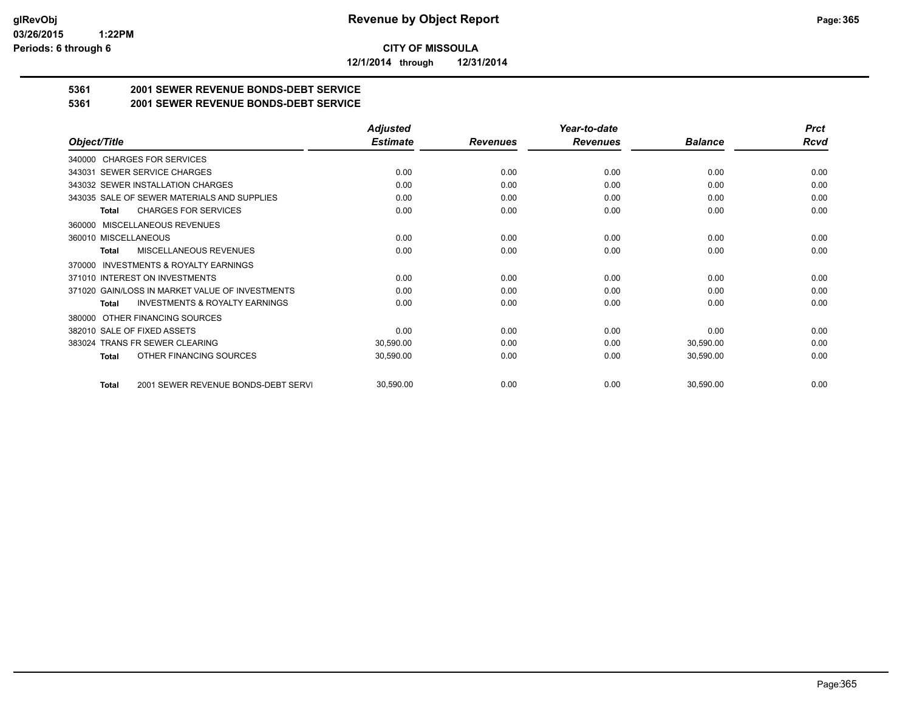**12/1/2014 through 12/31/2014**

### **5361 2001 SEWER REVENUE BONDS-DEBT SERVICE**

**5361 2001 SEWER REVENUE BONDS-DEBT SERVICE**

|                                                           | <b>Adjusted</b> |                 | Year-to-date    |                | <b>Prct</b> |
|-----------------------------------------------------------|-----------------|-----------------|-----------------|----------------|-------------|
| Object/Title                                              | <b>Estimate</b> | <b>Revenues</b> | <b>Revenues</b> | <b>Balance</b> | <b>Rcvd</b> |
| 340000 CHARGES FOR SERVICES                               |                 |                 |                 |                |             |
| SEWER SERVICE CHARGES<br>343031                           | 0.00            | 0.00            | 0.00            | 0.00           | 0.00        |
| 343032 SEWER INSTALLATION CHARGES                         | 0.00            | 0.00            | 0.00            | 0.00           | 0.00        |
| 343035 SALE OF SEWER MATERIALS AND SUPPLIES               | 0.00            | 0.00            | 0.00            | 0.00           | 0.00        |
| <b>CHARGES FOR SERVICES</b><br><b>Total</b>               | 0.00            | 0.00            | 0.00            | 0.00           | 0.00        |
| <b>MISCELLANEOUS REVENUES</b><br>360000                   |                 |                 |                 |                |             |
| 360010 MISCELLANEOUS                                      | 0.00            | 0.00            | 0.00            | 0.00           | 0.00        |
| <b>MISCELLANEOUS REVENUES</b><br>Total                    | 0.00            | 0.00            | 0.00            | 0.00           | 0.00        |
| <b>INVESTMENTS &amp; ROYALTY EARNINGS</b><br>370000       |                 |                 |                 |                |             |
| 371010 INTEREST ON INVESTMENTS                            | 0.00            | 0.00            | 0.00            | 0.00           | 0.00        |
| 371020 GAIN/LOSS IN MARKET VALUE OF INVESTMENTS           | 0.00            | 0.00            | 0.00            | 0.00           | 0.00        |
| <b>INVESTMENTS &amp; ROYALTY EARNINGS</b><br><b>Total</b> | 0.00            | 0.00            | 0.00            | 0.00           | 0.00        |
| OTHER FINANCING SOURCES<br>380000                         |                 |                 |                 |                |             |
| 382010 SALE OF FIXED ASSETS                               | 0.00            | 0.00            | 0.00            | 0.00           | 0.00        |
| 383024 TRANS FR SEWER CLEARING                            | 30,590.00       | 0.00            | 0.00            | 30,590.00      | 0.00        |
| OTHER FINANCING SOURCES<br>Total                          | 30,590.00       | 0.00            | 0.00            | 30,590.00      | 0.00        |
| 2001 SEWER REVENUE BONDS-DEBT SERVI<br><b>Total</b>       | 30,590.00       | 0.00            | 0.00            | 30,590.00      | 0.00        |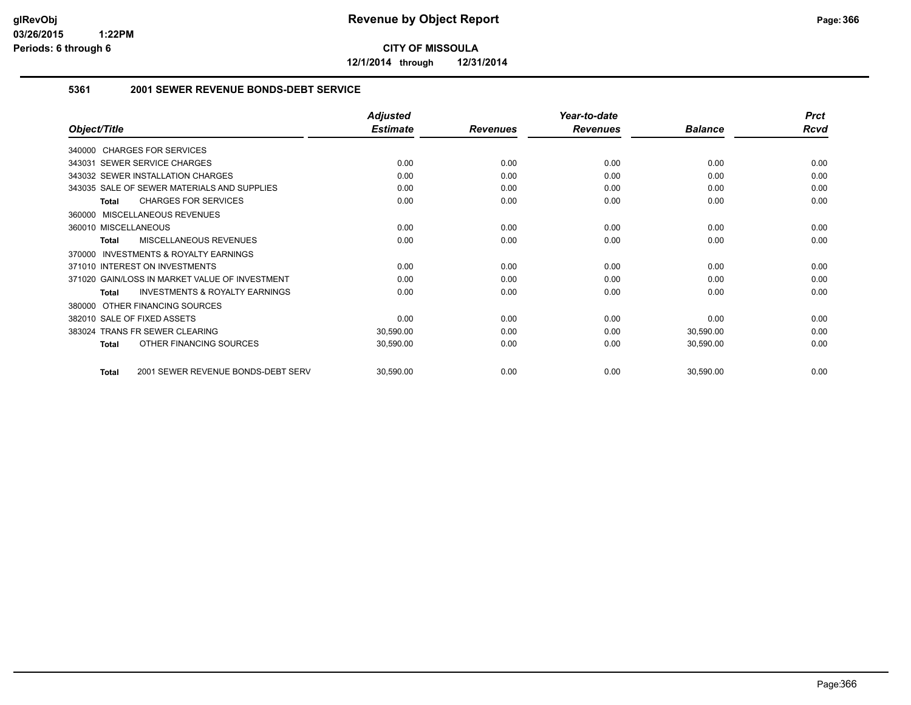**12/1/2014 through 12/31/2014**

### **5361 2001 SEWER REVENUE BONDS-DEBT SERVICE**

|                                                           | <b>Adjusted</b> |                 | Year-to-date    |                | <b>Prct</b> |
|-----------------------------------------------------------|-----------------|-----------------|-----------------|----------------|-------------|
| Object/Title                                              | <b>Estimate</b> | <b>Revenues</b> | <b>Revenues</b> | <b>Balance</b> | Rcvd        |
| 340000 CHARGES FOR SERVICES                               |                 |                 |                 |                |             |
| 343031 SEWER SERVICE CHARGES                              | 0.00            | 0.00            | 0.00            | 0.00           | 0.00        |
| 343032 SEWER INSTALLATION CHARGES                         | 0.00            | 0.00            | 0.00            | 0.00           | 0.00        |
| 343035 SALE OF SEWER MATERIALS AND SUPPLIES               | 0.00            | 0.00            | 0.00            | 0.00           | 0.00        |
| <b>CHARGES FOR SERVICES</b><br><b>Total</b>               | 0.00            | 0.00            | 0.00            | 0.00           | 0.00        |
| MISCELLANEOUS REVENUES<br>360000                          |                 |                 |                 |                |             |
| 360010 MISCELLANEOUS                                      | 0.00            | 0.00            | 0.00            | 0.00           | 0.00        |
| MISCELLANEOUS REVENUES<br><b>Total</b>                    | 0.00            | 0.00            | 0.00            | 0.00           | 0.00        |
| <b>INVESTMENTS &amp; ROYALTY EARNINGS</b><br>370000       |                 |                 |                 |                |             |
| 371010 INTEREST ON INVESTMENTS                            | 0.00            | 0.00            | 0.00            | 0.00           | 0.00        |
| 371020 GAIN/LOSS IN MARKET VALUE OF INVESTMENT            | 0.00            | 0.00            | 0.00            | 0.00           | 0.00        |
| <b>INVESTMENTS &amp; ROYALTY EARNINGS</b><br><b>Total</b> | 0.00            | 0.00            | 0.00            | 0.00           | 0.00        |
| OTHER FINANCING SOURCES<br>380000                         |                 |                 |                 |                |             |
| 382010 SALE OF FIXED ASSETS                               | 0.00            | 0.00            | 0.00            | 0.00           | 0.00        |
| 383024 TRANS FR SEWER CLEARING                            | 30,590.00       | 0.00            | 0.00            | 30,590.00      | 0.00        |
| OTHER FINANCING SOURCES<br><b>Total</b>                   | 30,590.00       | 0.00            | 0.00            | 30,590.00      | 0.00        |
| 2001 SEWER REVENUE BONDS-DEBT SERV<br><b>Total</b>        | 30,590.00       | 0.00            | 0.00            | 30,590.00      | 0.00        |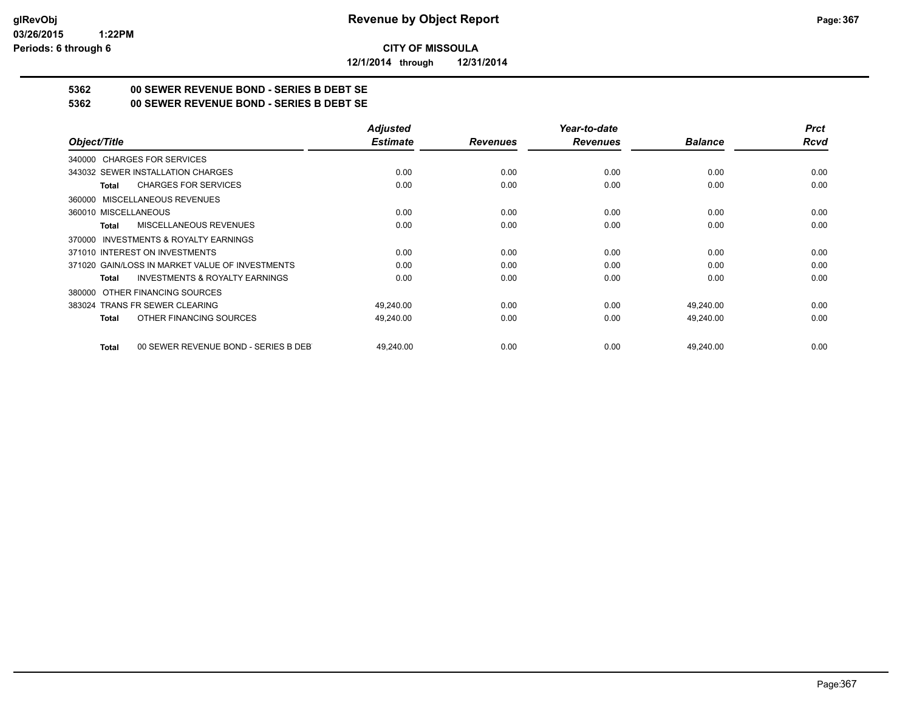**12/1/2014 through 12/31/2014**

## **5362 00 SEWER REVENUE BOND - SERIES B DEBT SE**

**5362 00 SEWER REVENUE BOND - SERIES B DEBT SE**

|                                                      | <b>Adjusted</b> |                 | Year-to-date    |                | <b>Prct</b> |
|------------------------------------------------------|-----------------|-----------------|-----------------|----------------|-------------|
| Object/Title                                         | <b>Estimate</b> | <b>Revenues</b> | <b>Revenues</b> | <b>Balance</b> | <b>Rcvd</b> |
| 340000 CHARGES FOR SERVICES                          |                 |                 |                 |                |             |
| 343032 SEWER INSTALLATION CHARGES                    | 0.00            | 0.00            | 0.00            | 0.00           | 0.00        |
| <b>CHARGES FOR SERVICES</b><br>Total                 | 0.00            | 0.00            | 0.00            | 0.00           | 0.00        |
| 360000 MISCELLANEOUS REVENUES                        |                 |                 |                 |                |             |
| 360010 MISCELLANEOUS                                 | 0.00            | 0.00            | 0.00            | 0.00           | 0.00        |
| <b>MISCELLANEOUS REVENUES</b><br>Total               | 0.00            | 0.00            | 0.00            | 0.00           | 0.00        |
| 370000 INVESTMENTS & ROYALTY EARNINGS                |                 |                 |                 |                |             |
| 371010 INTEREST ON INVESTMENTS                       | 0.00            | 0.00            | 0.00            | 0.00           | 0.00        |
| 371020 GAIN/LOSS IN MARKET VALUE OF INVESTMENTS      | 0.00            | 0.00            | 0.00            | 0.00           | 0.00        |
| <b>INVESTMENTS &amp; ROYALTY EARNINGS</b><br>Total   | 0.00            | 0.00            | 0.00            | 0.00           | 0.00        |
| 380000 OTHER FINANCING SOURCES                       |                 |                 |                 |                |             |
| 383024 TRANS FR SEWER CLEARING                       | 49,240.00       | 0.00            | 0.00            | 49,240.00      | 0.00        |
| OTHER FINANCING SOURCES<br>Total                     | 49,240.00       | 0.00            | 0.00            | 49,240.00      | 0.00        |
| 00 SEWER REVENUE BOND - SERIES B DEB<br><b>Total</b> | 49,240.00       | 0.00            | 0.00            | 49,240.00      | 0.00        |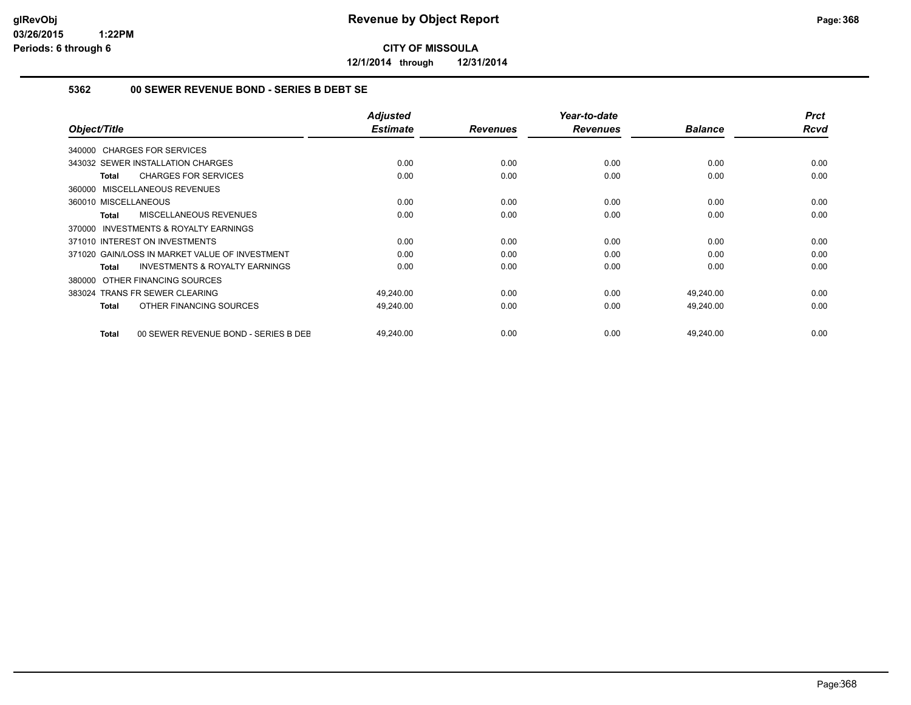**12/1/2014 through 12/31/2014**

### **5362 00 SEWER REVENUE BOND - SERIES B DEBT SE**

| Object/Title                                              | <b>Adjusted</b><br><b>Estimate</b> | <b>Revenues</b> | Year-to-date<br><b>Revenues</b> | <b>Balance</b> | <b>Prct</b><br><b>Rcvd</b> |
|-----------------------------------------------------------|------------------------------------|-----------------|---------------------------------|----------------|----------------------------|
| 340000 CHARGES FOR SERVICES                               |                                    |                 |                                 |                |                            |
| 343032 SEWER INSTALLATION CHARGES                         | 0.00                               | 0.00            | 0.00                            | 0.00           | 0.00                       |
| <b>CHARGES FOR SERVICES</b><br>Total                      | 0.00                               | 0.00            | 0.00                            | 0.00           | 0.00                       |
| 360000 MISCELLANEOUS REVENUES                             |                                    |                 |                                 |                |                            |
| 360010 MISCELLANEOUS                                      | 0.00                               | 0.00            | 0.00                            | 0.00           | 0.00                       |
| MISCELLANEOUS REVENUES<br><b>Total</b>                    | 0.00                               | 0.00            | 0.00                            | 0.00           | 0.00                       |
| <b>INVESTMENTS &amp; ROYALTY EARNINGS</b><br>370000       |                                    |                 |                                 |                |                            |
| 371010 INTEREST ON INVESTMENTS                            | 0.00                               | 0.00            | 0.00                            | 0.00           | 0.00                       |
| 371020 GAIN/LOSS IN MARKET VALUE OF INVESTMENT            | 0.00                               | 0.00            | 0.00                            | 0.00           | 0.00                       |
| <b>INVESTMENTS &amp; ROYALTY EARNINGS</b><br><b>Total</b> | 0.00                               | 0.00            | 0.00                            | 0.00           | 0.00                       |
| OTHER FINANCING SOURCES<br>380000                         |                                    |                 |                                 |                |                            |
| 383024 TRANS FR SEWER CLEARING                            | 49,240.00                          | 0.00            | 0.00                            | 49,240.00      | 0.00                       |
| OTHER FINANCING SOURCES<br><b>Total</b>                   | 49,240.00                          | 0.00            | 0.00                            | 49,240.00      | 0.00                       |
| 00 SEWER REVENUE BOND - SERIES B DEE<br><b>Total</b>      | 49,240.00                          | 0.00            | 0.00                            | 49,240.00      | 0.00                       |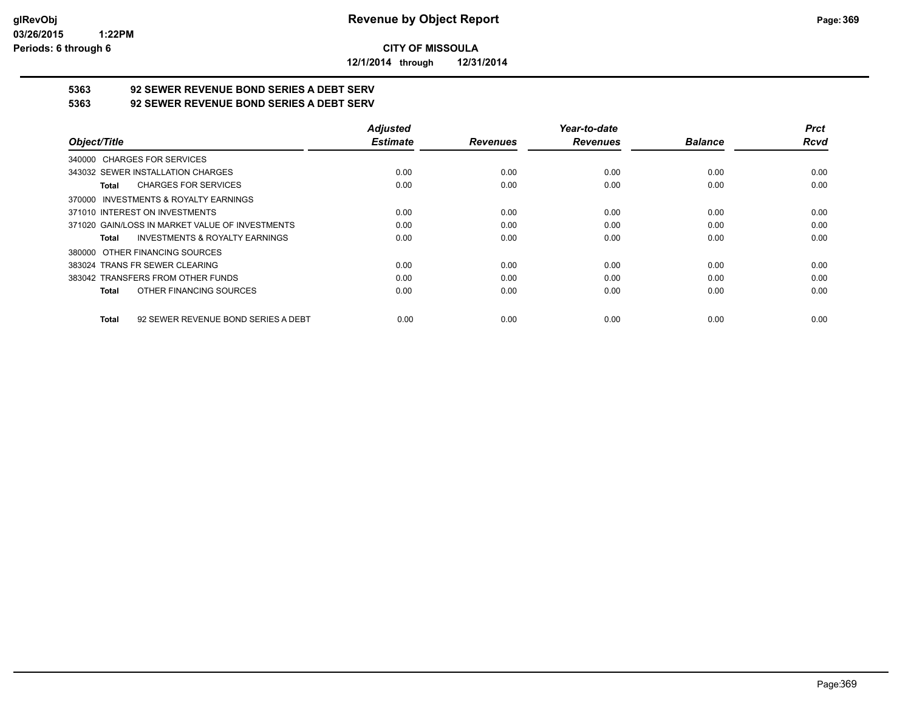**12/1/2014 through 12/31/2014**

# **5363 92 SEWER REVENUE BOND SERIES A DEBT SERV**

**5363 92 SEWER REVENUE BOND SERIES A DEBT SERV**

|                                                     | <b>Adjusted</b> |                 | Year-to-date    |                | <b>Prct</b> |
|-----------------------------------------------------|-----------------|-----------------|-----------------|----------------|-------------|
| Object/Title                                        | <b>Estimate</b> | <b>Revenues</b> | <b>Revenues</b> | <b>Balance</b> | <b>Rcvd</b> |
| 340000 CHARGES FOR SERVICES                         |                 |                 |                 |                |             |
| 343032 SEWER INSTALLATION CHARGES                   | 0.00            | 0.00            | 0.00            | 0.00           | 0.00        |
| <b>CHARGES FOR SERVICES</b><br>Total                | 0.00            | 0.00            | 0.00            | 0.00           | 0.00        |
| 370000 INVESTMENTS & ROYALTY EARNINGS               |                 |                 |                 |                |             |
| 371010 INTEREST ON INVESTMENTS                      | 0.00            | 0.00            | 0.00            | 0.00           | 0.00        |
| 371020 GAIN/LOSS IN MARKET VALUE OF INVESTMENTS     | 0.00            | 0.00            | 0.00            | 0.00           | 0.00        |
| <b>INVESTMENTS &amp; ROYALTY EARNINGS</b><br>Total  | 0.00            | 0.00            | 0.00            | 0.00           | 0.00        |
| 380000 OTHER FINANCING SOURCES                      |                 |                 |                 |                |             |
| 383024 TRANS FR SEWER CLEARING                      | 0.00            | 0.00            | 0.00            | 0.00           | 0.00        |
| 383042 TRANSFERS FROM OTHER FUNDS                   | 0.00            | 0.00            | 0.00            | 0.00           | 0.00        |
| OTHER FINANCING SOURCES<br><b>Total</b>             | 0.00            | 0.00            | 0.00            | 0.00           | 0.00        |
| 92 SEWER REVENUE BOND SERIES A DEBT<br><b>Total</b> | 0.00            | 0.00            | 0.00            | 0.00           | 0.00        |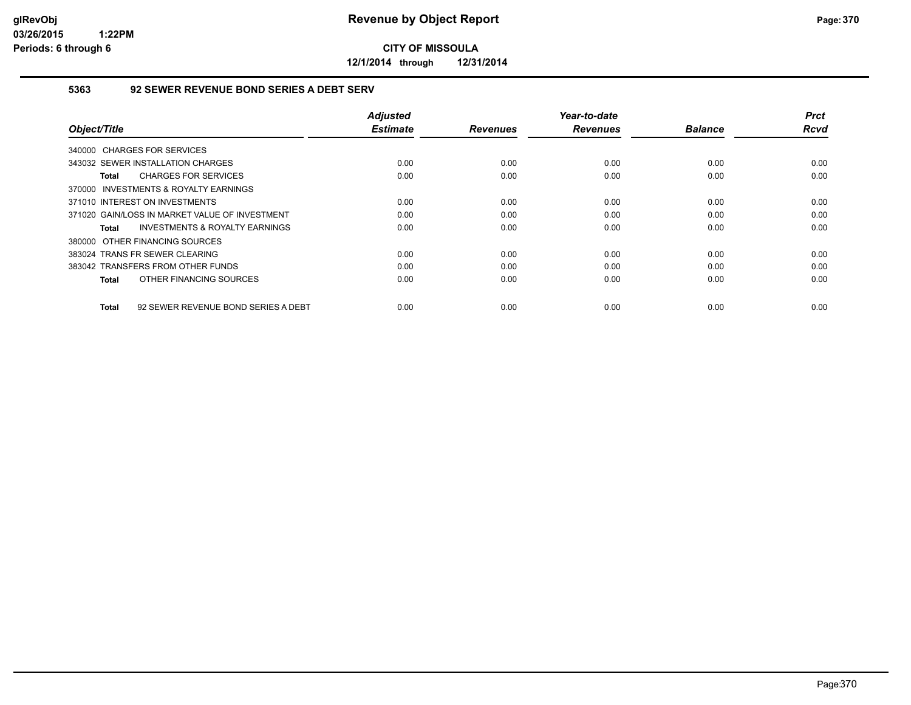**12/1/2014 through 12/31/2014**

### **5363 92 SEWER REVENUE BOND SERIES A DEBT SERV**

| Object/Title                                       | <b>Adjusted</b><br><b>Estimate</b> | <b>Revenues</b> | Year-to-date<br><b>Revenues</b> | <b>Balance</b> | <b>Prct</b><br>Rcvd |
|----------------------------------------------------|------------------------------------|-----------------|---------------------------------|----------------|---------------------|
| 340000 CHARGES FOR SERVICES                        |                                    |                 |                                 |                |                     |
| 343032 SEWER INSTALLATION CHARGES                  | 0.00                               | 0.00            | 0.00                            | 0.00           | 0.00                |
| <b>CHARGES FOR SERVICES</b><br>Total               | 0.00                               | 0.00            | 0.00                            | 0.00           | 0.00                |
| 370000 INVESTMENTS & ROYALTY EARNINGS              |                                    |                 |                                 |                |                     |
| 371010 INTEREST ON INVESTMENTS                     | 0.00                               | 0.00            | 0.00                            | 0.00           | 0.00                |
| 371020 GAIN/LOSS IN MARKET VALUE OF INVESTMENT     | 0.00                               | 0.00            | 0.00                            | 0.00           | 0.00                |
| <b>INVESTMENTS &amp; ROYALTY EARNINGS</b><br>Total | 0.00                               | 0.00            | 0.00                            | 0.00           | 0.00                |
| 380000 OTHER FINANCING SOURCES                     |                                    |                 |                                 |                |                     |
| 383024 TRANS FR SEWER CLEARING                     | 0.00                               | 0.00            | 0.00                            | 0.00           | 0.00                |
| 383042 TRANSFERS FROM OTHER FUNDS                  | 0.00                               | 0.00            | 0.00                            | 0.00           | 0.00                |
| OTHER FINANCING SOURCES<br>Total                   | 0.00                               | 0.00            | 0.00                            | 0.00           | 0.00                |
| 92 SEWER REVENUE BOND SERIES A DEBT<br>Total       | 0.00                               | 0.00            | 0.00                            | 0.00           | 0.00                |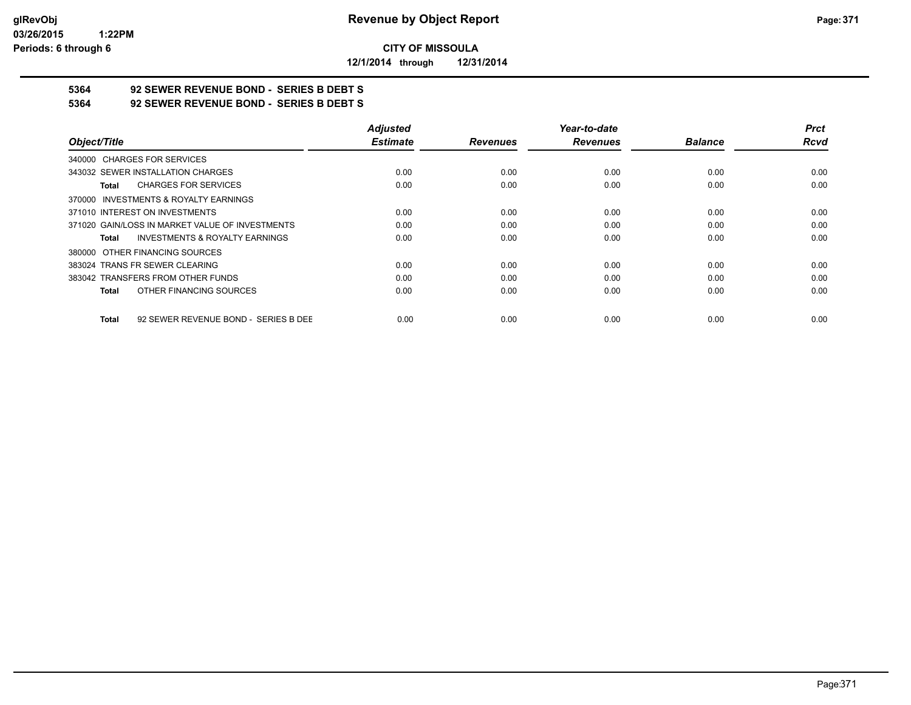**12/1/2014 through 12/31/2014**

# **5364 92 SEWER REVENUE BOND - SERIES B DEBT S**

**5364 92 SEWER REVENUE BOND - SERIES B DEBT S**

|                                                    | <b>Adjusted</b> |                 | Year-to-date    |                | <b>Prct</b> |
|----------------------------------------------------|-----------------|-----------------|-----------------|----------------|-------------|
| Object/Title                                       | <b>Estimate</b> | <b>Revenues</b> | <b>Revenues</b> | <b>Balance</b> | <b>Rcvd</b> |
| 340000 CHARGES FOR SERVICES                        |                 |                 |                 |                |             |
| 343032 SEWER INSTALLATION CHARGES                  | 0.00            | 0.00            | 0.00            | 0.00           | 0.00        |
| <b>CHARGES FOR SERVICES</b><br>Total               | 0.00            | 0.00            | 0.00            | 0.00           | 0.00        |
| 370000 INVESTMENTS & ROYALTY EARNINGS              |                 |                 |                 |                |             |
| 371010 INTEREST ON INVESTMENTS                     | 0.00            | 0.00            | 0.00            | 0.00           | 0.00        |
| 371020 GAIN/LOSS IN MARKET VALUE OF INVESTMENTS    | 0.00            | 0.00            | 0.00            | 0.00           | 0.00        |
| <b>INVESTMENTS &amp; ROYALTY EARNINGS</b><br>Total | 0.00            | 0.00            | 0.00            | 0.00           | 0.00        |
| 380000 OTHER FINANCING SOURCES                     |                 |                 |                 |                |             |
| 383024 TRANS FR SEWER CLEARING                     | 0.00            | 0.00            | 0.00            | 0.00           | 0.00        |
| 383042 TRANSFERS FROM OTHER FUNDS                  | 0.00            | 0.00            | 0.00            | 0.00           | 0.00        |
| OTHER FINANCING SOURCES<br>Total                   | 0.00            | 0.00            | 0.00            | 0.00           | 0.00        |
| 92 SEWER REVENUE BOND - SERIES B DEE<br>Total      | 0.00            | 0.00            | 0.00            | 0.00           | 0.00        |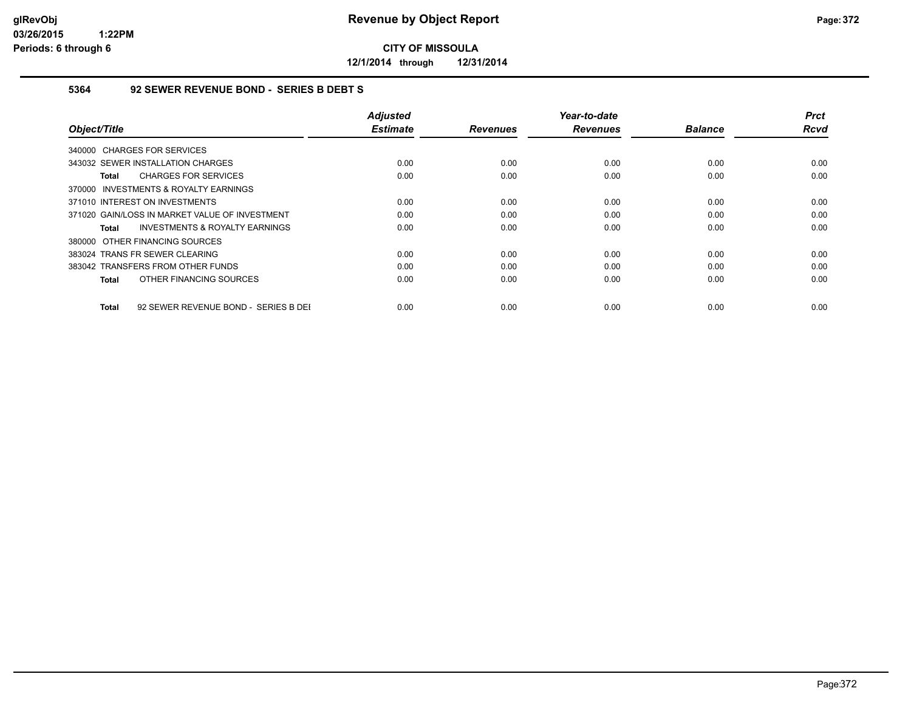**12/1/2014 through 12/31/2014**

### **5364 92 SEWER REVENUE BOND - SERIES B DEBT S**

| Object/Title                                       | <b>Adjusted</b><br><b>Estimate</b> | <b>Revenues</b> | Year-to-date<br><b>Revenues</b> | <b>Balance</b> | <b>Prct</b><br>Rcvd |
|----------------------------------------------------|------------------------------------|-----------------|---------------------------------|----------------|---------------------|
| 340000 CHARGES FOR SERVICES                        |                                    |                 |                                 |                |                     |
| 343032 SEWER INSTALLATION CHARGES                  | 0.00                               | 0.00            | 0.00                            | 0.00           | 0.00                |
| <b>CHARGES FOR SERVICES</b><br>Total               | 0.00                               | 0.00            | 0.00                            | 0.00           | 0.00                |
| 370000 INVESTMENTS & ROYALTY EARNINGS              |                                    |                 |                                 |                |                     |
| 371010 INTEREST ON INVESTMENTS                     | 0.00                               | 0.00            | 0.00                            | 0.00           | 0.00                |
| 371020 GAIN/LOSS IN MARKET VALUE OF INVESTMENT     | 0.00                               | 0.00            | 0.00                            | 0.00           | 0.00                |
| <b>INVESTMENTS &amp; ROYALTY EARNINGS</b><br>Total | 0.00                               | 0.00            | 0.00                            | 0.00           | 0.00                |
| 380000 OTHER FINANCING SOURCES                     |                                    |                 |                                 |                |                     |
| 383024 TRANS FR SEWER CLEARING                     | 0.00                               | 0.00            | 0.00                            | 0.00           | 0.00                |
| 383042 TRANSFERS FROM OTHER FUNDS                  | 0.00                               | 0.00            | 0.00                            | 0.00           | 0.00                |
| OTHER FINANCING SOURCES<br>Total                   | 0.00                               | 0.00            | 0.00                            | 0.00           | 0.00                |
| 92 SEWER REVENUE BOND - SERIES B DEI<br>Total      | 0.00                               | 0.00            | 0.00                            | 0.00           | 0.00                |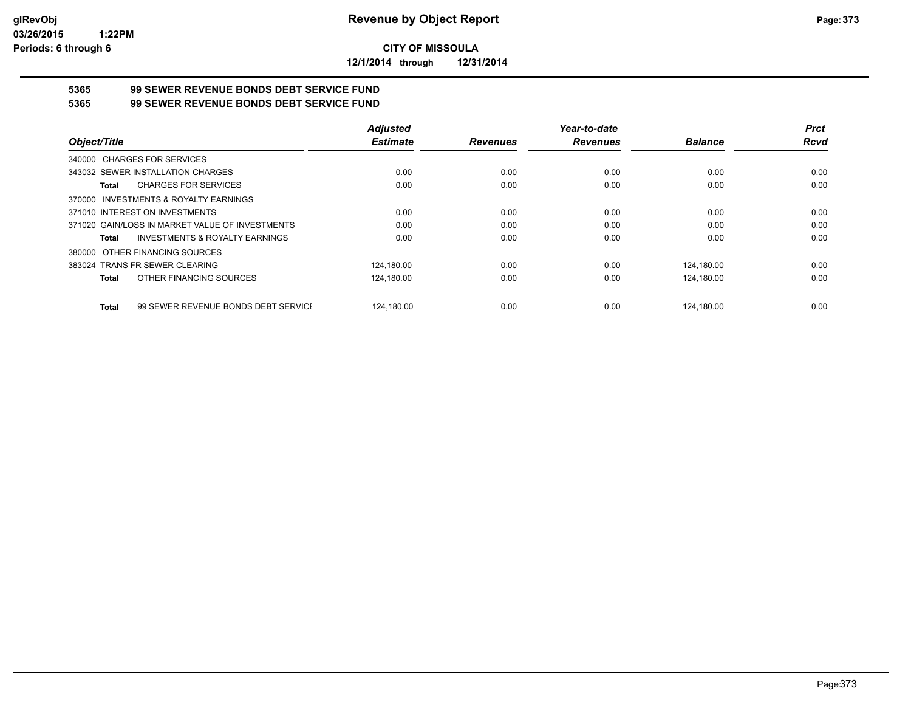**12/1/2014 through 12/31/2014**

# **5365 99 SEWER REVENUE BONDS DEBT SERVICE FUND**

| 5365 | <b>99 SEWER REVENUE BONDS DEBT SERVICE FUND</b> |
|------|-------------------------------------------------|
|      |                                                 |

|                                                     | <b>Adjusted</b> |                 | Year-to-date    |                | <b>Prct</b> |
|-----------------------------------------------------|-----------------|-----------------|-----------------|----------------|-------------|
| Object/Title                                        | <b>Estimate</b> | <b>Revenues</b> | <b>Revenues</b> | <b>Balance</b> | <b>Rcvd</b> |
| <b>CHARGES FOR SERVICES</b><br>340000               |                 |                 |                 |                |             |
| 343032 SEWER INSTALLATION CHARGES                   | 0.00            | 0.00            | 0.00            | 0.00           | 0.00        |
| <b>CHARGES FOR SERVICES</b><br>Total                | 0.00            | 0.00            | 0.00            | 0.00           | 0.00        |
| INVESTMENTS & ROYALTY EARNINGS<br>370000            |                 |                 |                 |                |             |
| 371010 INTEREST ON INVESTMENTS                      | 0.00            | 0.00            | 0.00            | 0.00           | 0.00        |
| 371020 GAIN/LOSS IN MARKET VALUE OF INVESTMENTS     | 0.00            | 0.00            | 0.00            | 0.00           | 0.00        |
| <b>INVESTMENTS &amp; ROYALTY EARNINGS</b><br>Total  | 0.00            | 0.00            | 0.00            | 0.00           | 0.00        |
| OTHER FINANCING SOURCES<br>380000                   |                 |                 |                 |                |             |
| 383024 TRANS FR SEWER CLEARING                      | 124,180.00      | 0.00            | 0.00            | 124,180.00     | 0.00        |
| OTHER FINANCING SOURCES<br>Total                    | 124,180.00      | 0.00            | 0.00            | 124.180.00     | 0.00        |
| 99 SEWER REVENUE BONDS DEBT SERVICE<br><b>Total</b> | 124.180.00      | 0.00            | 0.00            | 124.180.00     | 0.00        |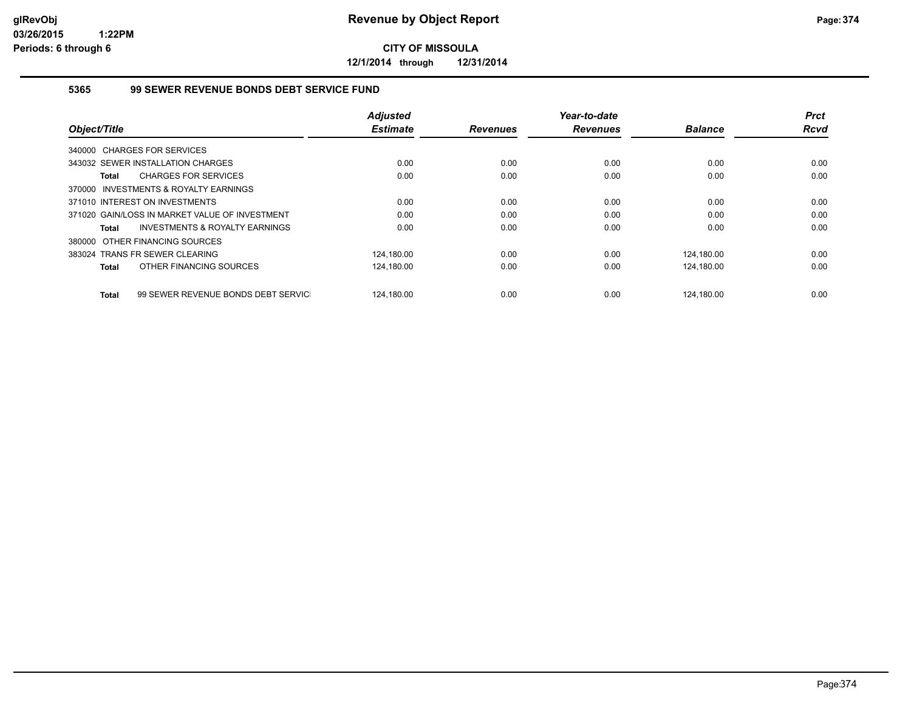**12/1/2014 through 12/31/2014**

### **5365 99 SEWER REVENUE BONDS DEBT SERVICE FUND**

|                                                | <b>Adjusted</b> |                 | Year-to-date    |                | <b>Prct</b> |
|------------------------------------------------|-----------------|-----------------|-----------------|----------------|-------------|
| Object/Title                                   | <b>Estimate</b> | <b>Revenues</b> | <b>Revenues</b> | <b>Balance</b> | <b>Rcvd</b> |
| 340000 CHARGES FOR SERVICES                    |                 |                 |                 |                |             |
| 343032 SEWER INSTALLATION CHARGES              | 0.00            | 0.00            | 0.00            | 0.00           | 0.00        |
| <b>CHARGES FOR SERVICES</b><br>Total           | 0.00            | 0.00            | 0.00            | 0.00           | 0.00        |
| 370000 INVESTMENTS & ROYALTY EARNINGS          |                 |                 |                 |                |             |
| 371010 INTEREST ON INVESTMENTS                 | 0.00            | 0.00            | 0.00            | 0.00           | 0.00        |
| 371020 GAIN/LOSS IN MARKET VALUE OF INVESTMENT | 0.00            | 0.00            | 0.00            | 0.00           | 0.00        |
| INVESTMENTS & ROYALTY EARNINGS<br>Total        | 0.00            | 0.00            | 0.00            | 0.00           | 0.00        |
| 380000 OTHER FINANCING SOURCES                 |                 |                 |                 |                |             |
| 383024 TRANS FR SEWER CLEARING                 | 124,180.00      | 0.00            | 0.00            | 124,180.00     | 0.00        |
| OTHER FINANCING SOURCES<br>Total               | 124,180.00      | 0.00            | 0.00            | 124,180.00     | 0.00        |
| 99 SEWER REVENUE BONDS DEBT SERVIC<br>Total    | 124.180.00      | 0.00            | 0.00            | 124.180.00     | 0.00        |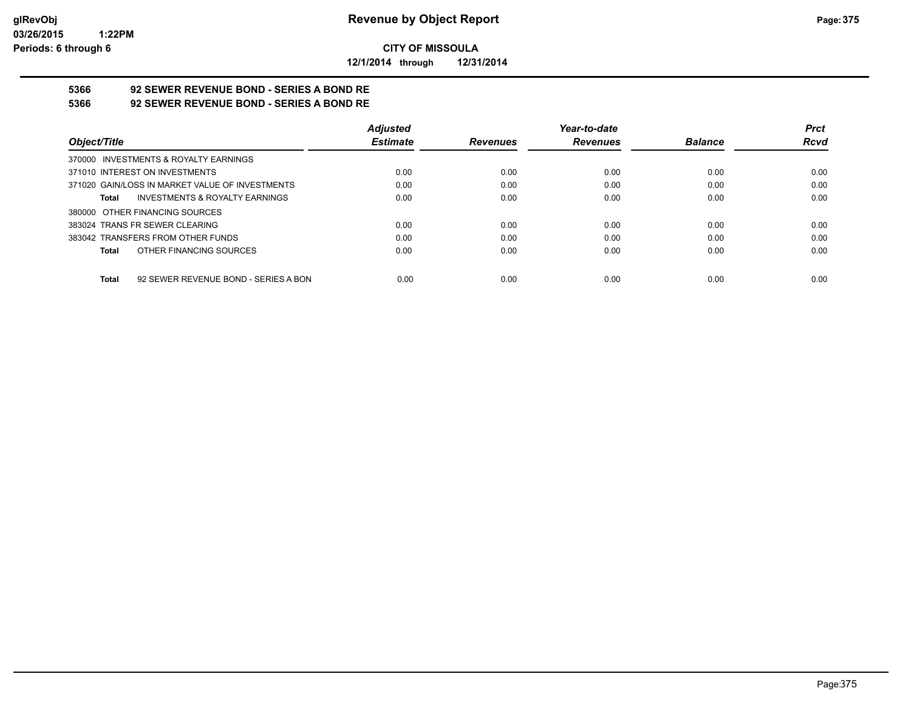**12/1/2014 through 12/31/2014**

# **5366 92 SEWER REVENUE BOND - SERIES A BOND RE**

**5366 92 SEWER REVENUE BOND - SERIES A BOND RE**

|                                                      | <b>Adjusted</b> |                 | Year-to-date    |                | <b>Prct</b> |
|------------------------------------------------------|-----------------|-----------------|-----------------|----------------|-------------|
| Object/Title                                         | <b>Estimate</b> | <b>Revenues</b> | <b>Revenues</b> | <b>Balance</b> | <b>Rcvd</b> |
| 370000 INVESTMENTS & ROYALTY EARNINGS                |                 |                 |                 |                |             |
| 371010 INTEREST ON INVESTMENTS                       | 0.00            | 0.00            | 0.00            | 0.00           | 0.00        |
| 371020 GAIN/LOSS IN MARKET VALUE OF INVESTMENTS      | 0.00            | 0.00            | 0.00            | 0.00           | 0.00        |
| INVESTMENTS & ROYALTY EARNINGS<br>Total              | 0.00            | 0.00            | 0.00            | 0.00           | 0.00        |
| 380000 OTHER FINANCING SOURCES                       |                 |                 |                 |                |             |
| 383024 TRANS FR SEWER CLEARING                       | 0.00            | 0.00            | 0.00            | 0.00           | 0.00        |
| 383042 TRANSFERS FROM OTHER FUNDS                    | 0.00            | 0.00            | 0.00            | 0.00           | 0.00        |
| OTHER FINANCING SOURCES<br>Total                     | 0.00            | 0.00            | 0.00            | 0.00           | 0.00        |
|                                                      |                 |                 |                 |                |             |
| 92 SEWER REVENUE BOND - SERIES A BON<br><b>Total</b> | 0.00            | 0.00            | 0.00            | 0.00           | 0.00        |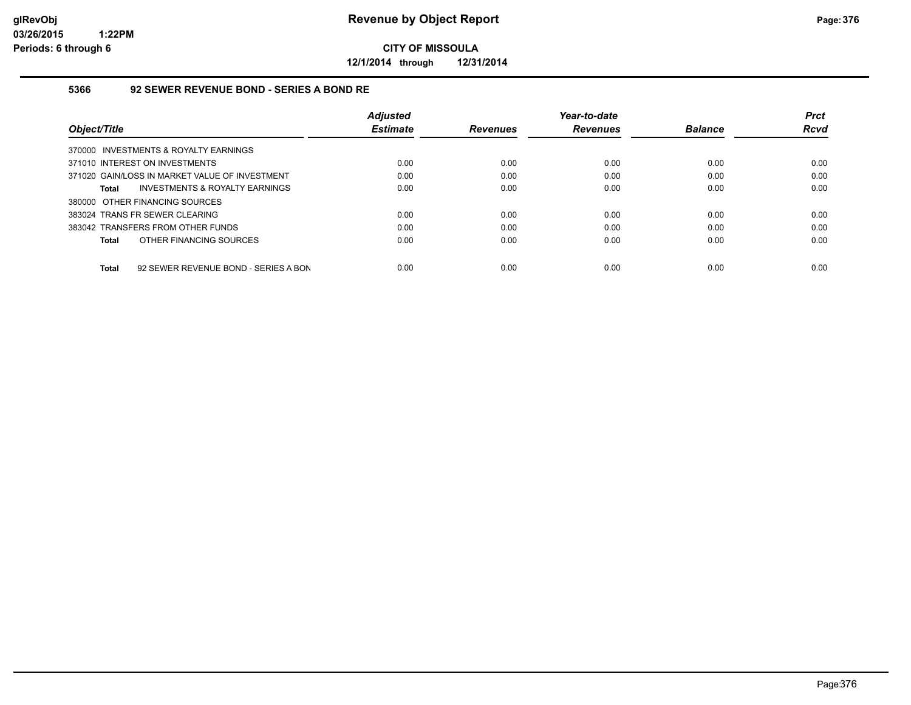**12/1/2014 through 12/31/2014**

### **5366 92 SEWER REVENUE BOND - SERIES A BOND RE**

|                                                      | <b>Adiusted</b> |                 | Year-to-date    |                | <b>Prct</b> |
|------------------------------------------------------|-----------------|-----------------|-----------------|----------------|-------------|
| Object/Title                                         | <b>Estimate</b> | <b>Revenues</b> | <b>Revenues</b> | <b>Balance</b> | Rcvd        |
| 370000 INVESTMENTS & ROYALTY EARNINGS                |                 |                 |                 |                |             |
| 371010 INTEREST ON INVESTMENTS                       | 0.00            | 0.00            | 0.00            | 0.00           | 0.00        |
| 371020 GAIN/LOSS IN MARKET VALUE OF INVESTMENT       | 0.00            | 0.00            | 0.00            | 0.00           | 0.00        |
| INVESTMENTS & ROYALTY EARNINGS<br><b>Total</b>       | 0.00            | 0.00            | 0.00            | 0.00           | 0.00        |
| 380000 OTHER FINANCING SOURCES                       |                 |                 |                 |                |             |
| 383024 TRANS FR SEWER CLEARING                       | 0.00            | 0.00            | 0.00            | 0.00           | 0.00        |
| 383042 TRANSFERS FROM OTHER FUNDS                    | 0.00            | 0.00            | 0.00            | 0.00           | 0.00        |
| OTHER FINANCING SOURCES<br><b>Total</b>              | 0.00            | 0.00            | 0.00            | 0.00           | 0.00        |
|                                                      |                 |                 |                 |                |             |
| 92 SEWER REVENUE BOND - SERIES A BON<br><b>Total</b> | 0.00            | 0.00            | 0.00            | 0.00           | 0.00        |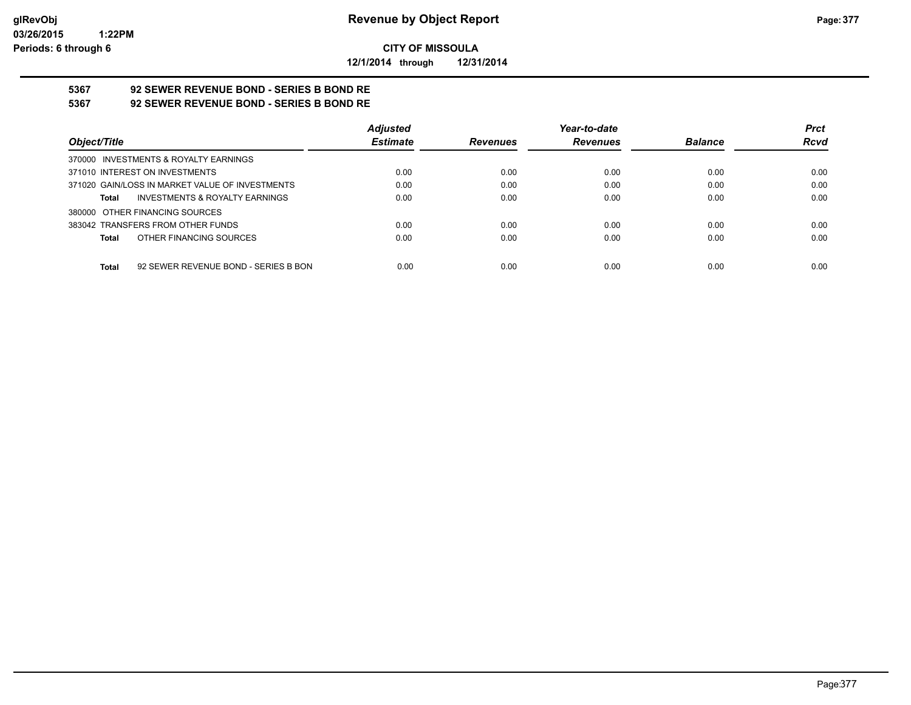**12/1/2014 through 12/31/2014**

# **5367 92 SEWER REVENUE BOND - SERIES B BOND RE**

**5367 92 SEWER REVENUE BOND - SERIES B BOND RE**

|                                                    | <b>Adjusted</b> |                 | Year-to-date    |                | <b>Prct</b> |
|----------------------------------------------------|-----------------|-----------------|-----------------|----------------|-------------|
| Object/Title                                       | <b>Estimate</b> | <b>Revenues</b> | <b>Revenues</b> | <b>Balance</b> | <b>Rcvd</b> |
| 370000 INVESTMENTS & ROYALTY EARNINGS              |                 |                 |                 |                |             |
| 371010 INTEREST ON INVESTMENTS                     | 0.00            | 0.00            | 0.00            | 0.00           | 0.00        |
| 371020 GAIN/LOSS IN MARKET VALUE OF INVESTMENTS    | 0.00            | 0.00            | 0.00            | 0.00           | 0.00        |
| <b>INVESTMENTS &amp; ROYALTY EARNINGS</b><br>Total | 0.00            | 0.00            | 0.00            | 0.00           | 0.00        |
| 380000 OTHER FINANCING SOURCES                     |                 |                 |                 |                |             |
| 383042 TRANSFERS FROM OTHER FUNDS                  | 0.00            | 0.00            | 0.00            | 0.00           | 0.00        |
| OTHER FINANCING SOURCES<br>Total                   | 0.00            | 0.00            | 0.00            | 0.00           | 0.00        |
|                                                    |                 |                 |                 |                |             |
| 92 SEWER REVENUE BOND - SERIES B BON<br>Total      | 0.00            | 0.00            | 0.00            | 0.00           | 0.00        |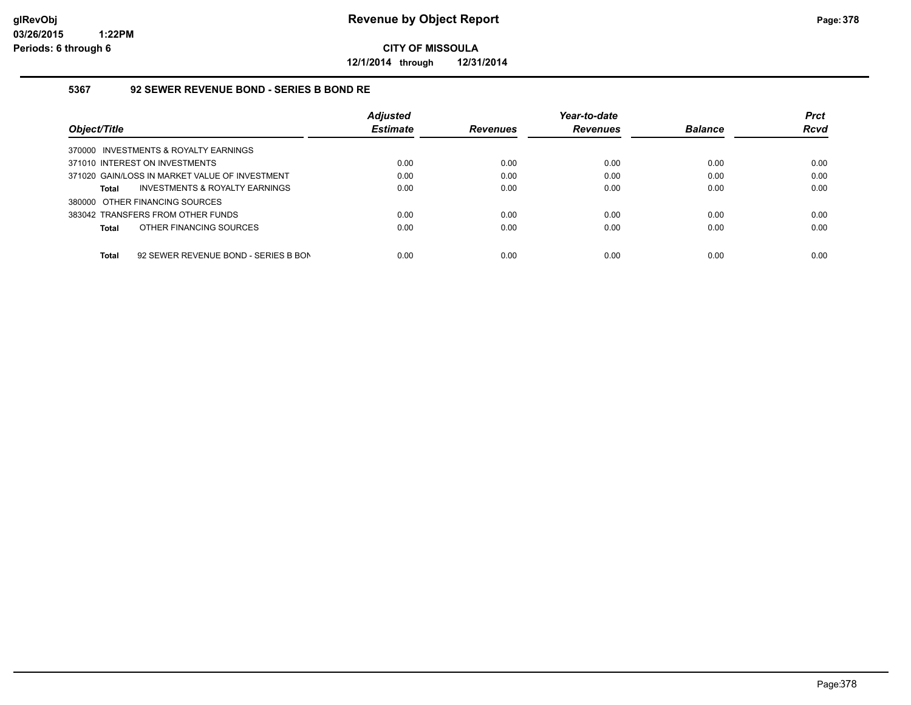**12/1/2014 through 12/31/2014**

### **5367 92 SEWER REVENUE BOND - SERIES B BOND RE**

|                                                | <b>Adjusted</b> |                 | Year-to-date    |                | <b>Prct</b> |
|------------------------------------------------|-----------------|-----------------|-----------------|----------------|-------------|
| Object/Title                                   | <b>Estimate</b> | <b>Revenues</b> | <b>Revenues</b> | <b>Balance</b> | <b>Rcvd</b> |
| 370000 INVESTMENTS & ROYALTY EARNINGS          |                 |                 |                 |                |             |
| 371010 INTEREST ON INVESTMENTS                 | 0.00            | 0.00            | 0.00            | 0.00           | 0.00        |
| 371020 GAIN/LOSS IN MARKET VALUE OF INVESTMENT | 0.00            | 0.00            | 0.00            | 0.00           | 0.00        |
| INVESTMENTS & ROYALTY EARNINGS<br>Total        | 0.00            | 0.00            | 0.00            | 0.00           | 0.00        |
| 380000 OTHER FINANCING SOURCES                 |                 |                 |                 |                |             |
| 383042 TRANSFERS FROM OTHER FUNDS              | 0.00            | 0.00            | 0.00            | 0.00           | 0.00        |
| OTHER FINANCING SOURCES<br>Total               | 0.00            | 0.00            | 0.00            | 0.00           | 0.00        |
|                                                |                 |                 |                 |                |             |
| Total<br>92 SEWER REVENUE BOND - SERIES B BON  | 0.00            | 0.00            | 0.00            | 0.00           | 0.00        |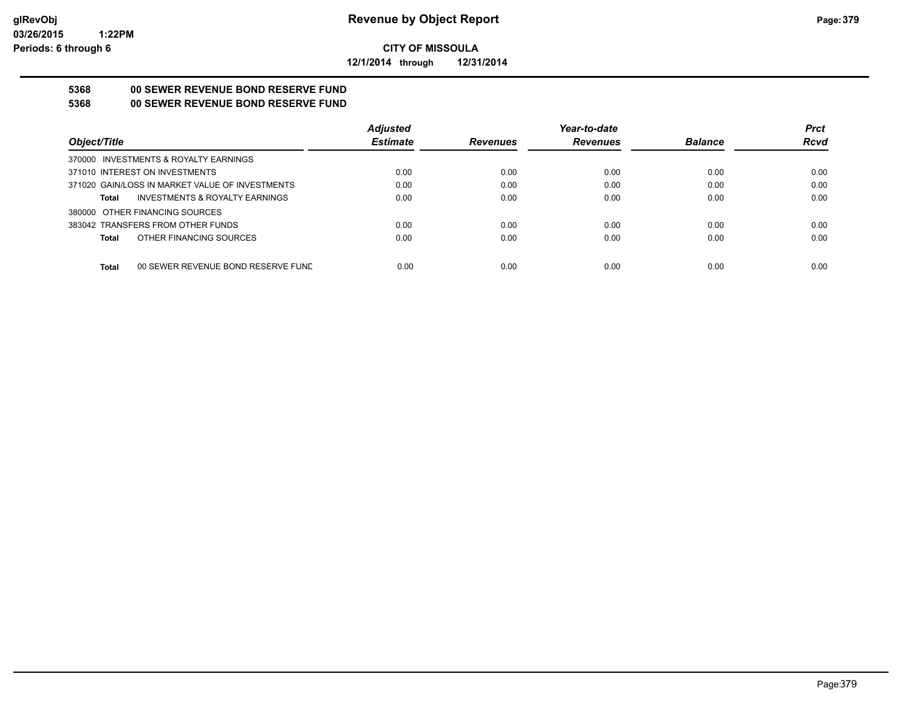**12/1/2014 through 12/31/2014**

## **5368 00 SEWER REVENUE BOND RESERVE FUND**

### **5368 00 SEWER REVENUE BOND RESERVE FUND**

|                                                    | <b>Adjusted</b> |                 | Year-to-date    |                | <b>Prct</b> |
|----------------------------------------------------|-----------------|-----------------|-----------------|----------------|-------------|
| Object/Title                                       | <b>Estimate</b> | <b>Revenues</b> | <b>Revenues</b> | <b>Balance</b> | <b>Rcvd</b> |
| 370000 INVESTMENTS & ROYALTY EARNINGS              |                 |                 |                 |                |             |
| 371010 INTEREST ON INVESTMENTS                     | 0.00            | 0.00            | 0.00            | 0.00           | 0.00        |
| 371020 GAIN/LOSS IN MARKET VALUE OF INVESTMENTS    | 0.00            | 0.00            | 0.00            | 0.00           | 0.00        |
| <b>INVESTMENTS &amp; ROYALTY EARNINGS</b><br>Total | 0.00            | 0.00            | 0.00            | 0.00           | 0.00        |
| 380000 OTHER FINANCING SOURCES                     |                 |                 |                 |                |             |
| 383042 TRANSFERS FROM OTHER FUNDS                  | 0.00            | 0.00            | 0.00            | 0.00           | 0.00        |
| OTHER FINANCING SOURCES<br>Total                   | 0.00            | 0.00            | 0.00            | 0.00           | 0.00        |
|                                                    |                 |                 |                 |                |             |
| <b>Total</b><br>00 SEWER REVENUE BOND RESERVE FUND | 0.00            | 0.00            | 0.00            | 0.00           | 0.00        |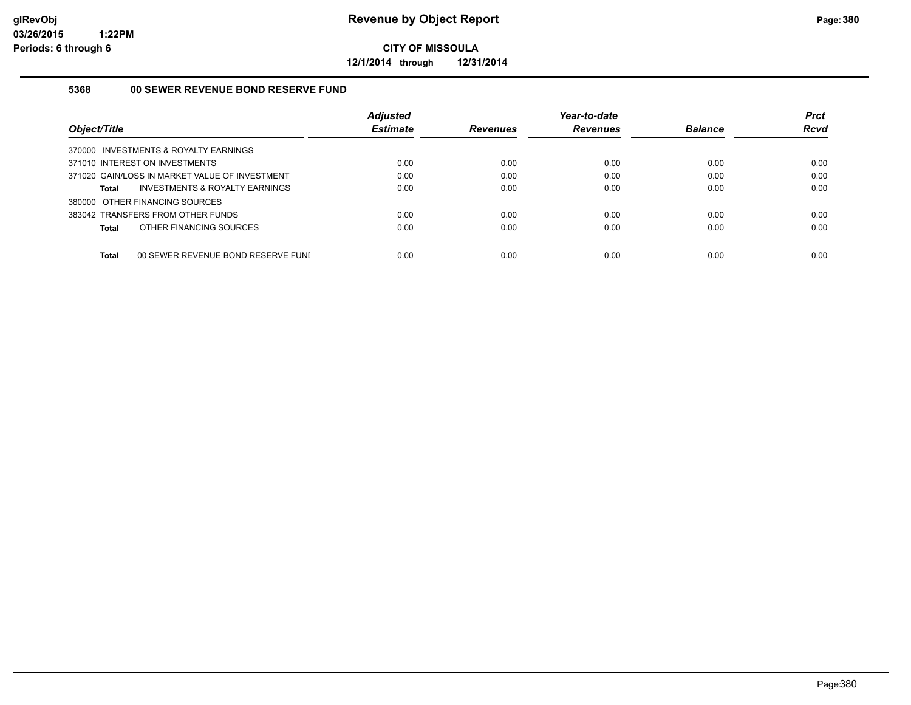**12/1/2014 through 12/31/2014**

### **5368 00 SEWER REVENUE BOND RESERVE FUND**

|                                                    | <b>Adjusted</b> |                 | Year-to-date    |                | <b>Prct</b> |
|----------------------------------------------------|-----------------|-----------------|-----------------|----------------|-------------|
| Object/Title                                       | <b>Estimate</b> | <b>Revenues</b> | <b>Revenues</b> | <b>Balance</b> | Rcvd        |
| 370000 INVESTMENTS & ROYALTY EARNINGS              |                 |                 |                 |                |             |
| 371010 INTEREST ON INVESTMENTS                     | 0.00            | 0.00            | 0.00            | 0.00           | 0.00        |
| 371020 GAIN/LOSS IN MARKET VALUE OF INVESTMENT     | 0.00            | 0.00            | 0.00            | 0.00           | 0.00        |
| INVESTMENTS & ROYALTY EARNINGS<br>Total            | 0.00            | 0.00            | 0.00            | 0.00           | 0.00        |
| 380000 OTHER FINANCING SOURCES                     |                 |                 |                 |                |             |
| 383042 TRANSFERS FROM OTHER FUNDS                  | 0.00            | 0.00            | 0.00            | 0.00           | 0.00        |
| OTHER FINANCING SOURCES<br>Total                   | 0.00            | 0.00            | 0.00            | 0.00           | 0.00        |
|                                                    |                 |                 |                 |                |             |
| <b>Total</b><br>00 SEWER REVENUE BOND RESERVE FUNI | 0.00            | 0.00            | 0.00            | 0.00           | 0.00        |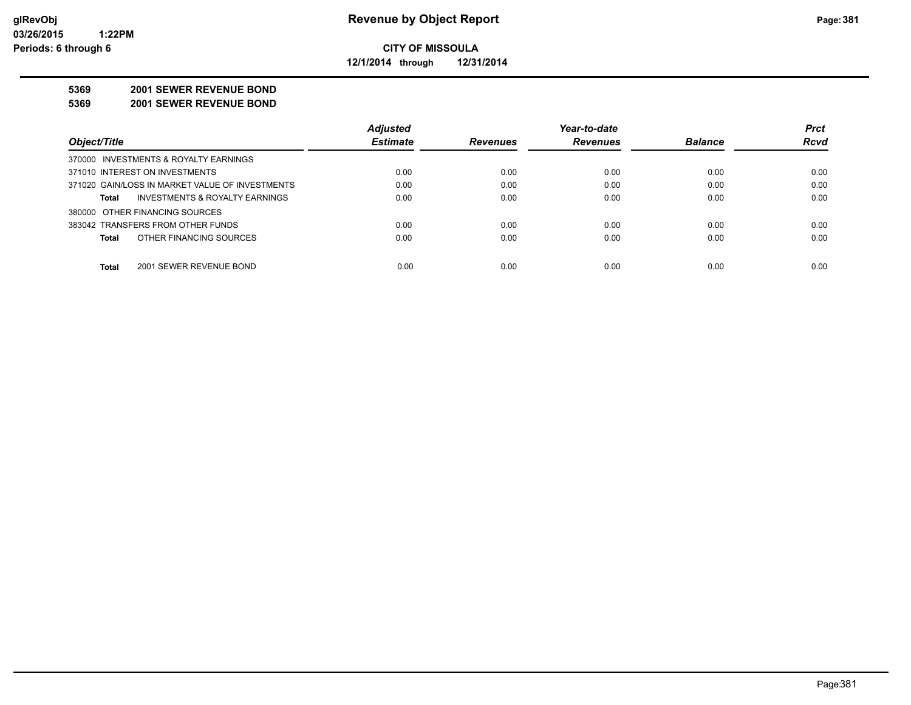**12/1/2014 through 12/31/2014**

### **5369 2001 SEWER REVENUE BOND**

**5369 2001 SEWER REVENUE BOND**

|                                                 | <b>Adjusted</b> |                 | Year-to-date    |                | <b>Prct</b> |
|-------------------------------------------------|-----------------|-----------------|-----------------|----------------|-------------|
| Object/Title                                    | <b>Estimate</b> | <b>Revenues</b> | <b>Revenues</b> | <b>Balance</b> | <b>Rcvd</b> |
| 370000 INVESTMENTS & ROYALTY EARNINGS           |                 |                 |                 |                |             |
| 371010 INTEREST ON INVESTMENTS                  | 0.00            | 0.00            | 0.00            | 0.00           | 0.00        |
| 371020 GAIN/LOSS IN MARKET VALUE OF INVESTMENTS | 0.00            | 0.00            | 0.00            | 0.00           | 0.00        |
| INVESTMENTS & ROYALTY EARNINGS<br>Total         | 0.00            | 0.00            | 0.00            | 0.00           | 0.00        |
| 380000 OTHER FINANCING SOURCES                  |                 |                 |                 |                |             |
| 383042 TRANSFERS FROM OTHER FUNDS               | 0.00            | 0.00            | 0.00            | 0.00           | 0.00        |
| OTHER FINANCING SOURCES<br><b>Total</b>         | 0.00            | 0.00            | 0.00            | 0.00           | 0.00        |
|                                                 |                 |                 |                 |                |             |
| <b>Total</b><br>2001 SEWER REVENUE BOND         | 0.00            | 0.00            | 0.00            | 0.00           | 0.00        |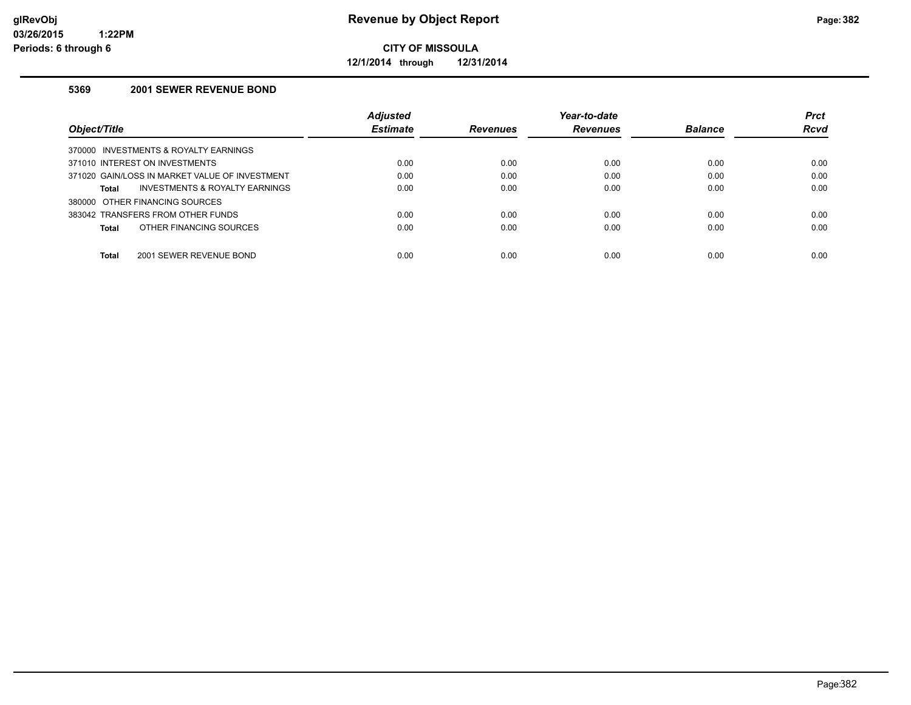**12/1/2014 through 12/31/2014**

### **5369 2001 SEWER REVENUE BOND**

|                                                | <b>Adjusted</b> |                 | Year-to-date    |                | <b>Prct</b> |
|------------------------------------------------|-----------------|-----------------|-----------------|----------------|-------------|
| Object/Title                                   | <b>Estimate</b> | <b>Revenues</b> | <b>Revenues</b> | <b>Balance</b> | Rcvd        |
| 370000 INVESTMENTS & ROYALTY EARNINGS          |                 |                 |                 |                |             |
| 371010 INTEREST ON INVESTMENTS                 | 0.00            | 0.00            | 0.00            | 0.00           | 0.00        |
| 371020 GAIN/LOSS IN MARKET VALUE OF INVESTMENT | 0.00            | 0.00            | 0.00            | 0.00           | 0.00        |
| INVESTMENTS & ROYALTY EARNINGS<br>Total        | 0.00            | 0.00            | 0.00            | 0.00           | 0.00        |
| 380000 OTHER FINANCING SOURCES                 |                 |                 |                 |                |             |
| 383042 TRANSFERS FROM OTHER FUNDS              | 0.00            | 0.00            | 0.00            | 0.00           | 0.00        |
| OTHER FINANCING SOURCES<br>Total               | 0.00            | 0.00            | 0.00            | 0.00           | 0.00        |
| <b>Total</b><br>2001 SEWER REVENUE BOND        | 0.00            | 0.00            | 0.00            | 0.00           | 0.00        |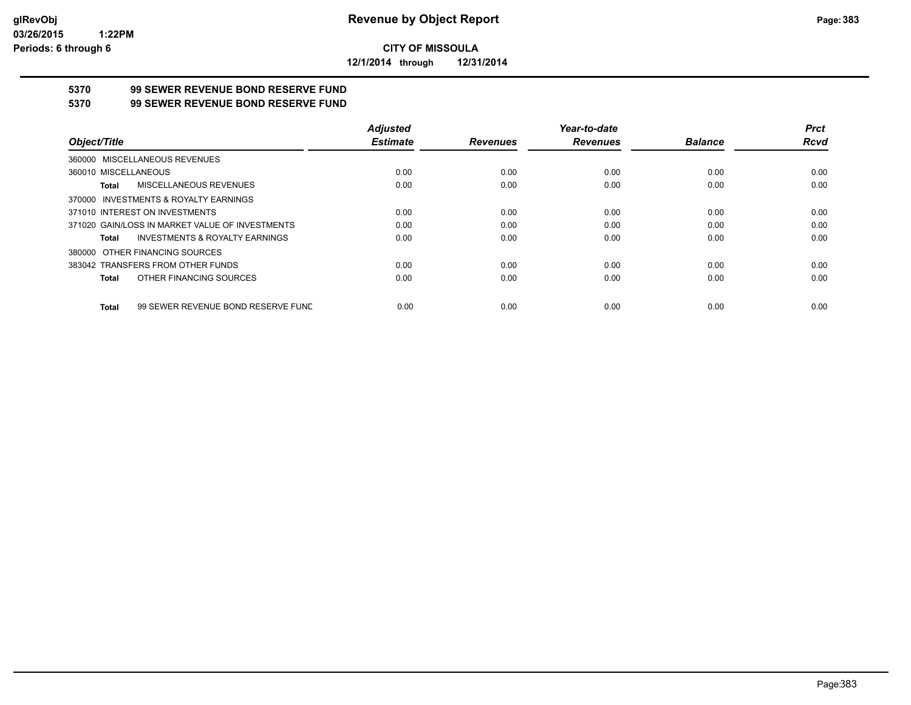**12/1/2014 through 12/31/2014**

### **5370 99 SEWER REVENUE BOND RESERVE FUND**

### **5370 99 SEWER REVENUE BOND RESERVE FUND**

|                                                    | <b>Adjusted</b> |                 | Year-to-date    |                | <b>Prct</b> |
|----------------------------------------------------|-----------------|-----------------|-----------------|----------------|-------------|
| Object/Title                                       | <b>Estimate</b> | <b>Revenues</b> | <b>Revenues</b> | <b>Balance</b> | <b>Rcvd</b> |
| 360000 MISCELLANEOUS REVENUES                      |                 |                 |                 |                |             |
| 360010 MISCELLANEOUS                               | 0.00            | 0.00            | 0.00            | 0.00           | 0.00        |
| MISCELLANEOUS REVENUES<br>Total                    | 0.00            | 0.00            | 0.00            | 0.00           | 0.00        |
| 370000 INVESTMENTS & ROYALTY EARNINGS              |                 |                 |                 |                |             |
| 371010 INTEREST ON INVESTMENTS                     | 0.00            | 0.00            | 0.00            | 0.00           | 0.00        |
| 371020 GAIN/LOSS IN MARKET VALUE OF INVESTMENTS    | 0.00            | 0.00            | 0.00            | 0.00           | 0.00        |
| <b>INVESTMENTS &amp; ROYALTY EARNINGS</b><br>Total | 0.00            | 0.00            | 0.00            | 0.00           | 0.00        |
| 380000 OTHER FINANCING SOURCES                     |                 |                 |                 |                |             |
| 383042 TRANSFERS FROM OTHER FUNDS                  | 0.00            | 0.00            | 0.00            | 0.00           | 0.00        |
| OTHER FINANCING SOURCES<br>Total                   | 0.00            | 0.00            | 0.00            | 0.00           | 0.00        |
| 99 SEWER REVENUE BOND RESERVE FUND<br><b>Total</b> | 0.00            | 0.00            | 0.00            | 0.00           | 0.00        |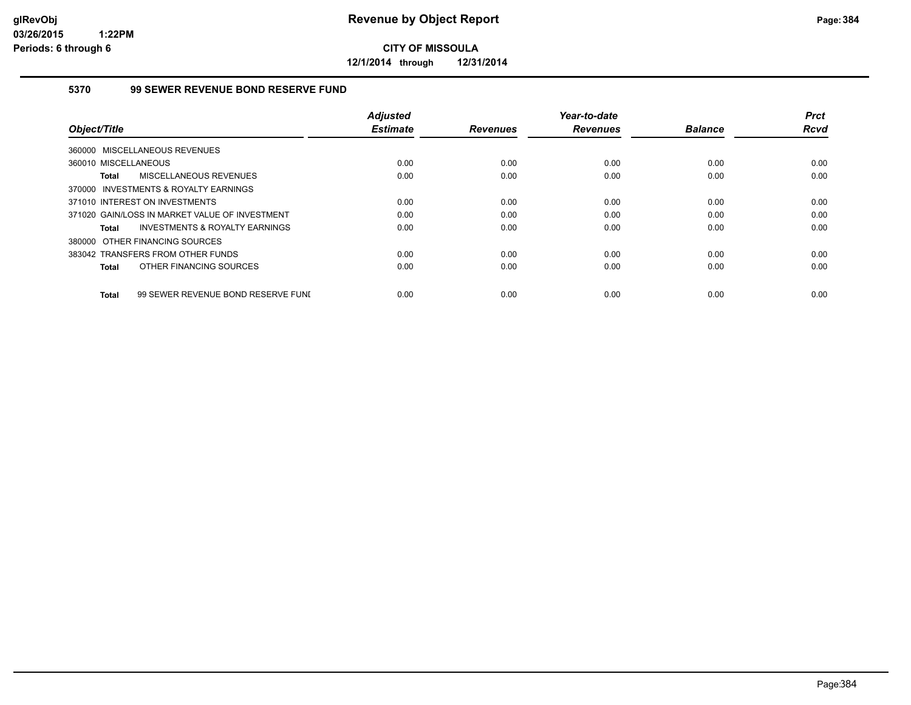**12/1/2014 through 12/31/2014**

### **5370 99 SEWER REVENUE BOND RESERVE FUND**

|                                                    | <b>Adjusted</b> |                 | Year-to-date    |                | <b>Prct</b> |
|----------------------------------------------------|-----------------|-----------------|-----------------|----------------|-------------|
| Object/Title                                       | <b>Estimate</b> | <b>Revenues</b> | <b>Revenues</b> | <b>Balance</b> | <b>Rcvd</b> |
| 360000 MISCELLANEOUS REVENUES                      |                 |                 |                 |                |             |
| 360010 MISCELLANEOUS                               | 0.00            | 0.00            | 0.00            | 0.00           | 0.00        |
| MISCELLANEOUS REVENUES<br>Total                    | 0.00            | 0.00            | 0.00            | 0.00           | 0.00        |
| 370000 INVESTMENTS & ROYALTY EARNINGS              |                 |                 |                 |                |             |
| 371010 INTEREST ON INVESTMENTS                     | 0.00            | 0.00            | 0.00            | 0.00           | 0.00        |
| 371020 GAIN/LOSS IN MARKET VALUE OF INVESTMENT     | 0.00            | 0.00            | 0.00            | 0.00           | 0.00        |
| <b>INVESTMENTS &amp; ROYALTY EARNINGS</b><br>Total | 0.00            | 0.00            | 0.00            | 0.00           | 0.00        |
| 380000 OTHER FINANCING SOURCES                     |                 |                 |                 |                |             |
| 383042 TRANSFERS FROM OTHER FUNDS                  | 0.00            | 0.00            | 0.00            | 0.00           | 0.00        |
| OTHER FINANCING SOURCES<br>Total                   | 0.00            | 0.00            | 0.00            | 0.00           | 0.00        |
|                                                    |                 |                 |                 |                |             |
| 99 SEWER REVENUE BOND RESERVE FUNI<br>Total        | 0.00            | 0.00            | 0.00            | 0.00           | 0.00        |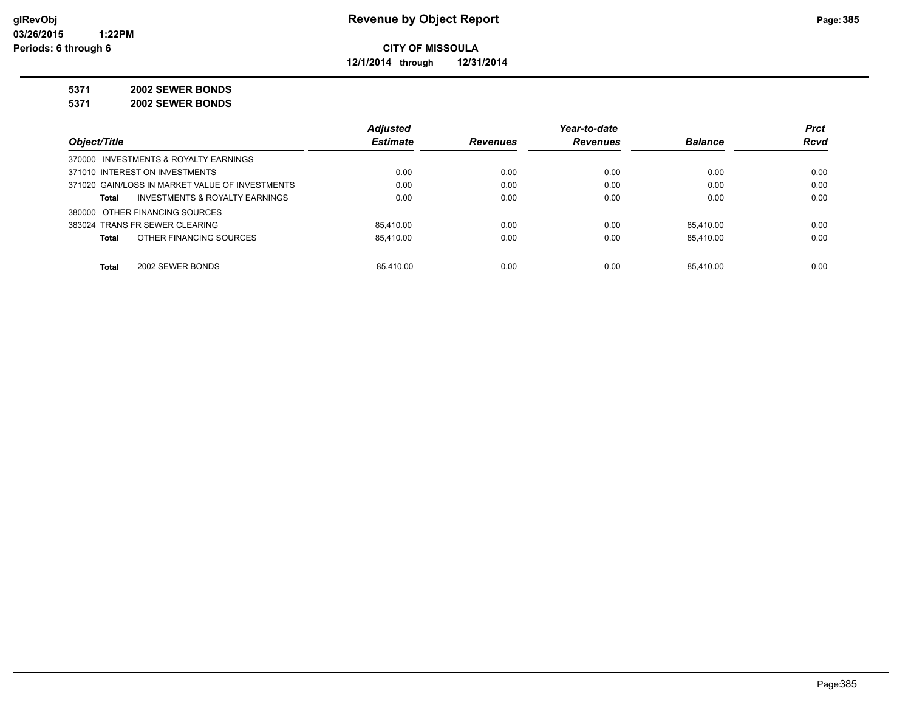**12/1/2014 through 12/31/2014**

#### **5371 2002 SEWER BONDS**

**5371 2002 SEWER BONDS**

|                                                 | <b>Adjusted</b> |                 | Year-to-date    |                | <b>Prct</b> |
|-------------------------------------------------|-----------------|-----------------|-----------------|----------------|-------------|
| Object/Title                                    | <b>Estimate</b> | <b>Revenues</b> | <b>Revenues</b> | <b>Balance</b> | <b>Rcvd</b> |
| 370000 INVESTMENTS & ROYALTY EARNINGS           |                 |                 |                 |                |             |
| 371010 INTEREST ON INVESTMENTS                  | 0.00            | 0.00            | 0.00            | 0.00           | 0.00        |
| 371020 GAIN/LOSS IN MARKET VALUE OF INVESTMENTS | 0.00            | 0.00            | 0.00            | 0.00           | 0.00        |
| INVESTMENTS & ROYALTY EARNINGS<br><b>Total</b>  | 0.00            | 0.00            | 0.00            | 0.00           | 0.00        |
| 380000 OTHER FINANCING SOURCES                  |                 |                 |                 |                |             |
| 383024 TRANS FR SEWER CLEARING                  | 85.410.00       | 0.00            | 0.00            | 85.410.00      | 0.00        |
| OTHER FINANCING SOURCES<br><b>Total</b>         | 85.410.00       | 0.00            | 0.00            | 85.410.00      | 0.00        |
|                                                 |                 |                 |                 |                |             |
| <b>Total</b><br>2002 SEWER BONDS                | 85.410.00       | 0.00            | 0.00            | 85.410.00      | 0.00        |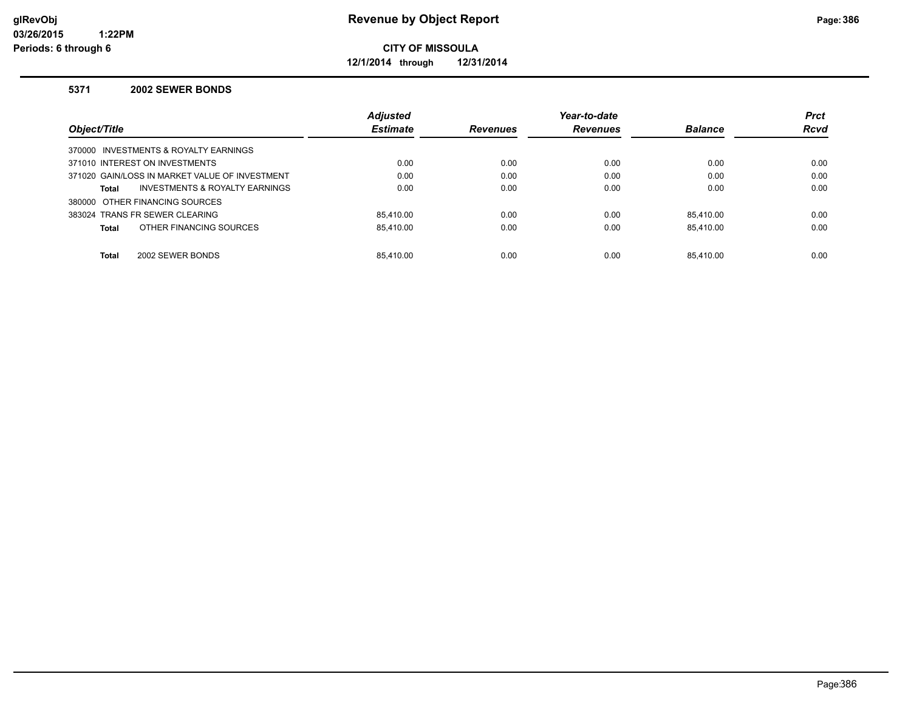**12/1/2014 through 12/31/2014**

### **5371 2002 SEWER BONDS**

|                                                           | <b>Adjusted</b> |                 | Year-to-date    |                | <b>Prct</b> |
|-----------------------------------------------------------|-----------------|-----------------|-----------------|----------------|-------------|
| Object/Title                                              | <b>Estimate</b> | <b>Revenues</b> | <b>Revenues</b> | <b>Balance</b> | <b>Rcvd</b> |
| 370000 INVESTMENTS & ROYALTY EARNINGS                     |                 |                 |                 |                |             |
| 371010 INTEREST ON INVESTMENTS                            | 0.00            | 0.00            | 0.00            | 0.00           | 0.00        |
| 371020 GAIN/LOSS IN MARKET VALUE OF INVESTMENT            | 0.00            | 0.00            | 0.00            | 0.00           | 0.00        |
| <b>INVESTMENTS &amp; ROYALTY EARNINGS</b><br><b>Total</b> | 0.00            | 0.00            | 0.00            | 0.00           | 0.00        |
| 380000 OTHER FINANCING SOURCES                            |                 |                 |                 |                |             |
| 383024 TRANS FR SEWER CLEARING                            | 85.410.00       | 0.00            | 0.00            | 85.410.00      | 0.00        |
| OTHER FINANCING SOURCES<br><b>Total</b>                   | 85.410.00       | 0.00            | 0.00            | 85.410.00      | 0.00        |
|                                                           |                 |                 |                 |                |             |
| 2002 SEWER BONDS<br><b>Total</b>                          | 85.410.00       | 0.00            | 0.00            | 85.410.00      | 0.00        |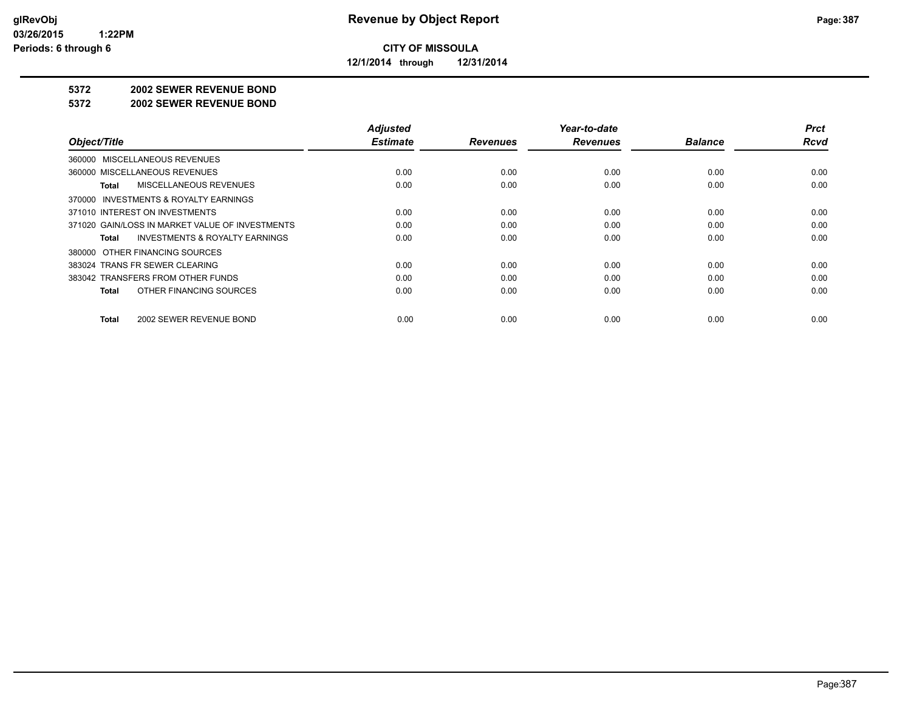**12/1/2014 through 12/31/2014**

#### **5372 2002 SEWER REVENUE BOND**

#### **5372 2002 SEWER REVENUE BOND**

| Object/Title                                       | <b>Adjusted</b><br><b>Estimate</b> | <b>Revenues</b> | Year-to-date<br><b>Revenues</b> | <b>Balance</b> | <b>Prct</b><br><b>Rcvd</b> |
|----------------------------------------------------|------------------------------------|-----------------|---------------------------------|----------------|----------------------------|
| 360000 MISCELLANEOUS REVENUES                      |                                    |                 |                                 |                |                            |
| 360000 MISCELLANEOUS REVENUES                      | 0.00                               | 0.00            | 0.00                            | 0.00           | 0.00                       |
| MISCELLANEOUS REVENUES<br>Total                    | 0.00                               | 0.00            | 0.00                            | 0.00           | 0.00                       |
| INVESTMENTS & ROYALTY EARNINGS<br>370000           |                                    |                 |                                 |                |                            |
| 371010 INTEREST ON INVESTMENTS                     | 0.00                               | 0.00            | 0.00                            | 0.00           | 0.00                       |
| 371020 GAIN/LOSS IN MARKET VALUE OF INVESTMENTS    | 0.00                               | 0.00            | 0.00                            | 0.00           | 0.00                       |
| <b>INVESTMENTS &amp; ROYALTY EARNINGS</b><br>Total | 0.00                               | 0.00            | 0.00                            | 0.00           | 0.00                       |
| 380000 OTHER FINANCING SOURCES                     |                                    |                 |                                 |                |                            |
| 383024 TRANS FR SEWER CLEARING                     | 0.00                               | 0.00            | 0.00                            | 0.00           | 0.00                       |
| 383042 TRANSFERS FROM OTHER FUNDS                  | 0.00                               | 0.00            | 0.00                            | 0.00           | 0.00                       |
| OTHER FINANCING SOURCES<br><b>Total</b>            | 0.00                               | 0.00            | 0.00                            | 0.00           | 0.00                       |
| 2002 SEWER REVENUE BOND<br><b>Total</b>            | 0.00                               | 0.00            | 0.00                            | 0.00           | 0.00                       |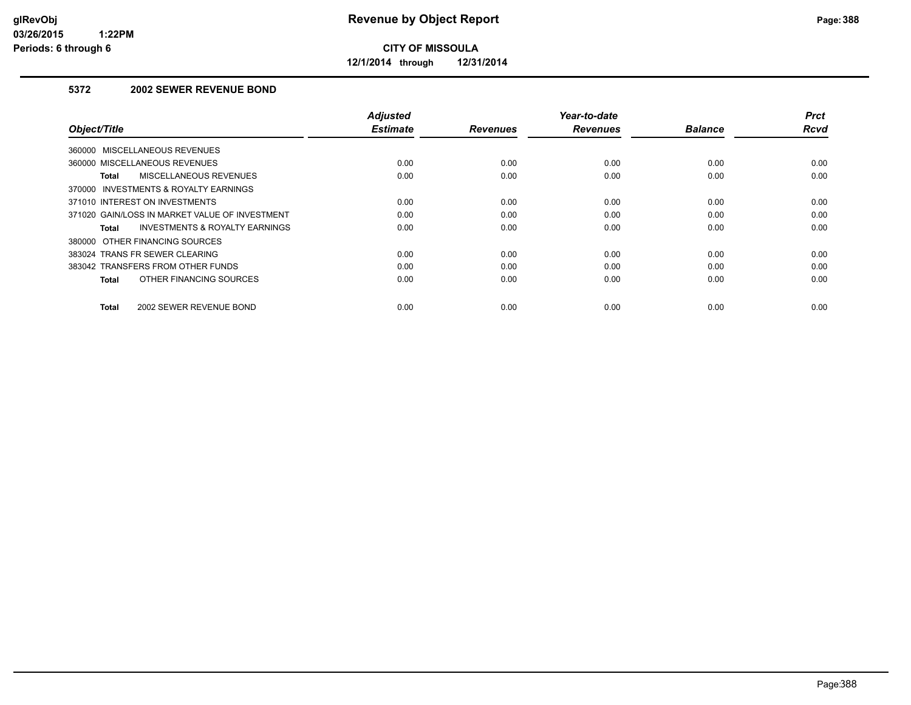**12/1/2014 through 12/31/2014**

### **5372 2002 SEWER REVENUE BOND**

| Object/Title                                   | <b>Adjusted</b><br><b>Estimate</b> | <b>Revenues</b> | Year-to-date<br><b>Revenues</b> | <b>Balance</b> | <b>Prct</b><br>Rcvd |
|------------------------------------------------|------------------------------------|-----------------|---------------------------------|----------------|---------------------|
| 360000 MISCELLANEOUS REVENUES                  |                                    |                 |                                 |                |                     |
| 360000 MISCELLANEOUS REVENUES                  | 0.00                               | 0.00            | 0.00                            | 0.00           | 0.00                |
| MISCELLANEOUS REVENUES<br>Total                | 0.00                               | 0.00            | 0.00                            | 0.00           | 0.00                |
| 370000 INVESTMENTS & ROYALTY EARNINGS          |                                    |                 |                                 |                |                     |
| 371010 INTEREST ON INVESTMENTS                 | 0.00                               | 0.00            | 0.00                            | 0.00           | 0.00                |
| 371020 GAIN/LOSS IN MARKET VALUE OF INVESTMENT | 0.00                               | 0.00            | 0.00                            | 0.00           | 0.00                |
| INVESTMENTS & ROYALTY EARNINGS<br>Total        | 0.00                               | 0.00            | 0.00                            | 0.00           | 0.00                |
| 380000 OTHER FINANCING SOURCES                 |                                    |                 |                                 |                |                     |
| 383024 TRANS FR SEWER CLEARING                 | 0.00                               | 0.00            | 0.00                            | 0.00           | 0.00                |
| 383042 TRANSFERS FROM OTHER FUNDS              | 0.00                               | 0.00            | 0.00                            | 0.00           | 0.00                |
| OTHER FINANCING SOURCES<br><b>Total</b>        | 0.00                               | 0.00            | 0.00                            | 0.00           | 0.00                |
| 2002 SEWER REVENUE BOND<br><b>Total</b>        | 0.00                               | 0.00            | 0.00                            | 0.00           | 0.00                |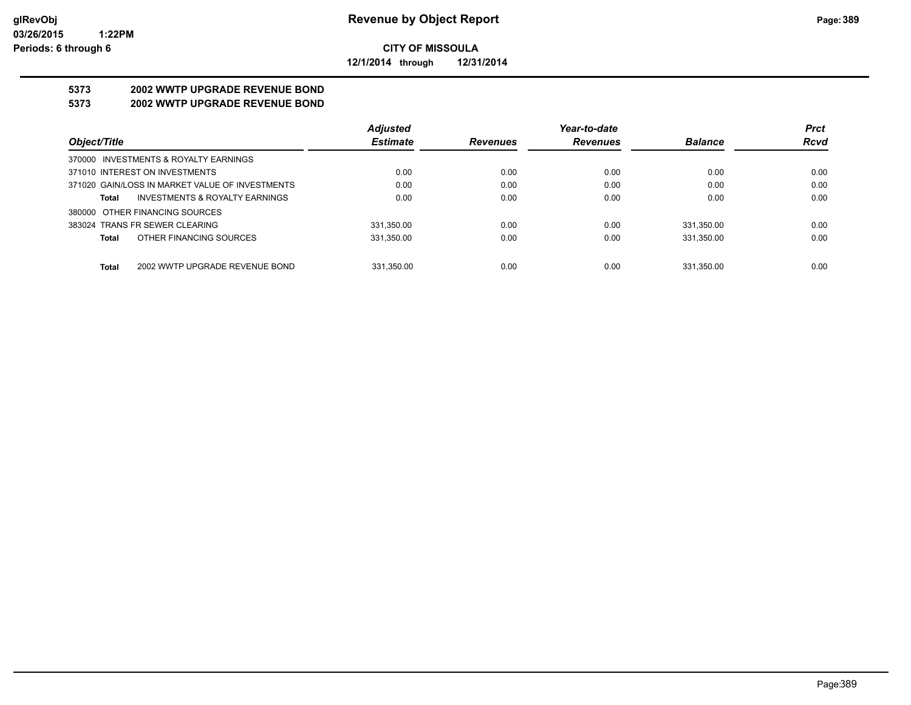**12/1/2014 through 12/31/2014**

## **5373 2002 WWTP UPGRADE REVENUE BOND**

### **5373 2002 WWTP UPGRADE REVENUE BOND**

|                                                 | <b>Adjusted</b> |                 | Year-to-date    |                | <b>Prct</b> |
|-------------------------------------------------|-----------------|-----------------|-----------------|----------------|-------------|
| Object/Title                                    | <b>Estimate</b> | <b>Revenues</b> | <b>Revenues</b> | <b>Balance</b> | <b>Rcvd</b> |
| 370000 INVESTMENTS & ROYALTY EARNINGS           |                 |                 |                 |                |             |
| 371010 INTEREST ON INVESTMENTS                  | 0.00            | 0.00            | 0.00            | 0.00           | 0.00        |
| 371020 GAIN/LOSS IN MARKET VALUE OF INVESTMENTS | 0.00            | 0.00            | 0.00            | 0.00           | 0.00        |
| INVESTMENTS & ROYALTY EARNINGS<br>Total         | 0.00            | 0.00            | 0.00            | 0.00           | 0.00        |
| 380000 OTHER FINANCING SOURCES                  |                 |                 |                 |                |             |
| 383024 TRANS FR SEWER CLEARING                  | 331.350.00      | 0.00            | 0.00            | 331.350.00     | 0.00        |
| OTHER FINANCING SOURCES<br>Total                | 331,350.00      | 0.00            | 0.00            | 331,350.00     | 0.00        |
|                                                 |                 |                 |                 |                |             |
| 2002 WWTP UPGRADE REVENUE BOND<br><b>Total</b>  | 331.350.00      | 0.00            | 0.00            | 331.350.00     | 0.00        |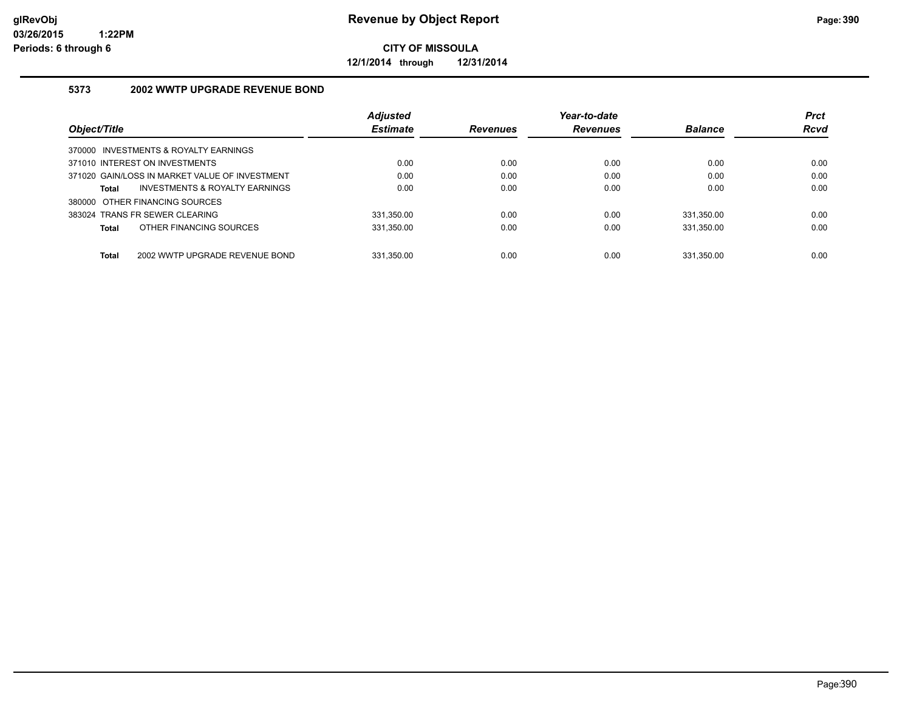**12/1/2014 through 12/31/2014**

### **5373 2002 WWTP UPGRADE REVENUE BOND**

|                                                | <b>Adjusted</b> |                 | Year-to-date    |                | <b>Prct</b> |
|------------------------------------------------|-----------------|-----------------|-----------------|----------------|-------------|
| Object/Title                                   | <b>Estimate</b> | <b>Revenues</b> | <b>Revenues</b> | <b>Balance</b> | <b>Rcvd</b> |
| 370000 INVESTMENTS & ROYALTY EARNINGS          |                 |                 |                 |                |             |
| 371010 INTEREST ON INVESTMENTS                 | 0.00            | 0.00            | 0.00            | 0.00           | 0.00        |
| 371020 GAIN/LOSS IN MARKET VALUE OF INVESTMENT | 0.00            | 0.00            | 0.00            | 0.00           | 0.00        |
| INVESTMENTS & ROYALTY EARNINGS<br><b>Total</b> | 0.00            | 0.00            | 0.00            | 0.00           | 0.00        |
| 380000 OTHER FINANCING SOURCES                 |                 |                 |                 |                |             |
| 383024 TRANS FR SEWER CLEARING                 | 331.350.00      | 0.00            | 0.00            | 331.350.00     | 0.00        |
| OTHER FINANCING SOURCES<br><b>Total</b>        | 331.350.00      | 0.00            | 0.00            | 331.350.00     | 0.00        |
|                                                |                 |                 |                 |                |             |
| 2002 WWTP UPGRADE REVENUE BOND<br><b>Total</b> | 331.350.00      | 0.00            | 0.00            | 331.350.00     | 0.00        |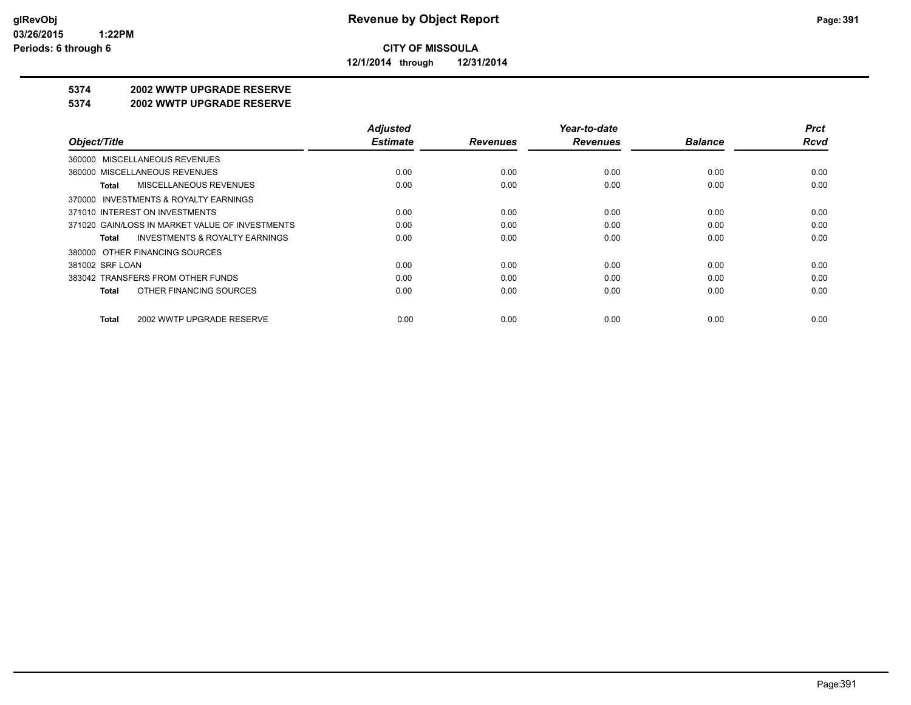**12/1/2014 through 12/31/2014**

### **5374 2002 WWTP UPGRADE RESERVE**

#### **5374 2002 WWTP UPGRADE RESERVE**

|                                                    | <b>Adjusted</b> |                 | Year-to-date    |                | <b>Prct</b> |
|----------------------------------------------------|-----------------|-----------------|-----------------|----------------|-------------|
| Object/Title                                       | <b>Estimate</b> | <b>Revenues</b> | <b>Revenues</b> | <b>Balance</b> | <b>Rcvd</b> |
| 360000 MISCELLANEOUS REVENUES                      |                 |                 |                 |                |             |
| 360000 MISCELLANEOUS REVENUES                      | 0.00            | 0.00            | 0.00            | 0.00           | 0.00        |
| MISCELLANEOUS REVENUES<br>Total                    | 0.00            | 0.00            | 0.00            | 0.00           | 0.00        |
| 370000 INVESTMENTS & ROYALTY EARNINGS              |                 |                 |                 |                |             |
| 371010 INTEREST ON INVESTMENTS                     | 0.00            | 0.00            | 0.00            | 0.00           | 0.00        |
| 371020 GAIN/LOSS IN MARKET VALUE OF INVESTMENTS    | 0.00            | 0.00            | 0.00            | 0.00           | 0.00        |
| <b>INVESTMENTS &amp; ROYALTY EARNINGS</b><br>Total | 0.00            | 0.00            | 0.00            | 0.00           | 0.00        |
| 380000 OTHER FINANCING SOURCES                     |                 |                 |                 |                |             |
| 381002 SRF LOAN                                    | 0.00            | 0.00            | 0.00            | 0.00           | 0.00        |
| 383042 TRANSFERS FROM OTHER FUNDS                  | 0.00            | 0.00            | 0.00            | 0.00           | 0.00        |
| OTHER FINANCING SOURCES<br>Total                   | 0.00            | 0.00            | 0.00            | 0.00           | 0.00        |
| 2002 WWTP UPGRADE RESERVE<br>Total                 | 0.00            | 0.00            | 0.00            | 0.00           | 0.00        |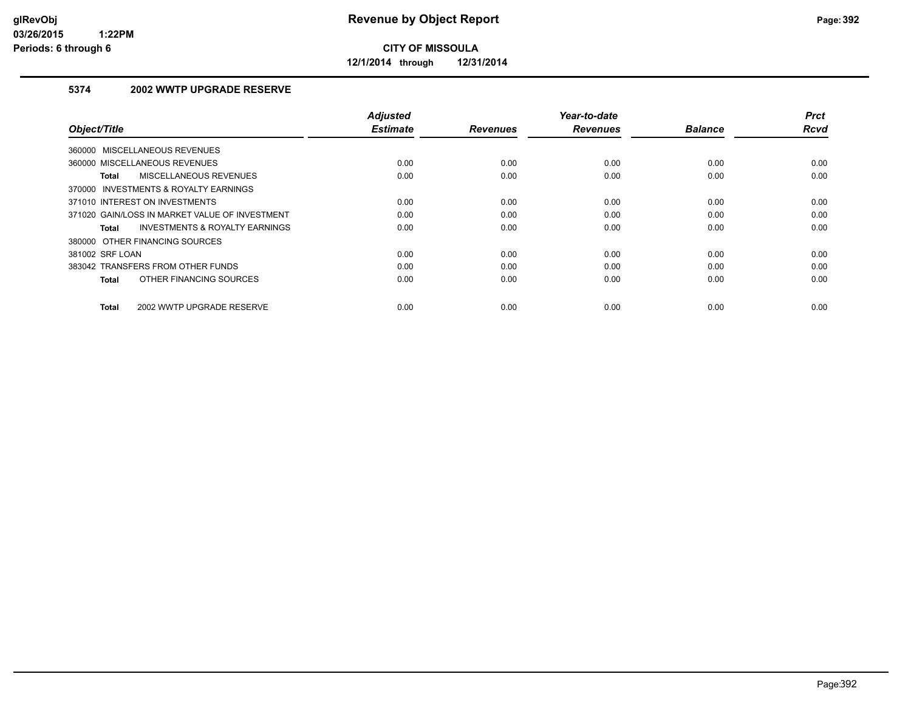**12/1/2014 through 12/31/2014**

### **5374 2002 WWTP UPGRADE RESERVE**

| Object/Title                                   | <b>Adjusted</b><br><b>Estimate</b> | <b>Revenues</b> | Year-to-date<br><b>Revenues</b> | <b>Balance</b> | <b>Prct</b><br><b>Rcvd</b> |
|------------------------------------------------|------------------------------------|-----------------|---------------------------------|----------------|----------------------------|
| 360000 MISCELLANEOUS REVENUES                  |                                    |                 |                                 |                |                            |
| 360000 MISCELLANEOUS REVENUES                  | 0.00                               | 0.00            | 0.00                            | 0.00           | 0.00                       |
| MISCELLANEOUS REVENUES<br>Total                | 0.00                               | 0.00            | 0.00                            | 0.00           | 0.00                       |
| 370000 INVESTMENTS & ROYALTY EARNINGS          |                                    |                 |                                 |                |                            |
| 371010 INTEREST ON INVESTMENTS                 | 0.00                               | 0.00            | 0.00                            | 0.00           | 0.00                       |
| 371020 GAIN/LOSS IN MARKET VALUE OF INVESTMENT | 0.00                               | 0.00            | 0.00                            | 0.00           | 0.00                       |
| INVESTMENTS & ROYALTY EARNINGS<br>Total        | 0.00                               | 0.00            | 0.00                            | 0.00           | 0.00                       |
| 380000 OTHER FINANCING SOURCES                 |                                    |                 |                                 |                |                            |
| 381002 SRF LOAN                                | 0.00                               | 0.00            | 0.00                            | 0.00           | 0.00                       |
| 383042 TRANSFERS FROM OTHER FUNDS              | 0.00                               | 0.00            | 0.00                            | 0.00           | 0.00                       |
| OTHER FINANCING SOURCES<br><b>Total</b>        | 0.00                               | 0.00            | 0.00                            | 0.00           | 0.00                       |
| 2002 WWTP UPGRADE RESERVE<br><b>Total</b>      | 0.00                               | 0.00            | 0.00                            | 0.00           | 0.00                       |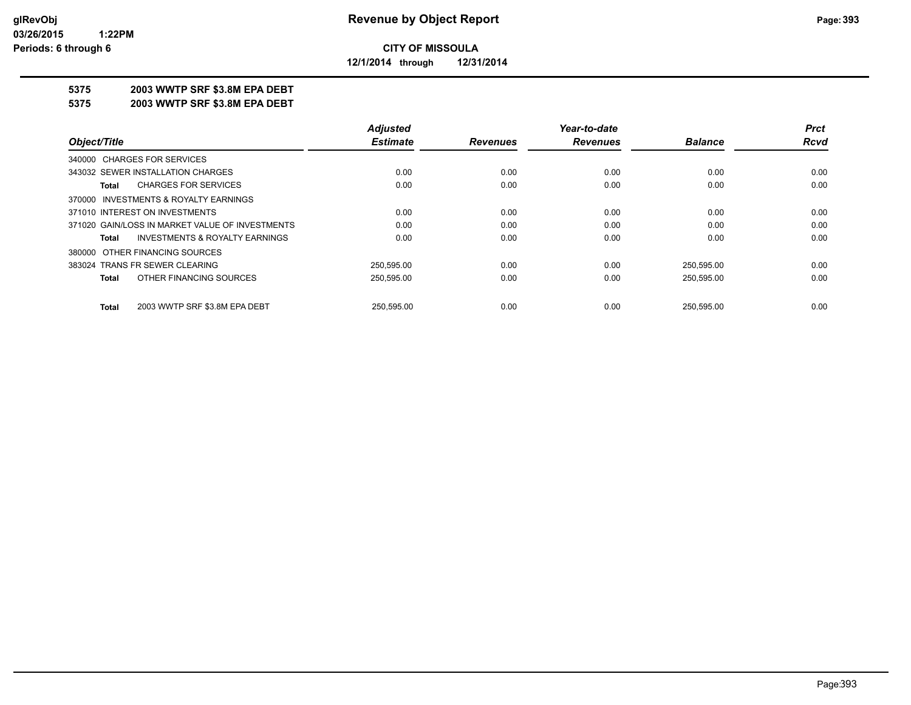**12/1/2014 through 12/31/2014**

### **5375 2003 WWTP SRF \$3.8M EPA DEBT**

**5375 2003 WWTP SRF \$3.8M EPA DEBT**

|                                                    | <b>Adjusted</b> |                 | Year-to-date    |                | <b>Prct</b> |
|----------------------------------------------------|-----------------|-----------------|-----------------|----------------|-------------|
| Object/Title                                       | <b>Estimate</b> | <b>Revenues</b> | <b>Revenues</b> | <b>Balance</b> | Rcvd        |
| 340000 CHARGES FOR SERVICES                        |                 |                 |                 |                |             |
| 343032 SEWER INSTALLATION CHARGES                  | 0.00            | 0.00            | 0.00            | 0.00           | 0.00        |
| <b>CHARGES FOR SERVICES</b><br>Total               | 0.00            | 0.00            | 0.00            | 0.00           | 0.00        |
| 370000 INVESTMENTS & ROYALTY EARNINGS              |                 |                 |                 |                |             |
| 371010 INTEREST ON INVESTMENTS                     | 0.00            | 0.00            | 0.00            | 0.00           | 0.00        |
| 371020 GAIN/LOSS IN MARKET VALUE OF INVESTMENTS    | 0.00            | 0.00            | 0.00            | 0.00           | 0.00        |
| <b>INVESTMENTS &amp; ROYALTY EARNINGS</b><br>Total | 0.00            | 0.00            | 0.00            | 0.00           | 0.00        |
| 380000 OTHER FINANCING SOURCES                     |                 |                 |                 |                |             |
| 383024 TRANS FR SEWER CLEARING                     | 250.595.00      | 0.00            | 0.00            | 250,595.00     | 0.00        |
| OTHER FINANCING SOURCES<br>Total                   | 250,595.00      | 0.00            | 0.00            | 250,595.00     | 0.00        |
| 2003 WWTP SRF \$3.8M EPA DEBT<br><b>Total</b>      | 250.595.00      | 0.00            | 0.00            | 250.595.00     | 0.00        |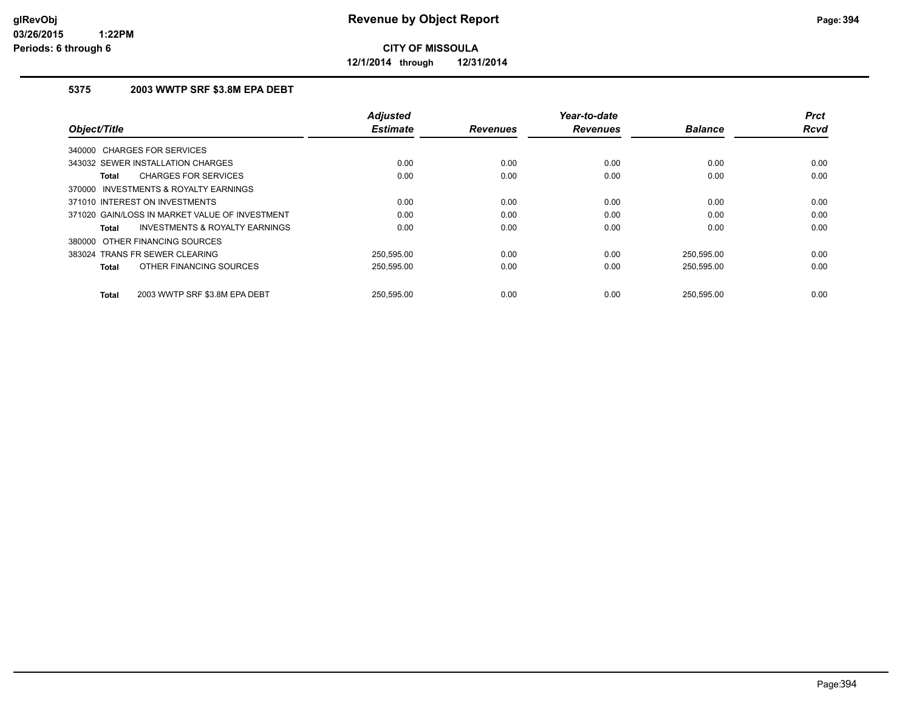**12/1/2014 through 12/31/2014**

### **5375 2003 WWTP SRF \$3.8M EPA DEBT**

| Object/Title                                              | <b>Adjusted</b><br><b>Estimate</b> | <b>Revenues</b> | Year-to-date<br><b>Revenues</b> | <b>Balance</b> | <b>Prct</b><br><b>Rcvd</b> |
|-----------------------------------------------------------|------------------------------------|-----------------|---------------------------------|----------------|----------------------------|
| 340000 CHARGES FOR SERVICES                               |                                    |                 |                                 |                |                            |
| 343032 SEWER INSTALLATION CHARGES                         | 0.00                               | 0.00            | 0.00                            | 0.00           | 0.00                       |
| <b>CHARGES FOR SERVICES</b><br>Total                      | 0.00                               | 0.00            | 0.00                            | 0.00           | 0.00                       |
| INVESTMENTS & ROYALTY EARNINGS<br>370000                  |                                    |                 |                                 |                |                            |
| 371010 INTEREST ON INVESTMENTS                            | 0.00                               | 0.00            | 0.00                            | 0.00           | 0.00                       |
| 371020 GAIN/LOSS IN MARKET VALUE OF INVESTMENT            | 0.00                               | 0.00            | 0.00                            | 0.00           | 0.00                       |
| <b>INVESTMENTS &amp; ROYALTY EARNINGS</b><br><b>Total</b> | 0.00                               | 0.00            | 0.00                            | 0.00           | 0.00                       |
| 380000 OTHER FINANCING SOURCES                            |                                    |                 |                                 |                |                            |
| 383024 TRANS FR SEWER CLEARING                            | 250.595.00                         | 0.00            | 0.00                            | 250.595.00     | 0.00                       |
| OTHER FINANCING SOURCES<br>Total                          | 250,595.00                         | 0.00            | 0.00                            | 250,595.00     | 0.00                       |
| 2003 WWTP SRF \$3.8M EPA DEBT<br><b>Total</b>             | 250.595.00                         | 0.00            | 0.00                            | 250.595.00     | 0.00                       |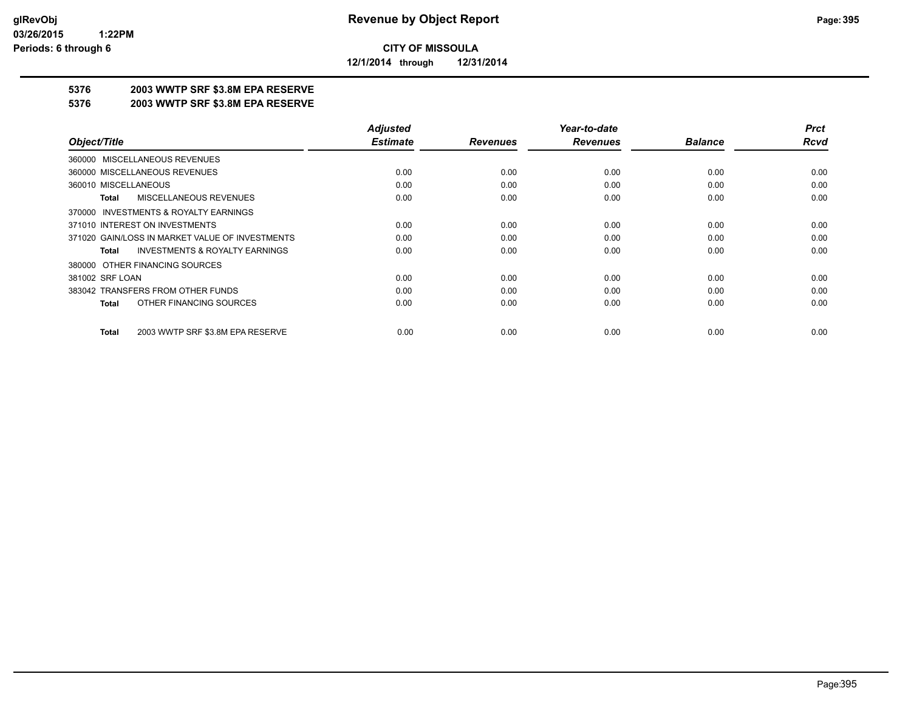**12/1/2014 through 12/31/2014**

### **5376 2003 WWTP SRF \$3.8M EPA RESERVE**

**5376 2003 WWTP SRF \$3.8M EPA RESERVE**

|                                                           | <b>Adjusted</b> |                 | Year-to-date    |                | <b>Prct</b> |
|-----------------------------------------------------------|-----------------|-----------------|-----------------|----------------|-------------|
| Object/Title                                              | <b>Estimate</b> | <b>Revenues</b> | <b>Revenues</b> | <b>Balance</b> | <b>Rcvd</b> |
| 360000 MISCELLANEOUS REVENUES                             |                 |                 |                 |                |             |
| 360000 MISCELLANEOUS REVENUES                             | 0.00            | 0.00            | 0.00            | 0.00           | 0.00        |
| 360010 MISCELLANEOUS                                      | 0.00            | 0.00            | 0.00            | 0.00           | 0.00        |
| <b>MISCELLANEOUS REVENUES</b><br><b>Total</b>             | 0.00            | 0.00            | 0.00            | 0.00           | 0.00        |
| 370000 INVESTMENTS & ROYALTY EARNINGS                     |                 |                 |                 |                |             |
| 371010 INTEREST ON INVESTMENTS                            | 0.00            | 0.00            | 0.00            | 0.00           | 0.00        |
| 371020 GAIN/LOSS IN MARKET VALUE OF INVESTMENTS           | 0.00            | 0.00            | 0.00            | 0.00           | 0.00        |
| <b>INVESTMENTS &amp; ROYALTY EARNINGS</b><br><b>Total</b> | 0.00            | 0.00            | 0.00            | 0.00           | 0.00        |
| 380000 OTHER FINANCING SOURCES                            |                 |                 |                 |                |             |
| 381002 SRF LOAN                                           | 0.00            | 0.00            | 0.00            | 0.00           | 0.00        |
| 383042 TRANSFERS FROM OTHER FUNDS                         | 0.00            | 0.00            | 0.00            | 0.00           | 0.00        |
| OTHER FINANCING SOURCES<br><b>Total</b>                   | 0.00            | 0.00            | 0.00            | 0.00           | 0.00        |
| 2003 WWTP SRF \$3.8M EPA RESERVE<br><b>Total</b>          | 0.00            | 0.00            | 0.00            | 0.00           | 0.00        |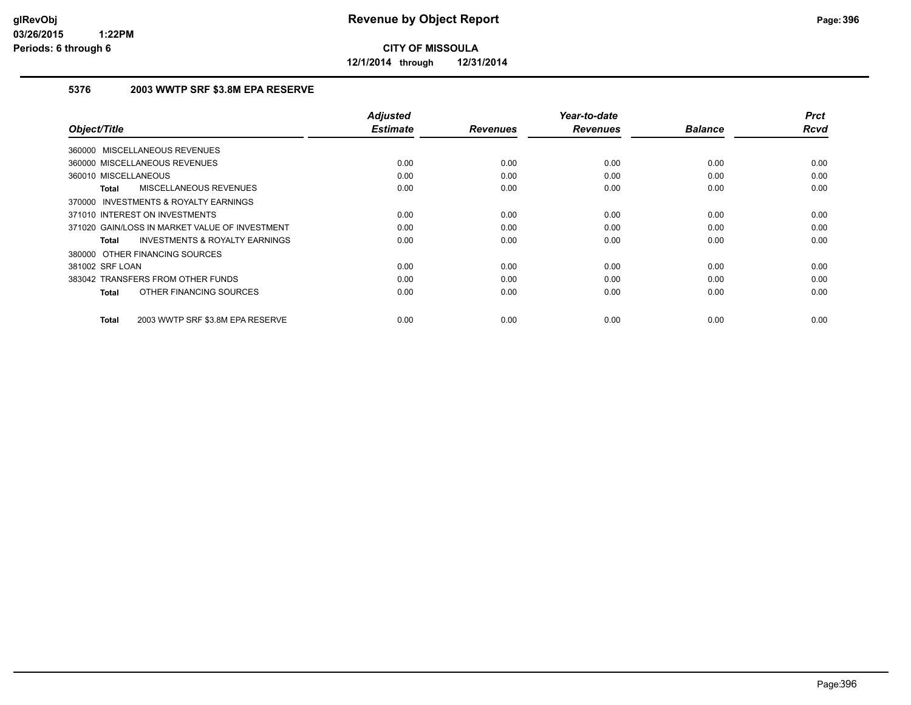**12/1/2014 through 12/31/2014**

### **5376 2003 WWTP SRF \$3.8M EPA RESERVE**

|                                                           | <b>Adjusted</b> |                 | Year-to-date    |                | <b>Prct</b> |
|-----------------------------------------------------------|-----------------|-----------------|-----------------|----------------|-------------|
| Object/Title                                              | <b>Estimate</b> | <b>Revenues</b> | <b>Revenues</b> | <b>Balance</b> | <b>Rcvd</b> |
| 360000 MISCELLANEOUS REVENUES                             |                 |                 |                 |                |             |
| 360000 MISCELLANEOUS REVENUES                             | 0.00            | 0.00            | 0.00            | 0.00           | 0.00        |
| 360010 MISCELLANEOUS                                      | 0.00            | 0.00            | 0.00            | 0.00           | 0.00        |
| MISCELLANEOUS REVENUES<br><b>Total</b>                    | 0.00            | 0.00            | 0.00            | 0.00           | 0.00        |
| <b>INVESTMENTS &amp; ROYALTY EARNINGS</b><br>370000       |                 |                 |                 |                |             |
| 371010 INTEREST ON INVESTMENTS                            | 0.00            | 0.00            | 0.00            | 0.00           | 0.00        |
| 371020 GAIN/LOSS IN MARKET VALUE OF INVESTMENT            | 0.00            | 0.00            | 0.00            | 0.00           | 0.00        |
| <b>INVESTMENTS &amp; ROYALTY EARNINGS</b><br><b>Total</b> | 0.00            | 0.00            | 0.00            | 0.00           | 0.00        |
| 380000 OTHER FINANCING SOURCES                            |                 |                 |                 |                |             |
| 381002 SRF LOAN                                           | 0.00            | 0.00            | 0.00            | 0.00           | 0.00        |
| 383042 TRANSFERS FROM OTHER FUNDS                         | 0.00            | 0.00            | 0.00            | 0.00           | 0.00        |
| OTHER FINANCING SOURCES<br><b>Total</b>                   | 0.00            | 0.00            | 0.00            | 0.00           | 0.00        |
|                                                           |                 |                 |                 |                |             |
| 2003 WWTP SRF \$3.8M EPA RESERVE<br><b>Total</b>          | 0.00            | 0.00            | 0.00            | 0.00           | 0.00        |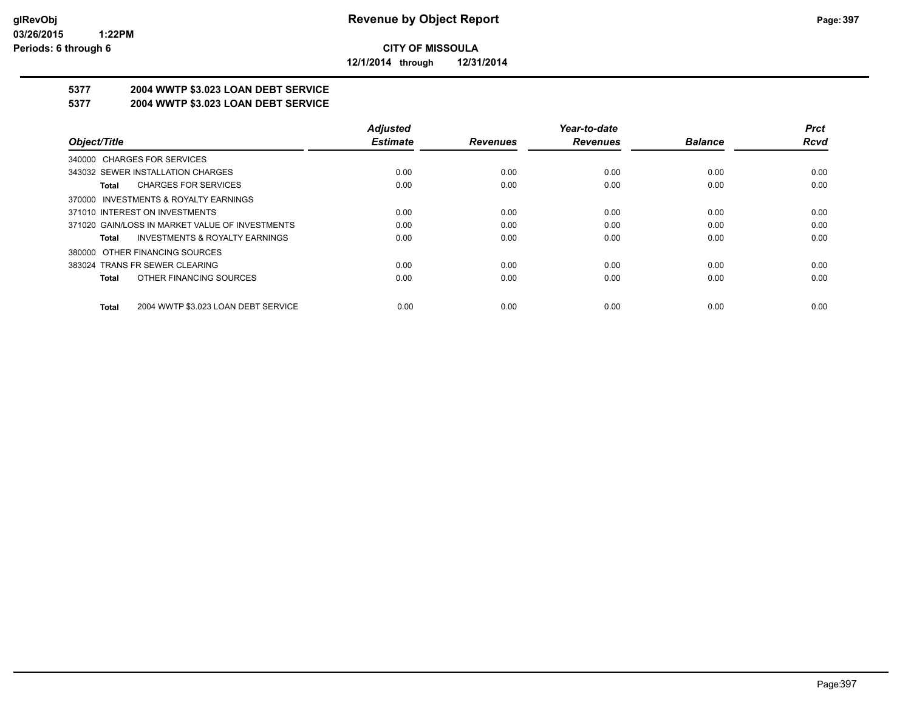**12/1/2014 through 12/31/2014**

# **5377 2004 WWTP \$3.023 LOAN DEBT SERVICE**

## **5377 2004 WWTP \$3.023 LOAN DEBT SERVICE**

|                                                     | <b>Adjusted</b> |                 | Year-to-date    |                | <b>Prct</b> |
|-----------------------------------------------------|-----------------|-----------------|-----------------|----------------|-------------|
| Object/Title                                        | <b>Estimate</b> | <b>Revenues</b> | <b>Revenues</b> | <b>Balance</b> | <b>Rcvd</b> |
| 340000 CHARGES FOR SERVICES                         |                 |                 |                 |                |             |
| 343032 SEWER INSTALLATION CHARGES                   | 0.00            | 0.00            | 0.00            | 0.00           | 0.00        |
| <b>CHARGES FOR SERVICES</b><br>Total                | 0.00            | 0.00            | 0.00            | 0.00           | 0.00        |
| 370000 INVESTMENTS & ROYALTY EARNINGS               |                 |                 |                 |                |             |
| 371010 INTEREST ON INVESTMENTS                      | 0.00            | 0.00            | 0.00            | 0.00           | 0.00        |
| 371020 GAIN/LOSS IN MARKET VALUE OF INVESTMENTS     | 0.00            | 0.00            | 0.00            | 0.00           | 0.00        |
| <b>INVESTMENTS &amp; ROYALTY EARNINGS</b><br>Total  | 0.00            | 0.00            | 0.00            | 0.00           | 0.00        |
| OTHER FINANCING SOURCES<br>380000                   |                 |                 |                 |                |             |
| 383024 TRANS FR SEWER CLEARING                      | 0.00            | 0.00            | 0.00            | 0.00           | 0.00        |
| OTHER FINANCING SOURCES<br><b>Total</b>             | 0.00            | 0.00            | 0.00            | 0.00           | 0.00        |
| 2004 WWTP \$3.023 LOAN DEBT SERVICE<br><b>Total</b> | 0.00            | 0.00            | 0.00            | 0.00           | 0.00        |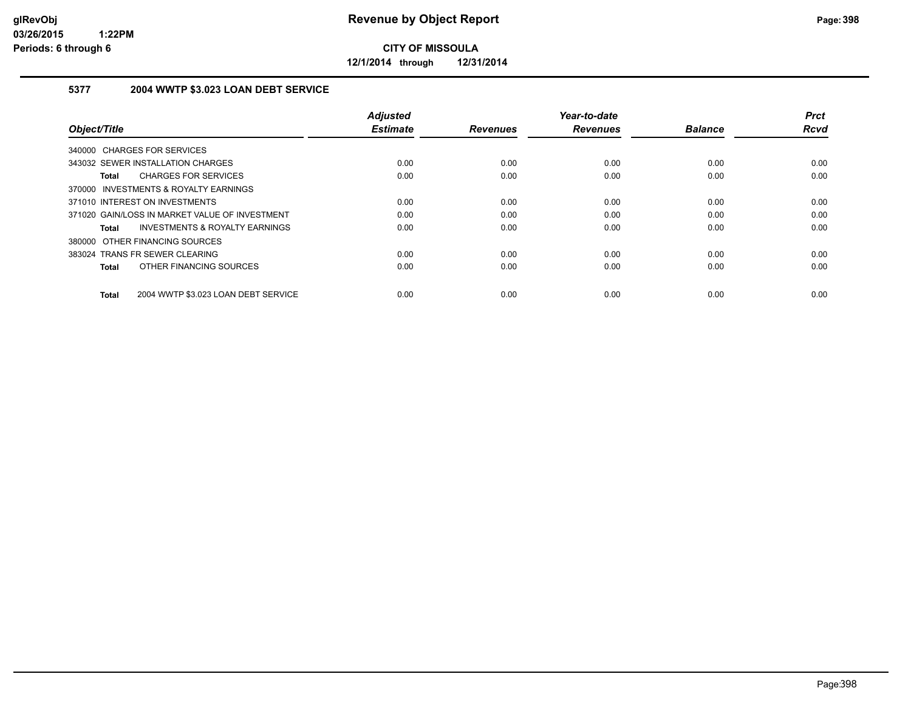**12/1/2014 through 12/31/2014**

#### **5377 2004 WWTP \$3.023 LOAN DEBT SERVICE**

|                                                     | <b>Adjusted</b> |                 | Year-to-date    |                | <b>Prct</b> |
|-----------------------------------------------------|-----------------|-----------------|-----------------|----------------|-------------|
| Object/Title                                        | <b>Estimate</b> | <b>Revenues</b> | <b>Revenues</b> | <b>Balance</b> | <b>Rcvd</b> |
| 340000 CHARGES FOR SERVICES                         |                 |                 |                 |                |             |
| 343032 SEWER INSTALLATION CHARGES                   | 0.00            | 0.00            | 0.00            | 0.00           | 0.00        |
| <b>CHARGES FOR SERVICES</b><br>Total                | 0.00            | 0.00            | 0.00            | 0.00           | 0.00        |
| 370000 INVESTMENTS & ROYALTY EARNINGS               |                 |                 |                 |                |             |
| 371010 INTEREST ON INVESTMENTS                      | 0.00            | 0.00            | 0.00            | 0.00           | 0.00        |
| 371020 GAIN/LOSS IN MARKET VALUE OF INVESTMENT      | 0.00            | 0.00            | 0.00            | 0.00           | 0.00        |
| <b>INVESTMENTS &amp; ROYALTY EARNINGS</b><br>Total  | 0.00            | 0.00            | 0.00            | 0.00           | 0.00        |
| 380000 OTHER FINANCING SOURCES                      |                 |                 |                 |                |             |
| 383024 TRANS FR SEWER CLEARING                      | 0.00            | 0.00            | 0.00            | 0.00           | 0.00        |
| OTHER FINANCING SOURCES<br>Total                    | 0.00            | 0.00            | 0.00            | 0.00           | 0.00        |
| 2004 WWTP \$3.023 LOAN DEBT SERVICE<br><b>Total</b> | 0.00            | 0.00            | 0.00            | 0.00           | 0.00        |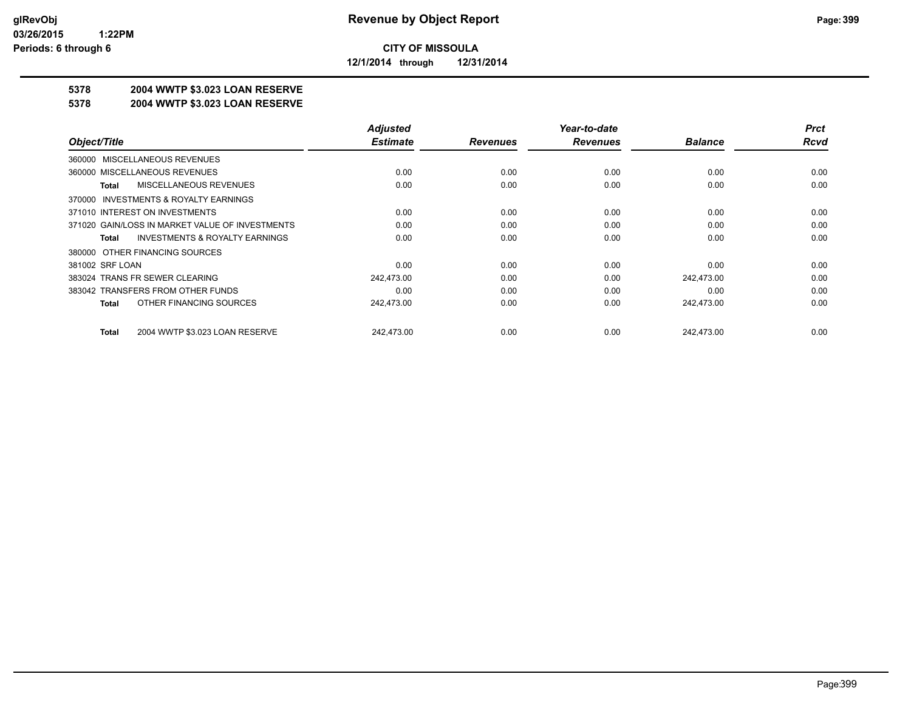**12/1/2014 through 12/31/2014**

## **5378 2004 WWTP \$3.023 LOAN RESERVE**

#### **5378 2004 WWTP \$3.023 LOAN RESERVE**

|                                                    | <b>Adjusted</b> |                 | Year-to-date    |                | <b>Prct</b> |
|----------------------------------------------------|-----------------|-----------------|-----------------|----------------|-------------|
| Object/Title                                       | <b>Estimate</b> | <b>Revenues</b> | <b>Revenues</b> | <b>Balance</b> | <b>Rcvd</b> |
| 360000 MISCELLANEOUS REVENUES                      |                 |                 |                 |                |             |
| 360000 MISCELLANEOUS REVENUES                      | 0.00            | 0.00            | 0.00            | 0.00           | 0.00        |
| MISCELLANEOUS REVENUES<br>Total                    | 0.00            | 0.00            | 0.00            | 0.00           | 0.00        |
| 370000 INVESTMENTS & ROYALTY EARNINGS              |                 |                 |                 |                |             |
| 371010 INTEREST ON INVESTMENTS                     | 0.00            | 0.00            | 0.00            | 0.00           | 0.00        |
| 371020 GAIN/LOSS IN MARKET VALUE OF INVESTMENTS    | 0.00            | 0.00            | 0.00            | 0.00           | 0.00        |
| <b>INVESTMENTS &amp; ROYALTY EARNINGS</b><br>Total | 0.00            | 0.00            | 0.00            | 0.00           | 0.00        |
| 380000 OTHER FINANCING SOURCES                     |                 |                 |                 |                |             |
| 381002 SRF LOAN                                    | 0.00            | 0.00            | 0.00            | 0.00           | 0.00        |
| 383024 TRANS FR SEWER CLEARING                     | 242,473.00      | 0.00            | 0.00            | 242.473.00     | 0.00        |
| 383042 TRANSFERS FROM OTHER FUNDS                  | 0.00            | 0.00            | 0.00            | 0.00           | 0.00        |
| OTHER FINANCING SOURCES<br>Total                   | 242,473.00      | 0.00            | 0.00            | 242,473.00     | 0.00        |
| 2004 WWTP \$3.023 LOAN RESERVE<br>Total            | 242.473.00      | 0.00            | 0.00            | 242.473.00     | 0.00        |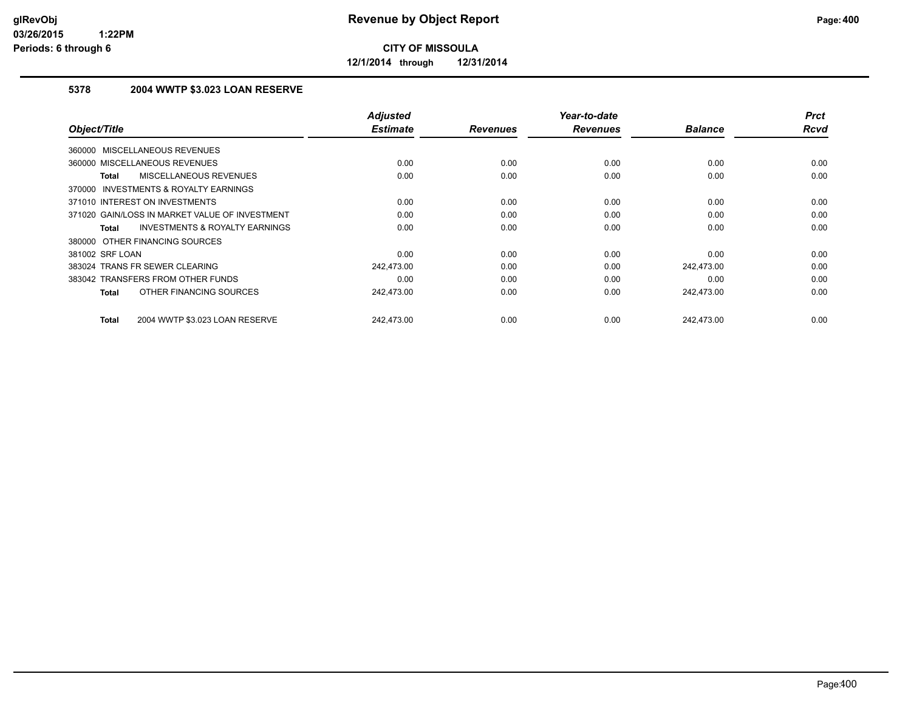**12/1/2014 through 12/31/2014**

### **5378 2004 WWTP \$3.023 LOAN RESERVE**

| Object/Title                                       | <b>Adjusted</b><br><b>Estimate</b> | <b>Revenues</b> | Year-to-date<br><b>Revenues</b> | <b>Balance</b> | <b>Prct</b><br><b>Rcvd</b> |
|----------------------------------------------------|------------------------------------|-----------------|---------------------------------|----------------|----------------------------|
|                                                    |                                    |                 |                                 |                |                            |
| 360000 MISCELLANEOUS REVENUES                      |                                    |                 |                                 |                |                            |
| 360000 MISCELLANEOUS REVENUES                      | 0.00                               | 0.00            | 0.00                            | 0.00           | 0.00                       |
| MISCELLANEOUS REVENUES<br><b>Total</b>             | 0.00                               | 0.00            | 0.00                            | 0.00           | 0.00                       |
| 370000 INVESTMENTS & ROYALTY EARNINGS              |                                    |                 |                                 |                |                            |
| 371010 INTEREST ON INVESTMENTS                     | 0.00                               | 0.00            | 0.00                            | 0.00           | 0.00                       |
| 371020 GAIN/LOSS IN MARKET VALUE OF INVESTMENT     | 0.00                               | 0.00            | 0.00                            | 0.00           | 0.00                       |
| <b>INVESTMENTS &amp; ROYALTY EARNINGS</b><br>Total | 0.00                               | 0.00            | 0.00                            | 0.00           | 0.00                       |
| 380000 OTHER FINANCING SOURCES                     |                                    |                 |                                 |                |                            |
| 381002 SRF LOAN                                    | 0.00                               | 0.00            | 0.00                            | 0.00           | 0.00                       |
| 383024 TRANS FR SEWER CLEARING                     | 242,473.00                         | 0.00            | 0.00                            | 242,473.00     | 0.00                       |
| 383042 TRANSFERS FROM OTHER FUNDS                  | 0.00                               | 0.00            | 0.00                            | 0.00           | 0.00                       |
| OTHER FINANCING SOURCES<br><b>Total</b>            | 242,473.00                         | 0.00            | 0.00                            | 242,473.00     | 0.00                       |
|                                                    |                                    |                 |                                 |                |                            |
| 2004 WWTP \$3.023 LOAN RESERVE<br><b>Total</b>     | 242.473.00                         | 0.00            | 0.00                            | 242.473.00     | 0.00                       |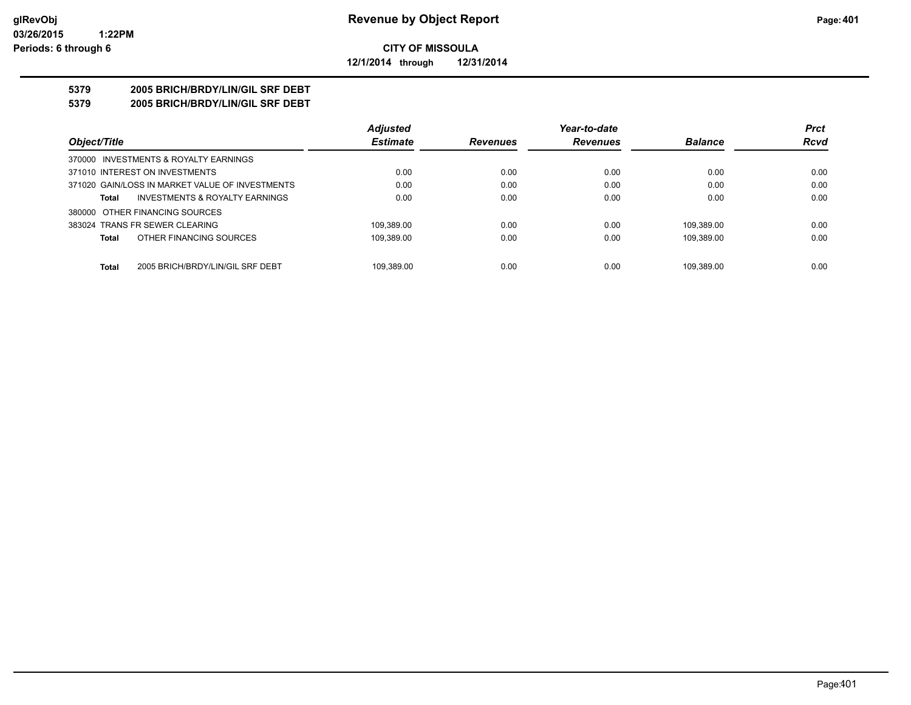**12/1/2014 through 12/31/2014**

## **5379 2005 BRICH/BRDY/LIN/GIL SRF DEBT**

**5379 2005 BRICH/BRDY/LIN/GIL SRF DEBT**

|                                                  | <b>Adjusted</b> |                 | Year-to-date    |                | <b>Prct</b> |
|--------------------------------------------------|-----------------|-----------------|-----------------|----------------|-------------|
| Object/Title                                     | <b>Estimate</b> | <b>Revenues</b> | <b>Revenues</b> | <b>Balance</b> | <b>Rcvd</b> |
| 370000 INVESTMENTS & ROYALTY EARNINGS            |                 |                 |                 |                |             |
| 371010 INTEREST ON INVESTMENTS                   | 0.00            | 0.00            | 0.00            | 0.00           | 0.00        |
| 371020 GAIN/LOSS IN MARKET VALUE OF INVESTMENTS  | 0.00            | 0.00            | 0.00            | 0.00           | 0.00        |
| INVESTMENTS & ROYALTY EARNINGS<br><b>Total</b>   | 0.00            | 0.00            | 0.00            | 0.00           | 0.00        |
| 380000 OTHER FINANCING SOURCES                   |                 |                 |                 |                |             |
| 383024 TRANS FR SEWER CLEARING                   | 109.389.00      | 0.00            | 0.00            | 109.389.00     | 0.00        |
| OTHER FINANCING SOURCES<br><b>Total</b>          | 109.389.00      | 0.00            | 0.00            | 109.389.00     | 0.00        |
|                                                  |                 |                 |                 |                |             |
| <b>Total</b><br>2005 BRICH/BRDY/LIN/GIL SRF DEBT | 109.389.00      | 0.00            | 0.00            | 109.389.00     | 0.00        |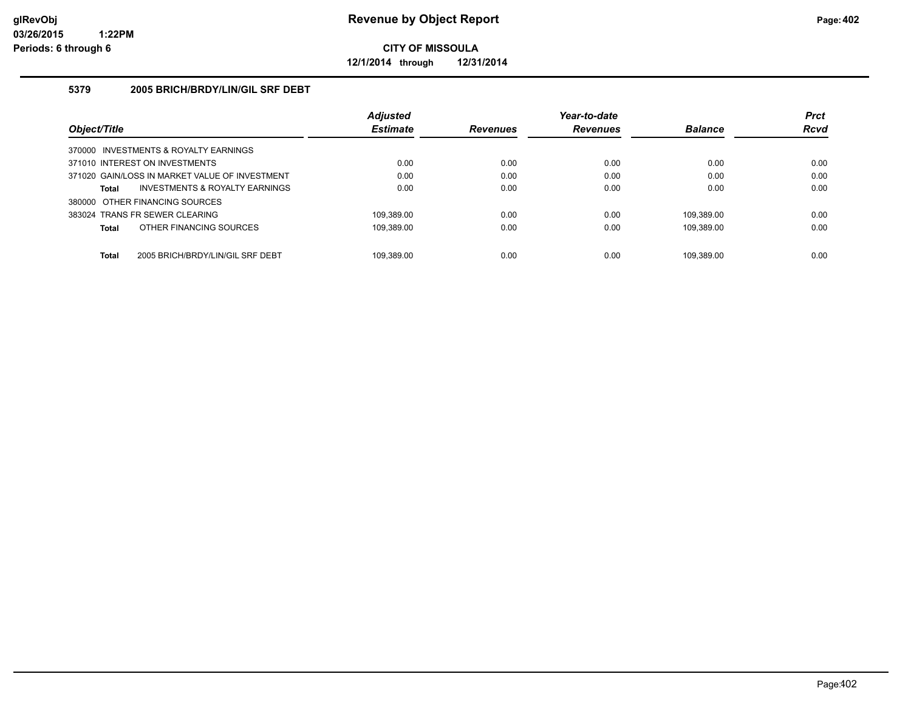**12/1/2014 through 12/31/2014**

#### **5379 2005 BRICH/BRDY/LIN/GIL SRF DEBT**

|                                                  | <b>Adjusted</b> |                 | Year-to-date    |                | <b>Prct</b> |
|--------------------------------------------------|-----------------|-----------------|-----------------|----------------|-------------|
| Object/Title                                     | <b>Estimate</b> | <b>Revenues</b> | <b>Revenues</b> | <b>Balance</b> | <b>Rcvd</b> |
| 370000 INVESTMENTS & ROYALTY EARNINGS            |                 |                 |                 |                |             |
| 371010 INTEREST ON INVESTMENTS                   | 0.00            | 0.00            | 0.00            | 0.00           | 0.00        |
| 371020 GAIN/LOSS IN MARKET VALUE OF INVESTMENT   | 0.00            | 0.00            | 0.00            | 0.00           | 0.00        |
| INVESTMENTS & ROYALTY EARNINGS<br><b>Total</b>   | 0.00            | 0.00            | 0.00            | 0.00           | 0.00        |
| 380000 OTHER FINANCING SOURCES                   |                 |                 |                 |                |             |
| 383024 TRANS FR SEWER CLEARING                   | 109.389.00      | 0.00            | 0.00            | 109.389.00     | 0.00        |
| OTHER FINANCING SOURCES<br><b>Total</b>          | 109.389.00      | 0.00            | 0.00            | 109.389.00     | 0.00        |
|                                                  |                 |                 |                 |                |             |
| <b>Total</b><br>2005 BRICH/BRDY/LIN/GIL SRF DEBT | 109.389.00      | 0.00            | 0.00            | 109.389.00     | 0.00        |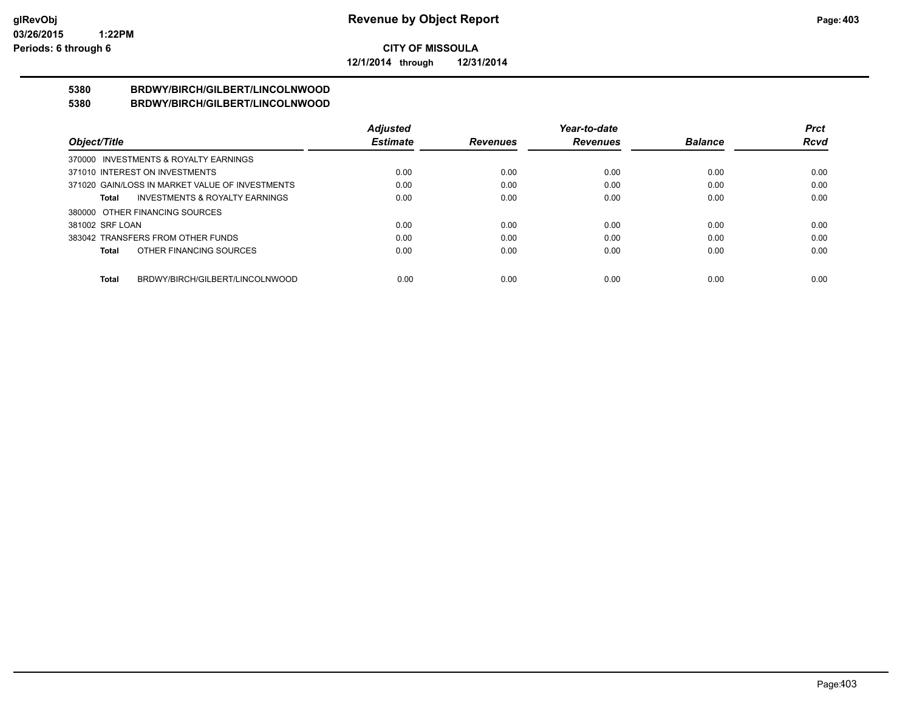**12/1/2014 through 12/31/2014**

#### **5380 BRDWY/BIRCH/GILBERT/LINCOLNWOOD 5380 BRDWY/BIRCH/GILBERT/LINCOLNWOOD**

|                                                 | <b>Adjusted</b> |                 | Year-to-date    |                | <b>Prct</b> |
|-------------------------------------------------|-----------------|-----------------|-----------------|----------------|-------------|
| Object/Title                                    | <b>Estimate</b> | <b>Revenues</b> | <b>Revenues</b> | <b>Balance</b> | <b>Rcvd</b> |
| 370000 INVESTMENTS & ROYALTY EARNINGS           |                 |                 |                 |                |             |
| 371010 INTEREST ON INVESTMENTS                  | 0.00            | 0.00            | 0.00            | 0.00           | 0.00        |
| 371020 GAIN/LOSS IN MARKET VALUE OF INVESTMENTS | 0.00            | 0.00            | 0.00            | 0.00           | 0.00        |
| INVESTMENTS & ROYALTY EARNINGS<br>Total         | 0.00            | 0.00            | 0.00            | 0.00           | 0.00        |
| 380000 OTHER FINANCING SOURCES                  |                 |                 |                 |                |             |
| 381002 SRF LOAN                                 | 0.00            | 0.00            | 0.00            | 0.00           | 0.00        |
| 383042 TRANSFERS FROM OTHER FUNDS               | 0.00            | 0.00            | 0.00            | 0.00           | 0.00        |
| OTHER FINANCING SOURCES<br><b>Total</b>         | 0.00            | 0.00            | 0.00            | 0.00           | 0.00        |
|                                                 |                 |                 |                 |                |             |
| BRDWY/BIRCH/GILBERT/LINCOLNWOOD<br><b>Total</b> | 0.00            | 0.00            | 0.00            | 0.00           | 0.00        |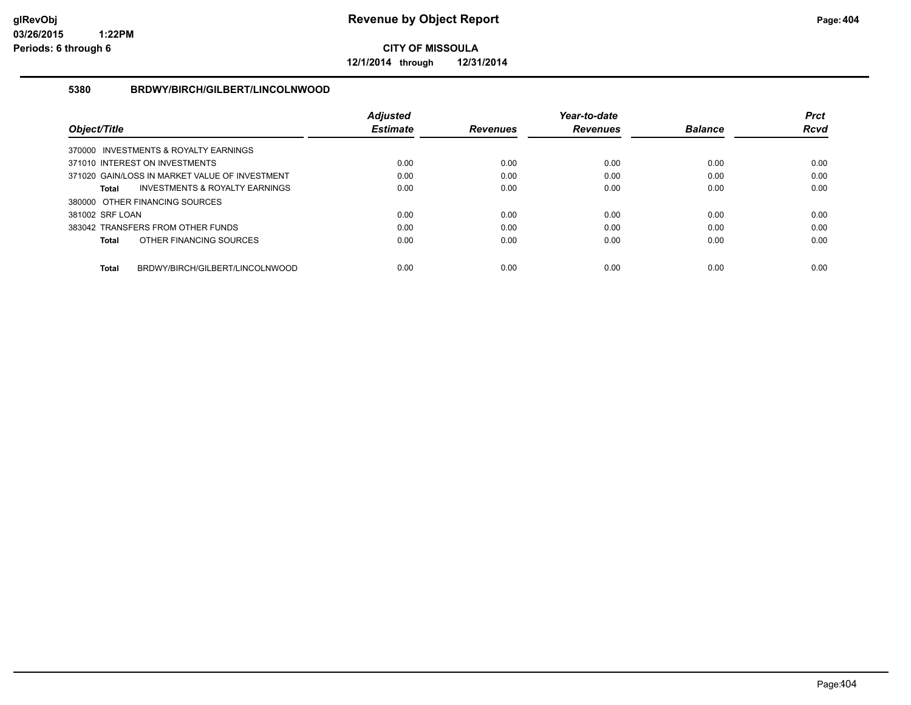**12/1/2014 through 12/31/2014**

#### **5380 BRDWY/BIRCH/GILBERT/LINCOLNWOOD**

|                 |                                                | <b>Adjusted</b> |                 | Year-to-date    |                | <b>Prct</b> |
|-----------------|------------------------------------------------|-----------------|-----------------|-----------------|----------------|-------------|
| Object/Title    |                                                | <b>Estimate</b> | <b>Revenues</b> | <b>Revenues</b> | <b>Balance</b> | Rcvd        |
|                 | 370000 INVESTMENTS & ROYALTY EARNINGS          |                 |                 |                 |                |             |
|                 | 371010 INTEREST ON INVESTMENTS                 | 0.00            | 0.00            | 0.00            | 0.00           | 0.00        |
|                 | 371020 GAIN/LOSS IN MARKET VALUE OF INVESTMENT | 0.00            | 0.00            | 0.00            | 0.00           | 0.00        |
| Total           | INVESTMENTS & ROYALTY EARNINGS                 | 0.00            | 0.00            | 0.00            | 0.00           | 0.00        |
|                 | 380000 OTHER FINANCING SOURCES                 |                 |                 |                 |                |             |
| 381002 SRF LOAN |                                                | 0.00            | 0.00            | 0.00            | 0.00           | 0.00        |
|                 | 383042 TRANSFERS FROM OTHER FUNDS              | 0.00            | 0.00            | 0.00            | 0.00           | 0.00        |
| <b>Total</b>    | OTHER FINANCING SOURCES                        | 0.00            | 0.00            | 0.00            | 0.00           | 0.00        |
| <b>Total</b>    | BRDWY/BIRCH/GILBERT/LINCOLNWOOD                | 0.00            | 0.00            | 0.00            | 0.00           | 0.00        |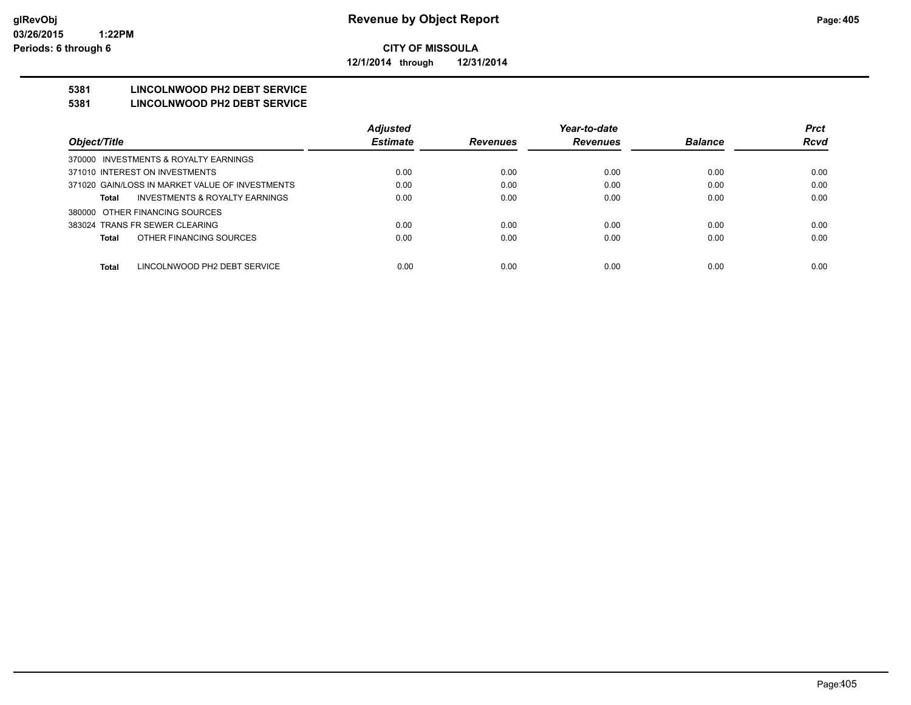**12/1/2014 through 12/31/2014**

# **5381 LINCOLNWOOD PH2 DEBT SERVICE**

#### **5381 LINCOLNWOOD PH2 DEBT SERVICE**

|                                                 | <b>Adjusted</b> |                 | Year-to-date    |                | <b>Prct</b> |
|-------------------------------------------------|-----------------|-----------------|-----------------|----------------|-------------|
| Object/Title                                    | <b>Estimate</b> | <b>Revenues</b> | <b>Revenues</b> | <b>Balance</b> | <b>Rcvd</b> |
| 370000 INVESTMENTS & ROYALTY EARNINGS           |                 |                 |                 |                |             |
| 371010 INTEREST ON INVESTMENTS                  | 0.00            | 0.00            | 0.00            | 0.00           | 0.00        |
| 371020 GAIN/LOSS IN MARKET VALUE OF INVESTMENTS | 0.00            | 0.00            | 0.00            | 0.00           | 0.00        |
| INVESTMENTS & ROYALTY EARNINGS<br>Total         | 0.00            | 0.00            | 0.00            | 0.00           | 0.00        |
| 380000 OTHER FINANCING SOURCES                  |                 |                 |                 |                |             |
| 383024 TRANS FR SEWER CLEARING                  | 0.00            | 0.00            | 0.00            | 0.00           | 0.00        |
| OTHER FINANCING SOURCES<br>Total                | 0.00            | 0.00            | 0.00            | 0.00           | 0.00        |
|                                                 |                 |                 |                 |                |             |
| <b>Total</b><br>LINCOLNWOOD PH2 DEBT SERVICE    | 0.00            | 0.00            | 0.00            | 0.00           | 0.00        |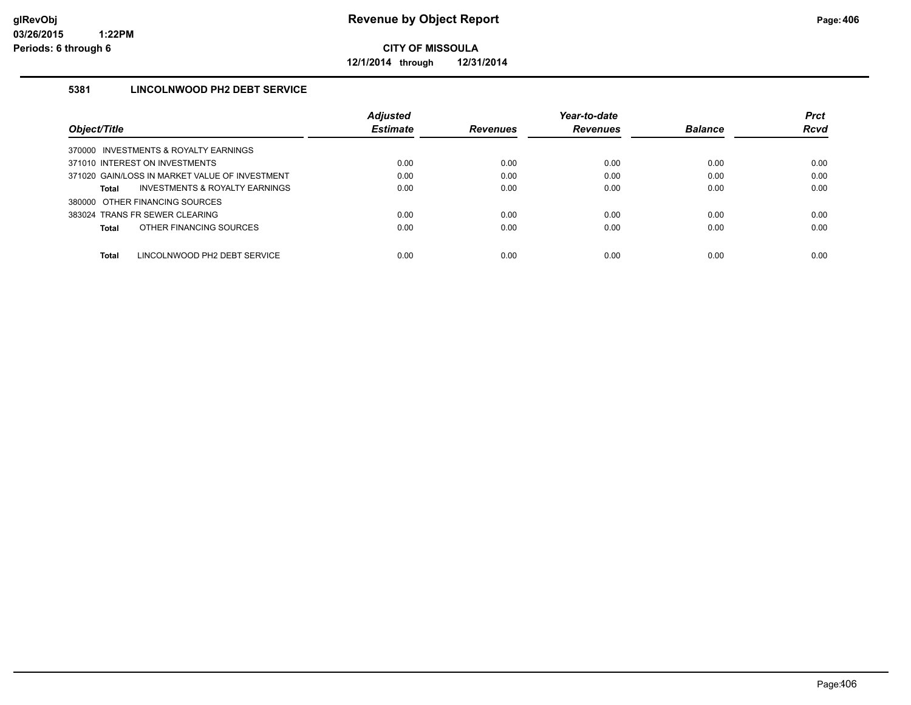**12/1/2014 through 12/31/2014**

### **5381 LINCOLNWOOD PH2 DEBT SERVICE**

|                                                    | <b>Adjusted</b> |                 | Year-to-date    |                | <b>Prct</b> |
|----------------------------------------------------|-----------------|-----------------|-----------------|----------------|-------------|
| Object/Title                                       | <b>Estimate</b> | <b>Revenues</b> | <b>Revenues</b> | <b>Balance</b> | Rcvd        |
| 370000 INVESTMENTS & ROYALTY EARNINGS              |                 |                 |                 |                |             |
| 371010 INTEREST ON INVESTMENTS                     | 0.00            | 0.00            | 0.00            | 0.00           | 0.00        |
| 371020 GAIN/LOSS IN MARKET VALUE OF INVESTMENT     | 0.00            | 0.00            | 0.00            | 0.00           | 0.00        |
| <b>INVESTMENTS &amp; ROYALTY EARNINGS</b><br>Total | 0.00            | 0.00            | 0.00            | 0.00           | 0.00        |
| 380000 OTHER FINANCING SOURCES                     |                 |                 |                 |                |             |
| 383024 TRANS FR SEWER CLEARING                     | 0.00            | 0.00            | 0.00            | 0.00           | 0.00        |
| OTHER FINANCING SOURCES<br>Total                   | 0.00            | 0.00            | 0.00            | 0.00           | 0.00        |
| Total<br>LINCOLNWOOD PH2 DEBT SERVICE              | 0.00            | 0.00            | 0.00            | 0.00           | 0.00        |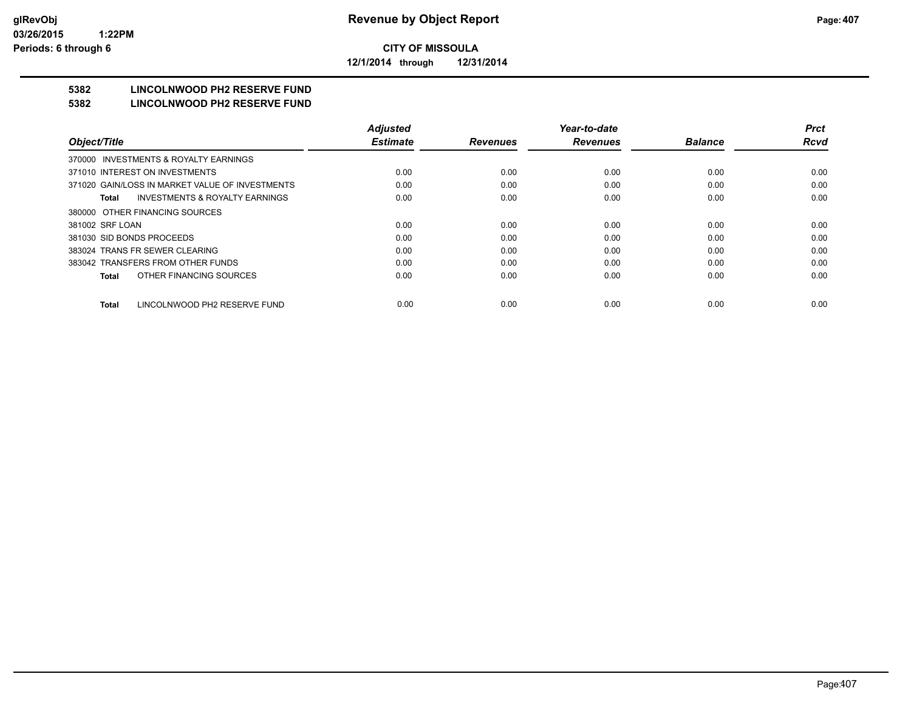**12/1/2014 through 12/31/2014**

# **5382 LINCOLNWOOD PH2 RESERVE FUND**

#### **5382 LINCOLNWOOD PH2 RESERVE FUND**

|                                                    | <b>Adjusted</b> |                 | Year-to-date    |                | <b>Prct</b> |
|----------------------------------------------------|-----------------|-----------------|-----------------|----------------|-------------|
| Object/Title                                       | <b>Estimate</b> | <b>Revenues</b> | <b>Revenues</b> | <b>Balance</b> | <b>Rcvd</b> |
| INVESTMENTS & ROYALTY EARNINGS<br>370000           |                 |                 |                 |                |             |
| 371010 INTEREST ON INVESTMENTS                     | 0.00            | 0.00            | 0.00            | 0.00           | 0.00        |
| 371020 GAIN/LOSS IN MARKET VALUE OF INVESTMENTS    | 0.00            | 0.00            | 0.00            | 0.00           | 0.00        |
| <b>INVESTMENTS &amp; ROYALTY EARNINGS</b><br>Total | 0.00            | 0.00            | 0.00            | 0.00           | 0.00        |
| 380000 OTHER FINANCING SOURCES                     |                 |                 |                 |                |             |
| 381002 SRF LOAN                                    | 0.00            | 0.00            | 0.00            | 0.00           | 0.00        |
| 381030 SID BONDS PROCEEDS                          | 0.00            | 0.00            | 0.00            | 0.00           | 0.00        |
| 383024 TRANS FR SEWER CLEARING                     | 0.00            | 0.00            | 0.00            | 0.00           | 0.00        |
| 383042 TRANSFERS FROM OTHER FUNDS                  | 0.00            | 0.00            | 0.00            | 0.00           | 0.00        |
| OTHER FINANCING SOURCES<br>Total                   | 0.00            | 0.00            | 0.00            | 0.00           | 0.00        |
| LINCOLNWOOD PH2 RESERVE FUND<br><b>Total</b>       | 0.00            | 0.00            | 0.00            | 0.00           | 0.00        |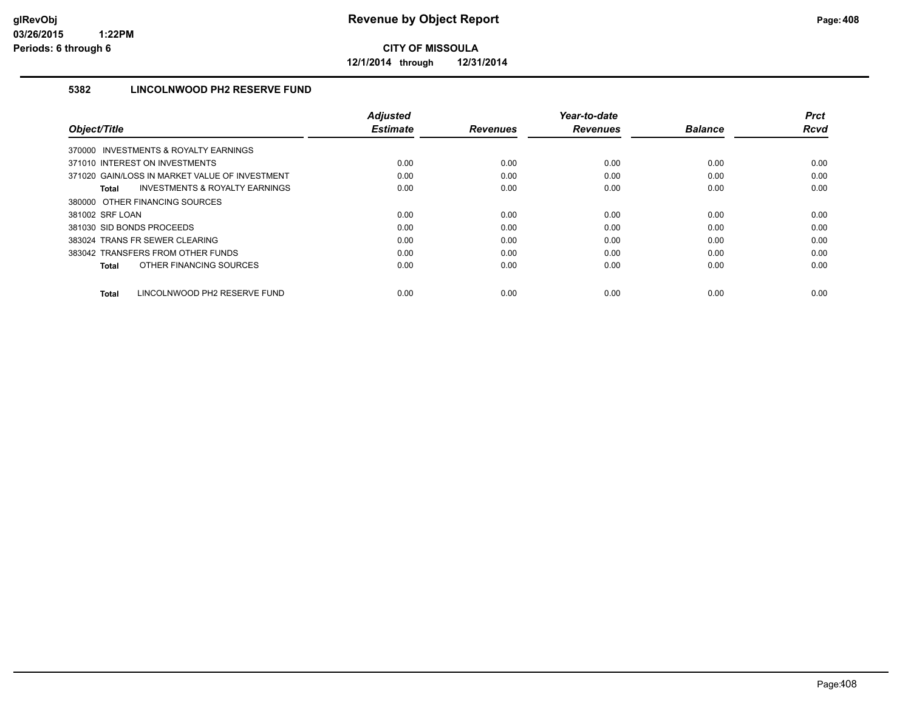**12/1/2014 through 12/31/2014**

### **5382 LINCOLNWOOD PH2 RESERVE FUND**

|                                                    | <b>Adjusted</b> |                 | Year-to-date    |                | <b>Prct</b> |
|----------------------------------------------------|-----------------|-----------------|-----------------|----------------|-------------|
| Object/Title                                       | <b>Estimate</b> | <b>Revenues</b> | <b>Revenues</b> | <b>Balance</b> | <b>Rcvd</b> |
| 370000 INVESTMENTS & ROYALTY EARNINGS              |                 |                 |                 |                |             |
| 371010 INTEREST ON INVESTMENTS                     | 0.00            | 0.00            | 0.00            | 0.00           | 0.00        |
| 371020 GAIN/LOSS IN MARKET VALUE OF INVESTMENT     | 0.00            | 0.00            | 0.00            | 0.00           | 0.00        |
| <b>INVESTMENTS &amp; ROYALTY EARNINGS</b><br>Total | 0.00            | 0.00            | 0.00            | 0.00           | 0.00        |
| 380000 OTHER FINANCING SOURCES                     |                 |                 |                 |                |             |
| 381002 SRF LOAN                                    | 0.00            | 0.00            | 0.00            | 0.00           | 0.00        |
| 381030 SID BONDS PROCEEDS                          | 0.00            | 0.00            | 0.00            | 0.00           | 0.00        |
| 383024 TRANS FR SEWER CLEARING                     | 0.00            | 0.00            | 0.00            | 0.00           | 0.00        |
| 383042 TRANSFERS FROM OTHER FUNDS                  | 0.00            | 0.00            | 0.00            | 0.00           | 0.00        |
| OTHER FINANCING SOURCES<br>Total                   | 0.00            | 0.00            | 0.00            | 0.00           | 0.00        |
|                                                    |                 |                 |                 |                |             |
| LINCOLNWOOD PH2 RESERVE FUND<br>Total              | 0.00            | 0.00            | 0.00            | 0.00           | 0.00        |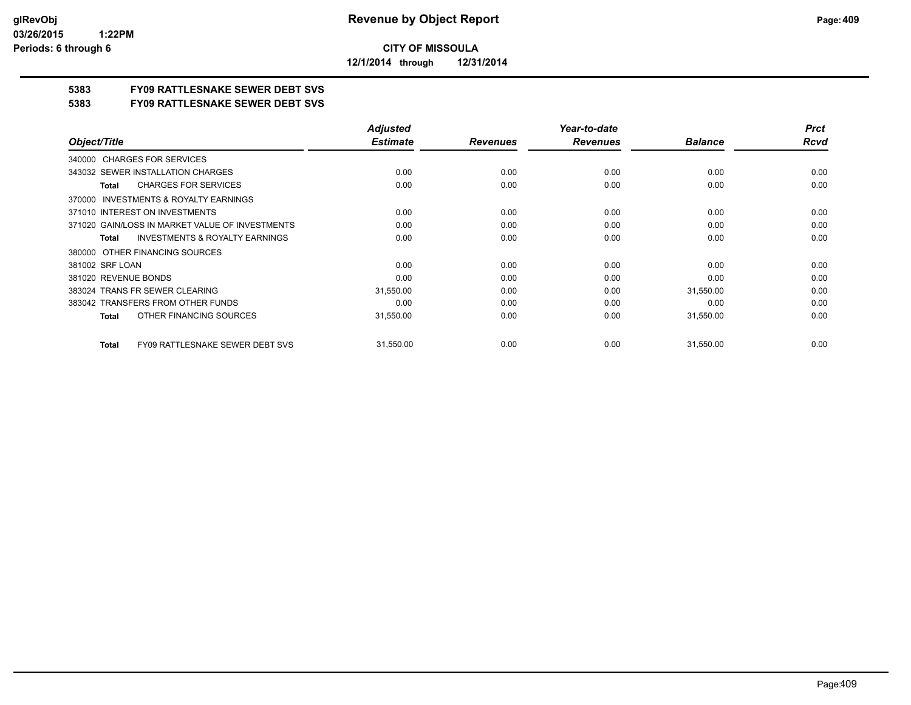**12/1/2014 through 12/31/2014**

## **5383 FY09 RATTLESNAKE SEWER DEBT SVS**

**5383 FY09 RATTLESNAKE SEWER DEBT SVS**

|                                                        | <b>Adjusted</b> |                 | Year-to-date    |                | <b>Prct</b> |
|--------------------------------------------------------|-----------------|-----------------|-----------------|----------------|-------------|
| Object/Title                                           | <b>Estimate</b> | <b>Revenues</b> | <b>Revenues</b> | <b>Balance</b> | <b>Rcvd</b> |
| 340000 CHARGES FOR SERVICES                            |                 |                 |                 |                |             |
| 343032 SEWER INSTALLATION CHARGES                      | 0.00            | 0.00            | 0.00            | 0.00           | 0.00        |
| <b>CHARGES FOR SERVICES</b><br>Total                   | 0.00            | 0.00            | 0.00            | 0.00           | 0.00        |
| <b>INVESTMENTS &amp; ROYALTY EARNINGS</b><br>370000    |                 |                 |                 |                |             |
| 371010 INTEREST ON INVESTMENTS                         | 0.00            | 0.00            | 0.00            | 0.00           | 0.00        |
| 371020 GAIN/LOSS IN MARKET VALUE OF INVESTMENTS        | 0.00            | 0.00            | 0.00            | 0.00           | 0.00        |
| <b>INVESTMENTS &amp; ROYALTY EARNINGS</b><br>Total     | 0.00            | 0.00            | 0.00            | 0.00           | 0.00        |
| OTHER FINANCING SOURCES<br>380000                      |                 |                 |                 |                |             |
| 381002 SRF LOAN                                        | 0.00            | 0.00            | 0.00            | 0.00           | 0.00        |
| 381020 REVENUE BONDS                                   | 0.00            | 0.00            | 0.00            | 0.00           | 0.00        |
| 383024 TRANS FR SEWER CLEARING                         | 31,550.00       | 0.00            | 0.00            | 31,550.00      | 0.00        |
| 383042 TRANSFERS FROM OTHER FUNDS                      | 0.00            | 0.00            | 0.00            | 0.00           | 0.00        |
| OTHER FINANCING SOURCES<br>Total                       | 31,550.00       | 0.00            | 0.00            | 31,550.00      | 0.00        |
| <b>FY09 RATTLESNAKE SEWER DEBT SVS</b><br><b>Total</b> | 31,550.00       | 0.00            | 0.00            | 31,550.00      | 0.00        |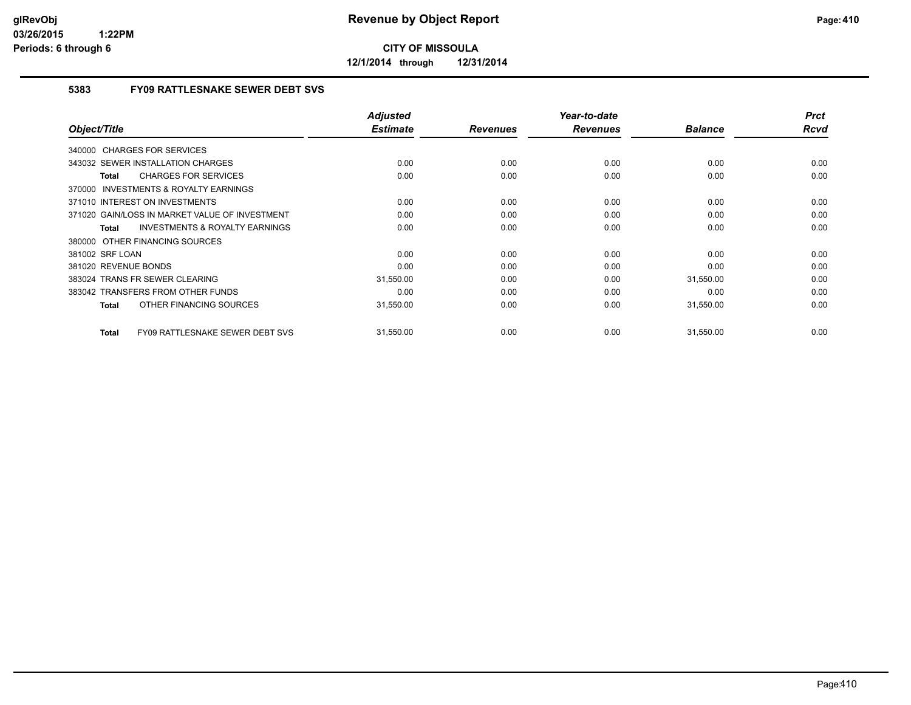**12/1/2014 through 12/31/2014**

### **5383 FY09 RATTLESNAKE SEWER DEBT SVS**

| Object/Title                                        | <b>Adjusted</b><br><b>Estimate</b> | <b>Revenues</b> | Year-to-date<br><b>Revenues</b> | <b>Balance</b> | <b>Prct</b><br>Rcvd |
|-----------------------------------------------------|------------------------------------|-----------------|---------------------------------|----------------|---------------------|
|                                                     |                                    |                 |                                 |                |                     |
| 340000 CHARGES FOR SERVICES                         |                                    |                 |                                 |                |                     |
| 343032 SEWER INSTALLATION CHARGES                   | 0.00                               | 0.00            | 0.00                            | 0.00           | 0.00                |
| <b>CHARGES FOR SERVICES</b><br>Total                | 0.00                               | 0.00            | 0.00                            | 0.00           | 0.00                |
| <b>INVESTMENTS &amp; ROYALTY EARNINGS</b><br>370000 |                                    |                 |                                 |                |                     |
| 371010 INTEREST ON INVESTMENTS                      | 0.00                               | 0.00            | 0.00                            | 0.00           | 0.00                |
| 371020 GAIN/LOSS IN MARKET VALUE OF INVESTMENT      | 0.00                               | 0.00            | 0.00                            | 0.00           | 0.00                |
| <b>INVESTMENTS &amp; ROYALTY EARNINGS</b><br>Total  | 0.00                               | 0.00            | 0.00                            | 0.00           | 0.00                |
| 380000 OTHER FINANCING SOURCES                      |                                    |                 |                                 |                |                     |
| 381002 SRF LOAN                                     | 0.00                               | 0.00            | 0.00                            | 0.00           | 0.00                |
| 381020 REVENUE BONDS                                | 0.00                               | 0.00            | 0.00                            | 0.00           | 0.00                |
| 383024 TRANS FR SEWER CLEARING                      | 31,550.00                          | 0.00            | 0.00                            | 31,550.00      | 0.00                |
| 383042 TRANSFERS FROM OTHER FUNDS                   | 0.00                               | 0.00            | 0.00                            | 0.00           | 0.00                |
| OTHER FINANCING SOURCES<br>Total                    | 31,550.00                          | 0.00            | 0.00                            | 31,550.00      | 0.00                |
|                                                     |                                    |                 |                                 |                |                     |
| FY09 RATTLESNAKE SEWER DEBT SVS<br>Total            | 31,550.00                          | 0.00            | 0.00                            | 31,550.00      | 0.00                |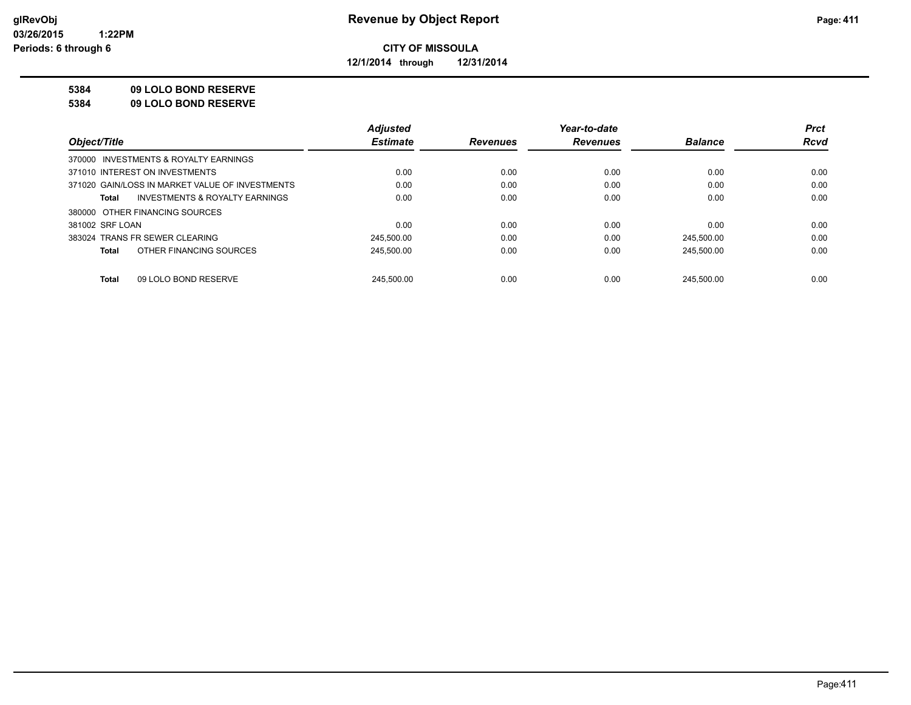**12/1/2014 through 12/31/2014**

#### **5384 09 LOLO BOND RESERVE**

**5384 09 LOLO BOND RESERVE**

|                                                    | <b>Adjusted</b> |                 | Year-to-date    |                | <b>Prct</b> |
|----------------------------------------------------|-----------------|-----------------|-----------------|----------------|-------------|
| Object/Title                                       | <b>Estimate</b> | <b>Revenues</b> | <b>Revenues</b> | <b>Balance</b> | <b>Rcvd</b> |
| 370000 INVESTMENTS & ROYALTY EARNINGS              |                 |                 |                 |                |             |
| 371010 INTEREST ON INVESTMENTS                     | 0.00            | 0.00            | 0.00            | 0.00           | 0.00        |
| 371020 GAIN/LOSS IN MARKET VALUE OF INVESTMENTS    | 0.00            | 0.00            | 0.00            | 0.00           | 0.00        |
| <b>INVESTMENTS &amp; ROYALTY EARNINGS</b><br>Total | 0.00            | 0.00            | 0.00            | 0.00           | 0.00        |
| 380000 OTHER FINANCING SOURCES                     |                 |                 |                 |                |             |
| 381002 SRF LOAN                                    | 0.00            | 0.00            | 0.00            | 0.00           | 0.00        |
| 383024 TRANS FR SEWER CLEARING                     | 245.500.00      | 0.00            | 0.00            | 245.500.00     | 0.00        |
| OTHER FINANCING SOURCES<br>Total                   | 245.500.00      | 0.00            | 0.00            | 245.500.00     | 0.00        |
|                                                    |                 |                 |                 |                |             |
| 09 LOLO BOND RESERVE<br>Total                      | 245.500.00      | 0.00            | 0.00            | 245.500.00     | 0.00        |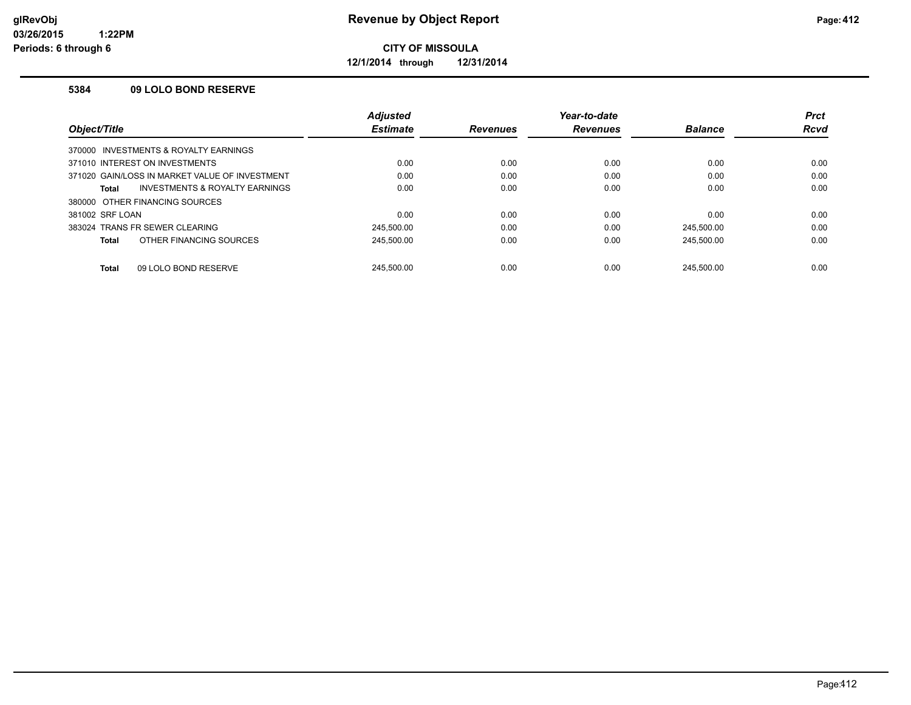**12/1/2014 through 12/31/2014**

#### **5384 09 LOLO BOND RESERVE**

|                                                           | <b>Adjusted</b> |                 | Year-to-date    |                | <b>Prct</b> |
|-----------------------------------------------------------|-----------------|-----------------|-----------------|----------------|-------------|
| Object/Title                                              | <b>Estimate</b> | <b>Revenues</b> | <b>Revenues</b> | <b>Balance</b> | <b>Rcvd</b> |
| 370000 INVESTMENTS & ROYALTY EARNINGS                     |                 |                 |                 |                |             |
| 371010 INTEREST ON INVESTMENTS                            | 0.00            | 0.00            | 0.00            | 0.00           | 0.00        |
| 371020 GAIN/LOSS IN MARKET VALUE OF INVESTMENT            | 0.00            | 0.00            | 0.00            | 0.00           | 0.00        |
| <b>INVESTMENTS &amp; ROYALTY EARNINGS</b><br><b>Total</b> | 0.00            | 0.00            | 0.00            | 0.00           | 0.00        |
| 380000 OTHER FINANCING SOURCES                            |                 |                 |                 |                |             |
| 381002 SRF LOAN                                           | 0.00            | 0.00            | 0.00            | 0.00           | 0.00        |
| 383024 TRANS FR SEWER CLEARING                            | 245.500.00      | 0.00            | 0.00            | 245.500.00     | 0.00        |
| OTHER FINANCING SOURCES<br><b>Total</b>                   | 245.500.00      | 0.00            | 0.00            | 245.500.00     | 0.00        |
| 09 LOLO BOND RESERVE<br><b>Total</b>                      | 245.500.00      | 0.00            | 0.00            | 245.500.00     | 0.00        |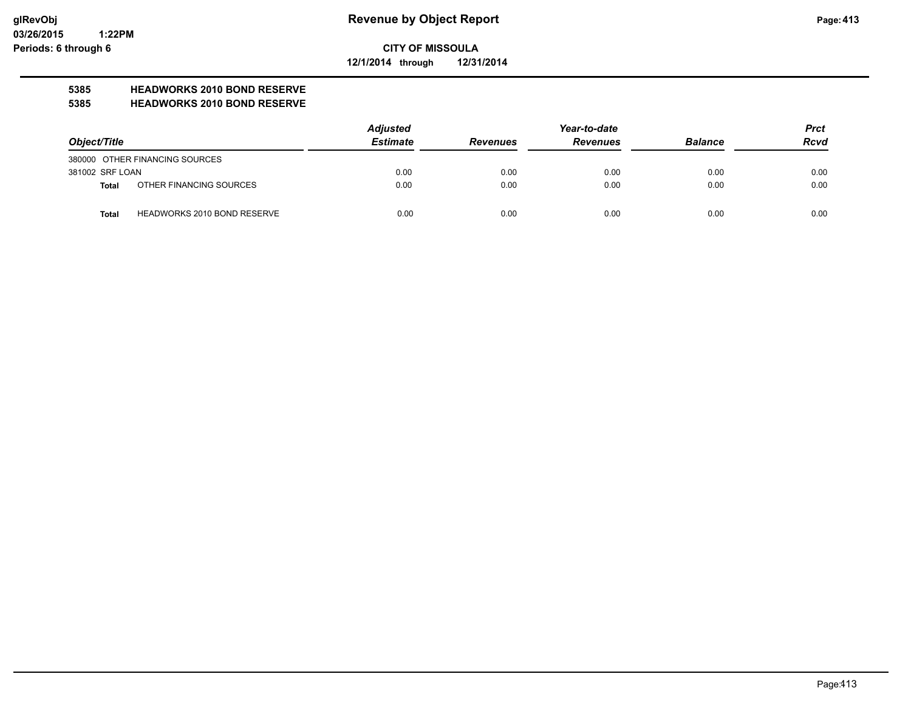**12/1/2014 through 12/31/2014**

# **5385 HEADWORKS 2010 BOND RESERVE**

#### **5385 HEADWORKS 2010 BOND RESERVE**

|                 |                                | <b>Adjusted</b> |                 | Year-to-date    |                | <b>Prct</b> |
|-----------------|--------------------------------|-----------------|-----------------|-----------------|----------------|-------------|
| Object/Title    |                                | <b>Estimate</b> | <b>Revenues</b> | <b>Revenues</b> | <b>Balance</b> | <b>Rcvd</b> |
|                 | 380000 OTHER FINANCING SOURCES |                 |                 |                 |                |             |
| 381002 SRF LOAN |                                | 0.00            | 0.00            | 0.00            | 0.00           | 0.00        |
| <b>Total</b>    | OTHER FINANCING SOURCES        | 0.00            | 0.00            | 0.00            | 0.00           | 0.00        |
| <b>Total</b>    | HEADWORKS 2010 BOND RESERVE    | 0.00            | 0.00            | 0.00            | 0.00           | 0.00        |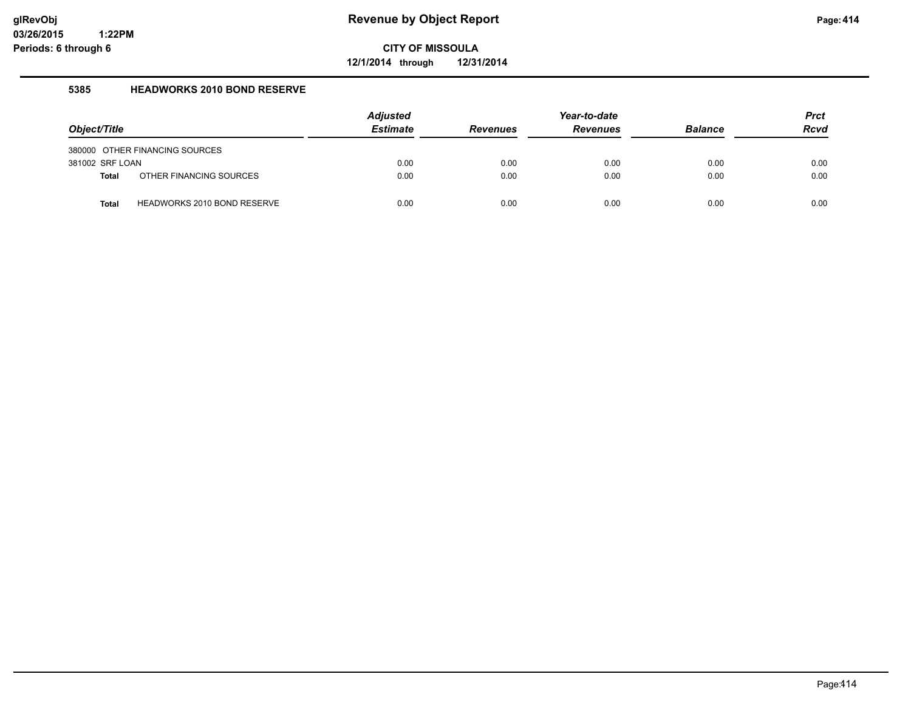**12/1/2014 through 12/31/2014**

#### **5385 HEADWORKS 2010 BOND RESERVE**

|                 |                                | <b>Adjusted</b> |                 | Year-to-date    |                | Prct |
|-----------------|--------------------------------|-----------------|-----------------|-----------------|----------------|------|
| Object/Title    |                                | <b>Estimate</b> | <b>Revenues</b> | <b>Revenues</b> | <b>Balance</b> | Rcvd |
|                 | 380000 OTHER FINANCING SOURCES |                 |                 |                 |                |      |
| 381002 SRF LOAN |                                | 0.00            | 0.00            | 0.00            | 0.00           | 0.00 |
| <b>Total</b>    | OTHER FINANCING SOURCES        | 0.00            | 0.00            | 0.00            | 0.00           | 0.00 |
| <b>Total</b>    | HEADWORKS 2010 BOND RESERVE    | 0.00            | 0.00            | 0.00            | 0.00           | 0.00 |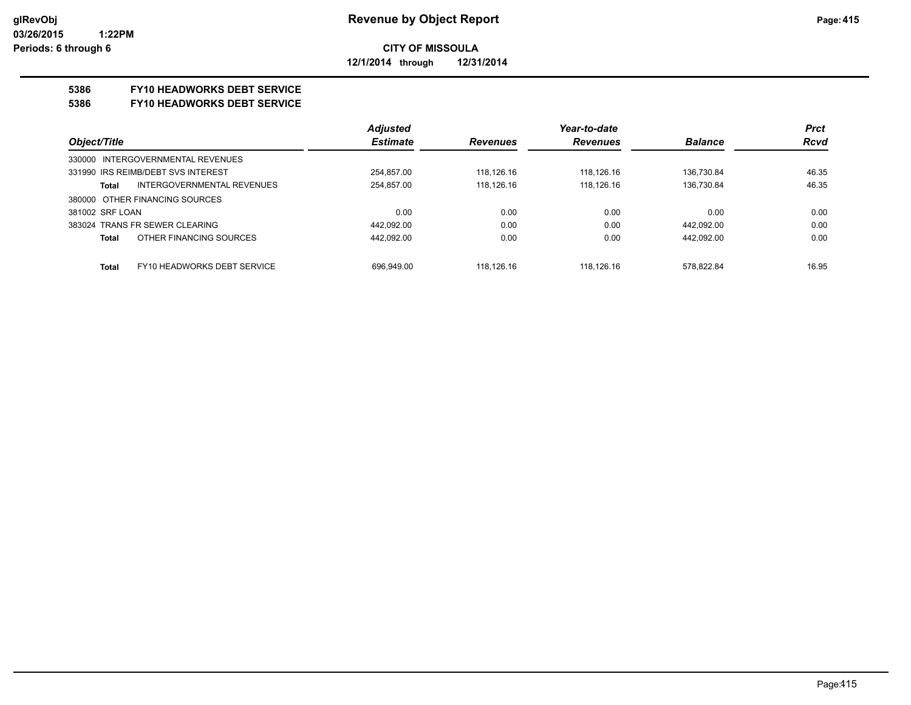**12/1/2014 through 12/31/2014**

#### **5386 FY10 HEADWORKS DEBT SERVICE**

#### **5386 FY10 HEADWORKS DEBT SERVICE**

|                                             | <b>Adjusted</b> |                 | Year-to-date    |                | <b>Prct</b> |
|---------------------------------------------|-----------------|-----------------|-----------------|----------------|-------------|
| Object/Title                                | <b>Estimate</b> | <b>Revenues</b> | <b>Revenues</b> | <b>Balance</b> | <b>Rcvd</b> |
| 330000 INTERGOVERNMENTAL REVENUES           |                 |                 |                 |                |             |
| 331990 IRS REIMB/DEBT SVS INTEREST          | 254.857.00      | 118.126.16      | 118.126.16      | 136.730.84     | 46.35       |
| INTERGOVERNMENTAL REVENUES<br>Total         | 254,857.00      | 118.126.16      | 118.126.16      | 136.730.84     | 46.35       |
| 380000 OTHER FINANCING SOURCES              |                 |                 |                 |                |             |
| 381002 SRF LOAN                             | 0.00            | 0.00            | 0.00            | 0.00           | 0.00        |
| 383024 TRANS FR SEWER CLEARING              | 442.092.00      | 0.00            | 0.00            | 442,092.00     | 0.00        |
| OTHER FINANCING SOURCES<br>Total            | 442.092.00      | 0.00            | 0.00            | 442.092.00     | 0.00        |
| FY10 HEADWORKS DEBT SERVICE<br><b>Total</b> | 696.949.00      | 118.126.16      | 118.126.16      | 578.822.84     | 16.95       |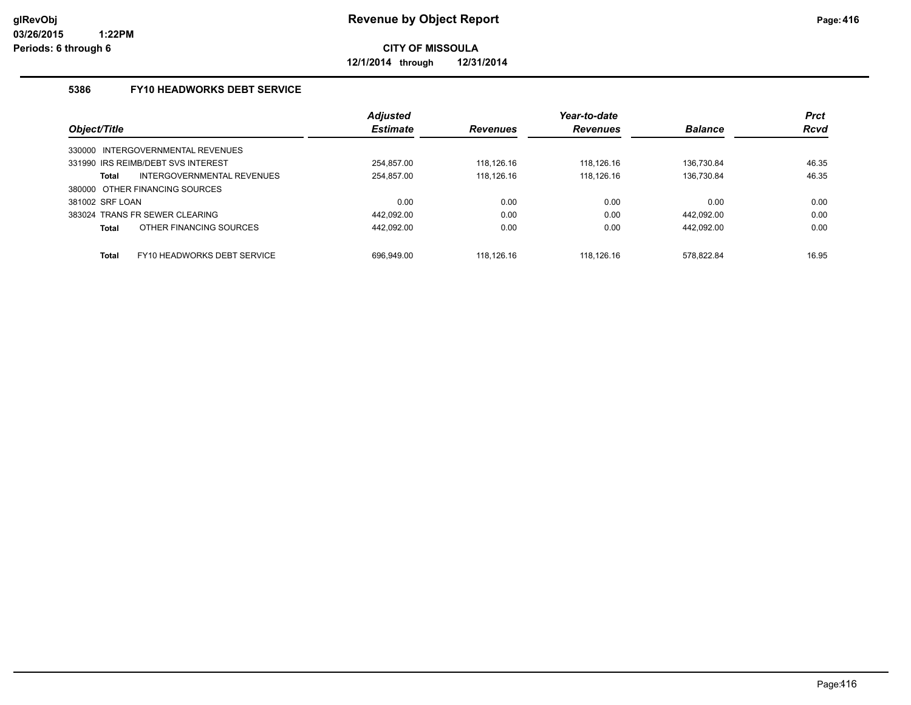**12/1/2014 through 12/31/2014**

#### **5386 FY10 HEADWORKS DEBT SERVICE**

|                 |                                    | <b>Adjusted</b> |                 | Year-to-date    |                | <b>Prct</b> |
|-----------------|------------------------------------|-----------------|-----------------|-----------------|----------------|-------------|
| Object/Title    |                                    | <b>Estimate</b> | <b>Revenues</b> | <b>Revenues</b> | <b>Balance</b> | <b>Rcvd</b> |
|                 | 330000 INTERGOVERNMENTAL REVENUES  |                 |                 |                 |                |             |
|                 | 331990 IRS REIMB/DEBT SVS INTEREST | 254.857.00      | 118.126.16      | 118.126.16      | 136.730.84     | 46.35       |
| <b>Total</b>    | INTERGOVERNMENTAL REVENUES         | 254,857.00      | 118.126.16      | 118.126.16      | 136.730.84     | 46.35       |
|                 | 380000 OTHER FINANCING SOURCES     |                 |                 |                 |                |             |
| 381002 SRF LOAN |                                    | 0.00            | 0.00            | 0.00            | 0.00           | 0.00        |
|                 | 383024 TRANS FR SEWER CLEARING     | 442.092.00      | 0.00            | 0.00            | 442.092.00     | 0.00        |
| <b>Total</b>    | OTHER FINANCING SOURCES            | 442.092.00      | 0.00            | 0.00            | 442.092.00     | 0.00        |
| <b>Total</b>    | FY10 HEADWORKS DEBT SERVICE        | 696.949.00      | 118.126.16      | 118.126.16      | 578.822.84     | 16.95       |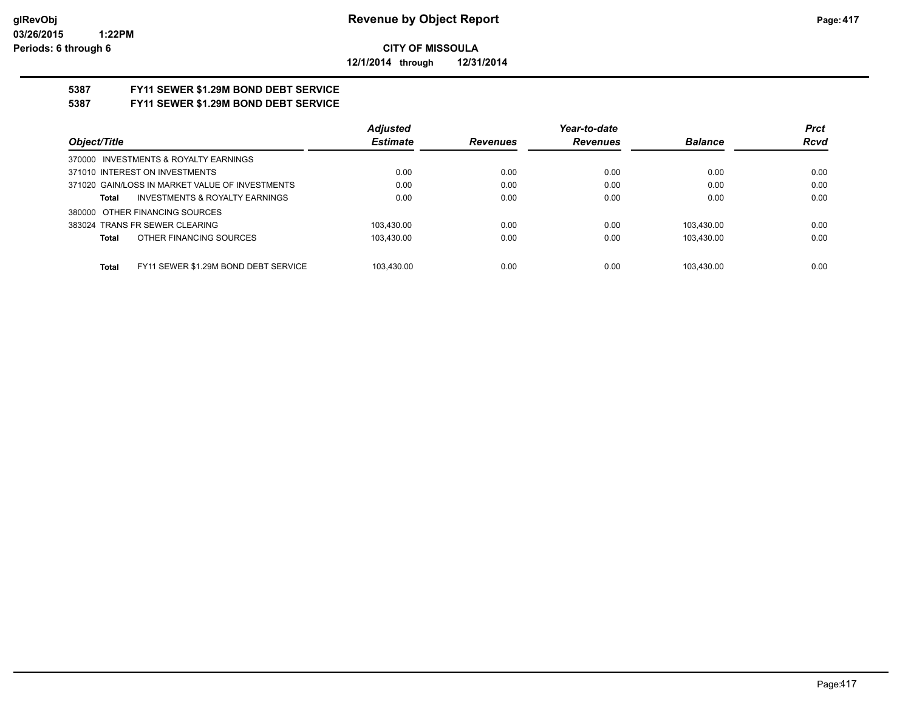**12/1/2014 through 12/31/2014**

# **5387 FY11 SEWER \$1.29M BOND DEBT SERVICE**

## **5387 FY11 SEWER \$1.29M BOND DEBT SERVICE**

|                                                      | <b>Adjusted</b> |                 | Year-to-date    |                | <b>Prct</b> |
|------------------------------------------------------|-----------------|-----------------|-----------------|----------------|-------------|
| Object/Title                                         | <b>Estimate</b> | <b>Revenues</b> | <b>Revenues</b> | <b>Balance</b> | <b>Rcvd</b> |
| 370000 INVESTMENTS & ROYALTY EARNINGS                |                 |                 |                 |                |             |
| 371010 INTEREST ON INVESTMENTS                       | 0.00            | 0.00            | 0.00            | 0.00           | 0.00        |
| 371020 GAIN/LOSS IN MARKET VALUE OF INVESTMENTS      | 0.00            | 0.00            | 0.00            | 0.00           | 0.00        |
| <b>INVESTMENTS &amp; ROYALTY EARNINGS</b><br>Total   | 0.00            | 0.00            | 0.00            | 0.00           | 0.00        |
| 380000 OTHER FINANCING SOURCES                       |                 |                 |                 |                |             |
| 383024 TRANS FR SEWER CLEARING                       | 103.430.00      | 0.00            | 0.00            | 103.430.00     | 0.00        |
| OTHER FINANCING SOURCES<br>Total                     | 103.430.00      | 0.00            | 0.00            | 103.430.00     | 0.00        |
|                                                      |                 |                 |                 |                |             |
| FY11 SEWER \$1.29M BOND DEBT SERVICE<br><b>Total</b> | 103.430.00      | 0.00            | 0.00            | 103.430.00     | 0.00        |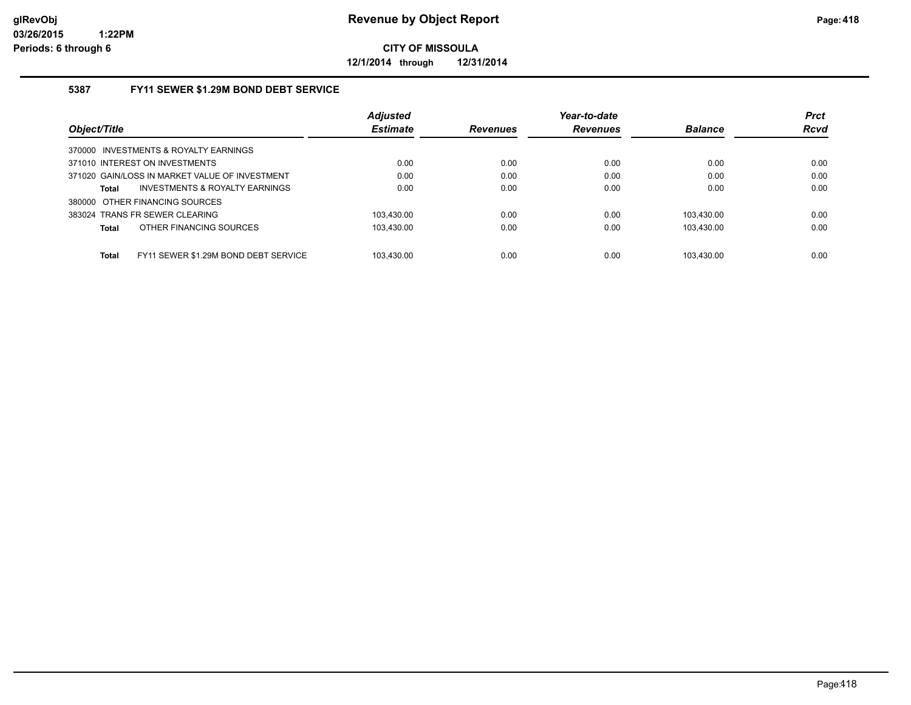**12/1/2014 through 12/31/2014**

#### **5387 FY11 SEWER \$1.29M BOND DEBT SERVICE**

|                                                      | <b>Adjusted</b> |                 | Year-to-date    |                | <b>Prct</b> |
|------------------------------------------------------|-----------------|-----------------|-----------------|----------------|-------------|
| Object/Title                                         | <b>Estimate</b> | <b>Revenues</b> | <b>Revenues</b> | <b>Balance</b> | <b>Rcvd</b> |
| 370000 INVESTMENTS & ROYALTY EARNINGS                |                 |                 |                 |                |             |
| 371010 INTEREST ON INVESTMENTS                       | 0.00            | 0.00            | 0.00            | 0.00           | 0.00        |
| 371020 GAIN/LOSS IN MARKET VALUE OF INVESTMENT       | 0.00            | 0.00            | 0.00            | 0.00           | 0.00        |
| INVESTMENTS & ROYALTY EARNINGS<br>Total              | 0.00            | 0.00            | 0.00            | 0.00           | 0.00        |
| 380000 OTHER FINANCING SOURCES                       |                 |                 |                 |                |             |
| 383024 TRANS FR SEWER CLEARING                       | 103.430.00      | 0.00            | 0.00            | 103.430.00     | 0.00        |
| OTHER FINANCING SOURCES<br><b>Total</b>              | 103.430.00      | 0.00            | 0.00            | 103.430.00     | 0.00        |
| <b>Total</b><br>FY11 SEWER \$1.29M BOND DEBT SERVICE | 103.430.00      | 0.00            | 0.00            | 103.430.00     | 0.00        |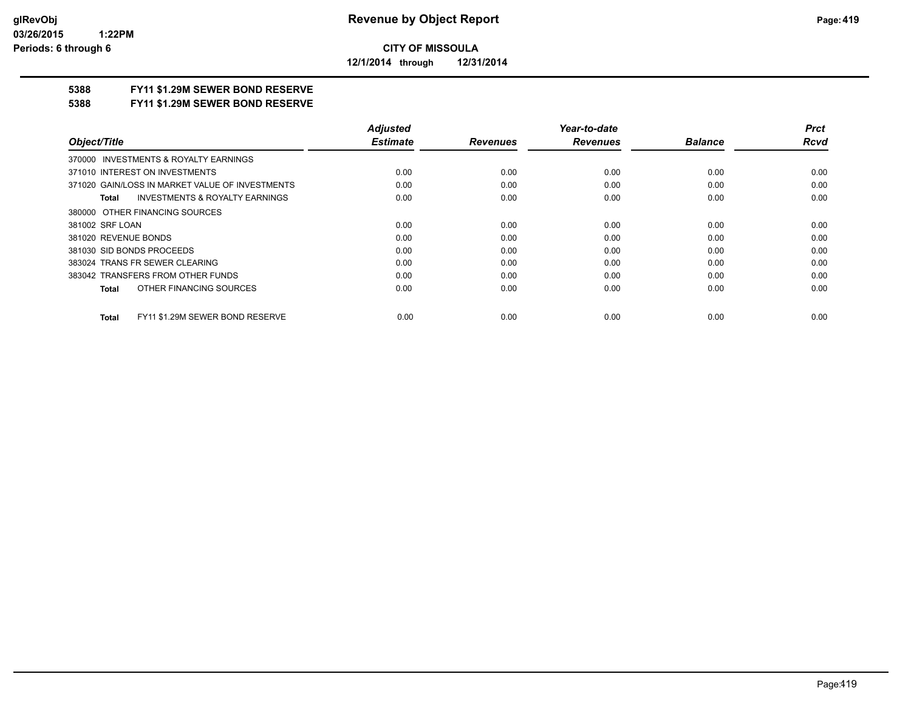**12/1/2014 through 12/31/2014**

### **5388 FY11 \$1.29M SEWER BOND RESERVE**

**5388 FY11 \$1.29M SEWER BOND RESERVE**

|                                                    | <b>Adjusted</b> |                 | Year-to-date    |                | <b>Prct</b> |
|----------------------------------------------------|-----------------|-----------------|-----------------|----------------|-------------|
| Object/Title                                       | <b>Estimate</b> | <b>Revenues</b> | <b>Revenues</b> | <b>Balance</b> | <b>Rcvd</b> |
| 370000 INVESTMENTS & ROYALTY EARNINGS              |                 |                 |                 |                |             |
| 371010 INTEREST ON INVESTMENTS                     | 0.00            | 0.00            | 0.00            | 0.00           | 0.00        |
| 371020 GAIN/LOSS IN MARKET VALUE OF INVESTMENTS    | 0.00            | 0.00            | 0.00            | 0.00           | 0.00        |
| <b>INVESTMENTS &amp; ROYALTY EARNINGS</b><br>Total | 0.00            | 0.00            | 0.00            | 0.00           | 0.00        |
| 380000 OTHER FINANCING SOURCES                     |                 |                 |                 |                |             |
| 381002 SRF LOAN                                    | 0.00            | 0.00            | 0.00            | 0.00           | 0.00        |
| 381020 REVENUE BONDS                               | 0.00            | 0.00            | 0.00            | 0.00           | 0.00        |
| 381030 SID BONDS PROCEEDS                          | 0.00            | 0.00            | 0.00            | 0.00           | 0.00        |
| 383024 TRANS FR SEWER CLEARING                     | 0.00            | 0.00            | 0.00            | 0.00           | 0.00        |
| 383042 TRANSFERS FROM OTHER FUNDS                  | 0.00            | 0.00            | 0.00            | 0.00           | 0.00        |
| OTHER FINANCING SOURCES<br><b>Total</b>            | 0.00            | 0.00            | 0.00            | 0.00           | 0.00        |
| FY11 \$1.29M SEWER BOND RESERVE<br>Total           | 0.00            | 0.00            | 0.00            | 0.00           | 0.00        |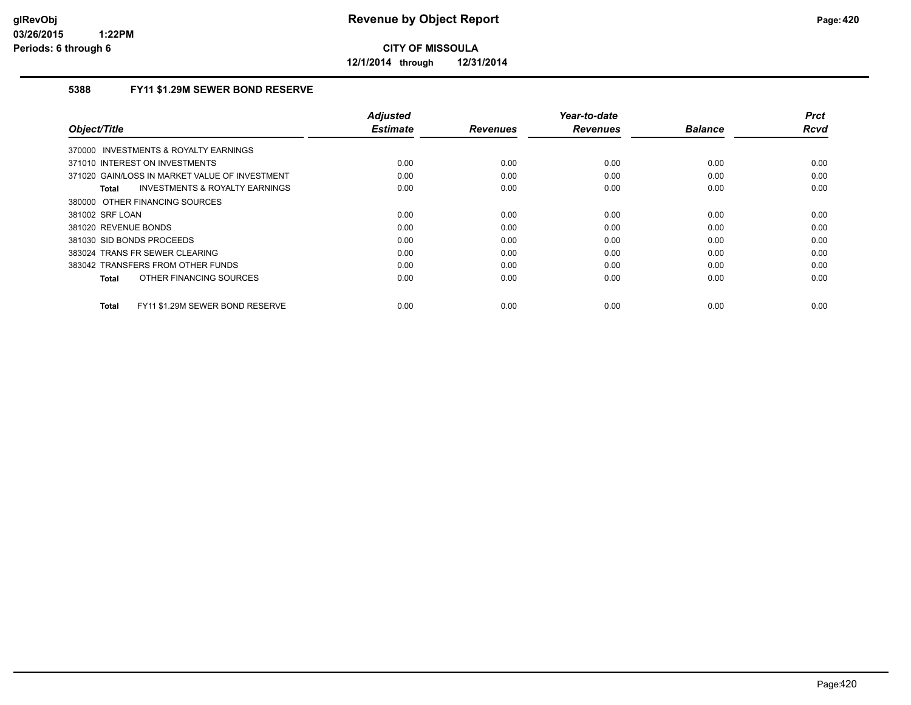**12/1/2014 through 12/31/2014**

### **5388 FY11 \$1.29M SEWER BOND RESERVE**

|                                                           | <b>Adjusted</b> |                 | Year-to-date    |                | <b>Prct</b> |
|-----------------------------------------------------------|-----------------|-----------------|-----------------|----------------|-------------|
| Object/Title                                              | <b>Estimate</b> | <b>Revenues</b> | <b>Revenues</b> | <b>Balance</b> | <b>Rcvd</b> |
| 370000 INVESTMENTS & ROYALTY EARNINGS                     |                 |                 |                 |                |             |
| 371010 INTEREST ON INVESTMENTS                            | 0.00            | 0.00            | 0.00            | 0.00           | 0.00        |
| 371020 GAIN/LOSS IN MARKET VALUE OF INVESTMENT            | 0.00            | 0.00            | 0.00            | 0.00           | 0.00        |
| <b>INVESTMENTS &amp; ROYALTY EARNINGS</b><br><b>Total</b> | 0.00            | 0.00            | 0.00            | 0.00           | 0.00        |
| 380000 OTHER FINANCING SOURCES                            |                 |                 |                 |                |             |
| 381002 SRF LOAN                                           | 0.00            | 0.00            | 0.00            | 0.00           | 0.00        |
| 381020 REVENUE BONDS                                      | 0.00            | 0.00            | 0.00            | 0.00           | 0.00        |
| 381030 SID BONDS PROCEEDS                                 | 0.00            | 0.00            | 0.00            | 0.00           | 0.00        |
| 383024 TRANS FR SEWER CLEARING                            | 0.00            | 0.00            | 0.00            | 0.00           | 0.00        |
| 383042 TRANSFERS FROM OTHER FUNDS                         | 0.00            | 0.00            | 0.00            | 0.00           | 0.00        |
| OTHER FINANCING SOURCES<br><b>Total</b>                   | 0.00            | 0.00            | 0.00            | 0.00           | 0.00        |
| FY11 \$1.29M SEWER BOND RESERVE<br><b>Total</b>           | 0.00            | 0.00            | 0.00            | 0.00           | 0.00        |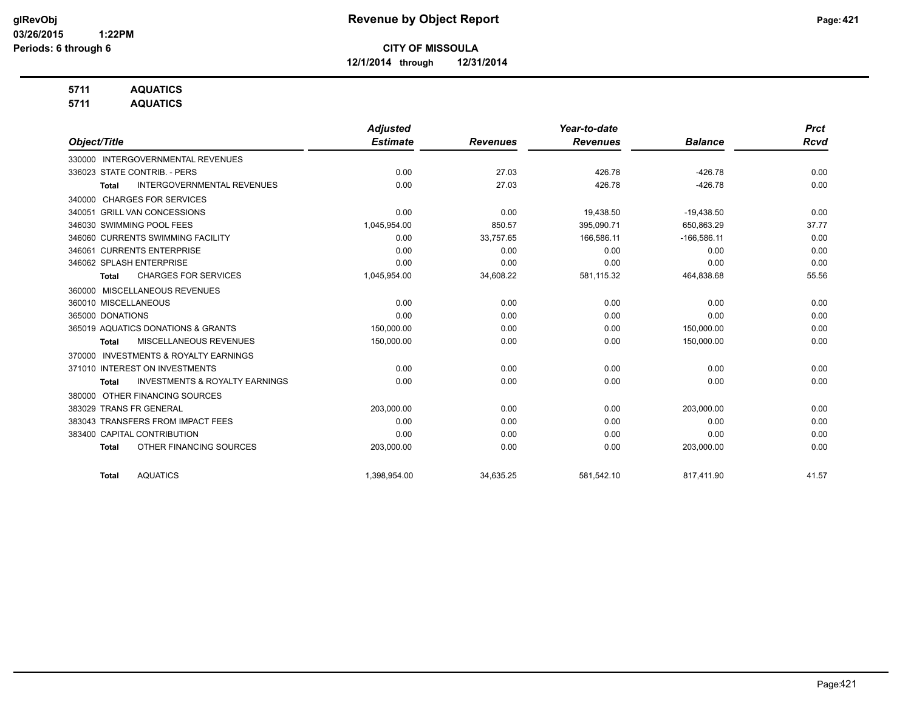**12/1/2014 through 12/31/2014**

## **5711 AQUATICS**

**5711 AQUATICS**

|                                                           | <b>Adjusted</b> |                 | Year-to-date    |                | <b>Prct</b> |
|-----------------------------------------------------------|-----------------|-----------------|-----------------|----------------|-------------|
| Object/Title                                              | <b>Estimate</b> | <b>Revenues</b> | <b>Revenues</b> | <b>Balance</b> | <b>Rcvd</b> |
| <b>INTERGOVERNMENTAL REVENUES</b><br>330000               |                 |                 |                 |                |             |
| 336023 STATE CONTRIB. - PERS                              | 0.00            | 27.03           | 426.78          | $-426.78$      | 0.00        |
| <b>INTERGOVERNMENTAL REVENUES</b><br><b>Total</b>         | 0.00            | 27.03           | 426.78          | $-426.78$      | 0.00        |
| <b>CHARGES FOR SERVICES</b><br>340000                     |                 |                 |                 |                |             |
| 340051 GRILL VAN CONCESSIONS                              | 0.00            | 0.00            | 19,438.50       | $-19,438.50$   | 0.00        |
| 346030 SWIMMING POOL FEES                                 | 1,045,954.00    | 850.57          | 395.090.71      | 650.863.29     | 37.77       |
| 346060 CURRENTS SWIMMING FACILITY                         | 0.00            | 33,757.65       | 166,586.11      | $-166,586.11$  | 0.00        |
| 346061 CURRENTS ENTERPRISE                                | 0.00            | 0.00            | 0.00            | 0.00           | 0.00        |
| 346062 SPLASH ENTERPRISE                                  | 0.00            | 0.00            | 0.00            | 0.00           | 0.00        |
| <b>CHARGES FOR SERVICES</b><br>Total                      | 1,045,954.00    | 34,608.22       | 581,115.32      | 464,838.68     | 55.56       |
| MISCELLANEOUS REVENUES<br>360000                          |                 |                 |                 |                |             |
| 360010 MISCELLANEOUS                                      | 0.00            | 0.00            | 0.00            | 0.00           | 0.00        |
| 365000 DONATIONS                                          | 0.00            | 0.00            | 0.00            | 0.00           | 0.00        |
| 365019 AQUATICS DONATIONS & GRANTS                        | 150,000.00      | 0.00            | 0.00            | 150,000.00     | 0.00        |
| <b>MISCELLANEOUS REVENUES</b><br><b>Total</b>             | 150,000.00      | 0.00            | 0.00            | 150,000.00     | 0.00        |
| <b>INVESTMENTS &amp; ROYALTY EARNINGS</b><br>370000       |                 |                 |                 |                |             |
| 371010 INTEREST ON INVESTMENTS                            | 0.00            | 0.00            | 0.00            | 0.00           | 0.00        |
| <b>INVESTMENTS &amp; ROYALTY EARNINGS</b><br><b>Total</b> | 0.00            | 0.00            | 0.00            | 0.00           | 0.00        |
| OTHER FINANCING SOURCES<br>380000                         |                 |                 |                 |                |             |
| 383029 TRANS FR GENERAL                                   | 203.000.00      | 0.00            | 0.00            | 203.000.00     | 0.00        |
| 383043 TRANSFERS FROM IMPACT FEES                         | 0.00            | 0.00            | 0.00            | 0.00           | 0.00        |
| 383400 CAPITAL CONTRIBUTION                               | 0.00            | 0.00            | 0.00            | 0.00           | 0.00        |
| OTHER FINANCING SOURCES<br><b>Total</b>                   | 203,000.00      | 0.00            | 0.00            | 203,000.00     | 0.00        |
| <b>AQUATICS</b><br><b>Total</b>                           | 1,398,954.00    | 34,635.25       | 581,542.10      | 817,411.90     | 41.57       |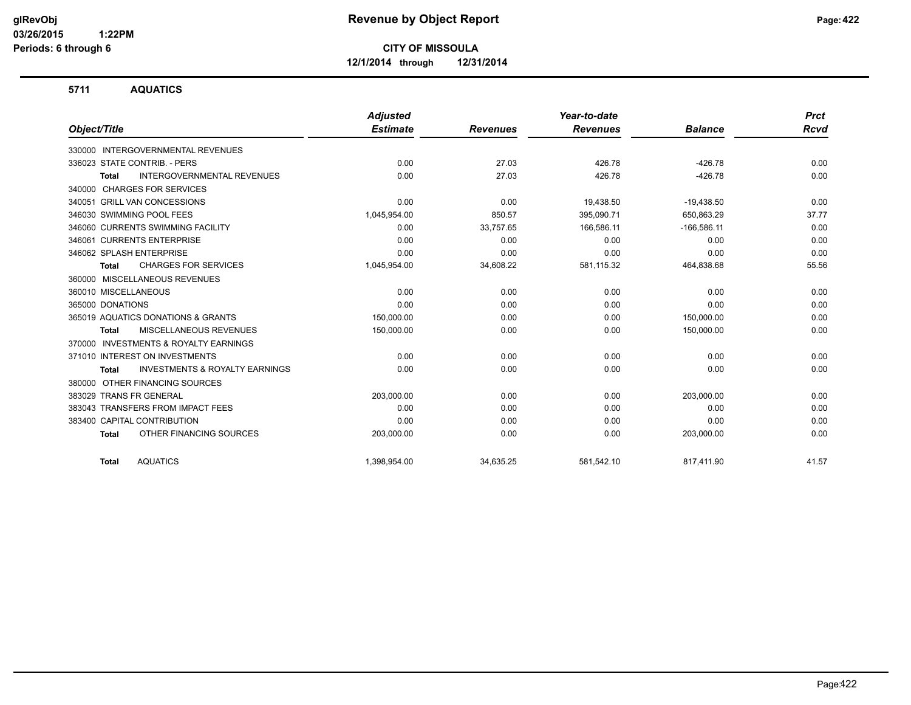**12/1/2014 through 12/31/2014**

#### **5711 AQUATICS**

|                                                           | <b>Adjusted</b> |                 | Year-to-date    | <b>Balance</b> | <b>Prct</b><br><b>Rcvd</b> |
|-----------------------------------------------------------|-----------------|-----------------|-----------------|----------------|----------------------------|
| Object/Title                                              | <b>Estimate</b> | <b>Revenues</b> | <b>Revenues</b> |                |                            |
| <b>INTERGOVERNMENTAL REVENUES</b><br>330000               |                 |                 |                 |                |                            |
| 336023 STATE CONTRIB. - PERS                              | 0.00            | 27.03           | 426.78          | $-426.78$      | 0.00                       |
| <b>INTERGOVERNMENTAL REVENUES</b><br><b>Total</b>         | 0.00            | 27.03           | 426.78          | $-426.78$      | 0.00                       |
| <b>CHARGES FOR SERVICES</b><br>340000                     |                 |                 |                 |                |                            |
| 340051 GRILL VAN CONCESSIONS                              | 0.00            | 0.00            | 19.438.50       | $-19.438.50$   | 0.00                       |
| 346030 SWIMMING POOL FEES                                 | 1.045.954.00    | 850.57          | 395.090.71      | 650,863.29     | 37.77                      |
| 346060 CURRENTS SWIMMING FACILITY                         | 0.00            | 33,757.65       | 166,586.11      | $-166,586.11$  | 0.00                       |
| 346061 CURRENTS ENTERPRISE                                | 0.00            | 0.00            | 0.00            | 0.00           | 0.00                       |
| 346062 SPLASH ENTERPRISE                                  | 0.00            | 0.00            | 0.00            | 0.00           | 0.00                       |
| <b>CHARGES FOR SERVICES</b><br>Total                      | 1,045,954.00    | 34,608.22       | 581,115.32      | 464,838.68     | 55.56                      |
| 360000 MISCELLANEOUS REVENUES                             |                 |                 |                 |                |                            |
| 360010 MISCELLANEOUS                                      | 0.00            | 0.00            | 0.00            | 0.00           | 0.00                       |
| 365000 DONATIONS                                          | 0.00            | 0.00            | 0.00            | 0.00           | 0.00                       |
| 365019 AQUATICS DONATIONS & GRANTS                        | 150,000.00      | 0.00            | 0.00            | 150,000.00     | 0.00                       |
| MISCELLANEOUS REVENUES<br><b>Total</b>                    | 150,000.00      | 0.00            | 0.00            | 150,000.00     | 0.00                       |
| <b>INVESTMENTS &amp; ROYALTY EARNINGS</b><br>370000       |                 |                 |                 |                |                            |
| 371010 INTEREST ON INVESTMENTS                            | 0.00            | 0.00            | 0.00            | 0.00           | 0.00                       |
| <b>INVESTMENTS &amp; ROYALTY EARNINGS</b><br><b>Total</b> | 0.00            | 0.00            | 0.00            | 0.00           | 0.00                       |
| OTHER FINANCING SOURCES<br>380000                         |                 |                 |                 |                |                            |
| 383029 TRANS FR GENERAL                                   | 203,000.00      | 0.00            | 0.00            | 203,000.00     | 0.00                       |
| 383043 TRANSFERS FROM IMPACT FEES                         | 0.00            | 0.00            | 0.00            | 0.00           | 0.00                       |
| 383400 CAPITAL CONTRIBUTION                               | 0.00            | 0.00            | 0.00            | 0.00           | 0.00                       |
| OTHER FINANCING SOURCES<br><b>Total</b>                   | 203,000.00      | 0.00            | 0.00            | 203,000.00     | 0.00                       |
| <b>AQUATICS</b><br><b>Total</b>                           | 1,398,954.00    | 34,635.25       | 581,542.10      | 817,411.90     | 41.57                      |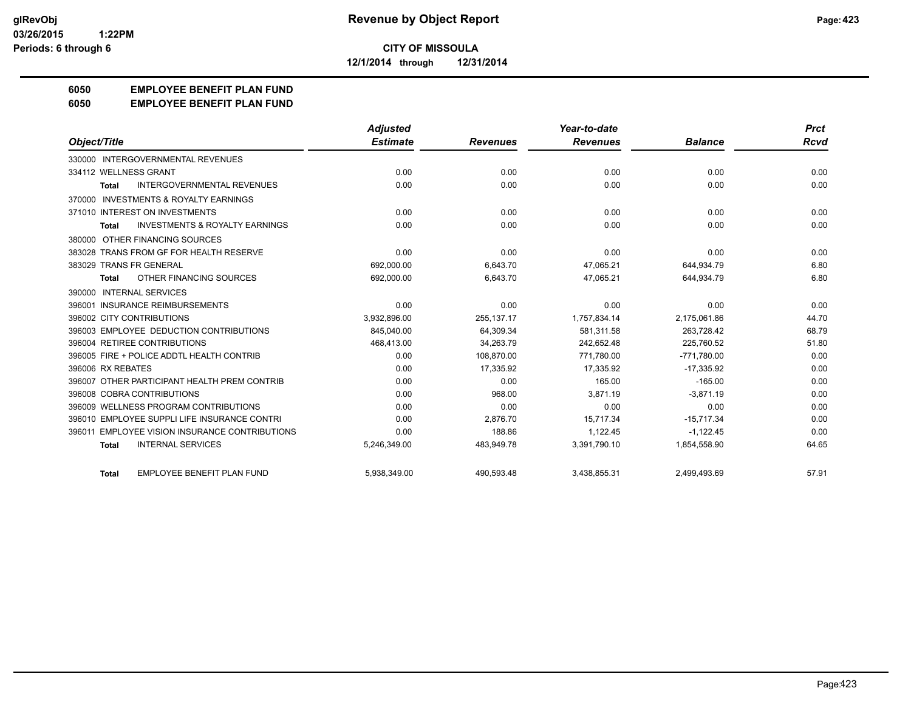**12/1/2014 through 12/31/2014**

## **6050 EMPLOYEE BENEFIT PLAN FUND**

#### **6050 EMPLOYEE BENEFIT PLAN FUND**

|                                                           | <b>Adjusted</b> |                 | Year-to-date    |                | <b>Prct</b> |
|-----------------------------------------------------------|-----------------|-----------------|-----------------|----------------|-------------|
| Object/Title                                              | <b>Estimate</b> | <b>Revenues</b> | <b>Revenues</b> | <b>Balance</b> | <b>Rcvd</b> |
| 330000 INTERGOVERNMENTAL REVENUES                         |                 |                 |                 |                |             |
| 334112 WELLNESS GRANT                                     | 0.00            | 0.00            | 0.00            | 0.00           | 0.00        |
| <b>INTERGOVERNMENTAL REVENUES</b><br><b>Total</b>         | 0.00            | 0.00            | 0.00            | 0.00           | 0.00        |
| 370000 INVESTMENTS & ROYALTY EARNINGS                     |                 |                 |                 |                |             |
| 371010 INTEREST ON INVESTMENTS                            | 0.00            | 0.00            | 0.00            | 0.00           | 0.00        |
| <b>INVESTMENTS &amp; ROYALTY EARNINGS</b><br><b>Total</b> | 0.00            | 0.00            | 0.00            | 0.00           | 0.00        |
| 380000 OTHER FINANCING SOURCES                            |                 |                 |                 |                |             |
| 383028 TRANS FROM GF FOR HEALTH RESERVE                   | 0.00            | 0.00            | 0.00            | 0.00           | 0.00        |
| 383029 TRANS FR GENERAL                                   | 692,000.00      | 6,643.70        | 47,065.21       | 644,934.79     | 6.80        |
| OTHER FINANCING SOURCES<br><b>Total</b>                   | 692,000.00      | 6,643.70        | 47,065.21       | 644,934.79     | 6.80        |
| 390000 INTERNAL SERVICES                                  |                 |                 |                 |                |             |
| 396001 INSURANCE REIMBURSEMENTS                           | 0.00            | 0.00            | 0.00            | 0.00           | 0.00        |
| 396002 CITY CONTRIBUTIONS                                 | 3,932,896.00    | 255, 137. 17    | 1,757,834.14    | 2,175,061.86   | 44.70       |
| 396003 EMPLOYEE DEDUCTION CONTRIBUTIONS                   | 845.040.00      | 64,309.34       | 581.311.58      | 263.728.42     | 68.79       |
| 396004 RETIREE CONTRIBUTIONS                              | 468,413.00      | 34,263.79       | 242,652.48      | 225,760.52     | 51.80       |
| 396005 FIRE + POLICE ADDTL HEALTH CONTRIB                 | 0.00            | 108.870.00      | 771.780.00      | $-771.780.00$  | 0.00        |
| 396006 RX REBATES                                         | 0.00            | 17.335.92       | 17.335.92       | $-17.335.92$   | 0.00        |
| 396007 OTHER PARTICIPANT HEALTH PREM CONTRIB              | 0.00            | 0.00            | 165.00          | $-165.00$      | 0.00        |
| 396008 COBRA CONTRIBUTIONS                                | 0.00            | 968.00          | 3.871.19        | $-3.871.19$    | 0.00        |
| 396009 WELLNESS PROGRAM CONTRIBUTIONS                     | 0.00            | 0.00            | 0.00            | 0.00           | 0.00        |
| 396010 EMPLOYEE SUPPLI LIFE INSURANCE CONTRI              | 0.00            | 2,876.70        | 15,717.34       | $-15,717.34$   | 0.00        |
| <b>EMPLOYEE VISION INSURANCE CONTRIBUTIONS</b><br>396011  | 0.00            | 188.86          | 1,122.45        | $-1,122.45$    | 0.00        |
| <b>INTERNAL SERVICES</b><br><b>Total</b>                  | 5,246,349.00    | 483,949.78      | 3,391,790.10    | 1,854,558.90   | 64.65       |
| <b>EMPLOYEE BENEFIT PLAN FUND</b><br><b>Total</b>         | 5,938,349.00    | 490,593.48      | 3,438,855.31    | 2,499,493.69   | 57.91       |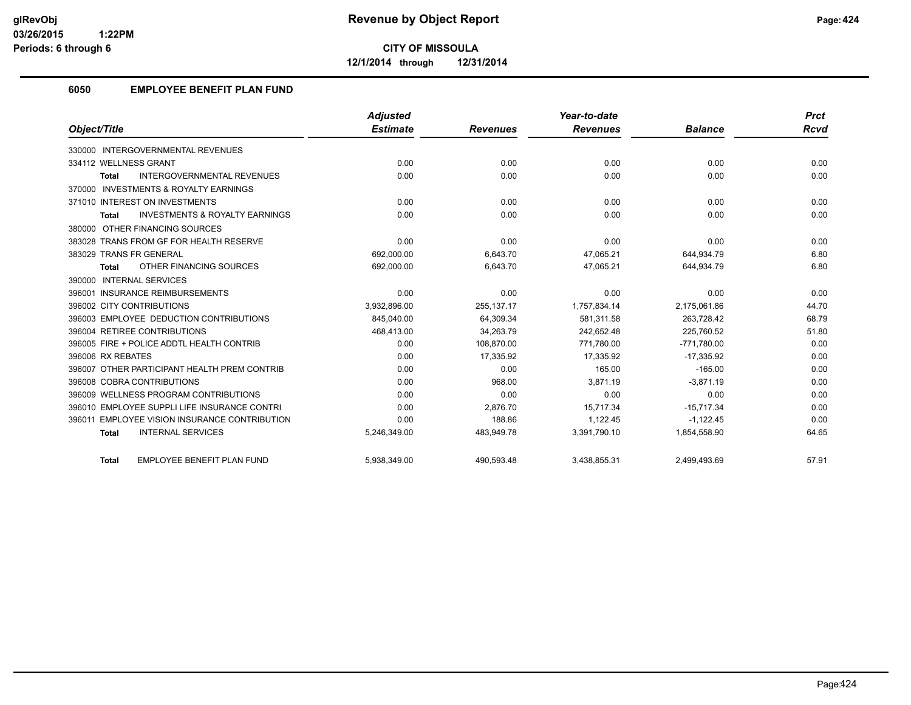**12/1/2014 through 12/31/2014**

## **6050 EMPLOYEE BENEFIT PLAN FUND**

|                                                           | <b>Adjusted</b> |                 | Year-to-date    |                | <b>Prct</b> |
|-----------------------------------------------------------|-----------------|-----------------|-----------------|----------------|-------------|
| Object/Title                                              | <b>Estimate</b> | <b>Revenues</b> | <b>Revenues</b> | <b>Balance</b> | <b>Rcvd</b> |
| 330000 INTERGOVERNMENTAL REVENUES                         |                 |                 |                 |                |             |
| 334112 WELLNESS GRANT                                     | 0.00            | 0.00            | 0.00            | 0.00           | 0.00        |
| <b>INTERGOVERNMENTAL REVENUES</b><br><b>Total</b>         | 0.00            | 0.00            | 0.00            | 0.00           | 0.00        |
| 370000 INVESTMENTS & ROYALTY EARNINGS                     |                 |                 |                 |                |             |
| 371010 INTEREST ON INVESTMENTS                            | 0.00            | 0.00            | 0.00            | 0.00           | 0.00        |
| <b>INVESTMENTS &amp; ROYALTY EARNINGS</b><br><b>Total</b> | 0.00            | 0.00            | 0.00            | 0.00           | 0.00        |
| 380000 OTHER FINANCING SOURCES                            |                 |                 |                 |                |             |
| 383028 TRANS FROM GF FOR HEALTH RESERVE                   | 0.00            | 0.00            | 0.00            | 0.00           | 0.00        |
| 383029 TRANS FR GENERAL                                   | 692,000.00      | 6,643.70        | 47,065.21       | 644,934.79     | 6.80        |
| OTHER FINANCING SOURCES<br><b>Total</b>                   | 692,000.00      | 6,643.70        | 47,065.21       | 644,934.79     | 6.80        |
| 390000 INTERNAL SERVICES                                  |                 |                 |                 |                |             |
| 396001 INSURANCE REIMBURSEMENTS                           | 0.00            | 0.00            | 0.00            | 0.00           | 0.00        |
| 396002 CITY CONTRIBUTIONS                                 | 3,932,896.00    | 255, 137. 17    | 1,757,834.14    | 2,175,061.86   | 44.70       |
| 396003 EMPLOYEE DEDUCTION CONTRIBUTIONS                   | 845,040.00      | 64,309.34       | 581,311.58      | 263,728.42     | 68.79       |
| 396004 RETIREE CONTRIBUTIONS                              | 468.413.00      | 34.263.79       | 242.652.48      | 225.760.52     | 51.80       |
| 396005 FIRE + POLICE ADDTL HEALTH CONTRIB                 | 0.00            | 108.870.00      | 771.780.00      | $-771,780.00$  | 0.00        |
| 396006 RX REBATES                                         | 0.00            | 17,335.92       | 17,335.92       | $-17,335.92$   | 0.00        |
| 396007 OTHER PARTICIPANT HEALTH PREM CONTRIB              | 0.00            | 0.00            | 165.00          | $-165.00$      | 0.00        |
| 396008 COBRA CONTRIBUTIONS                                | 0.00            | 968.00          | 3.871.19        | $-3.871.19$    | 0.00        |
| 396009 WELLNESS PROGRAM CONTRIBUTIONS                     | 0.00            | 0.00            | 0.00            | 0.00           | 0.00        |
| 396010 EMPLOYEE SUPPLI LIFE INSURANCE CONTRI              | 0.00            | 2.876.70        | 15,717.34       | $-15,717.34$   | 0.00        |
| 396011 EMPLOYEE VISION INSURANCE CONTRIBUTION             | 0.00            | 188.86          | 1,122.45        | $-1,122.45$    | 0.00        |
| <b>INTERNAL SERVICES</b><br><b>Total</b>                  | 5,246,349.00    | 483,949.78      | 3,391,790.10    | 1,854,558.90   | 64.65       |
| <b>EMPLOYEE BENEFIT PLAN FUND</b><br><b>Total</b>         | 5,938,349.00    | 490,593.48      | 3,438,855.31    | 2,499,493.69   | 57.91       |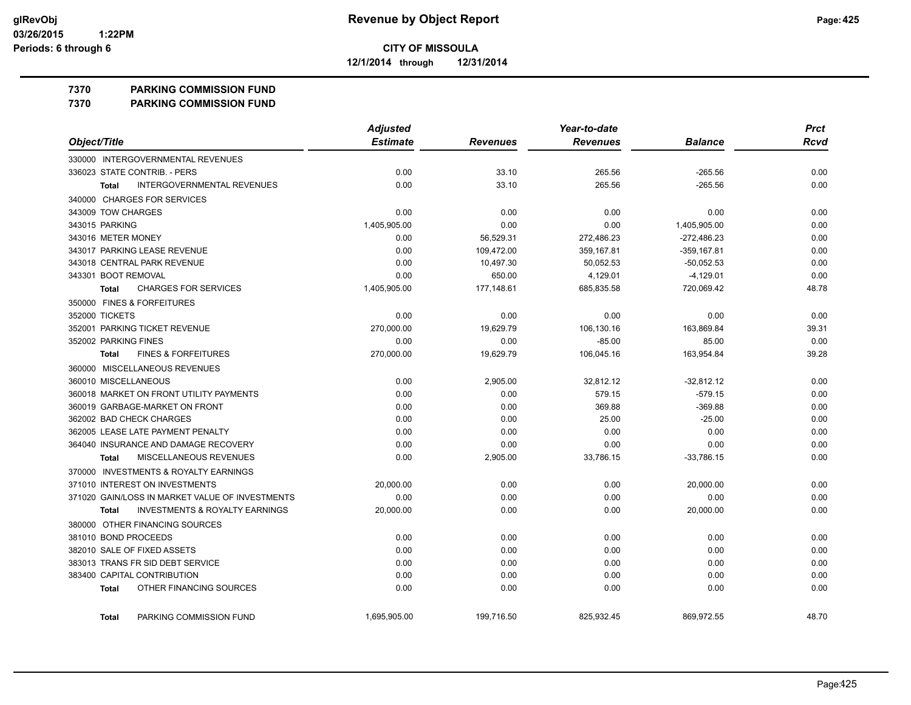**12/1/2014 through 12/31/2014**

#### **7370 PARKING COMMISSION FUND**

**7370 PARKING COMMISSION FUND**

|                                                    | <b>Adjusted</b> |                 | Year-to-date    |                | <b>Prct</b> |
|----------------------------------------------------|-----------------|-----------------|-----------------|----------------|-------------|
| Object/Title                                       | <b>Estimate</b> | <b>Revenues</b> | <b>Revenues</b> | <b>Balance</b> | <b>Rcvd</b> |
| 330000 INTERGOVERNMENTAL REVENUES                  |                 |                 |                 |                |             |
| 336023 STATE CONTRIB. - PERS                       | 0.00            | 33.10           | 265.56          | $-265.56$      | 0.00        |
| <b>INTERGOVERNMENTAL REVENUES</b><br><b>Total</b>  | 0.00            | 33.10           | 265.56          | $-265.56$      | 0.00        |
| 340000 CHARGES FOR SERVICES                        |                 |                 |                 |                |             |
| 343009 TOW CHARGES                                 | 0.00            | 0.00            | 0.00            | 0.00           | 0.00        |
| 343015 PARKING                                     | 1,405,905.00    | 0.00            | 0.00            | 1,405,905.00   | 0.00        |
| 343016 METER MONEY                                 | 0.00            | 56,529.31       | 272,486.23      | $-272,486.23$  | 0.00        |
| 343017 PARKING LEASE REVENUE                       | 0.00            | 109,472.00      | 359,167.81      | $-359, 167.81$ | 0.00        |
| 343018 CENTRAL PARK REVENUE                        | 0.00            | 10,497.30       | 50,052.53       | $-50,052.53$   | 0.00        |
| 343301 BOOT REMOVAL                                | 0.00            | 650.00          | 4,129.01        | $-4,129.01$    | 0.00        |
| <b>CHARGES FOR SERVICES</b><br><b>Total</b>        | 1,405,905.00    | 177,148.61      | 685,835.58      | 720,069.42     | 48.78       |
| 350000 FINES & FORFEITURES                         |                 |                 |                 |                |             |
| 352000 TICKETS                                     | 0.00            | 0.00            | 0.00            | 0.00           | 0.00        |
| 352001 PARKING TICKET REVENUE                      | 270,000.00      | 19,629.79       | 106,130.16      | 163,869.84     | 39.31       |
| 352002 PARKING FINES                               | 0.00            | 0.00            | $-85.00$        | 85.00          | 0.00        |
| <b>FINES &amp; FORFEITURES</b><br><b>Total</b>     | 270,000.00      | 19,629.79       | 106,045.16      | 163,954.84     | 39.28       |
| 360000 MISCELLANEOUS REVENUES                      |                 |                 |                 |                |             |
| 360010 MISCELLANEOUS                               | 0.00            | 2,905.00        | 32,812.12       | $-32,812.12$   | 0.00        |
| 360018 MARKET ON FRONT UTILITY PAYMENTS            | 0.00            | 0.00            | 579.15          | $-579.15$      | 0.00        |
| 360019 GARBAGE-MARKET ON FRONT                     | 0.00            | 0.00            | 369.88          | $-369.88$      | 0.00        |
| 362002 BAD CHECK CHARGES                           | 0.00            | 0.00            | 25.00           | $-25.00$       | 0.00        |
| 362005 LEASE LATE PAYMENT PENALTY                  | 0.00            | 0.00            | 0.00            | 0.00           | 0.00        |
| 364040 INSURANCE AND DAMAGE RECOVERY               | 0.00            | 0.00            | 0.00            | 0.00           | 0.00        |
| MISCELLANEOUS REVENUES<br>Total                    | 0.00            | 2,905.00        | 33,786.15       | $-33,786.15$   | 0.00        |
| 370000 INVESTMENTS & ROYALTY EARNINGS              |                 |                 |                 |                |             |
| 371010 INTEREST ON INVESTMENTS                     | 20,000.00       | 0.00            | 0.00            | 20,000.00      | 0.00        |
| 371020 GAIN/LOSS IN MARKET VALUE OF INVESTMENTS    | 0.00            | 0.00            | 0.00            | 0.00           | 0.00        |
| <b>INVESTMENTS &amp; ROYALTY EARNINGS</b><br>Total | 20,000.00       | 0.00            | 0.00            | 20,000.00      | 0.00        |
| 380000 OTHER FINANCING SOURCES                     |                 |                 |                 |                |             |
| 381010 BOND PROCEEDS                               | 0.00            | 0.00            | 0.00            | 0.00           | 0.00        |
| 382010 SALE OF FIXED ASSETS                        | 0.00            | 0.00            | 0.00            | 0.00           | 0.00        |
| 383013 TRANS FR SID DEBT SERVICE                   | 0.00            | 0.00            | 0.00            | 0.00           | 0.00        |
| 383400 CAPITAL CONTRIBUTION                        | 0.00            | 0.00            | 0.00            | 0.00           | 0.00        |
| OTHER FINANCING SOURCES<br><b>Total</b>            | 0.00            | 0.00            | 0.00            | 0.00           | 0.00        |
| PARKING COMMISSION FUND<br><b>Total</b>            | 1,695,905.00    | 199,716.50      | 825,932.45      | 869,972.55     | 48.70       |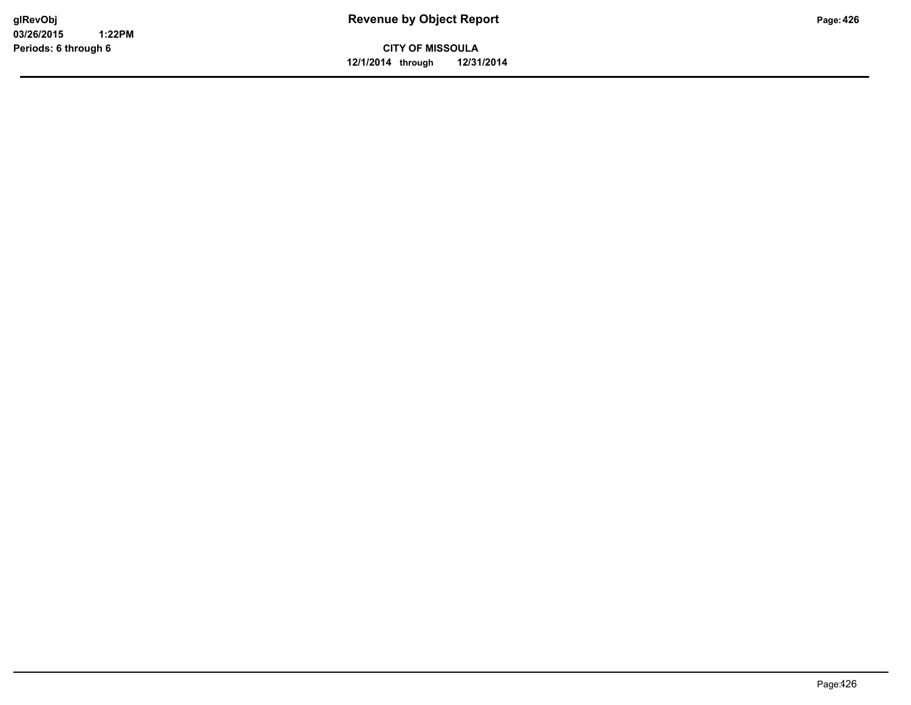**CITY OF MISSOULA 12/1/2014 through 12/31/2014**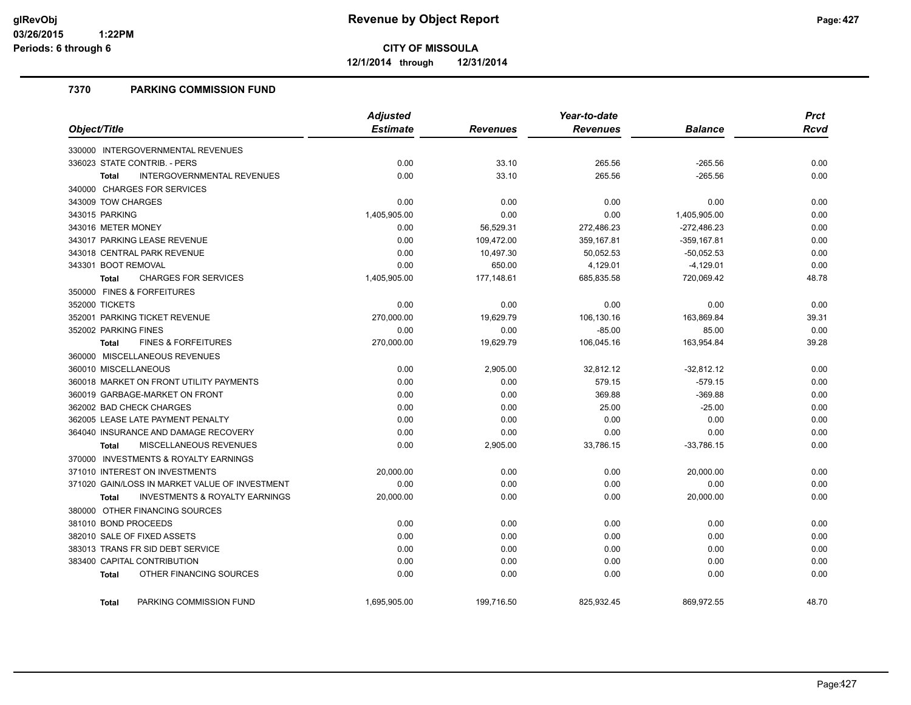**12/1/2014 through 12/31/2014**

### **7370 PARKING COMMISSION FUND**

|                                                           | <b>Adjusted</b> |                                    | Year-to-date |                | <b>Prct</b> |
|-----------------------------------------------------------|-----------------|------------------------------------|--------------|----------------|-------------|
| Object/Title                                              | <b>Estimate</b> | <b>Revenues</b><br><b>Revenues</b> |              | <b>Balance</b> | <b>Rcvd</b> |
| 330000 INTERGOVERNMENTAL REVENUES                         |                 |                                    |              |                |             |
| 336023 STATE CONTRIB. - PERS                              | 0.00            | 33.10                              | 265.56       | $-265.56$      | 0.00        |
| <b>INTERGOVERNMENTAL REVENUES</b><br><b>Total</b>         | 0.00            | 33.10                              | 265.56       | $-265.56$      | 0.00        |
| 340000 CHARGES FOR SERVICES                               |                 |                                    |              |                |             |
| 343009 TOW CHARGES                                        | 0.00            | 0.00                               | 0.00         | 0.00           | 0.00        |
| 343015 PARKING                                            | 1,405,905.00    | 0.00                               | 0.00         | 1,405,905.00   | 0.00        |
| 343016 METER MONEY                                        | 0.00            | 56,529.31                          | 272,486.23   | $-272,486.23$  | 0.00        |
| 343017 PARKING LEASE REVENUE                              | 0.00            | 109,472.00                         | 359,167.81   | $-359, 167.81$ | 0.00        |
| 343018 CENTRAL PARK REVENUE                               | 0.00            | 10,497.30                          | 50,052.53    | $-50,052.53$   | 0.00        |
| 343301 BOOT REMOVAL                                       | 0.00            | 650.00                             | 4,129.01     | $-4,129.01$    | 0.00        |
| <b>CHARGES FOR SERVICES</b><br><b>Total</b>               | 1,405,905.00    | 177,148.61                         | 685,835.58   | 720,069.42     | 48.78       |
| 350000 FINES & FORFEITURES                                |                 |                                    |              |                |             |
| 352000 TICKETS                                            | 0.00            | 0.00                               | 0.00         | 0.00           | 0.00        |
| 352001 PARKING TICKET REVENUE                             | 270,000.00      | 19,629.79                          | 106,130.16   | 163,869.84     | 39.31       |
| 352002 PARKING FINES                                      | 0.00            | 0.00                               | $-85.00$     | 85.00          | 0.00        |
| <b>FINES &amp; FORFEITURES</b><br><b>Total</b>            | 270,000.00      | 19,629.79                          | 106,045.16   | 163,954.84     | 39.28       |
| 360000 MISCELLANEOUS REVENUES                             |                 |                                    |              |                |             |
| 360010 MISCELLANEOUS                                      | 0.00            | 2,905.00                           | 32,812.12    | $-32,812.12$   | 0.00        |
| 360018 MARKET ON FRONT UTILITY PAYMENTS                   | 0.00            | 0.00                               | 579.15       | $-579.15$      | 0.00        |
| 360019 GARBAGE-MARKET ON FRONT                            | 0.00            | 0.00                               | 369.88       | $-369.88$      | 0.00        |
| 362002 BAD CHECK CHARGES                                  | 0.00            | 0.00                               | 25.00        | $-25.00$       | 0.00        |
| 362005 LEASE LATE PAYMENT PENALTY                         | 0.00            | 0.00                               | 0.00         | 0.00           | 0.00        |
| 364040 INSURANCE AND DAMAGE RECOVERY                      | 0.00            | 0.00                               | 0.00         | 0.00           | 0.00        |
| MISCELLANEOUS REVENUES<br><b>Total</b>                    | 0.00            | 2,905.00                           | 33,786.15    | $-33,786.15$   | 0.00        |
| 370000 INVESTMENTS & ROYALTY EARNINGS                     |                 |                                    |              |                |             |
| 371010 INTEREST ON INVESTMENTS                            | 20,000.00       | 0.00                               | 0.00         | 20,000.00      | 0.00        |
| 371020 GAIN/LOSS IN MARKET VALUE OF INVESTMENT            | 0.00            | 0.00                               | 0.00         | 0.00           | 0.00        |
| <b>INVESTMENTS &amp; ROYALTY EARNINGS</b><br><b>Total</b> | 20,000.00       | 0.00                               | 0.00         | 20,000.00      | 0.00        |
| 380000 OTHER FINANCING SOURCES                            |                 |                                    |              |                |             |
| 381010 BOND PROCEEDS                                      | 0.00            | 0.00                               | 0.00         | 0.00           | 0.00        |
| 382010 SALE OF FIXED ASSETS                               | 0.00            | 0.00                               | 0.00         | 0.00           | 0.00        |
| 383013 TRANS FR SID DEBT SERVICE                          | 0.00            | 0.00                               | 0.00         | 0.00           | 0.00        |
| 383400 CAPITAL CONTRIBUTION                               | 0.00            | 0.00                               | 0.00         | 0.00           | 0.00        |
| OTHER FINANCING SOURCES<br><b>Total</b>                   | 0.00            | 0.00                               | 0.00         | 0.00           | 0.00        |
| PARKING COMMISSION FUND<br><b>Total</b>                   | 1,695,905.00    | 199,716.50                         | 825,932.45   | 869,972.55     | 48.70       |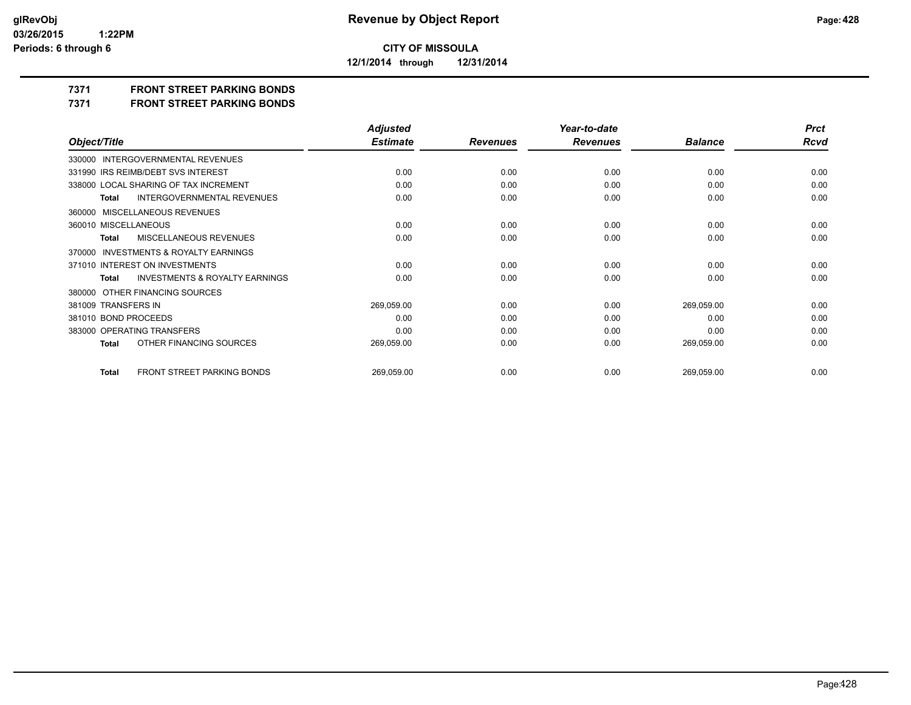**12/1/2014 through 12/31/2014**

#### **7371 FRONT STREET PARKING BONDS**

**7371 FRONT STREET PARKING BONDS**

|                                                           | <b>Adjusted</b> |                 | Year-to-date    |                | <b>Prct</b> |
|-----------------------------------------------------------|-----------------|-----------------|-----------------|----------------|-------------|
| Object/Title                                              | <b>Estimate</b> | <b>Revenues</b> | <b>Revenues</b> | <b>Balance</b> | Rcvd        |
| 330000 INTERGOVERNMENTAL REVENUES                         |                 |                 |                 |                |             |
| 331990 IRS REIMB/DEBT SVS INTEREST                        | 0.00            | 0.00            | 0.00            | 0.00           | 0.00        |
| 338000 LOCAL SHARING OF TAX INCREMENT                     | 0.00            | 0.00            | 0.00            | 0.00           | 0.00        |
| <b>INTERGOVERNMENTAL REVENUES</b><br><b>Total</b>         | 0.00            | 0.00            | 0.00            | 0.00           | 0.00        |
| 360000 MISCELLANEOUS REVENUES                             |                 |                 |                 |                |             |
| 360010 MISCELLANEOUS                                      | 0.00            | 0.00            | 0.00            | 0.00           | 0.00        |
| MISCELLANEOUS REVENUES<br><b>Total</b>                    | 0.00            | 0.00            | 0.00            | 0.00           | 0.00        |
| 370000 INVESTMENTS & ROYALTY EARNINGS                     |                 |                 |                 |                |             |
| 371010 INTEREST ON INVESTMENTS                            | 0.00            | 0.00            | 0.00            | 0.00           | 0.00        |
| <b>INVESTMENTS &amp; ROYALTY EARNINGS</b><br><b>Total</b> | 0.00            | 0.00            | 0.00            | 0.00           | 0.00        |
| 380000 OTHER FINANCING SOURCES                            |                 |                 |                 |                |             |
| 381009 TRANSFERS IN                                       | 269,059.00      | 0.00            | 0.00            | 269,059.00     | 0.00        |
| 381010 BOND PROCEEDS                                      | 0.00            | 0.00            | 0.00            | 0.00           | 0.00        |
| 383000 OPERATING TRANSFERS                                | 0.00            | 0.00            | 0.00            | 0.00           | 0.00        |
| OTHER FINANCING SOURCES<br>Total                          | 269,059.00      | 0.00            | 0.00            | 269,059.00     | 0.00        |
|                                                           |                 |                 |                 |                |             |
| FRONT STREET PARKING BONDS<br><b>Total</b>                | 269,059.00      | 0.00            | 0.00            | 269,059.00     | 0.00        |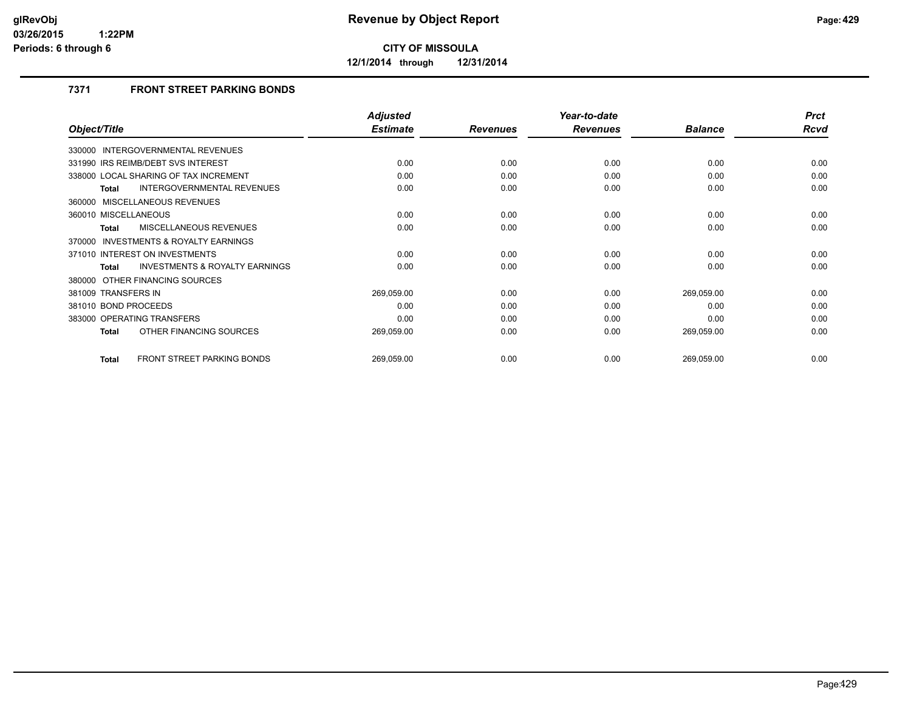**12/1/2014 through 12/31/2014**

### **7371 FRONT STREET PARKING BONDS**

|                                                           | <b>Adjusted</b> |                 | Year-to-date    |                | <b>Prct</b> |
|-----------------------------------------------------------|-----------------|-----------------|-----------------|----------------|-------------|
| Object/Title                                              | <b>Estimate</b> | <b>Revenues</b> | <b>Revenues</b> | <b>Balance</b> | <b>Rcvd</b> |
| <b>INTERGOVERNMENTAL REVENUES</b><br>330000               |                 |                 |                 |                |             |
| 331990 IRS REIMB/DEBT SVS INTEREST                        | 0.00            | 0.00            | 0.00            | 0.00           | 0.00        |
| 338000 LOCAL SHARING OF TAX INCREMENT                     | 0.00            | 0.00            | 0.00            | 0.00           | 0.00        |
| <b>INTERGOVERNMENTAL REVENUES</b><br>Total                | 0.00            | 0.00            | 0.00            | 0.00           | 0.00        |
| 360000 MISCELLANEOUS REVENUES                             |                 |                 |                 |                |             |
| 360010 MISCELLANEOUS                                      | 0.00            | 0.00            | 0.00            | 0.00           | 0.00        |
| MISCELLANEOUS REVENUES<br><b>Total</b>                    | 0.00            | 0.00            | 0.00            | 0.00           | 0.00        |
| <b>INVESTMENTS &amp; ROYALTY EARNINGS</b><br>370000       |                 |                 |                 |                |             |
| 371010 INTEREST ON INVESTMENTS                            | 0.00            | 0.00            | 0.00            | 0.00           | 0.00        |
| <b>INVESTMENTS &amp; ROYALTY EARNINGS</b><br><b>Total</b> | 0.00            | 0.00            | 0.00            | 0.00           | 0.00        |
| 380000 OTHER FINANCING SOURCES                            |                 |                 |                 |                |             |
| 381009 TRANSFERS IN                                       | 269,059.00      | 0.00            | 0.00            | 269,059.00     | 0.00        |
| 381010 BOND PROCEEDS                                      | 0.00            | 0.00            | 0.00            | 0.00           | 0.00        |
| 383000 OPERATING TRANSFERS                                | 0.00            | 0.00            | 0.00            | 0.00           | 0.00        |
| OTHER FINANCING SOURCES<br><b>Total</b>                   | 269,059.00      | 0.00            | 0.00            | 269,059.00     | 0.00        |
| <b>FRONT STREET PARKING BONDS</b><br><b>Total</b>         | 269,059.00      | 0.00            | 0.00            | 269,059.00     | 0.00        |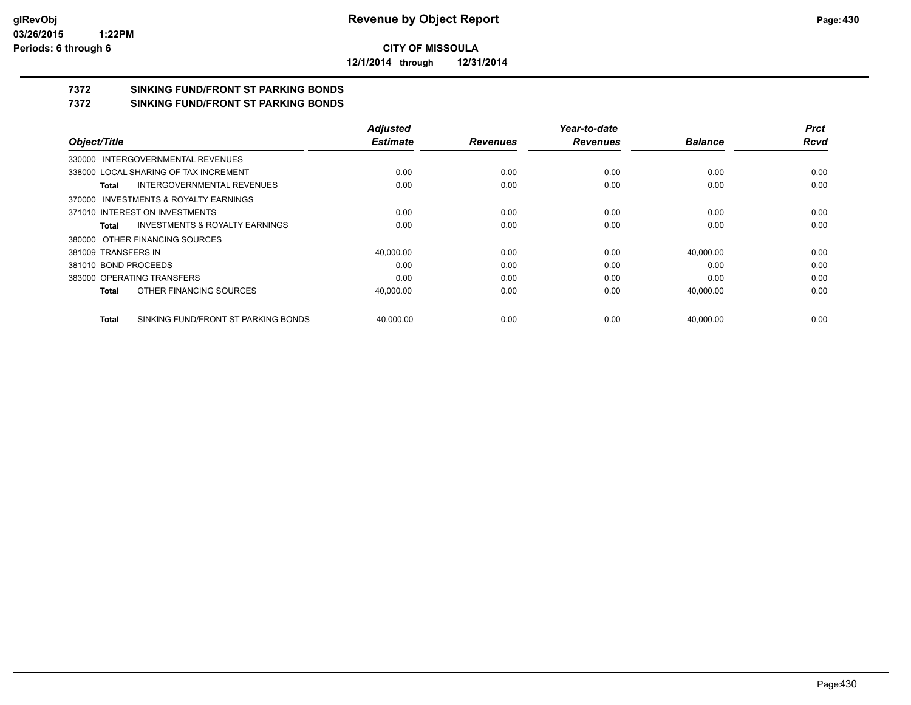**12/1/2014 through 12/31/2014**

# **7372 SINKING FUND/FRONT ST PARKING BONDS**

**7372 SINKING FUND/FRONT ST PARKING BONDS**

|                                                     | <b>Adjusted</b> |                 | Year-to-date    |                | <b>Prct</b> |
|-----------------------------------------------------|-----------------|-----------------|-----------------|----------------|-------------|
| Object/Title                                        | <b>Estimate</b> | <b>Revenues</b> | <b>Revenues</b> | <b>Balance</b> | <b>Rcvd</b> |
| 330000 INTERGOVERNMENTAL REVENUES                   |                 |                 |                 |                |             |
| 338000 LOCAL SHARING OF TAX INCREMENT               | 0.00            | 0.00            | 0.00            | 0.00           | 0.00        |
| <b>INTERGOVERNMENTAL REVENUES</b><br>Total          | 0.00            | 0.00            | 0.00            | 0.00           | 0.00        |
| 370000 INVESTMENTS & ROYALTY EARNINGS               |                 |                 |                 |                |             |
| 371010 INTEREST ON INVESTMENTS                      | 0.00            | 0.00            | 0.00            | 0.00           | 0.00        |
| <b>INVESTMENTS &amp; ROYALTY EARNINGS</b><br>Total  | 0.00            | 0.00            | 0.00            | 0.00           | 0.00        |
| 380000 OTHER FINANCING SOURCES                      |                 |                 |                 |                |             |
| 381009 TRANSFERS IN                                 | 40,000.00       | 0.00            | 0.00            | 40,000.00      | 0.00        |
| 381010 BOND PROCEEDS                                | 0.00            | 0.00            | 0.00            | 0.00           | 0.00        |
| 383000 OPERATING TRANSFERS                          | 0.00            | 0.00            | 0.00            | 0.00           | 0.00        |
| OTHER FINANCING SOURCES<br>Total                    | 40,000.00       | 0.00            | 0.00            | 40,000.00      | 0.00        |
| SINKING FUND/FRONT ST PARKING BONDS<br><b>Total</b> | 40.000.00       | 0.00            | 0.00            | 40.000.00      | 0.00        |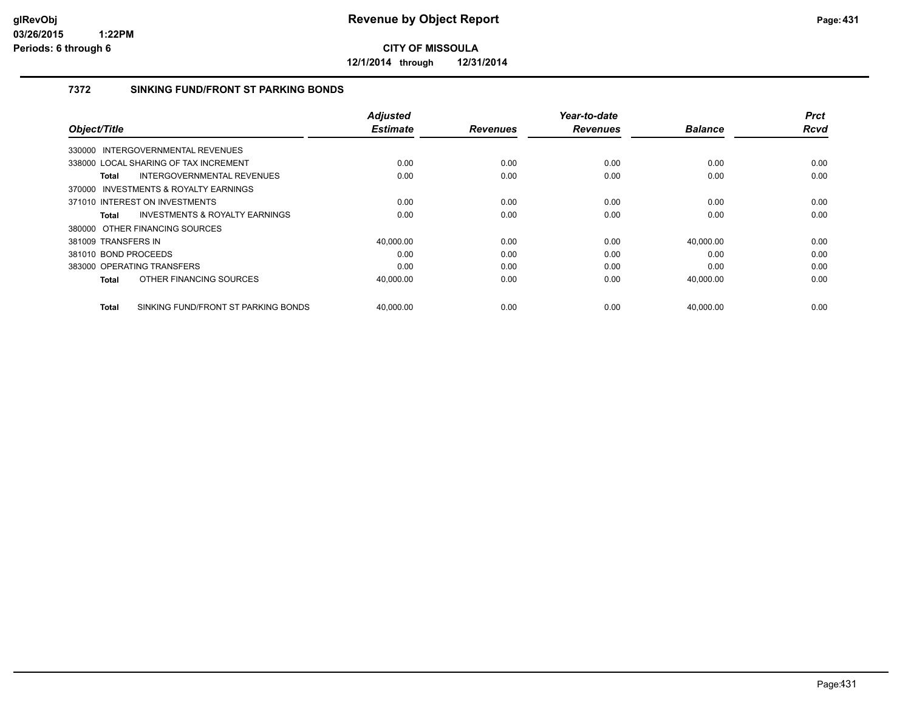**12/1/2014 through 12/31/2014**

#### **7372 SINKING FUND/FRONT ST PARKING BONDS**

| Object/Title                                              | <b>Adjusted</b><br><b>Estimate</b> | <b>Revenues</b> | Year-to-date<br><b>Revenues</b> | <b>Balance</b> | <b>Prct</b><br>Rcvd |
|-----------------------------------------------------------|------------------------------------|-----------------|---------------------------------|----------------|---------------------|
|                                                           |                                    |                 |                                 |                |                     |
| 330000 INTERGOVERNMENTAL REVENUES                         |                                    |                 |                                 |                |                     |
| 338000 LOCAL SHARING OF TAX INCREMENT                     | 0.00                               | 0.00            | 0.00                            | 0.00           | 0.00                |
| INTERGOVERNMENTAL REVENUES<br>Total                       | 0.00                               | 0.00            | 0.00                            | 0.00           | 0.00                |
| 370000 INVESTMENTS & ROYALTY EARNINGS                     |                                    |                 |                                 |                |                     |
| 371010 INTEREST ON INVESTMENTS                            | 0.00                               | 0.00            | 0.00                            | 0.00           | 0.00                |
| <b>INVESTMENTS &amp; ROYALTY EARNINGS</b><br><b>Total</b> | 0.00                               | 0.00            | 0.00                            | 0.00           | 0.00                |
| 380000 OTHER FINANCING SOURCES                            |                                    |                 |                                 |                |                     |
| 381009 TRANSFERS IN                                       | 40,000.00                          | 0.00            | 0.00                            | 40,000.00      | 0.00                |
| 381010 BOND PROCEEDS                                      | 0.00                               | 0.00            | 0.00                            | 0.00           | 0.00                |
| 383000 OPERATING TRANSFERS                                | 0.00                               | 0.00            | 0.00                            | 0.00           | 0.00                |
| OTHER FINANCING SOURCES<br><b>Total</b>                   | 40,000.00                          | 0.00            | 0.00                            | 40,000.00      | 0.00                |
| SINKING FUND/FRONT ST PARKING BONDS<br><b>Total</b>       | 40,000.00                          | 0.00            | 0.00                            | 40,000.00      | 0.00                |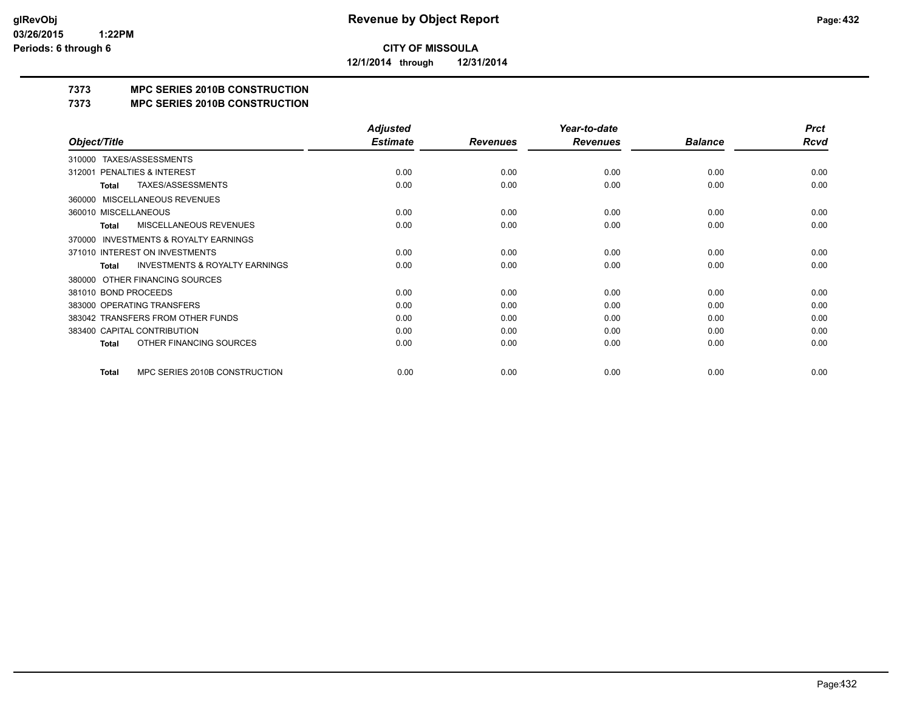**12/1/2014 through 12/31/2014**

### **7373 MPC SERIES 2010B CONSTRUCTION**

#### **7373 MPC SERIES 2010B CONSTRUCTION**

|                                                     | <b>Adjusted</b> |                 | Year-to-date    |                | <b>Prct</b> |
|-----------------------------------------------------|-----------------|-----------------|-----------------|----------------|-------------|
| Object/Title                                        | <b>Estimate</b> | <b>Revenues</b> | <b>Revenues</b> | <b>Balance</b> | <b>Rcvd</b> |
| TAXES/ASSESSMENTS<br>310000                         |                 |                 |                 |                |             |
| PENALTIES & INTEREST<br>312001                      | 0.00            | 0.00            | 0.00            | 0.00           | 0.00        |
| <b>TAXES/ASSESSMENTS</b><br>Total                   | 0.00            | 0.00            | 0.00            | 0.00           | 0.00        |
| <b>MISCELLANEOUS REVENUES</b><br>360000             |                 |                 |                 |                |             |
| 360010 MISCELLANEOUS                                | 0.00            | 0.00            | 0.00            | 0.00           | 0.00        |
| MISCELLANEOUS REVENUES<br><b>Total</b>              | 0.00            | 0.00            | 0.00            | 0.00           | 0.00        |
| <b>INVESTMENTS &amp; ROYALTY EARNINGS</b><br>370000 |                 |                 |                 |                |             |
| 371010 INTEREST ON INVESTMENTS                      | 0.00            | 0.00            | 0.00            | 0.00           | 0.00        |
| <b>INVESTMENTS &amp; ROYALTY EARNINGS</b><br>Total  | 0.00            | 0.00            | 0.00            | 0.00           | 0.00        |
| OTHER FINANCING SOURCES<br>380000                   |                 |                 |                 |                |             |
| 381010 BOND PROCEEDS                                | 0.00            | 0.00            | 0.00            | 0.00           | 0.00        |
| 383000 OPERATING TRANSFERS                          | 0.00            | 0.00            | 0.00            | 0.00           | 0.00        |
| 383042 TRANSFERS FROM OTHER FUNDS                   | 0.00            | 0.00            | 0.00            | 0.00           | 0.00        |
| 383400 CAPITAL CONTRIBUTION                         | 0.00            | 0.00            | 0.00            | 0.00           | 0.00        |
| OTHER FINANCING SOURCES<br>Total                    | 0.00            | 0.00            | 0.00            | 0.00           | 0.00        |
| MPC SERIES 2010B CONSTRUCTION<br>Total              | 0.00            | 0.00            | 0.00            | 0.00           | 0.00        |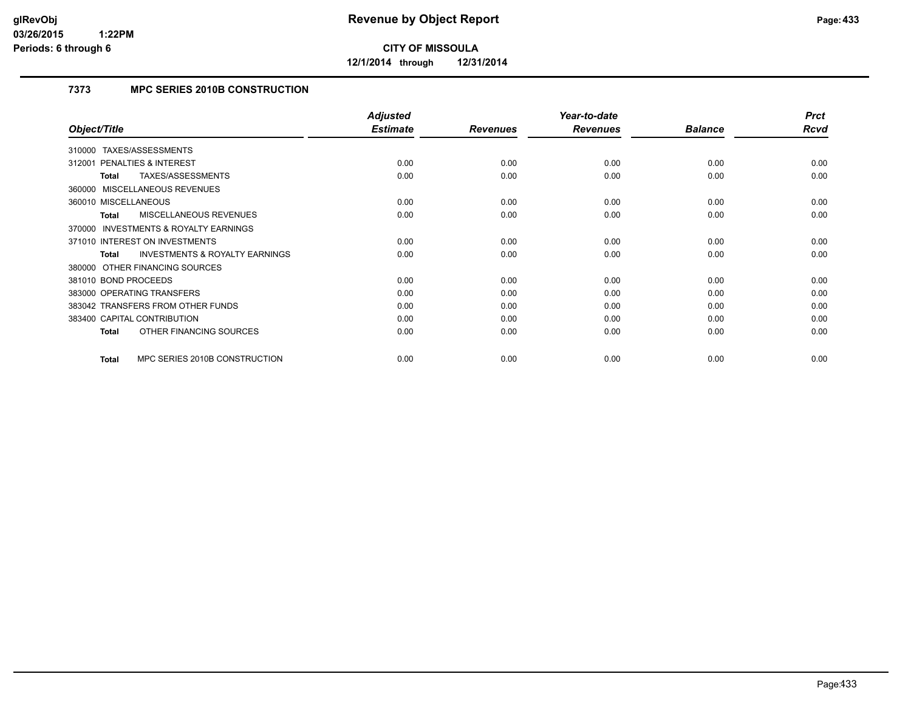**12/1/2014 through 12/31/2014**

#### **7373 MPC SERIES 2010B CONSTRUCTION**

|                                                    | <b>Adjusted</b> |                 | Year-to-date    |                | <b>Prct</b> |
|----------------------------------------------------|-----------------|-----------------|-----------------|----------------|-------------|
| Object/Title                                       | <b>Estimate</b> | <b>Revenues</b> | <b>Revenues</b> | <b>Balance</b> | Rcvd        |
| TAXES/ASSESSMENTS<br>310000                        |                 |                 |                 |                |             |
| <b>PENALTIES &amp; INTEREST</b><br>312001          | 0.00            | 0.00            | 0.00            | 0.00           | 0.00        |
| TAXES/ASSESSMENTS<br>Total                         | 0.00            | 0.00            | 0.00            | 0.00           | 0.00        |
| 360000 MISCELLANEOUS REVENUES                      |                 |                 |                 |                |             |
| 360010 MISCELLANEOUS                               | 0.00            | 0.00            | 0.00            | 0.00           | 0.00        |
| MISCELLANEOUS REVENUES<br>Total                    | 0.00            | 0.00            | 0.00            | 0.00           | 0.00        |
| 370000 INVESTMENTS & ROYALTY EARNINGS              |                 |                 |                 |                |             |
| 371010 INTEREST ON INVESTMENTS                     | 0.00            | 0.00            | 0.00            | 0.00           | 0.00        |
| <b>INVESTMENTS &amp; ROYALTY EARNINGS</b><br>Total | 0.00            | 0.00            | 0.00            | 0.00           | 0.00        |
| 380000 OTHER FINANCING SOURCES                     |                 |                 |                 |                |             |
| 381010 BOND PROCEEDS                               | 0.00            | 0.00            | 0.00            | 0.00           | 0.00        |
| 383000 OPERATING TRANSFERS                         | 0.00            | 0.00            | 0.00            | 0.00           | 0.00        |
| 383042 TRANSFERS FROM OTHER FUNDS                  | 0.00            | 0.00            | 0.00            | 0.00           | 0.00        |
| 383400 CAPITAL CONTRIBUTION                        | 0.00            | 0.00            | 0.00            | 0.00           | 0.00        |
| OTHER FINANCING SOURCES<br><b>Total</b>            | 0.00            | 0.00            | 0.00            | 0.00           | 0.00        |
| MPC SERIES 2010B CONSTRUCTION<br><b>Total</b>      | 0.00            | 0.00            | 0.00            | 0.00           | 0.00        |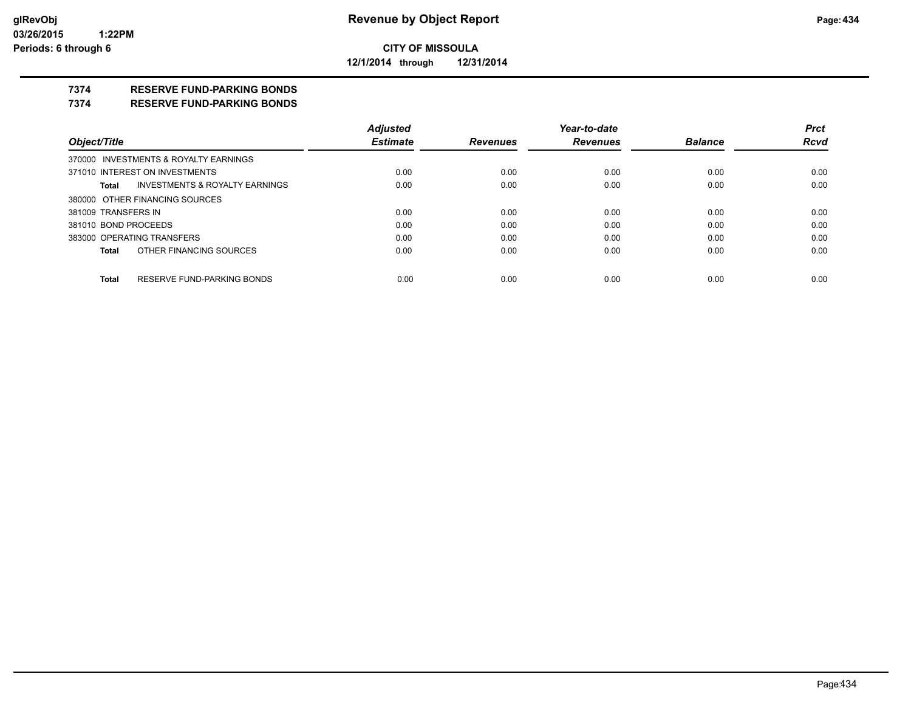**12/1/2014 through 12/31/2014**

#### **7374 RESERVE FUND-PARKING BONDS**

#### **7374 RESERVE FUND-PARKING BONDS**

|                                |                                       | <b>Adjusted</b> |                 | Year-to-date    |                | <b>Prct</b> |
|--------------------------------|---------------------------------------|-----------------|-----------------|-----------------|----------------|-------------|
| Object/Title                   |                                       | <b>Estimate</b> | <b>Revenues</b> | <b>Revenues</b> | <b>Balance</b> | <b>Rcvd</b> |
|                                | 370000 INVESTMENTS & ROYALTY EARNINGS |                 |                 |                 |                |             |
| 371010 INTEREST ON INVESTMENTS |                                       | 0.00            | 0.00            | 0.00            | 0.00           | 0.00        |
| Total                          | INVESTMENTS & ROYALTY EARNINGS        | 0.00            | 0.00            | 0.00            | 0.00           | 0.00        |
| 380000 OTHER FINANCING SOURCES |                                       |                 |                 |                 |                |             |
| 381009 TRANSFERS IN            |                                       | 0.00            | 0.00            | 0.00            | 0.00           | 0.00        |
| 381010 BOND PROCEEDS           |                                       | 0.00            | 0.00            | 0.00            | 0.00           | 0.00        |
| 383000 OPERATING TRANSFERS     |                                       | 0.00            | 0.00            | 0.00            | 0.00           | 0.00        |
| Total                          | OTHER FINANCING SOURCES               | 0.00            | 0.00            | 0.00            | 0.00           | 0.00        |
|                                |                                       |                 |                 |                 |                |             |
| <b>Total</b>                   | RESERVE FUND-PARKING BONDS            | 0.00            | 0.00            | 0.00            | 0.00           | 0.00        |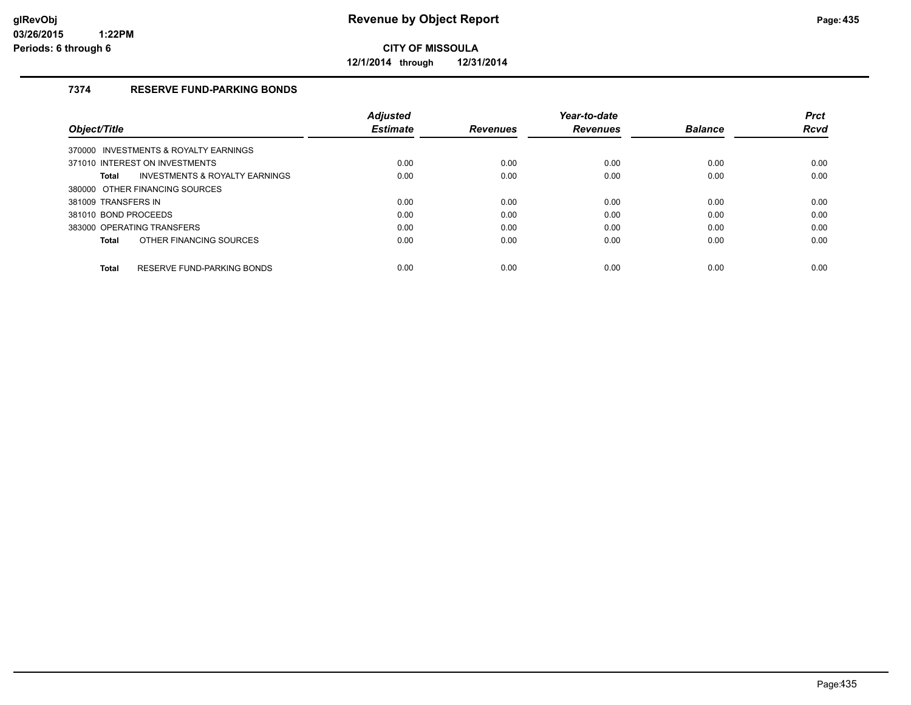**12/1/2014 through 12/31/2014**

#### **7374 RESERVE FUND-PARKING BONDS**

|                                                | <b>Adjusted</b> |                 | Year-to-date    |                | <b>Prct</b> |
|------------------------------------------------|-----------------|-----------------|-----------------|----------------|-------------|
| Object/Title                                   | <b>Estimate</b> | <b>Revenues</b> | <b>Revenues</b> | <b>Balance</b> | <b>Rcvd</b> |
| 370000 INVESTMENTS & ROYALTY EARNINGS          |                 |                 |                 |                |             |
| 371010 INTEREST ON INVESTMENTS                 | 0.00            | 0.00            | 0.00            | 0.00           | 0.00        |
| INVESTMENTS & ROYALTY EARNINGS<br><b>Total</b> | 0.00            | 0.00            | 0.00            | 0.00           | 0.00        |
| 380000 OTHER FINANCING SOURCES                 |                 |                 |                 |                |             |
| 381009 TRANSFERS IN                            | 0.00            | 0.00            | 0.00            | 0.00           | 0.00        |
| 381010 BOND PROCEEDS                           | 0.00            | 0.00            | 0.00            | 0.00           | 0.00        |
| 383000 OPERATING TRANSFERS                     | 0.00            | 0.00            | 0.00            | 0.00           | 0.00        |
| OTHER FINANCING SOURCES<br>Total               | 0.00            | 0.00            | 0.00            | 0.00           | 0.00        |
| RESERVE FUND-PARKING BONDS<br><b>Total</b>     | 0.00            | 0.00            | 0.00            | 0.00           | 0.00        |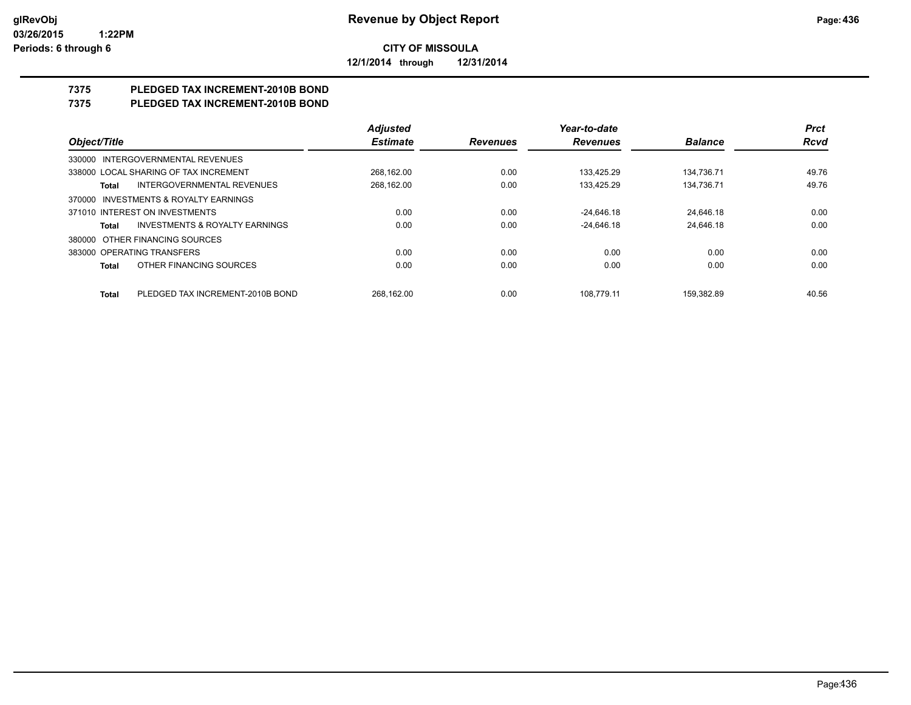**12/1/2014 through 12/31/2014**

# **7375 PLEDGED TAX INCREMENT-2010B BOND**

### **7375 PLEDGED TAX INCREMENT-2010B BOND**

|                                                    | <b>Adjusted</b> |                 | Year-to-date    |                | <b>Prct</b> |
|----------------------------------------------------|-----------------|-----------------|-----------------|----------------|-------------|
| Object/Title                                       | <b>Estimate</b> | <b>Revenues</b> | <b>Revenues</b> | <b>Balance</b> | <b>Rcvd</b> |
| 330000 INTERGOVERNMENTAL REVENUES                  |                 |                 |                 |                |             |
| 338000 LOCAL SHARING OF TAX INCREMENT              | 268.162.00      | 0.00            | 133.425.29      | 134.736.71     | 49.76       |
| INTERGOVERNMENTAL REVENUES<br>Total                | 268,162.00      | 0.00            | 133.425.29      | 134.736.71     | 49.76       |
| 370000 INVESTMENTS & ROYALTY EARNINGS              |                 |                 |                 |                |             |
| 371010 INTEREST ON INVESTMENTS                     | 0.00            | 0.00            | $-24.646.18$    | 24.646.18      | 0.00        |
| <b>INVESTMENTS &amp; ROYALTY EARNINGS</b><br>Total | 0.00            | 0.00            | $-24.646.18$    | 24.646.18      | 0.00        |
| 380000 OTHER FINANCING SOURCES                     |                 |                 |                 |                |             |
| 383000 OPERATING TRANSFERS                         | 0.00            | 0.00            | 0.00            | 0.00           | 0.00        |
| OTHER FINANCING SOURCES<br><b>Total</b>            | 0.00            | 0.00            | 0.00            | 0.00           | 0.00        |
| PLEDGED TAX INCREMENT-2010B BOND<br><b>Total</b>   | 268.162.00      | 0.00            | 108.779.11      | 159.382.89     | 40.56       |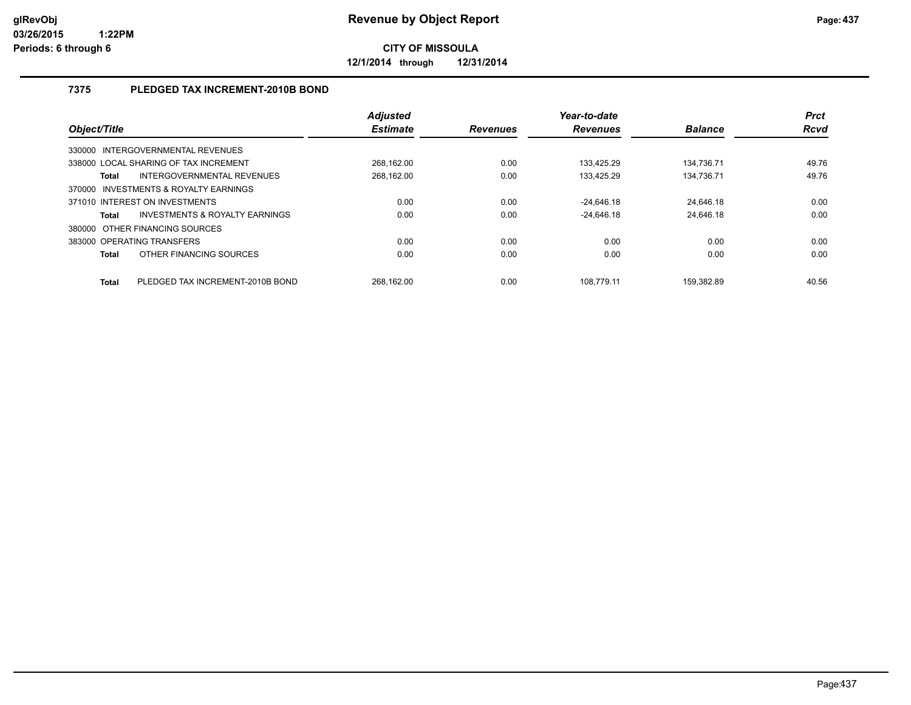**12/1/2014 through 12/31/2014**

#### **7375 PLEDGED TAX INCREMENT-2010B BOND**

| Object/Title                          |                                           | <b>Adjusted</b><br><b>Estimate</b> | <b>Revenues</b> | Year-to-date<br><b>Revenues</b> | <b>Balance</b> | <b>Prct</b><br>Rcvd |
|---------------------------------------|-------------------------------------------|------------------------------------|-----------------|---------------------------------|----------------|---------------------|
| 330000 INTERGOVERNMENTAL REVENUES     |                                           |                                    |                 |                                 |                |                     |
| 338000 LOCAL SHARING OF TAX INCREMENT |                                           | 268.162.00                         | 0.00            | 133.425.29                      | 134.736.71     | 49.76               |
| <b>Total</b>                          | INTERGOVERNMENTAL REVENUES                | 268.162.00                         | 0.00            | 133.425.29                      | 134.736.71     | 49.76               |
| 370000 INVESTMENTS & ROYALTY EARNINGS |                                           |                                    |                 |                                 |                |                     |
| 371010 INTEREST ON INVESTMENTS        |                                           | 0.00                               | 0.00            | $-24,646.18$                    | 24.646.18      | 0.00                |
| <b>Total</b>                          | <b>INVESTMENTS &amp; ROYALTY EARNINGS</b> | 0.00                               | 0.00            | $-24.646.18$                    | 24,646.18      | 0.00                |
| 380000 OTHER FINANCING SOURCES        |                                           |                                    |                 |                                 |                |                     |
| 383000 OPERATING TRANSFERS            |                                           | 0.00                               | 0.00            | 0.00                            | 0.00           | 0.00                |
| <b>Total</b>                          | OTHER FINANCING SOURCES                   | 0.00                               | 0.00            | 0.00                            | 0.00           | 0.00                |
| <b>Total</b>                          | PLEDGED TAX INCREMENT-2010B BOND          | 268.162.00                         | 0.00            | 108.779.11                      | 159.382.89     | 40.56               |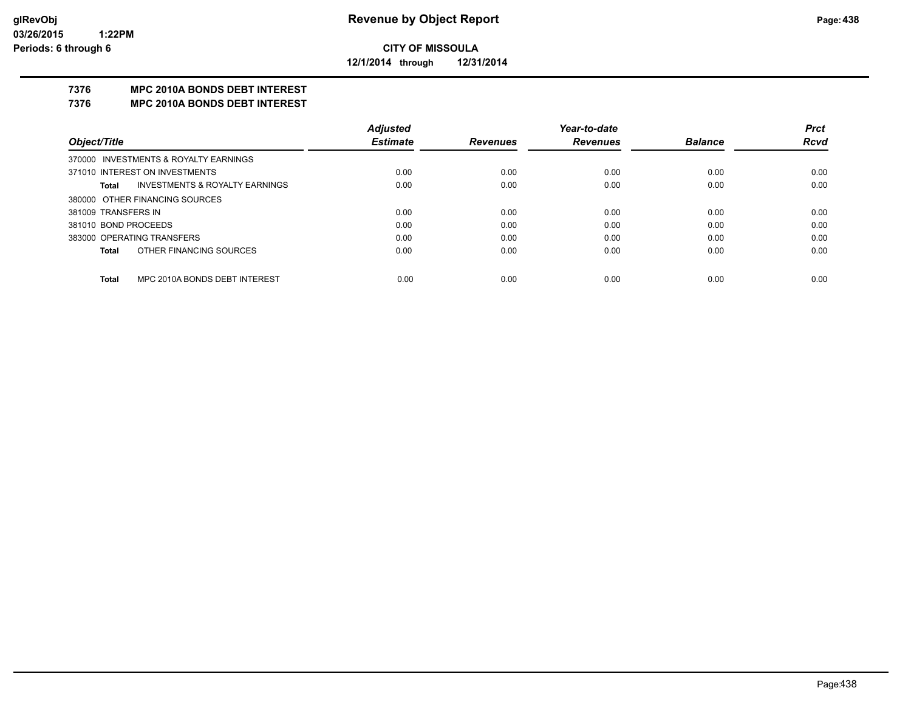**12/1/2014 through 12/31/2014**

#### **7376 MPC 2010A BONDS DEBT INTEREST**

#### **7376 MPC 2010A BONDS DEBT INTEREST**

|                            |                                           | <b>Adjusted</b> |                 | Year-to-date    |                | <b>Prct</b> |
|----------------------------|-------------------------------------------|-----------------|-----------------|-----------------|----------------|-------------|
| Object/Title               |                                           | <b>Estimate</b> | <b>Revenues</b> | <b>Revenues</b> | <b>Balance</b> | <b>Rcvd</b> |
|                            | 370000 INVESTMENTS & ROYALTY EARNINGS     |                 |                 |                 |                |             |
|                            | 371010 INTEREST ON INVESTMENTS            | 0.00            | 0.00            | 0.00            | 0.00           | 0.00        |
| Total                      | <b>INVESTMENTS &amp; ROYALTY EARNINGS</b> | 0.00            | 0.00            | 0.00            | 0.00           | 0.00        |
|                            | 380000 OTHER FINANCING SOURCES            |                 |                 |                 |                |             |
| 381009 TRANSFERS IN        |                                           | 0.00            | 0.00            | 0.00            | 0.00           | 0.00        |
| 381010 BOND PROCEEDS       |                                           | 0.00            | 0.00            | 0.00            | 0.00           | 0.00        |
| 383000 OPERATING TRANSFERS |                                           | 0.00            | 0.00            | 0.00            | 0.00           | 0.00        |
| Total                      | OTHER FINANCING SOURCES                   | 0.00            | 0.00            | 0.00            | 0.00           | 0.00        |
|                            |                                           |                 |                 |                 |                |             |
| <b>Total</b>               | MPC 2010A BONDS DEBT INTEREST             | 0.00            | 0.00            | 0.00            | 0.00           | 0.00        |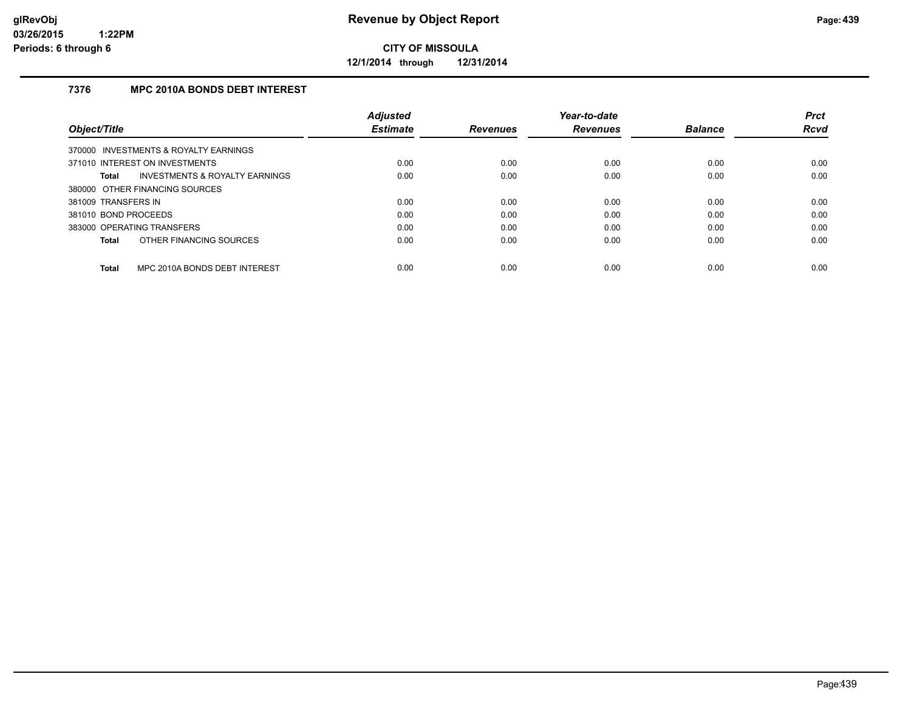**12/1/2014 through 12/31/2014**

#### **7376 MPC 2010A BONDS DEBT INTEREST**

|                                               | <b>Adjusted</b> |                 | Year-to-date    |                | <b>Prct</b> |
|-----------------------------------------------|-----------------|-----------------|-----------------|----------------|-------------|
| Object/Title                                  | <b>Estimate</b> | <b>Revenues</b> | <b>Revenues</b> | <b>Balance</b> | <b>Rcvd</b> |
| 370000 INVESTMENTS & ROYALTY EARNINGS         |                 |                 |                 |                |             |
| 371010 INTEREST ON INVESTMENTS                | 0.00            | 0.00            | 0.00            | 0.00           | 0.00        |
| INVESTMENTS & ROYALTY EARNINGS<br>Total       | 0.00            | 0.00            | 0.00            | 0.00           | 0.00        |
| 380000 OTHER FINANCING SOURCES                |                 |                 |                 |                |             |
| 381009 TRANSFERS IN                           | 0.00            | 0.00            | 0.00            | 0.00           | 0.00        |
| 381010 BOND PROCEEDS                          | 0.00            | 0.00            | 0.00            | 0.00           | 0.00        |
| 383000 OPERATING TRANSFERS                    | 0.00            | 0.00            | 0.00            | 0.00           | 0.00        |
| OTHER FINANCING SOURCES<br>Total              | 0.00            | 0.00            | 0.00            | 0.00           | 0.00        |
| MPC 2010A BONDS DEBT INTEREST<br><b>Total</b> | 0.00            | 0.00            | 0.00            | 0.00           | 0.00        |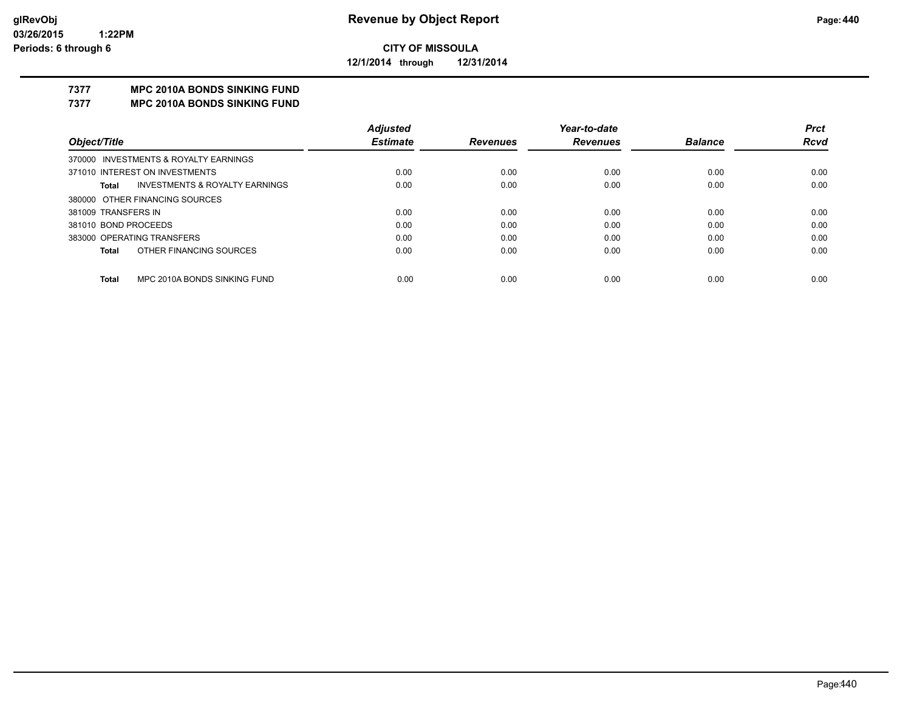**12/1/2014 through 12/31/2014**

### **7377 MPC 2010A BONDS SINKING FUND**

**7377 MPC 2010A BONDS SINKING FUND**

|                                                    | <b>Adjusted</b> |                 | Year-to-date    |                | <b>Prct</b> |
|----------------------------------------------------|-----------------|-----------------|-----------------|----------------|-------------|
| Object/Title                                       | <b>Estimate</b> | <b>Revenues</b> | <b>Revenues</b> | <b>Balance</b> | <b>Rcvd</b> |
| 370000 INVESTMENTS & ROYALTY EARNINGS              |                 |                 |                 |                |             |
| 371010 INTEREST ON INVESTMENTS                     | 0.00            | 0.00            | 0.00            | 0.00           | 0.00        |
| <b>INVESTMENTS &amp; ROYALTY EARNINGS</b><br>Total | 0.00            | 0.00            | 0.00            | 0.00           | 0.00        |
| 380000 OTHER FINANCING SOURCES                     |                 |                 |                 |                |             |
| 381009 TRANSFERS IN                                | 0.00            | 0.00            | 0.00            | 0.00           | 0.00        |
| 381010 BOND PROCEEDS                               | 0.00            | 0.00            | 0.00            | 0.00           | 0.00        |
| 383000 OPERATING TRANSFERS                         | 0.00            | 0.00            | 0.00            | 0.00           | 0.00        |
| OTHER FINANCING SOURCES<br><b>Total</b>            | 0.00            | 0.00            | 0.00            | 0.00           | 0.00        |
|                                                    |                 |                 |                 |                |             |
| MPC 2010A BONDS SINKING FUND<br>Total              | 0.00            | 0.00            | 0.00            | 0.00           | 0.00        |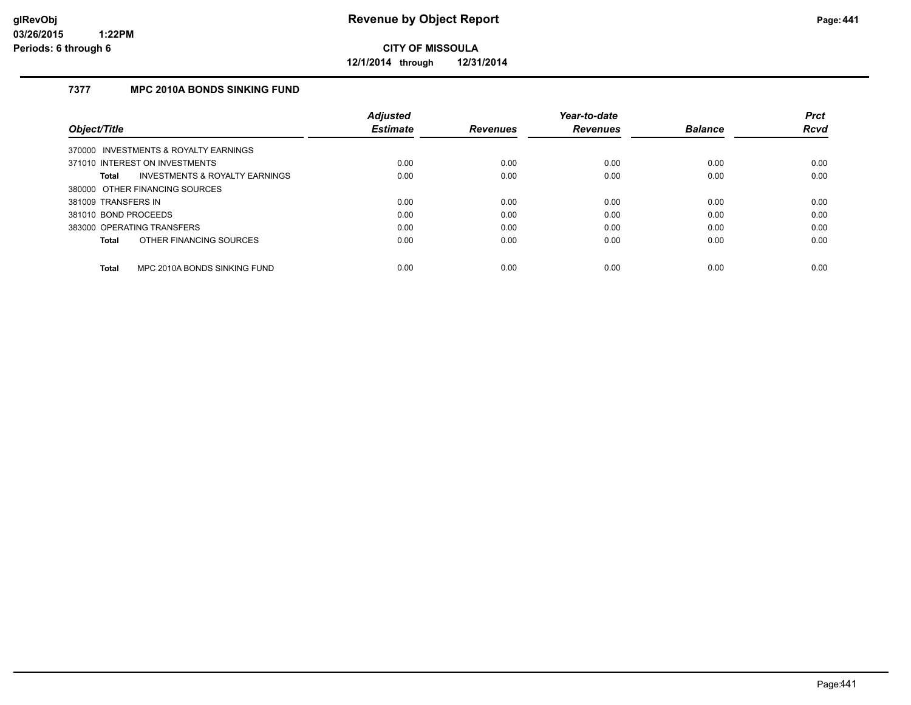**12/1/2014 through 12/31/2014**

#### **7377 MPC 2010A BONDS SINKING FUND**

|                                                | <b>Adjusted</b> |                 | Year-to-date    |                | <b>Prct</b> |
|------------------------------------------------|-----------------|-----------------|-----------------|----------------|-------------|
| Object/Title                                   | <b>Estimate</b> | <b>Revenues</b> | <b>Revenues</b> | <b>Balance</b> | <b>Rcvd</b> |
| 370000 INVESTMENTS & ROYALTY EARNINGS          |                 |                 |                 |                |             |
| 371010 INTEREST ON INVESTMENTS                 | 0.00            | 0.00            | 0.00            | 0.00           | 0.00        |
| INVESTMENTS & ROYALTY EARNINGS<br><b>Total</b> | 0.00            | 0.00            | 0.00            | 0.00           | 0.00        |
| 380000 OTHER FINANCING SOURCES                 |                 |                 |                 |                |             |
| 381009 TRANSFERS IN                            | 0.00            | 0.00            | 0.00            | 0.00           | 0.00        |
| 381010 BOND PROCEEDS                           | 0.00            | 0.00            | 0.00            | 0.00           | 0.00        |
| 383000 OPERATING TRANSFERS                     | 0.00            | 0.00            | 0.00            | 0.00           | 0.00        |
| OTHER FINANCING SOURCES<br>Total               | 0.00            | 0.00            | 0.00            | 0.00           | 0.00        |
| MPC 2010A BONDS SINKING FUND<br><b>Total</b>   | 0.00            | 0.00            | 0.00            | 0.00           | 0.00        |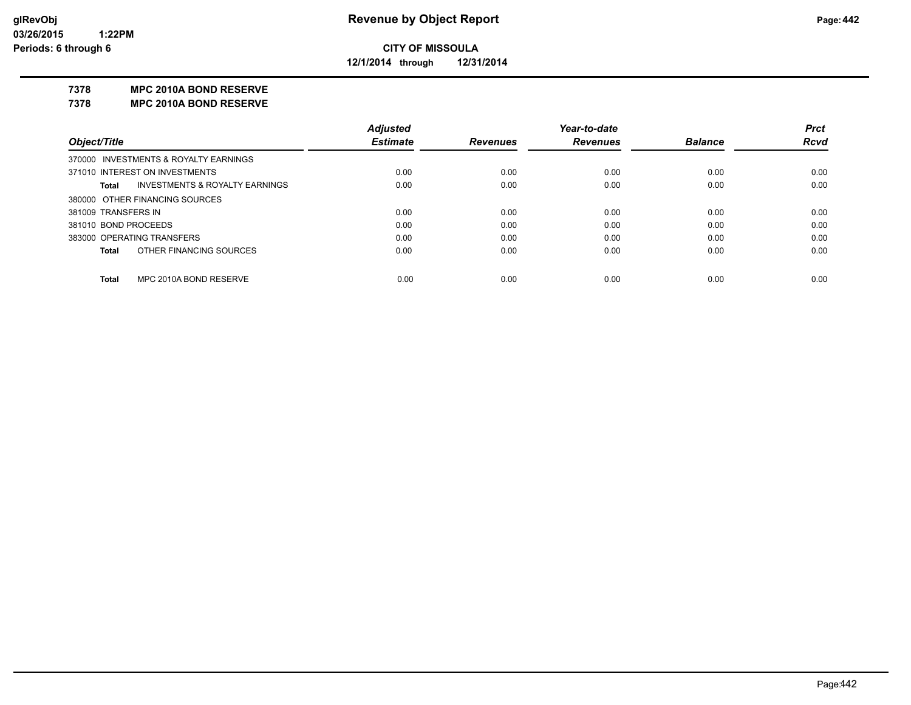**12/1/2014 through 12/31/2014**

#### **7378 MPC 2010A BOND RESERVE**

**7378 MPC 2010A BOND RESERVE**

|                      |                                       | <b>Adjusted</b> |                 | Year-to-date    |                | <b>Prct</b> |
|----------------------|---------------------------------------|-----------------|-----------------|-----------------|----------------|-------------|
| Object/Title         |                                       | <b>Estimate</b> | <b>Revenues</b> | <b>Revenues</b> | <b>Balance</b> | <b>Rcvd</b> |
|                      | 370000 INVESTMENTS & ROYALTY EARNINGS |                 |                 |                 |                |             |
|                      | 371010 INTEREST ON INVESTMENTS        | 0.00            | 0.00            | 0.00            | 0.00           | 0.00        |
| Total                | INVESTMENTS & ROYALTY EARNINGS        | 0.00            | 0.00            | 0.00            | 0.00           | 0.00        |
|                      | 380000 OTHER FINANCING SOURCES        |                 |                 |                 |                |             |
| 381009 TRANSFERS IN  |                                       | 0.00            | 0.00            | 0.00            | 0.00           | 0.00        |
| 381010 BOND PROCEEDS |                                       | 0.00            | 0.00            | 0.00            | 0.00           | 0.00        |
|                      | 383000 OPERATING TRANSFERS            | 0.00            | 0.00            | 0.00            | 0.00           | 0.00        |
| Total                | OTHER FINANCING SOURCES               | 0.00            | 0.00            | 0.00            | 0.00           | 0.00        |
|                      |                                       |                 |                 |                 |                |             |
| <b>Total</b>         | MPC 2010A BOND RESERVE                | 0.00            | 0.00            | 0.00            | 0.00           | 0.00        |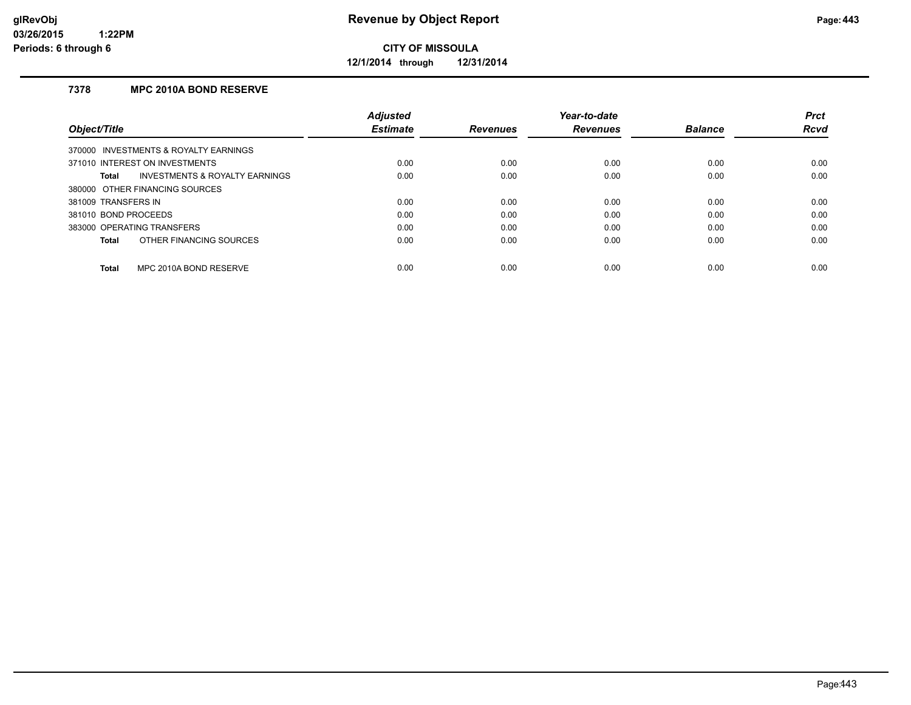**12/1/2014 through 12/31/2014**

#### **7378 MPC 2010A BOND RESERVE**

|                                                    | <b>Adiusted</b> |                 | Year-to-date    |                | <b>Prct</b> |
|----------------------------------------------------|-----------------|-----------------|-----------------|----------------|-------------|
| Object/Title                                       | <b>Estimate</b> | <b>Revenues</b> | <b>Revenues</b> | <b>Balance</b> | <b>Rcvd</b> |
| 370000 INVESTMENTS & ROYALTY EARNINGS              |                 |                 |                 |                |             |
| 371010 INTEREST ON INVESTMENTS                     | 0.00            | 0.00            | 0.00            | 0.00           | 0.00        |
| <b>INVESTMENTS &amp; ROYALTY EARNINGS</b><br>Total | 0.00            | 0.00            | 0.00            | 0.00           | 0.00        |
| 380000 OTHER FINANCING SOURCES                     |                 |                 |                 |                |             |
| 381009 TRANSFERS IN                                | 0.00            | 0.00            | 0.00            | 0.00           | 0.00        |
| 381010 BOND PROCEEDS                               | 0.00            | 0.00            | 0.00            | 0.00           | 0.00        |
| 383000 OPERATING TRANSFERS                         | 0.00            | 0.00            | 0.00            | 0.00           | 0.00        |
| OTHER FINANCING SOURCES<br><b>Total</b>            | 0.00            | 0.00            | 0.00            | 0.00           | 0.00        |
|                                                    |                 |                 |                 |                |             |
| MPC 2010A BOND RESERVE<br><b>Total</b>             | 0.00            | 0.00            | 0.00            | 0.00           | 0.00        |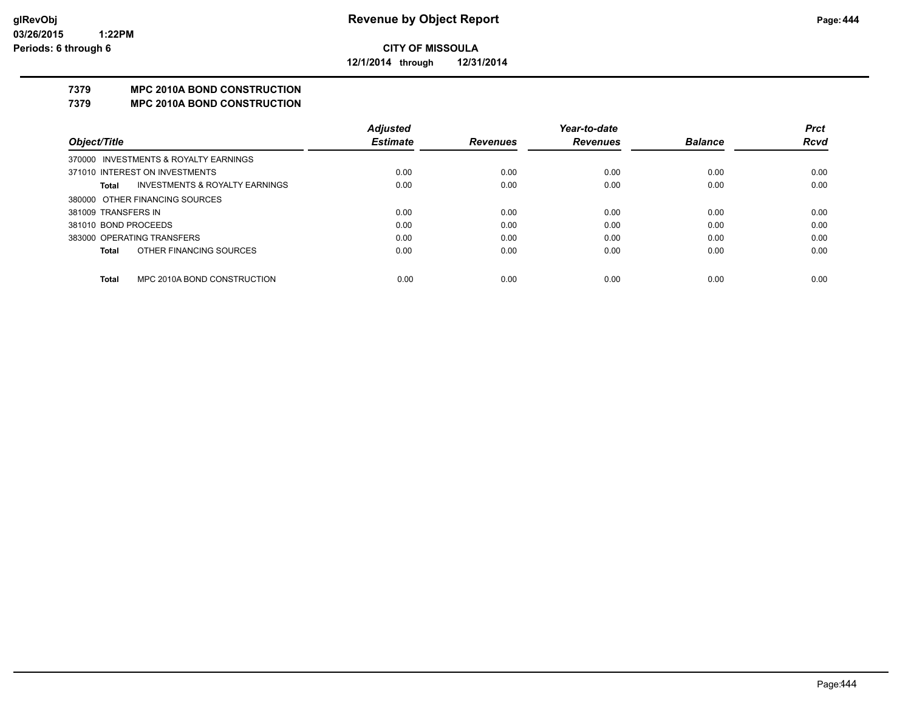**12/1/2014 through 12/31/2014**

### **7379 MPC 2010A BOND CONSTRUCTION**

#### **7379 MPC 2010A BOND CONSTRUCTION**

|                                                    | <b>Adjusted</b> |                 | Year-to-date    |                | <b>Prct</b> |
|----------------------------------------------------|-----------------|-----------------|-----------------|----------------|-------------|
| Object/Title                                       | <b>Estimate</b> | <b>Revenues</b> | <b>Revenues</b> | <b>Balance</b> | <b>Rcvd</b> |
| 370000 INVESTMENTS & ROYALTY EARNINGS              |                 |                 |                 |                |             |
| 371010 INTEREST ON INVESTMENTS                     | 0.00            | 0.00            | 0.00            | 0.00           | 0.00        |
| <b>INVESTMENTS &amp; ROYALTY EARNINGS</b><br>Total | 0.00            | 0.00            | 0.00            | 0.00           | 0.00        |
| 380000 OTHER FINANCING SOURCES                     |                 |                 |                 |                |             |
| 381009 TRANSFERS IN                                | 0.00            | 0.00            | 0.00            | 0.00           | 0.00        |
| 381010 BOND PROCEEDS                               | 0.00            | 0.00            | 0.00            | 0.00           | 0.00        |
| 383000 OPERATING TRANSFERS                         | 0.00            | 0.00            | 0.00            | 0.00           | 0.00        |
| OTHER FINANCING SOURCES<br>Total                   | 0.00            | 0.00            | 0.00            | 0.00           | 0.00        |
|                                                    |                 |                 |                 |                |             |
| MPC 2010A BOND CONSTRUCTION<br>Total               | 0.00            | 0.00            | 0.00            | 0.00           | 0.00        |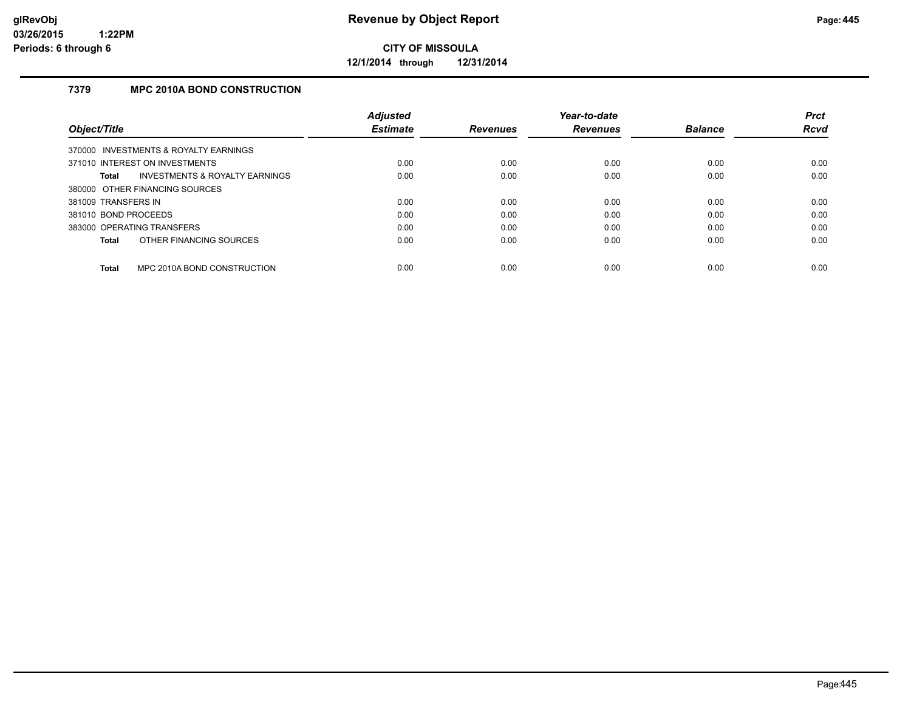**12/1/2014 through 12/31/2014**

#### **7379 MPC 2010A BOND CONSTRUCTION**

|                                                | <b>Adjusted</b> |                 | Year-to-date    |                | <b>Prct</b> |
|------------------------------------------------|-----------------|-----------------|-----------------|----------------|-------------|
| Object/Title                                   | <b>Estimate</b> | <b>Revenues</b> | <b>Revenues</b> | <b>Balance</b> | Rcvd        |
| 370000 INVESTMENTS & ROYALTY EARNINGS          |                 |                 |                 |                |             |
| 371010 INTEREST ON INVESTMENTS                 | 0.00            | 0.00            | 0.00            | 0.00           | 0.00        |
| INVESTMENTS & ROYALTY EARNINGS<br><b>Total</b> | 0.00            | 0.00            | 0.00            | 0.00           | 0.00        |
| 380000 OTHER FINANCING SOURCES                 |                 |                 |                 |                |             |
| 381009 TRANSFERS IN                            | 0.00            | 0.00            | 0.00            | 0.00           | 0.00        |
| 381010 BOND PROCEEDS                           | 0.00            | 0.00            | 0.00            | 0.00           | 0.00        |
| 383000 OPERATING TRANSFERS                     | 0.00            | 0.00            | 0.00            | 0.00           | 0.00        |
| OTHER FINANCING SOURCES<br><b>Total</b>        | 0.00            | 0.00            | 0.00            | 0.00           | 0.00        |
| MPC 2010A BOND CONSTRUCTION<br><b>Total</b>    | 0.00            | 0.00            | 0.00            | 0.00           | 0.00        |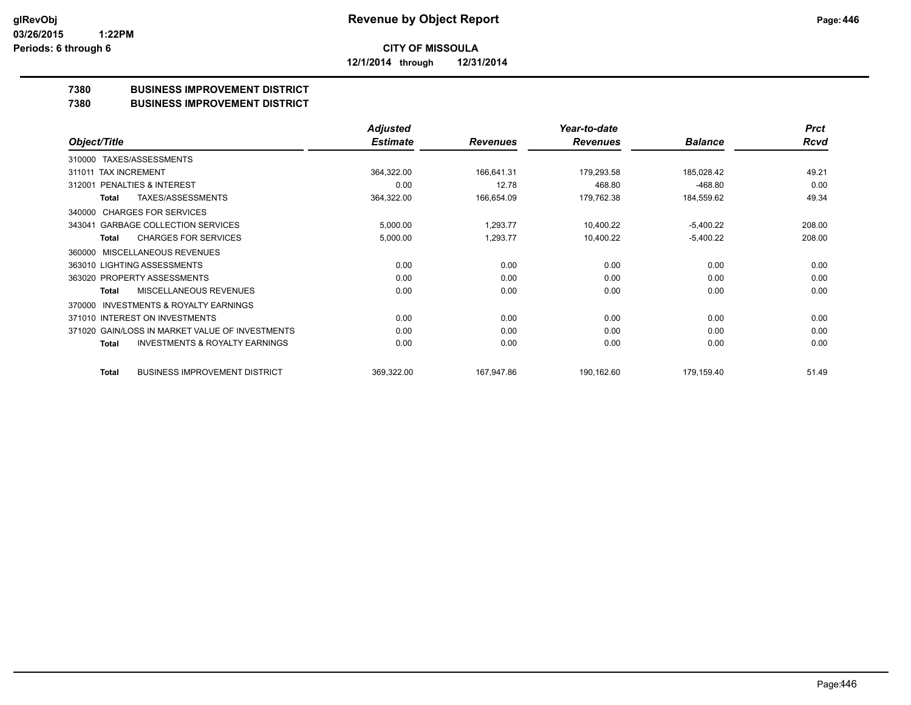**12/1/2014 through 12/31/2014**

#### **7380 BUSINESS IMPROVEMENT DISTRICT**

#### **7380 BUSINESS IMPROVEMENT DISTRICT**

|                                                     | <b>Adjusted</b> |                 | Year-to-date    |                | <b>Prct</b> |
|-----------------------------------------------------|-----------------|-----------------|-----------------|----------------|-------------|
| Object/Title                                        | <b>Estimate</b> | <b>Revenues</b> | <b>Revenues</b> | <b>Balance</b> | Rcvd        |
| TAXES/ASSESSMENTS<br>310000                         |                 |                 |                 |                |             |
| <b>TAX INCREMENT</b><br>311011                      | 364,322.00      | 166,641.31      | 179,293.58      | 185,028.42     | 49.21       |
| <b>PENALTIES &amp; INTEREST</b><br>312001           | 0.00            | 12.78           | 468.80          | $-468.80$      | 0.00        |
| TAXES/ASSESSMENTS<br>Total                          | 364,322.00      | 166,654.09      | 179,762.38      | 184,559.62     | 49.34       |
| <b>CHARGES FOR SERVICES</b><br>340000               |                 |                 |                 |                |             |
| <b>GARBAGE COLLECTION SERVICES</b><br>343041        | 5,000.00        | 1,293.77        | 10,400.22       | $-5,400.22$    | 208.00      |
| <b>CHARGES FOR SERVICES</b><br>Total                | 5,000.00        | 1,293.77        | 10,400.22       | $-5,400.22$    | 208.00      |
| <b>MISCELLANEOUS REVENUES</b><br>360000             |                 |                 |                 |                |             |
| 363010 LIGHTING ASSESSMENTS                         | 0.00            | 0.00            | 0.00            | 0.00           | 0.00        |
| 363020 PROPERTY ASSESSMENTS                         | 0.00            | 0.00            | 0.00            | 0.00           | 0.00        |
| <b>MISCELLANEOUS REVENUES</b><br>Total              | 0.00            | 0.00            | 0.00            | 0.00           | 0.00        |
| <b>INVESTMENTS &amp; ROYALTY EARNINGS</b><br>370000 |                 |                 |                 |                |             |
| 371010 INTEREST ON INVESTMENTS                      | 0.00            | 0.00            | 0.00            | 0.00           | 0.00        |
| 371020 GAIN/LOSS IN MARKET VALUE OF INVESTMENTS     | 0.00            | 0.00            | 0.00            | 0.00           | 0.00        |
| <b>INVESTMENTS &amp; ROYALTY EARNINGS</b><br>Total  | 0.00            | 0.00            | 0.00            | 0.00           | 0.00        |
| <b>BUSINESS IMPROVEMENT DISTRICT</b><br>Total       | 369,322.00      | 167,947.86      | 190,162.60      | 179,159.40     | 51.49       |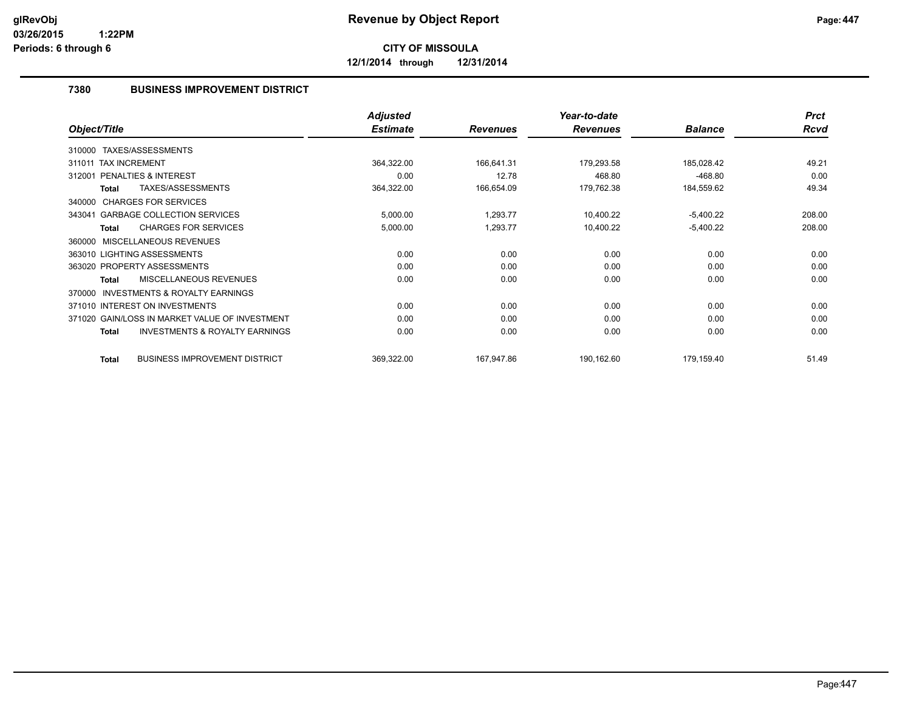**12/1/2014 through 12/31/2014**

#### **7380 BUSINESS IMPROVEMENT DISTRICT**

|                                                           | <b>Adjusted</b> |                 | Year-to-date    |                | <b>Prct</b> |
|-----------------------------------------------------------|-----------------|-----------------|-----------------|----------------|-------------|
| Object/Title                                              | <b>Estimate</b> | <b>Revenues</b> | <b>Revenues</b> | <b>Balance</b> | <b>Rcvd</b> |
| TAXES/ASSESSMENTS<br>310000                               |                 |                 |                 |                |             |
| <b>TAX INCREMENT</b><br>311011                            | 364,322.00      | 166,641.31      | 179,293.58      | 185,028.42     | 49.21       |
| <b>PENALTIES &amp; INTEREST</b><br>312001                 | 0.00            | 12.78           | 468.80          | $-468.80$      | 0.00        |
| TAXES/ASSESSMENTS<br>Total                                | 364,322.00      | 166,654.09      | 179,762.38      | 184,559.62     | 49.34       |
| 340000 CHARGES FOR SERVICES                               |                 |                 |                 |                |             |
| <b>GARBAGE COLLECTION SERVICES</b><br>343041              | 5,000.00        | 1,293.77        | 10,400.22       | $-5,400.22$    | 208.00      |
| <b>CHARGES FOR SERVICES</b><br><b>Total</b>               | 5,000.00        | 1,293.77        | 10,400.22       | $-5,400.22$    | 208.00      |
| MISCELLANEOUS REVENUES<br>360000                          |                 |                 |                 |                |             |
| 363010 LIGHTING ASSESSMENTS                               | 0.00            | 0.00            | 0.00            | 0.00           | 0.00        |
| 363020 PROPERTY ASSESSMENTS                               | 0.00            | 0.00            | 0.00            | 0.00           | 0.00        |
| MISCELLANEOUS REVENUES<br><b>Total</b>                    | 0.00            | 0.00            | 0.00            | 0.00           | 0.00        |
| INVESTMENTS & ROYALTY EARNINGS<br>370000                  |                 |                 |                 |                |             |
| 371010 INTEREST ON INVESTMENTS                            | 0.00            | 0.00            | 0.00            | 0.00           | 0.00        |
| 371020 GAIN/LOSS IN MARKET VALUE OF INVESTMENT            | 0.00            | 0.00            | 0.00            | 0.00           | 0.00        |
| <b>INVESTMENTS &amp; ROYALTY EARNINGS</b><br><b>Total</b> | 0.00            | 0.00            | 0.00            | 0.00           | 0.00        |
| <b>BUSINESS IMPROVEMENT DISTRICT</b><br><b>Total</b>      | 369,322.00      | 167,947.86      | 190,162.60      | 179,159.40     | 51.49       |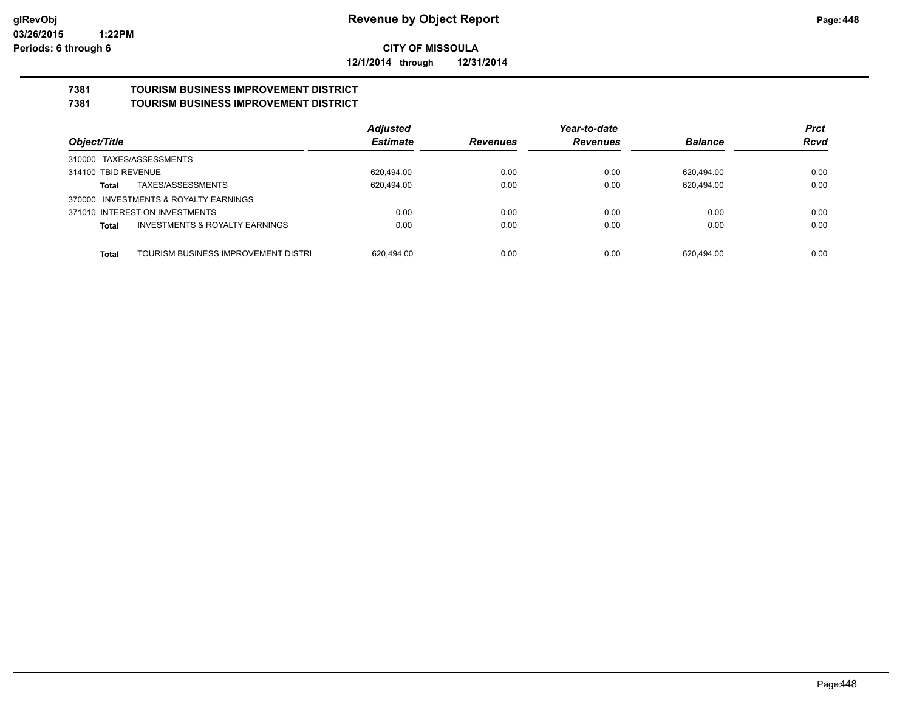**12/1/2014 through 12/31/2014**

#### **7381 TOURISM BUSINESS IMPROVEMENT DISTRICT 7381 TOURISM BUSINESS IMPROVEMENT DISTRICT**

|                                |                                           | <b>Adjusted</b> |                 | Year-to-date | <b>Balance</b> | <b>Prct</b><br><b>Rcvd</b> |
|--------------------------------|-------------------------------------------|-----------------|-----------------|--------------|----------------|----------------------------|
| Object/Title                   | <b>Estimate</b>                           | <b>Revenues</b> | <b>Revenues</b> |              |                |                            |
| 310000 TAXES/ASSESSMENTS       |                                           |                 |                 |              |                |                            |
| 314100 TBID REVENUE            |                                           | 620.494.00      | 0.00            | 0.00         | 620,494.00     | 0.00                       |
| Total                          | TAXES/ASSESSMENTS                         | 620,494.00      | 0.00            | 0.00         | 620,494.00     | 0.00                       |
|                                | 370000 INVESTMENTS & ROYALTY EARNINGS     |                 |                 |              |                |                            |
| 371010 INTEREST ON INVESTMENTS |                                           | 0.00            | 0.00            | 0.00         | 0.00           | 0.00                       |
| <b>Total</b>                   | <b>INVESTMENTS &amp; ROYALTY EARNINGS</b> | 0.00            | 0.00            | 0.00         | 0.00           | 0.00                       |
| <b>Total</b>                   | TOURISM BUSINESS IMPROVEMENT DISTRI       | 620.494.00      | 0.00            | 0.00         | 620.494.00     | 0.00                       |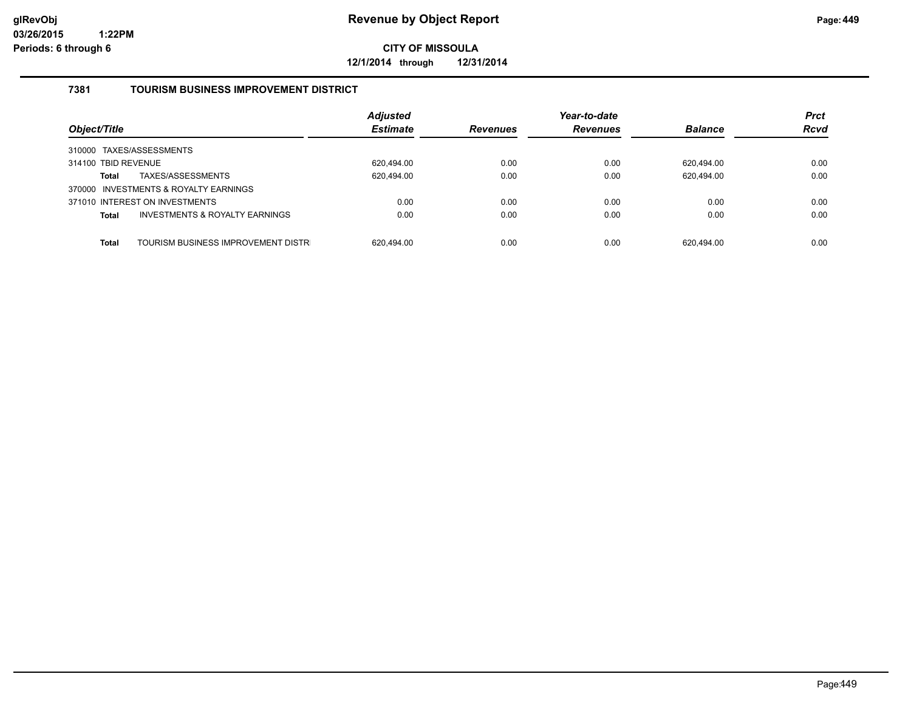**12/1/2014 through 12/31/2014**

#### **7381 TOURISM BUSINESS IMPROVEMENT DISTRICT**

| Object/Title                                              | <b>Adjusted</b><br><b>Estimate</b> | <b>Revenues</b> | Year-to-date<br><b>Revenues</b> | <b>Balance</b> | <b>Prct</b><br><b>Rcvd</b> |
|-----------------------------------------------------------|------------------------------------|-----------------|---------------------------------|----------------|----------------------------|
| 310000 TAXES/ASSESSMENTS                                  |                                    |                 |                                 |                |                            |
| 314100 TBID REVENUE                                       | 620,494.00                         | 0.00            | 0.00                            | 620.494.00     | 0.00                       |
| TAXES/ASSESSMENTS<br><b>Total</b>                         | 620,494.00                         | 0.00            | 0.00                            | 620,494.00     | 0.00                       |
| 370000 INVESTMENTS & ROYALTY EARNINGS                     |                                    |                 |                                 |                |                            |
| 371010 INTEREST ON INVESTMENTS                            | 0.00                               | 0.00            | 0.00                            | 0.00           | 0.00                       |
| <b>INVESTMENTS &amp; ROYALTY EARNINGS</b><br><b>Total</b> | 0.00                               | 0.00            | 0.00                            | 0.00           | 0.00                       |
|                                                           |                                    |                 |                                 |                |                            |
| TOURISM BUSINESS IMPROVEMENT DISTR<br>Total               | 620.494.00                         | 0.00            | 0.00                            | 620.494.00     | 0.00                       |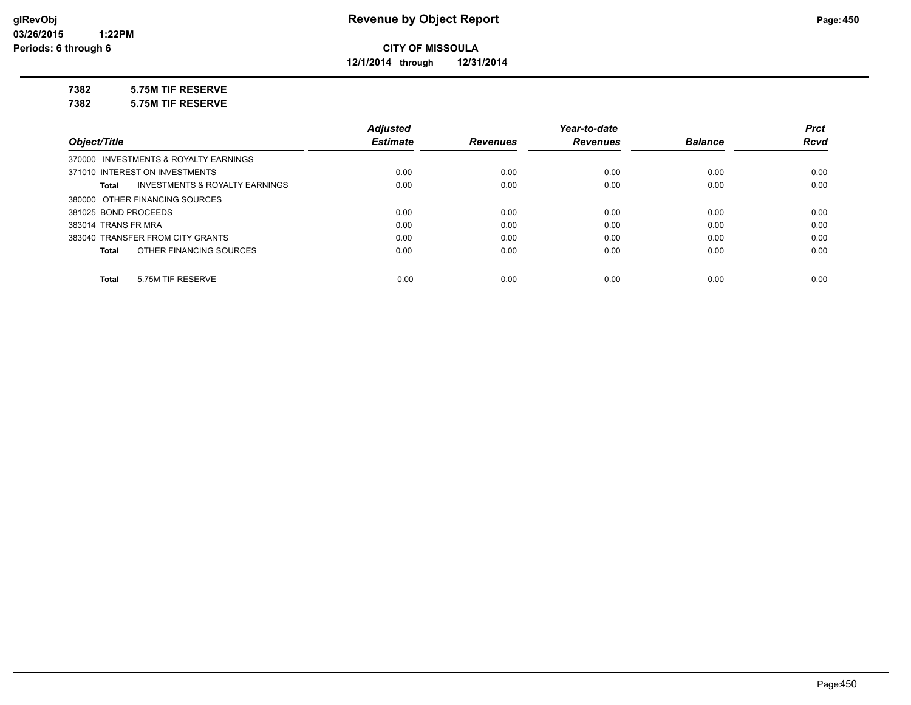**12/1/2014 through 12/31/2014**

#### **7382 5.75M TIF RESERVE**

**7382 5.75M TIF RESERVE**

|                                         | <b>Adjusted</b> |                 | Year-to-date    |                | <b>Prct</b> |
|-----------------------------------------|-----------------|-----------------|-----------------|----------------|-------------|
| Object/Title                            | <b>Estimate</b> | <b>Revenues</b> | <b>Revenues</b> | <b>Balance</b> | <b>Rcvd</b> |
| 370000 INVESTMENTS & ROYALTY EARNINGS   |                 |                 |                 |                |             |
| 371010 INTEREST ON INVESTMENTS          | 0.00            | 0.00            | 0.00            | 0.00           | 0.00        |
| INVESTMENTS & ROYALTY EARNINGS<br>Total | 0.00            | 0.00            | 0.00            | 0.00           | 0.00        |
| 380000 OTHER FINANCING SOURCES          |                 |                 |                 |                |             |
| 381025 BOND PROCEEDS                    | 0.00            | 0.00            | 0.00            | 0.00           | 0.00        |
| 383014 TRANS FR MRA                     | 0.00            | 0.00            | 0.00            | 0.00           | 0.00        |
| 383040 TRANSFER FROM CITY GRANTS        | 0.00            | 0.00            | 0.00            | 0.00           | 0.00        |
| OTHER FINANCING SOURCES<br>Total        | 0.00            | 0.00            | 0.00            | 0.00           | 0.00        |
|                                         |                 |                 |                 |                |             |
| 5.75M TIF RESERVE<br><b>Total</b>       | 0.00            | 0.00            | 0.00            | 0.00           | 0.00        |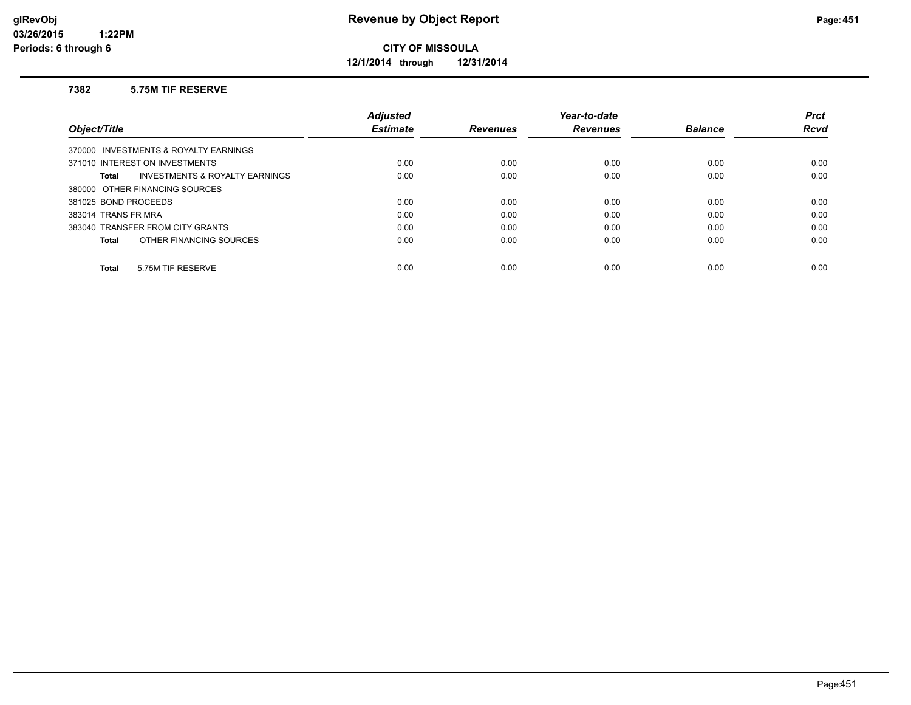**12/1/2014 through 12/31/2014**

#### **7382 5.75M TIF RESERVE**

|                                                    | <b>Adjusted</b> |                 | Year-to-date    |                | <b>Prct</b> |
|----------------------------------------------------|-----------------|-----------------|-----------------|----------------|-------------|
| Object/Title                                       | <b>Estimate</b> | <b>Revenues</b> | <b>Revenues</b> | <b>Balance</b> | <b>Rcvd</b> |
| 370000 INVESTMENTS & ROYALTY EARNINGS              |                 |                 |                 |                |             |
| 371010 INTEREST ON INVESTMENTS                     | 0.00            | 0.00            | 0.00            | 0.00           | 0.00        |
| <b>INVESTMENTS &amp; ROYALTY EARNINGS</b><br>Total | 0.00            | 0.00            | 0.00            | 0.00           | 0.00        |
| 380000 OTHER FINANCING SOURCES                     |                 |                 |                 |                |             |
| 381025 BOND PROCEEDS                               | 0.00            | 0.00            | 0.00            | 0.00           | 0.00        |
| 383014 TRANS FR MRA                                | 0.00            | 0.00            | 0.00            | 0.00           | 0.00        |
| 383040 TRANSFER FROM CITY GRANTS                   | 0.00            | 0.00            | 0.00            | 0.00           | 0.00        |
| OTHER FINANCING SOURCES<br>Total                   | 0.00            | 0.00            | 0.00            | 0.00           | 0.00        |
|                                                    |                 |                 |                 |                |             |
| 5.75M TIF RESERVE<br><b>Total</b>                  | 0.00            | 0.00            | 0.00            | 0.00           | 0.00        |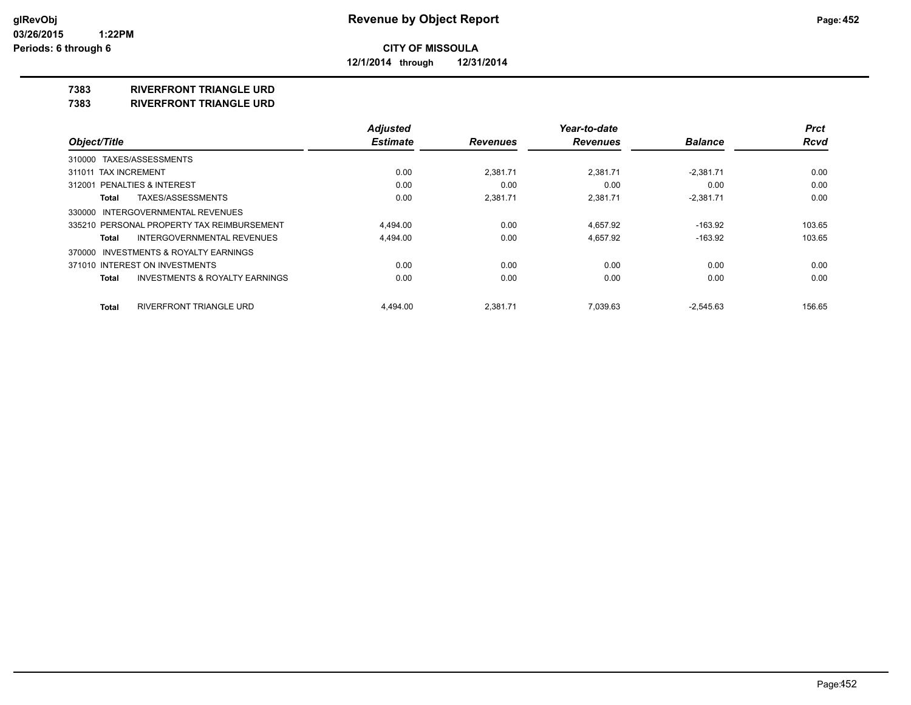**12/1/2014 through 12/31/2014**

#### **7383 RIVERFRONT TRIANGLE URD**

#### **7383 RIVERFRONT TRIANGLE URD**

|                                                    | <b>Adjusted</b> |                 | Year-to-date    |                | <b>Prct</b> |
|----------------------------------------------------|-----------------|-----------------|-----------------|----------------|-------------|
| Object/Title                                       | <b>Estimate</b> | <b>Revenues</b> | <b>Revenues</b> | <b>Balance</b> | <b>Rcvd</b> |
| TAXES/ASSESSMENTS<br>310000                        |                 |                 |                 |                |             |
| 311011 TAX INCREMENT                               | 0.00            | 2,381.71        | 2,381.71        | $-2,381.71$    | 0.00        |
| 312001 PENALTIES & INTEREST                        | 0.00            | 0.00            | 0.00            | 0.00           | 0.00        |
| TAXES/ASSESSMENTS<br>Total                         | 0.00            | 2.381.71        | 2.381.71        | $-2,381.71$    | 0.00        |
| 330000 INTERGOVERNMENTAL REVENUES                  |                 |                 |                 |                |             |
| 335210 PERSONAL PROPERTY TAX REIMBURSEMENT         | 4,494.00        | 0.00            | 4.657.92        | $-163.92$      | 103.65      |
| INTERGOVERNMENTAL REVENUES<br>Total                | 4,494.00        | 0.00            | 4,657.92        | $-163.92$      | 103.65      |
| INVESTMENTS & ROYALTY EARNINGS<br>370000           |                 |                 |                 |                |             |
| 371010 INTEREST ON INVESTMENTS                     | 0.00            | 0.00            | 0.00            | 0.00           | 0.00        |
| <b>INVESTMENTS &amp; ROYALTY EARNINGS</b><br>Total | 0.00            | 0.00            | 0.00            | 0.00           | 0.00        |
| RIVERFRONT TRIANGLE URD<br><b>Total</b>            | 4.494.00        | 2.381.71        | 7.039.63        | $-2.545.63$    | 156.65      |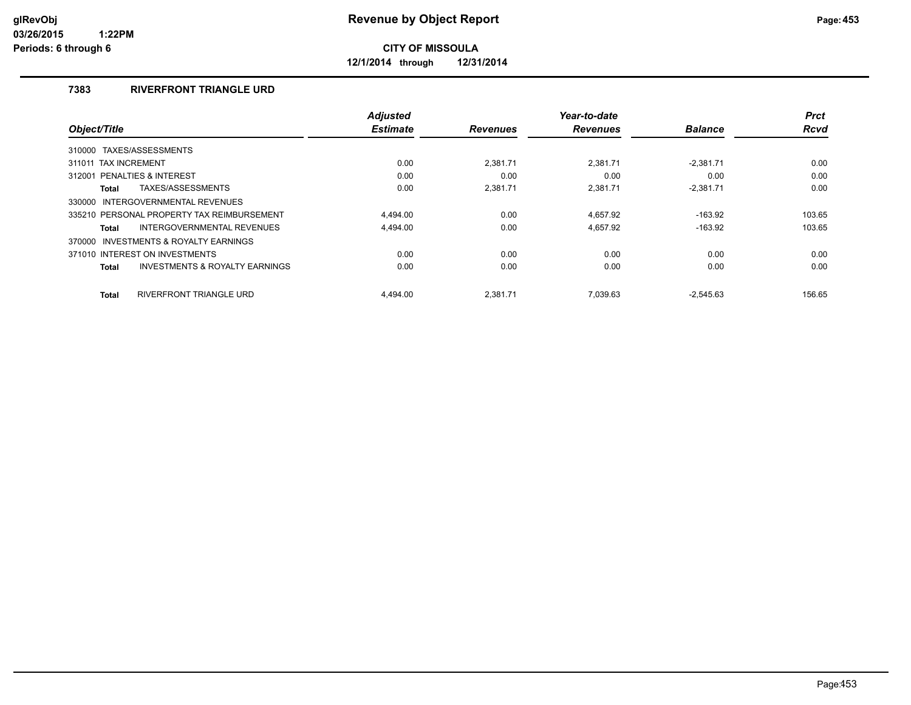**12/1/2014 through 12/31/2014**

#### **7383 RIVERFRONT TRIANGLE URD**

|                                                           | <b>Adjusted</b> |                 | Year-to-date    |                | <b>Prct</b> |
|-----------------------------------------------------------|-----------------|-----------------|-----------------|----------------|-------------|
| Object/Title                                              | <b>Estimate</b> | <b>Revenues</b> | <b>Revenues</b> | <b>Balance</b> | <b>Rcvd</b> |
| 310000 TAXES/ASSESSMENTS                                  |                 |                 |                 |                |             |
| 311011 TAX INCREMENT                                      | 0.00            | 2.381.71        | 2.381.71        | $-2,381.71$    | 0.00        |
| 312001 PENALTIES & INTEREST                               | 0.00            | 0.00            | 0.00            | 0.00           | 0.00        |
| TAXES/ASSESSMENTS<br><b>Total</b>                         | 0.00            | 2,381.71        | 2,381.71        | $-2,381.71$    | 0.00        |
| INTERGOVERNMENTAL REVENUES<br>330000                      |                 |                 |                 |                |             |
| 335210 PERSONAL PROPERTY TAX REIMBURSEMENT                | 4,494.00        | 0.00            | 4,657.92        | $-163.92$      | 103.65      |
| <b>INTERGOVERNMENTAL REVENUES</b><br><b>Total</b>         | 4.494.00        | 0.00            | 4.657.92        | $-163.92$      | 103.65      |
| INVESTMENTS & ROYALTY EARNINGS<br>370000                  |                 |                 |                 |                |             |
| 371010 INTEREST ON INVESTMENTS                            | 0.00            | 0.00            | 0.00            | 0.00           | 0.00        |
| <b>INVESTMENTS &amp; ROYALTY EARNINGS</b><br><b>Total</b> | 0.00            | 0.00            | 0.00            | 0.00           | 0.00        |
| RIVERFRONT TRIANGLE URD<br><b>Total</b>                   | 4.494.00        | 2.381.71        | 7.039.63        | $-2.545.63$    | 156.65      |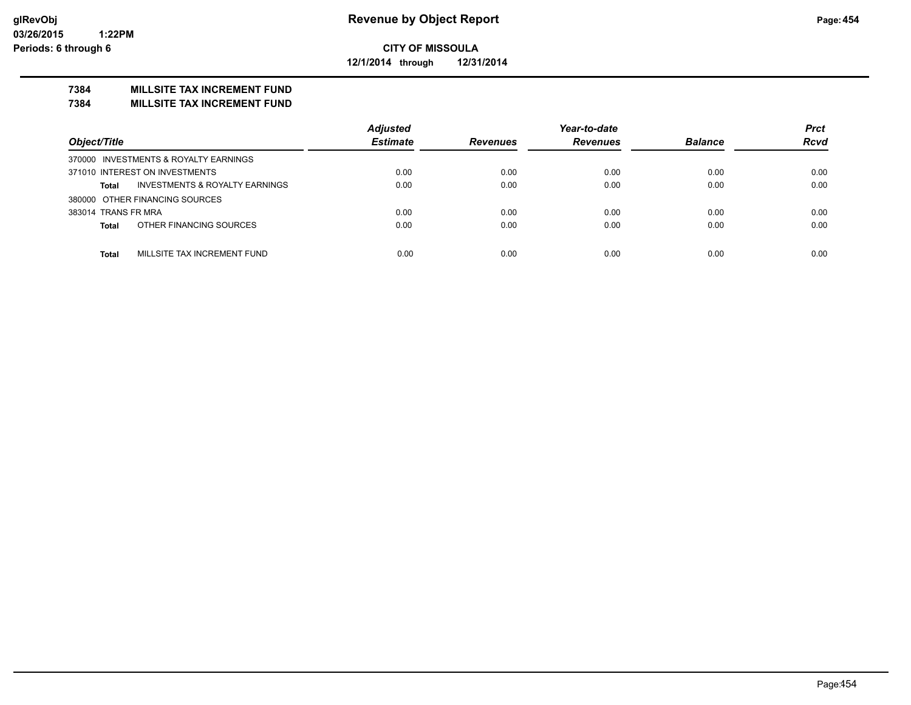**12/1/2014 through 12/31/2014**

#### **7384 MILLSITE TAX INCREMENT FUND**

**7384 MILLSITE TAX INCREMENT FUND**

|                                                | <b>Adjusted</b> |                 | Year-to-date    |                | <b>Prct</b> |
|------------------------------------------------|-----------------|-----------------|-----------------|----------------|-------------|
| Object/Title                                   | <b>Estimate</b> | <b>Revenues</b> | <b>Revenues</b> | <b>Balance</b> | <b>Rcvd</b> |
| 370000 INVESTMENTS & ROYALTY EARNINGS          |                 |                 |                 |                |             |
| 371010 INTEREST ON INVESTMENTS                 | 0.00            | 0.00            | 0.00            | 0.00           | 0.00        |
| INVESTMENTS & ROYALTY EARNINGS<br><b>Total</b> | 0.00            | 0.00            | 0.00            | 0.00           | 0.00        |
| 380000 OTHER FINANCING SOURCES                 |                 |                 |                 |                |             |
| 383014 TRANS FR MRA                            | 0.00            | 0.00            | 0.00            | 0.00           | 0.00        |
| OTHER FINANCING SOURCES<br><b>Total</b>        | 0.00            | 0.00            | 0.00            | 0.00           | 0.00        |
|                                                |                 |                 |                 |                |             |
| MILLSITE TAX INCREMENT FUND<br>Total           | 0.00            | 0.00            | 0.00            | 0.00           | 0.00        |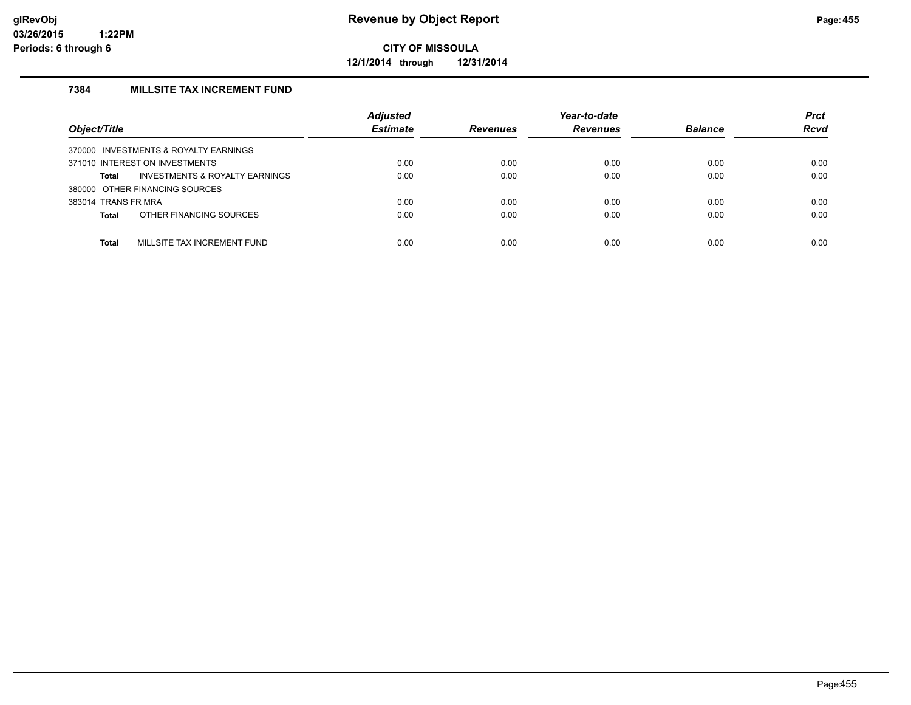**12/1/2014 through 12/31/2014**

#### **7384 MILLSITE TAX INCREMENT FUND**

|                                             | <b>Adjusted</b><br><b>Estimate</b> |                 | Year-to-date    | <b>Balance</b> | <b>Prct</b><br><b>Rcvd</b> |
|---------------------------------------------|------------------------------------|-----------------|-----------------|----------------|----------------------------|
| Object/Title                                |                                    | <b>Revenues</b> | <b>Revenues</b> |                |                            |
| 370000 INVESTMENTS & ROYALTY EARNINGS       |                                    |                 |                 |                |                            |
| 371010 INTEREST ON INVESTMENTS              | 0.00                               | 0.00            | 0.00            | 0.00           | 0.00                       |
| INVESTMENTS & ROYALTY EARNINGS<br>Total     | 0.00                               | 0.00            | 0.00            | 0.00           | 0.00                       |
| 380000 OTHER FINANCING SOURCES              |                                    |                 |                 |                |                            |
| 383014 TRANS FR MRA                         | 0.00                               | 0.00            | 0.00            | 0.00           | 0.00                       |
| OTHER FINANCING SOURCES<br><b>Total</b>     | 0.00                               | 0.00            | 0.00            | 0.00           | 0.00                       |
|                                             |                                    |                 |                 |                |                            |
| MILLSITE TAX INCREMENT FUND<br><b>Total</b> | 0.00                               | 0.00            | 0.00            | 0.00           | 0.00                       |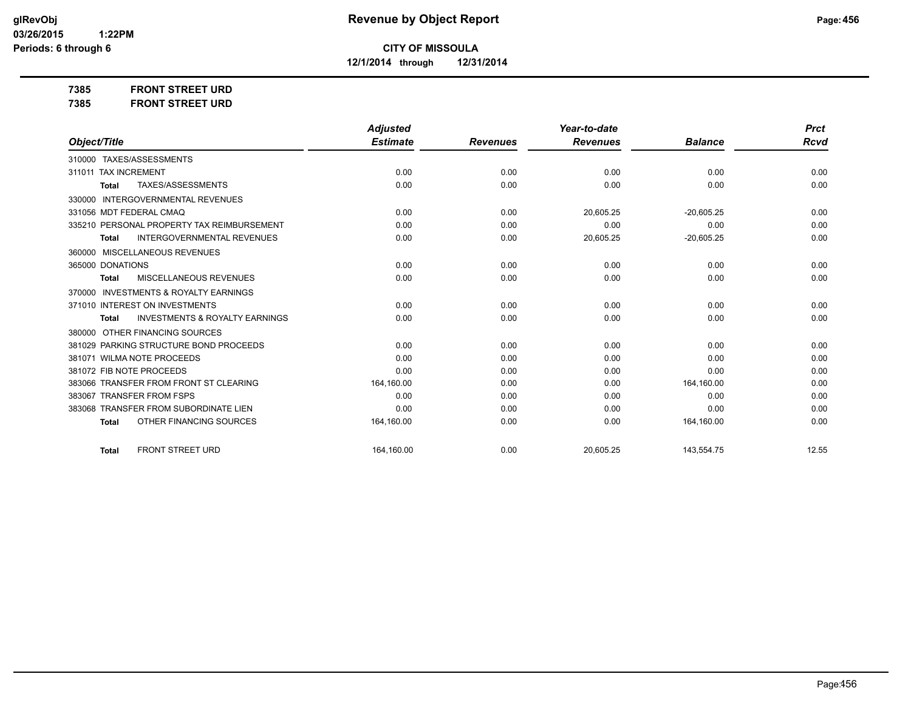**12/1/2014 through 12/31/2014**

**7385 FRONT STREET URD**

|                                                           | <b>Adjusted</b> |                 | Year-to-date    |                | <b>Prct</b> |
|-----------------------------------------------------------|-----------------|-----------------|-----------------|----------------|-------------|
| Object/Title                                              | <b>Estimate</b> | <b>Revenues</b> | <b>Revenues</b> | <b>Balance</b> | <b>Rcvd</b> |
| 310000 TAXES/ASSESSMENTS                                  |                 |                 |                 |                |             |
| 311011 TAX INCREMENT                                      | 0.00            | 0.00            | 0.00            | 0.00           | 0.00        |
| TAXES/ASSESSMENTS<br><b>Total</b>                         | 0.00            | 0.00            | 0.00            | 0.00           | 0.00        |
| 330000 INTERGOVERNMENTAL REVENUES                         |                 |                 |                 |                |             |
| 331056 MDT FEDERAL CMAQ                                   | 0.00            | 0.00            | 20,605.25       | $-20,605.25$   | 0.00        |
| 335210 PERSONAL PROPERTY TAX REIMBURSEMENT                | 0.00            | 0.00            | 0.00            | 0.00           | 0.00        |
| <b>INTERGOVERNMENTAL REVENUES</b><br><b>Total</b>         | 0.00            | 0.00            | 20,605.25       | $-20,605.25$   | 0.00        |
| 360000 MISCELLANEOUS REVENUES                             |                 |                 |                 |                |             |
| 365000 DONATIONS                                          | 0.00            | 0.00            | 0.00            | 0.00           | 0.00        |
| MISCELLANEOUS REVENUES<br><b>Total</b>                    | 0.00            | 0.00            | 0.00            | 0.00           | 0.00        |
| <b>INVESTMENTS &amp; ROYALTY EARNINGS</b><br>370000       |                 |                 |                 |                |             |
| 371010 INTEREST ON INVESTMENTS                            | 0.00            | 0.00            | 0.00            | 0.00           | 0.00        |
| <b>INVESTMENTS &amp; ROYALTY EARNINGS</b><br><b>Total</b> | 0.00            | 0.00            | 0.00            | 0.00           | 0.00        |
| OTHER FINANCING SOURCES<br>380000                         |                 |                 |                 |                |             |
| 381029 PARKING STRUCTURE BOND PROCEEDS                    | 0.00            | 0.00            | 0.00            | 0.00           | 0.00        |
| 381071 WILMA NOTE PROCEEDS                                | 0.00            | 0.00            | 0.00            | 0.00           | 0.00        |
| 381072 FIB NOTE PROCEEDS                                  | 0.00            | 0.00            | 0.00            | 0.00           | 0.00        |
| 383066 TRANSFER FROM FRONT ST CLEARING                    | 164,160.00      | 0.00            | 0.00            | 164,160.00     | 0.00        |
| 383067 TRANSFER FROM FSPS                                 | 0.00            | 0.00            | 0.00            | 0.00           | 0.00        |
| 383068 TRANSFER FROM SUBORDINATE LIEN                     | 0.00            | 0.00            | 0.00            | 0.00           | 0.00        |
| OTHER FINANCING SOURCES<br><b>Total</b>                   | 164,160.00      | 0.00            | 0.00            | 164,160.00     | 0.00        |
| <b>FRONT STREET URD</b><br><b>Total</b>                   | 164,160.00      | 0.00            | 20,605.25       | 143,554.75     | 12.55       |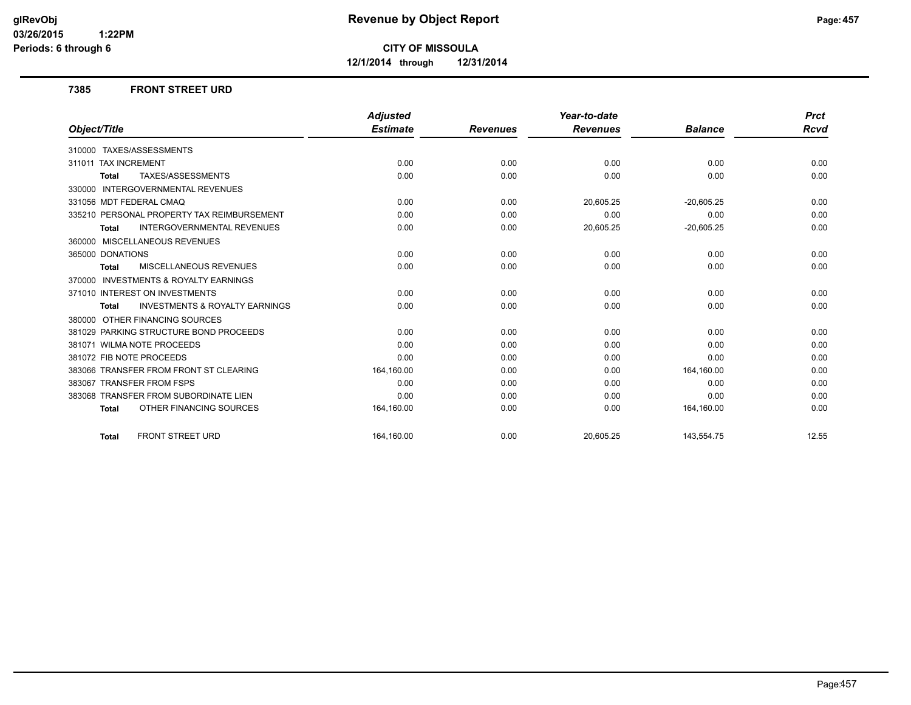**12/1/2014 through 12/31/2014**

#### **7385 FRONT STREET URD**

|                                                           | <b>Adjusted</b> |                 | Year-to-date    |                | <b>Prct</b> |
|-----------------------------------------------------------|-----------------|-----------------|-----------------|----------------|-------------|
| Object/Title                                              | <b>Estimate</b> | <b>Revenues</b> | <b>Revenues</b> | <b>Balance</b> | Rcvd        |
| 310000 TAXES/ASSESSMENTS                                  |                 |                 |                 |                |             |
| 311011 TAX INCREMENT                                      | 0.00            | 0.00            | 0.00            | 0.00           | 0.00        |
| TAXES/ASSESSMENTS<br><b>Total</b>                         | 0.00            | 0.00            | 0.00            | 0.00           | 0.00        |
| <b>INTERGOVERNMENTAL REVENUES</b><br>330000               |                 |                 |                 |                |             |
| 331056 MDT FEDERAL CMAQ                                   | 0.00            | 0.00            | 20,605.25       | $-20,605.25$   | 0.00        |
| 335210 PERSONAL PROPERTY TAX REIMBURSEMENT                | 0.00            | 0.00            | 0.00            | 0.00           | 0.00        |
| <b>INTERGOVERNMENTAL REVENUES</b><br><b>Total</b>         | 0.00            | 0.00            | 20,605.25       | $-20,605.25$   | 0.00        |
| 360000 MISCELLANEOUS REVENUES                             |                 |                 |                 |                |             |
| 365000 DONATIONS                                          | 0.00            | 0.00            | 0.00            | 0.00           | 0.00        |
| MISCELLANEOUS REVENUES<br><b>Total</b>                    | 0.00            | 0.00            | 0.00            | 0.00           | 0.00        |
| 370000 INVESTMENTS & ROYALTY EARNINGS                     |                 |                 |                 |                |             |
| 371010 INTEREST ON INVESTMENTS                            | 0.00            | 0.00            | 0.00            | 0.00           | 0.00        |
| <b>INVESTMENTS &amp; ROYALTY EARNINGS</b><br><b>Total</b> | 0.00            | 0.00            | 0.00            | 0.00           | 0.00        |
| 380000 OTHER FINANCING SOURCES                            |                 |                 |                 |                |             |
| 381029 PARKING STRUCTURE BOND PROCEEDS                    | 0.00            | 0.00            | 0.00            | 0.00           | 0.00        |
| 381071 WILMA NOTE PROCEEDS                                | 0.00            | 0.00            | 0.00            | 0.00           | 0.00        |
| 381072 FIB NOTE PROCEEDS                                  | 0.00            | 0.00            | 0.00            | 0.00           | 0.00        |
| 383066 TRANSFER FROM FRONT ST CLEARING                    | 164,160.00      | 0.00            | 0.00            | 164,160.00     | 0.00        |
| 383067 TRANSFER FROM FSPS                                 | 0.00            | 0.00            | 0.00            | 0.00           | 0.00        |
| 383068 TRANSFER FROM SUBORDINATE LIEN                     | 0.00            | 0.00            | 0.00            | 0.00           | 0.00        |
| OTHER FINANCING SOURCES<br><b>Total</b>                   | 164,160.00      | 0.00            | 0.00            | 164,160.00     | 0.00        |
| <b>FRONT STREET URD</b><br><b>Total</b>                   | 164.160.00      | 0.00            | 20,605.25       | 143,554.75     | 12.55       |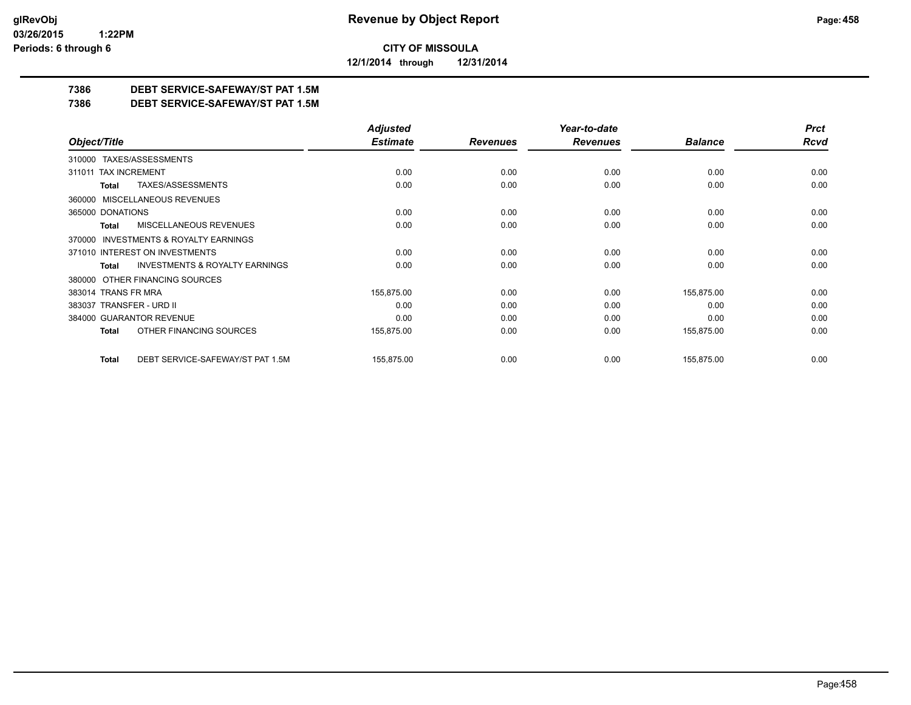**12/1/2014 through 12/31/2014**

### **7386 DEBT SERVICE-SAFEWAY/ST PAT 1.5M**

**7386 DEBT SERVICE-SAFEWAY/ST PAT 1.5M**

|                                                           | <b>Adjusted</b> |                 | Year-to-date    |                | <b>Prct</b> |
|-----------------------------------------------------------|-----------------|-----------------|-----------------|----------------|-------------|
| Object/Title                                              | <b>Estimate</b> | <b>Revenues</b> | <b>Revenues</b> | <b>Balance</b> | <b>Rcvd</b> |
| 310000 TAXES/ASSESSMENTS                                  |                 |                 |                 |                |             |
| <b>TAX INCREMENT</b><br>311011                            | 0.00            | 0.00            | 0.00            | 0.00           | 0.00        |
| TAXES/ASSESSMENTS<br><b>Total</b>                         | 0.00            | 0.00            | 0.00            | 0.00           | 0.00        |
| 360000 MISCELLANEOUS REVENUES                             |                 |                 |                 |                |             |
| 365000 DONATIONS                                          | 0.00            | 0.00            | 0.00            | 0.00           | 0.00        |
| <b>MISCELLANEOUS REVENUES</b><br><b>Total</b>             | 0.00            | 0.00            | 0.00            | 0.00           | 0.00        |
| 370000 INVESTMENTS & ROYALTY EARNINGS                     |                 |                 |                 |                |             |
| 371010 INTEREST ON INVESTMENTS                            | 0.00            | 0.00            | 0.00            | 0.00           | 0.00        |
| <b>INVESTMENTS &amp; ROYALTY EARNINGS</b><br><b>Total</b> | 0.00            | 0.00            | 0.00            | 0.00           | 0.00        |
| OTHER FINANCING SOURCES<br>380000                         |                 |                 |                 |                |             |
| 383014 TRANS FR MRA                                       | 155,875.00      | 0.00            | 0.00            | 155,875.00     | 0.00        |
| 383037 TRANSFER - URD II                                  | 0.00            | 0.00            | 0.00            | 0.00           | 0.00        |
| 384000 GUARANTOR REVENUE                                  | 0.00            | 0.00            | 0.00            | 0.00           | 0.00        |
| OTHER FINANCING SOURCES<br><b>Total</b>                   | 155,875.00      | 0.00            | 0.00            | 155,875.00     | 0.00        |
| DEBT SERVICE-SAFEWAY/ST PAT 1.5M<br><b>Total</b>          | 155,875.00      | 0.00            | 0.00            | 155,875.00     | 0.00        |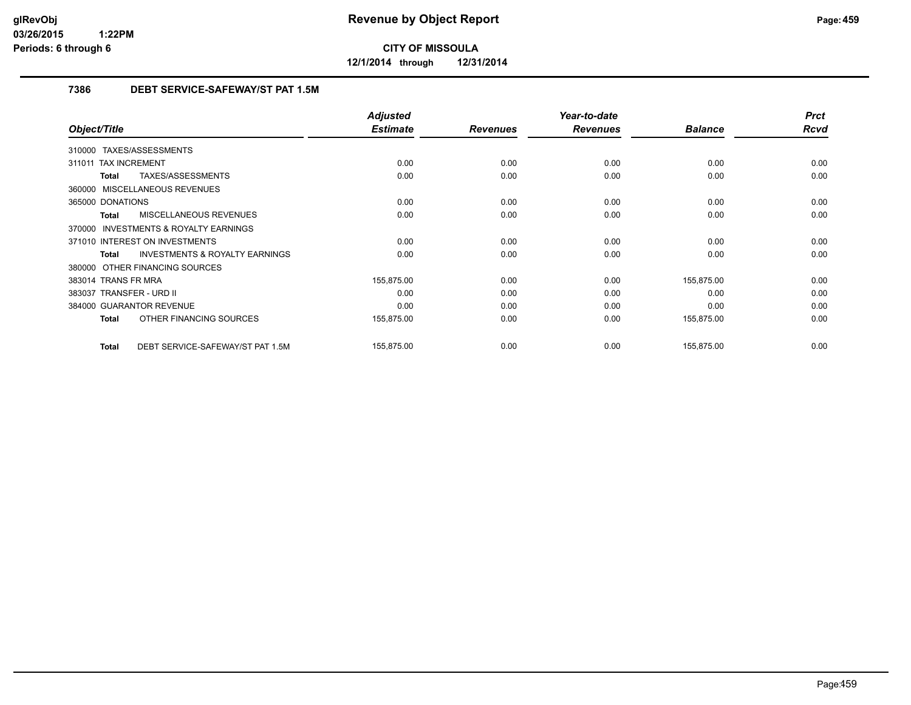**12/1/2014 through 12/31/2014**

#### **7386 DEBT SERVICE-SAFEWAY/ST PAT 1.5M**

|                                                           | <b>Adjusted</b> |                 | Year-to-date    |                | <b>Prct</b> |
|-----------------------------------------------------------|-----------------|-----------------|-----------------|----------------|-------------|
| Object/Title                                              | <b>Estimate</b> | <b>Revenues</b> | <b>Revenues</b> | <b>Balance</b> | <b>Rcvd</b> |
| 310000 TAXES/ASSESSMENTS                                  |                 |                 |                 |                |             |
| 311011 TAX INCREMENT                                      | 0.00            | 0.00            | 0.00            | 0.00           | 0.00        |
| TAXES/ASSESSMENTS<br>Total                                | 0.00            | 0.00            | 0.00            | 0.00           | 0.00        |
| 360000 MISCELLANEOUS REVENUES                             |                 |                 |                 |                |             |
| 365000 DONATIONS                                          | 0.00            | 0.00            | 0.00            | 0.00           | 0.00        |
| MISCELLANEOUS REVENUES<br>Total                           | 0.00            | 0.00            | 0.00            | 0.00           | 0.00        |
| <b>INVESTMENTS &amp; ROYALTY EARNINGS</b><br>370000       |                 |                 |                 |                |             |
| 371010 INTEREST ON INVESTMENTS                            | 0.00            | 0.00            | 0.00            | 0.00           | 0.00        |
| <b>INVESTMENTS &amp; ROYALTY EARNINGS</b><br><b>Total</b> | 0.00            | 0.00            | 0.00            | 0.00           | 0.00        |
| 380000 OTHER FINANCING SOURCES                            |                 |                 |                 |                |             |
| 383014 TRANS FR MRA                                       | 155,875.00      | 0.00            | 0.00            | 155,875.00     | 0.00        |
| 383037 TRANSFER - URD II                                  | 0.00            | 0.00            | 0.00            | 0.00           | 0.00        |
| 384000 GUARANTOR REVENUE                                  | 0.00            | 0.00            | 0.00            | 0.00           | 0.00        |
| OTHER FINANCING SOURCES<br>Total                          | 155,875.00      | 0.00            | 0.00            | 155,875.00     | 0.00        |
| DEBT SERVICE-SAFEWAY/ST PAT 1.5M<br>Total                 | 155,875.00      | 0.00            | 0.00            | 155,875.00     | 0.00        |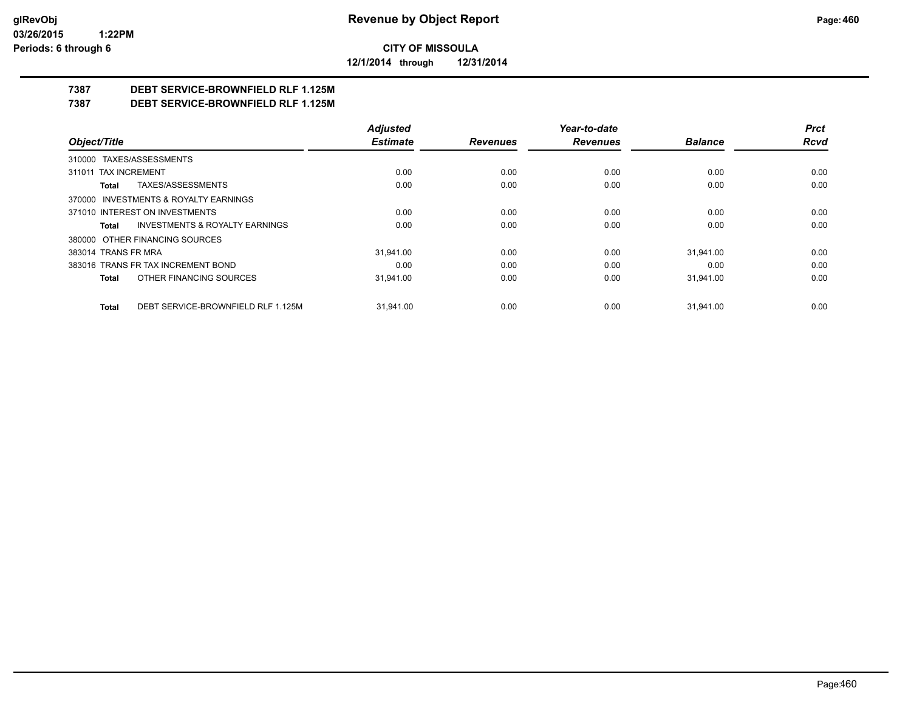**12/1/2014 through 12/31/2014**

## **7387 DEBT SERVICE-BROWNFIELD RLF 1.125M**

**7387 DEBT SERVICE-BROWNFIELD RLF 1.125M**

|                                                    | <b>Adjusted</b> |                 | Year-to-date    |                | <b>Prct</b> |
|----------------------------------------------------|-----------------|-----------------|-----------------|----------------|-------------|
| Object/Title                                       | <b>Estimate</b> | <b>Revenues</b> | <b>Revenues</b> | <b>Balance</b> | Rcvd        |
| 310000 TAXES/ASSESSMENTS                           |                 |                 |                 |                |             |
| 311011 TAX INCREMENT                               | 0.00            | 0.00            | 0.00            | 0.00           | 0.00        |
| TAXES/ASSESSMENTS<br>Total                         | 0.00            | 0.00            | 0.00            | 0.00           | 0.00        |
| 370000 INVESTMENTS & ROYALTY EARNINGS              |                 |                 |                 |                |             |
| 371010 INTEREST ON INVESTMENTS                     | 0.00            | 0.00            | 0.00            | 0.00           | 0.00        |
| <b>INVESTMENTS &amp; ROYALTY EARNINGS</b><br>Total | 0.00            | 0.00            | 0.00            | 0.00           | 0.00        |
| 380000 OTHER FINANCING SOURCES                     |                 |                 |                 |                |             |
| 383014 TRANS FR MRA                                | 31.941.00       | 0.00            | 0.00            | 31.941.00      | 0.00        |
| 383016 TRANS FR TAX INCREMENT BOND                 | 0.00            | 0.00            | 0.00            | 0.00           | 0.00        |
| OTHER FINANCING SOURCES<br>Total                   | 31.941.00       | 0.00            | 0.00            | 31,941.00      | 0.00        |
| DEBT SERVICE-BROWNFIELD RLF 1.125M<br>Total        | 31.941.00       | 0.00            | 0.00            | 31.941.00      | 0.00        |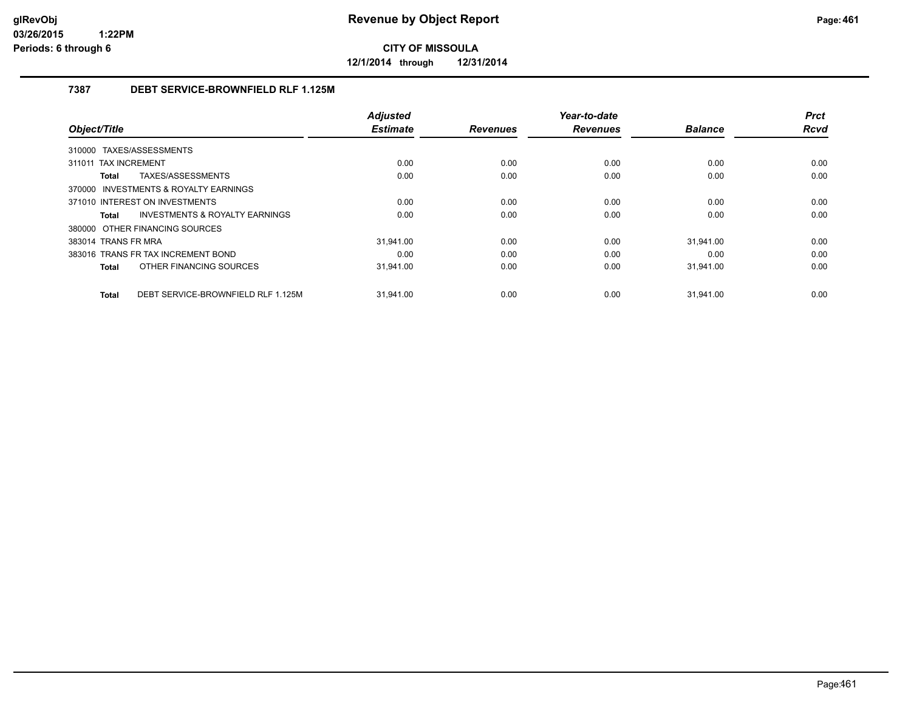**12/1/2014 through 12/31/2014**

#### **7387 DEBT SERVICE-BROWNFIELD RLF 1.125M**

|                                                    | <b>Adjusted</b> |                 | Year-to-date    |                | <b>Prct</b> |
|----------------------------------------------------|-----------------|-----------------|-----------------|----------------|-------------|
| Object/Title                                       | <b>Estimate</b> | <b>Revenues</b> | <b>Revenues</b> | <b>Balance</b> | <b>Rcvd</b> |
| 310000 TAXES/ASSESSMENTS                           |                 |                 |                 |                |             |
| 311011 TAX INCREMENT                               | 0.00            | 0.00            | 0.00            | 0.00           | 0.00        |
| TAXES/ASSESSMENTS<br>Total                         | 0.00            | 0.00            | 0.00            | 0.00           | 0.00        |
| 370000 INVESTMENTS & ROYALTY EARNINGS              |                 |                 |                 |                |             |
| 371010 INTEREST ON INVESTMENTS                     | 0.00            | 0.00            | 0.00            | 0.00           | 0.00        |
| <b>INVESTMENTS &amp; ROYALTY EARNINGS</b><br>Total | 0.00            | 0.00            | 0.00            | 0.00           | 0.00        |
| 380000 OTHER FINANCING SOURCES                     |                 |                 |                 |                |             |
| 383014 TRANS FR MRA                                | 31.941.00       | 0.00            | 0.00            | 31.941.00      | 0.00        |
| 383016 TRANS FR TAX INCREMENT BOND                 | 0.00            | 0.00            | 0.00            | 0.00           | 0.00        |
| OTHER FINANCING SOURCES<br>Total                   | 31,941.00       | 0.00            | 0.00            | 31,941.00      | 0.00        |
|                                                    |                 |                 |                 |                |             |
| DEBT SERVICE-BROWNFIELD RLF 1.125M<br>Total        | 31.941.00       | 0.00            | 0.00            | 31.941.00      | 0.00        |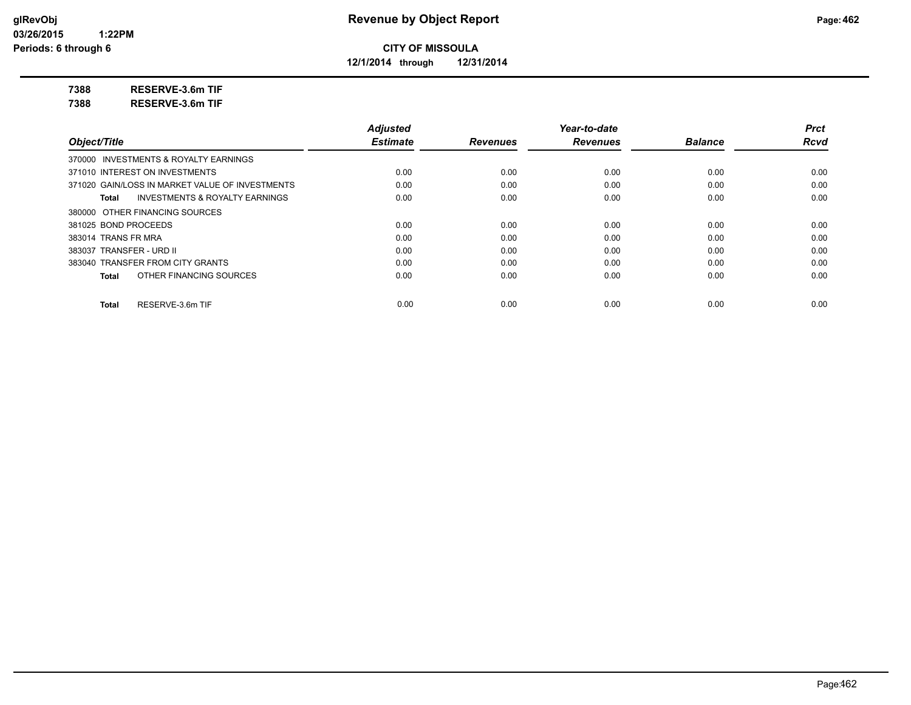**12/1/2014 through 12/31/2014**

**7388 RESERVE-3.6m TIF**

**7388 RESERVE-3.6m TIF**

|                                                 | <b>Adjusted</b> |                 | Year-to-date    |                | <b>Prct</b> |
|-------------------------------------------------|-----------------|-----------------|-----------------|----------------|-------------|
| Object/Title                                    | <b>Estimate</b> | <b>Revenues</b> | <b>Revenues</b> | <b>Balance</b> | <b>Rcvd</b> |
| 370000 INVESTMENTS & ROYALTY EARNINGS           |                 |                 |                 |                |             |
| 371010 INTEREST ON INVESTMENTS                  | 0.00            | 0.00            | 0.00            | 0.00           | 0.00        |
| 371020 GAIN/LOSS IN MARKET VALUE OF INVESTMENTS | 0.00            | 0.00            | 0.00            | 0.00           | 0.00        |
| INVESTMENTS & ROYALTY EARNINGS<br>Total         | 0.00            | 0.00            | 0.00            | 0.00           | 0.00        |
| 380000 OTHER FINANCING SOURCES                  |                 |                 |                 |                |             |
| 381025 BOND PROCEEDS                            | 0.00            | 0.00            | 0.00            | 0.00           | 0.00        |
| 383014 TRANS FR MRA                             | 0.00            | 0.00            | 0.00            | 0.00           | 0.00        |
| 383037 TRANSFER - URD II                        | 0.00            | 0.00            | 0.00            | 0.00           | 0.00        |
| 383040 TRANSFER FROM CITY GRANTS                | 0.00            | 0.00            | 0.00            | 0.00           | 0.00        |
| OTHER FINANCING SOURCES<br>Total                | 0.00            | 0.00            | 0.00            | 0.00           | 0.00        |
| RESERVE-3.6m TIF<br>Total                       | 0.00            | 0.00            | 0.00            | 0.00           | 0.00        |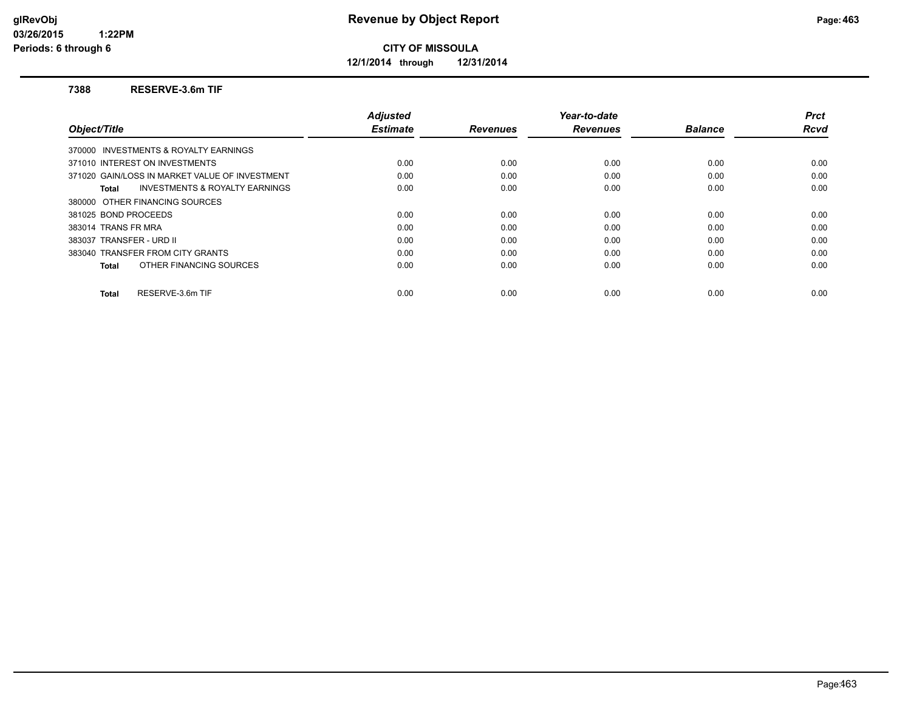**12/1/2014 through 12/31/2014**

#### **7388 RESERVE-3.6m TIF**

|                                                    | <b>Adjusted</b> |                 | Year-to-date    |                | <b>Prct</b> |
|----------------------------------------------------|-----------------|-----------------|-----------------|----------------|-------------|
| Object/Title                                       | <b>Estimate</b> | <b>Revenues</b> | <b>Revenues</b> | <b>Balance</b> | Rcvd        |
| 370000 INVESTMENTS & ROYALTY EARNINGS              |                 |                 |                 |                |             |
| 371010 INTEREST ON INVESTMENTS                     | 0.00            | 0.00            | 0.00            | 0.00           | 0.00        |
| 371020 GAIN/LOSS IN MARKET VALUE OF INVESTMENT     | 0.00            | 0.00            | 0.00            | 0.00           | 0.00        |
| <b>INVESTMENTS &amp; ROYALTY EARNINGS</b><br>Total | 0.00            | 0.00            | 0.00            | 0.00           | 0.00        |
| 380000 OTHER FINANCING SOURCES                     |                 |                 |                 |                |             |
| 381025 BOND PROCEEDS                               | 0.00            | 0.00            | 0.00            | 0.00           | 0.00        |
| 383014 TRANS FR MRA                                | 0.00            | 0.00            | 0.00            | 0.00           | 0.00        |
| 383037 TRANSFER - URD II                           | 0.00            | 0.00            | 0.00            | 0.00           | 0.00        |
| 383040 TRANSFER FROM CITY GRANTS                   | 0.00            | 0.00            | 0.00            | 0.00           | 0.00        |
| OTHER FINANCING SOURCES<br>Total                   | 0.00            | 0.00            | 0.00            | 0.00           | 0.00        |
| RESERVE-3.6m TIF<br><b>Total</b>                   | 0.00            | 0.00            | 0.00            | 0.00           | 0.00        |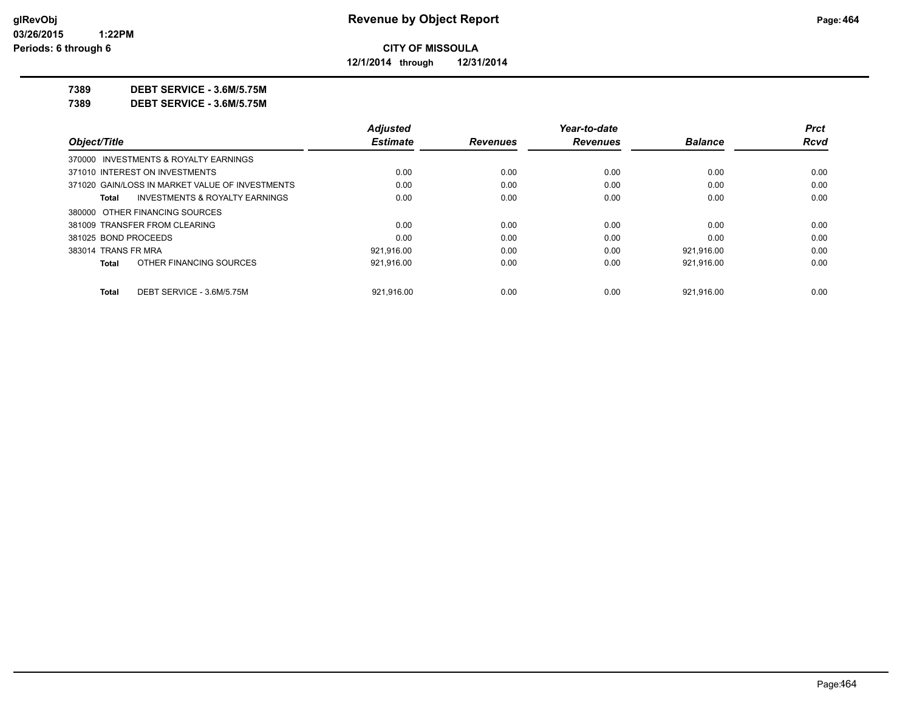**12/1/2014 through 12/31/2014**

**7389 DEBT SERVICE - 3.6M/5.75M**

**7389 DEBT SERVICE - 3.6M/5.75M**

|                               |                                                 | <b>Adjusted</b> |                 | Year-to-date    |                | <b>Prct</b> |
|-------------------------------|-------------------------------------------------|-----------------|-----------------|-----------------|----------------|-------------|
| Object/Title                  |                                                 | <b>Estimate</b> | <b>Revenues</b> | <b>Revenues</b> | <b>Balance</b> | <b>Rcvd</b> |
|                               | 370000 INVESTMENTS & ROYALTY EARNINGS           |                 |                 |                 |                |             |
|                               | 371010 INTEREST ON INVESTMENTS                  | 0.00            | 0.00            | 0.00            | 0.00           | 0.00        |
|                               | 371020 GAIN/LOSS IN MARKET VALUE OF INVESTMENTS | 0.00            | 0.00            | 0.00            | 0.00           | 0.00        |
| Total                         | <b>INVESTMENTS &amp; ROYALTY EARNINGS</b>       | 0.00            | 0.00            | 0.00            | 0.00           | 0.00        |
|                               | 380000 OTHER FINANCING SOURCES                  |                 |                 |                 |                |             |
| 381009 TRANSFER FROM CLEARING |                                                 | 0.00            | 0.00            | 0.00            | 0.00           | 0.00        |
| 381025 BOND PROCEEDS          |                                                 | 0.00            | 0.00            | 0.00            | 0.00           | 0.00        |
| 383014 TRANS FR MRA           |                                                 | 921,916.00      | 0.00            | 0.00            | 921,916.00     | 0.00        |
| Total                         | OTHER FINANCING SOURCES                         | 921,916.00      | 0.00            | 0.00            | 921.916.00     | 0.00        |
| Total                         | DEBT SERVICE - 3.6M/5.75M                       | 921.916.00      | 0.00            | 0.00            | 921.916.00     | 0.00        |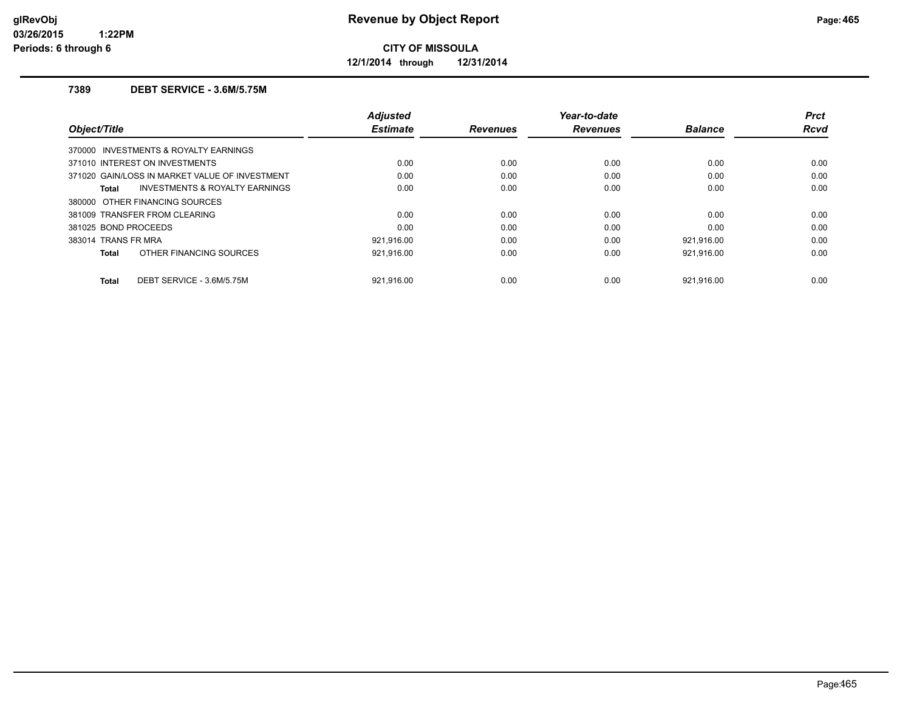**12/1/2014 through 12/31/2014**

#### **7389 DEBT SERVICE - 3.6M/5.75M**

| Object/Title         |                                                | <b>Adjusted</b><br><b>Estimate</b> | <b>Revenues</b> | Year-to-date<br><b>Revenues</b> | <b>Balance</b> | <b>Prct</b><br><b>Rcvd</b> |
|----------------------|------------------------------------------------|------------------------------------|-----------------|---------------------------------|----------------|----------------------------|
|                      | 370000 INVESTMENTS & ROYALTY EARNINGS          |                                    |                 |                                 |                |                            |
|                      | 371010 INTEREST ON INVESTMENTS                 | 0.00                               | 0.00            | 0.00                            | 0.00           | 0.00                       |
|                      | 371020 GAIN/LOSS IN MARKET VALUE OF INVESTMENT | 0.00                               | 0.00            | 0.00                            | 0.00           | 0.00                       |
| Total                | <b>INVESTMENTS &amp; ROYALTY EARNINGS</b>      | 0.00                               | 0.00            | 0.00                            | 0.00           | 0.00                       |
|                      | 380000 OTHER FINANCING SOURCES                 |                                    |                 |                                 |                |                            |
|                      | 381009 TRANSFER FROM CLEARING                  | 0.00                               | 0.00            | 0.00                            | 0.00           | 0.00                       |
| 381025 BOND PROCEEDS |                                                | 0.00                               | 0.00            | 0.00                            | 0.00           | 0.00                       |
| 383014 TRANS FR MRA  |                                                | 921.916.00                         | 0.00            | 0.00                            | 921,916.00     | 0.00                       |
| Total                | OTHER FINANCING SOURCES                        | 921,916.00                         | 0.00            | 0.00                            | 921,916.00     | 0.00                       |
| Total                | DEBT SERVICE - 3.6M/5.75M                      | 921.916.00                         | 0.00            | 0.00                            | 921.916.00     | 0.00                       |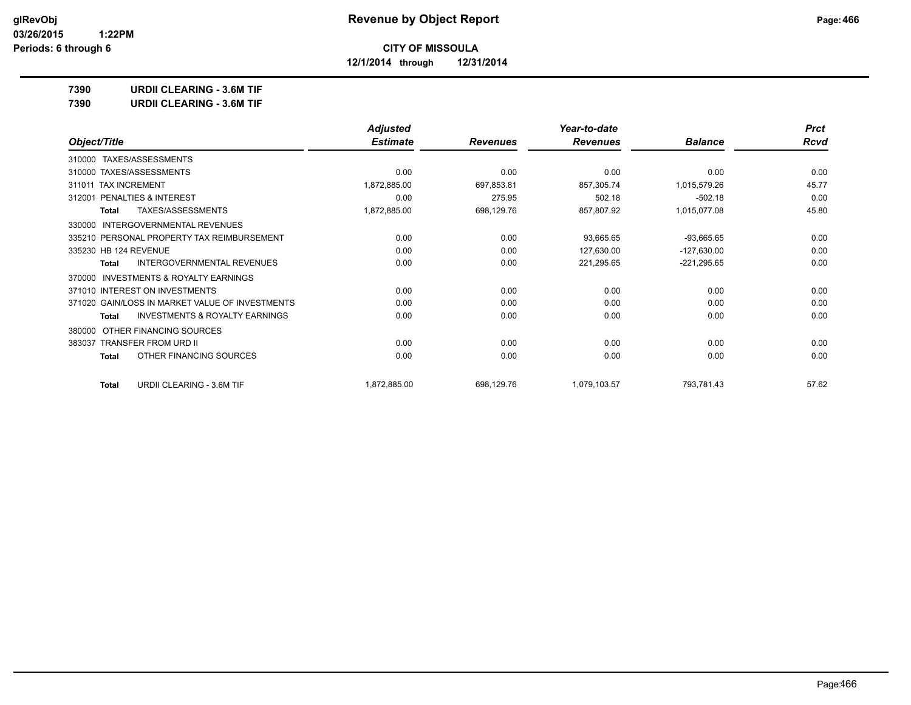**12/1/2014 through 12/31/2014**

**7390 URDII CLEARING - 3.6M TIF**

**7390 URDII CLEARING - 3.6M TIF**

|                                                           | <b>Adjusted</b> |                 | Year-to-date    |                | <b>Prct</b> |
|-----------------------------------------------------------|-----------------|-----------------|-----------------|----------------|-------------|
| Object/Title                                              | <b>Estimate</b> | <b>Revenues</b> | <b>Revenues</b> | <b>Balance</b> | Rcvd        |
| TAXES/ASSESSMENTS<br>310000                               |                 |                 |                 |                |             |
| 310000 TAXES/ASSESSMENTS                                  | 0.00            | 0.00            | 0.00            | 0.00           | 0.00        |
| 311011 TAX INCREMENT                                      | 1,872,885.00    | 697,853.81      | 857,305.74      | 1,015,579.26   | 45.77       |
| PENALTIES & INTEREST<br>312001                            | 0.00            | 275.95          | 502.18          | $-502.18$      | 0.00        |
| TAXES/ASSESSMENTS<br><b>Total</b>                         | 1,872,885.00    | 698,129.76      | 857,807.92      | 1,015,077.08   | 45.80       |
| <b>INTERGOVERNMENTAL REVENUES</b><br>330000               |                 |                 |                 |                |             |
| 335210 PERSONAL PROPERTY TAX REIMBURSEMENT                | 0.00            | 0.00            | 93,665.65       | $-93,665.65$   | 0.00        |
| 335230 HB 124 REVENUE                                     | 0.00            | 0.00            | 127,630.00      | $-127,630.00$  | 0.00        |
| <b>INTERGOVERNMENTAL REVENUES</b><br>Total                | 0.00            | 0.00            | 221,295.65      | $-221,295.65$  | 0.00        |
| INVESTMENTS & ROYALTY EARNINGS<br>370000                  |                 |                 |                 |                |             |
| 371010 INTEREST ON INVESTMENTS                            | 0.00            | 0.00            | 0.00            | 0.00           | 0.00        |
| 371020 GAIN/LOSS IN MARKET VALUE OF INVESTMENTS           | 0.00            | 0.00            | 0.00            | 0.00           | 0.00        |
| <b>INVESTMENTS &amp; ROYALTY EARNINGS</b><br><b>Total</b> | 0.00            | 0.00            | 0.00            | 0.00           | 0.00        |
| OTHER FINANCING SOURCES<br>380000                         |                 |                 |                 |                |             |
| 383037 TRANSFER FROM URD II                               | 0.00            | 0.00            | 0.00            | 0.00           | 0.00        |
| OTHER FINANCING SOURCES<br>Total                          | 0.00            | 0.00            | 0.00            | 0.00           | 0.00        |
| <b>URDII CLEARING - 3.6M TIF</b><br><b>Total</b>          | 1,872,885.00    | 698,129.76      | 1,079,103.57    | 793,781.43     | 57.62       |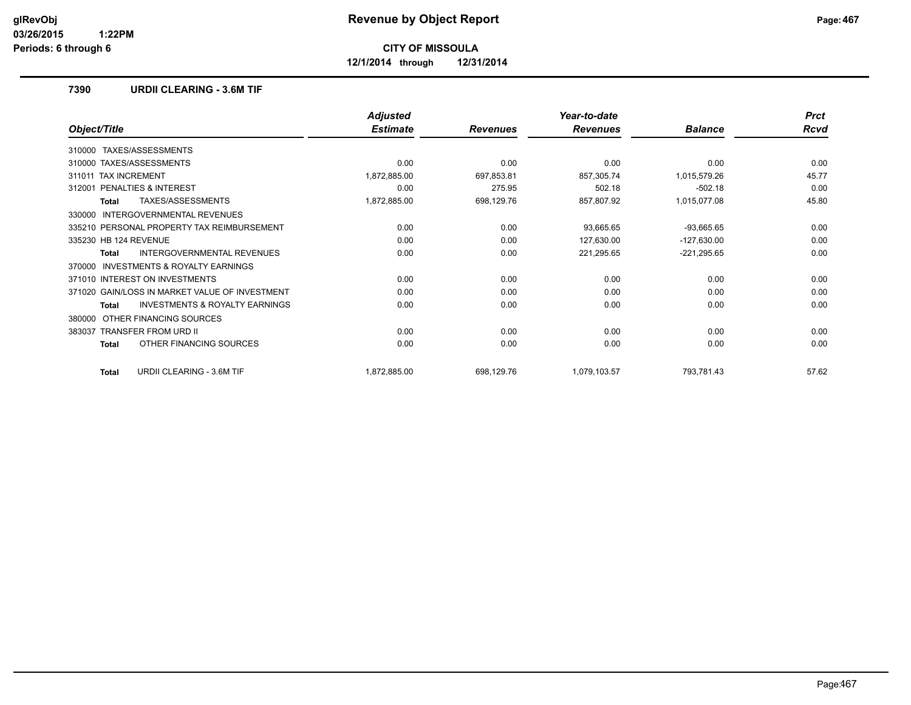**12/1/2014 through 12/31/2014**

#### **7390 URDII CLEARING - 3.6M TIF**

|                                                    | <b>Adjusted</b> |                 | Year-to-date    |                | <b>Prct</b> |
|----------------------------------------------------|-----------------|-----------------|-----------------|----------------|-------------|
| Object/Title                                       | <b>Estimate</b> | <b>Revenues</b> | <b>Revenues</b> | <b>Balance</b> | <b>Rcvd</b> |
| TAXES/ASSESSMENTS<br>310000                        |                 |                 |                 |                |             |
| 310000 TAXES/ASSESSMENTS                           | 0.00            | 0.00            | 0.00            | 0.00           | 0.00        |
| <b>TAX INCREMENT</b><br>311011                     | 1,872,885.00    | 697,853.81      | 857,305.74      | 1,015,579.26   | 45.77       |
| PENALTIES & INTEREST<br>312001                     | 0.00            | 275.95          | 502.18          | $-502.18$      | 0.00        |
| TAXES/ASSESSMENTS<br><b>Total</b>                  | 1,872,885.00    | 698,129.76      | 857,807.92      | 1,015,077.08   | 45.80       |
| INTERGOVERNMENTAL REVENUES<br>330000               |                 |                 |                 |                |             |
| 335210 PERSONAL PROPERTY TAX REIMBURSEMENT         | 0.00            | 0.00            | 93,665.65       | $-93,665.65$   | 0.00        |
| 335230 HB 124 REVENUE                              | 0.00            | 0.00            | 127,630.00      | $-127,630.00$  | 0.00        |
| INTERGOVERNMENTAL REVENUES<br>Total                | 0.00            | 0.00            | 221,295.65      | $-221,295.65$  | 0.00        |
| INVESTMENTS & ROYALTY EARNINGS<br>370000           |                 |                 |                 |                |             |
| 371010 INTEREST ON INVESTMENTS                     | 0.00            | 0.00            | 0.00            | 0.00           | 0.00        |
| 371020 GAIN/LOSS IN MARKET VALUE OF INVESTMENT     | 0.00            | 0.00            | 0.00            | 0.00           | 0.00        |
| <b>INVESTMENTS &amp; ROYALTY EARNINGS</b><br>Total | 0.00            | 0.00            | 0.00            | 0.00           | 0.00        |
| OTHER FINANCING SOURCES<br>380000                  |                 |                 |                 |                |             |
| <b>TRANSFER FROM URD II</b><br>383037              | 0.00            | 0.00            | 0.00            | 0.00           | 0.00        |
| OTHER FINANCING SOURCES<br><b>Total</b>            | 0.00            | 0.00            | 0.00            | 0.00           | 0.00        |
| <b>URDII CLEARING - 3.6M TIF</b><br><b>Total</b>   | 1,872,885.00    | 698,129.76      | 1,079,103.57    | 793,781.43     | 57.62       |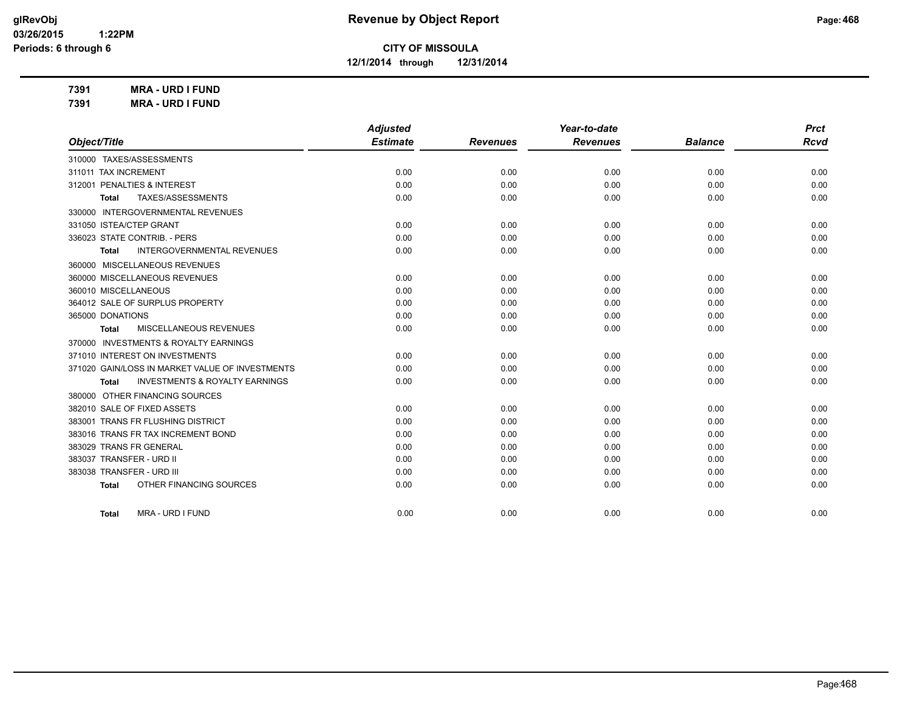**12/1/2014 through 12/31/2014**

**7391 MRA - URD I FUND 7391 MRA - URD I FUND**

|                                                    | <b>Adjusted</b> |                 | Year-to-date    |                | <b>Prct</b> |
|----------------------------------------------------|-----------------|-----------------|-----------------|----------------|-------------|
| Object/Title                                       | <b>Estimate</b> | <b>Revenues</b> | <b>Revenues</b> | <b>Balance</b> | <b>Rcvd</b> |
| 310000 TAXES/ASSESSMENTS                           |                 |                 |                 |                |             |
| 311011 TAX INCREMENT                               | 0.00            | 0.00            | 0.00            | 0.00           | 0.00        |
| 312001 PENALTIES & INTEREST                        | 0.00            | 0.00            | 0.00            | 0.00           | 0.00        |
| TAXES/ASSESSMENTS<br><b>Total</b>                  | 0.00            | 0.00            | 0.00            | 0.00           | 0.00        |
| 330000 INTERGOVERNMENTAL REVENUES                  |                 |                 |                 |                |             |
| 331050 ISTEA/CTEP GRANT                            | 0.00            | 0.00            | 0.00            | 0.00           | 0.00        |
| 336023 STATE CONTRIB. - PERS                       | 0.00            | 0.00            | 0.00            | 0.00           | 0.00        |
| <b>INTERGOVERNMENTAL REVENUES</b><br><b>Total</b>  | 0.00            | 0.00            | 0.00            | 0.00           | 0.00        |
| 360000 MISCELLANEOUS REVENUES                      |                 |                 |                 |                |             |
| 360000 MISCELLANEOUS REVENUES                      | 0.00            | 0.00            | 0.00            | 0.00           | 0.00        |
| 360010 MISCELLANEOUS                               | 0.00            | 0.00            | 0.00            | 0.00           | 0.00        |
| 364012 SALE OF SURPLUS PROPERTY                    | 0.00            | 0.00            | 0.00            | 0.00           | 0.00        |
| 365000 DONATIONS                                   | 0.00            | 0.00            | 0.00            | 0.00           | 0.00        |
| MISCELLANEOUS REVENUES<br><b>Total</b>             | 0.00            | 0.00            | 0.00            | 0.00           | 0.00        |
| 370000 INVESTMENTS & ROYALTY EARNINGS              |                 |                 |                 |                |             |
| 371010 INTEREST ON INVESTMENTS                     | 0.00            | 0.00            | 0.00            | 0.00           | 0.00        |
| 371020 GAIN/LOSS IN MARKET VALUE OF INVESTMENTS    | 0.00            | 0.00            | 0.00            | 0.00           | 0.00        |
| <b>INVESTMENTS &amp; ROYALTY EARNINGS</b><br>Total | 0.00            | 0.00            | 0.00            | 0.00           | 0.00        |
| 380000 OTHER FINANCING SOURCES                     |                 |                 |                 |                |             |
| 382010 SALE OF FIXED ASSETS                        | 0.00            | 0.00            | 0.00            | 0.00           | 0.00        |
| 383001 TRANS FR FLUSHING DISTRICT                  | 0.00            | 0.00            | 0.00            | 0.00           | 0.00        |
| 383016 TRANS FR TAX INCREMENT BOND                 | 0.00            | 0.00            | 0.00            | 0.00           | 0.00        |
| 383029 TRANS FR GENERAL                            | 0.00            | 0.00            | 0.00            | 0.00           | 0.00        |
| 383037 TRANSFER - URD II                           | 0.00            | 0.00            | 0.00            | 0.00           | 0.00        |
| 383038 TRANSFER - URD III                          | 0.00            | 0.00            | 0.00            | 0.00           | 0.00        |
| OTHER FINANCING SOURCES<br><b>Total</b>            | 0.00            | 0.00            | 0.00            | 0.00           | 0.00        |
|                                                    |                 |                 |                 |                |             |
| MRA - URD I FUND<br><b>Total</b>                   | 0.00            | 0.00            | 0.00            | 0.00           | 0.00        |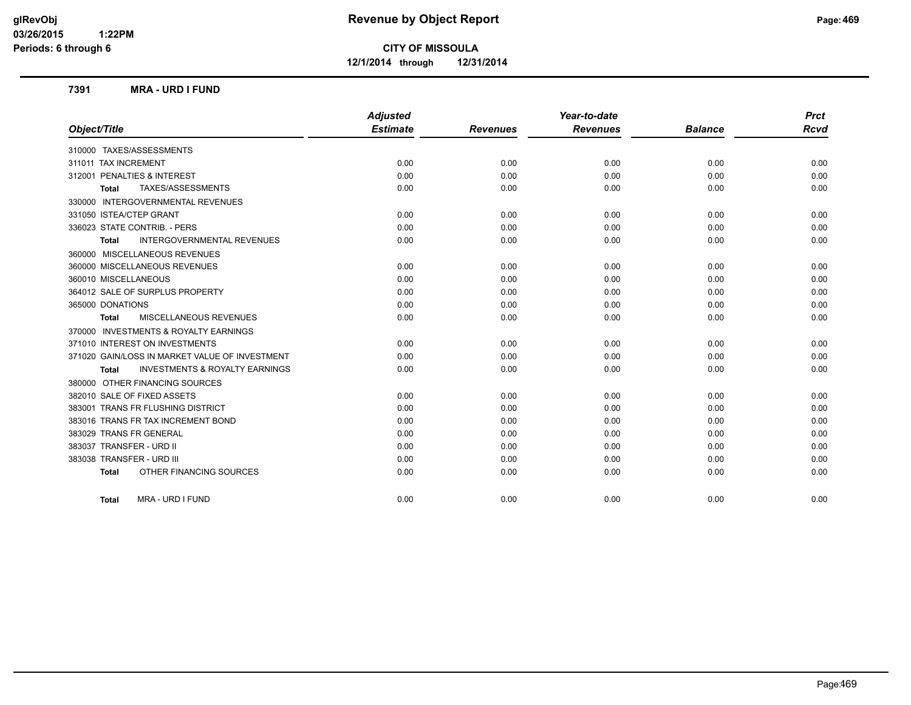**12/1/2014 through 12/31/2014**

#### **7391 MRA - URD I FUND**

|                                                           | <b>Adjusted</b> |                 | Year-to-date    |                | <b>Prct</b> |
|-----------------------------------------------------------|-----------------|-----------------|-----------------|----------------|-------------|
| Object/Title                                              | <b>Estimate</b> | <b>Revenues</b> | <b>Revenues</b> | <b>Balance</b> | <b>Rcvd</b> |
| 310000 TAXES/ASSESSMENTS                                  |                 |                 |                 |                |             |
| 311011 TAX INCREMENT                                      | 0.00            | 0.00            | 0.00            | 0.00           | 0.00        |
| 312001 PENALTIES & INTEREST                               | 0.00            | 0.00            | 0.00            | 0.00           | 0.00        |
| TAXES/ASSESSMENTS<br><b>Total</b>                         | 0.00            | 0.00            | 0.00            | 0.00           | 0.00        |
| 330000 INTERGOVERNMENTAL REVENUES                         |                 |                 |                 |                |             |
| 331050 ISTEA/CTEP GRANT                                   | 0.00            | 0.00            | 0.00            | 0.00           | 0.00        |
| 336023 STATE CONTRIB. - PERS                              | 0.00            | 0.00            | 0.00            | 0.00           | 0.00        |
| <b>INTERGOVERNMENTAL REVENUES</b><br><b>Total</b>         | 0.00            | 0.00            | 0.00            | 0.00           | 0.00        |
| 360000 MISCELLANEOUS REVENUES                             |                 |                 |                 |                |             |
| 360000 MISCELLANEOUS REVENUES                             | 0.00            | 0.00            | 0.00            | 0.00           | 0.00        |
| 360010 MISCELLANEOUS                                      | 0.00            | 0.00            | 0.00            | 0.00           | 0.00        |
| 364012 SALE OF SURPLUS PROPERTY                           | 0.00            | 0.00            | 0.00            | 0.00           | 0.00        |
| 365000 DONATIONS                                          | 0.00            | 0.00            | 0.00            | 0.00           | 0.00        |
| <b>MISCELLANEOUS REVENUES</b><br><b>Total</b>             | 0.00            | 0.00            | 0.00            | 0.00           | 0.00        |
| 370000 INVESTMENTS & ROYALTY EARNINGS                     |                 |                 |                 |                |             |
| 371010 INTEREST ON INVESTMENTS                            | 0.00            | 0.00            | 0.00            | 0.00           | 0.00        |
| 371020 GAIN/LOSS IN MARKET VALUE OF INVESTMENT            | 0.00            | 0.00            | 0.00            | 0.00           | 0.00        |
| <b>INVESTMENTS &amp; ROYALTY EARNINGS</b><br><b>Total</b> | 0.00            | 0.00            | 0.00            | 0.00           | 0.00        |
| 380000 OTHER FINANCING SOURCES                            |                 |                 |                 |                |             |
| 382010 SALE OF FIXED ASSETS                               | 0.00            | 0.00            | 0.00            | 0.00           | 0.00        |
| 383001 TRANS FR FLUSHING DISTRICT                         | 0.00            | 0.00            | 0.00            | 0.00           | 0.00        |
| 383016 TRANS FR TAX INCREMENT BOND                        | 0.00            | 0.00            | 0.00            | 0.00           | 0.00        |
| 383029 TRANS FR GENERAL                                   | 0.00            | 0.00            | 0.00            | 0.00           | 0.00        |
| 383037 TRANSFER - URD II                                  | 0.00            | 0.00            | 0.00            | 0.00           | 0.00        |
| 383038 TRANSFER - URD III                                 | 0.00            | 0.00            | 0.00            | 0.00           | 0.00        |
| OTHER FINANCING SOURCES<br><b>Total</b>                   | 0.00            | 0.00            | 0.00            | 0.00           | 0.00        |
| MRA - URD I FUND<br><b>Total</b>                          | 0.00            | 0.00            | 0.00            | 0.00           | 0.00        |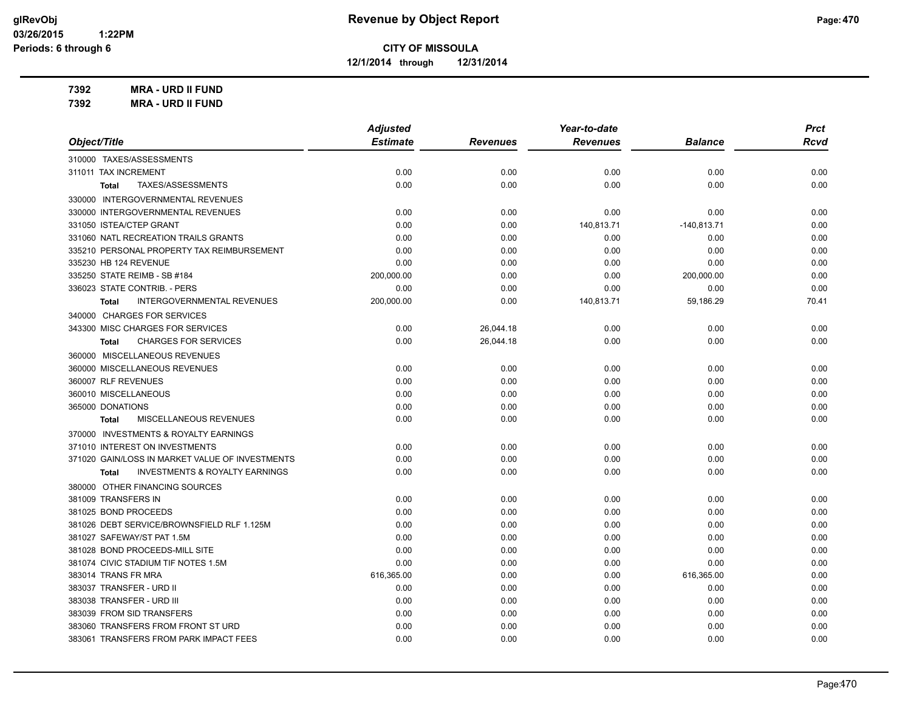**12/1/2014 through 12/31/2014**

**7392 MRA - URD II FUND**

| 7392 | <b>MRA - URD II FUND</b>                           |                 |                 |                 |                |             |
|------|----------------------------------------------------|-----------------|-----------------|-----------------|----------------|-------------|
|      |                                                    | <b>Adjusted</b> |                 | Year-to-date    |                | <b>Prct</b> |
|      | Object/Title                                       | <b>Estimate</b> | <b>Revenues</b> | <b>Revenues</b> | <b>Balance</b> | Rcvd        |
|      | 310000 TAXES/ASSESSMENTS                           |                 |                 |                 |                |             |
|      | 311011 TAX INCREMENT                               | 0.00            | 0.00            | 0.00            | 0.00           | 0.00        |
|      | TAXES/ASSESSMENTS<br><b>Total</b>                  | 0.00            | 0.00            | 0.00            | 0.00           | 0.00        |
|      | 330000 INTERGOVERNMENTAL REVENUES                  |                 |                 |                 |                |             |
|      | 330000 INTERGOVERNMENTAL REVENUES                  | 0.00            | 0.00            | 0.00            | 0.00           | 0.00        |
|      | 331050 ISTEA/CTEP GRANT                            | 0.00            | 0.00            | 140,813.71      | $-140,813.71$  | 0.00        |
|      | 331060 NATL RECREATION TRAILS GRANTS               | 0.00            | 0.00            | 0.00            | 0.00           | 0.00        |
|      | 335210 PERSONAL PROPERTY TAX REIMBURSEMENT         | 0.00            | 0.00            | 0.00            | 0.00           | 0.00        |
|      | 335230 HB 124 REVENUE                              | 0.00            | 0.00            | 0.00            | 0.00           | 0.00        |
|      | 335250 STATE REIMB - SB #184                       | 200,000.00      | 0.00            | 0.00            | 200,000.00     | 0.00        |
|      | 336023 STATE CONTRIB. - PERS                       | 0.00            | 0.00            | 0.00            | 0.00           | 0.00        |
|      | <b>INTERGOVERNMENTAL REVENUES</b><br><b>Total</b>  | 200,000.00      | 0.00            | 140,813.71      | 59,186.29      | 70.41       |
|      | 340000 CHARGES FOR SERVICES                        |                 |                 |                 |                |             |
|      | 343300 MISC CHARGES FOR SERVICES                   | 0.00            | 26,044.18       | 0.00            | 0.00           | 0.00        |
|      | <b>CHARGES FOR SERVICES</b><br><b>Total</b>        | 0.00            | 26,044.18       | 0.00            | 0.00           | 0.00        |
|      | 360000 MISCELLANEOUS REVENUES                      |                 |                 |                 |                |             |
|      | 360000 MISCELLANEOUS REVENUES                      | 0.00            | 0.00            | 0.00            | 0.00           | 0.00        |
|      | 360007 RLF REVENUES                                | 0.00            | 0.00            | 0.00            | 0.00           | 0.00        |
|      | 360010 MISCELLANEOUS                               | 0.00            | 0.00            | 0.00            | 0.00           | 0.00        |
|      | 365000 DONATIONS                                   | 0.00            | 0.00            | 0.00            | 0.00           | 0.00        |
|      | <b>MISCELLANEOUS REVENUES</b><br>Total             | 0.00            | 0.00            | 0.00            | 0.00           | 0.00        |
|      | 370000 INVESTMENTS & ROYALTY EARNINGS              |                 |                 |                 |                |             |
|      | 371010 INTEREST ON INVESTMENTS                     | 0.00            | 0.00            | 0.00            | 0.00           | 0.00        |
|      | 371020 GAIN/LOSS IN MARKET VALUE OF INVESTMENTS    | 0.00            | 0.00            | 0.00            | 0.00           | 0.00        |
|      | <b>INVESTMENTS &amp; ROYALTY EARNINGS</b><br>Total | 0.00            | 0.00            | 0.00            | 0.00           | 0.00        |
|      | 380000 OTHER FINANCING SOURCES                     |                 |                 |                 |                |             |
|      | 381009 TRANSFERS IN                                | 0.00            | 0.00            | 0.00            | 0.00           | 0.00        |
|      | 381025 BOND PROCEEDS                               | 0.00            | 0.00            | 0.00            | 0.00           | 0.00        |
|      | 381026 DEBT SERVICE/BROWNSFIELD RLF 1.125M         | 0.00            | 0.00            | 0.00            | 0.00           | 0.00        |
|      | 381027 SAFEWAY/ST PAT 1.5M                         | 0.00            | 0.00            | 0.00            | 0.00           | 0.00        |
|      | 381028 BOND PROCEEDS-MILL SITE                     | 0.00            | 0.00            | 0.00            | 0.00           | 0.00        |
|      | 381074 CIVIC STADIUM TIF NOTES 1.5M                | 0.00            | 0.00            | 0.00            | 0.00           | 0.00        |
|      | 383014 TRANS FR MRA                                | 616,365.00      | 0.00            | 0.00            | 616,365.00     | 0.00        |
|      | 383037 TRANSFER - URD II                           | 0.00            | 0.00            | 0.00            | 0.00           | 0.00        |

383038 TRANSFER - URD III 0.00 0.00 0.00 0.00 0.00 383039 FROM SID TRANSFERS 0.00 0.00 0.00 0.00 0.00 383060 TRANSFERS FROM FRONT ST URD 0.00 0.00 0.00 0.00 0.00 383061 TRANSFERS FROM PARK IMPACT FEES 0.00 0.00 0.00 0.00 0.00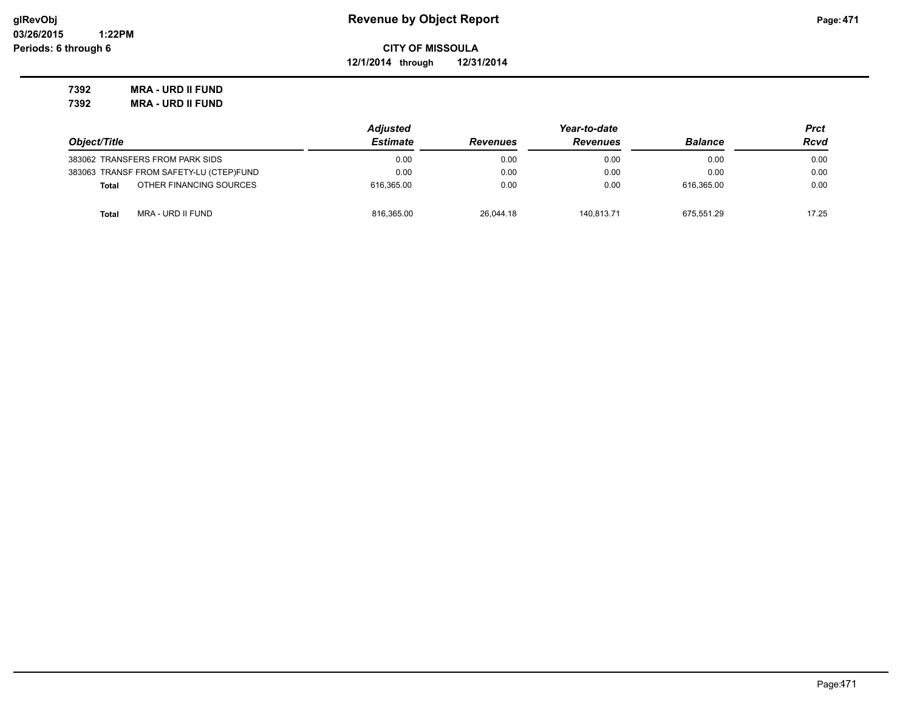**12/1/2014 through 12/31/2014**

**7392 MRA - URD II FUND 7392 MRA - URD II FUND**

|                                         | <b>Adjusted</b> |                 | Prct            |                |       |
|-----------------------------------------|-----------------|-----------------|-----------------|----------------|-------|
| Object/Title                            | <b>Estimate</b> | <b>Revenues</b> | <b>Revenues</b> | <b>Balance</b> | Rcvd  |
| 383062 TRANSFERS FROM PARK SIDS         | 0.00            | 0.00            | 0.00            | 0.00           | 0.00  |
| 383063 TRANSF FROM SAFETY-LU (CTEP)FUND | 0.00            | 0.00            | 0.00            | 0.00           | 0.00  |
| OTHER FINANCING SOURCES<br><b>Total</b> | 616.365.00      | 0.00            | 0.00            | 616.365.00     | 0.00  |
| MRA - URD II FUND<br><b>Total</b>       | 816.365.00      | 26.044.18       | 140.813.71      | 675.551.29     | 17.25 |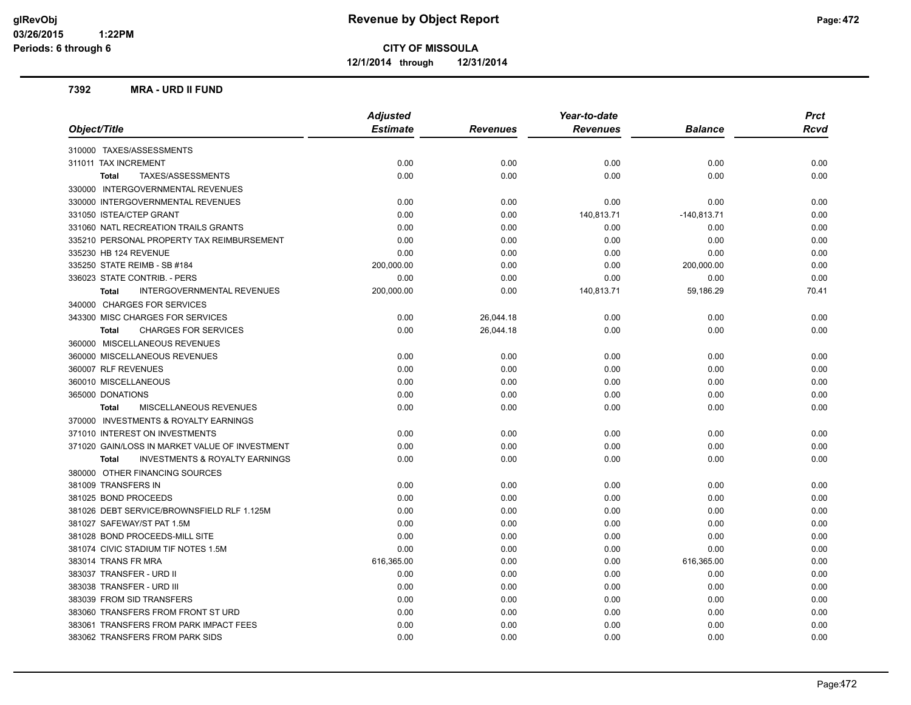**12/1/2014 through 12/31/2014**

#### **7392 MRA - URD II FUND**

|                                                           | <b>Adjusted</b> |                 | Year-to-date    |                | <b>Prct</b> |
|-----------------------------------------------------------|-----------------|-----------------|-----------------|----------------|-------------|
| Object/Title                                              | <b>Estimate</b> | <b>Revenues</b> | <b>Revenues</b> | <b>Balance</b> | <b>Rcvd</b> |
| 310000 TAXES/ASSESSMENTS                                  |                 |                 |                 |                |             |
| 311011 TAX INCREMENT                                      | 0.00            | 0.00            | 0.00            | 0.00           | 0.00        |
| TAXES/ASSESSMENTS<br><b>Total</b>                         | 0.00            | 0.00            | 0.00            | 0.00           | 0.00        |
| 330000 INTERGOVERNMENTAL REVENUES                         |                 |                 |                 |                |             |
| 330000 INTERGOVERNMENTAL REVENUES                         | 0.00            | 0.00            | 0.00            | 0.00           | 0.00        |
| 331050 ISTEA/CTEP GRANT                                   | 0.00            | 0.00            | 140,813.71      | $-140,813.71$  | 0.00        |
| 331060 NATL RECREATION TRAILS GRANTS                      | 0.00            | 0.00            | 0.00            | 0.00           | 0.00        |
| 335210 PERSONAL PROPERTY TAX REIMBURSEMENT                | 0.00            | 0.00            | 0.00            | 0.00           | 0.00        |
| 335230 HB 124 REVENUE                                     | 0.00            | 0.00            | 0.00            | 0.00           | 0.00        |
| 335250 STATE REIMB - SB #184                              | 200,000.00      | 0.00            | 0.00            | 200,000.00     | 0.00        |
| 336023 STATE CONTRIB. - PERS                              | 0.00            | 0.00            | 0.00            | 0.00           | 0.00        |
| INTERGOVERNMENTAL REVENUES<br><b>Total</b>                | 200,000.00      | 0.00            | 140,813.71      | 59,186.29      | 70.41       |
| 340000 CHARGES FOR SERVICES                               |                 |                 |                 |                |             |
| 343300 MISC CHARGES FOR SERVICES                          | 0.00            | 26,044.18       | 0.00            | 0.00           | 0.00        |
| <b>CHARGES FOR SERVICES</b><br><b>Total</b>               | 0.00            | 26,044.18       | 0.00            | 0.00           | 0.00        |
| 360000 MISCELLANEOUS REVENUES                             |                 |                 |                 |                |             |
| 360000 MISCELLANEOUS REVENUES                             | 0.00            | 0.00            | 0.00            | 0.00           | 0.00        |
| 360007 RLF REVENUES                                       | 0.00            | 0.00            | 0.00            | 0.00           | 0.00        |
| 360010 MISCELLANEOUS                                      | 0.00            | 0.00            | 0.00            | 0.00           | 0.00        |
| 365000 DONATIONS                                          | 0.00            | 0.00            | 0.00            | 0.00           | 0.00        |
| MISCELLANEOUS REVENUES<br><b>Total</b>                    | 0.00            | 0.00            | 0.00            | 0.00           | 0.00        |
| 370000 INVESTMENTS & ROYALTY EARNINGS                     |                 |                 |                 |                |             |
| 371010 INTEREST ON INVESTMENTS                            | 0.00            | 0.00            | 0.00            | 0.00           | 0.00        |
| 371020 GAIN/LOSS IN MARKET VALUE OF INVESTMENT            | 0.00            | 0.00            | 0.00            | 0.00           | 0.00        |
| <b>INVESTMENTS &amp; ROYALTY EARNINGS</b><br><b>Total</b> | 0.00            | 0.00            | 0.00            | 0.00           | 0.00        |
| 380000 OTHER FINANCING SOURCES                            |                 |                 |                 |                |             |
| 381009 TRANSFERS IN                                       | 0.00            | 0.00            | 0.00            | 0.00           | 0.00        |
| 381025 BOND PROCEEDS                                      | 0.00            | 0.00            | 0.00            | 0.00           | 0.00        |
| 381026 DEBT SERVICE/BROWNSFIELD RLF 1.125M                | 0.00            | 0.00            | 0.00            | 0.00           | 0.00        |
| 381027 SAFEWAY/ST PAT 1.5M                                | 0.00            | 0.00            | 0.00            | 0.00           | 0.00        |
| 381028 BOND PROCEEDS-MILL SITE                            | 0.00            | 0.00            | 0.00            | 0.00           | 0.00        |
| 381074 CIVIC STADIUM TIF NOTES 1.5M                       | 0.00            | 0.00            | 0.00            | 0.00           | 0.00        |
| 383014 TRANS FR MRA                                       | 616,365.00      | 0.00            | 0.00            | 616,365.00     | 0.00        |
| 383037 TRANSFER - URD II                                  | 0.00            | 0.00            | 0.00            | 0.00           | 0.00        |
| 383038 TRANSFER - URD III                                 | 0.00            | 0.00            | 0.00            | 0.00           | 0.00        |
| 383039 FROM SID TRANSFERS                                 | 0.00            | 0.00            | 0.00            | 0.00           | 0.00        |
| 383060 TRANSFERS FROM FRONT ST URD                        | 0.00            | 0.00            | 0.00            | 0.00           | 0.00        |
| 383061 TRANSFERS FROM PARK IMPACT FEES                    | 0.00            | 0.00            | 0.00            | 0.00           | 0.00        |
| 383062 TRANSFERS FROM PARK SIDS                           | 0.00            | 0.00            | 0.00            | 0.00           | 0.00        |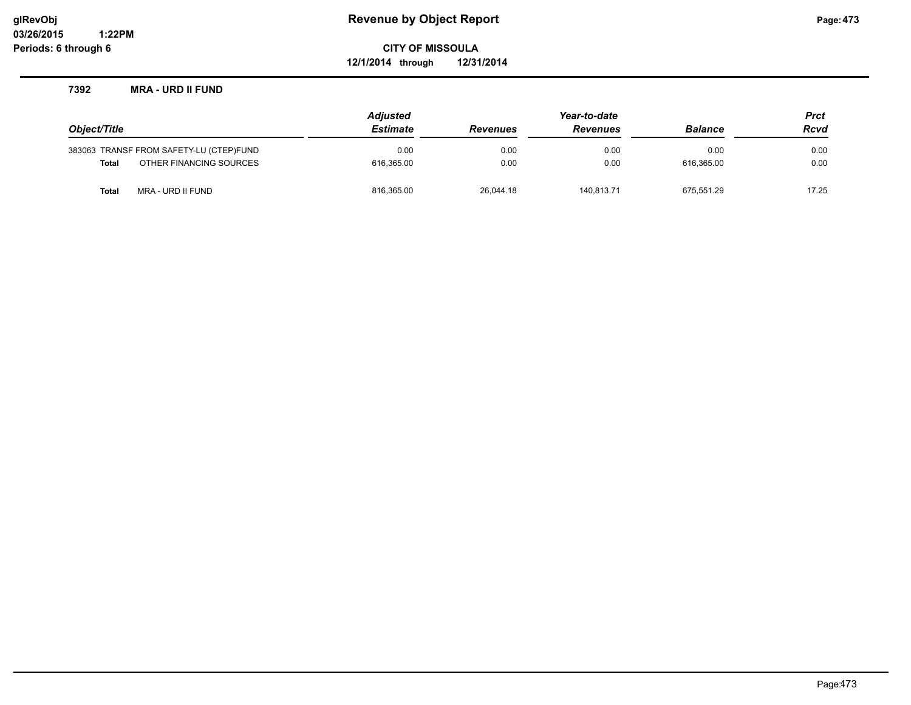**12/1/2014 through 12/31/2014**

#### **7392 MRA - URD II FUND**

|              |                                         | <b>Adjusted</b> | Year-to-date    |                 |                | <b>Prct</b> |
|--------------|-----------------------------------------|-----------------|-----------------|-----------------|----------------|-------------|
| Object/Title |                                         | <b>Estimate</b> | <b>Revenues</b> | <b>Revenues</b> | <b>Balance</b> | <b>Rcvd</b> |
|              | 383063 TRANSF FROM SAFETY-LU (CTEP)FUND | 0.00            | 0.00            | 0.00            | 0.00           | 0.00        |
| <b>Total</b> | OTHER FINANCING SOURCES                 | 616,365.00      | 0.00            | 0.00            | 616.365.00     | 0.00        |
| <b>Total</b> | MRA - URD II FUND                       | 816,365.00      | 26.044.18       | 140.813.71      | 675.551.29     | 17.25       |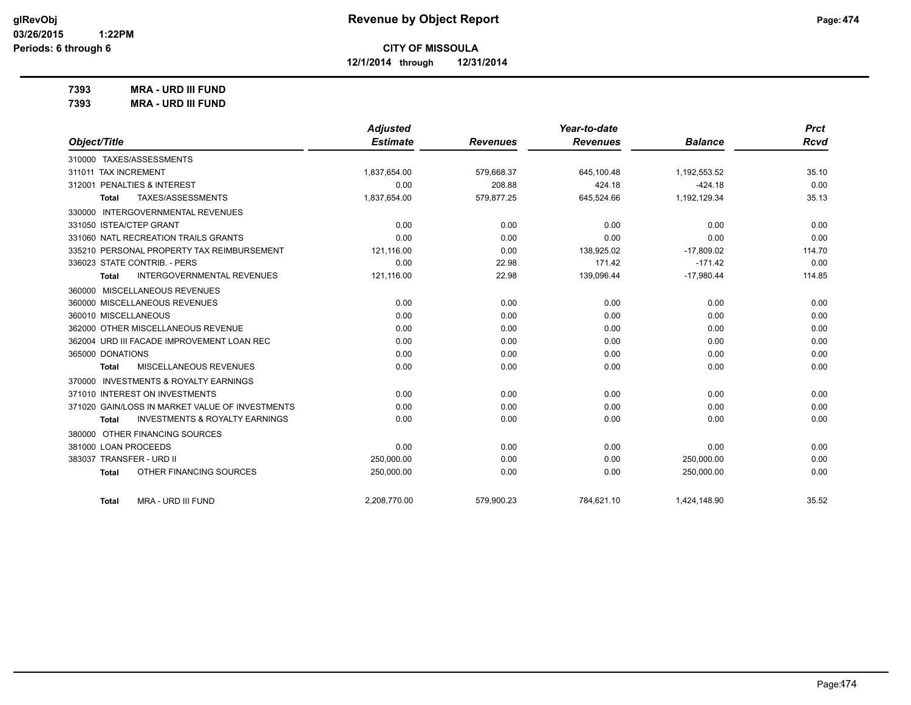**12/1/2014 through 12/31/2014**

**7393 MRA - URD III FUND**

**7393 MRA - URD III FUND**

|                                                           | <b>Adjusted</b> |                 | Year-to-date    |                | <b>Prct</b> |
|-----------------------------------------------------------|-----------------|-----------------|-----------------|----------------|-------------|
| Object/Title                                              | <b>Estimate</b> | <b>Revenues</b> | <b>Revenues</b> | <b>Balance</b> | <b>Rcvd</b> |
| 310000 TAXES/ASSESSMENTS                                  |                 |                 |                 |                |             |
| 311011 TAX INCREMENT                                      | 1,837,654.00    | 579,668.37      | 645,100.48      | 1,192,553.52   | 35.10       |
| 312001 PENALTIES & INTEREST                               | 0.00            | 208.88          | 424.18          | $-424.18$      | 0.00        |
| TAXES/ASSESSMENTS<br><b>Total</b>                         | 1,837,654.00    | 579,877.25      | 645,524.66      | 1,192,129.34   | 35.13       |
| 330000 INTERGOVERNMENTAL REVENUES                         |                 |                 |                 |                |             |
| 331050 ISTEA/CTEP GRANT                                   | 0.00            | 0.00            | 0.00            | 0.00           | 0.00        |
| 331060 NATL RECREATION TRAILS GRANTS                      | 0.00            | 0.00            | 0.00            | 0.00           | 0.00        |
| 335210 PERSONAL PROPERTY TAX REIMBURSEMENT                | 121,116.00      | 0.00            | 138,925.02      | $-17,809.02$   | 114.70      |
| 336023 STATE CONTRIB. - PERS                              | 0.00            | 22.98           | 171.42          | $-171.42$      | 0.00        |
| <b>INTERGOVERNMENTAL REVENUES</b><br>Total                | 121,116.00      | 22.98           | 139,096.44      | $-17,980.44$   | 114.85      |
| 360000 MISCELLANEOUS REVENUES                             |                 |                 |                 |                |             |
| 360000 MISCELLANEOUS REVENUES                             | 0.00            | 0.00            | 0.00            | 0.00           | 0.00        |
| 360010 MISCELLANEOUS                                      | 0.00            | 0.00            | 0.00            | 0.00           | 0.00        |
| 362000 OTHER MISCELLANEOUS REVENUE                        | 0.00            | 0.00            | 0.00            | 0.00           | 0.00        |
| 362004 URD III FACADE IMPROVEMENT LOAN REC                | 0.00            | 0.00            | 0.00            | 0.00           | 0.00        |
| 365000 DONATIONS                                          | 0.00            | 0.00            | 0.00            | 0.00           | 0.00        |
| <b>MISCELLANEOUS REVENUES</b><br><b>Total</b>             | 0.00            | 0.00            | 0.00            | 0.00           | 0.00        |
| <b>INVESTMENTS &amp; ROYALTY EARNINGS</b><br>370000       |                 |                 |                 |                |             |
| 371010 INTEREST ON INVESTMENTS                            | 0.00            | 0.00            | 0.00            | 0.00           | 0.00        |
| 371020 GAIN/LOSS IN MARKET VALUE OF INVESTMENTS           | 0.00            | 0.00            | 0.00            | 0.00           | 0.00        |
| <b>INVESTMENTS &amp; ROYALTY EARNINGS</b><br><b>Total</b> | 0.00            | 0.00            | 0.00            | 0.00           | 0.00        |
| OTHER FINANCING SOURCES<br>380000                         |                 |                 |                 |                |             |
| 381000 LOAN PROCEEDS                                      | 0.00            | 0.00            | 0.00            | 0.00           | 0.00        |
| 383037 TRANSFER - URD II                                  | 250,000.00      | 0.00            | 0.00            | 250,000.00     | 0.00        |
| OTHER FINANCING SOURCES<br><b>Total</b>                   | 250,000.00      | 0.00            | 0.00            | 250,000.00     | 0.00        |
| MRA - URD III FUND<br><b>Total</b>                        | 2,208,770.00    | 579.900.23      | 784.621.10      | 1,424,148.90   | 35.52       |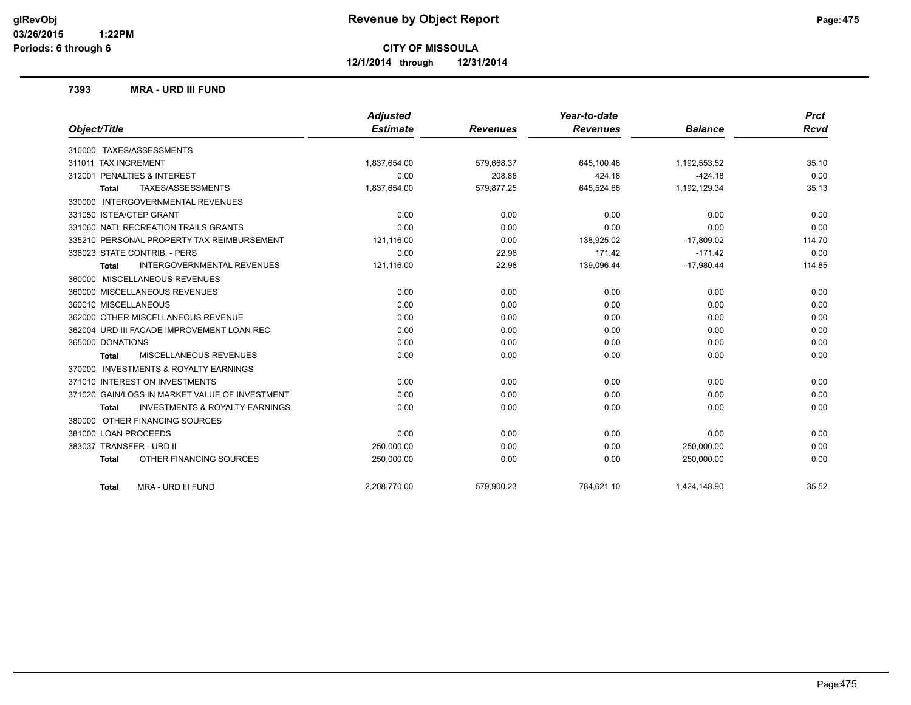**12/1/2014 through 12/31/2014**

#### **7393 MRA - URD III FUND**

|                                                    | <b>Adjusted</b> |                 | Year-to-date    |                | <b>Prct</b> |
|----------------------------------------------------|-----------------|-----------------|-----------------|----------------|-------------|
| Object/Title                                       | <b>Estimate</b> | <b>Revenues</b> | <b>Revenues</b> | <b>Balance</b> | <b>Rcvd</b> |
| 310000 TAXES/ASSESSMENTS                           |                 |                 |                 |                |             |
| 311011 TAX INCREMENT                               | 1,837,654.00    | 579,668.37      | 645,100.48      | 1,192,553.52   | 35.10       |
| 312001 PENALTIES & INTEREST                        | 0.00            | 208.88          | 424.18          | $-424.18$      | 0.00        |
| TAXES/ASSESSMENTS<br>Total                         | 1,837,654.00    | 579,877.25      | 645,524.66      | 1,192,129.34   | 35.13       |
| 330000 INTERGOVERNMENTAL REVENUES                  |                 |                 |                 |                |             |
| 331050 ISTEA/CTEP GRANT                            | 0.00            | 0.00            | 0.00            | 0.00           | 0.00        |
| 331060 NATL RECREATION TRAILS GRANTS               | 0.00            | 0.00            | 0.00            | 0.00           | 0.00        |
| 335210 PERSONAL PROPERTY TAX REIMBURSEMENT         | 121.116.00      | 0.00            | 138,925.02      | $-17,809.02$   | 114.70      |
| 336023 STATE CONTRIB. - PERS                       | 0.00            | 22.98           | 171.42          | $-171.42$      | 0.00        |
| <b>INTERGOVERNMENTAL REVENUES</b><br><b>Total</b>  | 121,116.00      | 22.98           | 139,096.44      | $-17,980.44$   | 114.85      |
| 360000 MISCELLANEOUS REVENUES                      |                 |                 |                 |                |             |
| 360000 MISCELLANEOUS REVENUES                      | 0.00            | 0.00            | 0.00            | 0.00           | 0.00        |
| 360010 MISCELLANEOUS                               | 0.00            | 0.00            | 0.00            | 0.00           | 0.00        |
| 362000 OTHER MISCELLANEOUS REVENUE                 | 0.00            | 0.00            | 0.00            | 0.00           | 0.00        |
| 362004 URD III FACADE IMPROVEMENT LOAN REC         | 0.00            | 0.00            | 0.00            | 0.00           | 0.00        |
| 365000 DONATIONS                                   | 0.00            | 0.00            | 0.00            | 0.00           | 0.00        |
| <b>MISCELLANEOUS REVENUES</b><br><b>Total</b>      | 0.00            | 0.00            | 0.00            | 0.00           | 0.00        |
| 370000 INVESTMENTS & ROYALTY EARNINGS              |                 |                 |                 |                |             |
| 371010 INTEREST ON INVESTMENTS                     | 0.00            | 0.00            | 0.00            | 0.00           | 0.00        |
| 371020 GAIN/LOSS IN MARKET VALUE OF INVESTMENT     | 0.00            | 0.00            | 0.00            | 0.00           | 0.00        |
| <b>INVESTMENTS &amp; ROYALTY EARNINGS</b><br>Total | 0.00            | 0.00            | 0.00            | 0.00           | 0.00        |
| 380000 OTHER FINANCING SOURCES                     |                 |                 |                 |                |             |
| 381000 LOAN PROCEEDS                               | 0.00            | 0.00            | 0.00            | 0.00           | 0.00        |
| 383037 TRANSFER - URD II                           | 250,000.00      | 0.00            | 0.00            | 250,000.00     | 0.00        |
| OTHER FINANCING SOURCES<br><b>Total</b>            | 250,000.00      | 0.00            | 0.00            | 250,000.00     | 0.00        |
| MRA - URD III FUND<br>Total                        | 2,208,770.00    | 579,900.23      | 784,621.10      | 1,424,148.90   | 35.52       |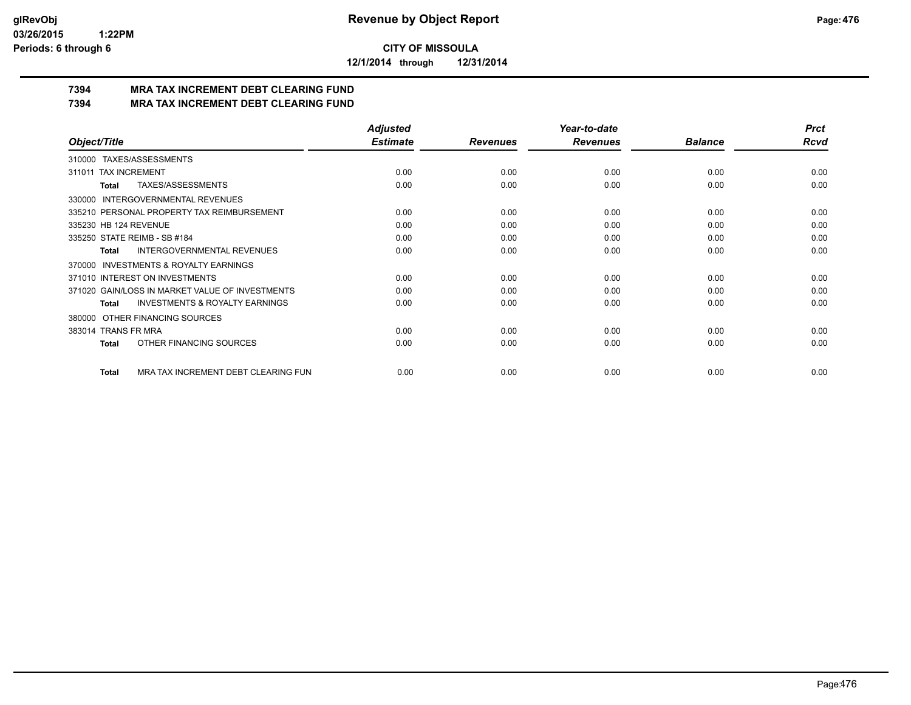**12/1/2014 through 12/31/2014**

# **7394 MRA TAX INCREMENT DEBT CLEARING FUND**

**7394 MRA TAX INCREMENT DEBT CLEARING FUND**

|                                                     | <b>Adjusted</b> |                 | Year-to-date    |                | <b>Prct</b> |
|-----------------------------------------------------|-----------------|-----------------|-----------------|----------------|-------------|
| Object/Title                                        | <b>Estimate</b> | <b>Revenues</b> | <b>Revenues</b> | <b>Balance</b> | <b>Rcvd</b> |
| 310000 TAXES/ASSESSMENTS                            |                 |                 |                 |                |             |
| <b>TAX INCREMENT</b><br>311011                      | 0.00            | 0.00            | 0.00            | 0.00           | 0.00        |
| TAXES/ASSESSMENTS<br>Total                          | 0.00            | 0.00            | 0.00            | 0.00           | 0.00        |
| <b>INTERGOVERNMENTAL REVENUES</b><br>330000         |                 |                 |                 |                |             |
| 335210 PERSONAL PROPERTY TAX REIMBURSEMENT          | 0.00            | 0.00            | 0.00            | 0.00           | 0.00        |
| 335230 HB 124 REVENUE                               | 0.00            | 0.00            | 0.00            | 0.00           | 0.00        |
| 335250 STATE REIMB - SB #184                        | 0.00            | 0.00            | 0.00            | 0.00           | 0.00        |
| INTERGOVERNMENTAL REVENUES<br>Total                 | 0.00            | 0.00            | 0.00            | 0.00           | 0.00        |
| <b>INVESTMENTS &amp; ROYALTY EARNINGS</b><br>370000 |                 |                 |                 |                |             |
| 371010 INTEREST ON INVESTMENTS                      | 0.00            | 0.00            | 0.00            | 0.00           | 0.00        |
| 371020 GAIN/LOSS IN MARKET VALUE OF INVESTMENTS     | 0.00            | 0.00            | 0.00            | 0.00           | 0.00        |
| <b>INVESTMENTS &amp; ROYALTY EARNINGS</b><br>Total  | 0.00            | 0.00            | 0.00            | 0.00           | 0.00        |
| OTHER FINANCING SOURCES<br>380000                   |                 |                 |                 |                |             |
| 383014 TRANS FR MRA                                 | 0.00            | 0.00            | 0.00            | 0.00           | 0.00        |
| OTHER FINANCING SOURCES<br>Total                    | 0.00            | 0.00            | 0.00            | 0.00           | 0.00        |
| MRA TAX INCREMENT DEBT CLEARING FUN<br>Total        | 0.00            | 0.00            | 0.00            | 0.00           | 0.00        |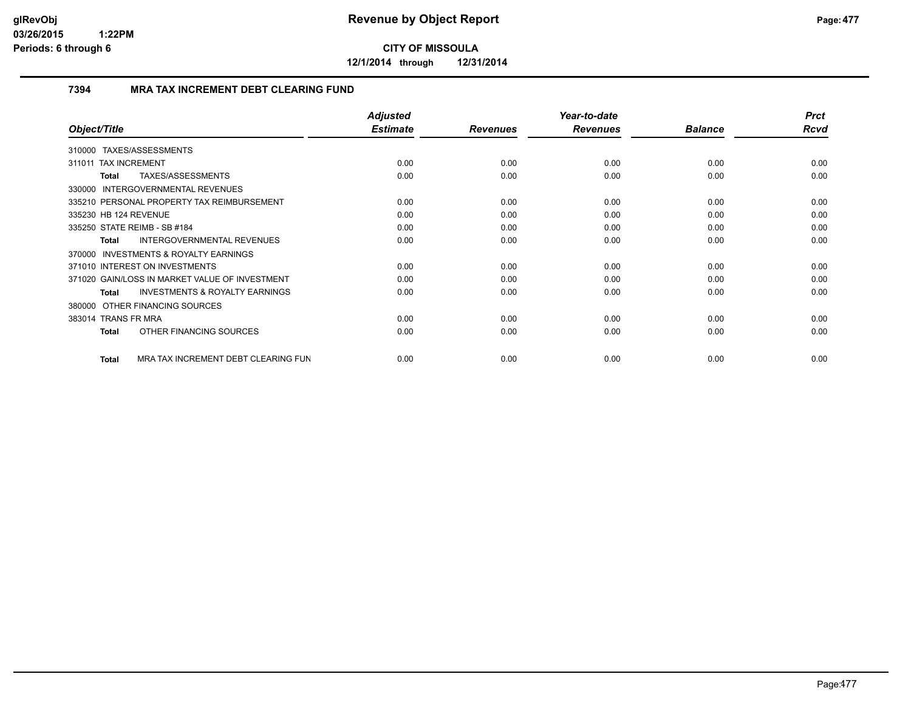**12/1/2014 through 12/31/2014**

### **7394 MRA TAX INCREMENT DEBT CLEARING FUND**

|                                                     | <b>Adjusted</b> |                 | Year-to-date    |                | <b>Prct</b> |
|-----------------------------------------------------|-----------------|-----------------|-----------------|----------------|-------------|
| Object/Title                                        | <b>Estimate</b> | <b>Revenues</b> | <b>Revenues</b> | <b>Balance</b> | Rcvd        |
| TAXES/ASSESSMENTS<br>310000                         |                 |                 |                 |                |             |
| <b>TAX INCREMENT</b><br>311011                      | 0.00            | 0.00            | 0.00            | 0.00           | 0.00        |
| TAXES/ASSESSMENTS<br>Total                          | 0.00            | 0.00            | 0.00            | 0.00           | 0.00        |
| 330000 INTERGOVERNMENTAL REVENUES                   |                 |                 |                 |                |             |
| 335210 PERSONAL PROPERTY TAX REIMBURSEMENT          | 0.00            | 0.00            | 0.00            | 0.00           | 0.00        |
| 335230 HB 124 REVENUE                               | 0.00            | 0.00            | 0.00            | 0.00           | 0.00        |
| 335250 STATE REIMB - SB #184                        | 0.00            | 0.00            | 0.00            | 0.00           | 0.00        |
| <b>INTERGOVERNMENTAL REVENUES</b><br>Total          | 0.00            | 0.00            | 0.00            | 0.00           | 0.00        |
| INVESTMENTS & ROYALTY EARNINGS<br>370000            |                 |                 |                 |                |             |
| 371010 INTEREST ON INVESTMENTS                      | 0.00            | 0.00            | 0.00            | 0.00           | 0.00        |
| 371020 GAIN/LOSS IN MARKET VALUE OF INVESTMENT      | 0.00            | 0.00            | 0.00            | 0.00           | 0.00        |
| <b>INVESTMENTS &amp; ROYALTY EARNINGS</b><br>Total  | 0.00            | 0.00            | 0.00            | 0.00           | 0.00        |
| 380000 OTHER FINANCING SOURCES                      |                 |                 |                 |                |             |
| 383014 TRANS FR MRA                                 | 0.00            | 0.00            | 0.00            | 0.00           | 0.00        |
| OTHER FINANCING SOURCES<br>Total                    | 0.00            | 0.00            | 0.00            | 0.00           | 0.00        |
| MRA TAX INCREMENT DEBT CLEARING FUN<br><b>Total</b> | 0.00            | 0.00            | 0.00            | 0.00           | 0.00        |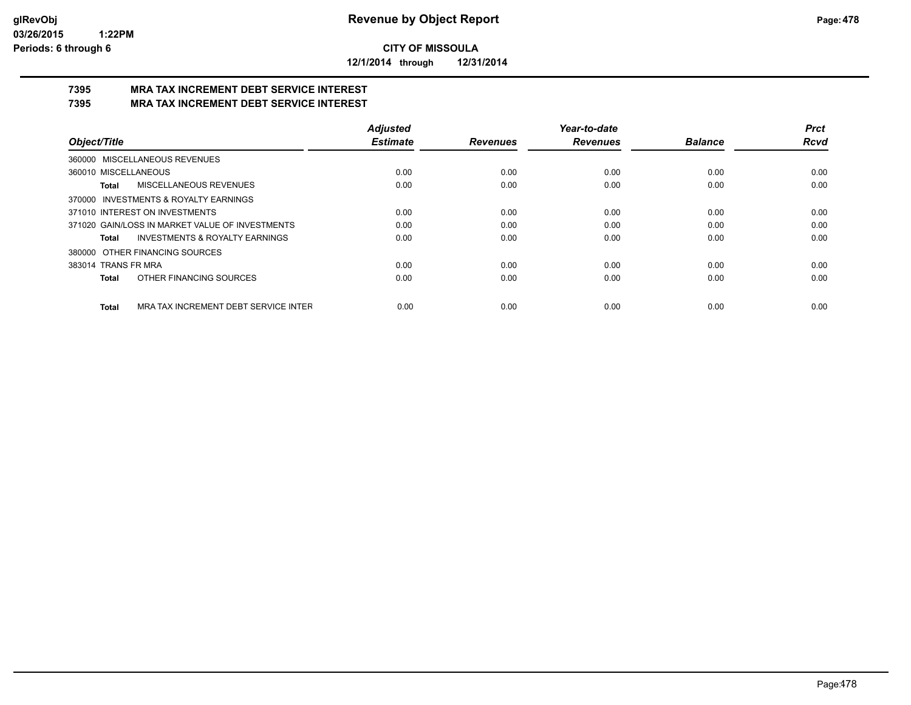**12/1/2014 through 12/31/2014**

#### **7395 MRA TAX INCREMENT DEBT SERVICE INTEREST 7395 MRA TAX INCREMENT DEBT SERVICE INTEREST**

|                                                      | <b>Adjusted</b> |                 | Year-to-date    |                | Prct        |
|------------------------------------------------------|-----------------|-----------------|-----------------|----------------|-------------|
| Object/Title                                         | <b>Estimate</b> | <b>Revenues</b> | <b>Revenues</b> | <b>Balance</b> | <b>Rcvd</b> |
| 360000 MISCELLANEOUS REVENUES                        |                 |                 |                 |                |             |
| 360010 MISCELLANEOUS                                 | 0.00            | 0.00            | 0.00            | 0.00           | 0.00        |
| MISCELLANEOUS REVENUES<br>Total                      | 0.00            | 0.00            | 0.00            | 0.00           | 0.00        |
| 370000 INVESTMENTS & ROYALTY EARNINGS                |                 |                 |                 |                |             |
| 371010 INTEREST ON INVESTMENTS                       | 0.00            | 0.00            | 0.00            | 0.00           | 0.00        |
| 371020 GAIN/LOSS IN MARKET VALUE OF INVESTMENTS      | 0.00            | 0.00            | 0.00            | 0.00           | 0.00        |
| <b>INVESTMENTS &amp; ROYALTY EARNINGS</b><br>Total   | 0.00            | 0.00            | 0.00            | 0.00           | 0.00        |
| OTHER FINANCING SOURCES<br>380000                    |                 |                 |                 |                |             |
| 383014 TRANS FR MRA                                  | 0.00            | 0.00            | 0.00            | 0.00           | 0.00        |
| OTHER FINANCING SOURCES<br>Total                     | 0.00            | 0.00            | 0.00            | 0.00           | 0.00        |
| MRA TAX INCREMENT DEBT SERVICE INTER<br><b>Total</b> | 0.00            | 0.00            | 0.00            | 0.00           | 0.00        |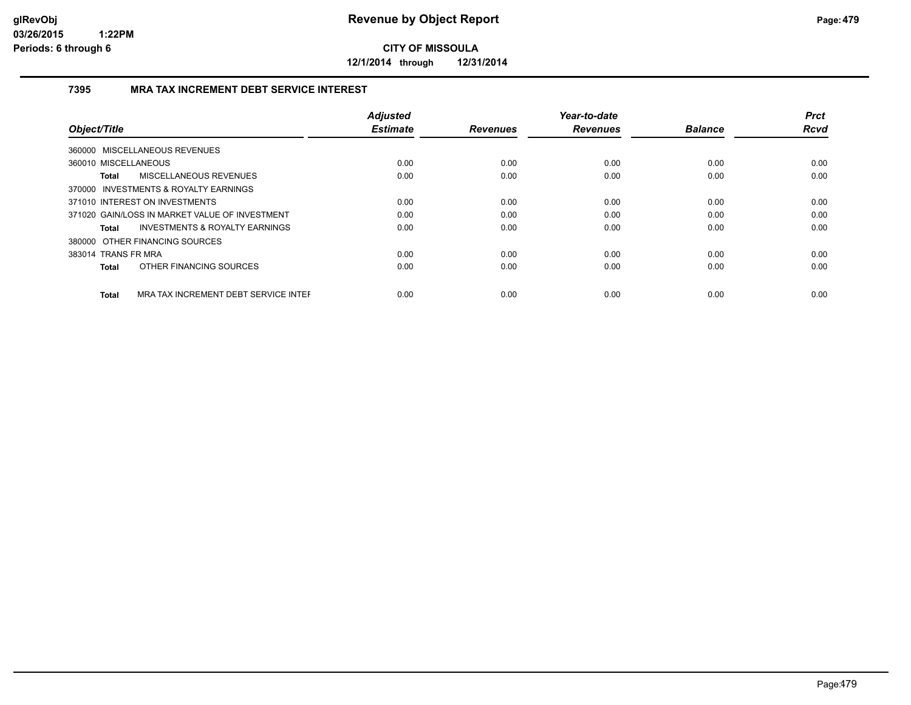**12/1/2014 through 12/31/2014**

### **7395 MRA TAX INCREMENT DEBT SERVICE INTEREST**

| Object/Title                                       | <b>Adjusted</b><br><b>Estimate</b> | <b>Revenues</b> | Year-to-date<br><b>Revenues</b> | <b>Balance</b> | <b>Prct</b><br><b>Rcvd</b> |
|----------------------------------------------------|------------------------------------|-----------------|---------------------------------|----------------|----------------------------|
|                                                    |                                    |                 |                                 |                |                            |
| 360000 MISCELLANEOUS REVENUES                      |                                    |                 |                                 |                |                            |
| 360010 MISCELLANEOUS                               | 0.00                               | 0.00            | 0.00                            | 0.00           | 0.00                       |
| MISCELLANEOUS REVENUES<br>Total                    | 0.00                               | 0.00            | 0.00                            | 0.00           | 0.00                       |
| 370000 INVESTMENTS & ROYALTY EARNINGS              |                                    |                 |                                 |                |                            |
| 371010 INTEREST ON INVESTMENTS                     | 0.00                               | 0.00            | 0.00                            | 0.00           | 0.00                       |
| 371020 GAIN/LOSS IN MARKET VALUE OF INVESTMENT     | 0.00                               | 0.00            | 0.00                            | 0.00           | 0.00                       |
| <b>INVESTMENTS &amp; ROYALTY EARNINGS</b><br>Total | 0.00                               | 0.00            | 0.00                            | 0.00           | 0.00                       |
| 380000 OTHER FINANCING SOURCES                     |                                    |                 |                                 |                |                            |
| 383014 TRANS FR MRA                                | 0.00                               | 0.00            | 0.00                            | 0.00           | 0.00                       |
| OTHER FINANCING SOURCES<br>Total                   | 0.00                               | 0.00            | 0.00                            | 0.00           | 0.00                       |
| MRA TAX INCREMENT DEBT SERVICE INTEF<br>Total      | 0.00                               | 0.00            | 0.00                            | 0.00           | 0.00                       |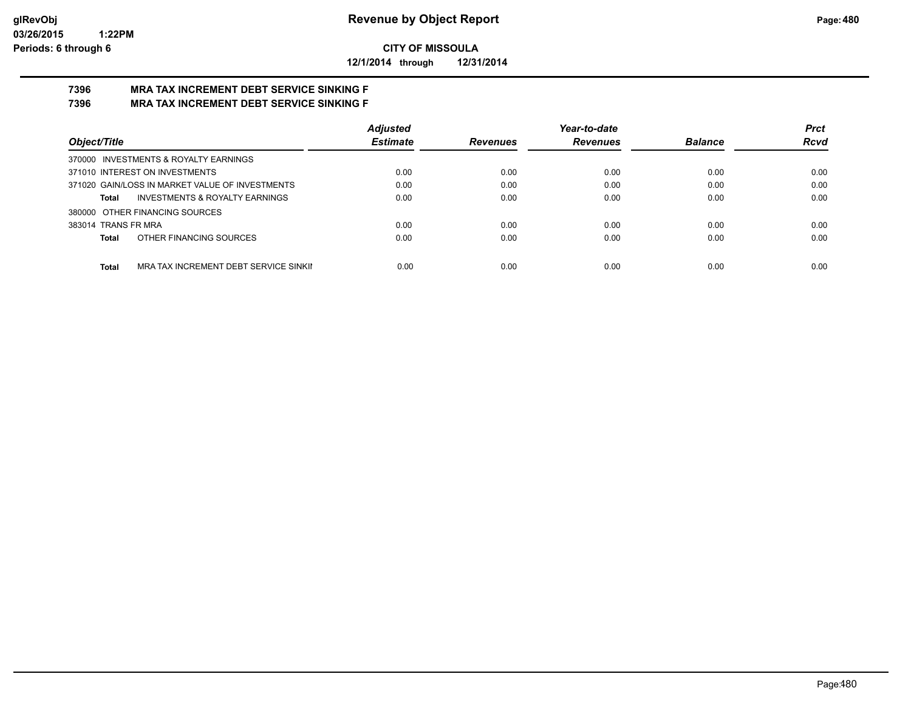**12/1/2014 through 12/31/2014**

#### **7396 MRA TAX INCREMENT DEBT SERVICE SINKING F 7396 MRA TAX INCREMENT DEBT SERVICE SINKING F**

|                                                    | <b>Adiusted</b> |                 | Year-to-date    |                | <b>Prct</b> |
|----------------------------------------------------|-----------------|-----------------|-----------------|----------------|-------------|
| Object/Title                                       | <b>Estimate</b> | <b>Revenues</b> | <b>Revenues</b> | <b>Balance</b> | <b>Rcvd</b> |
| 370000 INVESTMENTS & ROYALTY EARNINGS              |                 |                 |                 |                |             |
| 371010 INTEREST ON INVESTMENTS                     | 0.00            | 0.00            | 0.00            | 0.00           | 0.00        |
| 371020 GAIN/LOSS IN MARKET VALUE OF INVESTMENTS    | 0.00            | 0.00            | 0.00            | 0.00           | 0.00        |
| <b>INVESTMENTS &amp; ROYALTY EARNINGS</b><br>Total | 0.00            | 0.00            | 0.00            | 0.00           | 0.00        |
| 380000 OTHER FINANCING SOURCES                     |                 |                 |                 |                |             |
| 383014 TRANS FR MRA                                | 0.00            | 0.00            | 0.00            | 0.00           | 0.00        |
| OTHER FINANCING SOURCES<br>Total                   | 0.00            | 0.00            | 0.00            | 0.00           | 0.00        |
|                                                    |                 |                 |                 |                |             |
| Total<br>MRA TAX INCREMENT DEBT SERVICE SINKII     | 0.00            | 0.00            | 0.00            | 0.00           | 0.00        |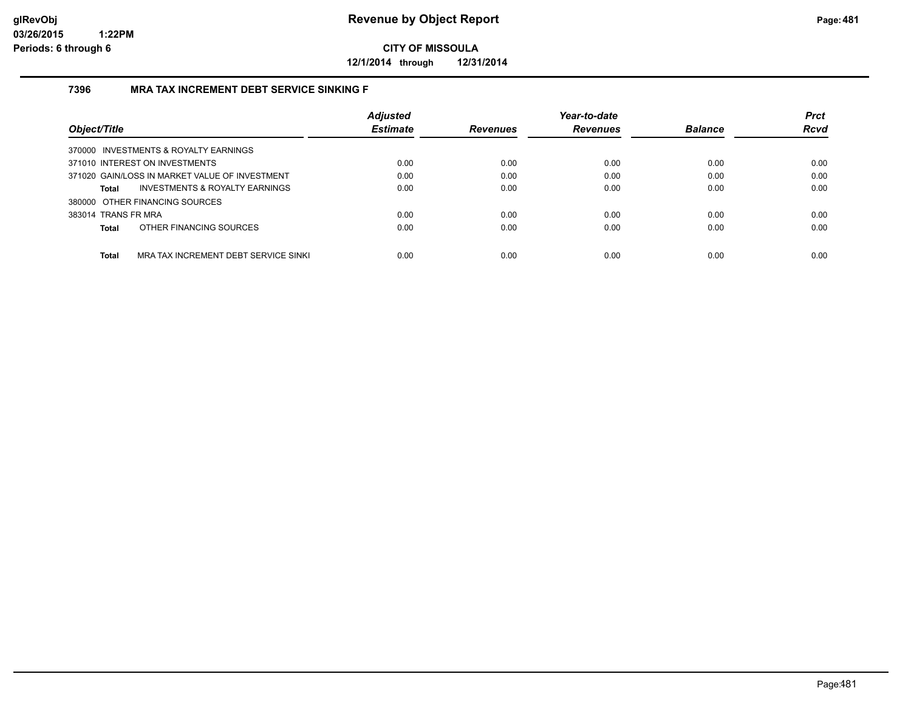**12/1/2014 through 12/31/2014**

### **7396 MRA TAX INCREMENT DEBT SERVICE SINKING F**

|                                                      | <b>Adjusted</b> |                 | Year-to-date    |                | <b>Prct</b> |
|------------------------------------------------------|-----------------|-----------------|-----------------|----------------|-------------|
| Object/Title                                         | <b>Estimate</b> | <b>Revenues</b> | <b>Revenues</b> | <b>Balance</b> | <b>Rcvd</b> |
| 370000 INVESTMENTS & ROYALTY EARNINGS                |                 |                 |                 |                |             |
| 371010 INTEREST ON INVESTMENTS                       | 0.00            | 0.00            | 0.00            | 0.00           | 0.00        |
| 371020 GAIN/LOSS IN MARKET VALUE OF INVESTMENT       | 0.00            | 0.00            | 0.00            | 0.00           | 0.00        |
| INVESTMENTS & ROYALTY EARNINGS<br>Total              | 0.00            | 0.00            | 0.00            | 0.00           | 0.00        |
| 380000 OTHER FINANCING SOURCES                       |                 |                 |                 |                |             |
| 383014 TRANS FR MRA                                  | 0.00            | 0.00            | 0.00            | 0.00           | 0.00        |
| OTHER FINANCING SOURCES<br><b>Total</b>              | 0.00            | 0.00            | 0.00            | 0.00           | 0.00        |
|                                                      |                 |                 |                 |                |             |
| <b>Total</b><br>MRA TAX INCREMENT DEBT SERVICE SINKI | 0.00            | 0.00            | 0.00            | 0.00           | 0.00        |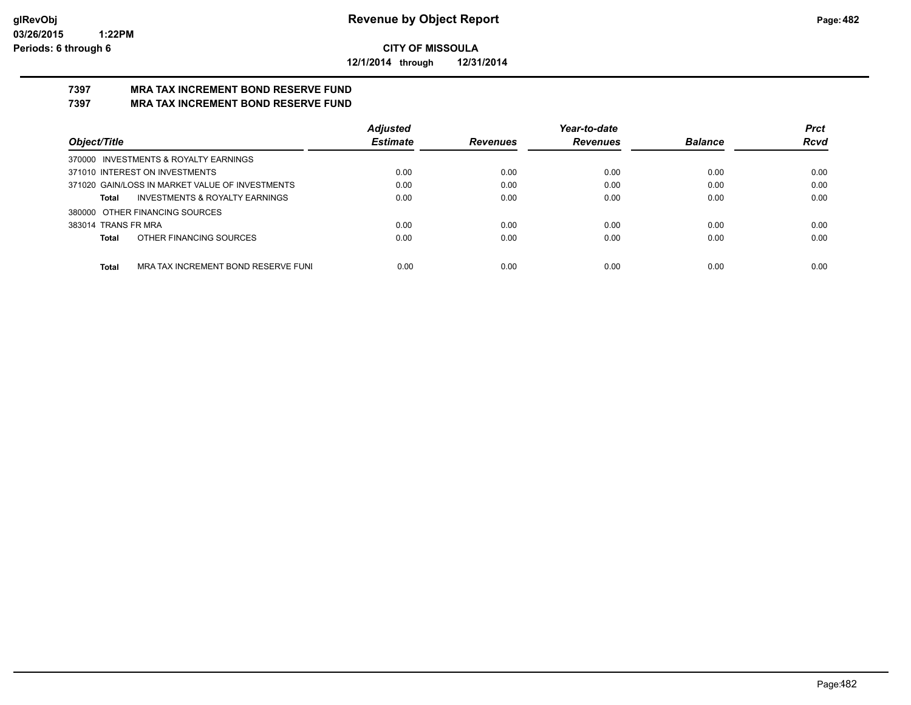**12/1/2014 through 12/31/2014**

#### **7397 MRA TAX INCREMENT BOND RESERVE FUND 7397 MRA TAX INCREMENT BOND RESERVE FUND**

|                                                     | <b>Adjusted</b> |                 | Year-to-date    |                | <b>Prct</b> |
|-----------------------------------------------------|-----------------|-----------------|-----------------|----------------|-------------|
| Object/Title                                        | <b>Estimate</b> | <b>Revenues</b> | <b>Revenues</b> | <b>Balance</b> | <b>Rcvd</b> |
| 370000 INVESTMENTS & ROYALTY EARNINGS               |                 |                 |                 |                |             |
| 371010 INTEREST ON INVESTMENTS                      | 0.00            | 0.00            | 0.00            | 0.00           | 0.00        |
| 371020 GAIN/LOSS IN MARKET VALUE OF INVESTMENTS     | 0.00            | 0.00            | 0.00            | 0.00           | 0.00        |
| INVESTMENTS & ROYALTY EARNINGS<br>Total             | 0.00            | 0.00            | 0.00            | 0.00           | 0.00        |
| 380000 OTHER FINANCING SOURCES                      |                 |                 |                 |                |             |
| 383014 TRANS FR MRA                                 | 0.00            | 0.00            | 0.00            | 0.00           | 0.00        |
| OTHER FINANCING SOURCES<br>Total                    | 0.00            | 0.00            | 0.00            | 0.00           | 0.00        |
|                                                     |                 |                 |                 |                |             |
| <b>Total</b><br>MRA TAX INCREMENT BOND RESERVE FUNI | 0.00            | 0.00            | 0.00            | 0.00           | 0.00        |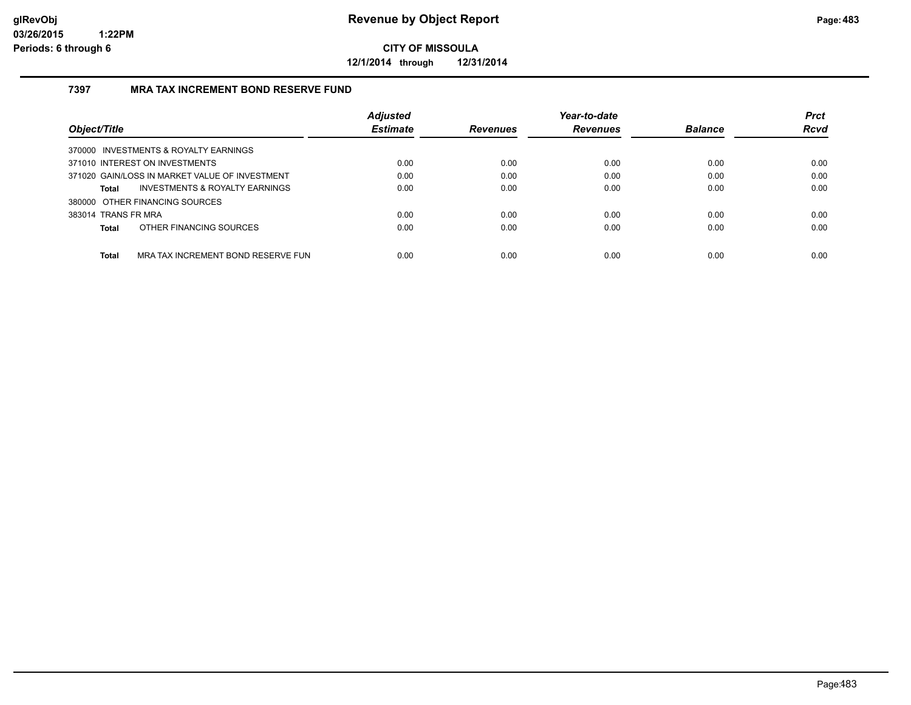**12/1/2014 through 12/31/2014**

### **7397 MRA TAX INCREMENT BOND RESERVE FUND**

| Object/Title        |                                                | <b>Adjusted</b><br><b>Estimate</b> | <b>Revenues</b> | Year-to-date<br><b>Revenues</b> | <b>Balance</b> | <b>Prct</b><br><b>Rcvd</b> |
|---------------------|------------------------------------------------|------------------------------------|-----------------|---------------------------------|----------------|----------------------------|
|                     | 370000 INVESTMENTS & ROYALTY EARNINGS          |                                    |                 |                                 |                |                            |
|                     | 371010 INTEREST ON INVESTMENTS                 | 0.00                               | 0.00            | 0.00                            | 0.00           | 0.00                       |
|                     | 371020 GAIN/LOSS IN MARKET VALUE OF INVESTMENT | 0.00                               | 0.00            | 0.00                            | 0.00           | 0.00                       |
| Total               | <b>INVESTMENTS &amp; ROYALTY EARNINGS</b>      | 0.00                               | 0.00            | 0.00                            | 0.00           | 0.00                       |
|                     | 380000 OTHER FINANCING SOURCES                 |                                    |                 |                                 |                |                            |
| 383014 TRANS FR MRA |                                                | 0.00                               | 0.00            | 0.00                            | 0.00           | 0.00                       |
| Total               | OTHER FINANCING SOURCES                        | 0.00                               | 0.00            | 0.00                            | 0.00           | 0.00                       |
| <b>Total</b>        | MRA TAX INCREMENT BOND RESERVE FUN             | 0.00                               | 0.00            | 0.00                            | 0.00           | 0.00                       |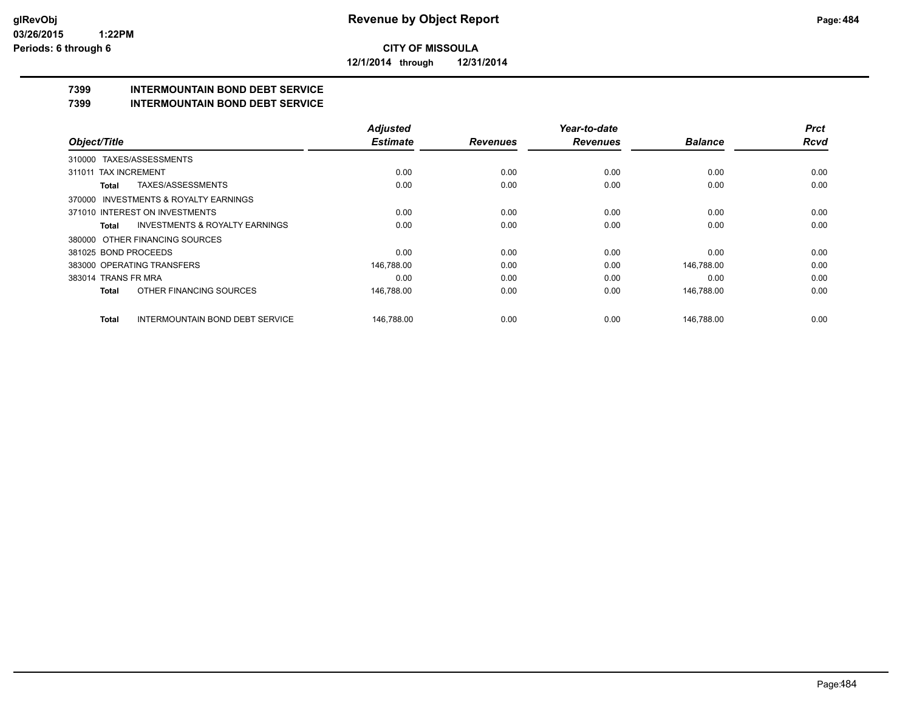**12/1/2014 through 12/31/2014**

# **7399 INTERMOUNTAIN BOND DEBT SERVICE**

**7399 INTERMOUNTAIN BOND DEBT SERVICE**

|                      |                                           | <b>Adjusted</b> |                 | Year-to-date    |                | <b>Prct</b> |
|----------------------|-------------------------------------------|-----------------|-----------------|-----------------|----------------|-------------|
| Object/Title         |                                           | <b>Estimate</b> | <b>Revenues</b> | <b>Revenues</b> | <b>Balance</b> | <b>Rcvd</b> |
|                      | 310000 TAXES/ASSESSMENTS                  |                 |                 |                 |                |             |
| 311011               | <b>TAX INCREMENT</b>                      | 0.00            | 0.00            | 0.00            | 0.00           | 0.00        |
| Total                | TAXES/ASSESSMENTS                         | 0.00            | 0.00            | 0.00            | 0.00           | 0.00        |
|                      | 370000 INVESTMENTS & ROYALTY EARNINGS     |                 |                 |                 |                |             |
|                      | 371010 INTEREST ON INVESTMENTS            | 0.00            | 0.00            | 0.00            | 0.00           | 0.00        |
| Total                | <b>INVESTMENTS &amp; ROYALTY EARNINGS</b> | 0.00            | 0.00            | 0.00            | 0.00           | 0.00        |
|                      | 380000 OTHER FINANCING SOURCES            |                 |                 |                 |                |             |
| 381025 BOND PROCEEDS |                                           | 0.00            | 0.00            | 0.00            | 0.00           | 0.00        |
|                      | 383000 OPERATING TRANSFERS                | 146,788.00      | 0.00            | 0.00            | 146,788.00     | 0.00        |
| 383014 TRANS FR MRA  |                                           | 0.00            | 0.00            | 0.00            | 0.00           | 0.00        |
| <b>Total</b>         | OTHER FINANCING SOURCES                   | 146,788.00      | 0.00            | 0.00            | 146,788.00     | 0.00        |
| Total                | <b>INTERMOUNTAIN BOND DEBT SERVICE</b>    | 146.788.00      | 0.00            | 0.00            | 146.788.00     | 0.00        |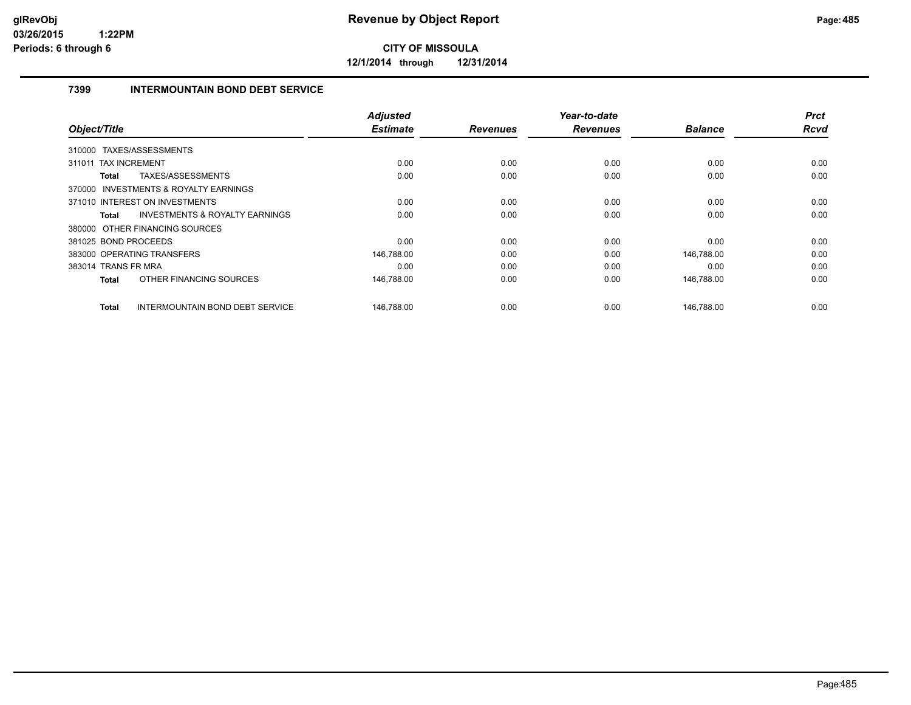**12/1/2014 through 12/31/2014**

### **7399 INTERMOUNTAIN BOND DEBT SERVICE**

| Object/Title                                       | <b>Adjusted</b><br><b>Estimate</b> | <b>Revenues</b> | Year-to-date<br><b>Revenues</b> | <b>Balance</b> | <b>Prct</b><br><b>Rcvd</b> |
|----------------------------------------------------|------------------------------------|-----------------|---------------------------------|----------------|----------------------------|
|                                                    |                                    |                 |                                 |                |                            |
| 310000 TAXES/ASSESSMENTS                           |                                    |                 |                                 |                |                            |
| 311011 TAX INCREMENT                               | 0.00                               | 0.00            | 0.00                            | 0.00           | 0.00                       |
| TAXES/ASSESSMENTS<br>Total                         | 0.00                               | 0.00            | 0.00                            | 0.00           | 0.00                       |
| 370000 INVESTMENTS & ROYALTY EARNINGS              |                                    |                 |                                 |                |                            |
| 371010 INTEREST ON INVESTMENTS                     | 0.00                               | 0.00            | 0.00                            | 0.00           | 0.00                       |
| <b>INVESTMENTS &amp; ROYALTY EARNINGS</b><br>Total | 0.00                               | 0.00            | 0.00                            | 0.00           | 0.00                       |
| 380000 OTHER FINANCING SOURCES                     |                                    |                 |                                 |                |                            |
| 381025 BOND PROCEEDS                               | 0.00                               | 0.00            | 0.00                            | 0.00           | 0.00                       |
| 383000 OPERATING TRANSFERS                         | 146,788.00                         | 0.00            | 0.00                            | 146,788.00     | 0.00                       |
| 383014 TRANS FR MRA                                | 0.00                               | 0.00            | 0.00                            | 0.00           | 0.00                       |
| OTHER FINANCING SOURCES<br>Total                   | 146,788.00                         | 0.00            | 0.00                            | 146,788.00     | 0.00                       |
| <b>INTERMOUNTAIN BOND DEBT SERVICE</b><br>Total    | 146,788.00                         | 0.00            | 0.00                            | 146,788.00     | 0.00                       |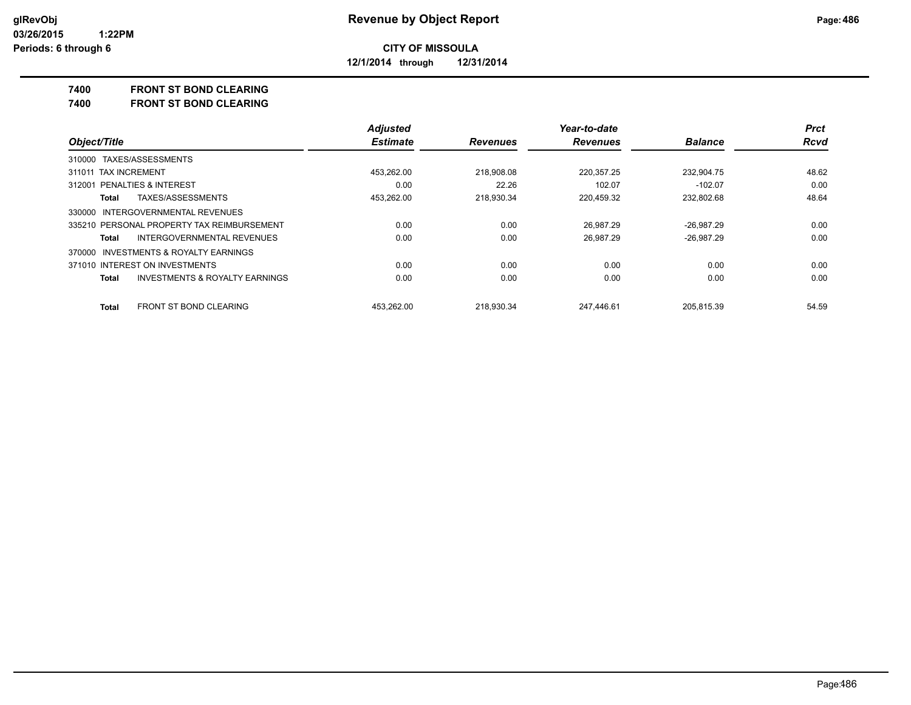**12/1/2014 through 12/31/2014**

#### **7400 FRONT ST BOND CLEARING**

**7400 FRONT ST BOND CLEARING**

|                                                    | <b>Adjusted</b> |                 | Year-to-date    |                | <b>Prct</b> |
|----------------------------------------------------|-----------------|-----------------|-----------------|----------------|-------------|
| Object/Title                                       | <b>Estimate</b> | <b>Revenues</b> | <b>Revenues</b> | <b>Balance</b> | <b>Rcvd</b> |
| 310000 TAXES/ASSESSMENTS                           |                 |                 |                 |                |             |
| 311011 TAX INCREMENT                               | 453.262.00      | 218,908.08      | 220.357.25      | 232.904.75     | 48.62       |
| PENALTIES & INTEREST<br>312001                     | 0.00            | 22.26           | 102.07          | $-102.07$      | 0.00        |
| TAXES/ASSESSMENTS<br>Total                         | 453.262.00      | 218,930.34      | 220.459.32      | 232.802.68     | 48.64       |
| 330000 INTERGOVERNMENTAL REVENUES                  |                 |                 |                 |                |             |
| 335210 PERSONAL PROPERTY TAX REIMBURSEMENT         | 0.00            | 0.00            | 26.987.29       | $-26.987.29$   | 0.00        |
| INTERGOVERNMENTAL REVENUES<br>Total                | 0.00            | 0.00            | 26.987.29       | $-26.987.29$   | 0.00        |
| 370000 INVESTMENTS & ROYALTY EARNINGS              |                 |                 |                 |                |             |
| 371010 INTEREST ON INVESTMENTS                     | 0.00            | 0.00            | 0.00            | 0.00           | 0.00        |
| <b>INVESTMENTS &amp; ROYALTY EARNINGS</b><br>Total | 0.00            | 0.00            | 0.00            | 0.00           | 0.00        |
| <b>FRONT ST BOND CLEARING</b><br><b>Total</b>      | 453.262.00      | 218.930.34      | 247.446.61      | 205.815.39     | 54.59       |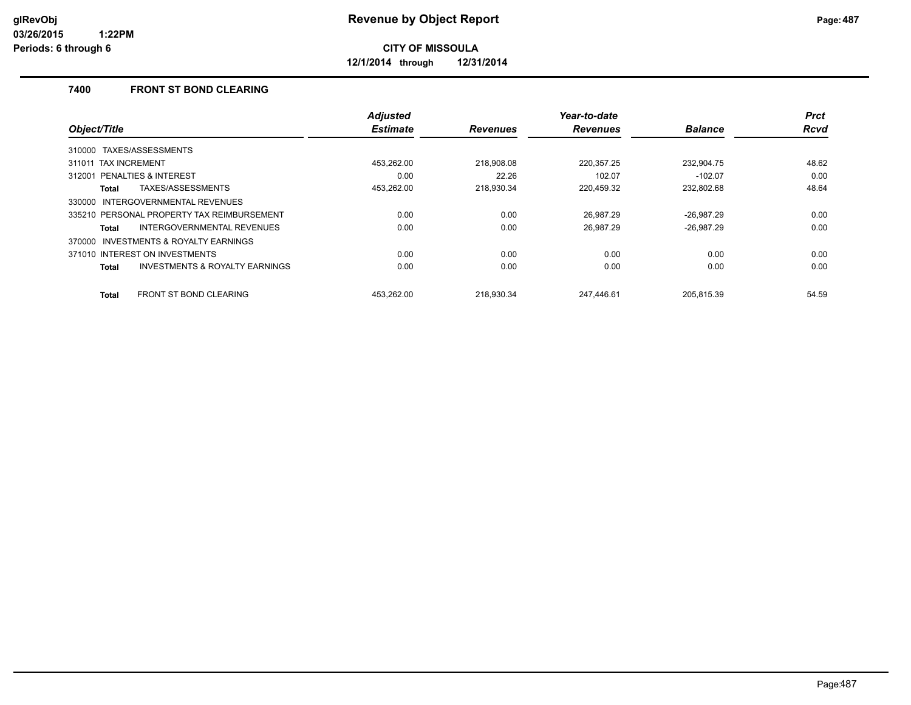**12/1/2014 through 12/31/2014**

### **7400 FRONT ST BOND CLEARING**

|                                                           | <b>Adjusted</b> |                 | Year-to-date    |                | <b>Prct</b> |
|-----------------------------------------------------------|-----------------|-----------------|-----------------|----------------|-------------|
| Object/Title                                              | <b>Estimate</b> | <b>Revenues</b> | <b>Revenues</b> | <b>Balance</b> | Rcvd        |
| TAXES/ASSESSMENTS<br>310000                               |                 |                 |                 |                |             |
| 311011 TAX INCREMENT                                      | 453.262.00      | 218,908.08      | 220.357.25      | 232.904.75     | 48.62       |
| PENALTIES & INTEREST<br>312001                            | 0.00            | 22.26           | 102.07          | $-102.07$      | 0.00        |
| TAXES/ASSESSMENTS<br>Total                                | 453,262.00      | 218,930.34      | 220,459.32      | 232,802.68     | 48.64       |
| INTERGOVERNMENTAL REVENUES<br>330000                      |                 |                 |                 |                |             |
| 335210 PERSONAL PROPERTY TAX REIMBURSEMENT                | 0.00            | 0.00            | 26.987.29       | $-26,987.29$   | 0.00        |
| <b>INTERGOVERNMENTAL REVENUES</b><br>Total                | 0.00            | 0.00            | 26.987.29       | $-26,987.29$   | 0.00        |
| INVESTMENTS & ROYALTY EARNINGS<br>370000                  |                 |                 |                 |                |             |
| 371010 INTEREST ON INVESTMENTS                            | 0.00            | 0.00            | 0.00            | 0.00           | 0.00        |
| <b>INVESTMENTS &amp; ROYALTY EARNINGS</b><br><b>Total</b> | 0.00            | 0.00            | 0.00            | 0.00           | 0.00        |
| <b>FRONT ST BOND CLEARING</b><br><b>Total</b>             | 453.262.00      | 218.930.34      | 247.446.61      | 205.815.39     | 54.59       |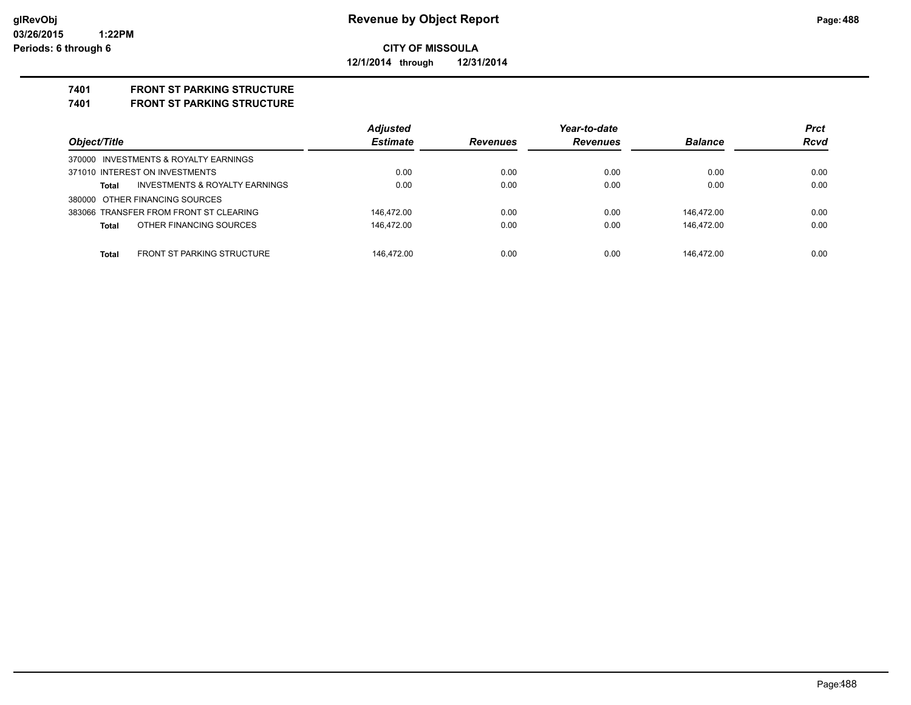**12/1/2014 through 12/31/2014**

# **7401 FRONT ST PARKING STRUCTURE**

#### **7401 FRONT ST PARKING STRUCTURE**

|                                            | <b>Adjusted</b> |                 | Year-to-date    |                | <b>Prct</b> |
|--------------------------------------------|-----------------|-----------------|-----------------|----------------|-------------|
| Object/Title                               | <b>Estimate</b> | <b>Revenues</b> | <b>Revenues</b> | <b>Balance</b> | <b>Rcvd</b> |
| 370000 INVESTMENTS & ROYALTY EARNINGS      |                 |                 |                 |                |             |
| 371010 INTEREST ON INVESTMENTS             | 0.00            | 0.00            | 0.00            | 0.00           | 0.00        |
| INVESTMENTS & ROYALTY EARNINGS<br>Total    | 0.00            | 0.00            | 0.00            | 0.00           | 0.00        |
| 380000 OTHER FINANCING SOURCES             |                 |                 |                 |                |             |
| 383066 TRANSFER FROM FRONT ST CLEARING     | 146.472.00      | 0.00            | 0.00            | 146.472.00     | 0.00        |
| OTHER FINANCING SOURCES<br><b>Total</b>    | 146.472.00      | 0.00            | 0.00            | 146.472.00     | 0.00        |
|                                            |                 |                 |                 |                |             |
| <b>FRONT ST PARKING STRUCTURE</b><br>Total | 146.472.00      | 0.00            | 0.00            | 146.472.00     | 0.00        |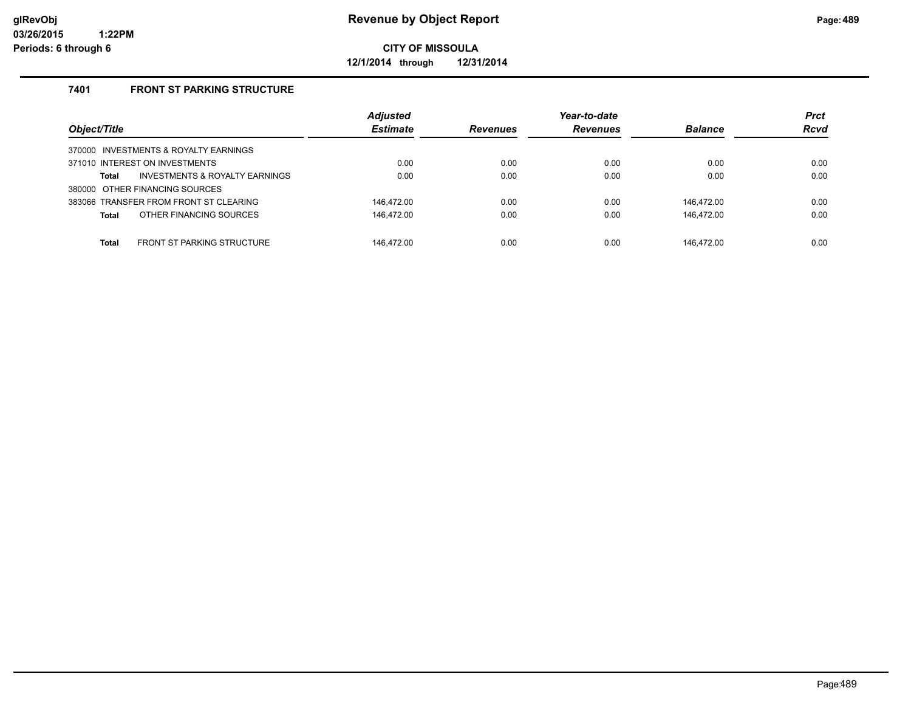**12/1/2014 through 12/31/2014**

### **7401 FRONT ST PARKING STRUCTURE**

| Object/Title                                      | <b>Adjusted</b><br><b>Estimate</b> | <b>Revenues</b> | Year-to-date<br><b>Revenues</b> | <b>Balance</b> | <b>Prct</b><br><b>Rcvd</b> |
|---------------------------------------------------|------------------------------------|-----------------|---------------------------------|----------------|----------------------------|
| 370000 INVESTMENTS & ROYALTY EARNINGS             |                                    |                 |                                 |                |                            |
| 371010 INTEREST ON INVESTMENTS                    | 0.00                               | 0.00            | 0.00                            | 0.00           | 0.00                       |
| INVESTMENTS & ROYALTY EARNINGS<br>Total           | 0.00                               | 0.00            | 0.00                            | 0.00           | 0.00                       |
| 380000 OTHER FINANCING SOURCES                    |                                    |                 |                                 |                |                            |
| 383066 TRANSFER FROM FRONT ST CLEARING            | 146.472.00                         | 0.00            | 0.00                            | 146.472.00     | 0.00                       |
| OTHER FINANCING SOURCES<br><b>Total</b>           | 146,472.00                         | 0.00            | 0.00                            | 146.472.00     | 0.00                       |
|                                                   |                                    |                 |                                 |                |                            |
| <b>FRONT ST PARKING STRUCTURE</b><br><b>Total</b> | 146.472.00                         | 0.00            | 0.00                            | 146.472.00     | 0.00                       |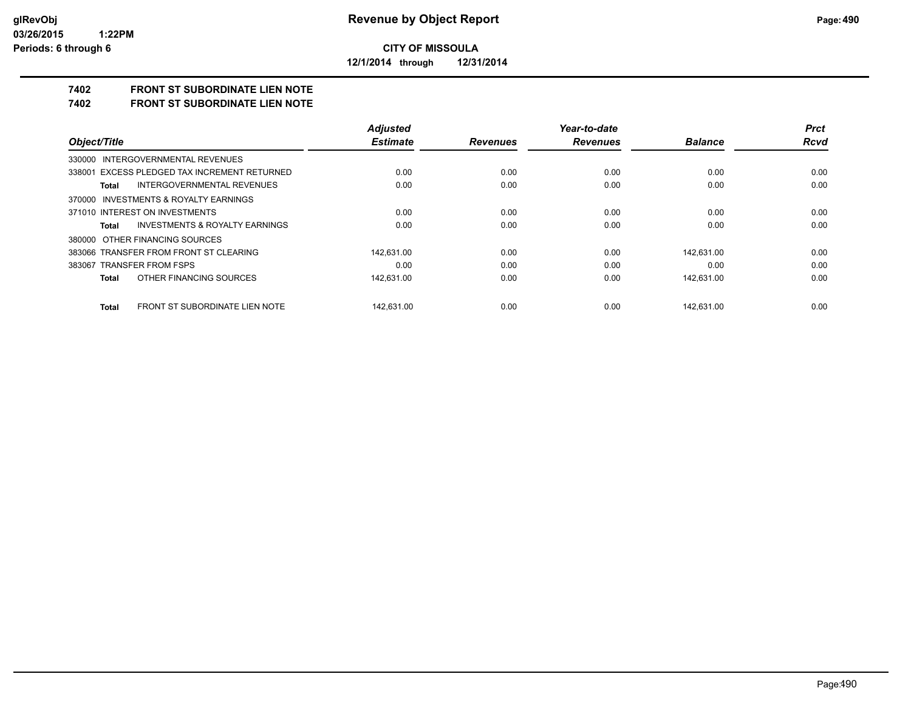**12/1/2014 through 12/31/2014**

# **7402 FRONT ST SUBORDINATE LIEN NOTE**

**7402 FRONT ST SUBORDINATE LIEN NOTE**

|                                                    | <b>Adiusted</b> |                 | Year-to-date    |                | <b>Prct</b> |
|----------------------------------------------------|-----------------|-----------------|-----------------|----------------|-------------|
| Object/Title                                       | <b>Estimate</b> | <b>Revenues</b> | <b>Revenues</b> | <b>Balance</b> | <b>Rcvd</b> |
| 330000 INTERGOVERNMENTAL REVENUES                  |                 |                 |                 |                |             |
| 338001 EXCESS PLEDGED TAX INCREMENT RETURNED       | 0.00            | 0.00            | 0.00            | 0.00           | 0.00        |
| INTERGOVERNMENTAL REVENUES<br>Total                | 0.00            | 0.00            | 0.00            | 0.00           | 0.00        |
| 370000 INVESTMENTS & ROYALTY EARNINGS              |                 |                 |                 |                |             |
| 371010 INTEREST ON INVESTMENTS                     | 0.00            | 0.00            | 0.00            | 0.00           | 0.00        |
| <b>INVESTMENTS &amp; ROYALTY EARNINGS</b><br>Total | 0.00            | 0.00            | 0.00            | 0.00           | 0.00        |
| 380000 OTHER FINANCING SOURCES                     |                 |                 |                 |                |             |
| 383066 TRANSFER FROM FRONT ST CLEARING             | 142.631.00      | 0.00            | 0.00            | 142.631.00     | 0.00        |
| 383067 TRANSFER FROM FSPS                          | 0.00            | 0.00            | 0.00            | 0.00           | 0.00        |
| OTHER FINANCING SOURCES<br>Total                   | 142,631.00      | 0.00            | 0.00            | 142,631.00     | 0.00        |
| FRONT ST SUBORDINATE LIEN NOTE<br>Total            | 142.631.00      | 0.00            | 0.00            | 142.631.00     | 0.00        |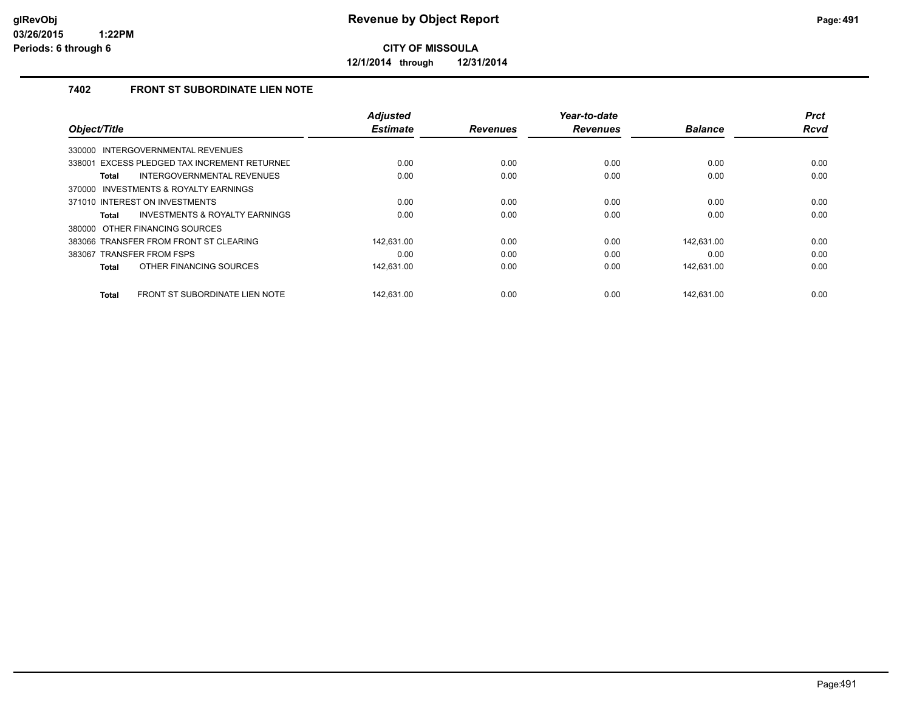**12/1/2014 through 12/31/2014**

### **7402 FRONT ST SUBORDINATE LIEN NOTE**

|                                                | <b>Adjusted</b> |                 | Year-to-date    |                | <b>Prct</b> |
|------------------------------------------------|-----------------|-----------------|-----------------|----------------|-------------|
| Object/Title                                   | <b>Estimate</b> | <b>Revenues</b> | <b>Revenues</b> | <b>Balance</b> | <b>Rcvd</b> |
| INTERGOVERNMENTAL REVENUES<br>330000           |                 |                 |                 |                |             |
| 338001 EXCESS PLEDGED TAX INCREMENT RETURNED   | 0.00            | 0.00            | 0.00            | 0.00           | 0.00        |
| INTERGOVERNMENTAL REVENUES<br><b>Total</b>     | 0.00            | 0.00            | 0.00            | 0.00           | 0.00        |
| 370000 INVESTMENTS & ROYALTY EARNINGS          |                 |                 |                 |                |             |
| 371010 INTEREST ON INVESTMENTS                 | 0.00            | 0.00            | 0.00            | 0.00           | 0.00        |
| INVESTMENTS & ROYALTY EARNINGS<br>Total        | 0.00            | 0.00            | 0.00            | 0.00           | 0.00        |
| 380000 OTHER FINANCING SOURCES                 |                 |                 |                 |                |             |
| 383066 TRANSFER FROM FRONT ST CLEARING         | 142.631.00      | 0.00            | 0.00            | 142.631.00     | 0.00        |
| 383067 TRANSFER FROM FSPS                      | 0.00            | 0.00            | 0.00            | 0.00           | 0.00        |
| OTHER FINANCING SOURCES<br><b>Total</b>        | 142,631.00      | 0.00            | 0.00            | 142,631.00     | 0.00        |
| FRONT ST SUBORDINATE LIEN NOTE<br><b>Total</b> | 142.631.00      | 0.00            | 0.00            | 142.631.00     | 0.00        |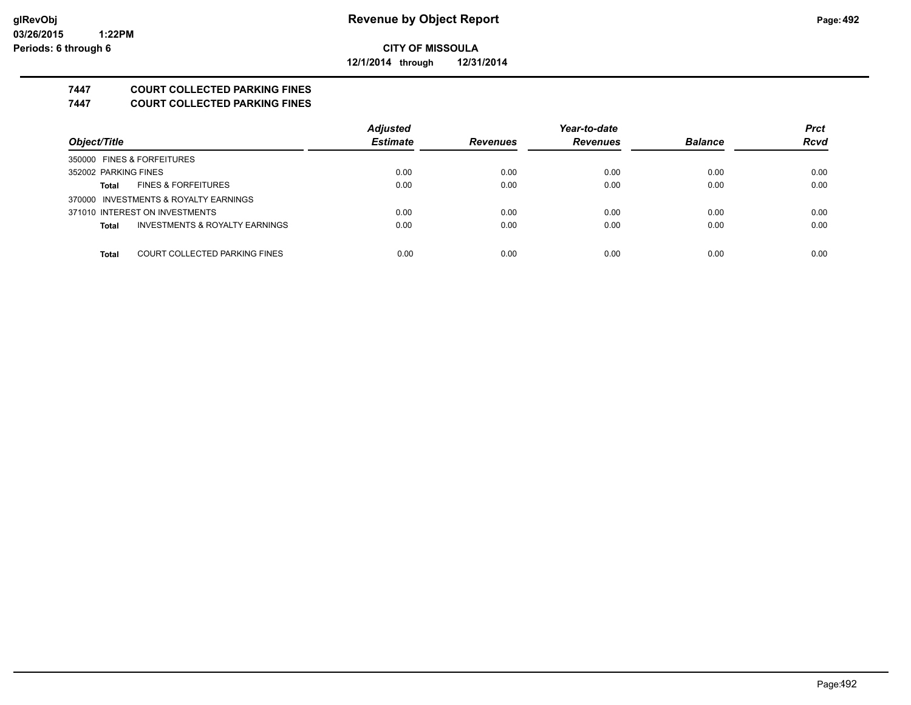**12/1/2014 through 12/31/2014**

# **7447 COURT COLLECTED PARKING FINES**

**7447 COURT COLLECTED PARKING FINES**

|                                                | <b>Adjusted</b> |                 | Year-to-date    |                | <b>Prct</b> |
|------------------------------------------------|-----------------|-----------------|-----------------|----------------|-------------|
| Object/Title                                   | <b>Estimate</b> | <b>Revenues</b> | <b>Revenues</b> | <b>Balance</b> | <b>Rcvd</b> |
| 350000 FINES & FORFEITURES                     |                 |                 |                 |                |             |
| 352002 PARKING FINES                           | 0.00            | 0.00            | 0.00            | 0.00           | 0.00        |
| <b>FINES &amp; FORFEITURES</b><br><b>Total</b> | 0.00            | 0.00            | 0.00            | 0.00           | 0.00        |
| 370000 INVESTMENTS & ROYALTY EARNINGS          |                 |                 |                 |                |             |
| 371010 INTEREST ON INVESTMENTS                 | 0.00            | 0.00            | 0.00            | 0.00           | 0.00        |
| INVESTMENTS & ROYALTY EARNINGS<br><b>Total</b> | 0.00            | 0.00            | 0.00            | 0.00           | 0.00        |
|                                                |                 |                 |                 |                |             |
| COURT COLLECTED PARKING FINES<br><b>Total</b>  | 0.00            | 0.00            | 0.00            | 0.00           | 0.00        |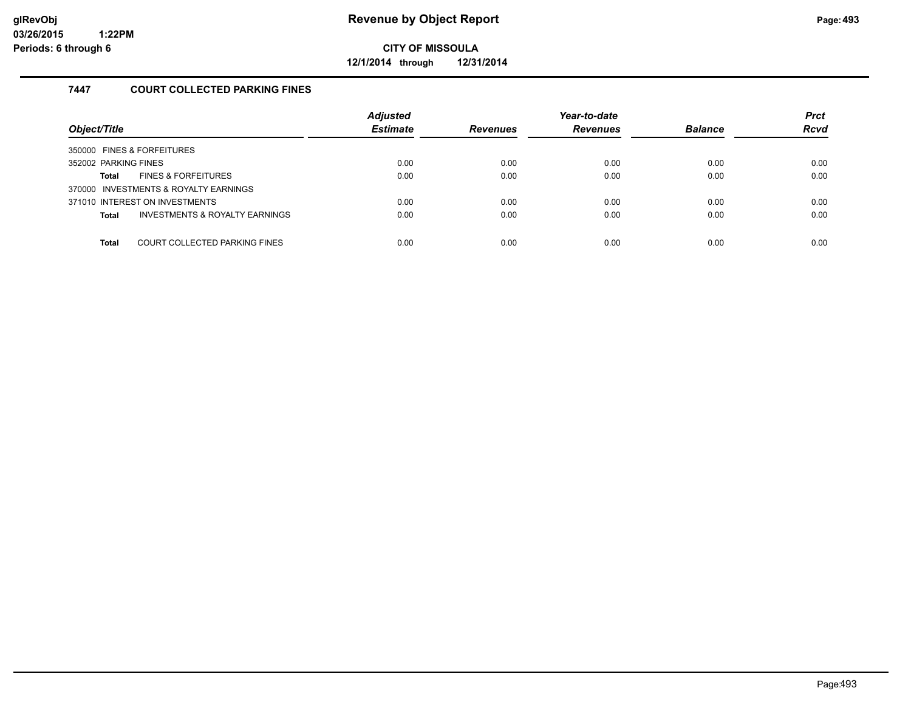**12/1/2014 through 12/31/2014**

### **7447 COURT COLLECTED PARKING FINES**

| Object/Title                                   | <b>Adjusted</b><br><b>Estimate</b> | <b>Revenues</b> | Year-to-date<br><b>Revenues</b> | <b>Balance</b> | <b>Prct</b><br><b>Rcvd</b> |
|------------------------------------------------|------------------------------------|-----------------|---------------------------------|----------------|----------------------------|
| 350000 FINES & FORFEITURES                     |                                    |                 |                                 |                |                            |
| 352002 PARKING FINES                           | 0.00                               | 0.00            | 0.00                            | 0.00           | 0.00                       |
| <b>FINES &amp; FORFEITURES</b><br>Total        | 0.00                               | 0.00            | 0.00                            | 0.00           | 0.00                       |
| 370000 INVESTMENTS & ROYALTY EARNINGS          |                                    |                 |                                 |                |                            |
| 371010 INTEREST ON INVESTMENTS                 | 0.00                               | 0.00            | 0.00                            | 0.00           | 0.00                       |
| INVESTMENTS & ROYALTY EARNINGS<br><b>Total</b> | 0.00                               | 0.00            | 0.00                            | 0.00           | 0.00                       |
|                                                |                                    |                 |                                 |                |                            |
| COURT COLLECTED PARKING FINES<br><b>Total</b>  | 0.00                               | 0.00            | 0.00                            | 0.00           | 0.00                       |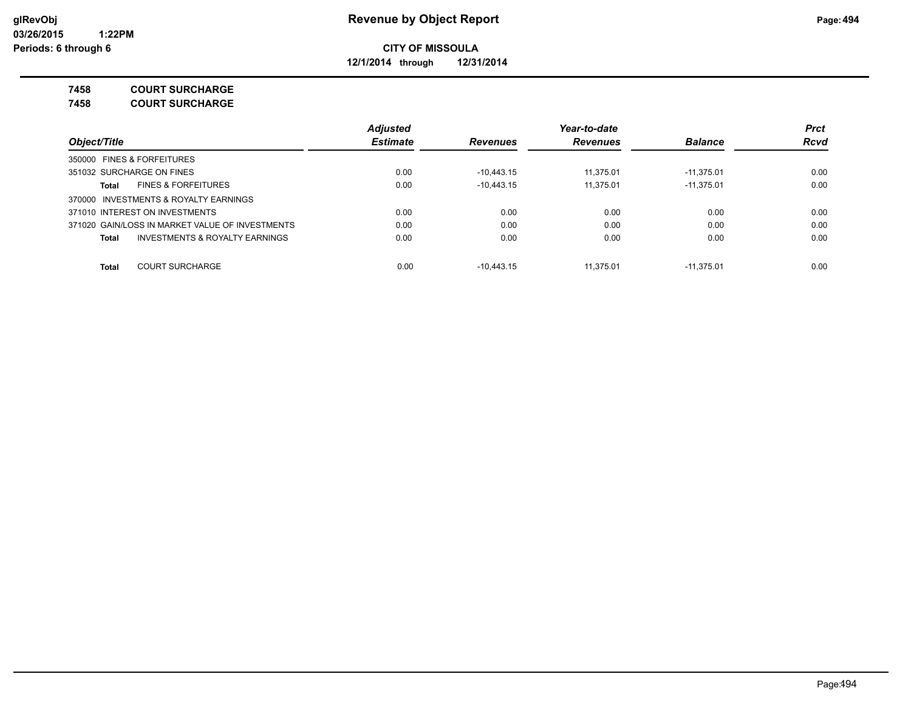**12/1/2014 through 12/31/2014**

**7458 COURT SURCHARGE**

**7458 COURT SURCHARGE**

|                                                 | <b>Adjusted</b> |                 | Year-to-date    |                | <b>Prct</b> |
|-------------------------------------------------|-----------------|-----------------|-----------------|----------------|-------------|
| Object/Title                                    | <b>Estimate</b> | <b>Revenues</b> | <b>Revenues</b> | <b>Balance</b> | <b>Rcvd</b> |
| 350000 FINES & FORFEITURES                      |                 |                 |                 |                |             |
| 351032 SURCHARGE ON FINES                       | 0.00            | $-10.443.15$    | 11.375.01       | $-11.375.01$   | 0.00        |
| <b>FINES &amp; FORFEITURES</b><br>Total         | 0.00            | $-10.443.15$    | 11.375.01       | $-11.375.01$   | 0.00        |
| 370000 INVESTMENTS & ROYALTY EARNINGS           |                 |                 |                 |                |             |
| 371010 INTEREST ON INVESTMENTS                  | 0.00            | 0.00            | 0.00            | 0.00           | 0.00        |
| 371020 GAIN/LOSS IN MARKET VALUE OF INVESTMENTS | 0.00            | 0.00            | 0.00            | 0.00           | 0.00        |
| INVESTMENTS & ROYALTY EARNINGS<br><b>Total</b>  | 0.00            | 0.00            | 0.00            | 0.00           | 0.00        |
| <b>COURT SURCHARGE</b><br><b>Total</b>          | 0.00            | $-10.443.15$    | 11.375.01       | $-11.375.01$   | 0.00        |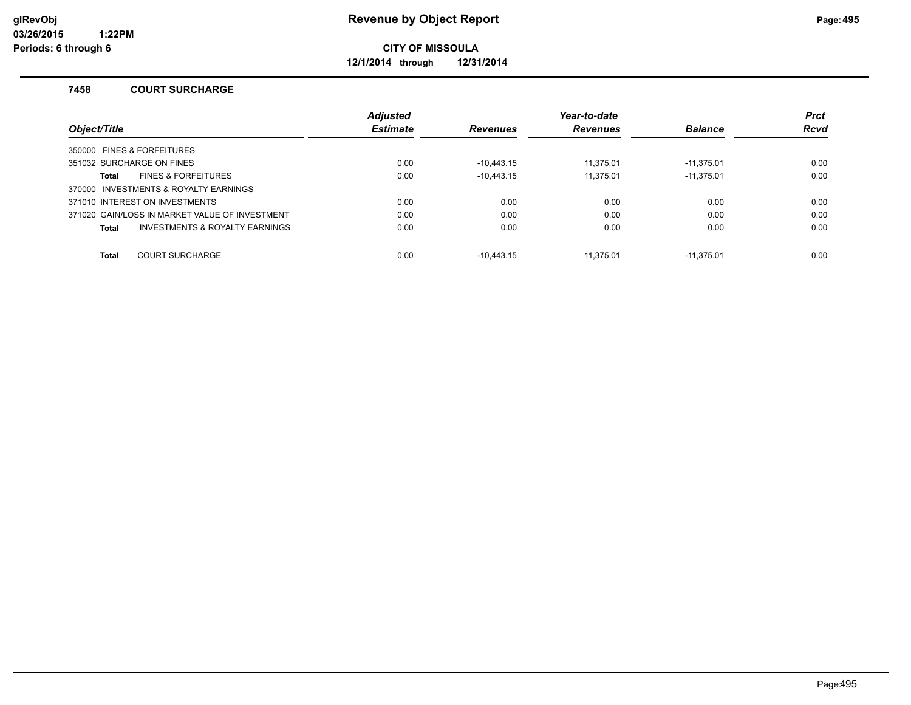**12/1/2014 through 12/31/2014**

#### **7458 COURT SURCHARGE**

|                                                | <b>Adjusted</b> |                 | Year-to-date    |                | <b>Prct</b> |
|------------------------------------------------|-----------------|-----------------|-----------------|----------------|-------------|
| Object/Title                                   | <b>Estimate</b> | <b>Revenues</b> | <b>Revenues</b> | <b>Balance</b> | <b>Rcvd</b> |
| 350000 FINES & FORFEITURES                     |                 |                 |                 |                |             |
| 351032 SURCHARGE ON FINES                      | 0.00            | $-10.443.15$    | 11.375.01       | $-11.375.01$   | 0.00        |
| <b>FINES &amp; FORFEITURES</b><br><b>Total</b> | 0.00            | $-10,443.15$    | 11.375.01       | $-11,375.01$   | 0.00        |
| 370000 INVESTMENTS & ROYALTY EARNINGS          |                 |                 |                 |                |             |
| 371010 INTEREST ON INVESTMENTS                 | 0.00            | 0.00            | 0.00            | 0.00           | 0.00        |
| 371020 GAIN/LOSS IN MARKET VALUE OF INVESTMENT | 0.00            | 0.00            | 0.00            | 0.00           | 0.00        |
| INVESTMENTS & ROYALTY EARNINGS<br><b>Total</b> | 0.00            | 0.00            | 0.00            | 0.00           | 0.00        |
| <b>COURT SURCHARGE</b><br><b>Total</b>         | 0.00            | $-10.443.15$    | 11.375.01       | $-11.375.01$   | 0.00        |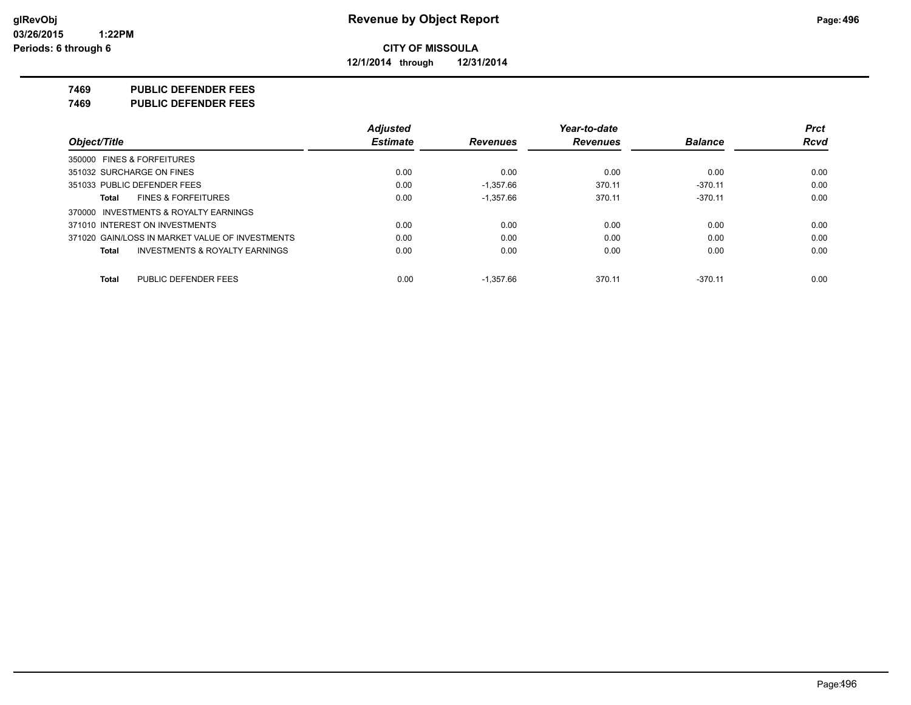**12/1/2014 through 12/31/2014**

### **7469 PUBLIC DEFENDER FEES**

**7469 PUBLIC DEFENDER FEES**

|                                                    | <b>Adjusted</b> |                 | Year-to-date    |                | <b>Prct</b> |
|----------------------------------------------------|-----------------|-----------------|-----------------|----------------|-------------|
| Object/Title                                       | <b>Estimate</b> | <b>Revenues</b> | <b>Revenues</b> | <b>Balance</b> | <b>Rcvd</b> |
| 350000 FINES & FORFEITURES                         |                 |                 |                 |                |             |
| 351032 SURCHARGE ON FINES                          | 0.00            | 0.00            | 0.00            | 0.00           | 0.00        |
| 351033 PUBLIC DEFENDER FEES                        | 0.00            | $-1.357.66$     | 370.11          | $-370.11$      | 0.00        |
| <b>FINES &amp; FORFEITURES</b><br>Total            | 0.00            | $-1,357.66$     | 370.11          | $-370.11$      | 0.00        |
| 370000 INVESTMENTS & ROYALTY EARNINGS              |                 |                 |                 |                |             |
| 371010 INTEREST ON INVESTMENTS                     | 0.00            | 0.00            | 0.00            | 0.00           | 0.00        |
| 371020 GAIN/LOSS IN MARKET VALUE OF INVESTMENTS    | 0.00            | 0.00            | 0.00            | 0.00           | 0.00        |
| <b>INVESTMENTS &amp; ROYALTY EARNINGS</b><br>Total | 0.00            | 0.00            | 0.00            | 0.00           | 0.00        |
| PUBLIC DEFENDER FEES<br>Total                      | 0.00            | $-1.357.66$     | 370.11          | $-370.11$      | 0.00        |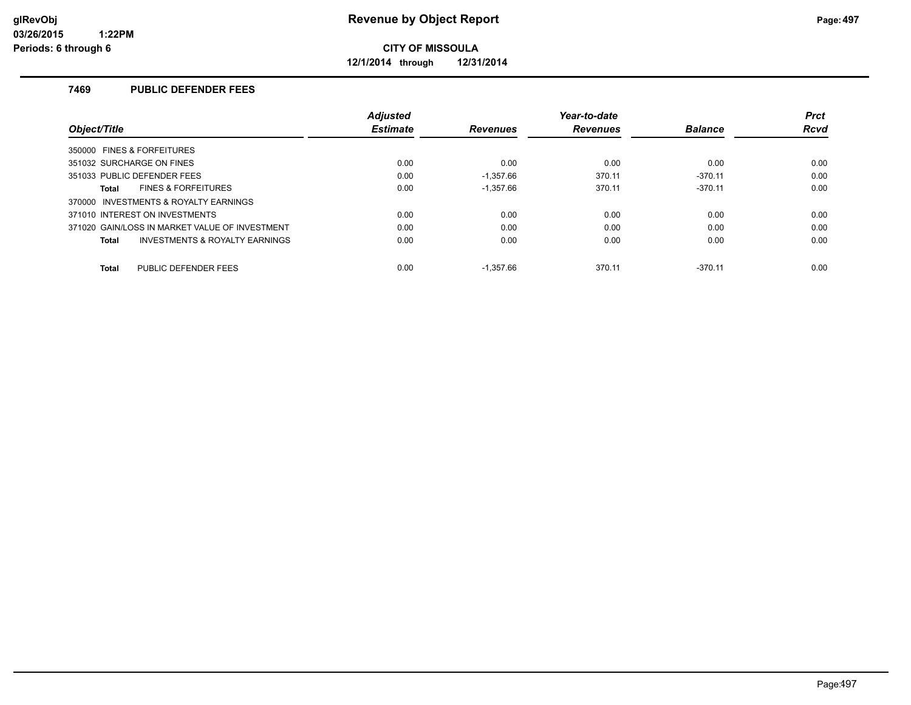**12/1/2014 through 12/31/2014**

### **7469 PUBLIC DEFENDER FEES**

|                                                | <b>Adiusted</b> |                 | Year-to-date    |                | <b>Prct</b> |
|------------------------------------------------|-----------------|-----------------|-----------------|----------------|-------------|
| Object/Title                                   | <b>Estimate</b> | <b>Revenues</b> | <b>Revenues</b> | <b>Balance</b> | <b>Rcvd</b> |
| 350000 FINES & FORFEITURES                     |                 |                 |                 |                |             |
| 351032 SURCHARGE ON FINES                      | 0.00            | 0.00            | 0.00            | 0.00           | 0.00        |
| 351033 PUBLIC DEFENDER FEES                    | 0.00            | $-1.357.66$     | 370.11          | $-370.11$      | 0.00        |
| <b>FINES &amp; FORFEITURES</b><br>Total        | 0.00            | $-1,357.66$     | 370.11          | $-370.11$      | 0.00        |
| 370000 INVESTMENTS & ROYALTY EARNINGS          |                 |                 |                 |                |             |
| 371010 INTEREST ON INVESTMENTS                 | 0.00            | 0.00            | 0.00            | 0.00           | 0.00        |
| 371020 GAIN/LOSS IN MARKET VALUE OF INVESTMENT | 0.00            | 0.00            | 0.00            | 0.00           | 0.00        |
| INVESTMENTS & ROYALTY EARNINGS<br><b>Total</b> | 0.00            | 0.00            | 0.00            | 0.00           | 0.00        |
| PUBLIC DEFENDER FEES<br><b>Total</b>           | 0.00            | $-1.357.66$     | 370.11          | $-370.11$      | 0.00        |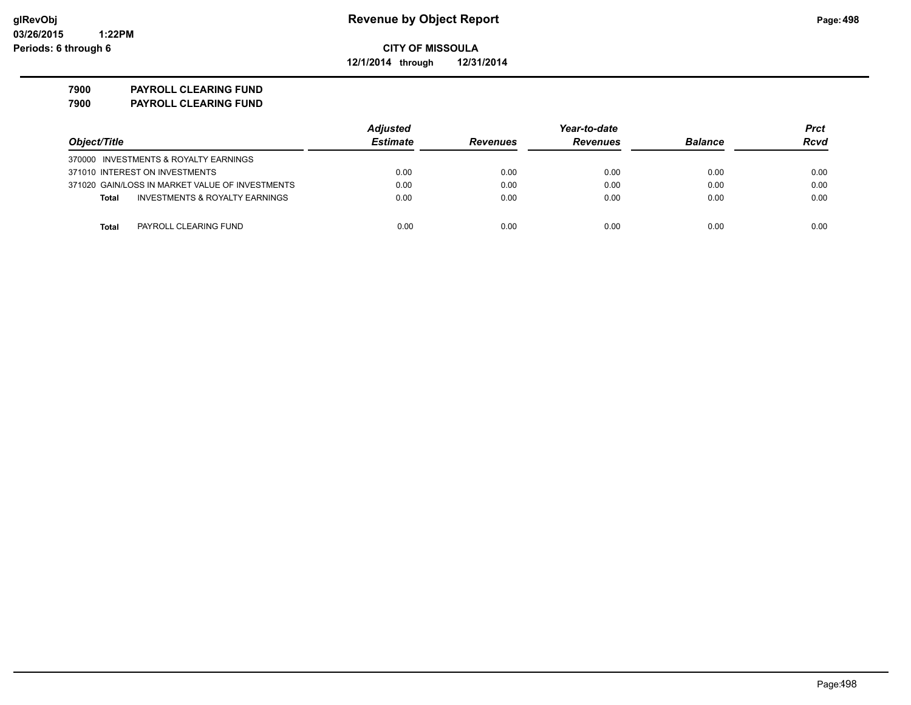**12/1/2014 through 12/31/2014**

**7900 PAYROLL CLEARING FUND**

**7900 PAYROLL CLEARING FUND**

|                                                 | <b>Adjusted</b> |                 | Year-to-date    |                |             |
|-------------------------------------------------|-----------------|-----------------|-----------------|----------------|-------------|
| Object/Title                                    | <b>Estimate</b> | <b>Revenues</b> | <b>Revenues</b> | <b>Balance</b> | <b>Rcvd</b> |
| 370000 INVESTMENTS & ROYALTY EARNINGS           |                 |                 |                 |                |             |
| 371010 INTEREST ON INVESTMENTS                  | 0.00            | 0.00            | 0.00            | 0.00           | 0.00        |
| 371020 GAIN/LOSS IN MARKET VALUE OF INVESTMENTS | 0.00            | 0.00            | 0.00            | 0.00           | 0.00        |
| INVESTMENTS & ROYALTY EARNINGS<br><b>Total</b>  | 0.00            | 0.00            | 0.00            | 0.00           | 0.00        |
| PAYROLL CLEARING FUND<br>Total                  | 0.00            | 0.00            | 0.00            | 0.00           | 0.00        |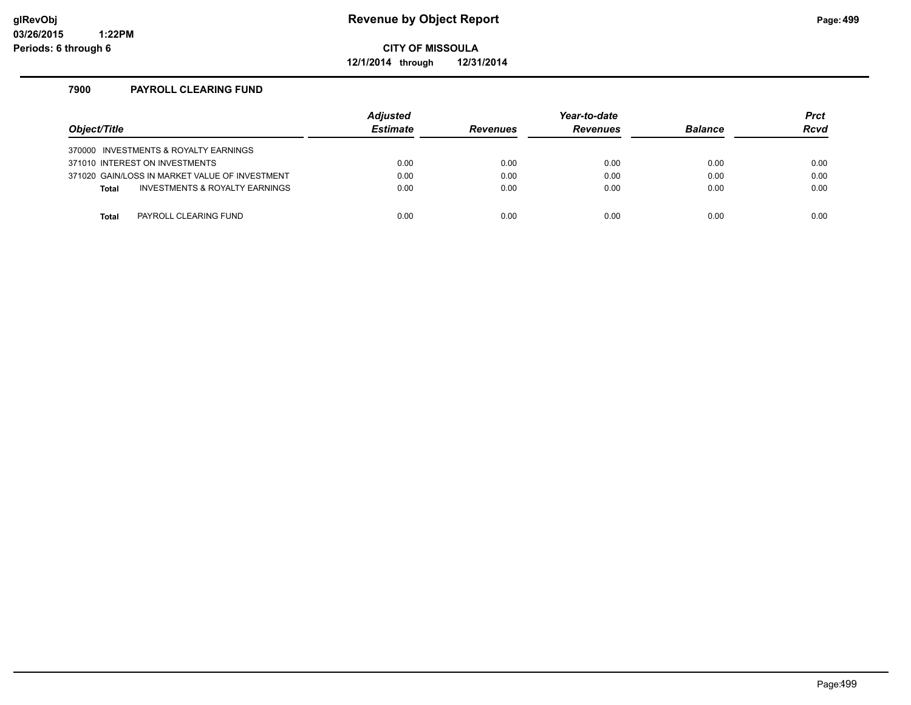**12/1/2014 through 12/31/2014**

### **7900 PAYROLL CLEARING FUND**

| Object/Title |                                                | <b>Adjusted</b><br><b>Estimate</b> | <b>Revenues</b> | Year-to-date<br><b>Revenues</b> | <b>Balance</b> | <b>Prct</b><br>Rcvd |
|--------------|------------------------------------------------|------------------------------------|-----------------|---------------------------------|----------------|---------------------|
|              | 370000 INVESTMENTS & ROYALTY EARNINGS          |                                    |                 |                                 |                |                     |
|              | 371010 INTEREST ON INVESTMENTS                 | 0.00                               | 0.00            | 0.00                            | 0.00           | 0.00                |
|              | 371020 GAIN/LOSS IN MARKET VALUE OF INVESTMENT | 0.00                               | 0.00            | 0.00                            | 0.00           | 0.00                |
| <b>Total</b> | <b>INVESTMENTS &amp; ROYALTY EARNINGS</b>      | 0.00                               | 0.00            | 0.00                            | 0.00           | 0.00                |
|              |                                                |                                    |                 |                                 |                |                     |
| Total        | PAYROLL CLEARING FUND                          | 0.00                               | 0.00            | 0.00                            | 0.00           | 0.00                |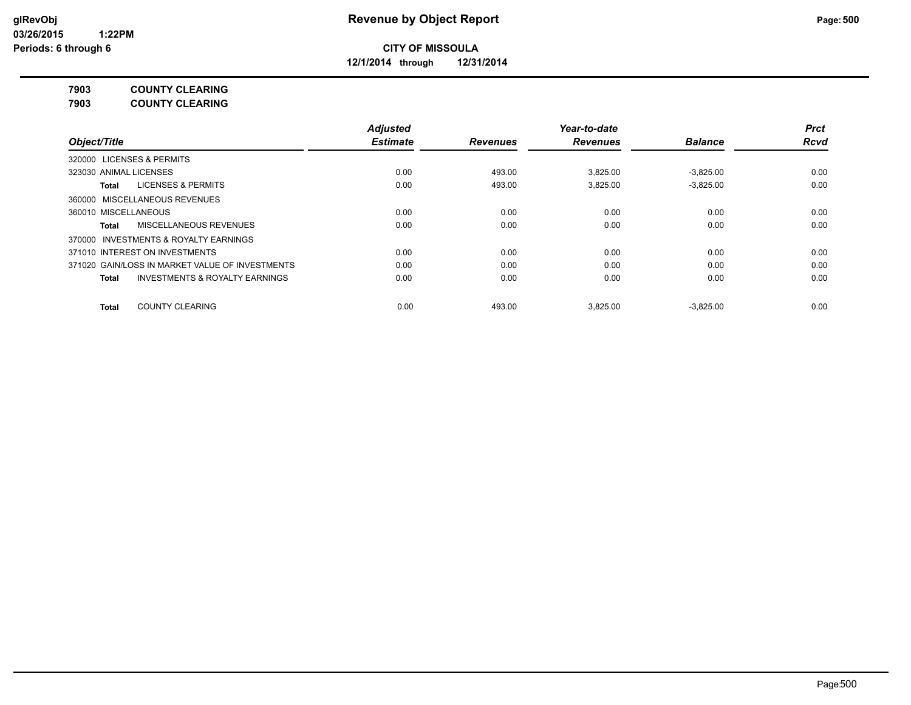**12/1/2014 through 12/31/2014**

**7903 COUNTY CLEARING**

**7903 COUNTY CLEARING**

|                                                           | <b>Adjusted</b> |                 | Year-to-date    |                | <b>Prct</b> |
|-----------------------------------------------------------|-----------------|-----------------|-----------------|----------------|-------------|
| Object/Title                                              | <b>Estimate</b> | <b>Revenues</b> | <b>Revenues</b> | <b>Balance</b> | <b>Rcvd</b> |
| 320000 LICENSES & PERMITS                                 |                 |                 |                 |                |             |
| 323030 ANIMAL LICENSES                                    | 0.00            | 493.00          | 3.825.00        | $-3.825.00$    | 0.00        |
| <b>LICENSES &amp; PERMITS</b><br>Total                    | 0.00            | 493.00          | 3,825.00        | $-3,825.00$    | 0.00        |
| 360000 MISCELLANEOUS REVENUES                             |                 |                 |                 |                |             |
| 360010 MISCELLANEOUS                                      | 0.00            | 0.00            | 0.00            | 0.00           | 0.00        |
| MISCELLANEOUS REVENUES<br>Total                           | 0.00            | 0.00            | 0.00            | 0.00           | 0.00        |
| 370000 INVESTMENTS & ROYALTY EARNINGS                     |                 |                 |                 |                |             |
| 371010 INTEREST ON INVESTMENTS                            | 0.00            | 0.00            | 0.00            | 0.00           | 0.00        |
| 371020 GAIN/LOSS IN MARKET VALUE OF INVESTMENTS           | 0.00            | 0.00            | 0.00            | 0.00           | 0.00        |
| <b>INVESTMENTS &amp; ROYALTY EARNINGS</b><br><b>Total</b> | 0.00            | 0.00            | 0.00            | 0.00           | 0.00        |
| <b>COUNTY CLEARING</b><br><b>Total</b>                    | 0.00            | 493.00          | 3.825.00        | $-3,825.00$    | 0.00        |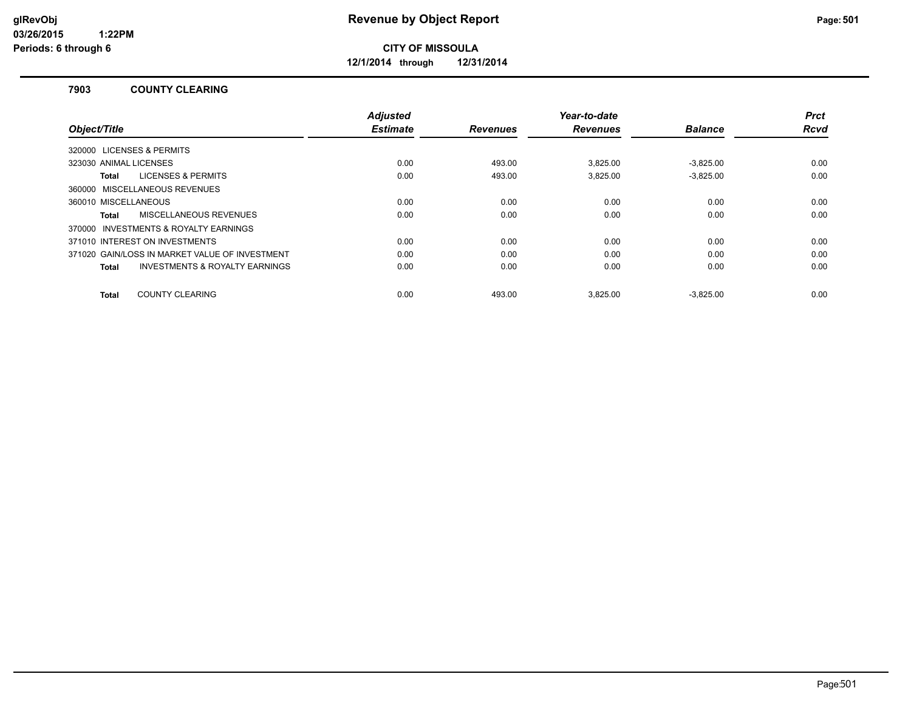**12/1/2014 through 12/31/2014**

#### **7903 COUNTY CLEARING**

|                                                           | <b>Adjusted</b> |                 | Year-to-date    |                | <b>Prct</b> |
|-----------------------------------------------------------|-----------------|-----------------|-----------------|----------------|-------------|
| Object/Title                                              | <b>Estimate</b> | <b>Revenues</b> | <b>Revenues</b> | <b>Balance</b> | <b>Rcvd</b> |
| 320000 LICENSES & PERMITS                                 |                 |                 |                 |                |             |
| 323030 ANIMAL LICENSES                                    | 0.00            | 493.00          | 3.825.00        | $-3,825.00$    | 0.00        |
| LICENSES & PERMITS<br>Total                               | 0.00            | 493.00          | 3,825.00        | $-3,825.00$    | 0.00        |
| 360000 MISCELLANEOUS REVENUES                             |                 |                 |                 |                |             |
| 360010 MISCELLANEOUS                                      | 0.00            | 0.00            | 0.00            | 0.00           | 0.00        |
| MISCELLANEOUS REVENUES<br>Total                           | 0.00            | 0.00            | 0.00            | 0.00           | 0.00        |
| 370000 INVESTMENTS & ROYALTY EARNINGS                     |                 |                 |                 |                |             |
| 371010 INTEREST ON INVESTMENTS                            | 0.00            | 0.00            | 0.00            | 0.00           | 0.00        |
| 371020 GAIN/LOSS IN MARKET VALUE OF INVESTMENT            | 0.00            | 0.00            | 0.00            | 0.00           | 0.00        |
| <b>INVESTMENTS &amp; ROYALTY EARNINGS</b><br><b>Total</b> | 0.00            | 0.00            | 0.00            | 0.00           | 0.00        |
|                                                           |                 |                 |                 |                |             |
| <b>COUNTY CLEARING</b><br><b>Total</b>                    | 0.00            | 493.00          | 3.825.00        | $-3.825.00$    | 0.00        |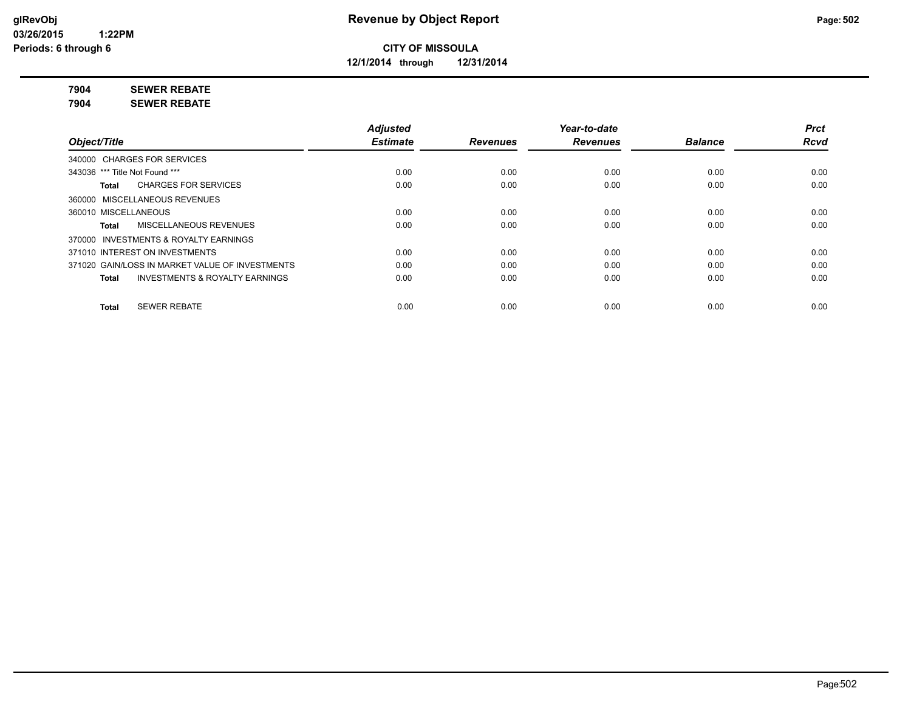**12/1/2014 through 12/31/2014**

**7904 SEWER REBATE**

**7904 SEWER REBATE**

|                                                           | <b>Adjusted</b> |                 | Year-to-date    |                | <b>Prct</b> |
|-----------------------------------------------------------|-----------------|-----------------|-----------------|----------------|-------------|
| Object/Title                                              | <b>Estimate</b> | <b>Revenues</b> | <b>Revenues</b> | <b>Balance</b> | <b>Rcvd</b> |
| 340000 CHARGES FOR SERVICES                               |                 |                 |                 |                |             |
| 343036 *** Title Not Found ***                            | 0.00            | 0.00            | 0.00            | 0.00           | 0.00        |
| <b>CHARGES FOR SERVICES</b><br>Total                      | 0.00            | 0.00            | 0.00            | 0.00           | 0.00        |
| 360000 MISCELLANEOUS REVENUES                             |                 |                 |                 |                |             |
| 360010 MISCELLANEOUS                                      | 0.00            | 0.00            | 0.00            | 0.00           | 0.00        |
| MISCELLANEOUS REVENUES<br>Total                           | 0.00            | 0.00            | 0.00            | 0.00           | 0.00        |
| 370000 INVESTMENTS & ROYALTY EARNINGS                     |                 |                 |                 |                |             |
| 371010 INTEREST ON INVESTMENTS                            | 0.00            | 0.00            | 0.00            | 0.00           | 0.00        |
| 371020 GAIN/LOSS IN MARKET VALUE OF INVESTMENTS           | 0.00            | 0.00            | 0.00            | 0.00           | 0.00        |
| <b>INVESTMENTS &amp; ROYALTY EARNINGS</b><br><b>Total</b> | 0.00            | 0.00            | 0.00            | 0.00           | 0.00        |
| <b>SEWER REBATE</b><br><b>Total</b>                       | 0.00            | 0.00            | 0.00            | 0.00           | 0.00        |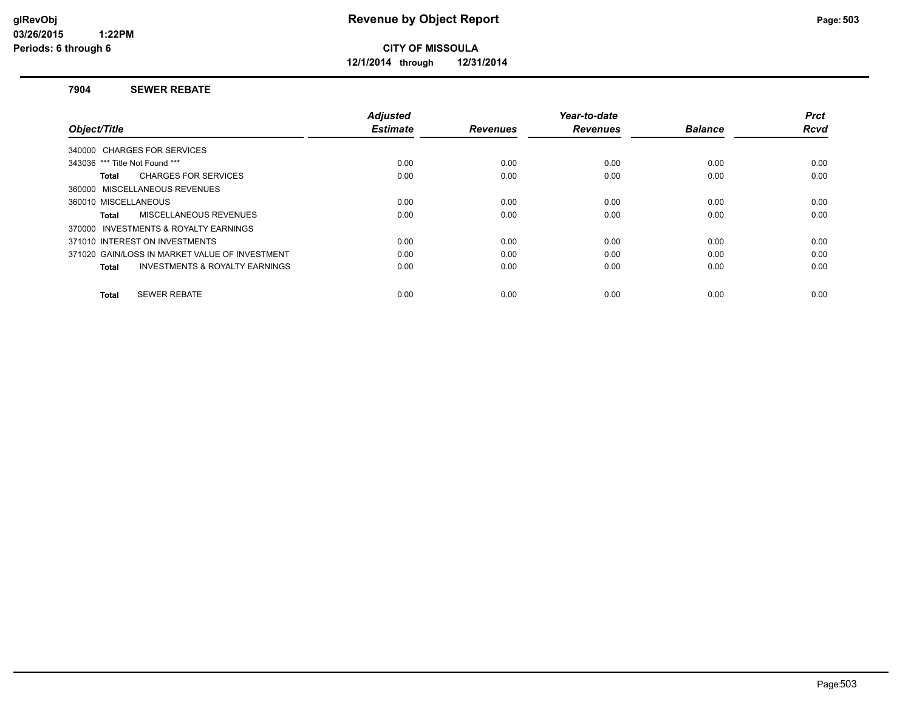**12/1/2014 through 12/31/2014**

#### **7904 SEWER REBATE**

| Object/Title                                              | <b>Adjusted</b><br><b>Estimate</b> | <b>Revenues</b> | Year-to-date<br><b>Revenues</b> | <b>Balance</b> | <b>Prct</b><br><b>Rcvd</b> |
|-----------------------------------------------------------|------------------------------------|-----------------|---------------------------------|----------------|----------------------------|
| 340000 CHARGES FOR SERVICES                               |                                    |                 |                                 |                |                            |
| 343036 *** Title Not Found ***                            | 0.00                               | 0.00            | 0.00                            | 0.00           | 0.00                       |
|                                                           |                                    |                 |                                 |                |                            |
| <b>CHARGES FOR SERVICES</b><br>Total                      | 0.00                               | 0.00            | 0.00                            | 0.00           | 0.00                       |
| 360000 MISCELLANEOUS REVENUES                             |                                    |                 |                                 |                |                            |
| 360010 MISCELLANEOUS                                      | 0.00                               | 0.00            | 0.00                            | 0.00           | 0.00                       |
| MISCELLANEOUS REVENUES<br>Total                           | 0.00                               | 0.00            | 0.00                            | 0.00           | 0.00                       |
| 370000 INVESTMENTS & ROYALTY EARNINGS                     |                                    |                 |                                 |                |                            |
| 371010 INTEREST ON INVESTMENTS                            | 0.00                               | 0.00            | 0.00                            | 0.00           | 0.00                       |
| 371020 GAIN/LOSS IN MARKET VALUE OF INVESTMENT            | 0.00                               | 0.00            | 0.00                            | 0.00           | 0.00                       |
| <b>INVESTMENTS &amp; ROYALTY EARNINGS</b><br><b>Total</b> | 0.00                               | 0.00            | 0.00                            | 0.00           | 0.00                       |
| <b>SEWER REBATE</b><br>Total                              | 0.00                               | 0.00            | 0.00                            | 0.00           | 0.00                       |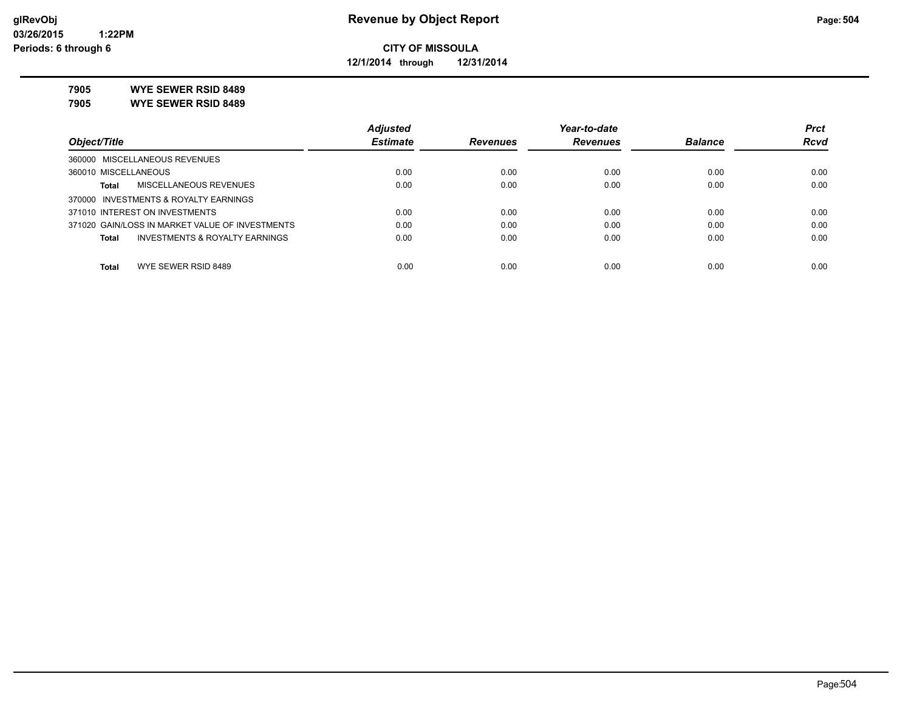**12/1/2014 through 12/31/2014**

**7905 WYE SEWER RSID 8489**

**7905 WYE SEWER RSID 8489**

|                                                 | <b>Adjusted</b> |                 | Year-to-date    |                | <b>Prct</b> |
|-------------------------------------------------|-----------------|-----------------|-----------------|----------------|-------------|
| Object/Title                                    | <b>Estimate</b> | <b>Revenues</b> | <b>Revenues</b> | <b>Balance</b> | <b>Rcvd</b> |
| 360000 MISCELLANEOUS REVENUES                   |                 |                 |                 |                |             |
| 360010 MISCELLANEOUS                            | 0.00            | 0.00            | 0.00            | 0.00           | 0.00        |
| MISCELLANEOUS REVENUES<br>Total                 | 0.00            | 0.00            | 0.00            | 0.00           | 0.00        |
| 370000 INVESTMENTS & ROYALTY EARNINGS           |                 |                 |                 |                |             |
| 371010 INTEREST ON INVESTMENTS                  | 0.00            | 0.00            | 0.00            | 0.00           | 0.00        |
| 371020 GAIN/LOSS IN MARKET VALUE OF INVESTMENTS | 0.00            | 0.00            | 0.00            | 0.00           | 0.00        |
| INVESTMENTS & ROYALTY EARNINGS<br>Total         | 0.00            | 0.00            | 0.00            | 0.00           | 0.00        |
|                                                 |                 |                 |                 |                |             |
| WYE SEWER RSID 8489<br>Total                    | 0.00            | 0.00            | 0.00            | 0.00           | 0.00        |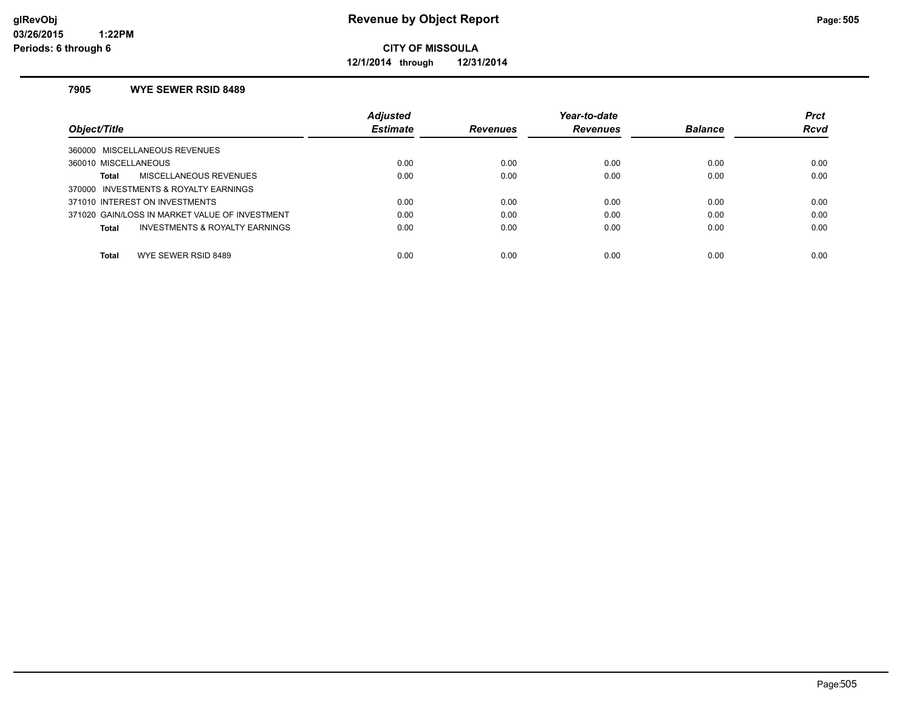**12/1/2014 through 12/31/2014**

### **7905 WYE SEWER RSID 8489**

|                                                | <b>Adjusted</b> |                 | Year-to-date    |                | <b>Prct</b> |
|------------------------------------------------|-----------------|-----------------|-----------------|----------------|-------------|
| Object/Title                                   | <b>Estimate</b> | <b>Revenues</b> | <b>Revenues</b> | <b>Balance</b> | <b>Rcvd</b> |
| 360000 MISCELLANEOUS REVENUES                  |                 |                 |                 |                |             |
| 360010 MISCELLANEOUS                           | 0.00            | 0.00            | 0.00            | 0.00           | 0.00        |
| MISCELLANEOUS REVENUES<br>Total                | 0.00            | 0.00            | 0.00            | 0.00           | 0.00        |
| 370000 INVESTMENTS & ROYALTY EARNINGS          |                 |                 |                 |                |             |
| 371010 INTEREST ON INVESTMENTS                 | 0.00            | 0.00            | 0.00            | 0.00           | 0.00        |
| 371020 GAIN/LOSS IN MARKET VALUE OF INVESTMENT | 0.00            | 0.00            | 0.00            | 0.00           | 0.00        |
| INVESTMENTS & ROYALTY EARNINGS<br>Total        | 0.00            | 0.00            | 0.00            | 0.00           | 0.00        |
|                                                |                 |                 |                 |                |             |
| <b>Total</b><br>WYE SEWER RSID 8489            | 0.00            | 0.00            | 0.00            | 0.00           | 0.00        |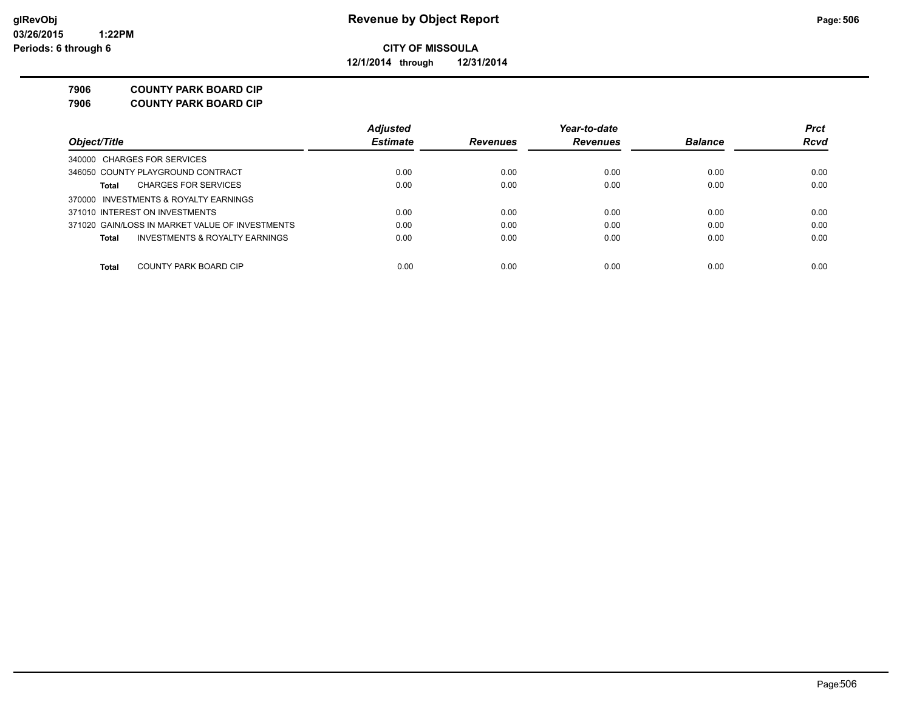**12/1/2014 through 12/31/2014**

### **7906 COUNTY PARK BOARD CIP**

**7906 COUNTY PARK BOARD CIP**

|                                                 | <b>Adjusted</b> |                 | Year-to-date    |                | <b>Prct</b> |
|-------------------------------------------------|-----------------|-----------------|-----------------|----------------|-------------|
| Object/Title                                    | <b>Estimate</b> | <b>Revenues</b> | <b>Revenues</b> | <b>Balance</b> | <b>Rcvd</b> |
| 340000 CHARGES FOR SERVICES                     |                 |                 |                 |                |             |
| 346050 COUNTY PLAYGROUND CONTRACT               | 0.00            | 0.00            | 0.00            | 0.00           | 0.00        |
| <b>CHARGES FOR SERVICES</b><br>Total            | 0.00            | 0.00            | 0.00            | 0.00           | 0.00        |
| 370000 INVESTMENTS & ROYALTY EARNINGS           |                 |                 |                 |                |             |
| 371010 INTEREST ON INVESTMENTS                  | 0.00            | 0.00            | 0.00            | 0.00           | 0.00        |
| 371020 GAIN/LOSS IN MARKET VALUE OF INVESTMENTS | 0.00            | 0.00            | 0.00            | 0.00           | 0.00        |
| INVESTMENTS & ROYALTY EARNINGS<br>Total         | 0.00            | 0.00            | 0.00            | 0.00           | 0.00        |
| COUNTY PARK BOARD CIP<br><b>Total</b>           | 0.00            | 0.00            | 0.00            | 0.00           | 0.00        |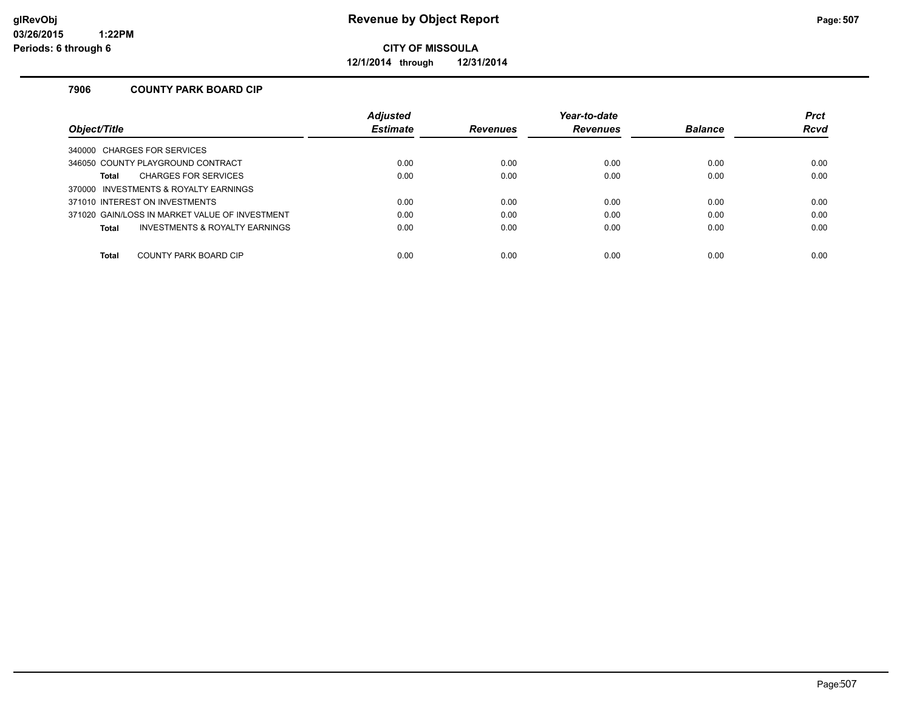**12/1/2014 through 12/31/2014**

### **7906 COUNTY PARK BOARD CIP**

|                                                | <b>Adjusted</b> |                 | Year-to-date    |                | <b>Prct</b> |
|------------------------------------------------|-----------------|-----------------|-----------------|----------------|-------------|
| Object/Title                                   | <b>Estimate</b> | <b>Revenues</b> | <b>Revenues</b> | <b>Balance</b> | <b>Rcvd</b> |
| 340000 CHARGES FOR SERVICES                    |                 |                 |                 |                |             |
| 346050 COUNTY PLAYGROUND CONTRACT              | 0.00            | 0.00            | 0.00            | 0.00           | 0.00        |
| <b>CHARGES FOR SERVICES</b><br><b>Total</b>    | 0.00            | 0.00            | 0.00            | 0.00           | 0.00        |
| 370000 INVESTMENTS & ROYALTY EARNINGS          |                 |                 |                 |                |             |
| 371010 INTEREST ON INVESTMENTS                 | 0.00            | 0.00            | 0.00            | 0.00           | 0.00        |
| 371020 GAIN/LOSS IN MARKET VALUE OF INVESTMENT | 0.00            | 0.00            | 0.00            | 0.00           | 0.00        |
| INVESTMENTS & ROYALTY EARNINGS<br><b>Total</b> | 0.00            | 0.00            | 0.00            | 0.00           | 0.00        |
|                                                |                 |                 |                 |                |             |
| <b>Total</b><br>COUNTY PARK BOARD CIP          | 0.00            | 0.00            | 0.00            | 0.00           | 0.00        |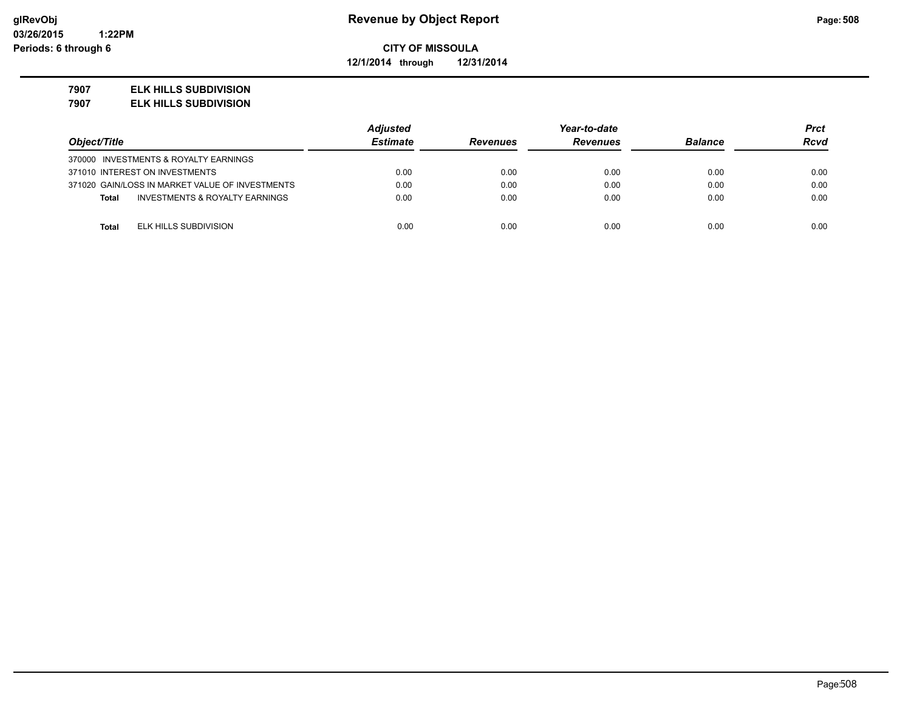**12/1/2014 through 12/31/2014**

#### **7907 ELK HILLS SUBDIVISION**

**7907 ELK HILLS SUBDIVISION**

|                                                           | <b>Adjusted</b> |                 | Year-to-date    |                |             |
|-----------------------------------------------------------|-----------------|-----------------|-----------------|----------------|-------------|
| Object/Title                                              | <b>Estimate</b> | <b>Revenues</b> | <b>Revenues</b> | <b>Balance</b> | <b>Rcvd</b> |
| 370000 INVESTMENTS & ROYALTY EARNINGS                     |                 |                 |                 |                |             |
| 371010 INTEREST ON INVESTMENTS                            | 0.00            | 0.00            | 0.00            | 0.00           | 0.00        |
| 371020 GAIN/LOSS IN MARKET VALUE OF INVESTMENTS           | 0.00            | 0.00            | 0.00            | 0.00           | 0.00        |
| <b>INVESTMENTS &amp; ROYALTY EARNINGS</b><br><b>Total</b> | 0.00            | 0.00            | 0.00            | 0.00           | 0.00        |
|                                                           |                 |                 |                 |                |             |
| ELK HILLS SUBDIVISION<br><b>Total</b>                     | 0.00            | 0.00            | 0.00            | 0.00           | 0.00        |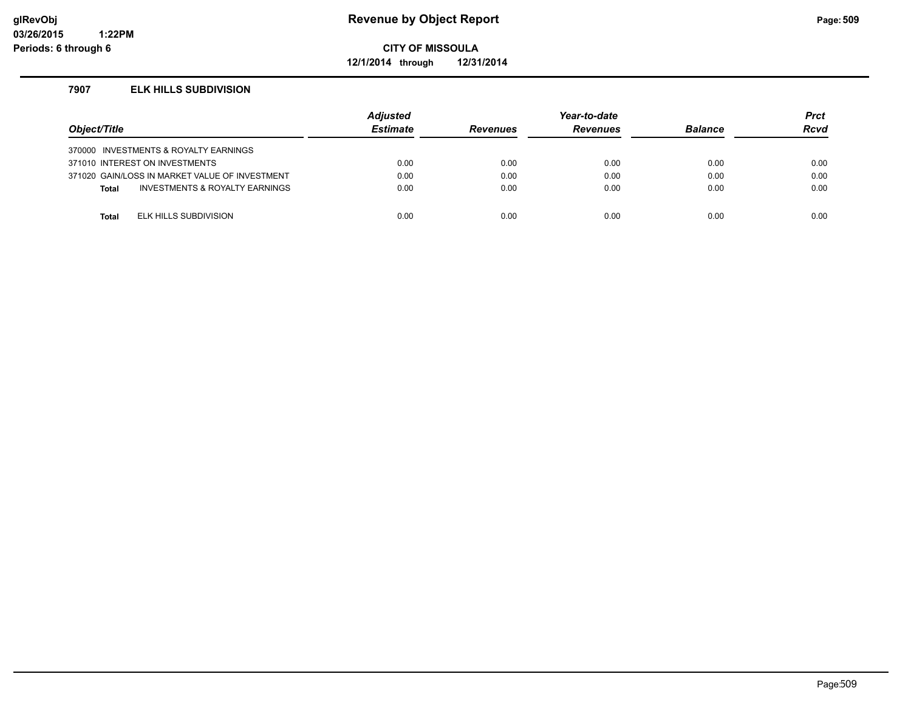**12/1/2014 through 12/31/2014**

### **7907 ELK HILLS SUBDIVISION**

| Object/Title |                                                | <b>Adjusted</b><br><b>Estimate</b> | <b>Revenues</b> | Year-to-date<br><b>Revenues</b> | <b>Balance</b> | <b>Prct</b><br>Rcvd |
|--------------|------------------------------------------------|------------------------------------|-----------------|---------------------------------|----------------|---------------------|
|              | 370000 INVESTMENTS & ROYALTY EARNINGS          |                                    |                 |                                 |                |                     |
|              | 371010 INTEREST ON INVESTMENTS                 | 0.00                               | 0.00            | 0.00                            | 0.00           | 0.00                |
|              | 371020 GAIN/LOSS IN MARKET VALUE OF INVESTMENT | 0.00                               | 0.00            | 0.00                            | 0.00           | 0.00                |
| <b>Total</b> | <b>INVESTMENTS &amp; ROYALTY EARNINGS</b>      | 0.00                               | 0.00            | 0.00                            | 0.00           | 0.00                |
|              |                                                |                                    |                 |                                 |                |                     |
| Total        | ELK HILLS SUBDIVISION                          | 0.00                               | 0.00            | 0.00                            | 0.00           | 0.00                |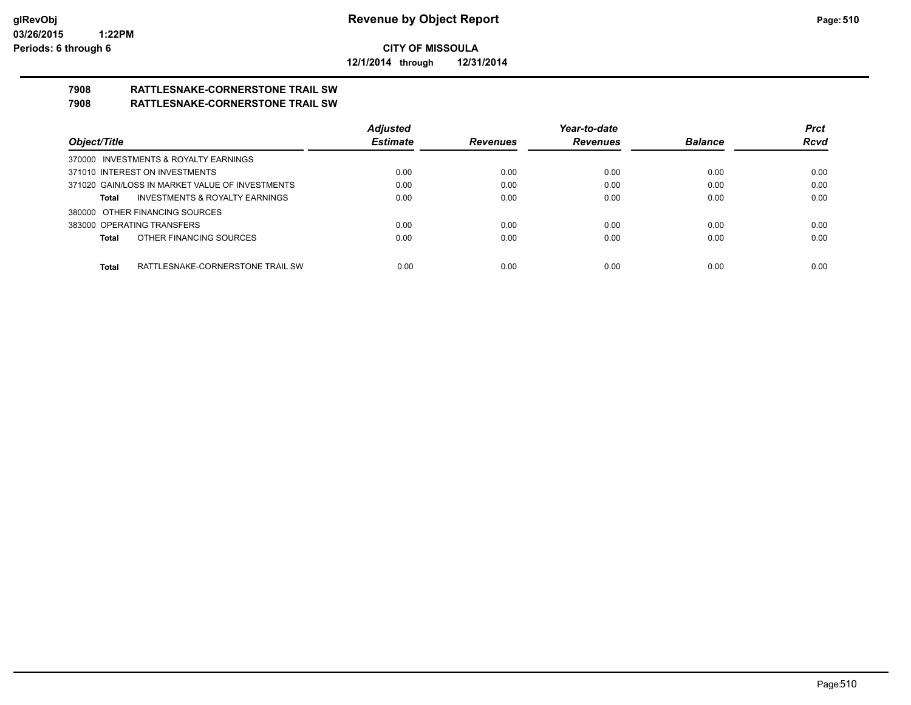**12/1/2014 through 12/31/2014**

# **7908 RATTLESNAKE-CORNERSTONE TRAIL SW**

# **7908 RATTLESNAKE-CORNERSTONE TRAIL SW**

|                                                    | <b>Adjusted</b> |                 | Year-to-date    |                | <b>Prct</b> |
|----------------------------------------------------|-----------------|-----------------|-----------------|----------------|-------------|
| Object/Title                                       | <b>Estimate</b> | <b>Revenues</b> | <b>Revenues</b> | <b>Balance</b> | <b>Rcvd</b> |
| 370000 INVESTMENTS & ROYALTY EARNINGS              |                 |                 |                 |                |             |
| 371010 INTEREST ON INVESTMENTS                     | 0.00            | 0.00            | 0.00            | 0.00           | 0.00        |
| 371020 GAIN/LOSS IN MARKET VALUE OF INVESTMENTS    | 0.00            | 0.00            | 0.00            | 0.00           | 0.00        |
| <b>INVESTMENTS &amp; ROYALTY EARNINGS</b><br>Total | 0.00            | 0.00            | 0.00            | 0.00           | 0.00        |
| 380000 OTHER FINANCING SOURCES                     |                 |                 |                 |                |             |
| 383000 OPERATING TRANSFERS                         | 0.00            | 0.00            | 0.00            | 0.00           | 0.00        |
| OTHER FINANCING SOURCES<br>Total                   | 0.00            | 0.00            | 0.00            | 0.00           | 0.00        |
|                                                    |                 |                 |                 |                |             |
| RATTLESNAKE-CORNERSTONE TRAIL SW<br>Total          | 0.00            | 0.00            | 0.00            | 0.00           | 0.00        |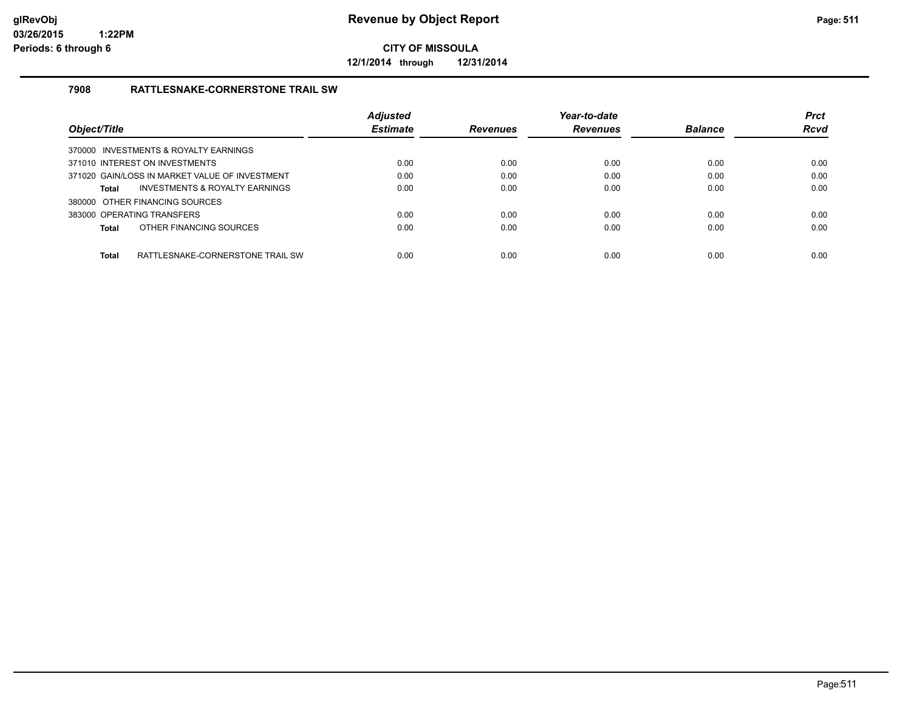**12/1/2014 through 12/31/2014**

## **7908 RATTLESNAKE-CORNERSTONE TRAIL SW**

|                                                  | <b>Adjusted</b> |                 | Year-to-date    |                | <b>Prct</b> |
|--------------------------------------------------|-----------------|-----------------|-----------------|----------------|-------------|
| Object/Title                                     | <b>Estimate</b> | <b>Revenues</b> | <b>Revenues</b> | <b>Balance</b> | Rcvd        |
| 370000 INVESTMENTS & ROYALTY EARNINGS            |                 |                 |                 |                |             |
| 371010 INTEREST ON INVESTMENTS                   | 0.00            | 0.00            | 0.00            | 0.00           | 0.00        |
| 371020 GAIN/LOSS IN MARKET VALUE OF INVESTMENT   | 0.00            | 0.00            | 0.00            | 0.00           | 0.00        |
| INVESTMENTS & ROYALTY EARNINGS<br><b>Total</b>   | 0.00            | 0.00            | 0.00            | 0.00           | 0.00        |
| 380000 OTHER FINANCING SOURCES                   |                 |                 |                 |                |             |
| 383000 OPERATING TRANSFERS                       | 0.00            | 0.00            | 0.00            | 0.00           | 0.00        |
| OTHER FINANCING SOURCES<br><b>Total</b>          | 0.00            | 0.00            | 0.00            | 0.00           | 0.00        |
|                                                  |                 |                 |                 |                |             |
| <b>Total</b><br>RATTLESNAKE-CORNERSTONE TRAIL SW | 0.00            | 0.00            | 0.00            | 0.00           | 0.00        |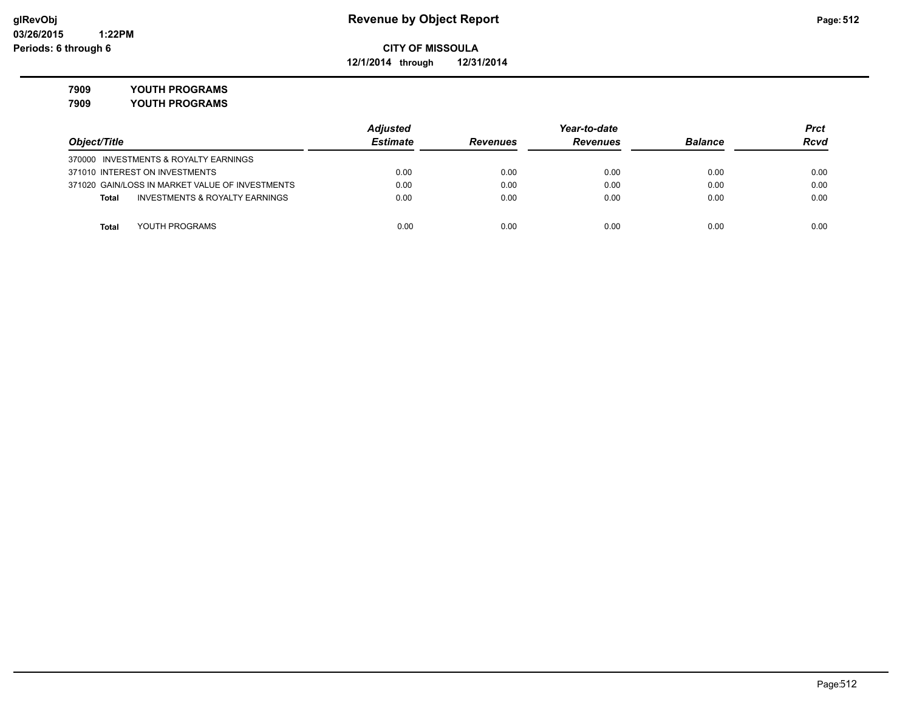**12/1/2014 through 12/31/2014**

# **7909 YOUTH PROGRAMS**

**7909 YOUTH PROGRAMS**

|                                                 | <b>Adjusted</b> |                 | Year-to-date    |                | <b>Prct</b> |
|-------------------------------------------------|-----------------|-----------------|-----------------|----------------|-------------|
| Object/Title                                    | <b>Estimate</b> | <b>Revenues</b> | <b>Revenues</b> | <b>Balance</b> | <b>Rcvd</b> |
| 370000 INVESTMENTS & ROYALTY EARNINGS           |                 |                 |                 |                |             |
| 371010 INTEREST ON INVESTMENTS                  | 0.00            | 0.00            | 0.00            | 0.00           | 0.00        |
| 371020 GAIN/LOSS IN MARKET VALUE OF INVESTMENTS | 0.00            | 0.00            | 0.00            | 0.00           | 0.00        |
| INVESTMENTS & ROYALTY EARNINGS<br>Total         | 0.00            | 0.00            | 0.00            | 0.00           | 0.00        |
|                                                 |                 |                 |                 |                |             |
| YOUTH PROGRAMS<br>Total                         | 0.00            | 0.00            | 0.00            | 0.00           | 0.00        |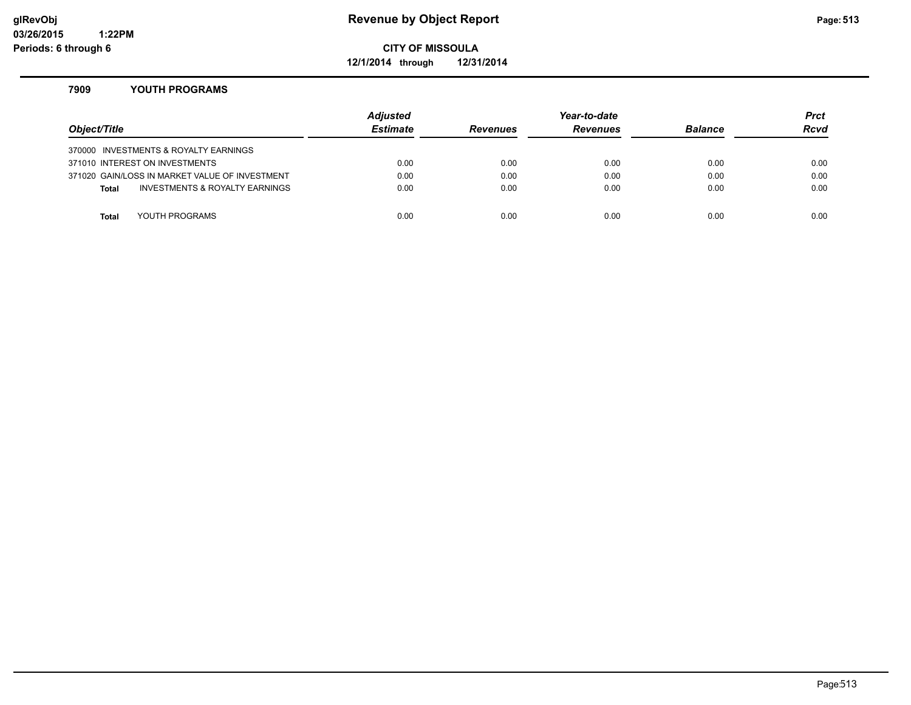# **glRevObj Revenue by Object Report Page:513**

**CITY OF MISSOULA**

**12/1/2014 through 12/31/2014**

#### **7909 YOUTH PROGRAMS**

| Object/Title |                                                | <b>Adjusted</b><br><b>Estimate</b> | <b>Revenues</b> | Year-to-date<br><b>Revenues</b> | <b>Balance</b> | Prct<br><b>Rcvd</b> |
|--------------|------------------------------------------------|------------------------------------|-----------------|---------------------------------|----------------|---------------------|
|              | 370000 INVESTMENTS & ROYALTY EARNINGS          |                                    |                 |                                 |                |                     |
|              | 371010 INTEREST ON INVESTMENTS                 | 0.00                               | 0.00            | 0.00                            | 0.00           | 0.00                |
|              | 371020 GAIN/LOSS IN MARKET VALUE OF INVESTMENT | 0.00                               | 0.00            | 0.00                            | 0.00           | 0.00                |
| <b>Total</b> | INVESTMENTS & ROYALTY EARNINGS                 | 0.00                               | 0.00            | 0.00                            | 0.00           | 0.00                |
|              |                                                |                                    |                 |                                 |                |                     |
| Total        | YOUTH PROGRAMS                                 | 0.00                               | 0.00            | 0.00                            | 0.00           | 0.00                |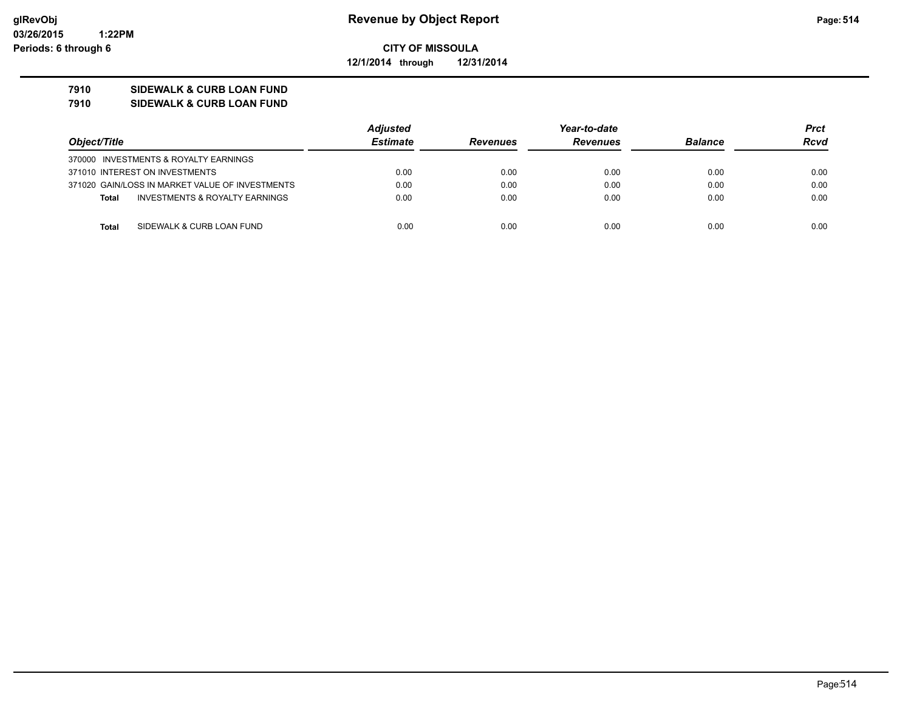**12/1/2014 through 12/31/2014**

# **7910 SIDEWALK & CURB LOAN FUND**

**7910 SIDEWALK & CURB LOAN FUND**

|                                                           | <b>Adjusted</b> |                 | Year-to-date    |                |             |
|-----------------------------------------------------------|-----------------|-----------------|-----------------|----------------|-------------|
| Object/Title                                              | <b>Estimate</b> | <b>Revenues</b> | <b>Revenues</b> | <b>Balance</b> | <b>Rcvd</b> |
| 370000 INVESTMENTS & ROYALTY EARNINGS                     |                 |                 |                 |                |             |
| 371010 INTEREST ON INVESTMENTS                            | 0.00            | 0.00            | 0.00            | 0.00           | 0.00        |
| 371020 GAIN/LOSS IN MARKET VALUE OF INVESTMENTS           | 0.00            | 0.00            | 0.00            | 0.00           | 0.00        |
| <b>INVESTMENTS &amp; ROYALTY EARNINGS</b><br><b>Total</b> | 0.00            | 0.00            | 0.00            | 0.00           | 0.00        |
|                                                           |                 |                 |                 |                |             |
| SIDEWALK & CURB LOAN FUND<br><b>Total</b>                 | 0.00            | 0.00            | 0.00            | 0.00           | 0.00        |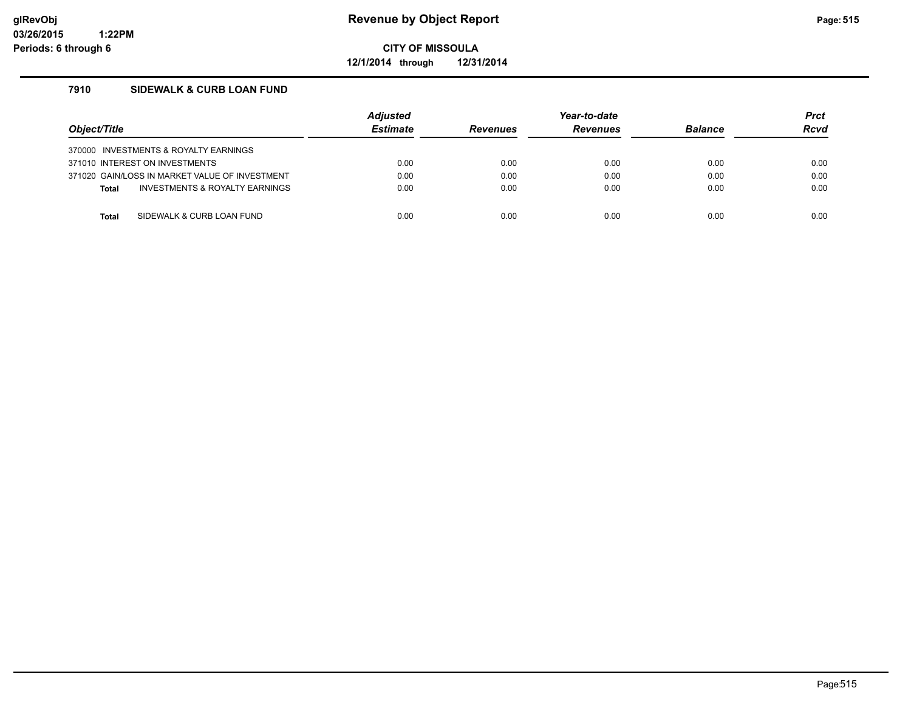**12/1/2014 through 12/31/2014**

# **7910 SIDEWALK & CURB LOAN FUND**

| Object/Title |                                                | <b>Adjusted</b><br><b>Estimate</b> | <b>Revenues</b> | Year-to-date<br><b>Revenues</b> | <b>Balance</b> | <b>Prct</b><br><b>Rcvd</b> |
|--------------|------------------------------------------------|------------------------------------|-----------------|---------------------------------|----------------|----------------------------|
|              | 370000 INVESTMENTS & ROYALTY EARNINGS          |                                    |                 |                                 |                |                            |
|              | 371010 INTEREST ON INVESTMENTS                 | 0.00                               | 0.00            | 0.00                            | 0.00           | 0.00                       |
|              | 371020 GAIN/LOSS IN MARKET VALUE OF INVESTMENT | 0.00                               | 0.00            | 0.00                            | 0.00           | 0.00                       |
| <b>Total</b> | INVESTMENTS & ROYALTY EARNINGS                 | 0.00                               | 0.00            | 0.00                            | 0.00           | 0.00                       |
|              |                                                |                                    |                 |                                 |                |                            |
| Total        | SIDEWALK & CURB LOAN FUND                      | 0.00                               | 0.00            | 0.00                            | 0.00           | 0.00                       |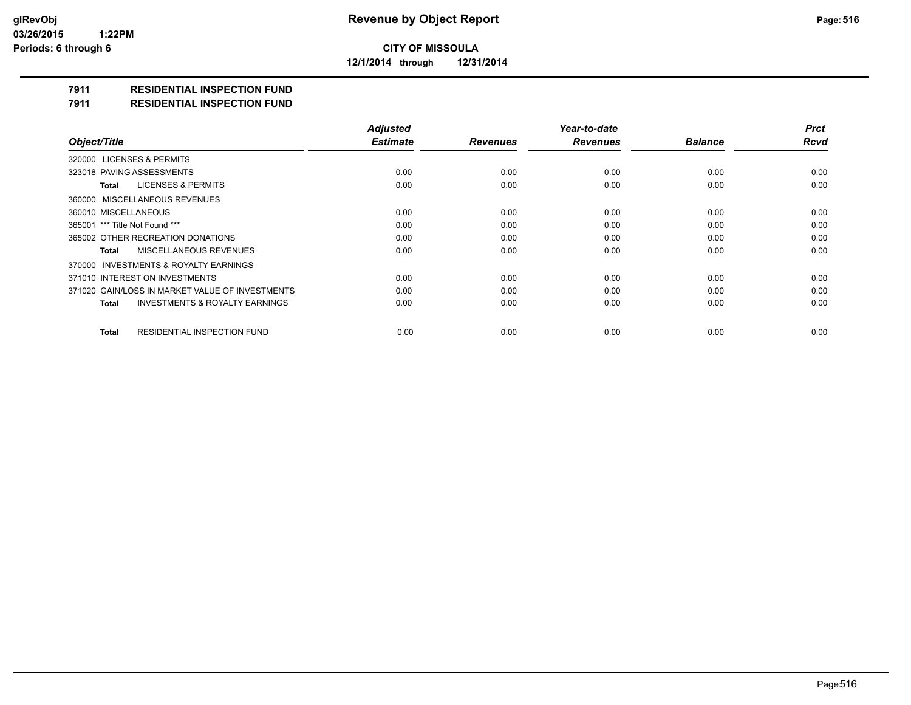**12/1/2014 through 12/31/2014**

# **7911 RESIDENTIAL INSPECTION FUND**

#### **7911 RESIDENTIAL INSPECTION FUND**

|                                                           | <b>Adjusted</b> |                 | Year-to-date    |                | <b>Prct</b> |
|-----------------------------------------------------------|-----------------|-----------------|-----------------|----------------|-------------|
| Object/Title                                              | <b>Estimate</b> | <b>Revenues</b> | <b>Revenues</b> | <b>Balance</b> | <b>Rcvd</b> |
| <b>LICENSES &amp; PERMITS</b><br>320000                   |                 |                 |                 |                |             |
| 323018 PAVING ASSESSMENTS                                 | 0.00            | 0.00            | 0.00            | 0.00           | 0.00        |
| <b>LICENSES &amp; PERMITS</b><br>Total                    | 0.00            | 0.00            | 0.00            | 0.00           | 0.00        |
| MISCELLANEOUS REVENUES<br>360000                          |                 |                 |                 |                |             |
| 360010 MISCELLANEOUS                                      | 0.00            | 0.00            | 0.00            | 0.00           | 0.00        |
| 365001 *** Title Not Found ***                            | 0.00            | 0.00            | 0.00            | 0.00           | 0.00        |
| 365002 OTHER RECREATION DONATIONS                         | 0.00            | 0.00            | 0.00            | 0.00           | 0.00        |
| MISCELLANEOUS REVENUES<br>Total                           | 0.00            | 0.00            | 0.00            | 0.00           | 0.00        |
| INVESTMENTS & ROYALTY EARNINGS<br>370000                  |                 |                 |                 |                |             |
| 371010 INTEREST ON INVESTMENTS                            | 0.00            | 0.00            | 0.00            | 0.00           | 0.00        |
| 371020 GAIN/LOSS IN MARKET VALUE OF INVESTMENTS           | 0.00            | 0.00            | 0.00            | 0.00           | 0.00        |
| <b>INVESTMENTS &amp; ROYALTY EARNINGS</b><br><b>Total</b> | 0.00            | 0.00            | 0.00            | 0.00           | 0.00        |
| <b>RESIDENTIAL INSPECTION FUND</b><br><b>Total</b>        | 0.00            | 0.00            | 0.00            | 0.00           | 0.00        |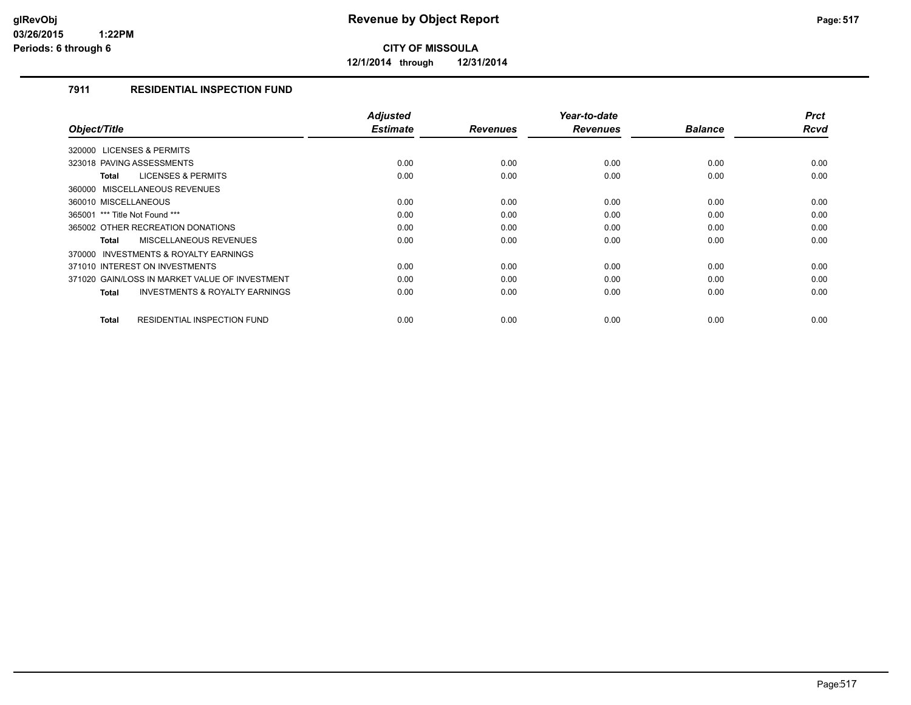**12/1/2014 through 12/31/2014**

# **7911 RESIDENTIAL INSPECTION FUND**

|                                                    | <b>Adjusted</b> |                 | Year-to-date    |                | <b>Prct</b> |
|----------------------------------------------------|-----------------|-----------------|-----------------|----------------|-------------|
| Object/Title                                       | <b>Estimate</b> | <b>Revenues</b> | <b>Revenues</b> | <b>Balance</b> | <b>Rcvd</b> |
| 320000 LICENSES & PERMITS                          |                 |                 |                 |                |             |
| 323018 PAVING ASSESSMENTS                          | 0.00            | 0.00            | 0.00            | 0.00           | 0.00        |
| <b>LICENSES &amp; PERMITS</b><br><b>Total</b>      | 0.00            | 0.00            | 0.00            | 0.00           | 0.00        |
| 360000 MISCELLANEOUS REVENUES                      |                 |                 |                 |                |             |
| 360010 MISCELLANEOUS                               | 0.00            | 0.00            | 0.00            | 0.00           | 0.00        |
| 365001 *** Title Not Found ***                     | 0.00            | 0.00            | 0.00            | 0.00           | 0.00        |
| 365002 OTHER RECREATION DONATIONS                  | 0.00            | 0.00            | 0.00            | 0.00           | 0.00        |
| MISCELLANEOUS REVENUES<br>Total                    | 0.00            | 0.00            | 0.00            | 0.00           | 0.00        |
| INVESTMENTS & ROYALTY EARNINGS<br>370000           |                 |                 |                 |                |             |
| 371010 INTEREST ON INVESTMENTS                     | 0.00            | 0.00            | 0.00            | 0.00           | 0.00        |
| 371020 GAIN/LOSS IN MARKET VALUE OF INVESTMENT     | 0.00            | 0.00            | 0.00            | 0.00           | 0.00        |
| <b>INVESTMENTS &amp; ROYALTY EARNINGS</b><br>Total | 0.00            | 0.00            | 0.00            | 0.00           | 0.00        |
|                                                    |                 |                 |                 |                |             |
| RESIDENTIAL INSPECTION FUND<br><b>Total</b>        | 0.00            | 0.00            | 0.00            | 0.00           | 0.00        |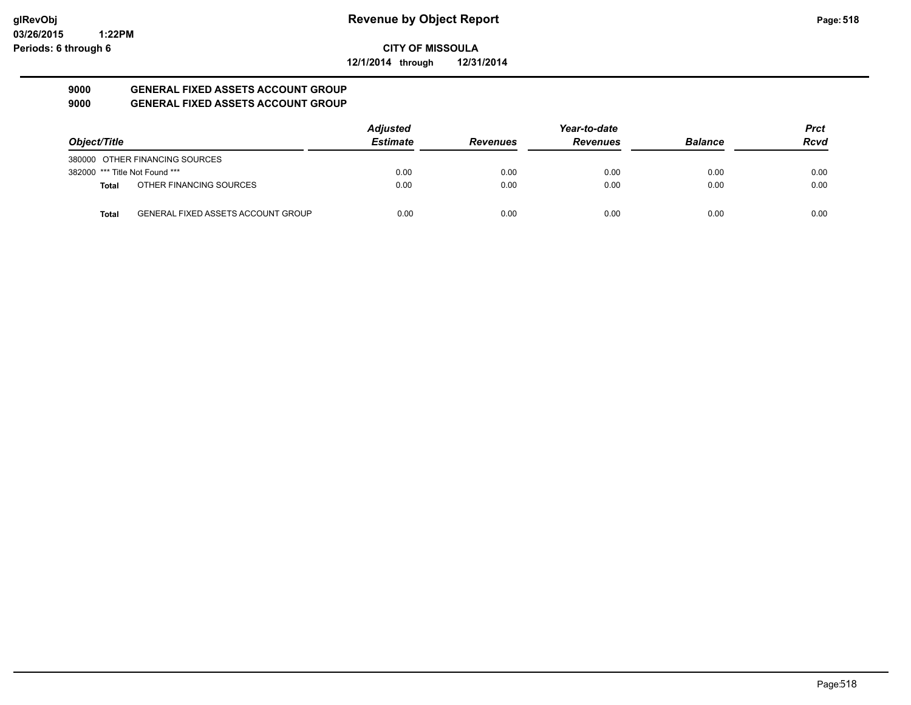**12/1/2014 through 12/31/2014**

#### **9000 GENERAL FIXED ASSETS ACCOUNT GROUP 9000 GENERAL FIXED ASSETS ACCOUNT GROUP**

| Object/Title                   |                                           | <b>Adjusted</b> |                 | Year-to-date    |                | <b>Prct</b><br><b>Rcvd</b> |
|--------------------------------|-------------------------------------------|-----------------|-----------------|-----------------|----------------|----------------------------|
|                                |                                           | <b>Estimate</b> | <b>Revenues</b> | <b>Revenues</b> | <b>Balance</b> |                            |
|                                | 380000 OTHER FINANCING SOURCES            |                 |                 |                 |                |                            |
| 382000 *** Title Not Found *** |                                           | 0.00            | 0.00            | 0.00            | 0.00           | 0.00                       |
| <b>Total</b>                   | OTHER FINANCING SOURCES                   | 0.00            | 0.00            | 0.00            | 0.00           | 0.00                       |
| <b>Total</b>                   | <b>GENERAL FIXED ASSETS ACCOUNT GROUP</b> | 0.00            | 0.00            | 0.00            | 0.00           | 0.00                       |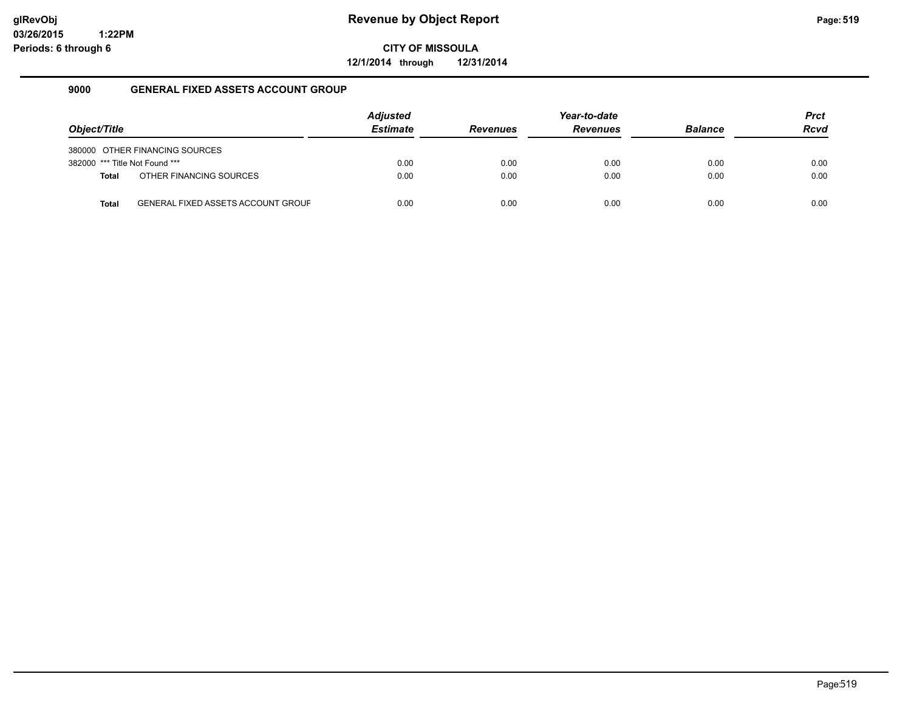**12/1/2014 through 12/31/2014**

### **9000 GENERAL FIXED ASSETS ACCOUNT GROUP**

|                                |                                           | <b>Adjusted</b> |                 | Year-to-date    |                | <b>Prct</b> |
|--------------------------------|-------------------------------------------|-----------------|-----------------|-----------------|----------------|-------------|
| Object/Title                   |                                           | <b>Estimate</b> | <b>Revenues</b> | <b>Revenues</b> | <b>Balance</b> | <b>Rcvd</b> |
|                                | 380000 OTHER FINANCING SOURCES            |                 |                 |                 |                |             |
| 382000 *** Title Not Found *** |                                           | 0.00            | 0.00            | 0.00            | 0.00           | 0.00        |
| Total                          | OTHER FINANCING SOURCES                   | 0.00            | 0.00            | 0.00            | 0.00           | 0.00        |
| <b>Total</b>                   | <b>GENERAL FIXED ASSETS ACCOUNT GROUF</b> | 0.00            | 0.00            | 0.00            | 0.00           | 0.00        |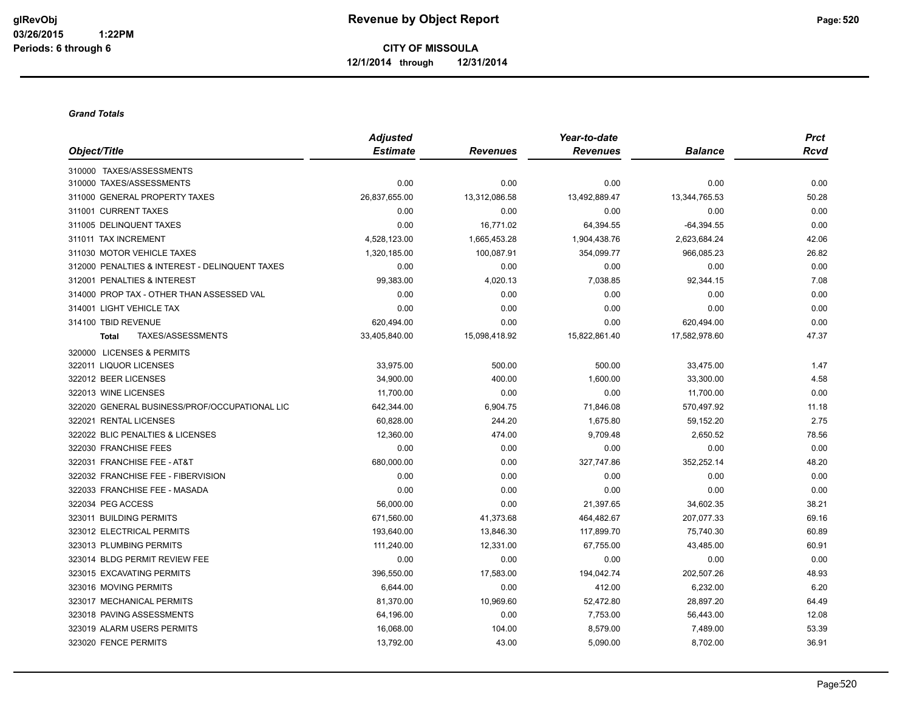#### *Grand Totals*

|                                                | <b>Adjusted</b> |                 | Year-to-date    |                | <b>Prct</b> |
|------------------------------------------------|-----------------|-----------------|-----------------|----------------|-------------|
| Object/Title                                   | <b>Estimate</b> | <b>Revenues</b> | <b>Revenues</b> | <b>Balance</b> | <b>Rcvd</b> |
| 310000 TAXES/ASSESSMENTS                       |                 |                 |                 |                |             |
| 310000 TAXES/ASSESSMENTS                       | 0.00            | 0.00            | 0.00            | 0.00           | 0.00        |
| 311000 GENERAL PROPERTY TAXES                  | 26,837,655.00   | 13,312,086.58   | 13,492,889.47   | 13,344,765.53  | 50.28       |
| 311001 CURRENT TAXES                           | 0.00            | 0.00            | 0.00            | 0.00           | 0.00        |
| 311005 DELINQUENT TAXES                        | 0.00            | 16,771.02       | 64,394.55       | $-64,394.55$   | 0.00        |
| 311011 TAX INCREMENT                           | 4,528,123.00    | 1,665,453.28    | 1,904,438.76    | 2,623,684.24   | 42.06       |
| 311030 MOTOR VEHICLE TAXES                     | 1,320,185.00    | 100,087.91      | 354,099.77      | 966,085.23     | 26.82       |
| 312000 PENALTIES & INTEREST - DELINQUENT TAXES | 0.00            | 0.00            | 0.00            | 0.00           | 0.00        |
| 312001 PENALTIES & INTEREST                    | 99,383.00       | 4,020.13        | 7,038.85        | 92,344.15      | 7.08        |
| 314000 PROP TAX - OTHER THAN ASSESSED VAL      | 0.00            | 0.00            | 0.00            | 0.00           | 0.00        |
| 314001 LIGHT VEHICLE TAX                       | 0.00            | 0.00            | 0.00            | 0.00           | 0.00        |
| 314100 TBID REVENUE                            | 620,494.00      | 0.00            | 0.00            | 620,494.00     | 0.00        |
| TAXES/ASSESSMENTS<br><b>Total</b>              | 33,405,840.00   | 15,098,418.92   | 15,822,861.40   | 17,582,978.60  | 47.37       |
| 320000 LICENSES & PERMITS                      |                 |                 |                 |                |             |
| 322011 LIQUOR LICENSES                         | 33,975.00       | 500.00          | 500.00          | 33,475.00      | 1.47        |
| 322012 BEER LICENSES                           | 34,900.00       | 400.00          | 1,600.00        | 33,300.00      | 4.58        |
| 322013 WINE LICENSES                           | 11,700.00       | 0.00            | 0.00            | 11,700.00      | 0.00        |
| 322020 GENERAL BUSINESS/PROF/OCCUPATIONAL LIC  | 642,344.00      | 6,904.75        | 71,846.08       | 570,497.92     | 11.18       |
| 322021 RENTAL LICENSES                         | 60,828.00       | 244.20          | 1,675.80        | 59,152.20      | 2.75        |
| 322022 BLIC PENALTIES & LICENSES               | 12,360.00       | 474.00          | 9,709.48        | 2,650.52       | 78.56       |
| 322030 FRANCHISE FEES                          | 0.00            | 0.00            | 0.00            | 0.00           | 0.00        |
| 322031 FRANCHISE FEE - AT&T                    | 680,000.00      | 0.00            | 327,747.86      | 352,252.14     | 48.20       |
| 322032 FRANCHISE FEE - FIBERVISION             | 0.00            | 0.00            | 0.00            | 0.00           | 0.00        |
| 322033 FRANCHISE FEE - MASADA                  | 0.00            | 0.00            | 0.00            | 0.00           | 0.00        |
| 322034 PEG ACCESS                              | 56,000.00       | 0.00            | 21,397.65       | 34,602.35      | 38.21       |
| 323011 BUILDING PERMITS                        | 671,560.00      | 41,373.68       | 464,482.67      | 207,077.33     | 69.16       |
| 323012 ELECTRICAL PERMITS                      | 193,640.00      | 13,846.30       | 117,899.70      | 75,740.30      | 60.89       |
| 323013 PLUMBING PERMITS                        | 111,240.00      | 12,331.00       | 67,755.00       | 43,485.00      | 60.91       |
| 323014 BLDG PERMIT REVIEW FEE                  | 0.00            | 0.00            | 0.00            | 0.00           | 0.00        |
| 323015 EXCAVATING PERMITS                      | 396,550.00      | 17,583.00       | 194,042.74      | 202,507.26     | 48.93       |
| 323016 MOVING PERMITS                          | 6,644.00        | 0.00            | 412.00          | 6,232.00       | 6.20        |
| 323017 MECHANICAL PERMITS                      | 81,370.00       | 10,969.60       | 52,472.80       | 28,897.20      | 64.49       |
| 323018 PAVING ASSESSMENTS                      | 64,196.00       | 0.00            | 7,753.00        | 56,443.00      | 12.08       |
| 323019 ALARM USERS PERMITS                     | 16,068.00       | 104.00          | 8,579.00        | 7,489.00       | 53.39       |
| 323020 FENCE PERMITS                           | 13,792.00       | 43.00           | 5,090.00        | 8,702.00       | 36.91       |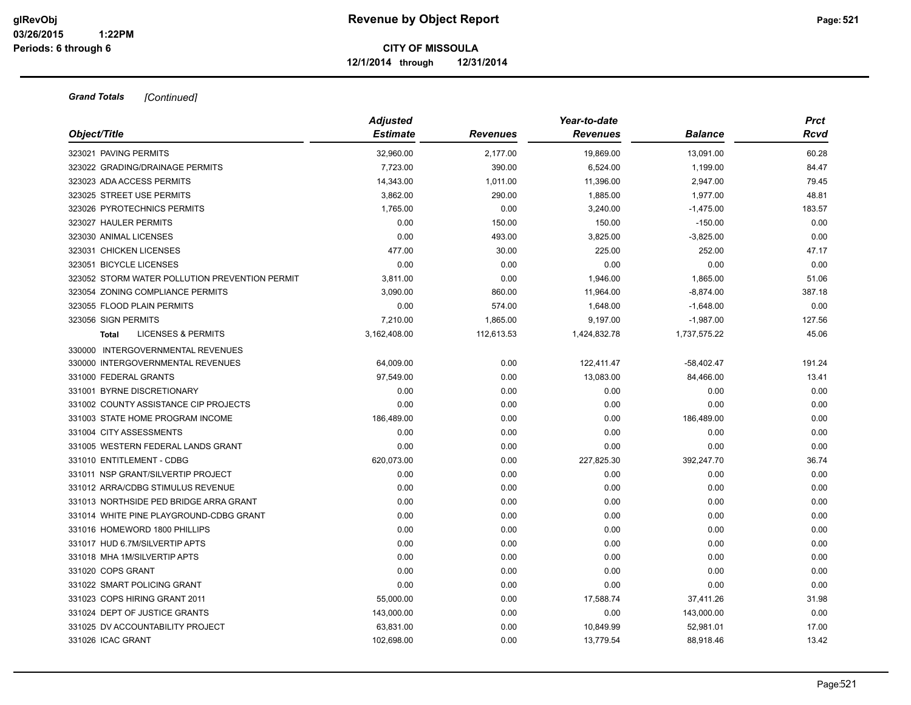| Object/Title                                   | <b>Adjusted</b><br><b>Estimate</b> | <b>Revenues</b> | Year-to-date<br><b>Revenues</b> | <b>Balance</b> | <b>Prct</b><br>Rcvd |
|------------------------------------------------|------------------------------------|-----------------|---------------------------------|----------------|---------------------|
| 323021 PAVING PERMITS                          | 32,960.00                          | 2,177.00        | 19,869.00                       | 13,091.00      | 60.28               |
| 323022 GRADING/DRAINAGE PERMITS                | 7,723.00                           | 390.00          | 6,524.00                        | 1,199.00       | 84.47               |
| 323023 ADA ACCESS PERMITS                      | 14,343.00                          | 1,011.00        | 11,396.00                       | 2,947.00       | 79.45               |
| 323025 STREET USE PERMITS                      | 3,862.00                           | 290.00          | 1,885.00                        | 1,977.00       | 48.81               |
| 323026 PYROTECHNICS PERMITS                    | 1,765.00                           | 0.00            | 3,240.00                        | $-1,475.00$    | 183.57              |
| 323027 HAULER PERMITS                          | 0.00                               | 150.00          | 150.00                          | $-150.00$      | 0.00                |
| 323030 ANIMAL LICENSES                         | 0.00                               | 493.00          | 3,825.00                        | $-3,825.00$    | 0.00                |
| 323031 CHICKEN LICENSES                        | 477.00                             | 30.00           | 225.00                          | 252.00         | 47.17               |
| 323051 BICYCLE LICENSES                        | 0.00                               | 0.00            | 0.00                            | 0.00           | 0.00                |
| 323052 STORM WATER POLLUTION PREVENTION PERMIT | 3,811.00                           | 0.00            | 1,946.00                        | 1,865.00       | 51.06               |
| 323054 ZONING COMPLIANCE PERMITS               | 3,090.00                           | 860.00          | 11,964.00                       | $-8,874.00$    | 387.18              |
| 323055 FLOOD PLAIN PERMITS                     | 0.00                               | 574.00          | 1,648.00                        | $-1,648.00$    | 0.00                |
| 323056 SIGN PERMITS                            | 7,210.00                           | 1,865.00        | 9,197.00                        | $-1,987.00$    | 127.56              |
| <b>LICENSES &amp; PERMITS</b><br><b>Total</b>  | 3,162,408.00                       | 112,613.53      | 1,424,832.78                    | 1,737,575.22   | 45.06               |
| 330000 INTERGOVERNMENTAL REVENUES              |                                    |                 |                                 |                |                     |
| 330000 INTERGOVERNMENTAL REVENUES              | 64,009.00                          | 0.00            | 122,411.47                      | $-58,402.47$   | 191.24              |
| 331000 FEDERAL GRANTS                          | 97,549.00                          | 0.00            | 13,083.00                       | 84,466.00      | 13.41               |
| 331001 BYRNE DISCRETIONARY                     | 0.00                               | 0.00            | 0.00                            | 0.00           | 0.00                |
| 331002 COUNTY ASSISTANCE CIP PROJECTS          | 0.00                               | 0.00            | 0.00                            | 0.00           | 0.00                |
| 331003 STATE HOME PROGRAM INCOME               | 186,489.00                         | 0.00            | 0.00                            | 186,489.00     | 0.00                |
| 331004 CITY ASSESSMENTS                        | 0.00                               | 0.00            | 0.00                            | 0.00           | 0.00                |
| 331005 WESTERN FEDERAL LANDS GRANT             | 0.00                               | 0.00            | 0.00                            | 0.00           | 0.00                |
| 331010 ENTITLEMENT - CDBG                      | 620,073.00                         | 0.00            | 227,825.30                      | 392,247.70     | 36.74               |
| 331011 NSP GRANT/SILVERTIP PROJECT             | 0.00                               | 0.00            | 0.00                            | 0.00           | 0.00                |
| 331012 ARRA/CDBG STIMULUS REVENUE              | 0.00                               | 0.00            | 0.00                            | 0.00           | 0.00                |
| 331013 NORTHSIDE PED BRIDGE ARRA GRANT         | 0.00                               | 0.00            | 0.00                            | 0.00           | 0.00                |
| 331014 WHITE PINE PLAYGROUND-CDBG GRANT        | 0.00                               | 0.00            | 0.00                            | 0.00           | 0.00                |
| 331016 HOMEWORD 1800 PHILLIPS                  | 0.00                               | 0.00            | 0.00                            | 0.00           | 0.00                |
| 331017 HUD 6.7M/SILVERTIP APTS                 | 0.00                               | 0.00            | 0.00                            | 0.00           | 0.00                |
| 331018 MHA 1M/SILVERTIP APTS                   | 0.00                               | 0.00            | 0.00                            | 0.00           | 0.00                |
| 331020 COPS GRANT                              | 0.00                               | 0.00            | 0.00                            | 0.00           | 0.00                |
| 331022 SMART POLICING GRANT                    | 0.00                               | 0.00            | 0.00                            | 0.00           | 0.00                |
| 331023 COPS HIRING GRANT 2011                  | 55,000.00                          | 0.00            | 17,588.74                       | 37,411.26      | 31.98               |
| 331024 DEPT OF JUSTICE GRANTS                  | 143,000.00                         | 0.00            | 0.00                            | 143,000.00     | 0.00                |
| 331025 DV ACCOUNTABILITY PROJECT               | 63,831.00                          | 0.00            | 10,849.99                       | 52,981.01      | 17.00               |
| 331026 ICAC GRANT                              | 102,698.00                         | 0.00            | 13,779.54                       | 88,918.46      | 13.42               |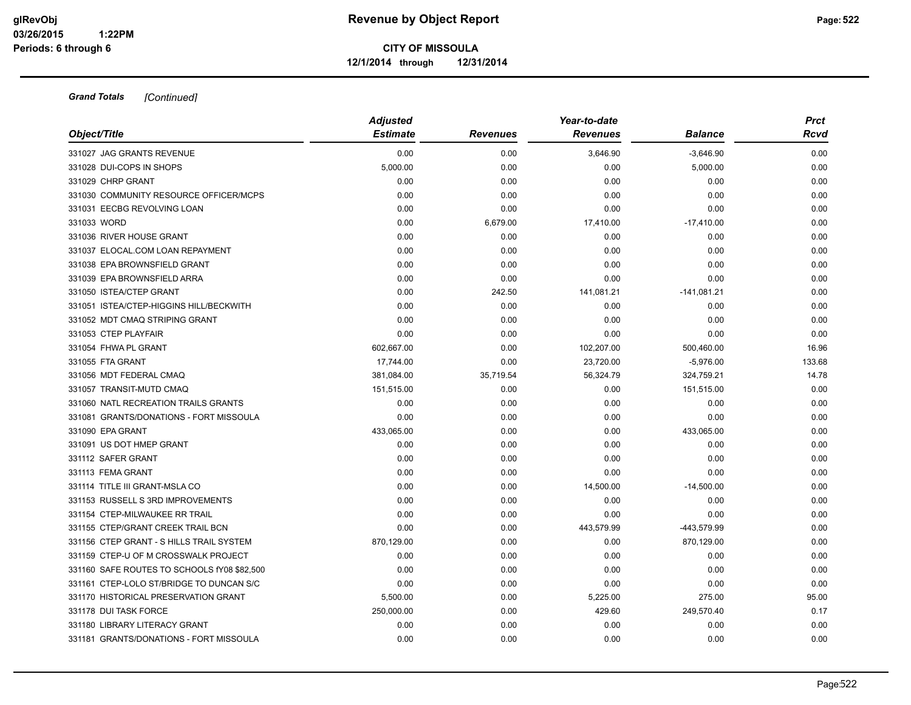| Object/Title                                | <b>Adjusted</b><br><b>Estimate</b> |                 | Year-to-date<br><b>Revenues</b> | <b>Balance</b> | <b>Prct</b><br><b>Rcvd</b> |
|---------------------------------------------|------------------------------------|-----------------|---------------------------------|----------------|----------------------------|
|                                             |                                    | <b>Revenues</b> |                                 |                |                            |
| 331027 JAG GRANTS REVENUE                   | 0.00                               | 0.00            | 3,646.90                        | $-3,646.90$    | 0.00                       |
| 331028 DUI-COPS IN SHOPS                    | 5,000.00                           | 0.00            | 0.00                            | 5,000.00       | 0.00                       |
| 331029 CHRP GRANT                           | 0.00                               | 0.00            | 0.00                            | 0.00           | 0.00                       |
| 331030 COMMUNITY RESOURCE OFFICER/MCPS      | 0.00                               | 0.00            | 0.00                            | 0.00           | 0.00                       |
| 331031 EECBG REVOLVING LOAN                 | 0.00                               | 0.00            | 0.00                            | 0.00           | 0.00                       |
| 331033 WORD                                 | 0.00                               | 6,679.00        | 17,410.00                       | $-17,410.00$   | 0.00                       |
| 331036 RIVER HOUSE GRANT                    | 0.00                               | 0.00            | 0.00                            | 0.00           | 0.00                       |
| 331037 ELOCAL.COM LOAN REPAYMENT            | 0.00                               | 0.00            | 0.00                            | 0.00           | 0.00                       |
| 331038 EPA BROWNSFIELD GRANT                | 0.00                               | 0.00            | 0.00                            | 0.00           | 0.00                       |
| 331039 EPA BROWNSFIELD ARRA                 | 0.00                               | 0.00            | 0.00                            | 0.00           | 0.00                       |
| 331050 ISTEA/CTEP GRANT                     | 0.00                               | 242.50          | 141,081.21                      | $-141,081.21$  | 0.00                       |
| 331051 ISTEA/CTEP-HIGGINS HILL/BECKWITH     | 0.00                               | 0.00            | 0.00                            | 0.00           | 0.00                       |
| 331052 MDT CMAQ STRIPING GRANT              | 0.00                               | 0.00            | 0.00                            | 0.00           | 0.00                       |
| 331053 CTEP PLAYFAIR                        | 0.00                               | 0.00            | 0.00                            | 0.00           | 0.00                       |
| 331054 FHWA PL GRANT                        | 602,667.00                         | 0.00            | 102,207.00                      | 500,460.00     | 16.96                      |
| 331055 FTA GRANT                            | 17,744.00                          | 0.00            | 23,720.00                       | $-5,976.00$    | 133.68                     |
| 331056 MDT FEDERAL CMAQ                     | 381,084.00                         | 35,719.54       | 56,324.79                       | 324,759.21     | 14.78                      |
| 331057 TRANSIT-MUTD CMAQ                    | 151,515.00                         | 0.00            | 0.00                            | 151,515.00     | 0.00                       |
| 331060 NATL RECREATION TRAILS GRANTS        | 0.00                               | 0.00            | 0.00                            | 0.00           | 0.00                       |
| 331081 GRANTS/DONATIONS - FORT MISSOULA     | 0.00                               | 0.00            | 0.00                            | 0.00           | 0.00                       |
| 331090 EPA GRANT                            | 433,065.00                         | 0.00            | 0.00                            | 433,065.00     | 0.00                       |
| 331091 US DOT HMEP GRANT                    | 0.00                               | 0.00            | 0.00                            | 0.00           | 0.00                       |
| 331112 SAFER GRANT                          | 0.00                               | 0.00            | 0.00                            | 0.00           | 0.00                       |
| 331113 FEMA GRANT                           | 0.00                               | 0.00            | 0.00                            | 0.00           | 0.00                       |
| 331114 TITLE III GRANT-MSLA CO              | 0.00                               | 0.00            | 14,500.00                       | $-14,500.00$   | 0.00                       |
| 331153 RUSSELL S 3RD IMPROVEMENTS           | 0.00                               | 0.00            | 0.00                            | 0.00           | 0.00                       |
| 331154 CTEP-MILWAUKEE RR TRAIL              | 0.00                               | 0.00            | 0.00                            | 0.00           | 0.00                       |
| 331155 CTEP/GRANT CREEK TRAIL BCN           | 0.00                               | 0.00            | 443,579.99                      | -443,579.99    | 0.00                       |
| 331156 CTEP GRANT - S HILLS TRAIL SYSTEM    | 870,129.00                         | 0.00            | 0.00                            | 870,129.00     | 0.00                       |
| 331159 CTEP-U OF M CROSSWALK PROJECT        | 0.00                               | 0.00            | 0.00                            | 0.00           | 0.00                       |
| 331160 SAFE ROUTES TO SCHOOLS fY08 \$82,500 | 0.00                               | 0.00            | 0.00                            | 0.00           | 0.00                       |
| 331161 CTEP-LOLO ST/BRIDGE TO DUNCAN S/C    | 0.00                               | 0.00            | 0.00                            | 0.00           | 0.00                       |
| 331170 HISTORICAL PRESERVATION GRANT        | 5,500.00                           | 0.00            | 5,225.00                        | 275.00         | 95.00                      |
| 331178 DUI TASK FORCE                       | 250,000.00                         | 0.00            | 429.60                          | 249,570.40     | 0.17                       |
| 331180 LIBRARY LITERACY GRANT               | 0.00                               | 0.00            | 0.00                            | 0.00           | 0.00                       |
| 331181 GRANTS/DONATIONS - FORT MISSOULA     | 0.00                               | 0.00            | 0.00                            | 0.00           | 0.00                       |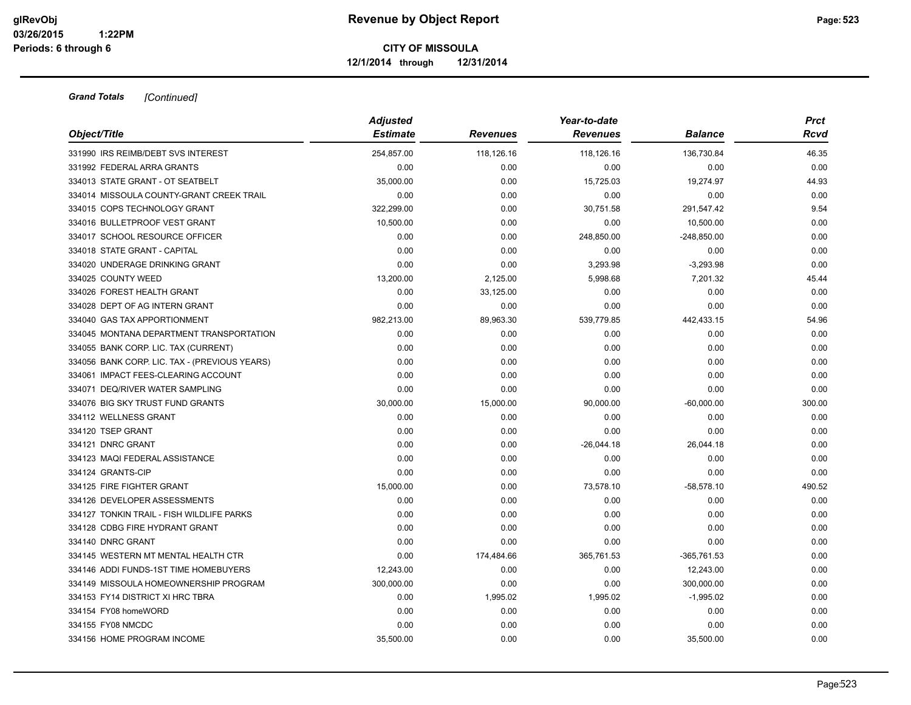|                                               | <b>Adjusted</b> |                 | Year-to-date    |                |        |
|-----------------------------------------------|-----------------|-----------------|-----------------|----------------|--------|
| Object/Title                                  | <b>Estimate</b> | <b>Revenues</b> | <b>Revenues</b> | <b>Balance</b> | Rcvd   |
| 331990 IRS REIMB/DEBT SVS INTEREST            | 254.857.00      | 118,126.16      | 118,126.16      | 136,730.84     | 46.35  |
| 331992 FEDERAL ARRA GRANTS                    | 0.00            | 0.00            | 0.00            | 0.00           | 0.00   |
| 334013 STATE GRANT - OT SEATBELT              | 35,000.00       | 0.00            | 15,725.03       | 19,274.97      | 44.93  |
| 334014 MISSOULA COUNTY-GRANT CREEK TRAIL      | 0.00            | 0.00            | 0.00            | 0.00           | 0.00   |
| 334015 COPS TECHNOLOGY GRANT                  | 322,299.00      | 0.00            | 30,751.58       | 291,547.42     | 9.54   |
| 334016 BULLETPROOF VEST GRANT                 | 10,500.00       | 0.00            | 0.00            | 10,500.00      | 0.00   |
| 334017 SCHOOL RESOURCE OFFICER                | 0.00            | 0.00            | 248,850.00      | $-248,850.00$  | 0.00   |
| 334018 STATE GRANT - CAPITAL                  | 0.00            | 0.00            | 0.00            | 0.00           | 0.00   |
| 334020 UNDERAGE DRINKING GRANT                | 0.00            | 0.00            | 3,293.98        | $-3,293.98$    | 0.00   |
| 334025 COUNTY WEED                            | 13,200.00       | 2,125.00        | 5,998.68        | 7,201.32       | 45.44  |
| 334026 FOREST HEALTH GRANT                    | 0.00            | 33,125.00       | 0.00            | 0.00           | 0.00   |
| 334028 DEPT OF AG INTERN GRANT                | 0.00            | 0.00            | 0.00            | 0.00           | 0.00   |
| 334040 GAS TAX APPORTIONMENT                  | 982,213.00      | 89,963.30       | 539,779.85      | 442,433.15     | 54.96  |
| 334045 MONTANA DEPARTMENT TRANSPORTATION      | 0.00            | 0.00            | 0.00            | 0.00           | 0.00   |
| 334055 BANK CORP. LIC. TAX (CURRENT)          | 0.00            | 0.00            | 0.00            | 0.00           | 0.00   |
| 334056 BANK CORP. LIC. TAX - (PREVIOUS YEARS) | 0.00            | 0.00            | 0.00            | 0.00           | 0.00   |
| 334061 IMPACT FEES-CLEARING ACCOUNT           | 0.00            | 0.00            | 0.00            | 0.00           | 0.00   |
| 334071 DEQ/RIVER WATER SAMPLING               | 0.00            | 0.00            | 0.00            | 0.00           | 0.00   |
| 334076 BIG SKY TRUST FUND GRANTS              | 30,000.00       | 15,000.00       | 90,000.00       | $-60,000.00$   | 300.00 |
| 334112 WELLNESS GRANT                         | 0.00            | 0.00            | 0.00            | 0.00           | 0.00   |
| 334120 TSEP GRANT                             | 0.00            | 0.00            | 0.00            | 0.00           | 0.00   |
| 334121 DNRC GRANT                             | 0.00            | 0.00            | $-26,044.18$    | 26,044.18      | 0.00   |
| 334123 MAQI FEDERAL ASSISTANCE                | 0.00            | 0.00            | 0.00            | 0.00           | 0.00   |
| 334124 GRANTS-CIP                             | 0.00            | 0.00            | 0.00            | 0.00           | 0.00   |
| 334125 FIRE FIGHTER GRANT                     | 15,000.00       | 0.00            | 73,578.10       | $-58,578.10$   | 490.52 |
| 334126 DEVELOPER ASSESSMENTS                  | 0.00            | 0.00            | 0.00            | 0.00           | 0.00   |
| 334127 TONKIN TRAIL - FISH WILDLIFE PARKS     | 0.00            | 0.00            | 0.00            | 0.00           | 0.00   |
| 334128 CDBG FIRE HYDRANT GRANT                | 0.00            | 0.00            | 0.00            | 0.00           | 0.00   |
| 334140 DNRC GRANT                             | 0.00            | 0.00            | 0.00            | 0.00           | 0.00   |
| 334145 WESTERN MT MENTAL HEALTH CTR           | 0.00            | 174,484.66      | 365,761.53      | -365,761.53    | 0.00   |
| 334146 ADDI FUNDS-1ST TIME HOMEBUYERS         | 12,243.00       | 0.00            | 0.00            | 12,243.00      | 0.00   |
| 334149 MISSOULA HOMEOWNERSHIP PROGRAM         | 300,000.00      | 0.00            | 0.00            | 300,000.00     | 0.00   |
| 334153 FY14 DISTRICT XI HRC TBRA              | 0.00            | 1,995.02        | 1,995.02        | $-1,995.02$    | 0.00   |
| 334154 FY08 homeWORD                          | 0.00            | 0.00            | 0.00            | 0.00           | 0.00   |
| 334155 FY08 NMCDC                             | 0.00            | 0.00            | 0.00            | 0.00           | 0.00   |
| 334156 HOME PROGRAM INCOME                    | 35.500.00       | 0.00            | 0.00            | 35,500.00      | 0.00   |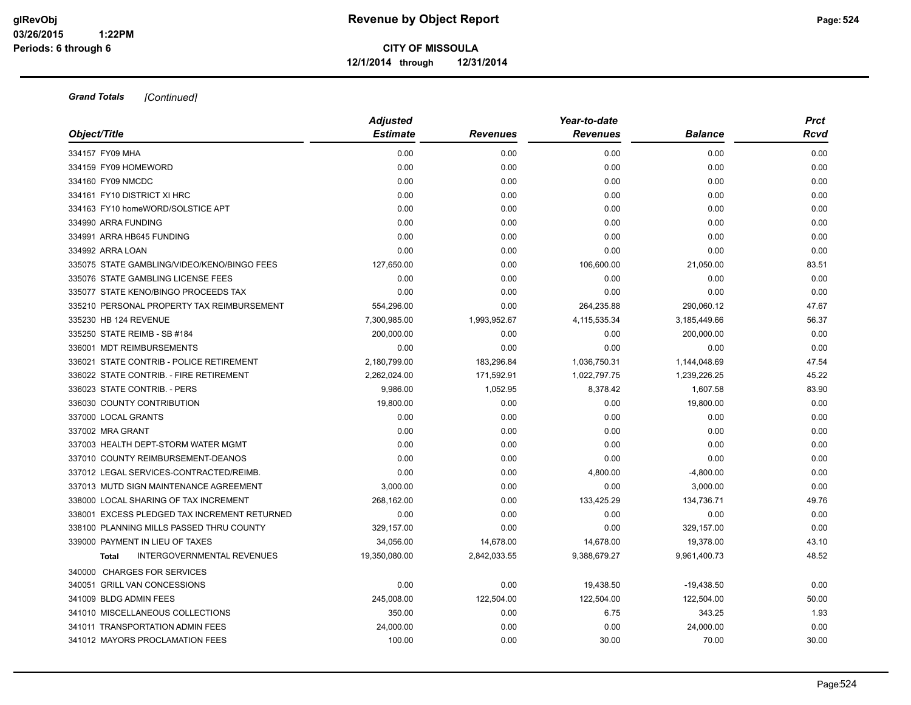**12/1/2014 through 12/31/2014**

|                                              | <b>Adjusted</b> |                 | Year-to-date    |                | <b>Prct</b> |
|----------------------------------------------|-----------------|-----------------|-----------------|----------------|-------------|
| Object/Title                                 | <b>Estimate</b> | <b>Revenues</b> | <b>Revenues</b> | <b>Balance</b> | Rcvd        |
| 334157 FY09 MHA                              | 0.00            | 0.00            | 0.00            | 0.00           | 0.00        |
| 334159 FY09 HOMEWORD                         | 0.00            | 0.00            | 0.00            | 0.00           | 0.00        |
| 334160 FY09 NMCDC                            | 0.00            | 0.00            | 0.00            | 0.00           | 0.00        |
| 334161 FY10 DISTRICT XI HRC                  | 0.00            | 0.00            | 0.00            | 0.00           | 0.00        |
| 334163 FY10 homeWORD/SOLSTICE APT            | 0.00            | 0.00            | 0.00            | 0.00           | 0.00        |
| 334990 ARRA FUNDING                          | 0.00            | 0.00            | 0.00            | 0.00           | 0.00        |
| 334991 ARRA HB645 FUNDING                    | 0.00            | 0.00            | 0.00            | 0.00           | 0.00        |
| 334992 ARRA LOAN                             | 0.00            | 0.00            | 0.00            | 0.00           | 0.00        |
| 335075 STATE GAMBLING/VIDEO/KENO/BINGO FEES  | 127,650.00      | 0.00            | 106,600.00      | 21,050.00      | 83.51       |
| 335076 STATE GAMBLING LICENSE FEES           | 0.00            | 0.00            | 0.00            | 0.00           | 0.00        |
| 335077 STATE KENO/BINGO PROCEEDS TAX         | 0.00            | 0.00            | 0.00            | 0.00           | 0.00        |
| 335210 PERSONAL PROPERTY TAX REIMBURSEMENT   | 554,296.00      | 0.00            | 264,235.88      | 290,060.12     | 47.67       |
| 335230 HB 124 REVENUE                        | 7,300,985.00    | 1,993,952.67    | 4,115,535.34    | 3,185,449.66   | 56.37       |
| 335250 STATE REIMB - SB #184                 | 200,000.00      | 0.00            | 0.00            | 200,000.00     | 0.00        |
| 336001 MDT REIMBURSEMENTS                    | 0.00            | 0.00            | 0.00            | 0.00           | 0.00        |
| 336021 STATE CONTRIB - POLICE RETIREMENT     | 2,180,799.00    | 183,296.84      | 1,036,750.31    | 1,144,048.69   | 47.54       |
| 336022 STATE CONTRIB. - FIRE RETIREMENT      | 2,262,024.00    | 171,592.91      | 1,022,797.75    | 1,239,226.25   | 45.22       |
| 336023 STATE CONTRIB. - PERS                 | 9,986.00        | 1,052.95        | 8,378.42        | 1,607.58       | 83.90       |
| 336030 COUNTY CONTRIBUTION                   | 19,800.00       | 0.00            | 0.00            | 19,800.00      | 0.00        |
| 337000 LOCAL GRANTS                          | 0.00            | 0.00            | 0.00            | 0.00           | 0.00        |
| 337002 MRA GRANT                             | 0.00            | 0.00            | 0.00            | 0.00           | 0.00        |
| 337003 HEALTH DEPT-STORM WATER MGMT          | 0.00            | 0.00            | 0.00            | 0.00           | 0.00        |
| 337010 COUNTY REIMBURSEMENT-DEANOS           | 0.00            | 0.00            | 0.00            | 0.00           | 0.00        |
| 337012 LEGAL SERVICES-CONTRACTED/REIMB.      | 0.00            | 0.00            | 4,800.00        | $-4,800.00$    | 0.00        |
| 337013 MUTD SIGN MAINTENANCE AGREEMENT       | 3,000.00        | 0.00            | 0.00            | 3,000.00       | 0.00        |
| 338000 LOCAL SHARING OF TAX INCREMENT        | 268,162.00      | 0.00            | 133,425.29      | 134,736.71     | 49.76       |
| 338001 EXCESS PLEDGED TAX INCREMENT RETURNED | 0.00            | 0.00            | 0.00            | 0.00           | 0.00        |
| 338100 PLANNING MILLS PASSED THRU COUNTY     | 329,157.00      | 0.00            | 0.00            | 329,157.00     | 0.00        |
| 339000 PAYMENT IN LIEU OF TAXES              | 34,056.00       | 14,678.00       | 14,678.00       | 19,378.00      | 43.10       |
| INTERGOVERNMENTAL REVENUES<br><b>Total</b>   | 19,350,080.00   | 2,842,033.55    | 9,388,679.27    | 9,961,400.73   | 48.52       |
| 340000 CHARGES FOR SERVICES                  |                 |                 |                 |                |             |
| 340051 GRILL VAN CONCESSIONS                 | 0.00            | 0.00            | 19,438.50       | $-19,438.50$   | 0.00        |
| 341009 BLDG ADMIN FEES                       | 245,008.00      | 122,504.00      | 122,504.00      | 122,504.00     | 50.00       |
| 341010 MISCELLANEOUS COLLECTIONS             | 350.00          | 0.00            | 6.75            | 343.25         | 1.93        |
| 341011 TRANSPORTATION ADMIN FEES             | 24,000.00       | 0.00            | 0.00            | 24,000.00      | 0.00        |
| 341012 MAYORS PROCLAMATION FEES              | 100.00          | 0.00            | 30.00           | 70.00          | 30.00       |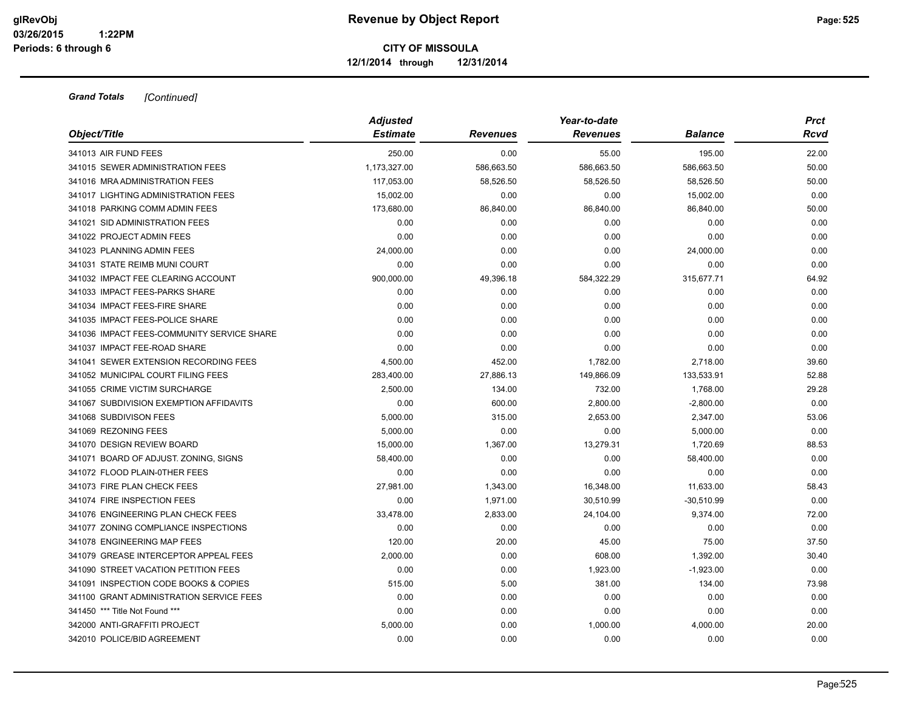|                                            | <b>Adjusted</b> |                 | Year-to-date    |                | <b>Prct</b> |
|--------------------------------------------|-----------------|-----------------|-----------------|----------------|-------------|
| Object/Title                               | <b>Estimate</b> | <b>Revenues</b> | <b>Revenues</b> | <b>Balance</b> | Rcvd        |
| 341013 AIR FUND FEES                       | 250.00          | 0.00            | 55.00           | 195.00         | 22.00       |
| 341015 SEWER ADMINISTRATION FEES           | 1,173,327.00    | 586,663.50      | 586,663.50      | 586,663.50     | 50.00       |
| 341016 MRA ADMINISTRATION FEES             | 117,053.00      | 58,526.50       | 58,526.50       | 58,526.50      | 50.00       |
| 341017 LIGHTING ADMINISTRATION FEES        | 15,002.00       | 0.00            | 0.00            | 15,002.00      | 0.00        |
| 341018 PARKING COMM ADMIN FEES             | 173,680.00      | 86,840.00       | 86,840.00       | 86,840.00      | 50.00       |
| 341021 SID ADMINISTRATION FEES             | 0.00            | 0.00            | 0.00            | 0.00           | 0.00        |
| 341022 PROJECT ADMIN FEES                  | 0.00            | 0.00            | 0.00            | 0.00           | 0.00        |
| 341023 PLANNING ADMIN FEES                 | 24,000.00       | 0.00            | 0.00            | 24,000.00      | 0.00        |
| 341031 STATE REIMB MUNI COURT              | 0.00            | 0.00            | 0.00            | 0.00           | 0.00        |
| 341032 IMPACT FEE CLEARING ACCOUNT         | 900,000.00      | 49,396.18       | 584,322.29      | 315,677.71     | 64.92       |
| 341033 IMPACT FEES-PARKS SHARE             | 0.00            | 0.00            | 0.00            | 0.00           | 0.00        |
| 341034 IMPACT FEES-FIRE SHARE              | 0.00            | 0.00            | 0.00            | 0.00           | 0.00        |
| 341035 IMPACT FEES-POLICE SHARE            | 0.00            | 0.00            | 0.00            | 0.00           | 0.00        |
| 341036 IMPACT FEES-COMMUNITY SERVICE SHARE | 0.00            | 0.00            | 0.00            | 0.00           | 0.00        |
| 341037 IMPACT FEE-ROAD SHARE               | 0.00            | 0.00            | 0.00            | 0.00           | 0.00        |
| 341041 SEWER EXTENSION RECORDING FEES      | 4,500.00        | 452.00          | 1,782.00        | 2,718.00       | 39.60       |
| 341052 MUNICIPAL COURT FILING FEES         | 283,400.00      | 27,886.13       | 149,866.09      | 133,533.91     | 52.88       |
| 341055 CRIME VICTIM SURCHARGE              | 2,500.00        | 134.00          | 732.00          | 1,768.00       | 29.28       |
| 341067 SUBDIVISION EXEMPTION AFFIDAVITS    | 0.00            | 600.00          | 2,800.00        | $-2,800.00$    | 0.00        |
| 341068 SUBDIVISON FEES                     | 5,000.00        | 315.00          | 2,653.00        | 2,347.00       | 53.06       |
| 341069 REZONING FEES                       | 5,000.00        | 0.00            | 0.00            | 5,000.00       | 0.00        |
| 341070 DESIGN REVIEW BOARD                 | 15,000.00       | 1,367.00        | 13,279.31       | 1,720.69       | 88.53       |
| 341071 BOARD OF ADJUST. ZONING, SIGNS      | 58,400.00       | 0.00            | 0.00            | 58,400.00      | 0.00        |
| 341072 FLOOD PLAIN-0THER FEES              | 0.00            | 0.00            | 0.00            | 0.00           | 0.00        |
| 341073 FIRE PLAN CHECK FEES                | 27.981.00       | 1,343.00        | 16,348.00       | 11,633.00      | 58.43       |
| 341074 FIRE INSPECTION FEES                | 0.00            | 1,971.00        | 30,510.99       | $-30,510.99$   | 0.00        |
| 341076 ENGINEERING PLAN CHECK FEES         | 33,478.00       | 2,833.00        | 24,104.00       | 9,374.00       | 72.00       |
| 341077 ZONING COMPLIANCE INSPECTIONS       | 0.00            | 0.00            | 0.00            | 0.00           | 0.00        |
| 341078 ENGINEERING MAP FEES                | 120.00          | 20.00           | 45.00           | 75.00          | 37.50       |
| 341079 GREASE INTERCEPTOR APPEAL FEES      | 2,000.00        | 0.00            | 608.00          | 1,392.00       | 30.40       |
| 341090 STREET VACATION PETITION FEES       | 0.00            | 0.00            | 1,923.00        | $-1,923.00$    | 0.00        |
| 341091 INSPECTION CODE BOOKS & COPIES      | 515.00          | 5.00            | 381.00          | 134.00         | 73.98       |
| 341100 GRANT ADMINISTRATION SERVICE FEES   | 0.00            | 0.00            | 0.00            | 0.00           | 0.00        |
| 341450 *** Title Not Found ***             | 0.00            | 0.00            | 0.00            | 0.00           | 0.00        |
| 342000 ANTI-GRAFFITI PROJECT               | 5,000.00        | 0.00            | 1,000.00        | 4,000.00       | 20.00       |
| 342010 POLICE/BID AGREEMENT                | 0.00            | 0.00            | 0.00            | 0.00           | 0.00        |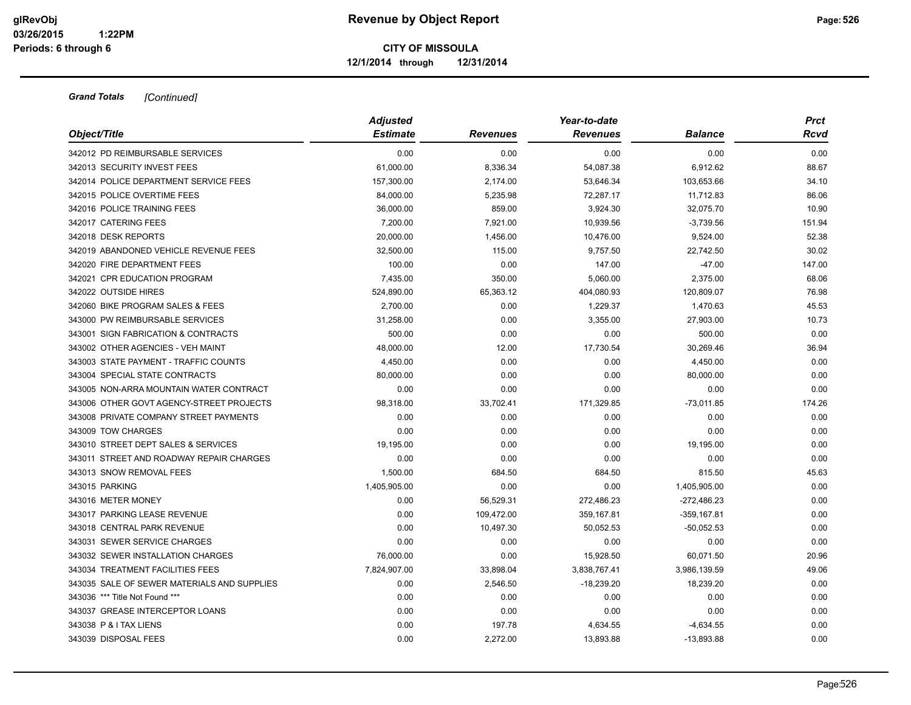|                                             | <b>Adjusted</b> |                 | Year-to-date    |                | <b>Prct</b> |
|---------------------------------------------|-----------------|-----------------|-----------------|----------------|-------------|
| Object/Title                                | <b>Estimate</b> | <b>Revenues</b> | <b>Revenues</b> | <b>Balance</b> | Rcvd        |
| 342012 PD REIMBURSABLE SERVICES             | 0.00            | 0.00            | 0.00            | 0.00           | 0.00        |
| 342013 SECURITY INVEST FEES                 | 61,000.00       | 8,336.34        | 54,087.38       | 6,912.62       | 88.67       |
| 342014 POLICE DEPARTMENT SERVICE FEES       | 157,300.00      | 2,174.00        | 53,646.34       | 103,653.66     | 34.10       |
| 342015 POLICE OVERTIME FEES                 | 84,000.00       | 5,235.98        | 72,287.17       | 11,712.83      | 86.06       |
| 342016 POLICE TRAINING FEES                 | 36,000.00       | 859.00          | 3,924.30        | 32,075.70      | 10.90       |
| 342017 CATERING FEES                        | 7,200.00        | 7,921.00        | 10,939.56       | $-3,739.56$    | 151.94      |
| 342018 DESK REPORTS                         | 20,000.00       | 1,456.00        | 10,476.00       | 9,524.00       | 52.38       |
| 342019 ABANDONED VEHICLE REVENUE FEES       | 32,500.00       | 115.00          | 9,757.50        | 22,742.50      | 30.02       |
| 342020 FIRE DEPARTMENT FEES                 | 100.00          | 0.00            | 147.00          | $-47.00$       | 147.00      |
| 342021 CPR EDUCATION PROGRAM                | 7,435.00        | 350.00          | 5,060.00        | 2,375.00       | 68.06       |
| 342022 OUTSIDE HIRES                        | 524,890.00      | 65,363.12       | 404,080.93      | 120,809.07     | 76.98       |
| 342060 BIKE PROGRAM SALES & FEES            | 2,700.00        | 0.00            | 1,229.37        | 1,470.63       | 45.53       |
| 343000 PW REIMBURSABLE SERVICES             | 31,258.00       | 0.00            | 3,355.00        | 27,903.00      | 10.73       |
| 343001 SIGN FABRICATION & CONTRACTS         | 500.00          | 0.00            | 0.00            | 500.00         | 0.00        |
| 343002 OTHER AGENCIES - VEH MAINT           | 48,000.00       | 12.00           | 17,730.54       | 30,269.46      | 36.94       |
| 343003 STATE PAYMENT - TRAFFIC COUNTS       | 4,450.00        | 0.00            | 0.00            | 4,450.00       | 0.00        |
| 343004 SPECIAL STATE CONTRACTS              | 80,000.00       | 0.00            | 0.00            | 80,000.00      | 0.00        |
| 343005 NON-ARRA MOUNTAIN WATER CONTRACT     | 0.00            | 0.00            | 0.00            | 0.00           | 0.00        |
| 343006 OTHER GOVT AGENCY-STREET PROJECTS    | 98,318.00       | 33,702.41       | 171,329.85      | $-73,011.85$   | 174.26      |
| 343008 PRIVATE COMPANY STREET PAYMENTS      | 0.00            | 0.00            | 0.00            | 0.00           | 0.00        |
| 343009 TOW CHARGES                          | 0.00            | 0.00            | 0.00            | 0.00           | 0.00        |
| 343010 STREET DEPT SALES & SERVICES         | 19,195.00       | 0.00            | 0.00            | 19,195.00      | 0.00        |
| 343011 STREET AND ROADWAY REPAIR CHARGES    | 0.00            | 0.00            | 0.00            | 0.00           | 0.00        |
| 343013 SNOW REMOVAL FEES                    | 1,500.00        | 684.50          | 684.50          | 815.50         | 45.63       |
| 343015 PARKING                              | 1,405,905.00    | 0.00            | 0.00            | 1,405,905.00   | 0.00        |
| 343016 METER MONEY                          | 0.00            | 56,529.31       | 272,486.23      | $-272,486.23$  | 0.00        |
| 343017 PARKING LEASE REVENUE                | 0.00            | 109,472.00      | 359,167.81      | -359,167.81    | 0.00        |
| 343018 CENTRAL PARK REVENUE                 | 0.00            | 10,497.30       | 50,052.53       | $-50,052.53$   | 0.00        |
| 343031 SEWER SERVICE CHARGES                | 0.00            | 0.00            | 0.00            | 0.00           | 0.00        |
| 343032 SEWER INSTALLATION CHARGES           | 76,000.00       | 0.00            | 15,928.50       | 60,071.50      | 20.96       |
| 343034 TREATMENT FACILITIES FEES            | 7,824,907.00    | 33,898.04       | 3,838,767.41    | 3,986,139.59   | 49.06       |
| 343035 SALE OF SEWER MATERIALS AND SUPPLIES | 0.00            | 2,546.50        | $-18,239.20$    | 18,239.20      | 0.00        |
| 343036 *** Title Not Found ***              | 0.00            | 0.00            | 0.00            | 0.00           | 0.00        |
| 343037 GREASE INTERCEPTOR LOANS             | 0.00            | 0.00            | 0.00            | 0.00           | 0.00        |
| 343038 P & I TAX LIENS                      | 0.00            | 197.78          | 4,634.55        | $-4,634.55$    | 0.00        |
| 343039 DISPOSAL FEES                        | 0.00            | 2,272.00        | 13,893.88       | $-13,893.88$   | 0.00        |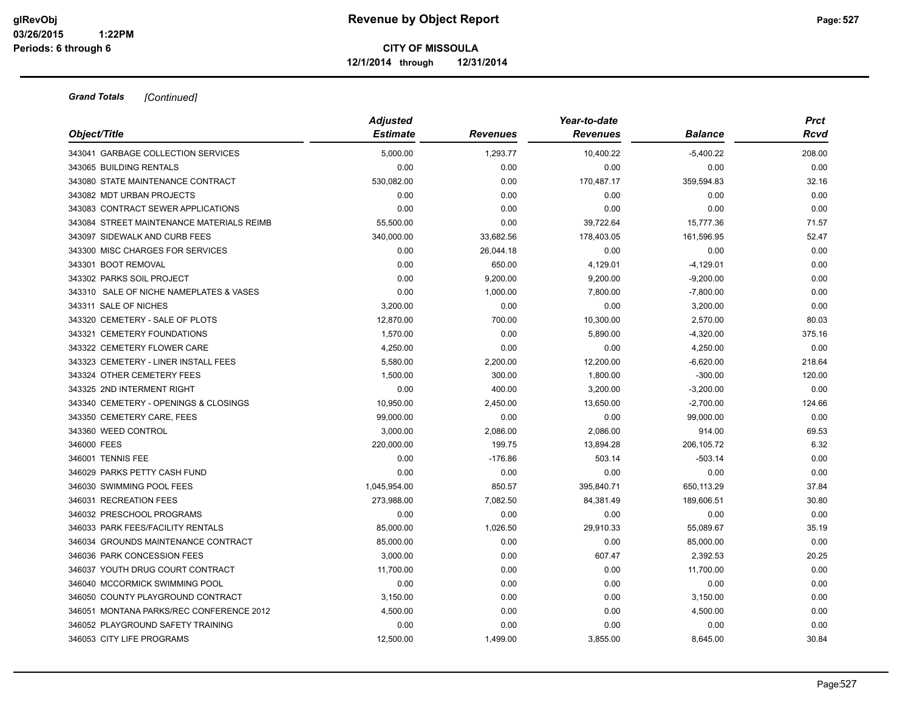|                                           | <b>Adjusted</b> |           | Year-to-date    |                | <b>Prct</b> |
|-------------------------------------------|-----------------|-----------|-----------------|----------------|-------------|
| Object/Title                              | <b>Estimate</b> | Revenues  | <b>Revenues</b> | <b>Balance</b> | Rcvd        |
| 343041 GARBAGE COLLECTION SERVICES        | 5.000.00        | 1,293.77  | 10,400.22       | $-5,400.22$    | 208.00      |
| 343065 BUILDING RENTALS                   | 0.00            | 0.00      | 0.00            | 0.00           | 0.00        |
| 343080 STATE MAINTENANCE CONTRACT         | 530,082.00      | 0.00      | 170,487.17      | 359,594.83     | 32.16       |
| 343082 MDT URBAN PROJECTS                 | 0.00            | 0.00      | 0.00            | 0.00           | 0.00        |
| 343083 CONTRACT SEWER APPLICATIONS        | 0.00            | 0.00      | 0.00            | 0.00           | 0.00        |
| 343084 STREET MAINTENANCE MATERIALS REIMB | 55,500.00       | 0.00      | 39,722.64       | 15,777.36      | 71.57       |
| 343097 SIDEWALK AND CURB FEES             | 340,000.00      | 33,682.56 | 178,403.05      | 161,596.95     | 52.47       |
| 343300 MISC CHARGES FOR SERVICES          | 0.00            | 26,044.18 | 0.00            | 0.00           | 0.00        |
| 343301 BOOT REMOVAL                       | 0.00            | 650.00    | 4,129.01        | $-4,129.01$    | 0.00        |
| 343302 PARKS SOIL PROJECT                 | 0.00            | 9,200.00  | 9,200.00        | $-9,200.00$    | 0.00        |
| 343310 SALE OF NICHE NAMEPLATES & VASES   | 0.00            | 1,000.00  | 7,800.00        | $-7,800.00$    | 0.00        |
| 343311 SALE OF NICHES                     | 3,200.00        | 0.00      | 0.00            | 3,200.00       | 0.00        |
| 343320 CEMETERY - SALE OF PLOTS           | 12,870.00       | 700.00    | 10,300.00       | 2,570.00       | 80.03       |
| 343321 CEMETERY FOUNDATIONS               | 1,570.00        | 0.00      | 5,890.00        | $-4,320.00$    | 375.16      |
| 343322 CEMETERY FLOWER CARE               | 4,250.00        | 0.00      | 0.00            | 4,250.00       | 0.00        |
| 343323 CEMETERY - LINER INSTALL FEES      | 5,580.00        | 2,200.00  | 12,200.00       | $-6,620.00$    | 218.64      |
| 343324 OTHER CEMETERY FEES                | 1,500.00        | 300.00    | 1,800.00        | $-300.00$      | 120.00      |
| 343325 2ND INTERMENT RIGHT                | 0.00            | 400.00    | 3,200.00        | $-3,200.00$    | 0.00        |
| 343340 CEMETERY - OPENINGS & CLOSINGS     | 10,950.00       | 2,450.00  | 13,650.00       | $-2,700.00$    | 124.66      |
| 343350 CEMETERY CARE, FEES                | 99,000.00       | 0.00      | 0.00            | 99,000.00      | 0.00        |
| 343360 WEED CONTROL                       | 3,000.00        | 2,086.00  | 2,086.00        | 914.00         | 69.53       |
| 346000 FEES                               | 220,000.00      | 199.75    | 13,894.28       | 206,105.72     | 6.32        |
| 346001 TENNIS FEE                         | 0.00            | $-176.86$ | 503.14          | $-503.14$      | 0.00        |
| 346029 PARKS PETTY CASH FUND              | 0.00            | 0.00      | 0.00            | 0.00           | 0.00        |
| 346030 SWIMMING POOL FEES                 | 1,045,954.00    | 850.57    | 395,840.71      | 650,113.29     | 37.84       |
| 346031 RECREATION FEES                    | 273,988.00      | 7,082.50  | 84,381.49       | 189,606.51     | 30.80       |
| 346032 PRESCHOOL PROGRAMS                 | 0.00            | 0.00      | 0.00            | 0.00           | 0.00        |
| 346033 PARK FEES/FACILITY RENTALS         | 85,000.00       | 1,026.50  | 29,910.33       | 55,089.67      | 35.19       |
| 346034 GROUNDS MAINTENANCE CONTRACT       | 85,000.00       | 0.00      | 0.00            | 85,000.00      | 0.00        |
| 346036 PARK CONCESSION FEES               | 3,000.00        | 0.00      | 607.47          | 2,392.53       | 20.25       |
| 346037 YOUTH DRUG COURT CONTRACT          | 11,700.00       | 0.00      | 0.00            | 11,700.00      | 0.00        |
| 346040 MCCORMICK SWIMMING POOL            | 0.00            | 0.00      | 0.00            | 0.00           | 0.00        |
| 346050 COUNTY PLAYGROUND CONTRACT         | 3,150.00        | 0.00      | 0.00            | 3,150.00       | 0.00        |
| 346051 MONTANA PARKS/REC CONFERENCE 2012  | 4,500.00        | 0.00      | 0.00            | 4,500.00       | 0.00        |
| 346052 PLAYGROUND SAFETY TRAINING         | 0.00            | 0.00      | 0.00            | 0.00           | 0.00        |
| 346053 CITY LIFE PROGRAMS                 | 12,500.00       | 1,499.00  | 3,855.00        | 8,645.00       | 30.84       |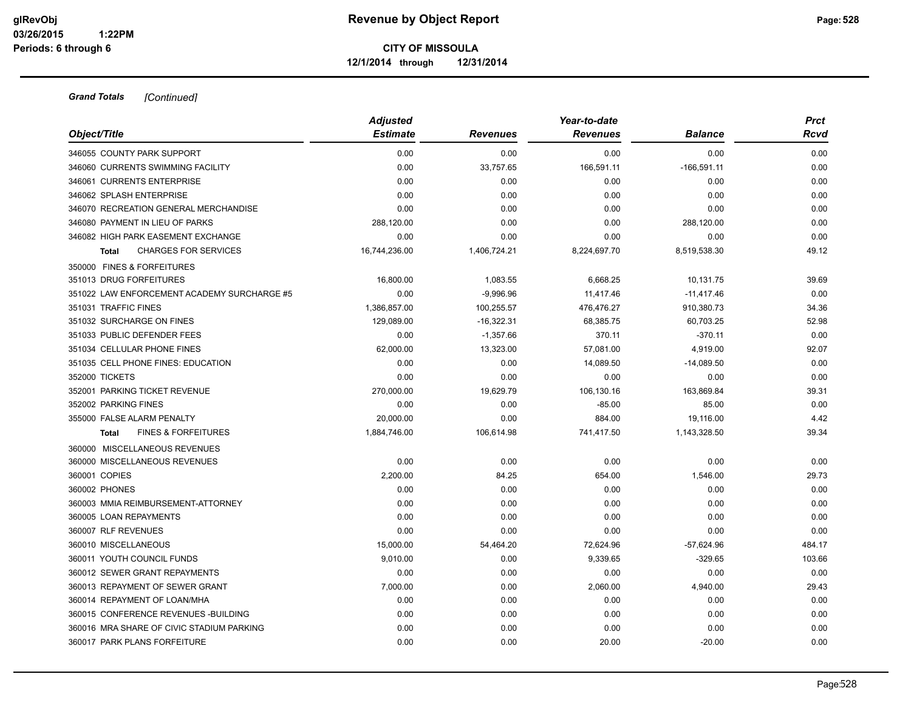**12/1/2014 through 12/31/2014**

|                                                | <b>Adjusted</b> |                 | Year-to-date    |                | <b>Prct</b> |
|------------------------------------------------|-----------------|-----------------|-----------------|----------------|-------------|
| Object/Title                                   | <b>Estimate</b> | <b>Revenues</b> | <b>Revenues</b> | <b>Balance</b> | Rcvd        |
| 346055 COUNTY PARK SUPPORT                     | 0.00            | 0.00            | 0.00            | 0.00           | 0.00        |
| 346060 CURRENTS SWIMMING FACILITY              | 0.00            | 33,757.65       | 166,591.11      | $-166,591.11$  | 0.00        |
| 346061 CURRENTS ENTERPRISE                     | 0.00            | 0.00            | 0.00            | 0.00           | 0.00        |
| 346062 SPLASH ENTERPRISE                       | 0.00            | 0.00            | 0.00            | 0.00           | 0.00        |
| 346070 RECREATION GENERAL MERCHANDISE          | 0.00            | 0.00            | 0.00            | 0.00           | 0.00        |
| 346080 PAYMENT IN LIEU OF PARKS                | 288,120.00      | 0.00            | 0.00            | 288,120.00     | 0.00        |
| 346082 HIGH PARK EASEMENT EXCHANGE             | 0.00            | 0.00            | 0.00            | 0.00           | 0.00        |
| <b>CHARGES FOR SERVICES</b><br><b>Total</b>    | 16,744,236.00   | 1,406,724.21    | 8,224,697.70    | 8,519,538.30   | 49.12       |
| 350000 FINES & FORFEITURES                     |                 |                 |                 |                |             |
| 351013 DRUG FORFEITURES                        | 16,800.00       | 1,083.55        | 6,668.25        | 10,131.75      | 39.69       |
| 351022 LAW ENFORCEMENT ACADEMY SURCHARGE #5    | 0.00            | $-9,996.96$     | 11,417.46       | $-11,417.46$   | 0.00        |
| 351031 TRAFFIC FINES                           | 1,386,857.00    | 100,255.57      | 476,476.27      | 910,380.73     | 34.36       |
| 351032 SURCHARGE ON FINES                      | 129,089.00      | $-16,322.31$    | 68,385.75       | 60,703.25      | 52.98       |
| 351033 PUBLIC DEFENDER FEES                    | 0.00            | $-1,357.66$     | 370.11          | $-370.11$      | 0.00        |
| 351034 CELLULAR PHONE FINES                    | 62,000.00       | 13,323.00       | 57,081.00       | 4,919.00       | 92.07       |
| 351035 CELL PHONE FINES: EDUCATION             | 0.00            | 0.00            | 14,089.50       | $-14,089.50$   | 0.00        |
| 352000 TICKETS                                 | 0.00            | 0.00            | 0.00            | 0.00           | 0.00        |
| 352001 PARKING TICKET REVENUE                  | 270,000.00      | 19,629.79       | 106,130.16      | 163,869.84     | 39.31       |
| 352002 PARKING FINES                           | 0.00            | 0.00            | $-85.00$        | 85.00          | 0.00        |
| 355000 FALSE ALARM PENALTY                     | 20,000.00       | 0.00            | 884.00          | 19,116.00      | 4.42        |
| <b>FINES &amp; FORFEITURES</b><br><b>Total</b> | 1,884,746.00    | 106,614.98      | 741,417.50      | 1,143,328.50   | 39.34       |
| 360000 MISCELLANEOUS REVENUES                  |                 |                 |                 |                |             |
| 360000 MISCELLANEOUS REVENUES                  | 0.00            | 0.00            | 0.00            | 0.00           | 0.00        |
| 360001 COPIES                                  | 2,200.00        | 84.25           | 654.00          | 1,546.00       | 29.73       |
| 360002 PHONES                                  | 0.00            | 0.00            | 0.00            | 0.00           | 0.00        |
| 360003 MMIA REIMBURSEMENT-ATTORNEY             | 0.00            | 0.00            | 0.00            | 0.00           | 0.00        |
| 360005 LOAN REPAYMENTS                         | 0.00            | 0.00            | 0.00            | 0.00           | 0.00        |
| 360007 RLF REVENUES                            | 0.00            | 0.00            | 0.00            | 0.00           | 0.00        |
| 360010 MISCELLANEOUS                           | 15,000.00       | 54,464.20       | 72,624.96       | $-57,624.96$   | 484.17      |
| 360011 YOUTH COUNCIL FUNDS                     | 9,010.00        | 0.00            | 9,339.65        | $-329.65$      | 103.66      |
| 360012 SEWER GRANT REPAYMENTS                  | 0.00            | 0.00            | 0.00            | 0.00           | 0.00        |
| 360013 REPAYMENT OF SEWER GRANT                | 7,000.00        | 0.00            | 2,060.00        | 4,940.00       | 29.43       |
| 360014 REPAYMENT OF LOAN/MHA                   | 0.00            | 0.00            | 0.00            | 0.00           | 0.00        |
| 360015 CONFERENCE REVENUES - BUILDING          | 0.00            | 0.00            | 0.00            | 0.00           | 0.00        |
| 360016 MRA SHARE OF CIVIC STADIUM PARKING      | 0.00            | 0.00            | 0.00            | 0.00           | 0.00        |
| 360017 PARK PLANS FORFEITURE                   | 0.00            | 0.00            | 20.00           | $-20.00$       | 0.00        |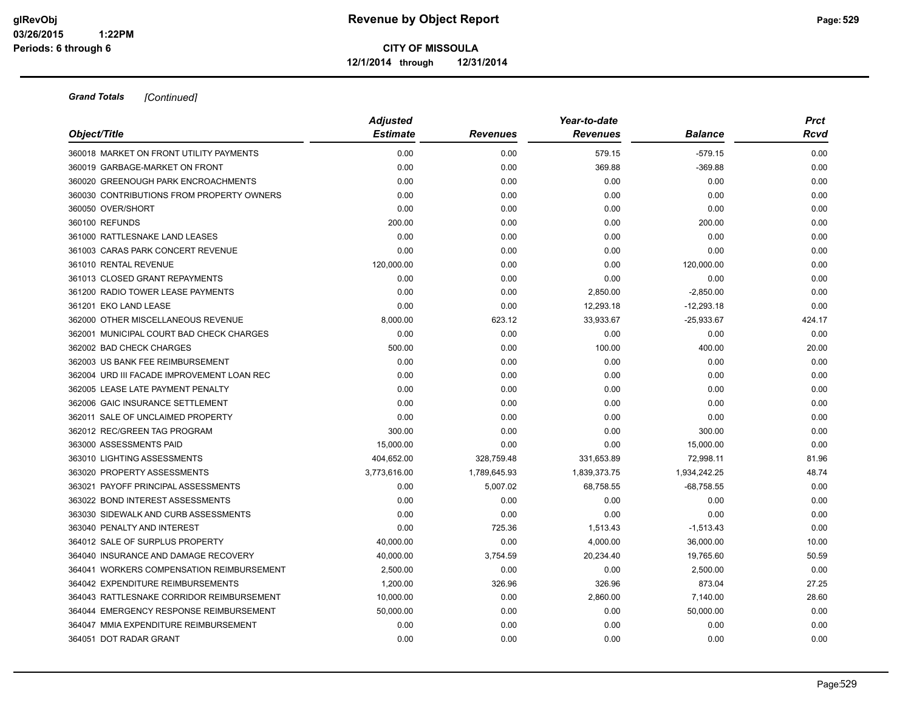**12/1/2014 through 12/31/2014**

| Object/Title                               | <b>Adjusted</b> |                 | Year-to-date    |                | <b>Prct</b><br>Rcvd |
|--------------------------------------------|-----------------|-----------------|-----------------|----------------|---------------------|
|                                            | <b>Estimate</b> | <b>Revenues</b> | <b>Revenues</b> | <b>Balance</b> |                     |
| 360018 MARKET ON FRONT UTILITY PAYMENTS    | 0.00            | 0.00            | 579.15          | $-579.15$      | 0.00                |
| 360019 GARBAGE-MARKET ON FRONT             | 0.00            | 0.00            | 369.88          | $-369.88$      | 0.00                |
| 360020 GREENOUGH PARK ENCROACHMENTS        | 0.00            | 0.00            | 0.00            | 0.00           | 0.00                |
| 360030 CONTRIBUTIONS FROM PROPERTY OWNERS  | 0.00            | 0.00            | 0.00            | 0.00           | 0.00                |
| 360050 OVER/SHORT                          | 0.00            | 0.00            | 0.00            | 0.00           | 0.00                |
| 360100 REFUNDS                             | 200.00          | 0.00            | 0.00            | 200.00         | 0.00                |
| 361000 RATTLESNAKE LAND LEASES             | 0.00            | 0.00            | 0.00            | 0.00           | 0.00                |
| 361003 CARAS PARK CONCERT REVENUE          | 0.00            | 0.00            | 0.00            | 0.00           | 0.00                |
| 361010 RENTAL REVENUE                      | 120,000.00      | 0.00            | 0.00            | 120,000.00     | 0.00                |
| 361013 CLOSED GRANT REPAYMENTS             | 0.00            | 0.00            | 0.00            | 0.00           | 0.00                |
| 361200 RADIO TOWER LEASE PAYMENTS          | 0.00            | 0.00            | 2,850.00        | $-2,850.00$    | 0.00                |
| 361201 EKO LAND LEASE                      | 0.00            | 0.00            | 12,293.18       | $-12,293.18$   | 0.00                |
| 362000 OTHER MISCELLANEOUS REVENUE         | 8,000.00        | 623.12          | 33,933.67       | $-25,933.67$   | 424.17              |
| 362001 MUNICIPAL COURT BAD CHECK CHARGES   | 0.00            | 0.00            | 0.00            | 0.00           | 0.00                |
| 362002 BAD CHECK CHARGES                   | 500.00          | 0.00            | 100.00          | 400.00         | 20.00               |
| 362003 US BANK FEE REIMBURSEMENT           | 0.00            | 0.00            | 0.00            | 0.00           | 0.00                |
| 362004 URD III FACADE IMPROVEMENT LOAN REC | 0.00            | 0.00            | 0.00            | 0.00           | 0.00                |
| 362005 LEASE LATE PAYMENT PENALTY          | 0.00            | 0.00            | 0.00            | 0.00           | 0.00                |
| 362006 GAIC INSURANCE SETTLEMENT           | 0.00            | 0.00            | 0.00            | 0.00           | 0.00                |
| 362011 SALE OF UNCLAIMED PROPERTY          | 0.00            | 0.00            | 0.00            | 0.00           | 0.00                |
| 362012 REC/GREEN TAG PROGRAM               | 300.00          | 0.00            | 0.00            | 300.00         | 0.00                |
| 363000 ASSESSMENTS PAID                    | 15,000.00       | 0.00            | 0.00            | 15,000.00      | 0.00                |
| 363010 LIGHTING ASSESSMENTS                | 404,652.00      | 328,759.48      | 331,653.89      | 72,998.11      | 81.96               |
| 363020 PROPERTY ASSESSMENTS                | 3,773,616.00    | 1,789,645.93    | 1,839,373.75    | 1,934,242.25   | 48.74               |
| 363021 PAYOFF PRINCIPAL ASSESSMENTS        | 0.00            | 5,007.02        | 68,758.55       | $-68,758.55$   | 0.00                |
| 363022 BOND INTEREST ASSESSMENTS           | 0.00            | 0.00            | 0.00            | 0.00           | 0.00                |
| 363030 SIDEWALK AND CURB ASSESSMENTS       | 0.00            | 0.00            | 0.00            | 0.00           | 0.00                |
| 363040 PENALTY AND INTEREST                | 0.00            | 725.36          | 1,513.43        | $-1,513.43$    | 0.00                |
| 364012 SALE OF SURPLUS PROPERTY            | 40,000.00       | 0.00            | 4,000.00        | 36,000.00      | 10.00               |
| 364040 INSURANCE AND DAMAGE RECOVERY       | 40,000.00       | 3,754.59        | 20,234.40       | 19,765.60      | 50.59               |
| 364041 WORKERS COMPENSATION REIMBURSEMENT  | 2,500.00        | 0.00            | 0.00            | 2,500.00       | 0.00                |
| 364042 EXPENDITURE REIMBURSEMENTS          | 1,200.00        | 326.96          | 326.96          | 873.04         | 27.25               |
| 364043 RATTLESNAKE CORRIDOR REIMBURSEMENT  | 10,000.00       | 0.00            | 2,860.00        | 7,140.00       | 28.60               |
| 364044 EMERGENCY RESPONSE REIMBURSEMENT    | 50,000.00       | 0.00            | 0.00            | 50,000.00      | 0.00                |
| 364047 MMIA EXPENDITURE REIMBURSEMENT      | 0.00            | 0.00            | 0.00            | 0.00           | 0.00                |
| 364051 DOT RADAR GRANT                     | 0.00            | 0.00            | 0.00            | 0.00           | 0.00                |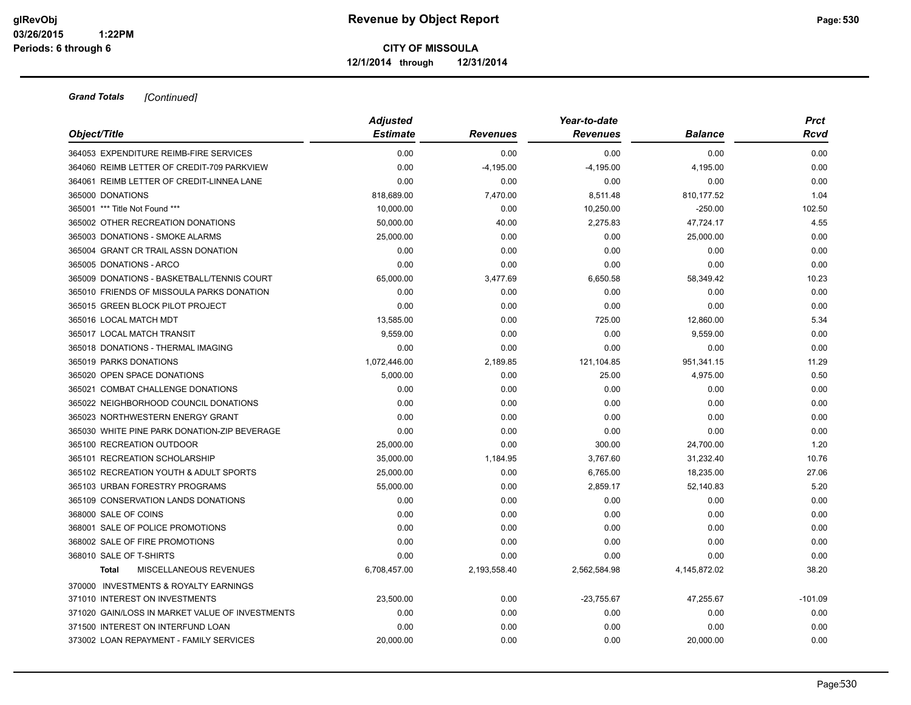| Object/Title                                    | <b>Adjusted</b> |                 | Year-to-date    |                | <b>Prct</b> |
|-------------------------------------------------|-----------------|-----------------|-----------------|----------------|-------------|
|                                                 | <b>Estimate</b> | <b>Revenues</b> | <b>Revenues</b> | <b>Balance</b> | Rcvd        |
| 364053 EXPENDITURE REIMB-FIRE SERVICES          | 0.00            | 0.00            | 0.00            | 0.00           | 0.00        |
| 364060 REIMB LETTER OF CREDIT-709 PARKVIEW      | 0.00            | $-4,195.00$     | $-4,195.00$     | 4,195.00       | 0.00        |
| 364061 REIMB LETTER OF CREDIT-LINNEA LANE       | 0.00            | 0.00            | 0.00            | 0.00           | 0.00        |
| 365000 DONATIONS                                | 818,689.00      | 7,470.00        | 8,511.48        | 810,177.52     | 1.04        |
| 365001 *** Title Not Found ***                  | 10,000.00       | 0.00            | 10,250.00       | $-250.00$      | 102.50      |
| 365002 OTHER RECREATION DONATIONS               | 50,000.00       | 40.00           | 2,275.83        | 47,724.17      | 4.55        |
| 365003 DONATIONS - SMOKE ALARMS                 | 25,000.00       | 0.00            | 0.00            | 25,000.00      | 0.00        |
| 365004 GRANT CR TRAIL ASSN DONATION             | 0.00            | 0.00            | 0.00            | 0.00           | 0.00        |
| 365005 DONATIONS - ARCO                         | 0.00            | 0.00            | 0.00            | 0.00           | 0.00        |
| 365009 DONATIONS - BASKETBALL/TENNIS COURT      | 65,000.00       | 3,477.69        | 6,650.58        | 58,349.42      | 10.23       |
| 365010 FRIENDS OF MISSOULA PARKS DONATION       | 0.00            | 0.00            | 0.00            | 0.00           | 0.00        |
| 365015 GREEN BLOCK PILOT PROJECT                | 0.00            | 0.00            | 0.00            | 0.00           | 0.00        |
| 365016 LOCAL MATCH MDT                          | 13,585.00       | 0.00            | 725.00          | 12,860.00      | 5.34        |
| 365017 LOCAL MATCH TRANSIT                      | 9,559.00        | 0.00            | 0.00            | 9,559.00       | 0.00        |
| 365018 DONATIONS - THERMAL IMAGING              | 0.00            | 0.00            | 0.00            | 0.00           | 0.00        |
| 365019 PARKS DONATIONS                          | 1,072,446.00    | 2,189.85        | 121,104.85      | 951,341.15     | 11.29       |
| 365020 OPEN SPACE DONATIONS                     | 5,000.00        | 0.00            | 25.00           | 4,975.00       | 0.50        |
| 365021 COMBAT CHALLENGE DONATIONS               | 0.00            | 0.00            | 0.00            | 0.00           | 0.00        |
| 365022 NEIGHBORHOOD COUNCIL DONATIONS           | 0.00            | 0.00            | 0.00            | 0.00           | 0.00        |
| 365023 NORTHWESTERN ENERGY GRANT                | 0.00            | 0.00            | 0.00            | 0.00           | 0.00        |
| 365030 WHITE PINE PARK DONATION-ZIP BEVERAGE    | 0.00            | 0.00            | 0.00            | 0.00           | 0.00        |
| 365100 RECREATION OUTDOOR                       | 25,000.00       | 0.00            | 300.00          | 24,700.00      | 1.20        |
| 365101 RECREATION SCHOLARSHIP                   | 35,000.00       | 1,184.95        | 3,767.60        | 31,232.40      | 10.76       |
| 365102 RECREATION YOUTH & ADULT SPORTS          | 25,000.00       | 0.00            | 6,765.00        | 18,235.00      | 27.06       |
| 365103 URBAN FORESTRY PROGRAMS                  | 55,000.00       | 0.00            | 2,859.17        | 52,140.83      | 5.20        |
| 365109 CONSERVATION LANDS DONATIONS             | 0.00            | 0.00            | 0.00            | 0.00           | 0.00        |
| 368000 SALE OF COINS                            | 0.00            | 0.00            | 0.00            | 0.00           | 0.00        |
| 368001 SALE OF POLICE PROMOTIONS                | 0.00            | 0.00            | 0.00            | 0.00           | 0.00        |
| 368002 SALE OF FIRE PROMOTIONS                  | 0.00            | 0.00            | 0.00            | 0.00           | 0.00        |
| 368010 SALE OF T-SHIRTS                         | 0.00            | 0.00            | 0.00            | 0.00           | 0.00        |
| <b>MISCELLANEOUS REVENUES</b><br><b>Total</b>   | 6,708,457.00    | 2,193,558.40    | 2,562,584.98    | 4,145,872.02   | 38.20       |
| 370000 INVESTMENTS & ROYALTY EARNINGS           |                 |                 |                 |                |             |
| 371010 INTEREST ON INVESTMENTS                  | 23,500.00       | 0.00            | $-23,755.67$    | 47,255.67      | $-101.09$   |
| 371020 GAIN/LOSS IN MARKET VALUE OF INVESTMENTS | 0.00            | 0.00            | 0.00            | 0.00           | 0.00        |
| 371500 INTEREST ON INTERFUND LOAN               | 0.00            | 0.00            | 0.00            | 0.00           | 0.00        |
| 373002 LOAN REPAYMENT - FAMILY SERVICES         | 20.000.00       | 0.00            | 0.00            | 20,000.00      | 0.00        |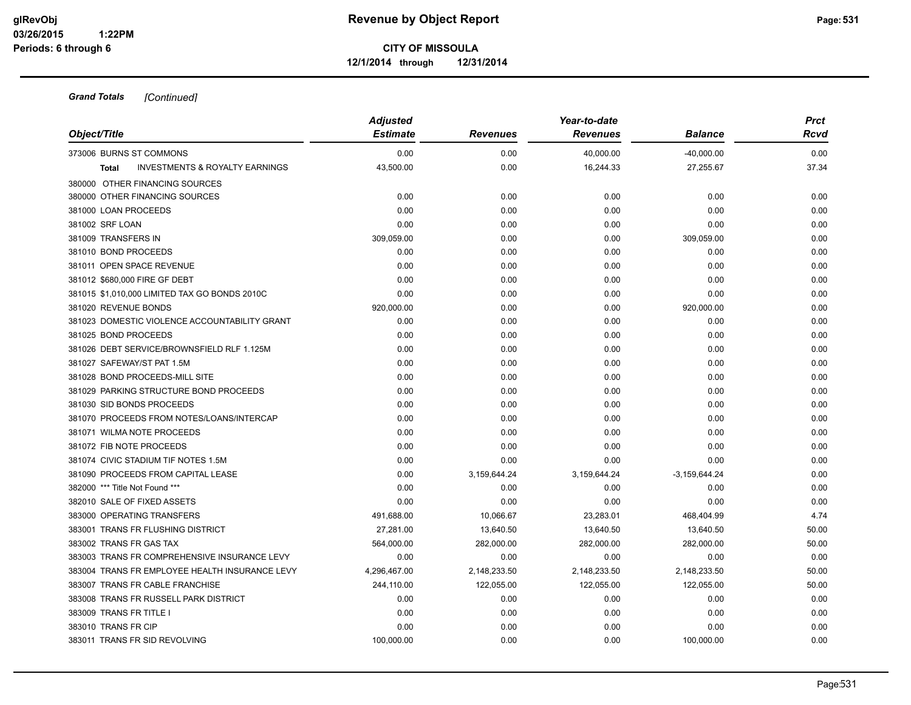**12/1/2014 through 12/31/2014**

| Object/Title                                              | <b>Adjusted</b><br><b>Estimate</b> | <b>Revenues</b> | Year-to-date<br><b>Revenues</b> | <b>Balance</b>    | <b>Prct</b><br>Rcvd |
|-----------------------------------------------------------|------------------------------------|-----------------|---------------------------------|-------------------|---------------------|
|                                                           |                                    |                 |                                 |                   |                     |
| 373006 BURNS ST COMMONS                                   | 0.00                               | 0.00            | 40,000.00                       | $-40,000.00$      | 0.00<br>37.34       |
| <b>INVESTMENTS &amp; ROYALTY EARNINGS</b><br><b>Total</b> | 43,500.00                          | 0.00            | 16,244.33                       | 27,255.67         |                     |
| 380000 OTHER FINANCING SOURCES                            |                                    |                 |                                 |                   |                     |
| 380000 OTHER FINANCING SOURCES                            | 0.00                               | 0.00            | 0.00                            | 0.00              | 0.00                |
| 381000 LOAN PROCEEDS                                      | 0.00                               | 0.00            | 0.00                            | 0.00              | 0.00                |
| 381002 SRF LOAN                                           | 0.00                               | 0.00            | 0.00                            | 0.00              | 0.00                |
| 381009 TRANSFERS IN                                       | 309,059.00                         | 0.00            | 0.00                            | 309,059.00        | 0.00                |
| 381010 BOND PROCEEDS                                      | 0.00                               | 0.00            | 0.00                            | 0.00              | 0.00                |
| 381011 OPEN SPACE REVENUE                                 | 0.00                               | 0.00            | 0.00                            | 0.00              | 0.00                |
| 381012 \$680,000 FIRE GF DEBT                             | 0.00                               | 0.00            | 0.00                            | 0.00              | 0.00                |
| 381015 \$1,010,000 LIMITED TAX GO BONDS 2010C             | 0.00                               | 0.00            | 0.00                            | 0.00              | 0.00                |
| 381020 REVENUE BONDS                                      | 920,000.00                         | 0.00            | 0.00                            | 920,000.00        | 0.00                |
| 381023 DOMESTIC VIOLENCE ACCOUNTABILITY GRANT             | 0.00                               | 0.00            | 0.00                            | 0.00              | 0.00                |
| 381025 BOND PROCEEDS                                      | 0.00                               | 0.00            | 0.00                            | 0.00              | 0.00                |
| 381026 DEBT SERVICE/BROWNSFIELD RLF 1.125M                | 0.00                               | 0.00            | 0.00                            | 0.00              | 0.00                |
| 381027 SAFEWAY/ST PAT 1.5M                                | 0.00                               | 0.00            | 0.00                            | 0.00              | 0.00                |
| 381028 BOND PROCEEDS-MILL SITE                            | 0.00                               | 0.00            | 0.00                            | 0.00              | 0.00                |
| 381029 PARKING STRUCTURE BOND PROCEEDS                    | 0.00                               | 0.00            | 0.00                            | 0.00              | 0.00                |
| 381030 SID BONDS PROCEEDS                                 | 0.00                               | 0.00            | 0.00                            | 0.00              | 0.00                |
| 381070 PROCEEDS FROM NOTES/LOANS/INTERCAP                 | 0.00                               | 0.00            | 0.00                            | 0.00              | 0.00                |
| 381071 WILMA NOTE PROCEEDS                                | 0.00                               | 0.00            | 0.00                            | 0.00              | 0.00                |
| 381072 FIB NOTE PROCEEDS                                  | 0.00                               | 0.00            | 0.00                            | 0.00              | 0.00                |
| 381074 CIVIC STADIUM TIF NOTES 1.5M                       | 0.00                               | 0.00            | 0.00                            | 0.00              | 0.00                |
| 381090 PROCEEDS FROM CAPITAL LEASE                        | 0.00                               | 3,159,644.24    | 3,159,644.24                    | $-3, 159, 644.24$ | 0.00                |
| 382000 *** Title Not Found ***                            | 0.00                               | 0.00            | 0.00                            | 0.00              | 0.00                |
| 382010 SALE OF FIXED ASSETS                               | 0.00                               | 0.00            | 0.00                            | 0.00              | 0.00                |
| 383000 OPERATING TRANSFERS                                | 491,688.00                         | 10,066.67       | 23,283.01                       | 468,404.99        | 4.74                |
| 383001 TRANS FR FLUSHING DISTRICT                         | 27,281.00                          | 13,640.50       | 13,640.50                       | 13,640.50         | 50.00               |
| 383002 TRANS FR GAS TAX                                   | 564,000.00                         | 282,000.00      | 282,000.00                      | 282,000.00        | 50.00               |
| 383003 TRANS FR COMPREHENSIVE INSURANCE LEVY              | 0.00                               | 0.00            | 0.00                            | 0.00              | 0.00                |
| 383004 TRANS FR EMPLOYEE HEALTH INSURANCE LEVY            | 4,296,467.00                       | 2,148,233.50    | 2,148,233.50                    | 2,148,233.50      | 50.00               |
| 383007 TRANS FR CABLE FRANCHISE                           | 244,110.00                         | 122,055.00      | 122,055.00                      | 122,055.00        | 50.00               |
| 383008 TRANS FR RUSSELL PARK DISTRICT                     | 0.00                               | 0.00            | 0.00                            | 0.00              | 0.00                |
| 383009 TRANS FR TITLE I                                   | 0.00                               | 0.00            | 0.00                            | 0.00              | 0.00                |
| 383010 TRANS FR CIP                                       | 0.00                               | 0.00            | 0.00                            | 0.00              | 0.00                |
| 383011 TRANS FR SID REVOLVING                             | 100.000.00                         | 0.00            | 0.00                            | 100,000.00        | 0.00                |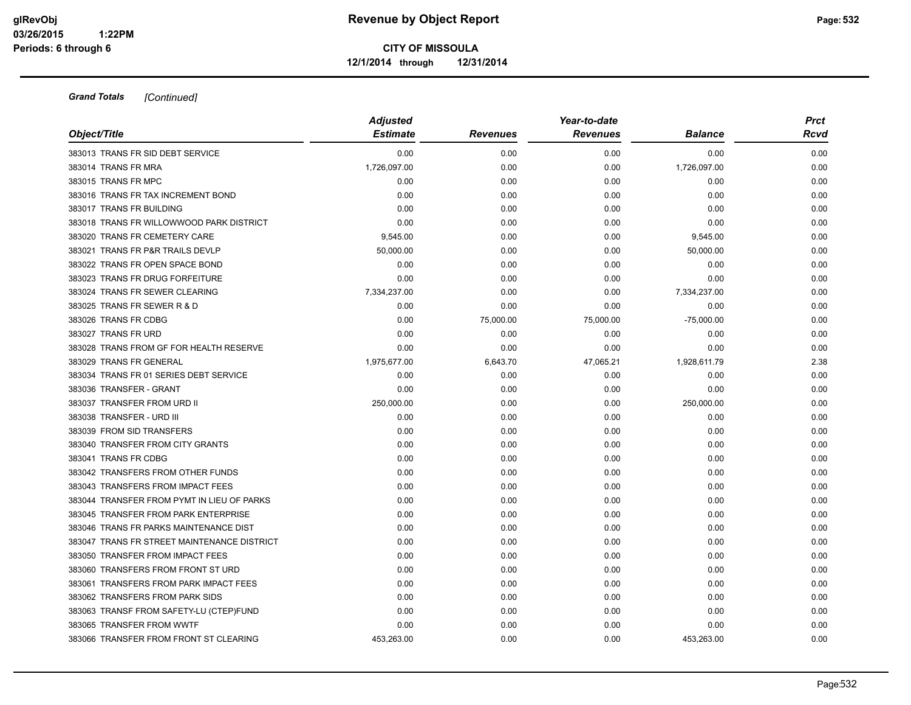| Object/Title                                | <b>Adjusted</b> |                 | Year-to-date<br><b>Revenues</b> | <b>Balance</b> | <b>Prct</b><br>Rcvd |
|---------------------------------------------|-----------------|-----------------|---------------------------------|----------------|---------------------|
|                                             | <b>Estimate</b> | <b>Revenues</b> |                                 |                |                     |
| 383013 TRANS FR SID DEBT SERVICE            | 0.00            | 0.00            | 0.00                            | 0.00           | 0.00                |
| 383014 TRANS FR MRA                         | 1,726,097.00    | 0.00            | 0.00                            | 1,726,097.00   | 0.00                |
| 383015 TRANS FR MPC                         | 0.00            | 0.00            | 0.00                            | 0.00           | 0.00                |
| 383016 TRANS FR TAX INCREMENT BOND          | 0.00            | 0.00            | 0.00                            | 0.00           | 0.00                |
| 383017 TRANS FR BUILDING                    | 0.00            | 0.00            | 0.00                            | 0.00           | 0.00                |
| 383018 TRANS FR WILLOWWOOD PARK DISTRICT    | 0.00            | 0.00            | 0.00                            | 0.00           | 0.00                |
| 383020 TRANS FR CEMETERY CARE               | 9,545.00        | 0.00            | 0.00                            | 9,545.00       | 0.00                |
| 383021 TRANS FR P&R TRAILS DEVLP            | 50,000.00       | 0.00            | 0.00                            | 50,000.00      | 0.00                |
| 383022 TRANS FR OPEN SPACE BOND             | 0.00            | 0.00            | 0.00                            | 0.00           | 0.00                |
| 383023 TRANS FR DRUG FORFEITURE             | 0.00            | 0.00            | 0.00                            | 0.00           | 0.00                |
| 383024 TRANS FR SEWER CLEARING              | 7,334,237.00    | 0.00            | 0.00                            | 7,334,237.00   | 0.00                |
| 383025 TRANS FR SEWER R & D                 | 0.00            | 0.00            | 0.00                            | 0.00           | 0.00                |
| 383026 TRANS FR CDBG                        | 0.00            | 75,000.00       | 75,000.00                       | $-75,000.00$   | 0.00                |
| 383027 TRANS FR URD                         | 0.00            | 0.00            | 0.00                            | 0.00           | 0.00                |
| 383028 TRANS FROM GF FOR HEALTH RESERVE     | 0.00            | 0.00            | 0.00                            | 0.00           | 0.00                |
| 383029 TRANS FR GENERAL                     | 1,975,677.00    | 6,643.70        | 47,065.21                       | 1,928,611.79   | 2.38                |
| 383034 TRANS FR 01 SERIES DEBT SERVICE      | 0.00            | 0.00            | 0.00                            | 0.00           | 0.00                |
| 383036 TRANSFER - GRANT                     | 0.00            | 0.00            | 0.00                            | 0.00           | 0.00                |
| 383037 TRANSFER FROM URD II                 | 250,000.00      | 0.00            | 0.00                            | 250,000.00     | 0.00                |
| 383038 TRANSFER - URD III                   | 0.00            | 0.00            | 0.00                            | 0.00           | 0.00                |
| 383039 FROM SID TRANSFERS                   | 0.00            | 0.00            | 0.00                            | 0.00           | 0.00                |
| 383040 TRANSFER FROM CITY GRANTS            | 0.00            | 0.00            | 0.00                            | 0.00           | 0.00                |
| 383041 TRANS FR CDBG                        | 0.00            | 0.00            | 0.00                            | 0.00           | 0.00                |
| 383042 TRANSFERS FROM OTHER FUNDS           | 0.00            | 0.00            | 0.00                            | 0.00           | 0.00                |
| 383043 TRANSFERS FROM IMPACT FEES           | 0.00            | 0.00            | 0.00                            | 0.00           | 0.00                |
| 383044 TRANSFER FROM PYMT IN LIEU OF PARKS  | 0.00            | 0.00            | 0.00                            | 0.00           | 0.00                |
| 383045 TRANSFER FROM PARK ENTERPRISE        | 0.00            | 0.00            | 0.00                            | 0.00           | 0.00                |
| 383046 TRANS FR PARKS MAINTENANCE DIST      | 0.00            | 0.00            | 0.00                            | 0.00           | 0.00                |
| 383047 TRANS FR STREET MAINTENANCE DISTRICT | 0.00            | 0.00            | 0.00                            | 0.00           | 0.00                |
| 383050 TRANSFER FROM IMPACT FEES            | 0.00            | 0.00            | 0.00                            | 0.00           | 0.00                |
| 383060 TRANSFERS FROM FRONT ST URD          | 0.00            | 0.00            | 0.00                            | 0.00           | 0.00                |
| 383061 TRANSFERS FROM PARK IMPACT FEES      | 0.00            | 0.00            | 0.00                            | 0.00           | 0.00                |
| 383062 TRANSFERS FROM PARK SIDS             | 0.00            | 0.00            | 0.00                            | 0.00           | 0.00                |
| 383063 TRANSF FROM SAFETY-LU (CTEP)FUND     | 0.00            | 0.00            | 0.00                            | 0.00           | 0.00                |
| 383065 TRANSFER FROM WWTF                   | 0.00            | 0.00            | 0.00                            | 0.00           | 0.00                |
| 383066 TRANSFER FROM FRONT ST CLEARING      | 453,263.00      | 0.00            | 0.00                            | 453,263.00     | 0.00                |